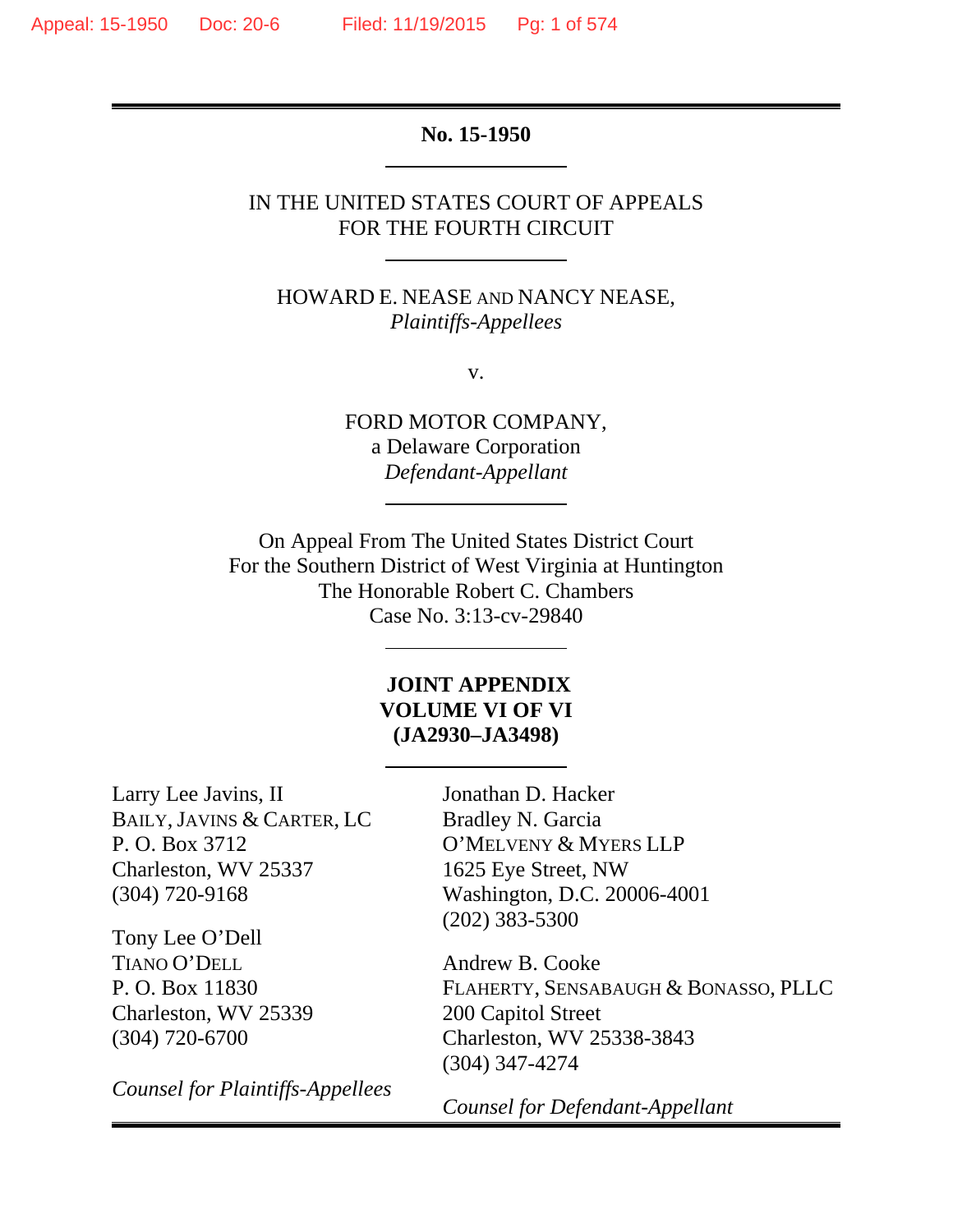**No. 15-1950** 

# IN THE UNITED STATES COURT OF APPEALS FOR THE FOURTH CIRCUIT

HOWARD E. NEASE AND NANCY NEASE, *Plaintiffs-Appellees* 

v.

FORD MOTOR COMPANY, a Delaware Corporation *Defendant-Appellant* 

On Appeal From The United States District Court For the Southern District of West Virginia at Huntington The Honorable Robert C. Chambers Case No. 3:13-cv-29840

# **JOINT APPENDIX VOLUME VI OF VI (JA2930–JA3498)**

Larry Lee Javins, II BAILY, JAVINS & CARTER, LC P. O. Box 3712 Charleston, WV 25337 (304) 720-9168

Tony Lee O'Dell TIANO O'DELL P. O. Box 11830 Charleston, WV 25339 (304) 720-6700

*Counsel for Plaintiffs-Appellees* 

Jonathan D. Hacker Bradley N. Garcia O'MELVENY & MYERS LLP 1625 Eye Street, NW Washington, D.C. 20006-4001 (202) 383-5300

Andrew B. Cooke FLAHERTY, SENSABAUGH & BONASSO, PLLC 200 Capitol Street Charleston, WV 25338-3843 (304) 347-4274

*Counsel for Defendant-Appellant*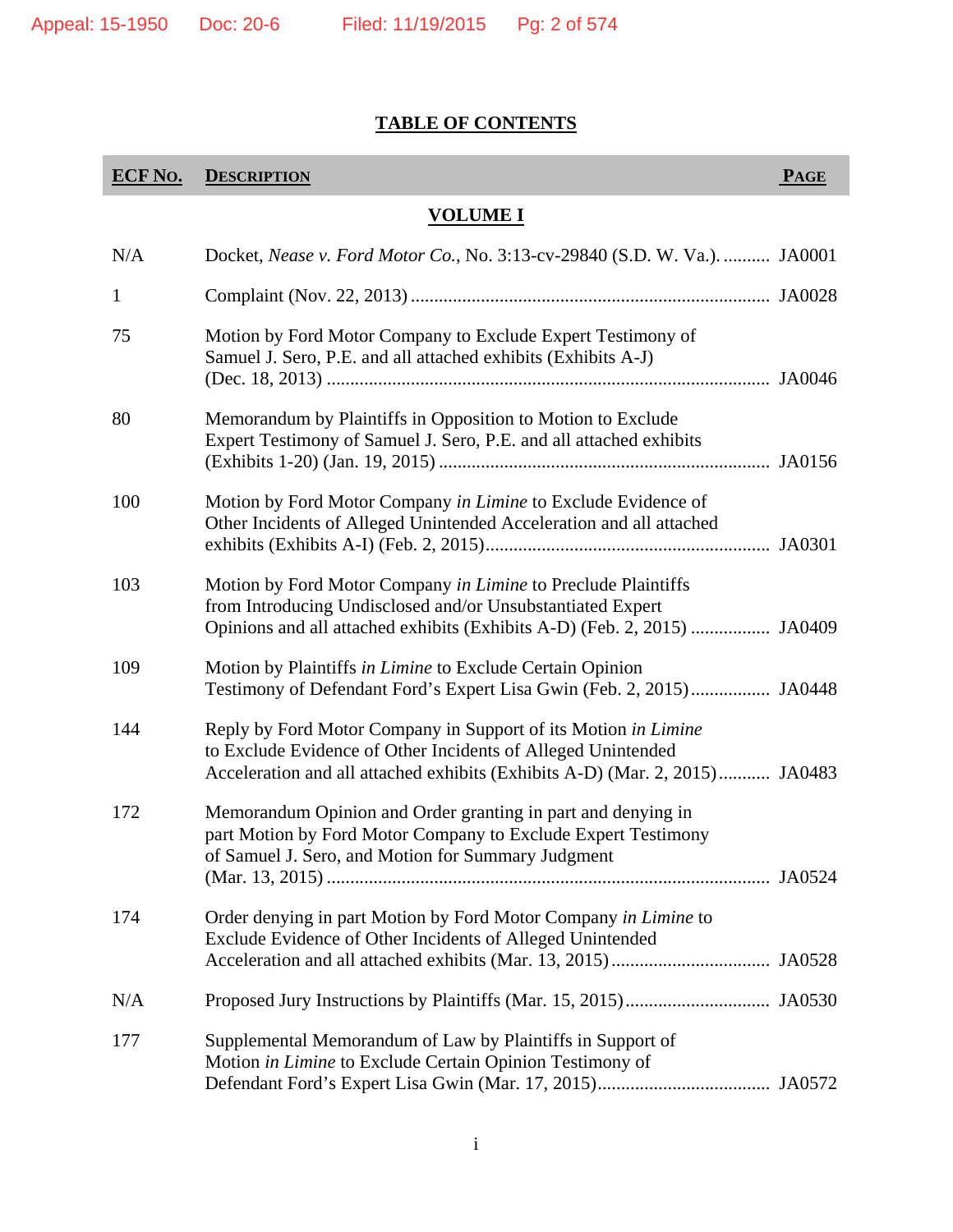# **TABLE OF CONTENTS**

| <b>ECF No.</b> | <b>DESCRIPTION</b>                                                                                                                                                                                            | <b>PAGE</b> |
|----------------|---------------------------------------------------------------------------------------------------------------------------------------------------------------------------------------------------------------|-------------|
|                | <u>VOLUME I</u>                                                                                                                                                                                               |             |
| N/A            | Docket, Nease v. Ford Motor Co., No. 3:13-cv-29840 (S.D. W. Va.).  JA0001                                                                                                                                     |             |
| $\mathbf 1$    |                                                                                                                                                                                                               |             |
| 75             | Motion by Ford Motor Company to Exclude Expert Testimony of<br>Samuel J. Sero, P.E. and all attached exhibits (Exhibits A-J)                                                                                  |             |
| 80             | Memorandum by Plaintiffs in Opposition to Motion to Exclude<br>Expert Testimony of Samuel J. Sero, P.E. and all attached exhibits                                                                             |             |
| 100            | Motion by Ford Motor Company in Limine to Exclude Evidence of<br>Other Incidents of Alleged Unintended Acceleration and all attached                                                                          |             |
| 103            | Motion by Ford Motor Company in Limine to Preclude Plaintiffs<br>from Introducing Undisclosed and/or Unsubstantiated Expert<br>Opinions and all attached exhibits (Exhibits A-D) (Feb. 2, 2015)  JA0409       |             |
| 109            | Motion by Plaintiffs in Limine to Exclude Certain Opinion<br>Testimony of Defendant Ford's Expert Lisa Gwin (Feb. 2, 2015) JA0448                                                                             |             |
| 144            | Reply by Ford Motor Company in Support of its Motion in Limine<br>to Exclude Evidence of Other Incidents of Alleged Unintended<br>Acceleration and all attached exhibits (Exhibits A-D) (Mar. 2, 2015) JA0483 |             |
| 172            | Memorandum Opinion and Order granting in part and denying in<br>part Motion by Ford Motor Company to Exclude Expert Testimony<br>of Samuel J. Sero, and Motion for Summary Judgment                           |             |
| 174            | Order denying in part Motion by Ford Motor Company in Limine to<br>Exclude Evidence of Other Incidents of Alleged Unintended                                                                                  |             |
| N/A            |                                                                                                                                                                                                               |             |
| 177            | Supplemental Memorandum of Law by Plaintiffs in Support of<br>Motion in Limine to Exclude Certain Opinion Testimony of                                                                                        |             |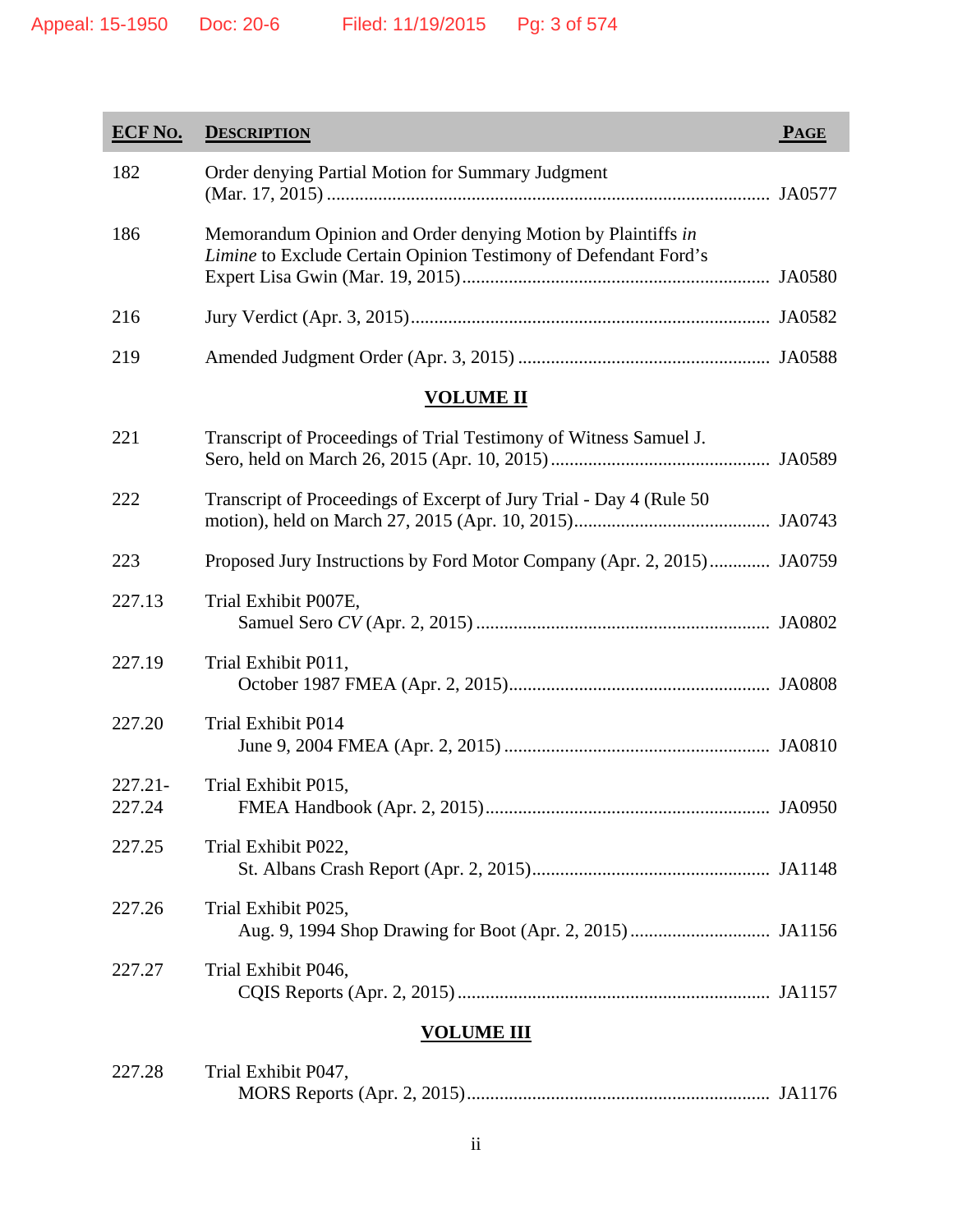| <b>ECF No.</b>       | <b>DESCRIPTION</b>                                                                                                              | <b>PAGE</b> |
|----------------------|---------------------------------------------------------------------------------------------------------------------------------|-------------|
| 182                  | Order denying Partial Motion for Summary Judgment                                                                               |             |
| 186                  | Memorandum Opinion and Order denying Motion by Plaintiffs in<br>Limine to Exclude Certain Opinion Testimony of Defendant Ford's |             |
| 216                  |                                                                                                                                 |             |
| 219                  |                                                                                                                                 |             |
| <b>VOLUME II</b>     |                                                                                                                                 |             |
| 221                  | Transcript of Proceedings of Trial Testimony of Witness Samuel J.                                                               |             |
| 222                  | Transcript of Proceedings of Excerpt of Jury Trial - Day 4 (Rule 50)                                                            |             |
| 223                  | Proposed Jury Instructions by Ford Motor Company (Apr. 2, 2015) JA0759                                                          |             |
| 227.13               | Trial Exhibit P007E,                                                                                                            |             |
| 227.19               | Trial Exhibit P011,                                                                                                             |             |
| 227.20               | <b>Trial Exhibit P014</b>                                                                                                       |             |
| $227.21 -$<br>227.24 | Trial Exhibit P015,<br>FMEA Handbook (Apr. 2, 2015)                                                                             | JA0950      |
| 227.25               | Trial Exhibit P022,                                                                                                             |             |
| 227.26               | Trial Exhibit P025,                                                                                                             |             |
| 227.27               | Trial Exhibit P046,                                                                                                             |             |
| <b>VOLUME III</b>    |                                                                                                                                 |             |

| 227.28 | Trial Exhibit P047, |  |
|--------|---------------------|--|
|        |                     |  |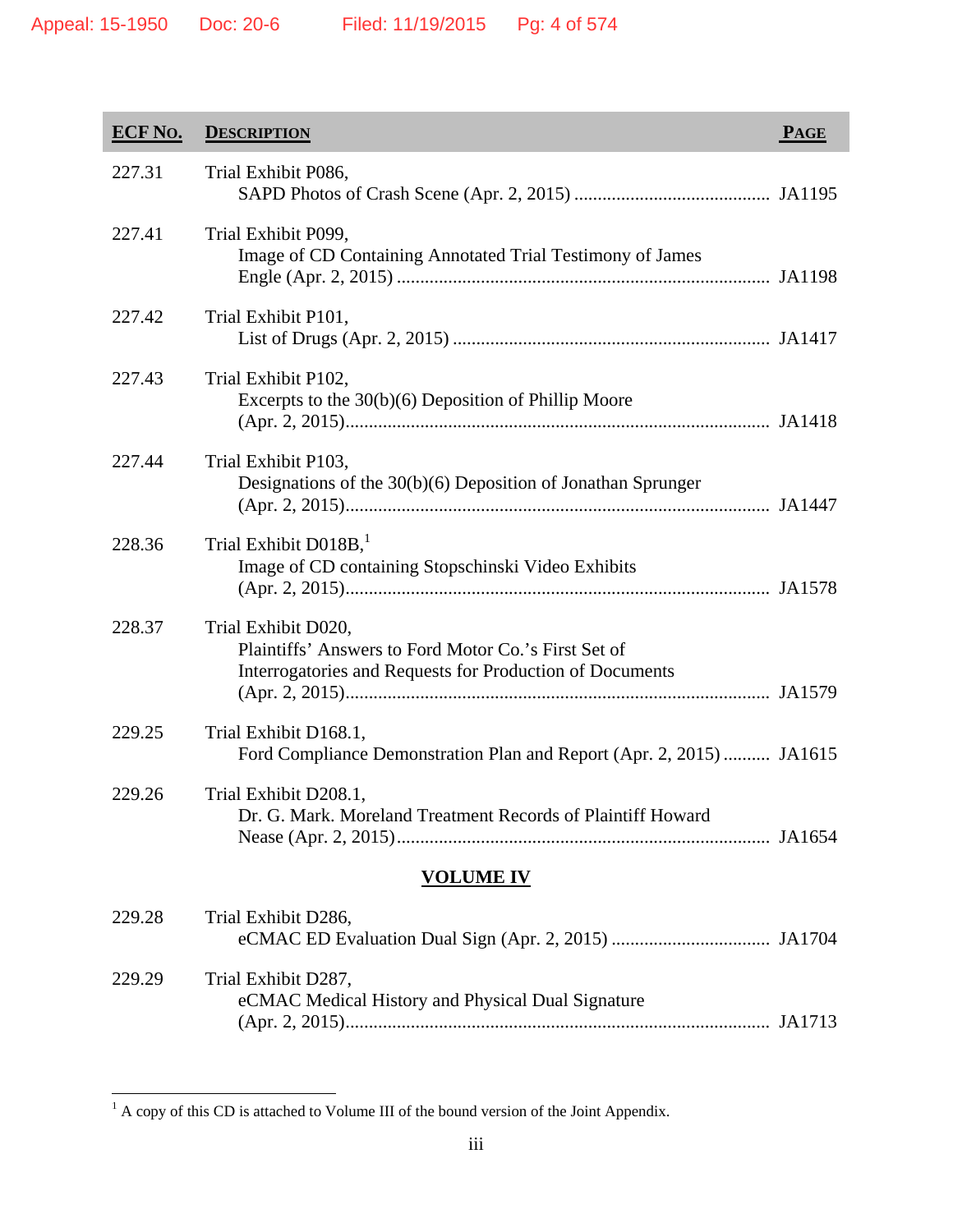| <b>ECF No.</b>   | <b>DESCRIPTION</b>                                                                                                                      | <b>PAGE</b> |
|------------------|-----------------------------------------------------------------------------------------------------------------------------------------|-------------|
| 227.31           | Trial Exhibit P086,                                                                                                                     |             |
| 227.41           | Trial Exhibit P099,<br>Image of CD Containing Annotated Trial Testimony of James                                                        |             |
| 227.42           | Trial Exhibit P101,                                                                                                                     |             |
| 227.43           | Trial Exhibit P102,<br>Excerpts to the 30(b)(6) Deposition of Phillip Moore                                                             |             |
| 227.44           | Trial Exhibit P103,<br>Designations of the 30(b)(6) Deposition of Jonathan Sprunger                                                     |             |
| 228.36           | Trial Exhibit D018B, <sup>1</sup><br>Image of CD containing Stopschinski Video Exhibits                                                 |             |
| 228.37           | Trial Exhibit D020,<br>Plaintiffs' Answers to Ford Motor Co.'s First Set of<br>Interrogatories and Requests for Production of Documents |             |
| 229.25           | Trial Exhibit D168.1,<br>Ford Compliance Demonstration Plan and Report (Apr. 2, 2015)  JA1615                                           |             |
| 229.26           | Trial Exhibit D208.1,<br>Dr. G. Mark. Moreland Treatment Records of Plaintiff Howard                                                    |             |
| <b>VOLUME IV</b> |                                                                                                                                         |             |
| 229.28           | Trial Exhibit D286,                                                                                                                     |             |
| 229.29           | Trial Exhibit D287,<br>eCMAC Medical History and Physical Dual Signature                                                                |             |

(Apr. 2, 2015) ........................................................................................... JA1713

<sup>&</sup>lt;sup>1</sup> A copy of this CD is attached to Volume III of the bound version of the Joint Appendix.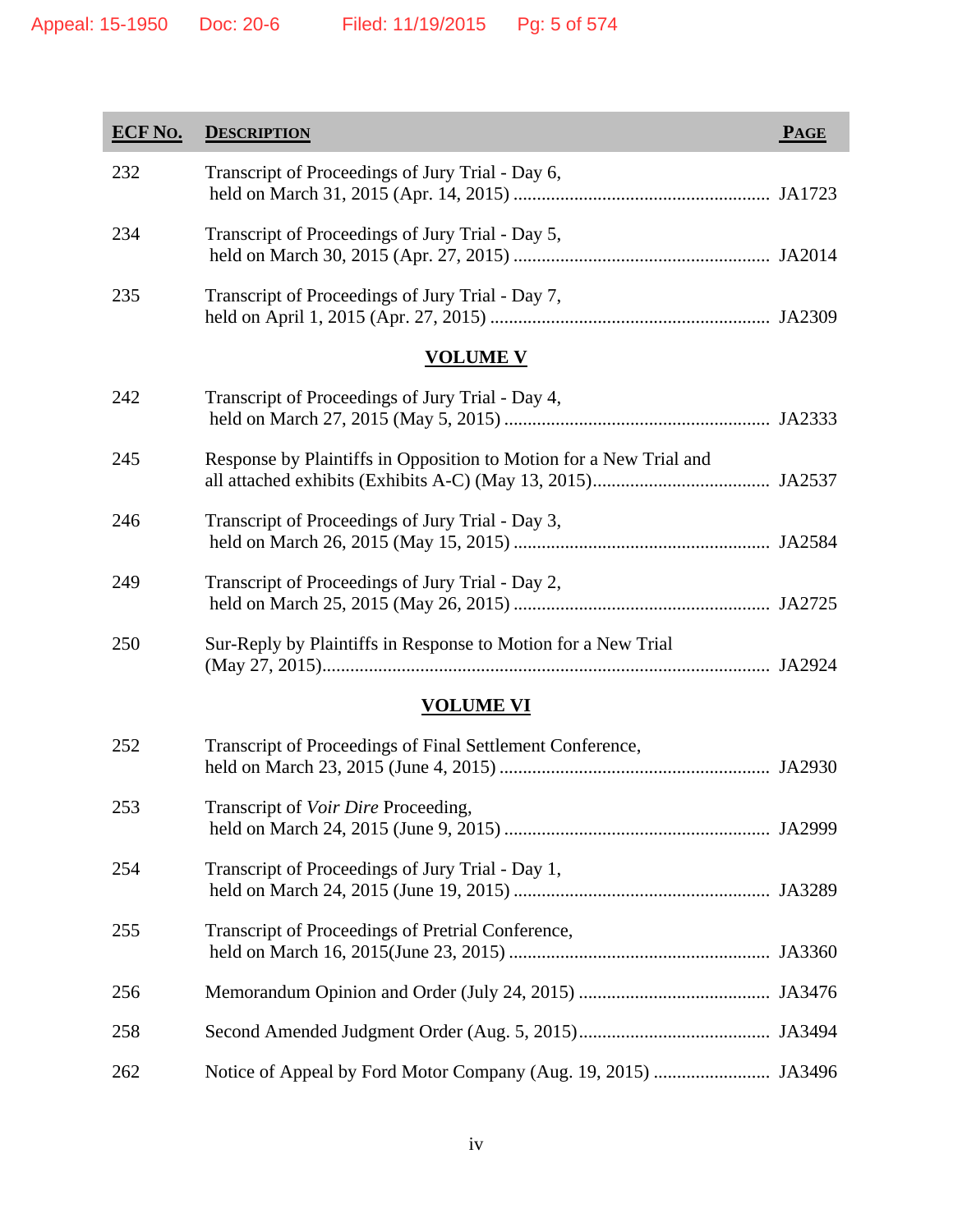| <b>ECF No.</b> | <b>DESCRIPTION</b>                                                 | PAGE |
|----------------|--------------------------------------------------------------------|------|
| 232            | Transcript of Proceedings of Jury Trial - Day 6,                   |      |
| 234            | Transcript of Proceedings of Jury Trial - Day 5,                   |      |
| 235            | Transcript of Proceedings of Jury Trial - Day 7,                   |      |
|                | <u>VOLUME V</u>                                                    |      |
| 242            | Transcript of Proceedings of Jury Trial - Day 4,                   |      |
| 245            | Response by Plaintiffs in Opposition to Motion for a New Trial and |      |
| 246            | Transcript of Proceedings of Jury Trial - Day 3,                   |      |
| 249            | Transcript of Proceedings of Jury Trial - Day 2,                   |      |
| 250            | Sur-Reply by Plaintiffs in Response to Motion for a New Trial      |      |
|                | <b>VOLUME VI</b>                                                   |      |
| 252            | Transcript of Proceedings of Final Settlement Conference,          |      |
| 253            | Transcript of Voir Dire Proceeding,                                |      |
| 254            | Transcript of Proceedings of Jury Trial - Day 1,                   |      |
| 255            | Transcript of Proceedings of Pretrial Conference,                  |      |
| 256            |                                                                    |      |
| 258            |                                                                    |      |
| 262            |                                                                    |      |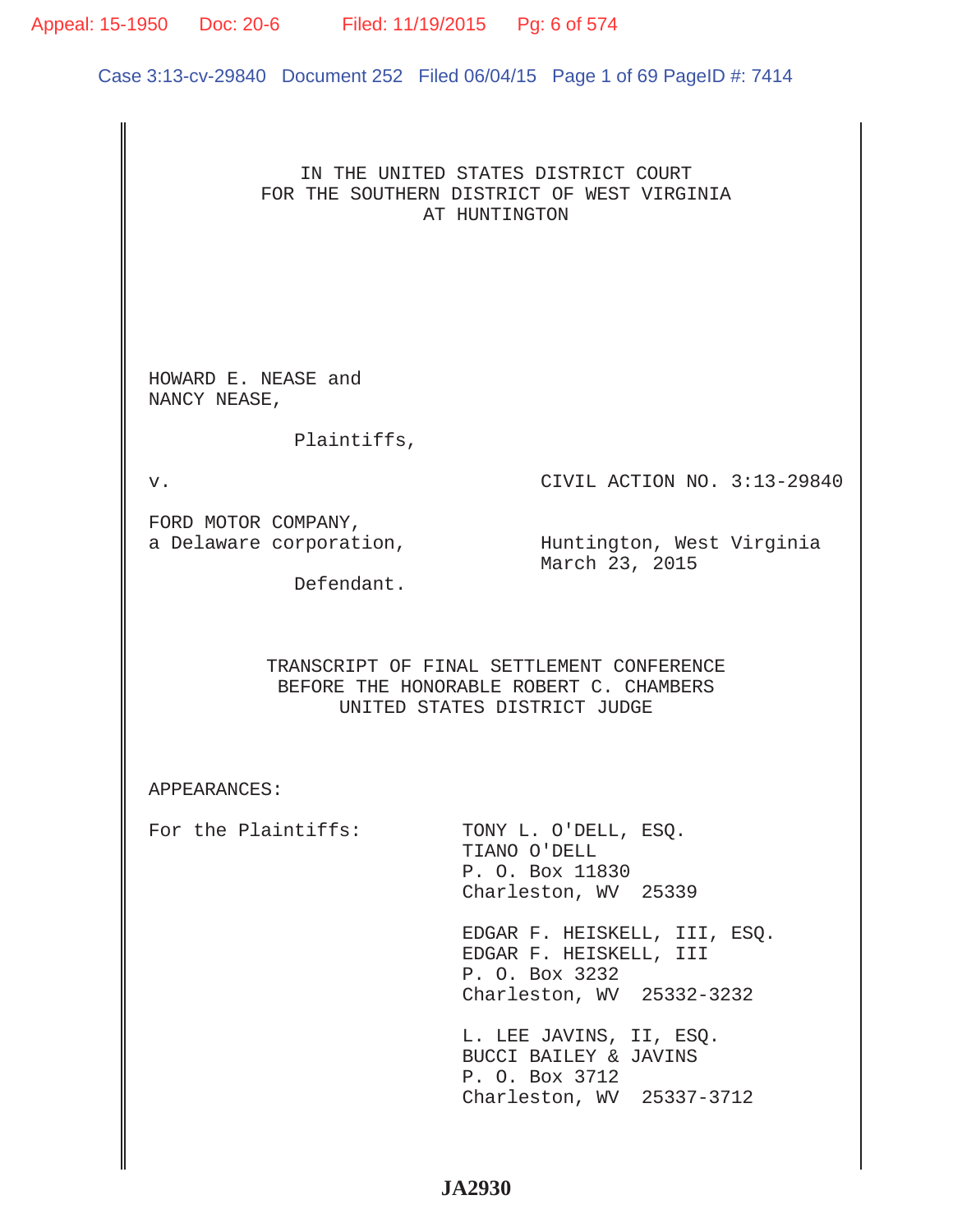## Appeal: 15-1950 Doc: 20-6 Filed: 11/19/2015 Pg: 6 of 574

Case 3:13-cv-29840 Document 252 Filed 06/04/15 Page 1 of 69 PageID #: 7414

## IN THE UNITED STATES DISTRICT COURT FOR THE SOUTHERN DISTRICT OF WEST VIRGINIA AT HUNTINGTON

HOWARD E. NEASE and NANCY NEASE,

Plaintiffs,

v. CIVIL ACTION NO. 3:13-29840

FORD MOTOR COMPANY,

a Delaware corporation, whit are alighed and the Huntington, West Virginia March 23, 2015

Defendant.

TRANSCRIPT OF FINAL SETTLEMENT CONFERENCE BEFORE THE HONORABLE ROBERT C. CHAMBERS UNITED STATES DISTRICT JUDGE

APPEARANCES:

For the Plaintiffs: TONY L. O'DELL, ESO. TIANO O'DELL P. O. Box 11830 Charleston, WV 25339

> EDGAR F. HEISKELL, III, ESQ. EDGAR F. HEISKELL, III P. O. Box 3232 Charleston, WV 25332-3232

 L. LEE JAVINS, II, ESQ. BUCCI BAILEY & JAVINS P. O. Box 3712 Charleston, WV 25337-3712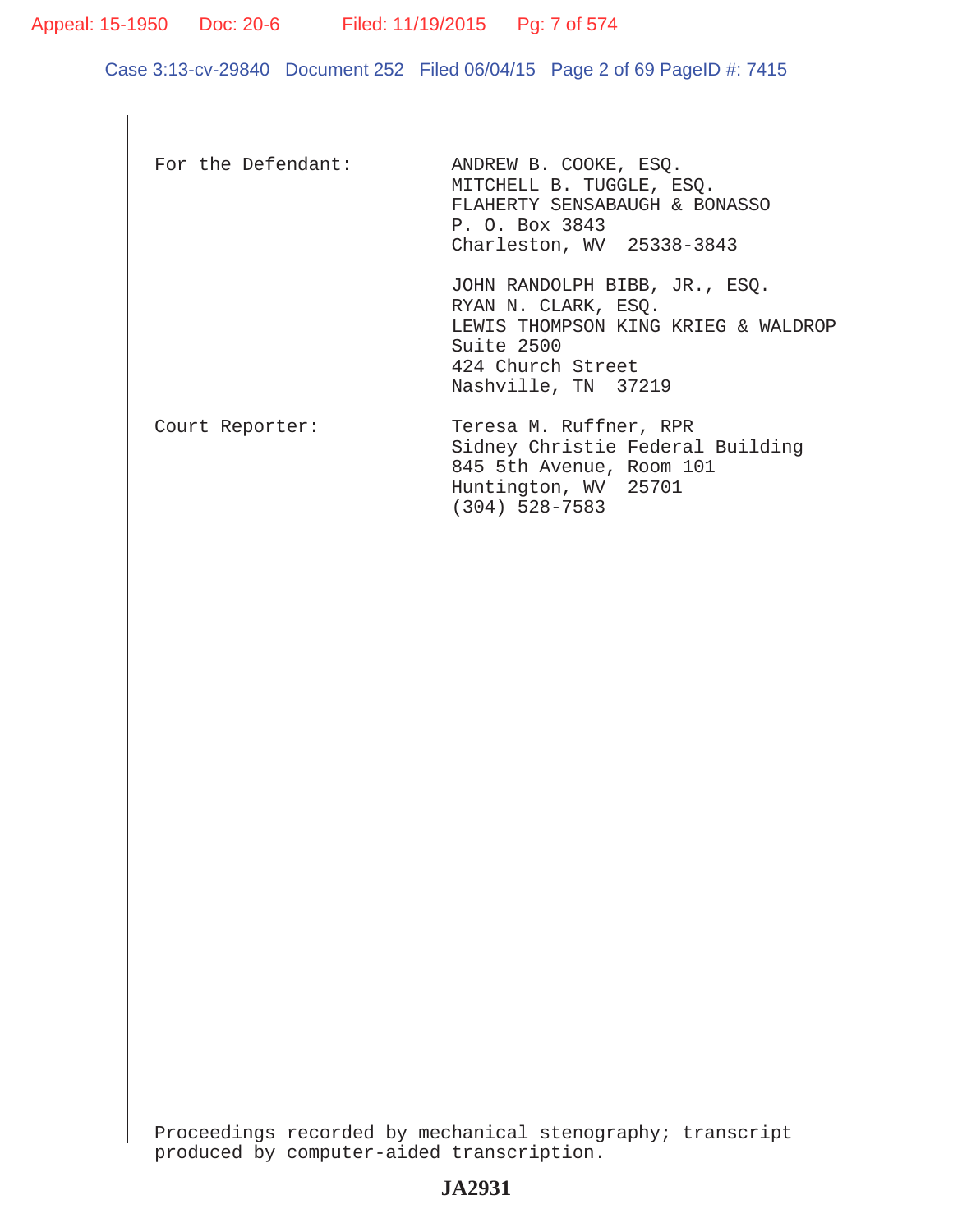Appeal: 15-1950 Doc: 20-6 Filed: 11/19/2015 Pg: 7 of 574

Case 3:13-cv-29840 Document 252 Filed 06/04/15 Page 2 of 69 PageID #: 7415

| For the Defendant: | ANDREW B. COOKE, ESQ.<br>MITCHELL B. TUGGLE, ESQ.<br>FLAHERTY SENSABAUGH & BONASSO<br>P. O. Box 3843<br>Charleston, WV 25338-3843                     |
|--------------------|-------------------------------------------------------------------------------------------------------------------------------------------------------|
|                    | JOHN RANDOLPH BIBB, JR., ESQ.<br>RYAN N. CLARK, ESQ.<br>LEWIS THOMPSON KING KRIEG & WALDROP<br>Suite 2500<br>424 Church Street<br>Nashville, TN 37219 |
| Court Reporter:    | Teresa M. Ruffner, RPR<br>Sidney Christie Federal Building<br>845 5th Avenue, Room 101<br>Huntington, WV 25701<br>$(304)$ 528-7583                    |

Proceedings recorded by mechanical stenography; transcript produced by computer-aided transcription.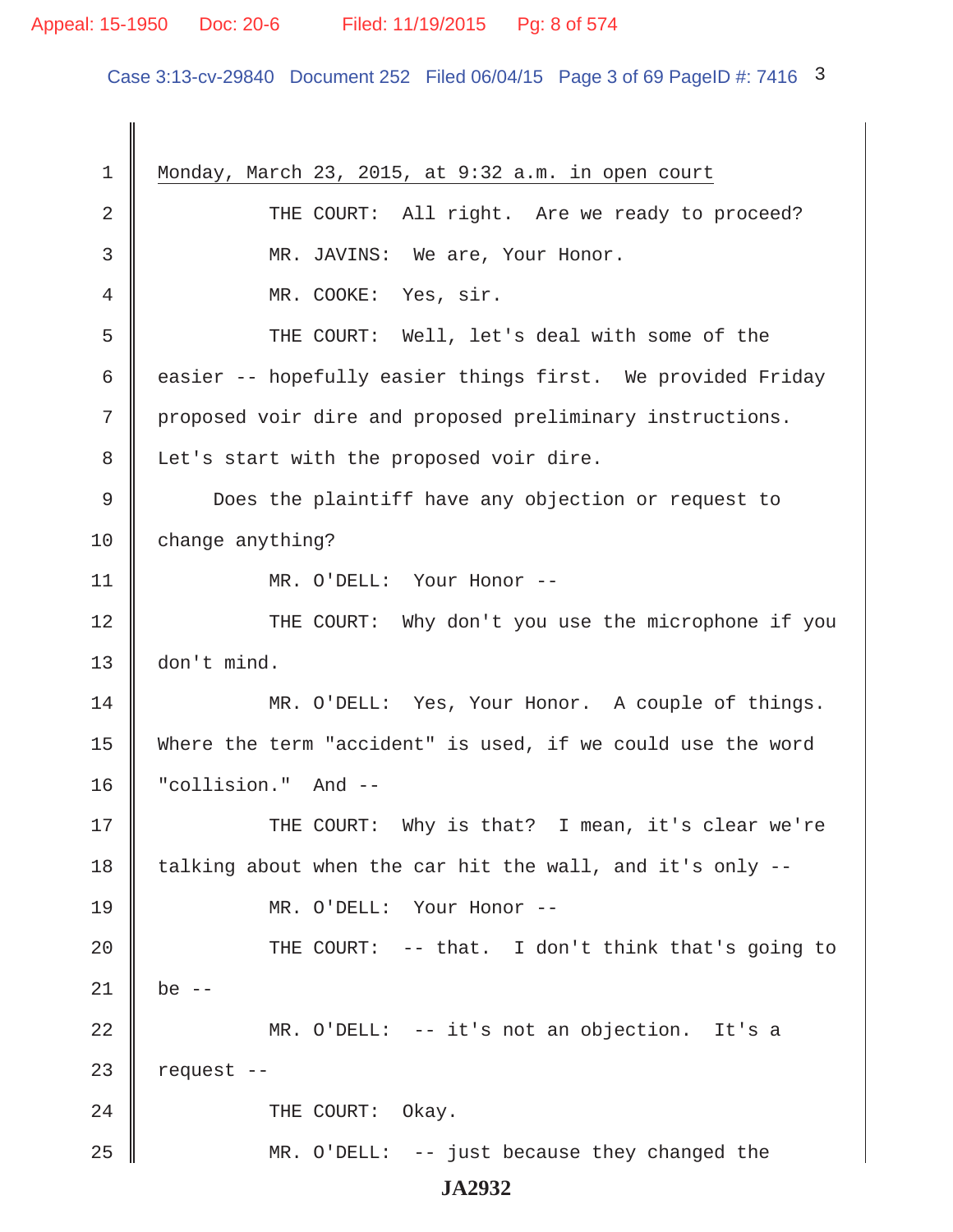#### Appeal: 15-1950 Doc: 20-6 Filed: 11/19/2015 Pg: 8 of 574

Case 3:13-cv-29840 Document 252 Filed 06/04/15 Page 3 of 69 PageID #: 7416 3

 1 Monday, March 23, 2015, at 9:32 a.m. in open court 2 THE COURT: All right. Are we ready to proceed? 3 || MR. JAVINS: We are, Your Honor. 4 || MR. COOKE: Yes, sir. 5 Supersum THE COURT: Well, let's deal with some of the 6 easier -- hopefully easier things first. We provided Friday 7 proposed voir dire and proposed preliminary instructions. 8 | Let's start with the proposed voir dire. 9 Does the plaintiff have any objection or request to 10 change anything? 11 || MR. O'DELL: Your Honor --12 THE COURT: Why don't you use the microphone if you 13 don't mind. 14 MR. O'DELL: Yes, Your Honor. A couple of things. 15 Where the term "accident" is used, if we could use the word 16 "collision." And -- 17 THE COURT: Why is that? I mean, it's clear we're 18 talking about when the car hit the wall, and it's only  $-$ -19 MR. O'DELL: Your Honor -- 20  $\parallel$  THE COURT: -- that. I don't think that's going to  $21 \parallel$  be --22 MR. O'DELL: -- it's not an objection. It's a  $23$  | request  $-$ 24 COURT: Okay. 25 MR. O'DELL: -- just because they changed the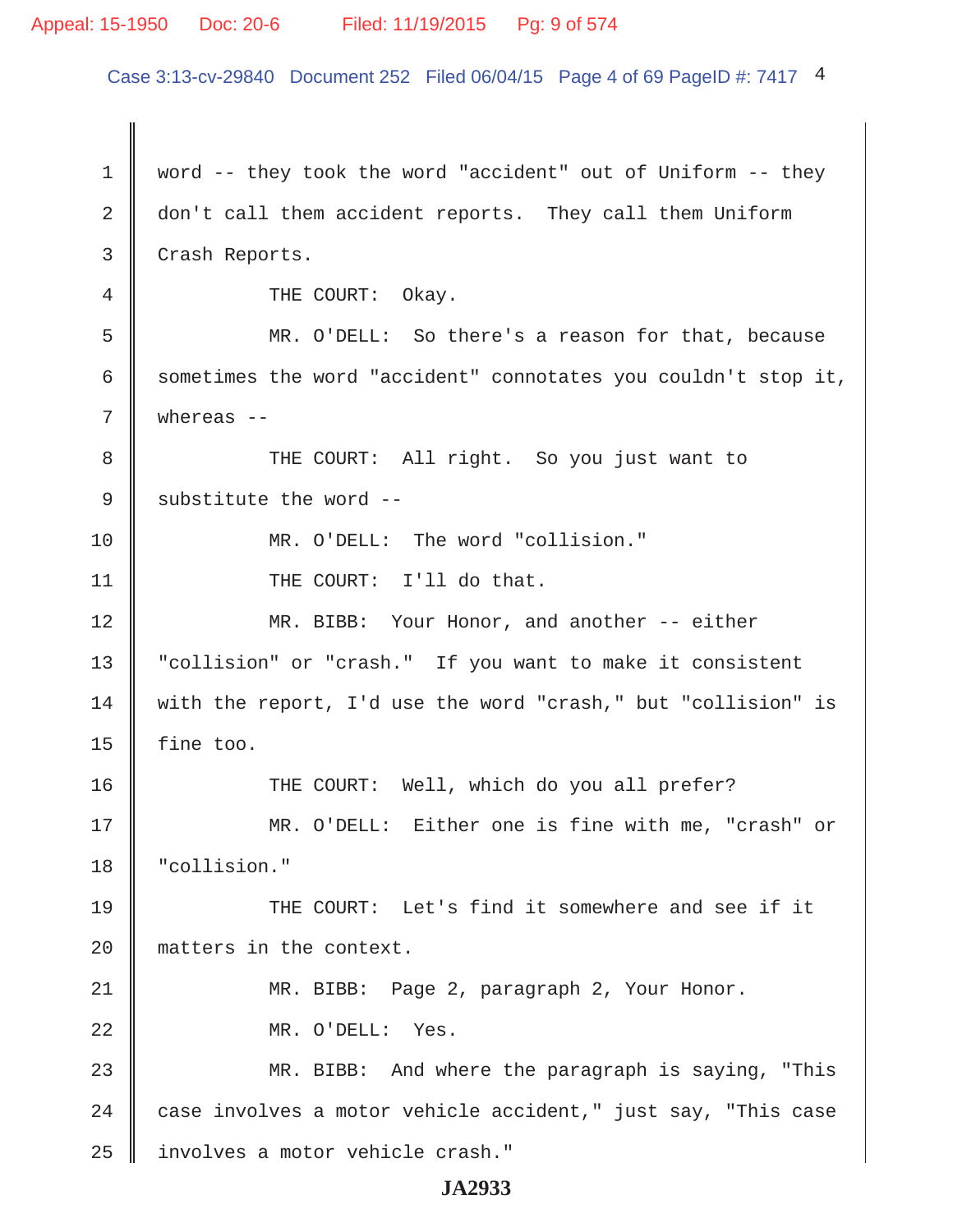#### Appeal: 15-1950 Doc: 20-6 Filed: 11/19/2015 Pg: 9 of 574

Case 3:13-cv-29840 Document 252 Filed 06/04/15 Page 4 of 69 PageID #: 7417 4

1 | word -- they took the word "accident" out of Uniform -- they 2 don't call them accident reports. They call them Uniform 3 Crash Reports. 4 COURT: Okay. 5 MR. O'DELL: So there's a reason for that, because 6  $\parallel$  sometimes the word "accident" connotates you couldn't stop it, 7 whereas -- 8 THE COURT: All right. So you just want to 9 | substitute the word  $-$ 10 || MR. O'DELL: The word "collision." 11 || THE COURT: I'll do that. 12 MR. BIBB: Your Honor, and another -- either 13 "collision" or "crash." If you want to make it consistent 14 with the report, I'd use the word "crash," but "collision" is 15  $\parallel$  fine too. 16 THE COURT: Well, which do you all prefer? 17 MR. O'DELL: Either one is fine with me, "crash" or 18 "collision." 19 THE COURT: Let's find it somewhere and see if it 20 matters in the context. 21 MR. BIBB: Page 2, paragraph 2, Your Honor. 22 MR. O'DELL: Yes. 23 MR. BIBB: And where the paragraph is saying, "This 24  $\parallel$  case involves a motor vehicle accident," just say, "This case 25 | involves a motor vehicle crash."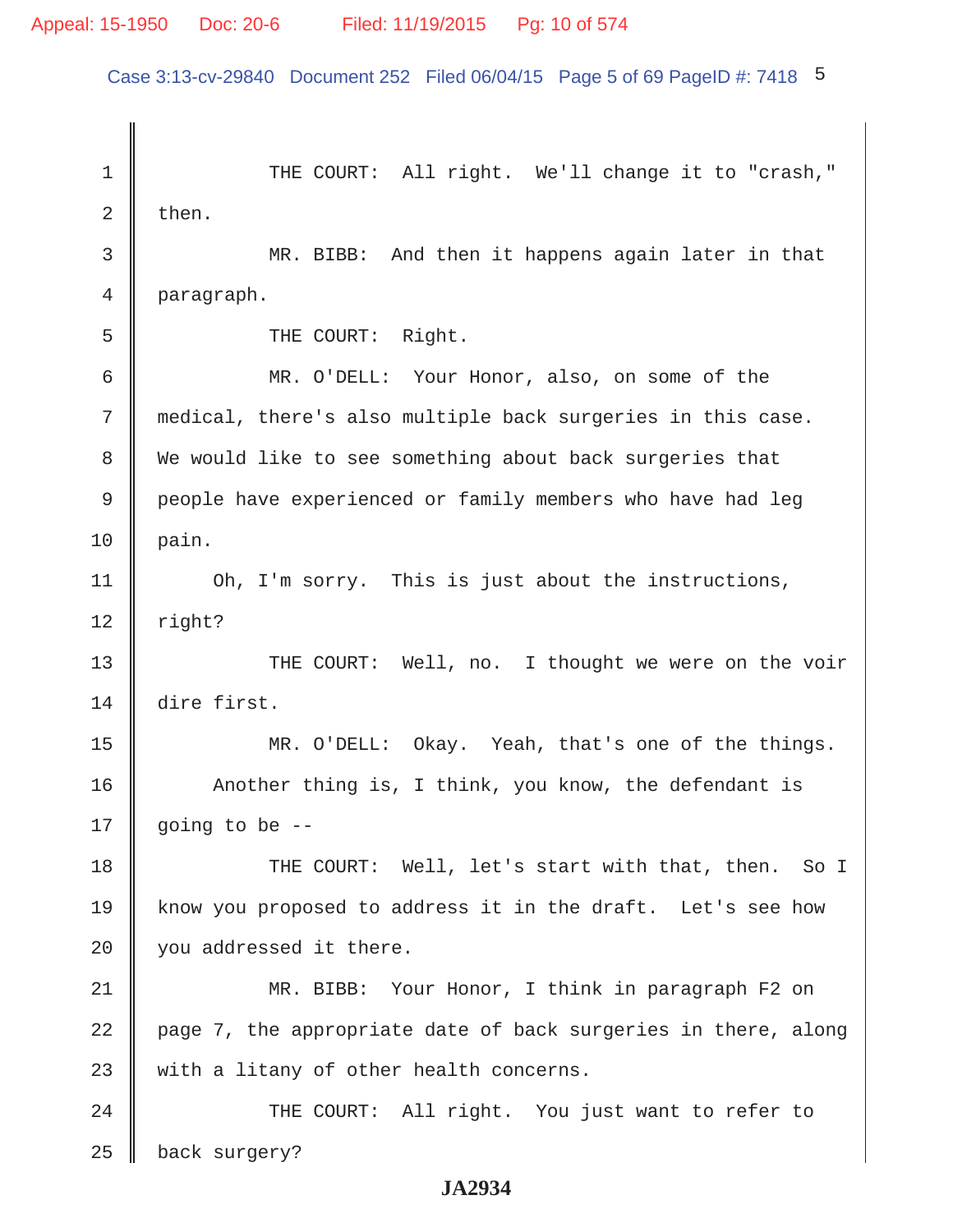Case 3:13-cv-29840 Document 252 Filed 06/04/15 Page 5 of 69 PageID #: 7418 5

1 THE COURT: All right. We'll change it to "crash,"  $2 \parallel$  then. 3 MR. BIBB: And then it happens again later in that 4 paragraph. 5 || THE COURT: Right. 6 MR. O'DELL: Your Honor, also, on some of the 7 medical, there's also multiple back surgeries in this case. 8 We would like to see something about back surgeries that 9 | people have experienced or family members who have had leg  $10$  | pain. 11 | Oh, I'm sorry. This is just about the instructions,  $12$  right? 13 || THE COURT: Well, no. I thought we were on the voir 14 dire first. 15 MR. O'DELL: Okay. Yeah, that's one of the things. 16 Another thing is, I think, you know, the defendant is 17  $\parallel$  going to be --18 THE COURT: Well, let's start with that, then. So I 19 know you proposed to address it in the draft. Let's see how 20 you addressed it there. 21 MR. BIBB: Your Honor, I think in paragraph F2 on 22  $\parallel$  page 7, the appropriate date of back surgeries in there, along  $23$  with a litany of other health concerns. 24 || THE COURT: All right. You just want to refer to 25 **back** surgery?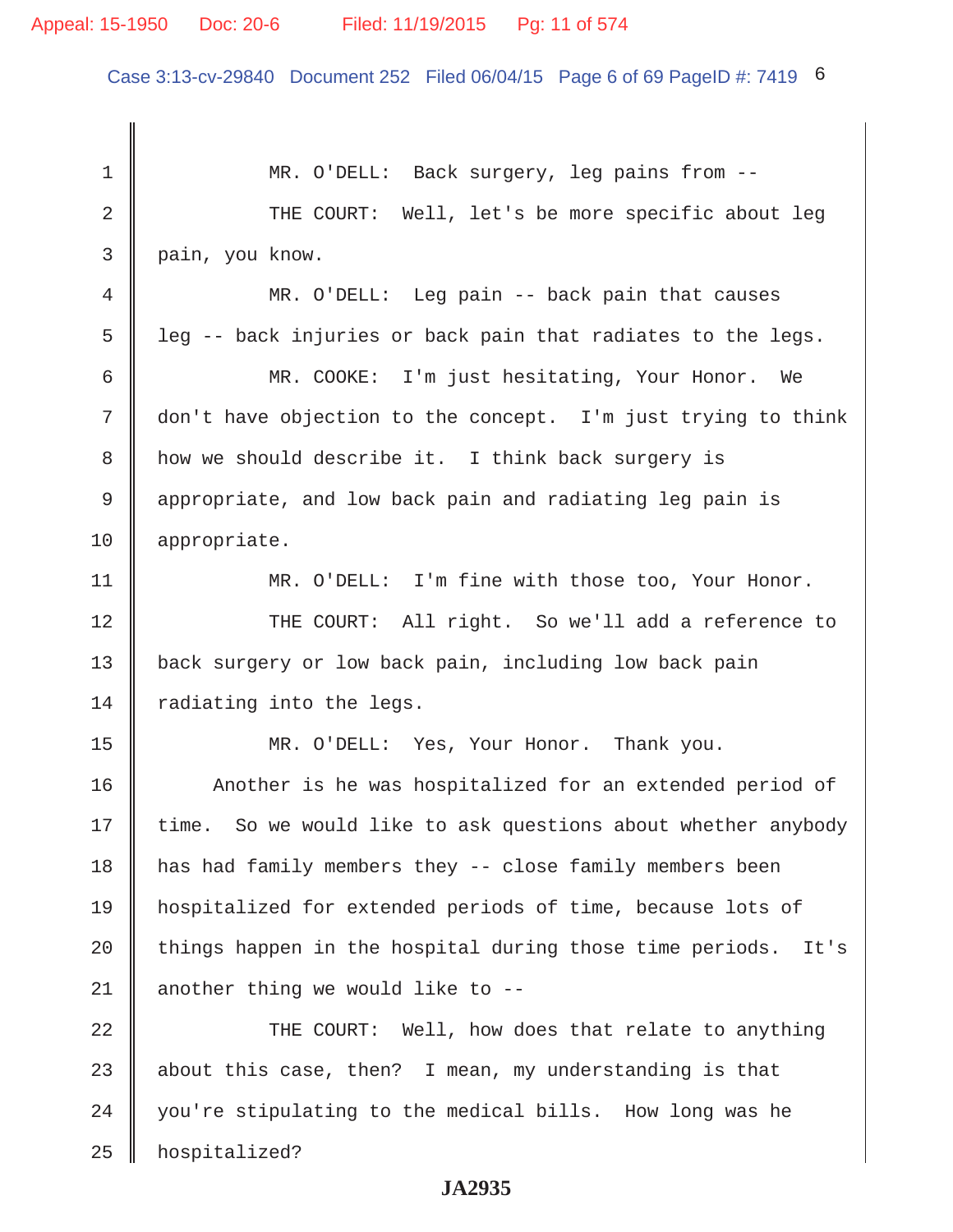#### Appeal: 15-1950 Doc: 20-6 Filed: 11/19/2015 Pg: 11 of 574

Case 3:13-cv-29840 Document 252 Filed 06/04/15 Page 6 of 69 PageID #: 7419 6

1 MR. O'DELL: Back surgery, leg pains from --2 THE COURT: Well, let's be more specific about leg 3 pain, you know. 4 MR. O'DELL: Leg pain -- back pain that causes  $5 \parallel$  leg -- back injuries or back pain that radiates to the legs. 6 MR. COOKE: I'm just hesitating, Your Honor. We 7 don't have objection to the concept. I'm just trying to think 8 | how we should describe it. I think back surgery is 9 appropriate, and low back pain and radiating leg pain is 10 appropriate. 11 MR. O'DELL: I'm fine with those too, Your Honor. 12 THE COURT: All right. So we'll add a reference to 13 | back surgery or low back pain, including low back pain 14  $\parallel$  radiating into the legs. 15 MR. O'DELL: Yes, Your Honor. Thank you. 16 | Another is he was hospitalized for an extended period of 17 | time. So we would like to ask questions about whether anybody 18 has had family members they -- close family members been 19 hospitalized for extended periods of time, because lots of 20  $\parallel$  things happen in the hospital during those time periods. It's 21  $\parallel$  another thing we would like to --22 THE COURT: Well, how does that relate to anything 23  $\parallel$  about this case, then? I mean, my understanding is that 24 | you're stipulating to the medical bills. How long was he 25 hospitalized?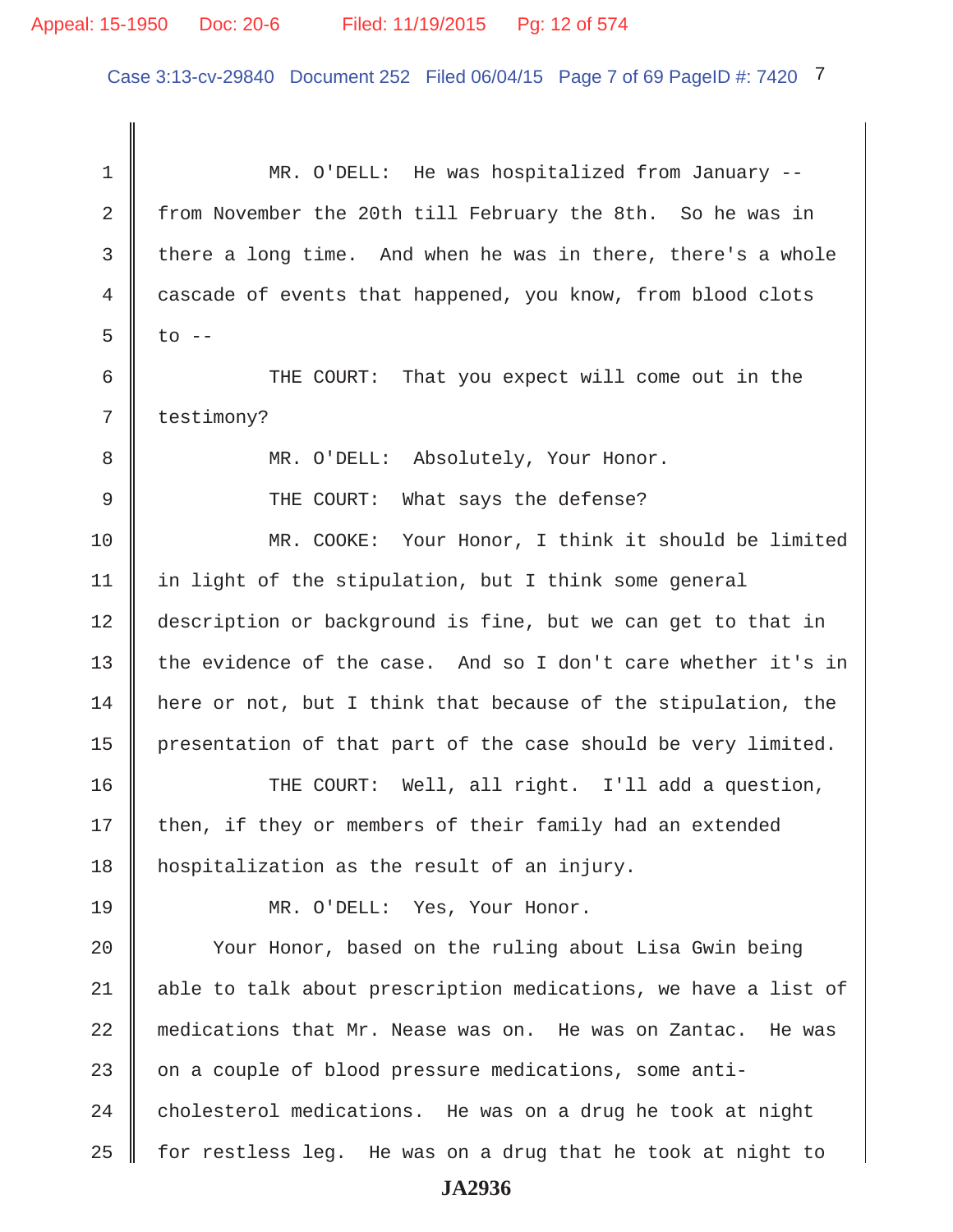## Appeal: 15-1950 Doc: 20-6 Filed: 11/19/2015 Pg: 12 of 574

Case 3:13-cv-29840 Document 252 Filed 06/04/15 Page 7 of 69 PageID #: 7420 7

1 MR. O'DELL: He was hospitalized from January --2 from November the 20th till February the 8th. So he was in 3 there a long time. And when he was in there, there's a whole 4 cascade of events that happened, you know, from blood clots  $5 \parallel$  to  $-$  6 THE COURT: That you expect will come out in the 7 | testimony? 8 || MR. O'DELL: Absolutely, Your Honor. 9 THE COURT: What says the defense? 10 MR. COOKE: Your Honor, I think it should be limited 11 | in light of the stipulation, but I think some general 12 description or background is fine, but we can get to that in 13 the evidence of the case. And so I don't care whether it's in  $14$  | here or not, but I think that because of the stipulation, the 15  $\parallel$  presentation of that part of the case should be very limited. 16 THE COURT: Well, all right. I'll add a question, 17 || then, if they or members of their family had an extended 18 hospitalization as the result of an injury. 19 MR. O'DELL: Yes, Your Honor. 20 | Your Honor, based on the ruling about Lisa Gwin being 21 || able to talk about prescription medications, we have a list of 22 medications that Mr. Nease was on. He was on Zantac. He was 23 on a couple of blood pressure medications, some anti- $24$  denolesterol medications. He was on a drug he took at night  $25$  for restless leg. He was on a drug that he took at night to **JA2936**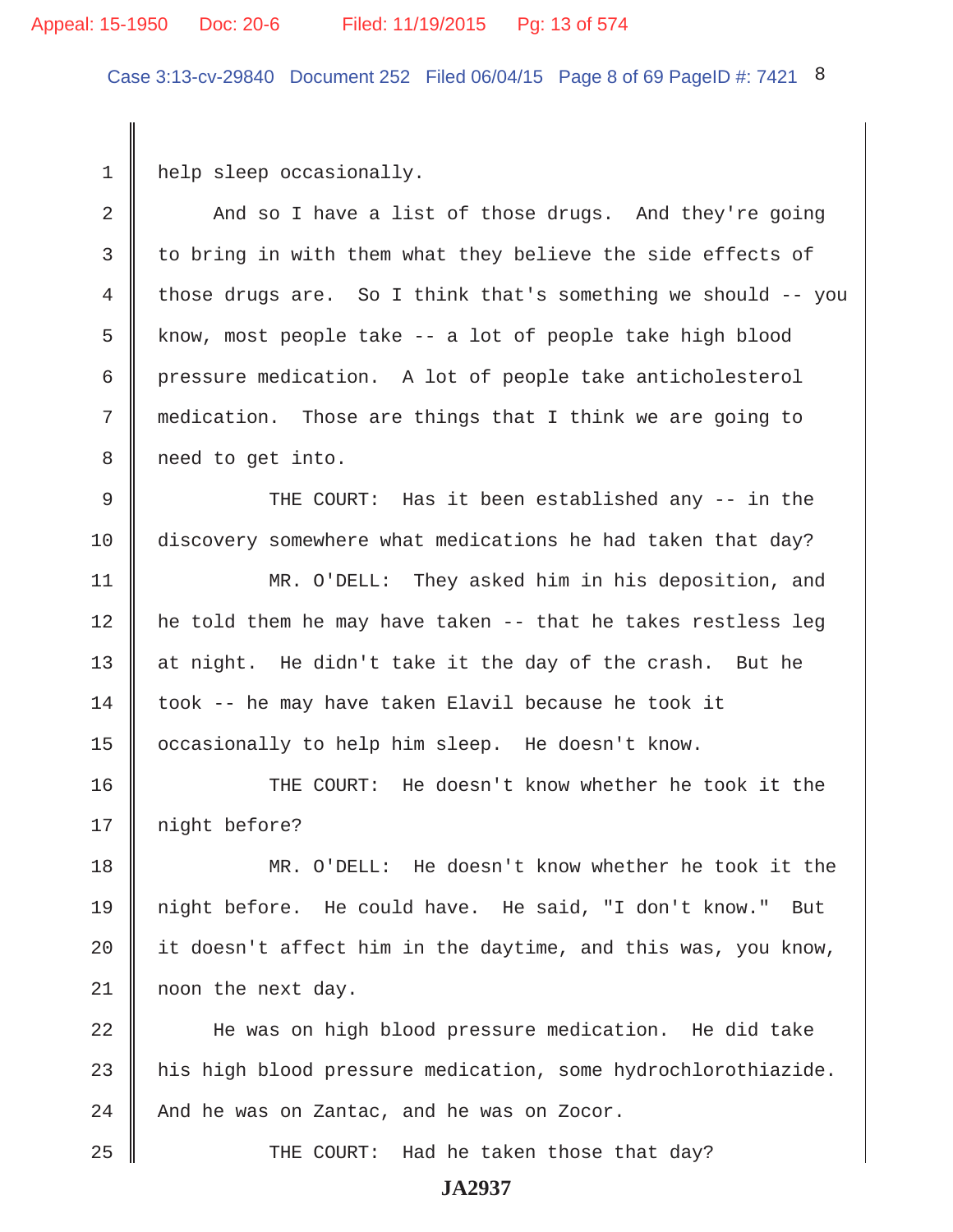#### Appeal: 15-1950 Doc: 20-6 Filed: 11/19/2015 Pg: 13 of 574

Case 3:13-cv-29840 Document 252 Filed 06/04/15 Page 8 of 69 PageID #: 7421 8

1 | help sleep occasionally.

2 And so I have a list of those drugs. And they're going 3 to bring in with them what they believe the side effects of 4 those drugs are. So I think that's something we should -- you  $5 \parallel$  know, most people take -- a lot of people take high blood 6 pressure medication. A lot of people take anticholesterol 7 medication. Those are things that I think we are going to 8 | need to get into. 9 THE COURT: Has it been established any -- in the 10 discovery somewhere what medications he had taken that day? 11 MR. O'DELL: They asked him in his deposition, and 12 he told them he may have taken -- that he takes restless leg 13 at night. He didn't take it the day of the crash. But he  $14$  took -- he may have taken Elavil because he took it 15 | occasionally to help him sleep. He doesn't know. 16 THE COURT: He doesn't know whether he took it the 17 || night before? 18 MR. O'DELL: He doesn't know whether he took it the 19 night before. He could have. He said, "I don't know." But 20  $\parallel$  it doesn't affect him in the daytime, and this was, you know, 21 | noon the next day. 22 || He was on high blood pressure medication. He did take 23 his high blood pressure medication, some hydrochlorothiazide.  $24$   $\parallel$  And he was on Zantac, and he was on Zocor.

25 THE COURT: Had he taken those that day?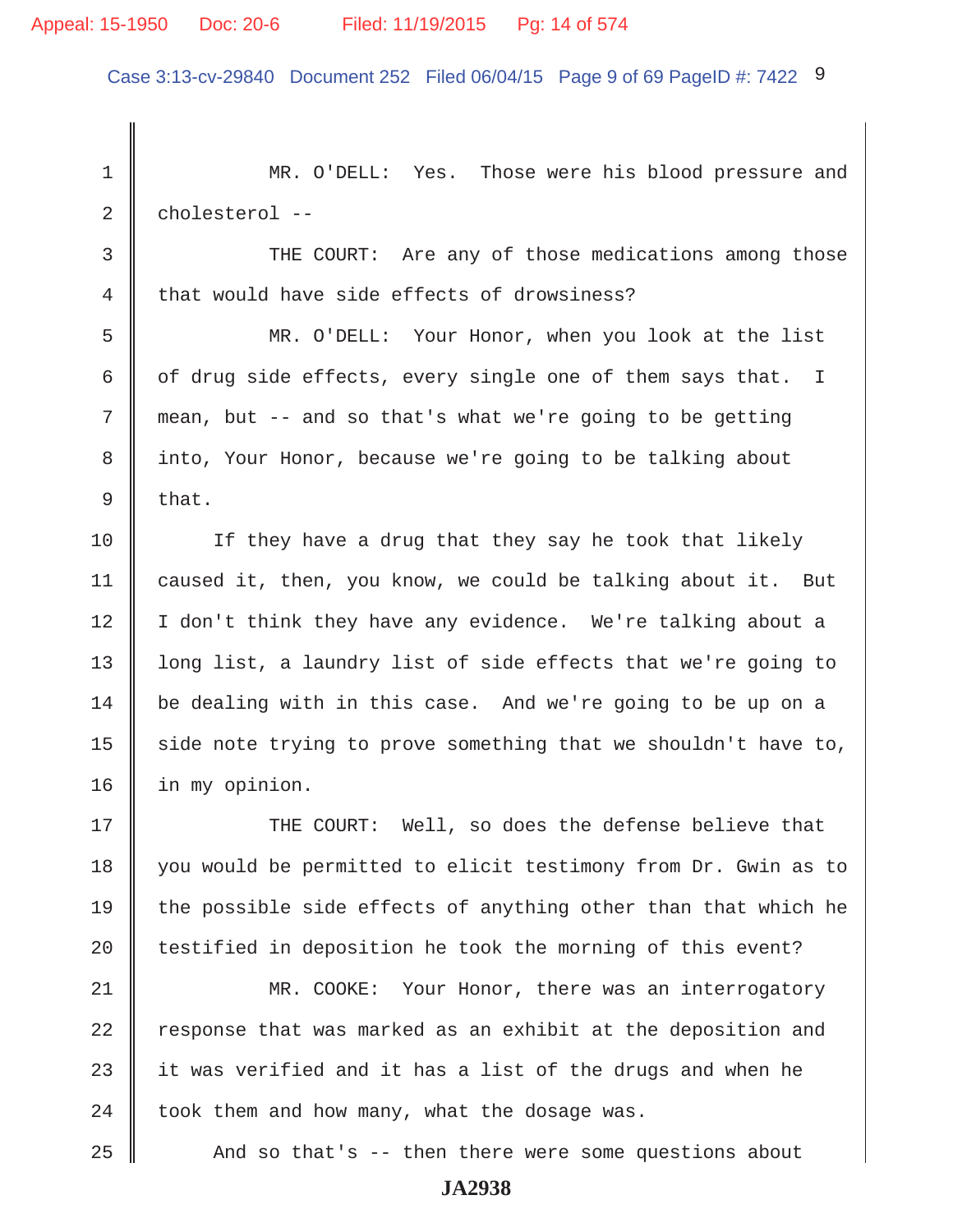Case 3:13-cv-29840 Document 252 Filed 06/04/15 Page 9 of 69 PageID #: 7422 9

 1 MR. O'DELL: Yes. Those were his blood pressure and 2 cholesterol --3 THE COURT: Are any of those medications among those 4 that would have side effects of drowsiness? 5 MR. O'DELL: Your Honor, when you look at the list 6  $\parallel$  of drug side effects, every single one of them says that. I 7 mean, but -- and so that's what we're going to be getting 8 into, Your Honor, because we're going to be talking about  $9 \parallel$  that. 10 || If they have a drug that they say he took that likely 11 caused it, then, you know, we could be talking about it. But 12 | I don't think they have any evidence. We're talking about a 13 | long list, a laundry list of side effects that we're going to 14 be dealing with in this case. And we're going to be up on a 15  $\parallel$  side note trying to prove something that we shouldn't have to, 16 in my opinion. 17  $\parallel$  THE COURT: Well, so does the defense believe that 18 you would be permitted to elicit testimony from Dr. Gwin as to 19 the possible side effects of anything other than that which he 20  $\parallel$  testified in deposition he took the morning of this event? 21 MR. COOKE: Your Honor, there was an interrogatory  $22$  response that was marked as an exhibit at the deposition and 23  $\parallel$  it was verified and it has a list of the drugs and when he 24  $\parallel$  took them and how many, what the dosage was. 25 And so that's -- then there were some questions about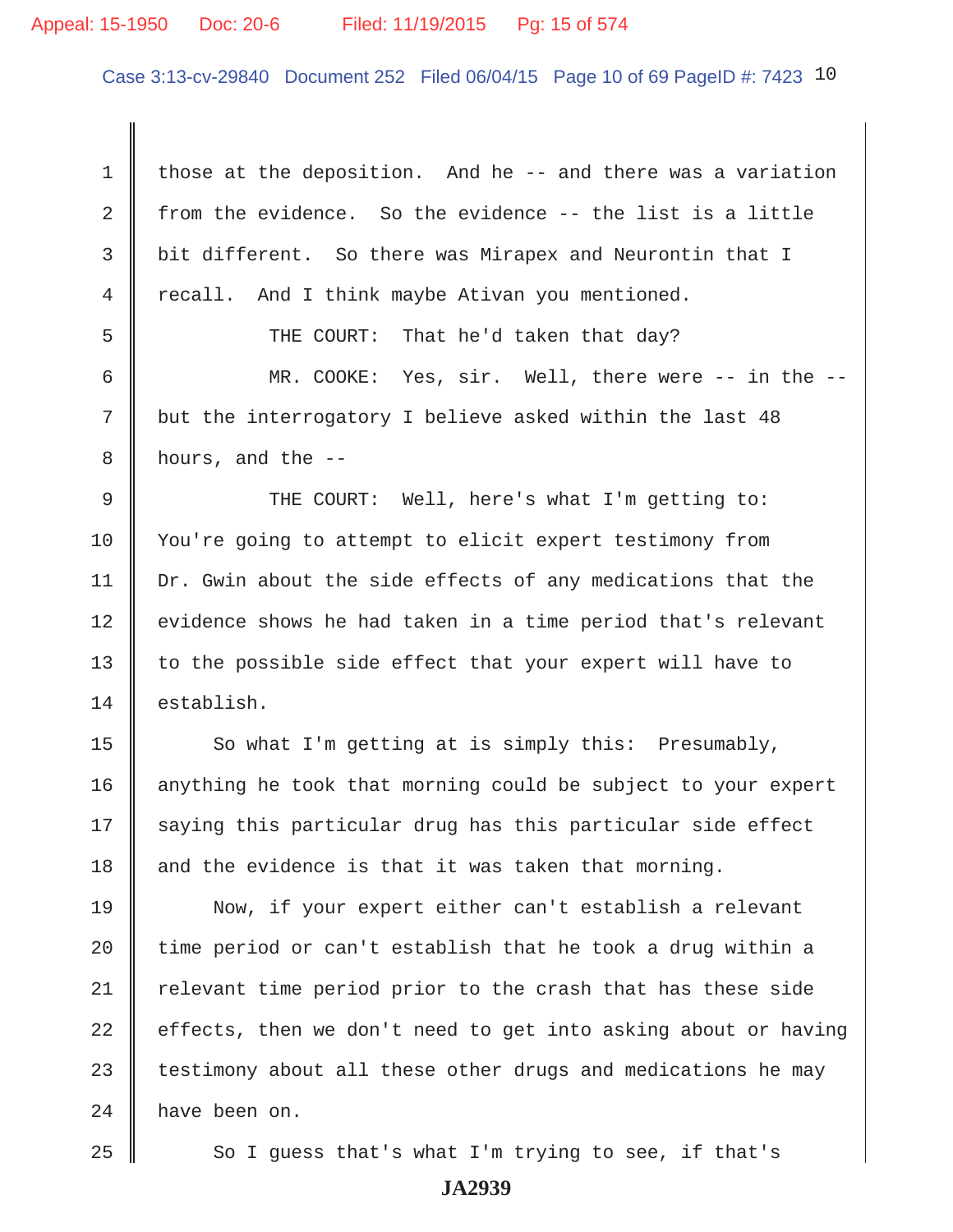#### Appeal: 15-1950 Doc: 20-6 Filed: 11/19/2015 Pg: 15 of 574

Case 3:13-cv-29840 Document 252 Filed 06/04/15 Page 10 of 69 PageID #: 7423 10

1  $\parallel$  those at the deposition. And he -- and there was a variation 2  $\parallel$  from the evidence. So the evidence -- the list is a little 3 bit different. So there was Mirapex and Neurontin that I  $4 \parallel$  recall. And I think maybe Ativan you mentioned. 5 SUPER THE COURT: That he'd taken that day? 6 MR. COOKE: Yes, sir. Well, there were -- in the -- 7 but the interrogatory I believe asked within the last 48  $8 \parallel$  hours, and the --9 THE COURT: Well, here's what I'm getting to: 10 Vou're going to attempt to elicit expert testimony from 11 | Dr. Gwin about the side effects of any medications that the  $12$  evidence shows he had taken in a time period that's relevant 13  $\parallel$  to the possible side effect that your expert will have to 14 establish.  $15$  So what I'm getting at is simply this: Presumably, 16 | anything he took that morning could be subject to your expert  $17$  saying this particular drug has this particular side effect 18  $\parallel$  and the evidence is that it was taken that morning. 19 Now, if your expert either can't establish a relevant 20  $\parallel$  time period or can't establish that he took a drug within a  $21$  relevant time period prior to the crash that has these side 22  $\parallel$  effects, then we don't need to get into asking about or having  $23$  testimony about all these other drugs and medications he may 24 have been on.

 $25$   $\parallel$  So I guess that's what I'm trying to see, if that's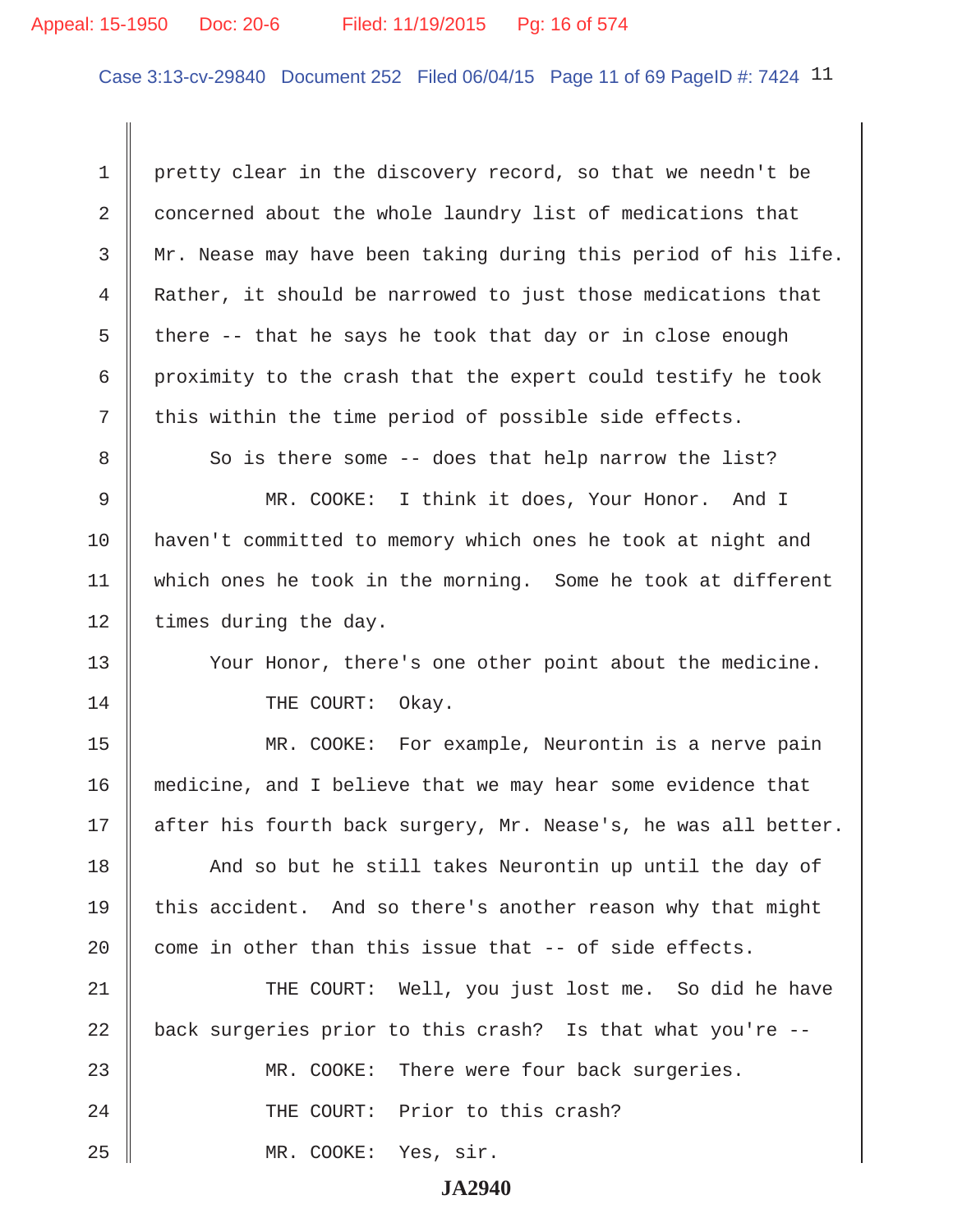#### Appeal: 15-1950 Doc: 20-6 Filed: 11/19/2015 Pg: 16 of 574

Case 3:13-cv-29840 Document 252 Filed 06/04/15 Page 11 of 69 PageID #: 7424 11

1 pretty clear in the discovery record, so that we needn't be 2 concerned about the whole laundry list of medications that 3 Mr. Nease may have been taking during this period of his life. 4 Rather, it should be narrowed to just those medications that 5  $\parallel$  there -- that he says he took that day or in close enough  $6 \parallel$  proximity to the crash that the expert could testify he took  $7$   $\parallel$  this within the time period of possible side effects. 8 So is there some -- does that help narrow the list? 9 MR. COOKE: I think it does, Your Honor. And I 10 || haven't committed to memory which ones he took at night and 11 which ones he took in the morning. Some he took at different 12 | times during the day. 13 || Your Honor, there's one other point about the medicine.

14 || THE COURT: Okay.

15 MR. COOKE: For example, Neurontin is a nerve pain 16 medicine, and I believe that we may hear some evidence that 17 || after his fourth back surgery, Mr. Nease's, he was all better.

18 || And so but he still takes Neurontin up until the day of 19 || this accident. And so there's another reason why that might 20  $\parallel$  come in other than this issue that -- of side effects.

21 THE COURT: Well, you just lost me. So did he have 22  $\parallel$  back surgeries prior to this crash? Is that what you're --23 MR. COOKE: There were four back surgeries. 24 || THE COURT: Prior to this crash? 25 MR. COOKE: Yes, sir.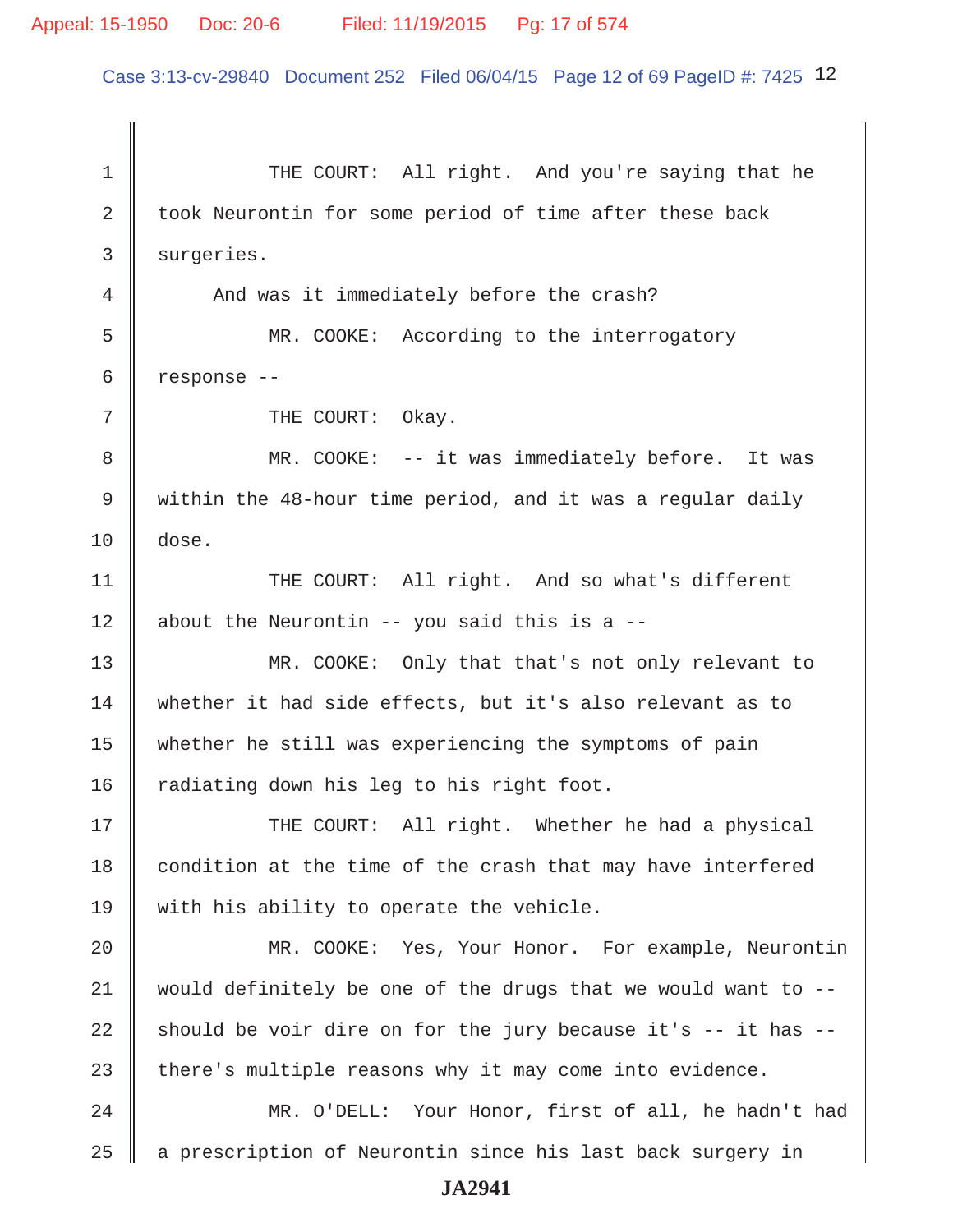## Appeal: 15-1950 Doc: 20-6 Filed: 11/19/2015 Pg: 17 of 574

Case 3:13-cv-29840 Document 252 Filed 06/04/15 Page 12 of 69 PageID #: 7425 12

1 THE COURT: All right. And you're saying that he 2 took Neurontin for some period of time after these back 3 surgeries. 4 And was it immediately before the crash? 5 MR. COOKE: According to the interrogatory  $6 \parallel$  response --7 || THE COURT: Okay. 8 MR. COOKE: -- it was immediately before. It was 9 within the 48-hour time period, and it was a regular daily 10 dose. 11 || THE COURT: All right. And so what's different 12 | about the Neurontin -- you said this is a  $-$ -13 MR. COOKE: Only that that's not only relevant to 14 whether it had side effects, but it's also relevant as to 15 whether he still was experiencing the symptoms of pain 16  $\parallel$  radiating down his leg to his right foot. 17 THE COURT: All right. Whether he had a physical 18 condition at the time of the crash that may have interfered 19 with his ability to operate the vehicle. 20 || MR. COOKE: Yes, Your Honor. For example, Neurontin  $21$  would definitely be one of the drugs that we would want to  $-$ -22 should be voir dire on for the jury because it's  $-$  it has  $-$ 23 there's multiple reasons why it may come into evidence. 24 MR. O'DELL: Your Honor, first of all, he hadn't had  $25$   $\parallel$  a prescription of Neurontin since his last back surgery in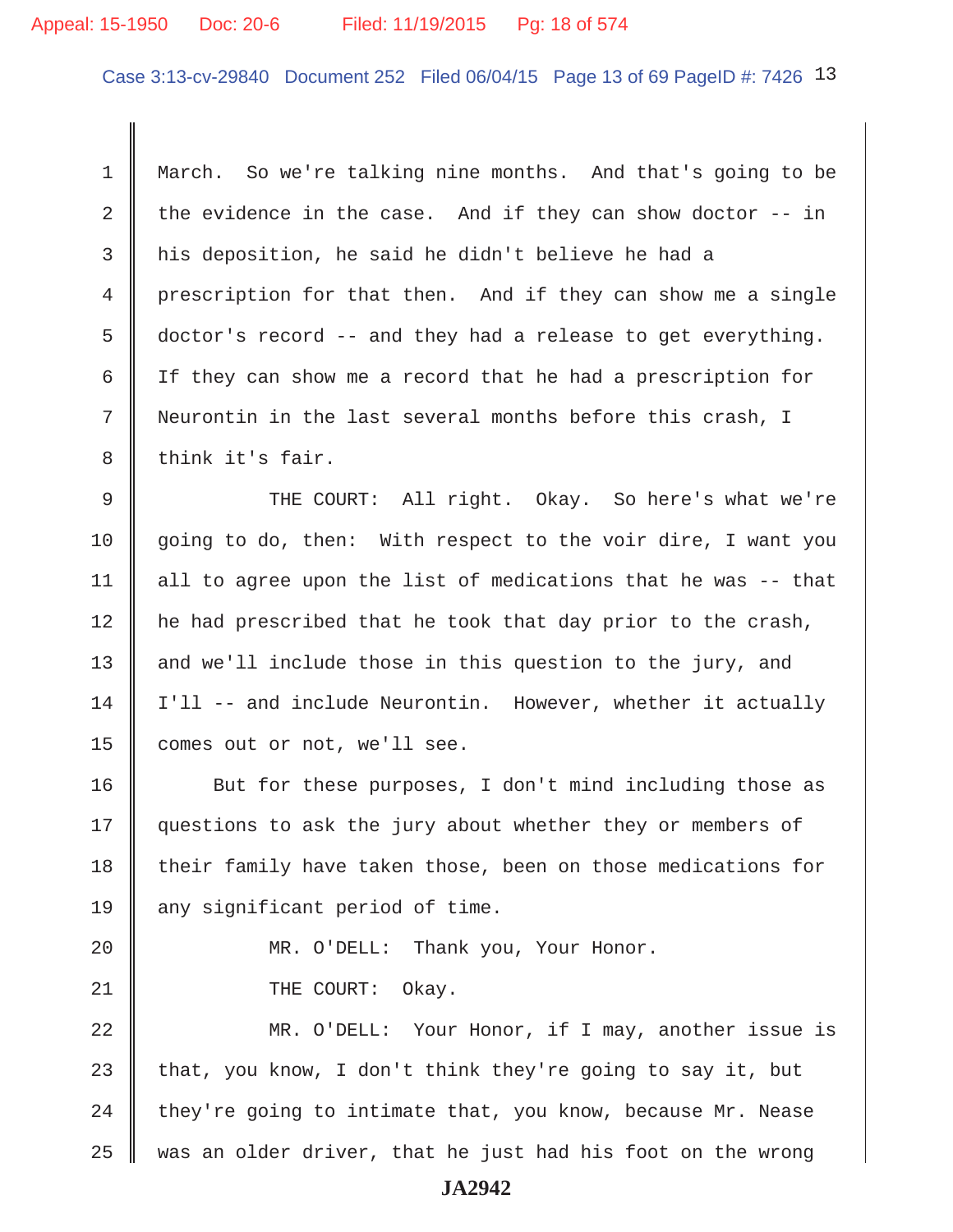#### Appeal: 15-1950 Doc: 20-6 Filed: 11/19/2015 Pg: 18 of 574

Case 3:13-cv-29840 Document 252 Filed 06/04/15 Page 13 of 69 PageID #: 7426 13

 1 March. So we're talking nine months. And that's going to be 2 the evidence in the case. And if they can show doctor  $-$ - in  $3$  his deposition, he said he didn't believe he had a 4 | prescription for that then. And if they can show me a single  $5 \parallel$  doctor's record -- and they had a release to get everything. 6 If they can show me a record that he had a prescription for 7 Neurontin in the last several months before this crash, I 8 think it's fair.

9 THE COURT: All right. Okay. So here's what we're 10 going to do, then: With respect to the voir dire, I want you 11  $\parallel$  all to agree upon the list of medications that he was -- that 12 | he had prescribed that he took that day prior to the crash, 13  $\parallel$  and we'll include those in this question to the jury, and  $14$  | I'll -- and include Neurontin. However, whether it actually 15 comes out or not, we'll see.

16 But for these purposes, I don't mind including those as 17 guestions to ask the jury about whether they or members of 18 their family have taken those, been on those medications for 19  $\parallel$  any significant period of time.

20 || MR. O'DELL: Thank you, Your Honor. 21 || THE COURT: Okay.

22 MR. O'DELL: Your Honor, if I may, another issue is 23 that, you know, I don't think they're going to say it, but 24  $\parallel$  they're going to intimate that, you know, because Mr. Nease  $25$  was an older driver, that he just had his foot on the wrong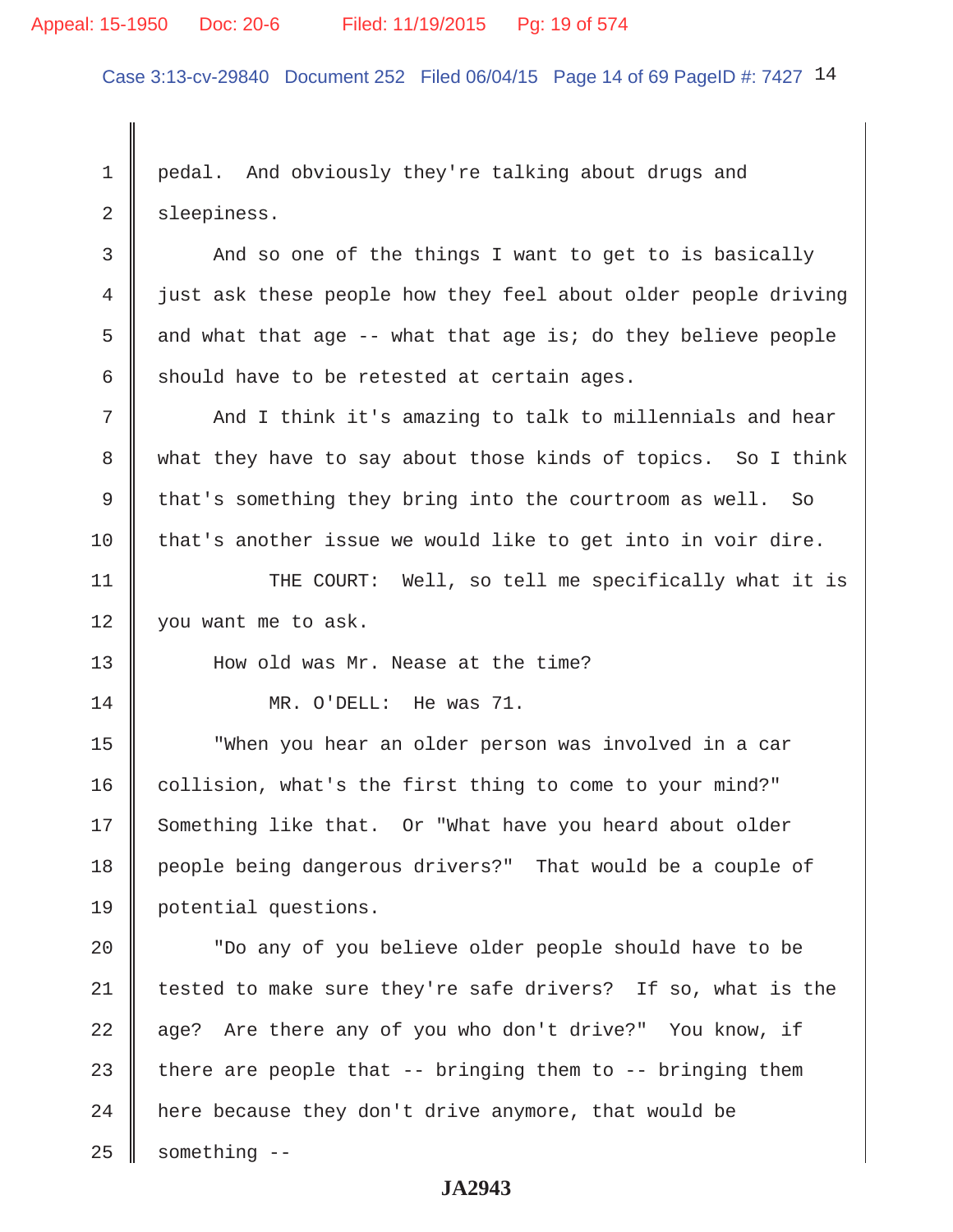#### Appeal: 15-1950 Doc: 20-6 Filed: 11/19/2015 Pg: 19 of 574

Case 3:13-cv-29840 Document 252 Filed 06/04/15 Page 14 of 69 PageID #: 7427 14

1 pedal. And obviously they're talking about drugs and 2 sleepiness.

3 And so one of the things I want to get to is basically 4 iust ask these people how they feel about older people driving 5 and what that age -- what that age is; do they believe people 6 should have to be retested at certain ages.

7 || And I think it's amazing to talk to millennials and hear 8 what they have to say about those kinds of topics. So I think 9 that's something they bring into the courtroom as well. So  $10$  that's another issue we would like to get into in voir dire.

11 || THE COURT: Well, so tell me specifically what it is 12 you want me to ask.

13 How old was Mr. Nease at the time?

14 MR. O'DELL: He was 71.

15 "When you hear an older person was involved in a car 16 collision, what's the first thing to come to your mind?" 17 Something like that. Or "What have you heard about older 18 people being dangerous drivers?" That would be a couple of 19 potential questions.

20 || The any of you believe older people should have to be  $\parallel$  tested to make sure they're safe drivers? If so, what is the  $\parallel$  age? Are there any of you who don't drive?" You know, if 23 there are people that  $-$ - bringing them to  $-$ - bringing them  $\parallel$  here because they don't drive anymore, that would be something  $-$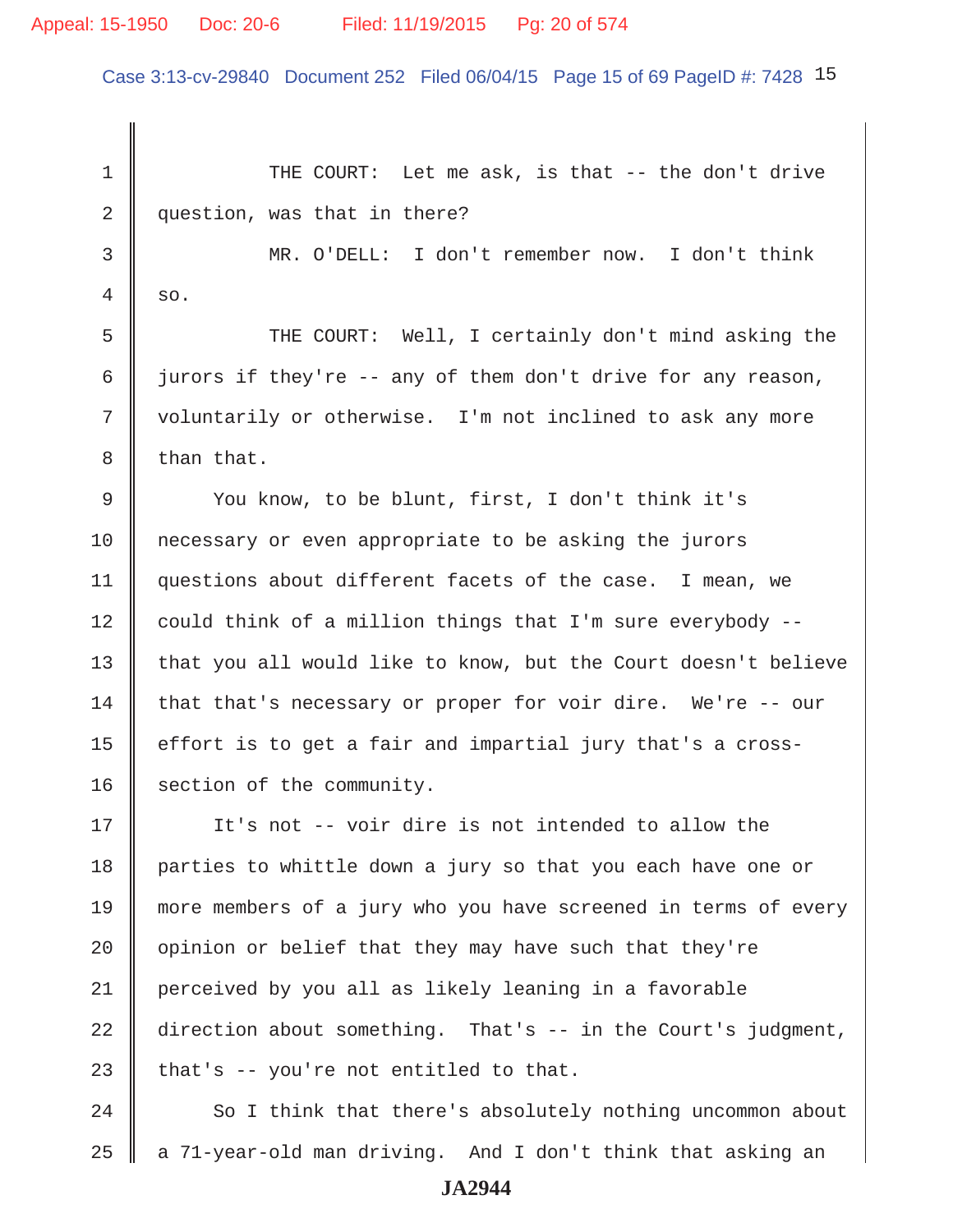## Appeal: 15-1950 Doc: 20-6 Filed: 11/19/2015 Pg: 20 of 574

Case 3:13-cv-29840 Document 252 Filed 06/04/15 Page 15 of 69 PageID #: 7428 15

1 THE COURT: Let me ask, is that -- the don't drive 2 question, was that in there? 3 MR. O'DELL: I don't remember now. I don't think  $4 \parallel so.$ 5 Supersman The COURT: Well, I certainly don't mind asking the 6 iurors if they're -- any of them don't drive for any reason, 7 | voluntarily or otherwise. I'm not inclined to ask any more  $8 \parallel$  than that. 9 You know, to be blunt, first, I don't think it's 10 necessary or even appropriate to be asking the jurors 11 questions about different facets of the case. I mean, we 12  $\parallel$  could think of a million things that I'm sure everybody --13 that you all would like to know, but the Court doesn't believe 14 that that's necessary or proper for voir dire. We're -- our 15  $\parallel$  effort is to get a fair and impartial jury that's a cross-16 section of the community. 17 || It's not -- voir dire is not intended to allow the 18 parties to whittle down a jury so that you each have one or 19 more members of a jury who you have screened in terms of every 20  $\parallel$  opinion or belief that they may have such that they're 21 perceived by you all as likely leaning in a favorable 22 direction about something. That's -- in the Court's judgment, 23  $\parallel$  that's -- you're not entitled to that. 24 So I think that there's absolutely nothing uncommon about

 $25$   $\parallel$  a 71-year-old man driving. And I don't think that asking an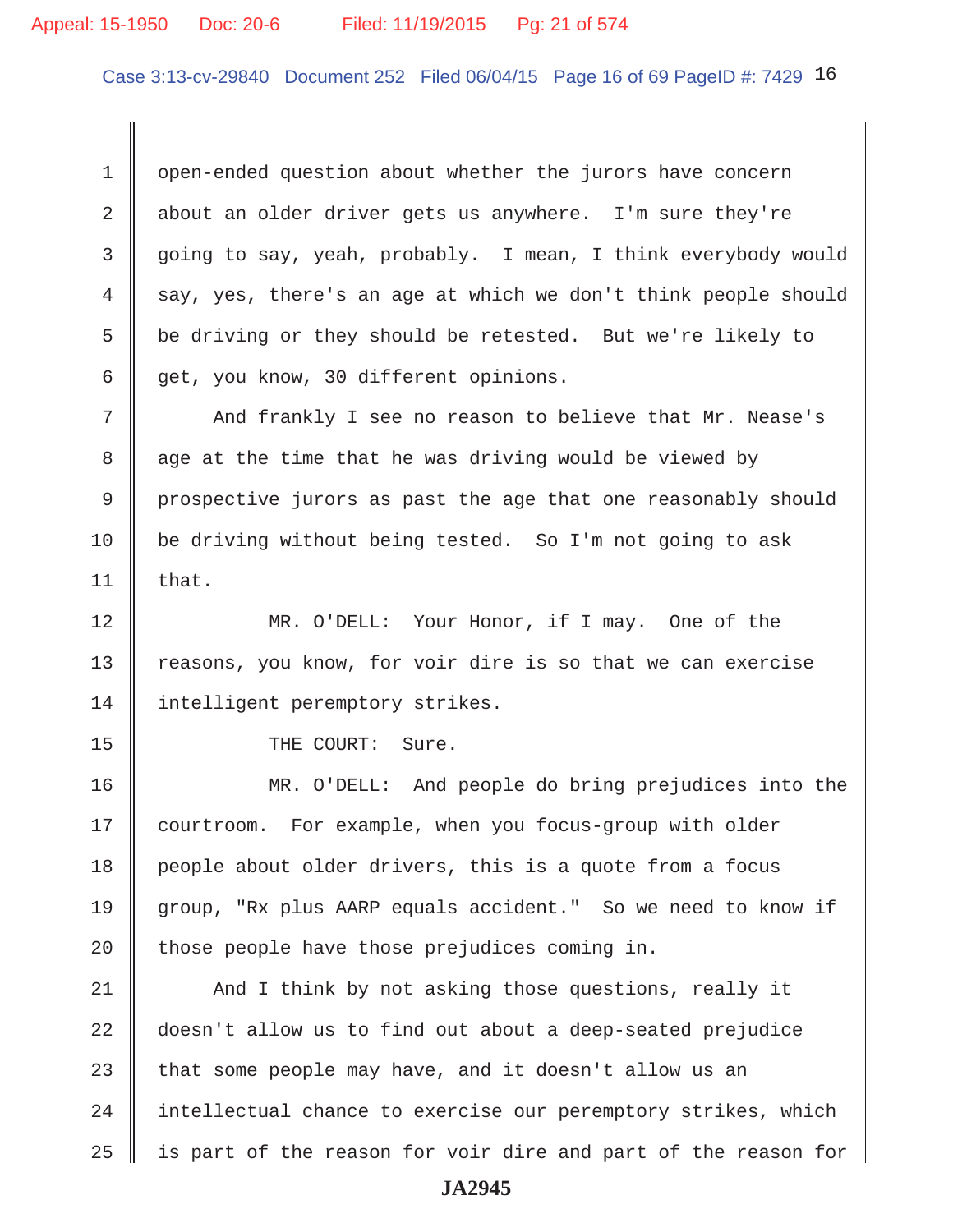#### Appeal: 15-1950 Doc: 20-6 Filed: 11/19/2015 Pg: 21 of 574

Case 3:13-cv-29840 Document 252 Filed 06/04/15 Page 16 of 69 PageID #: 7429 16

1 open-ended question about whether the jurors have concern 2 about an older driver gets us anywhere. I'm sure they're 3 going to say, yeah, probably. I mean, I think everybody would  $4 \parallel$  say, yes, there's an age at which we don't think people should 5  $\parallel$  be driving or they should be retested. But we're likely to  $6 \parallel$  get, you know, 30 different opinions.

 7 And frankly I see no reason to believe that Mr. Nease's 8 age at the time that he was driving would be viewed by 9 prospective jurors as past the age that one reasonably should 10 be driving without being tested. So I'm not going to ask 11  $\parallel$  that.

12 || MR. O'DELL: Your Honor, if I may. One of the 13 Treasons, you know, for voir dire is so that we can exercise 14 | intelligent peremptory strikes.

15 || THE COURT: Sure.

16 MR. O'DELL: And people do bring prejudices into the 17 courtroom. For example, when you focus-group with older 18 people about older drivers, this is a quote from a focus 19 group, "Rx plus AARP equals accident." So we need to know if 20  $\parallel$  those people have those prejudices coming in.

21 | And I think by not asking those questions, really it 22 doesn't allow us to find out about a deep-seated prejudice 23 that some people may have, and it doesn't allow us an  $24$  | intellectual chance to exercise our peremptory strikes, which  $25$  || is part of the reason for voir dire and part of the reason for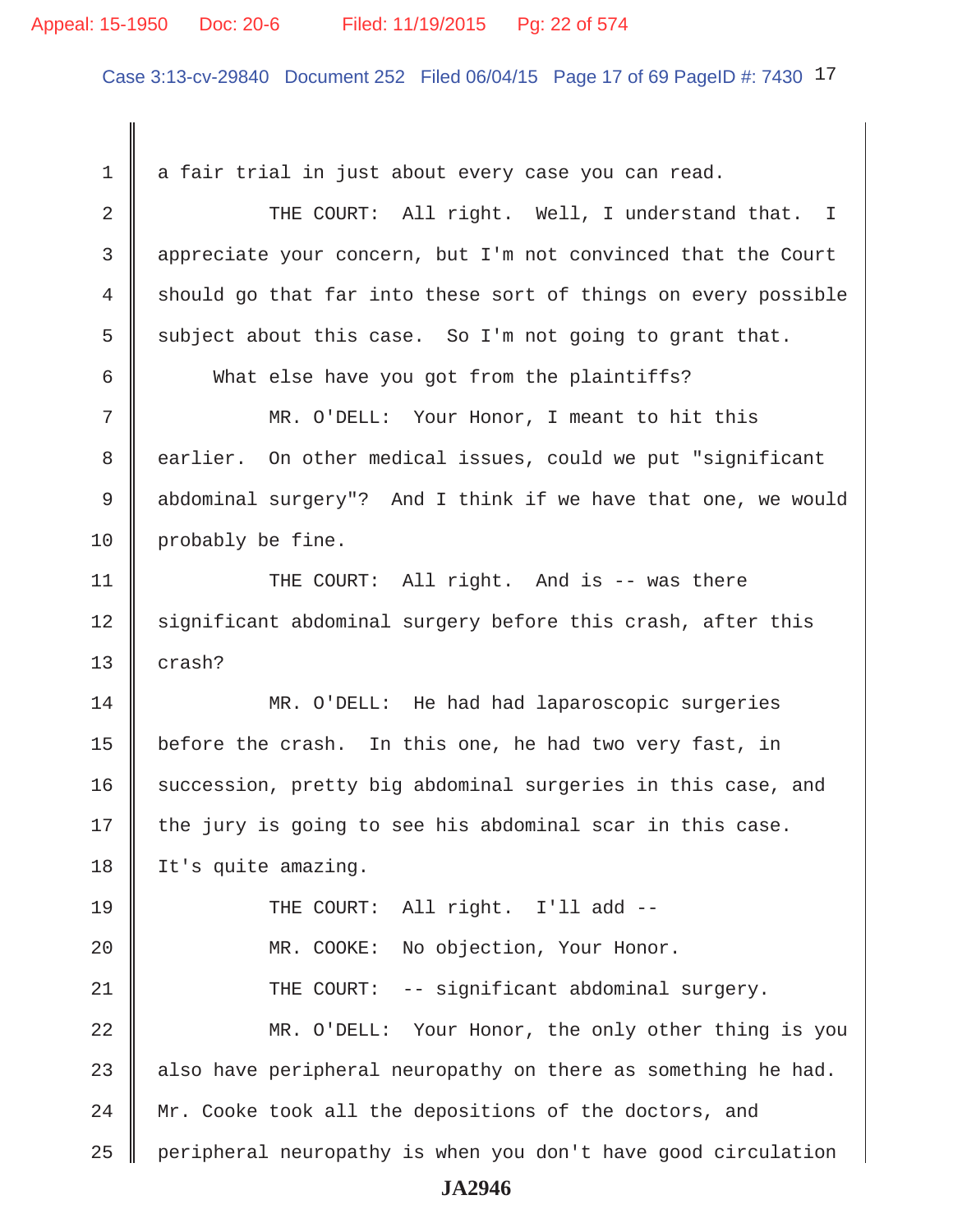#### Appeal: 15-1950 Doc: 20-6 Filed: 11/19/2015 Pg: 22 of 574

Case 3:13-cv-29840 Document 252 Filed 06/04/15 Page 17 of 69 PageID #: 7430 17

 $1 \parallel a$  fair trial in just about every case you can read. 2 THE COURT: All right. Well, I understand that. I 3 appreciate your concern, but I'm not convinced that the Court 4 should go that far into these sort of things on every possible 5 subject about this case. So I'm not going to grant that. 6 What else have you got from the plaintiffs? 7 MR. O'DELL: Your Honor, I meant to hit this 8 earlier. On other medical issues, could we put "significant 9 || abdominal surgery"? And I think if we have that one, we would 10 | probably be fine. 11 || THE COURT: All right. And is -- was there 12 Significant abdominal surgery before this crash, after this 13  $\parallel$  crash? 14 MR. O'DELL: He had had laparoscopic surgeries 15 | before the crash. In this one, he had two very fast, in 16 succession, pretty big abdominal surgeries in this case, and  $17$  the jury is going to see his abdominal scar in this case. 18 | It's quite amazing. 19 THE COURT: All right. I'll add --20 | MR. COOKE: No objection, Your Honor. 21 THE COURT: -- significant abdominal surgery. 22 MR. O'DELL: Your Honor, the only other thing is you 23  $\parallel$  also have peripheral neuropathy on there as something he had. 24 Mr. Cooke took all the depositions of the doctors, and  $25$  | peripheral neuropathy is when you don't have good circulation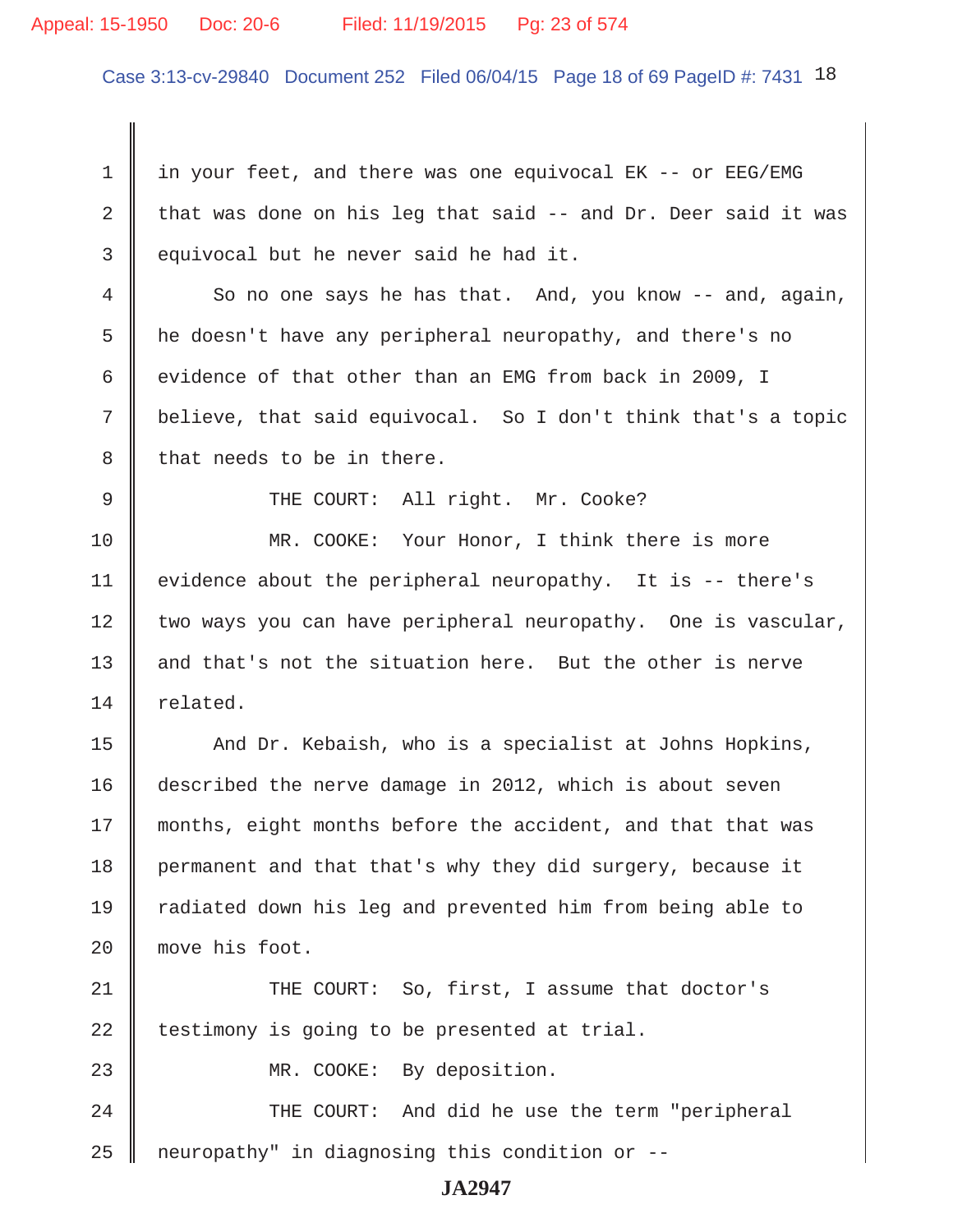#### Appeal: 15-1950 Doc: 20-6 Filed: 11/19/2015 Pg: 23 of 574

Case 3:13-cv-29840 Document 252 Filed 06/04/15 Page 18 of 69 PageID #: 7431 18

 1 in your feet, and there was one equivocal EK -- or EEG/EMG 2 that was done on his leg that said  $-$  and Dr. Deer said it was  $3 \parallel$  equivocal but he never said he had it.  $4 \parallel$  So no one says he has that. And, you know -- and, again, 5 he doesn't have any peripheral neuropathy, and there's no 6 evidence of that other than an EMG from back in 2009, I 7 believe, that said equivocal. So I don't think that's a topic  $8 \parallel$  that needs to be in there. 9 || THE COURT: All right. Mr. Cooke? 10 MR. COOKE: Your Honor, I think there is more 11 | evidence about the peripheral neuropathy. It is  $-$ - there's 12 two ways you can have peripheral neuropathy. One is vascular, 13 and that's not the situation here. But the other is nerve 14 related. 15 And Dr. Kebaish, who is a specialist at Johns Hopkins, 16 described the nerve damage in 2012, which is about seven 17 || months, eight months before the accident, and that that was 18 permanent and that that's why they did surgery, because it 19 Tradiated down his leg and prevented him from being able to 20 move his foot. 21 **THE COURT:** So, first, I assume that doctor's  $22$  | testimony is going to be presented at trial. 23 || MR. COOKE: By deposition. 24 | THE COURT: And did he use the term "peripheral  $25$  | neuropathy" in diagnosing this condition or  $-$ -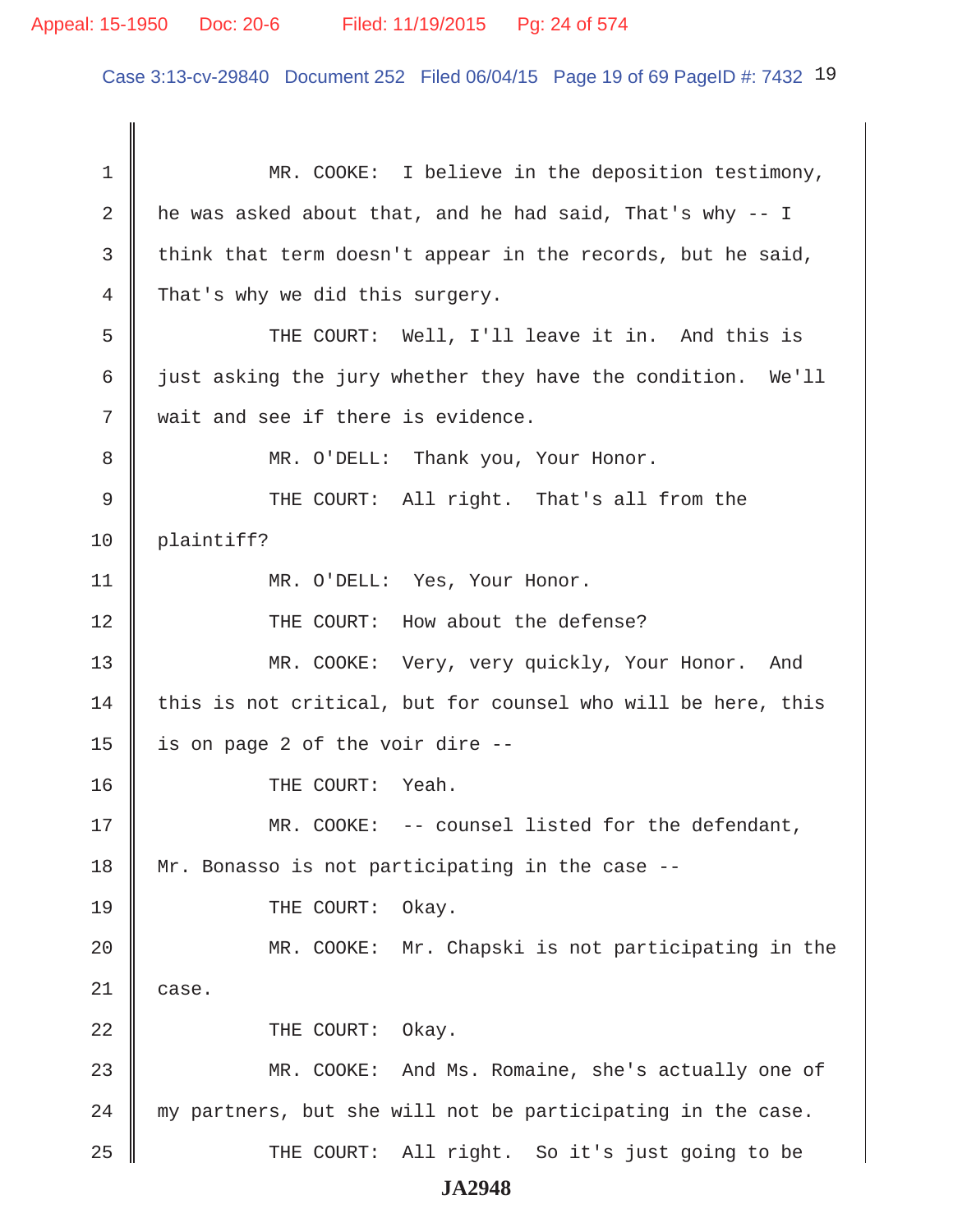Case 3:13-cv-29840 Document 252 Filed 06/04/15 Page 19 of 69 PageID #: 7432 19

1 MR. COOKE: I believe in the deposition testimony, 2 | he was asked about that, and he had said, That's why  $-$  I 3 think that term doesn't appear in the records, but he said, 4 That's why we did this surgery. 5 || THE COURT: Well, I'll leave it in. And this is 6  $\parallel$  just asking the jury whether they have the condition. We'll 7 wait and see if there is evidence. 8 || MR. O'DELL: Thank you, Your Honor. 9 THE COURT: All right. That's all from the 10 plaintiff? 11 | MR. O'DELL: Yes, Your Honor. 12 || THE COURT: How about the defense? 13 MR. COOKE: Very, very quickly, Your Honor. And  $14$  this is not critical, but for counsel who will be here, this 15  $\parallel$  is on page 2 of the voir dire --16 || THE COURT: Yeah. 17 MR. COOKE: -- counsel listed for the defendant, 18 || Mr. Bonasso is not participating in the case --19 COURT: Okay. 20 MR. COOKE: Mr. Chapski is not participating in the  $21 \parallel$  case. 22 **COURT:** Okay. 23 MR. COOKE: And Ms. Romaine, she's actually one of  $24$   $\parallel$  my partners, but she will not be participating in the case. 25 THE COURT: All right. So it's just going to be **JA2948**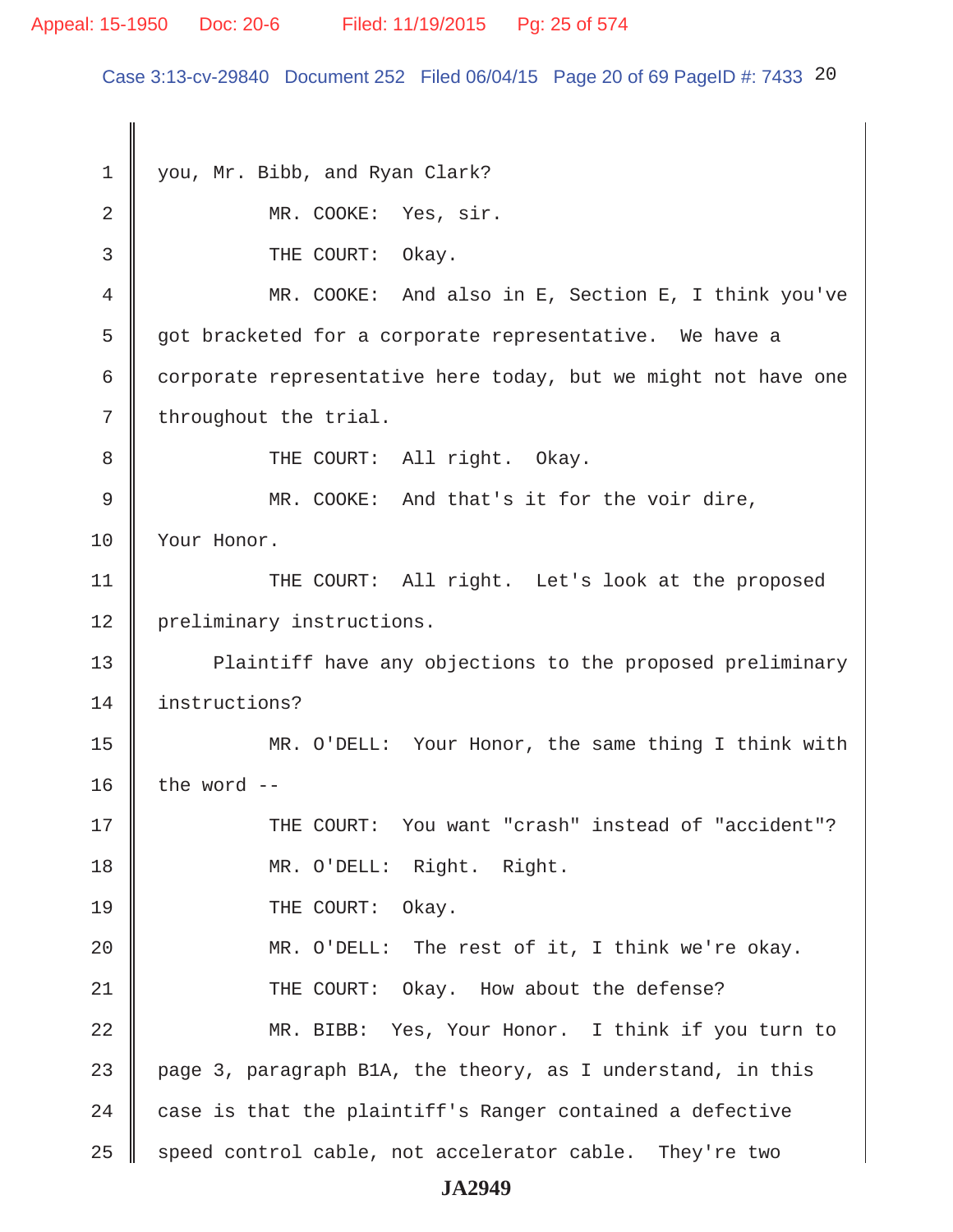## Appeal: 15-1950 Doc: 20-6 Filed: 11/19/2015 Pg: 25 of 574

Case 3:13-cv-29840 Document 252 Filed 06/04/15 Page 20 of 69 PageID #: 7433 20

1 vou, Mr. Bibb, and Ryan Clark? 2 MR. COOKE: Yes, sir. 3 CHE COURT: Okay. 4 MR. COOKE: And also in E, Section E, I think you've 5 got bracketed for a corporate representative. We have a 6 corporate representative here today, but we might not have one  $7 \parallel$  throughout the trial. 8 || THE COURT: All right. Okay. 9 MR. COOKE: And that's it for the voir dire, 10 | Your Honor. 11 || THE COURT: All right. Let's look at the proposed 12 | preliminary instructions. 13 | Plaintiff have any objections to the proposed preliminary 14 instructions? 15 MR. O'DELL: Your Honor, the same thing I think with 16  $\parallel$  the word --17 THE COURT: You want "crash" instead of "accident"? 18 MR. O'DELL: Right. Right. 19 COURT: Okay. 20 MR. O'DELL: The rest of it, I think we're okay. 21 **THE COURT:** Okay. How about the defense? 22 MR. BIBB: Yes, Your Honor. I think if you turn to 23  $\parallel$  page 3, paragraph B1A, the theory, as I understand, in this 24  $\parallel$  case is that the plaintiff's Ranger contained a defective  $25$  speed control cable, not accelerator cable. They're two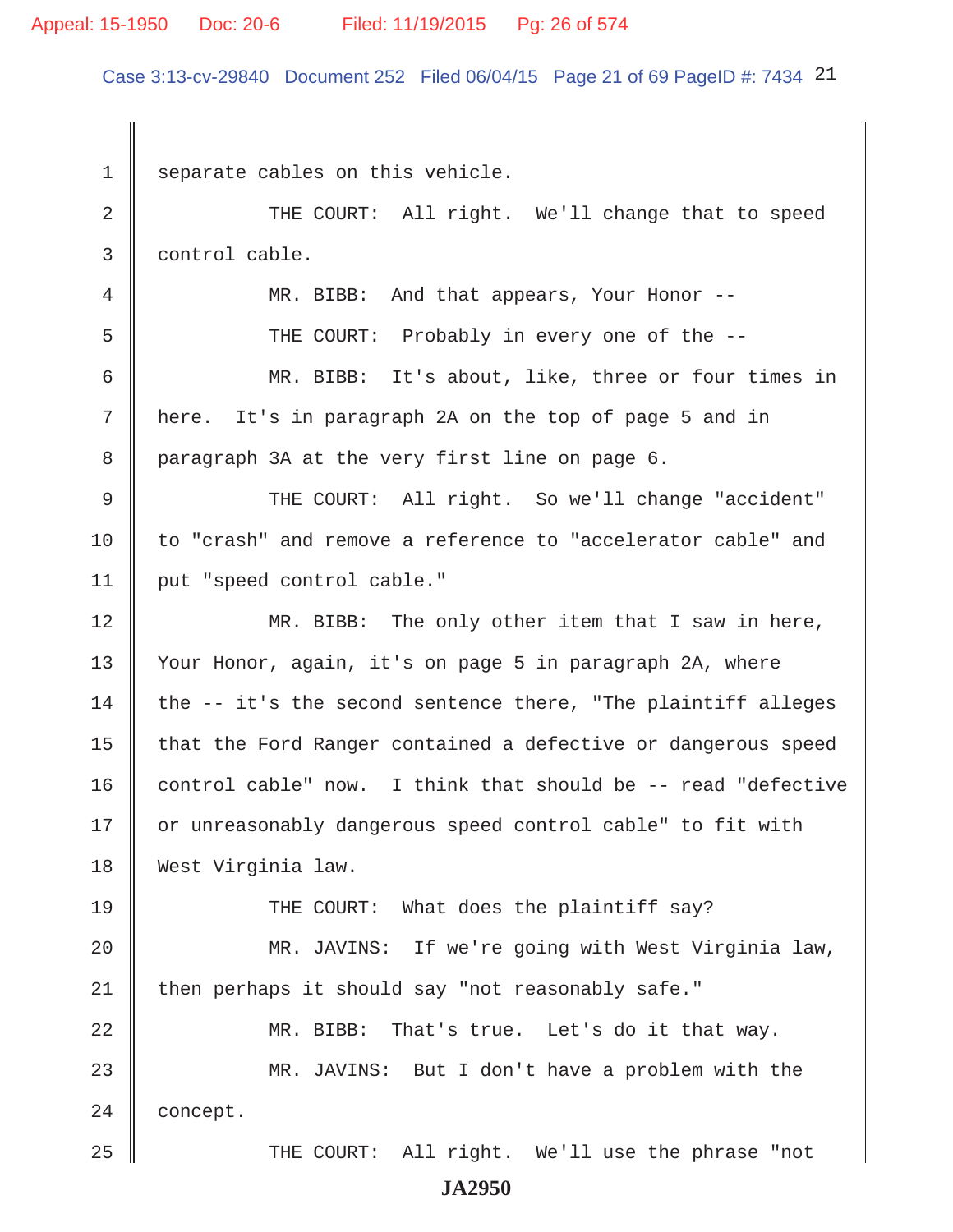#### Appeal: 15-1950 Doc: 20-6 Filed: 11/19/2015 Pg: 26 of 574

Case 3:13-cv-29840 Document 252 Filed 06/04/15 Page 21 of 69 PageID #: 7434 21

 $1 \parallel$  separate cables on this vehicle. 2 THE COURT: All right. We'll change that to speed 3 control cable. 4 || MR. BIBB: And that appears, Your Honor --5 Supersman THE COURT: Probably in every one of the -- 6 MR. BIBB: It's about, like, three or four times in 7 here. It's in paragraph 2A on the top of page 5 and in 8 paragraph 3A at the very first line on page 6. 9 THE COURT: All right. So we'll change "accident" 10 to "crash" and remove a reference to "accelerator cable" and 11 | put "speed control cable." 12 MR. BIBB: The only other item that I saw in here, 13 Your Honor, again, it's on page 5 in paragraph 2A, where 14 the  $-$  it's the second sentence there, "The plaintiff alleges 15 | that the Ford Ranger contained a defective or dangerous speed 16 control cable" now. I think that should be  $-$ - read "defective 17 | or unreasonably dangerous speed control cable" to fit with 18 West Virginia law. 19 THE COURT: What does the plaintiff say? 20 || MR. JAVINS: If we're going with West Virginia law,  $21$  then perhaps it should say "not reasonably safe." 22 MR. BIBB: That's true. Let's do it that way. 23 MR. JAVINS: But I don't have a problem with the 24 **concept.** 25 || THE COURT: All right. We'll use the phrase "not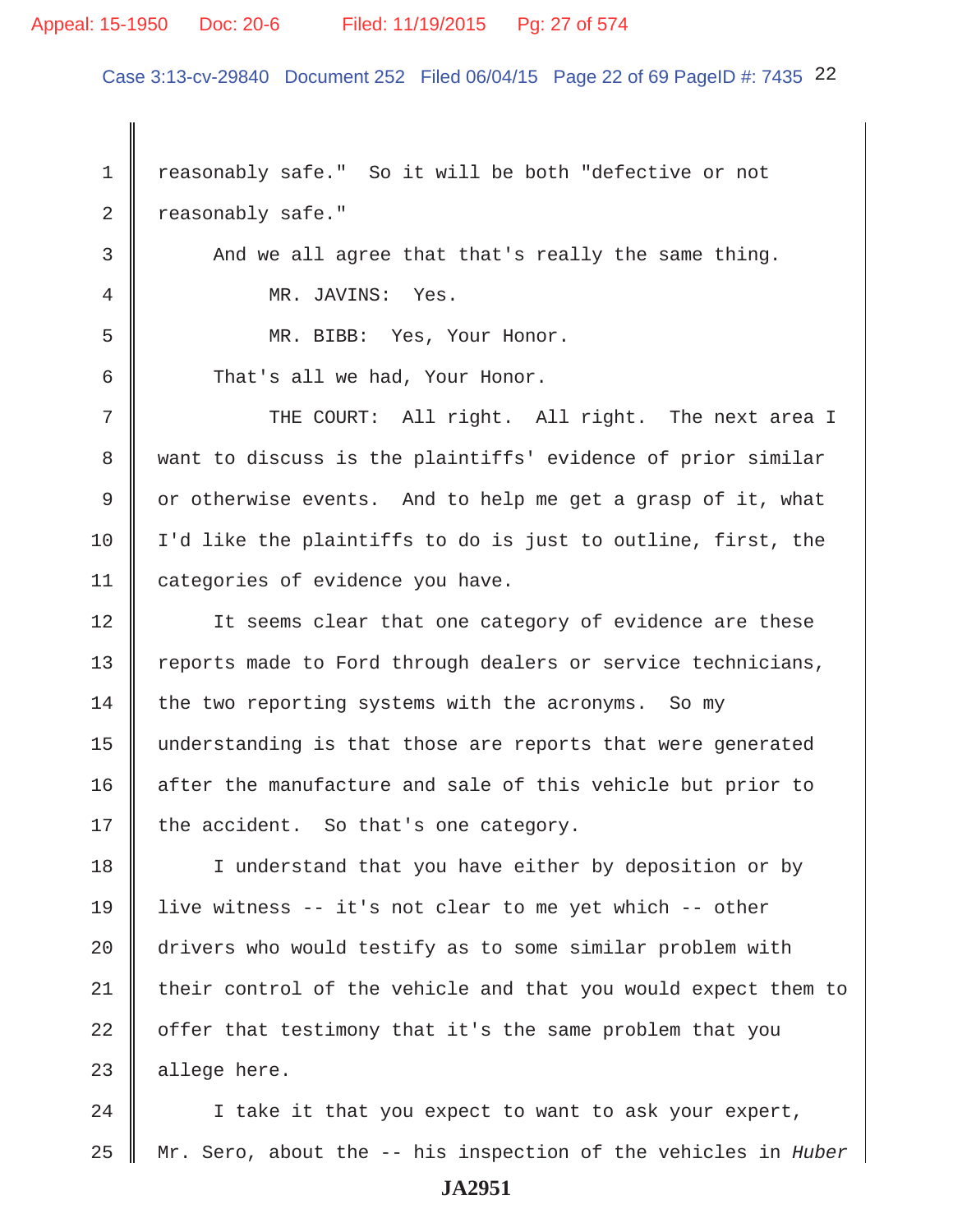#### Appeal: 15-1950 Doc: 20-6 Filed: 11/19/2015 Pg: 27 of 574

Case 3:13-cv-29840 Document 252 Filed 06/04/15 Page 22 of 69 PageID #: 7435 22

1 | reasonably safe." So it will be both "defective or not  $2 \parallel$  reasonably safe."

3 And we all agree that that's really the same thing. 4 MR. JAVINS: Yes.

5 MR. BIBB: Yes, Your Honor.

6 That's all we had, Your Honor.

 $7$   $\parallel$  THE COURT: All right. All right. The next area I 8 want to discuss is the plaintiffs' evidence of prior similar 9  $\parallel$  or otherwise events. And to help me get a grasp of it, what 10  $\parallel$  I'd like the plaintiffs to do is just to outline, first, the 11 categories of evidence you have.

12 || It seems clear that one category of evidence are these 13 Teports made to Ford through dealers or service technicians,  $14$  the two reporting systems with the acronyms. So my 15 understanding is that those are reports that were generated 16 after the manufacture and sale of this vehicle but prior to 17 | the accident. So that's one category.

18 I understand that you have either by deposition or by 19 live witness -- it's not clear to me yet which -- other 20 drivers who would testify as to some similar problem with 21  $\parallel$  their control of the vehicle and that you would expect them to  $22$   $\parallel$  offer that testimony that it's the same problem that you  $23$  | allege here.

24 | I take it that you expect to want to ask your expert, 25 Mr. Sero, about the -- his inspection of the vehicles in *Huber*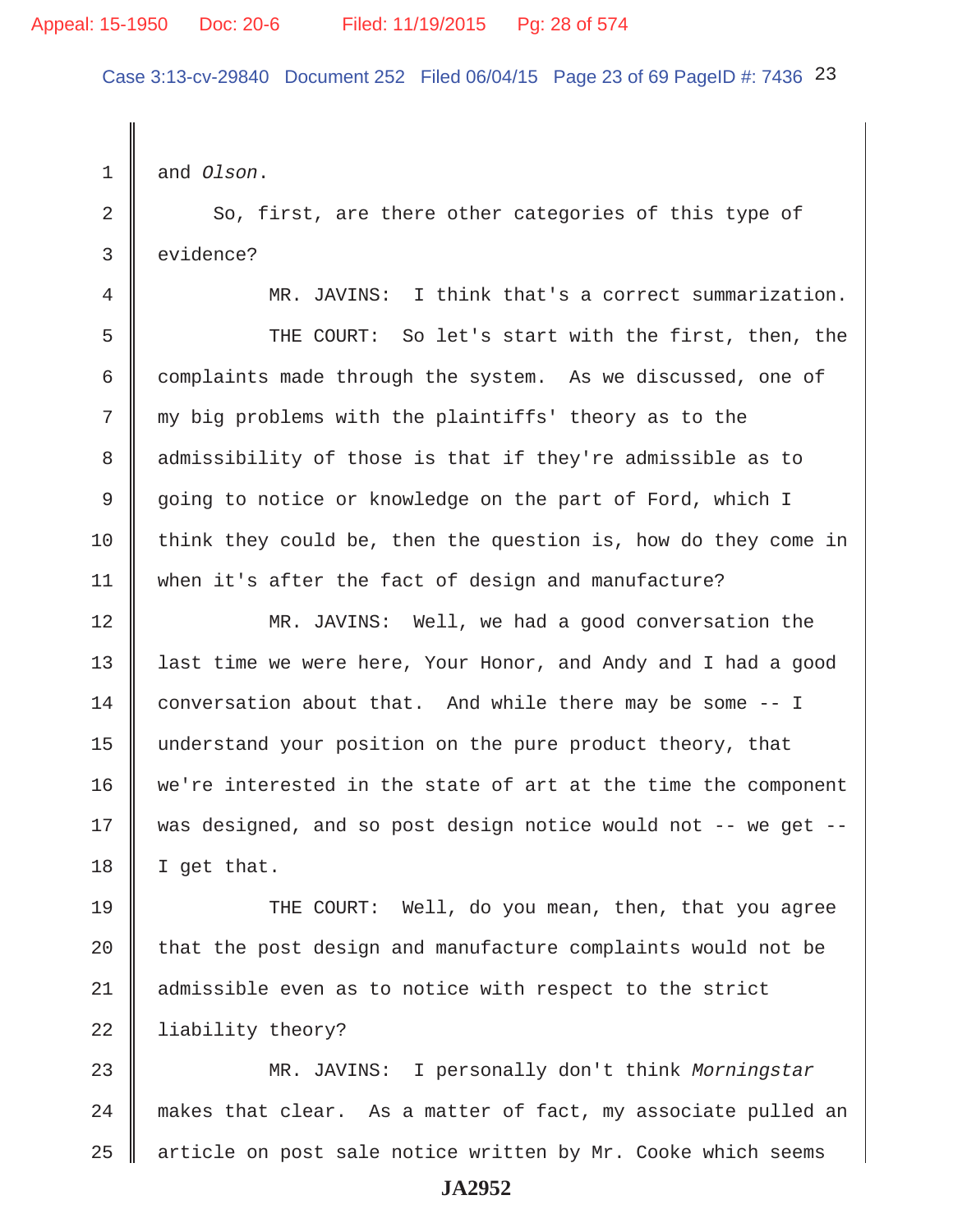Case 3:13-cv-29840 Document 252 Filed 06/04/15 Page 23 of 69 PageID #: 7436 23

1 and *Olson*.

2 So, first, are there other categories of this type of 3 evidence?

4 MR. JAVINS: I think that's a correct summarization.

 5 THE COURT: So let's start with the first, then, the 6 complaints made through the system. As we discussed, one of 7 || my big problems with the plaintiffs' theory as to the 8 || admissibility of those is that if they're admissible as to 9 going to notice or knowledge on the part of Ford, which I 10 think they could be, then the question is, how do they come in 11 when it's after the fact of design and manufacture?

12 MR. JAVINS: Well, we had a good conversation the 13 || last time we were here, Your Honor, and Andy and I had a good 14 conversation about that. And while there may be some -- I 15 understand your position on the pure product theory, that 16 we're interested in the state of art at the time the component 17 was designed, and so post design notice would not -- we get -- $18$  | I get that.

19 THE COURT: Well, do you mean, then, that you agree 20  $\parallel$  that the post design and manufacture complaints would not be 21 admissible even as to notice with respect to the strict 22 | liability theory?

23 MR. JAVINS: I personally don't think *Morningstar*  $24$   $\parallel$  makes that clear. As a matter of fact, my associate pulled an  $25$  | article on post sale notice written by Mr. Cooke which seems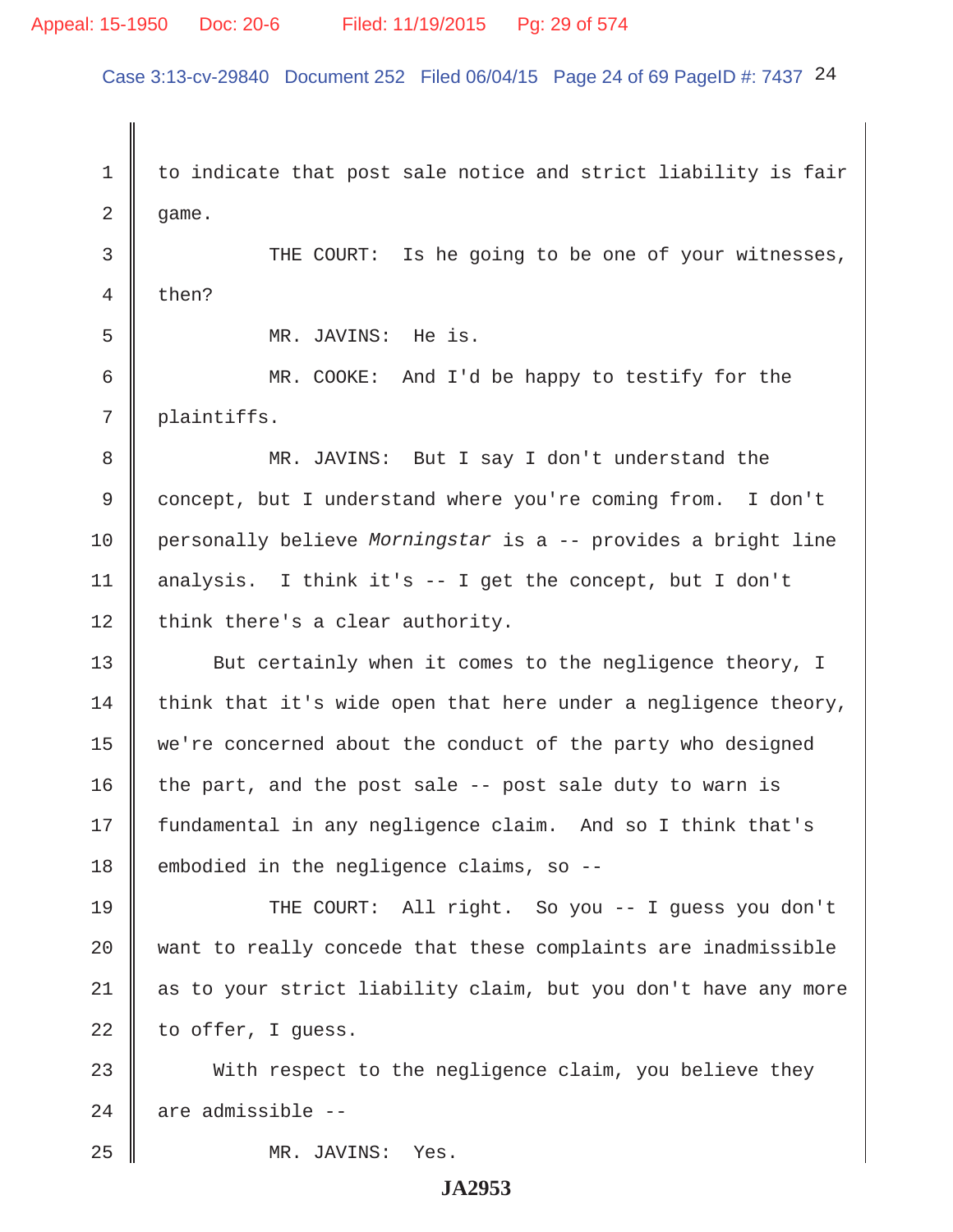## Appeal: 15-1950 Doc: 20-6 Filed: 11/19/2015 Pg: 29 of 574

Case 3:13-cv-29840 Document 252 Filed 06/04/15 Page 24 of 69 PageID #: 7437 24

 $1 \parallel$  to indicate that post sale notice and strict liability is fair  $2 \parallel$  game. 3 THE COURT: Is he going to be one of your witnesses,  $4 \parallel$  then? 5 MR. JAVINS: He is. 6 MR. COOKE: And I'd be happy to testify for the 7 plaintiffs. 8 MR. JAVINS: But I say I don't understand the 9 concept, but I understand where you're coming from. I don't 10 personally believe *Morningstar* is a -- provides a bright line 11 | analysis. I think it's  $-$  I get the concept, but I don't  $12$  | think there's a clear authority. 13 But certainly when it comes to the negligence theory, I 14  $\parallel$  think that it's wide open that here under a negligence theory, 15 we're concerned about the conduct of the party who designed 16 the part, and the post sale  $-$ - post sale duty to warn is 17 fundamental in any negligence claim. And so I think that's 18 embodied in the negligence claims, so --19 THE COURT: All right. So you -- I guess you don't  $20$   $\parallel$  want to really concede that these complaints are inadmissible 21 || as to your strict liability claim, but you don't have any more  $22$  | to offer, I quess. 23 With respect to the negligence claim, you believe they  $24$  are admissible --

25 MR. JAVINS: Yes.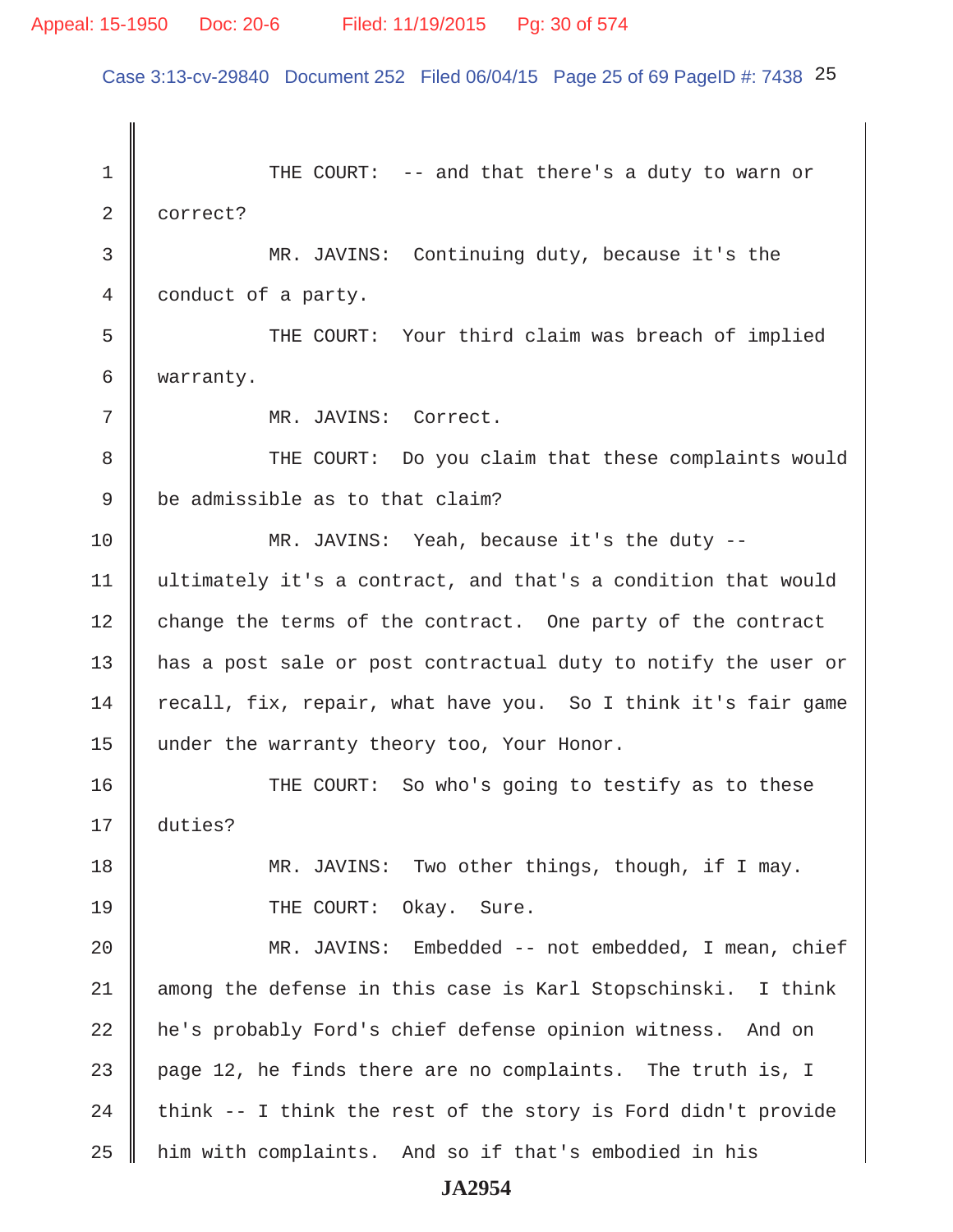Case 3:13-cv-29840 Document 252 Filed 06/04/15 Page 25 of 69 PageID #: 7438 25

1 THE COURT: -- and that there's a duty to warn or 2 correct? 3 MR. JAVINS: Continuing duty, because it's the 4 conduct of a party. 5 Supersum THE COURT: Your third claim was breach of implied 6 warranty. 7 MR. JAVINS: Correct. 8 THE COURT: Do you claim that these complaints would  $9 \parallel$  be admissible as to that claim? 10 MR. JAVINS: Yeah, because it's the duty -- 11 ultimately it's a contract, and that's a condition that would 12 change the terms of the contract. One party of the contract 13 || has a post sale or post contractual duty to notify the user or 14 recall, fix, repair, what have you. So I think it's fair game 15 under the warranty theory too, Your Honor. 16 THE COURT: So who's going to testify as to these 17 duties? 18 MR. JAVINS: Two other things, though, if I may. 19 || THE COURT: Okay. Sure. 20 MR. JAVINS: Embedded -- not embedded, I mean, chief  $21$  among the defense in this case is Karl Stopschinski. I think 22 he's probably Ford's chief defense opinion witness. And on 23  $\parallel$  page 12, he finds there are no complaints. The truth is, I 24  $\parallel$  think -- I think the rest of the story is Ford didn't provide 25 him with complaints. And so if that's embodied in his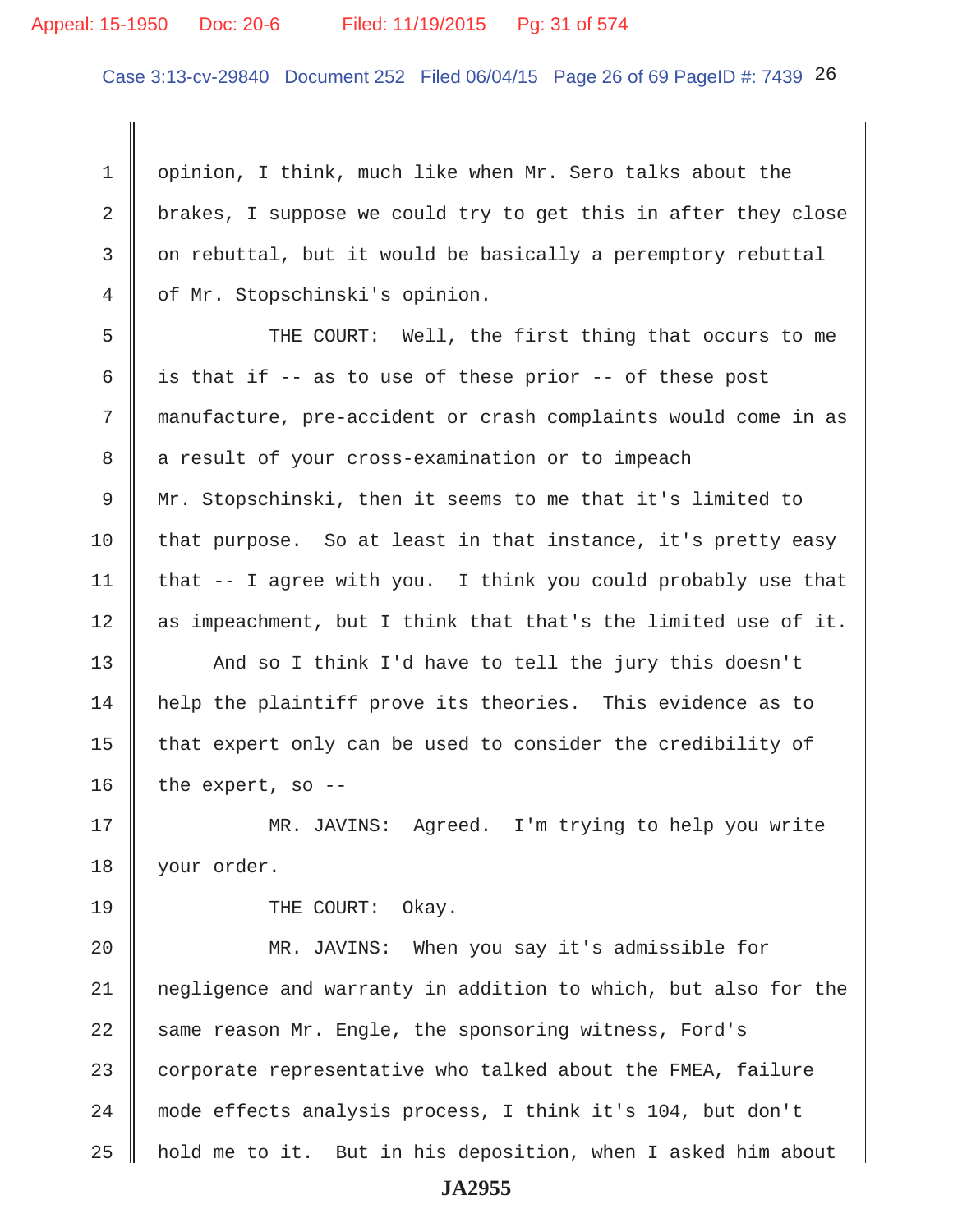#### Appeal: 15-1950 Doc: 20-6 Filed: 11/19/2015 Pg: 31 of 574

Case 3:13-cv-29840 Document 252 Filed 06/04/15 Page 26 of 69 PageID #: 7439 26

 1 opinion, I think, much like when Mr. Sero talks about the 2 brakes, I suppose we could try to get this in after they close 3 on rebuttal, but it would be basically a peremptory rebuttal 4 of Mr. Stopschinski's opinion.

5 Supermum THE COURT: Well, the first thing that occurs to me 6 is that if -- as to use of these prior -- of these post 7 manufacture, pre-accident or crash complaints would come in as 8 a result of your cross-examination or to impeach 9 Mr. Stopschinski, then it seems to me that it's limited to 10 that purpose. So at least in that instance, it's pretty easy 11 | that  $-$  I agree with you. I think you could probably use that 12 || as impeachment, but I think that that's the limited use of it.

13 And so I think I'd have to tell the jury this doesn't 14 | help the plaintiff prove its theories. This evidence as to 15  $\parallel$  that expert only can be used to consider the credibility of 16 | the expert, so  $-$ -

17 MR. JAVINS: Agreed. I'm trying to help you write 18 your order.

19 COURT: Okay.

20 MR. JAVINS: When you say it's admissible for 21 negligence and warranty in addition to which, but also for the  $22$  same reason Mr. Engle, the sponsoring witness, Ford's 23 corporate representative who talked about the FMEA, failure 24 mode effects analysis process, I think it's 104, but don't 25 hold me to it. But in his deposition, when I asked him about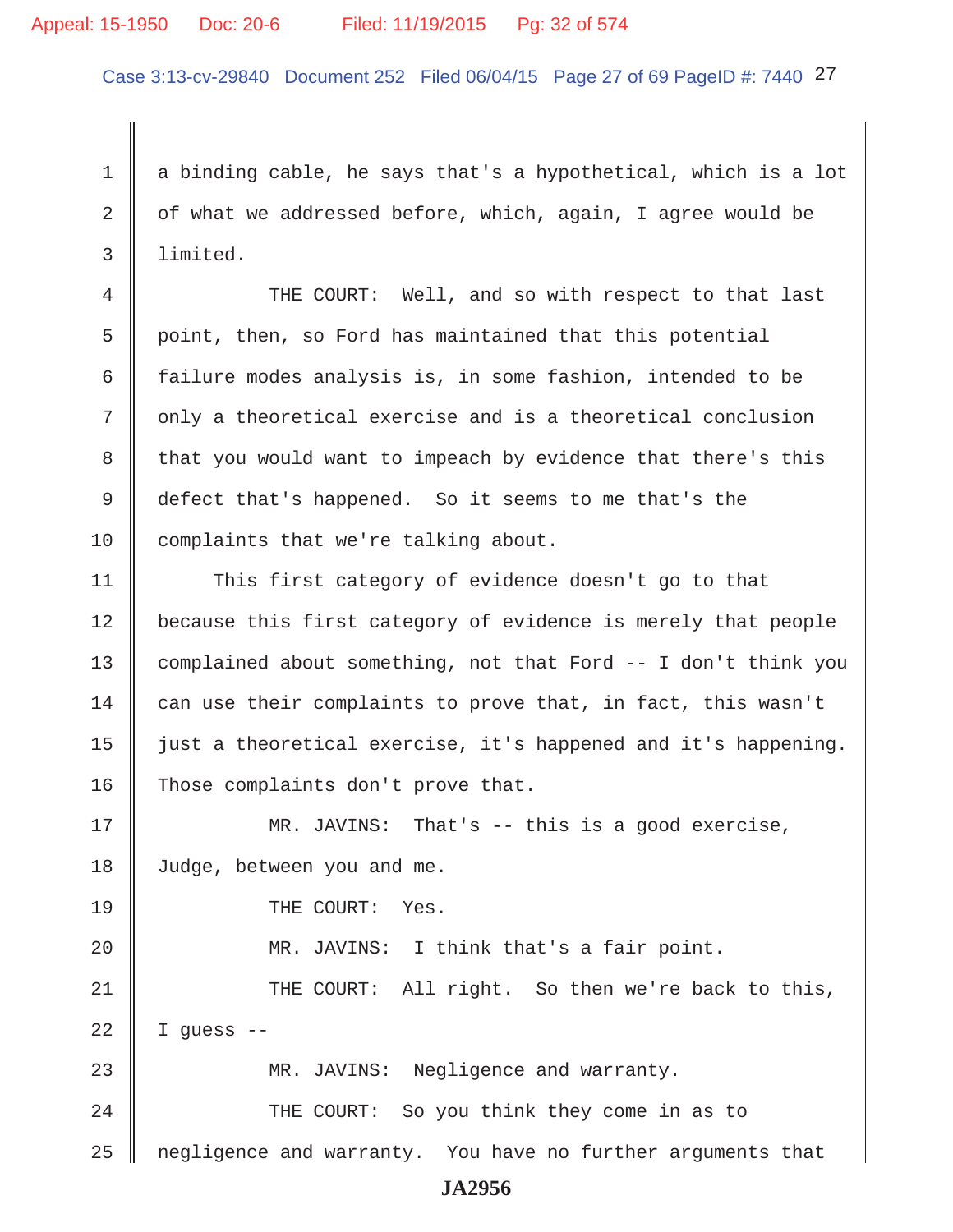#### Appeal: 15-1950 Doc: 20-6 Filed: 11/19/2015 Pg: 32 of 574

Case 3:13-cv-29840 Document 252 Filed 06/04/15 Page 27 of 69 PageID #: 7440 27

1 a binding cable, he says that's a hypothetical, which is a lot 2  $\parallel$  of what we addressed before, which, again, I agree would be 3 limited.

4 THE COURT: Well, and so with respect to that last  $5 \parallel$  point, then, so Ford has maintained that this potential 6  $\parallel$  failure modes analysis is, in some fashion, intended to be 7 || only a theoretical exercise and is a theoretical conclusion 8 that you would want to impeach by evidence that there's this 9 defect that's happened. So it seems to me that's the 10 complaints that we're talking about.

11 This first category of evidence doesn't go to that 12 | because this first category of evidence is merely that people 13 complained about something, not that Ford -- I don't think you 14  $\parallel$  can use their complaints to prove that, in fact, this wasn't 15 | just a theoretical exercise, it's happened and it's happening. 16 Those complaints don't prove that.

17 MR. JAVINS: That's -- this is a good exercise, 18 Judge, between you and me.

19 **I** THE COURT: Yes.

20 || MR. JAVINS: I think that's a fair point. 21 THE COURT: All right. So then we're back to this,  $22$  | I quess --

23 MR. JAVINS: Negligence and warranty. 24 | THE COURT: So you think they come in as to 25 | negligence and warranty. You have no further arguments that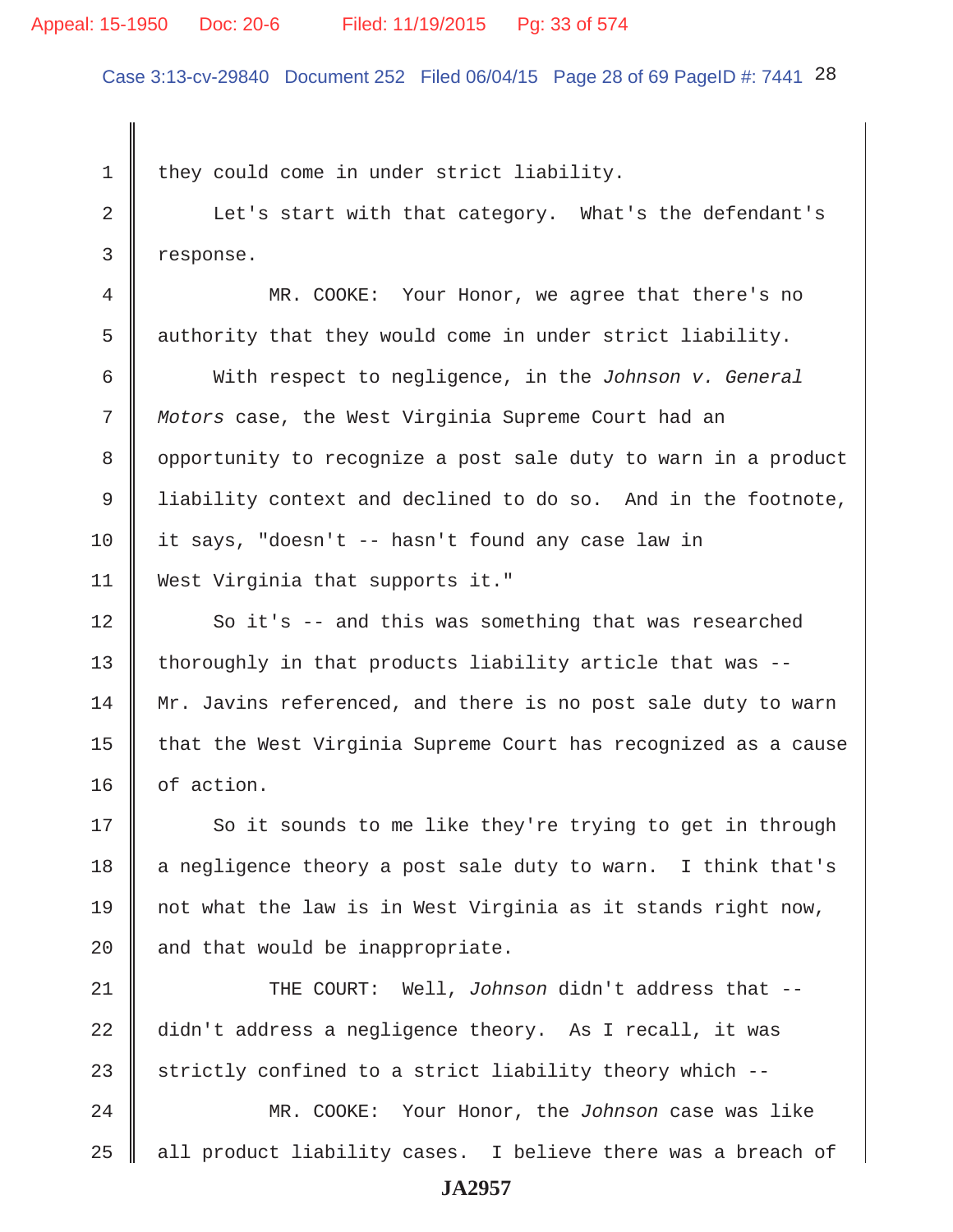#### Appeal: 15-1950 Doc: 20-6 Filed: 11/19/2015 Pg: 33 of 574

Case 3:13-cv-29840 Document 252 Filed 06/04/15 Page 28 of 69 PageID #: 7441 28

1 they could come in under strict liability.

2 C Let's start with that category. What's the defendant's 3 response.

 4 MR. COOKE: Your Honor, we agree that there's no 5 authority that they would come in under strict liability.

 6 With respect to negligence, in the *Johnson v. General* 7 *Motors* case, the West Virginia Supreme Court had an 8 | opportunity to recognize a post sale duty to warn in a product 9 I liability context and declined to do so. And in the footnote, 10 it says, "doesn't -- hasn't found any case law in 11 West Virginia that supports it."

12 So it's -- and this was something that was researched 13  $\parallel$  thoroughly in that products liability article that was --14 Mr. Javins referenced, and there is no post sale duty to warn 15  $\parallel$  that the West Virginia Supreme Court has recognized as a cause 16 | of action.

17 So it sounds to me like they're trying to get in through 18 | a negligence theory a post sale duty to warn. I think that's 19 || not what the law is in West Virginia as it stands right now, 20  $\parallel$  and that would be inappropriate.

21 THE COURT: Well, *Johnson* didn't address that -- 22 didn't address a negligence theory. As I recall, it was 23 strictly confined to a strict liability theory which  $-$ -

24 MR. COOKE: Your Honor, the *Johnson* case was like  $25$  all product liability cases. I believe there was a breach of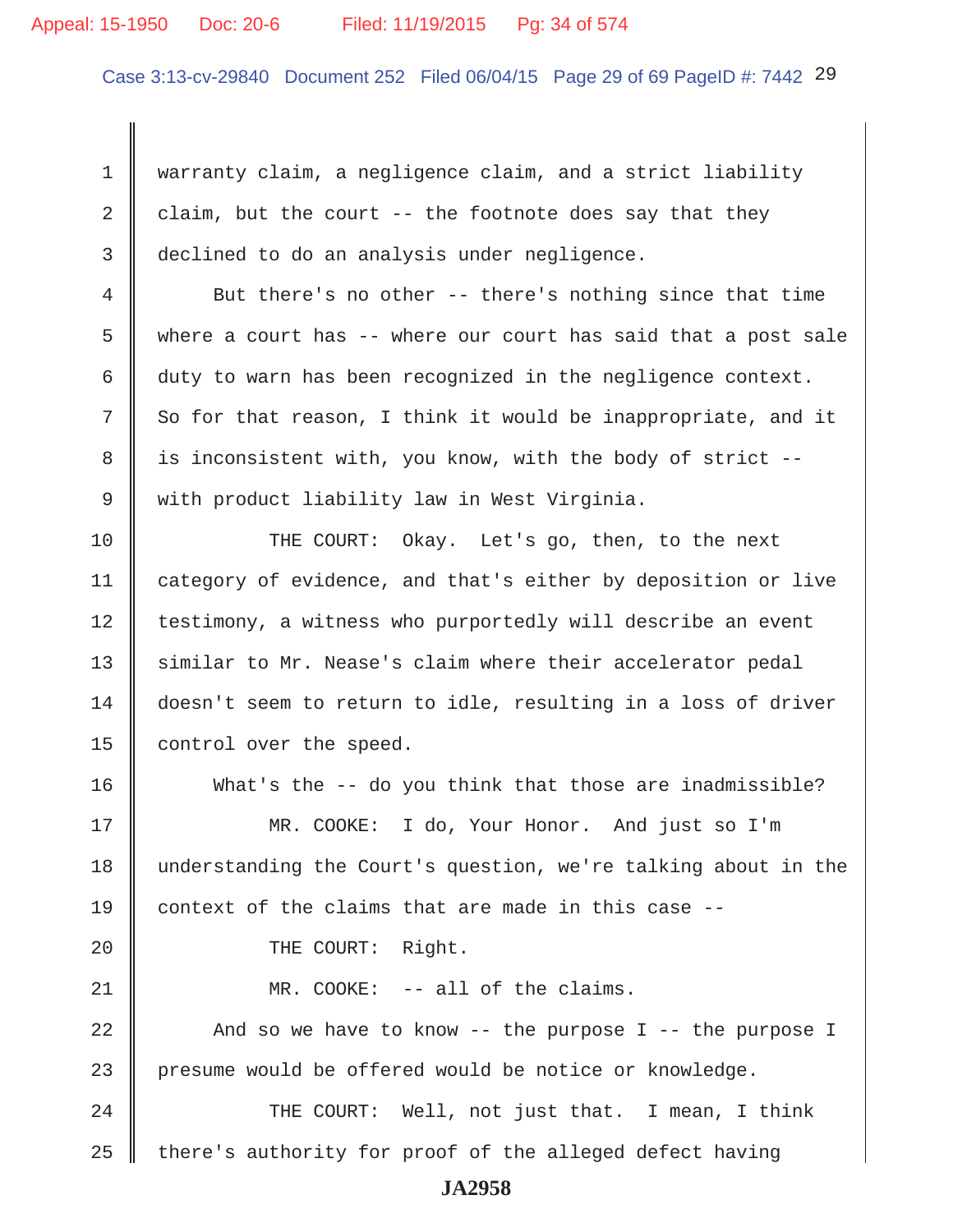#### Appeal: 15-1950 Doc: 20-6 Filed: 11/19/2015 Pg: 34 of 574

Case 3:13-cv-29840 Document 252 Filed 06/04/15 Page 29 of 69 PageID #: 7442 29

 1 warranty claim, a negligence claim, and a strict liability 2 claim, but the court  $-$ - the footnote does say that they 3 declined to do an analysis under negligence.

 4 But there's no other -- there's nothing since that time 5  $\parallel$  where a court has -- where our court has said that a post sale 6  $\parallel$  duty to warn has been recognized in the negligence context.  $7 \parallel$  So for that reason, I think it would be inappropriate, and it 8 | is inconsistent with, you know, with the body of strict --9 with product liability law in West Virginia.

10 THE COURT: Okay. Let's go, then, to the next 11 category of evidence, and that's either by deposition or live 12 | testimony, a witness who purportedly will describe an event 13 similar to Mr. Nease's claim where their accelerator pedal 14 doesn't seem to return to idle, resulting in a loss of driver 15 | control over the speed.

16 What's the -- do you think that those are inadmissible? 17 MR. COOKE: I do, Your Honor. And just so I'm 18 understanding the Court's question, we're talking about in the 19 context of the claims that are made in this case  $-$ -20 || THE COURT: Right. 21 **MR. COOKE:** -- all of the claims. 22  $\parallel$  And so we have to know -- the purpose I -- the purpose I 23 presume would be offered would be notice or knowledge.

24 THE COURT: Well, not just that. I mean, I think  $25$  | there's authority for proof of the alleged defect having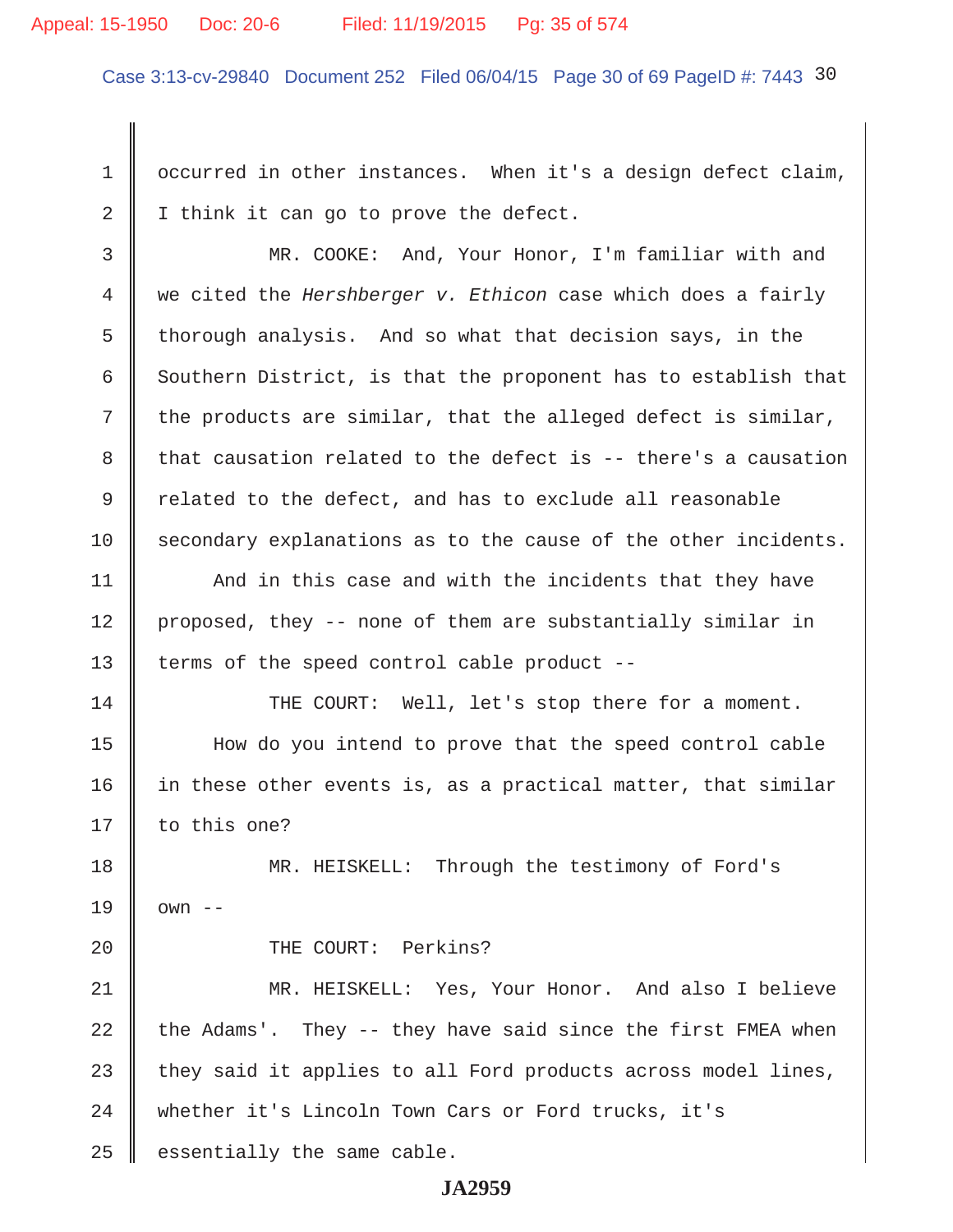#### Appeal: 15-1950 Doc: 20-6 Filed: 11/19/2015 Pg: 35 of 574

Case 3:13-cv-29840 Document 252 Filed 06/04/15 Page 30 of 69 PageID #: 7443 30

1 | occurred in other instances. When it's a design defect claim, 2 I think it can go to prove the defect.

 3 MR. COOKE: And, Your Honor, I'm familiar with and 4 we cited the *Hershberger v. Ethicon* case which does a fairly 5 thorough analysis. And so what that decision says, in the 6 Southern District, is that the proponent has to establish that 7 the products are similar, that the alleged defect is similar, 8 that causation related to the defect is  $-$ - there's a causation  $9 \parallel$  related to the defect, and has to exclude all reasonable  $10$  secondary explanations as to the cause of the other incidents.

11 | And in this case and with the incidents that they have 12 proposed, they -- none of them are substantially similar in 13 | terms of the speed control cable product --

14 THE COURT: Well, let's stop there for a moment. 15 How do you intend to prove that the speed control cable 16 in these other events is, as a practical matter, that similar 17 || to this one?

18 || MR. HEISKELL: Through the testimony of Ford's  $19 \parallel$  own --

20 || THE COURT: Perkins?

21 MR. HEISKELL: Yes, Your Honor. And also I believe 22 the Adams'. They -- they have said since the first FMEA when 23 they said it applies to all Ford products across model lines, 24 whether it's Lincoln Town Cars or Ford trucks, it's  $25$  essentially the same cable.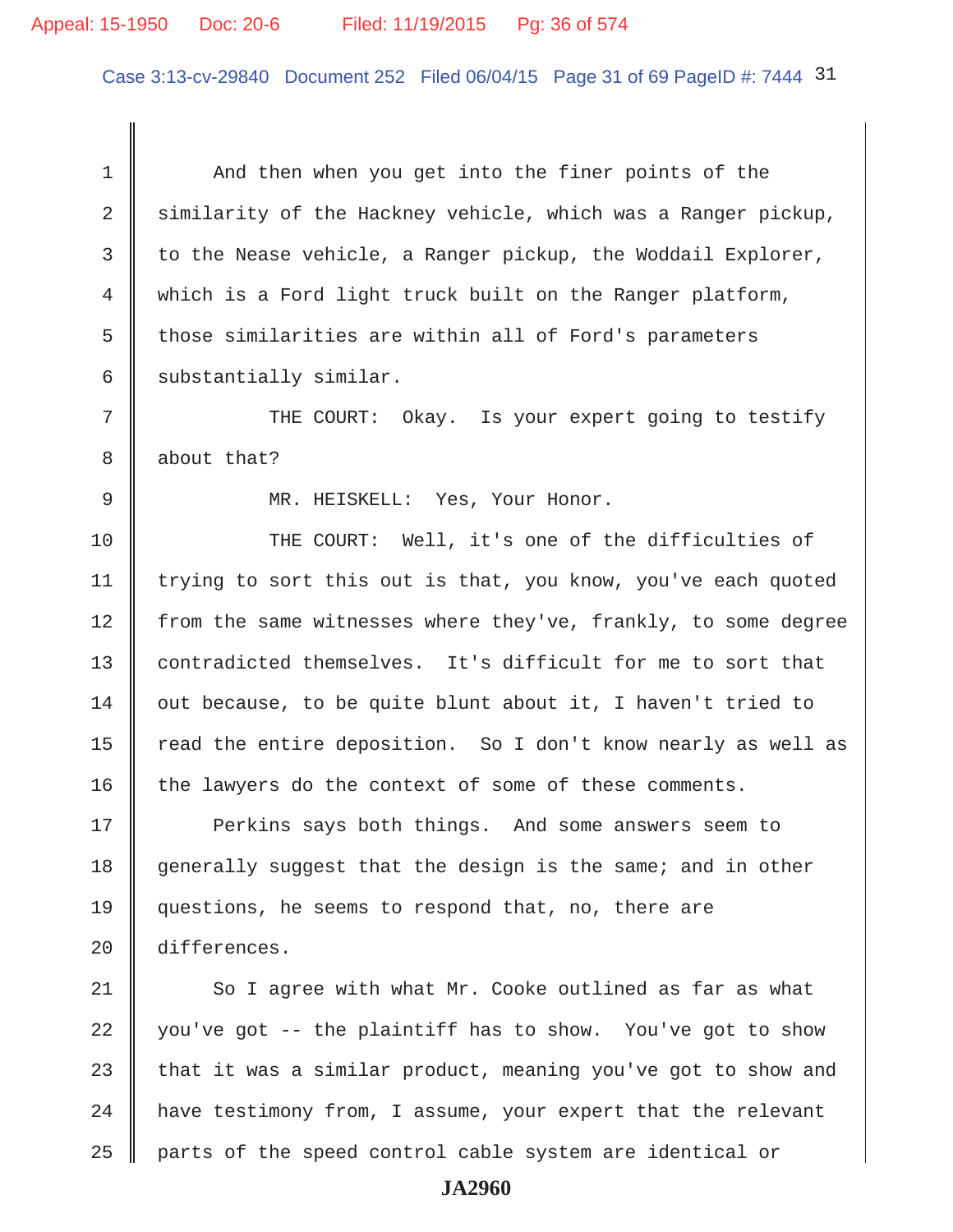#### Appeal: 15-1950 Doc: 20-6 Filed: 11/19/2015 Pg: 36 of 574

Case 3:13-cv-29840 Document 252 Filed 06/04/15 Page 31 of 69 PageID #: 7444 31

1 And then when you get into the finer points of the 2  $\parallel$  similarity of the Hackney vehicle, which was a Ranger pickup, 3 to the Nease vehicle, a Ranger pickup, the Woddail Explorer, 4 which is a Ford light truck built on the Ranger platform, 5 those similarities are within all of Ford's parameters  $6 \parallel$  substantially similar. 7 || THE COURT: Okay. Is your expert going to testify 8 about that? 9 || MR. HEISKELL: Yes, Your Honor. 10 THE COURT: Well, it's one of the difficulties of 11 | trying to sort this out is that, you know, you've each quoted 12 from the same witnesses where they've, frankly, to some degree 13 contradicted themselves. It's difficult for me to sort that  $14$  out because, to be quite blunt about it, I haven't tried to 15 | read the entire deposition. So I don't know nearly as well as 16 the lawyers do the context of some of these comments. 17 || Perkins says both things. And some answers seem to 18 generally suggest that the design is the same; and in other 19 questions, he seems to respond that, no, there are 20 differences. 21  $\parallel$  So I agree with what Mr. Cooke outlined as far as what 22 you've got  $-$ - the plaintiff has to show. You've got to show 23 that it was a similar product, meaning you've got to show and  $24$  | have testimony from, I assume, your expert that the relevant  $25$  | parts of the speed control cable system are identical or **JA2960**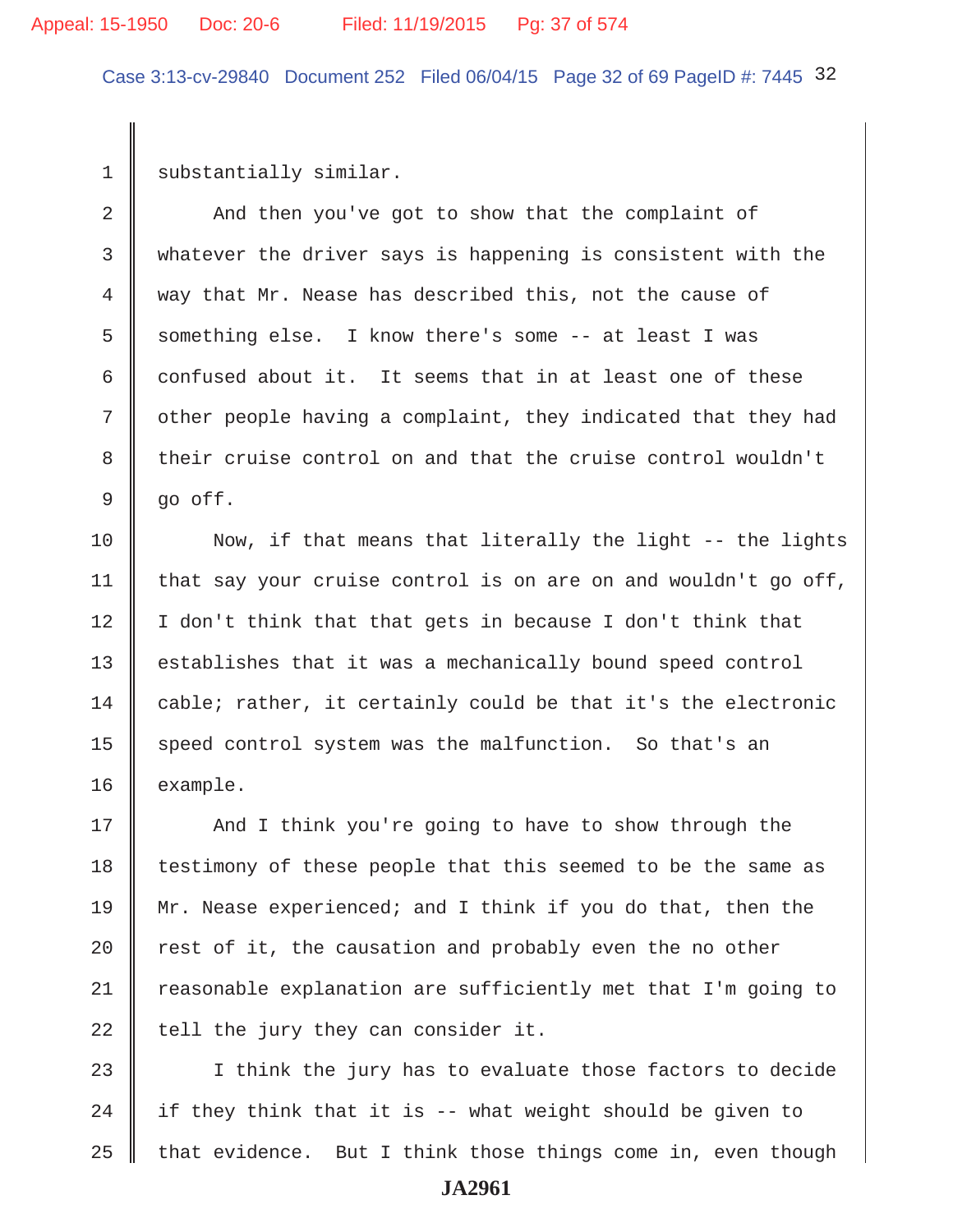#### Appeal: 15-1950 Doc: 20-6 Filed: 11/19/2015 Pg: 37 of 574

Case 3:13-cv-29840 Document 252 Filed 06/04/15 Page 32 of 69 PageID #: 7445 32

1 substantially similar.

2 And then you've got to show that the complaint of 3 whatever the driver says is happening is consistent with the 4 way that Mr. Nease has described this, not the cause of 5 Something else. I know there's some  $-$ - at least I was 6 confused about it. It seems that in at least one of these 7 | other people having a complaint, they indicated that they had 8 their cruise control on and that the cruise control wouldn't  $9 \parallel$  go off.

10  $\parallel$  Now, if that means that literally the light -- the lights 11 | that say your cruise control is on are on and wouldn't go off,  $12 \parallel I$  don't think that that gets in because I don't think that 13 | establishes that it was a mechanically bound speed control 14 cable; rather, it certainly could be that it's the electronic 15 speed control system was the malfunction. So that's an 16 example.

17 || And I think you're going to have to show through the  $18$  | testimony of these people that this seemed to be the same as 19 Mr. Nease experienced; and I think if you do that, then the 20  $\parallel$  rest of it, the causation and probably even the no other 21  $\parallel$  reasonable explanation are sufficiently met that I'm going to 22 tell the jury they can consider it.

23 || I think the jury has to evaluate those factors to decide 24  $\parallel$  if they think that it is -- what weight should be given to 25  $\parallel$  that evidence. But I think those things come in, even though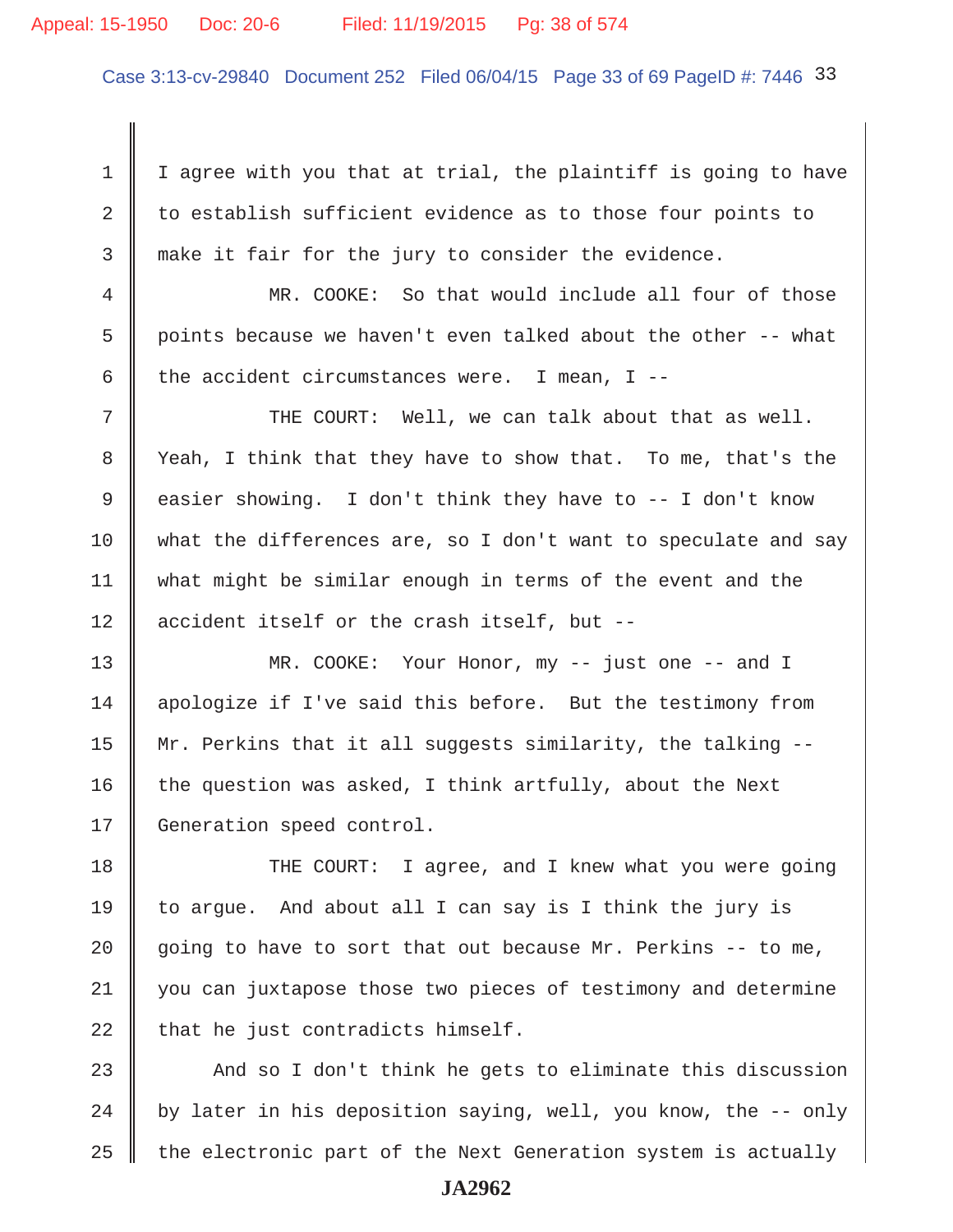#### Appeal: 15-1950 Doc: 20-6 Filed: 11/19/2015 Pg: 38 of 574

Case 3:13-cv-29840 Document 252 Filed 06/04/15 Page 33 of 69 PageID #: 7446 33

 $1 \parallel$  I agree with you that at trial, the plaintiff is going to have 2 to establish sufficient evidence as to those four points to 3 make it fair for the jury to consider the evidence.

 4 MR. COOKE: So that would include all four of those 5  $\parallel$  points because we haven't even talked about the other -- what 6 the accident circumstances were. I mean, I --

 $7$   $\parallel$  THE COURT: Well, we can talk about that as well. 8 Yeah, I think that they have to show that. To me, that's the 9 easier showing. I don't think they have to  $-$  I don't know 10 what the differences are, so I don't want to speculate and say 11 what might be similar enough in terms of the event and the  $12$  | accident itself or the crash itself, but --

13 || MR. COOKE: Your Honor, my -- just one -- and I 14 apologize if I've said this before. But the testimony from 15  $\parallel$  Mr. Perkins that it all suggests similarity, the talking --16 the question was asked, I think artfully, about the Next 17 | Generation speed control.

18 THE COURT: I agree, and I knew what you were going 19 to argue. And about all I can say is I think the jury is 20  $\parallel$  going to have to sort that out because Mr. Perkins -- to me, 21 you can juxtapose those two pieces of testimony and determine  $22$  | that he just contradicts himself.

23  $\parallel$  And so I don't think he gets to eliminate this discussion 24 | by later in his deposition saying, well, you know, the  $-$ - only  $25$   $\parallel$  the electronic part of the Next Generation system is actually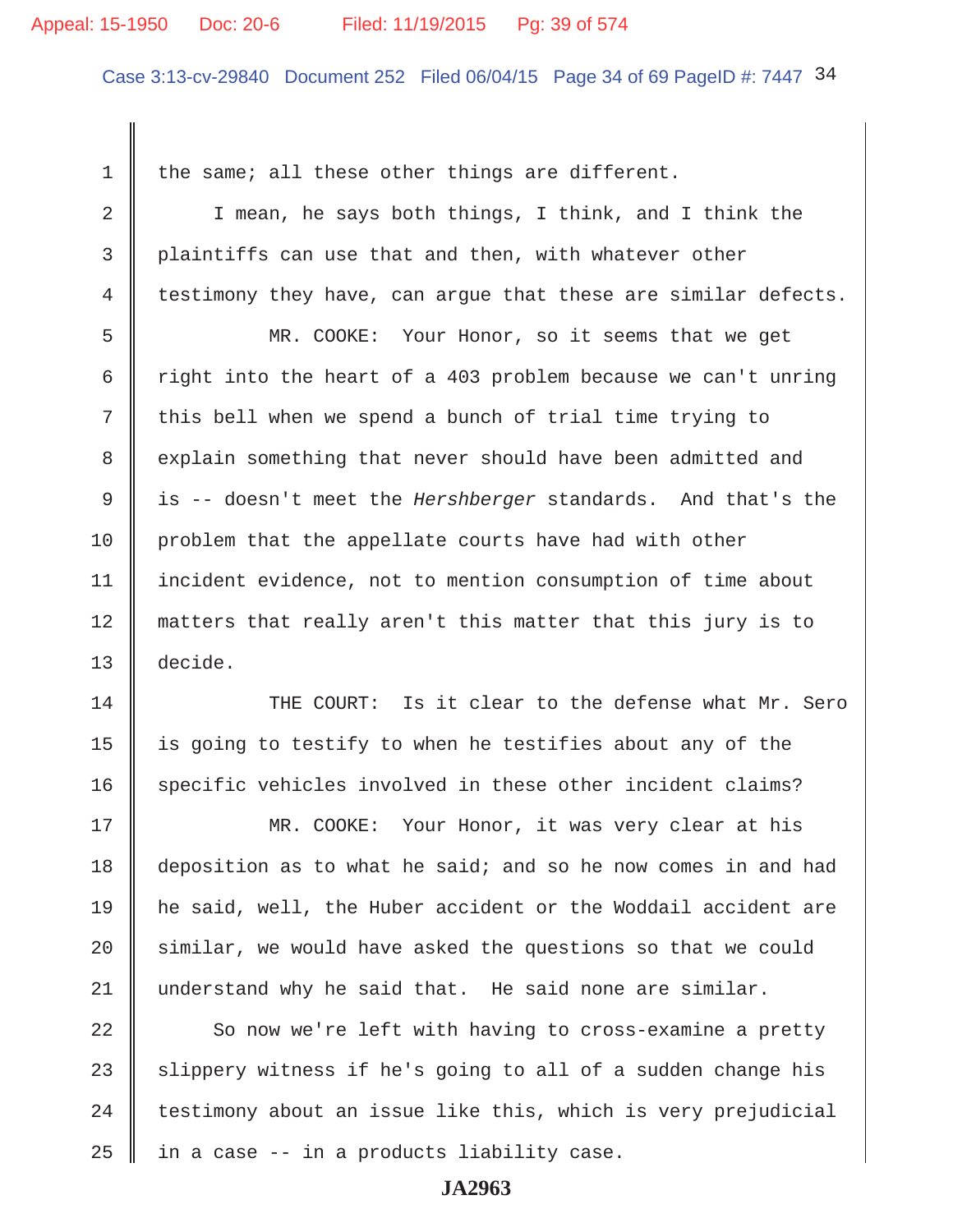#### Appeal: 15-1950 Doc: 20-6 Filed: 11/19/2015 Pg: 39 of 574

Case 3:13-cv-29840 Document 252 Filed 06/04/15 Page 34 of 69 PageID #: 7447 34

1  $\parallel$  the same; all these other things are different. 2 | I mean, he says both things, I think, and I think the 3 plaintiffs can use that and then, with whatever other  $4 \parallel$  testimony they have, can argue that these are similar defects. 5 MR. COOKE: Your Honor, so it seems that we get 6 T right into the heart of a 403 problem because we can't unring  $7 \parallel$  this bell when we spend a bunch of trial time trying to 8 explain something that never should have been admitted and 9 is -- doesn't meet the *Hershberger* standards. And that's the 10 problem that the appellate courts have had with other 11 incident evidence, not to mention consumption of time about 12 || matters that really aren't this matter that this jury is to 13 decide. 14 THE COURT: Is it clear to the defense what Mr. Sero

15  $\parallel$  is going to testify to when he testifies about any of the 16 specific vehicles involved in these other incident claims?

17 MR. COOKE: Your Honor, it was very clear at his 18 deposition as to what he said; and so he now comes in and had 19 he said, well, the Huber accident or the Woddail accident are  $20$  similar, we would have asked the questions so that we could 21 understand why he said that. He said none are similar.

  $\parallel$  So now we're left with having to cross-examine a pretty 23 Slippery witness if he's going to all of a sudden change his | testimony about an issue like this, which is very prejudicial | in a case -- in a products liability case.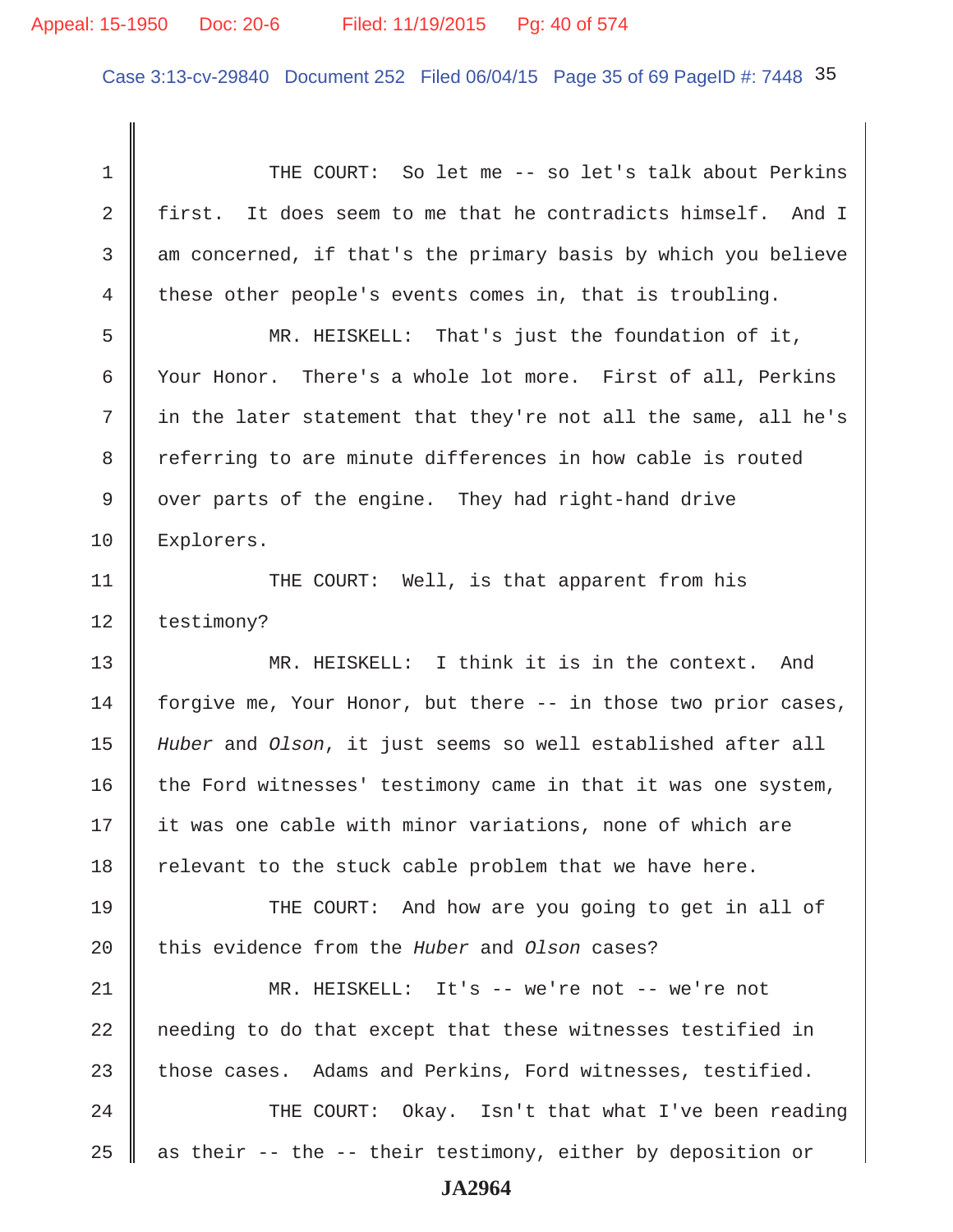Case 3:13-cv-29840 Document 252 Filed 06/04/15 Page 35 of 69 PageID #: 7448 35

1 || THE COURT: So let me -- so let's talk about Perkins 2 first. It does seem to me that he contradicts himself. And I 3 am concerned, if that's the primary basis by which you believe 4 these other people's events comes in, that is troubling. 5 MR. HEISKELL: That's just the foundation of it, 6 Your Honor. There's a whole lot more. First of all, Perkins  $7 \parallel$  in the later statement that they're not all the same, all he's 8 Teferring to are minute differences in how cable is routed 9 || over parts of the engine. They had right-hand drive 10 | Explorers. 11 || THE COURT: Well, is that apparent from his 12 | testimony? 13 WR. HEISKELL: I think it is in the context. And 14 forgive me, Your Honor, but there -- in those two prior cases, 15 *Huber* and *Olson*, it just seems so well established after all  $16$  the Ford witnesses' testimony came in that it was one system, 17 || it was one cable with minor variations, none of which are 18  $\parallel$  relevant to the stuck cable problem that we have here. 19 THE COURT: And how are you going to get in all of 20 this evidence from the *Huber* and *Olson* cases? 21 MR. HEISKELL: It's -- we're not -- we're not 22 needing to do that except that these witnesses testified in 23 those cases. Adams and Perkins, Ford witnesses, testified. 24 THE COURT: Okay. Isn't that what I've been reading 25  $\parallel$  as their -- the -- their testimony, either by deposition or **JA2964**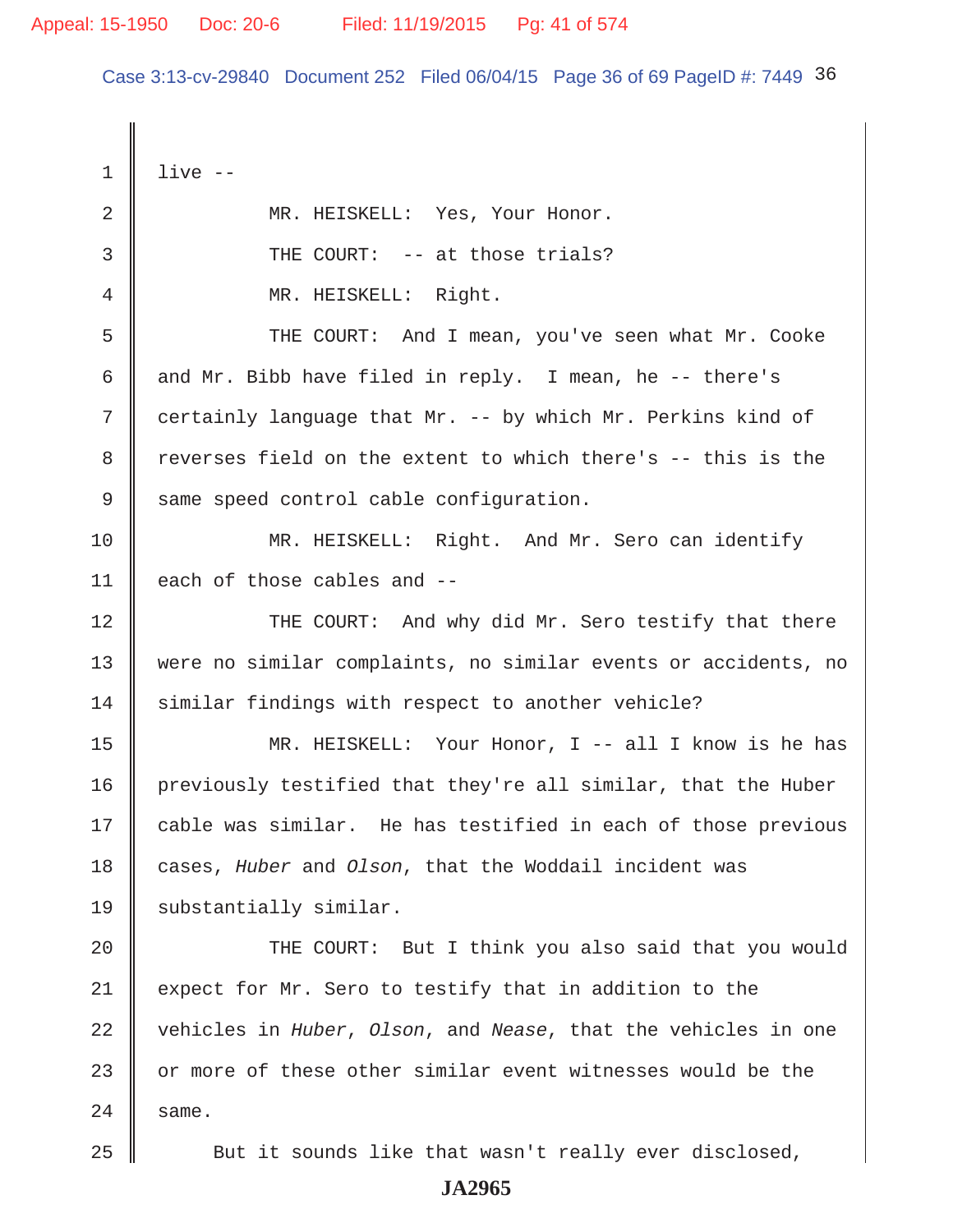Case 3:13-cv-29840 Document 252 Filed 06/04/15 Page 36 of 69 PageID #: 7449 36

 $1 \parallel$  live --2 || MR. HEISKELL: Yes, Your Honor. 3 || THE COURT: -- at those trials? 4 || MR. HEISKELL: Right. 5 THE COURT: And I mean, you've seen what Mr. Cooke 6 and Mr. Bibb have filed in reply. I mean, he  $-$ - there's 7 certainly language that Mr. -- by which Mr. Perkins kind of 8 reverses field on the extent to which there's -- this is the 9 Same speed control cable configuration. 10 MR. HEISKELL: Right. And Mr. Sero can identify 11 each of those cables and --12 THE COURT: And why did Mr. Sero testify that there 13 were no similar complaints, no similar events or accidents, no 14 similar findings with respect to another vehicle? 15 MR. HEISKELL: Your Honor, I -- all I know is he has 16 previously testified that they're all similar, that the Huber 17 cable was similar. He has testified in each of those previous 18 cases, *Huber* and *Olson*, that the Woddail incident was 19 || substantially similar. 20 THE COURT: But I think you also said that you would 21  $\parallel$  expect for Mr. Sero to testify that in addition to the 22 vehicles in *Huber*, *Olson*, and *Nease*, that the vehicles in one 23 || or more of these other similar event witnesses would be the  $24 \parallel$  same. 25 Sut it sounds like that wasn't really ever disclosed,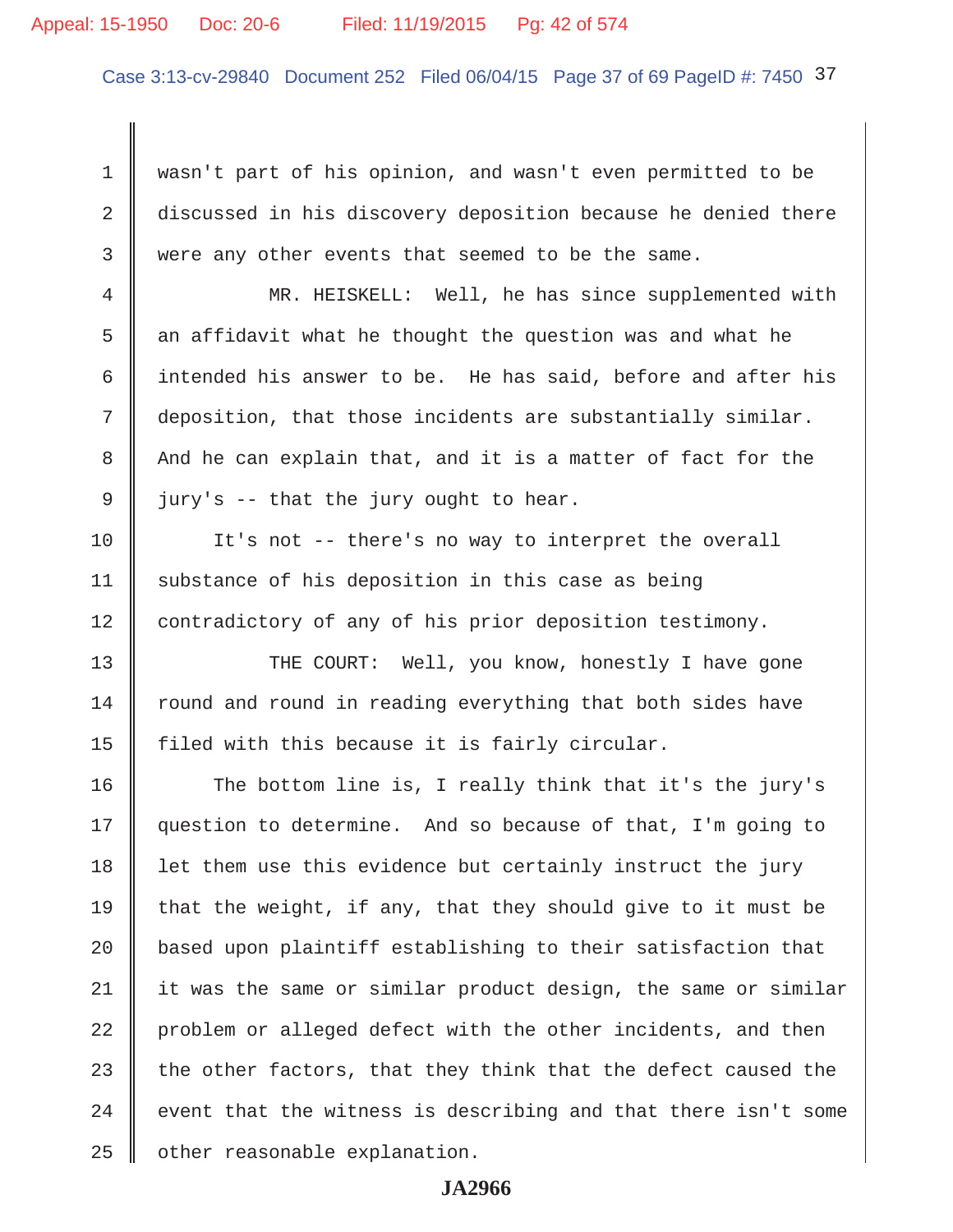#### Appeal: 15-1950 Doc: 20-6 Filed: 11/19/2015 Pg: 42 of 574

Case 3:13-cv-29840 Document 252 Filed 06/04/15 Page 37 of 69 PageID #: 7450 37

1 | wasn't part of his opinion, and wasn't even permitted to be 2 discussed in his discovery deposition because he denied there 3 were any other events that seemed to be the same.

 4 MR. HEISKELL: Well, he has since supplemented with 5  $\parallel$  an affidavit what he thought the question was and what he 6  $\parallel$  intended his answer to be. He has said, before and after his 7 deposition, that those incidents are substantially similar.  $8$   $\parallel$  And he can explain that, and it is a matter of fact for the  $9 \parallel$  jury's -- that the jury ought to hear.

10 || It's not -- there's no way to interpret the overall 11 | substance of his deposition in this case as being 12 contradictory of any of his prior deposition testimony.

13 || THE COURT: Well, you know, honestly I have gone 14 Tround and round in reading everything that both sides have 15  $\parallel$  filed with this because it is fairly circular.

16 The bottom line is, I really think that it's the jury's 17 question to determine. And so because of that, I'm going to 18 let them use this evidence but certainly instruct the jury 19 that the weight, if any, that they should give to it must be 20 | based upon plaintiff establishing to their satisfaction that  $21$  it was the same or similar product design, the same or similar 22 problem or alleged defect with the other incidents, and then 23 the other factors, that they think that the defect caused the  $24$   $\parallel$  event that the witness is describing and that there isn't some  $25$  | other reasonable explanation.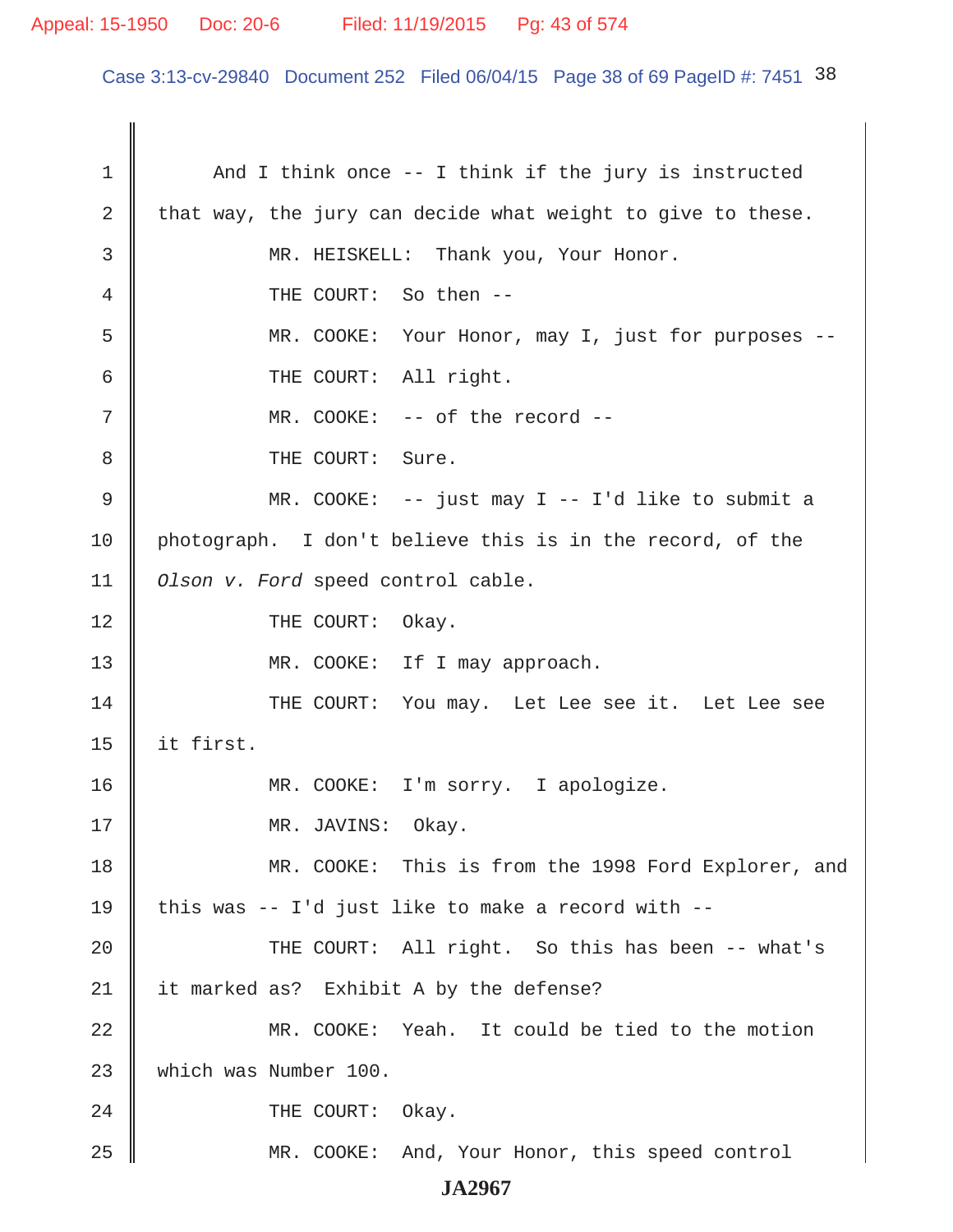# Appeal: 15-1950 Doc: 20-6 Filed: 11/19/2015 Pg: 43 of 574

Case 3:13-cv-29840 Document 252 Filed 06/04/15 Page 38 of 69 PageID #: 7451 38

1 And I think once -- I think if the jury is instructed 2 that way, the jury can decide what weight to give to these. 3 || MR. HEISKELL: Thank you, Your Honor. 4 **4** THE COURT: So then --5 MR. COOKE: Your Honor, may I, just for purposes --6 || THE COURT: All right. 7 MR. COOKE: -- of the record -- 8 || THE COURT: Sure. 9 MR. COOKE: -- just may I -- I'd like to submit a 10 photograph. I don't believe this is in the record, of the 11 *Olson v. Ford* speed control cable. 12 || THE COURT: Okay. 13 || MR. COOKE: If I may approach. 14 THE COURT: You may. Let Lee see it. Let Lee see 15  $\parallel$  it first. 16 || MR. COOKE: I'm sorry. I apologize. 17 || MR. JAVINS: Okay. 18 MR. COOKE: This is from the 1998 Ford Explorer, and 19  $\parallel$  this was -- I'd just like to make a record with --20 THE COURT: All right. So this has been -- what's 21 | it marked as? Exhibit A by the defense? 22 MR. COOKE: Yeah. It could be tied to the motion 23 Which was Number 100. 24 COURT: Okay. 25 MR. COOKE: And, Your Honor, this speed control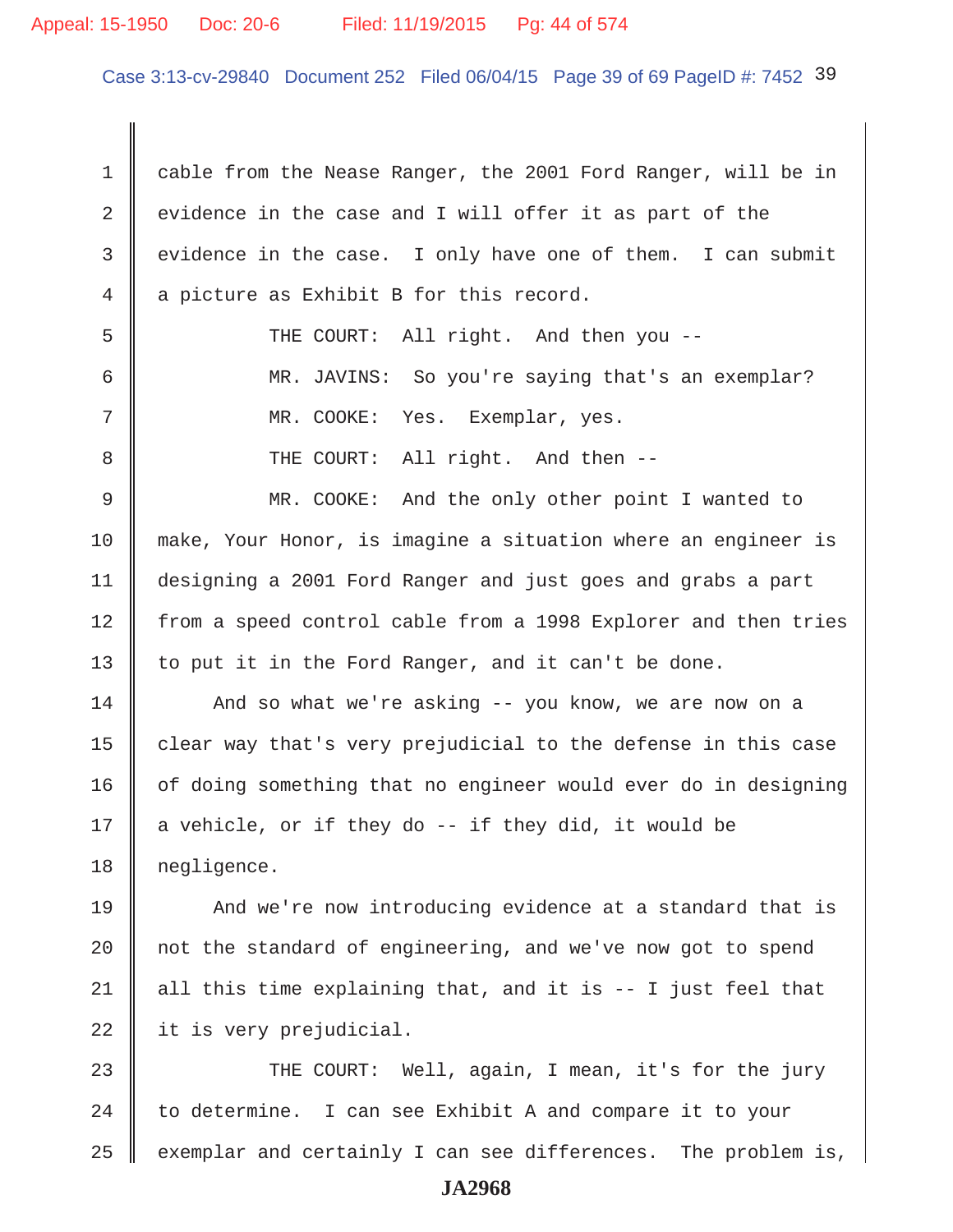# Appeal: 15-1950 Doc: 20-6 Filed: 11/19/2015 Pg: 44 of 574

Case 3:13-cv-29840 Document 252 Filed 06/04/15 Page 39 of 69 PageID #: 7452 39

1 cable from the Nease Ranger, the 2001 Ford Ranger, will be in 2 | evidence in the case and I will offer it as part of the 3 evidence in the case. I only have one of them. I can submit  $4 \parallel a$  picture as Exhibit B for this record. 5 Supersman THE COURT: All right. And then you -- 6 MR. JAVINS: So you're saying that's an exemplar? 7 MR. COOKE: Yes. Exemplar, yes. 8 THE COURT: All right. And then -- 9 || MR. COOKE: And the only other point I wanted to 10 make, Your Honor, is imagine a situation where an engineer is 11 designing a 2001 Ford Ranger and just goes and grabs a part 12 from a speed control cable from a 1998 Explorer and then tries 13  $\parallel$  to put it in the Ford Ranger, and it can't be done. 14 And so what we're asking -- you know, we are now on a 15  $\parallel$  clear way that's very prejudicial to the defense in this case 16 | of doing something that no engineer would ever do in designing 17  $\parallel$  a vehicle, or if they do -- if they did, it would be 18 negligence. 19 || And we're now introducing evidence at a standard that is 20  $\parallel$  not the standard of engineering, and we've now got to spend 21 | all this time explaining that, and it is  $-$ - I just feel that  $22$  | it is very prejudicial. 23 THE COURT: Well, again, I mean, it's for the jury

24  $\parallel$  to determine. I can see Exhibit A and compare it to your  $25$  exemplar and certainly I can see differences. The problem is,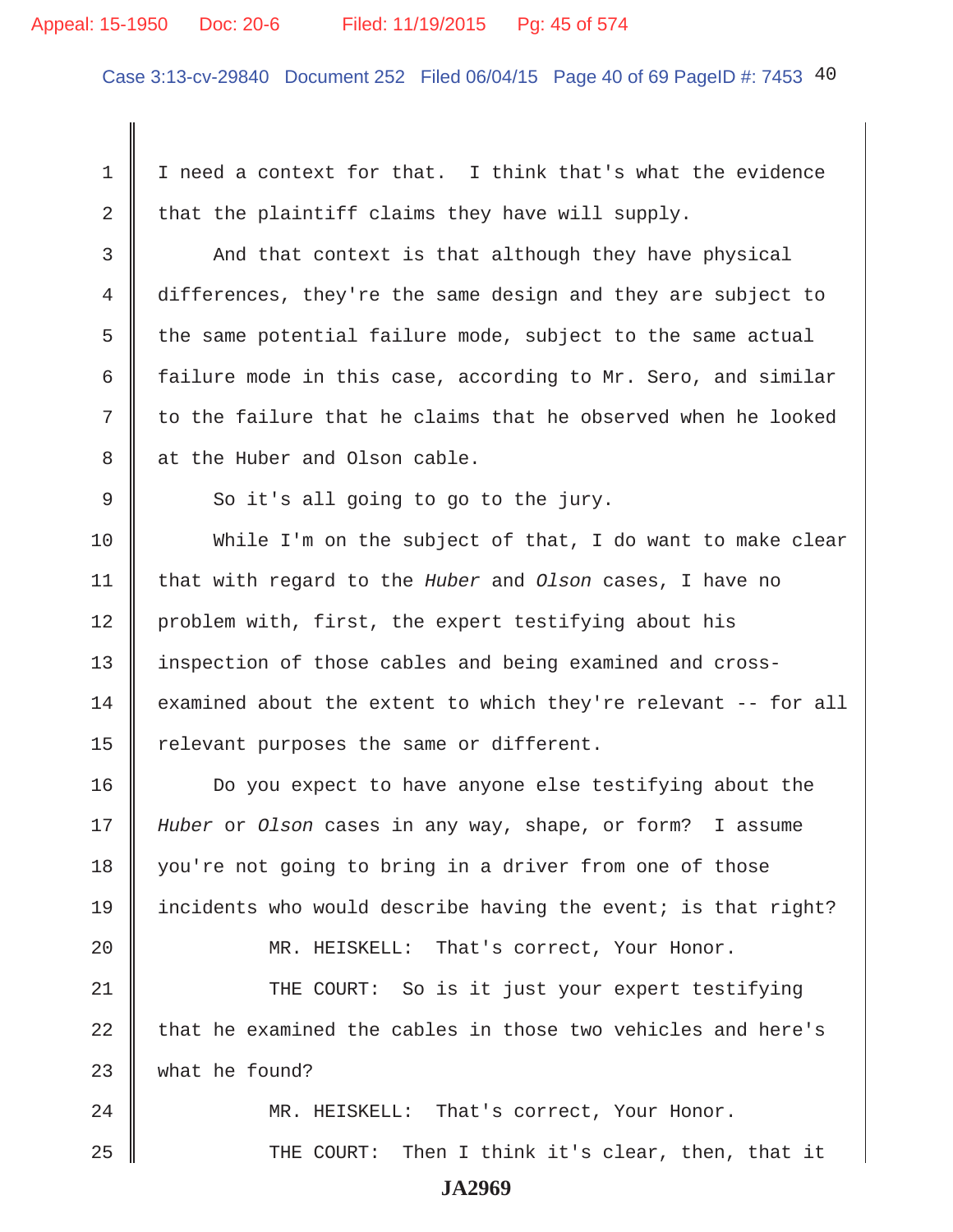#### Appeal: 15-1950 Doc: 20-6 Filed: 11/19/2015 Pg: 45 of 574

Case 3:13-cv-29840 Document 252 Filed 06/04/15 Page 40 of 69 PageID #: 7453 40

1 | I need a context for that. I think that's what the evidence 2 that the plaintiff claims they have will supply. 3 And that context is that although they have physical 4 differences, they're the same design and they are subject to  $5$  the same potential failure mode, subject to the same actual 6  $\parallel$  failure mode in this case, according to Mr. Sero, and similar  $7 \parallel$  to the failure that he claims that he observed when he looked 8 || at the Huber and Olson cable.  $9 \parallel$  So it's all going to go to the jury. 10 While I'm on the subject of that, I do want to make clear 11 that with regard to the *Huber* and *Olson* cases, I have no 12 | problem with, first, the expert testifying about his 13 inspection of those cables and being examined and cross- $14$  examined about the extent to which they're relevant  $-$ - for all 15  $\parallel$  relevant purposes the same or different. 16 Do you expect to have anyone else testifying about the 17 *Huber* or *Olson* cases in any way, shape, or form? I assume 18 you're not going to bring in a driver from one of those 19 incidents who would describe having the event; is that right? 20 MR. HEISKELL: That's correct, Your Honor. 21 THE COURT: So is it just your expert testifying  $22$   $\parallel$  that he examined the cables in those two vehicles and here's 23 what he found? 24 MR. HEISKELL: That's correct, Your Honor. 25 THE COURT: Then I think it's clear, then, that it **JA2969**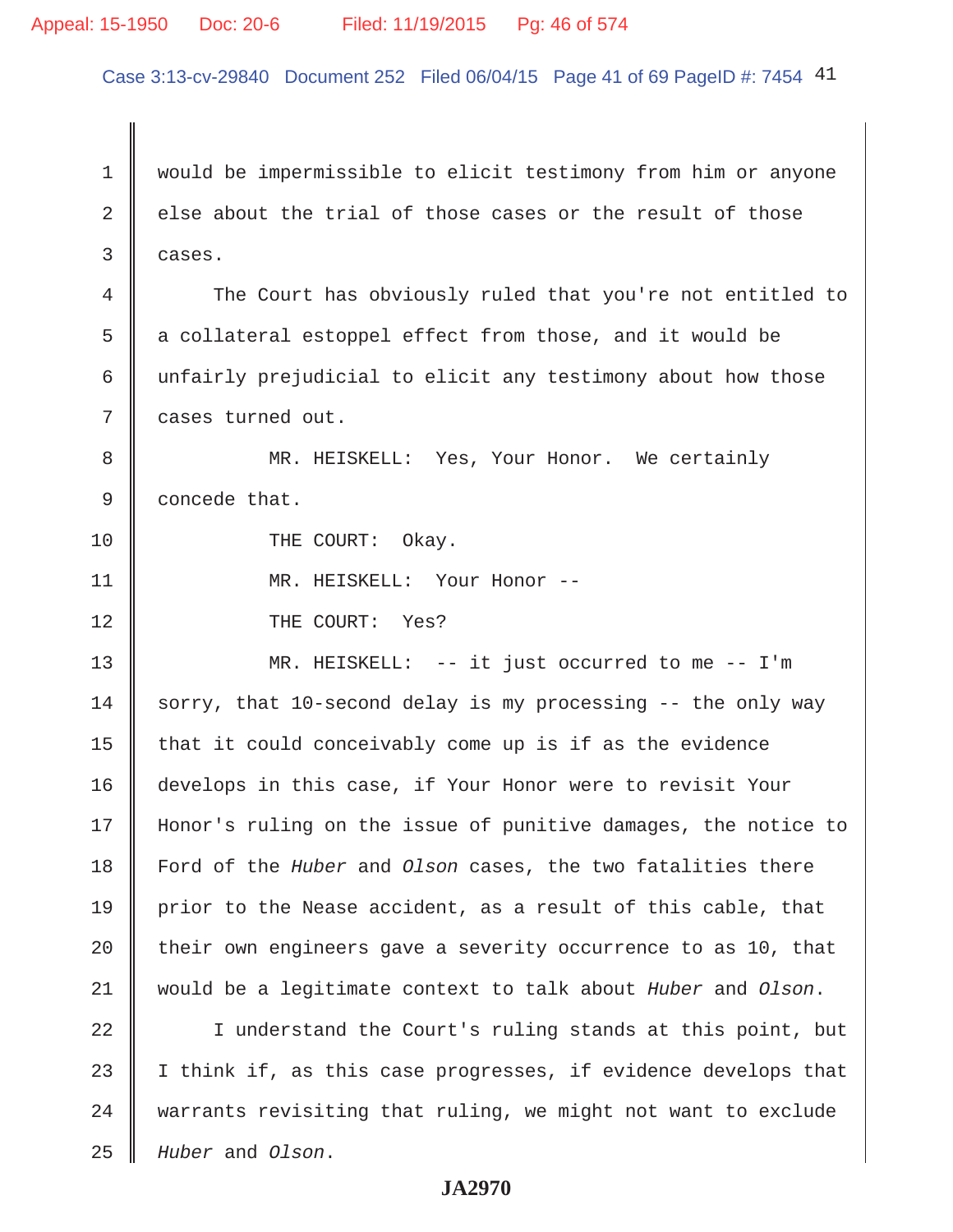# Appeal: 15-1950 Doc: 20-6 Filed: 11/19/2015 Pg: 46 of 574

Case 3:13-cv-29840 Document 252 Filed 06/04/15 Page 41 of 69 PageID #: 7454 41

 1 would be impermissible to elicit testimony from him or anyone 2 else about the trial of those cases or the result of those  $3 \parallel$  cases. 4 The Court has obviously ruled that you're not entitled to 5 a collateral estoppel effect from those, and it would be 6 unfairly prejudicial to elicit any testimony about how those 7 cases turned out. 8 MR. HEISKELL: Yes, Your Honor. We certainly 9 **concede that.** 10 || THE COURT: Okay. 11 || MR. HEISKELL: Your Honor --12 || THE COURT: Yes? 13 MR. HEISKELL: -- it just occurred to me -- I'm 14 sorry, that 10-second delay is my processing  $-$ - the only way 15  $\parallel$  that it could conceivably come up is if as the evidence 16 develops in this case, if Your Honor were to revisit Your 17 Honor's ruling on the issue of punitive damages, the notice to 18 Ford of the *Huber* and *Olson* cases, the two fatalities there 19 prior to the Nease accident, as a result of this cable, that 20  $\parallel$  their own engineers gave a severity occurrence to as 10, that 21 would be a legitimate context to talk about *Huber* and *Olson*. 22 I understand the Court's ruling stands at this point, but 23  $\parallel$  I think if, as this case progresses, if evidence develops that  $24$   $\parallel$  warrants revisiting that ruling, we might not want to exclude

#### **JA2970**

25 *Huber* and *Olson*.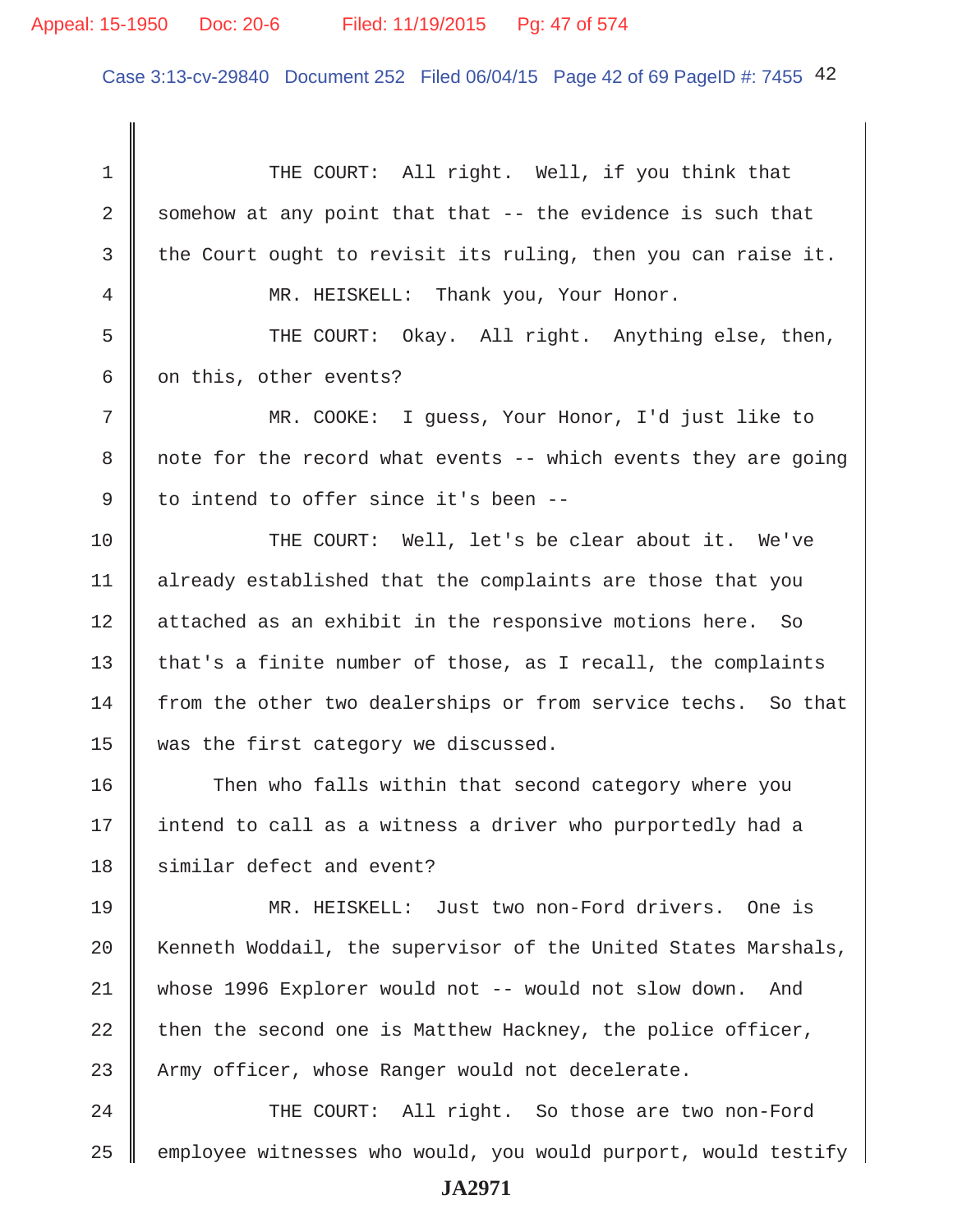Case 3:13-cv-29840 Document 252 Filed 06/04/15 Page 42 of 69 PageID #: 7455 42

1 THE COURT: All right. Well, if you think that 2 Somehow at any point that that  $-$  the evidence is such that 3 the Court ought to revisit its ruling, then you can raise it. 4 || MR. HEISKELL: Thank you, Your Honor. 5 || THE COURT: Okay. All right. Anything else, then, 6  $\parallel$  on this, other events? 7 MR. COOKE: I guess, Your Honor, I'd just like to 8 | note for the record what events  $-$ - which events they are going 9 I to intend to offer since it's been --10 THE COURT: Well, let's be clear about it. We've 11 | already established that the complaints are those that you 12 | attached as an exhibit in the responsive motions here. So 13 that's a finite number of those, as I recall, the complaints 14 from the other two dealerships or from service techs. So that 15 was the first category we discussed. 16 Then who falls within that second category where you 17 || intend to call as a witness a driver who purportedly had a 18 similar defect and event? 19 MR. HEISKELL: Just two non-Ford drivers. One is 20 Kenneth Woddail, the supervisor of the United States Marshals, 21 whose 1996 Explorer would not -- would not slow down. And 22 then the second one is Matthew Hackney, the police officer, 23 Army officer, whose Ranger would not decelerate. 24 THE COURT: All right. So those are two non-Ford  $25$   $\parallel$  employee witnesses who would, you would purport, would testify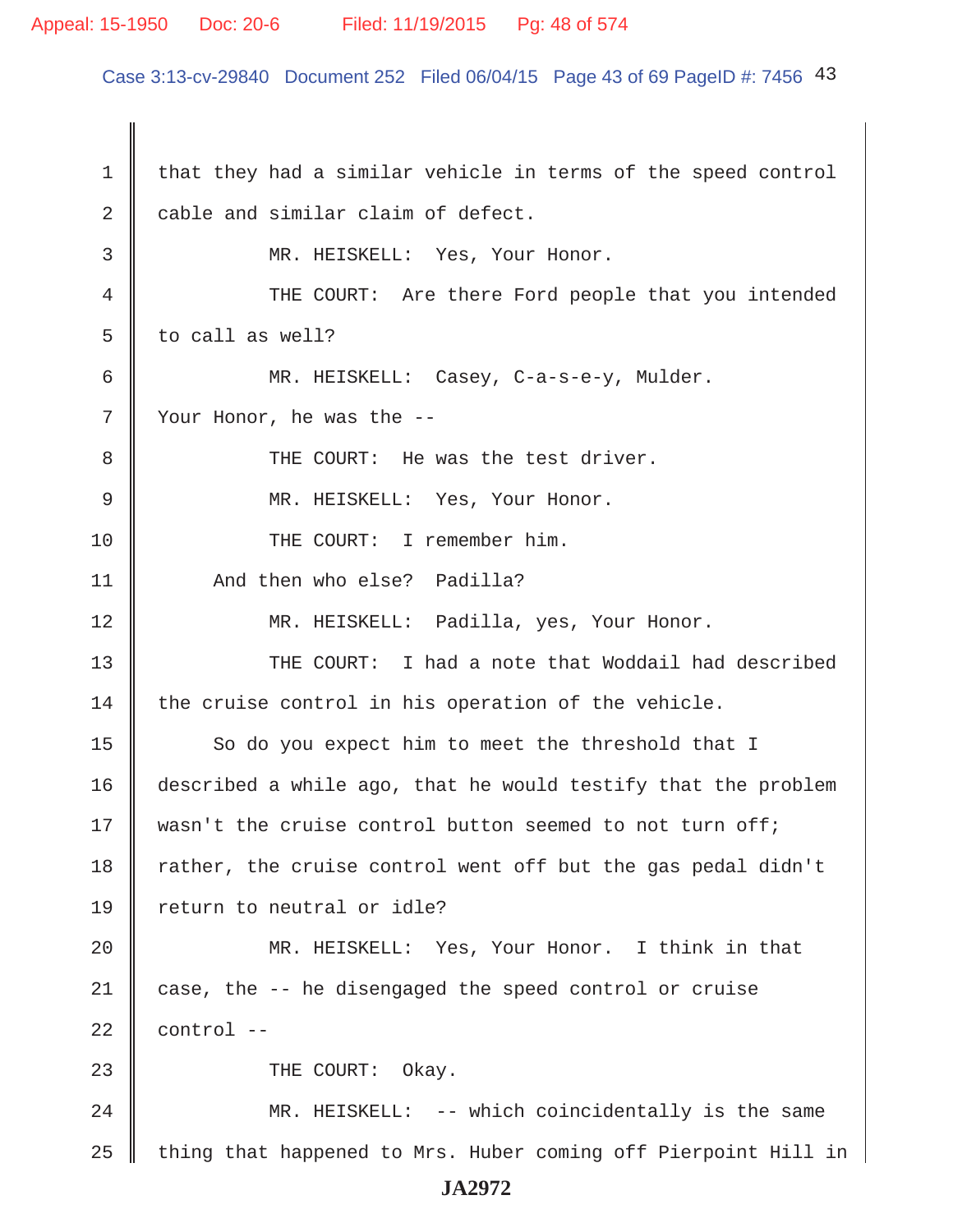# Appeal: 15-1950 Doc: 20-6 Filed: 11/19/2015 Pg: 48 of 574

Case 3:13-cv-29840 Document 252 Filed 06/04/15 Page 43 of 69 PageID #: 7456 43

 $1 \parallel$  that they had a similar vehicle in terms of the speed control 2 cable and similar claim of defect. 3 || MR. HEISKELL: Yes, Your Honor. 4 THE COURT: Are there Ford people that you intended  $5 \parallel$  to call as well? 6 MR. HEISKELL: Casey, C-a-s-e-y, Mulder.  $7 \parallel$  Your Honor, he was the -- 8 THE COURT: He was the test driver. 9 || MR. HEISKELL: Yes, Your Honor. 10 || THE COURT: I remember him. 11 **And then who else?** Padilla? 12 MR. HEISKELL: Padilla, yes, Your Honor. 13  $\parallel$  THE COURT: I had a note that Woddail had described  $14$  the cruise control in his operation of the vehicle. 15 So do you expect him to meet the threshold that I 16 described a while ago, that he would testify that the problem 17 || wasn't the cruise control button seemed to not turn off; 18 Trather, the cruise control went off but the gas pedal didn't 19 || return to neutral or idle? 20 || MR. HEISKELL: Yes, Your Honor. I think in that 21 case, the -- he disengaged the speed control or cruise  $22$  | control  $-$ 23 **I** THE COURT: Okay. 24 || MR. HEISKELL: -- which coincidentally is the same  $25$   $\parallel$  thing that happened to Mrs. Huber coming off Pierpoint Hill in **JA2972**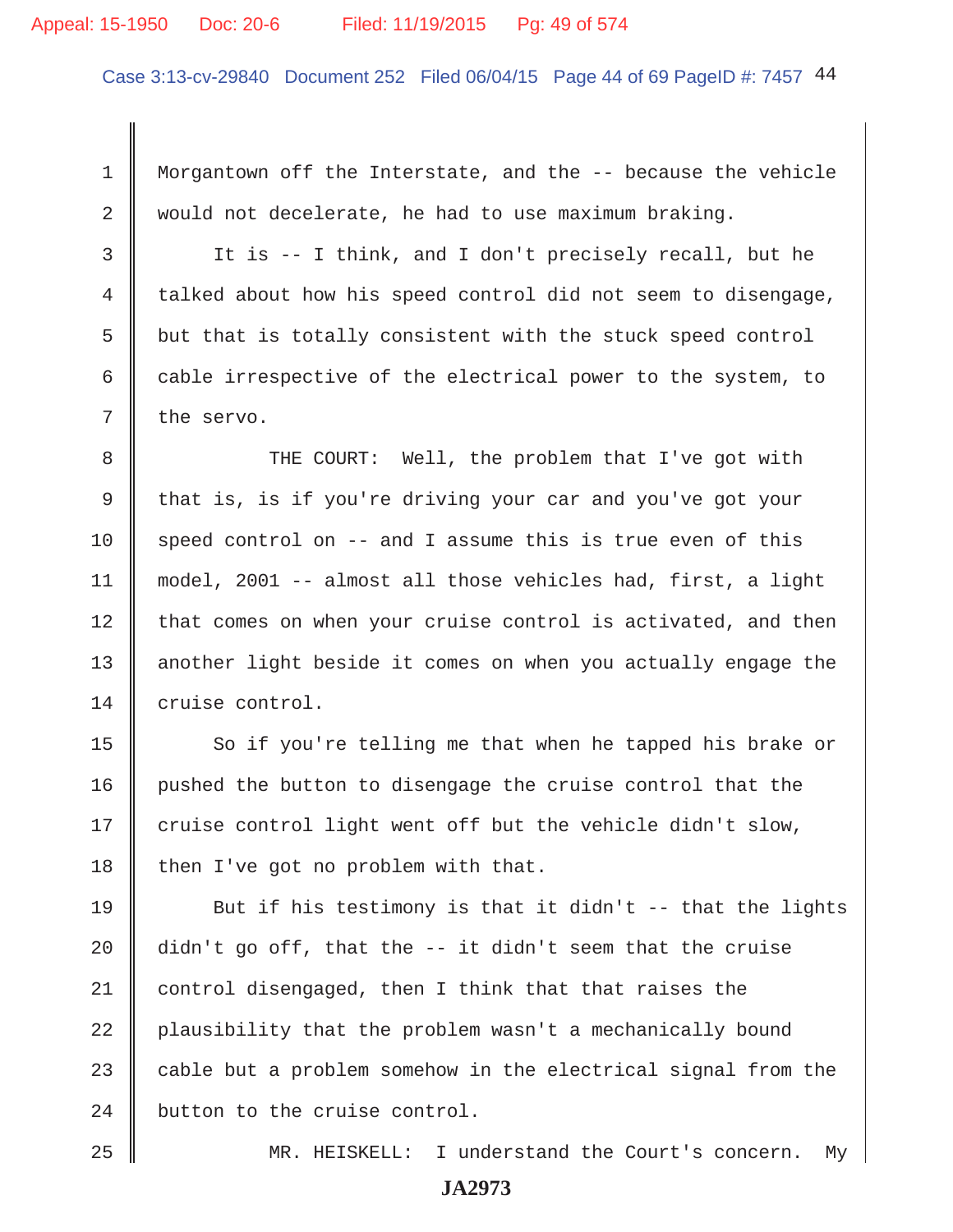#### Appeal: 15-1950 Doc: 20-6 Filed: 11/19/2015 Pg: 49 of 574

Case 3:13-cv-29840 Document 252 Filed 06/04/15 Page 44 of 69 PageID #: 7457 44

 1 Morgantown off the Interstate, and the -- because the vehicle 2 would not decelerate, he had to use maximum braking.

 3 It is -- I think, and I don't precisely recall, but he 4 talked about how his speed control did not seem to disengage,  $5 \parallel$  but that is totally consistent with the stuck speed control 6 cable irrespective of the electrical power to the system, to  $7 \parallel$  the servo.

8 THE COURT: Well, the problem that I've got with 9 that is, is if you're driving your car and you've got your 10 speed control on  $-$  and I assume this is true even of this 11 model, 2001 -- almost all those vehicles had, first, a light  $12$  that comes on when your cruise control is activated, and then 13 | another light beside it comes on when you actually engage the 14 cruise control.

15 So if you're telling me that when he tapped his brake or 16 pushed the button to disengage the cruise control that the  $17$  cruise control light went off but the vehicle didn't slow, 18 then I've got no problem with that.

19 But if his testimony is that it didn't  $-$ - that the lights  $\parallel$  didn't go off, that the -- it didn't seem that the cruise 21 control disengaged, then I think that that raises the | plausibility that the problem wasn't a mechanically bound  $\parallel$  cable but a problem somehow in the electrical signal from the button to the cruise control.

25 MR. HEISKELL: I understand the Court's concern. My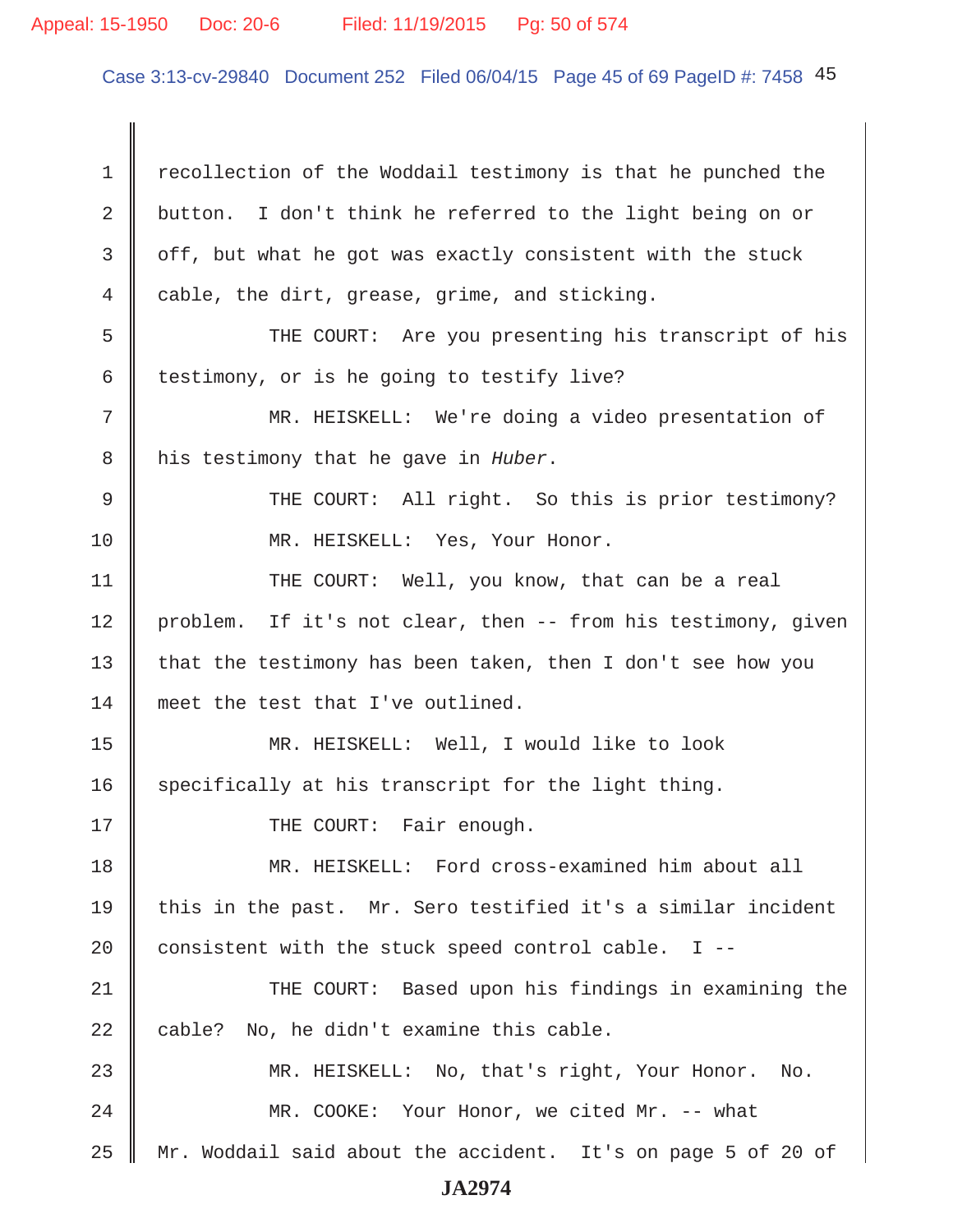# Appeal: 15-1950 Doc: 20-6 Filed: 11/19/2015 Pg: 50 of 574

Case 3:13-cv-29840 Document 252 Filed 06/04/15 Page 45 of 69 PageID #: 7458 45

1 recollection of the Woddail testimony is that he punched the 2 button. I don't think he referred to the light being on or  $3 \parallel$  off, but what he got was exactly consistent with the stuck 4 cable, the dirt, grease, grime, and sticking. 5 THE COURT: Are you presenting his transcript of his 6 testimony, or is he going to testify live? 7 || MR. HEISKELL: We're doing a video presentation of 8 his testimony that he gave in *Huber*. 9 || THE COURT: All right. So this is prior testimony? 10 || MR. HEISKELL: Yes, Your Honor. 11 | THE COURT: Well, you know, that can be a real 12 problem. If it's not clear, then -- from his testimony, given 13  $\parallel$  that the testimony has been taken, then I don't see how you 14 meet the test that I've outlined. 15 MR. HEISKELL: Well, I would like to look 16 specifically at his transcript for the light thing. 17 || THE COURT: Fair enough. 18 || MR. HEISKELL: Ford cross-examined him about all 19 || this in the past. Mr. Sero testified it's a similar incident 20  $\parallel$  consistent with the stuck speed control cable. I --21 THE COURT: Based upon his findings in examining the  $22$  | cable? No, he didn't examine this cable. 23 MR. HEISKELL: No, that's right, Your Honor. No. 24 | MR. COOKE: Your Honor, we cited Mr. -- what 25 Mr. Woddail said about the accident. It's on page 5 of 20 of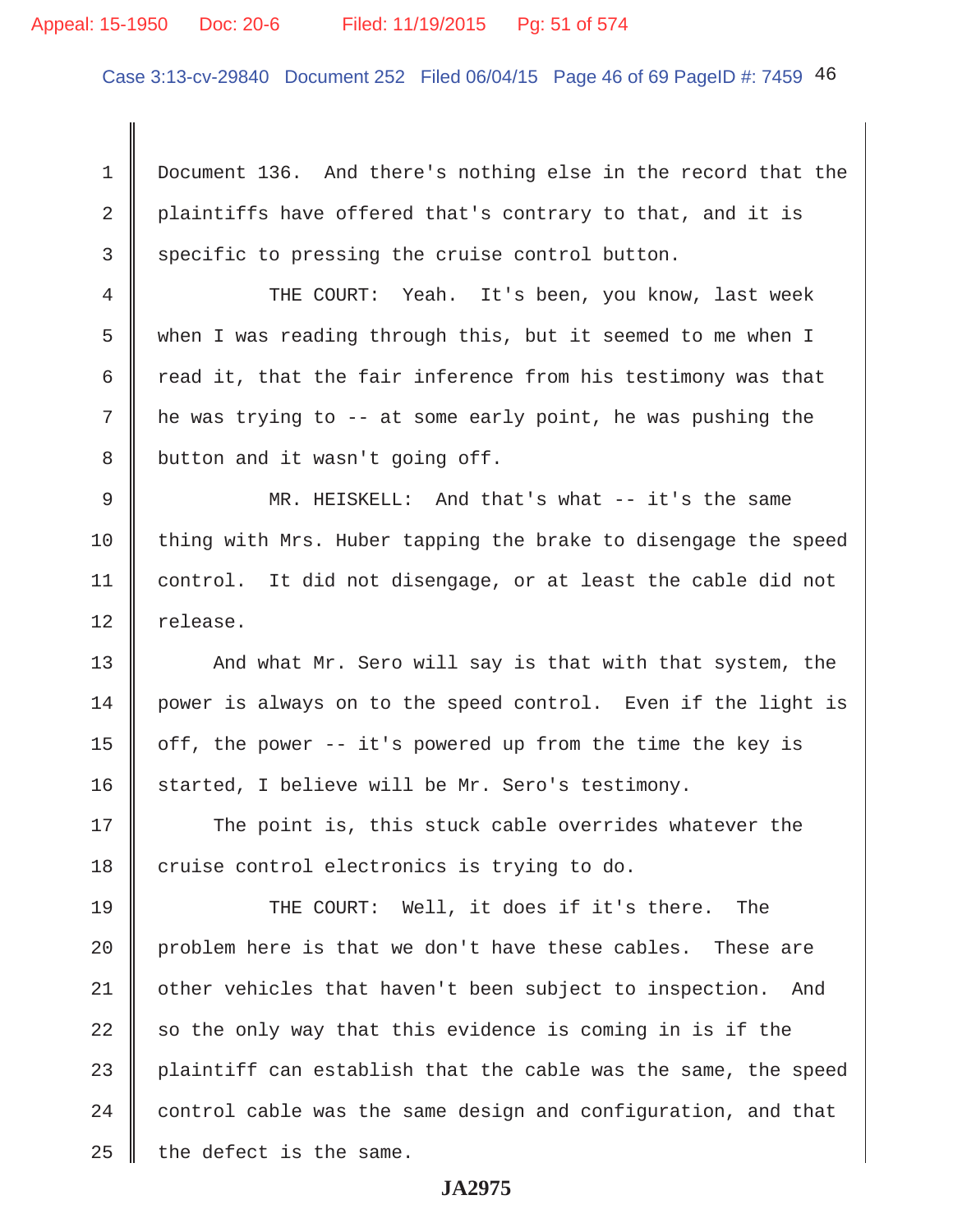# Appeal: 15-1950 Doc: 20-6 Filed: 11/19/2015 Pg: 51 of 574

Case 3:13-cv-29840 Document 252 Filed 06/04/15 Page 46 of 69 PageID #: 7459 46

 1 Document 136. And there's nothing else in the record that the 2 plaintiffs have offered that's contrary to that, and it is 3 Specific to pressing the cruise control button.

4 || THE COURT: Yeah. It's been, you know, last week 5 when I was reading through this, but it seemed to me when I 6  $\parallel$  read it, that the fair inference from his testimony was that 7 he was trying to -- at some early point, he was pushing the 8 button and it wasn't going off.

 9 MR. HEISKELL: And that's what -- it's the same 10 thing with Mrs. Huber tapping the brake to disengage the speed 11 control. It did not disengage, or at least the cable did not 12 | release.

13  $\parallel$  And what Mr. Sero will say is that with that system, the 14 power is always on to the speed control. Even if the light is 15 | off, the power  $-$ - it's powered up from the time the key is  $16$  started, I believe will be Mr. Sero's testimony.

17 The point is, this stuck cable overrides whatever the  $18$  cruise control electronics is trying to do.

19 THE COURT: Well, it does if it's there. The 20 problem here is that we don't have these cables. These are 21 | other vehicles that haven't been subject to inspection. And 22  $\parallel$  so the only way that this evidence is coming in is if the 23  $\parallel$  plaintiff can establish that the cable was the same, the speed  $24$   $\parallel$  control cable was the same design and configuration, and that  $25$  | the defect is the same.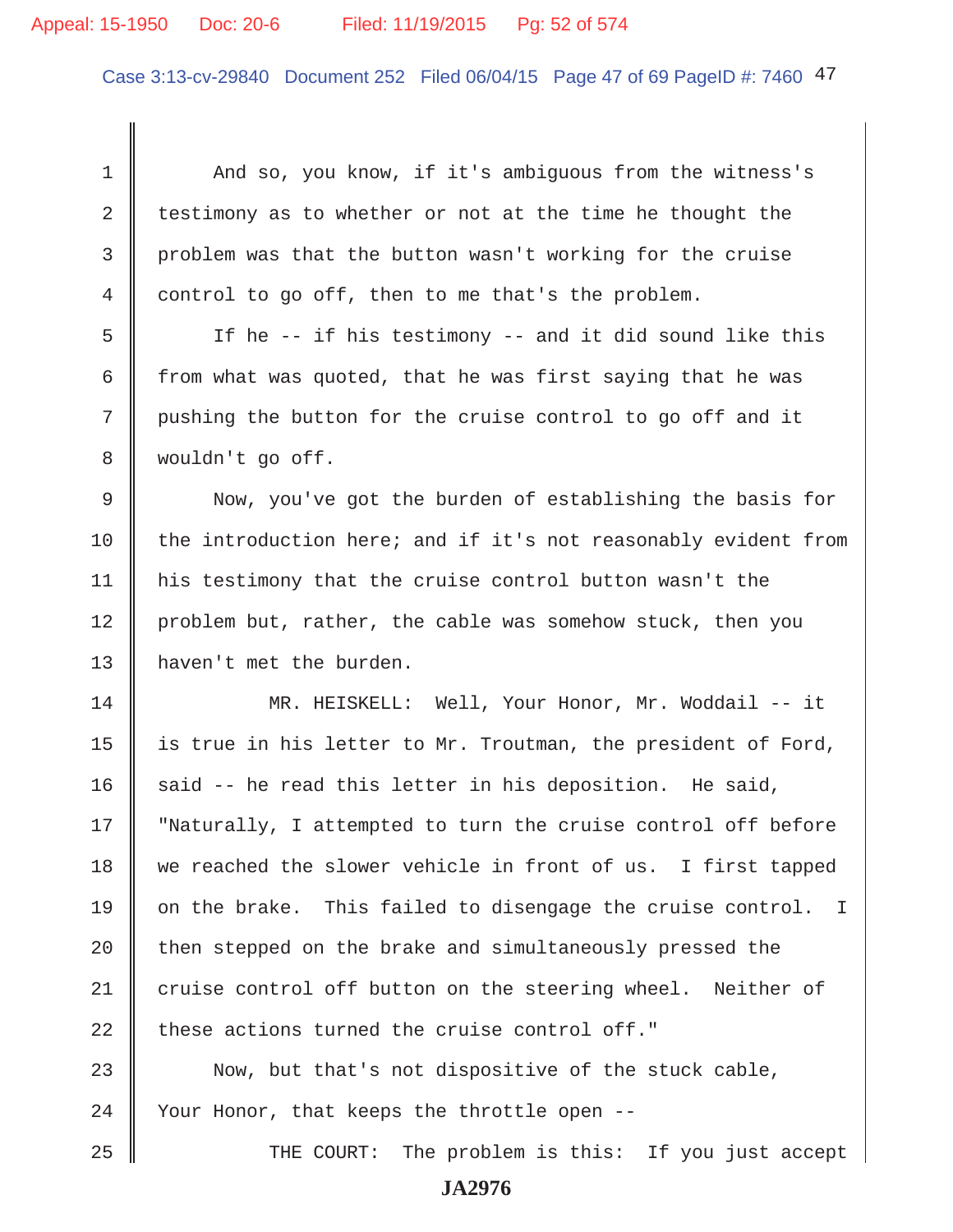# Appeal: 15-1950 Doc: 20-6 Filed: 11/19/2015 Pg: 52 of 574

Case 3:13-cv-29840 Document 252 Filed 06/04/15 Page 47 of 69 PageID #: 7460 47

1 And so, you know, if it's ambiguous from the witness's 2 testimony as to whether or not at the time he thought the 3 problem was that the button wasn't working for the cruise 4 control to go off, then to me that's the problem. 5 If he -- if his testimony -- and it did sound like this 6  $\parallel$  from what was quoted, that he was first saying that he was 7 pushing the button for the cruise control to go off and it 8 wouldn't go off. 9 Now, you've got the burden of establishing the basis for 10 the introduction here; and if it's not reasonably evident from 11 his testimony that the cruise control button wasn't the 12 problem but, rather, the cable was somehow stuck, then you 13 || haven't met the burden. 14 MR. HEISKELL: Well, Your Honor, Mr. Woddail -- it 15  $\parallel$  is true in his letter to Mr. Troutman, the president of Ford, 16 said -- he read this letter in his deposition. He said, 17 || "Naturally, I attempted to turn the cruise control off before 18 we reached the slower vehicle in front of us. I first tapped 19  $\parallel$  on the brake. This failed to disengage the cruise control. I  $20$  | then stepped on the brake and simultaneously pressed the 21 cruise control off button on the steering wheel. Neither of 22  $\parallel$  these actions turned the cruise control off." 23 Now, but that's not dispositive of the stuck cable,  $24$  | Your Honor, that keeps the throttle open --25 THE COURT: The problem is this: If you just accept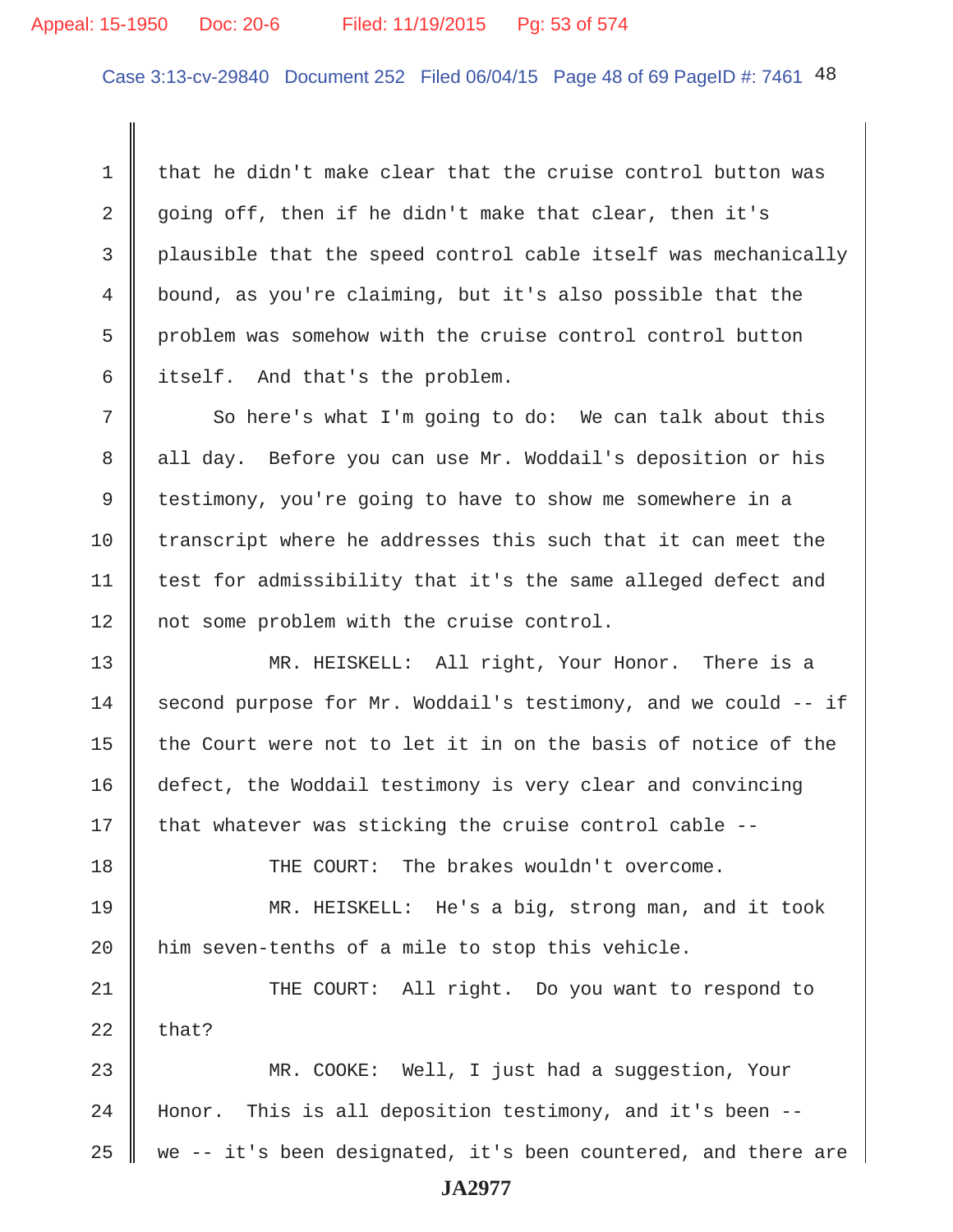# Appeal: 15-1950 Doc: 20-6 Filed: 11/19/2015 Pg: 53 of 574

Case 3:13-cv-29840 Document 252 Filed 06/04/15 Page 48 of 69 PageID #: 7461 48

1 that he didn't make clear that the cruise control button was 2 going off, then if he didn't make that clear, then it's 3 plausible that the speed control cable itself was mechanically 4 bound, as you're claiming, but it's also possible that the 5 problem was somehow with the cruise control control button  $6 \parallel$  itself. And that's the problem.

7 So here's what I'm going to do: We can talk about this 8 all day. Before you can use Mr. Woddail's deposition or his 9 testimony, you're going to have to show me somewhere in a 10 transcript where he addresses this such that it can meet the 11 | test for admissibility that it's the same alleged defect and 12 | not some problem with the cruise control.

13 MR. HEISKELL: All right, Your Honor. There is a 14 second purpose for Mr. Woddail's testimony, and we could  $-$  if 15  $\parallel$  the Court were not to let it in on the basis of notice of the 16 defect, the Woddail testimony is very clear and convincing 17  $\parallel$  that whatever was sticking the cruise control cable --

18 || THE COURT: The brakes wouldn't overcome.

19 MR. HEISKELL: He's a big, strong man, and it took  $20$  | him seven-tenths of a mile to stop this vehicle.

21 THE COURT: All right. Do you want to respond to  $22$  that?

23 MR. COOKE: Well, I just had a suggestion, Your 24 Honor. This is all deposition testimony, and it's been --25  $\parallel$  we -- it's been designated, it's been countered, and there are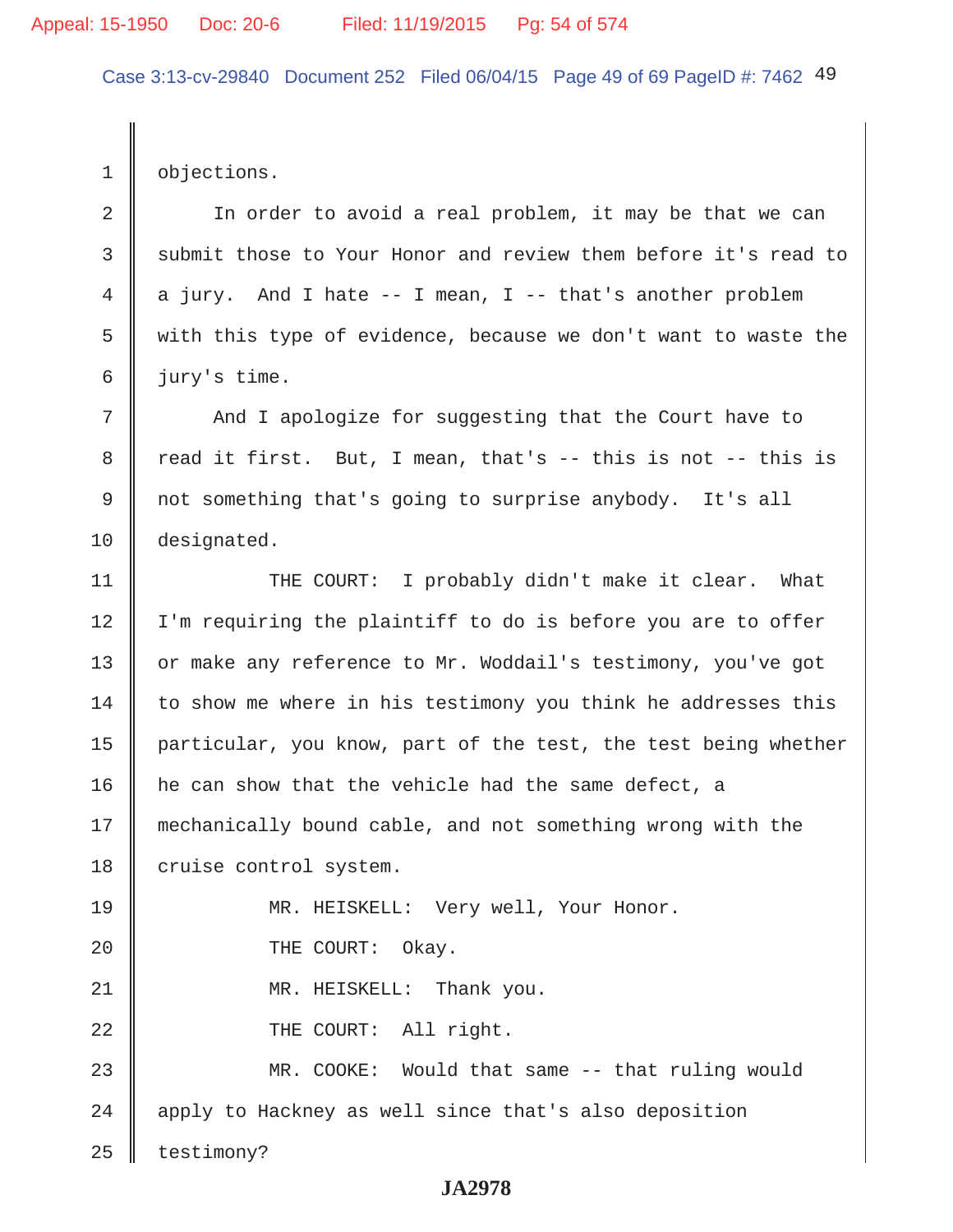Case 3:13-cv-29840 Document 252 Filed 06/04/15 Page 49 of 69 PageID #: 7462 49

1 **b** objections.

2 | The order to avoid a real problem, it may be that we can 3 Submit those to Your Honor and review them before it's read to 4 a jury. And I hate  $-$  I mean, I  $-$  that's another problem 5 with this type of evidence, because we don't want to waste the 6 jury's time.

7 | And I apologize for suggesting that the Court have to 8  $\parallel$  read it first. But, I mean, that's -- this is not -- this is 9 not something that's going to surprise anybody. It's all 10 designated.

11 || THE COURT: I probably didn't make it clear. What 12 | I'm requiring the plaintiff to do is before you are to offer 13 | or make any reference to Mr. Woddail's testimony, you've got  $14$  to show me where in his testimony you think he addresses this 15 particular, you know, part of the test, the test being whether 16 | he can show that the vehicle had the same defect, a 17 mechanically bound cable, and not something wrong with the 18 cruise control system. 19 MR. HEISKELL: Very well, Your Honor. 20 **THE COURT:** Okay. 21 || MR. HEISKELL: Thank you. 22 || THE COURT: All right. 23 MR. COOKE: Would that same -- that ruling would 24 | apply to Hackney as well since that's also deposition  $25$  | testimony?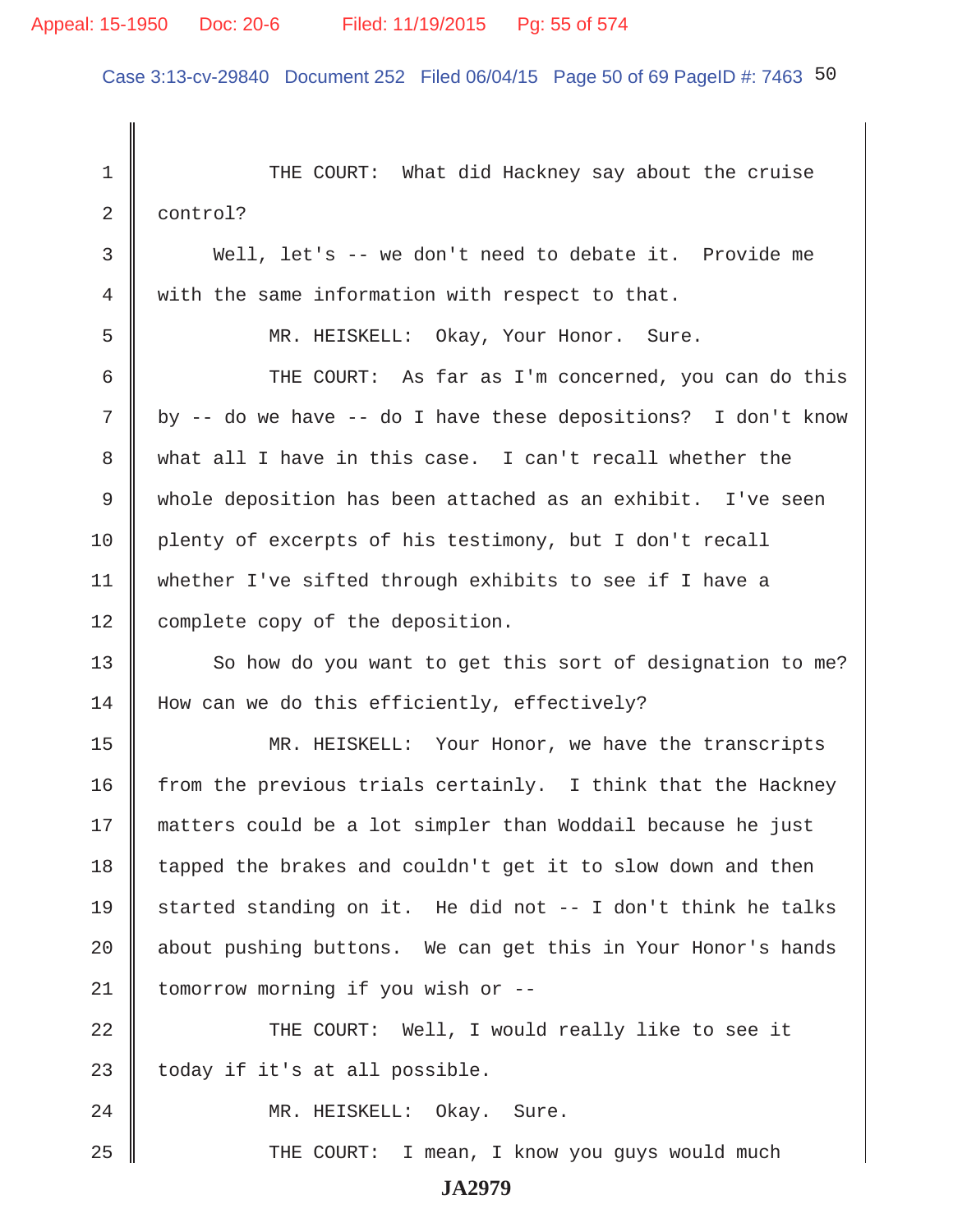# Appeal: 15-1950 Doc: 20-6 Filed: 11/19/2015 Pg: 55 of 574

Case 3:13-cv-29840 Document 252 Filed 06/04/15 Page 50 of 69 PageID #: 7463 50

| $\mathbf 1$ | THE COURT:<br>What did Hackney say about the cruise           |
|-------------|---------------------------------------------------------------|
| 2           | control?                                                      |
| 3           | Well, let's -- we don't need to debate it. Provide me         |
| 4           | with the same information with respect to that.               |
| 5           | MR. HEISKELL: Okay, Your Honor. Sure.                         |
| 6           | THE COURT: As far as I'm concerned, you can do this           |
| 7           | by -- do we have -- do I have these depositions? I don't know |
| 8           | what all I have in this case. I can't recall whether the      |
| 9           | whole deposition has been attached as an exhibit. I've seen   |
| 10          | plenty of excerpts of his testimony, but I don't recall       |
| 11          | whether I've sifted through exhibits to see if I have a       |
| 12          | complete copy of the deposition.                              |
| 13          | So how do you want to get this sort of designation to me?     |
| 14          | How can we do this efficiently, effectively?                  |
| 15          | MR. HEISKELL: Your Honor, we have the transcripts             |
| 16          | from the previous trials certainly. I think that the Hackney  |
| 17          | matters could be a lot simpler than Woddail because he just   |
| 18          | tapped the brakes and couldn't get it to slow down and then   |
| 19          | started standing on it. He did not -- I don't think he talks  |
| 20          | about pushing buttons. We can get this in Your Honor's hands  |
| 21          | tomorrow morning if you wish or --                            |
| 22          | THE COURT: Well, I would really like to see it                |
| 23          | today if it's at all possible.                                |
| 24          | MR. HEISKELL: Okay. Sure.                                     |
| 25          | I mean, I know you guys would much<br>THE COURT:              |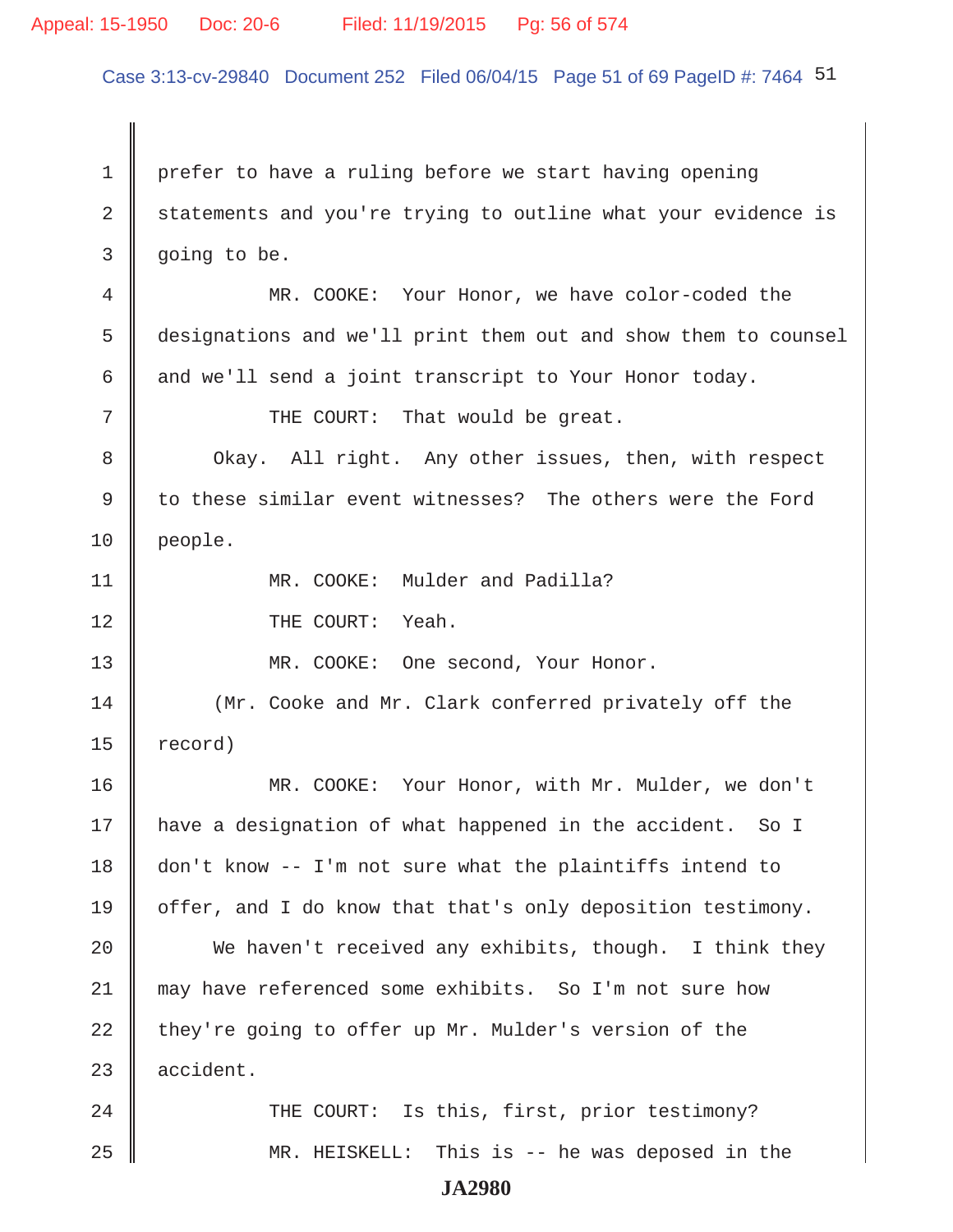#### Appeal: 15-1950 Doc: 20-6 Filed: 11/19/2015 Pg: 56 of 574

Case 3:13-cv-29840 Document 252 Filed 06/04/15 Page 51 of 69 PageID #: 7464 51

1 prefer to have a ruling before we start having opening 2 statements and you're trying to outline what your evidence is  $3 \parallel$  going to be. 4 MR. COOKE: Your Honor, we have color-coded the 5 designations and we'll print them out and show them to counsel 6 and we'll send a joint transcript to Your Honor today. 7 || THE COURT: That would be great. 8 Ckay. All right. Any other issues, then, with respect 9 to these similar event witnesses? The others were the Ford 10 people. 11 || MR. COOKE: Mulder and Padilla? 12 || THE COURT: Yeah. 13 MR. COOKE: One second, Your Honor. 14 | (Mr. Cooke and Mr. Clark conferred privately off the  $15$  record) 16 MR. COOKE: Your Honor, with Mr. Mulder, we don't 17 have a designation of what happened in the accident. So I 18 don't know -- I'm not sure what the plaintiffs intend to 19  $\parallel$  offer, and I do know that that's only deposition testimony. 20 We haven't received any exhibits, though. I think they 21 may have referenced some exhibits. So I'm not sure how 22 they're going to offer up Mr. Mulder's version of the  $23$  accident. 24 THE COURT: Is this, first, prior testimony? 25 MR. HEISKELL: This is -- he was deposed in the **JA2980**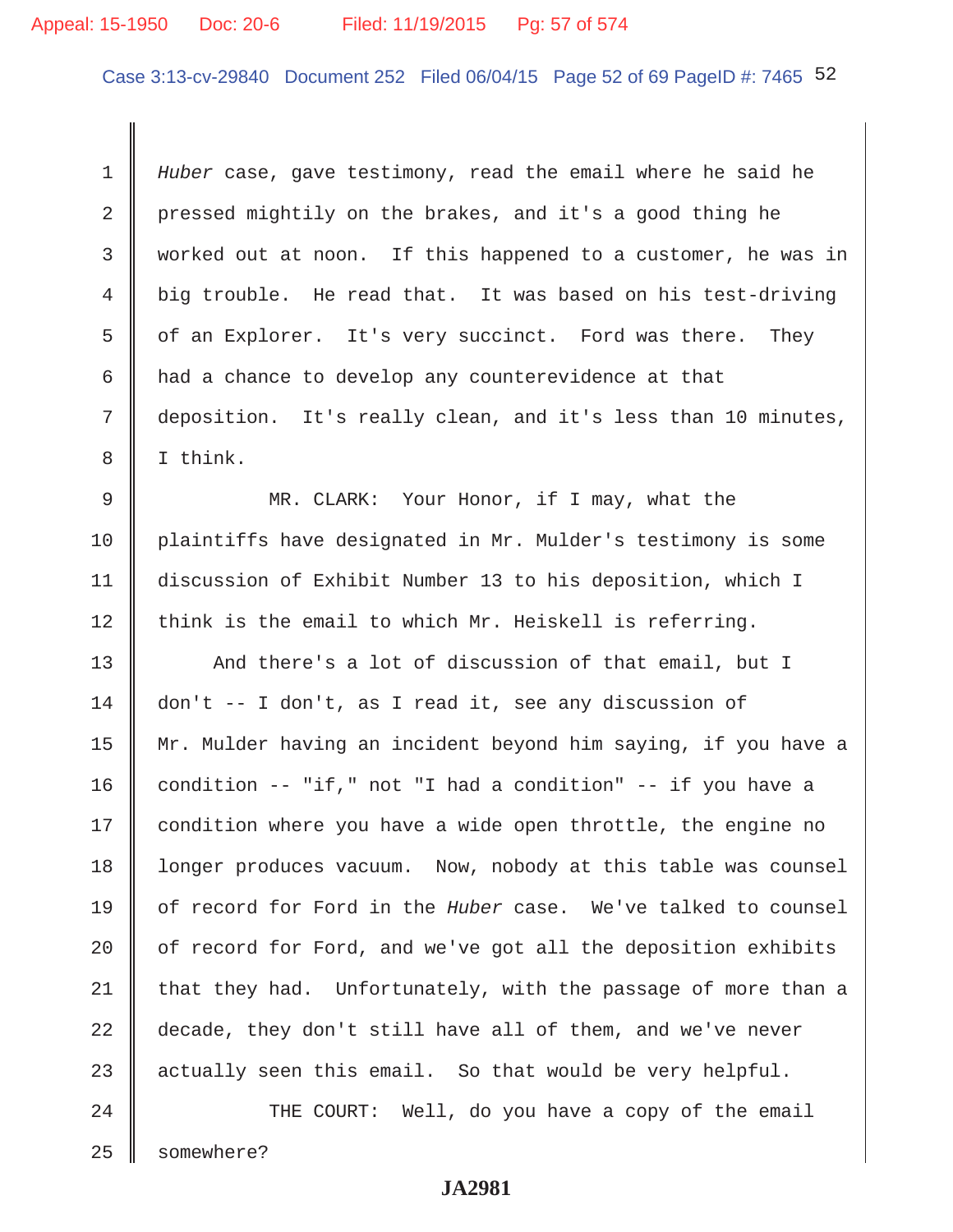# Appeal: 15-1950 Doc: 20-6 Filed: 11/19/2015 Pg: 57 of 574

Case 3:13-cv-29840 Document 252 Filed 06/04/15 Page 52 of 69 PageID #: 7465 52

 1 *Huber* case, gave testimony, read the email where he said he 2 pressed mightily on the brakes, and it's a good thing he 3 worked out at noon. If this happened to a customer, he was in 4 big trouble. He read that. It was based on his test-driving  $5 \parallel$  of an Explorer. It's very succinct. Ford was there. They 6 had a chance to develop any counterevidence at that 7 deposition. It's really clean, and it's less than 10 minutes, 8 I think.

9 || MR. CLARK: Your Honor, if I may, what the 10 plaintiffs have designated in Mr. Mulder's testimony is some 11 discussion of Exhibit Number 13 to his deposition, which I  $12$  think is the email to which Mr. Heiskell is referring.

13 And there's a lot of discussion of that email, but I 14 don't -- I don't, as I read it, see any discussion of 15 Mr. Mulder having an incident beyond him saying, if you have a 16 condition -- "if," not "I had a condition" -- if you have a 17 | condition where you have a wide open throttle, the engine no 18 | longer produces vacuum. Now, nobody at this table was counsel 19 of record for Ford in the *Huber* case. We've talked to counsel 20  $\parallel$  of record for Ford, and we've got all the deposition exhibits  $21$  that they had. Unfortunately, with the passage of more than a 22 decade, they don't still have all of them, and we've never 23  $\parallel$  actually seen this email. So that would be very helpful.

24 THE COURT: Well, do you have a copy of the email 25 | somewhere?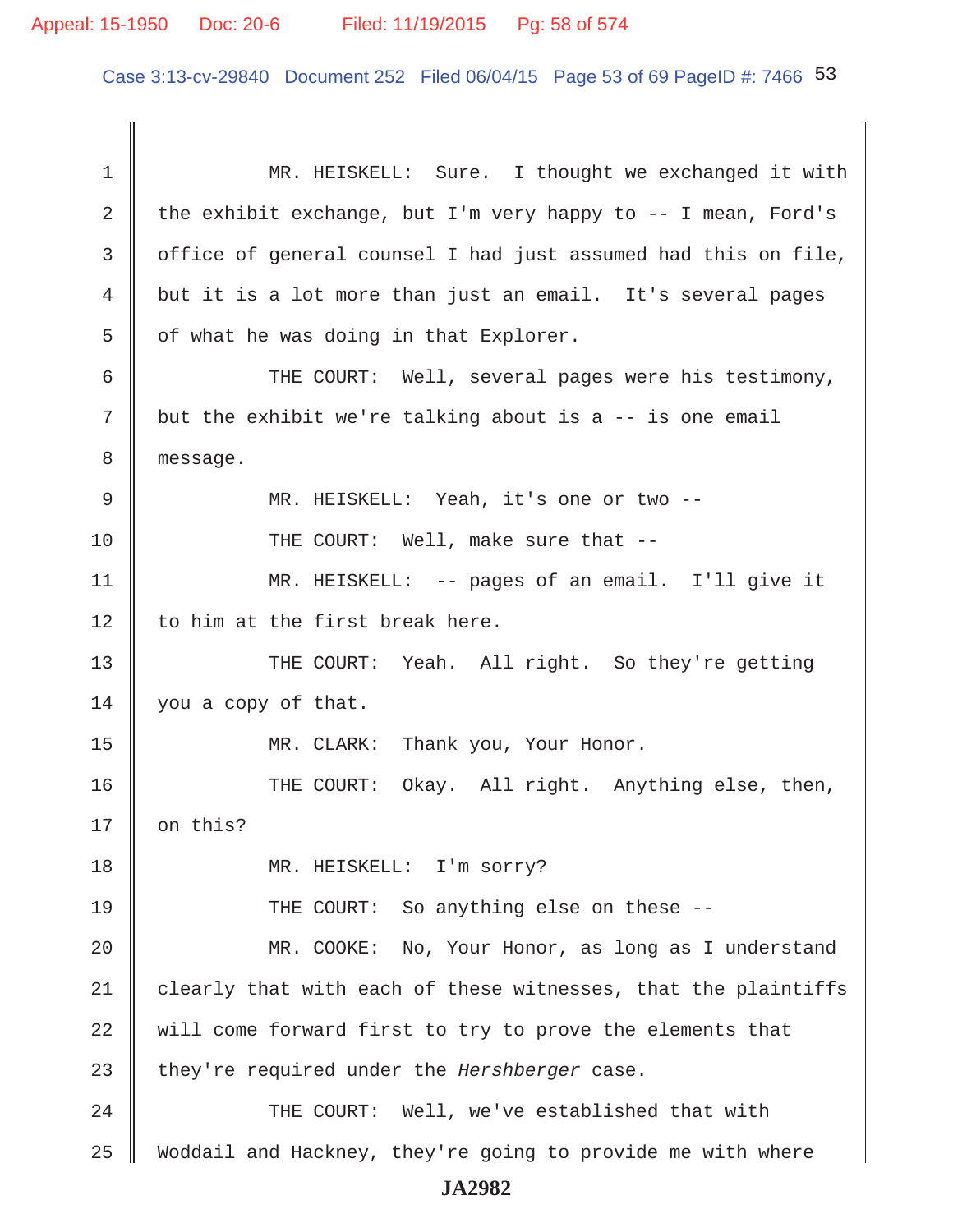Case 3:13-cv-29840 Document 252 Filed 06/04/15 Page 53 of 69 PageID #: 7466 53

| 1  | MR. HEISKELL: Sure. I thought we exchanged it with               |
|----|------------------------------------------------------------------|
| 2  | the exhibit exchange, but I'm very happy to $-$ - I mean, Ford's |
| 3  | office of general counsel I had just assumed had this on file,   |
| 4  | but it is a lot more than just an email. It's several pages      |
| 5  | of what he was doing in that Explorer.                           |
| 6  | THE COURT: Well, several pages were his testimony,               |
| 7  | but the exhibit we're talking about is a -- is one email         |
| 8  | message.                                                         |
| 9  | MR. HEISKELL: Yeah, it's one or two --                           |
| 10 | THE COURT: Well, make sure that --                               |
| 11 | MR. HEISKELL: -- pages of an email. I'll give it                 |
| 12 | to him at the first break here.                                  |
| 13 | THE COURT: Yeah. All right. So they're getting                   |
| 14 | you a copy of that.                                              |
| 15 | MR. CLARK: Thank you, Your Honor.                                |
| 16 | THE COURT: Okay. All right. Anything else, then,                 |
| 17 | on this?                                                         |
| 18 | MR. HEISKELL: I'm sorry?                                         |
| 19 | THE COURT: So anything else on these --                          |
| 20 | MR. COOKE: No, Your Honor, as long as I understand               |
| 21 | clearly that with each of these witnesses, that the plaintiffs   |
| 22 | will come forward first to try to prove the elements that        |
| 23 | they're required under the Hershberger case.                     |
| 24 | THE COURT: Well, we've established that with                     |
| 25 | Woddail and Hackney, they're going to provide me with where      |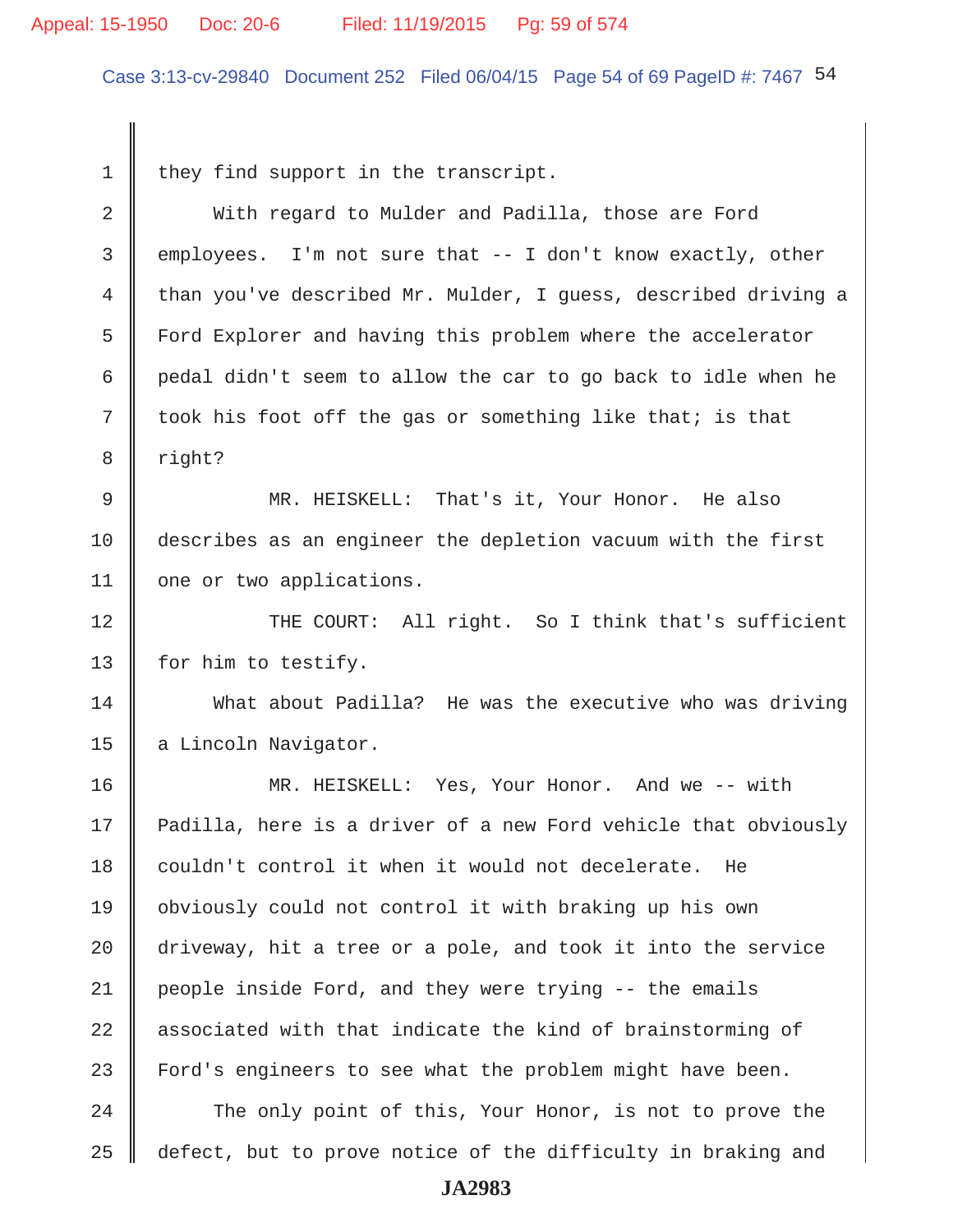#### Appeal: 15-1950 Doc: 20-6 Filed: 11/19/2015 Pg: 59 of 574

Case 3:13-cv-29840 Document 252 Filed 06/04/15 Page 54 of 69 PageID #: 7467 54

 $1 \parallel$  they find support in the transcript.

2 With regard to Mulder and Padilla, those are Ford 3 employees. I'm not sure that -- I don't know exactly, other 4 than you've described Mr. Mulder, I guess, described driving a 5 Ford Explorer and having this problem where the accelerator 6  $\parallel$  pedal didn't seem to allow the car to go back to idle when he 7 | took his foot off the gas or something like that; is that 8 || right? 9 MR. HEISKELL: That's it, Your Honor. He also 10 describes as an engineer the depletion vacuum with the first 11 | one or two applications. 12 || THE COURT: All right. So I think that's sufficient 13 | for him to testify. 14 What about Padilla? He was the executive who was driving 15 a Lincoln Navigator. 16 MR. HEISKELL: Yes, Your Honor. And we -- with 17 Padilla, here is a driver of a new Ford vehicle that obviously 18 couldn't control it when it would not decelerate. He 19 obviously could not control it with braking up his own 20 driveway, hit a tree or a pole, and took it into the service 21 people inside Ford, and they were trying -- the emails  $22$   $\parallel$  associated with that indicate the kind of brainstorming of 23 Ford's engineers to see what the problem might have been. 24 The only point of this, Your Honor, is not to prove the 25 defect, but to prove notice of the difficulty in braking and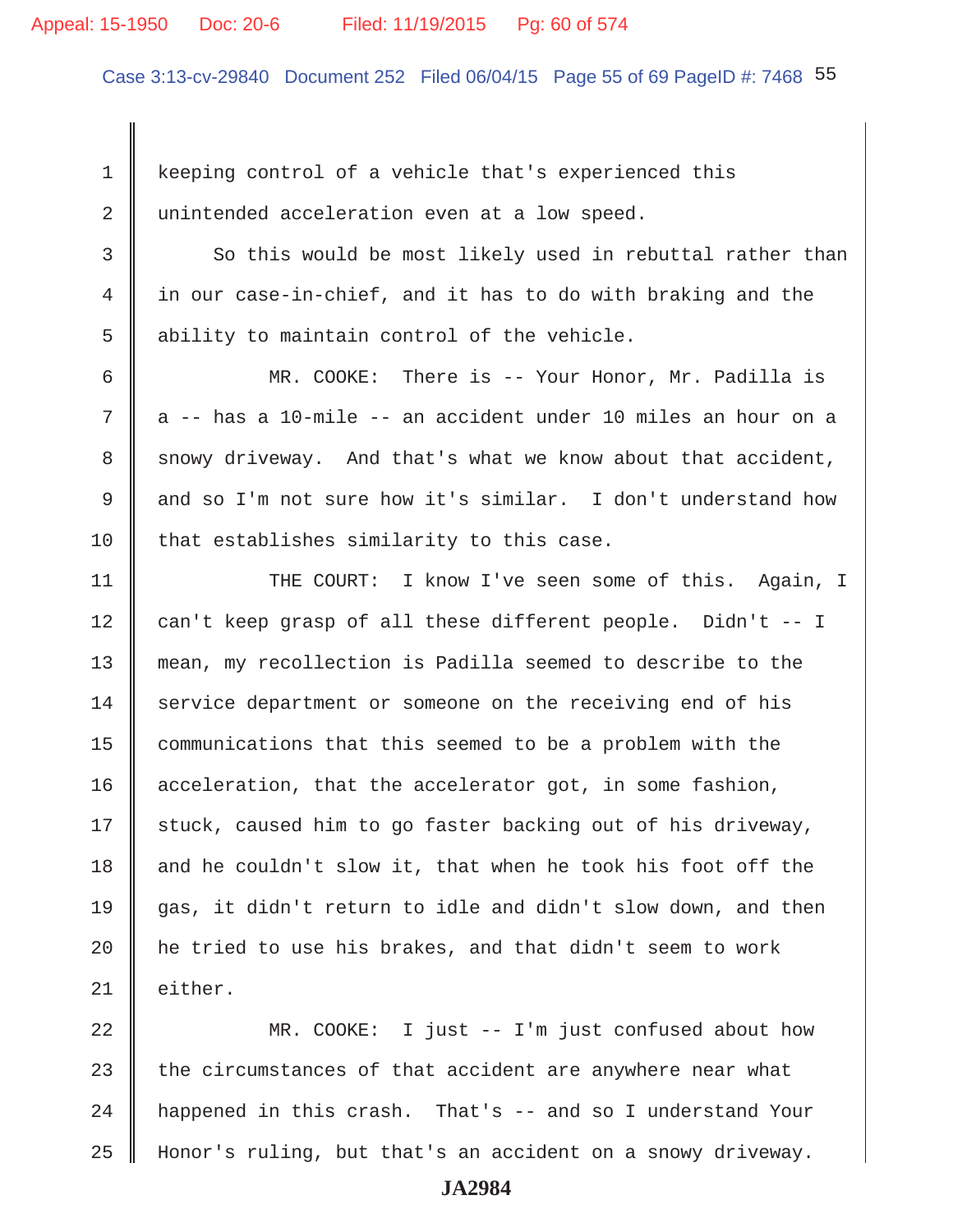#### Appeal: 15-1950 Doc: 20-6 Filed: 11/19/2015 Pg: 60 of 574

Case 3:13-cv-29840 Document 252 Filed 06/04/15 Page 55 of 69 PageID #: 7468 55

 1 keeping control of a vehicle that's experienced this 2 unintended acceleration even at a low speed.

3 So this would be most likely used in rebuttal rather than 4 in our case-in-chief, and it has to do with braking and the 5 || ability to maintain control of the vehicle.

 6 MR. COOKE: There is -- Your Honor, Mr. Padilla is  $7$   $\parallel$  a -- has a 10-mile -- an accident under 10 miles an hour on a 8 snowy driveway. And that's what we know about that accident, 9 and so I'm not sure how it's similar. I don't understand how  $10$  that establishes similarity to this case.

11 || THE COURT: I know I've seen some of this. Again, I 12 can't keep grasp of all these different people. Didn't -- I 13 mean, my recollection is Padilla seemed to describe to the 14 service department or someone on the receiving end of his 15 communications that this seemed to be a problem with the 16 acceleration, that the accelerator got, in some fashion,  $17$  stuck, caused him to go faster backing out of his driveway, 18  $\parallel$  and he couldn't slow it, that when he took his foot off the 19  $\parallel$  gas, it didn't return to idle and didn't slow down, and then 20  $\parallel$  he tried to use his brakes, and that didn't seem to work 21 | either.

22 MR. COOKE: I just -- I'm just confused about how 23  $\parallel$  the circumstances of that accident are anywhere near what 24 | happened in this crash. That's -- and so I understand Your 25 Honor's ruling, but that's an accident on a snowy driveway.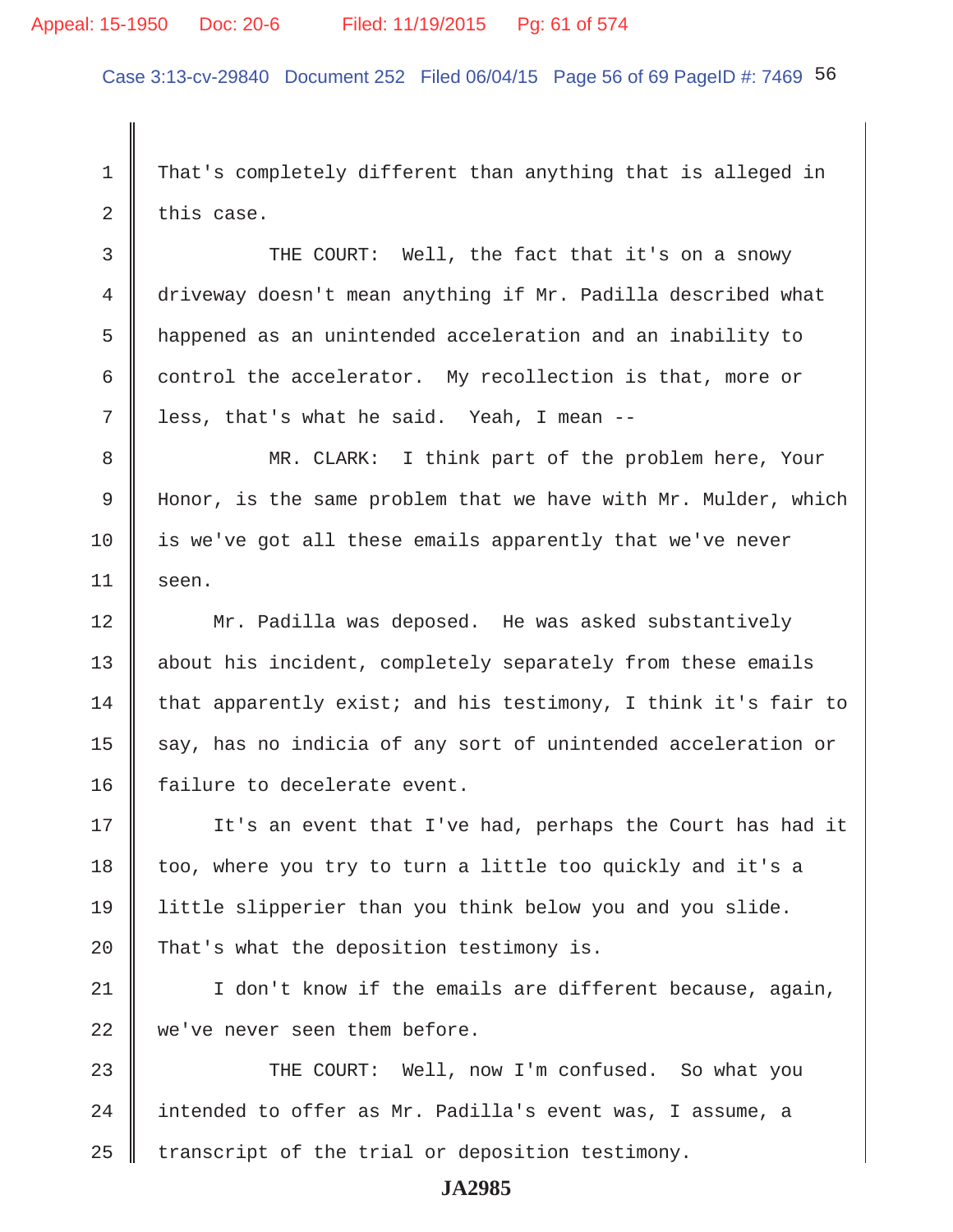Case 3:13-cv-29840 Document 252 Filed 06/04/15 Page 56 of 69 PageID #: 7469 56

 1 That's completely different than anything that is alleged in  $2 \parallel$  this case.

3 THE COURT: Well, the fact that it's on a snowy 4 driveway doesn't mean anything if Mr. Padilla described what 5 happened as an unintended acceleration and an inability to 6 control the accelerator. My recollection is that, more or  $7 \parallel$  less, that's what he said. Yeah, I mean --

8 || MR. CLARK: I think part of the problem here, Your 9 Honor, is the same problem that we have with Mr. Mulder, which  $10$  is we've got all these emails apparently that we've never  $11$  seen.

12 | Mr. Padilla was deposed. He was asked substantively 13 | about his incident, completely separately from these emails 14 that apparently exist; and his testimony, I think it's fair to  $15$  say, has no indicia of any sort of unintended acceleration or 16 | failure to decelerate event.

17 || It's an event that I've had, perhaps the Court has had it  $18$  too, where you try to turn a little too quickly and it's a 19 little slipperier than you think below you and you slide. 20 That's what the deposition testimony is.

21 || I don't know if the emails are different because, again, 22 we've never seen them before.

23 THE COURT: Well, now I'm confused. So what you 24 | intended to offer as Mr. Padilla's event was, I assume, a  $25$  transcript of the trial or deposition testimony.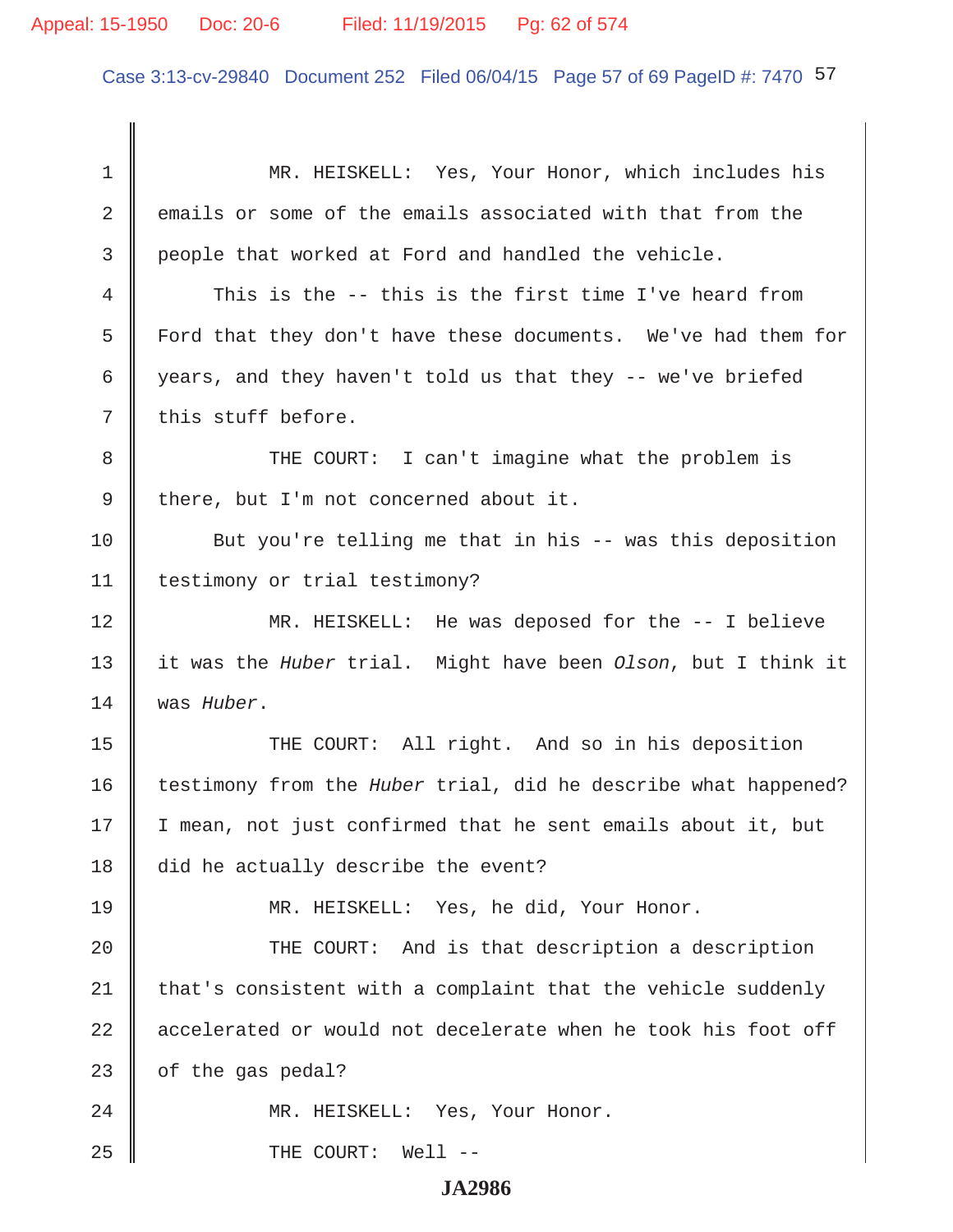Case 3:13-cv-29840 Document 252 Filed 06/04/15 Page 57 of 69 PageID #: 7470 57

 1 MR. HEISKELL: Yes, Your Honor, which includes his 2 emails or some of the emails associated with that from the 3 people that worked at Ford and handled the vehicle. 4 This is the -- this is the first time I've heard from 5 Ford that they don't have these documents. We've had them for 6 years, and they haven't told us that they  $-$  we've briefed  $7 \parallel$  this stuff before. 8 THE COURT: I can't imagine what the problem is  $9 \parallel$  there, but I'm not concerned about it. 10 But you're telling me that in his -- was this deposition 11 | testimony or trial testimony? 12 MR. HEISKELL: He was deposed for the -- I believe 13 it was the *Huber* trial. Might have been *Olson*, but I think it 14 was *Huber*. 15 || THE COURT: All right. And so in his deposition 16 testimony from the *Huber* trial, did he describe what happened? 17 | I mean, not just confirmed that he sent emails about it, but 18 did he actually describe the event? 19 MR. HEISKELL: Yes, he did, Your Honor. 20 || THE COURT: And is that description a description 21  $\parallel$  that's consistent with a complaint that the vehicle suddenly  $22$   $\parallel$  accelerated or would not decelerate when he took his foot off 23  $\parallel$  of the gas pedal? 24 || MR. HEISKELL: Yes, Your Honor. 25 || THE COURT: Well --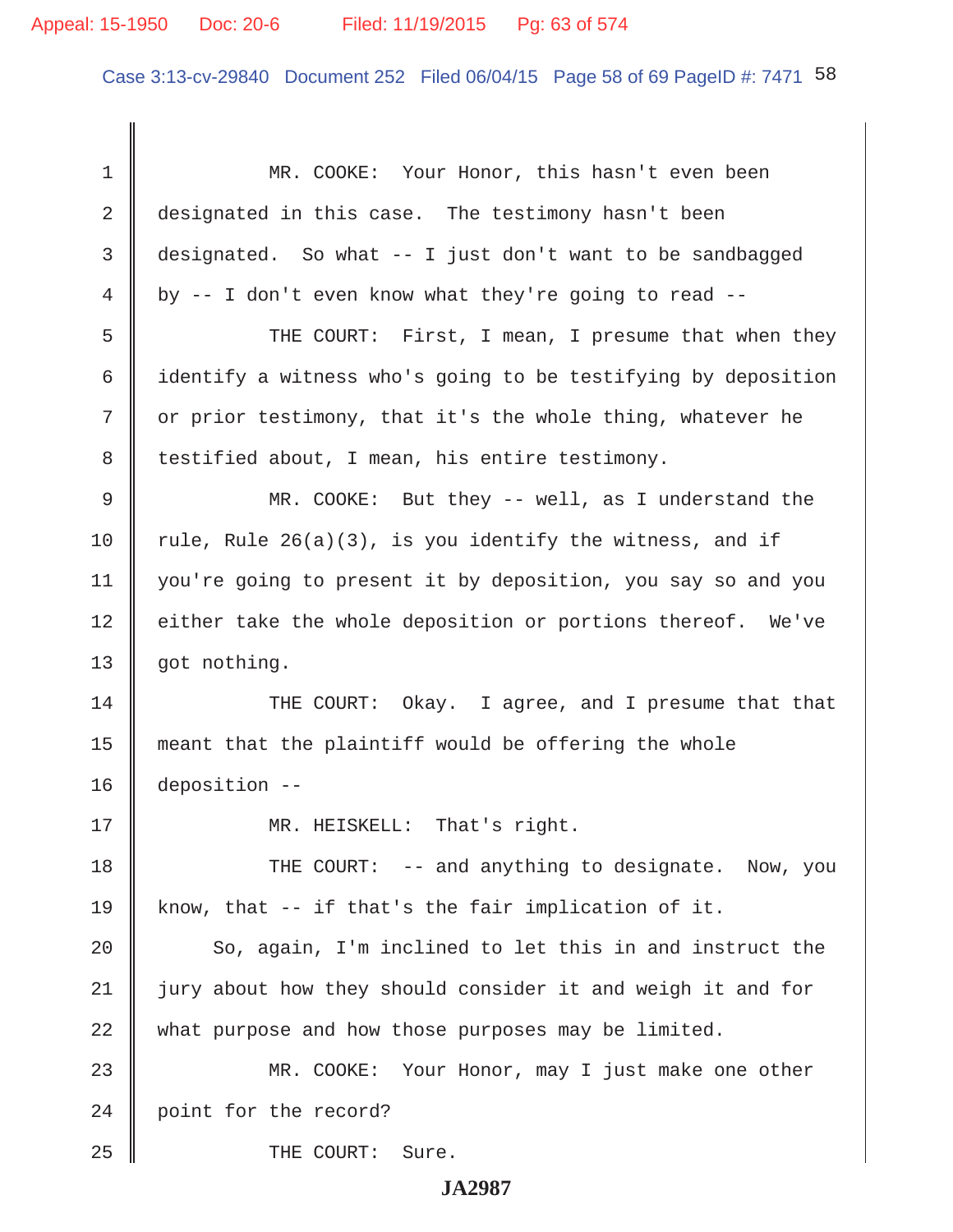Case 3:13-cv-29840 Document 252 Filed 06/04/15 Page 58 of 69 PageID #: 7471 58

 1 MR. COOKE: Your Honor, this hasn't even been 2 designated in this case. The testimony hasn't been 3 designated. So what -- I just don't want to be sandbagged  $4 \parallel$  by -- I don't even know what they're going to read --5 Supersuper THE COURT: First, I mean, I presume that when they 6 identify a witness who's going to be testifying by deposition  $7 \parallel$  or prior testimony, that it's the whole thing, whatever he 8 | testified about, I mean, his entire testimony. 9 MR. COOKE: But they -- well, as I understand the 10 Tule, Rule  $26(a)(3)$ , is you identify the witness, and if 11 you're going to present it by deposition, you say so and you 12 | either take the whole deposition or portions thereof. We've 13 | got nothing. 14 THE COURT: Okay. I agree, and I presume that that 15 meant that the plaintiff would be offering the whole 16 deposition -- 17 || MR. HEISKELL: That's right. 18 THE COURT: -- and anything to designate. Now, you 19 know, that  $-$  if that's the fair implication of it.  $20$   $\parallel$  So, again, I'm inclined to let this in and instruct the 21 jury about how they should consider it and weigh it and for 22 what purpose and how those purposes may be limited. 23 MR. COOKE: Your Honor, may I just make one other 24 point for the record? 25 **COURT:** Sure.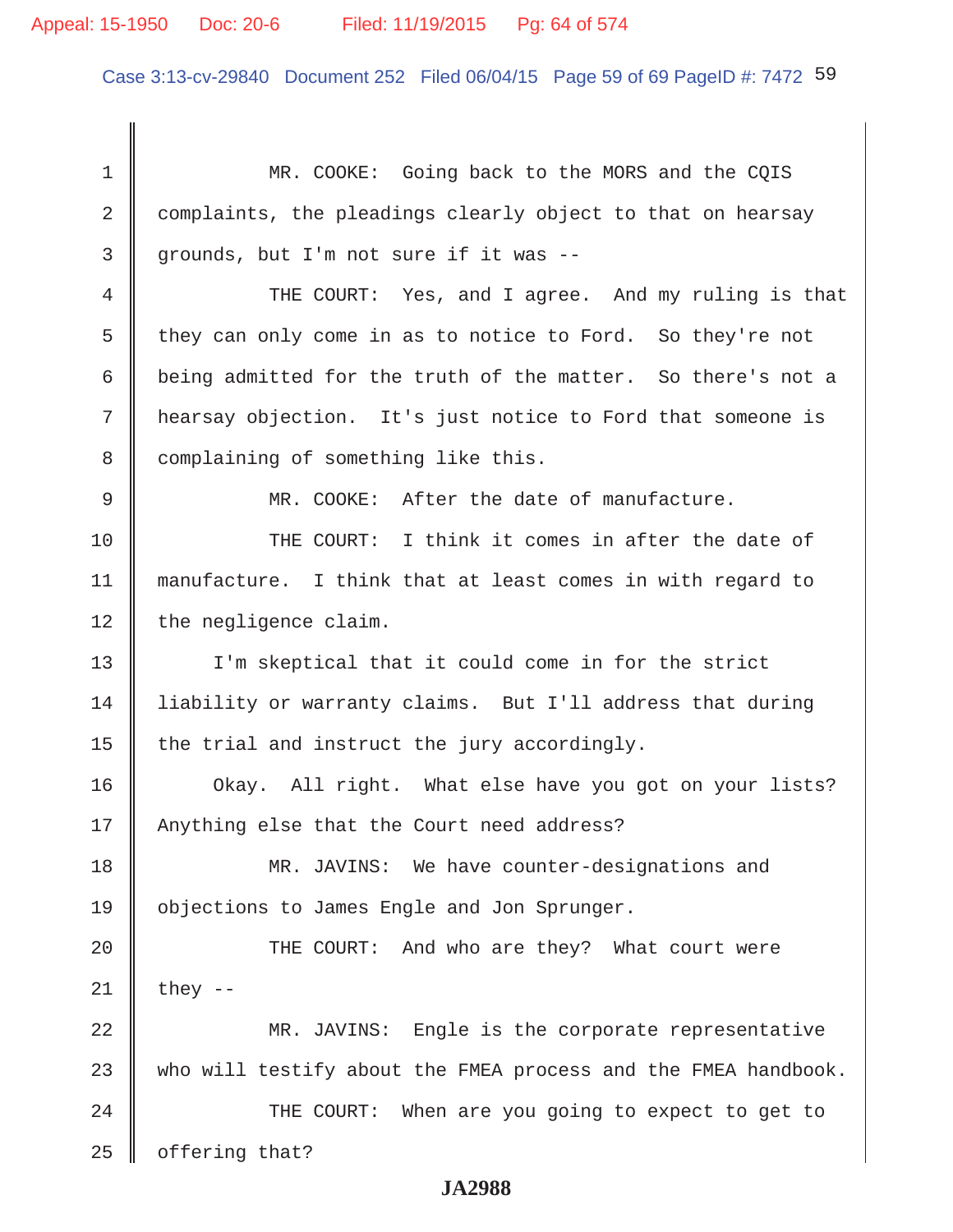Case 3:13-cv-29840 Document 252 Filed 06/04/15 Page 59 of 69 PageID #: 7472 59

1 MR. COOKE: Going back to the MORS and the COIS 2 complaints, the pleadings clearly object to that on hearsay  $3 \parallel$  grounds, but I'm not sure if it was --4 THE COURT: Yes, and I agree. And my ruling is that 5 they can only come in as to notice to Ford. So they're not 6 | being admitted for the truth of the matter. So there's not a 7 hearsay objection. It's just notice to Ford that someone is 8 complaining of something like this. 9 MR. COOKE: After the date of manufacture. 10 THE COURT: I think it comes in after the date of 11 manufacture. I think that at least comes in with regard to  $12$  | the negligence claim. 13 I'm skeptical that it could come in for the strict 14 liability or warranty claims. But I'll address that during 15  $\parallel$  the trial and instruct the jury accordingly. 16 | Okay. All right. What else have you got on your lists? 17 || Anything else that the Court need address? 18 MR. JAVINS: We have counter-designations and 19 objections to James Engle and Jon Sprunger. 20 THE COURT: And who are they? What court were  $21$  | they --22 MR. JAVINS: Engle is the corporate representative  $23$  who will testify about the FMEA process and the FMEA handbook. 24 THE COURT: When are you going to expect to get to  $25$  | offering that?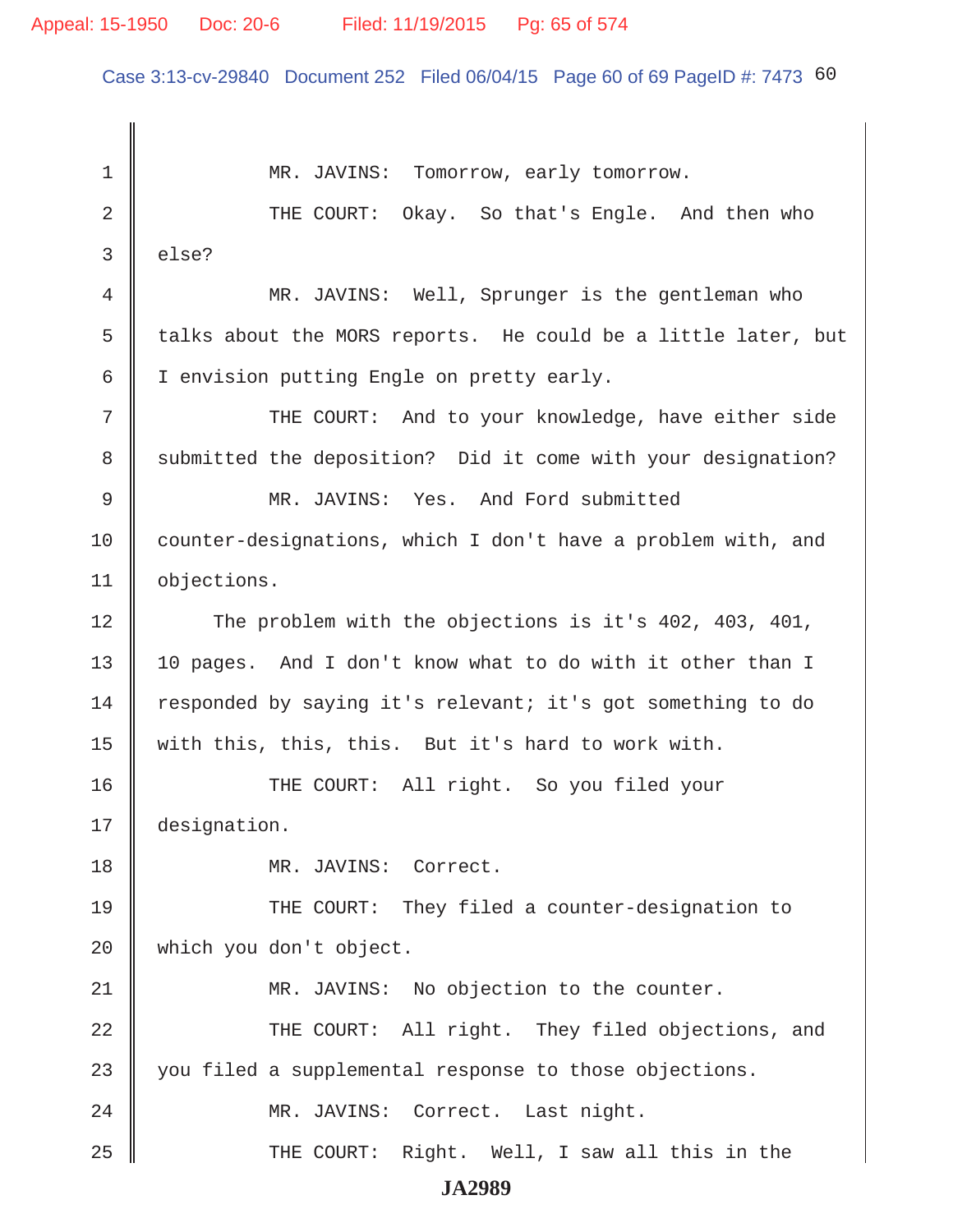# Appeal: 15-1950 Doc: 20-6 Filed: 11/19/2015 Pg: 65 of 574

Case 3:13-cv-29840 Document 252 Filed 06/04/15 Page 60 of 69 PageID #: 7473 60

1 MR. JAVINS: Tomorrow, early tomorrow. 2 THE COURT: Okay. So that's Engle. And then who  $3 \parallel$  else? 4 MR. JAVINS: Well, Sprunger is the gentleman who 5  $\parallel$  talks about the MORS reports. He could be a little later, but 6 | I envision putting Engle on pretty early. 7 || THE COURT: And to your knowledge, have either side 8 Submitted the deposition? Did it come with your designation? 9 MR. JAVINS: Yes. And Ford submitted 10 counter-designations, which I don't have a problem with, and 11 | objections. 12 The problem with the objections is it's 402, 403, 401, 13 || 10 pages. And I don't know what to do with it other than I 14 Tesponded by saying it's relevant; it's got something to do 15 | with this, this, this. But it's hard to work with. 16 THE COURT: All right. So you filed your 17 designation. 18 MR. JAVINS: Correct. 19 THE COURT: They filed a counter-designation to 20 which you don't object. 21 MR. JAVINS: No objection to the counter. 22 THE COURT: All right. They filed objections, and 23 you filed a supplemental response to those objections. 24 | MR. JAVINS: Correct. Last night. 25 THE COURT: Right. Well, I saw all this in the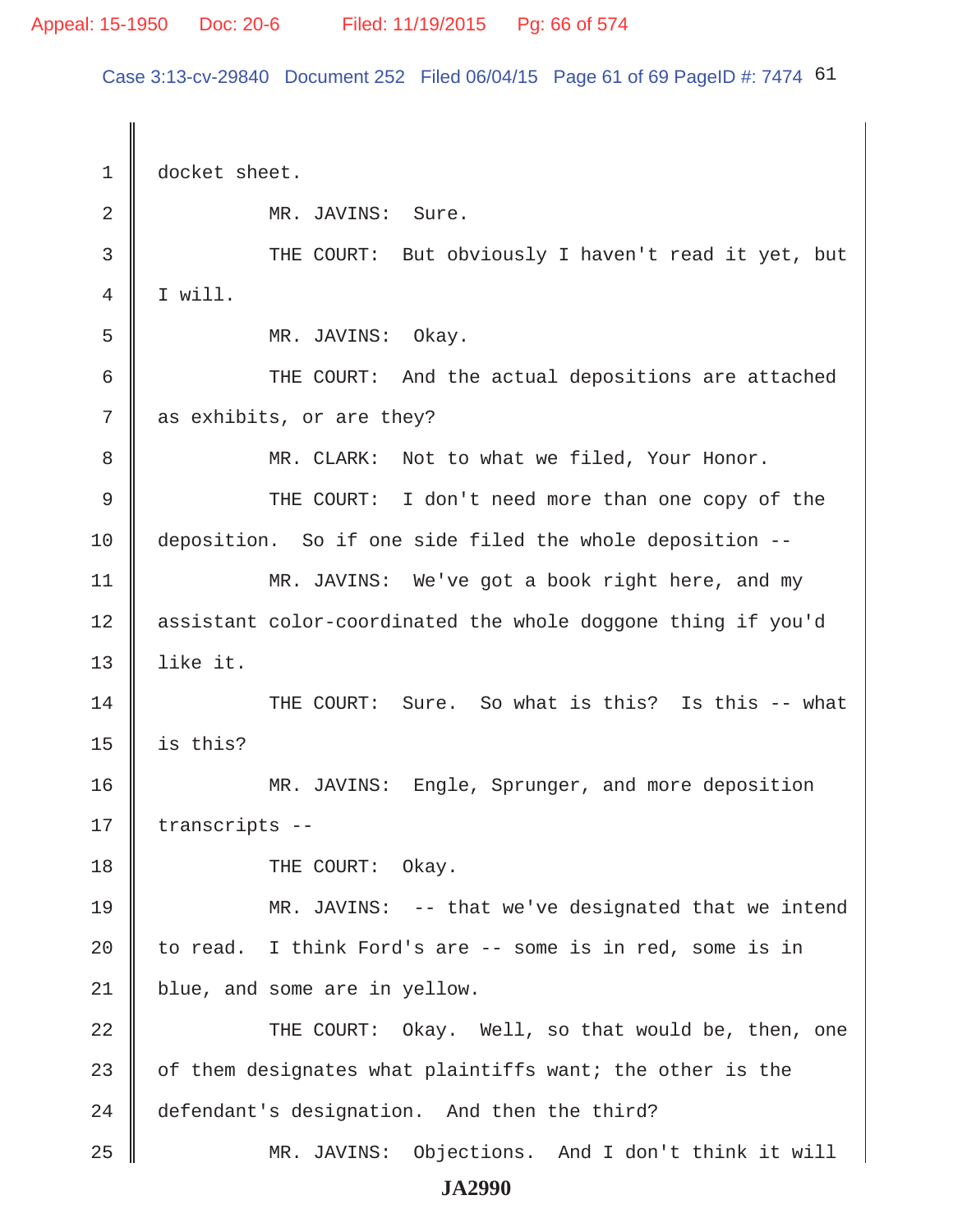Case 3:13-cv-29840 Document 252 Filed 06/04/15 Page 61 of 69 PageID #: 7474 61

1 docket sheet. 2 MR. JAVINS: Sure. 3 THE COURT: But obviously I haven't read it yet, but  $4 \parallel$  I will. 5 MR. JAVINS: Okay. 6 THE COURT: And the actual depositions are attached  $7 \parallel$  as exhibits, or are they? 8 || MR. CLARK: Not to what we filed, Your Honor. 9 || THE COURT: I don't need more than one copy of the 10 deposition. So if one side filed the whole deposition -- 11 | MR. JAVINS: We've got a book right here, and my 12 assistant color-coordinated the whole doggone thing if you'd 13  $\parallel$  like it. 14 THE COURT: Sure. So what is this? Is this -- what 15  $\parallel$  is this? 16 MR. JAVINS: Engle, Sprunger, and more deposition 17 | transcripts --18 **I** THE COURT: Okay. 19 MR. JAVINS: -- that we've designated that we intend 20  $\parallel$  to read. I think Ford's are -- some is in red, some is in 21 | blue, and some are in yellow. 22 THE COURT: Okay. Well, so that would be, then, one 23  $\parallel$  of them designates what plaintiffs want; the other is the 24 defendant's designation. And then the third? 25 MR. JAVINS: Objections. And I don't think it will **JA2990**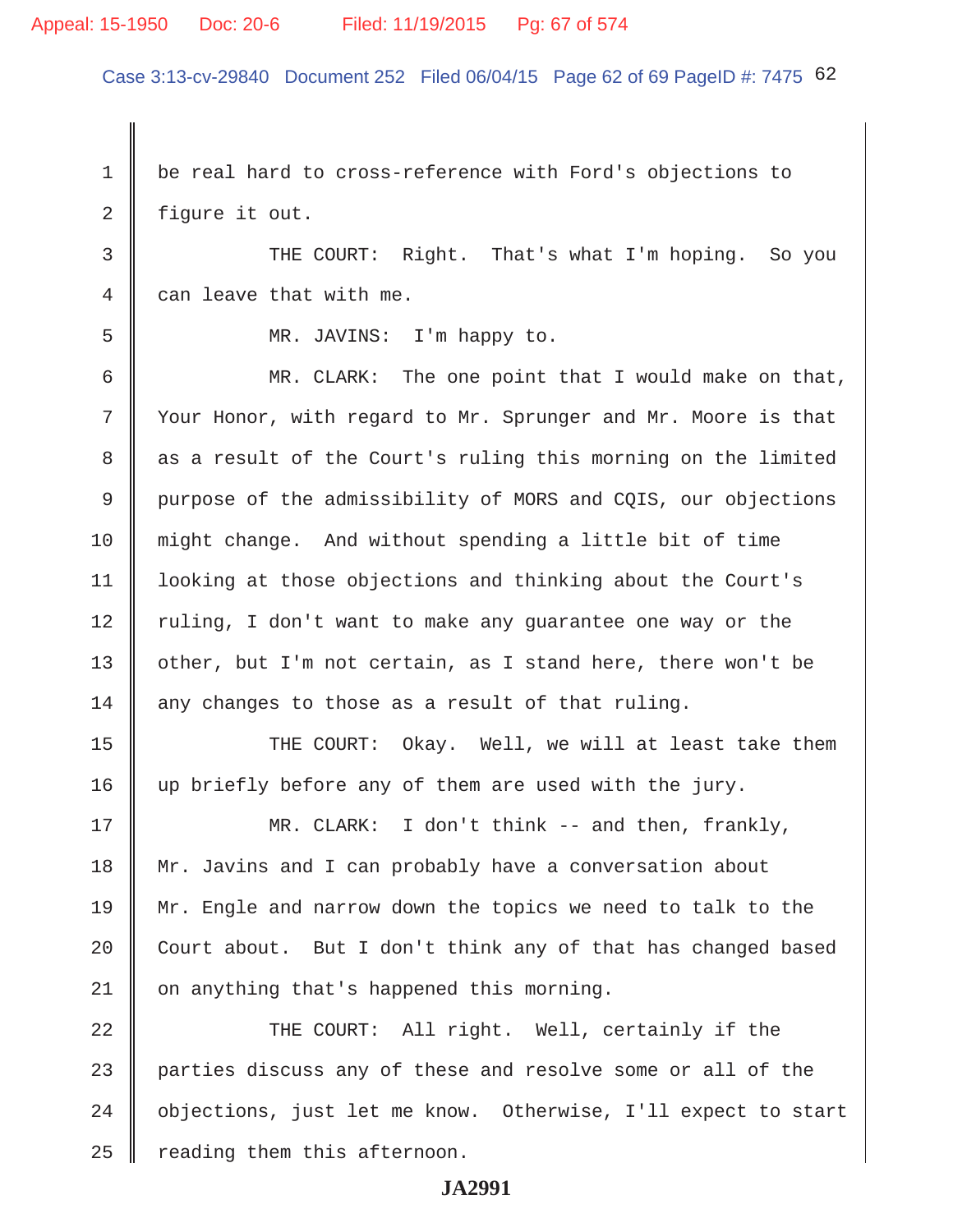# Appeal: 15-1950 Doc: 20-6 Filed: 11/19/2015 Pg: 67 of 574

Case 3:13-cv-29840 Document 252 Filed 06/04/15 Page 62 of 69 PageID #: 7475 62

1 be real hard to cross-reference with Ford's objections to 2 | figure it out. 3 THE COURT: Right. That's what I'm hoping. So you 4 can leave that with me. 5 MR. JAVINS: I'm happy to. 6 MR. CLARK: The one point that I would make on that, 7 | Your Honor, with regard to Mr. Sprunger and Mr. Moore is that 8 as a result of the Court's ruling this morning on the limited 9 purpose of the admissibility of MORS and CQIS, our objections 10 might change. And without spending a little bit of time 11 looking at those objections and thinking about the Court's 12  $\parallel$  ruling, I don't want to make any guarantee one way or the 13 | other, but I'm not certain, as I stand here, there won't be  $14$  any changes to those as a result of that ruling. 15 THE COURT: Okay. Well, we will at least take them 16 up briefly before any of them are used with the jury. 17 MR. CLARK: I don't think -- and then, frankly, 18 Mr. Javins and I can probably have a conversation about 19 Mr. Engle and narrow down the topics we need to talk to the 20  $\parallel$  Court about. But I don't think any of that has changed based 21 | on anything that's happened this morning. 22 THE COURT: All right. Well, certainly if the 23 parties discuss any of these and resolve some or all of the 24 | objections, just let me know. Otherwise, I'll expect to start  $25$  | reading them this afternoon.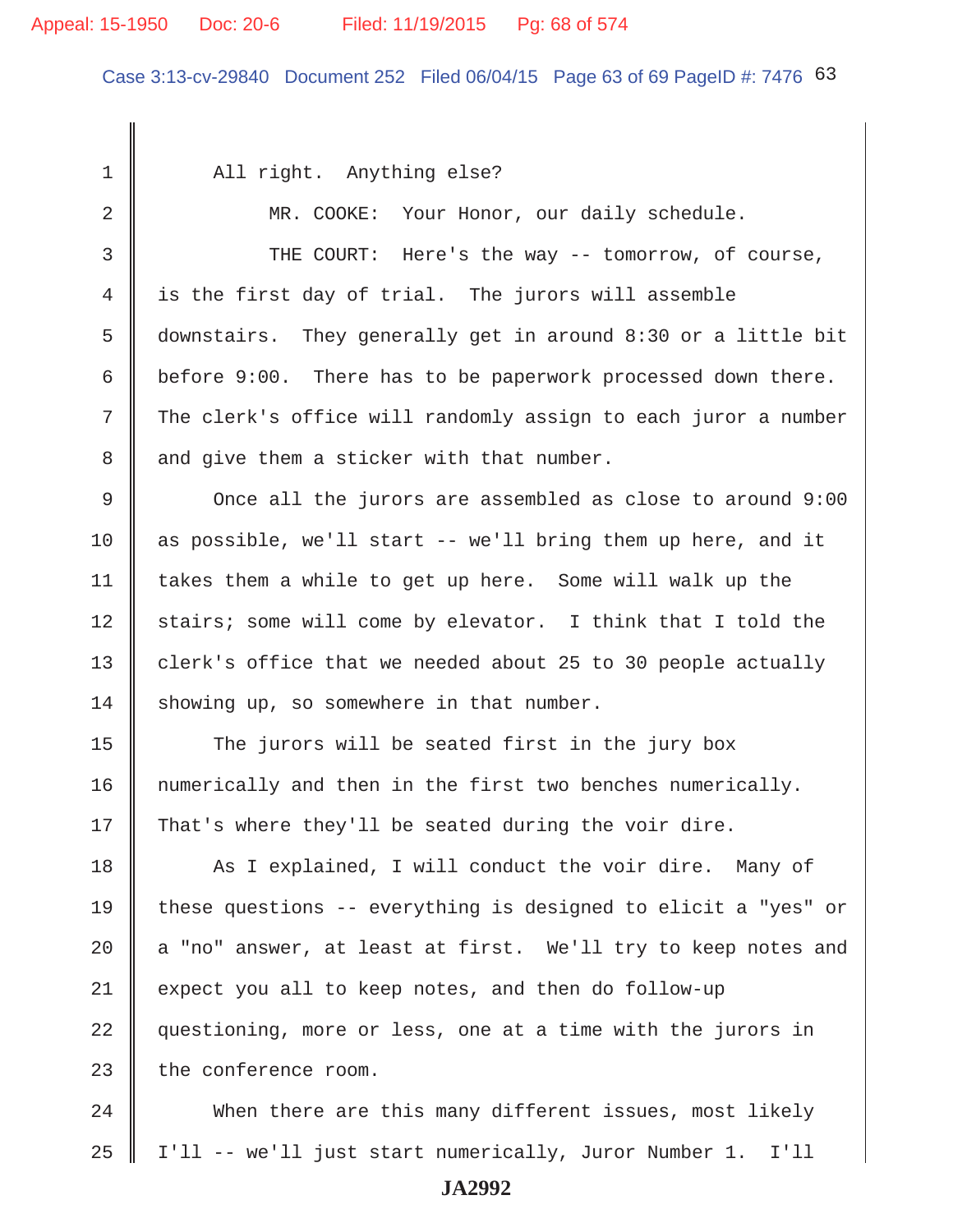#### Appeal: 15-1950 Doc: 20-6 Filed: 11/19/2015 Pg: 68 of 574

Case 3:13-cv-29840 Document 252 Filed 06/04/15 Page 63 of 69 PageID #: 7476 63

1 | All right. Anything else? 2 | MR. COOKE: Your Honor, our daily schedule. 3 THE COURT: Here's the way -- tomorrow, of course, 4 is the first day of trial. The jurors will assemble 5 downstairs. They generally get in around 8:30 or a little bit 6 before 9:00. There has to be paperwork processed down there. 7 The clerk's office will randomly assign to each juror a number  $8 \parallel$  and give them a sticker with that number. 9 Once all the jurors are assembled as close to around 9:00 10 as possible, we'll start -- we'll bring them up here, and it 11 takes them a while to get up here. Some will walk up the 12 || stairs; some will come by elevator. I think that I told the 13  $\parallel$  clerk's office that we needed about 25 to 30 people actually  $14$  showing up, so somewhere in that number.  $15$   $\parallel$  The jurors will be seated first in the jury box 16 | numerically and then in the first two benches numerically. 17 That's where they'll be seated during the voir dire. 18 As I explained, I will conduct the voir dire. Many of 19 these questions -- everything is designed to elicit a "yes" or 20  $\parallel$  a "no" answer, at least at first. We'll try to keep notes and 21 expect you all to keep notes, and then do follow-up 22 | questioning, more or less, one at a time with the jurors in 23  $\parallel$  the conference room.

24 When there are this many different issues, most likely 25 I'll -- we'll just start numerically, Juror Number 1. I'll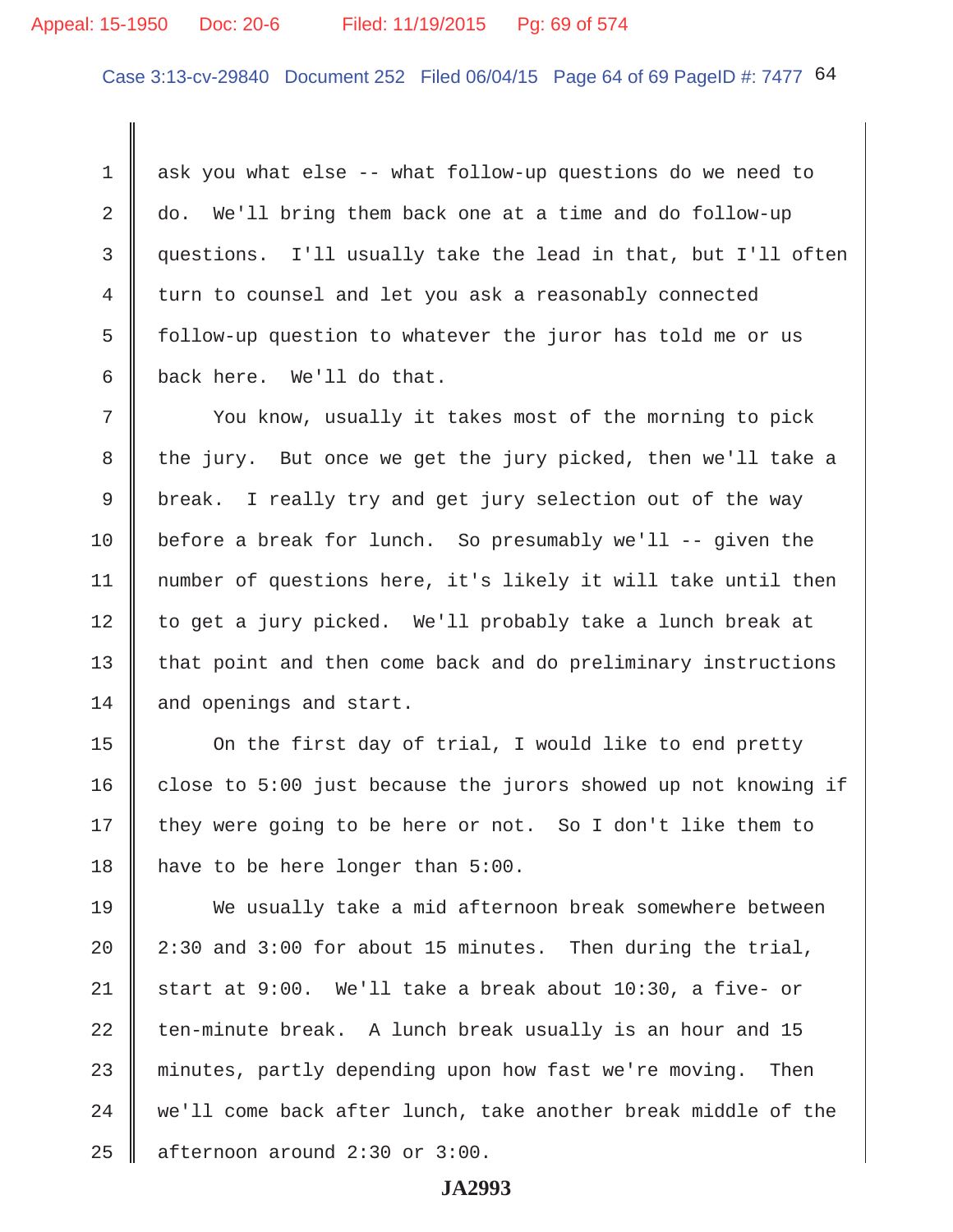# Appeal: 15-1950 Doc: 20-6 Filed: 11/19/2015 Pg: 69 of 574

Case 3:13-cv-29840 Document 252 Filed 06/04/15 Page 64 of 69 PageID #: 7477 64

 1 ask you what else -- what follow-up questions do we need to 2 do. We'll bring them back one at a time and do follow-up 3 questions. I'll usually take the lead in that, but I'll often 4 turn to counsel and let you ask a reasonably connected 5 follow-up question to whatever the juror has told me or us 6 back here. We'll do that.

7 Vou know, usually it takes most of the morning to pick 8 the jury. But once we get the jury picked, then we'll take a 9 break. I really try and get jury selection out of the way 10 before a break for lunch. So presumably we'll -- given the 11 number of questions here, it's likely it will take until then 12 to get a jury picked. We'll probably take a lunch break at 13 that point and then come back and do preliminary instructions 14 and openings and start.

15 | On the first day of trial, I would like to end pretty 16  $\parallel$  close to 5:00 just because the jurors showed up not knowing if 17  $\parallel$  they were going to be here or not. So I don't like them to 18 | have to be here longer than 5:00.

19 We usually take a mid afternoon break somewhere between 20  $\parallel$  2:30 and 3:00 for about 15 minutes. Then during the trial, 21 start at 9:00. We'll take a break about  $10:30$ , a five- or 22 ten-minute break. A lunch break usually is an hour and  $15$ 23 minutes, partly depending upon how fast we're moving. Then  $24$   $\parallel$  we'll come back after lunch, take another break middle of the  $25$  | afternoon around 2:30 or 3:00.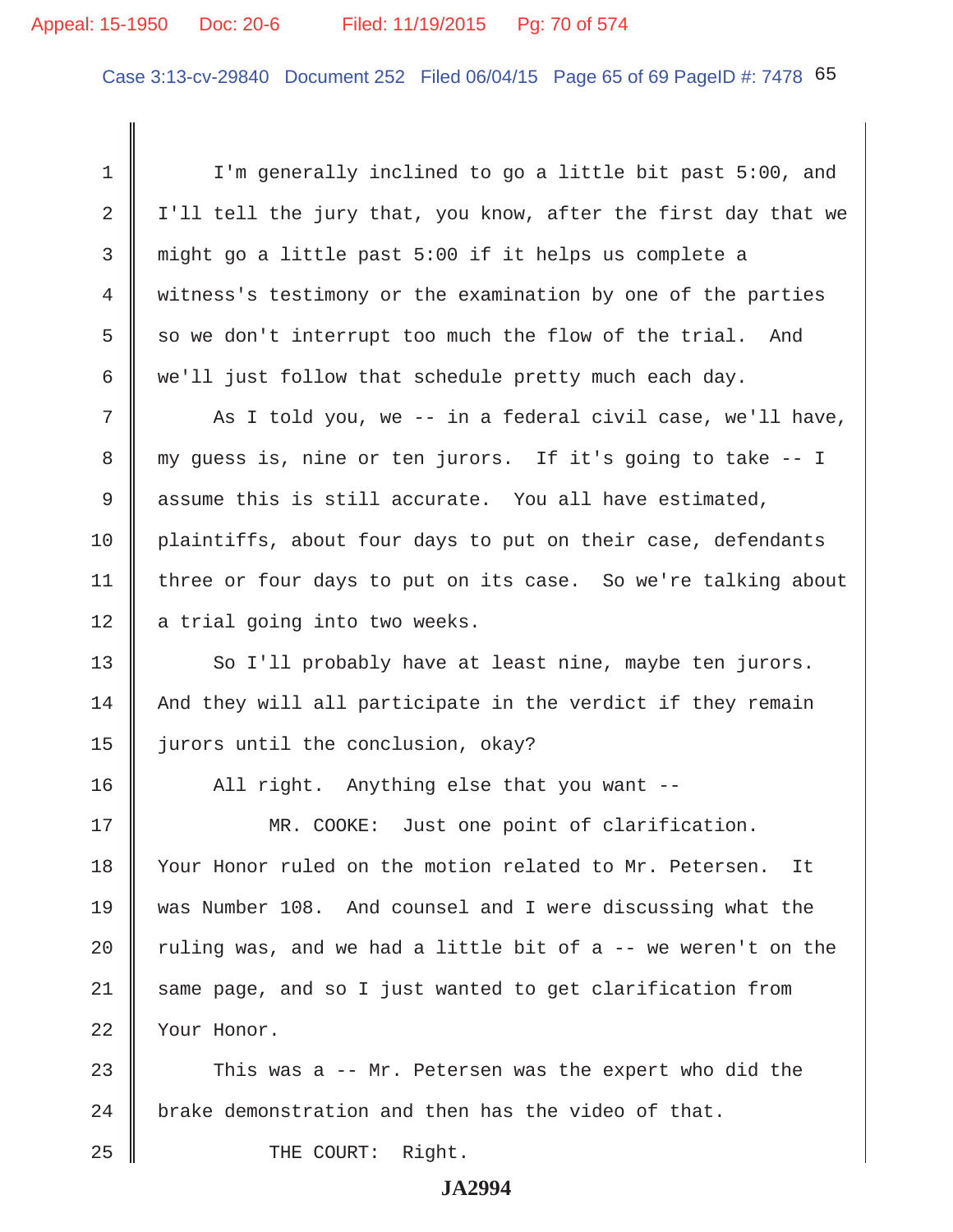# Appeal: 15-1950 Doc: 20-6 Filed: 11/19/2015 Pg: 70 of 574

Case 3:13-cv-29840 Document 252 Filed 06/04/15 Page 65 of 69 PageID #: 7478 65

 1 I'm generally inclined to go a little bit past 5:00, and 2 | I'll tell the jury that, you know, after the first day that we 3 might go a little past 5:00 if it helps us complete a 4 witness's testimony or the examination by one of the parties 5 so we don't interrupt too much the flow of the trial. And 6 we'll just follow that schedule pretty much each day. 7 As I told you, we -- in a federal civil case, we'll have, 8 my guess is, nine or ten jurors. If it's going to take -- I 9 assume this is still accurate. You all have estimated, 10 plaintiffs, about four days to put on their case, defendants 11 | three or four days to put on its case. So we're talking about  $12$  a trial going into two weeks. 13 || So I'll probably have at least nine, maybe ten jurors.  $14$  | And they will all participate in the verdict if they remain 15 | jurors until the conclusion, okay? 16 || All right. Anything else that you want --17 MR. COOKE: Just one point of clarification. 18 Vour Honor ruled on the motion related to Mr. Petersen. It 19 was Number 108. And counsel and I were discussing what the 20  $\parallel$  ruling was, and we had a little bit of a -- we weren't on the 21 Same page, and so I just wanted to get clarification from 22 Your Honor. 23  $\parallel$  This was a -- Mr. Petersen was the expert who did the 24 brake demonstration and then has the video of that.

25 || THE COURT: Right.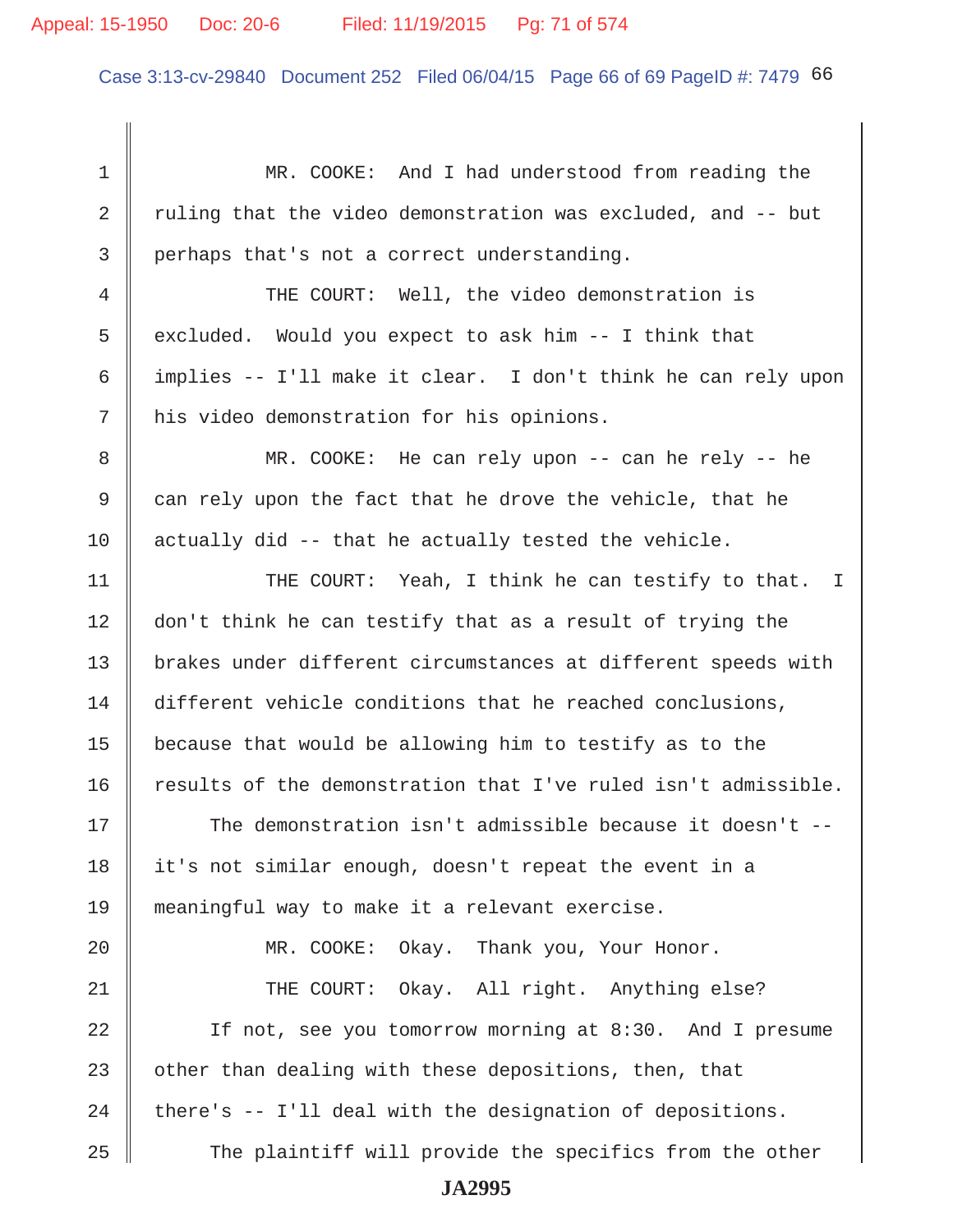Case 3:13-cv-29840 Document 252 Filed 06/04/15 Page 66 of 69 PageID #: 7479 66

 1 MR. COOKE: And I had understood from reading the 2  $\parallel$  ruling that the video demonstration was excluded, and -- but 3 perhaps that's not a correct understanding. 4 THE COURT: Well, the video demonstration is 5  $\parallel$  excluded. Would you expect to ask him -- I think that 6  $\parallel$  implies -- I'll make it clear. I don't think he can rely upon 7 | his video demonstration for his opinions. 8 MR. COOKE: He can rely upon -- can he rely -- he  $9 \parallel$  can rely upon the fact that he drove the vehicle, that he 10  $\parallel$  actually did -- that he actually tested the vehicle. 11 || THE COURT: Yeah, I think he can testify to that. I 12 don't think he can testify that as a result of trying the 13 | brakes under different circumstances at different speeds with 14 different vehicle conditions that he reached conclusions, 15  $\parallel$  because that would be allowing him to testify as to the  $16$  results of the demonstration that I've ruled isn't admissible. 17 The demonstration isn't admissible because it doesn't -- 18 it's not similar enough, doesn't repeat the event in a 19 meaningful way to make it a relevant exercise. 20 || MR. COOKE: Okay. Thank you, Your Honor. 21 THE COURT: Okay. All right. Anything else? 22 || If not, see you tomorrow morning at 8:30. And I presume 23  $\parallel$  other than dealing with these depositions, then, that 24  $\parallel$  there's -- I'll deal with the designation of depositions. 25 The plaintiff will provide the specifics from the other **JA2995**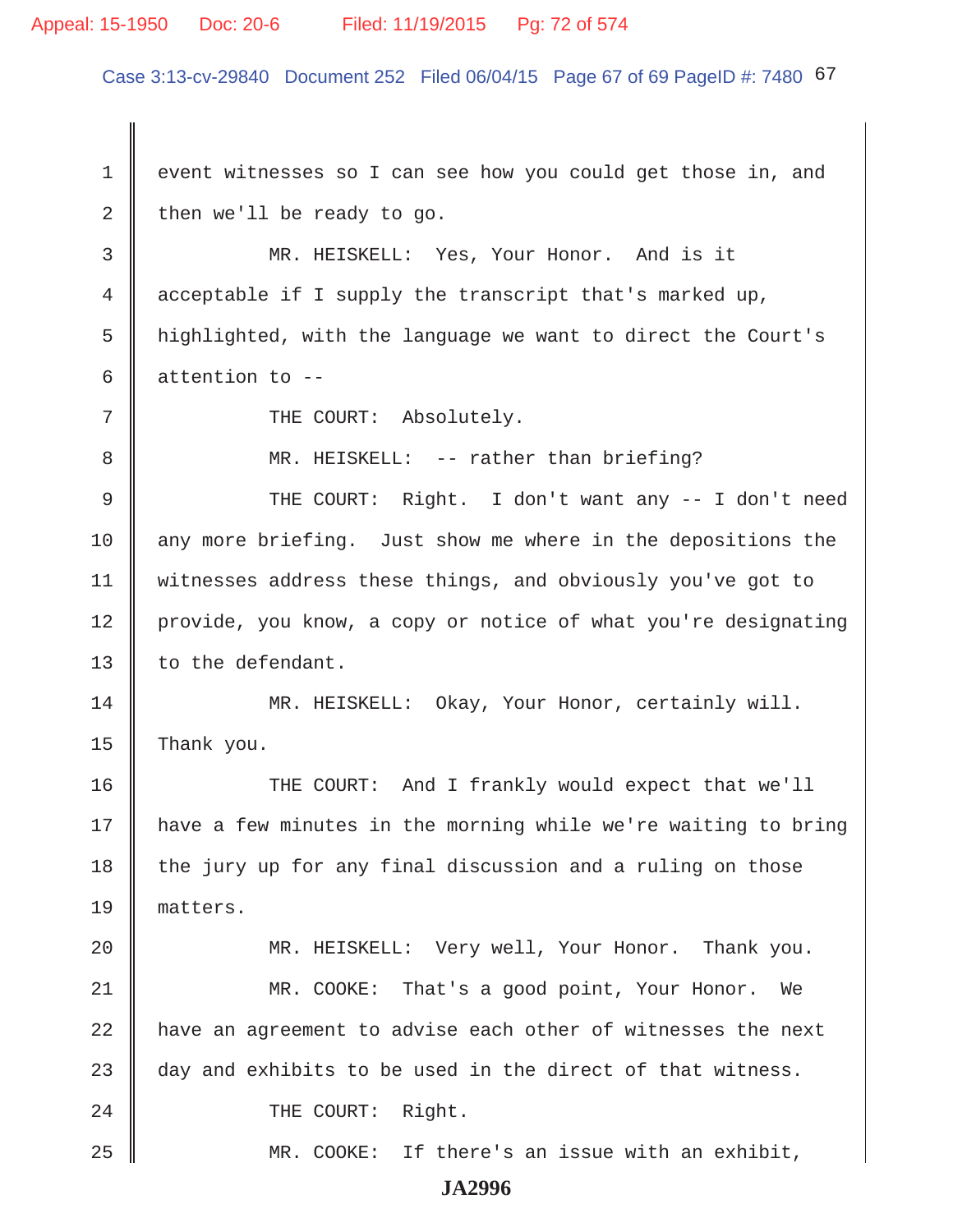# Appeal: 15-1950 Doc: 20-6 Filed: 11/19/2015 Pg: 72 of 574

Case 3:13-cv-29840 Document 252 Filed 06/04/15 Page 67 of 69 PageID #: 7480 67

1 event witnesses so I can see how you could get those in, and 2 then we'll be ready to go. 3 MR. HEISKELL: Yes, Your Honor. And is it 4 acceptable if I supply the transcript that's marked up, 5 highlighted, with the language we want to direct the Court's 6  $\parallel$  attention to --7 || THE COURT: Absolutely. 8 MR. HEISKELL: -- rather than briefing? 9 THE COURT: Right. I don't want any -- I don't need 10 any more briefing. Just show me where in the depositions the 11 witnesses address these things, and obviously you've got to 12 provide, you know, a copy or notice of what you're designating 13 | to the defendant. 14 MR. HEISKELL: Okay, Your Honor, certainly will. 15 Thank you. 16 THE COURT: And I frankly would expect that we'll 17 have a few minutes in the morning while we're waiting to bring 18 the jury up for any final discussion and a ruling on those 19 matters. 20 MR. HEISKELL: Very well, Your Honor. Thank you. 21 MR. COOKE: That's a good point, Your Honor. We 22 have an agreement to advise each other of witnesses the next 23  $\parallel$  day and exhibits to be used in the direct of that witness. 24 COURT: Right. 25 MR. COOKE: If there's an issue with an exhibit,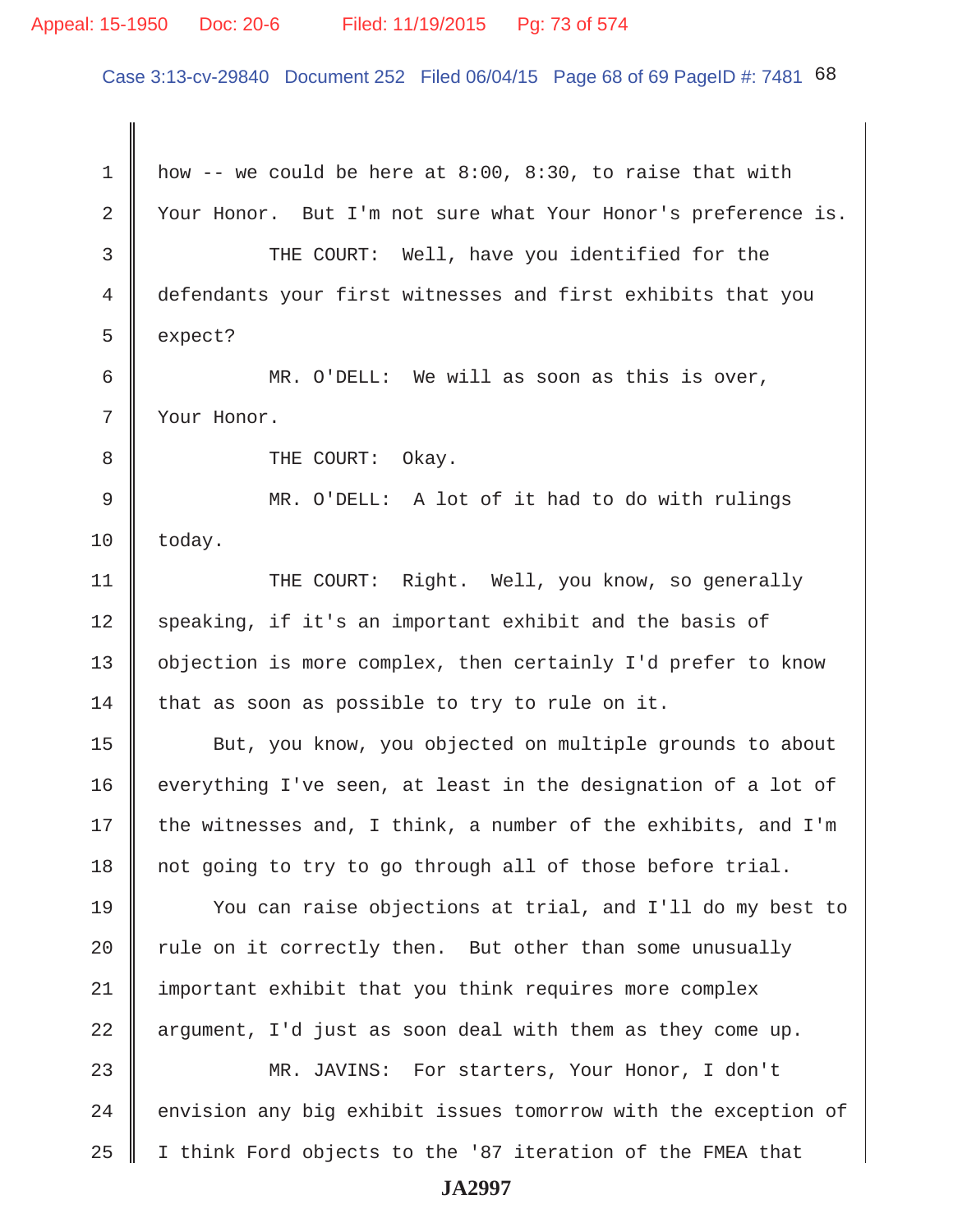## Appeal: 15-1950 Doc: 20-6 Filed: 11/19/2015 Pg: 73 of 574

Case 3:13-cv-29840 Document 252 Filed 06/04/15 Page 68 of 69 PageID #: 7481 68

1 | how -- we could be here at  $8:00$ ,  $8:30$ , to raise that with 2 | Your Honor. But I'm not sure what Your Honor's preference is. 3 THE COURT: Well, have you identified for the 4 defendants your first witnesses and first exhibits that you  $5 \parallel$  expect? 6 MR. O'DELL: We will as soon as this is over, 7 Your Honor. 8 **B** THE COURT: Okay. 9 MR. O'DELL: A lot of it had to do with rulings  $10$  | today. 11 | THE COURT: Right. Well, you know, so generally 12 speaking, if it's an important exhibit and the basis of 13 | objection is more complex, then certainly I'd prefer to know 14 that as soon as possible to try to rule on it. 15 | But, you know, you objected on multiple grounds to about 16 everything I've seen, at least in the designation of a lot of 17 | the witnesses and, I think, a number of the exhibits, and I'm 18 not going to try to go through all of those before trial. 19 You can raise objections at trial, and I'll do my best to 20  $\parallel$  rule on it correctly then. But other than some unusually 21 | important exhibit that you think requires more complex 22  $\parallel$  argument, I'd just as soon deal with them as they come up. 23 MR. JAVINS: For starters, Your Honor, I don't  $24$   $\parallel$  envision any big exhibit issues tomorrow with the exception of 25 I think Ford objects to the '87 iteration of the FMEA that **JA2997**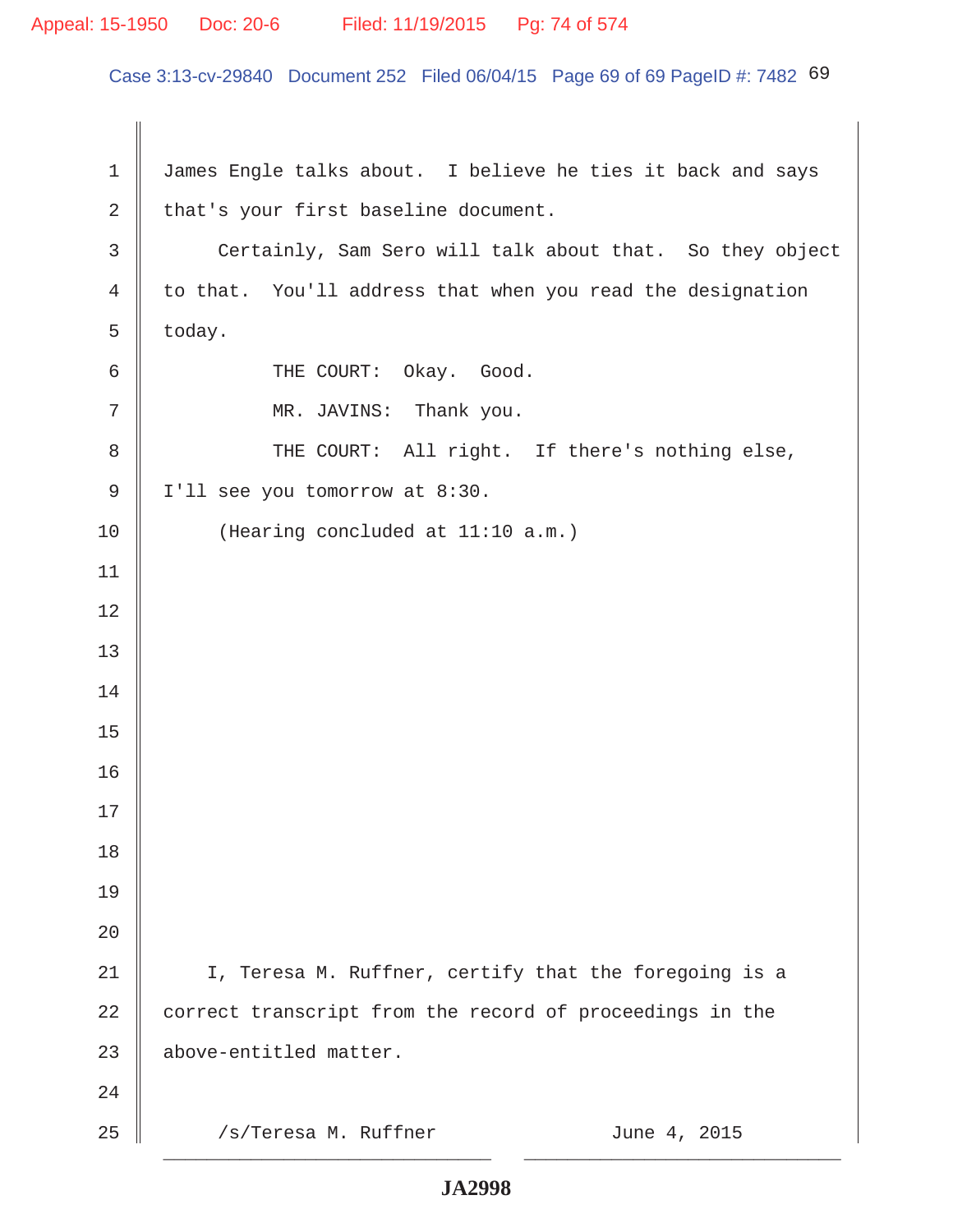## Appeal: 15-1950 Doc: 20-6 Filed: 11/19/2015 Pg: 74 of 574

Case 3:13-cv-29840 Document 252 Filed 06/04/15 Page 69 of 69 PageID #: 7482 69

1 | James Engle talks about. I believe he ties it back and says 2  $\parallel$  that's your first baseline document. 3 Certainly, Sam Sero will talk about that. So they object 4 to that. You'll address that when you read the designation  $5 \parallel$  today. 6 **6** THE COURT: Okay. Good. 7 || MR. JAVINS: Thank you. 8 || THE COURT: All right. If there's nothing else, 9 | I'll see you tomorrow at 8:30. 10 | (Hearing concluded at 11:10 a.m.) 11 12 13 14 15 16 17 18 19 20 21 || I, Teresa M. Ruffner, certify that the foregoing is a  $22$   $\parallel$  correct transcript from the record of proceedings in the 23 above-entitled matter. 24  $25$  ||  $\sqrt{s/T}$ eresa M. Ruffner  $\sqrt{s}$  June 4, 2015 \_\_\_\_\_\_\_\_\_\_\_\_\_\_\_\_\_\_\_\_\_\_\_\_\_\_\_\_\_\_ \_\_\_\_\_\_\_\_\_\_\_\_\_\_\_\_\_\_\_\_\_\_\_\_\_\_\_\_\_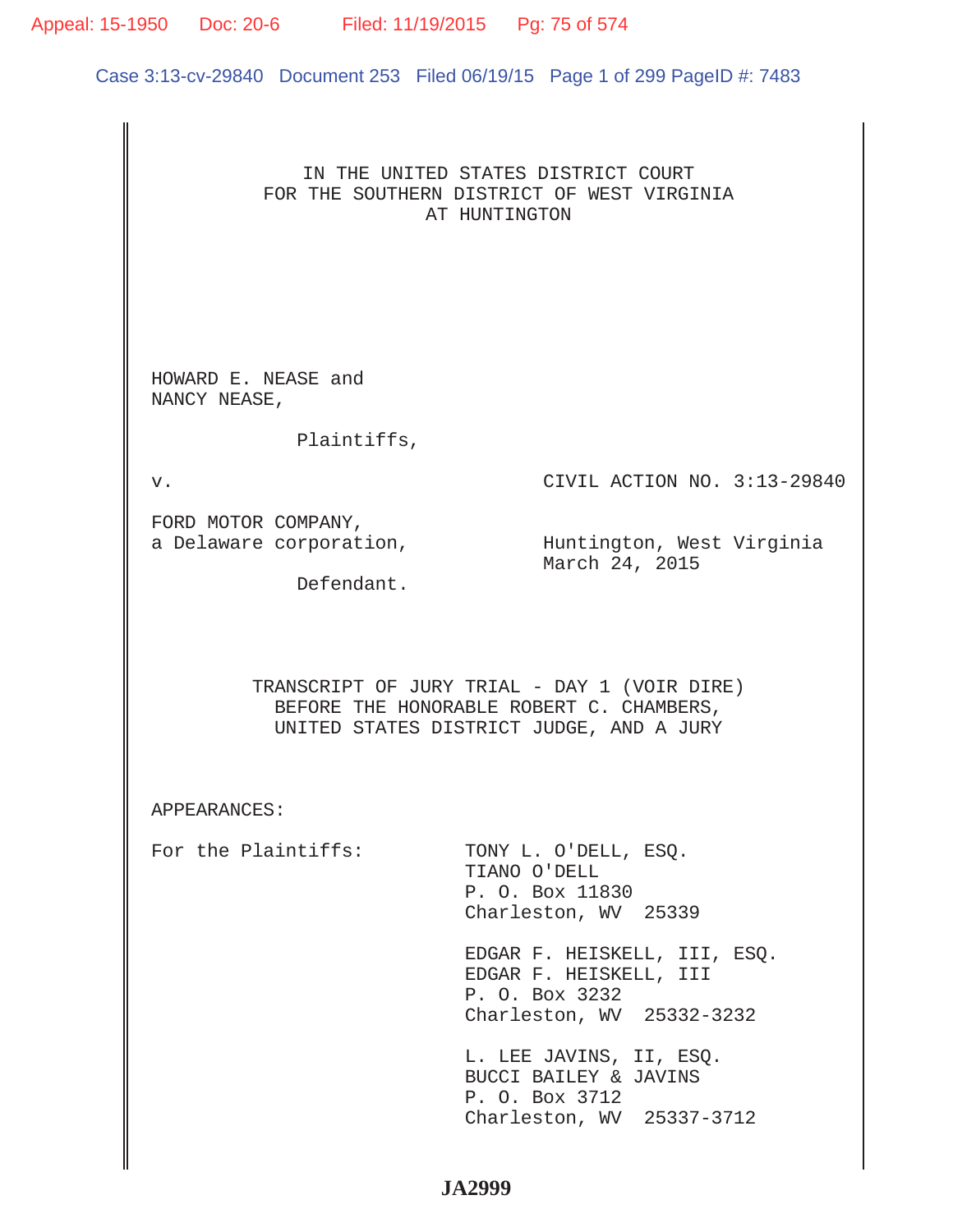## Appeal: 15-1950 Doc: 20-6 Filed: 11/19/2015 Pg: 75 of 574

Case 3:13-cv-29840 Document 253 Filed 06/19/15 Page 1 of 299 PageID #: 7483

## IN THE UNITED STATES DISTRICT COURT FOR THE SOUTHERN DISTRICT OF WEST VIRGINIA AT HUNTINGTON

HOWARD E. NEASE and NANCY NEASE,

Plaintiffs,

v. CIVIL ACTION NO. 3:13-29840

FORD MOTOR COMPANY,

a Delaware corporation, which in Huntington, West Virginia March 24, 2015

Defendant.

TRANSCRIPT OF JURY TRIAL - DAY 1 (VOIR DIRE) BEFORE THE HONORABLE ROBERT C. CHAMBERS, UNITED STATES DISTRICT JUDGE, AND A JURY

APPEARANCES:

For the Plaintiffs: TONY L. O'DELL, ESO. TIANO O'DELL P. O. Box 11830 Charleston, WV 25339

> EDGAR F. HEISKELL, III, ESQ. EDGAR F. HEISKELL, III P. O. Box 3232 Charleston, WV 25332-3232

 L. LEE JAVINS, II, ESQ. BUCCI BAILEY & JAVINS P. O. Box 3712 Charleston, WV 25337-3712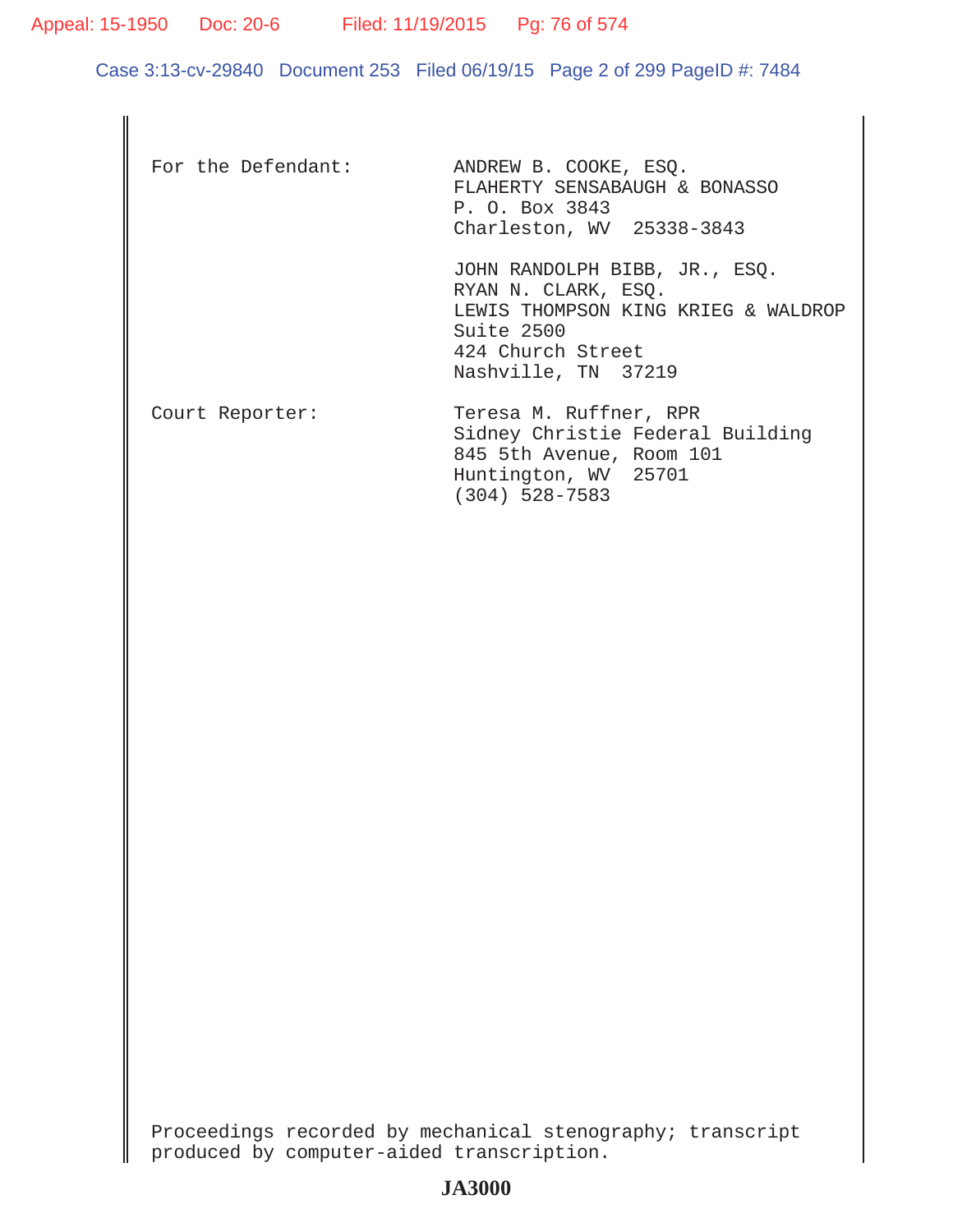Appeal: 15-1950 Doc: 20-6 Filed: 11/19/2015 Pg: 76 of 574

Case 3:13-cv-29840 Document 253 Filed 06/19/15 Page 2 of 299 PageID #: 7484

| For the Defendant: | ANDREW B. COOKE, ESO.<br>FLAHERTY SENSABAUGH & BONASSO<br>P. O. Box 3843<br>Charleston, WV 25338-3843                                                   |
|--------------------|---------------------------------------------------------------------------------------------------------------------------------------------------------|
|                    | JOHN RANDOLPH BIBB, JR., ESQ.<br>RYAN N. CLARK, ESO.<br>LEWIS THOMPSON KING KRIEG & WALDROP<br>Suite $2500$<br>424 Church Street<br>Nashville, TN 37219 |
| Court Reporter:    | Teresa M. Ruffner, RPR<br>Sidney Christie Federal Building<br>845 5th Avenue, Room 101<br>Huntington, WV 25701<br>$(304)$ 528-7583                      |

Proceedings recorded by mechanical stenography; transcript produced by computer-aided transcription.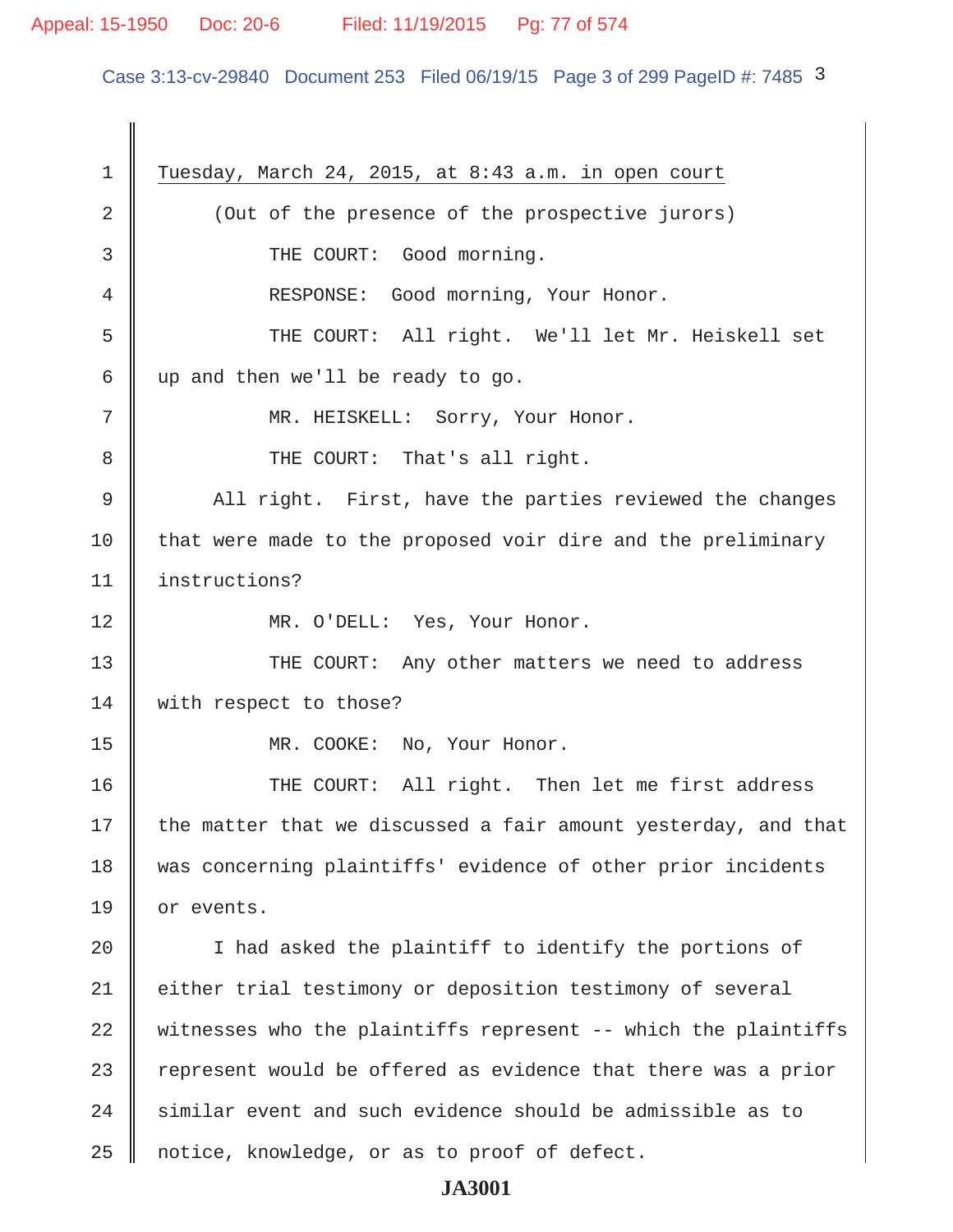# Appeal: 15-1950 Doc: 20-6 Filed: 11/19/2015 Pg: 77 of 574

Case 3:13-cv-29840 Document 253 Filed 06/19/15 Page 3 of 299 PageID #: 7485 3

| $\mathbf 1$   | Tuesday, March 24, 2015, at 8:43 a.m. in open court            |
|---------------|----------------------------------------------------------------|
| 2             | (Out of the presence of the prospective jurors)                |
| 3             | THE COURT: Good morning.                                       |
| 4             | RESPONSE: Good morning, Your Honor.                            |
| 5             | THE COURT: All right. We'll let Mr. Heiskell set               |
| 6             | up and then we'll be ready to go.                              |
| 7             | MR. HEISKELL: Sorry, Your Honor.                               |
| 8             | THE COURT: That's all right.                                   |
| $\mathcal{G}$ | All right. First, have the parties reviewed the changes        |
| 10            | that were made to the proposed voir dire and the preliminary   |
| 11            | instructions?                                                  |
| 12            | MR. O'DELL: Yes, Your Honor.                                   |
| 13            | THE COURT: Any other matters we need to address                |
| 14            | with respect to those?                                         |
| 15            | MR. COOKE: No, Your Honor.                                     |
| 16            | THE COURT: All right. Then let me first address                |
| 17            | the matter that we discussed a fair amount yesterday, and that |
| 18            | was concerning plaintiffs' evidence of other prior incidents   |
| 19            | or events.                                                     |
| 20            | I had asked the plaintiff to identify the portions of          |
| 21            | either trial testimony or deposition testimony of several      |
| 22            | witnesses who the plaintiffs represent -- which the plaintiffs |
| 23            | represent would be offered as evidence that there was a prior  |
| 24            | similar event and such evidence should be admissible as to     |
| 25            | notice, knowledge, or as to proof of defect.                   |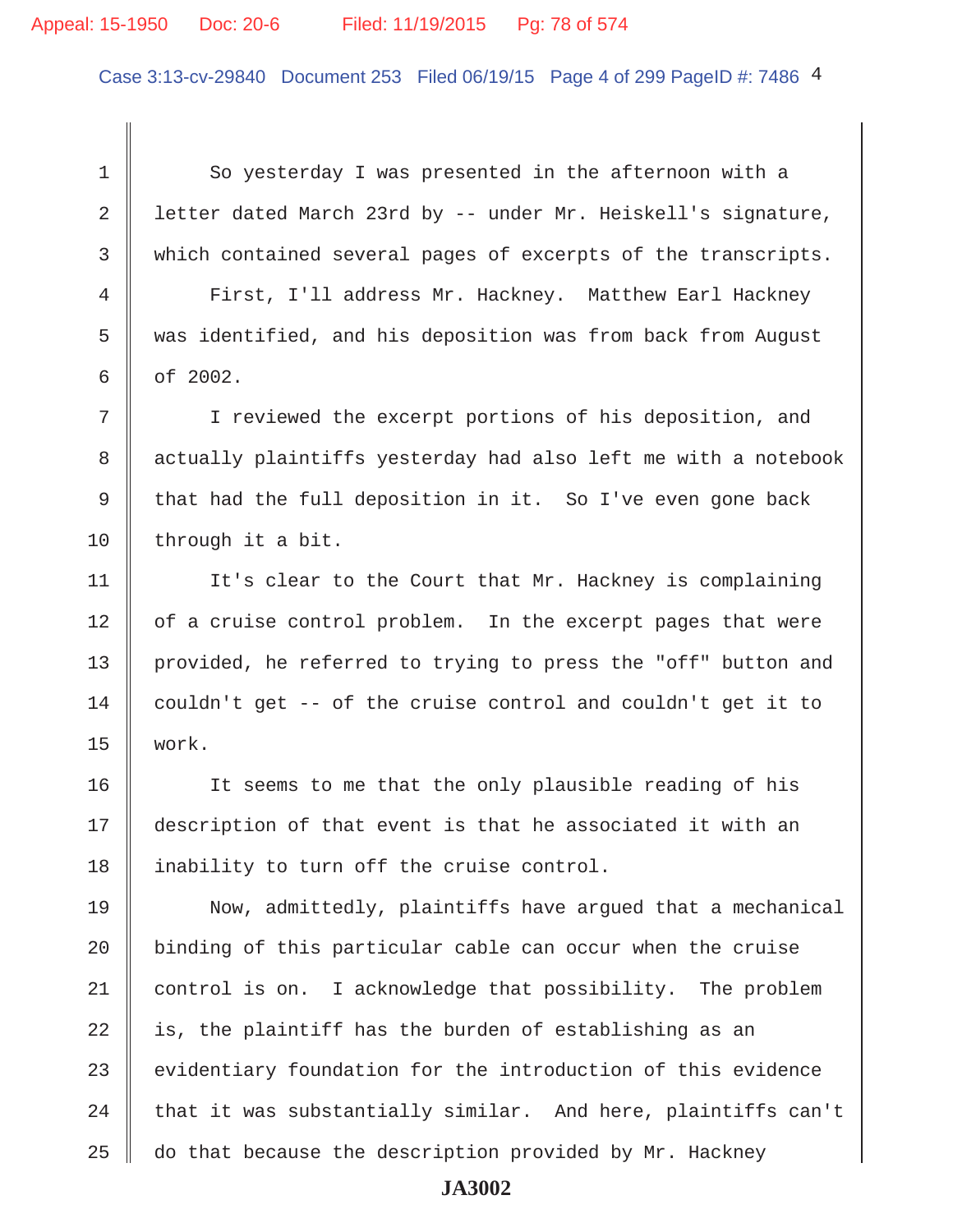## Appeal: 15-1950 Doc: 20-6 Filed: 11/19/2015 Pg: 78 of 574

Case 3:13-cv-29840 Document 253 Filed 06/19/15 Page 4 of 299 PageID #: 7486 4

1 So yesterday I was presented in the afternoon with a 2 | letter dated March 23rd by -- under Mr. Heiskell's signature, 3 which contained several pages of excerpts of the transcripts.

 4 First, I'll address Mr. Hackney. Matthew Earl Hackney 5 was identified, and his deposition was from back from August  $6 \parallel$  of 2002.

 7 I reviewed the excerpt portions of his deposition, and 8 || actually plaintiffs yesterday had also left me with a notebook 9  $\parallel$  that had the full deposition in it. So I've even gone back 10 | through it a bit.

11 | It's clear to the Court that Mr. Hackney is complaining  $12$  | of a cruise control problem. In the excerpt pages that were 13 | provided, he referred to trying to press the "off" button and 14 couldn't get  $-$ - of the cruise control and couldn't get it to 15 work.

16 || It seems to me that the only plausible reading of his 17 description of that event is that he associated it with an 18 || inability to turn off the cruise control.

19 Now, admittedly, plaintiffs have argued that a mechanical 20 | binding of this particular cable can occur when the cruise 21 control is on. I acknowledge that possibility. The problem 22  $\parallel$  is, the plaintiff has the burden of establishing as an  $23$  evidentiary foundation for the introduction of this evidence 24  $\parallel$  that it was substantially similar. And here, plaintiffs can't  $25$   $\parallel$  do that because the description provided by Mr. Hackney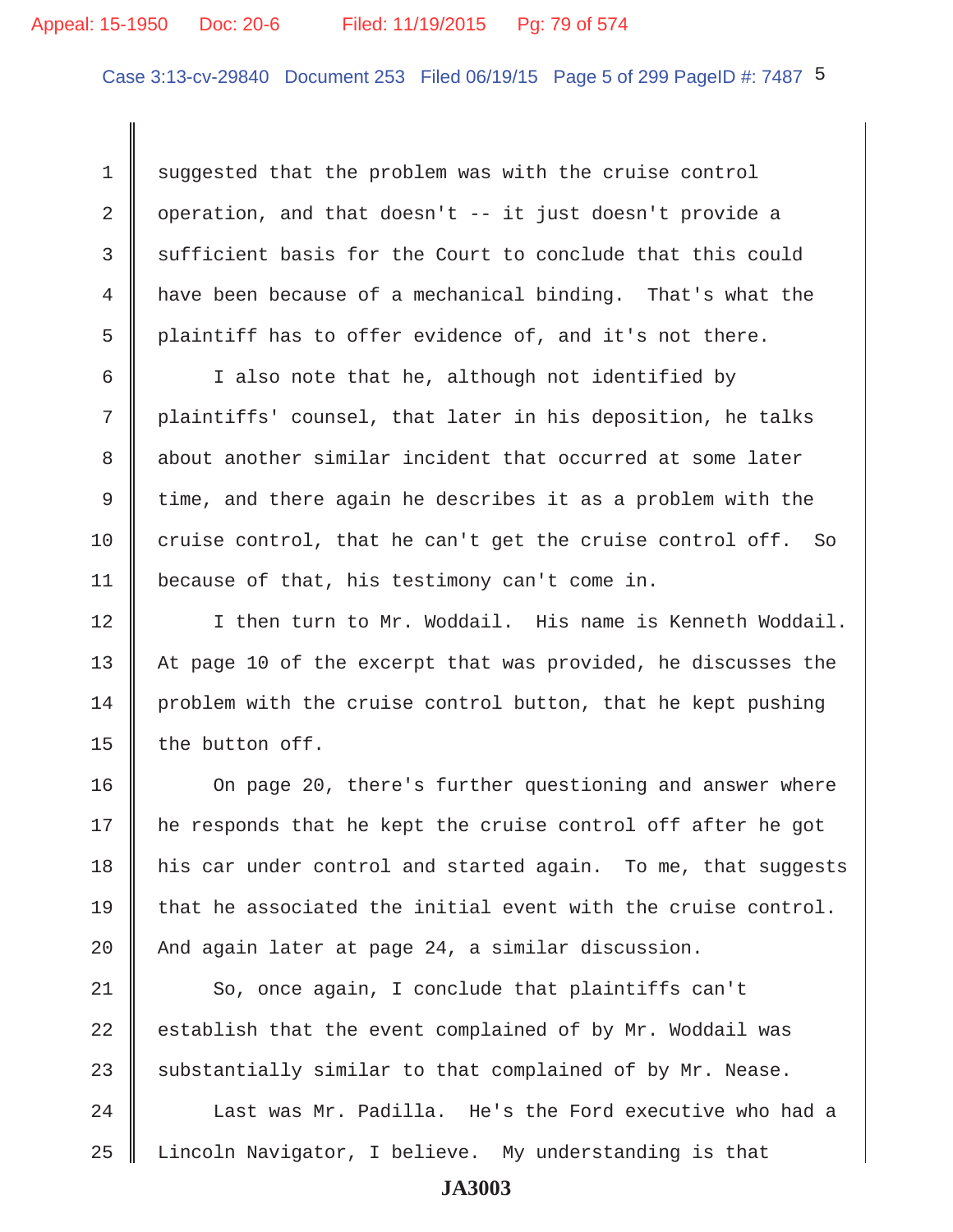Case 3:13-cv-29840 Document 253 Filed 06/19/15 Page 5 of 299 PageID #: 7487 5

1 suggested that the problem was with the cruise control 2 | operation, and that doesn't  $-$  it just doesn't provide a 3 sufficient basis for the Court to conclude that this could 4 have been because of a mechanical binding. That's what the 5 plaintiff has to offer evidence of, and it's not there.

 6 I also note that he, although not identified by 7 plaintiffs' counsel, that later in his deposition, he talks 8 about another similar incident that occurred at some later 9 time, and there again he describes it as a problem with the 10 cruise control, that he can't get the cruise control off. So 11 because of that, his testimony can't come in.

12 I then turn to Mr. Woddail. His name is Kenneth Woddail. 13 At page 10 of the excerpt that was provided, he discusses the  $14$  problem with the cruise control button, that he kept pushing 15  $\parallel$  the button off.

16 | On page 20, there's further questioning and answer where 17 he responds that he kept the cruise control off after he got 18 his car under control and started again. To me, that suggests 19 that he associated the initial event with the cruise control. 20  $\parallel$  And again later at page 24, a similar discussion.

 $21$   $\parallel$  So, once again, I conclude that plaintiffs can't 22  $\parallel$  establish that the event complained of by Mr. Woddail was 23 Substantially similar to that complained of by Mr. Nease.

 $24$   $\parallel$  Last was Mr. Padilla. He's the Ford executive who had a 25 Lincoln Navigator, I believe. My understanding is that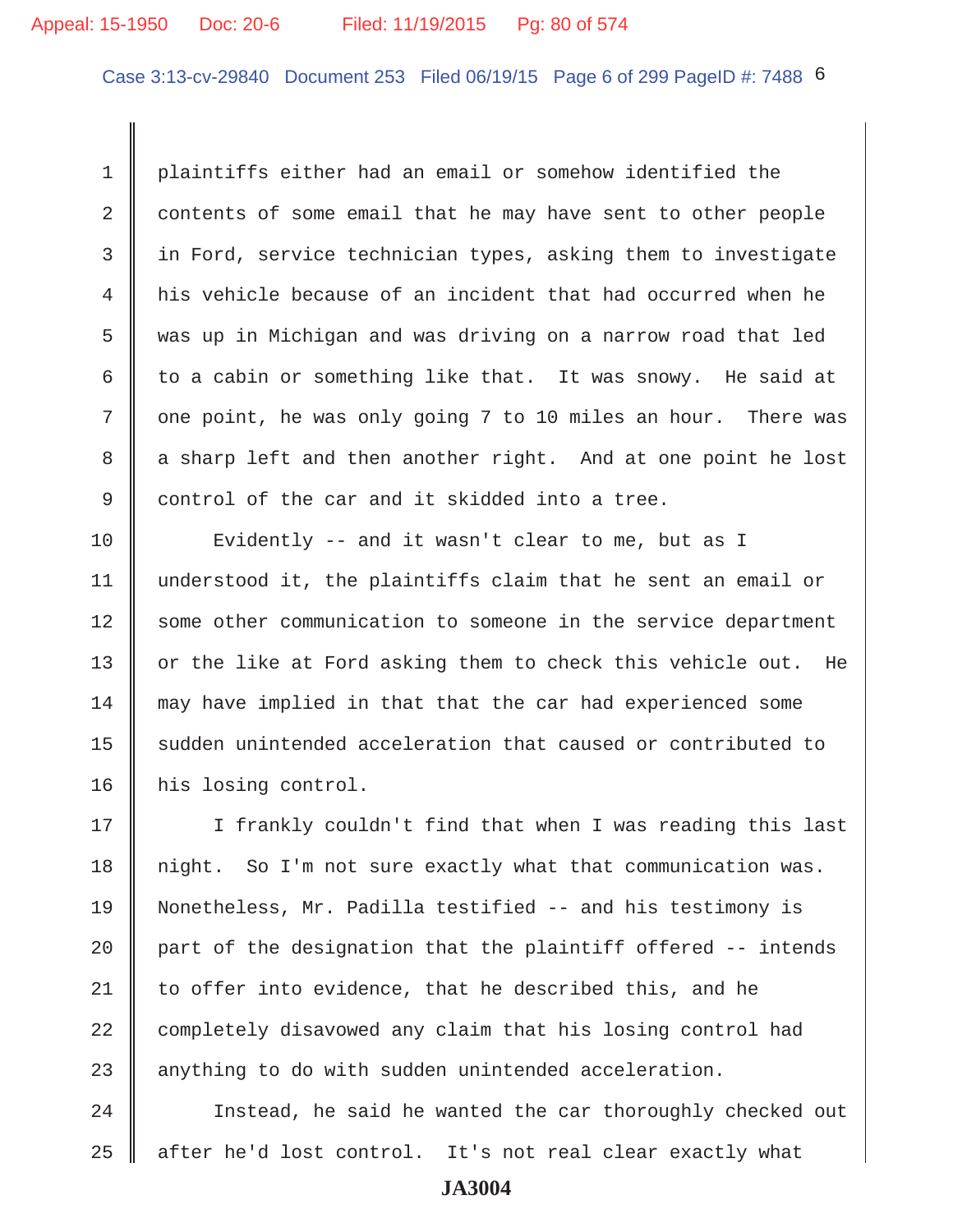## Appeal: 15-1950 Doc: 20-6 Filed: 11/19/2015 Pg: 80 of 574

Case 3:13-cv-29840 Document 253 Filed 06/19/15 Page 6 of 299 PageID #: 7488 6

 1 plaintiffs either had an email or somehow identified the 2 contents of some email that he may have sent to other people  $3$  in Ford, service technician types, asking them to investigate 4 his vehicle because of an incident that had occurred when he 5 was up in Michigan and was driving on a narrow road that led 6 to a cabin or something like that. It was snowy. He said at 7 || one point, he was only going 7 to 10 miles an hour. There was 8 a sharp left and then another right. And at one point he lost 9 control of the car and it skidded into a tree.

10 || Evidently -- and it wasn't clear to me, but as I 11 understood it, the plaintiffs claim that he sent an email or 12 Some other communication to someone in the service department 13 || or the like at Ford asking them to check this vehicle out. He 14 may have implied in that that the car had experienced some 15 sudden unintended acceleration that caused or contributed to 16 | his losing control.

17 || I frankly couldn't find that when I was reading this last 18 || night. So I'm not sure exactly what that communication was. 19 Nonetheless, Mr. Padilla testified -- and his testimony is 20  $\parallel$  part of the designation that the plaintiff offered -- intends 21  $\parallel$  to offer into evidence, that he described this, and he 22 completely disavowed any claim that his losing control had 23 anything to do with sudden unintended acceleration.

24 | Instead, he said he wanted the car thoroughly checked out 25 || after he'd lost control. It's not real clear exactly what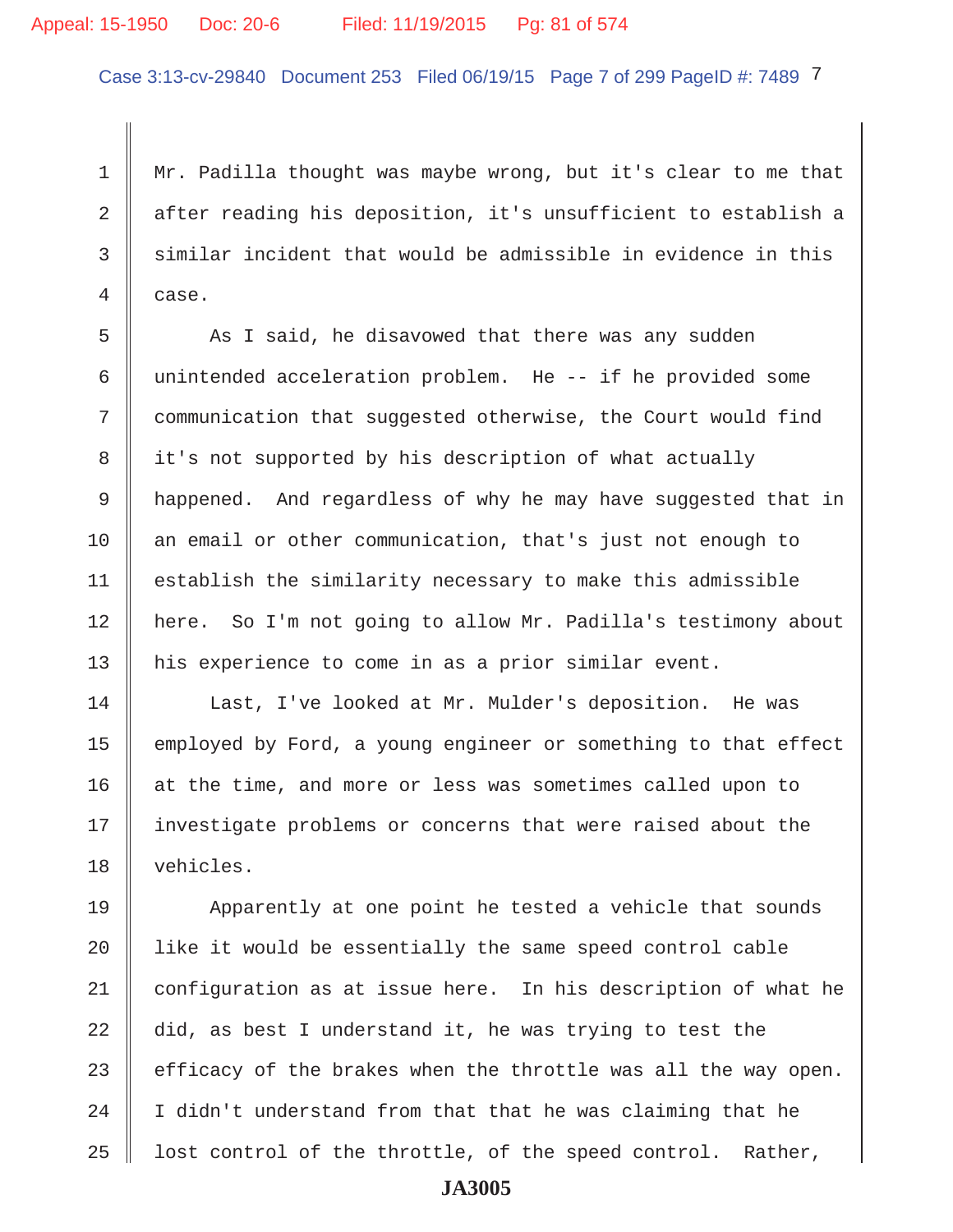## Appeal: 15-1950 Doc: 20-6 Filed: 11/19/2015 Pg: 81 of 574

Case 3:13-cv-29840 Document 253 Filed 06/19/15 Page 7 of 299 PageID #: 7489 7

 1 Mr. Padilla thought was maybe wrong, but it's clear to me that 2 after reading his deposition, it's unsufficient to establish a  $3$  similar incident that would be admissible in evidence in this 4 case.

 $5$   $\parallel$  As I said, he disavowed that there was any sudden 6 unintended acceleration problem. He  $-$ - if he provided some 7 communication that suggested otherwise, the Court would find 8 it's not supported by his description of what actually 9 | happened. And regardless of why he may have suggested that in 10 || an email or other communication, that's just not enough to  $11$   $\parallel$  establish the similarity necessary to make this admissible 12 here. So I'm not going to allow Mr. Padilla's testimony about 13 || his experience to come in as a prior similar event.

14 | Last, I've looked at Mr. Mulder's deposition. He was 15 | employed by Ford, a young engineer or something to that effect 16 at the time, and more or less was sometimes called upon to 17 || investigate problems or concerns that were raised about the 18 vehicles.

19 Apparently at one point he tested a vehicle that sounds  $20$  | like it would be essentially the same speed control cable 21 configuration as at issue here. In his description of what he 22 did, as best I understand it, he was trying to test the 23  $\parallel$  efficacy of the brakes when the throttle was all the way open. 24  $\parallel$  I didn't understand from that that he was claiming that he 25  $\parallel$  lost control of the throttle, of the speed control. Rather,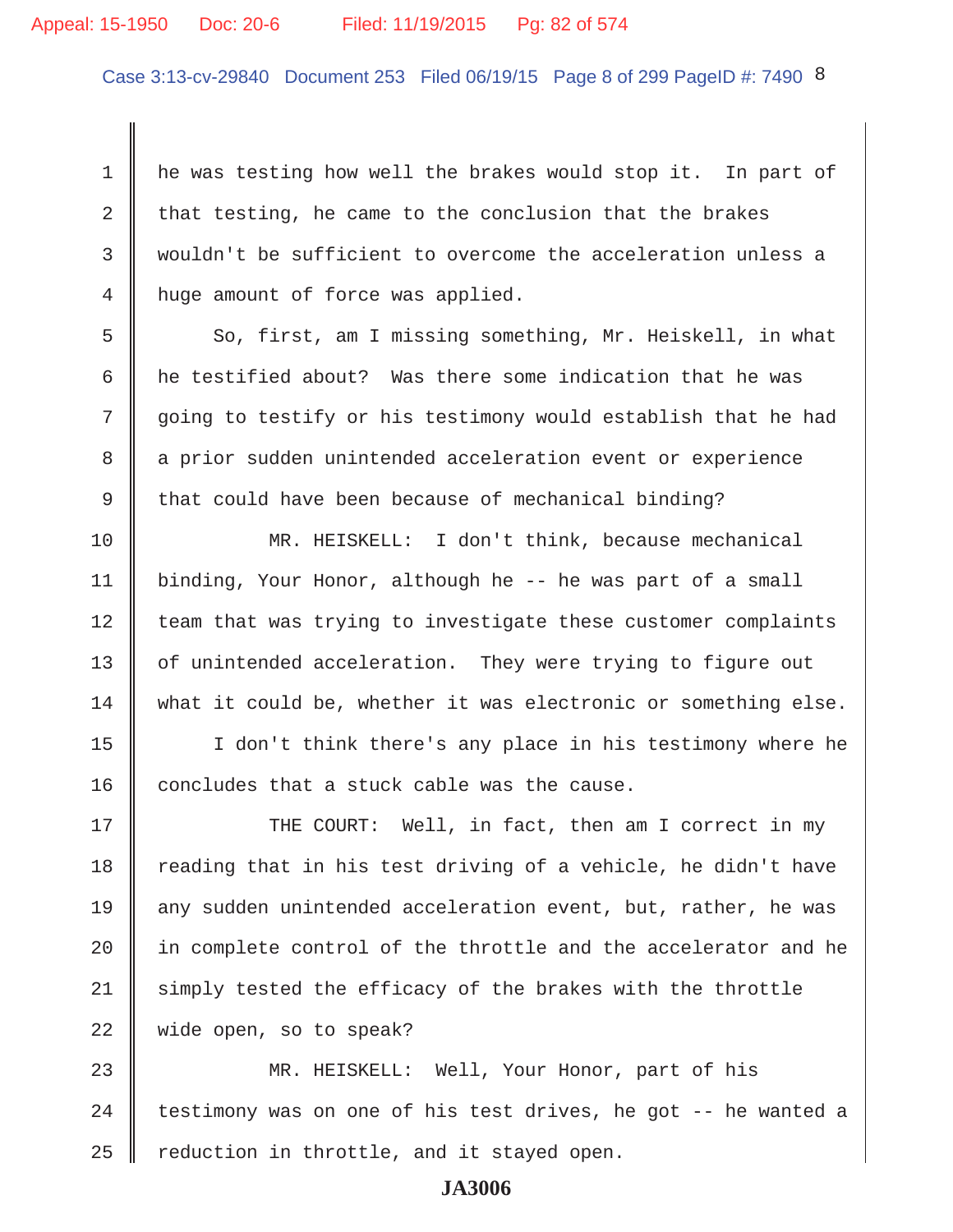## Appeal: 15-1950 Doc: 20-6 Filed: 11/19/2015 Pg: 82 of 574

Case 3:13-cv-29840 Document 253 Filed 06/19/15 Page 8 of 299 PageID #: 7490 8

1 he was testing how well the brakes would stop it. In part of 2 that testing, he came to the conclusion that the brakes 3 wouldn't be sufficient to overcome the acceleration unless a 4 nuge amount of force was applied.

 $5 \parallel$  So, first, am I missing something, Mr. Heiskell, in what 6  $\parallel$  he testified about? Was there some indication that he was 7 going to testify or his testimony would establish that he had 8 a prior sudden unintended acceleration event or experience 9 that could have been because of mechanical binding?

10 MR. HEISKELL: I don't think, because mechanical 11 binding, Your Honor, although he -- he was part of a small  $12$  team that was trying to investigate these customer complaints 13 | of unintended acceleration. They were trying to figure out  $14$  what it could be, whether it was electronic or something else.

15 I don't think there's any place in his testimony where he 16  $\parallel$  concludes that a stuck cable was the cause.

17 THE COURT: Well, in fact, then am I correct in my  $18$  reading that in his test driving of a vehicle, he didn't have 19 any sudden unintended acceleration event, but, rather, he was  $20$  | in complete control of the throttle and the accelerator and he  $21$  simply tested the efficacy of the brakes with the throttle 22 wide open, so to speak?

23 MR. HEISKELL: Well, Your Honor, part of his 24  $\parallel$  testimony was on one of his test drives, he got -- he wanted a  $25$  | reduction in throttle, and it stayed open.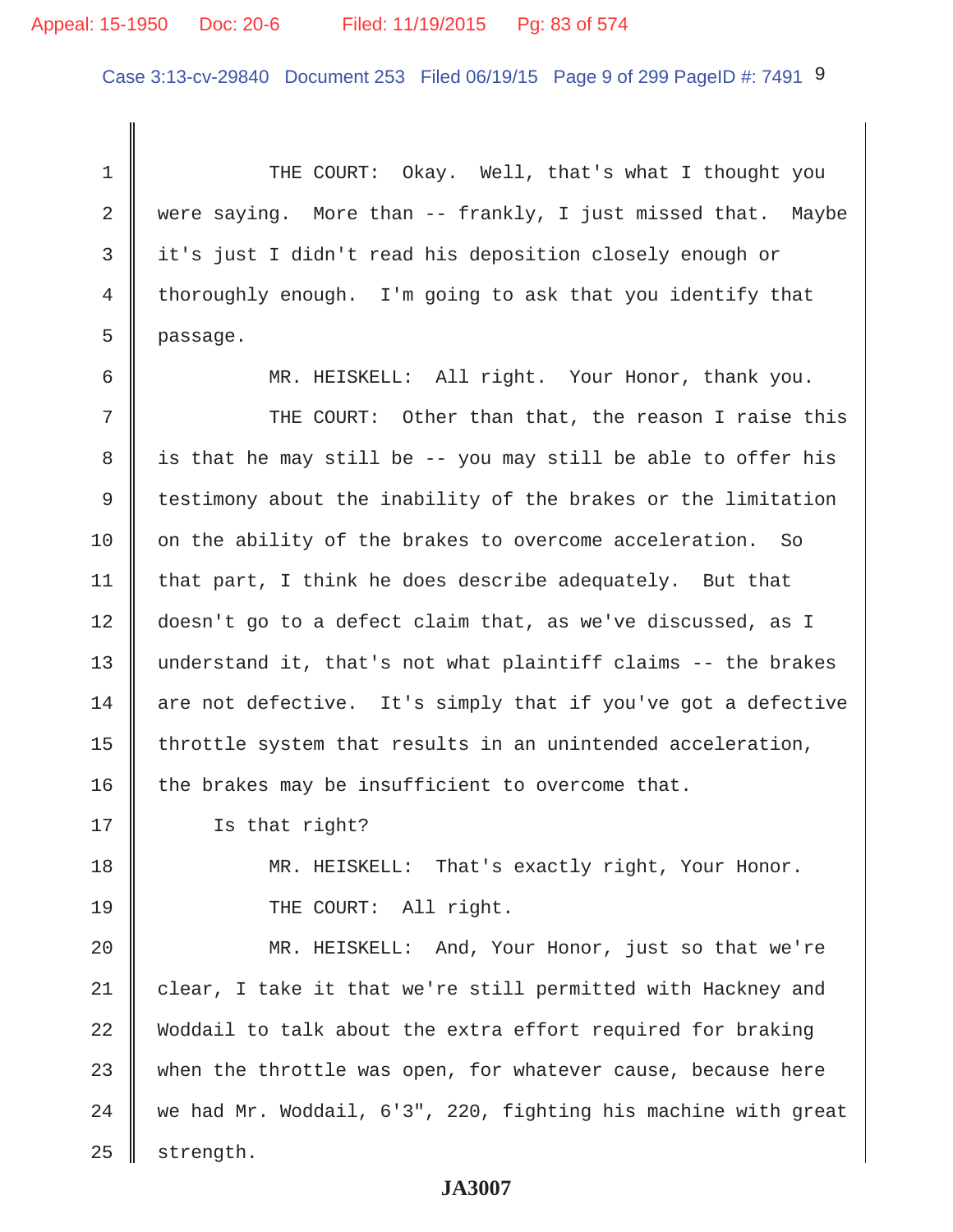## Appeal: 15-1950 Doc: 20-6 Filed: 11/19/2015 Pg: 83 of 574

Case 3:13-cv-29840 Document 253 Filed 06/19/15 Page 9 of 299 PageID #: 7491 9

1 THE COURT: Okay. Well, that's what I thought you 2 were saying. More than  $-$  frankly, I just missed that. Maybe 3 it's just I didn't read his deposition closely enough or 4 thoroughly enough. I'm going to ask that you identify that 5 passage.

 6 MR. HEISKELL: All right. Your Honor, thank you. 7 THE COURT: Other than that, the reason I raise this 8 || is that he may still be -- you may still be able to offer his 9 testimony about the inability of the brakes or the limitation 10 on the ability of the brakes to overcome acceleration. So 11 | that part, I think he does describe adequately. But that 12 doesn't go to a defect claim that, as we've discussed, as I 13 understand it, that's not what plaintiff claims -- the brakes  $14$  are not defective. It's simply that if you've got a defective 15  $\parallel$  throttle system that results in an unintended acceleration, 16 the brakes may be insufficient to overcome that.

17 Is that right?

18 MR. HEISKELL: That's exactly right, Your Honor. 19 || THE COURT: All right.

20 MR. HEISKELL: And, Your Honor, just so that we're 21 clear, I take it that we're still permitted with Hackney and 22 Woddail to talk about the extra effort required for braking  $23$  when the throttle was open, for whatever cause, because here  $24$  we had Mr. Woddail, 6'3", 220, fighting his machine with great  $25$  strength.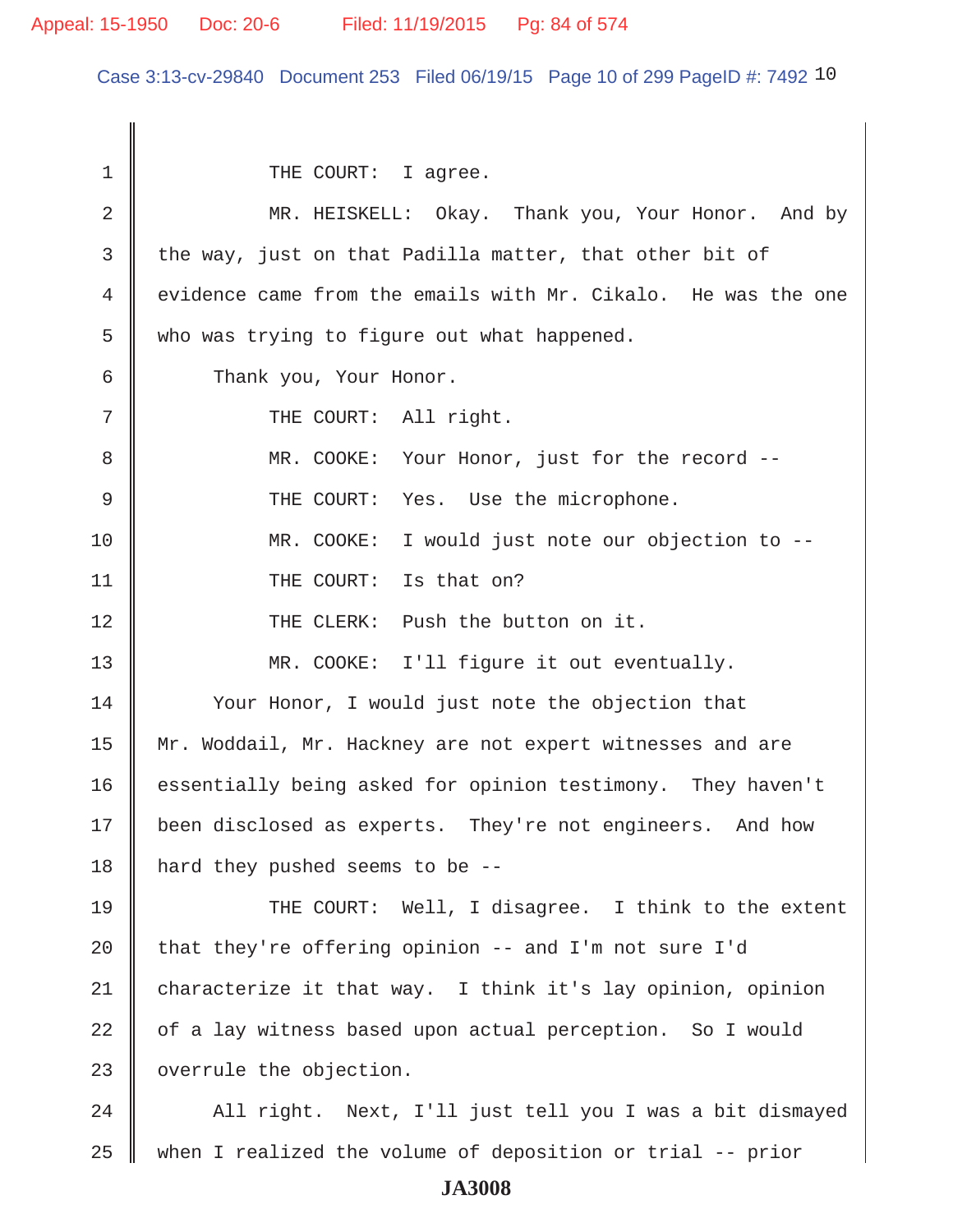### Appeal: 15-1950 Doc: 20-6 Filed: 11/19/2015 Pg: 84 of 574

Case 3:13-cv-29840 Document 253 Filed 06/19/15 Page 10 of 299 PageID #: 7492 10

1 || THE COURT: I agree. 2 MR. HEISKELL: Okay. Thank you, Your Honor. And by  $3$  the way, just on that Padilla matter, that other bit of 4 | evidence came from the emails with Mr. Cikalo. He was the one  $5 \parallel$  who was trying to figure out what happened. 6 Thank you, Your Honor. 7 || THE COURT: All right. 8 MR. COOKE: Your Honor, just for the record -- 9 THE COURT: Yes. Use the microphone. 10 MR. COOKE: I would just note our objection to -- 11 || THE COURT: Is that on? 12 THE CLERK: Push the button on it. 13 MR. COOKE: I'll figure it out eventually. 14 Vour Honor, I would just note the objection that 15 || Mr. Woddail, Mr. Hackney are not expert witnesses and are 16 essentially being asked for opinion testimony. They haven't 17 | been disclosed as experts. They're not engineers. And how 18 | hard they pushed seems to be  $-$ -19 THE COURT: Well, I disagree. I think to the extent 20  $\parallel$  that they're offering opinion -- and I'm not sure I'd 21 characterize it that way. I think it's lay opinion, opinion  $22$   $\parallel$  of a lay witness based upon actual perception. So I would 23 | overrule the objection. 24 | All right. Next, I'll just tell you I was a bit dismayed 25  $\parallel$  when I realized the volume of deposition or trial -- prior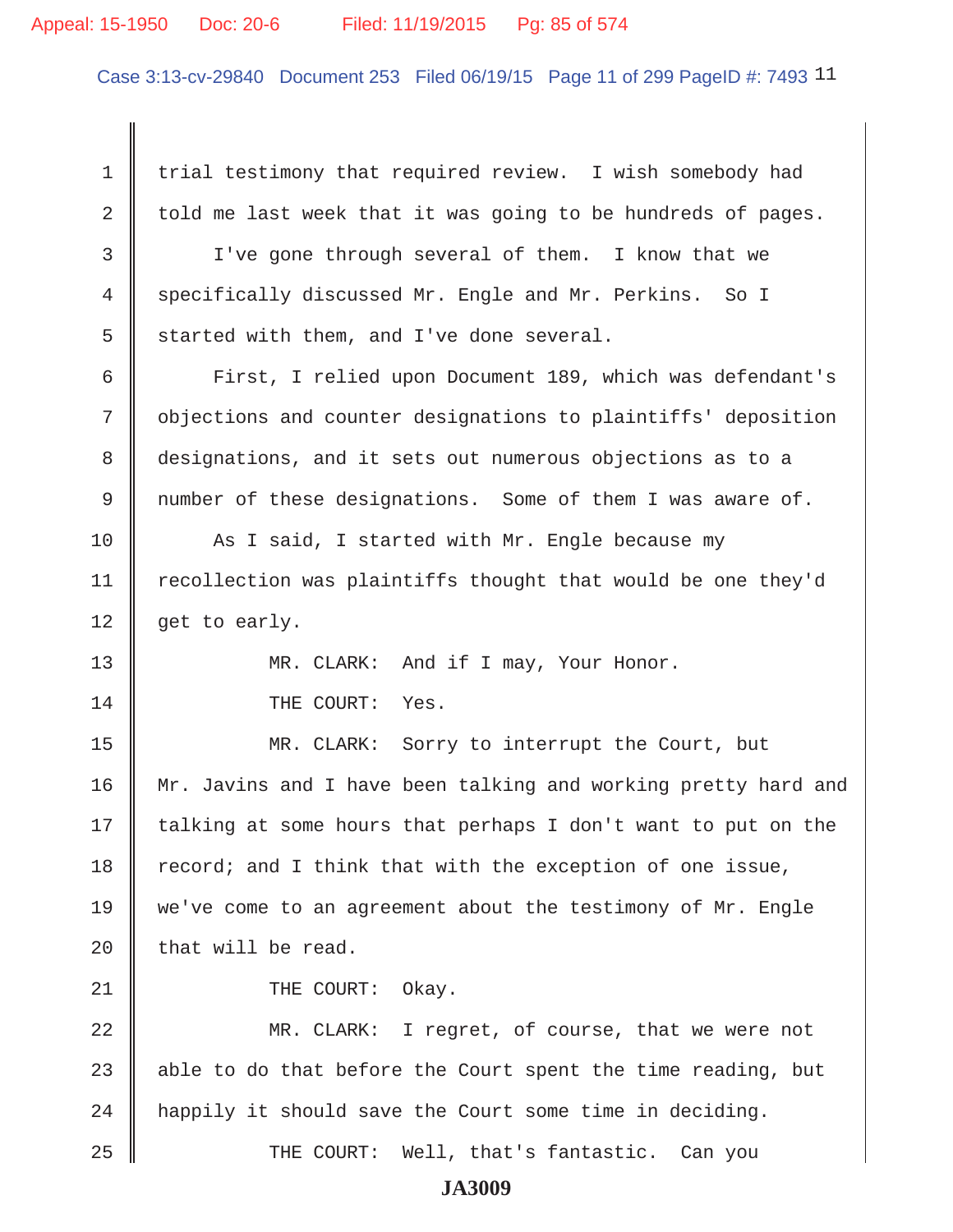#### Appeal: 15-1950 Doc: 20-6 Filed: 11/19/2015 Pg: 85 of 574

Case 3:13-cv-29840 Document 253 Filed 06/19/15 Page 11 of 299 PageID #: 7493 11

1 trial testimony that required review. I wish somebody had 2  $\parallel$  told me last week that it was going to be hundreds of pages. 3 I've gone through several of them. I know that we 4 specifically discussed Mr. Engle and Mr. Perkins. So I  $5 \parallel$  started with them, and I've done several. 6 | First, I relied upon Document 189, which was defendant's 7 | objections and counter designations to plaintiffs' deposition 8 designations, and it sets out numerous objections as to a 9 number of these designations. Some of them I was aware of. 10  $\parallel$  As I said, I started with Mr. Engle because my 11 | recollection was plaintiffs thought that would be one they'd 12  $\parallel$  get to early. 13 MR. CLARK: And if I may, Your Honor. 14 COURT: Yes. 15 MR. CLARK: Sorry to interrupt the Court, but 16 Mr. Javins and I have been talking and working pretty hard and  $17$  talking at some hours that perhaps I don't want to put on the 18  $\parallel$  record; and I think that with the exception of one issue, 19 we've come to an agreement about the testimony of Mr. Engle  $20$  that will be read. 21 || THE COURT: Okay. 22 MR. CLARK: I regret, of course, that we were not 23 able to do that before the Court spent the time reading, but  $24$  | happily it should save the Court some time in deciding. 25 THE COURT: Well, that's fantastic. Can you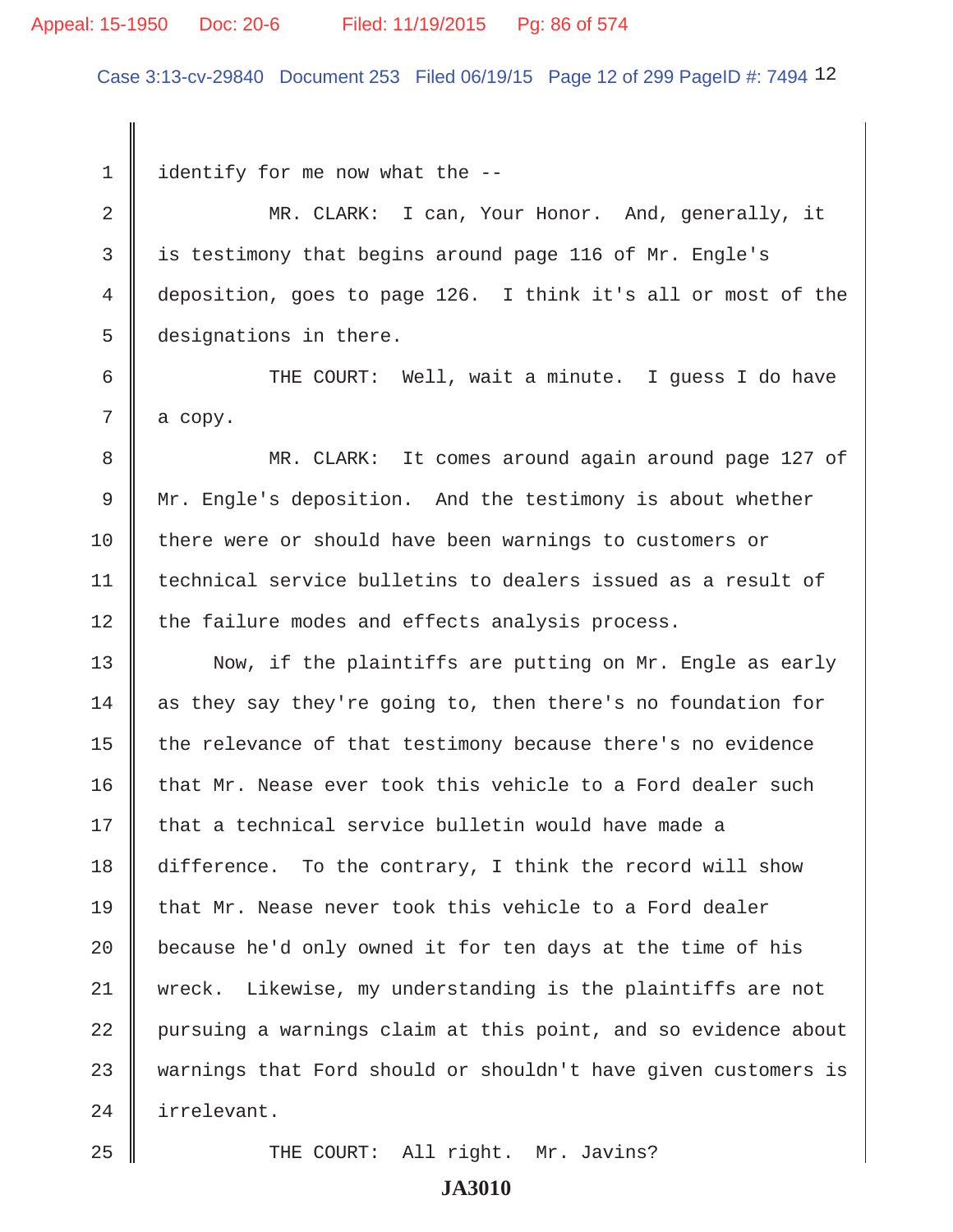#### Appeal: 15-1950 Doc: 20-6 Filed: 11/19/2015 Pg: 86 of 574

Case 3:13-cv-29840 Document 253 Filed 06/19/15 Page 12 of 299 PageID #: 7494 12

 $1 \parallel$  identify for me now what the --

2 MR. CLARK: I can, Your Honor. And, generally, it 3 is testimony that begins around page 116 of Mr. Engle's 4 deposition, goes to page 126. I think it's all or most of the 5 designations in there.

 6 THE COURT: Well, wait a minute. I guess I do have  $7 \parallel$  a copy.

 8 MR. CLARK: It comes around again around page 127 of 9 | Mr. Engle's deposition. And the testimony is about whether 10 there were or should have been warnings to customers or 11 technical service bulletins to dealers issued as a result of 12 the failure modes and effects analysis process.

13 Now, if the plaintiffs are putting on Mr. Engle as early 14 as they say they're going to, then there's no foundation for 15  $\parallel$  the relevance of that testimony because there's no evidence 16  $\parallel$  that Mr. Nease ever took this vehicle to a Ford dealer such  $17$   $\parallel$  that a technical service bulletin would have made a 18 difference. To the contrary, I think the record will show  $19$  that Mr. Nease never took this vehicle to a Ford dealer 20  $\parallel$  because he'd only owned it for ten days at the time of his 21 wreck. Likewise, my understanding is the plaintiffs are not 22 pursuing a warnings claim at this point, and so evidence about 23 warnings that Ford should or shouldn't have given customers is 24 irrelevant.

25 THE COURT: All right. Mr. Javins?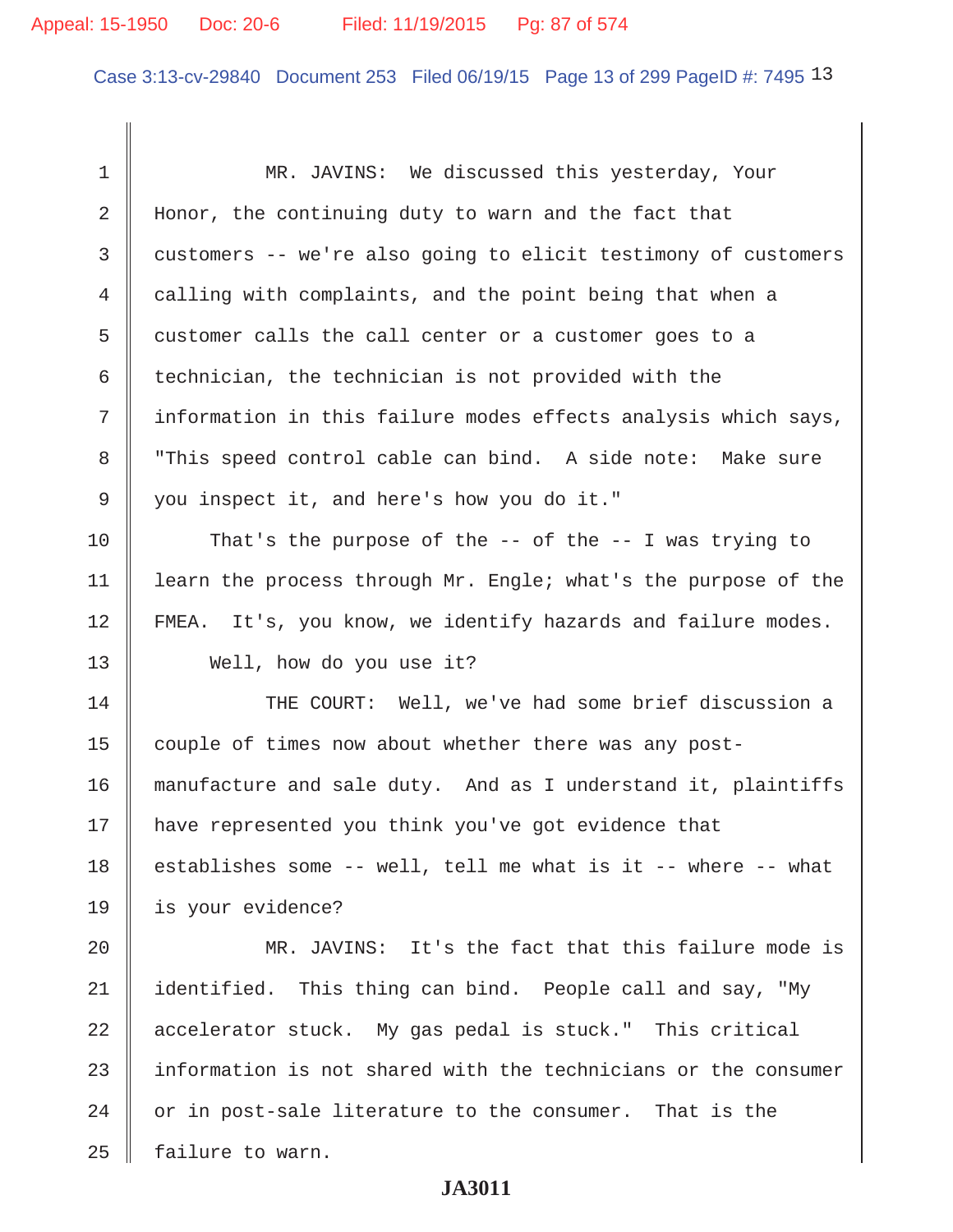## Appeal: 15-1950 Doc: 20-6 Filed: 11/19/2015 Pg: 87 of 574

Case 3:13-cv-29840 Document 253 Filed 06/19/15 Page 13 of 299 PageID #: 7495 13

 1 MR. JAVINS: We discussed this yesterday, Your 2 Honor, the continuing duty to warn and the fact that 3 customers -- we're also going to elicit testimony of customers 4 calling with complaints, and the point being that when a 5 customer calls the call center or a customer goes to a 6 technician, the technician is not provided with the 7 || information in this failure modes effects analysis which says, 8 This speed control cable can bind. A side note: Make sure 9 you inspect it, and here's how you do it." 10 || That's the purpose of the -- of the -- I was trying to 11 | learn the process through Mr. Engle; what's the purpose of the 12 | FMEA. It's, you know, we identify hazards and failure modes. 13 Well, how do you use it? 14 THE COURT: Well, we've had some brief discussion a 15 couple of times now about whether there was any post-16 manufacture and sale duty. And as I understand it, plaintiffs 17 | have represented you think you've got evidence that 18  $\parallel$  establishes some -- well, tell me what is it -- where -- what 19 is your evidence? 20 MR. JAVINS: It's the fact that this failure mode is 21 dentified. This thing can bind. People call and say, "My 22  $\parallel$  accelerator stuck. My gas pedal is stuck." This critical  $23$   $\parallel$  information is not shared with the technicians or the consumer  $24$  | or in post-sale literature to the consumer. That is the 25 | failure to warn.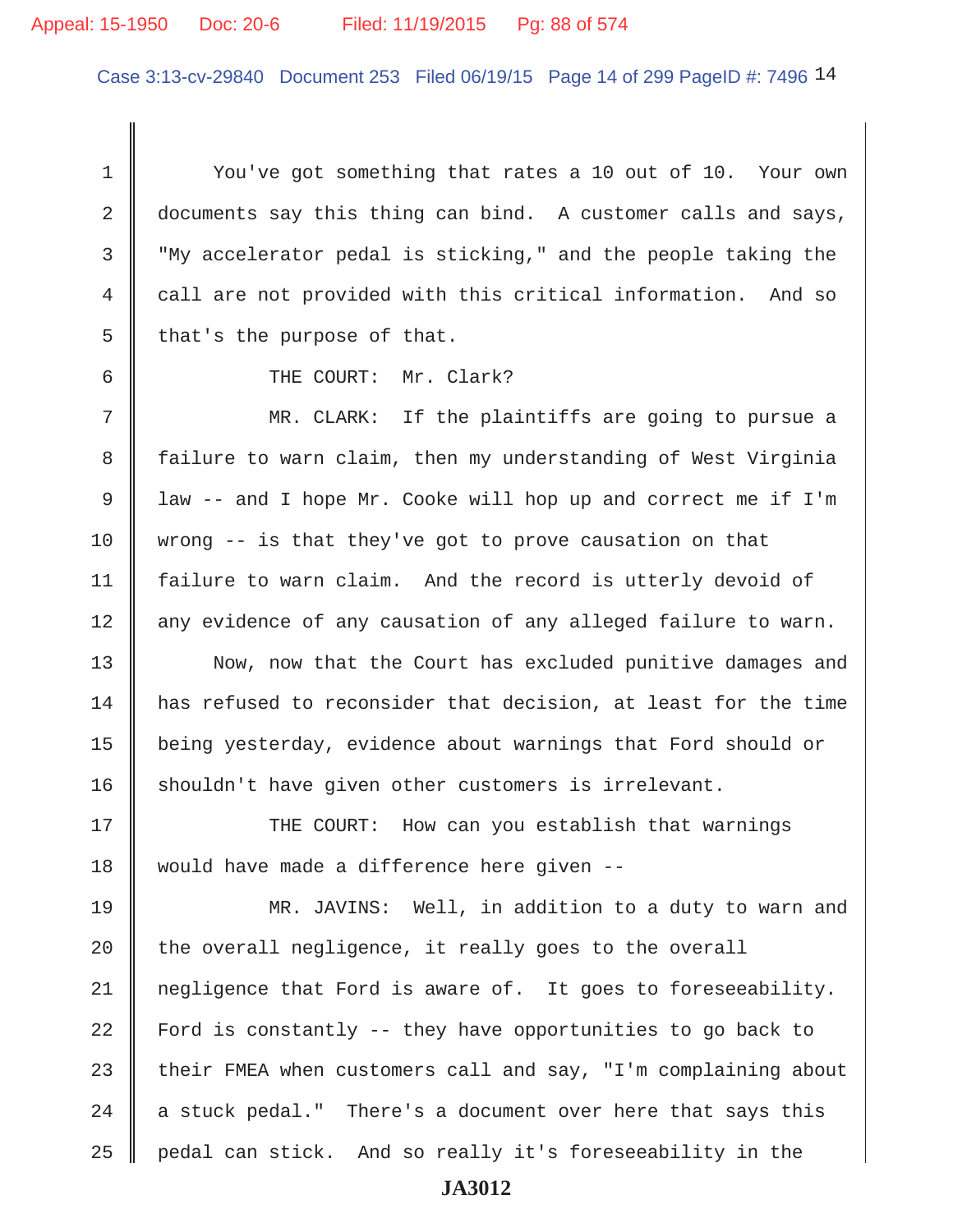## Appeal: 15-1950 Doc: 20-6 Filed: 11/19/2015 Pg: 88 of 574

Case 3:13-cv-29840 Document 253 Filed 06/19/15 Page 14 of 299 PageID #: 7496 14

 1 You've got something that rates a 10 out of 10. Your own 2 documents say this thing can bind. A customer calls and says, 3 "My accelerator pedal is sticking," and the people taking the 4 call are not provided with this critical information. And so  $5 \parallel$  that's the purpose of that.

6 GURT: Mr. Clark?

 7 MR. CLARK: If the plaintiffs are going to pursue a 8 failure to warn claim, then my understanding of West Virginia 9 | law -- and I hope Mr. Cooke will hop up and correct me if I'm 10 wrong  $-$  is that they've got to prove causation on that 11 | failure to warn claim. And the record is utterly devoid of 12 any evidence of any causation of any alleged failure to warn.

13 Now, now that the Court has excluded punitive damages and 14 has refused to reconsider that decision, at least for the time 15 being yesterday, evidence about warnings that Ford should or 16 shouldn't have given other customers is irrelevant.

17 THE COURT: How can you establish that warnings 18 would have made a difference here given --

19 MR. JAVINS: Well, in addition to a duty to warn and  $20$  | the overall negligence, it really goes to the overall 21 | negligence that Ford is aware of. It goes to foreseeability. 22 Ford is constantly -- they have opportunities to go back to 23 their FMEA when customers call and say, "I'm complaining about 24  $\parallel$  a stuck pedal." There's a document over here that says this  $25$   $\parallel$  pedal can stick. And so really it's foreseeability in the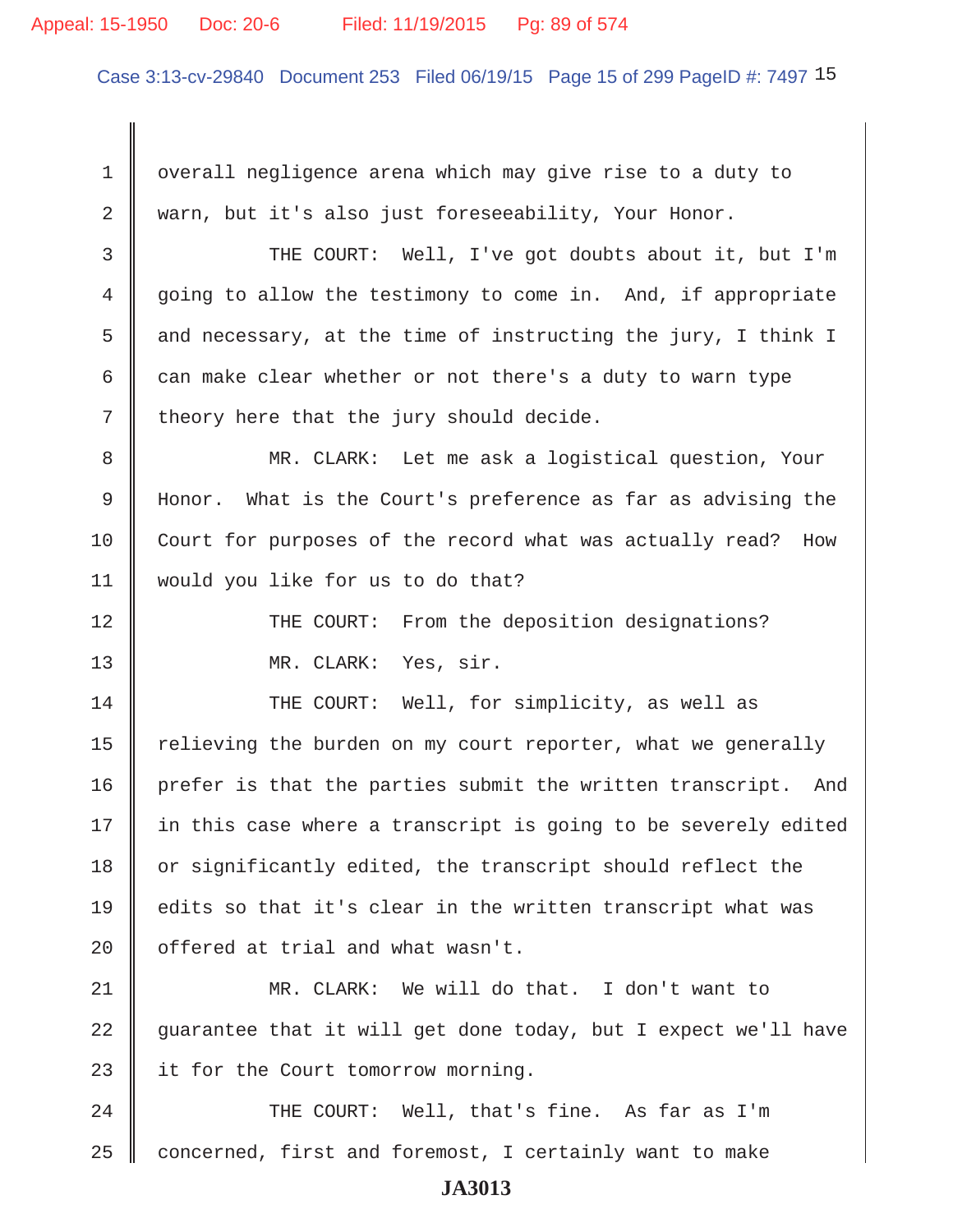#### Appeal: 15-1950 Doc: 20-6 Filed: 11/19/2015 Pg: 89 of 574

Case 3:13-cv-29840 Document 253 Filed 06/19/15 Page 15 of 299 PageID #: 7497 15

 1 overall negligence arena which may give rise to a duty to 2 warn, but it's also just foreseeability, Your Honor.

3 THE COURT: Well, I've got doubts about it, but I'm 4 going to allow the testimony to come in. And, if appropriate 5  $\parallel$  and necessary, at the time of instructing the jury, I think I 6 can make clear whether or not there's a duty to warn type  $7 \parallel$  theory here that the jury should decide.

 8 MR. CLARK: Let me ask a logistical question, Your 9 Honor. What is the Court's preference as far as advising the 10 Court for purposes of the record what was actually read? How 11 would you like for us to do that?

12 THE COURT: From the deposition designations? 13 || MR. CLARK: Yes, sir.

14 THE COURT: Well, for simplicity, as well as 15  $\parallel$  relieving the burden on my court reporter, what we generally 16 prefer is that the parties submit the written transcript. And  $17$  | in this case where a transcript is going to be severely edited 18 or significantly edited, the transcript should reflect the 19 edits so that it's clear in the written transcript what was 20 | offered at trial and what wasn't.

21 MR. CLARK: We will do that. I don't want to 22 guarantee that it will get done today, but I expect we'll have 23 | it for the Court tomorrow morning.

24 || THE COURT: Well, that's fine. As far as I'm  $25$  concerned, first and foremost, I certainly want to make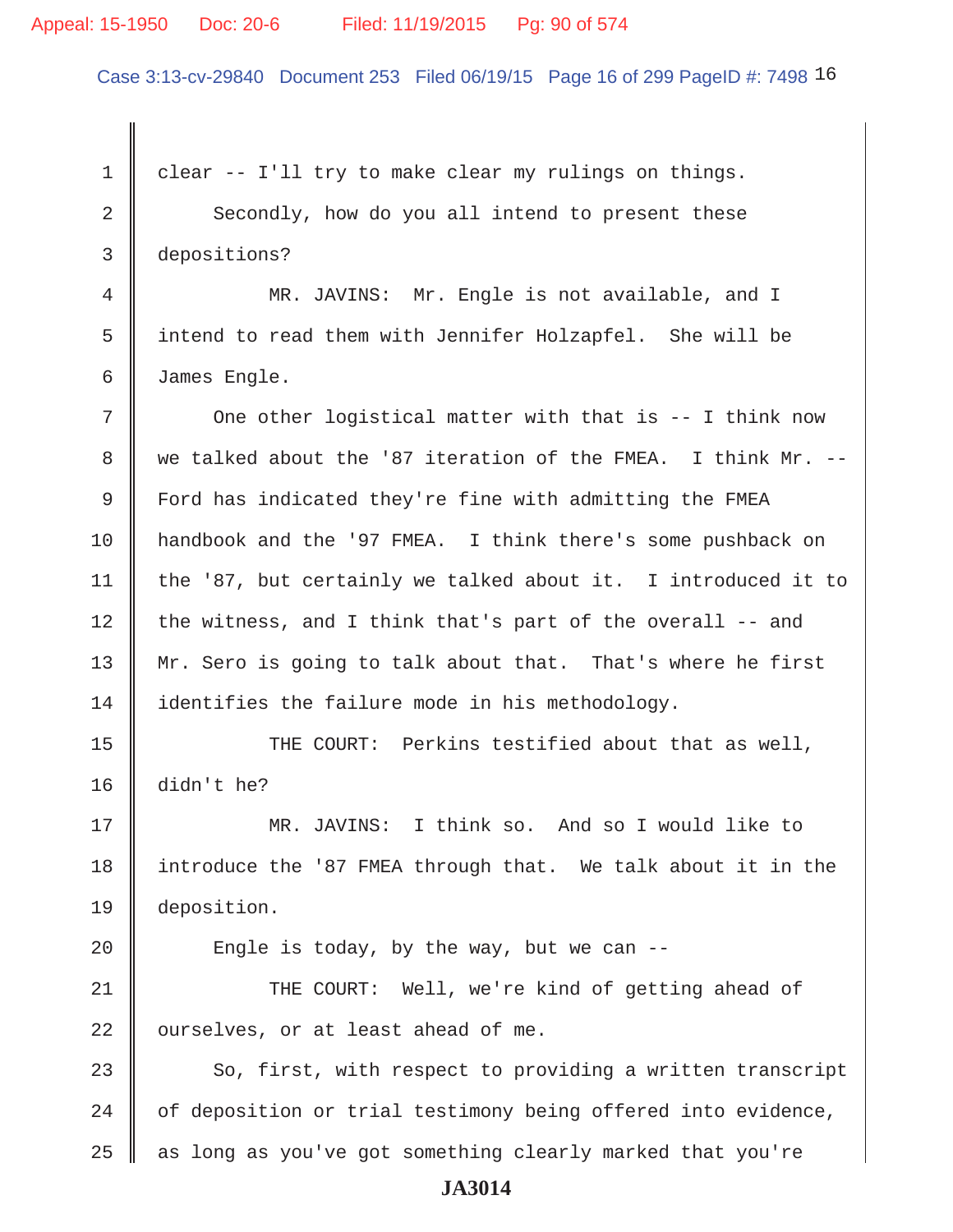#### Appeal: 15-1950 Doc: 20-6 Filed: 11/19/2015 Pg: 90 of 574

Case 3:13-cv-29840 Document 253 Filed 06/19/15 Page 16 of 299 PageID #: 7498 16

 $1 \parallel$  clear -- I'll try to make clear my rulings on things. 2 Secondly, how do you all intend to present these 3 depositions? 4 MR. JAVINS: Mr. Engle is not available, and I 5 intend to read them with Jennifer Holzapfel. She will be 6 James Engle.  $7$   $\parallel$  One other logistical matter with that is -- I think now 8 we talked about the '87 iteration of the FMEA. I think Mr.  $--$  9 Ford has indicated they're fine with admitting the FMEA 10 handbook and the '97 FMEA. I think there's some pushback on 11 | the '87, but certainly we talked about it. I introduced it to 12 the witness, and I think that's part of the overall  $-$  and 13 Mr. Sero is going to talk about that. That's where he first 14 identifies the failure mode in his methodology. 15 || THE COURT: Perkins testified about that as well, 16 didn't he? 17 MR. JAVINS: I think so. And so I would like to 18 introduce the '87 FMEA through that. We talk about it in the 19 deposition. 20  $\parallel$  Engle is today, by the way, but we can --21 THE COURT: Well, we're kind of getting ahead of  $22$  | ourselves, or at least ahead of me. 23  $\parallel$  So, first, with respect to providing a written transcript 24  $\parallel$  of deposition or trial testimony being offered into evidence,  $25$   $\parallel$  as long as you've got something clearly marked that you're **JA3014**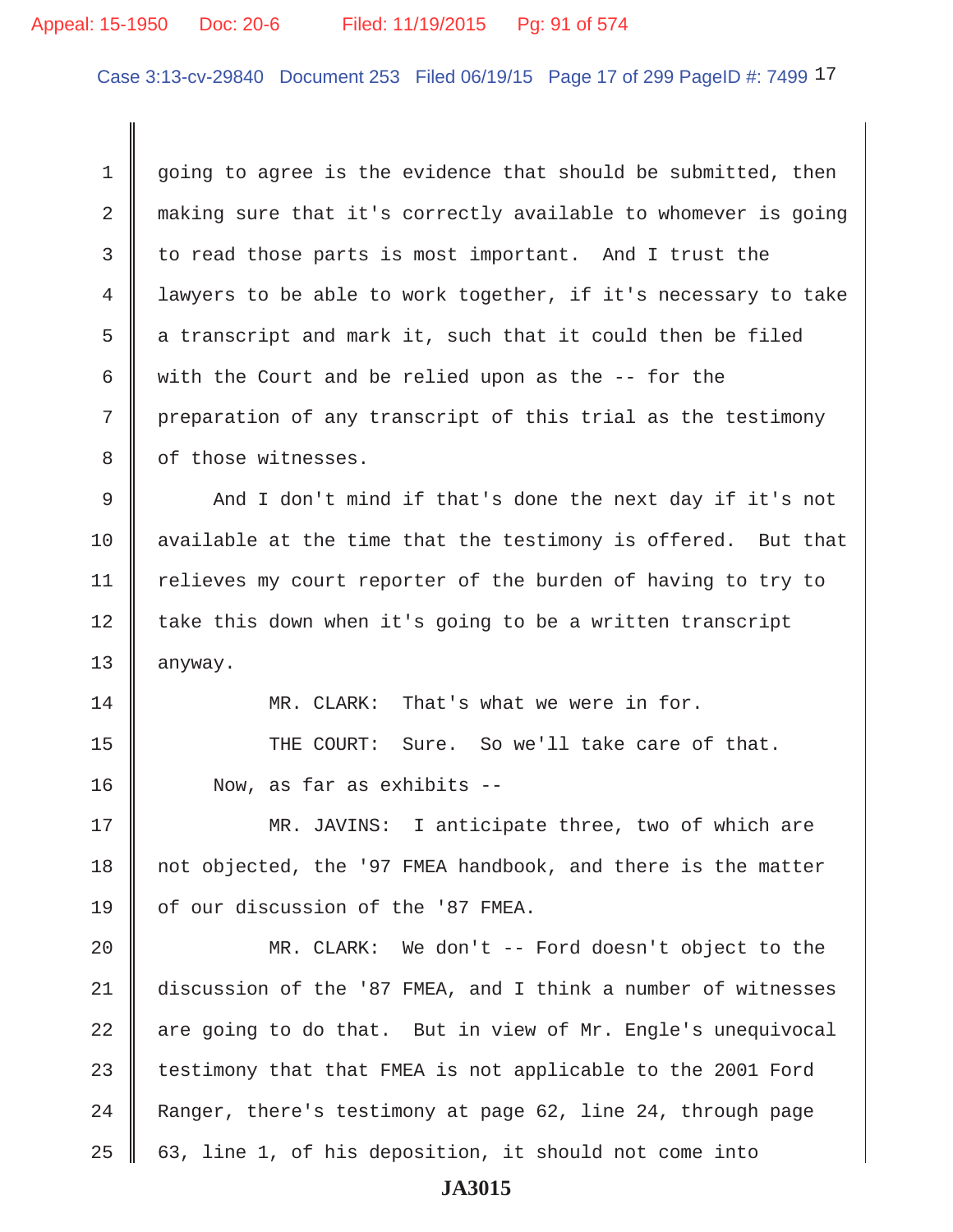## Appeal: 15-1950 Doc: 20-6 Filed: 11/19/2015 Pg: 91 of 574

Case 3:13-cv-29840 Document 253 Filed 06/19/15 Page 17 of 299 PageID #: 7499 17

 $1 \parallel$  going to agree is the evidence that should be submitted, then 2 making sure that it's correctly available to whomever is going 3 to read those parts is most important. And I trust the 4 lawyers to be able to work together, if it's necessary to take 5 a transcript and mark it, such that it could then be filed 6  $\parallel$  with the Court and be relied upon as the -- for the 7 preparation of any transcript of this trial as the testimony 8 | of those witnesses. 9 And I don't mind if that's done the next day if it's not 10  $\parallel$  available at the time that the testimony is offered. But that

11 | relieves my court reporter of the burden of having to try to  $12$  take this down when it's going to be a written transcript 13 | anyway.

14 **MR. CLARK:** That's what we were in for.

15 THE COURT: Sure. So we'll take care of that. 16 Now, as far as exhibits --

17 MR. JAVINS: I anticipate three, two of which are 18 not objected, the '97 FMEA handbook, and there is the matter 19 | of our discussion of the '87 FMEA.

20 MR. CLARK: We don't -- Ford doesn't object to the 21 discussion of the '87 FMEA, and I think a number of witnesses  $22$  are going to do that. But in view of Mr. Engle's unequivocal 23  $\parallel$  testimony that that FMEA is not applicable to the 2001 Ford 24 Ranger, there's testimony at page 62, line 24, through page 25 63, line 1, of his deposition, it should not come into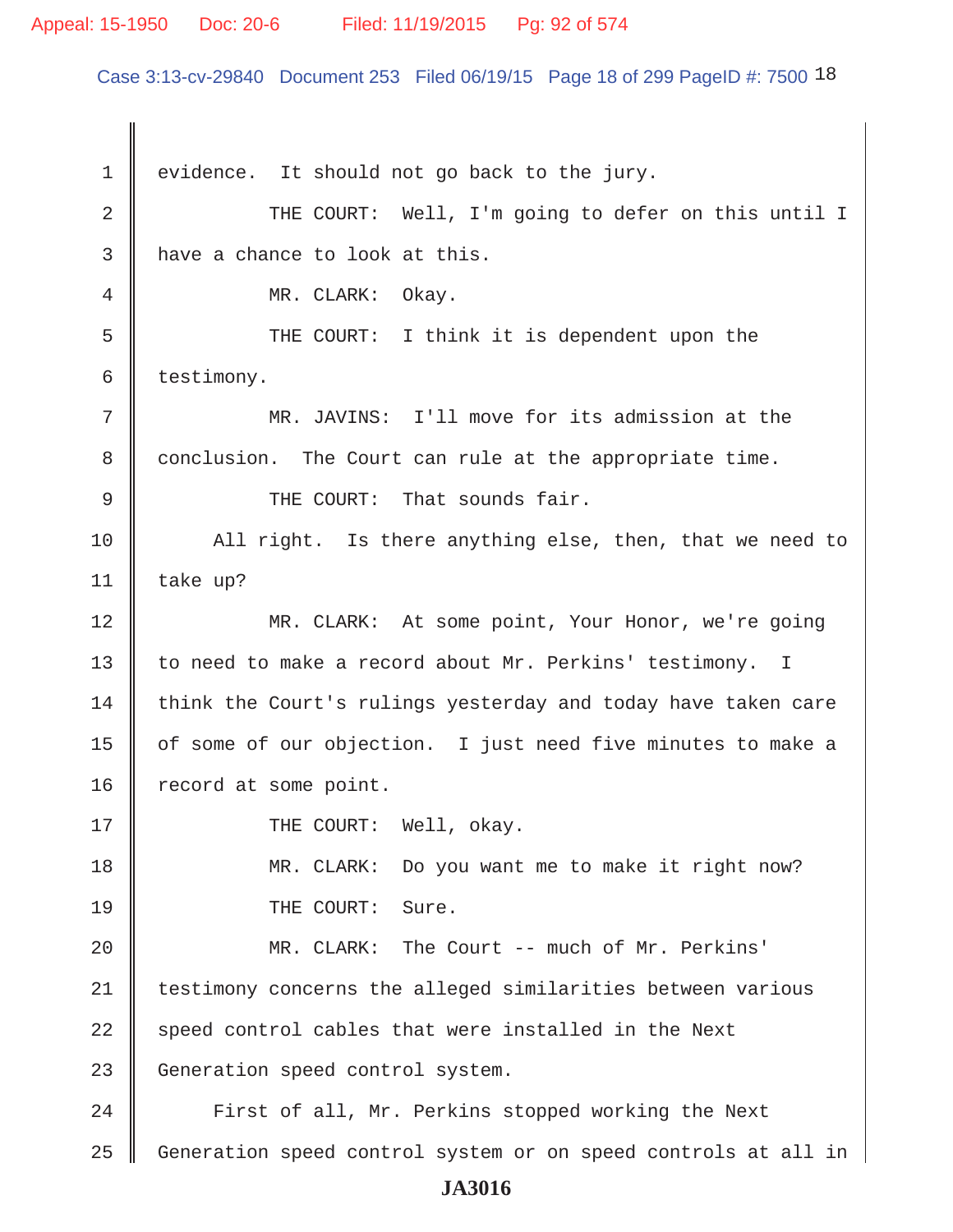## Appeal: 15-1950 Doc: 20-6 Filed: 11/19/2015 Pg: 92 of 574

Case 3:13-cv-29840 Document 253 Filed 06/19/15 Page 18 of 299 PageID #: 7500 18

 $1 \parallel$  evidence. It should not go back to the jury. 2 THE COURT: Well, I'm going to defer on this until I  $3$  | have a chance to look at this. 4 MR. CLARK: Okay. 5 Supersuper THE COURT: I think it is dependent upon the  $6 \parallel$  testimony. 7 MR. JAVINS: I'll move for its admission at the 8 conclusion. The Court can rule at the appropriate time. 9 THE COURT: That sounds fair. 10  $\parallel$  All right. Is there anything else, then, that we need to 11 take up? 12 MR. CLARK: At some point, Your Honor, we're going 13 to need to make a record about Mr. Perkins' testimony. I 14 think the Court's rulings yesterday and today have taken care 15 | of some of our objection. I just need five minutes to make a 16 record at some point. 17 || THE COURT: Well, okay. 18 MR. CLARK: Do you want me to make it right now? 19 || THE COURT: Sure. 20 MR. CLARK: The Court -- much of Mr. Perkins' 21 testimony concerns the alleged similarities between various 22 speed control cables that were installed in the Next 23 Generation speed control system. 24 | First of all, Mr. Perkins stopped working the Next 25 Generation speed control system or on speed controls at all in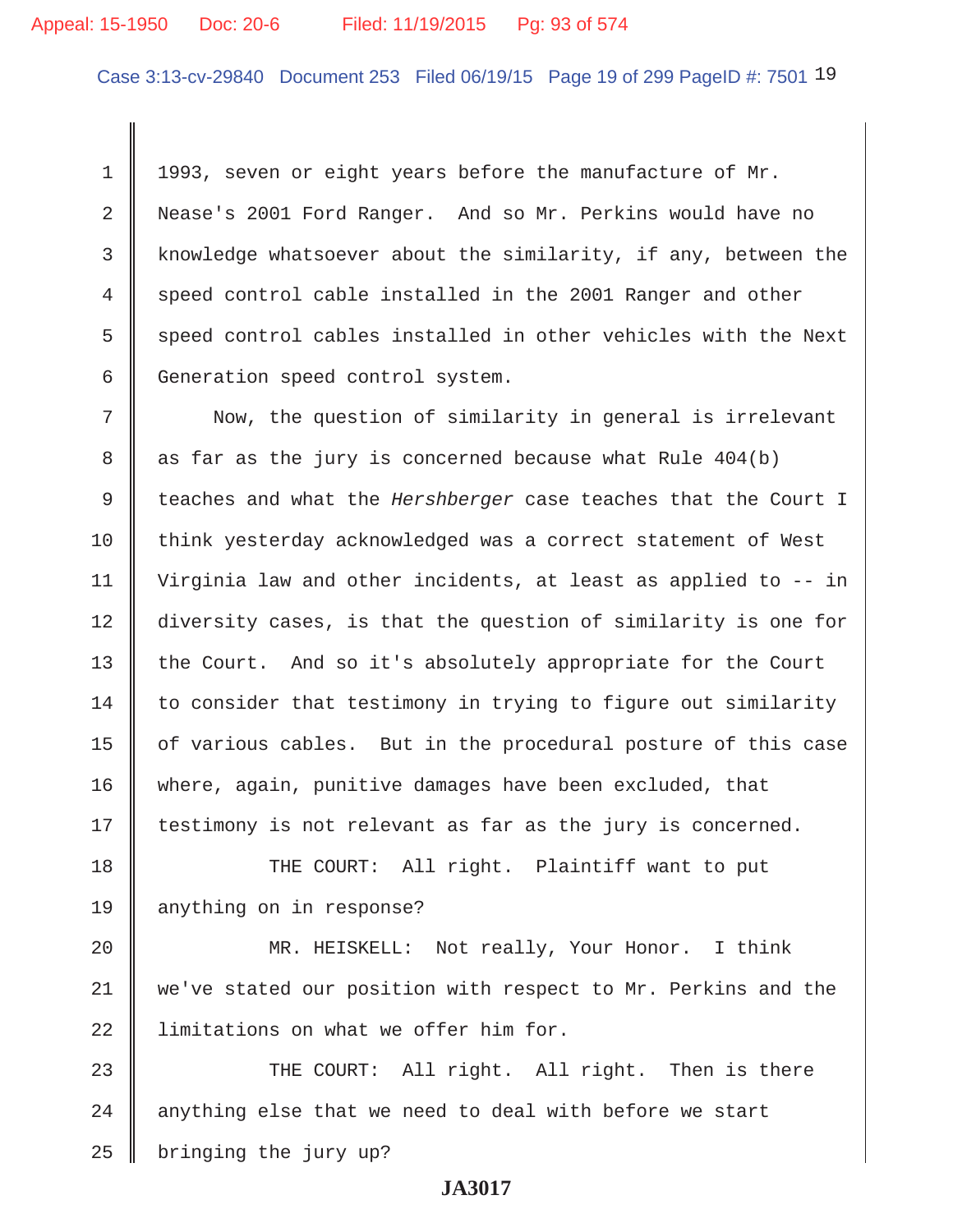## Appeal: 15-1950 Doc: 20-6 Filed: 11/19/2015 Pg: 93 of 574

Case 3:13-cv-29840 Document 253 Filed 06/19/15 Page 19 of 299 PageID #: 7501 19

1 | 1993, seven or eight years before the manufacture of Mr. 2 Nease's 2001 Ford Ranger. And so Mr. Perkins would have no 3 knowledge whatsoever about the similarity, if any, between the 4 speed control cable installed in the 2001 Ranger and other  $5$  speed control cables installed in other vehicles with the Next  $6 \parallel$  Generation speed control system.

 7 Now, the question of similarity in general is irrelevant  $8 \parallel$  as far as the jury is concerned because what Rule 404(b) 9 teaches and what the *Hershberger* case teaches that the Court I 10 think yesterday acknowledged was a correct statement of West 11 Virginia law and other incidents, at least as applied to -- in 12 diversity cases, is that the question of similarity is one for 13 the Court. And so it's absolutely appropriate for the Court  $14$  to consider that testimony in trying to figure out similarity 15 | of various cables. But in the procedural posture of this case 16 where, again, punitive damages have been excluded, that 17 | testimony is not relevant as far as the jury is concerned.

18 THE COURT: All right. Plaintiff want to put 19 anything on in response?

20 | MR. HEISKELL: Not really, Your Honor. I think 21 we've stated our position with respect to Mr. Perkins and the  $22$   $\parallel$  limitations on what we offer him for.

23 THE COURT: All right. All right. Then is there  $24$   $\parallel$  anything else that we need to deal with before we start  $25$  | bringing the jury up?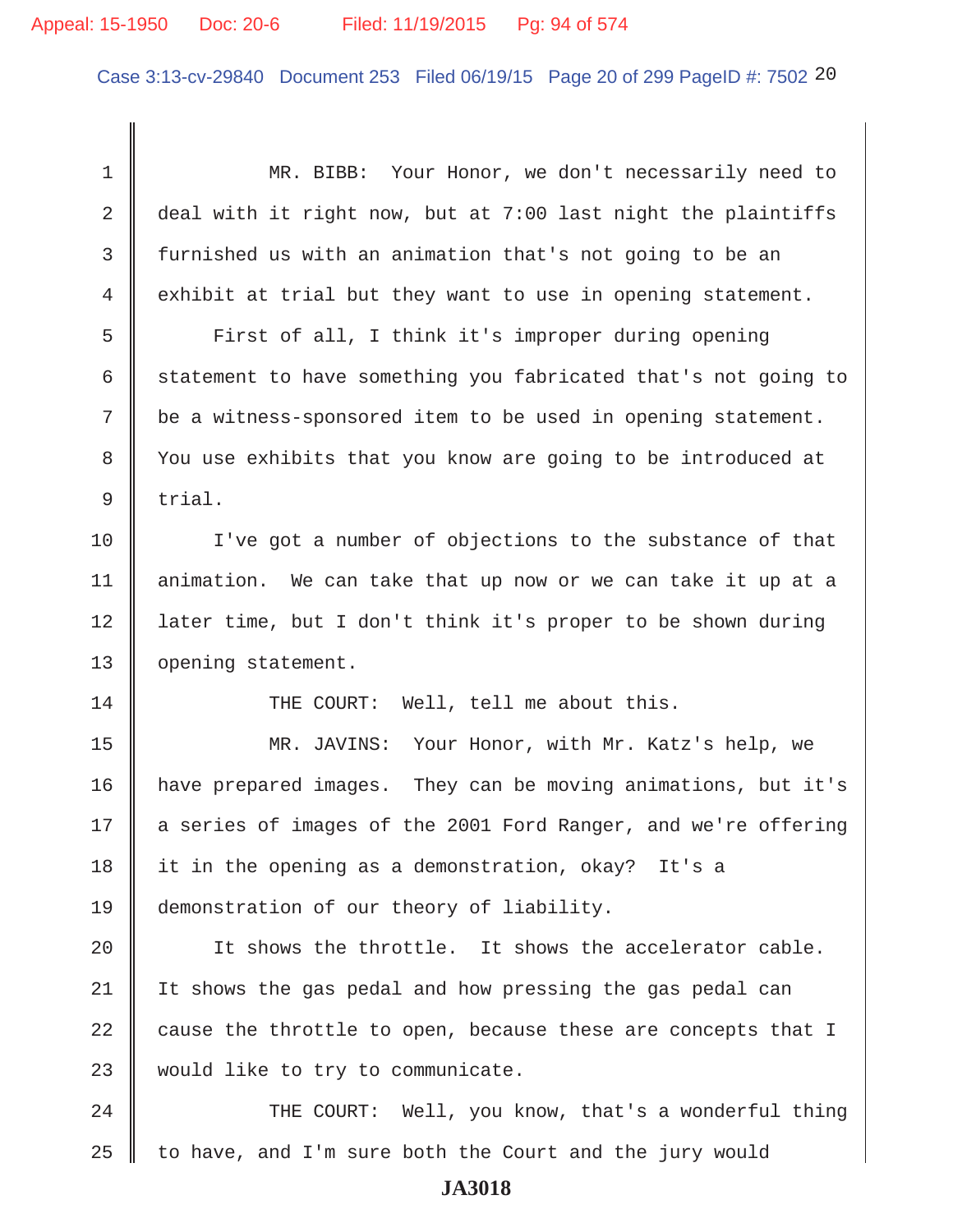## Appeal: 15-1950 Doc: 20-6 Filed: 11/19/2015 Pg: 94 of 574

Case 3:13-cv-29840 Document 253 Filed 06/19/15 Page 20 of 299 PageID #: 7502 20

 1 MR. BIBB: Your Honor, we don't necessarily need to 2 deal with it right now, but at 7:00 last night the plaintiffs 3 furnished us with an animation that's not going to be an 4 exhibit at trial but they want to use in opening statement. 5 First of all, I think it's improper during opening 6 statement to have something you fabricated that's not going to 7 be a witness-sponsored item to be used in opening statement. 8 You use exhibits that you know are going to be introduced at  $9 \parallel$  trial. 10 Ive got a number of objections to the substance of that 11 | animation. We can take that up now or we can take it up at a 12 later time, but I don't think it's proper to be shown during 13 | opening statement. 14 THE COURT: Well, tell me about this. 15 || MR. JAVINS: Your Honor, with Mr. Katz's help, we 16 have prepared images. They can be moving animations, but it's 17 | a series of images of the 2001 Ford Ranger, and we're offering 18 it in the opening as a demonstration, okay? It's a 19 demonstration of our theory of liability. 20  $\parallel$  It shows the throttle. It shows the accelerator cable. 21 | It shows the gas pedal and how pressing the gas pedal can 22 cause the throttle to open, because these are concepts that I 23 | would like to try to communicate. 24 THE COURT: Well, you know, that's a wonderful thing  $25$  to have, and I'm sure both the Court and the jury would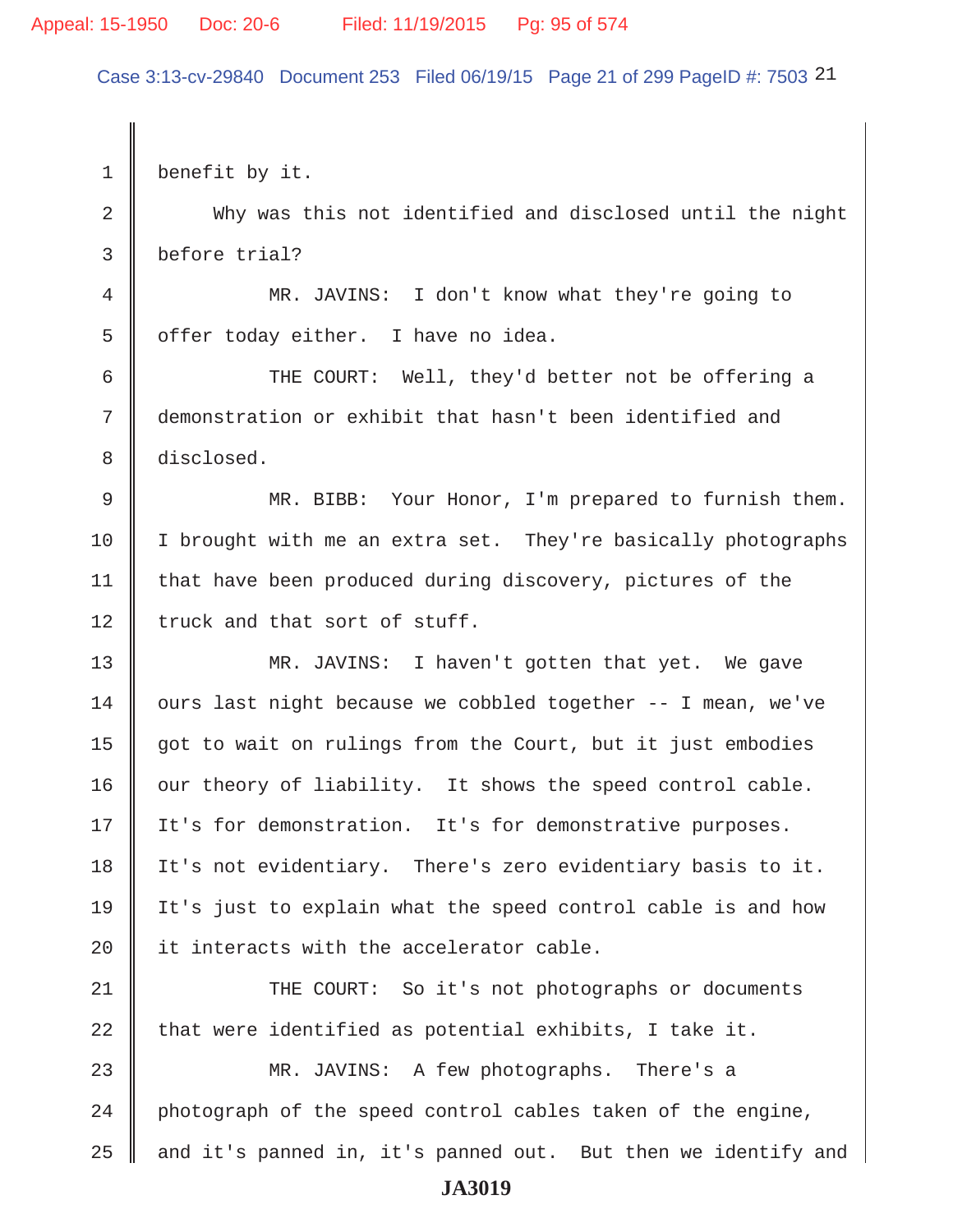#### Appeal: 15-1950 Doc: 20-6 Filed: 11/19/2015 Pg: 95 of 574

Case 3:13-cv-29840 Document 253 Filed 06/19/15 Page 21 of 299 PageID #: 7503 21

1 benefit by it. 2 Why was this not identified and disclosed until the night 3 before trial? 4 MR. JAVINS: I don't know what they're going to 5 | offer today either. I have no idea. 6 THE COURT: Well, they'd better not be offering a 7 demonstration or exhibit that hasn't been identified and 8 disclosed. 9 MR. BIBB: Your Honor, I'm prepared to furnish them. 10 I brought with me an extra set. They're basically photographs 11  $\parallel$  that have been produced during discovery, pictures of the 12  $\parallel$  truck and that sort of stuff. 13 MR. JAVINS: I haven't gotten that yet. We gave  $14$  ours last night because we cobbled together  $-$ - I mean, we've 15 got to wait on rulings from the Court, but it just embodies  $16$  our theory of liability. It shows the speed control cable. 17 | It's for demonstration. It's for demonstrative purposes. 18 It's not evidentiary. There's zero evidentiary basis to it. 19 It's just to explain what the speed control cable is and how 20  $\parallel$  it interacts with the accelerator cable. 21 THE COURT: So it's not photographs or documents 22 that were identified as potential exhibits, I take it. 23 MR. JAVINS: A few photographs. There's a 24 photograph of the speed control cables taken of the engine, 25  $\parallel$  and it's panned in, it's panned out. But then we identify and **JA3019**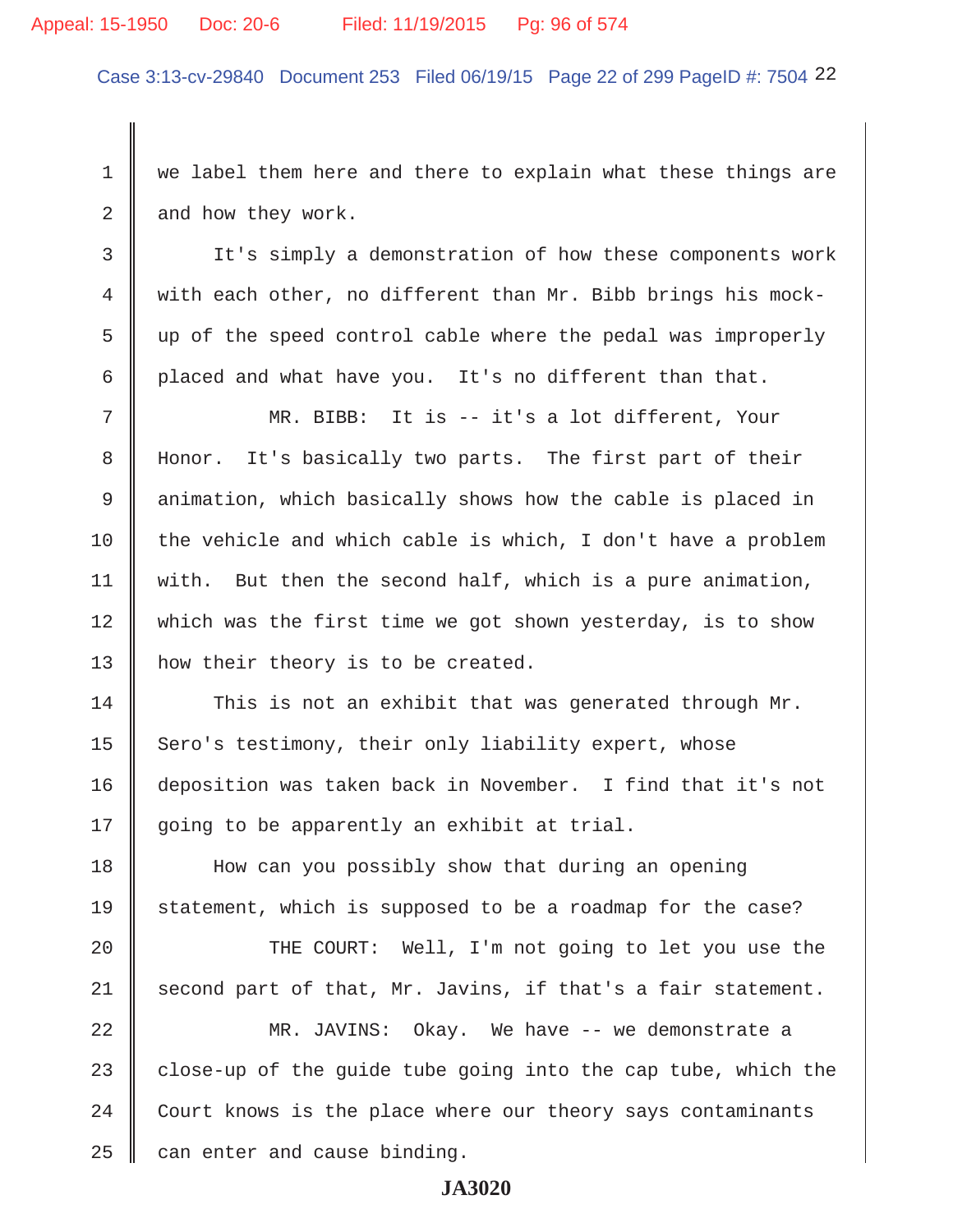#### Appeal: 15-1950 Doc: 20-6 Filed: 11/19/2015 Pg: 96 of 574

Case 3:13-cv-29840 Document 253 Filed 06/19/15 Page 22 of 299 PageID #: 7504 22

1 we label them here and there to explain what these things are  $2 \parallel$  and how they work.

 3 It's simply a demonstration of how these components work 4 with each other, no different than Mr. Bibb brings his mock-  $5 \parallel$  up of the speed control cable where the pedal was improperly 6 placed and what have you. It's no different than that.

 7 MR. BIBB: It is -- it's a lot different, Your 8 | Honor. It's basically two parts. The first part of their 9 animation, which basically shows how the cable is placed in 10 the vehicle and which cable is which, I don't have a problem 11 | with. But then the second half, which is a pure animation, 12 Which was the first time we got shown yesterday, is to show 13 | how their theory is to be created.

14 This is not an exhibit that was generated through Mr. 15 Sero's testimony, their only liability expert, whose 16 deposition was taken back in November. I find that it's not 17 || going to be apparently an exhibit at trial.

18 How can you possibly show that during an opening 19 Statement, which is supposed to be a roadmap for the case?

20 || THE COURT: Well, I'm not going to let you use the 21 second part of that, Mr. Javins, if that's a fair statement.

22 MR. JAVINS: Okay. We have -- we demonstrate a 23 close-up of the quide tube going into the cap tube, which the  $24$  Court knows is the place where our theory says contaminants  $25$  can enter and cause binding.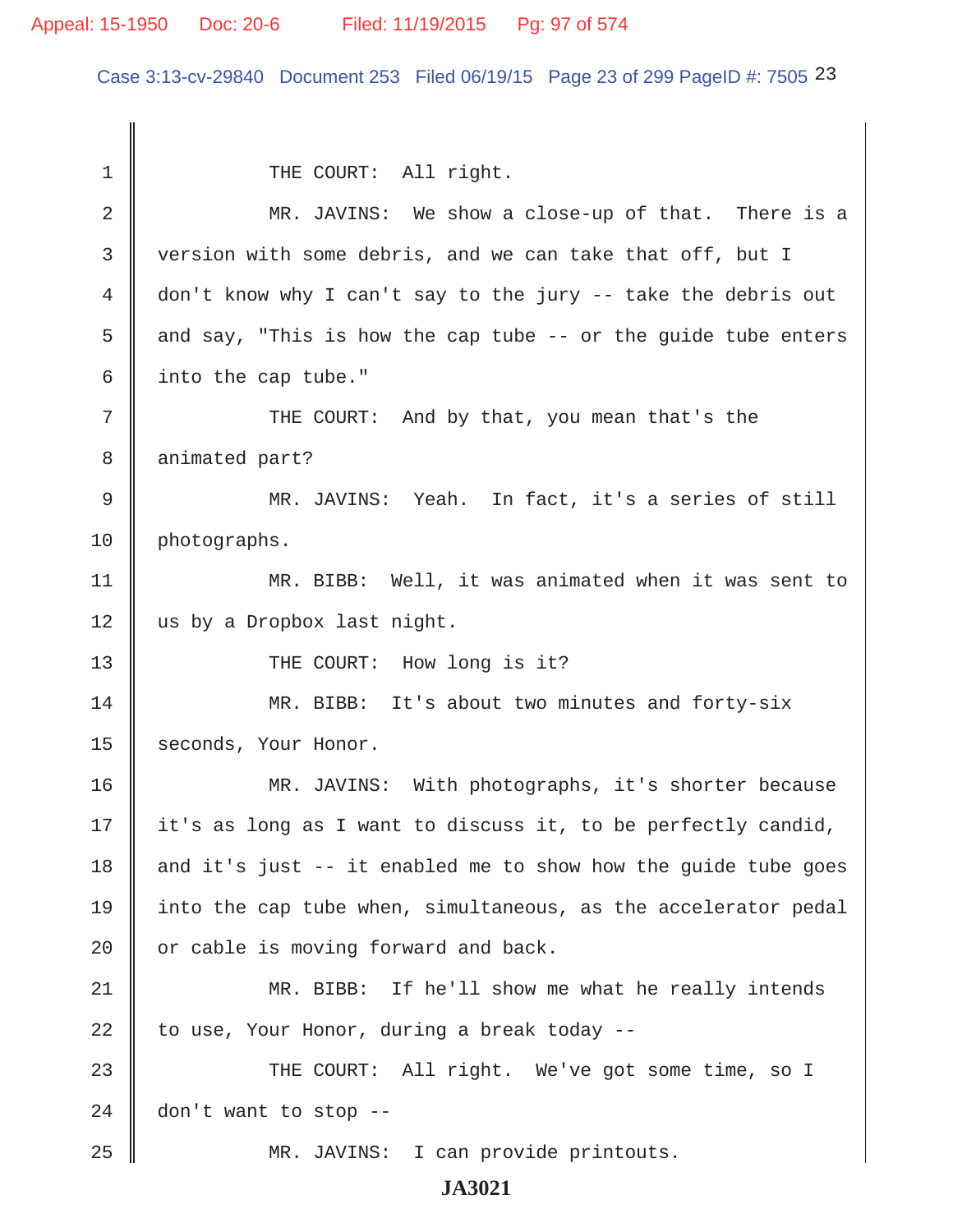### Appeal: 15-1950 Doc: 20-6 Filed: 11/19/2015 Pg: 97 of 574

Case 3:13-cv-29840 Document 253 Filed 06/19/15 Page 23 of 299 PageID #: 7505 23

1 || THE COURT: All right. 2 MR. JAVINS: We show a close-up of that. There is a 3 version with some debris, and we can take that off, but I 4 don't know why I can't say to the jury -- take the debris out 5 and say, "This is how the cap tube -- or the quide tube enters  $6 \parallel$  into the cap tube." 7 || THE COURT: And by that, you mean that's the 8 animated part? 9 MR. JAVINS: Yeah. In fact, it's a series of still 10 | photographs. 11 MR. BIBB: Well, it was animated when it was sent to 12 us by a Dropbox last night. 13 THE COURT: How long is it? 14 || MR. BIBB: It's about two minutes and forty-six 15 seconds, Your Honor. 16 MR. JAVINS: With photographs, it's shorter because  $17 \parallel$  it's as long as I want to discuss it, to be perfectly candid, 18  $\parallel$  and it's just -- it enabled me to show how the guide tube goes 19 into the cap tube when, simultaneous, as the accelerator pedal  $20$  | or cable is moving forward and back. 21 MR. BIBB: If he'll show me what he really intends 22 to use, Your Honor, during a break today  $-$ 23 THE COURT: All right. We've got some time, so I 24  $\parallel$  don't want to stop --25 MR. JAVINS: I can provide printouts.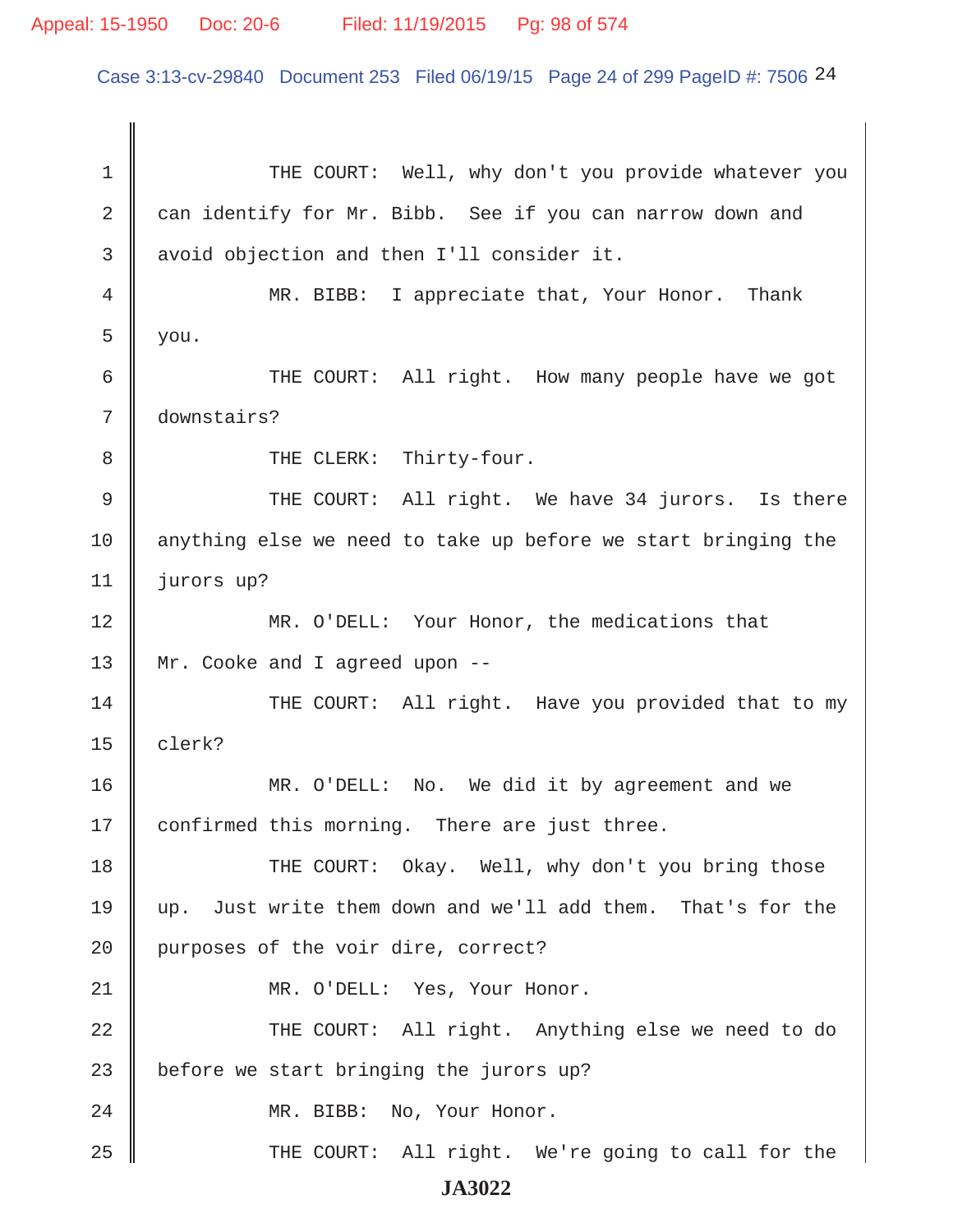## Appeal: 15-1950 Doc: 20-6 Filed: 11/19/2015 Pg: 98 of 574

Case 3:13-cv-29840 Document 253 Filed 06/19/15 Page 24 of 299 PageID #: 7506 24

1 THE COURT: Well, why don't you provide whatever you 2 can identify for Mr. Bibb. See if you can narrow down and 3 || avoid objection and then I'll consider it. 4 MR. BIBB: I appreciate that, Your Honor. Thank  $5 \parallel$  you. 6 THE COURT: All right. How many people have we got 7 downstairs? 8 || THE CLERK: Thirty-four. 9 || THE COURT: All right. We have 34 jurors. Is there 10 anything else we need to take up before we start bringing the 11 jurors up? 12 MR. O'DELL: Your Honor, the medications that 13 || Mr. Cooke and I agreed upon --14 THE COURT: All right. Have you provided that to my  $15$  clerk? 16 MR. O'DELL: No. We did it by agreement and we 17 | confirmed this morning. There are just three. 18 THE COURT: Okay. Well, why don't you bring those 19 up. Just write them down and we'll add them. That's for the 20 | purposes of the voir dire, correct? 21 || MR. O'DELL: Yes, Your Honor. 22 THE COURT: All right. Anything else we need to do 23  $\parallel$  before we start bringing the jurors up? 24 MR. BIBB: No, Your Honor. 25 THE COURT: All right. We're going to call for the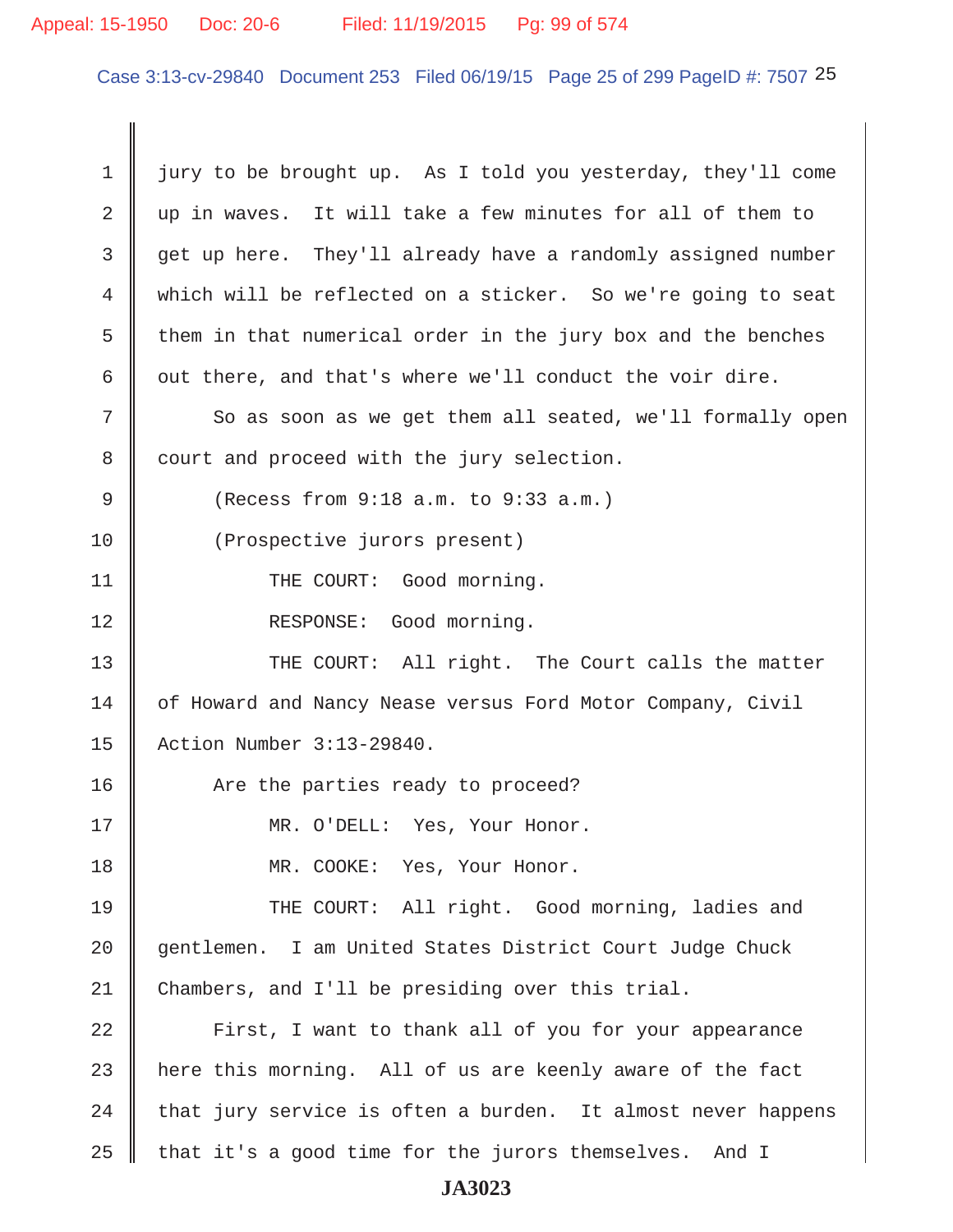# Appeal: 15-1950 Doc: 20-6 Filed: 11/19/2015 Pg: 99 of 574

Case 3:13-cv-29840 Document 253 Filed 06/19/15 Page 25 of 299 PageID #: 7507 25

| $\mathbf 1$ | jury to be brought up. As I told you yesterday, they'll come |
|-------------|--------------------------------------------------------------|
| 2           | up in waves. It will take a few minutes for all of them to   |
| 3           | get up here. They'll already have a randomly assigned number |
| 4           | which will be reflected on a sticker. So we're going to seat |
| 5           | them in that numerical order in the jury box and the benches |
| 6           | out there, and that's where we'll conduct the voir dire.     |
| 7           | So as soon as we get them all seated, we'll formally open    |
| 8           | court and proceed with the jury selection.                   |
| 9           | (Recess from 9:18 a.m. to 9:33 a.m.)                         |
| 10          | (Prospective jurors present)                                 |
| 11          | THE COURT: Good morning.                                     |
| 12          | RESPONSE: Good morning.                                      |
| 13          | THE COURT: All right. The Court calls the matter             |
| 14          | of Howard and Nancy Nease versus Ford Motor Company, Civil   |
| 15          | Action Number 3:13-29840.                                    |
| 16          | Are the parties ready to proceed?                            |
| 17          | MR. O'DELL: Yes, Your Honor.                                 |
| 18          | MR. COOKE: Yes, Your Honor.                                  |
| 19          | THE COURT: All right. Good morning, ladies and               |
| 20          | gentlemen. I am United States District Court Judge Chuck     |
| 21          | Chambers, and I'll be presiding over this trial.             |
| 22          | First, I want to thank all of you for your appearance        |
| 23          | here this morning. All of us are keenly aware of the fact    |
| 24          | that jury service is often a burden. It almost never happens |
| 25          | that it's a good time for the jurors themselves. And I       |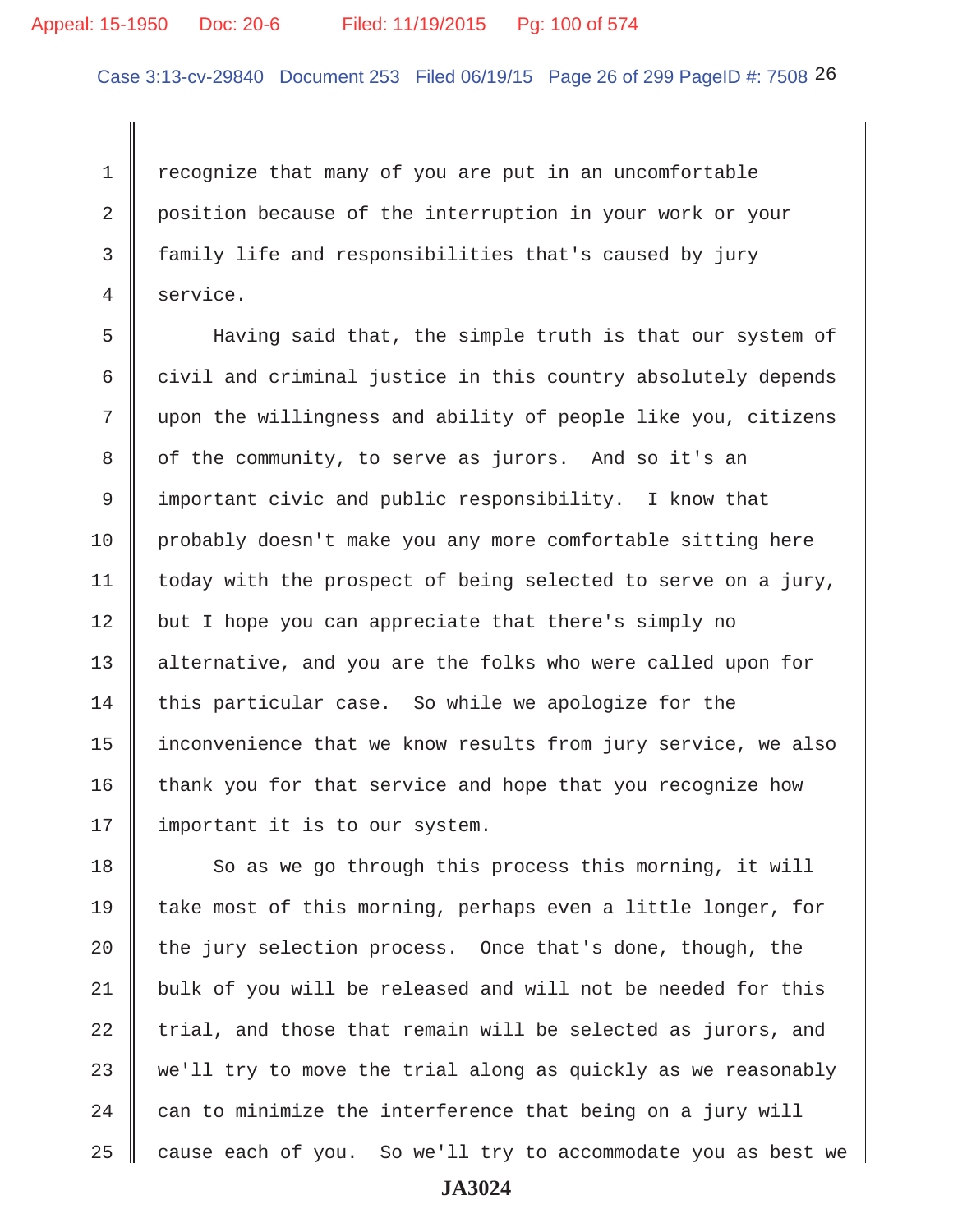## Appeal: 15-1950 Doc: 20-6 Filed: 11/19/2015 Pg: 100 of 574

Case 3:13-cv-29840 Document 253 Filed 06/19/15 Page 26 of 299 PageID #: 7508 26

1 recognize that many of you are put in an uncomfortable 2 position because of the interruption in your work or your 3 family life and responsibilities that's caused by jury 4 service.

 5 Having said that, the simple truth is that our system of  $6 \parallel$  civil and criminal justice in this country absolutely depends 7 upon the willingness and ability of people like you, citizens 8 | of the community, to serve as jurors. And so it's an 9 important civic and public responsibility. I know that 10 | probably doesn't make you any more comfortable sitting here 11  $\parallel$  today with the prospect of being selected to serve on a jury,  $12$  but I hope you can appreciate that there's simply no 13 alternative, and you are the folks who were called upon for 14 this particular case. So while we apologize for the 15 | inconvenience that we know results from jury service, we also  $16$  thank you for that service and hope that you recognize how 17 | important it is to our system.

 So as we go through this process this morning, it will 19 take most of this morning, perhaps even a little longer, for  $\parallel$  the jury selection process. Once that's done, though, the 21 bulk of you will be released and will not be needed for this trial, and those that remain will be selected as jurors, and 23 we'll try to move the trial along as quickly as we reasonably  $\parallel$  can to minimize the interference that being on a jury will cause each of you. So we'll try to accommodate you as best we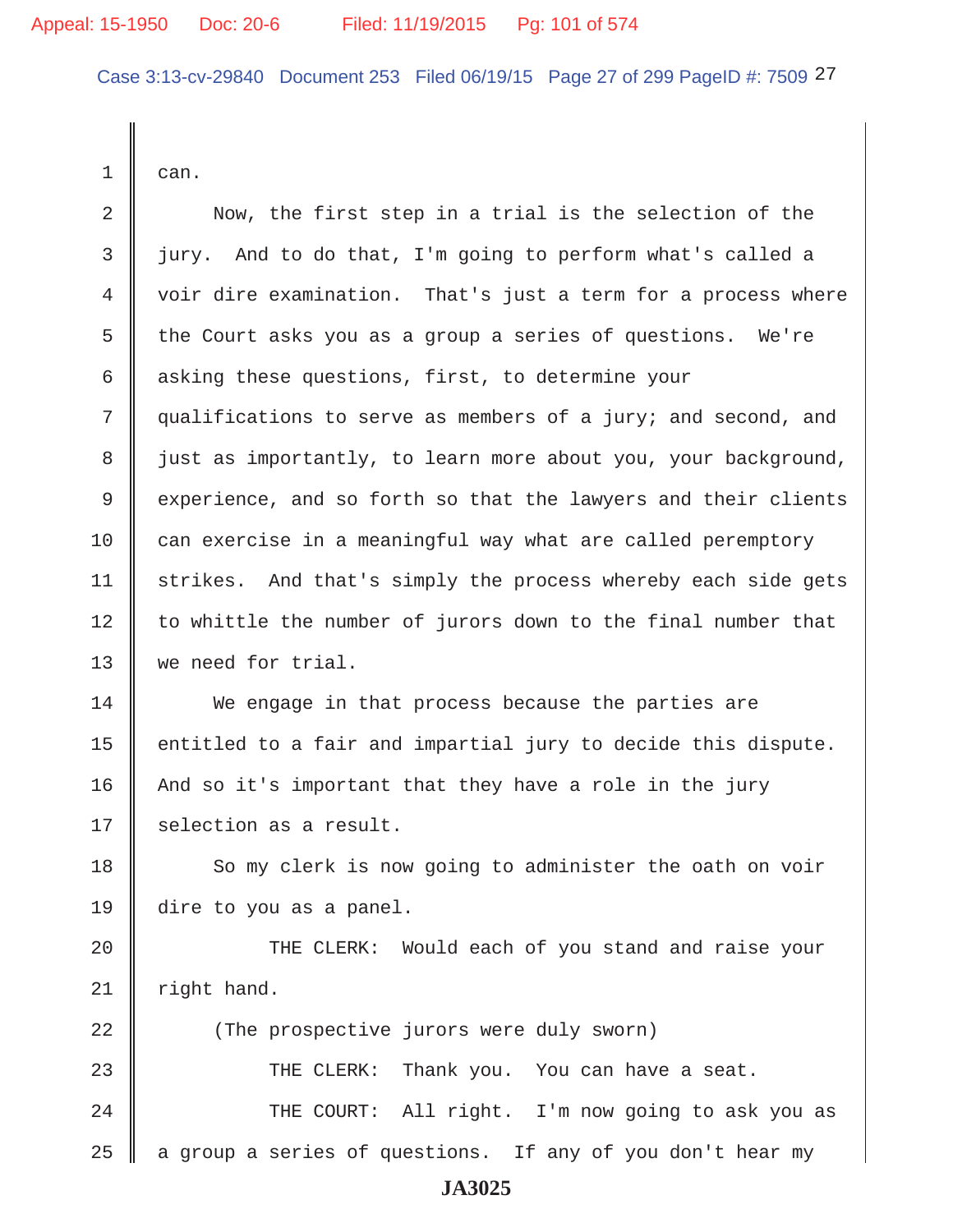Case 3:13-cv-29840 Document 253 Filed 06/19/15 Page 27 of 299 PageID #: 7509 27

 $1 \parallel$  can.

2 Now, the first step in a trial is the selection of the  $3 \parallel$  jury. And to do that, I'm going to perform what's called a 4 voir dire examination. That's just a term for a process where 5 the Court asks you as a group a series of questions. We're 6 asking these questions, first, to determine your 7 qualifications to serve as members of a jury; and second, and 8 just as importantly, to learn more about you, your background, 9 experience, and so forth so that the lawyers and their clients  $10$  can exercise in a meaningful way what are called peremptory 11 | strikes. And that's simply the process whereby each side gets  $12$  to whittle the number of jurors down to the final number that 13 we need for trial.

14 We engage in that process because the parties are 15  $\parallel$  entitled to a fair and impartial jury to decide this dispute. 16 | And so it's important that they have a role in the jury  $17$  | selection as a result.

18 So my clerk is now going to administer the oath on voir 19 dire to you as a panel.

20 THE CLERK: Would each of you stand and raise your  $21$  | right hand.

22 (The prospective jurors were duly sworn) 23 THE CLERK: Thank you. You can have a seat. 24 THE COURT: All right. I'm now going to ask you as

25  $\parallel$  a group a series of questions. If any of you don't hear my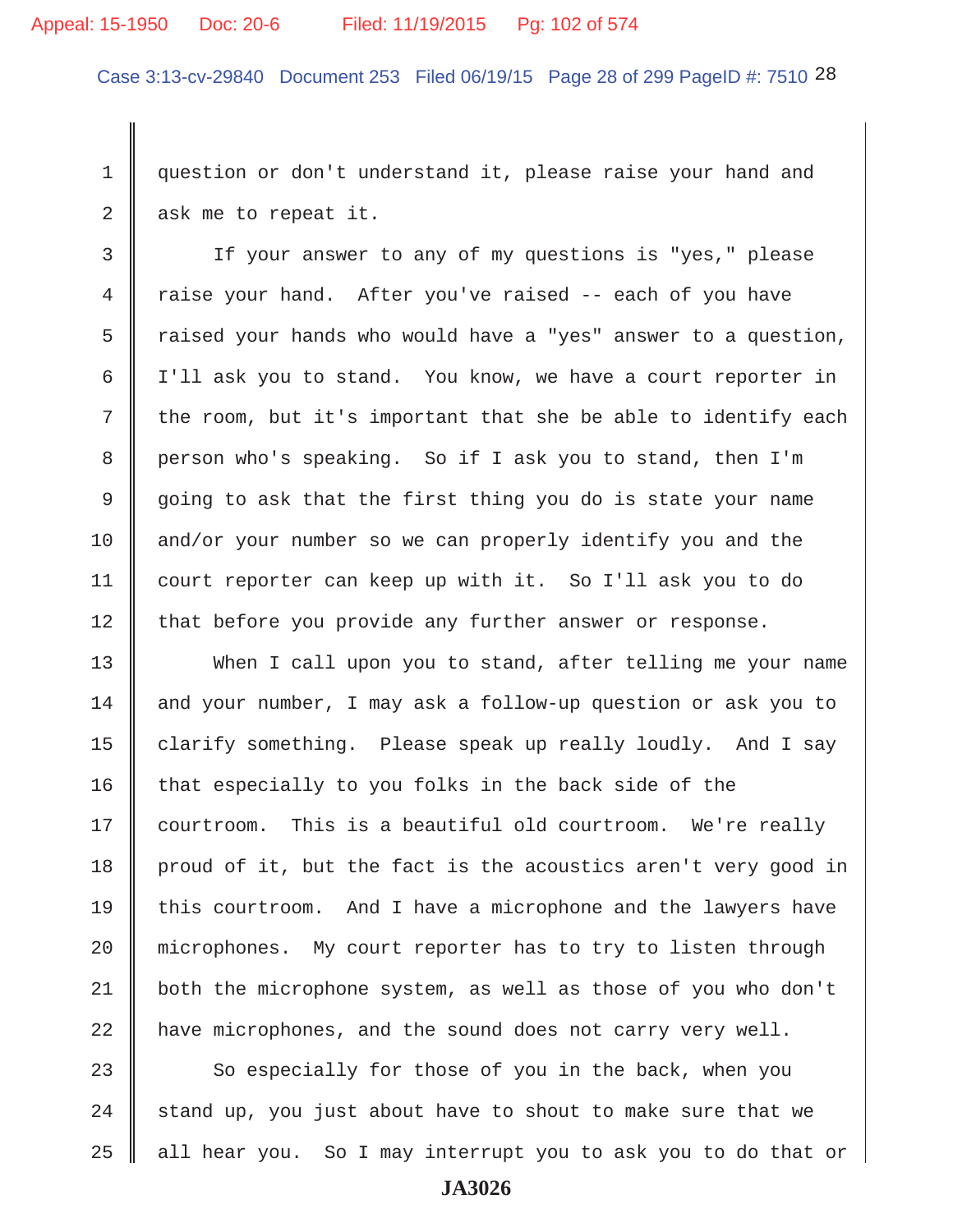#### Appeal: 15-1950 Doc: 20-6 Filed: 11/19/2015 Pg: 102 of 574

Case 3:13-cv-29840 Document 253 Filed 06/19/15 Page 28 of 299 PageID #: 7510 28

1 question or don't understand it, please raise your hand and  $2 \parallel$  ask me to repeat it.

3 | If your answer to any of my questions is "yes," please 4 Traise your hand. After you've raised -- each of you have  $5 \parallel$  raised your hands who would have a "yes" answer to a question, 6 I'll ask you to stand. You know, we have a court reporter in  $7 \parallel$  the room, but it's important that she be able to identify each 8 person who's speaking. So if I ask you to stand, then I'm 9 going to ask that the first thing you do is state your name 10 and/or your number so we can properly identify you and the 11 court reporter can keep up with it. So I'll ask you to do  $12$  that before you provide any further answer or response.

13 When I call upon you to stand, after telling me your name 14 and your number, I may ask a follow-up question or ask you to 15 clarify something. Please speak up really loudly. And I say 16  $\parallel$  that especially to you folks in the back side of the 17 courtroom. This is a beautiful old courtroom. We're really 18 | proud of it, but the fact is the acoustics aren't very good in 19 this courtroom. And I have a microphone and the lawyers have 20 | microphones. My court reporter has to try to listen through 21 both the microphone system, as well as those of you who don't  $22$  have microphones, and the sound does not carry very well.

23  $\parallel$  So especially for those of you in the back, when you 24  $\parallel$  stand up, you just about have to shout to make sure that we  $25$  all hear you. So I may interrupt you to ask you to do that or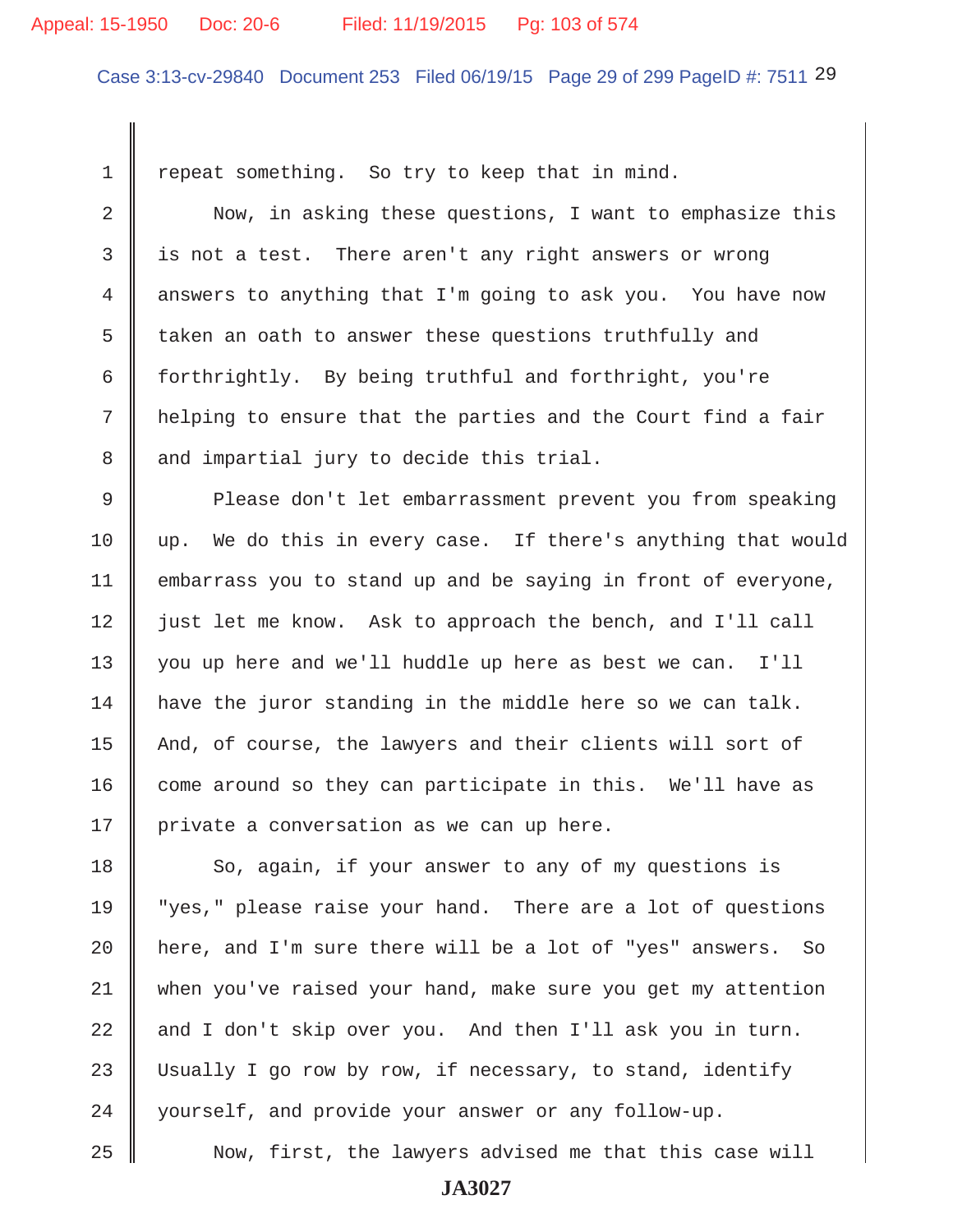#### Appeal: 15-1950 Doc: 20-6 Filed: 11/19/2015 Pg: 103 of 574

Case 3:13-cv-29840 Document 253 Filed 06/19/15 Page 29 of 299 PageID #: 7511 29

1 | repeat something. So try to keep that in mind. 2 Now, in asking these questions, I want to emphasize this  $3 \parallel$  is not a test. There aren't any right answers or wrong 4 answers to anything that I'm going to ask you. You have now 5  $\parallel$  taken an oath to answer these questions truthfully and 6 forthrightly. By being truthful and forthright, you're 7 | helping to ensure that the parties and the Court find a fair 8 || and impartial jury to decide this trial. 18 So, again, if your answer to any of my questions is

9 Please don't let embarrassment prevent you from speaking  $10$  up. We do this in every case. If there's anything that would 11 embarrass you to stand up and be saying in front of everyone, 12 | just let me know. Ask to approach the bench, and I'll call 13 you up here and we'll huddle up here as best we can. I'll 14 have the juror standing in the middle here so we can talk. 15 | And, of course, the lawyers and their clients will sort of  $16$  come around so they can participate in this. We'll have as 17 | private a conversation as we can up here.

19 "yes," please raise your hand. There are a lot of questions 20 | here, and I'm sure there will be a lot of "yes" answers. So 21 when you've raised your hand, make sure you get my attention  $22$  and I don't skip over you. And then I'll ask you in turn. 23 Usually I go row by row, if necessary, to stand, identify 24 | yourself, and provide your answer or any follow-up.

25 || Now, first, the lawyers advised me that this case will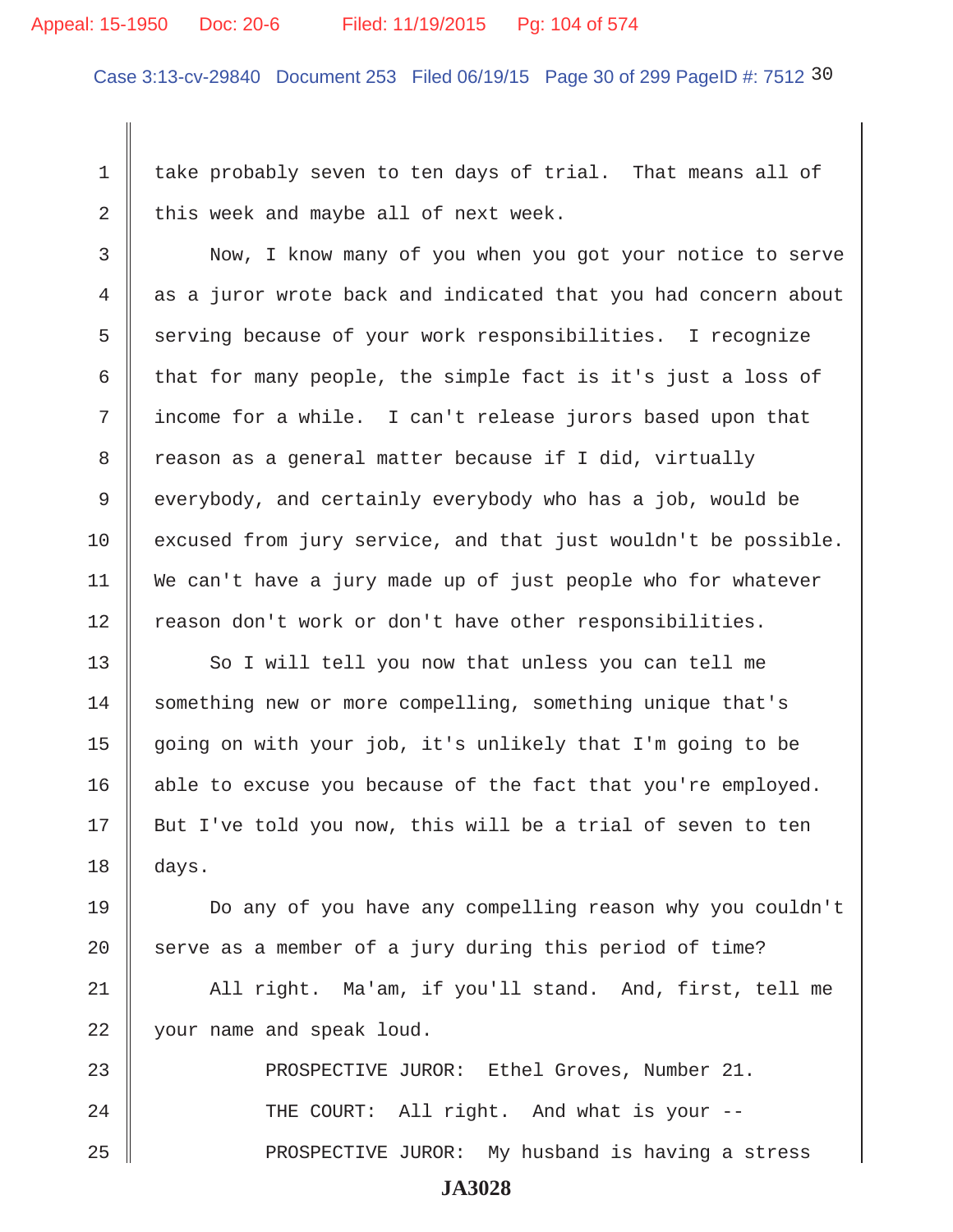### Appeal: 15-1950 Doc: 20-6 Filed: 11/19/2015 Pg: 104 of 574

Case 3:13-cv-29840 Document 253 Filed 06/19/15 Page 30 of 299 PageID #: 7512 30

1 take probably seven to ten days of trial. That means all of 2 this week and maybe all of next week.

3 || Now, I know many of you when you got your notice to serve 4 as a juror wrote back and indicated that you had concern about 5 serving because of your work responsibilities. I recognize 6 that for many people, the simple fact is it's just a loss of 7 || income for a while. I can't release jurors based upon that 8 Teason as a general matter because if I did, virtually 9 everybody, and certainly everybody who has a job, would be 10 excused from jury service, and that just wouldn't be possible. 11 We can't have a jury made up of just people who for whatever  $12$  reason don't work or don't have other responsibilities.

13 So I will tell you now that unless you can tell me 14 Something new or more compelling, something unique that's 15  $\parallel$  going on with your job, it's unlikely that I'm going to be  $16$  able to excuse you because of the fact that you're employed.  $17 \parallel$  But I've told you now, this will be a trial of seven to ten  $18 \parallel days.$ 

19 Do any of you have any compelling reason why you couldn't 20  $\parallel$  serve as a member of a jury during this period of time?

21 || All right. Ma'am, if you'll stand. And, first, tell me 22 || your name and speak loud.

23 || PROSPECTIVE JUROR: Ethel Groves, Number 21. 24 || THE COURT: All right. And what is your --25 PROSPECTIVE JUROR: My husband is having a stress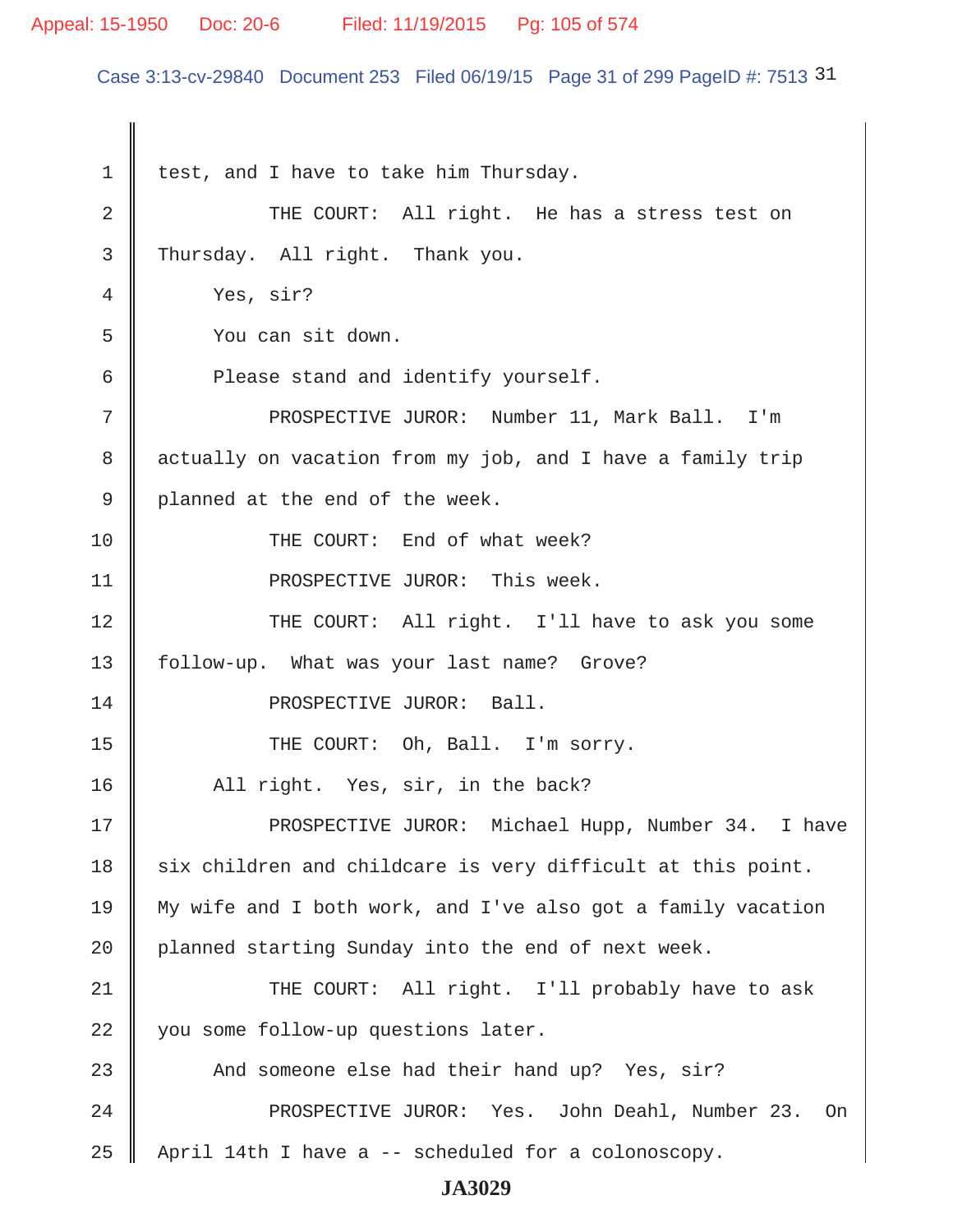## Appeal: 15-1950 Doc: 20-6 Filed: 11/19/2015 Pg: 105 of 574

Case 3:13-cv-29840 Document 253 Filed 06/19/15 Page 31 of 299 PageID #: 7513 31

 $1 \parallel$  test, and I have to take him Thursday. 2 THE COURT: All right. He has a stress test on 3 Thursday. All right. Thank you. 4 Ves, sir? 5 You can sit down. 6 **Please stand and identify yourself.** 7 || PROSPECTIVE JUROR: Number 11, Mark Ball. I'm 8 actually on vacation from my job, and I have a family trip 9 || planned at the end of the week. 10 || THE COURT: End of what week? 11 | PROSPECTIVE JUROR: This week. 12 THE COURT: All right. I'll have to ask you some 13 | follow-up. What was your last name? Grove? 14 || PROSPECTIVE JUROR: Ball. 15 THE COURT: Oh, Ball. I'm sorry. 16 | All right. Yes, sir, in the back? 17 || PROSPECTIVE JUROR: Michael Hupp, Number 34. I have  $18$  six children and childcare is very difficult at this point. 19 My wife and I both work, and I've also got a family vacation 20 planned starting Sunday into the end of next week. 21 THE COURT: All right. I'll probably have to ask 22 you some follow-up questions later. 23 And someone else had their hand up? Yes, sir? 24 PROSPECTIVE JUROR: Yes. John Deahl, Number 23. On 25 April 14th I have a -- scheduled for a colonoscopy.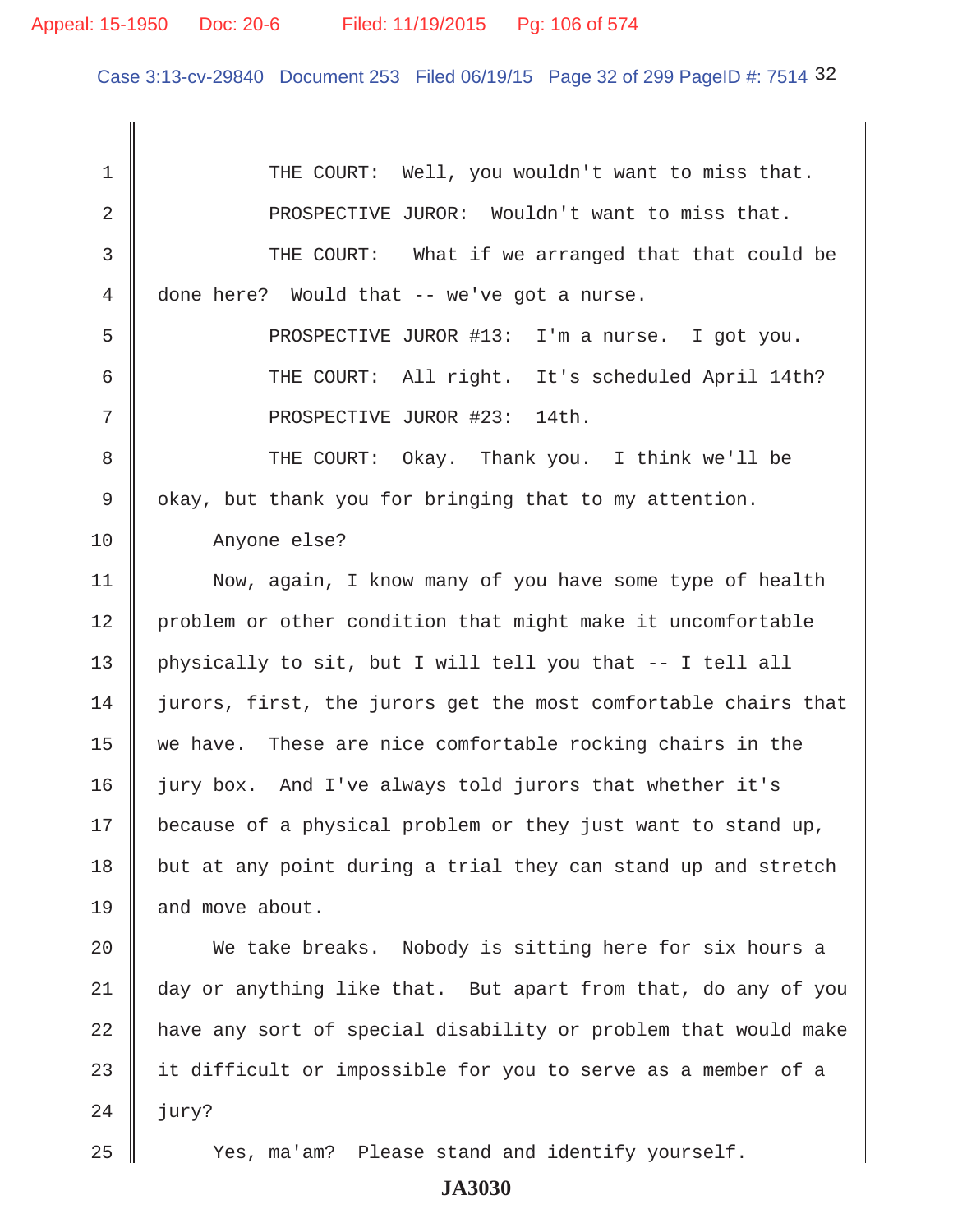## Appeal: 15-1950 Doc: 20-6 Filed: 11/19/2015 Pg: 106 of 574

Case 3:13-cv-29840 Document 253 Filed 06/19/15 Page 32 of 299 PageID #: 7514 32

| $\mathbf 1$ | THE COURT: Well, you wouldn't want to miss that.               |
|-------------|----------------------------------------------------------------|
| 2           | PROSPECTIVE JUROR: Wouldn't want to miss that.                 |
| 3           | THE COURT: What if we arranged that that could be              |
| 4           | done here? Would that -- we've got a nurse.                    |
| 5           | PROSPECTIVE JUROR #13: I'm a nurse. I got you.                 |
| 6           | THE COURT: All right. It's scheduled April 14th?               |
| 7           | PROSPECTIVE JUROR #23: 14th.                                   |
| 8           | THE COURT: Okay. Thank you. I think we'll be                   |
| 9           | okay, but thank you for bringing that to my attention.         |
| 10          | Anyone else?                                                   |
| 11          | Now, again, I know many of you have some type of health        |
| 12          | problem or other condition that might make it uncomfortable    |
| 13          | physically to sit, but I will tell you that -- I tell all      |
| 14          | jurors, first, the jurors get the most comfortable chairs that |
| 15          | we have. These are nice comfortable rocking chairs in the      |
| 16          | jury box. And I've always told jurors that whether it's        |
| 17          | because of a physical problem or they just want to stand up,   |
| 18          | but at any point during a trial they can stand up and stretch  |
| 19          | and move about.                                                |
| 20          | We take breaks. Nobody is sitting here for six hours a         |
| 21          | day or anything like that. But apart from that, do any of you  |
| 22          | have any sort of special disability or problem that would make |
| 23          | it difficult or impossible for you to serve as a member of a   |
| 24          | jury?                                                          |
| 25          | Yes, ma'am? Please stand and identify yourself.                |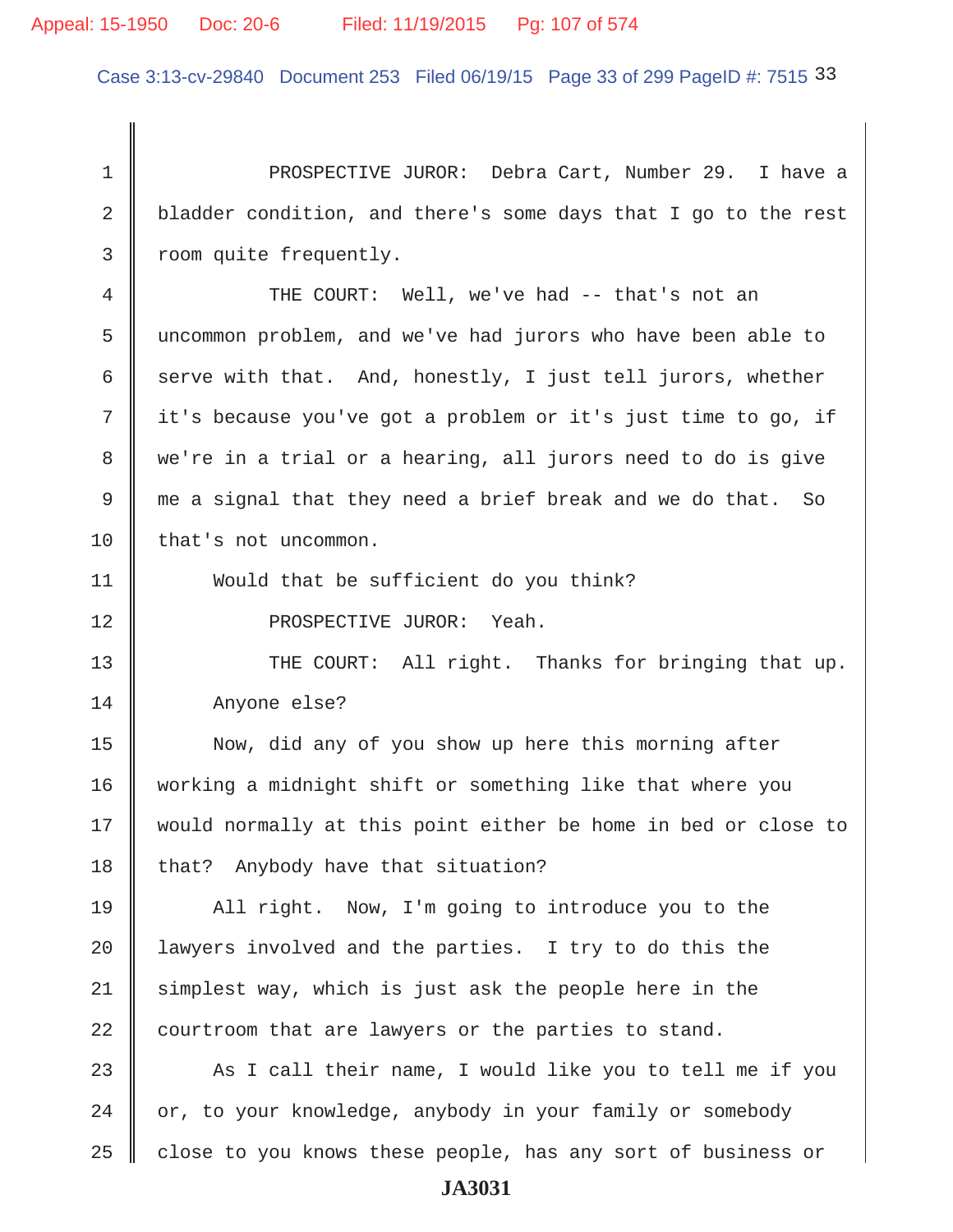## Appeal: 15-1950 Doc: 20-6 Filed: 11/19/2015 Pg: 107 of 574

Case 3:13-cv-29840 Document 253 Filed 06/19/15 Page 33 of 299 PageID #: 7515 33

 1 PROSPECTIVE JUROR: Debra Cart, Number 29. I have a 2 bladder condition, and there's some days that I go to the rest 3 | room quite frequently. 4 THE COURT: Well, we've had -- that's not an 5 uncommon problem, and we've had jurors who have been able to 6 serve with that. And, honestly, I just tell jurors, whether 7 it's because you've got a problem or it's just time to go, if 8 we're in a trial or a hearing, all jurors need to do is give 9 me a signal that they need a brief break and we do that. So 10 | that's not uncommon. 11 Would that be sufficient do you think? 12 || PROSPECTIVE JUROR: Yeah.

13 || THE COURT: All right. Thanks for bringing that up. 14 Anyone else?

15 Now, did any of you show up here this morning after 16 working a midnight shift or something like that where you 17 would normally at this point either be home in bed or close to 18  $\parallel$  that? Anybody have that situation?

19 All right. Now, I'm going to introduce you to the 20 || lawyers involved and the parties. I try to do this the 21 Simplest way, which is just ask the people here in the  $22$  courtroom that are lawyers or the parties to stand.

23  $\parallel$  As I call their name, I would like you to tell me if you  $24$  | or, to your knowledge, anybody in your family or somebody 25  $\parallel$  close to you knows these people, has any sort of business or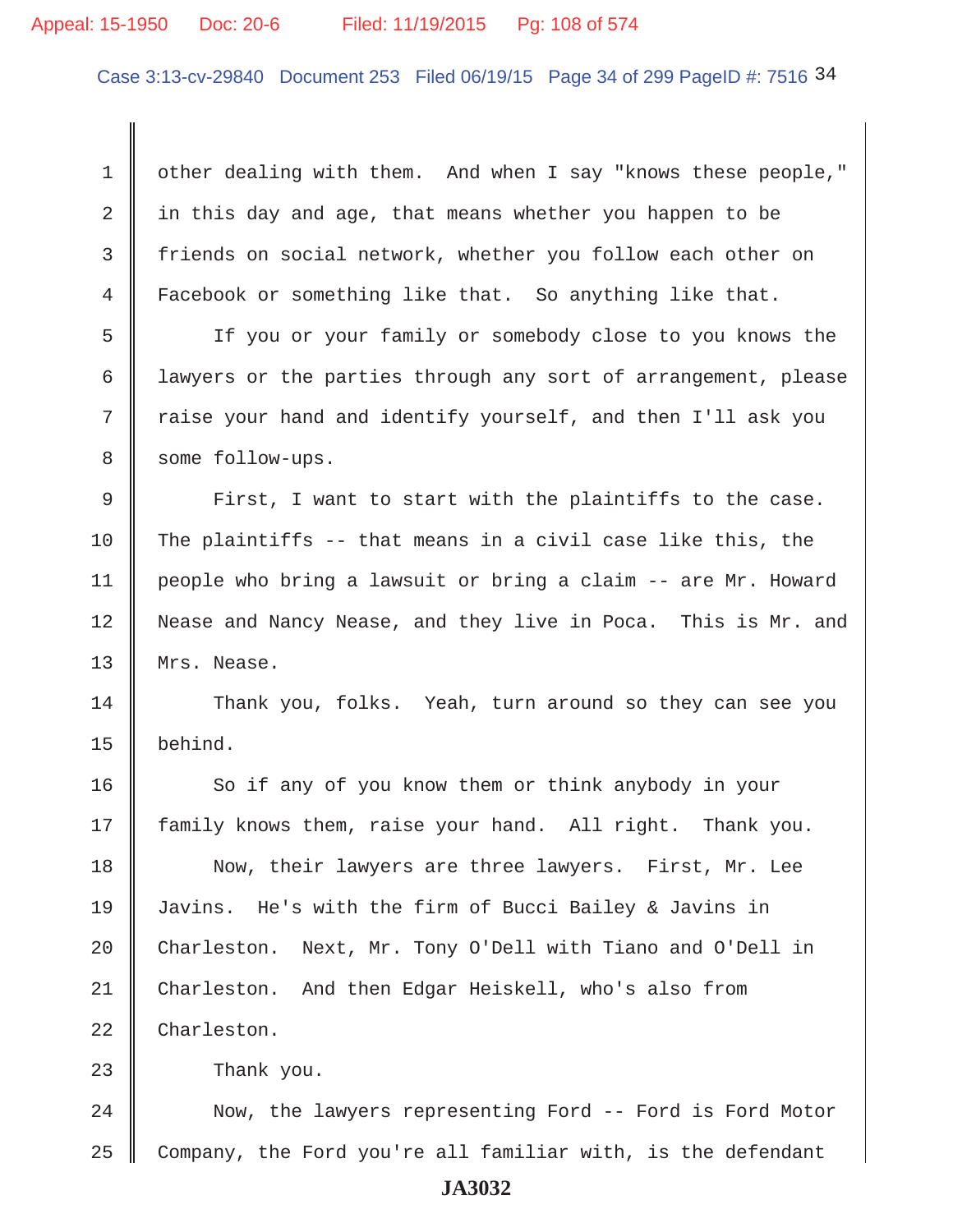## Appeal: 15-1950 Doc: 20-6 Filed: 11/19/2015 Pg: 108 of 574

Case 3:13-cv-29840 Document 253 Filed 06/19/15 Page 34 of 299 PageID #: 7516 34

1 | other dealing with them. And when I say "knows these people," 2 | in this day and age, that means whether you happen to be 3 friends on social network, whether you follow each other on 4 Facebook or something like that. So anything like that.

 5 If you or your family or somebody close to you knows the 6 lawyers or the parties through any sort of arrangement, please 7 Traise your hand and identify yourself, and then I'll ask you 8 some follow-ups.

 $9$   $\parallel$  First, I want to start with the plaintiffs to the case. 10 The plaintiffs -- that means in a civil case like this, the 11 people who bring a lawsuit or bring a claim -- are Mr. Howard 12 Nease and Nancy Nease, and they live in Poca. This is Mr. and 13 || Mrs. Nease.

14 Thank you, folks. Yeah, turn around so they can see you 15 behind.

16 So if any of you know them or think anybody in your 17 family knows them, raise your hand. All right. Thank you.

18 Now, their lawyers are three lawyers. First, Mr. Lee 19 Javins. He's with the firm of Bucci Bailey & Javins in 20 Charleston. Next, Mr. Tony O'Dell with Tiano and O'Dell in 21 Charleston. And then Edgar Heiskell, who's also from 22 Charleston.

23 **Contract 23** Thank you.

24 | Now, the lawyers representing Ford -- Ford is Ford Motor 25 Company, the Ford you're all familiar with, is the defendant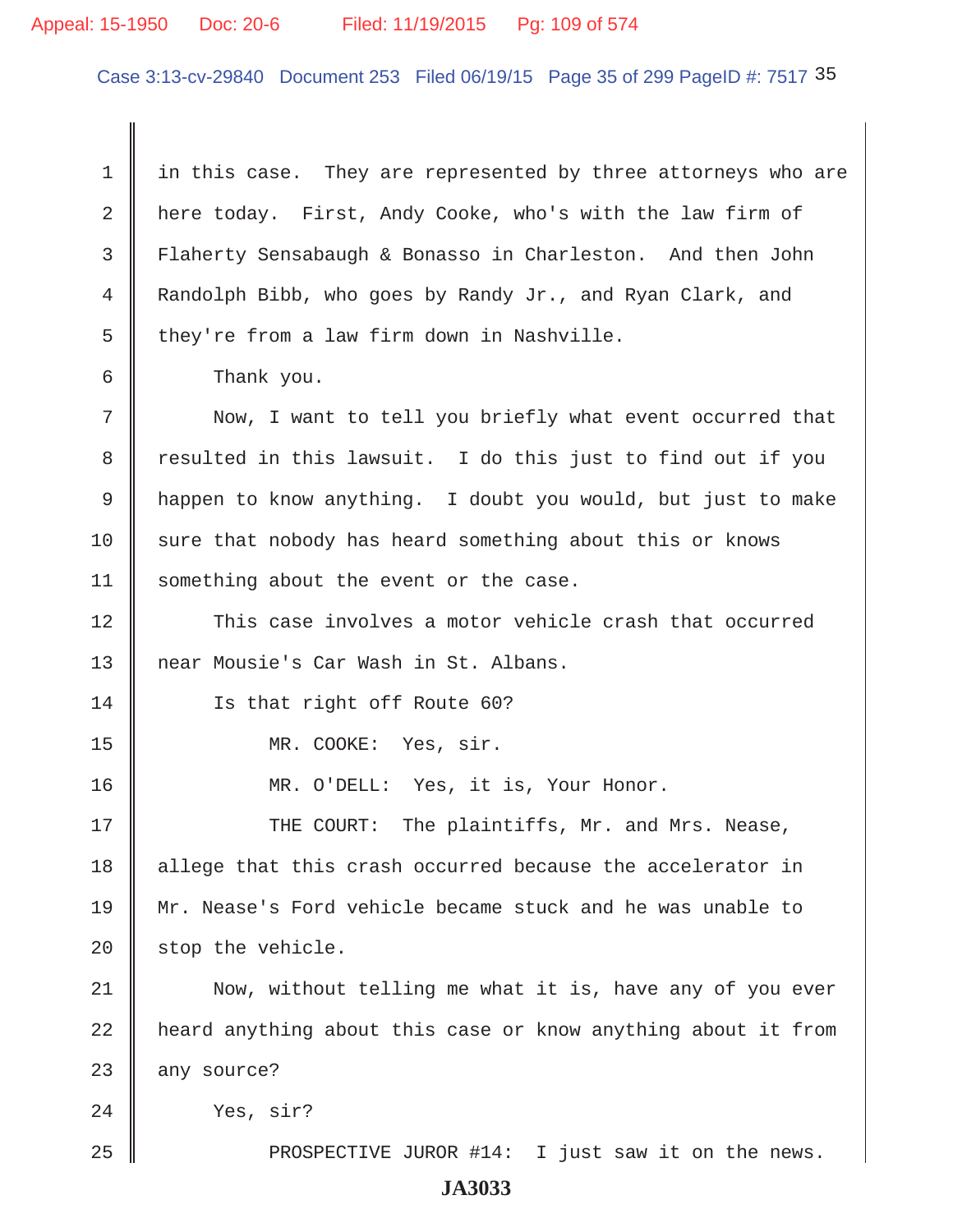### Appeal: 15-1950 Doc: 20-6 Filed: 11/19/2015 Pg: 109 of 574

Case 3:13-cv-29840 Document 253 Filed 06/19/15 Page 35 of 299 PageID #: 7517 35

 $1 \parallel$  in this case. They are represented by three attorneys who are 2 here today. First, Andy Cooke, who's with the law firm of 3 Flaherty Sensabaugh & Bonasso in Charleston. And then John 4 Randolph Bibb, who goes by Randy Jr., and Ryan Clark, and  $5 \parallel$  they're from a law firm down in Nashville.

6 Thank you.

 7 Now, I want to tell you briefly what event occurred that 8 T resulted in this lawsuit. I do this just to find out if you 9 || happen to know anything. I doubt you would, but just to make  $10$  sure that nobody has heard something about this or knows 11 | something about the event or the case.

12 This case involves a motor vehicle crash that occurred 13 || near Mousie's Car Wash in St. Albans.

14 **Is that right off Route 60?** 

15 MR. COOKE: Yes, sir.

16 || MR. O'DELL: Yes, it is, Your Honor.

17 THE COURT: The plaintiffs, Mr. and Mrs. Nease, 18 || allege that this crash occurred because the accelerator in 19 Mr. Nease's Ford vehicle became stuck and he was unable to  $20$  stop the vehicle.

21 | Now, without telling me what it is, have any of you ever 22 | heard anything about this case or know anything about it from  $23$  any source?

24 Ves, sir?

25 PROSPECTIVE JUROR #14: I just saw it on the news.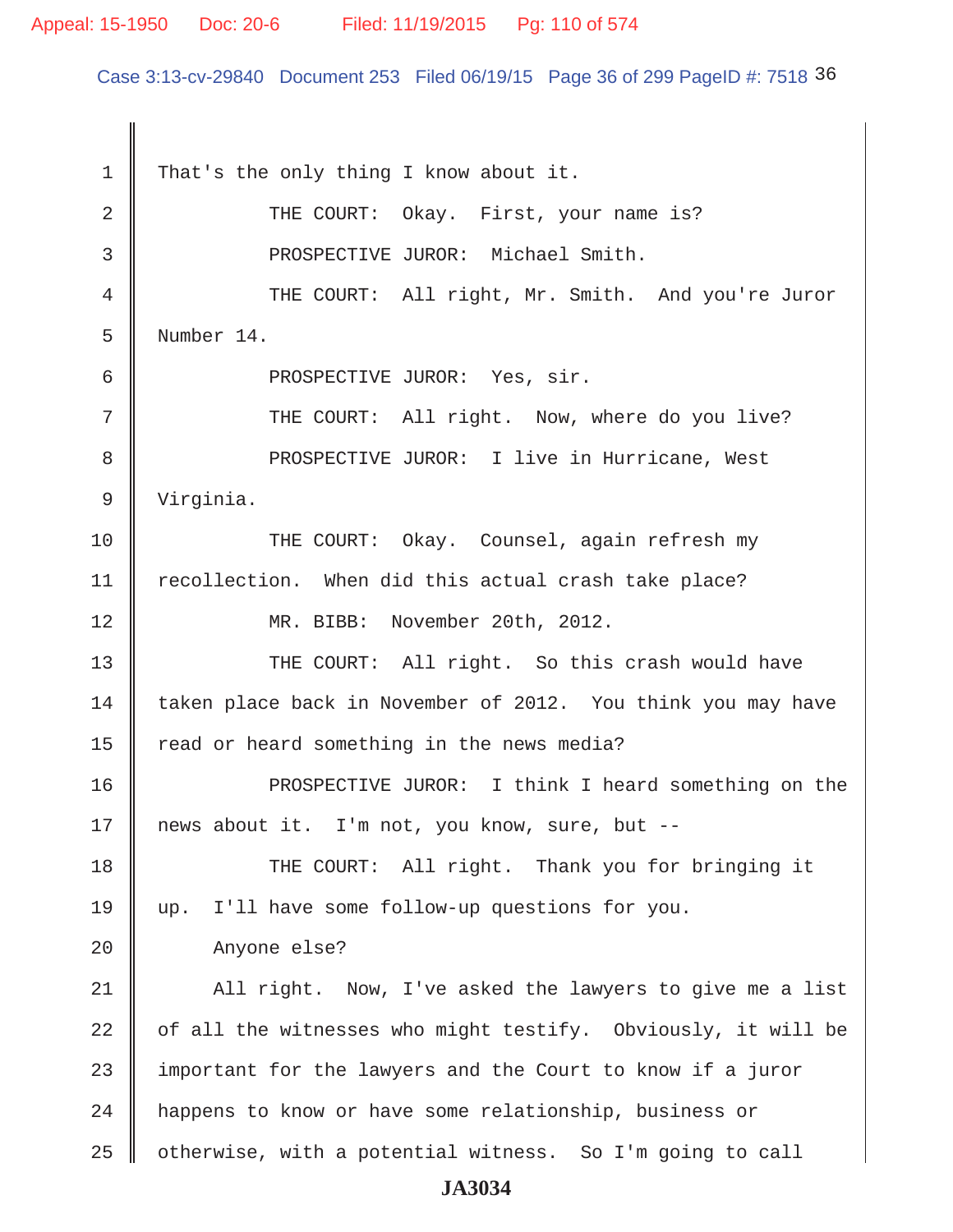### Appeal: 15-1950 Doc: 20-6 Filed: 11/19/2015 Pg: 110 of 574

Case 3:13-cv-29840 Document 253 Filed 06/19/15 Page 36 of 299 PageID #: 7518 36

1 That's the only thing I know about it. 2 | THE COURT: Okay. First, your name is? 3 || PROSPECTIVE JUROR: Michael Smith. 4 THE COURT: All right, Mr. Smith. And you're Juror 5 Number 14. 6 || PROSPECTIVE JUROR: Yes, sir. 7 || THE COURT: All right. Now, where do you live? 8 || PROSPECTIVE JUROR: I live in Hurricane, West 9 Virginia. 10 THE COURT: Okay. Counsel, again refresh my 11 | recollection. When did this actual crash take place? 12 || MR. BIBB: November 20th, 2012. 13 THE COURT: All right. So this crash would have 14 taken place back in November of 2012. You think you may have  $15$  read or heard something in the news media? 16 PROSPECTIVE JUROR: I think I heard something on the 17 || news about it. I'm not, you know, sure, but --18 THE COURT: All right. Thank you for bringing it 19 up. I'll have some follow-up questions for you. 20 | Anyone else? 21 || All right. Now, I've asked the lawyers to give me a list 22  $\parallel$  of all the witnesses who might testify. Obviously, it will be 23 important for the lawyers and the Court to know if a juror 24 | happens to know or have some relationship, business or 25  $\parallel$  otherwise, with a potential witness. So I'm going to call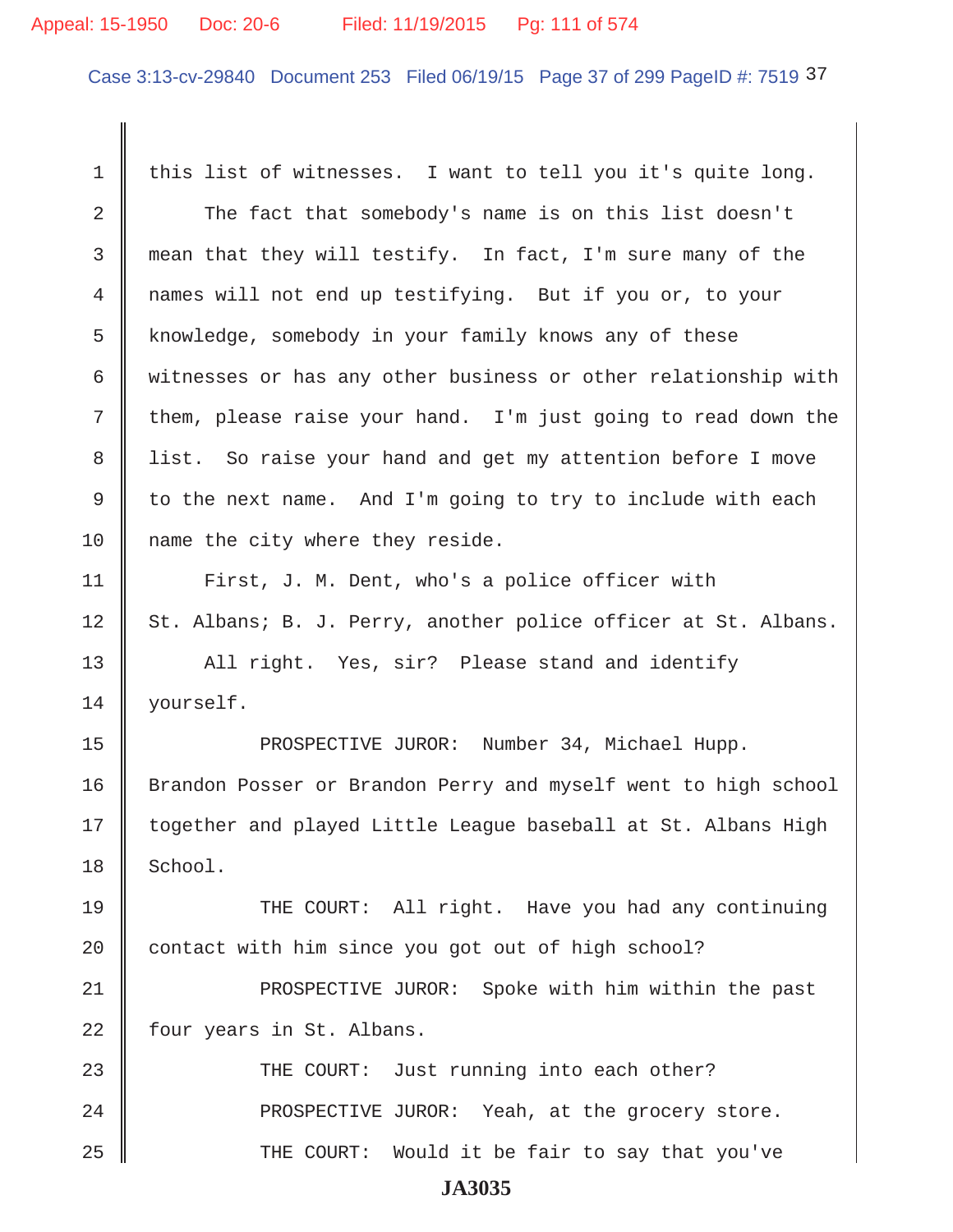### Appeal: 15-1950 Doc: 20-6 Filed: 11/19/2015 Pg: 111 of 574

Case 3:13-cv-29840 Document 253 Filed 06/19/15 Page 37 of 299 PageID #: 7519 37

1  $\parallel$  this list of witnesses. I want to tell you it's quite long. 2 The fact that somebody's name is on this list doesn't 3 mean that they will testify. In fact, I'm sure many of the 4 mames will not end up testifying. But if you or, to your 5 knowledge, somebody in your family knows any of these 6 W witnesses or has any other business or other relationship with  $7 \parallel$  them, please raise your hand. I'm just going to read down the 8 || list. So raise your hand and get my attention before I move 9  $\parallel$  to the next name. And I'm going to try to include with each 10 || name the city where they reside. 11 | First, J. M. Dent, who's a police officer with 12 St. Albans; B. J. Perry, another police officer at St. Albans. 13 || All right. Yes, sir? Please stand and identify 14 | yourself. 15 || PROSPECTIVE JUROR: Number 34, Michael Hupp. 16 Srandon Posser or Brandon Perry and myself went to high school 17 || together and played Little League baseball at St. Albans High  $18$  | School. 19 || THE COURT: All right. Have you had any continuing 20 contact with him since you got out of high school? 21 || PROSPECTIVE JUROR: Spoke with him within the past 22 | four years in St. Albans. 23 THE COURT: Just running into each other?  $24$  || PROSPECTIVE JUROR: Yeah, at the grocery store. 25 THE COURT: Would it be fair to say that you've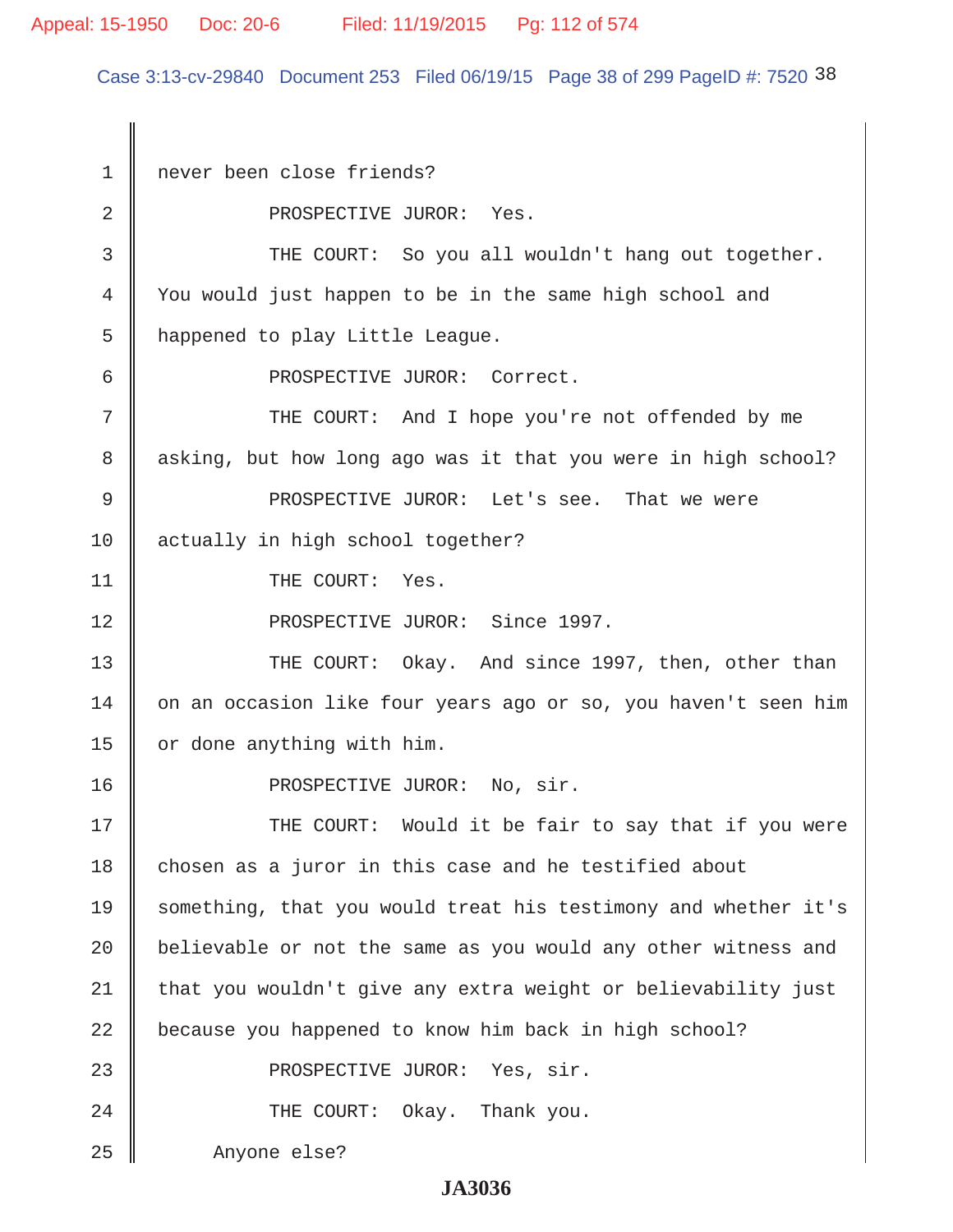Case 3:13-cv-29840 Document 253 Filed 06/19/15 Page 38 of 299 PageID #: 7520 38

 1 never been close friends? 2 No. 2 PROSPECTIVE JUROR: Yes. 3 THE COURT: So you all wouldn't hang out together. 4 You would just happen to be in the same high school and 5 | happened to play Little League. 6 PROSPECTIVE JUROR: Correct. 7 THE COURT: And I hope you're not offended by me 8 asking, but how long ago was it that you were in high school? 9 || PROSPECTIVE JUROR: Let's see. That we were 10 actually in high school together? 11 || THE COURT: Yes. 12 || PROSPECTIVE JUROR: Since 1997. 13 THE COURT: Okay. And since 1997, then, other than 14 | on an occasion like four years ago or so, you haven't seen him 15 | or done anything with him. 16 || PROSPECTIVE JUROR: No, sir. 17 THE COURT: Would it be fair to say that if you were 18 chosen as a juror in this case and he testified about 19 Something, that you would treat his testimony and whether it's 20  $\parallel$  believable or not the same as you would any other witness and  $21$  that you wouldn't give any extra weight or believability just 22 | because you happened to know him back in high school? 23 || PROSPECTIVE JUROR: Yes, sir. 24 **THE COURT:** Okay. Thank you. 25 Anyone else?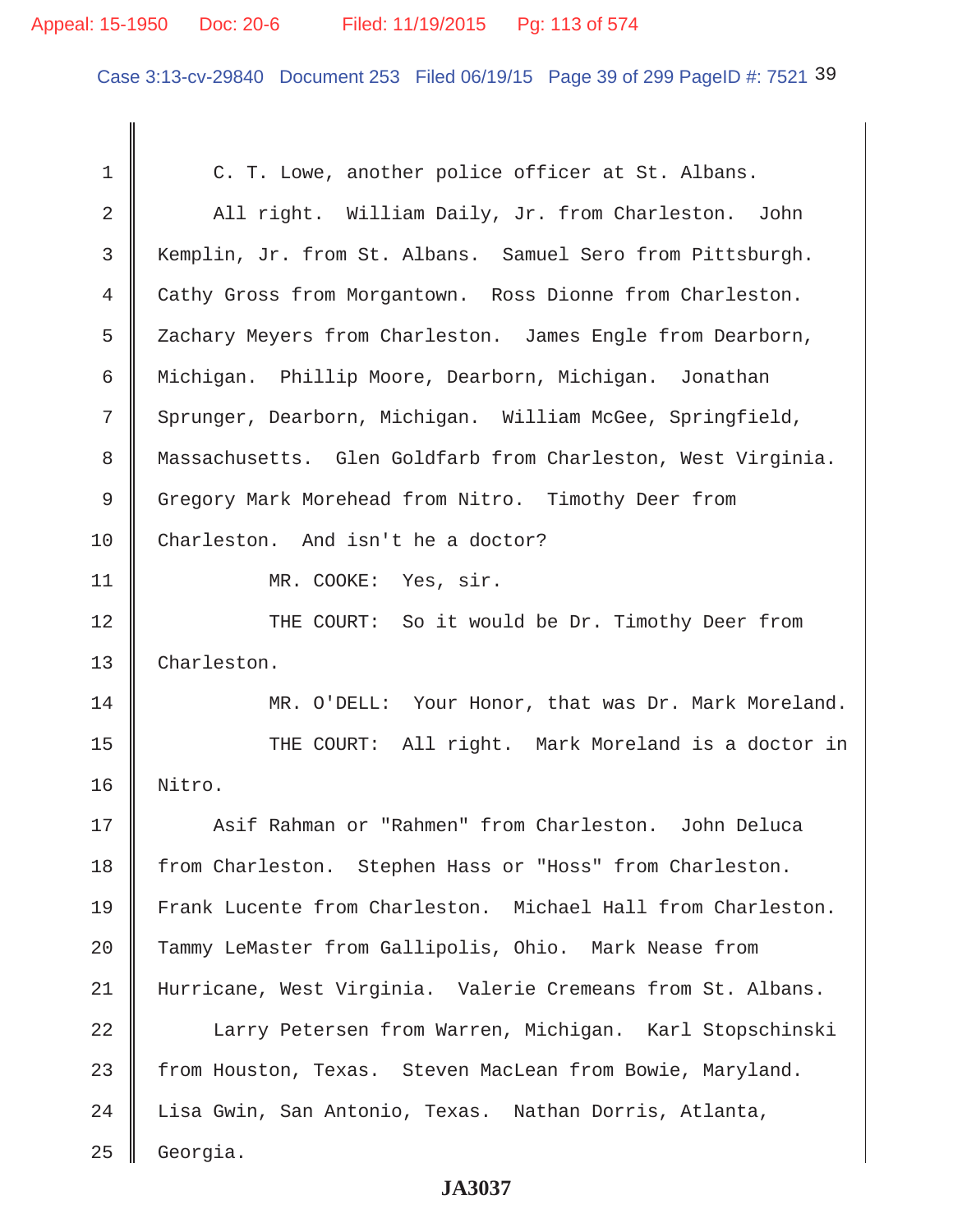### Appeal: 15-1950 Doc: 20-6 Filed: 11/19/2015 Pg: 113 of 574

Case 3:13-cv-29840 Document 253 Filed 06/19/15 Page 39 of 299 PageID #: 7521 39

1 C. T. Lowe, another police officer at St. Albans. 2 | All right. William Daily, Jr. from Charleston. John 3 Kemplin, Jr. from St. Albans. Samuel Sero from Pittsburgh. 4 Cathy Gross from Morgantown. Ross Dionne from Charleston. 5 Zachary Meyers from Charleston. James Engle from Dearborn, 6 Michigan. Phillip Moore, Dearborn, Michigan. Jonathan 7 Sprunger, Dearborn, Michigan. William McGee, Springfield, 8 Massachusetts. Glen Goldfarb from Charleston, West Virginia. 9 Gregory Mark Morehead from Nitro. Timothy Deer from 10 Charleston. And isn't he a doctor? 11 || MR. COOKE: Yes, sir. 12 THE COURT: So it would be Dr. Timothy Deer from 13 Charleston. 14 MR. O'DELL: Your Honor, that was Dr. Mark Moreland. 15 THE COURT: All right. Mark Moreland is a doctor in 16 Nitro. 17 Asif Rahman or "Rahmen" from Charleston. John Deluca 18 from Charleston. Stephen Hass or "Hoss" from Charleston. 19 Frank Lucente from Charleston. Michael Hall from Charleston. 20 Tammy LeMaster from Gallipolis, Ohio. Mark Nease from 21 Hurricane, West Virginia. Valerie Cremeans from St. Albans. 22 Larry Petersen from Warren, Michigan. Karl Stopschinski 23 from Houston, Texas. Steven MacLean from Bowie, Maryland. 24 Lisa Gwin, San Antonio, Texas. Nathan Dorris, Atlanta, 25 Georgia.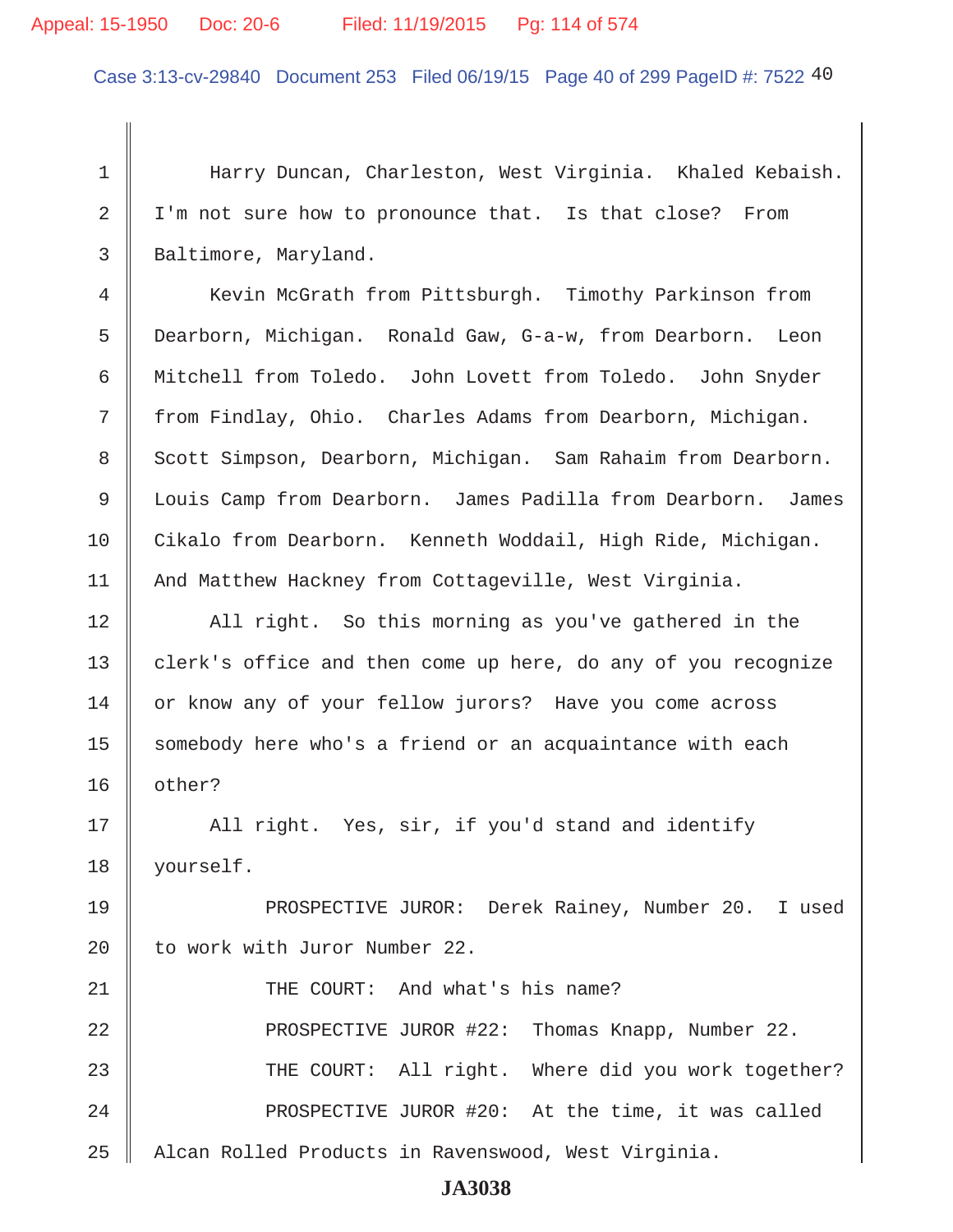### Appeal: 15-1950 Doc: 20-6 Filed: 11/19/2015 Pg: 114 of 574

Case 3:13-cv-29840 Document 253 Filed 06/19/15 Page 40 of 299 PageID #: 7522 40

 1 Harry Duncan, Charleston, West Virginia. Khaled Kebaish. 2 | I'm not sure how to pronounce that. Is that close? From 3 | Baltimore, Maryland.

4 | Kevin McGrath from Pittsburgh. Timothy Parkinson from 5 Dearborn, Michigan. Ronald Gaw, G-a-w, from Dearborn. Leon 6 Mitchell from Toledo. John Lovett from Toledo. John Snyder 7 from Findlay, Ohio. Charles Adams from Dearborn, Michigan. 8 | Scott Simpson, Dearborn, Michigan. Sam Rahaim from Dearborn. 9 Louis Camp from Dearborn. James Padilla from Dearborn. James 10 Cikalo from Dearborn. Kenneth Woddail, High Ride, Michigan. 11 | And Matthew Hackney from Cottageville, West Virginia.

12 All right. So this morning as you've gathered in the 13 clerk's office and then come up here, do any of you recognize 14 or know any of your fellow jurors? Have you come across 15 | somebody here who's a friend or an acquaintance with each 16 other?

17 || All right. Yes, sir, if you'd stand and identify 18 yourself.

19 PROSPECTIVE JUROR: Derek Rainey, Number 20. I used 20 | to work with Juror Number 22.

21 THE COURT: And what's his name? 22 **PROSPECTIVE JUROR #22: Thomas Knapp, Number 22.** 23 THE COURT: All right. Where did you work together? 24 | PROSPECTIVE JUROR #20: At the time, it was called 25 | Alcan Rolled Products in Ravenswood, West Virginia.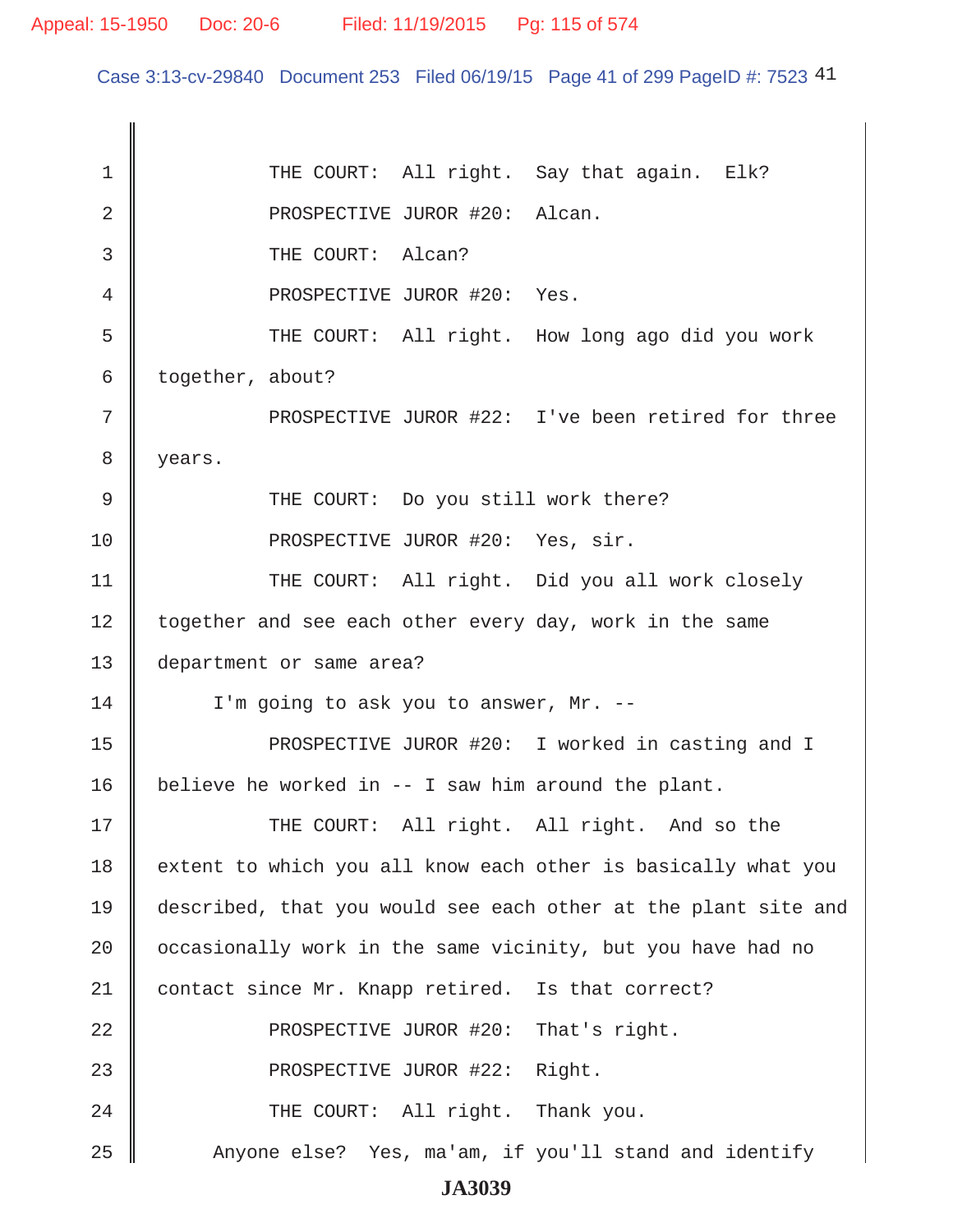Case 3:13-cv-29840 Document 253 Filed 06/19/15 Page 41 of 299 PageID #: 7523 41

1 THE COURT: All right. Say that again. Elk? 2 || PROSPECTIVE JUROR #20: Alcan. 3 **J** THE COURT: Alcan? 4 || PROSPECTIVE JUROR #20: Yes. 5 THE COURT: All right. How long ago did you work 6 together, about? 7 || PROSPECTIVE JUROR #22: I've been retired for three 8 | years. 9 || THE COURT: Do you still work there? 10 || PROSPECTIVE JUROR #20: Yes, sir. 11 | THE COURT: All right. Did you all work closely 12 | together and see each other every day, work in the same 13 department or same area?  $14$  | I'm going to ask you to answer, Mr. --15 || PROSPECTIVE JUROR #20: I worked in casting and I 16 | believe he worked in  $-$ - I saw him around the plant. 17 THE COURT: All right. All right. And so the  $18$  extent to which you all know each other is basically what you 19 described, that you would see each other at the plant site and 20  $\parallel$  occasionally work in the same vicinity, but you have had no 21 | contact since Mr. Knapp retired. Is that correct? 22 **PROSPECTIVE JUROR #20:** That's right. 23 || PROSPECTIVE JUROR #22: Right. 24 THE COURT: All right. Thank you. 25 Anyone else? Yes, ma'am, if you'll stand and identify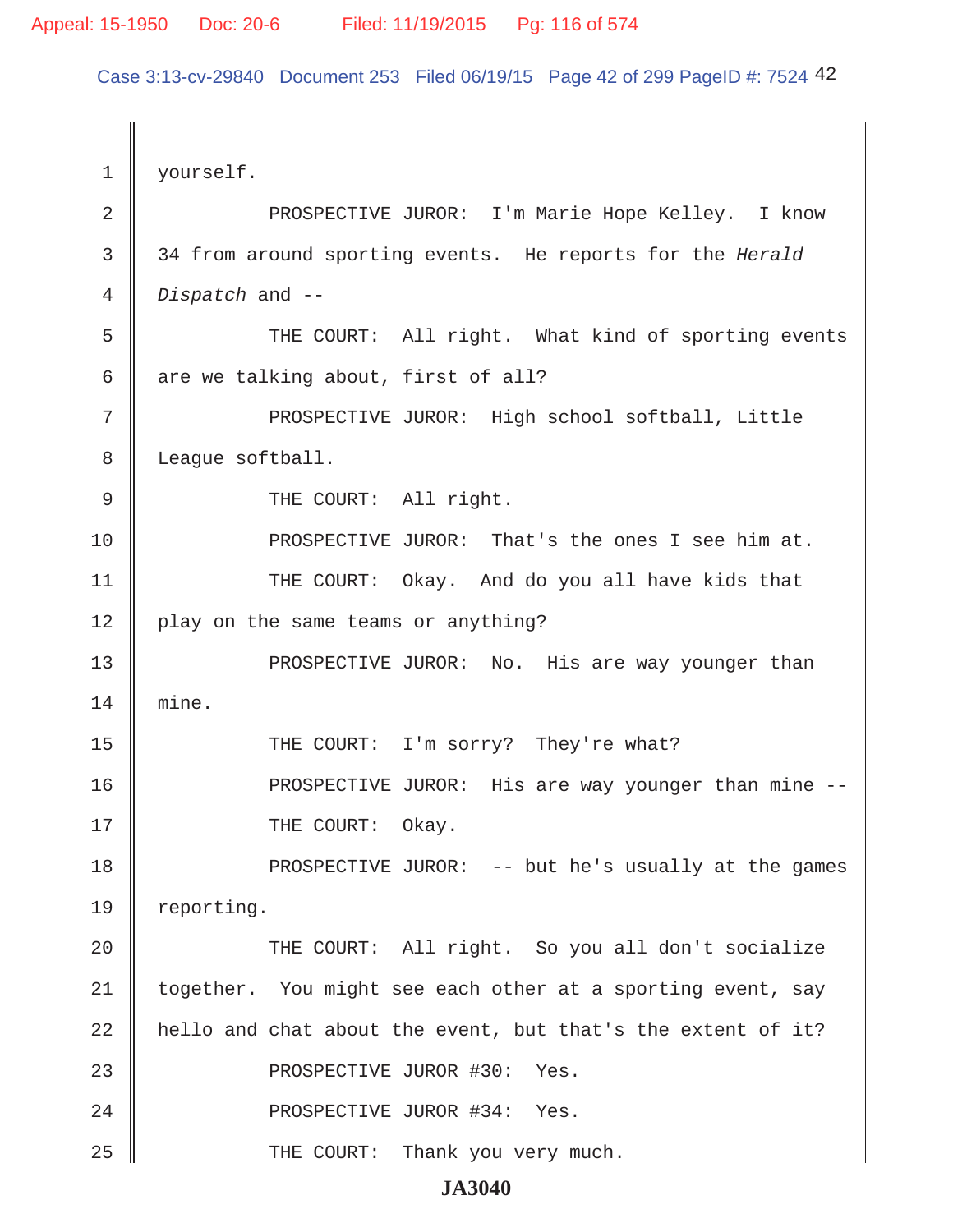Case 3:13-cv-29840 Document 253 Filed 06/19/15 Page 42 of 299 PageID #: 7524 42

1 | yourself. 2 || PROSPECTIVE JUROR: I'm Marie Hope Kelley. I know 3 34 from around sporting events. He reports for the *Herald* 4 *Dispatch* and -- 5 || THE COURT: All right. What kind of sporting events  $6 \parallel$  are we talking about, first of all? 7 || PROSPECTIVE JUROR: High school softball, Little 8 | League softball. 9 || THE COURT: All right. 10 PROSPECTIVE JUROR: That's the ones I see him at. 11 || THE COURT: Okay. And do you all have kids that 12 | play on the same teams or anything? 13 PROSPECTIVE JUROR: No. His are way younger than 14 mine. 15 THE COURT: I'm sorry? They're what? 16 PROSPECTIVE JUROR: His are way younger than mine -- 17 || THE COURT: Okay. 18 PROSPECTIVE JUROR: -- but he's usually at the games 19 | reporting. 20 || THE COURT: All right. So you all don't socialize 21 | together. You might see each other at a sporting event, say 22  $\parallel$  hello and chat about the event, but that's the extent of it? 23 || PROSPECTIVE JUROR #30: Yes. 24 || PROSPECTIVE JUROR #34: Yes. 25 THE COURT: Thank you very much.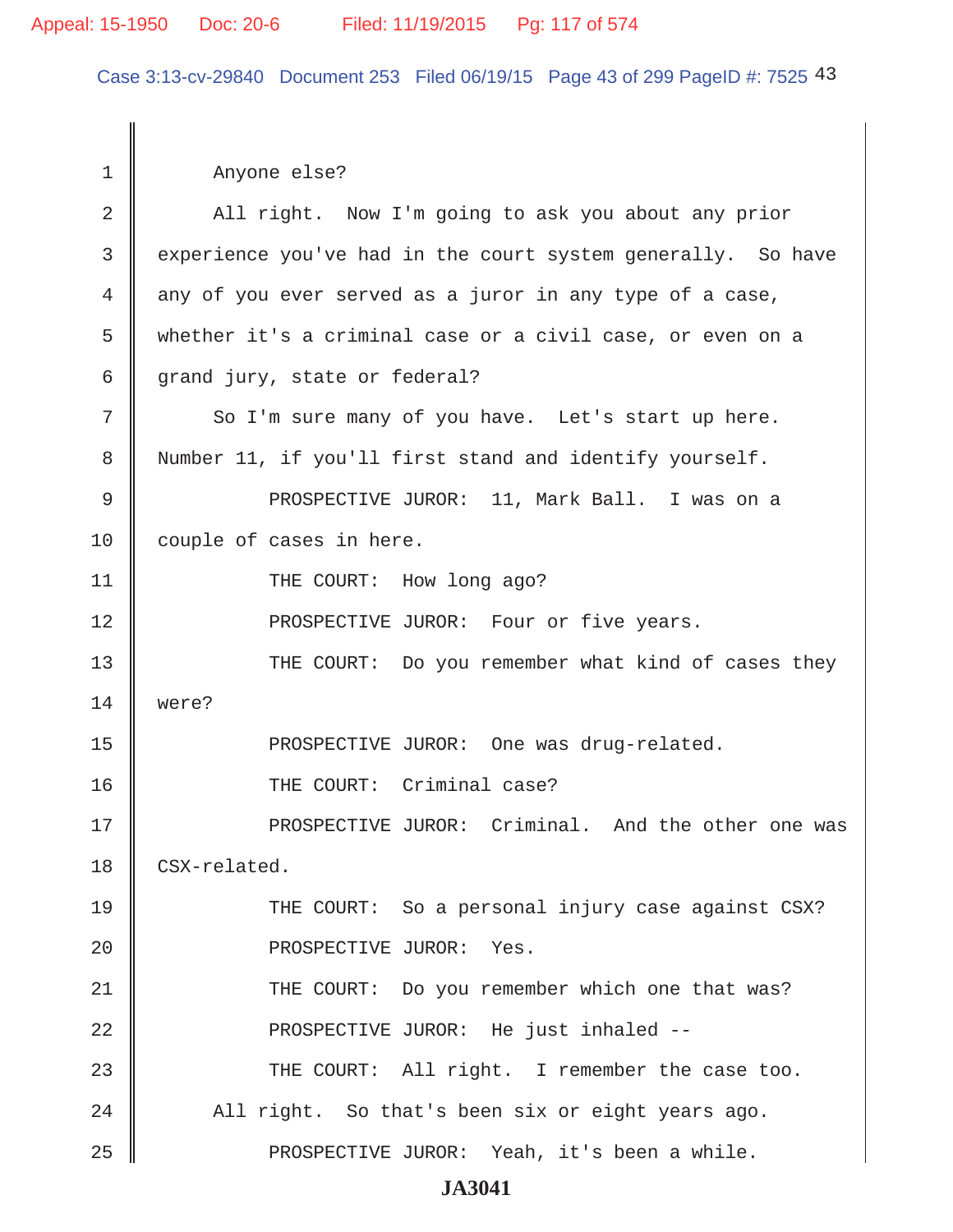### Appeal: 15-1950 Doc: 20-6 Filed: 11/19/2015 Pg: 117 of 574

Case 3:13-cv-29840 Document 253 Filed 06/19/15 Page 43 of 299 PageID #: 7525 43

 1 Anyone else? 2 All right. Now I'm going to ask you about any prior 3 experience you've had in the court system generally. So have 4 any of you ever served as a juror in any type of a case, 5 whether it's a criminal case or a civil case, or even on a 6 grand jury, state or federal? 7 So I'm sure many of you have. Let's start up here. 8 Number 11, if you'll first stand and identify yourself. 9 PROSPECTIVE JUROR: 11, Mark Ball. I was on a 10 couple of cases in here. 11 || THE COURT: How long ago? 12 **PROSPECTIVE JUROR:** Four or five years. 13 THE COURT: Do you remember what kind of cases they 14 were? 15 || PROSPECTIVE JUROR: One was drug-related. 16 || THE COURT: Criminal case? 17 || PROSPECTIVE JUROR: Criminal. And the other one was 18 CSX-related. 19 THE COURT: So a personal injury case against CSX? 20 || PROSPECTIVE JUROR: Yes. 21 || THE COURT: Do you remember which one that was? 22 **PROSPECTIVE JUROR:** He just inhaled --23 THE COURT: All right. I remember the case too.  $24$  || All right. So that's been six or eight years ago. 25 PROSPECTIVE JUROR: Yeah, it's been a while.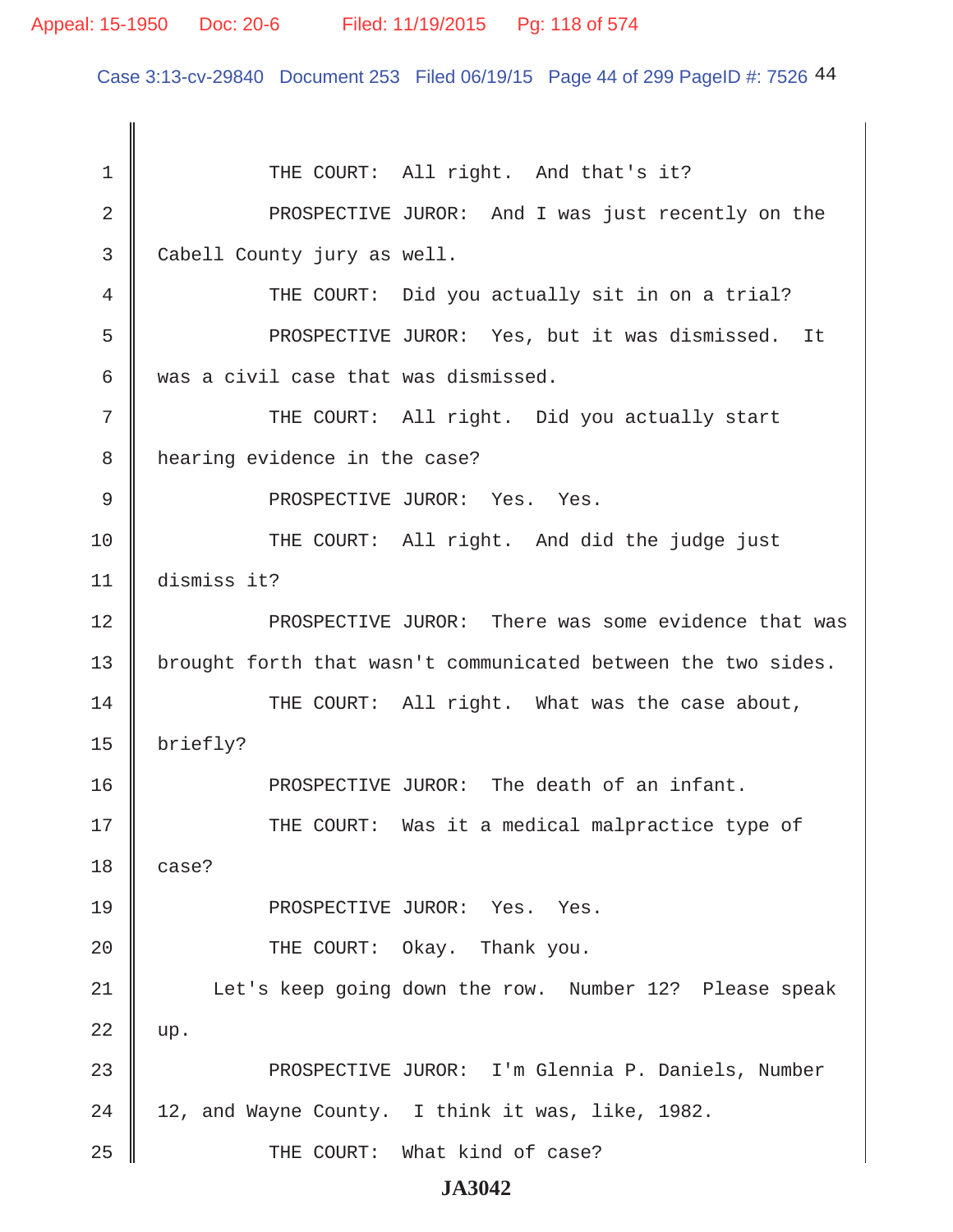### Appeal: 15-1950 Doc: 20-6 Filed: 11/19/2015 Pg: 118 of 574

Case 3:13-cv-29840 Document 253 Filed 06/19/15 Page 44 of 299 PageID #: 7526 44

1 THE COURT: All right. And that's it? 2 || PROSPECTIVE JUROR: And I was just recently on the 3 Cabell County jury as well. 4 THE COURT: Did you actually sit in on a trial? 5 || PROSPECTIVE JUROR: Yes, but it was dismissed. It 6 was a civil case that was dismissed. 7 || THE COURT: All right. Did you actually start 8 | hearing evidence in the case? 9 PROSPECTIVE JUROR: Yes. Yes. 10 THE COURT: All right. And did the judge just 11 dismiss it? 12 **PROSPECTIVE JUROR:** There was some evidence that was 13 | brought forth that wasn't communicated between the two sides. 14 THE COURT: All right. What was the case about, 15 briefly? 16 **PROSPECTIVE JUROR:** The death of an infant. 17 THE COURT: Was it a medical malpractice type of  $18 \parallel$  case? 19 || PROSPECTIVE JUROR: Yes. Yes. 20 **THE COURT:** Okay. Thank you. 21 | Let's keep going down the row. Number 12? Please speak  $22 \parallel \text{up}.$ 23 || PROSPECTIVE JUROR: I'm Glennia P. Daniels, Number  $24 \parallel 12$ , and Wayne County. I think it was, like, 1982. 25 || THE COURT: What kind of case?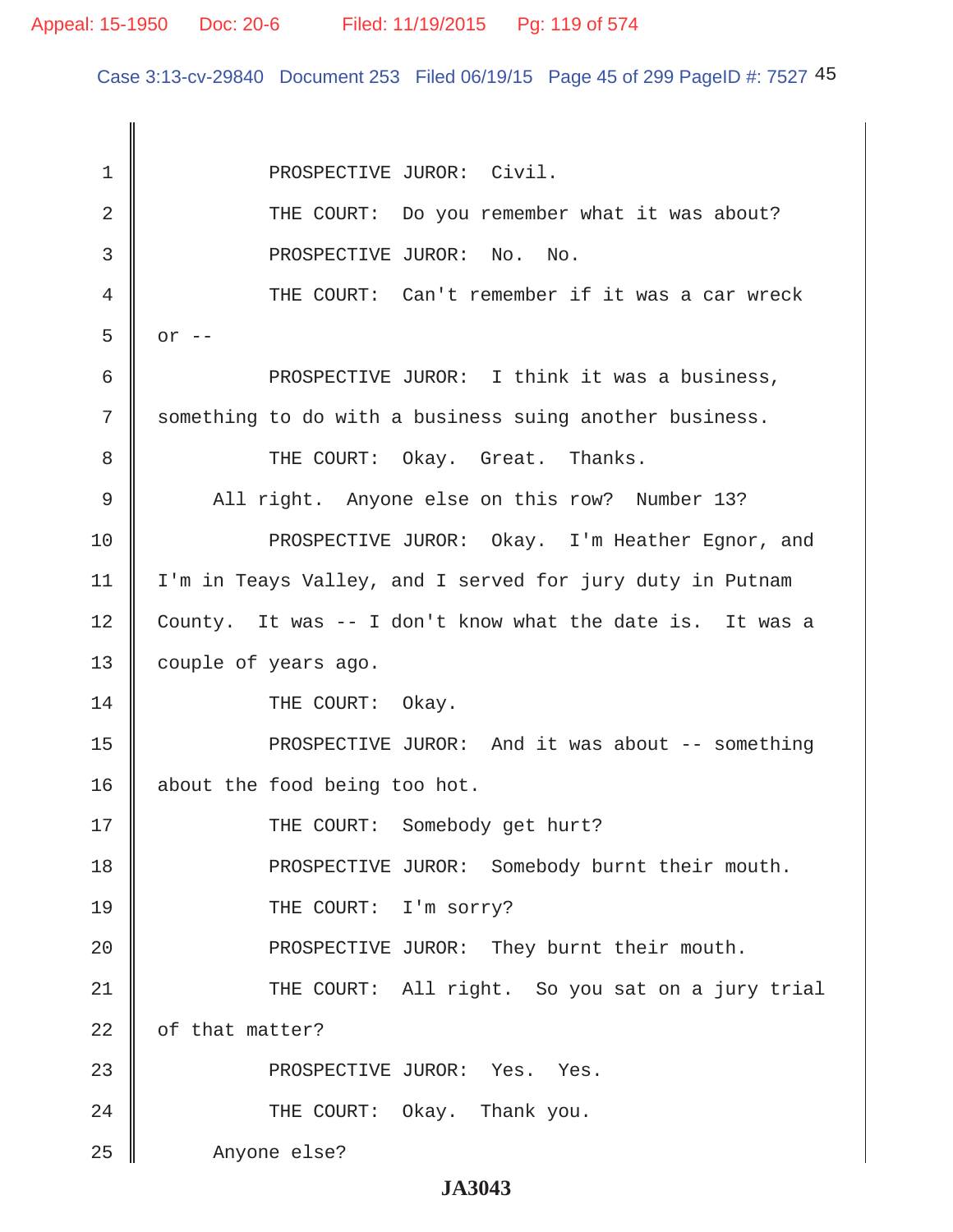Case 3:13-cv-29840 Document 253 Filed 06/19/15 Page 45 of 299 PageID #: 7527 45

1 || PROSPECTIVE JUROR: Civil. 2 || THE COURT: Do you remember what it was about? 3 || PROSPECTIVE JUROR: No. No. 4 THE COURT: Can't remember if it was a car wreck  $5 \parallel$  or  $-$ 6 || PROSPECTIVE JUROR: I think it was a business, 7 Something to do with a business suing another business. 8 CHE COURT: Okay. Great. Thanks. 9 All right. Anyone else on this row? Number 13? 10 PROSPECTIVE JUROR: Okay. I'm Heather Eqnor, and 11 | I'm in Teays Valley, and I served for jury duty in Putnam 12 County. It was -- I don't know what the date is. It was a 13 | couple of years ago. 14 COURT: Okay. 15 || PROSPECTIVE JUROR: And it was about -- something 16 about the food being too hot. 17 || THE COURT: Somebody get hurt? 18 || PROSPECTIVE JUROR: Somebody burnt their mouth. 19 || THE COURT: I'm sorry? 20 | PROSPECTIVE JUROR: They burnt their mouth. 21 THE COURT: All right. So you sat on a jury trial  $22$  | of that matter? 23 || PROSPECTIVE JUROR: Yes. Yes. 24 **THE COURT:** Okay. Thank you. 25 Anyone else?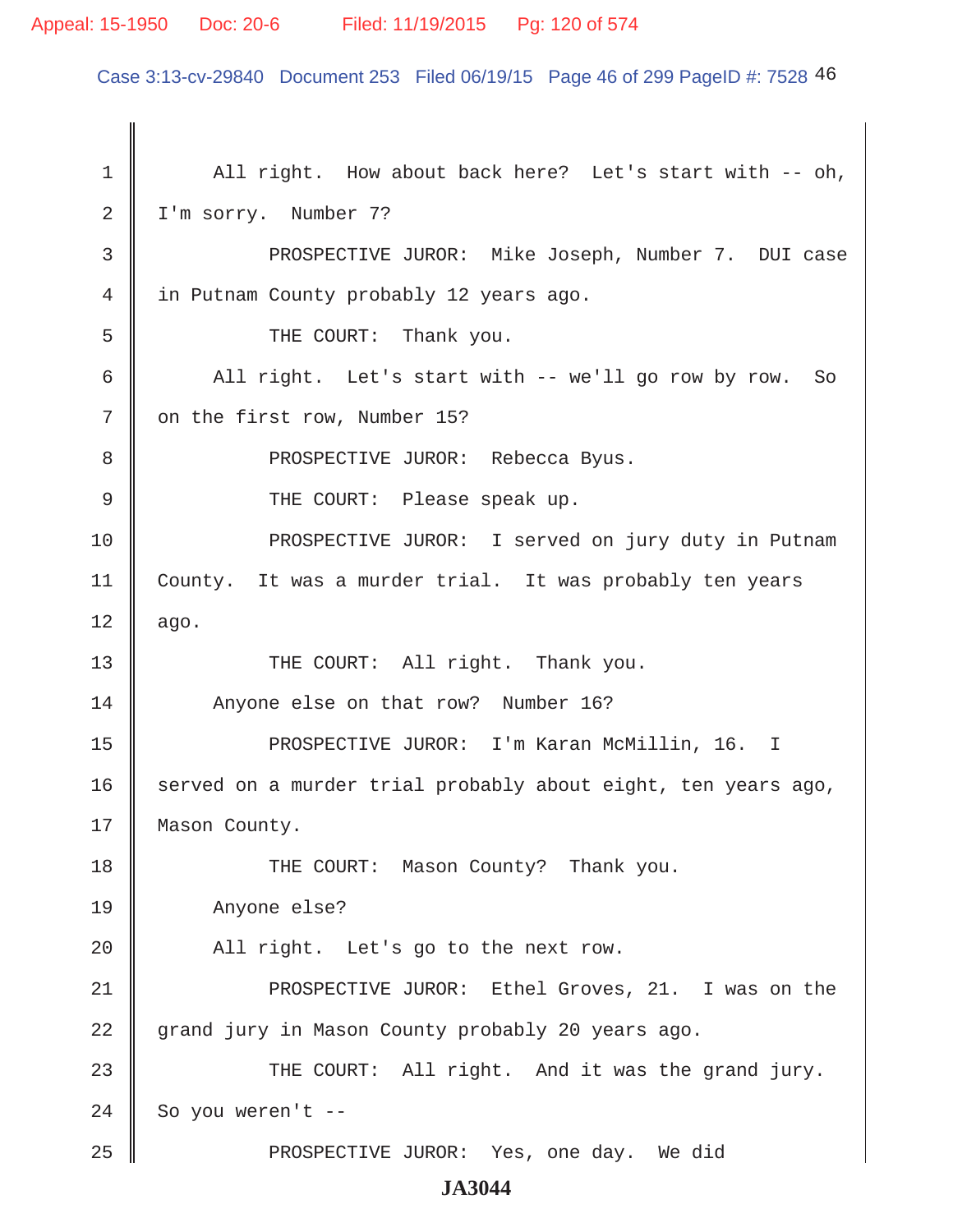### Appeal: 15-1950 Doc: 20-6 Filed: 11/19/2015 Pg: 120 of 574

Case 3:13-cv-29840 Document 253 Filed 06/19/15 Page 46 of 299 PageID #: 7528 46

1 | All right. How about back here? Let's start with -- oh, 2 | I'm sorry. Number 7? 3 PROSPECTIVE JUROR: Mike Joseph, Number 7. DUI case 4 | in Putnam County probably 12 years ago. 5 SUPERFEDUAL: Thank you. 6  $\parallel$  All right. Let's start with -- we'll go row by row. So 7 on the first row, Number 15? 8 PROSPECTIVE JUROR: Rebecca Byus. 9 THE COURT: Please speak up. 10 **PROSPECTIVE JUROR:** I served on jury duty in Putnam 11 County. It was a murder trial. It was probably ten years  $12 \parallel$  ago. 13 || THE COURT: All right. Thank you. 14 Anyone else on that row? Number 16? 15 || PROSPECTIVE JUROR: I'm Karan McMillin, 16. I 16 served on a murder trial probably about eight, ten years ago, 17 | Mason County. 18 **THE COURT:** Mason County? Thank you. 19 Anyone else? 20 | All right. Let's go to the next row. 21 || PROSPECTIVE JUROR: Ethel Groves, 21. I was on the 22 grand jury in Mason County probably 20 years ago. 23 THE COURT: All right. And it was the grand jury.  $24$  So you weren't --25 PROSPECTIVE JUROR: Yes, one day. We did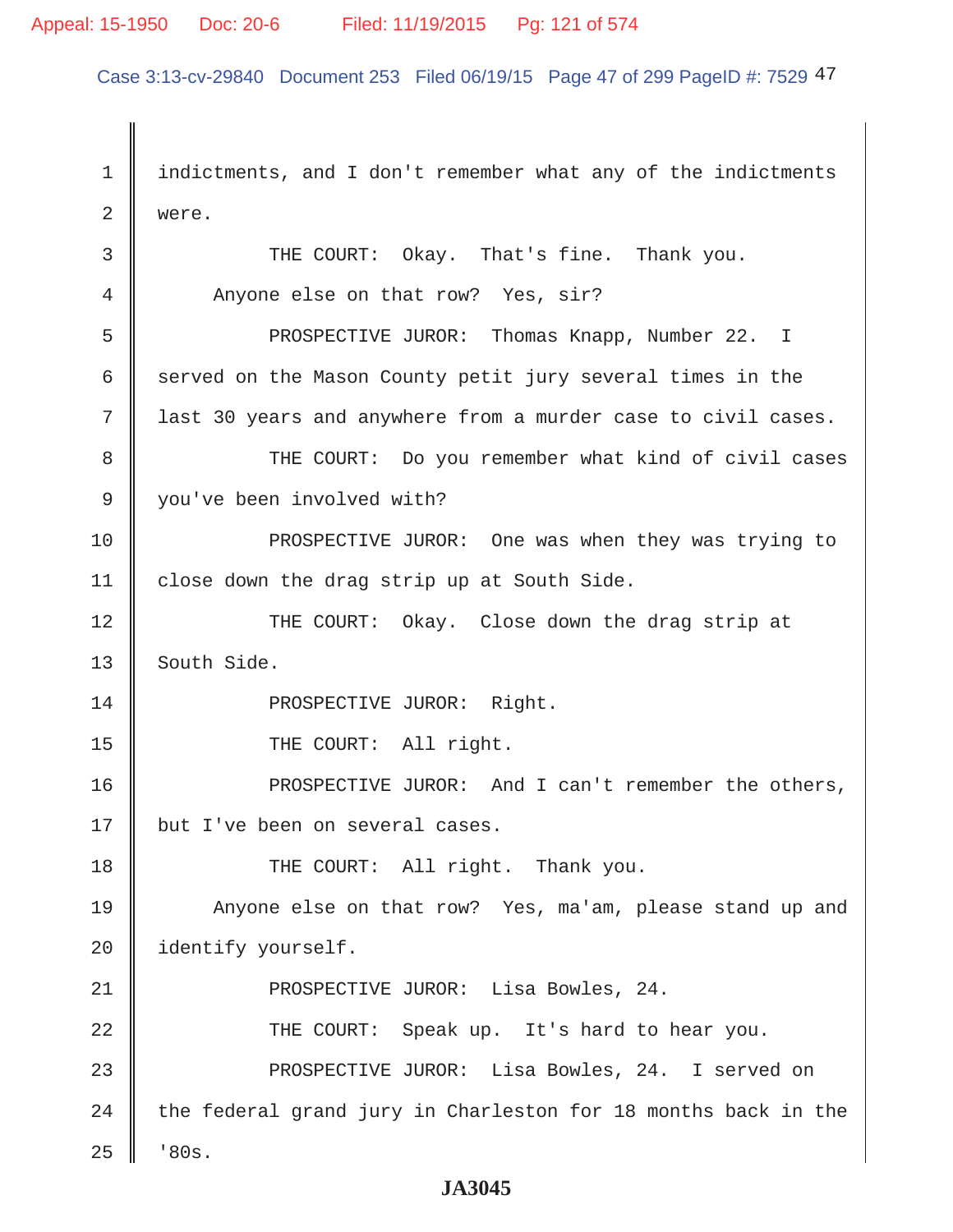### Appeal: 15-1950 Doc: 20-6 Filed: 11/19/2015 Pg: 121 of 574

Case 3:13-cv-29840 Document 253 Filed 06/19/15 Page 47 of 299 PageID #: 7529 47

 1 indictments, and I don't remember what any of the indictments 2 were. 3 THE COURT: Okay. That's fine. Thank you. 4 Anyone else on that row? Yes, sir? 5 Supersect PROSPECTIVE JUROR: Thomas Knapp, Number 22. I 6 served on the Mason County petit jury several times in the 7 last 30 years and anywhere from a murder case to civil cases. 8 THE COURT: Do you remember what kind of civil cases 9 you've been involved with? 10 **PROSPECTIVE JUROR:** One was when they was trying to 11 | close down the drag strip up at South Side. 12 THE COURT: Okay. Close down the drag strip at  $13$  South Side. 14 || PROSPECTIVE JUROR: Right. 15 || THE COURT: All right. 16 PROSPECTIVE JUROR: And I can't remember the others, 17 | but I've been on several cases. 18 THE COURT: All right. Thank you. 19 Anyone else on that row? Yes, ma'am, please stand up and 20 didentify yourself. 21 || PROSPECTIVE JUROR: Lisa Bowles, 24. 22 THE COURT: Speak up. It's hard to hear you. 23 **PROSPECTIVE JUROR:** Lisa Bowles, 24. I served on 24  $\parallel$  the federal grand jury in Charleston for 18 months back in the  $25 \parallel$  '80s.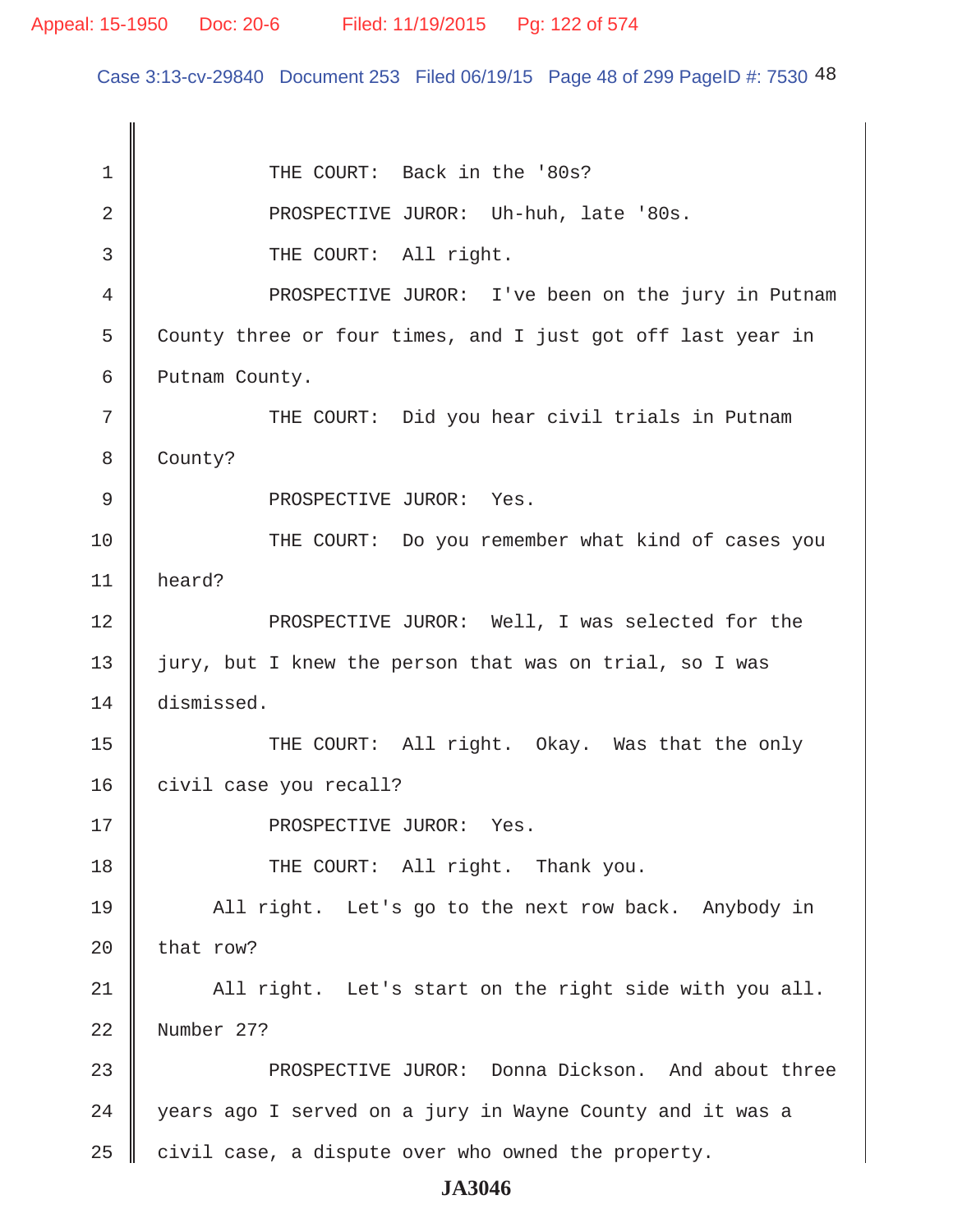Case 3:13-cv-29840 Document 253 Filed 06/19/15 Page 48 of 299 PageID #: 7530 48

1 THE COURT: Back in the '80s? 2 || PROSPECTIVE JUROR: Uh-huh, late '80s. 3 || THE COURT: All right. 4 | PROSPECTIVE JUROR: I've been on the jury in Putnam 5 County three or four times, and I just got off last year in 6 **Putnam County.**  7 THE COURT: Did you hear civil trials in Putnam 8 County? 9 || PROSPECTIVE JUROR: Yes. 10 THE COURT: Do you remember what kind of cases you 11 heard? 12 || PROSPECTIVE JUROR: Well, I was selected for the 13 || jury, but I knew the person that was on trial, so I was 14 dismissed. 15 || THE COURT: All right. Okay. Was that the only 16 civil case you recall? 17 || PROSPECTIVE JUROR: Yes. 18 THE COURT: All right. Thank you. 19 All right. Let's go to the next row back. Anybody in 20  $\parallel$  that row?  $21$   $\parallel$  All right. Let's start on the right side with you all. 22 Number 27? 23 **PROSPECTIVE JUROR:** Donna Dickson. And about three 24 | years ago I served on a jury in Wayne County and it was a  $25$  civil case, a dispute over who owned the property.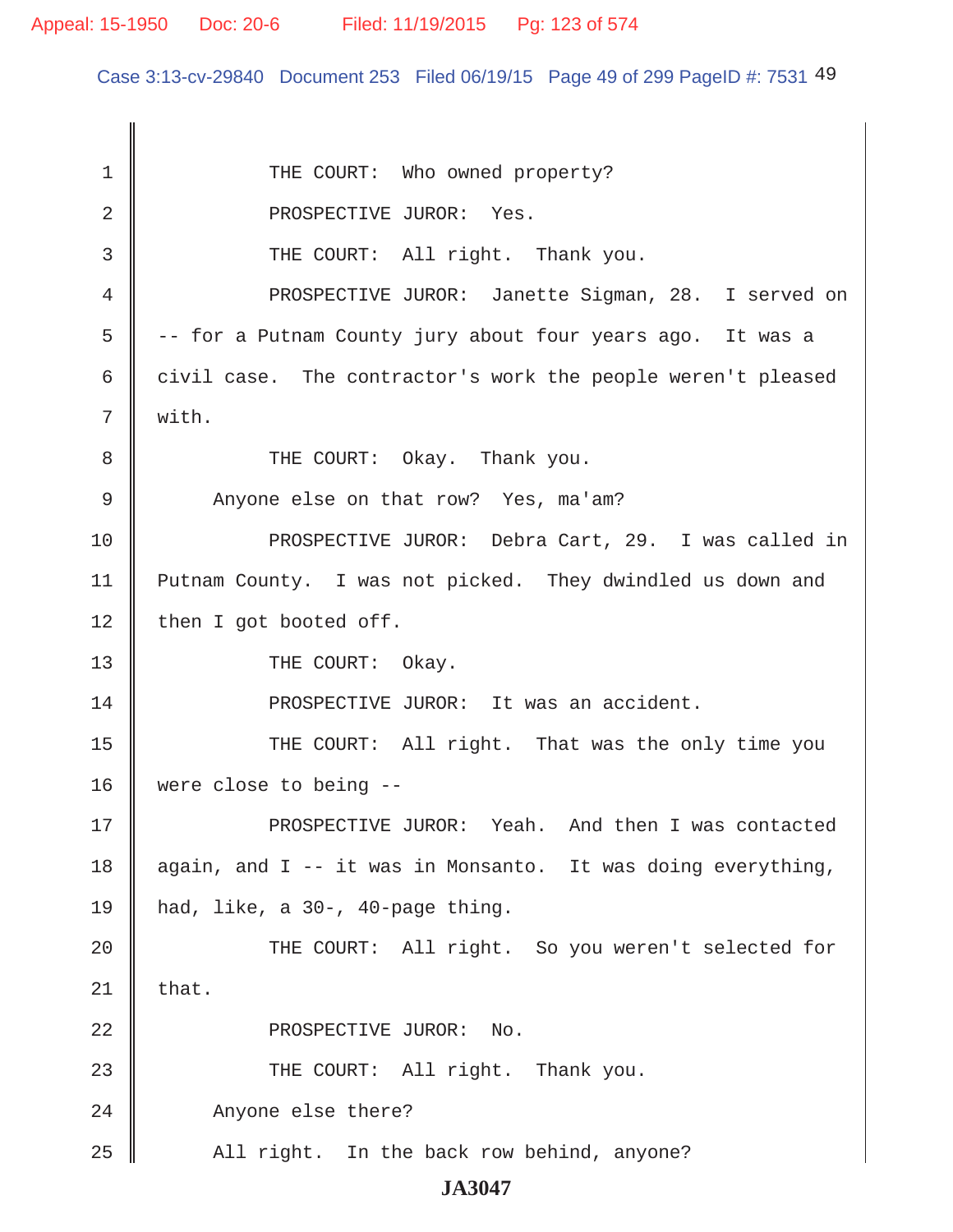Case 3:13-cv-29840 Document 253 Filed 06/19/15 Page 49 of 299 PageID #: 7531 49

| 1           | THE COURT: Who owned property?                               |
|-------------|--------------------------------------------------------------|
| 2           | PROSPECTIVE JUROR: Yes.                                      |
| 3           | THE COURT: All right. Thank you.                             |
| 4           | PROSPECTIVE JUROR: Janette Sigman, 28. I served on           |
| 5           | -- for a Putnam County jury about four years ago. It was a   |
| 6           | civil case. The contractor's work the people weren't pleased |
| 7           | with.                                                        |
| 8           | THE COURT: Okay. Thank you.                                  |
| $\mathsf 9$ | Anyone else on that row? Yes, ma'am?                         |
| 10          | PROSPECTIVE JUROR: Debra Cart, 29. I was called in           |
| 11          | Putnam County. I was not picked. They dwindled us down and   |
| 12          | then I got booted off.                                       |
| 13          | THE COURT: Okay.                                             |
| 14          | PROSPECTIVE JUROR: It was an accident.                       |
| 15          | THE COURT: All right. That was the only time you             |
| 16          | were close to being --                                       |
| 17          | PROSPECTIVE JUROR: Yeah. And then I was contacted            |
| 18          | again, and I -- it was in Monsanto. It was doing everything, |
| 19          | had, like, a 30-, 40-page thing.                             |
| 20          | THE COURT: All right. So you weren't selected for            |
| 21          | that.                                                        |
| 22          | PROSPECTIVE JUROR: No.                                       |
| 23          | THE COURT: All right. Thank you.                             |
| 24          | Anyone else there?                                           |
| 25          | All right. In the back row behind, anyone?                   |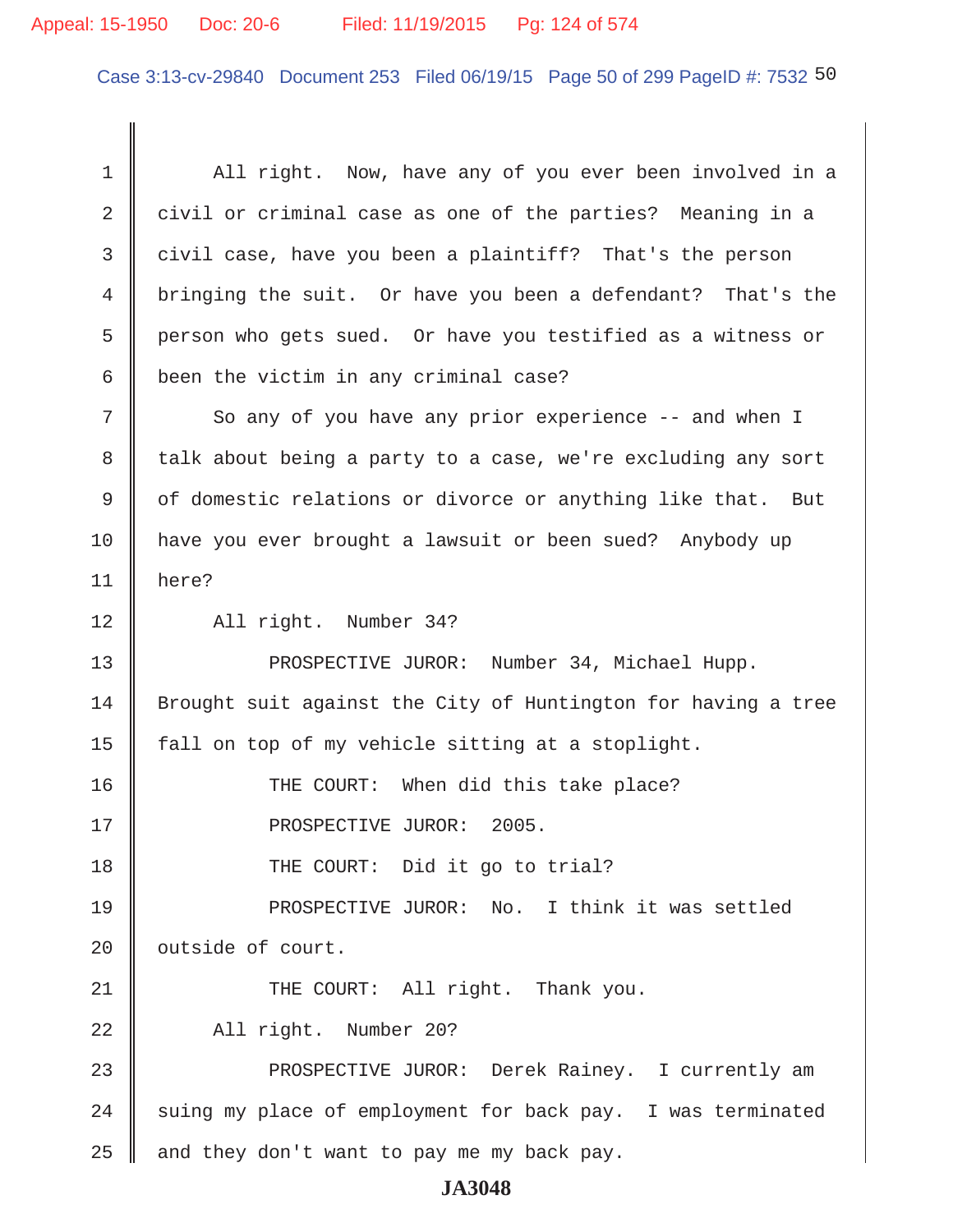# Appeal: 15-1950 Doc: 20-6 Filed: 11/19/2015 Pg: 124 of 574

Case 3:13-cv-29840 Document 253 Filed 06/19/15 Page 50 of 299 PageID #: 7532 50

| 1  | All right. Now, have any of you ever been involved in a       |
|----|---------------------------------------------------------------|
| 2  | civil or criminal case as one of the parties? Meaning in a    |
| 3  | civil case, have you been a plaintiff? That's the person      |
| 4  | bringing the suit. Or have you been a defendant? That's the   |
| 5  | person who gets sued. Or have you testified as a witness or   |
| 6  | been the victim in any criminal case?                         |
| 7  | So any of you have any prior experience -- and when I         |
| 8  | talk about being a party to a case, we're excluding any sort  |
| 9  | of domestic relations or divorce or anything like that. But   |
| 10 | have you ever brought a lawsuit or been sued? Anybody up      |
| 11 | here?                                                         |
| 12 | All right. Number 34?                                         |
| 13 | PROSPECTIVE JUROR: Number 34, Michael Hupp.                   |
| 14 | Brought suit against the City of Huntington for having a tree |
| 15 | fall on top of my vehicle sitting at a stoplight.             |
| 16 | THE COURT: When did this take place?                          |
| 17 | PROSPECTIVE JUROR: 2005.                                      |
| 18 | THE COURT: Did it go to trial?                                |
| 19 | PROSPECTIVE JUROR: No. I think it was settled                 |
| 20 | outside of court.                                             |
| 21 | THE COURT: All right. Thank you.                              |
| 22 | All right. Number 20?                                         |
| 23 | PROSPECTIVE JUROR: Derek Rainey. I currently am               |
| 24 | suing my place of employment for back pay. I was terminated   |
| 25 | and they don't want to pay me my back pay.                    |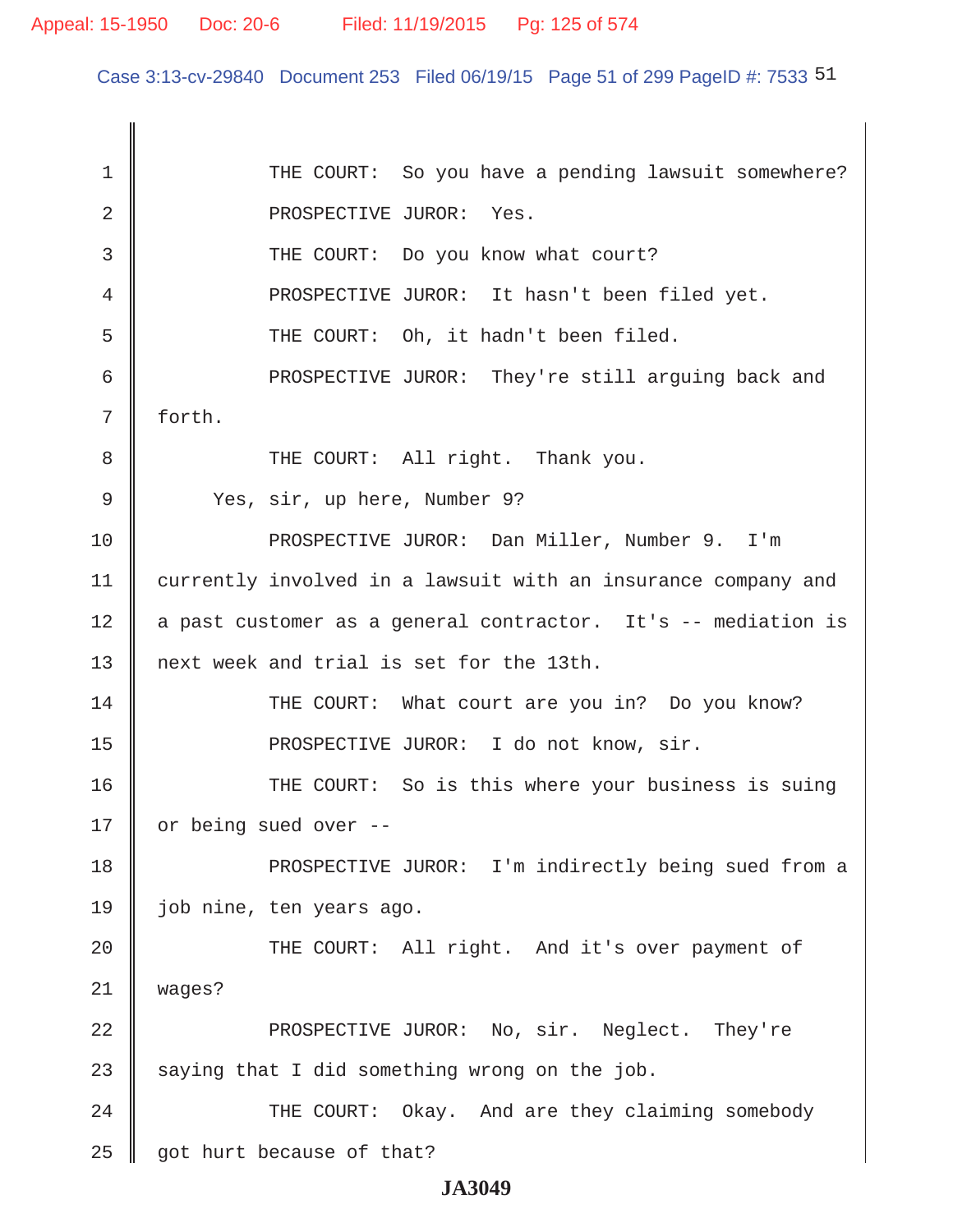Case 3:13-cv-29840 Document 253 Filed 06/19/15 Page 51 of 299 PageID #: 7533 51

1 THE COURT: So you have a pending lawsuit somewhere? 2 North PROSPECTIVE JUROR: Yes. 3 THE COURT: Do you know what court? 4 PROSPECTIVE JUROR: It hasn't been filed yet. 5 || THE COURT: Oh, it hadn't been filed. 6 || PROSPECTIVE JUROR: They're still arguing back and 7 forth. 8 || THE COURT: All right. Thank you. 9 Yes, sir, up here, Number 9? 10 PROSPECTIVE JUROR: Dan Miller, Number 9. I'm 11 currently involved in a lawsuit with an insurance company and 12 a past customer as a general contractor. It's -- mediation is 13 || next week and trial is set for the 13th. 14 THE COURT: What court are you in? Do you know? 15 || PROSPECTIVE JUROR: I do not know, sir. 16 THE COURT: So is this where your business is suing 17  $\parallel$  or being sued over --18 PROSPECTIVE JUROR: I'm indirectly being sued from a 19 job nine, ten years ago. 20 || THE COURT: All right. And it's over payment of 21 wages? 22 **PROSPECTIVE JUROR:** No, sir. Neglect. They're 23 saying that I did something wrong on the job. 24 || THE COURT: Okay. And are they claiming somebody 25  $\parallel$  got hurt because of that?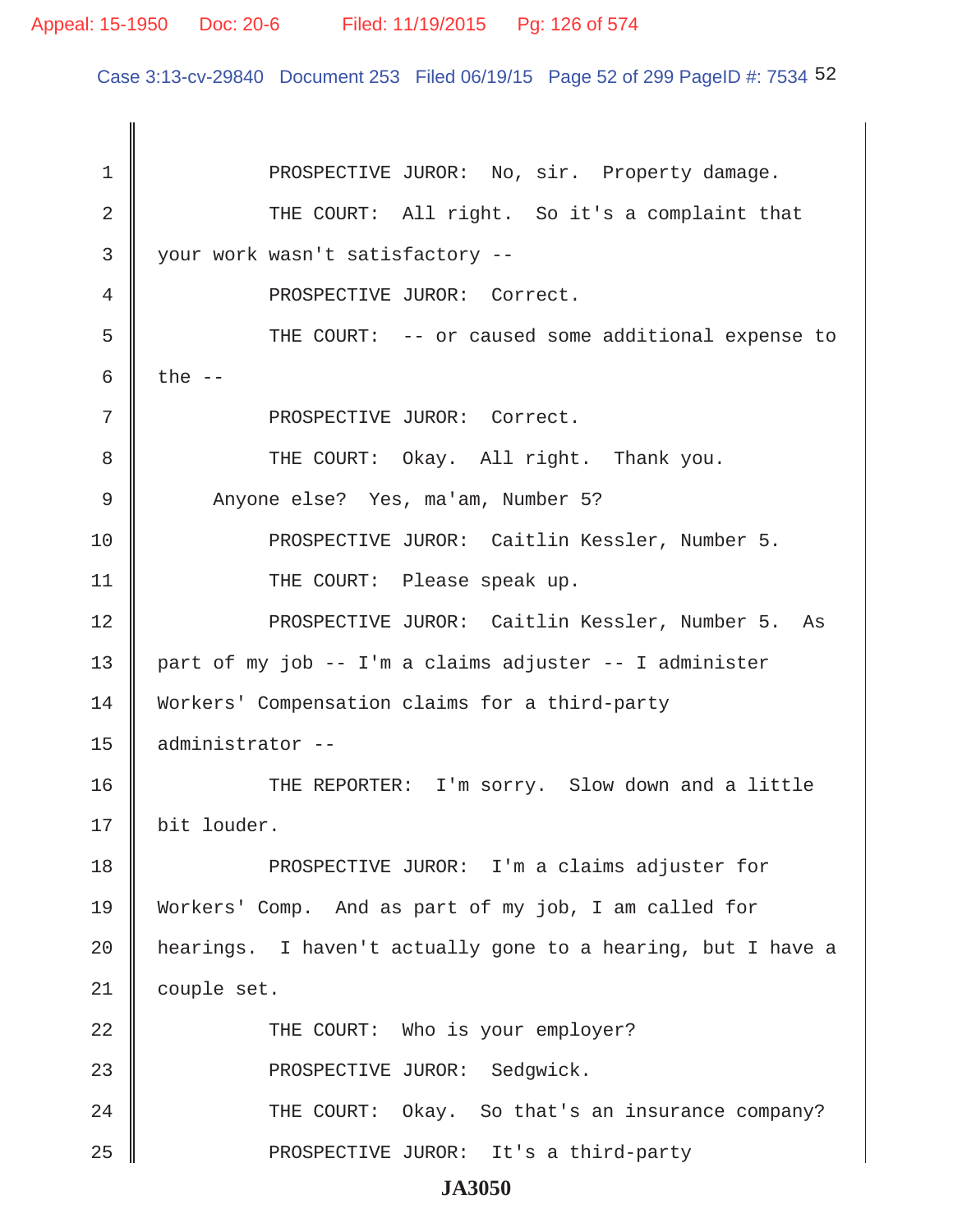### Appeal: 15-1950 Doc: 20-6 Filed: 11/19/2015 Pg: 126 of 574

Case 3:13-cv-29840 Document 253 Filed 06/19/15 Page 52 of 299 PageID #: 7534 52

1 | PROSPECTIVE JUROR: No, sir. Property damage. 2 THE COURT: All right. So it's a complaint that 3 your work wasn't satisfactory -- 4 || PROSPECTIVE JUROR: Correct. 5 THE COURT: -- or caused some additional expense to 6 the  $-$ 7 || PROSPECTIVE JUROR: Correct. 8 THE COURT: Okay. All right. Thank you. 9 Anyone else? Yes, ma'am, Number 5? 10 PROSPECTIVE JUROR: Caitlin Kessler, Number 5. 11 || THE COURT: Please speak up. 12 || PROSPECTIVE JUROR: Caitlin Kessler, Number 5. As 13  $\parallel$  part of my job -- I'm a claims adjuster -- I administer 14 Workers' Compensation claims for a third-party 15 administrator -- 16 THE REPORTER: I'm sorry. Slow down and a little 17 || bit louder. 18 **PROSPECTIVE JUROR:** I'm a claims adjuster for 19 Workers' Comp. And as part of my job, I am called for 20 | hearings. I haven't actually gone to a hearing, but I have a 21 | couple set. 22 || THE COURT: Who is your employer? 23 || PROSPECTIVE JUROR: Sedqwick. 24 THE COURT: Okay. So that's an insurance company? 25 || PROSPECTIVE JUROR: It's a third-party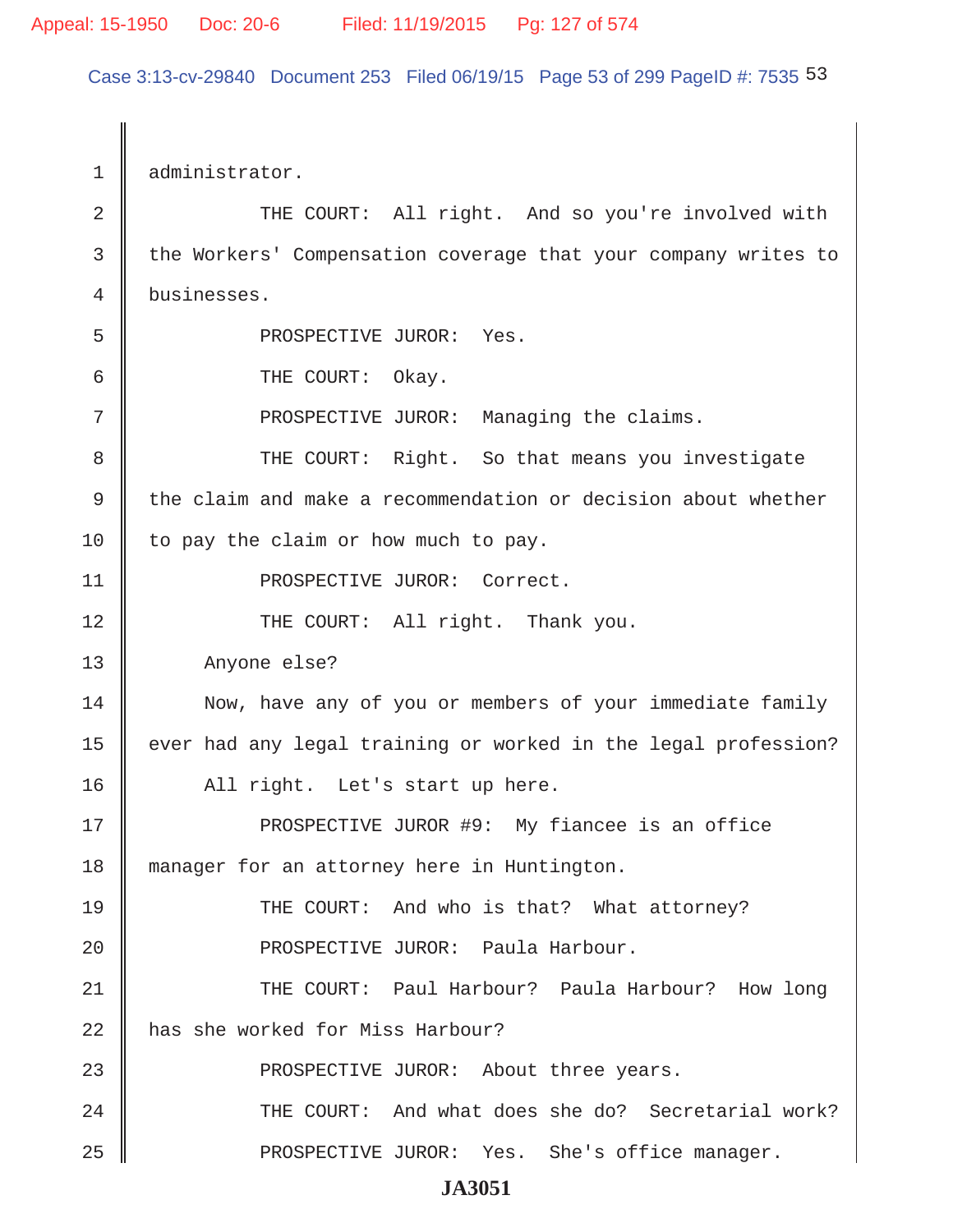Case 3:13-cv-29840 Document 253 Filed 06/19/15 Page 53 of 299 PageID #: 7535 53

1 administrator. 2 || THE COURT: All right. And so you're involved with 3 the Workers' Compensation coverage that your company writes to 4 businesses. 5 || PROSPECTIVE JUROR: Yes. 6 **6** THE COURT: Okay. 7 || PROSPECTIVE JUROR: Managing the claims. 8 THE COURT: Right. So that means you investigate  $9 \parallel$  the claim and make a recommendation or decision about whether  $10$  to pay the claim or how much to pay. 11 || PROSPECTIVE JUROR: Correct. 12 || THE COURT: All right. Thank you. 13 | Anyone else? 14 Now, have any of you or members of your immediate family 15 | ever had any legal training or worked in the legal profession? 16 || All right. Let's start up here. 17 PROSPECTIVE JUROR #9: My fiancee is an office 18 manager for an attorney here in Huntington. 19 THE COURT: And who is that? What attorney? 20 || PROSPECTIVE JUROR: Paula Harbour. 21 THE COURT: Paul Harbour? Paula Harbour? How long 22 has she worked for Miss Harbour? 23 || PROSPECTIVE JUROR: About three years. 24 THE COURT: And what does she do? Secretarial work? 25 || PROSPECTIVE JUROR: Yes. She's office manager.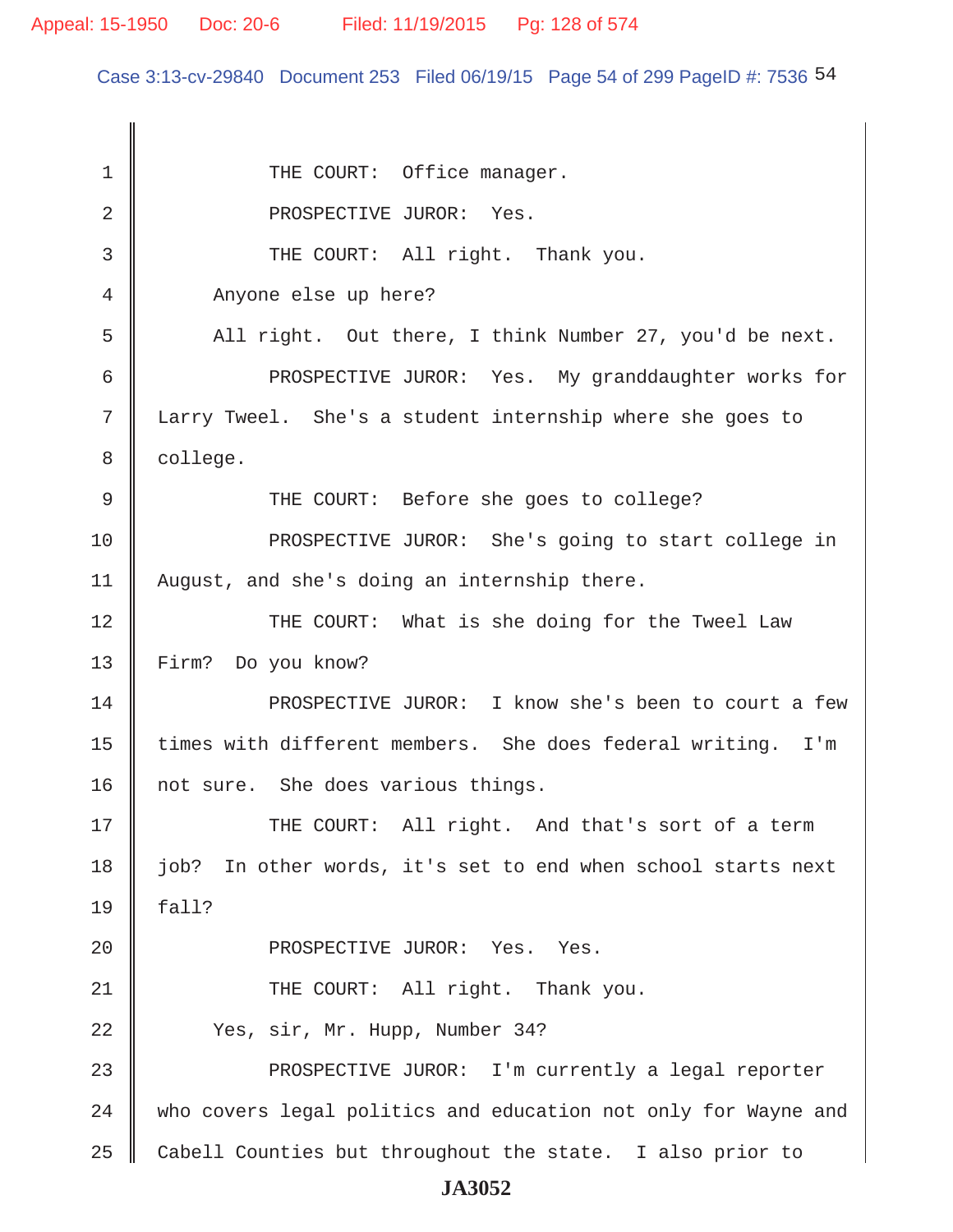Case 3:13-cv-29840 Document 253 Filed 06/19/15 Page 54 of 299 PageID #: 7536 54

1 || THE COURT: Office manager. 2 North PROSPECTIVE JUROR: Yes. 3 || THE COURT: All right. Thank you. 4 Anyone else up here? 5 All right. Out there, I think Number 27, you'd be next. 6 PROSPECTIVE JUROR: Yes. My granddaughter works for 7 Larry Tweel. She's a student internship where she goes to 8 | college. 9 THE COURT: Before she goes to college? 10 PROSPECTIVE JUROR: She's going to start college in 11 August, and she's doing an internship there. 12 THE COURT: What is she doing for the Tweel Law 13 Firm? Do you know? 14 || PROSPECTIVE JUROR: I know she's been to court a few 15 | times with different members. She does federal writing. I'm 16 || not sure. She does various things. 17 THE COURT: All right. And that's sort of a term 18 job? In other words, it's set to end when school starts next  $19 \parallel$  fall? 20 || PROSPECTIVE JUROR: Yes. Yes. 21 || THE COURT: All right. Thank you. 22 Yes, sir, Mr. Hupp, Number 34? 23 || PROSPECTIVE JUROR: I'm currently a legal reporter 24 who covers legal politics and education not only for Wayne and  $25$  Cabell Counties but throughout the state. I also prior to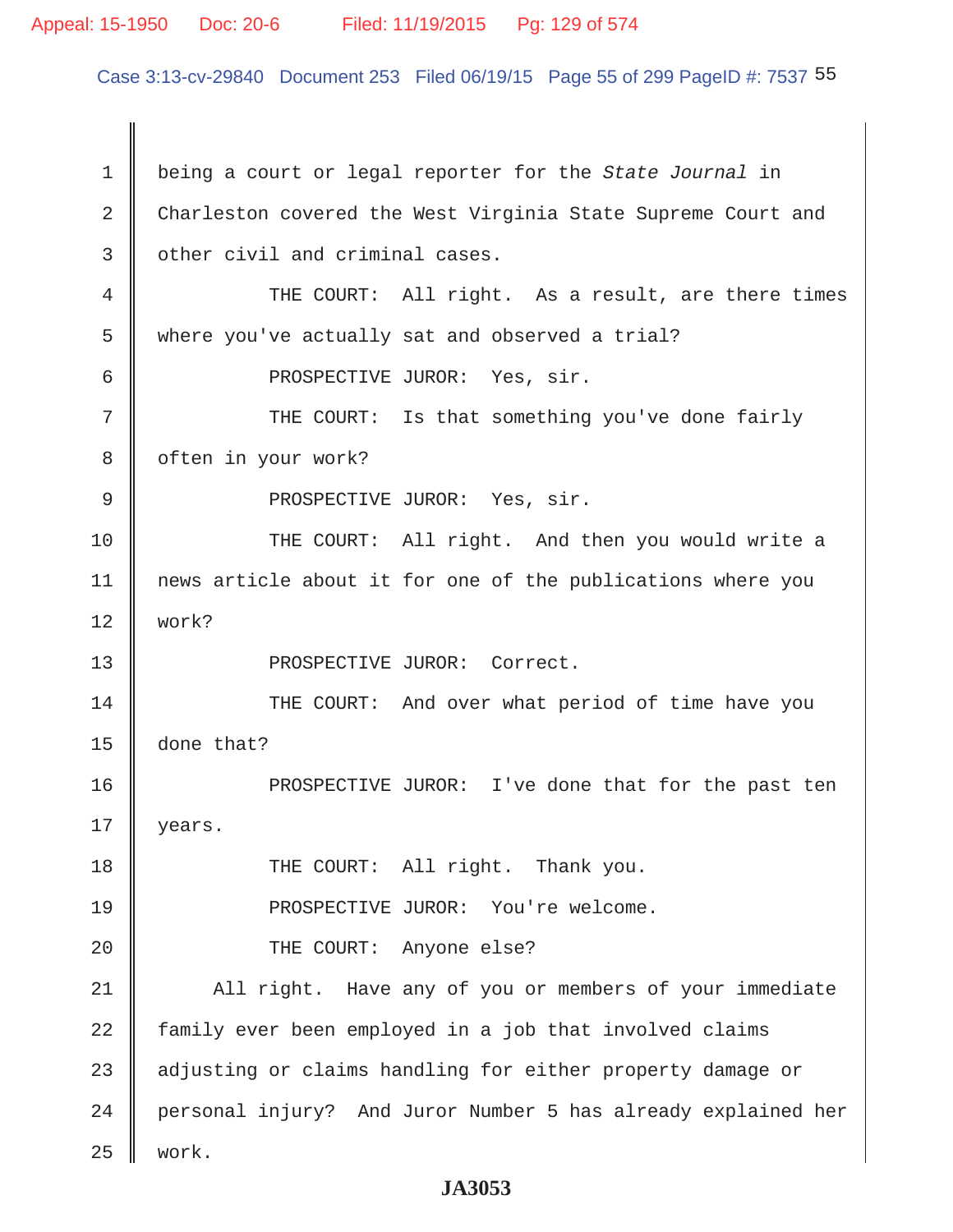### Appeal: 15-1950 Doc: 20-6 Filed: 11/19/2015 Pg: 129 of 574

Case 3:13-cv-29840 Document 253 Filed 06/19/15 Page 55 of 299 PageID #: 7537 55

 1 being a court or legal reporter for the *State Journal* in 2 Charleston covered the West Virginia State Supreme Court and 3 | other civil and criminal cases. 4 THE COURT: All right. As a result, are there times 5 where you've actually sat and observed a trial? 6 || PROSPECTIVE JUROR: Yes, sir. 7 THE COURT: Is that something you've done fairly 8 | often in your work? 9 || PROSPECTIVE JUROR: Yes, sir. 10 || THE COURT: All right. And then you would write a 11 news article about it for one of the publications where you 12 work? 13 || PROSPECTIVE JUROR: Correct. 14 || THE COURT: And over what period of time have you 15 done that? 16 || PROSPECTIVE JUROR: I've done that for the past ten 17 | years. 18 || THE COURT: All right. Thank you. 19 || PROSPECTIVE JUROR: You're welcome. 20 || THE COURT: Anyone else? 21 All right. Have any of you or members of your immediate 22 family ever been employed in a job that involved claims 23 adjusting or claims handling for either property damage or 24 || personal injury? And Juror Number 5 has already explained her 25 work.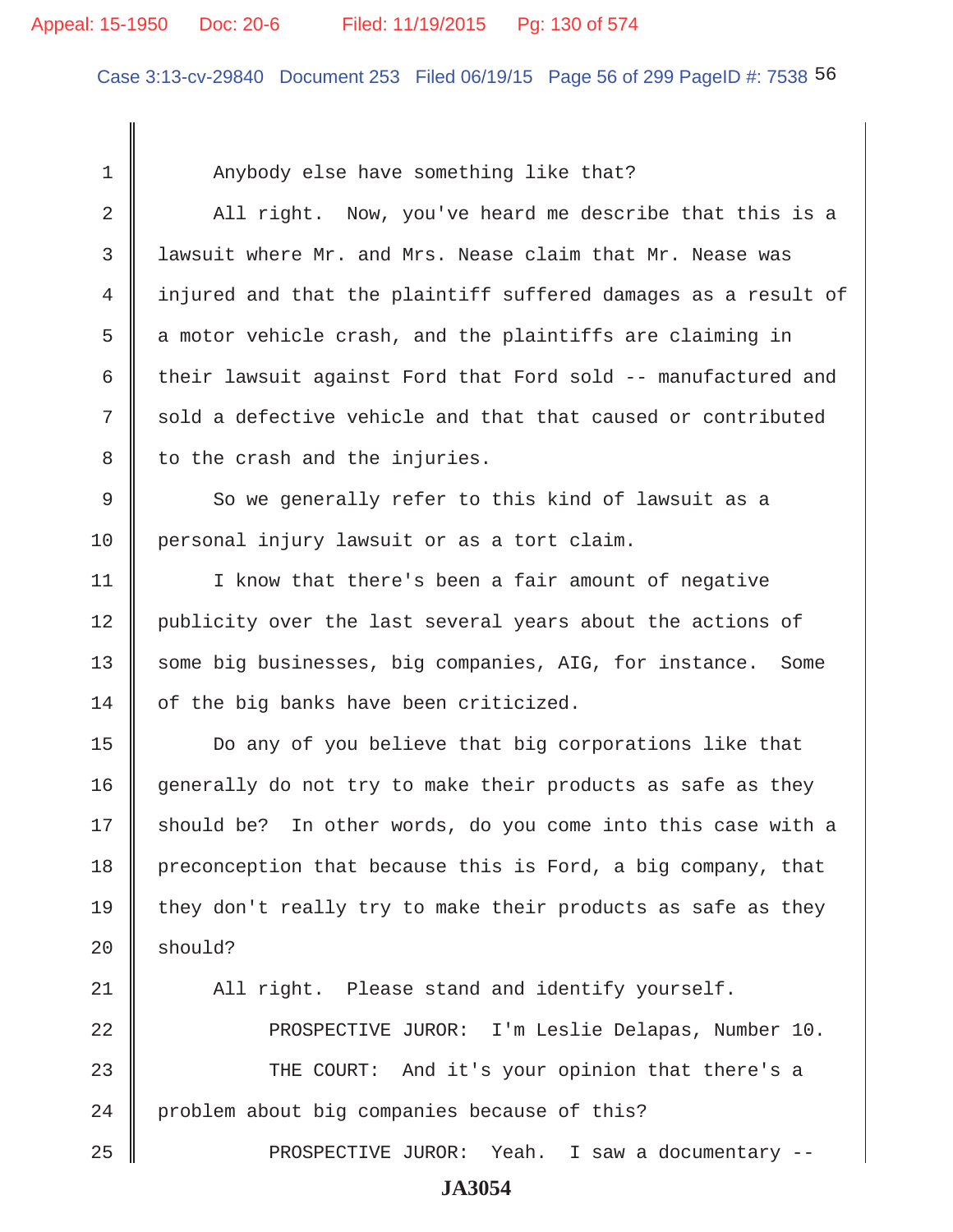### Appeal: 15-1950 Doc: 20-6 Filed: 11/19/2015 Pg: 130 of 574

Case 3:13-cv-29840 Document 253 Filed 06/19/15 Page 56 of 299 PageID #: 7538 56

1 Next Anybody else have something like that? 2 All right. Now, you've heard me describe that this is a 3 lawsuit where Mr. and Mrs. Nease claim that Mr. Nease was 4 injured and that the plaintiff suffered damages as a result of  $5 \parallel$  a motor vehicle crash, and the plaintiffs are claiming in 6 their lawsuit against Ford that Ford sold -- manufactured and  $7 \parallel$  sold a defective vehicle and that that caused or contributed  $8$  | to the crash and the injuries. 9 So we generally refer to this kind of lawsuit as a 10 personal injury lawsuit or as a tort claim. 11 | I know that there's been a fair amount of negative 12 | publicity over the last several years about the actions of 13 || some big businesses, big companies, AIG, for instance. Some 14 of the big banks have been criticized. 15 Do any of you believe that big corporations like that 16 generally do not try to make their products as safe as they  $17$  should be? In other words, do you come into this case with a 18 preconception that because this is Ford, a big company, that 19  $\parallel$  they don't really try to make their products as safe as they  $20$  should? 21 || All right. Please stand and identify yourself. 22 PROSPECTIVE JUROR: I'm Leslie Delapas, Number 10. 23 THE COURT: And it's your opinion that there's a 24 problem about big companies because of this? 25 PROSPECTIVE JUROR: Yeah. I saw a documentary --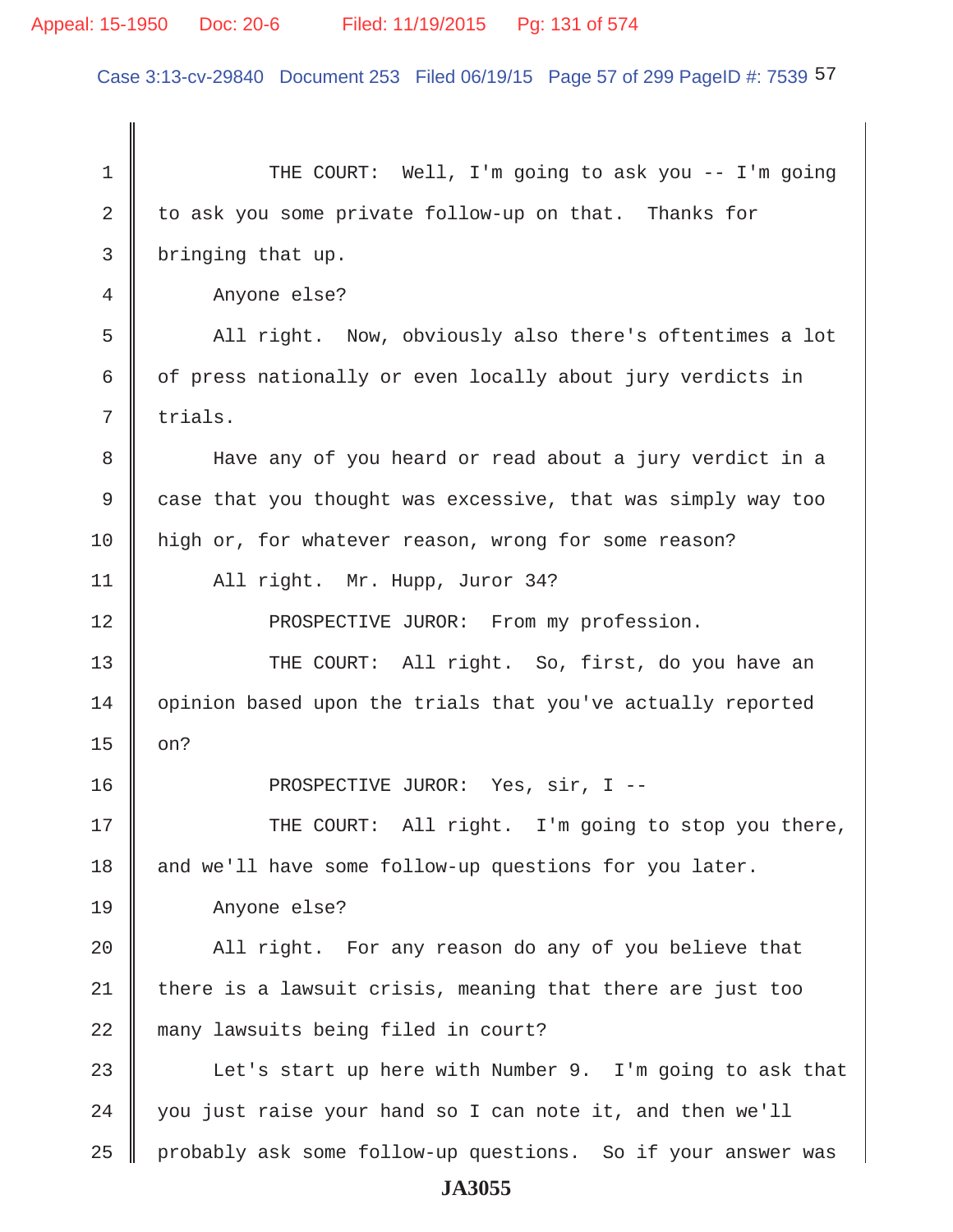Case 3:13-cv-29840 Document 253 Filed 06/19/15 Page 57 of 299 PageID #: 7539 57

1 THE COURT: Well, I'm going to ask you -- I'm going 2 to ask you some private follow-up on that. Thanks for 3 bringing that up. 4 Anyone else? 5 All right. Now, obviously also there's oftentimes a lot  $6 \parallel$  of press nationally or even locally about jury verdicts in  $7 \parallel$  trials. 8 Have any of you heard or read about a jury verdict in a 9 | case that you thought was excessive, that was simply way too 10 high or, for whatever reason, wrong for some reason? 11 | All right. Mr. Hupp, Juror 34? 12 **PROSPECTIVE JUROR:** From my profession. 13 THE COURT: All right. So, first, do you have an 14 | opinion based upon the trials that you've actually reported  $15 \parallel$  on? 16 PROSPECTIVE JUROR: Yes, sir, I -- 17 || THE COURT: All right. I'm going to stop you there, 18 and we'll have some follow-up questions for you later. 19 Anyone else? 20 || All right. For any reason do any of you believe that  $21$  there is a lawsuit crisis, meaning that there are just too 22 many lawsuits being filed in court? 23  $\parallel$  Let's start up here with Number 9. I'm going to ask that  $24$  | you just raise your hand so I can note it, and then we'll 25 | probably ask some follow-up questions. So if your answer was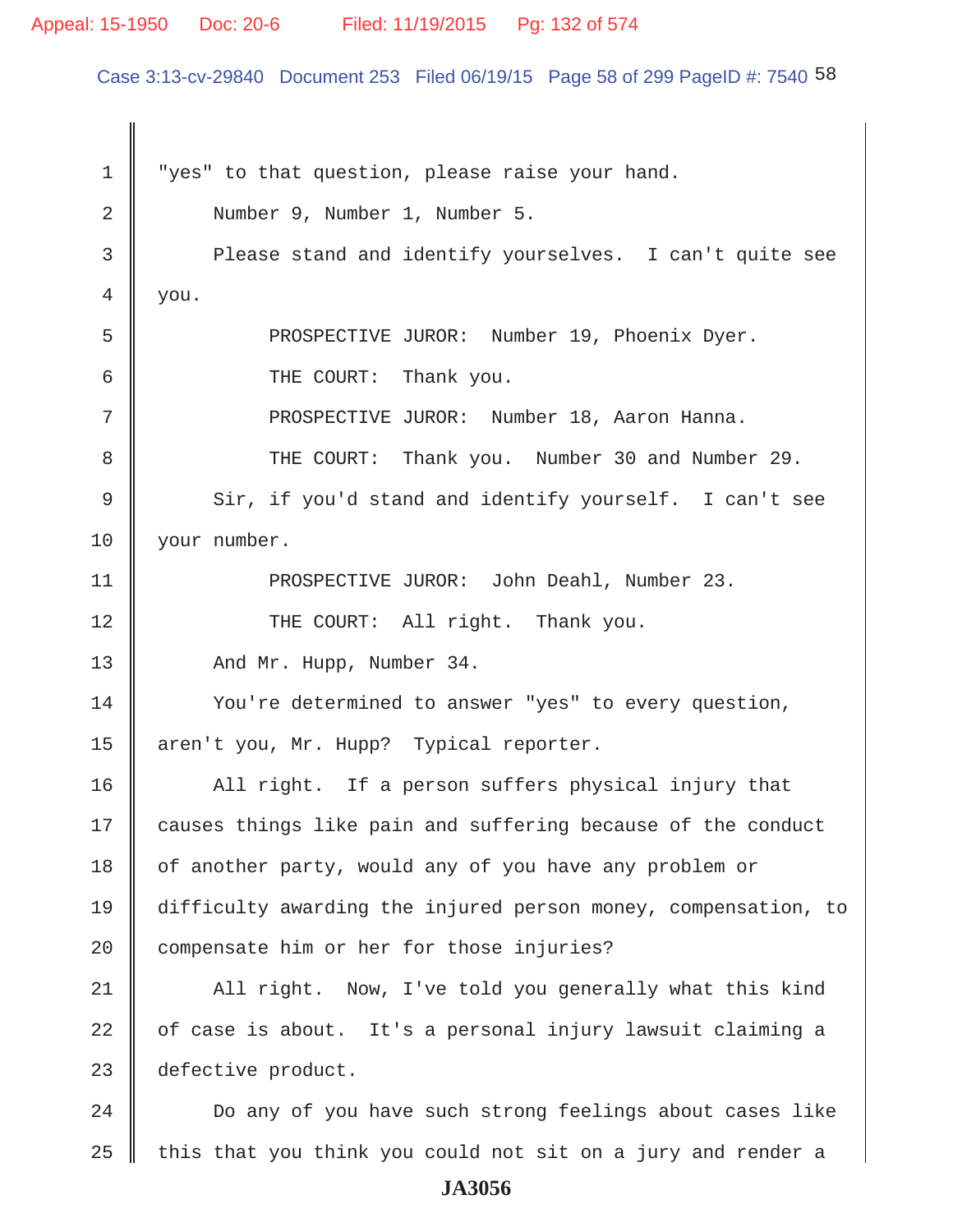### Appeal: 15-1950 Doc: 20-6 Filed: 11/19/2015 Pg: 132 of 574

Case 3:13-cv-29840 Document 253 Filed 06/19/15 Page 58 of 299 PageID #: 7540 58

1  $\parallel$  "yes" to that question, please raise your hand. 2 Number 9, Number 1, Number 5. 3 Please stand and identify yourselves. I can't quite see  $4 \parallel$  you. 5 Super Land PROSPECTIVE JUROR: Number 19, Phoenix Dyer. 6 **6** THE COURT: Thank you. 7 PROSPECTIVE JUROR: Number 18, Aaron Hanna. 8 THE COURT: Thank you. Number 30 and Number 29. 9 Sir, if you'd stand and identify yourself. I can't see 10 | your number. 11 PROSPECTIVE JUROR: John Deahl, Number 23. 12 || THE COURT: All right. Thank you. 13 And Mr. Hupp, Number 34. 14 Vou're determined to answer "yes" to every question, 15 aren't you, Mr. Hupp? Typical reporter. 16 All right. If a person suffers physical injury that 17 causes things like pain and suffering because of the conduct 18 of another party, would any of you have any problem or 19 difficulty awarding the injured person money, compensation, to 20 compensate him or her for those injuries? 21 | All right. Now, I've told you generally what this kind  $22$   $\parallel$  of case is about. It's a personal injury lawsuit claiming a 23 defective product. 24 | Do any of you have such strong feelings about cases like  $25$  this that you think you could not sit on a jury and render a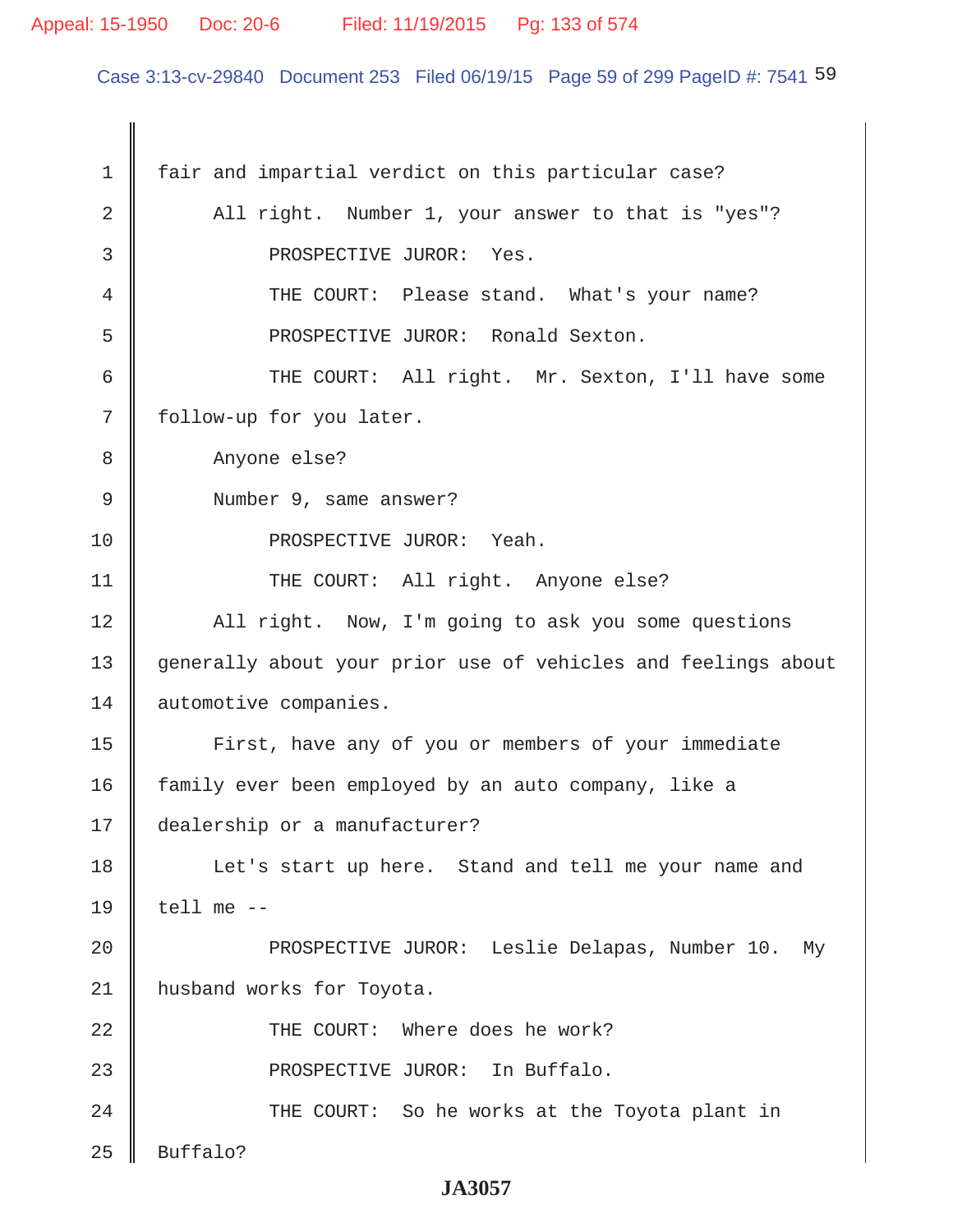### Appeal: 15-1950 Doc: 20-6 Filed: 11/19/2015 Pg: 133 of 574

Case 3:13-cv-29840 Document 253 Filed 06/19/15 Page 59 of 299 PageID #: 7541 59

 1 fair and impartial verdict on this particular case? 2 All right. Number 1, your answer to that is "yes"? 3 **BEOSPECTIVE JUROR:** Yes. 4 THE COURT: Please stand. What's your name? 5 PROSPECTIVE JUROR: Ronald Sexton. 6 || THE COURT: All right. Mr. Sexton, I'll have some 7 | follow-up for you later. 8 Anyone else? 9 | Number 9, same answer? 10 || PROSPECTIVE JUROR: Yeah. 11 || THE COURT: All right. Anyone else? 12 || All right. Now, I'm going to ask you some questions 13 generally about your prior use of vehicles and feelings about 14 automotive companies. 15 | First, have any of you or members of your immediate 16 family ever been employed by an auto company, like a 17 dealership or a manufacturer? 18 || Let's start up here. Stand and tell me your name and 19  $\parallel$  tell me --20 || PROSPECTIVE JUROR: Leslie Delapas, Number 10. My 21 | husband works for Toyota. 22 THE COURT: Where does he work? 23 || PROSPECTIVE JUROR: In Buffalo. 24 || THE COURT: So he works at the Toyota plant in  $25$  Buffalo?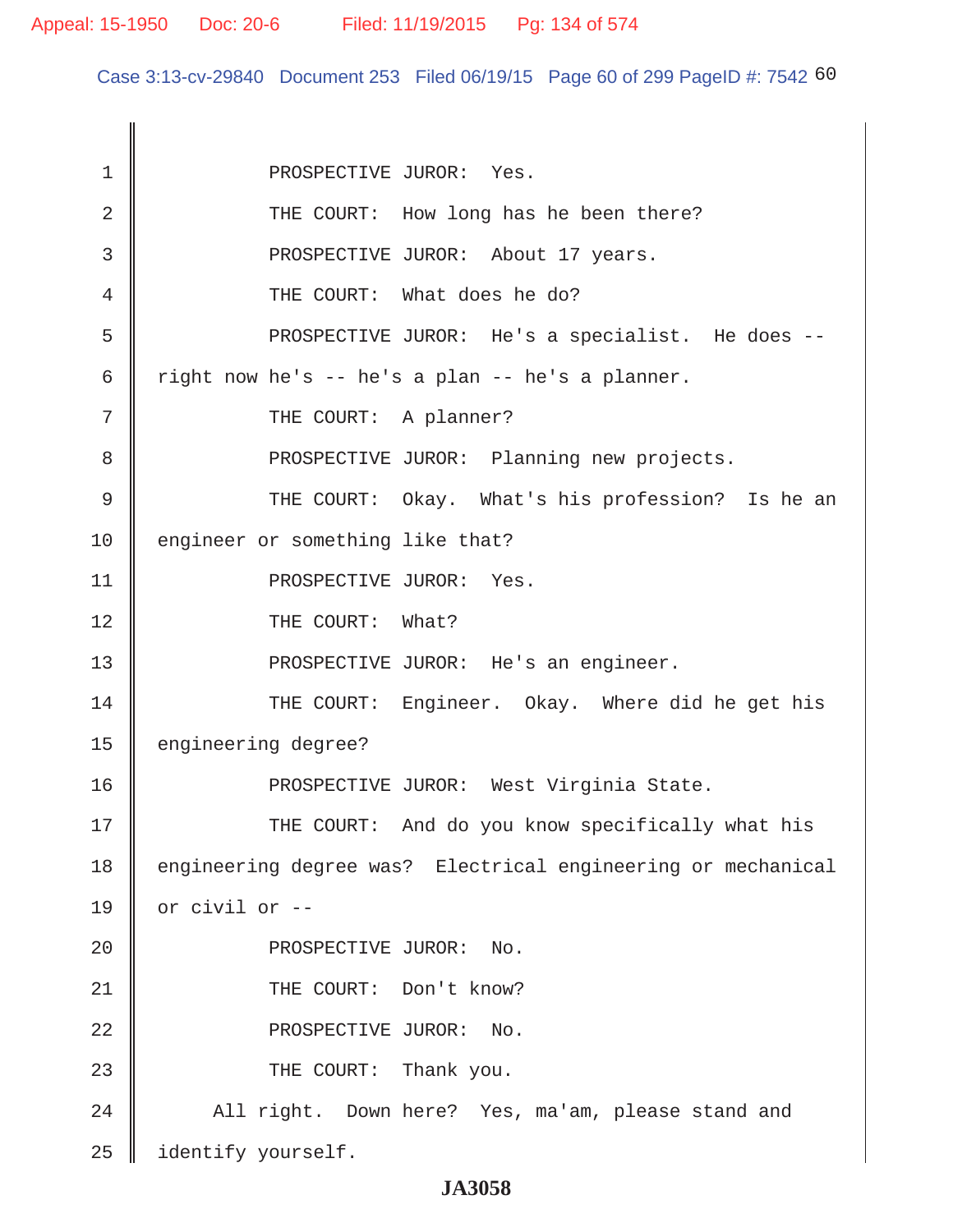Case 3:13-cv-29840 Document 253 Filed 06/19/15 Page 60 of 299 PageID #: 7542 60

1 | PROSPECTIVE JUROR: Yes. 2 THE COURT: How long has he been there? 3 || PROSPECTIVE JUROR: About 17 years. 4 **THE COURT:** What does he do? 5 PROSPECTIVE JUROR: He's a specialist. He does -- 6  $\parallel$  right now he's -- he's a plan -- he's a planner. 7 || THE COURT: A planner? 8 **PROSPECTIVE JUROR:** Planning new projects. 9 THE COURT: Okay. What's his profession? Is he an 10 engineer or something like that? 11 || PROSPECTIVE JUROR: Yes. 12 || THE COURT: What? 13 || PROSPECTIVE JUROR: He's an engineer. 14 THE COURT: Engineer. Okay. Where did he get his 15 engineering degree? 16 || PROSPECTIVE JUROR: West Virginia State. 17 THE COURT: And do you know specifically what his 18 engineering degree was? Electrical engineering or mechanical 19  $\parallel$  or civil or --20 || PROSPECTIVE JUROR: No. 21 || THE COURT: Don't know? 22 || PROSPECTIVE JUROR: No. 23 **THE COURT:** Thank you. 24 All right. Down here? Yes, ma'am, please stand and 25 dentify yourself.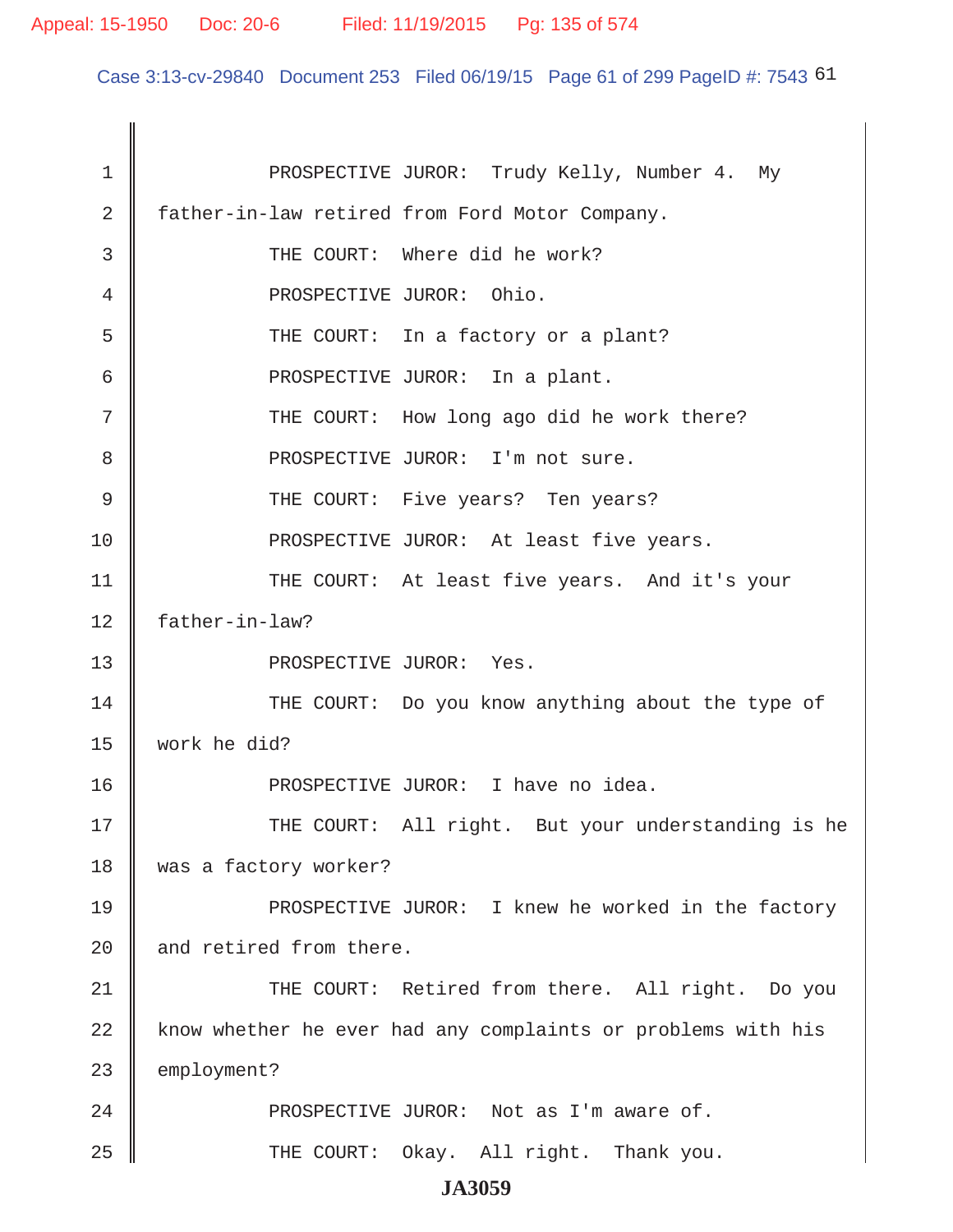Case 3:13-cv-29840 Document 253 Filed 06/19/15 Page 61 of 299 PageID #: 7543 61

| 1  | PROSPECTIVE JUROR: Trudy Kelly, Number 4. My                 |
|----|--------------------------------------------------------------|
| 2  | father-in-law retired from Ford Motor Company.               |
| 3  | THE COURT: Where did he work?                                |
| 4  | PROSPECTIVE JUROR: Ohio.                                     |
| 5  | THE COURT: In a factory or a plant?                          |
| 6  | PROSPECTIVE JUROR: In a plant.                               |
| 7  | THE COURT: How long ago did he work there?                   |
| 8  | PROSPECTIVE JUROR: I'm not sure.                             |
| 9  | THE COURT: Five years? Ten years?                            |
| 10 | PROSPECTIVE JUROR: At least five years.                      |
| 11 | THE COURT: At least five years. And it's your                |
| 12 | father-in-law?                                               |
| 13 | PROSPECTIVE JUROR: Yes.                                      |
| 14 | THE COURT: Do you know anything about the type of            |
| 15 | work he did?                                                 |
| 16 | PROSPECTIVE JUROR: I have no idea.                           |
| 17 | THE COURT: All right. But your understanding is he           |
| 18 | was a factory worker?                                        |
| 19 | PROSPECTIVE JUROR: I knew he worked in the factory           |
| 20 | and retired from there.                                      |
| 21 | THE COURT: Retired from there. All right. Do you             |
| 22 | know whether he ever had any complaints or problems with his |
| 23 | employment?                                                  |
| 24 | PROSPECTIVE JUROR: Not as I'm aware of.                      |
| 25 | THE COURT: Okay. All right. Thank you.                       |
|    | TA AAFA                                                      |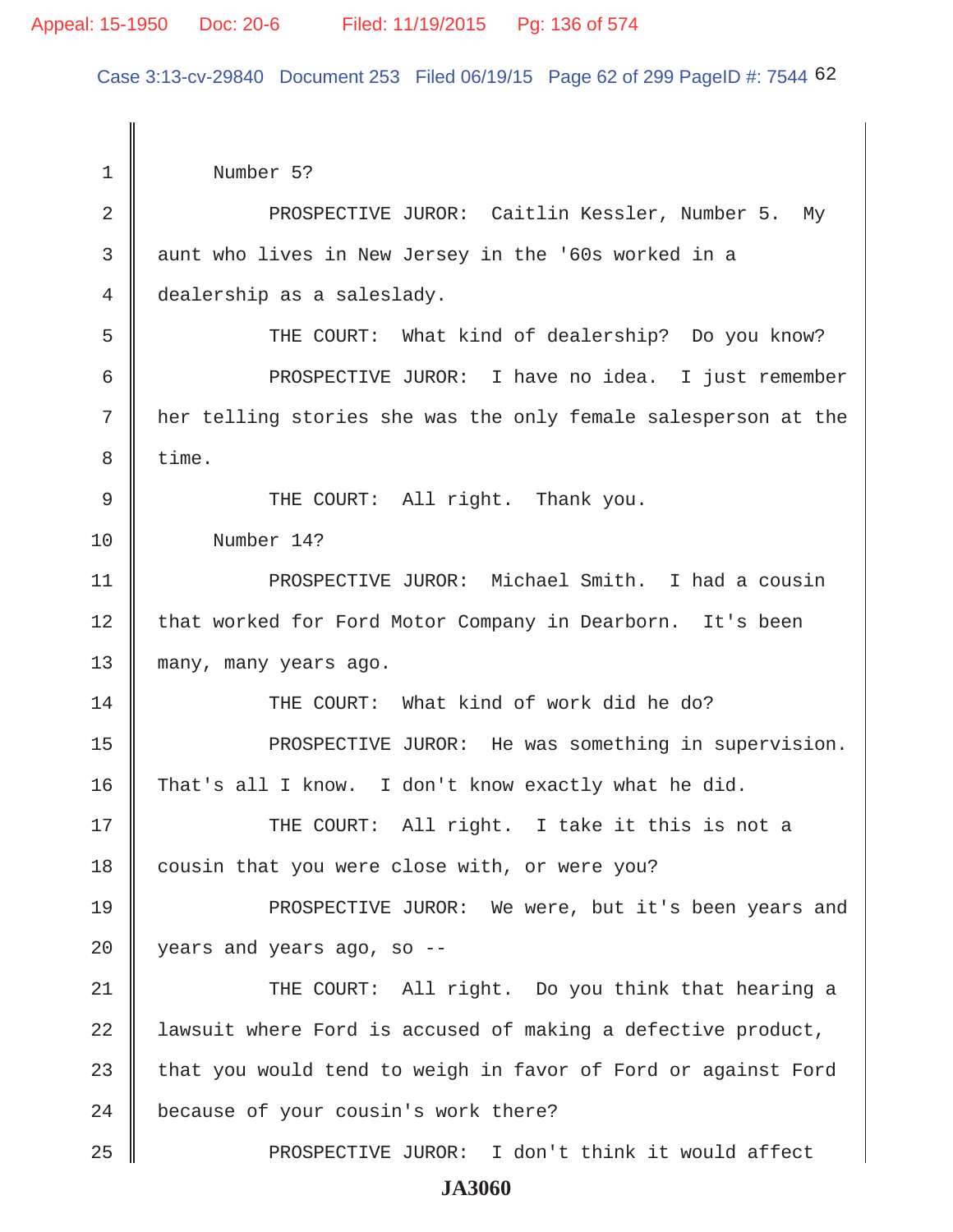Case 3:13-cv-29840 Document 253 Filed 06/19/15 Page 62 of 299 PageID #: 7544 62

 1 Number 5? 2 || PROSPECTIVE JUROR: Caitlin Kessler, Number 5. My 3 || aunt who lives in New Jersey in the '60s worked in a 4 dealership as a saleslady. 5 || THE COURT: What kind of dealership? Do you know? 6 PROSPECTIVE JUROR: I have no idea. I just remember 7 her telling stories she was the only female salesperson at the 8 time. 9 || THE COURT: All right. Thank you. 10 Number 14? 11 || PROSPECTIVE JUROR: Michael Smith. I had a cousin 12 || that worked for Ford Motor Company in Dearborn. It's been 13 many, many years ago. 14 || THE COURT: What kind of work did he do? 15 || PROSPECTIVE JUROR: He was something in supervision. 16  $\parallel$  That's all I know. I don't know exactly what he did. 17 THE COURT: All right. I take it this is not a  $18$  cousin that you were close with, or were you? 19 || PROSPECTIVE JUROR: We were, but it's been years and 20 years and years ago, so -- 21 THE COURT: All right. Do you think that hearing a 22  $\parallel$  lawsuit where Ford is accused of making a defective product, 23  $\parallel$  that you would tend to weigh in favor of Ford or against Ford 24 because of your cousin's work there? 25 || PROSPECTIVE JUROR: I don't think it would affect **JA3060**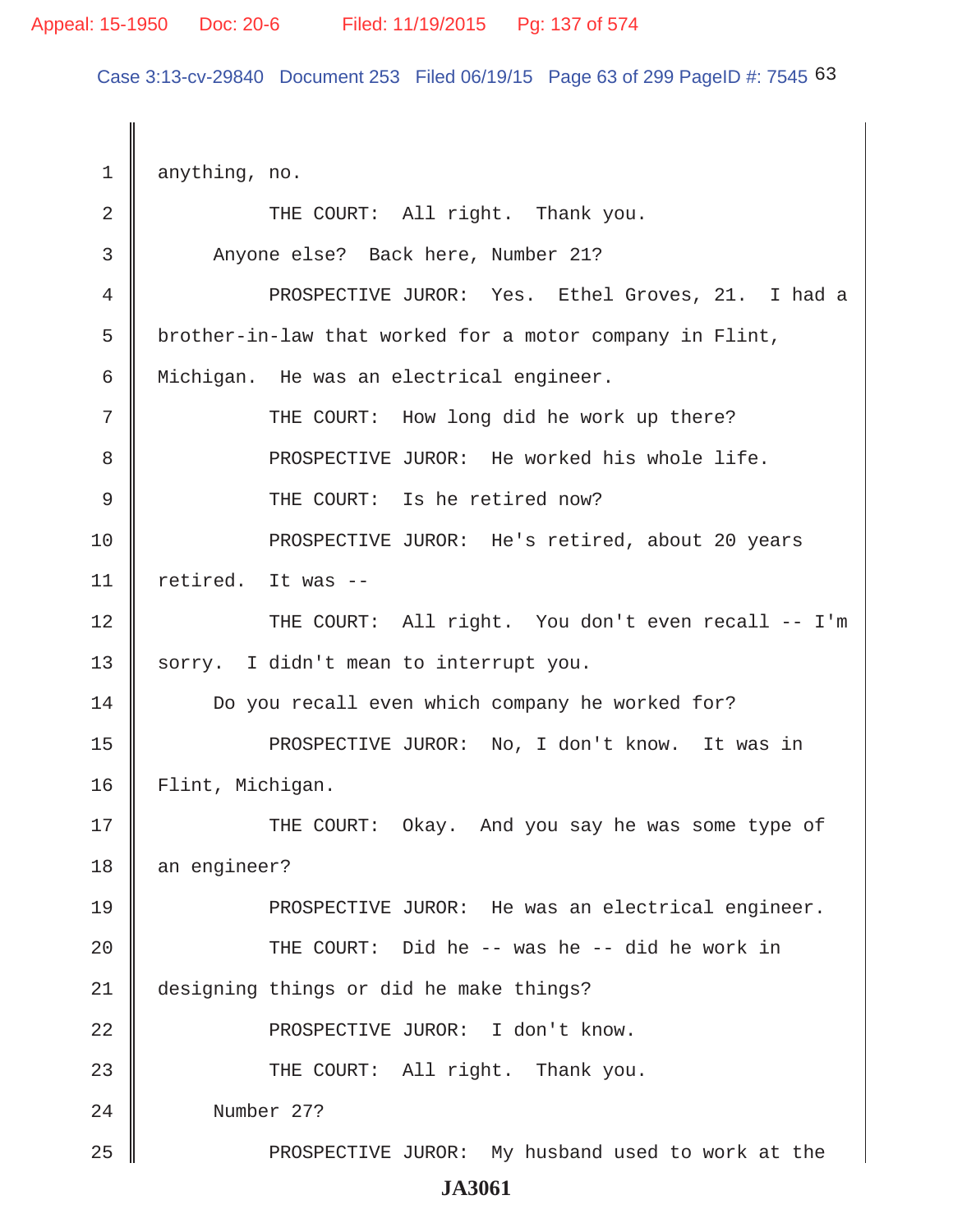Case 3:13-cv-29840 Document 253 Filed 06/19/15 Page 63 of 299 PageID #: 7545 63

 $1 \parallel$  anything, no. 2 || THE COURT: All right. Thank you. 3 || Anyone else? Back here, Number 21? 4 PROSPECTIVE JUROR: Yes. Ethel Groves, 21. I had a 5 brother-in-law that worked for a motor company in Flint, 6 Michigan. He was an electrical engineer. 7 || THE COURT: How long did he work up there? 8 **8** PROSPECTIVE JUROR: He worked his whole life. 9 || THE COURT: Is he retired now? 10 || PROSPECTIVE JUROR: He's retired, about 20 years 11  $\parallel$  retired. It was --12 THE COURT: All right. You don't even recall -- I'm 13 sorry. I didn't mean to interrupt you. 14 **Do** you recall even which company he worked for? 15 || PROSPECTIVE JUROR: No, I don't know. It was in 16 Flint, Michigan. 17 THE COURT: Okay. And you say he was some type of 18 an engineer? 19 **PROSPECTIVE JUROR:** He was an electrical engineer. 20 THE COURT: Did he -- was he -- did he work in 21 designing things or did he make things? 22 PROSPECTIVE JUROR: I don't know. 23 **THE COURT:** All right. Thank you. 24 Number 27? 25 PROSPECTIVE JUROR: My husband used to work at the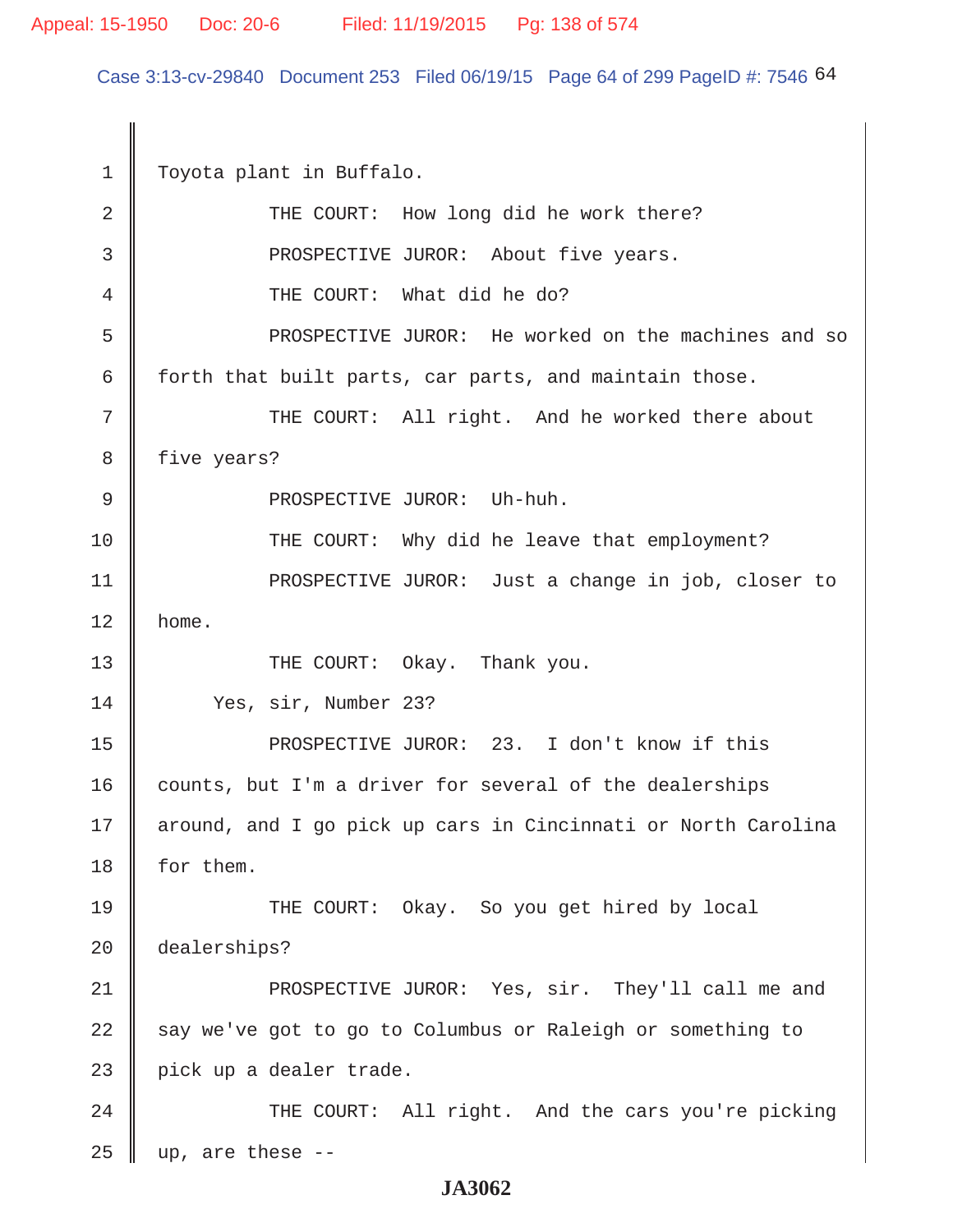Case 3:13-cv-29840 Document 253 Filed 06/19/15 Page 64 of 299 PageID #: 7546 64

 1 Toyota plant in Buffalo. 2 THE COURT: How long did he work there? 3 || PROSPECTIVE JUROR: About five years. 4 THE COURT: What did he do? 5 PROSPECTIVE JUROR: He worked on the machines and so 6 forth that built parts, car parts, and maintain those. 7 || THE COURT: All right. And he worked there about 8 | five years? 9 || PROSPECTIVE JUROR: Uh-huh. 10 || THE COURT: Why did he leave that employment? 11 || PROSPECTIVE JUROR: Just a change in job, closer to  $12 \parallel$  home. 13 THE COURT: Okay. Thank you. 14 Yes, sir, Number 23? 15 PROSPECTIVE JUROR: 23. I don't know if this  $16$  counts, but I'm a driver for several of the dealerships 17 || around, and I go pick up cars in Cincinnati or North Carolina 18 for them. 19 THE COURT: Okay. So you get hired by local 20 dealerships? 21 || PROSPECTIVE JUROR: Yes, sir. They'll call me and 22 say we've got to go to Columbus or Raleigh or something to  $23$  | pick up a dealer trade. 24 || THE COURT: All right. And the cars you're picking 25  $\parallel$  up, are these --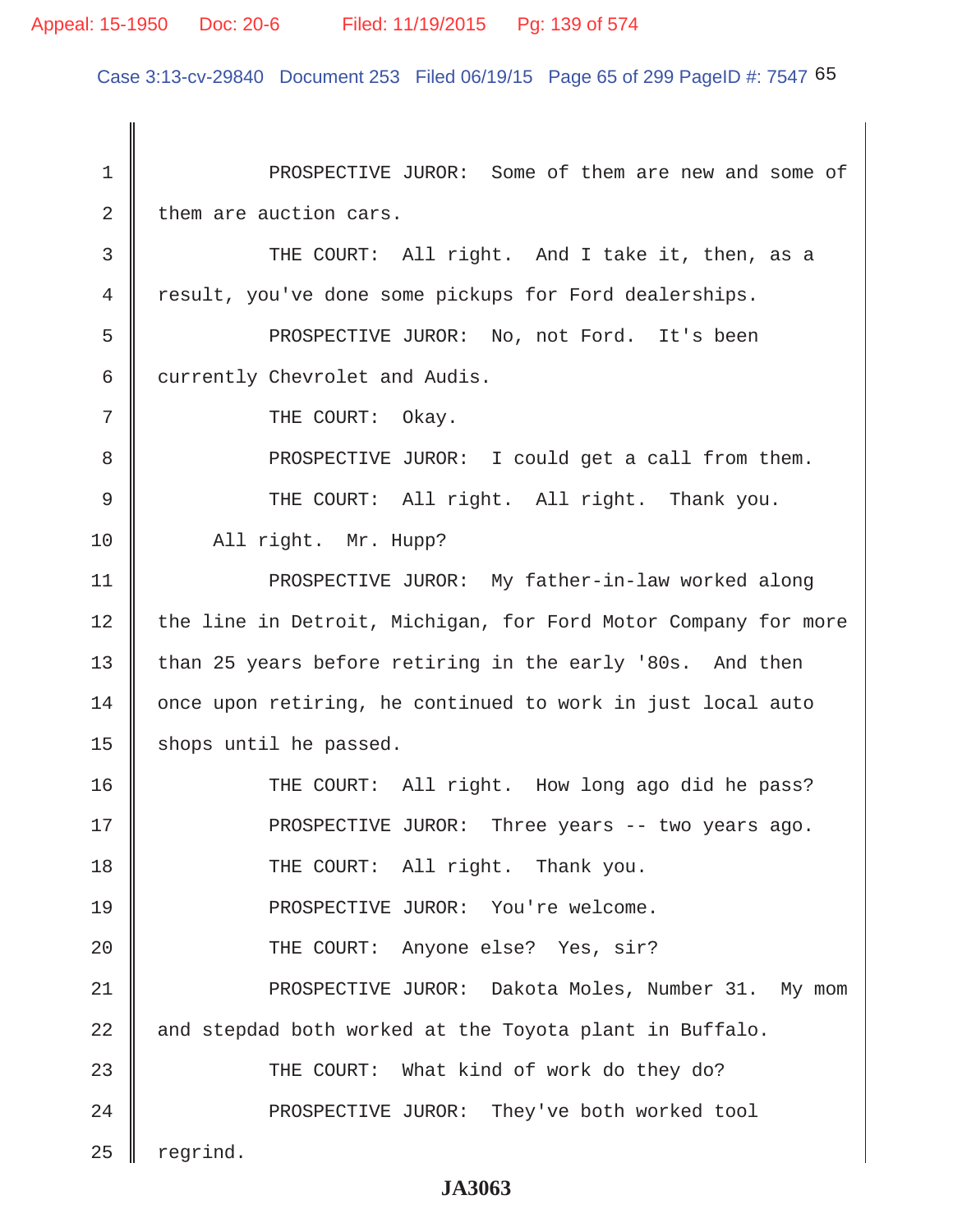### Appeal: 15-1950 Doc: 20-6 Filed: 11/19/2015 Pg: 139 of 574

Case 3:13-cv-29840 Document 253 Filed 06/19/15 Page 65 of 299 PageID #: 7547 65

 1 PROSPECTIVE JUROR: Some of them are new and some of  $2 \parallel$  them are auction cars. 3 || THE COURT: All right. And I take it, then, as a 4 result, you've done some pickups for Ford dealerships. 5 PROSPECTIVE JUROR: No, not Ford. It's been 6 currently Chevrolet and Audis. 7 || THE COURT: Okay. 8 PROSPECTIVE JUROR: I could get a call from them. 9 THE COURT: All right. All right. Thank you. 10 || All right. Mr. Hupp? 11 || PROSPECTIVE JUROR: My father-in-law worked along 12 the line in Detroit, Michigan, for Ford Motor Company for more 13 than 25 years before retiring in the early '80s. And then 14 | once upon retiring, he continued to work in just local auto 15  $\parallel$  shops until he passed. 16 THE COURT: All right. How long ago did he pass? 17 PROSPECTIVE JUROR: Three years -- two years ago. 18 || THE COURT: All right. Thank you. 19 PROSPECTIVE JUROR: You're welcome. 20 || THE COURT: Anyone else? Yes, sir? 21 || PROSPECTIVE JUROR: Dakota Moles, Number 31. My mom  $22$  and stepdad both worked at the Toyota plant in Buffalo. 23 THE COURT: What kind of work do they do? 24 || PROSPECTIVE JUROR: They've both worked tool  $25$  regrind.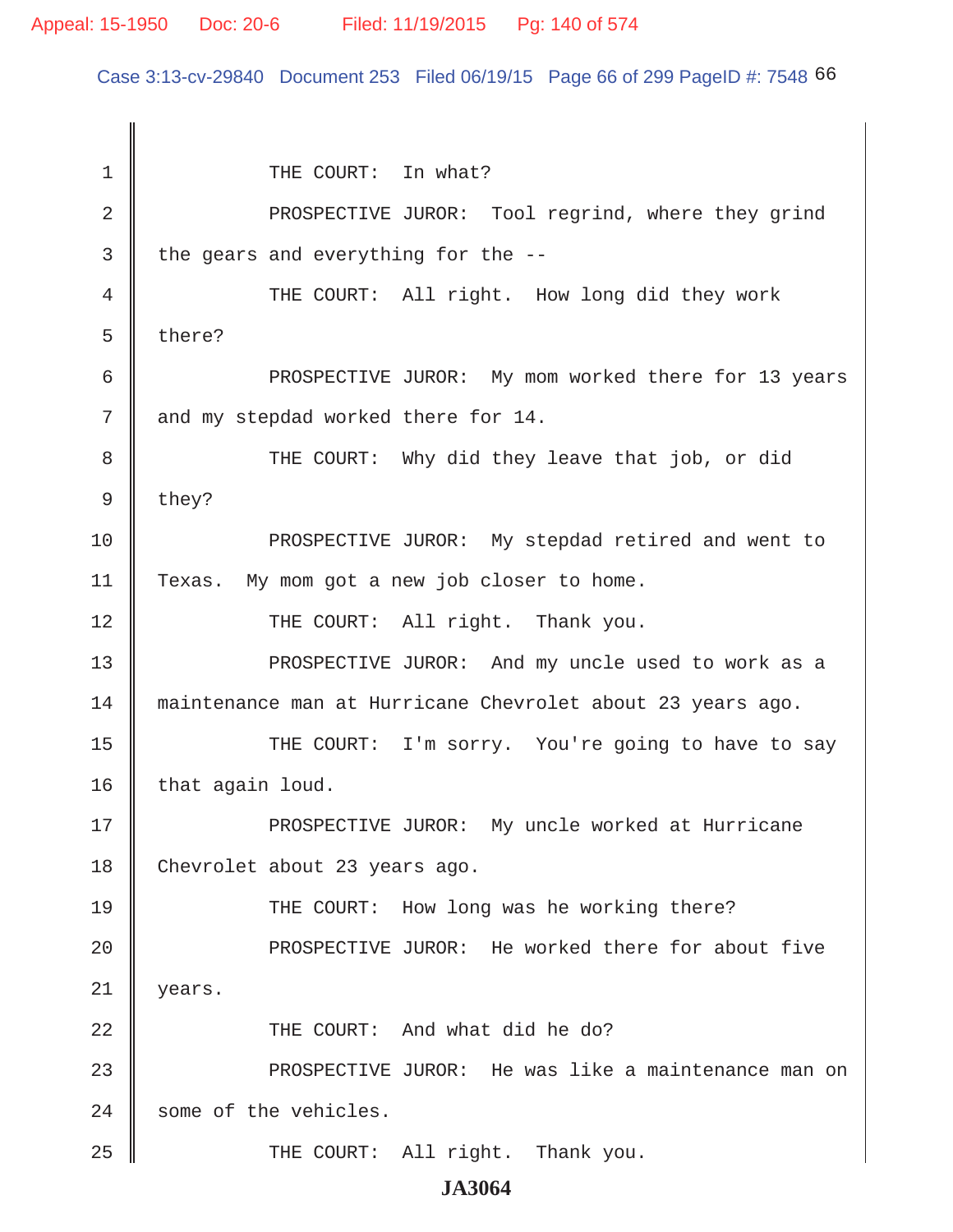Case 3:13-cv-29840 Document 253 Filed 06/19/15 Page 66 of 299 PageID #: 7548 66

1 || THE COURT: In what? 2 || PROSPECTIVE JUROR: Tool regrind, where they grind  $3 \parallel$  the gears and everything for the --4 THE COURT: All right. How long did they work  $5 \parallel$  there? 6 | PROSPECTIVE JUROR: My mom worked there for 13 years 7 and my stepdad worked there for 14. 8 THE COURT: Why did they leave that job, or did  $9 \parallel$  they? 10 **PROSPECTIVE JUROR:** My stepdad retired and went to 11 Texas. My mom got a new job closer to home. 12 || THE COURT: All right. Thank you. 13 || PROSPECTIVE JUROR: And my uncle used to work as a 14 maintenance man at Hurricane Chevrolet about 23 years ago. 15 || THE COURT: I'm sorry. You're going to have to say  $16$  that again loud. 17 || PROSPECTIVE JUROR: My uncle worked at Hurricane 18 Chevrolet about 23 years ago. 19 THE COURT: How long was he working there? 20 || PROSPECTIVE JUROR: He worked there for about five 21 years. 22 || THE COURT: And what did he do? 23 || PROSPECTIVE JUROR: He was like a maintenance man on  $24$  some of the vehicles. 25 || THE COURT: All right. Thank you.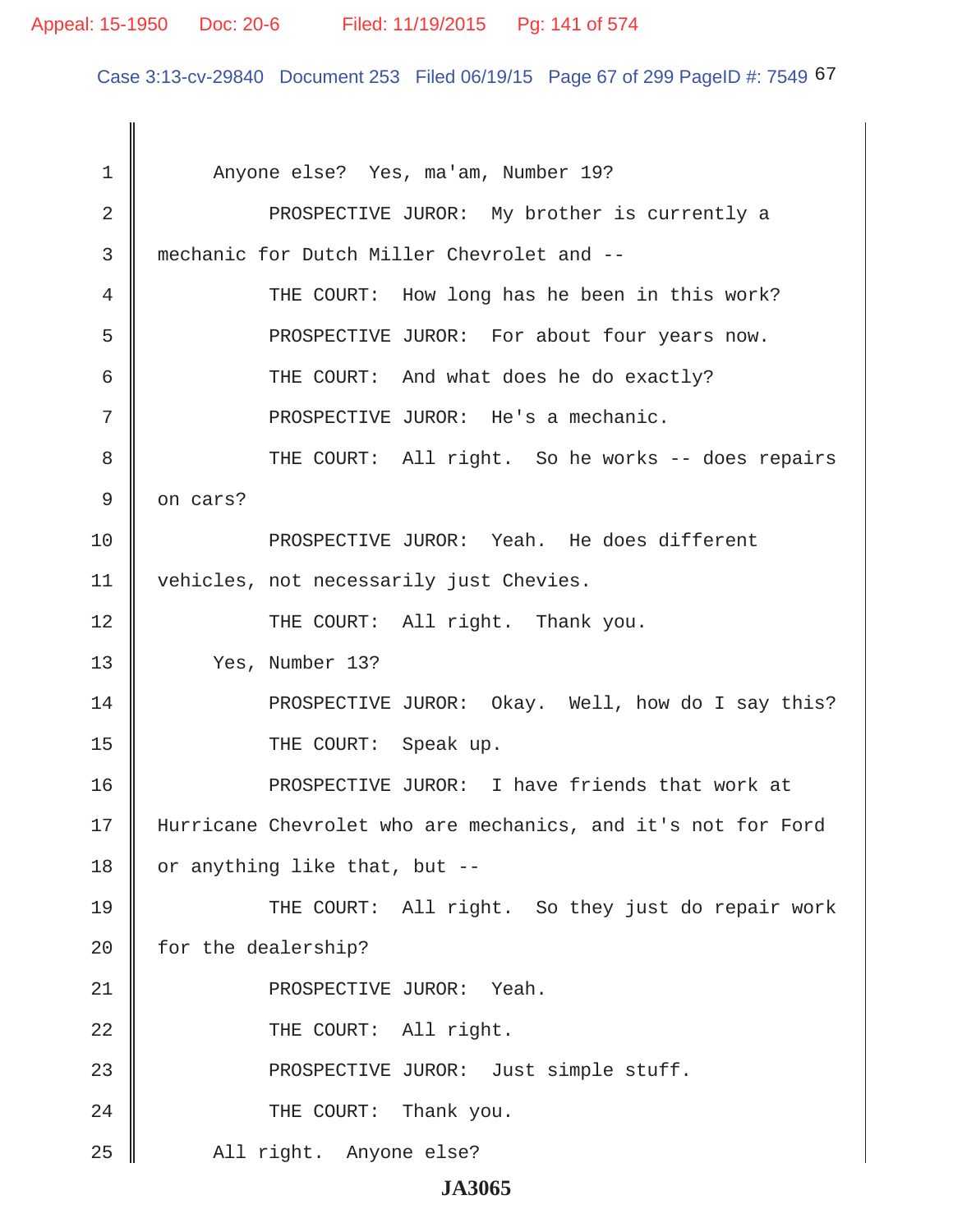### Appeal: 15-1950 Doc: 20-6 Filed: 11/19/2015 Pg: 141 of 574

Case 3:13-cv-29840 Document 253 Filed 06/19/15 Page 67 of 299 PageID #: 7549 67

1 || Anyone else? Yes, ma'am, Number 19? 2 **PROSPECTIVE JUROR:** My brother is currently a 3 mechanic for Dutch Miller Chevrolet and -- 4 THE COURT: How long has he been in this work? 5 PROSPECTIVE JUROR: For about four years now. 6 Guilden COURT: And what does he do exactly? 7 || PROSPECTIVE JUROR: He's a mechanic. 8 || THE COURT: All right. So he works -- does repairs  $9 \parallel$  on cars? 10 PROSPECTIVE JUROR: Yeah. He does different 11 | vehicles, not necessarily just Chevies. 12 || THE COURT: All right. Thank you. 13 Yes, Number 13? 14 **PROSPECTIVE JUROR:** Okay. Well, how do I say this? 15 COURT: Speak up. 16 PROSPECTIVE JUROR: I have friends that work at 17 Hurricane Chevrolet who are mechanics, and it's not for Ford 18 or anything like that, but  $-$ 19 || THE COURT: All right. So they just do repair work 20 | for the dealership? 21 || PROSPECTIVE JUROR: Yeah. 22 || THE COURT: All right. 23 **PROSPECTIVE JUROR:** Just simple stuff. 24 || THE COURT: Thank you. 25 || All right. Anyone else?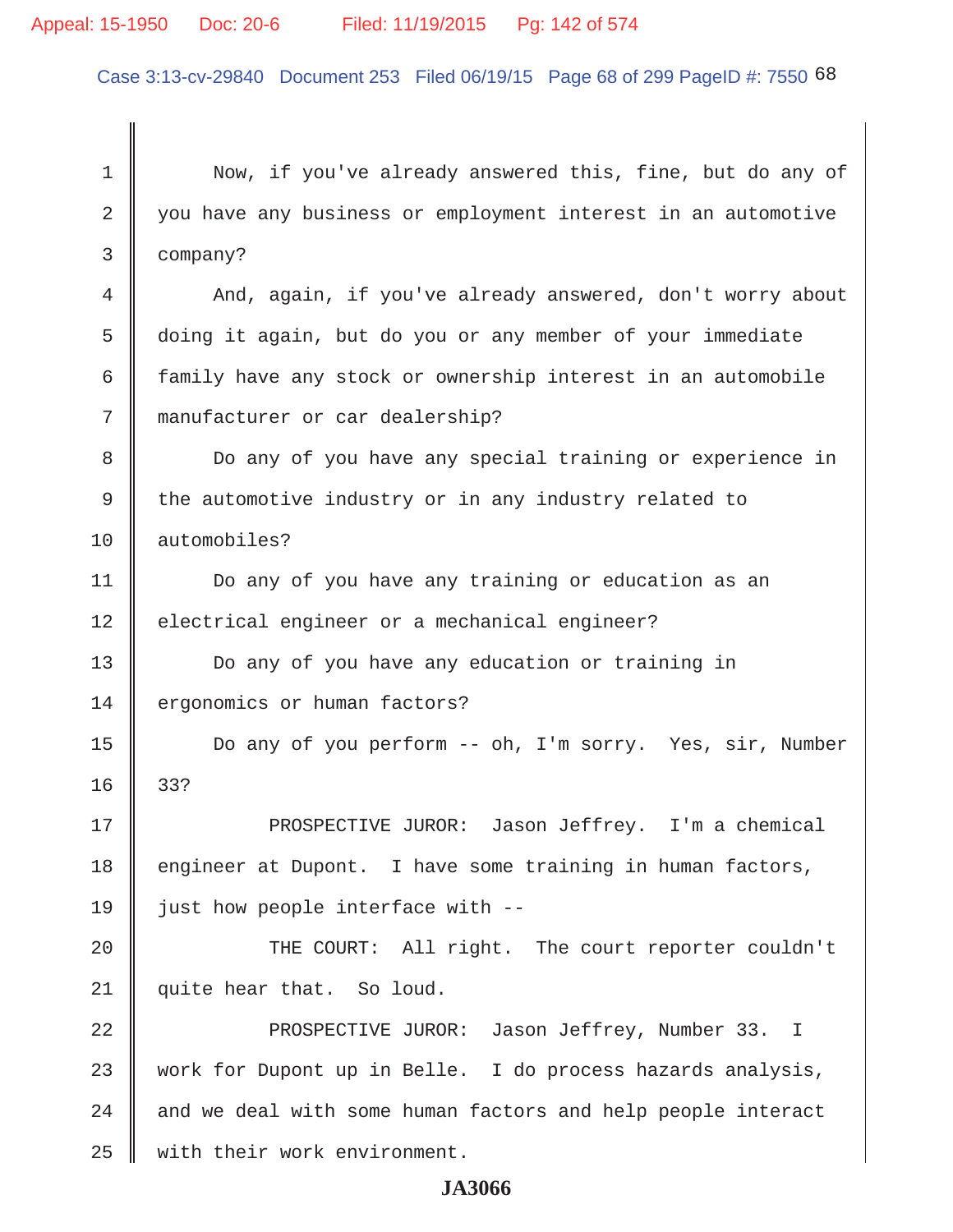### Appeal: 15-1950 Doc: 20-6 Filed: 11/19/2015 Pg: 142 of 574

Case 3:13-cv-29840 Document 253 Filed 06/19/15 Page 68 of 299 PageID #: 7550 68

 1 Now, if you've already answered this, fine, but do any of 2 you have any business or employment interest in an automotive 3 company? 4 And, again, if you've already answered, don't worry about 5 doing it again, but do you or any member of your immediate 6 family have any stock or ownership interest in an automobile 7 manufacturer or car dealership? 8 Do any of you have any special training or experience in 9 the automotive industry or in any industry related to 10 automobiles? 11 | Do any of you have any training or education as an 12 electrical engineer or a mechanical engineer? 13 Do any of you have any education or training in 14 ergonomics or human factors? 15 Do any of you perform -- oh, I'm sorry. Yes, sir, Number 16 33? 17 || PROSPECTIVE JUROR: Jason Jeffrey. I'm a chemical 18 engineer at Dupont. I have some training in human factors, 19  $\parallel$  just how people interface with --20 || THE COURT: All right. The court reporter couldn't 21 quite hear that. So loud. 22 **PROSPECTIVE JUROR:** Jason Jeffrey, Number 33. I 23 work for Dupont up in Belle. I do process hazards analysis,  $24$   $\parallel$  and we deal with some human factors and help people interact 25 | with their work environment.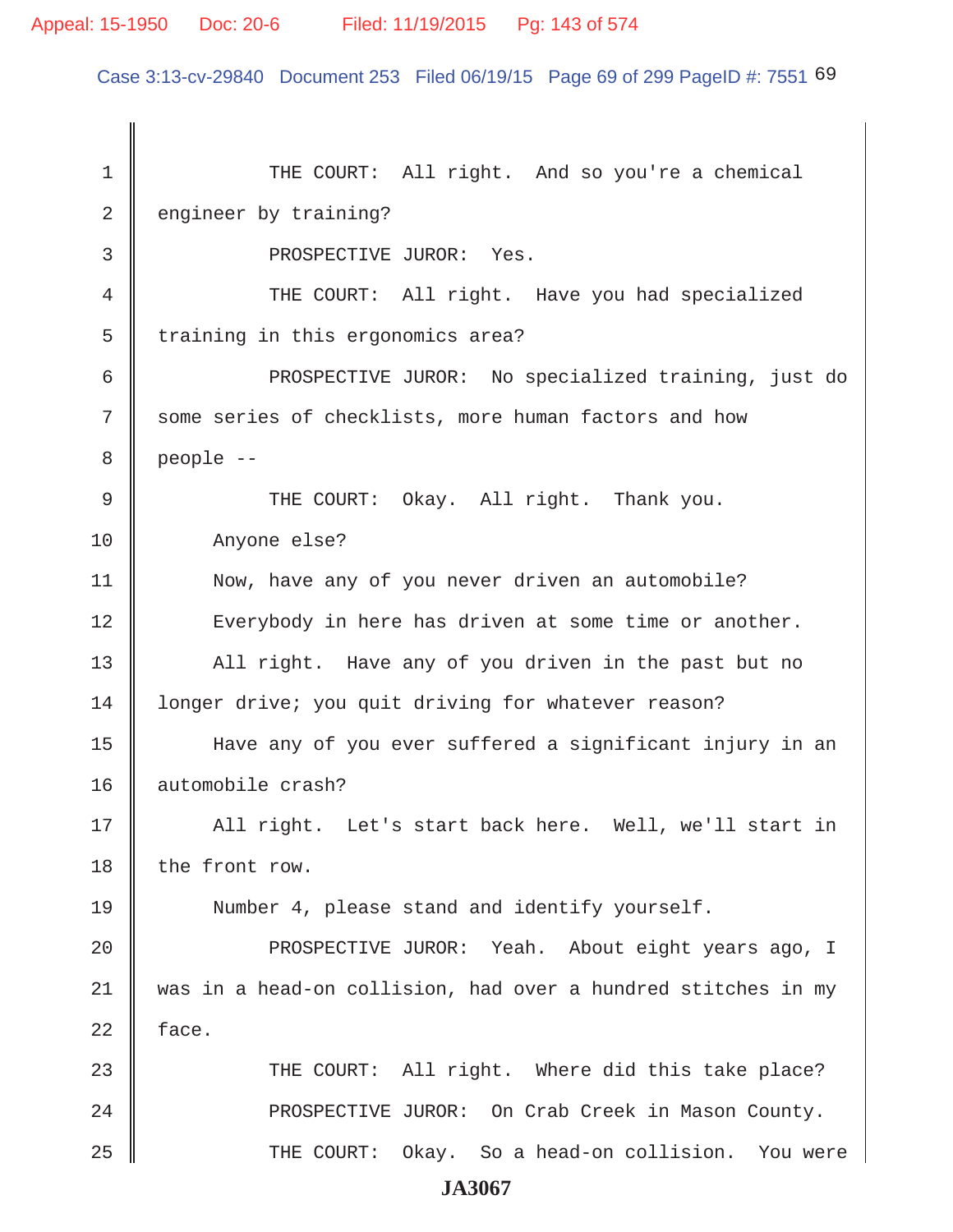### Appeal: 15-1950 Doc: 20-6 Filed: 11/19/2015 Pg: 143 of 574

Case 3:13-cv-29840 Document 253 Filed 06/19/15 Page 69 of 299 PageID #: 7551 69

1 THE COURT: All right. And so you're a chemical 2 engineer by training? 3 **BEOSPECTIVE JUROR:** Yes. 4 THE COURT: All right. Have you had specialized 5 | training in this ergonomics area? 6 || PROSPECTIVE JUROR: No specialized training, just do 7 Some series of checklists, more human factors and how  $8 \parallel$  people  $-$ 9 THE COURT: Okay. All right. Thank you. 10 | Anyone else? 11 | Now, have any of you never driven an automobile? 12 || Everybody in here has driven at some time or another. 13 All right. Have any of you driven in the past but no 14 | longer drive; you quit driving for whatever reason? 15 Have any of you ever suffered a significant injury in an 16 || automobile crash? 17 || All right. Let's start back here. Well, we'll start in 18 the front row. 19 Number 4, please stand and identify yourself. 20 || PROSPECTIVE JUROR: Yeah. About eight years ago, I 21 was in a head-on collision, had over a hundred stitches in my  $22$  face. 23 THE COURT: All right. Where did this take place? 24 | PROSPECTIVE JUROR: On Crab Creek in Mason County. 25 THE COURT: Okay. So a head-on collision. You were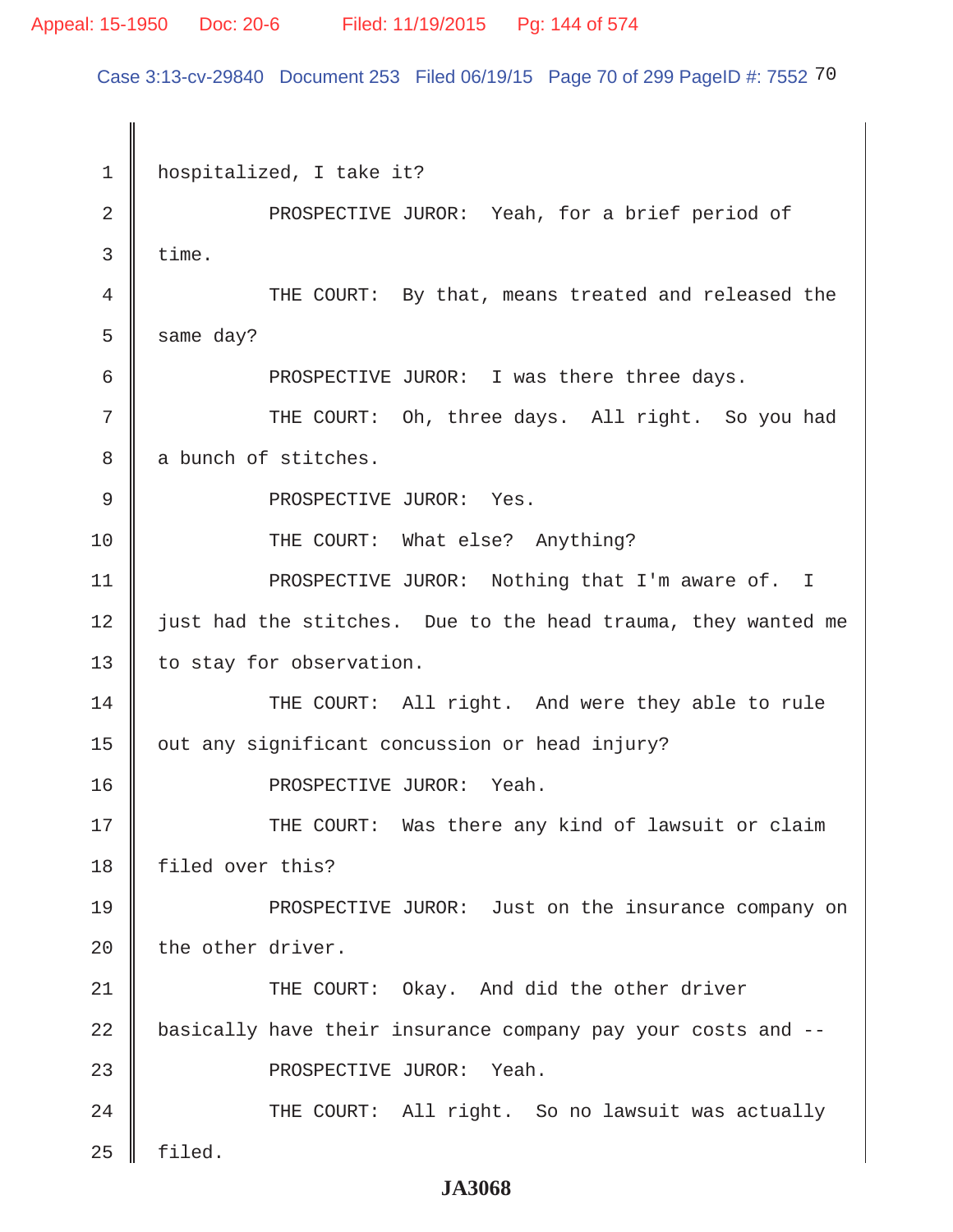### Appeal: 15-1950 Doc: 20-6 Filed: 11/19/2015 Pg: 144 of 574

Case 3:13-cv-29840 Document 253 Filed 06/19/15 Page 70 of 299 PageID #: 7552 70

 1 hospitalized, I take it? 2 || PROSPECTIVE JUROR: Yeah, for a brief period of  $3 \parallel$  time. 4 THE COURT: By that, means treated and released the  $5 \parallel$  same day? 6 PROSPECTIVE JUROR: I was there three days. 7 THE COURT: Oh, three days. All right. So you had 8 a bunch of stitches. 9 | PROSPECTIVE JUROR: Yes. 10 || THE COURT: What else? Anything? 11 || PROSPECTIVE JUROR: Nothing that I'm aware of. I 12 just had the stitches. Due to the head trauma, they wanted me 13 | to stay for observation. 14 THE COURT: All right. And were they able to rule 15 | out any significant concussion or head injury? 16 PROSPECTIVE JUROR: Yeah. 17 THE COURT: Was there any kind of lawsuit or claim 18 | filed over this? 19 **PROSPECTIVE JUROR:** Just on the insurance company on 20  $\parallel$  the other driver. 21 THE COURT: Okay. And did the other driver 22 basically have their insurance company pay your costs and --23 || PROSPECTIVE JUROR: Yeah. 24 THE COURT: All right. So no lawsuit was actually  $25$  | filed.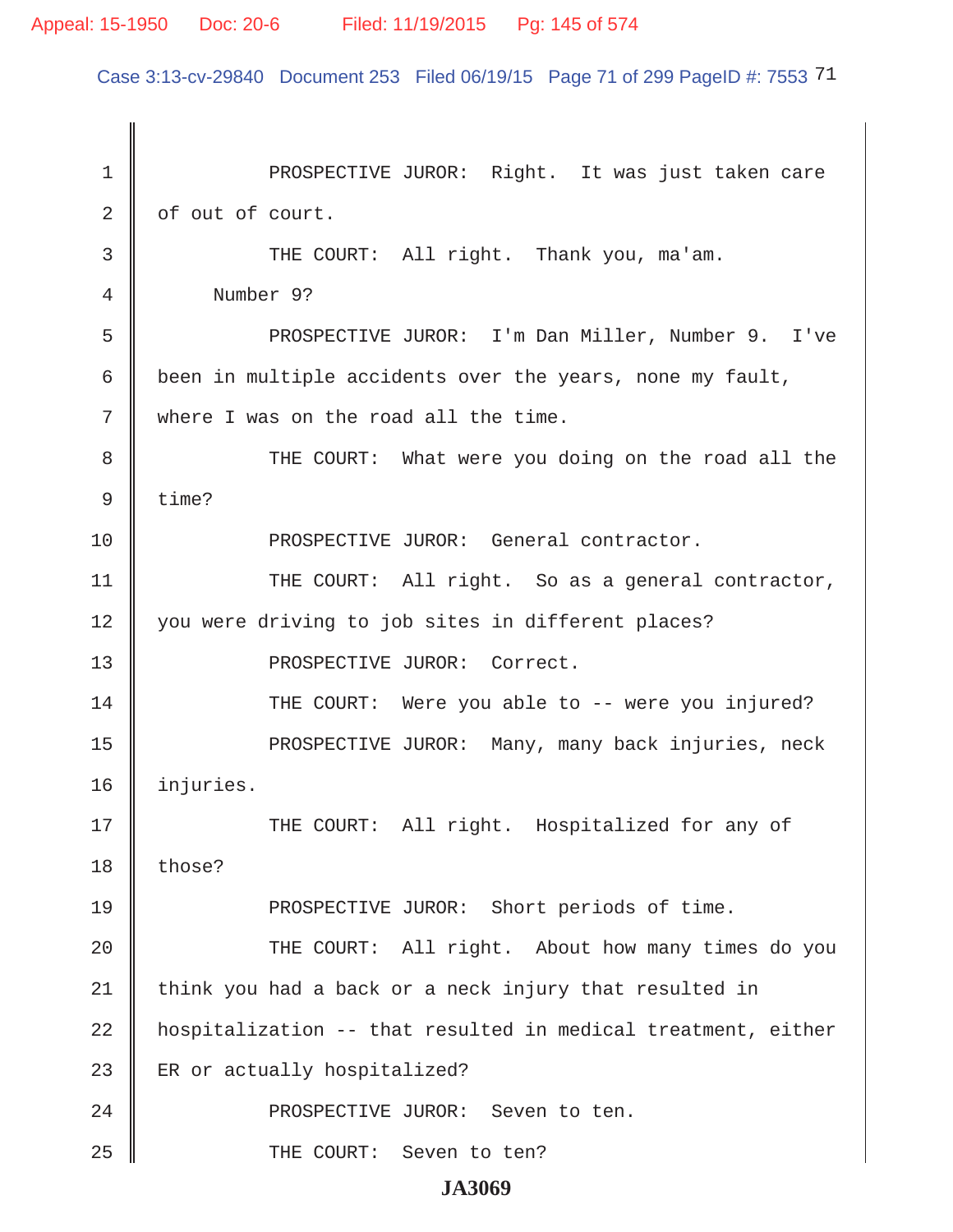Case 3:13-cv-29840 Document 253 Filed 06/19/15 Page 71 of 299 PageID #: 7553 71

1 || PROSPECTIVE JUROR: Right. It was just taken care  $2 \parallel$  of out of court. 3 THE COURT: All right. Thank you, ma'am. 4 Number 9? 5 || PROSPECTIVE JUROR: I'm Dan Miller, Number 9. I've 6  $\parallel$  been in multiple accidents over the years, none my fault, 7 Where I was on the road all the time. 8 THE COURT: What were you doing on the road all the  $9 \parallel$  time? 10 PROSPECTIVE JUROR: General contractor. 11 || THE COURT: All right. So as a general contractor, 12 you were driving to job sites in different places? 13 || PROSPECTIVE JUROR: Correct. 14 THE COURT: Were you able to -- were you injured? 15 || PROSPECTIVE JUROR: Many, many back injuries, neck 16 injuries. 17 THE COURT: All right. Hospitalized for any of  $18$  those? 19 PROSPECTIVE JUROR: Short periods of time. 20 THE COURT: All right. About how many times do you  $21$  think you had a back or a neck injury that resulted in 22 hospitalization -- that resulted in medical treatment, either 23 ER or actually hospitalized? 24 || PROSPECTIVE JUROR: Seven to ten. 25 || THE COURT: Seven to ten?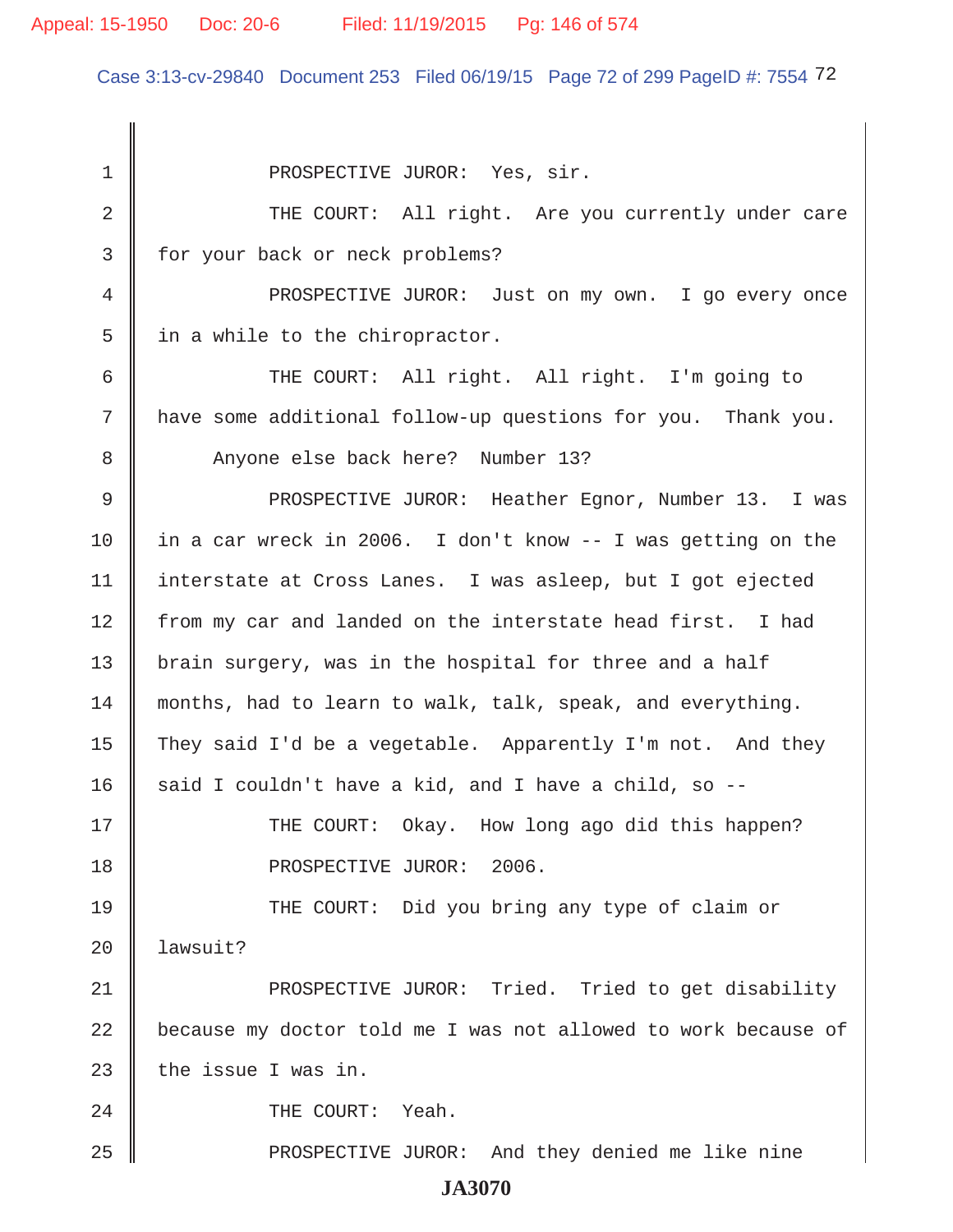#### Appeal: 15-1950 Doc: 20-6 Filed: 11/19/2015 Pg: 146 of 574

Case 3:13-cv-29840 Document 253 Filed 06/19/15 Page 72 of 299 PageID #: 7554 72

1 || PROSPECTIVE JUROR: Yes, sir. 2 THE COURT: All right. Are you currently under care 3 | for your back or neck problems? 4 || PROSPECTIVE JUROR: Just on my own. I go every once  $5 \parallel$  in a while to the chiropractor. 6 || THE COURT: All right. All right. I'm going to 7 | have some additional follow-up questions for you. Thank you. 8 Anyone else back here? Number 13? 9 PROSPECTIVE JUROR: Heather Egnor, Number 13. I was 10 in a car wreck in 2006. I don't know -- I was getting on the 11 | interstate at Cross Lanes. I was asleep, but I got ejected 12 | from my car and landed on the interstate head first. I had 13 | brain surgery, was in the hospital for three and a half 14 months, had to learn to walk, talk, speak, and everything. 15 They said I'd be a vegetable. Apparently I'm not. And they 16 said I couldn't have a kid, and I have a child, so  $-$ -17 THE COURT: Okay. How long ago did this happen? 18 || PROSPECTIVE JUROR: 2006. 19 THE COURT: Did you bring any type of claim or  $20$  | lawsuit? 21 || PROSPECTIVE JUROR: Tried. Tried to get disability 22 because my doctor told me I was not allowed to work because of 23  $\parallel$  the issue I was in. 24 COURT: Yeah. 25 PROSPECTIVE JUROR: And they denied me like nine **JA3070**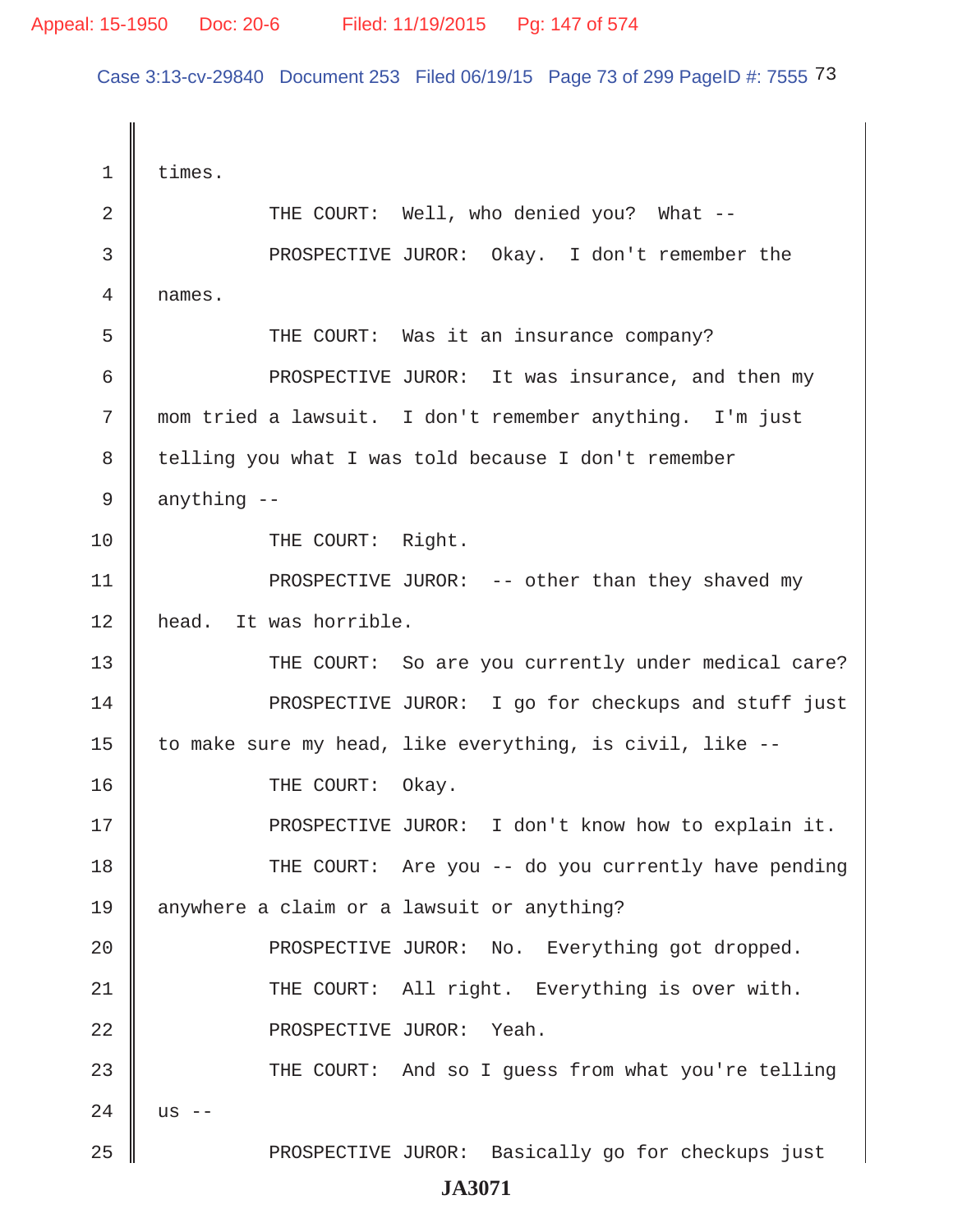Case 3:13-cv-29840 Document 253 Filed 06/19/15 Page 73 of 299 PageID #: 7555 73

1 | times. 2 || THE COURT: Well, who denied you? What -- 3 PROSPECTIVE JUROR: Okay. I don't remember the 4 names. 5 || THE COURT: Was it an insurance company? 6 | PROSPECTIVE JUROR: It was insurance, and then my 7 mom tried a lawsuit. I don't remember anything. I'm just 8 telling you what I was told because I don't remember  $9 \parallel$  anything  $-$ 10 || THE COURT: Right. 11 || PROSPECTIVE JUROR: -- other than they shaved my 12 | head. It was horrible. 13 THE COURT: So are you currently under medical care? 14 **PROSPECTIVE JUROR:** I go for checkups and stuff just 15 | to make sure my head, like everything, is civil, like  $-$ -16 **I** THE COURT: Okay. 17 || PROSPECTIVE JUROR: I don't know how to explain it. 18 THE COURT: Are you -- do you currently have pending 19 anywhere a claim or a lawsuit or anything? 20 || PROSPECTIVE JUROR: No. Everything got dropped. 21 THE COURT: All right. Everything is over with. 22 || PROSPECTIVE JUROR: Yeah. 23 THE COURT: And so I quess from what you're telling  $24 \parallel$  us --25 PROSPECTIVE JUROR: Basically go for checkups just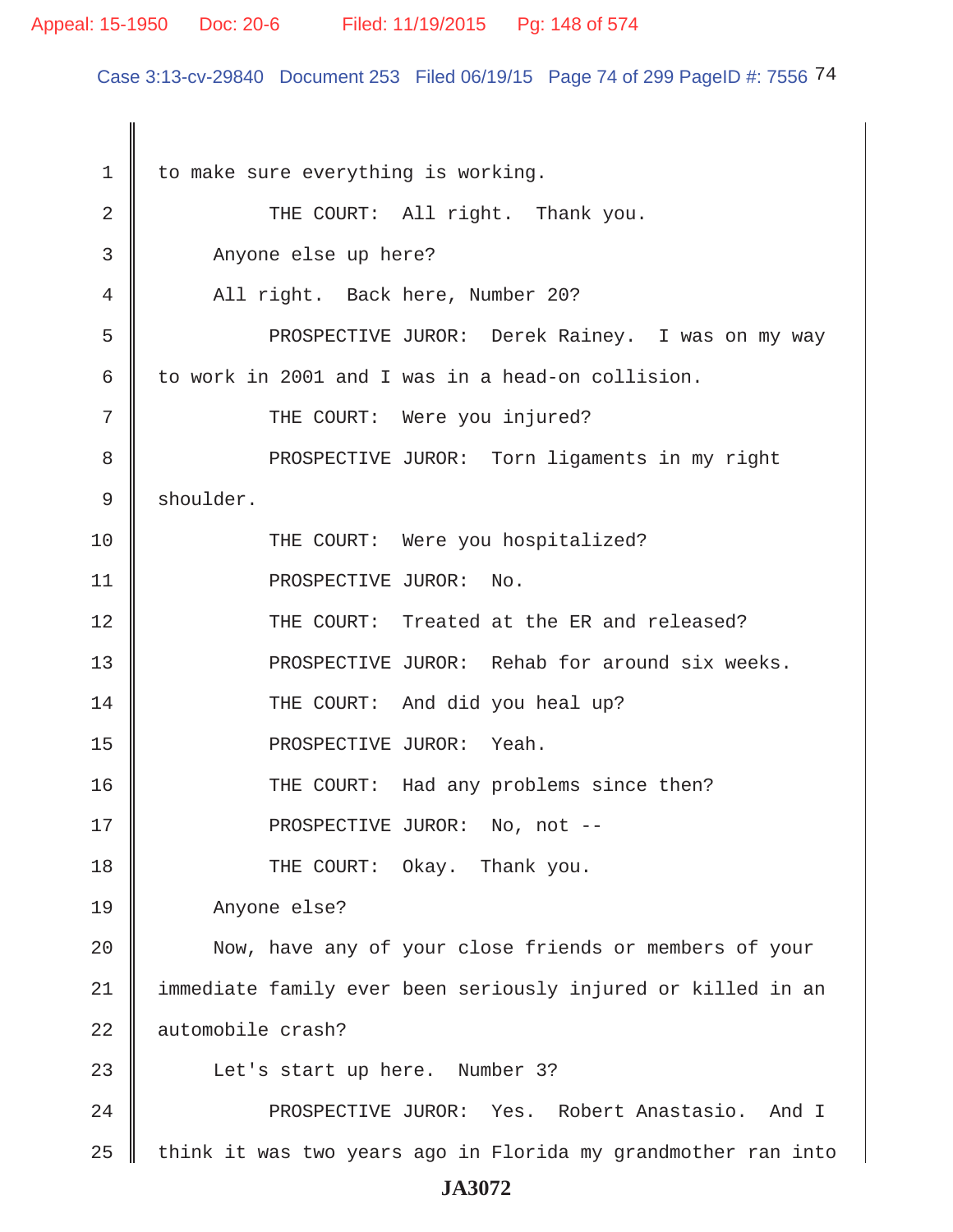#### Appeal: 15-1950 Doc: 20-6 Filed: 11/19/2015 Pg: 148 of 574

Case 3:13-cv-29840 Document 253 Filed 06/19/15 Page 74 of 299 PageID #: 7556 74

 $1 \parallel$  to make sure everything is working. 2 || THE COURT: All right. Thank you. 3 Anyone else up here? 4 All right. Back here, Number 20? 5 PROSPECTIVE JUROR: Derek Rainey. I was on my way 6 to work in 2001 and I was in a head-on collision. 7 || THE COURT: Were you injured? 8 || PROSPECTIVE JUROR: Torn ligaments in my right 9 shoulder. 10 || THE COURT: Were you hospitalized? 11 || PROSPECTIVE JUROR: No. 12 THE COURT: Treated at the ER and released? 13 || PROSPECTIVE JUROR: Rehab for around six weeks. 14 THE COURT: And did you heal up? 15 PROSPECTIVE JUROR: Yeah. 16 THE COURT: Had any problems since then? 17 || PROSPECTIVE JUROR: No, not --18 || THE COURT: Okay. Thank you. 19 Anyone else? 20 || Now, have any of your close friends or members of your 21 immediate family ever been seriously injured or killed in an 22 automobile crash? 23 || Let's start up here. Number 3? 24 || PROSPECTIVE JUROR: Yes. Robert Anastasio. And I  $25$  think it was two years ago in Florida my grandmother ran into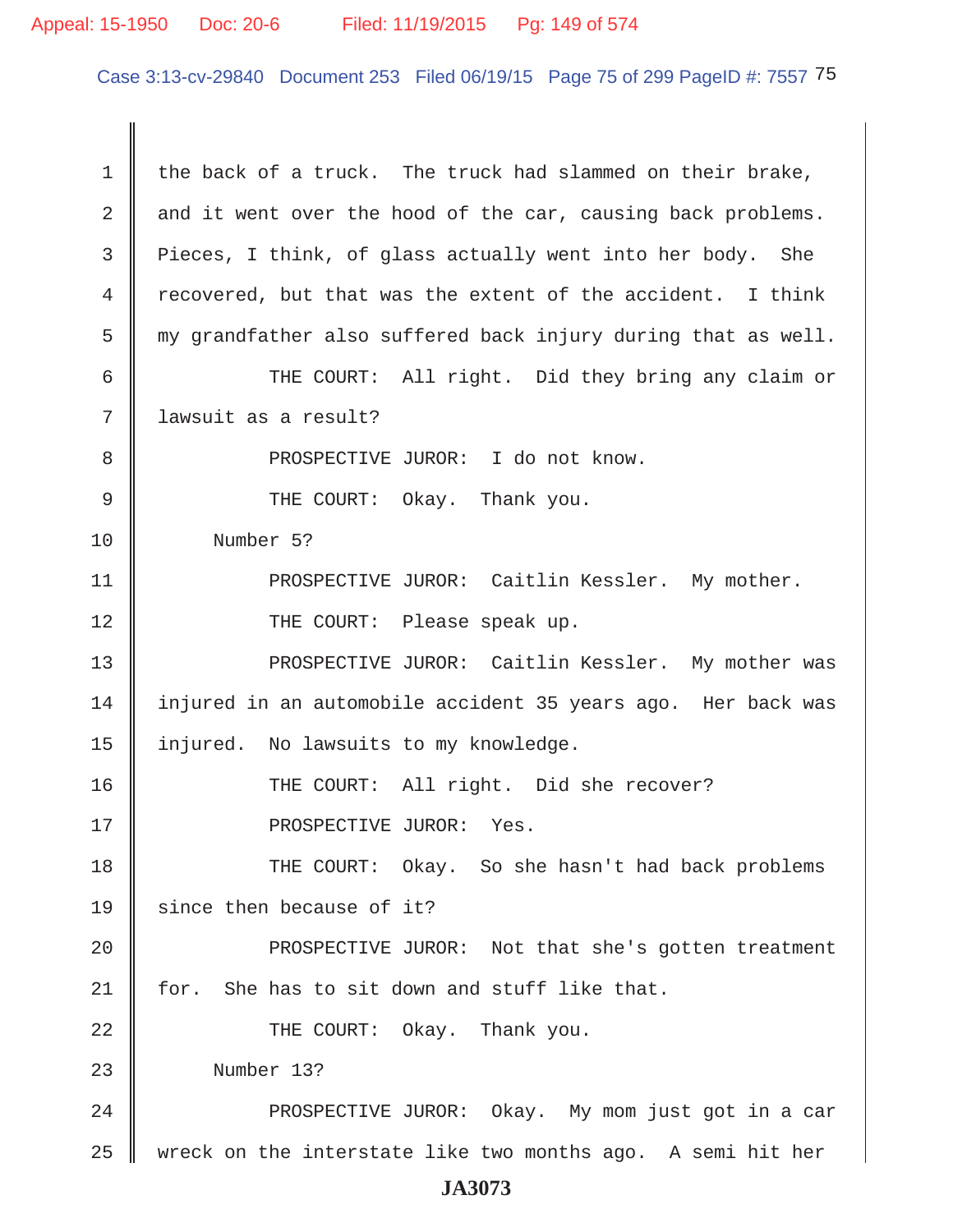#### Appeal: 15-1950 Doc: 20-6 Filed: 11/19/2015 Pg: 149 of 574

Case 3:13-cv-29840 Document 253 Filed 06/19/15 Page 75 of 299 PageID #: 7557 75

1  $\parallel$  the back of a truck. The truck had slammed on their brake, 2  $\parallel$  and it went over the hood of the car, causing back problems. 3 Pieces, I think, of glass actually went into her body. She 4  $\parallel$  recovered, but that was the extent of the accident. I think  $5 \parallel$  my grandfather also suffered back injury during that as well. 6 THE COURT: All right. Did they bring any claim or 7 lawsuit as a result? 8 || PROSPECTIVE JUROR: I do not know. 9 CHE COURT: Okay. Thank you. 10 Number 5? 11 | PROSPECTIVE JUROR: Caitlin Kessler. My mother. 12 || THE COURT: Please speak up. 13 || PROSPECTIVE JUROR: Caitlin Kessler. My mother was 14 injured in an automobile accident 35 years ago. Her back was 15 | injured. No lawsuits to my knowledge. 16 THE COURT: All right. Did she recover? 17 || PROSPECTIVE JUROR: Yes. 18 THE COURT: Okay. So she hasn't had back problems 19  $\parallel$  since then because of it? 20 || PROSPECTIVE JUROR: Not that she's gotten treatment 21  $\parallel$  for. She has to sit down and stuff like that. 22 || THE COURT: Okay. Thank you. 23 Number 13? 24 || PROSPECTIVE JUROR: Okay. My mom just got in a car 25  $\parallel$  wreck on the interstate like two months ago. A semi hit her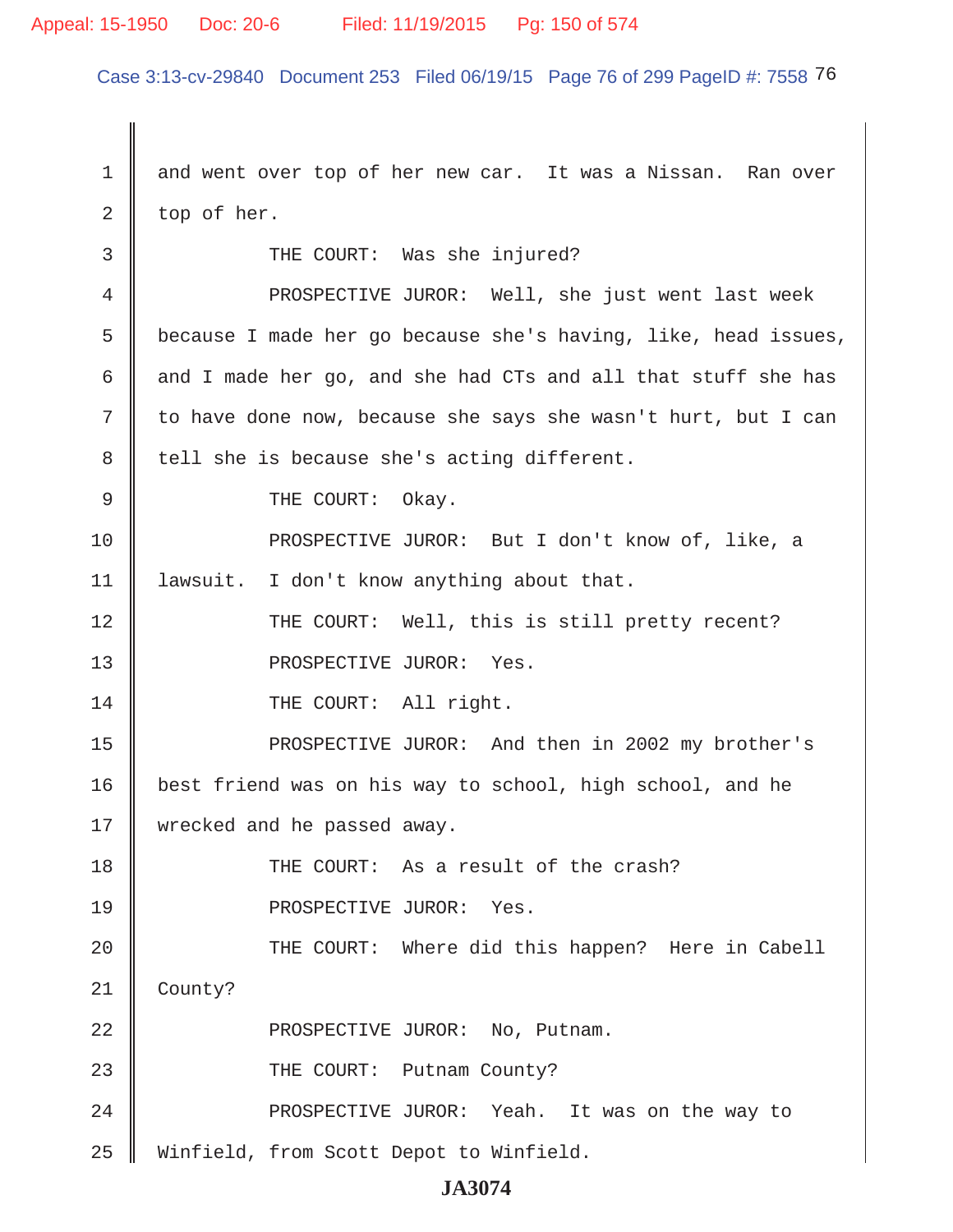#### Appeal: 15-1950 Doc: 20-6 Filed: 11/19/2015 Pg: 150 of 574

Case 3:13-cv-29840 Document 253 Filed 06/19/15 Page 76 of 299 PageID #: 7558 76

1 and went over top of her new car. It was a Nissan. Ran over  $2 \parallel$  top of her. 3 || THE COURT: Was she injured? 4 | PROSPECTIVE JUROR: Well, she just went last week 5 because I made her go because she's having, like, head issues, 6 and I made her go, and she had CTs and all that stuff she has  $7 \parallel$  to have done now, because she says she wasn't hurt, but I can 8 | tell she is because she's acting different. 9 CHE COURT: Okay. 10 **PROSPECTIVE JUROR:** But I don't know of, like, a 11 lawsuit. I don't know anything about that. 12 THE COURT: Well, this is still pretty recent? 13 || PROSPECTIVE JUROR: Yes. 14 THE COURT: All right. 15 || PROSPECTIVE JUROR: And then in 2002 my brother's 16 | best friend was on his way to school, high school, and he 17 | wrecked and he passed away. 18 || THE COURT: As a result of the crash? 19 || PROSPECTIVE JUROR: Yes. 20 || THE COURT: Where did this happen? Here in Cabell 21 County? 22 || PROSPECTIVE JUROR: No, Putnam. 23 || THE COURT: Putnam County? 24 **PROSPECTIVE JUROR:** Yeah. It was on the way to 25 Winfield, from Scott Depot to Winfield.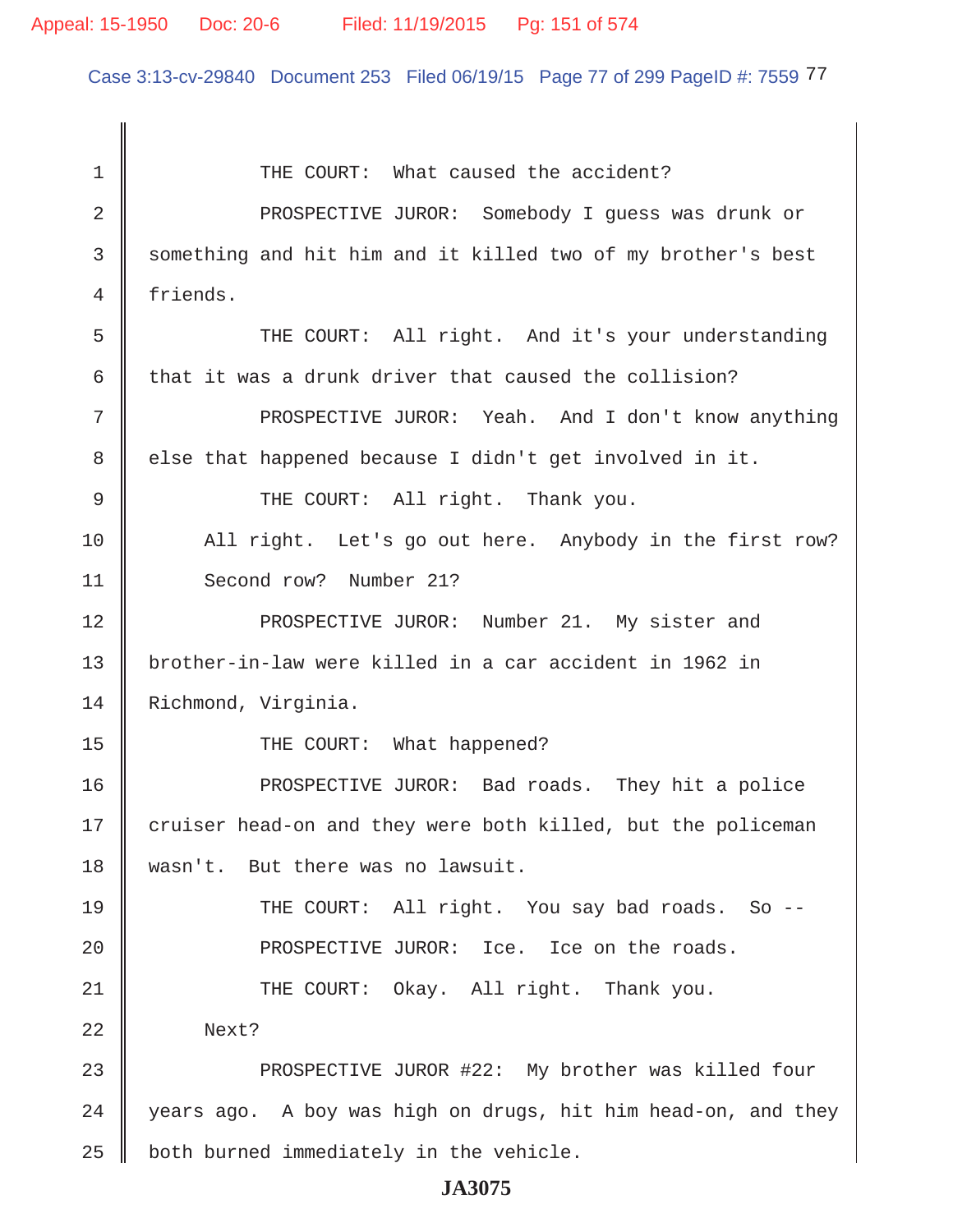# Appeal: 15-1950 Doc: 20-6 Filed: 11/19/2015 Pg: 151 of 574

Case 3:13-cv-29840 Document 253 Filed 06/19/15 Page 77 of 299 PageID #: 7559 77

| 1  | THE COURT: What caused the accident?                          |
|----|---------------------------------------------------------------|
| 2  | PROSPECTIVE JUROR: Somebody I guess was drunk or              |
| 3  | something and hit him and it killed two of my brother's best  |
| 4  | friends.                                                      |
| 5  | THE COURT: All right. And it's your understanding             |
| 6  | that it was a drunk driver that caused the collision?         |
| 7  | PROSPECTIVE JUROR: Yeah. And I don't know anything            |
| 8  | else that happened because I didn't get involved in it.       |
| 9  | THE COURT: All right. Thank you.                              |
| 10 | All right. Let's go out here. Anybody in the first row?       |
| 11 | Second row? Number 21?                                        |
| 12 | PROSPECTIVE JUROR: Number 21. My sister and                   |
| 13 | brother-in-law were killed in a car accident in 1962 in       |
| 14 | Richmond, Virginia.                                           |
| 15 | THE COURT: What happened?                                     |
| 16 | PROSPECTIVE JUROR: Bad roads. They hit a police               |
| 17 | cruiser head-on and they were both killed, but the policeman  |
| 18 | wasn't. But there was no lawsuit.                             |
| 19 | THE COURT: All right. You say bad roads. So --                |
| 20 | PROSPECTIVE JUROR: Ice. Ice on the roads.                     |
| 21 | THE COURT: Okay. All right. Thank you.                        |
| 22 | Next?                                                         |
| 23 | PROSPECTIVE JUROR #22: My brother was killed four             |
| 24 | years ago. A boy was high on drugs, hit him head-on, and they |
| 25 | both burned immediately in the vehicle.                       |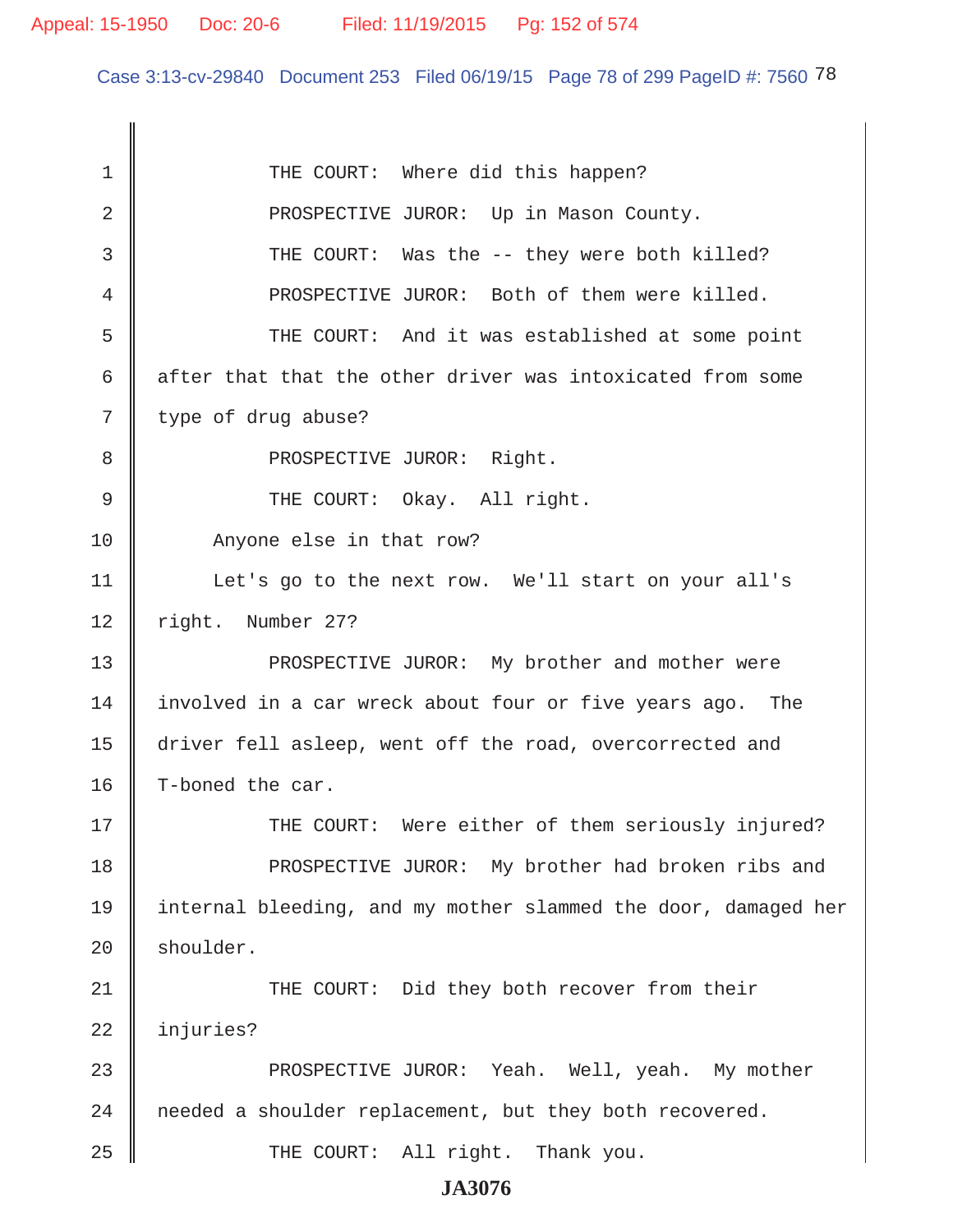Case 3:13-cv-29840 Document 253 Filed 06/19/15 Page 78 of 299 PageID #: 7560 78

| 1           | THE COURT: Where did this happen?                              |
|-------------|----------------------------------------------------------------|
| 2           | PROSPECTIVE JUROR: Up in Mason County.                         |
| 3           | THE COURT: Was the -- they were both killed?                   |
| 4           | PROSPECTIVE JUROR: Both of them were killed.                   |
| 5           | THE COURT: And it was established at some point                |
| 6           | after that that the other driver was intoxicated from some     |
| 7           | type of drug abuse?                                            |
| 8           | PROSPECTIVE JUROR: Right.                                      |
| $\mathsf 9$ | THE COURT: Okay. All right.                                    |
| 10          | Anyone else in that row?                                       |
| 11          | Let's go to the next row. We'll start on your all's            |
| 12          | right. Number 27?                                              |
| 13          | PROSPECTIVE JUROR: My brother and mother were                  |
| 14          | involved in a car wreck about four or five years ago. The      |
| 15          | driver fell asleep, went off the road, overcorrected and       |
| 16          | T-boned the car.                                               |
| 17          | THE COURT: Were either of them seriously injured?              |
| 18          | PROSPECTIVE JUROR: My brother had broken ribs and              |
| 19          | internal bleeding, and my mother slammed the door, damaged her |
| 20          | shoulder.                                                      |
| 21          | THE COURT: Did they both recover from their                    |
| 22          | injuries?                                                      |
| 23          | PROSPECTIVE JUROR: Yeah. Well, yeah. My mother                 |
| 24          | needed a shoulder replacement, but they both recovered.        |
| 25          | THE COURT: All right. Thank you.                               |
|             | <b>JA3076</b>                                                  |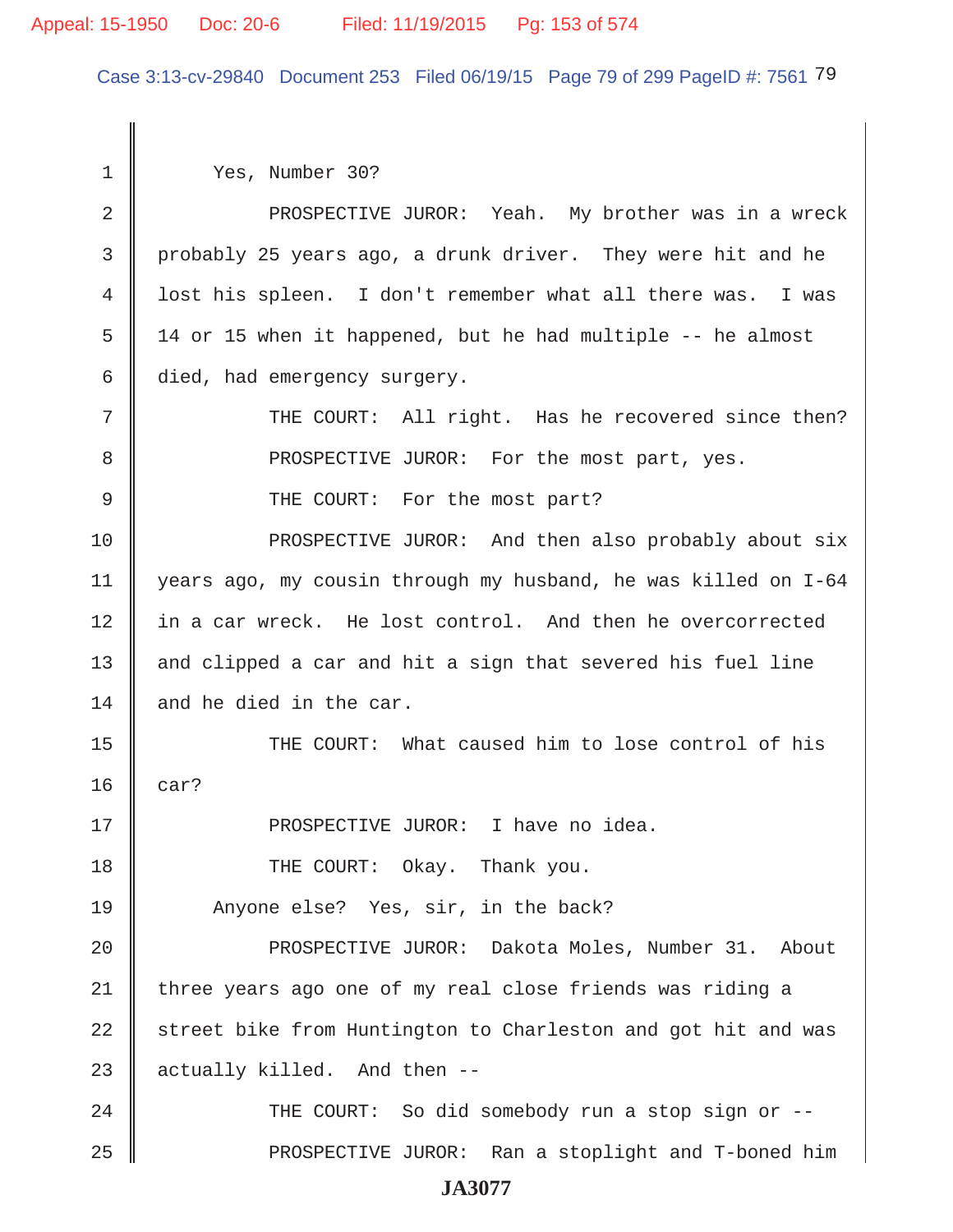#### Appeal: 15-1950 Doc: 20-6 Filed: 11/19/2015 Pg: 153 of 574

Case 3:13-cv-29840 Document 253 Filed 06/19/15 Page 79 of 299 PageID #: 7561 79

 1 Yes, Number 30? 2 || PROSPECTIVE JUROR: Yeah. My brother was in a wreck 3 probably 25 years ago, a drunk driver. They were hit and he 4 lost his spleen. I don't remember what all there was. I was  $5 \parallel$  14 or 15 when it happened, but he had multiple  $-$  he almost 6 died, had emergency surgery. 7 THE COURT: All right. Has he recovered since then? 8 **PROSPECTIVE JUROR:** For the most part, yes. 9 || THE COURT: For the most part? 10 PROSPECTIVE JUROR: And then also probably about six 11 years ago, my cousin through my husband, he was killed on I-64 12 in a car wreck. He lost control. And then he overcorrected 13  $\parallel$  and clipped a car and hit a sign that severed his fuel line 14  $\parallel$  and he died in the car. 15 THE COURT: What caused him to lose control of his  $16 \parallel \text{car?}$ 17 PROSPECTIVE JUROR: I have no idea. 18 **THE COURT:** Okay. Thank you. 19 Anyone else? Yes, sir, in the back? 20 || PROSPECTIVE JUROR: Dakota Moles, Number 31. About 21 | three years ago one of my real close friends was riding a 22 street bike from Huntington to Charleston and got hit and was 23  $\parallel$  actually killed. And then  $-$ -24 || THE COURT: So did somebody run a stop sign or --25 PROSPECTIVE JUROR: Ran a stoplight and T-boned him **JA3077**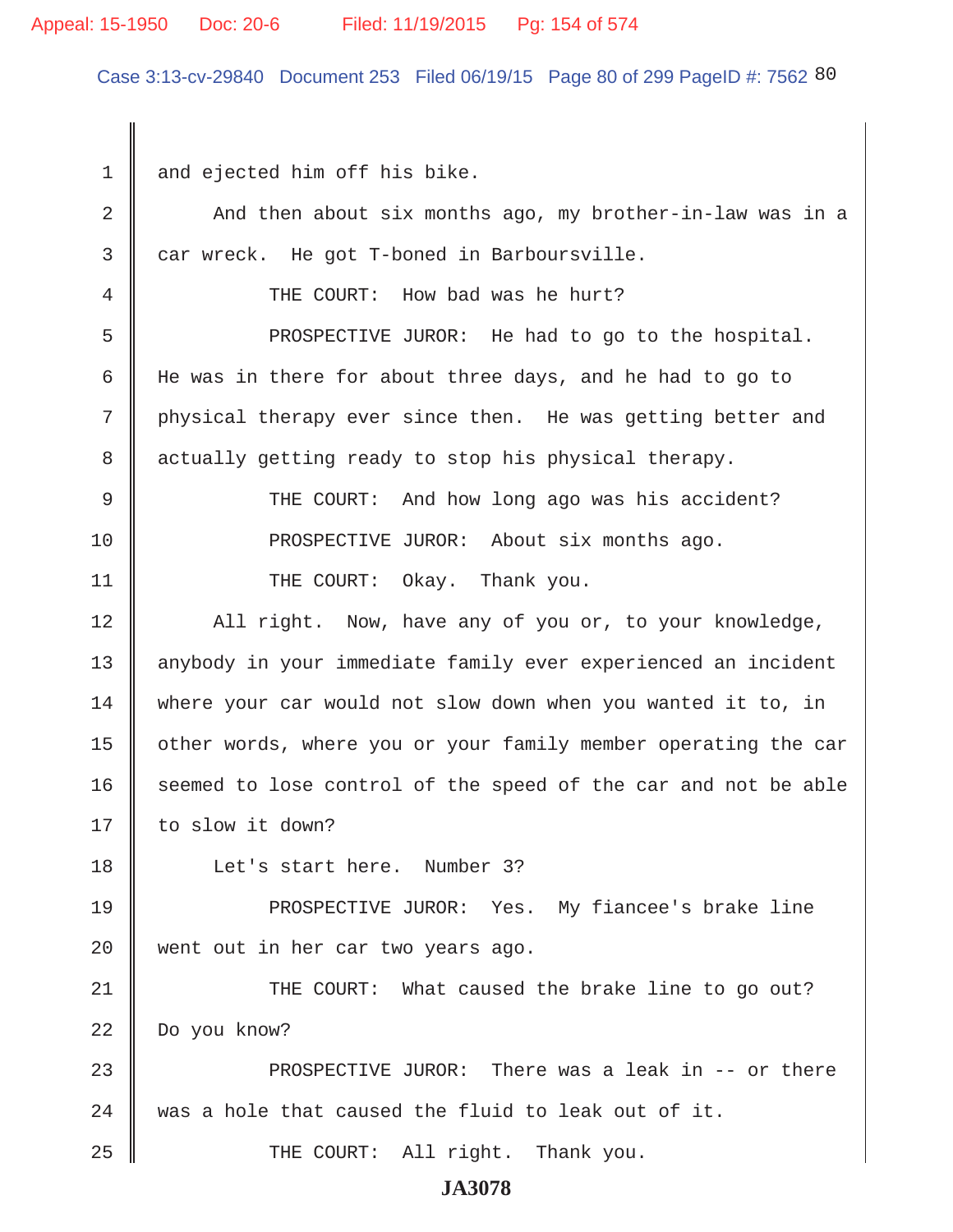#### Appeal: 15-1950 Doc: 20-6 Filed: 11/19/2015 Pg: 154 of 574

Case 3:13-cv-29840 Document 253 Filed 06/19/15 Page 80 of 299 PageID #: 7562 80

1 and ejected him off his bike. 2 And then about six months ago, my brother-in-law was in a  $3 \parallel$  car wreck. He got T-boned in Barboursville. 4 We THE COURT: How bad was he hurt? 5 Supersect FROSPECTIVE JUROR: He had to go to the hospital. 6 He was in there for about three days, and he had to go to 7 physical therapy ever since then. He was getting better and 8 actually getting ready to stop his physical therapy. 9 THE COURT: And how long ago was his accident? 10 **PROSPECTIVE JUROR:** About six months ago. 11 || THE COURT: Okay. Thank you. 12 || All right. Now, have any of you or, to your knowledge, 13 || anybody in your immediate family ever experienced an incident 14 where your car would not slow down when you wanted it to, in 15 | other words, where you or your family member operating the car 16 seemed to lose control of the speed of the car and not be able 17 || to slow it down? 18 || Let's start here. Number 3? 19 PROSPECTIVE JUROR: Yes. My fiancee's brake line 20 || went out in her car two years ago. 21 THE COURT: What caused the brake line to go out? 22 Do you know? 23 PROSPECTIVE JUROR: There was a leak in -- or there 24 was a hole that caused the fluid to leak out of it. 25 THE COURT: All right. Thank you. **JA3078**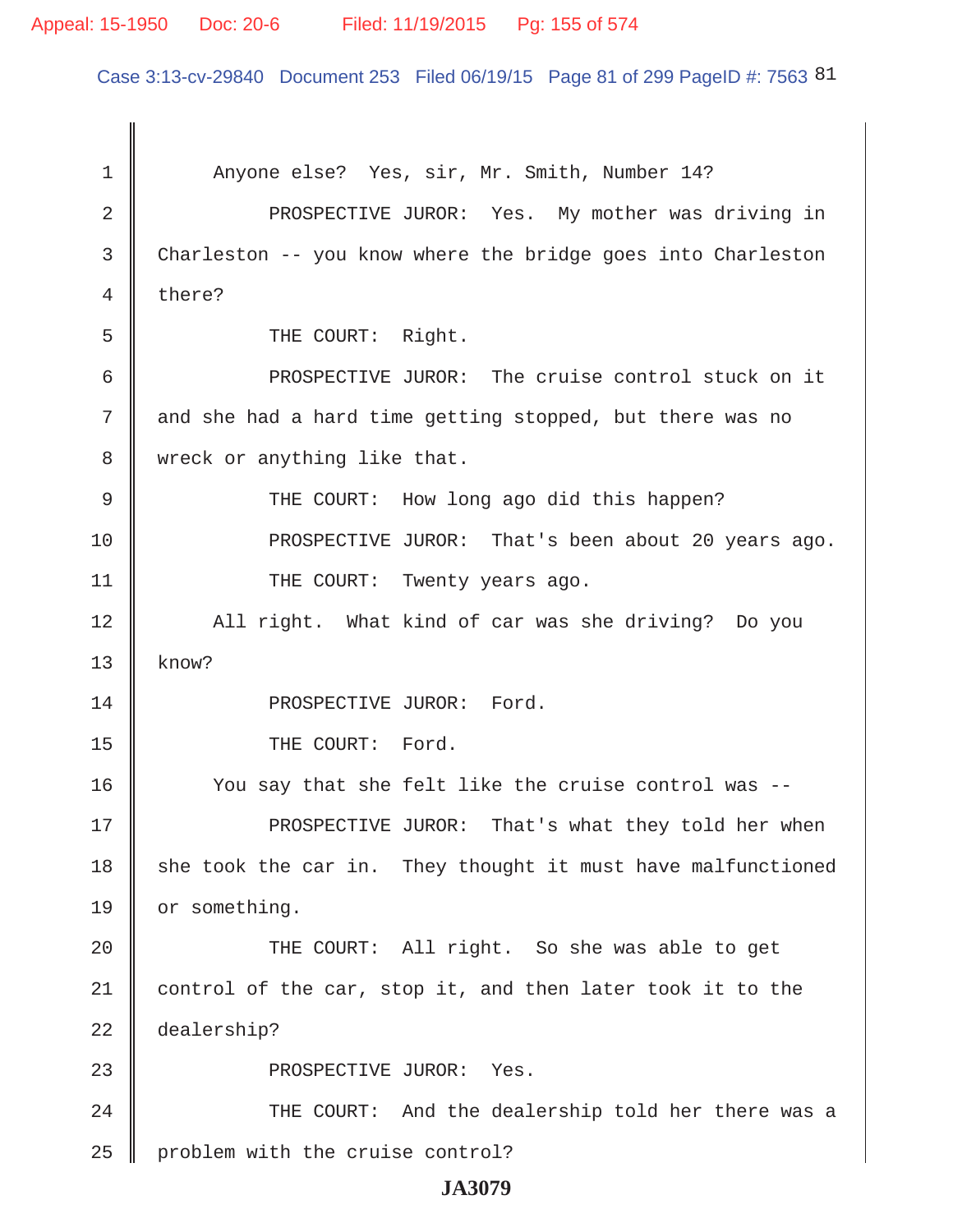#### Appeal: 15-1950 Doc: 20-6 Filed: 11/19/2015 Pg: 155 of 574

Case 3:13-cv-29840 Document 253 Filed 06/19/15 Page 81 of 299 PageID #: 7563 81

1 | Anyone else? Yes, sir, Mr. Smith, Number 14? 2 || PROSPECTIVE JUROR: Yes. My mother was driving in 3 Charleston -- you know where the bridge goes into Charleston 4 there? 5 || THE COURT: Right. 6 PROSPECTIVE JUROR: The cruise control stuck on it 7 and she had a hard time getting stopped, but there was no 8 | wreck or anything like that. 9 THE COURT: How long ago did this happen? 10 **PROSPECTIVE JUROR:** That's been about 20 years ago. 11 | THE COURT: Twenty years ago. 12 || All right. What kind of car was she driving? Do you  $13$  know? 14 || PROSPECTIVE JUROR: Ford. 15 || THE COURT: Ford. 16 You say that she felt like the cruise control was -- 17 || PROSPECTIVE JUROR: That's what they told her when  $18$  she took the car in. They thought it must have malfunctioned 19 | or something. 20 || THE COURT: All right. So she was able to get 21  $\parallel$  control of the car, stop it, and then later took it to the 22 dealership? 23 || PROSPECTIVE JUROR: Yes. 24 THE COURT: And the dealership told her there was a  $25$  | problem with the cruise control?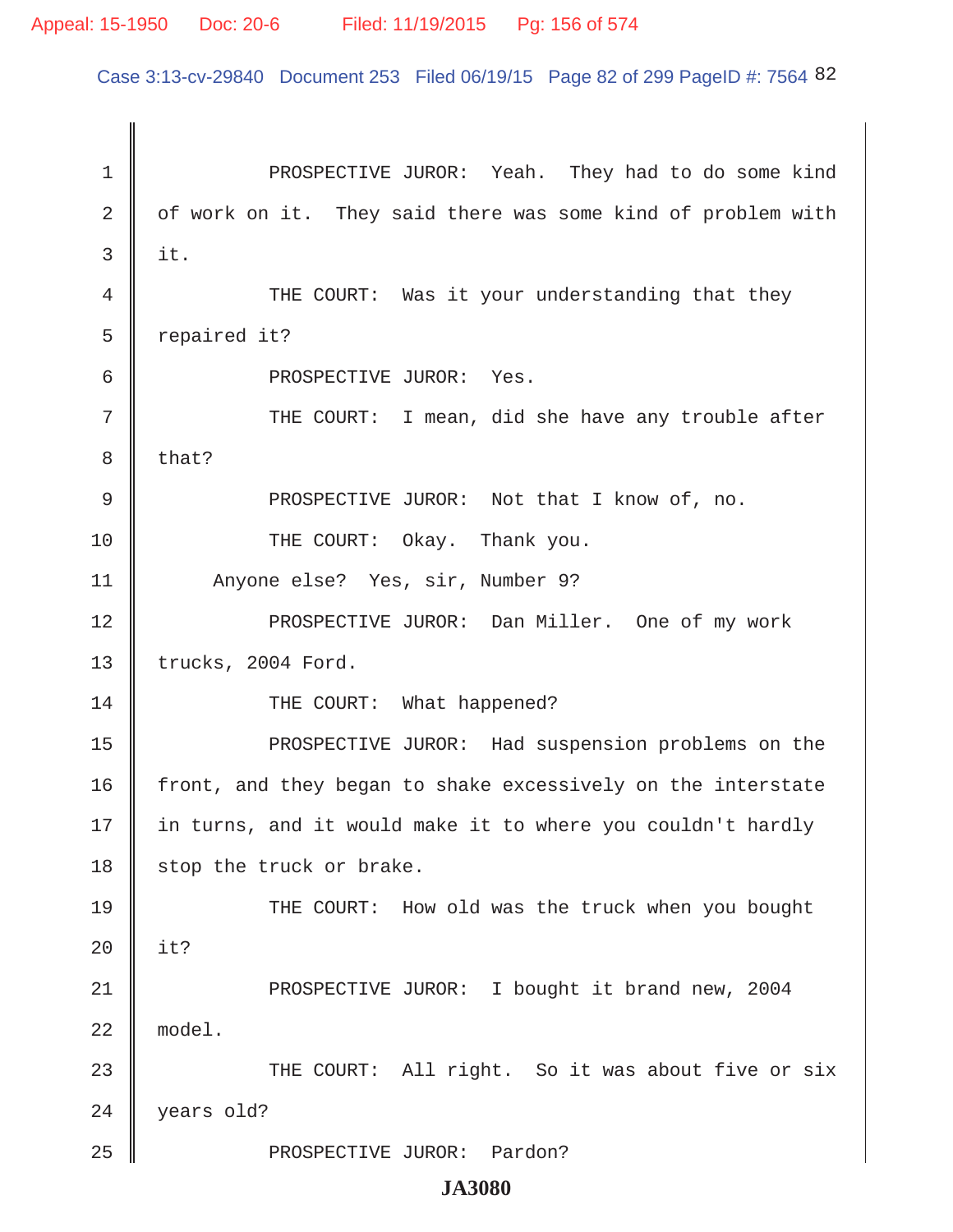Case 3:13-cv-29840 Document 253 Filed 06/19/15 Page 82 of 299 PageID #: 7564 82

1 **PROSPECTIVE JUROR:** Yeah. They had to do some kind  $2 \parallel$  of work on it. They said there was some kind of problem with  $3 \parallel$  it. 4 THE COURT: Was it your understanding that they  $5 \parallel$  repaired it? 6 COMPROSPECTIVE JUROR: Yes. 7 || THE COURT: I mean, did she have any trouble after  $8 \parallel$  that? 9 || PROSPECTIVE JUROR: Not that I know of, no. 10 THE COURT: Okay. Thank you. 11 | Anyone else? Yes, sir, Number 9? 12 || PROSPECTIVE JUROR: Dan Miller. One of my work 13 | trucks, 2004 Ford. 14 || THE COURT: What happened? 15 || PROSPECTIVE JUROR: Had suspension problems on the 16 front, and they began to shake excessively on the interstate 17 || in turns, and it would make it to where you couldn't hardly 18 stop the truck or brake. 19 THE COURT: How old was the truck when you bought 20  $\parallel$  it? 21 | PROSPECTIVE JUROR: I bought it brand new, 2004 22 model. 23 THE COURT: All right. So it was about five or six 24 vears old? 25 || PROSPECTIVE JUROR: Pardon?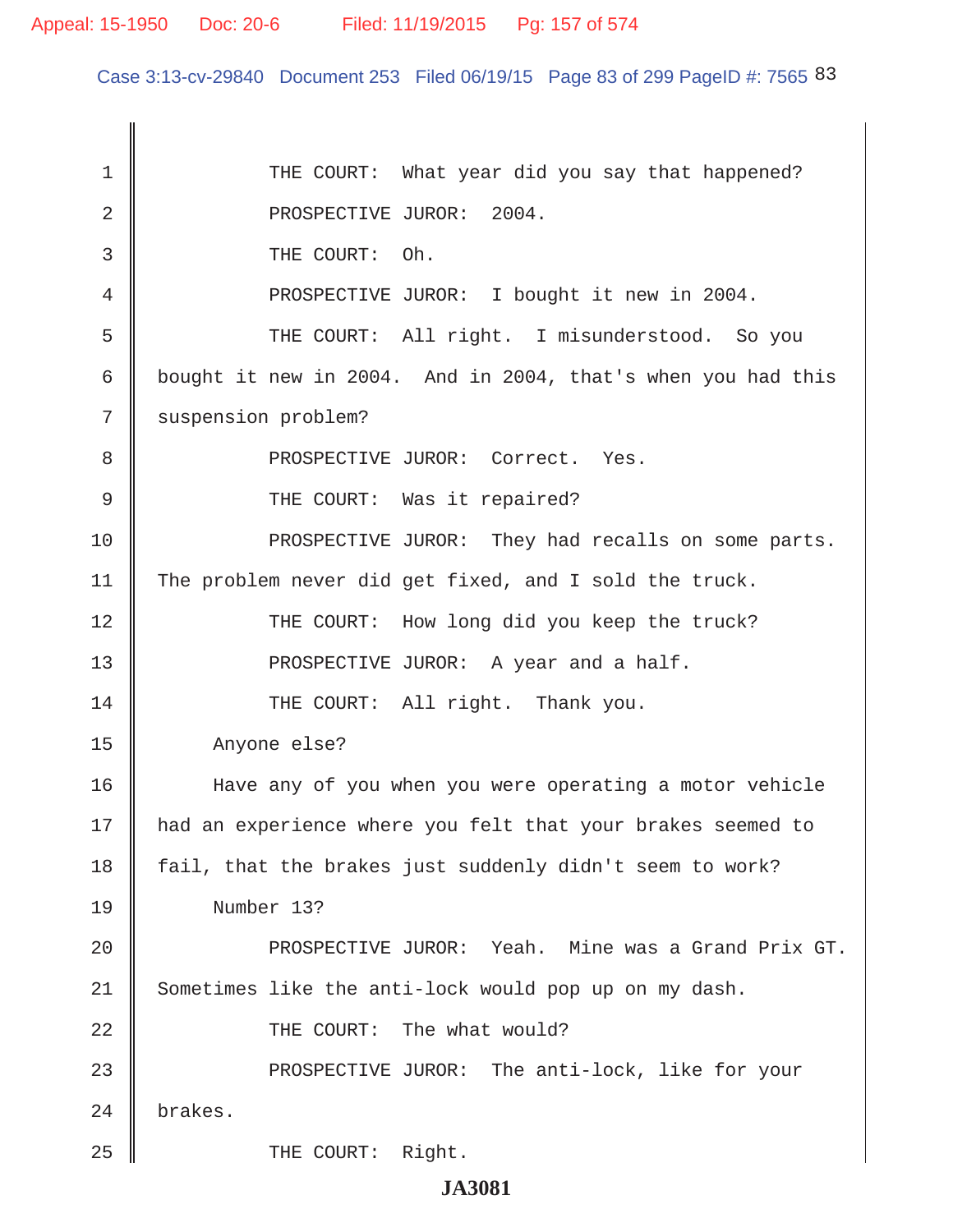Case 3:13-cv-29840 Document 253 Filed 06/19/15 Page 83 of 299 PageID #: 7565 83

1 THE COURT: What year did you say that happened? 2 NOSPECTIVE JUROR: 2004. 3 **J** THE COURT: Oh. 4 | PROSPECTIVE JUROR: I bought it new in 2004. 5 THE COURT: All right. I misunderstood. So you 6 bought it new in 2004. And in 2004, that's when you had this 7 | suspension problem? 8 || PROSPECTIVE JUROR: Correct. Yes. 9 || THE COURT: Was it repaired? 10 **PROSPECTIVE JUROR:** They had recalls on some parts. 11 The problem never did get fixed, and I sold the truck. 12 THE COURT: How long did you keep the truck? 13 || PROSPECTIVE JUROR: A year and a half. 14 THE COURT: All right. Thank you. 15 Anyone else? 16 Have any of you when you were operating a motor vehicle 17 had an experience where you felt that your brakes seemed to 18 fail, that the brakes just suddenly didn't seem to work? 19 Number 13? 20 PROSPECTIVE JUROR: Yeah. Mine was a Grand Prix GT. 21 Sometimes like the anti-lock would pop up on my dash. 22 || THE COURT: The what would? 23 **PROSPECTIVE JUROR:** The anti-lock, like for your 24 brakes. 25 || THE COURT: Right.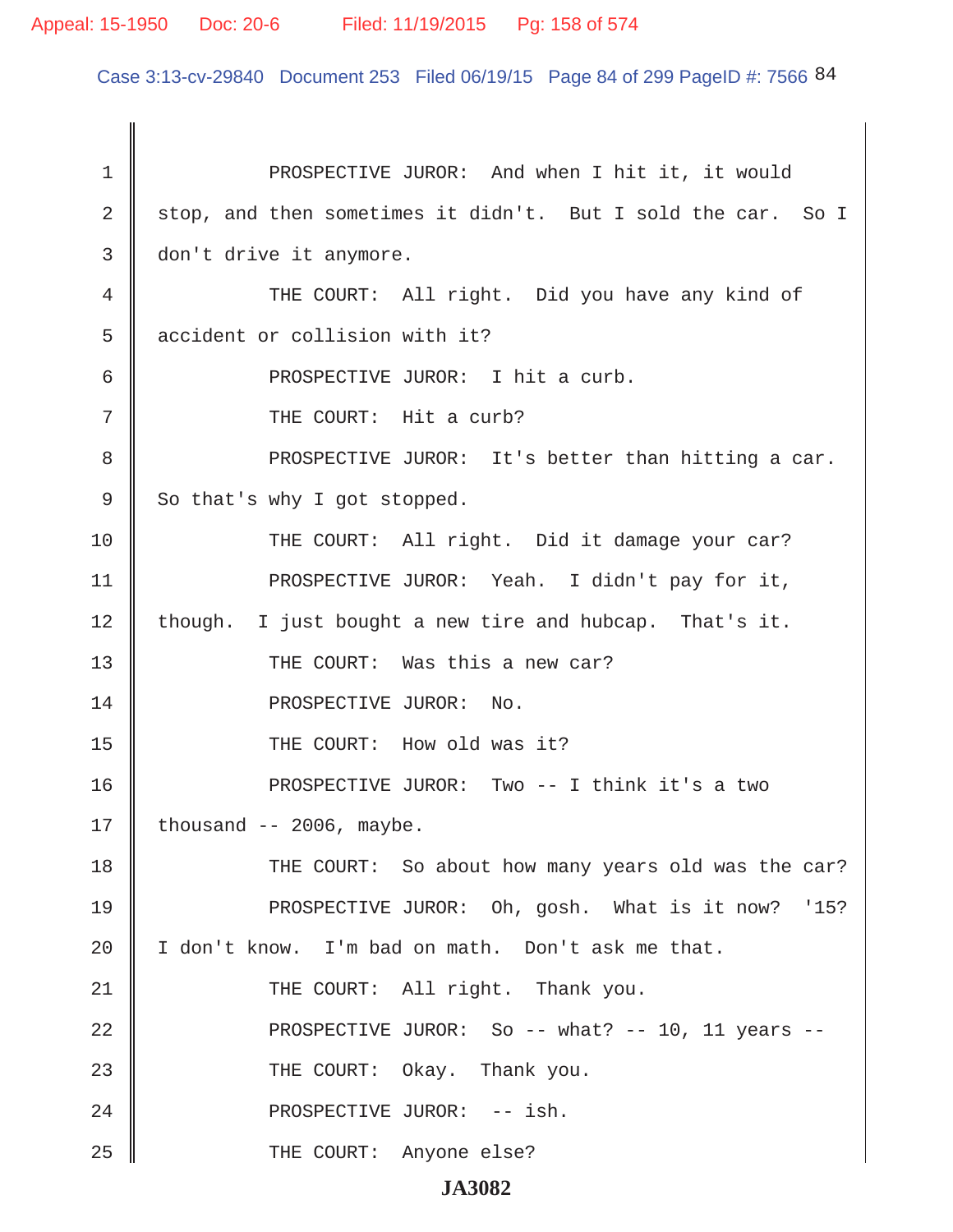# Appeal: 15-1950 Doc: 20-6 Filed: 11/19/2015 Pg: 158 of 574

Case 3:13-cv-29840 Document 253 Filed 06/19/15 Page 84 of 299 PageID #: 7566 84

| $\mathbf 1$ | PROSPECTIVE JUROR: And when I hit it, it would               |
|-------------|--------------------------------------------------------------|
| 2           | stop, and then sometimes it didn't. But I sold the car. So I |
| 3           | don't drive it anymore.                                      |
| 4           | THE COURT: All right. Did you have any kind of               |
| 5           | accident or collision with it?                               |
| 6           | PROSPECTIVE JUROR: I hit a curb.                             |
| 7           | THE COURT: Hit a curb?                                       |
| 8           | PROSPECTIVE JUROR: It's better than hitting a car.           |
| 9           | So that's why I got stopped.                                 |
| 10          | THE COURT: All right. Did it damage your car?                |
| 11          | PROSPECTIVE JUROR: Yeah. I didn't pay for it,                |
| 12          | though. I just bought a new tire and hubcap. That's it.      |
| 13          | THE COURT: Was this a new car?                               |
| 14          | PROSPECTIVE JUROR: No.                                       |
| 15          | THE COURT: How old was it?                                   |
| 16          | PROSPECTIVE JUROR: Two -- I think it's a two                 |
| 17          | thousand $-- 2006$ , maybe.                                  |
| 18          | THE COURT: So about how many years old was the car?          |
| 19          | PROSPECTIVE JUROR: Oh, gosh. What is it now? '15?            |
| 20          | I don't know. I'm bad on math. Don't ask me that.            |
| 21          | THE COURT: All right. Thank you.                             |
| 22          | PROSPECTIVE JUROR: So -- what? -- 10, 11 years --            |
| 23          | THE COURT: Okay. Thank you.                                  |
| 24          | PROSPECTIVE JUROR: -- ish.                                   |
| 25          | THE COURT: Anyone else?                                      |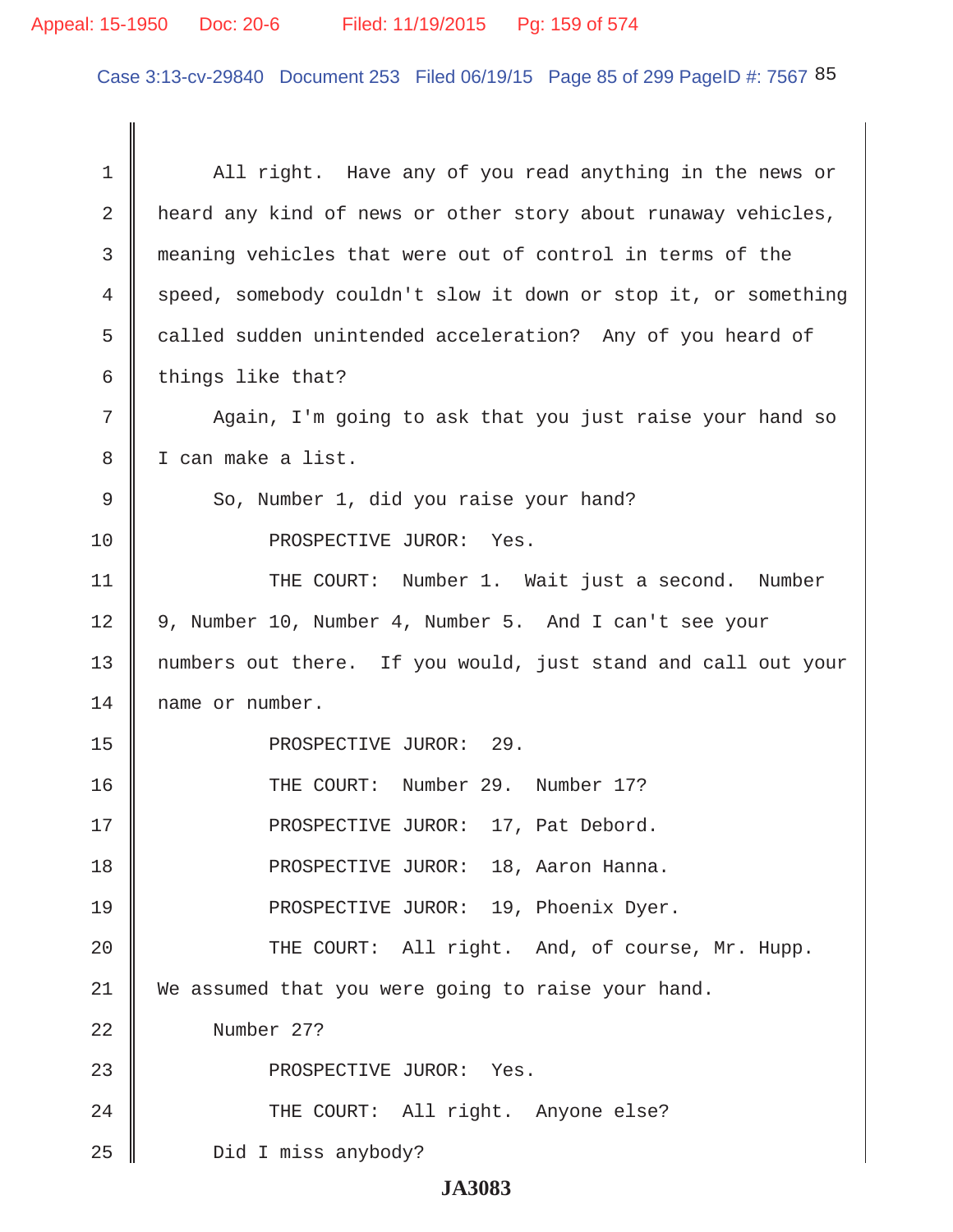# Appeal: 15-1950 Doc: 20-6 Filed: 11/19/2015 Pg: 159 of 574

Case 3:13-cv-29840 Document 253 Filed 06/19/15 Page 85 of 299 PageID #: 7567 85

| 1  | All right. Have any of you read anything in the news or        |
|----|----------------------------------------------------------------|
| 2  | heard any kind of news or other story about runaway vehicles,  |
| 3  | meaning vehicles that were out of control in terms of the      |
| 4  | speed, somebody couldn't slow it down or stop it, or something |
| 5  | called sudden unintended acceleration? Any of you heard of     |
| 6  | things like that?                                              |
| 7  | Again, I'm going to ask that you just raise your hand so       |
| 8  | I can make a list.                                             |
| 9  | So, Number 1, did you raise your hand?                         |
| 10 | PROSPECTIVE JUROR: Yes.                                        |
| 11 | THE COURT: Number 1. Wait just a second. Number                |
| 12 | 9, Number 10, Number 4, Number 5. And I can't see your         |
| 13 | numbers out there. If you would, just stand and call out your  |
| 14 | name or number.                                                |
| 15 | PROSPECTIVE JUROR: 29.                                         |
| 16 | THE COURT: Number 29. Number 17?                               |
| 17 | PROSPECTIVE JUROR: 17, Pat Debord.                             |
| 18 | PROSPECTIVE JUROR: 18, Aaron Hanna.                            |
| 19 | PROSPECTIVE JUROR: 19, Phoenix Dyer.                           |
| 20 | THE COURT: All right. And, of course, Mr. Hupp.                |
| 21 | We assumed that you were going to raise your hand.             |
| 22 | Number 27?                                                     |
| 23 | PROSPECTIVE JUROR: Yes.                                        |
| 24 | THE COURT: All right. Anyone else?                             |
| 25 | Did I miss anybody?                                            |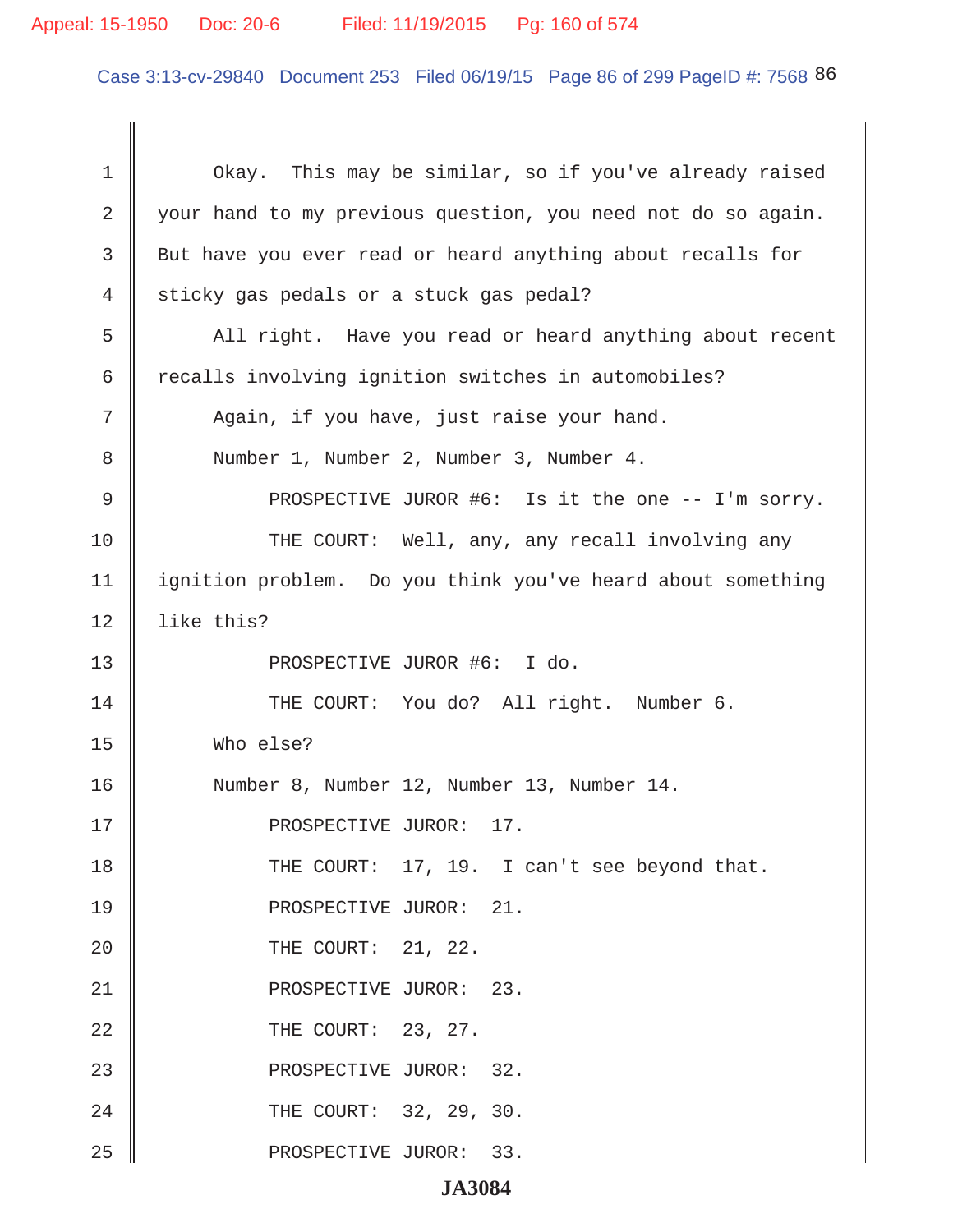# Appeal: 15-1950 Doc: 20-6 Filed: 11/19/2015 Pg: 160 of 574

Case 3:13-cv-29840 Document 253 Filed 06/19/15 Page 86 of 299 PageID #: 7568 86

| 1  | Okay. This may be similar, so if you've already raised       |
|----|--------------------------------------------------------------|
| 2  | your hand to my previous question, you need not do so again. |
| 3  | But have you ever read or heard anything about recalls for   |
| 4  | sticky gas pedals or a stuck gas pedal?                      |
| 5  | All right. Have you read or heard anything about recent      |
| 6  | recalls involving ignition switches in automobiles?          |
| 7  | Again, if you have, just raise your hand.                    |
| 8  | Number 1, Number 2, Number 3, Number 4.                      |
| 9  | PROSPECTIVE JUROR #6: Is it the one -- I'm sorry.            |
| 10 | THE COURT: Well, any, any recall involving any               |
| 11 | ignition problem. Do you think you've heard about something  |
| 12 | like this?                                                   |
| 13 | PROSPECTIVE JUROR #6: I do.                                  |
| 14 | THE COURT: You do? All right. Number 6.                      |
| 15 | Who else?                                                    |
| 16 | Number 8, Number 12, Number 13, Number 14.                   |
| 17 | PROSPECTIVE JUROR: 17.                                       |
| 18 | THE COURT: 17, 19. I can't see beyond that.                  |
| 19 | PROSPECTIVE JUROR: 21.                                       |
| 20 | THE COURT: 21, 22.                                           |
| 21 | PROSPECTIVE JUROR: 23.                                       |
| 22 | THE COURT: 23, 27.                                           |
| 23 | PROSPECTIVE JUROR: 32.                                       |
| 24 | THE COURT: 32, 29, 30.                                       |
| 25 | PROSPECTIVE JUROR: 33.                                       |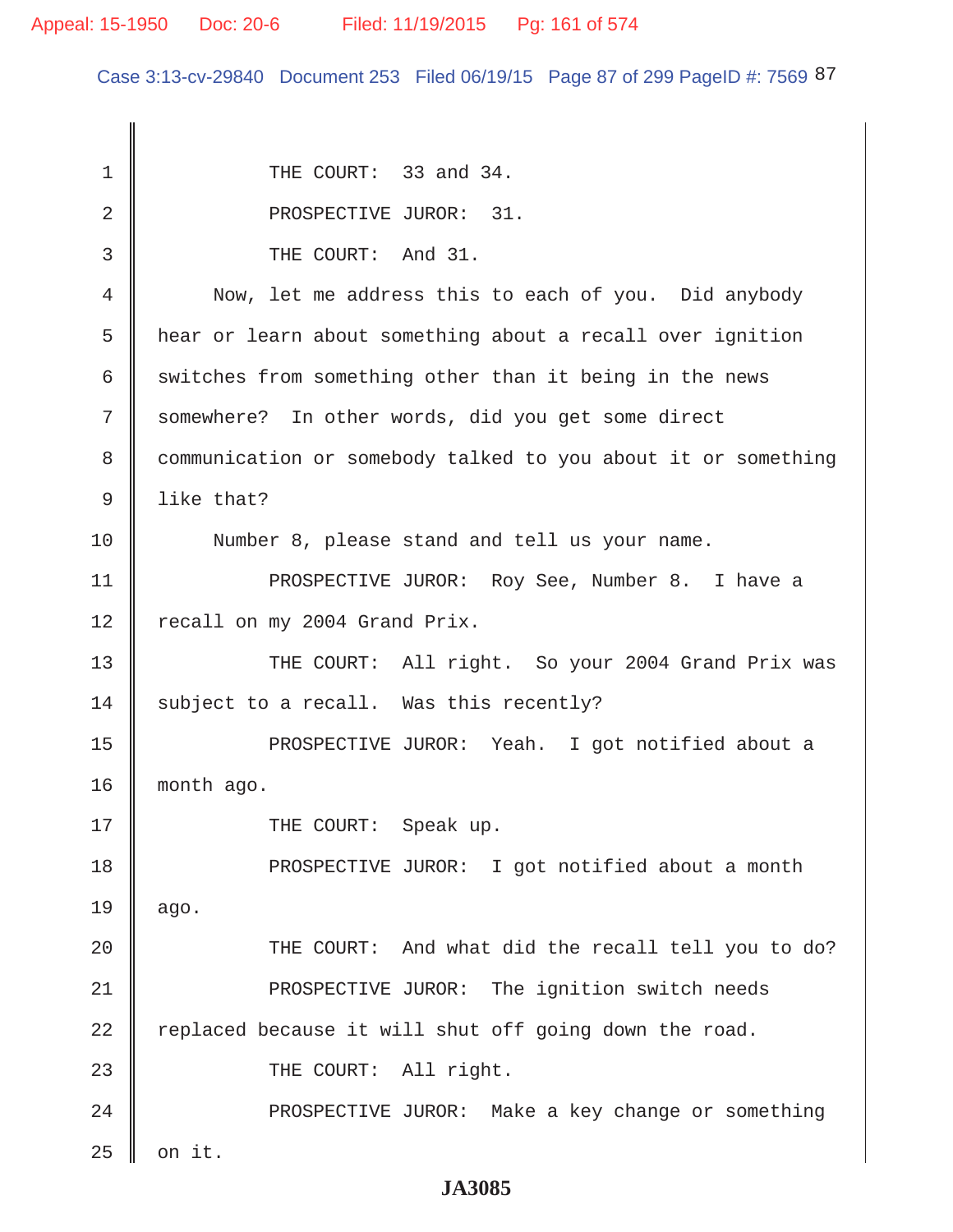Case 3:13-cv-29840 Document 253 Filed 06/19/15 Page 87 of 299 PageID #: 7569 87

| 1  | THE COURT: 33 and 34.                                         |
|----|---------------------------------------------------------------|
| 2  | PROSPECTIVE JUROR: 31.                                        |
| 3  | THE COURT: And 31.                                            |
| 4  | Now, let me address this to each of you. Did anybody          |
| 5  | hear or learn about something about a recall over ignition    |
| 6  | switches from something other than it being in the news       |
| 7  | somewhere? In other words, did you get some direct            |
| 8  | communication or somebody talked to you about it or something |
| 9  | like that?                                                    |
| 10 | Number 8, please stand and tell us your name.                 |
| 11 | PROSPECTIVE JUROR: Roy See, Number 8. I have a                |
| 12 | recall on my 2004 Grand Prix.                                 |
| 13 | THE COURT: All right. So your 2004 Grand Prix was             |
| 14 | subject to a recall. Was this recently?                       |
| 15 | PROSPECTIVE JUROR: Yeah. I got notified about a               |
| 16 | month ago.                                                    |
| 17 | THE COURT: Speak up.                                          |
| 18 | PROSPECTIVE JUROR: I got notified about a month               |
| 19 | ago.                                                          |
| 20 | THE COURT: And what did the recall tell you to do?            |
| 21 | PROSPECTIVE JUROR: The ignition switch needs                  |
| 22 | replaced because it will shut off going down the road.        |
| 23 | THE COURT: All right.                                         |
| 24 | PROSPECTIVE JUROR: Make a key change or something             |
| 25 | on it.                                                        |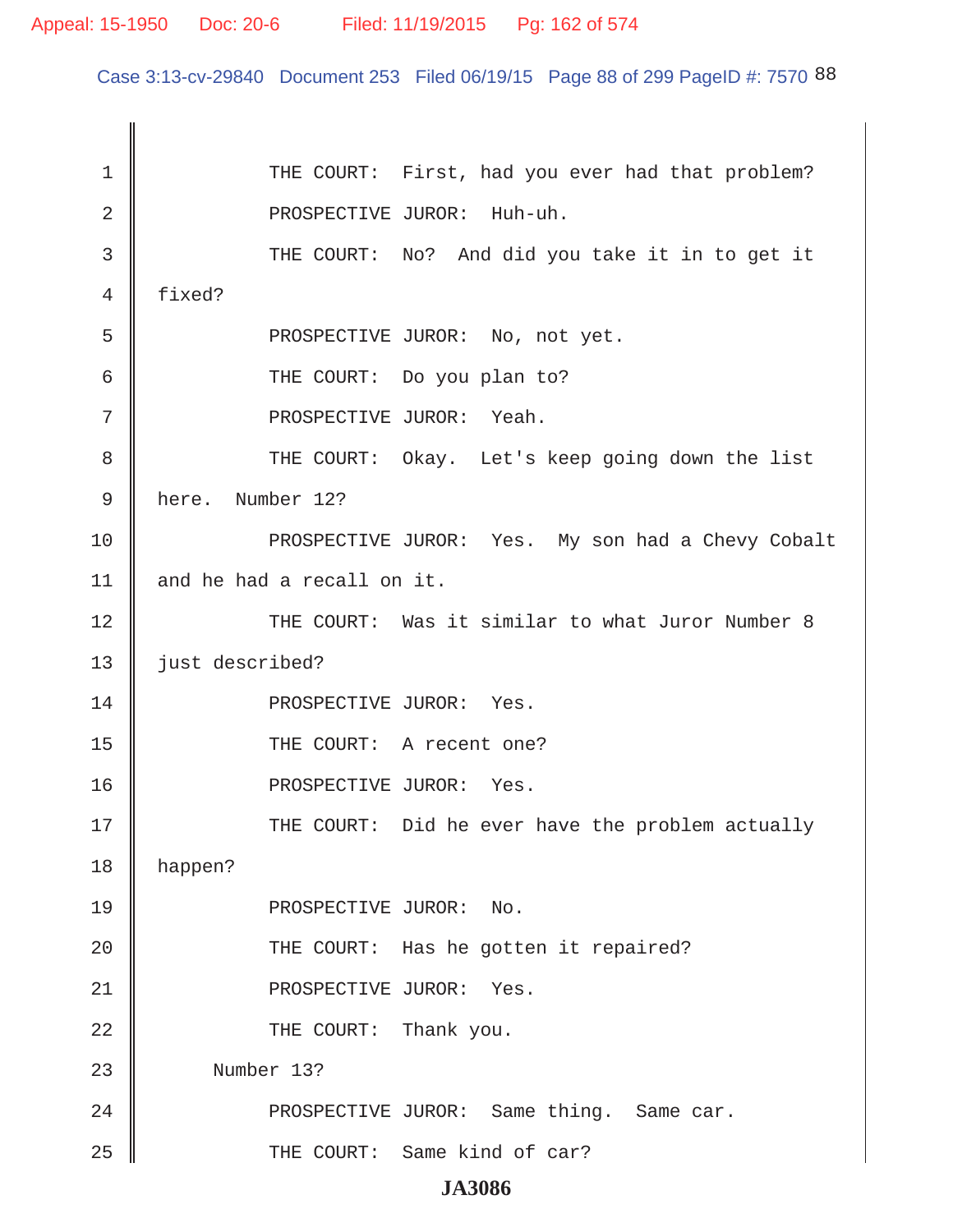Case 3:13-cv-29840 Document 253 Filed 06/19/15 Page 88 of 299 PageID #: 7570 88

1 | THE COURT: First, had you ever had that problem? 2 || PROSPECTIVE JUROR: Huh-uh. 3 THE COURT: No? And did you take it in to get it 4 fixed? 5 || PROSPECTIVE JUROR: No, not yet. 6 **6** THE COURT: Do you plan to? 7 || PROSPECTIVE JUROR: Yeah. 8 THE COURT: Okay. Let's keep going down the list 9 here. Number 12? 10 || PROSPECTIVE JUROR: Yes. My son had a Chevy Cobalt 11  $\parallel$  and he had a recall on it. 12 THE COURT: Was it similar to what Juror Number 8 13 | just described? 14 || PROSPECTIVE JUROR: Yes. 15 || THE COURT: A recent one? 16 || PROSPECTIVE JUROR: Yes. 17 THE COURT: Did he ever have the problem actually 18 happen? 19 || PROSPECTIVE JUROR: No. 20 || THE COURT: Has he gotten it repaired? 21 || PROSPECTIVE JUROR: Yes. 22 **COURT:** Thank you. 23 Number 13? 24 || PROSPECTIVE JUROR: Same thing. Same car. 25 || THE COURT: Same kind of car?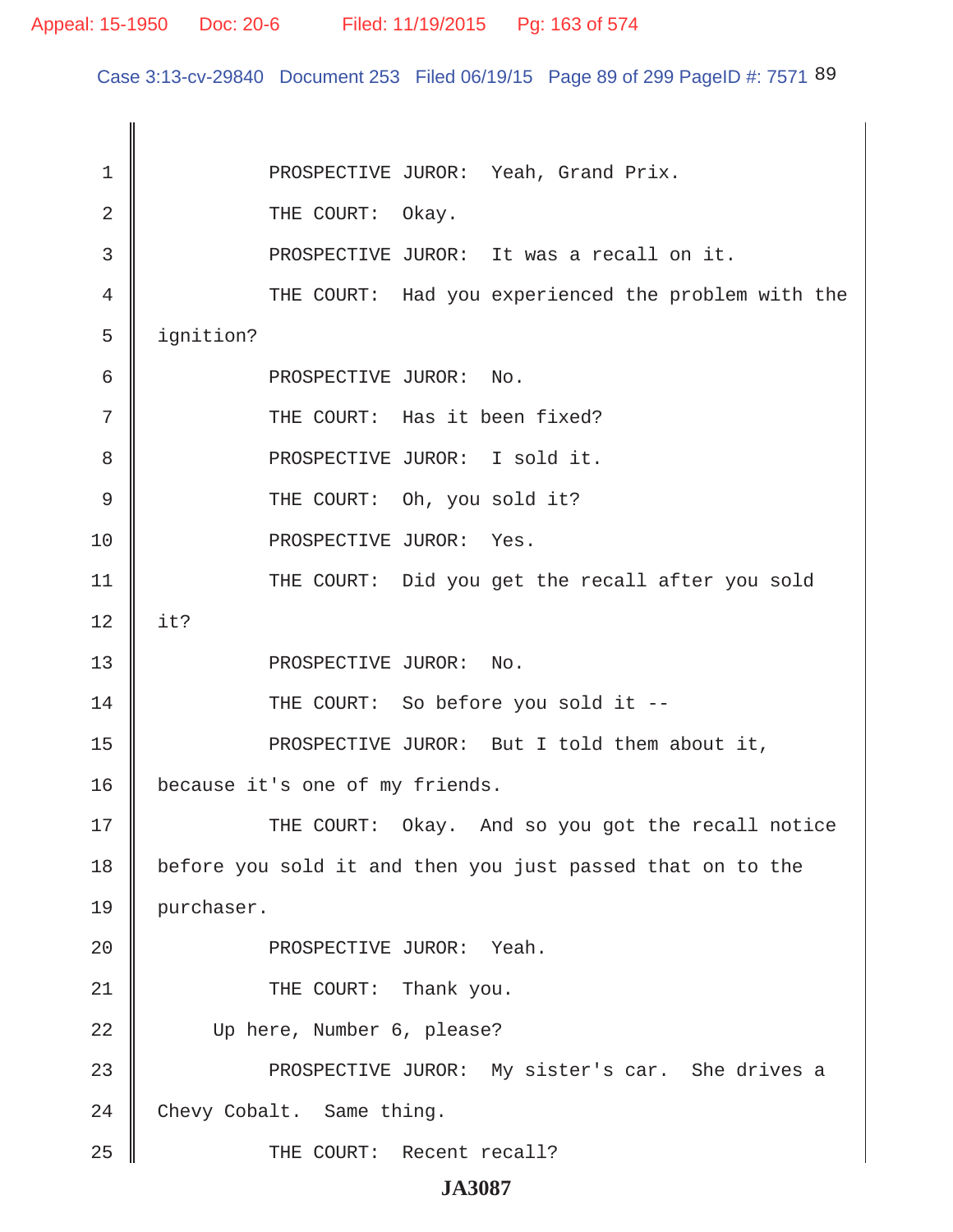Case 3:13-cv-29840 Document 253 Filed 06/19/15 Page 89 of 299 PageID #: 7571 89

1 || PROSPECTIVE JUROR: Yeah, Grand Prix. 2 COURT: Okay. 3 || PROSPECTIVE JUROR: It was a recall on it. 4 THE COURT: Had you experienced the problem with the 5 | ignition? 6 **6** PROSPECTIVE JUROR: No. 7 || THE COURT: Has it been fixed? 8 || PROSPECTIVE JUROR: I sold it. 9 CHE COURT: Oh, you sold it? 10 || PROSPECTIVE JUROR: Yes. 11 || THE COURT: Did you get the recall after you sold  $12 \parallel$  it? 13 || PROSPECTIVE JUROR: No. 14 THE COURT: So before you sold it --15 || PROSPECTIVE JUROR: But I told them about it, 16 | because it's one of my friends. 17 THE COURT: Okay. And so you got the recall notice 18 before you sold it and then you just passed that on to the 19 purchaser. 20 PROSPECTIVE JUROR: Yeah. 21 || THE COURT: Thank you. 22 Up here, Number 6, please? 23 PROSPECTIVE JUROR: My sister's car. She drives a  $24$  Chevy Cobalt. Same thing. 25 || THE COURT: Recent recall?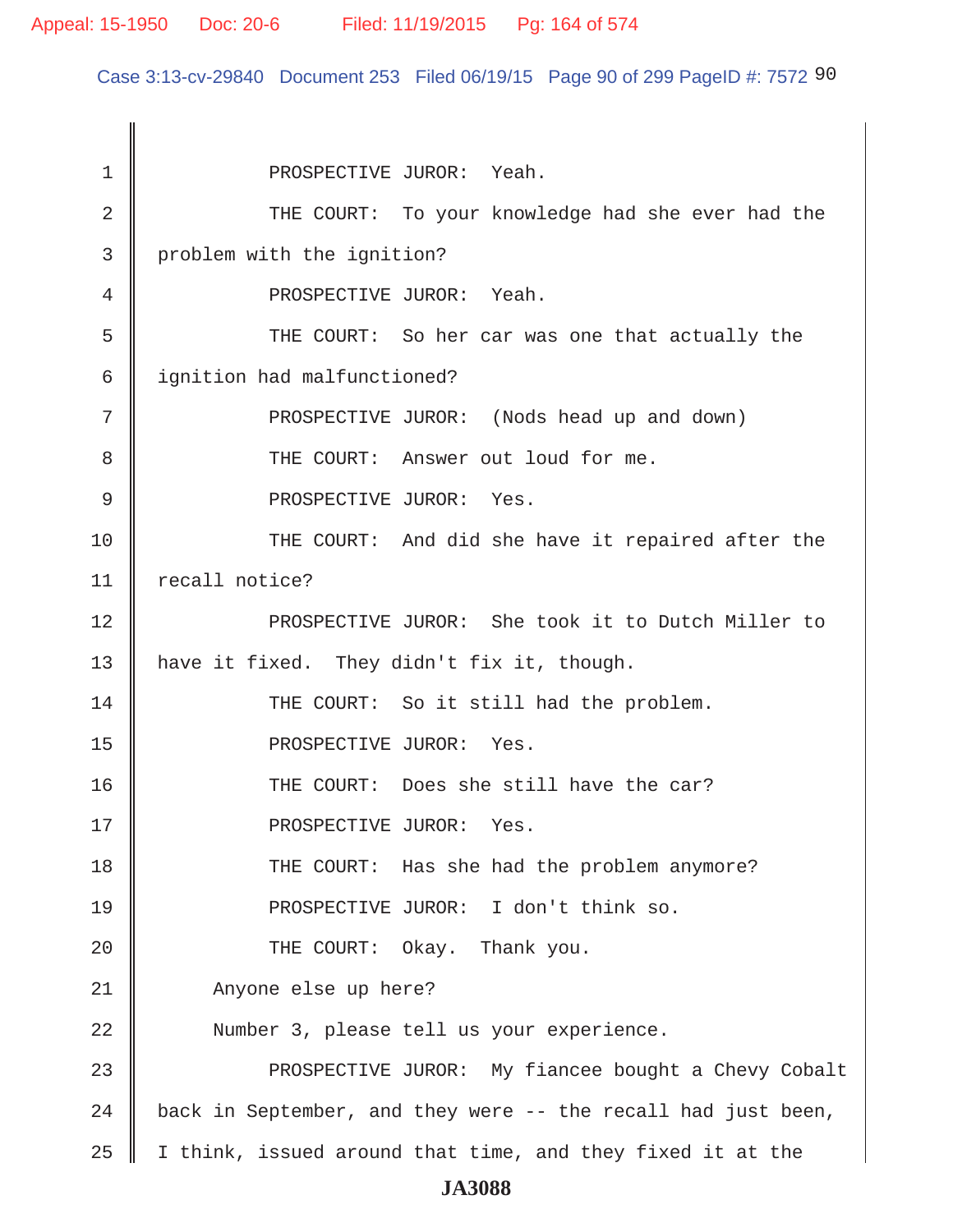Case 3:13-cv-29840 Document 253 Filed 06/19/15 Page 90 of 299 PageID #: 7572 90

1 || PROSPECTIVE JUROR: Yeah. 2 THE COURT: To your knowledge had she ever had the 3 problem with the ignition? 4 PROSPECTIVE JUROR: Yeah. 5 THE COURT: So her car was one that actually the 6 | ignition had malfunctioned? 7 || PROSPECTIVE JUROR: (Nods head up and down) 8 **THE COURT:** Answer out loud for me. 9 || PROSPECTIVE JUROR: Yes. 10 THE COURT: And did she have it repaired after the 11 | recall notice? 12 PROSPECTIVE JUROR: She took it to Dutch Miller to 13 | have it fixed. They didn't fix it, though. 14 THE COURT: So it still had the problem. 15 || PROSPECTIVE JUROR: Yes. 16 || THE COURT: Does she still have the car? 17 || PROSPECTIVE JUROR: Yes. 18 THE COURT: Has she had the problem anymore? 19 **PROSPECTIVE JUROR:** I don't think so. 20 **THE COURT:** Okay. Thank you. 21 || Anyone else up here? 22 || Number 3, please tell us your experience. 23 || PROSPECTIVE JUROR: My fiancee bought a Chevy Cobalt 24  $\parallel$  back in September, and they were -- the recall had just been, 25  $\parallel$  I think, issued around that time, and they fixed it at the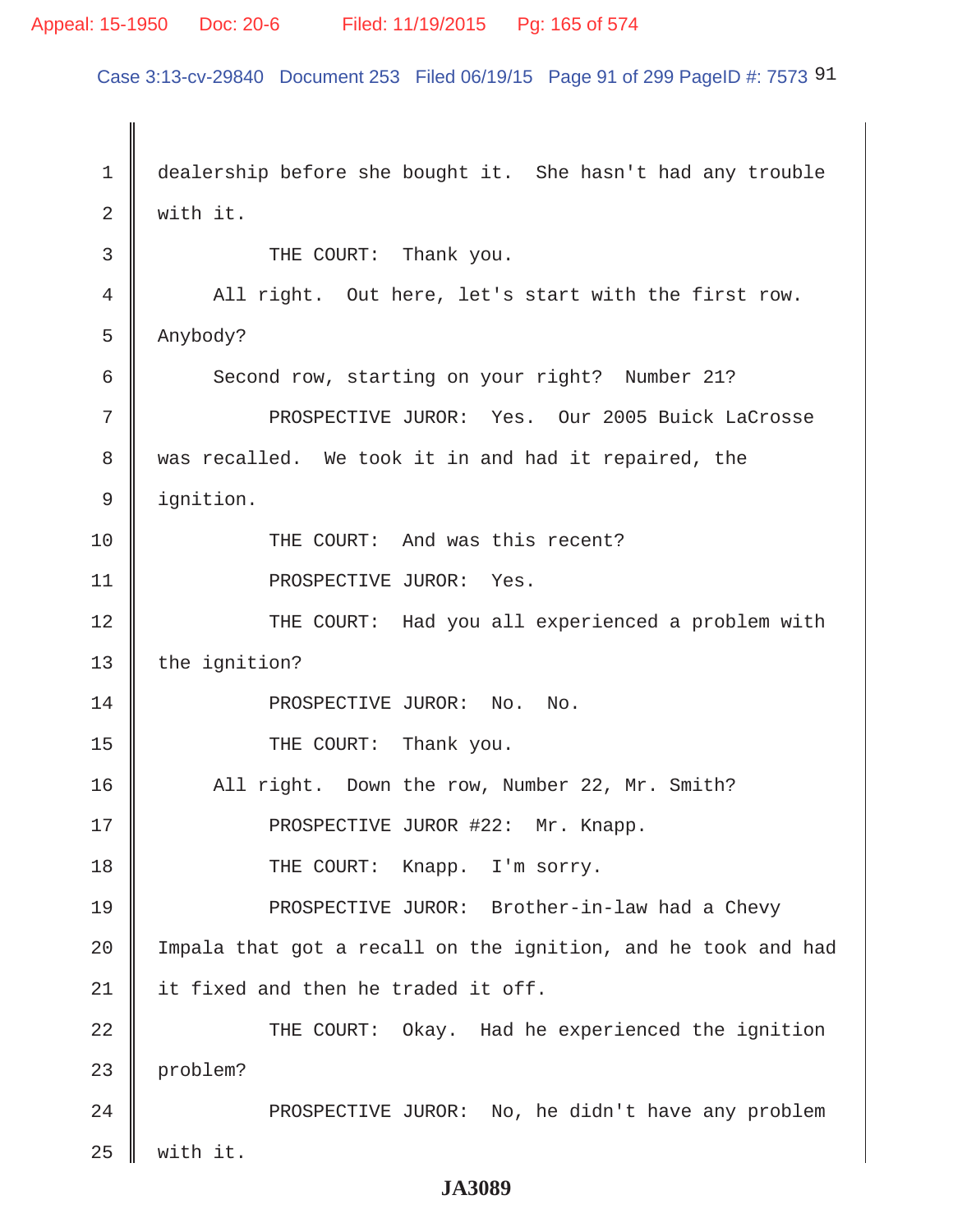#### Appeal: 15-1950 Doc: 20-6 Filed: 11/19/2015 Pg: 165 of 574

Case 3:13-cv-29840 Document 253 Filed 06/19/15 Page 91 of 299 PageID #: 7573 91

1 dealership before she bought it. She hasn't had any trouble  $2 \parallel$  with it. 3 **J** THE COURT: Thank you. 4 All right. Out here, let's start with the first row.  $5 \parallel$  Anybody? 6 Second row, starting on your right? Number 21? 7 PROSPECTIVE JUROR: Yes. Our 2005 Buick LaCrosse 8 || was recalled. We took it in and had it repaired, the 9 ignition. 10 || THE COURT: And was this recent? 11 || PROSPECTIVE JUROR: Yes. 12 || THE COURT: Had you all experienced a problem with 13 the ignition? 14 || PROSPECTIVE JUROR: No. No. 15 || THE COURT: Thank you. 16 All right. Down the row, Number 22, Mr. Smith? 17 || PROSPECTIVE JUROR #22: Mr. Knapp. 18 || THE COURT: Knapp. I'm sorry. 19 PROSPECTIVE JUROR: Brother-in-law had a Chevy  $20$  | Impala that got a recall on the ignition, and he took and had 21  $\parallel$  it fixed and then he traded it off. 22 || THE COURT: Okay. Had he experienced the ignition 23 problem? 24 | PROSPECTIVE JUROR: No, he didn't have any problem  $25$  with it.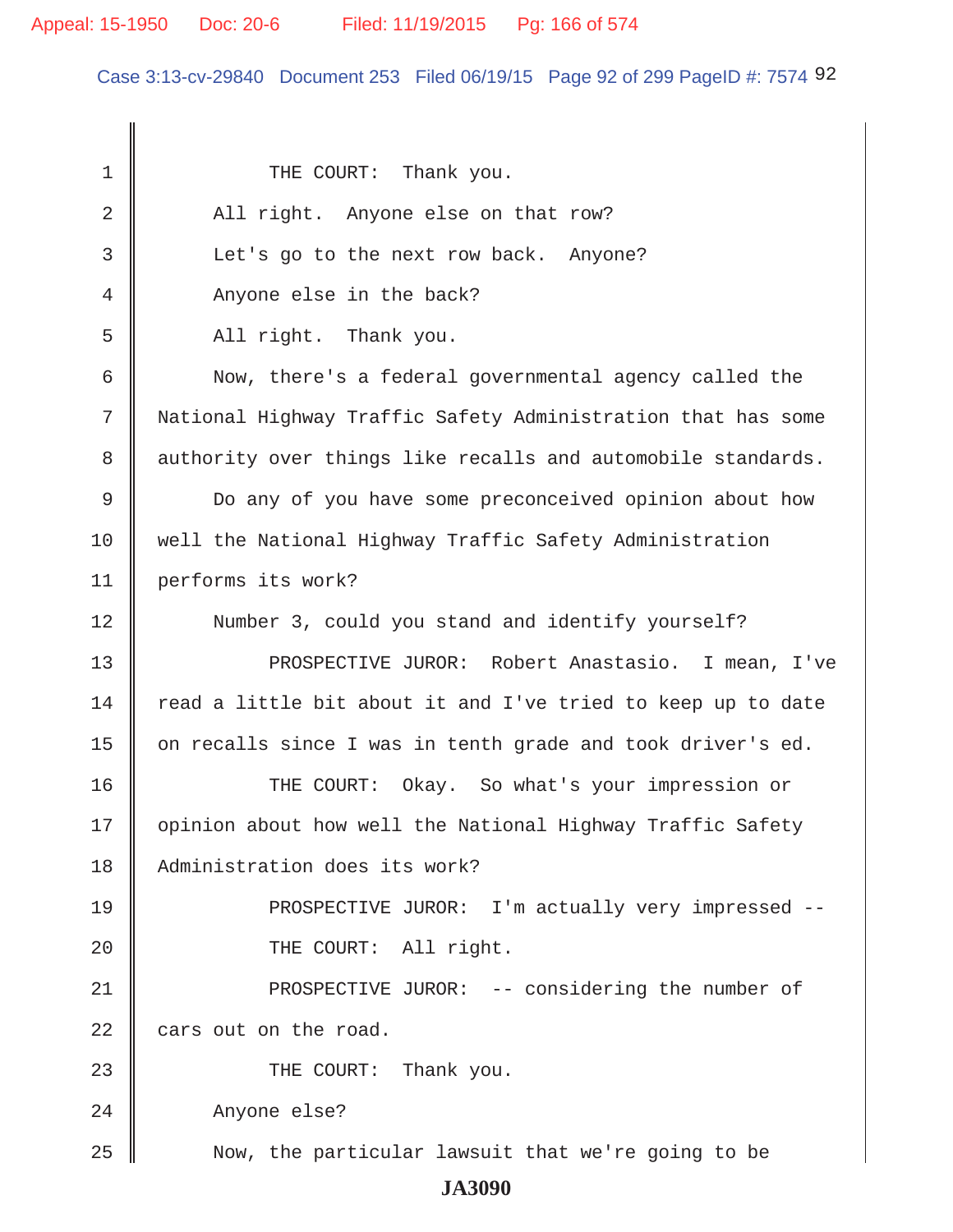Case 3:13-cv-29840 Document 253 Filed 06/19/15 Page 92 of 299 PageID #: 7574 92

1 || THE COURT: Thank you. 2 All right. Anyone else on that row? 3 | Let's go to the next row back. Anyone? 4 Anyone else in the back?  $5$  |  $\blacksquare$  All right. Thank you. 6 Now, there's a federal governmental agency called the 7 National Highway Traffic Safety Administration that has some 8 authority over things like recalls and automobile standards. 9 Do any of you have some preconceived opinion about how 10 well the National Highway Traffic Safety Administration 11 performs its work? 12 Number 3, could you stand and identify yourself? 13 || PROSPECTIVE JUROR: Robert Anastasio. I mean, I've  $14$  read a little bit about it and I've tried to keep up to date 15 | on recalls since I was in tenth grade and took driver's ed. 16 THE COURT: Okay. So what's your impression or 17 | opinion about how well the National Highway Traffic Safety 18 Administration does its work? 19 || PROSPECTIVE JUROR: I'm actually very impressed --20 || THE COURT: All right. 21 || PROSPECTIVE JUROR: -- considering the number of  $22$  | cars out on the road. 23 **THE COURT:** Thank you. 24 Anyone else? 25 Now, the particular lawsuit that we're going to be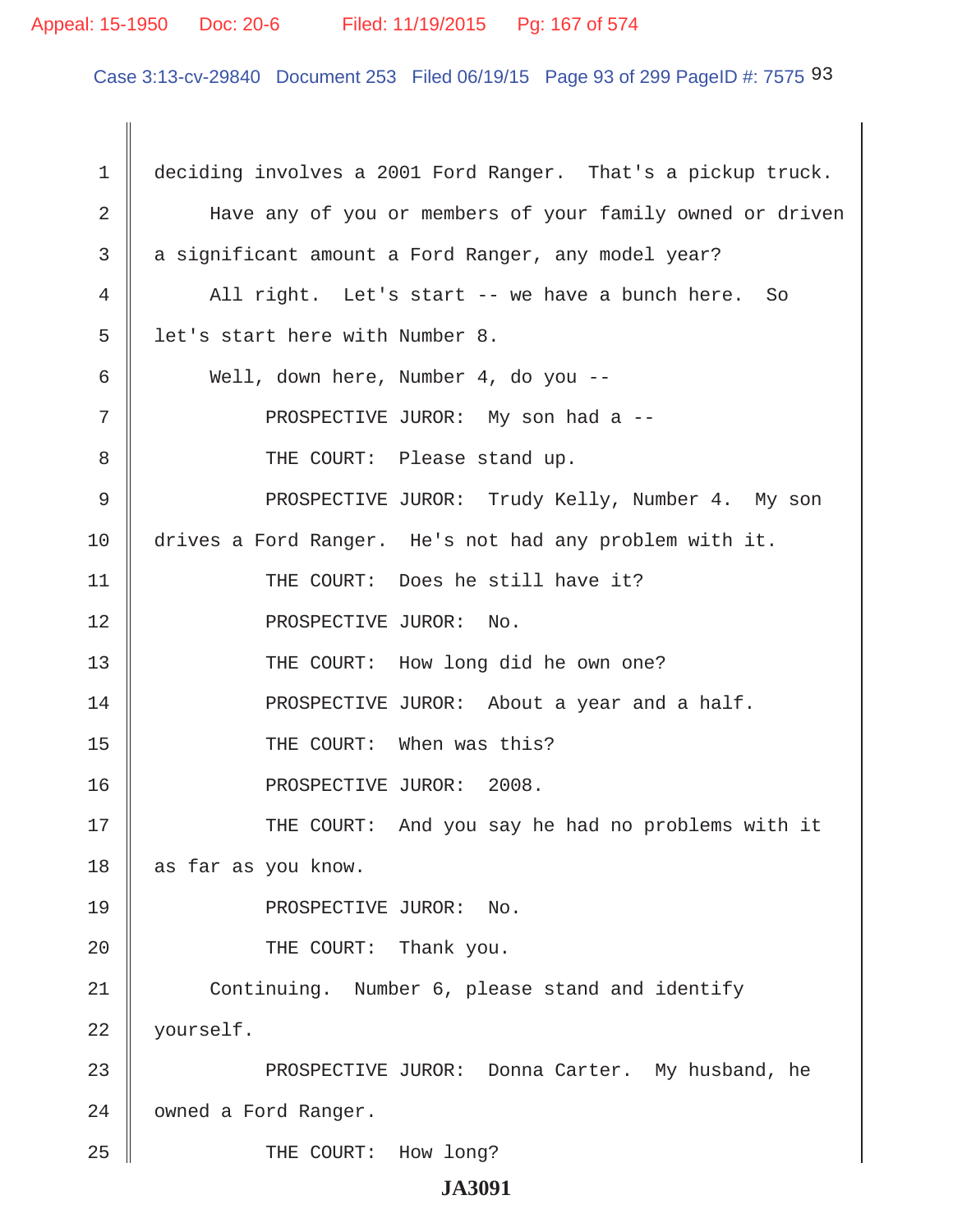#### Appeal: 15-1950 Doc: 20-6 Filed: 11/19/2015 Pg: 167 of 574

Case 3:13-cv-29840 Document 253 Filed 06/19/15 Page 93 of 299 PageID #: 7575 93

1 deciding involves a 2001 Ford Ranger. That's a pickup truck. 2 || Bave any of you or members of your family owned or driven 3 a significant amount a Ford Ranger, any model year? 4 All right. Let's start -- we have a bunch here. So  $5 \parallel$  let's start here with Number 8. 6 Well, down here, Number 4, do you -- 7 || PROSPECTIVE JUROR: My son had a -- 8 THE COURT: Please stand up. 9 PROSPECTIVE JUROR: Trudy Kelly, Number 4. My son 10 drives a Ford Ranger. He's not had any problem with it. 11 || THE COURT: Does he still have it? 12 || PROSPECTIVE JUROR: No. 13 || THE COURT: How long did he own one? 14 **PROSPECTIVE JUROR:** About a year and a half. 15 || THE COURT: When was this? 16 || PROSPECTIVE JUROR: 2008. 17 THE COURT: And you say he had no problems with it 18 as far as you know. 19 || PROSPECTIVE JUROR: No. 20 **THE COURT:** Thank you. 21 Continuing. Number 6, please stand and identify 22 yourself. 23 PROSPECTIVE JUROR: Donna Carter. My husband, he 24 | owned a Ford Ranger. 25 || THE COURT: How long?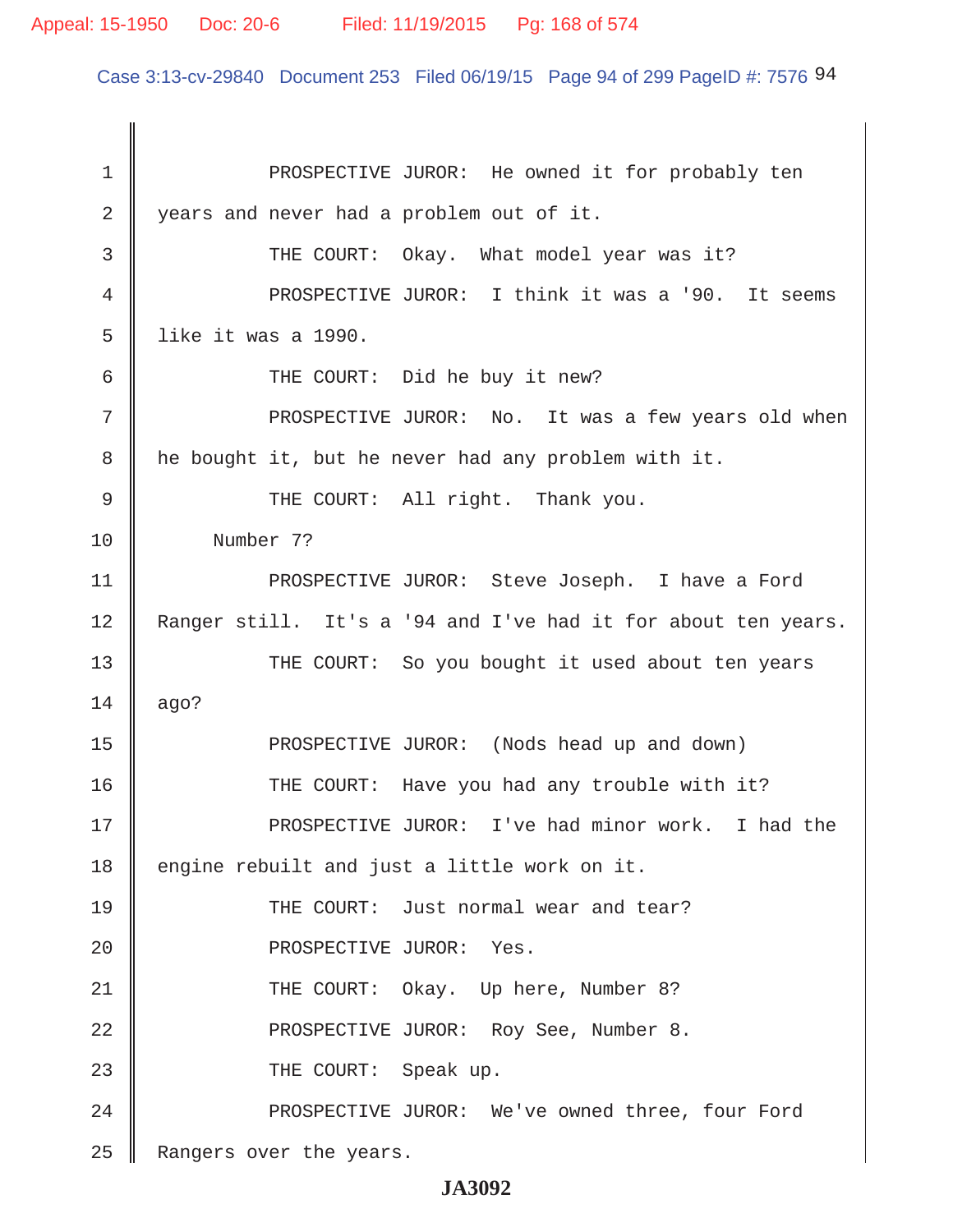Case 3:13-cv-29840 Document 253 Filed 06/19/15 Page 94 of 299 PageID #: 7576 94

1 || PROSPECTIVE JUROR: He owned it for probably ten 2 years and never had a problem out of it. 3 THE COURT: Okay. What model year was it? 4 || PROSPECTIVE JUROR: I think it was a '90. It seems  $5 \parallel$  like it was a 1990. 6 || THE COURT: Did he buy it new? 7 PROSPECTIVE JUROR: No. It was a few years old when  $8 \parallel$  he bought it, but he never had any problem with it. 9 || THE COURT: All right. Thank you. 10 Number 7? 11 || PROSPECTIVE JUROR: Steve Joseph. I have a Ford 12 Ranger still. It's a '94 and I've had it for about ten years. 13 THE COURT: So you bought it used about ten years  $14 \parallel$  ago? 15 PROSPECTIVE JUROR: (Nods head up and down) 16 THE COURT: Have you had any trouble with it? 17 PROSPECTIVE JUROR: I've had minor work. I had the  $18$  engine rebuilt and just a little work on it. 19 **THE COURT:** Just normal wear and tear? 20 || PROSPECTIVE JUROR: Yes. 21 THE COURT: Okay. Up here, Number 8? 22 **PROSPECTIVE JUROR:** Roy See, Number 8. 23 COURT: Speak up. 24 PROSPECTIVE JUROR: We've owned three, four Ford 25 Rangers over the years.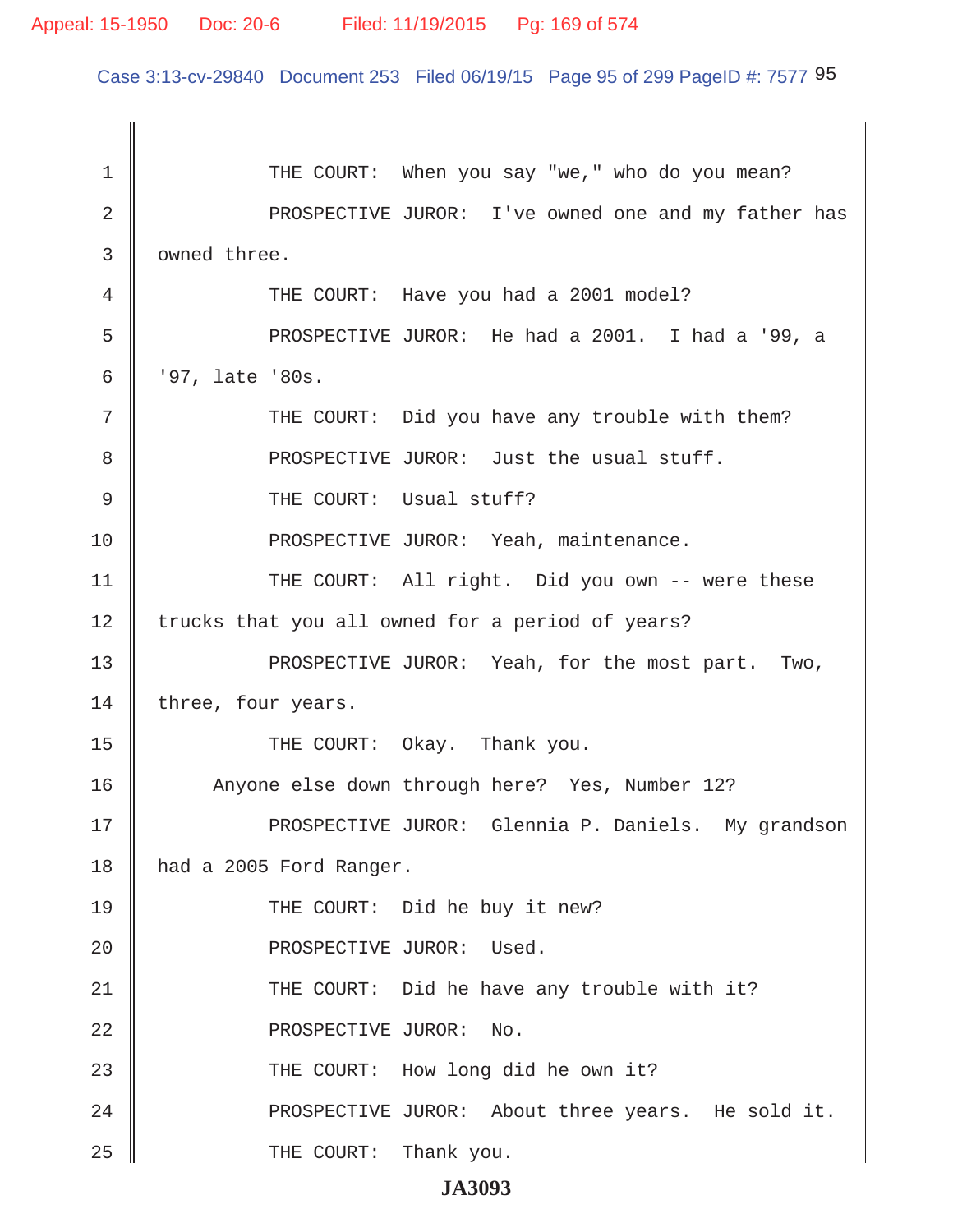#### Appeal: 15-1950 Doc: 20-6 Filed: 11/19/2015 Pg: 169 of 574

Case 3:13-cv-29840 Document 253 Filed 06/19/15 Page 95 of 299 PageID #: 7577 95

 1 THE COURT: When you say "we," who do you mean? 2 || PROSPECTIVE JUROR: I've owned one and my father has 3 | owned three. 4 THE COURT: Have you had a 2001 model? 5 PROSPECTIVE JUROR: He had a 2001. I had a '99, a 6  $\parallel$  '97, late '80s. 7 || THE COURT: Did you have any trouble with them? 8 **PROSPECTIVE JUROR:** Just the usual stuff. 9 CHE COURT: Usual stuff? 10 **PROSPECTIVE JUROR:** Yeah, maintenance. 11 || THE COURT: All right. Did you own -- were these 12 trucks that you all owned for a period of years? 13 || PROSPECTIVE JUROR: Yeah, for the most part. Two,  $14$  three, four years. 15 THE COURT: Okay. Thank you. 16 | Anyone else down through here? Yes, Number 12? 17 PROSPECTIVE JUROR: Glennia P. Daniels. My grandson 18 | had a 2005 Ford Ranger. 19 THE COURT: Did he buy it new? 20 || PROSPECTIVE JUROR: Used. 21 THE COURT: Did he have any trouble with it? 22 || PROSPECTIVE JUROR: No. 23 || THE COURT: How long did he own it? 24 || PROSPECTIVE JUROR: About three years. He sold it. 25 **THE COURT:** Thank you.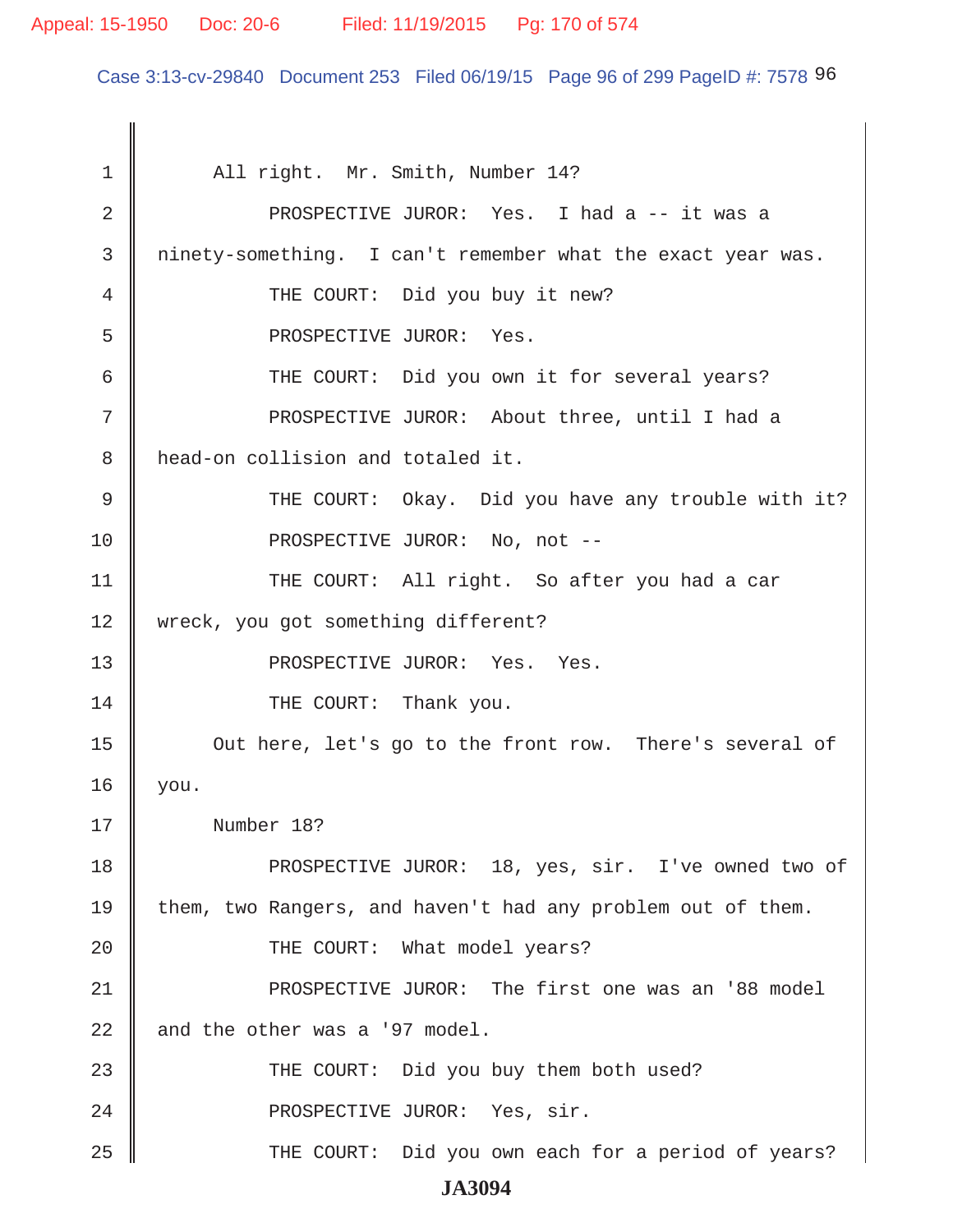#### Appeal: 15-1950 Doc: 20-6 Filed: 11/19/2015 Pg: 170 of 574

Case 3:13-cv-29840 Document 253 Filed 06/19/15 Page 96 of 299 PageID #: 7578 96

1 | All right. Mr. Smith, Number 14? 2 || PROSPECTIVE JUROR: Yes. I had a -- it was a 3 ninety-something. I can't remember what the exact year was. 4 || THE COURT: Did you buy it new? 5 PROSPECTIVE JUROR: Yes. 6 || THE COURT: Did you own it for several years? 7 || PROSPECTIVE JUROR: About three, until I had a 8 || head-on collision and totaled it. 9 THE COURT: Okay. Did you have any trouble with it? 10 || PROSPECTIVE JUROR: No, not --11 || THE COURT: All right. So after you had a car 12 || wreck, you got something different? 13 || PROSPECTIVE JUROR: Yes. Yes. 14 **THE COURT:** Thank you. 15 **Out here, let's go to the front row.** There's several of 16 you. 17 Number 18? 18 PROSPECTIVE JUROR: 18, yes, sir. I've owned two of 19 them, two Rangers, and haven't had any problem out of them. 20 **THE COURT:** What model years? 21 PROSPECTIVE JUROR: The first one was an '88 model 22  $\parallel$  and the other was a '97 model. 23 THE COURT: Did you buy them both used? 24 || PROSPECTIVE JUROR: Yes, sir. 25 THE COURT: Did you own each for a period of years? **JA3094**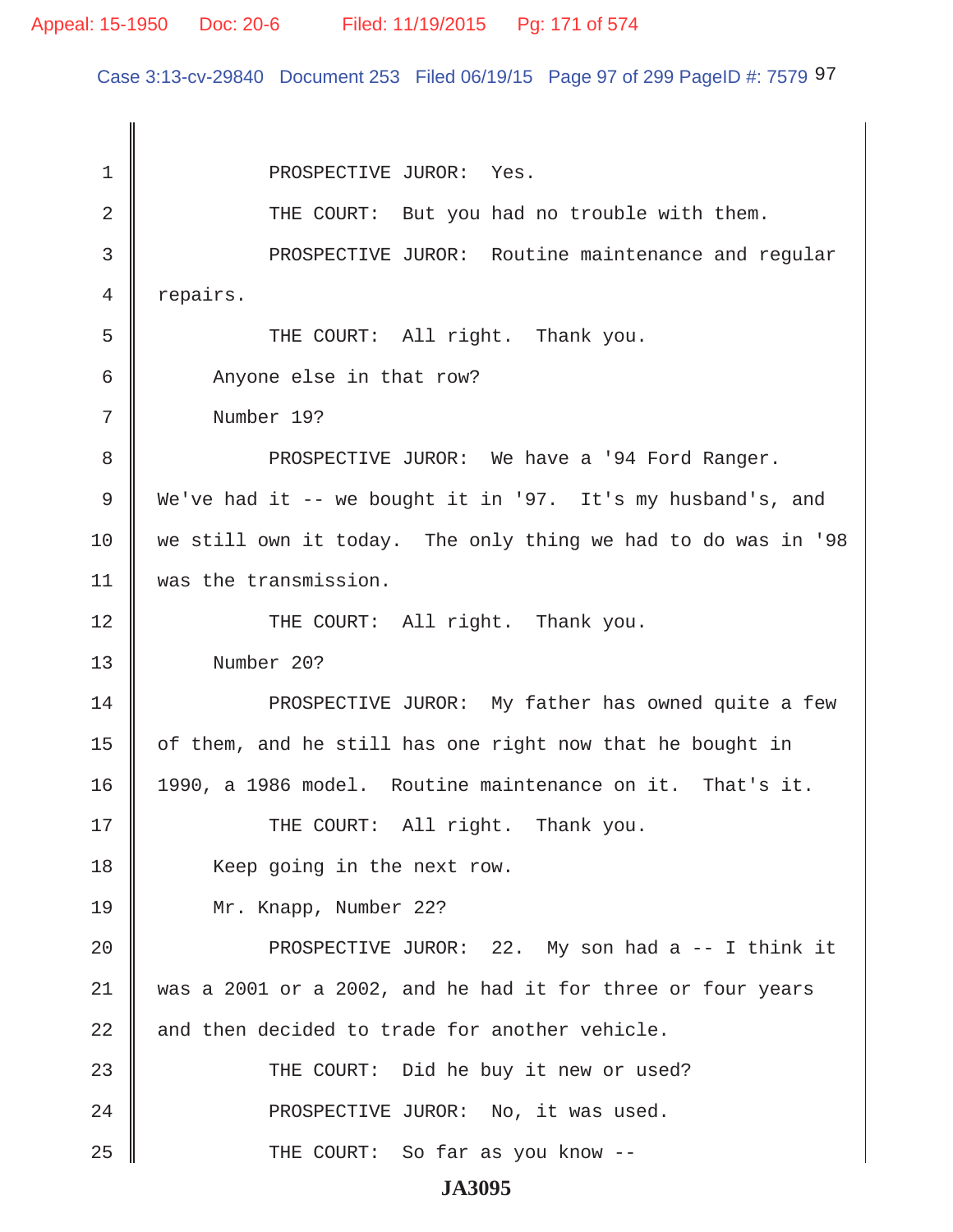Case 3:13-cv-29840 Document 253 Filed 06/19/15 Page 97 of 299 PageID #: 7579 97

1 || PROSPECTIVE JUROR: Yes. 2 THE COURT: But you had no trouble with them. 3 || PROSPECTIVE JUROR: Routine maintenance and reqular 4 | repairs. 5 || THE COURT: All right. Thank you. 6 Anyone else in that row? 7 Number 19? 8 PROSPECTIVE JUROR: We have a '94 Ford Ranger. 9 We've had it -- we bought it in '97. It's my husband's, and 10 we still own it today. The only thing we had to do was in '98 11 was the transmission. 12 THE COURT: All right. Thank you. 13 Number 20? 14 **PROSPECTIVE JUROR:** My father has owned quite a few 15  $\parallel$  of them, and he still has one right now that he bought in 16 1990, a 1986 model. Routine maintenance on it. That's it. 17 || THE COURT: All right. Thank you. 18 Keep going in the next row. 19 Mr. Knapp, Number 22? 20 || PROSPECTIVE JUROR: 22. My son had a -- I think it 21 was a 2001 or a 2002, and he had it for three or four years  $22$  and then decided to trade for another vehicle. 23 THE COURT: Did he buy it new or used? 24 || PROSPECTIVE JUROR: No, it was used. 25 THE COURT: So far as you know --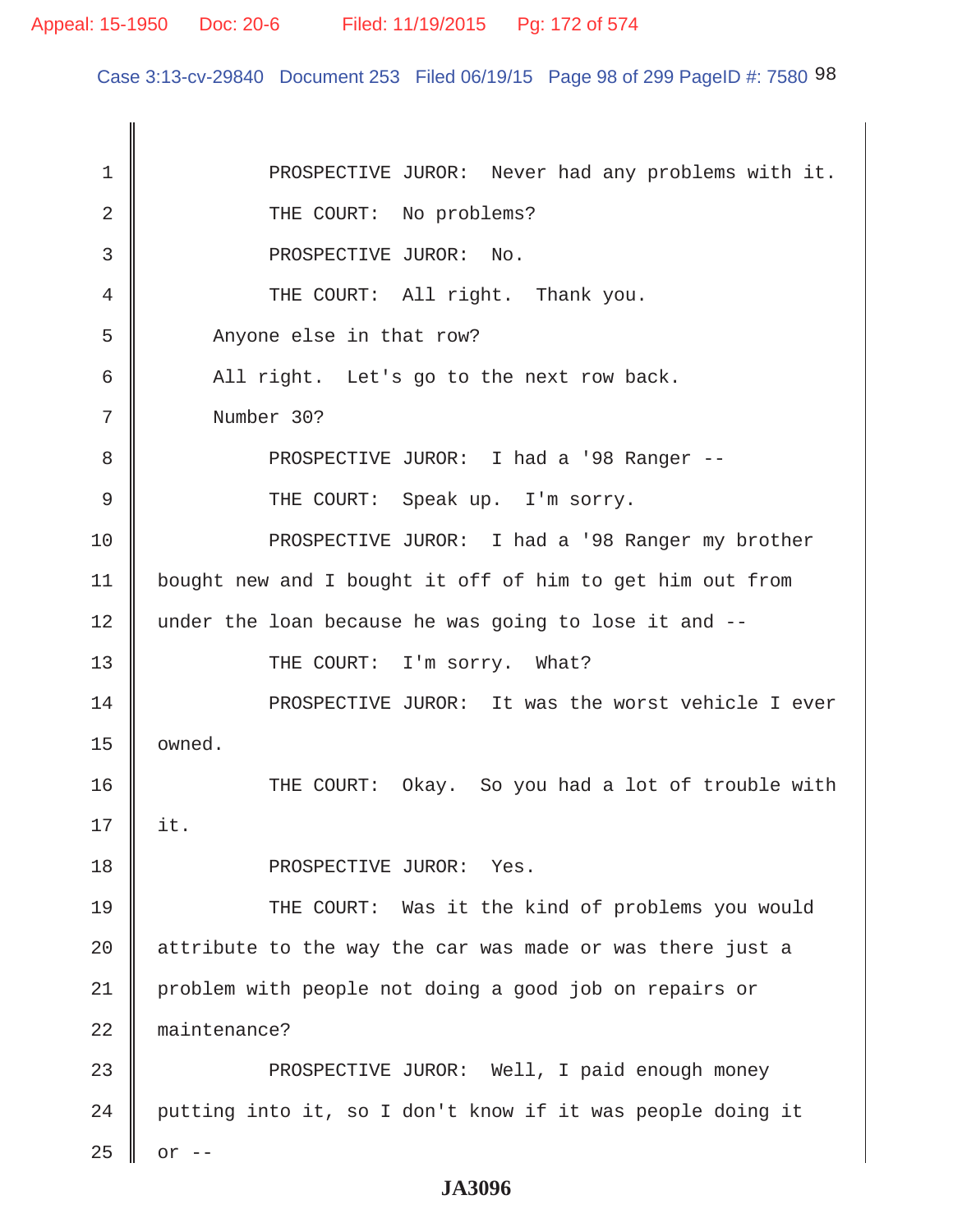Case 3:13-cv-29840 Document 253 Filed 06/19/15 Page 98 of 299 PageID #: 7580 98

1 || PROSPECTIVE JUROR: Never had any problems with it. 2 THE COURT: No problems? 3 || PROSPECTIVE JUROR: No. 4 || THE COURT: All right. Thank you. 5 Anyone else in that row?  $6 \parallel$  All right. Let's go to the next row back. 7 Number 30? 8 PROSPECTIVE JUROR: I had a '98 Ranger -- 9 || THE COURT: Speak up. I'm sorry. 10 PROSPECTIVE JUROR: I had a '98 Ranger my brother 11 bought new and I bought it off of him to get him out from 12 under the loan because he was going to lose it and --13 || THE COURT: I'm sorry. What? 14 **PROSPECTIVE JUROR:** It was the worst vehicle I ever 15 | owned. 16 THE COURT: Okay. So you had a lot of trouble with 17 it. 18 || PROSPECTIVE JUROR: Yes. 19 THE COURT: Was it the kind of problems you would  $20$  | attribute to the way the car was made or was there just a 21 problem with people not doing a good job on repairs or 22 maintenance? 23 **PROSPECTIVE JUROR:** Well, I paid enough money 24 | putting into it, so I don't know if it was people doing it  $25 \parallel$  or  $-$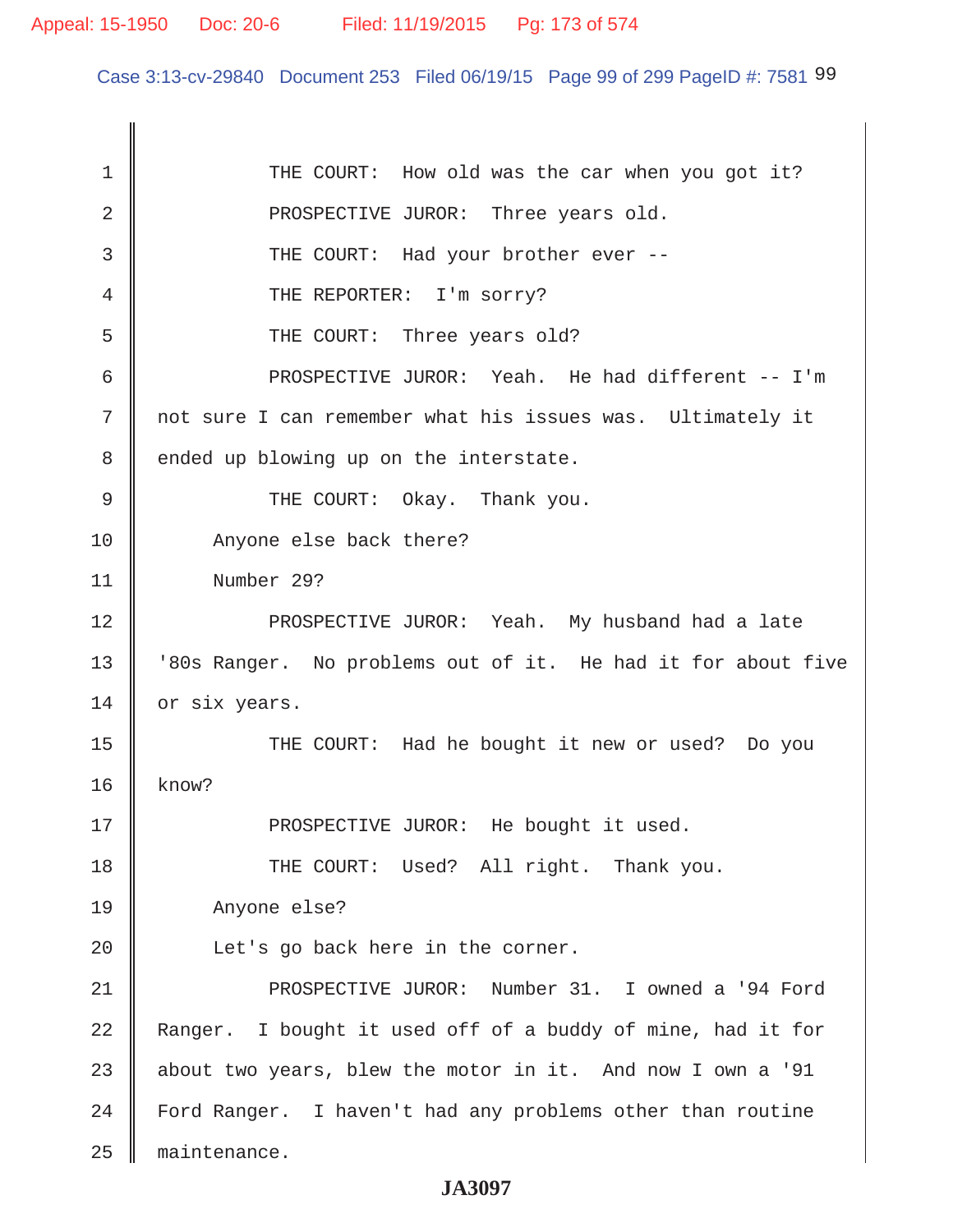Case 3:13-cv-29840 Document 253 Filed 06/19/15 Page 99 of 299 PageID #: 7581 99

1 THE COURT: How old was the car when you got it? 2 **PROSPECTIVE JUROR:** Three years old. 3 || THE COURT: Had your brother ever --4 CHE REPORTER: I'm sorry? 5 Supersuper THE COURT: Three years old? 6 PROSPECTIVE JUROR: Yeah. He had different -- I'm 7 not sure I can remember what his issues was. Ultimately it 8 | ended up blowing up on the interstate. 9 CHE COURT: Okay. Thank you. 10 Anyone else back there? 11 Number 29? 12 PROSPECTIVE JUROR: Yeah. My husband had a late 13 | '80s Ranger. No problems out of it. He had it for about five 14 or six years. 15 || THE COURT: Had he bought it new or used? Do you  $16 \parallel$  know? 17 || PROSPECTIVE JUROR: He bought it used. 18 THE COURT: Used? All right. Thank you. 19 Anyone else? 20 | Let's go back here in the corner. 21 PROSPECTIVE JUROR: Number 31. I owned a '94 Ford 22 Ranger. I bought it used off of a buddy of mine, had it for 23  $\parallel$  about two years, blew the motor in it. And now I own a '91 24 | Ford Ranger. I haven't had any problems other than routine 25 maintenance.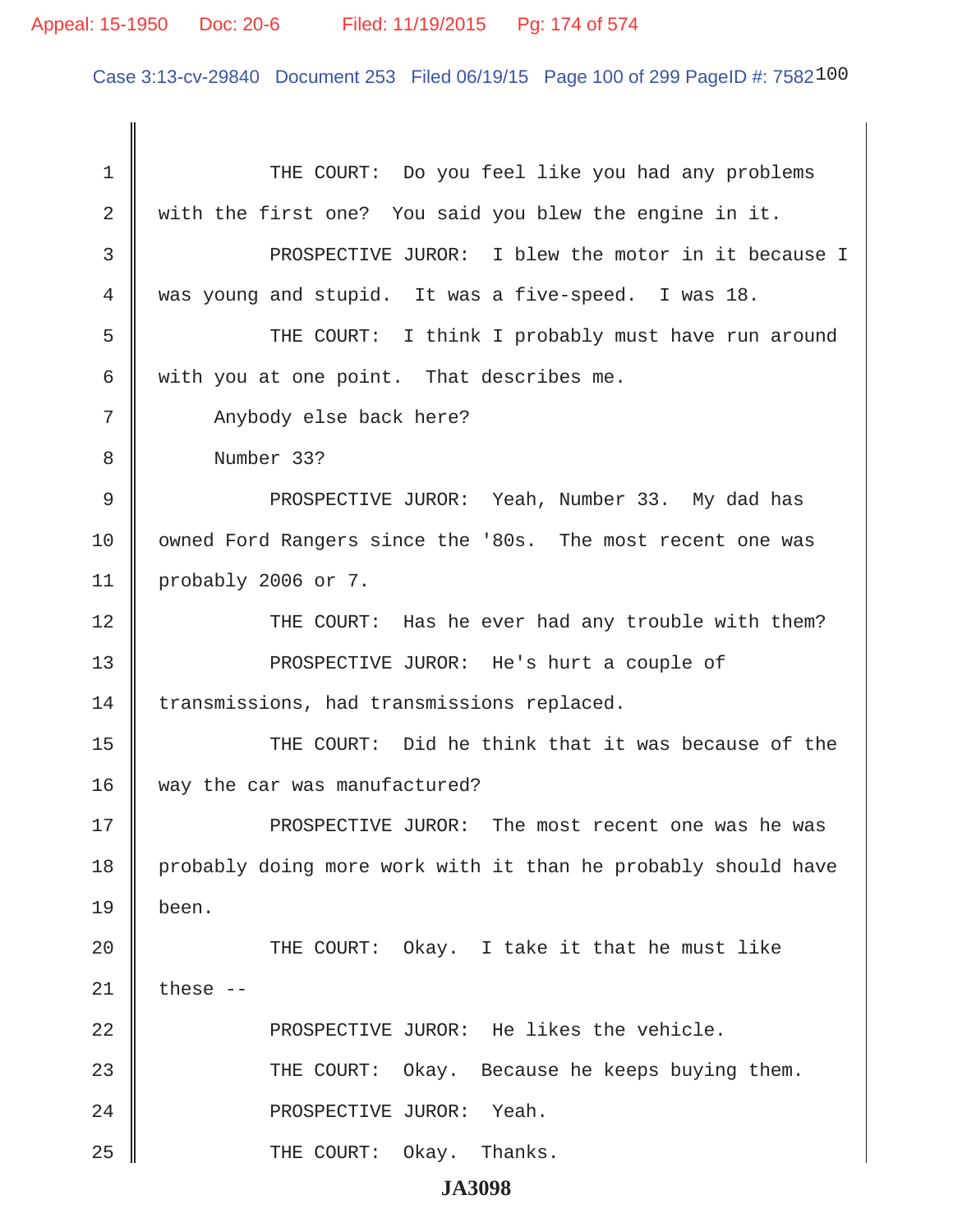Case 3:13-cv-29840 Document 253 Filed 06/19/15 Page 100 of 299 PageID #: 7582100

1 || THE COURT: Do you feel like you had any problems 2 with the first one? You said you blew the engine in it. 3 || PROSPECTIVE JUROR: I blew the motor in it because I 4 was young and stupid. It was a five-speed. I was 18. 5 Supersuper THE COURT: I think I probably must have run around 6 with you at one point. That describes me. 7 || Anybody else back here? 8 Number 33? 9 PROSPECTIVE JUROR: Yeah, Number 33. My dad has 10 | owned Ford Rangers since the '80s. The most recent one was 11 probably 2006 or 7. 12 THE COURT: Has he ever had any trouble with them? 13 || PROSPECTIVE JUROR: He's hurt a couple of 14 transmissions, had transmissions replaced. 15 THE COURT: Did he think that it was because of the 16 way the car was manufactured? 17 PROSPECTIVE JUROR: The most recent one was he was 18 | probably doing more work with it than he probably should have 19 been. 20 THE COURT: Okay. I take it that he must like  $21$   $\parallel$  these -- $22$   $\parallel$  PROSPECTIVE JUROR: He likes the vehicle. 23 THE COURT: Okay. Because he keeps buying them. 24 PROSPECTIVE JUROR: Yeah. 25 THE COURT: Okay. Thanks.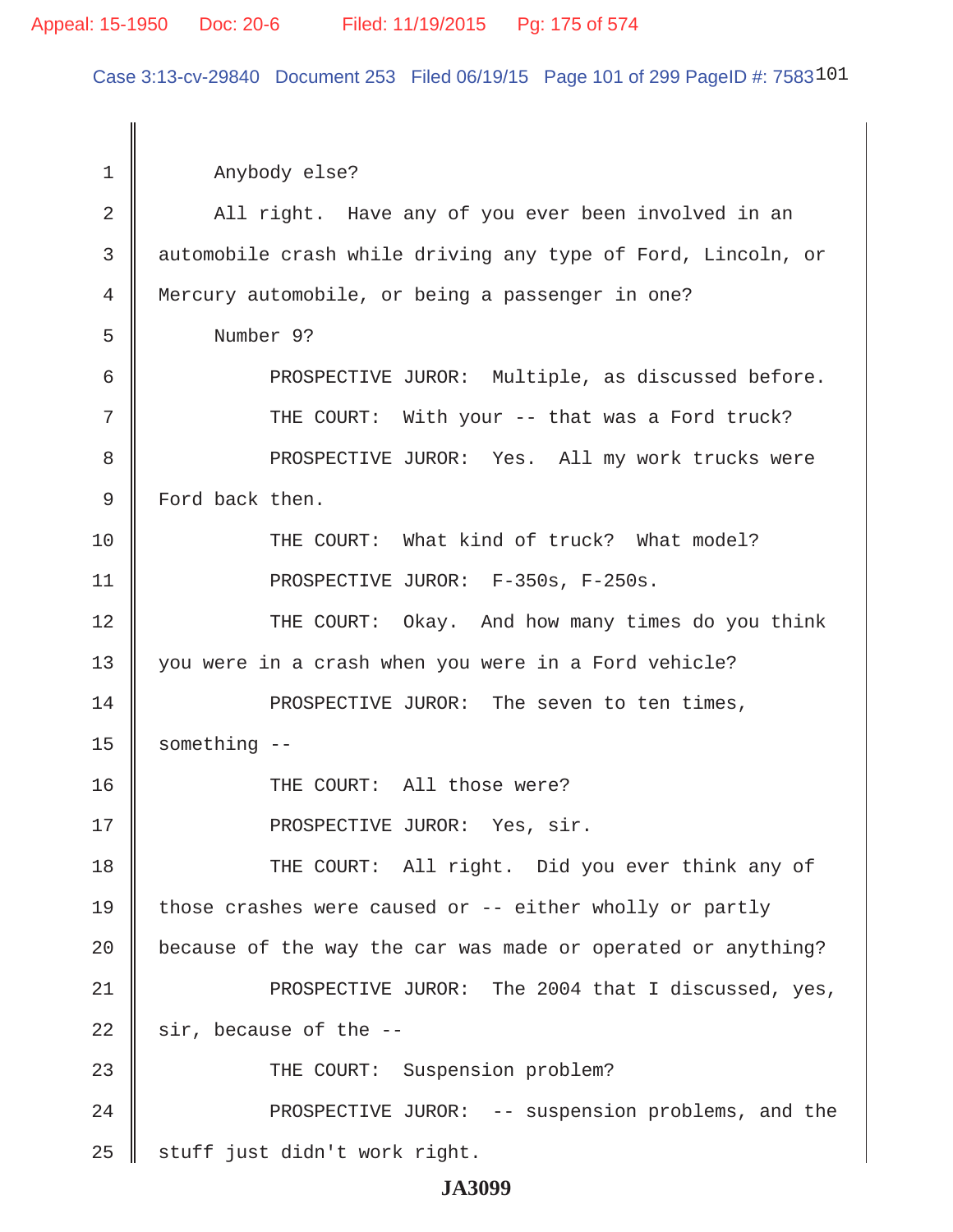#### Appeal: 15-1950 Doc: 20-6 Filed: 11/19/2015 Pg: 175 of 574

Case 3:13-cv-29840 Document 253 Filed 06/19/15 Page 101 of 299 PageID #: 7583101

 1 Anybody else? 2 All right. Have any of you ever been involved in an 3 automobile crash while driving any type of Ford, Lincoln, or 4 Mercury automobile, or being a passenger in one? 5 Number 9? 6 || PROSPECTIVE JUROR: Multiple, as discussed before. 7 || THE COURT: With your -- that was a Ford truck? 8 PROSPECTIVE JUROR: Yes. All my work trucks were 9 Ford back then. 10 THE COURT: What kind of truck? What model? 11 || PROSPECTIVE JUROR: F-350s, F-250s. 12 THE COURT: Okay. And how many times do you think 13 || you were in a crash when you were in a Ford vehicle? 14 || PROSPECTIVE JUROR: The seven to ten times,  $15$  something  $-$ 16 || THE COURT: All those were? 17 || PROSPECTIVE JUROR: Yes, sir. 18 THE COURT: All right. Did you ever think any of 19  $\parallel$  those crashes were caused or -- either wholly or partly 20  $\parallel$  because of the way the car was made or operated or anything? 21 PROSPECTIVE JUROR: The 2004 that I discussed, yes,  $22$  | sir, because of the  $-$ -23 || THE COURT: Suspension problem? 24 || PROSPECTIVE JUROR: -- suspension problems, and the  $25$  | stuff just didn't work right.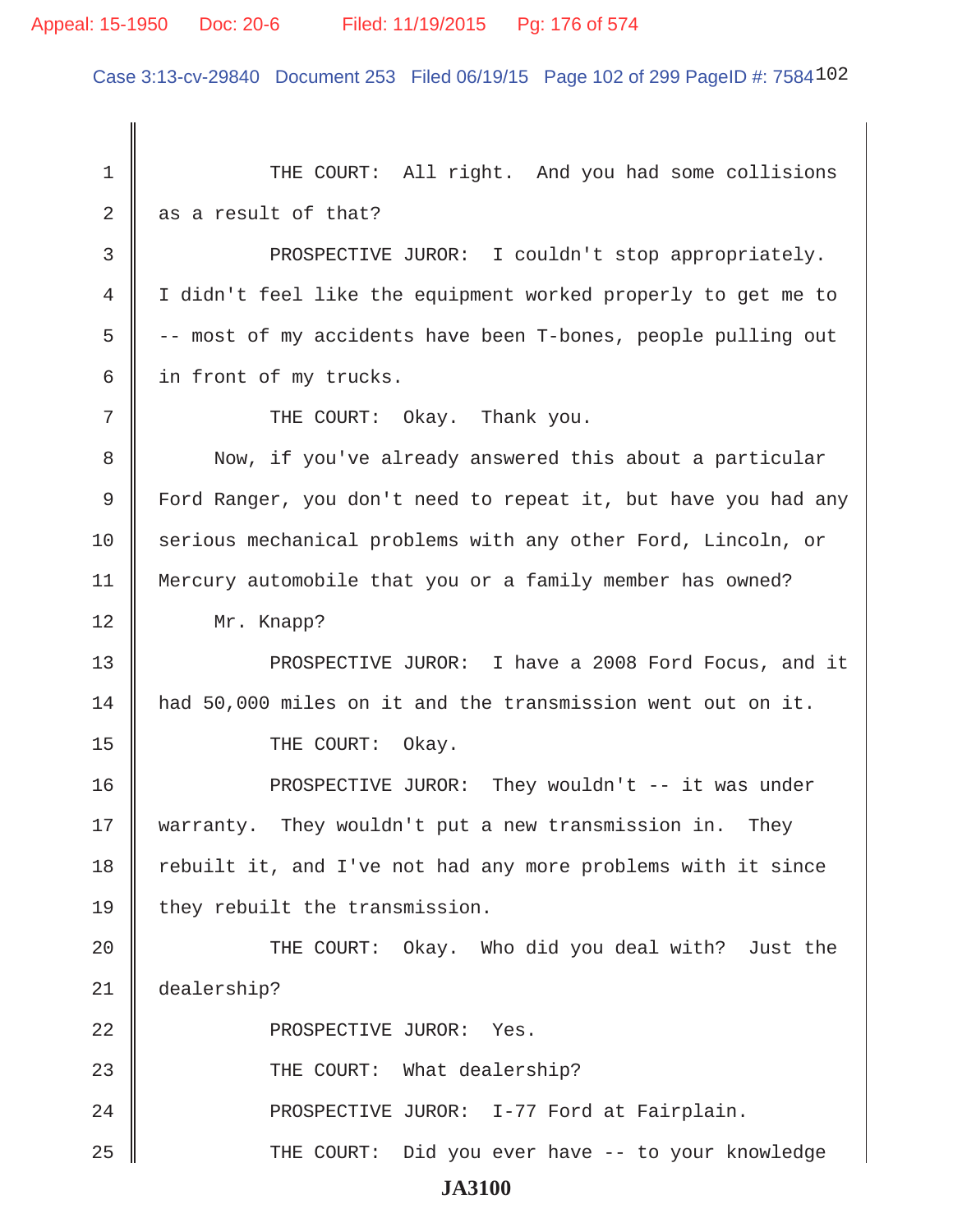# Appeal: 15-1950 Doc: 20-6 Filed: 11/19/2015 Pg: 176 of 574

Case 3:13-cv-29840 Document 253 Filed 06/19/15 Page 102 of 299 PageID #: 7584102

| $\mathbf 1$ | THE COURT: All right. And you had some collisions              |
|-------------|----------------------------------------------------------------|
| 2           | as a result of that?                                           |
| 3           | PROSPECTIVE JUROR: I couldn't stop appropriately.              |
| 4           | I didn't feel like the equipment worked properly to get me to  |
| 5           | -- most of my accidents have been T-bones, people pulling out  |
| 6           | in front of my trucks.                                         |
| 7           | THE COURT: Okay. Thank you.                                    |
| 8           | Now, if you've already answered this about a particular        |
| 9           | Ford Ranger, you don't need to repeat it, but have you had any |
| 10          | serious mechanical problems with any other Ford, Lincoln, or   |
| 11          | Mercury automobile that you or a family member has owned?      |
| 12          | Mr. Knapp?                                                     |
| 13          | PROSPECTIVE JUROR: I have a 2008 Ford Focus, and it            |
| 14          | had 50,000 miles on it and the transmission went out on it.    |
| 15          | THE COURT: Okay.                                               |
| 16          | PROSPECTIVE JUROR: They wouldn't -- it was under               |
| 17          | warranty. They wouldn't put a new transmission in.<br>They     |
| 18          | rebuilt it, and I've not had any more problems with it since   |
| 19          | they rebuilt the transmission.                                 |
| 20          | THE COURT: Okay. Who did you deal with? Just the               |
| 21          | dealership?                                                    |
| 22          | PROSPECTIVE JUROR: Yes.                                        |
| 23          | THE COURT: What dealership?                                    |
| 24          | PROSPECTIVE JUROR: I-77 Ford at Fairplain.                     |
| 25          | THE COURT:<br>Did you ever have -- to your knowledge           |
|             | <b>JA3100</b>                                                  |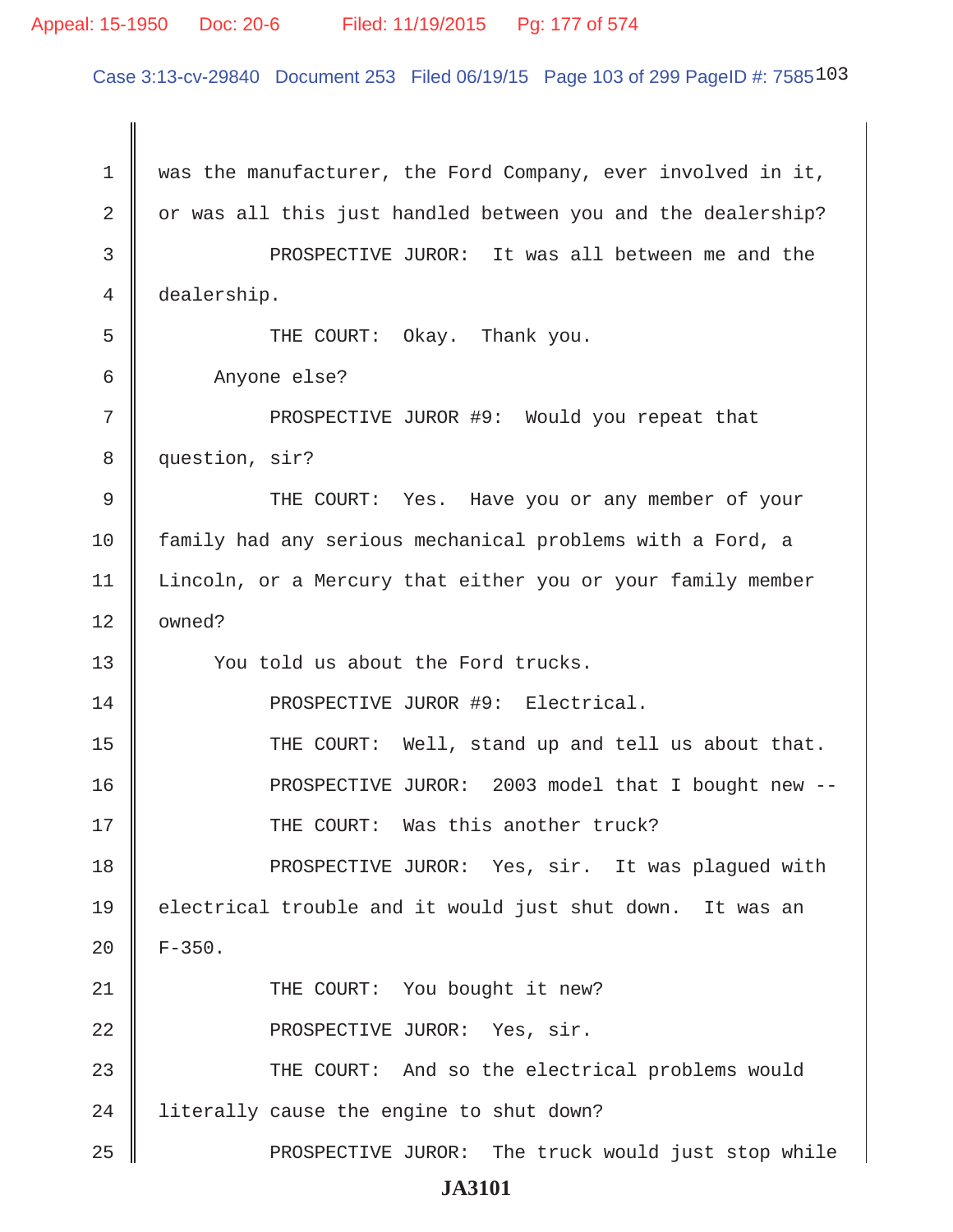#### Appeal: 15-1950 Doc: 20-6 Filed: 11/19/2015 Pg: 177 of 574

Case 3:13-cv-29840 Document 253 Filed 06/19/15 Page 103 of 299 PageID #: 7585103

1 was the manufacturer, the Ford Company, ever involved in it,  $2 \parallel$  or was all this just handled between you and the dealership? 3 **PROSPECTIVE JUROR:** It was all between me and the 4 dealership. 5 || THE COURT: Okay. Thank you. 6 Anyone else? 7 || PROSPECTIVE JUROR #9: Would you repeat that 8 || question, sir? 9 THE COURT: Yes. Have you or any member of your 10 family had any serious mechanical problems with a Ford, a 11 | Lincoln, or a Mercury that either you or your family member  $12 \parallel$  owned? 13 || You told us about the Ford trucks. 14 PROSPECTIVE JUROR #9: Electrical. 15 || THE COURT: Well, stand up and tell us about that. 16 PROSPECTIVE JUROR: 2003 model that I bought new -- 17 THE COURT: Was this another truck? 18 PROSPECTIVE JUROR: Yes, sir. It was plagued with 19 || electrical trouble and it would just shut down. It was an  $20 \parallel$  F-350. 21 || THE COURT: You bought it new? 22 || PROSPECTIVE JUROR: Yes, sir. 23 THE COURT: And so the electrical problems would 24 | literally cause the engine to shut down? 25 PROSPECTIVE JUROR: The truck would just stop while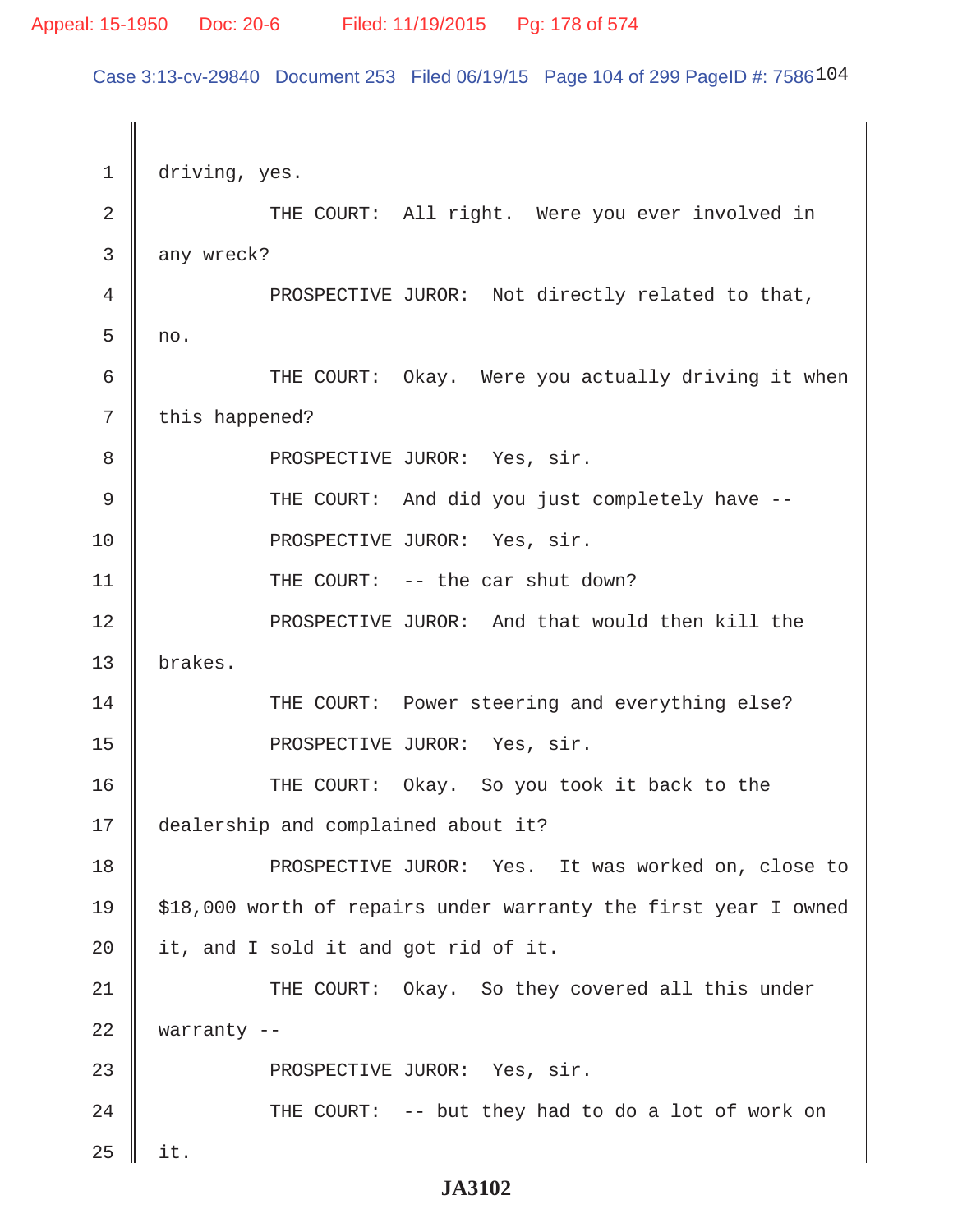#### Appeal: 15-1950 Doc: 20-6 Filed: 11/19/2015 Pg: 178 of 574

Case 3:13-cv-29840 Document 253 Filed 06/19/15 Page 104 of 299 PageID #: 7586104

1 driving, yes. 2 || THE COURT: All right. Were you ever involved in  $3 \parallel$  any wreck? 4 **PROSPECTIVE JUROR:** Not directly related to that,  $5 \parallel no.$ 6 || THE COURT: Okay. Were you actually driving it when  $7 \parallel$  this happened? 8 || PROSPECTIVE JUROR: Yes, sir. 9 THE COURT: And did you just completely have -- 10 || PROSPECTIVE JUROR: Yes, sir. 11 || THE COURT: -- the car shut down? 12 || PROSPECTIVE JUROR: And that would then kill the 13 brakes. 14 || THE COURT: Power steering and everything else? 15 || PROSPECTIVE JUROR: Yes, sir. 16 THE COURT: Okay. So you took it back to the 17 dealership and complained about it? 18 || PROSPECTIVE JUROR: Yes. It was worked on, close to 19  $\parallel$  \$18,000 worth of repairs under warranty the first year I owned  $20$  | it, and I sold it and got rid of it. 21 THE COURT: Okay. So they covered all this under 22 warranty -- 23 || PROSPECTIVE JUROR: Yes, sir. 24 || THE COURT: -- but they had to do a lot of work on  $25$  | it.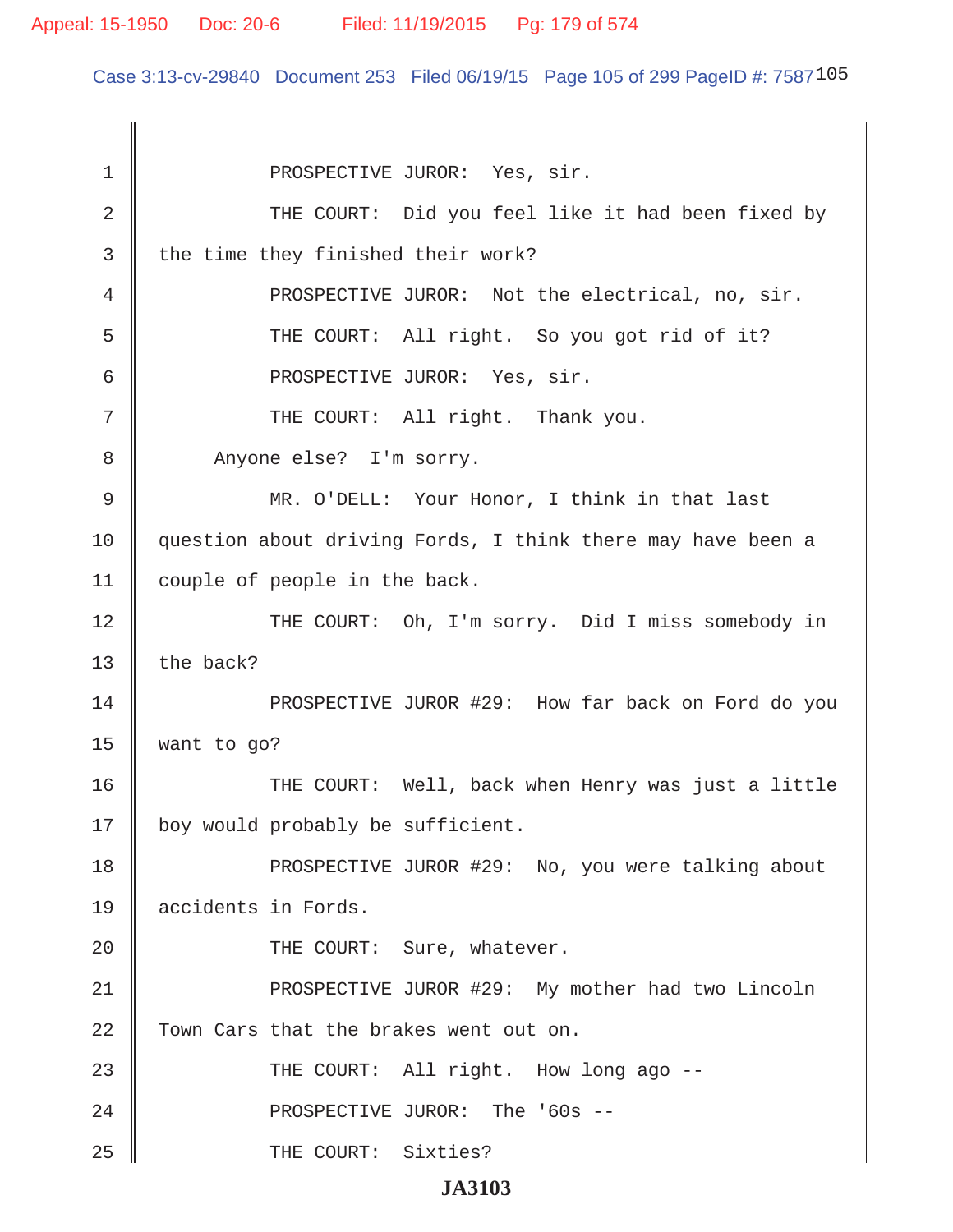#### Appeal: 15-1950 Doc: 20-6 Filed: 11/19/2015 Pg: 179 of 574

Case 3:13-cv-29840 Document 253 Filed 06/19/15 Page 105 of 299 PageID #: 7587105

1 || PROSPECTIVE JUROR: Yes, sir. 2 || THE COURT: Did you feel like it had been fixed by  $3$  | the time they finished their work? 4 **PROSPECTIVE JUROR:** Not the electrical, no, sir. 5 || THE COURT: All right. So you got rid of it? 6 || PROSPECTIVE JUROR: Yes, sir. 7 || THE COURT: All right. Thank you. 8 Anyone else? I'm sorry. 9 MR. O'DELL: Your Honor, I think in that last 10 || question about driving Fords, I think there may have been a 11 couple of people in the back. 12 || THE COURT: Oh, I'm sorry. Did I miss somebody in 13  $\parallel$  the back? 14 PROSPECTIVE JUROR #29: How far back on Ford do you  $15$  want to go? 16 THE COURT: Well, back when Henry was just a little 17 | boy would probably be sufficient. 18 || PROSPECTIVE JUROR #29: No, you were talking about 19 accidents in Fords. 20 || THE COURT: Sure, whatever. 21 || PROSPECTIVE JUROR #29: My mother had two Lincoln 22 Town Cars that the brakes went out on. 23 || THE COURT: All right. How long ago --24 PROSPECTIVE JUROR: The '60s -- 25 || THE COURT: Sixties?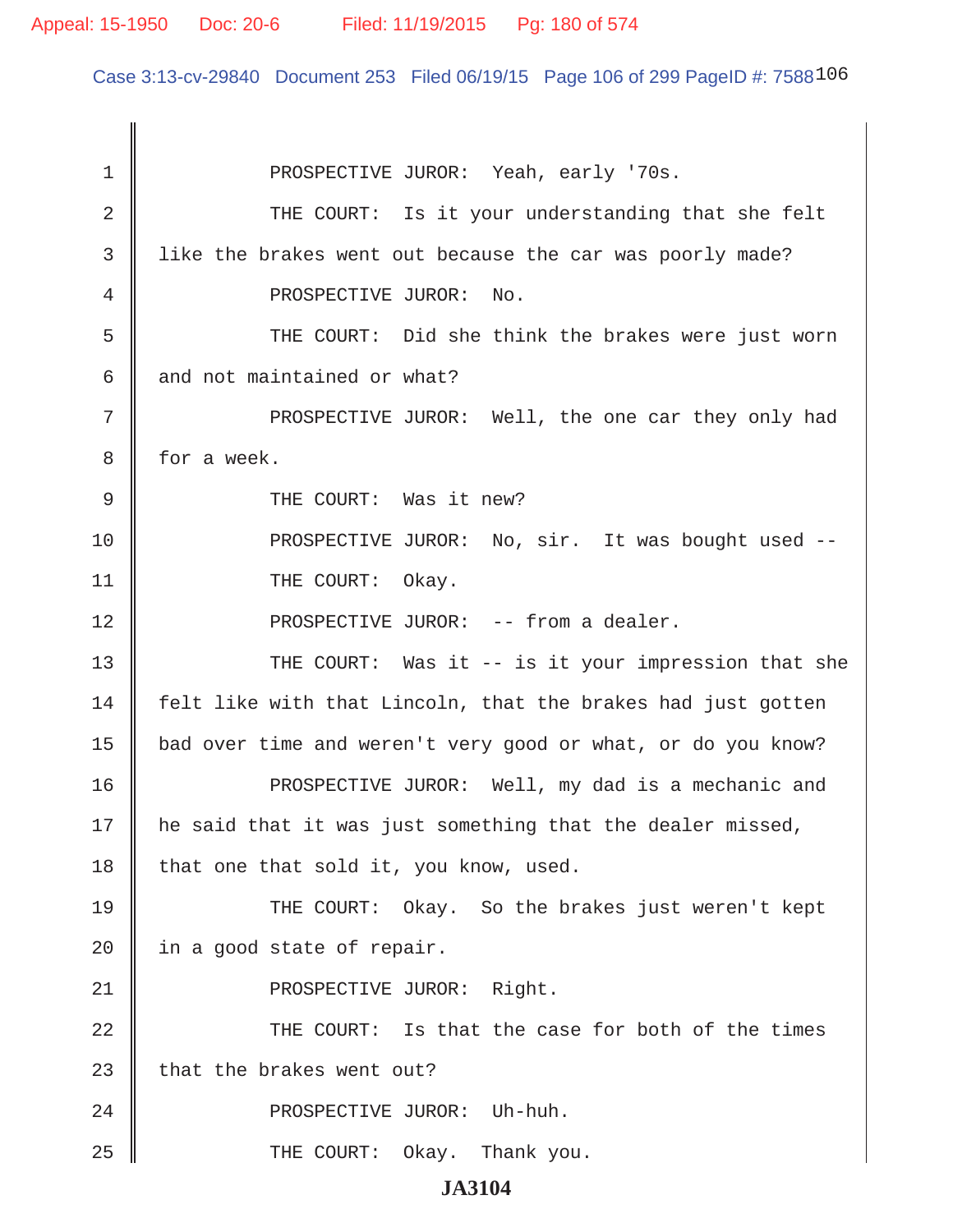Case 3:13-cv-29840 Document 253 Filed 06/19/15 Page 106 of 299 PageID #: 7588106

 1 PROSPECTIVE JUROR: Yeah, early '70s. 2 THE COURT: Is it your understanding that she felt 3 I like the brakes went out because the car was poorly made? 4 || PROSPECTIVE JUROR: No. 5 THE COURT: Did she think the brakes were just worn 6  $\parallel$  and not maintained or what? 7 || PROSPECTIVE JUROR: Well, the one car they only had 8 for a week. 9 || THE COURT: Was it new? 10 || PROSPECTIVE JUROR: No, sir. It was bought used --11 || THE COURT: Okay. 12 || PROSPECTIVE JUROR: -- from a dealer. 13 THE COURT: Was it -- is it your impression that she  $14$  | felt like with that Lincoln, that the brakes had just gotten 15 | bad over time and weren't very good or what, or do you know? 16 PROSPECTIVE JUROR: Well, my dad is a mechanic and 17 | he said that it was just something that the dealer missed, 18 | that one that sold it, you know, used. 19 THE COURT: Okay. So the brakes just weren't kept  $20$  | in a good state of repair. 21 || PROSPECTIVE JUROR: Right. 22 THE COURT: Is that the case for both of the times  $23$   $\parallel$  that the brakes went out? 24 || PROSPECTIVE JUROR: Uh-huh. 25 THE COURT: Okay. Thank you.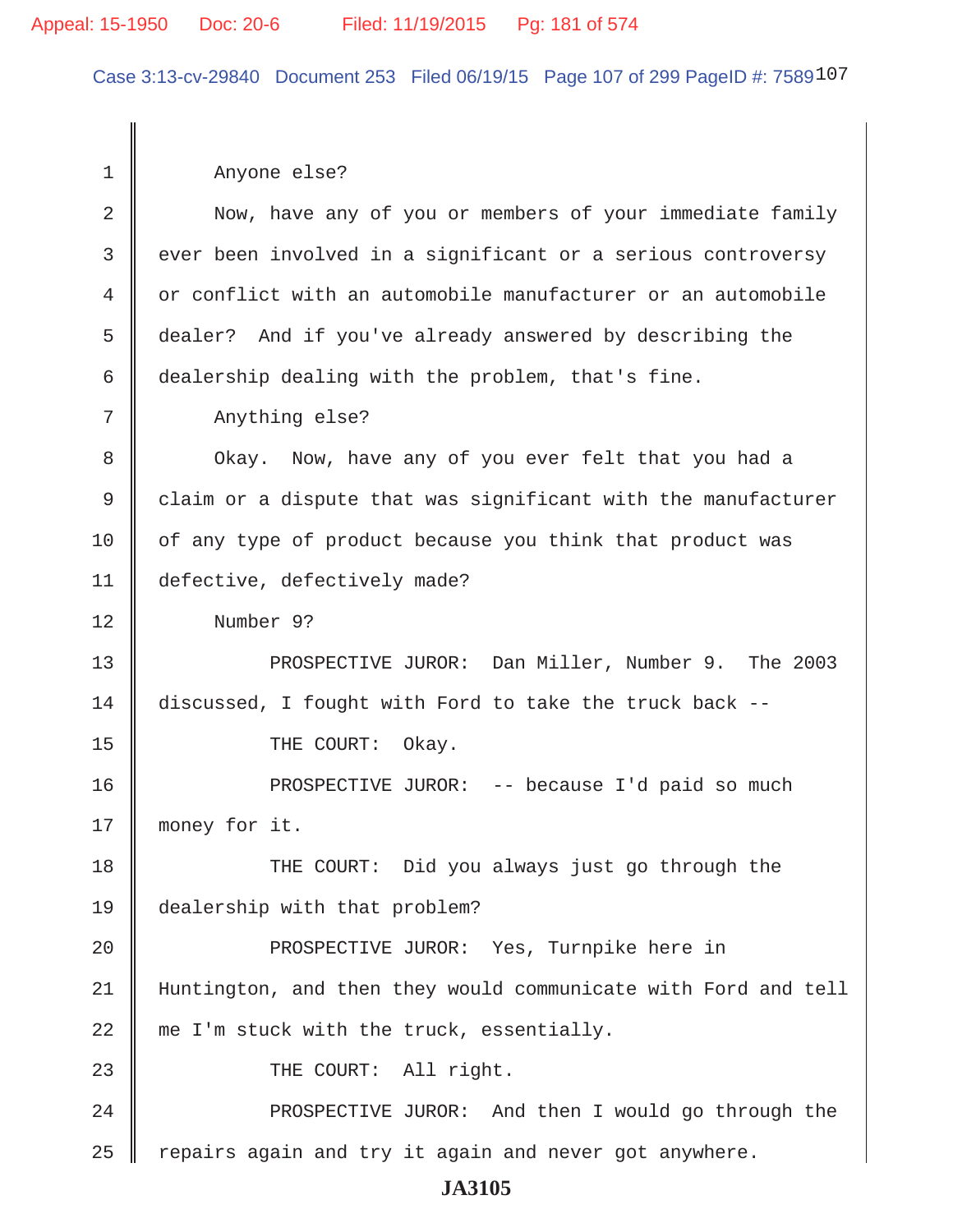### Appeal: 15-1950 Doc: 20-6 Filed: 11/19/2015 Pg: 181 of 574

Case 3:13-cv-29840 Document 253 Filed 06/19/15 Page 107 of 299 PageID #: 7589107

 1 Anyone else? 2 Now, have any of you or members of your immediate family 3 || ever been involved in a significant or a serious controversy 4 or conflict with an automobile manufacturer or an automobile 5 dealer? And if you've already answered by describing the 6 dealership dealing with the problem, that's fine. 7 || Anything else? 8 || Okay. Now, have any of you ever felt that you had a 9 claim or a dispute that was significant with the manufacturer 10 | of any type of product because you think that product was 11 defective, defectively made? 12 Number 9? 13 || PROSPECTIVE JUROR: Dan Miller, Number 9. The 2003 14 discussed, I fought with Ford to take the truck back -- 15 || THE COURT: Okay. 16 PROSPECTIVE JUROR: -- because I'd paid so much 17 || money for it. 18 THE COURT: Did you always just go through the 19 dealership with that problem? 20 || PROSPECTIVE JUROR: Yes, Turnpike here in 21 Huntington, and then they would communicate with Ford and tell  $22 \parallel$  me I'm stuck with the truck, essentially. 23 || THE COURT: All right. 24 PROSPECTIVE JUROR: And then I would go through the  $25$  | repairs again and try it again and never got anywhere.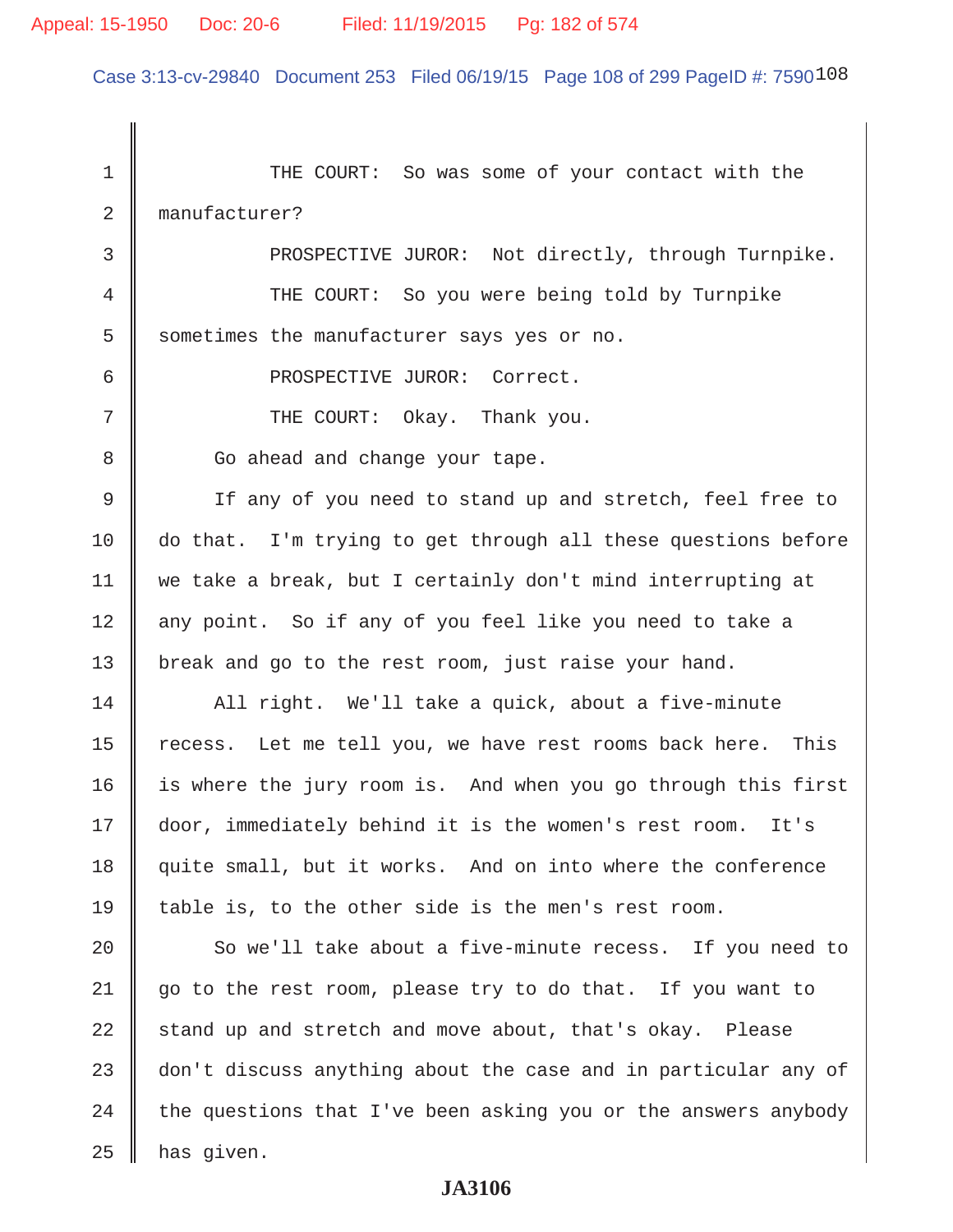Case 3:13-cv-29840 Document 253 Filed 06/19/15 Page 108 of 299 PageID #: 7590108

1 THE COURT: So was some of your contact with the 2 manufacturer? 3 || PROSPECTIVE JUROR: Not directly, through Turnpike. 4 THE COURT: So you were being told by Turnpike  $5$  | sometimes the manufacturer says yes or no. 6 || PROSPECTIVE JUROR: Correct.  $7$  || THE COURT: Okay. Thank you. 8 | Go ahead and change your tape. 9 If any of you need to stand up and stretch, feel free to 10 do that. I'm trying to get through all these questions before 11 we take a break, but I certainly don't mind interrupting at 12 || any point. So if any of you feel like you need to take a 13 | break and go to the rest room, just raise your hand.  $14$  ||  $\blacksquare$  All right. We'll take a quick, about a five-minute 15 | recess. Let me tell you, we have rest rooms back here. This 16 | is where the jury room is. And when you go through this first 17 door, immediately behind it is the women's rest room. It's 18 guite small, but it works. And on into where the conference 19 table is, to the other side is the men's rest room. 20 So we'll take about a five-minute recess. If you need to 21 || go to the rest room, please try to do that. If you want to  $22$  stand up and stretch and move about, that's okay. Please  $23$   $\parallel$  don't discuss anything about the case and in particular any of  $24$  the questions that I've been asking you or the answers anybody  $25$  | has given.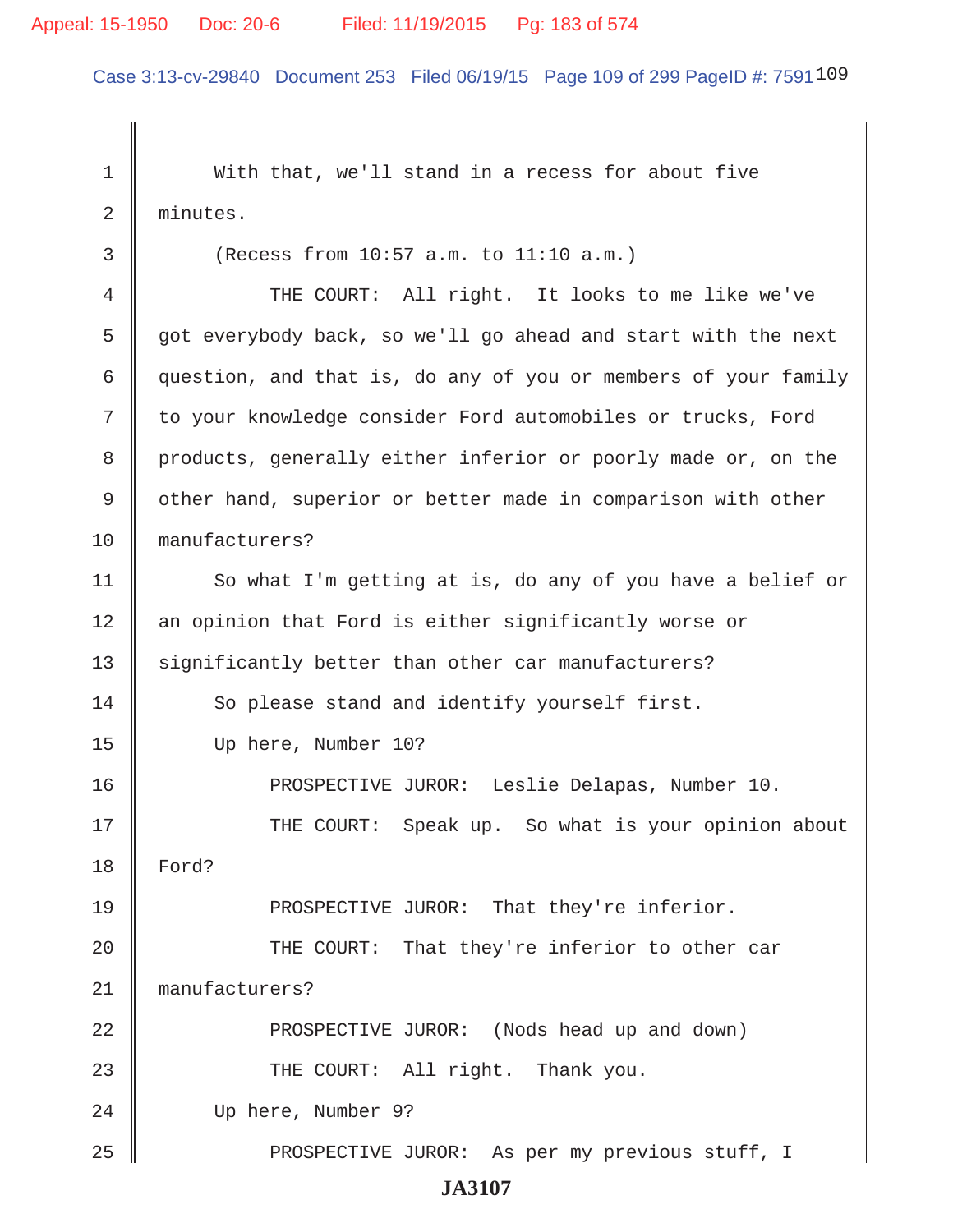### Appeal: 15-1950 Doc: 20-6 Filed: 11/19/2015 Pg: 183 of 574

Case 3:13-cv-29840 Document 253 Filed 06/19/15 Page 109 of 299 PageID #: 7591109

 1 With that, we'll stand in a recess for about five 2 minutes.

 $3 \parallel$  (Recess from 10:57 a.m. to 11:10 a.m.) 4 THE COURT: All right. It looks to me like we've 5 got everybody back, so we'll go ahead and start with the next 6 question, and that is, do any of you or members of your family 7 || to your knowledge consider Ford automobiles or trucks, Ford 8 products, generally either inferior or poorly made or, on the 9 || other hand, superior or better made in comparison with other 10 manufacturers? 11 | So what I'm getting at is, do any of you have a belief or 12 || an opinion that Ford is either significantly worse or 13 Significantly better than other car manufacturers? 14 || So please stand and identify yourself first. 15 Up here, Number 10? 16 PROSPECTIVE JUROR: Leslie Delapas, Number 10. 17 THE COURT: Speak up. So what is your opinion about 18 Ford? 19 **PROSPECTIVE JUROR:** That they're inferior. 20 THE COURT: That they're inferior to other car 21 || manufacturers? 22 PROSPECTIVE JUROR: (Nods head up and down) 23 THE COURT: All right. Thank you. 24 Up here, Number 9? 25 || PROSPECTIVE JUROR: As per my previous stuff, I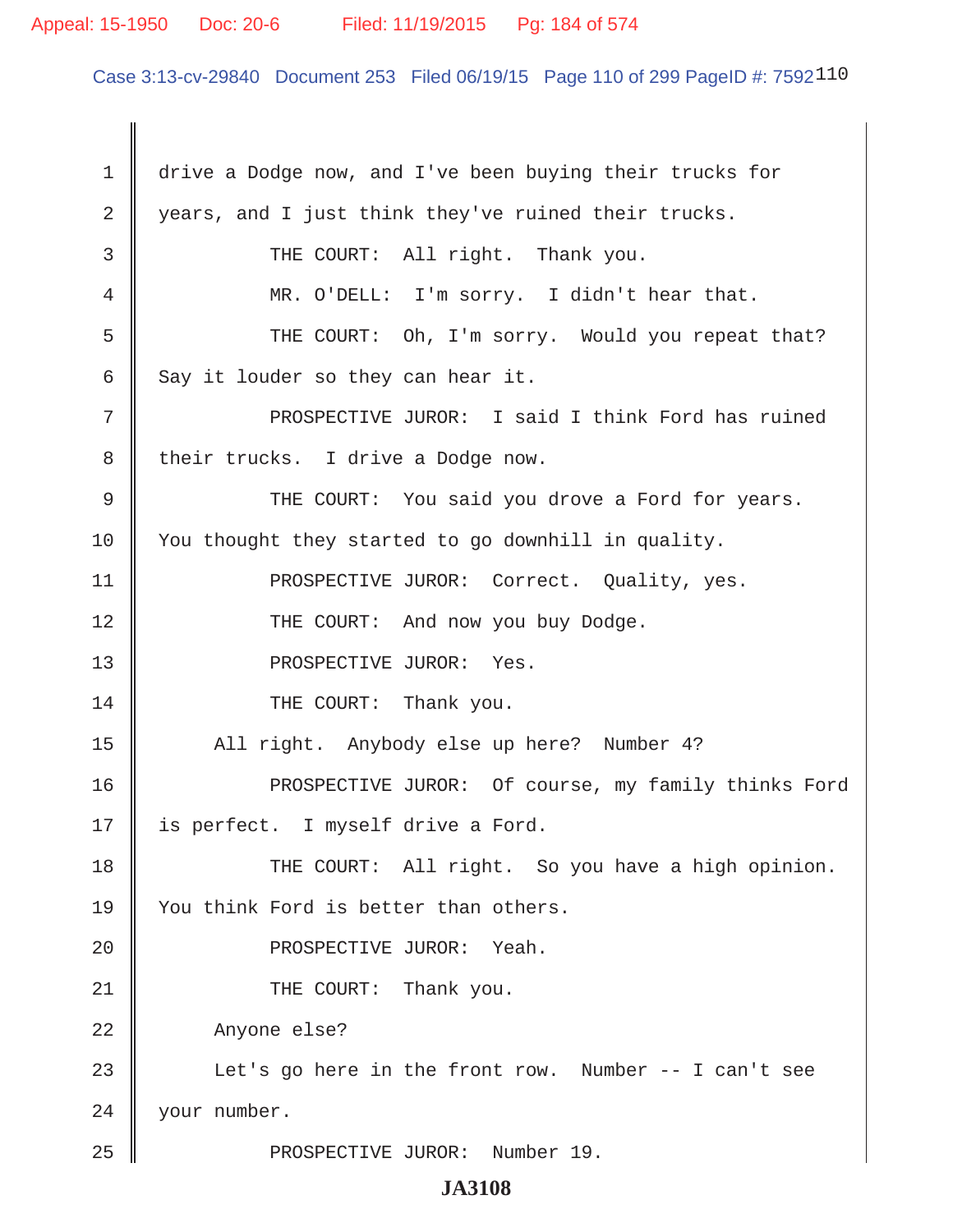### Appeal: 15-1950 Doc: 20-6 Filed: 11/19/2015 Pg: 184 of 574

Case 3:13-cv-29840 Document 253 Filed 06/19/15 Page 110 of 299 PageID #: 7592110

 1 drive a Dodge now, and I've been buying their trucks for 2 years, and I just think they've ruined their trucks. 3 || THE COURT: All right. Thank you. 4 MR. O'DELL: I'm sorry. I didn't hear that. 5 Supermum THE COURT: Oh, I'm sorry. Would you repeat that? 6 Say it louder so they can hear it. 7 || PROSPECTIVE JUROR: I said I think Ford has ruined 8 | their trucks. I drive a Dodge now. 9 THE COURT: You said you drove a Ford for years. 10 | You thought they started to go downhill in quality. 11 || PROSPECTIVE JUROR: Correct. Quality, yes. 12 || THE COURT: And now you buy Dodge. 13 || PROSPECTIVE JUROR: Yes. 14 **THE COURT:** Thank you. 15 || All right. Anybody else up here? Number 4? 16 PROSPECTIVE JUROR: Of course, my family thinks Ford 17 || is perfect. I myself drive a Ford. 18 THE COURT: All right. So you have a high opinion. 19 || You think Ford is better than others. 20 || PROSPECTIVE JUROR: Yeah. 21 || THE COURT: Thank you. 22 | Anyone else? 23 || Let's go here in the front row. Number -- I can't see 24 || your number. 25 || PROSPECTIVE JUROR: Number 19.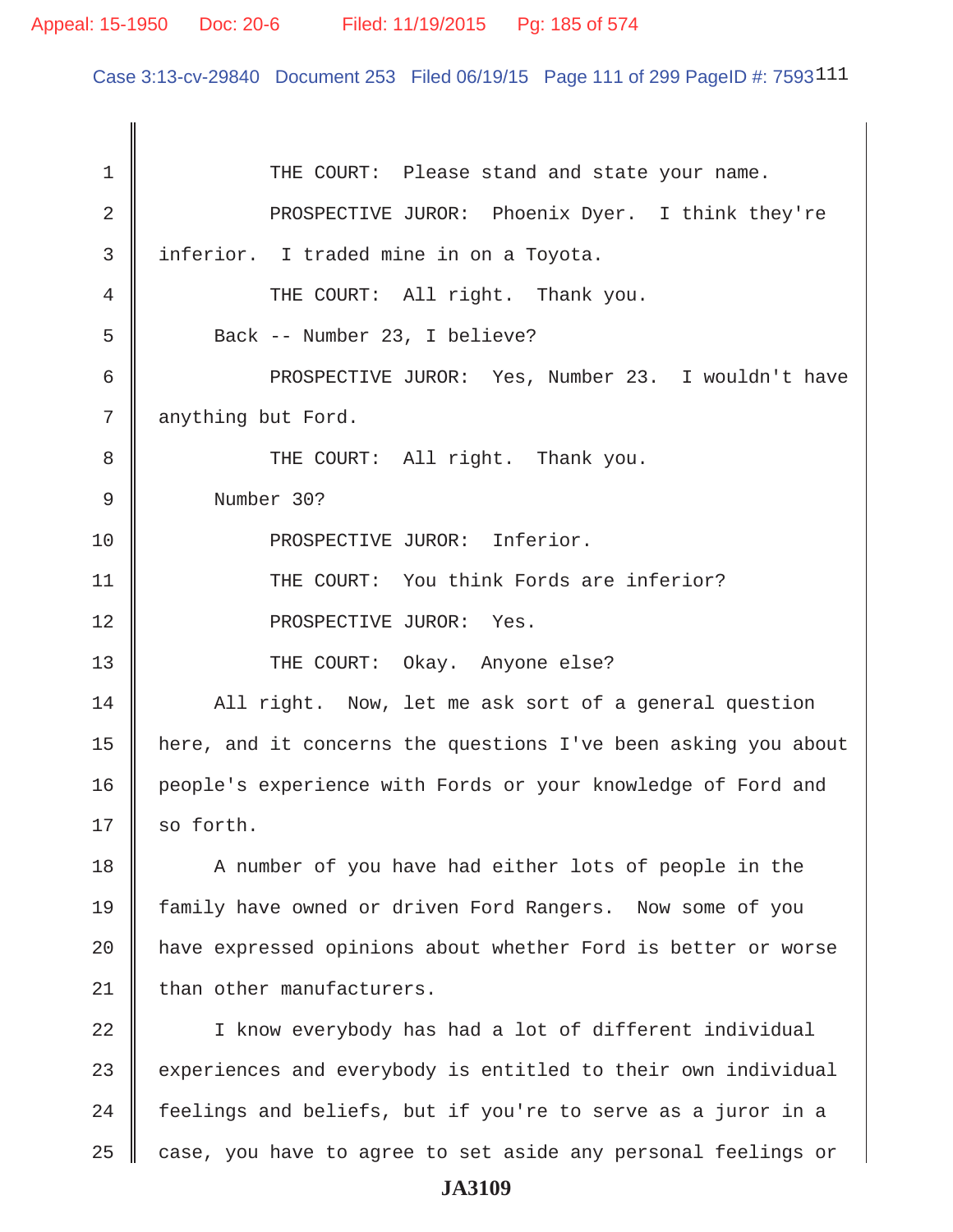Case 3:13-cv-29840 Document 253 Filed 06/19/15 Page 111 of 299 PageID #: 7593111

| $\mathbf 1$ | THE COURT: Please stand and state your name.                   |
|-------------|----------------------------------------------------------------|
| 2           | PROSPECTIVE JUROR: Phoenix Dyer. I think they're               |
| 3           | inferior. I traded mine in on a Toyota.                        |
| 4           | THE COURT: All right. Thank you.                               |
| 5           | Back -- Number 23, I believe?                                  |
| 6           | PROSPECTIVE JUROR: Yes, Number 23. I wouldn't have             |
| 7           | anything but Ford.                                             |
| 8           | THE COURT: All right. Thank you.                               |
| $\mathsf 9$ | Number 30?                                                     |
| 10          | PROSPECTIVE JUROR: Inferior.                                   |
| 11          | THE COURT: You think Fords are inferior?                       |
| 12          | PROSPECTIVE JUROR: Yes.                                        |
| 13          | THE COURT: Okay. Anyone else?                                  |
| 14          | All right. Now, let me ask sort of a general question          |
| 15          | here, and it concerns the questions I've been asking you about |
| 16          | people's experience with Fords or your knowledge of Ford and   |
| 17          | so forth.                                                      |
| 18          | A number of you have had either lots of people in the          |
| 19          | family have owned or driven Ford Rangers. Now some of you      |
| 20          | have expressed opinions about whether Ford is better or worse  |
| 21          | than other manufacturers.                                      |
| 22          | I know everybody has had a lot of different individual         |
| 23          | experiences and everybody is entitled to their own individual  |
| 24          | feelings and beliefs, but if you're to serve as a juror in a   |
| 25          | case, you have to agree to set aside any personal feelings or  |
|             | <b>JA3109</b>                                                  |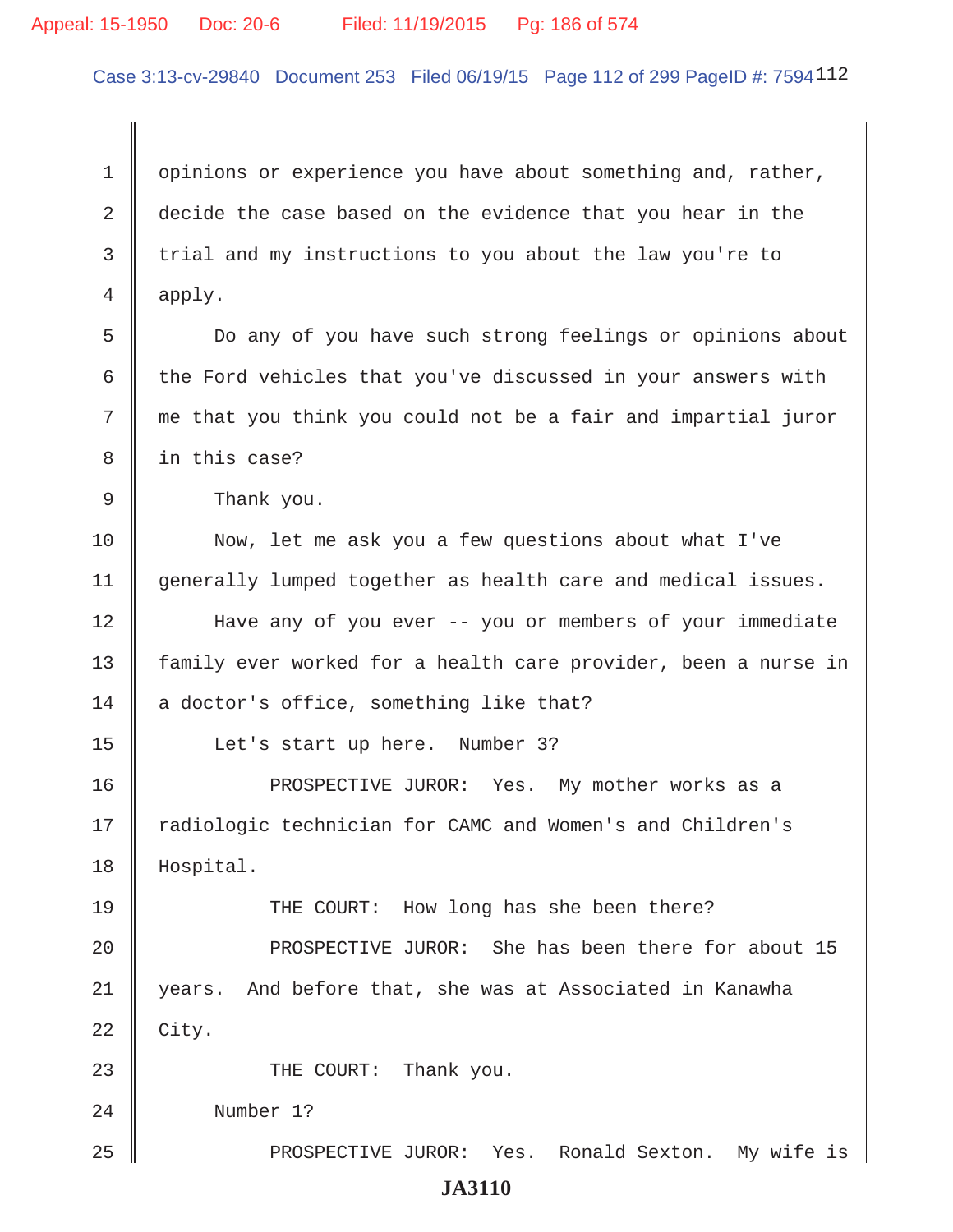### Appeal: 15-1950 Doc: 20-6 Filed: 11/19/2015 Pg: 186 of 574

Case 3:13-cv-29840 Document 253 Filed 06/19/15 Page 112 of 299 PageID #: 7594112

1 opinions or experience you have about something and, rather, 2  $\parallel$  decide the case based on the evidence that you hear in the 3 trial and my instructions to you about the law you're to 4 apply.

 5 Do any of you have such strong feelings or opinions about 6  $\parallel$  the Ford vehicles that you've discussed in your answers with  $7 \parallel$  me that you think you could not be a fair and impartial juror 8 || in this case?

9 **B** Thank you.

10 Now, let me ask you a few questions about what I've 11 generally lumped together as health care and medical issues.

12 Have any of you ever -- you or members of your immediate 13 || family ever worked for a health care provider, been a nurse in  $14$  a doctor's office, something like that?

15 | Let's start up here. Number 3?

16 PROSPECTIVE JUROR: Yes. My mother works as a 17 || radiologic technician for CAMC and Women's and Children's 18 Hospital.

19 THE COURT: How long has she been there?

20 **PROSPECTIVE JUROR:** She has been there for about 15 21 years. And before that, she was at Associated in Kanawha  $22 \parallel$  City.

23 || THE COURT: Thank you.

24 Number 1?

25 PROSPECTIVE JUROR: Yes. Ronald Sexton. My wife is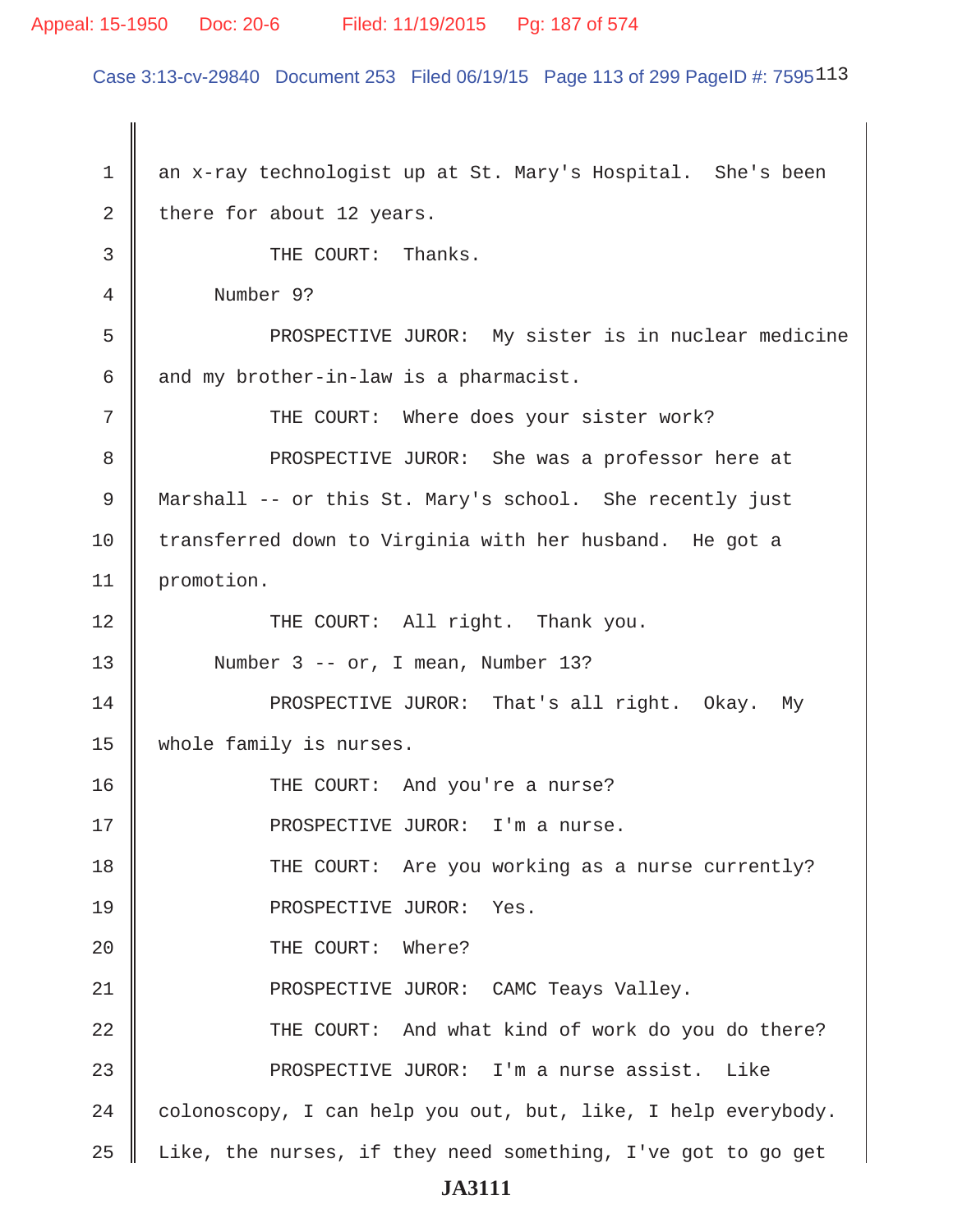### Appeal: 15-1950 Doc: 20-6 Filed: 11/19/2015 Pg: 187 of 574

Case 3:13-cv-29840 Document 253 Filed 06/19/15 Page 113 of 299 PageID #: 7595113

 1 an x-ray technologist up at St. Mary's Hospital. She's been 2 there for about 12 years. 3 **J** THE COURT: Thanks. 4 Number 9? 5 PROSPECTIVE JUROR: My sister is in nuclear medicine 6  $\parallel$  and my brother-in-law is a pharmacist. 7 || THE COURT: Where does your sister work? 8 || PROSPECTIVE JUROR: She was a professor here at 9 Marshall -- or this St. Mary's school. She recently just 10 transferred down to Virginia with her husband. He got a 11 | promotion. 12 || THE COURT: All right. Thank you. 13 || Number 3 -- or, I mean, Number 13? 14 | PROSPECTIVE JUROR: That's all right. Okay. My 15 whole family is nurses. 16 THE COURT: And you're a nurse? 17 PROSPECTIVE JUROR: I'm a nurse. 18 THE COURT: Are you working as a nurse currently? 19 || PROSPECTIVE JUROR: Yes. 20 **I** THE COURT: Where? 21 PROSPECTIVE JUROR: CAMC Teays Valley. 22 THE COURT: And what kind of work do you do there? 23 PROSPECTIVE JUROR: I'm a nurse assist. Like  $24$  colonoscopy, I can help you out, but, like, I help everybody.  $25$   $\parallel$  Like, the nurses, if they need something, I've got to go get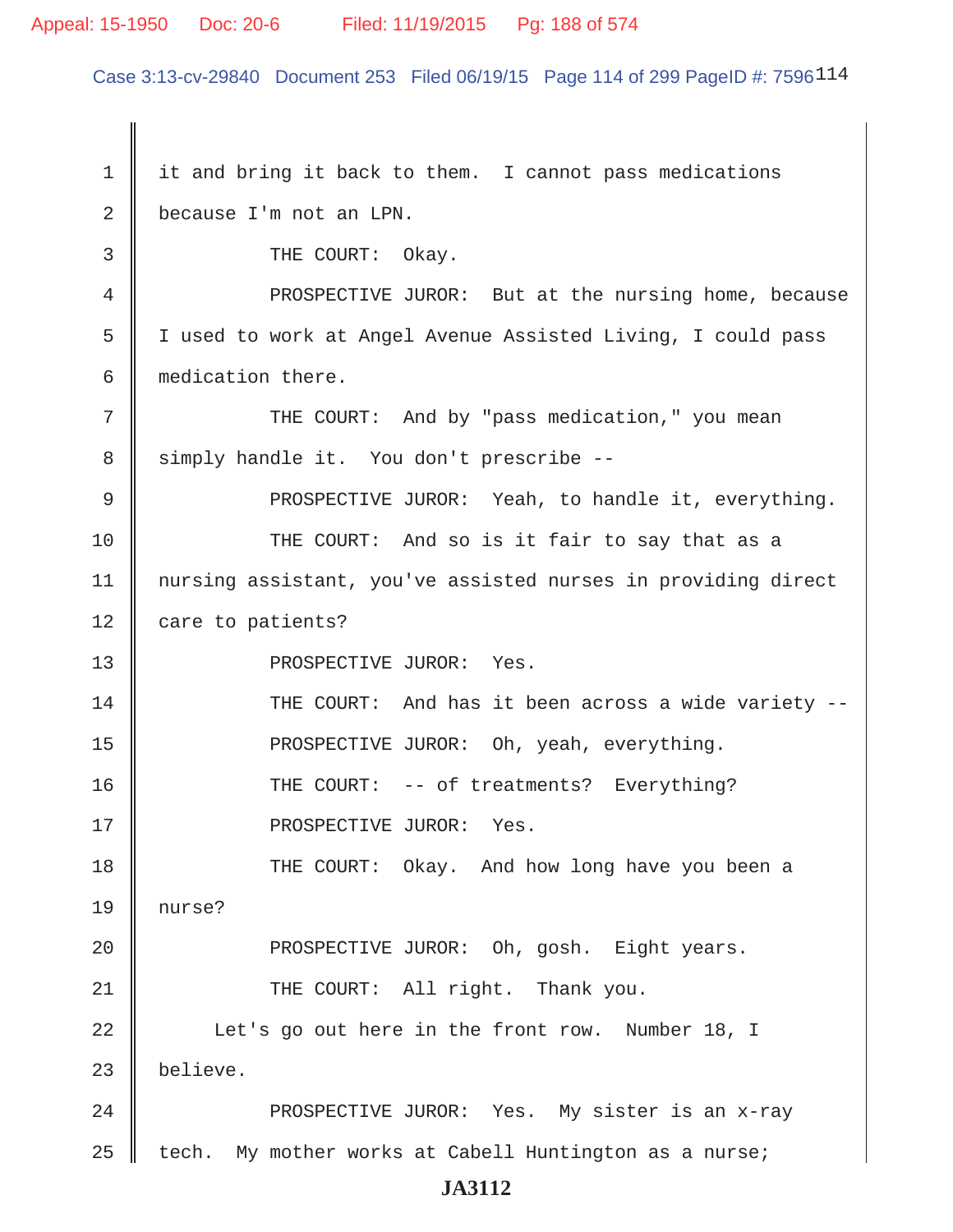# Appeal: 15-1950 Doc: 20-6 Filed: 11/19/2015 Pg: 188 of 574

Case 3:13-cv-29840 Document 253 Filed 06/19/15 Page 114 of 299 PageID #: 7596114

| $\mathbf 1$ | it and bring it back to them. I cannot pass medications       |
|-------------|---------------------------------------------------------------|
| 2           | because I'm not an LPN.                                       |
| 3           | THE COURT: Okay.                                              |
| 4           | PROSPECTIVE JUROR: But at the nursing home, because           |
| 5           | I used to work at Angel Avenue Assisted Living, I could pass  |
| 6           | medication there.                                             |
| 7           | THE COURT: And by "pass medication," you mean                 |
| 8           | simply handle it. You don't prescribe --                      |
| 9           | PROSPECTIVE JUROR: Yeah, to handle it, everything.            |
| 10          | THE COURT: And so is it fair to say that as a                 |
| 11          | nursing assistant, you've assisted nurses in providing direct |
| 12          | care to patients?                                             |
| 13          | PROSPECTIVE JUROR: Yes.                                       |
| 14          | THE COURT: And has it been across a wide variety --           |
| 15          | PROSPECTIVE JUROR: Oh, yeah, everything.                      |
| 16          | THE COURT: -- of treatments? Everything?                      |
| 17          | PROSPECTIVE JUROR: Yes.                                       |
| 18          | THE COURT: Okay. And how long have you been a                 |
| 19          | nurse?                                                        |
| 20          | PROSPECTIVE JUROR: Oh, gosh. Eight years.                     |
| 21          | THE COURT: All right. Thank you.                              |
| 22          | Let's go out here in the front row. Number 18, I              |
| 23          | believe.                                                      |
| 24          | PROSPECTIVE JUROR: Yes. My sister is an x-ray                 |
| 25          | My mother works at Cabell Huntington as a nurse;<br>tech.     |
|             |                                                               |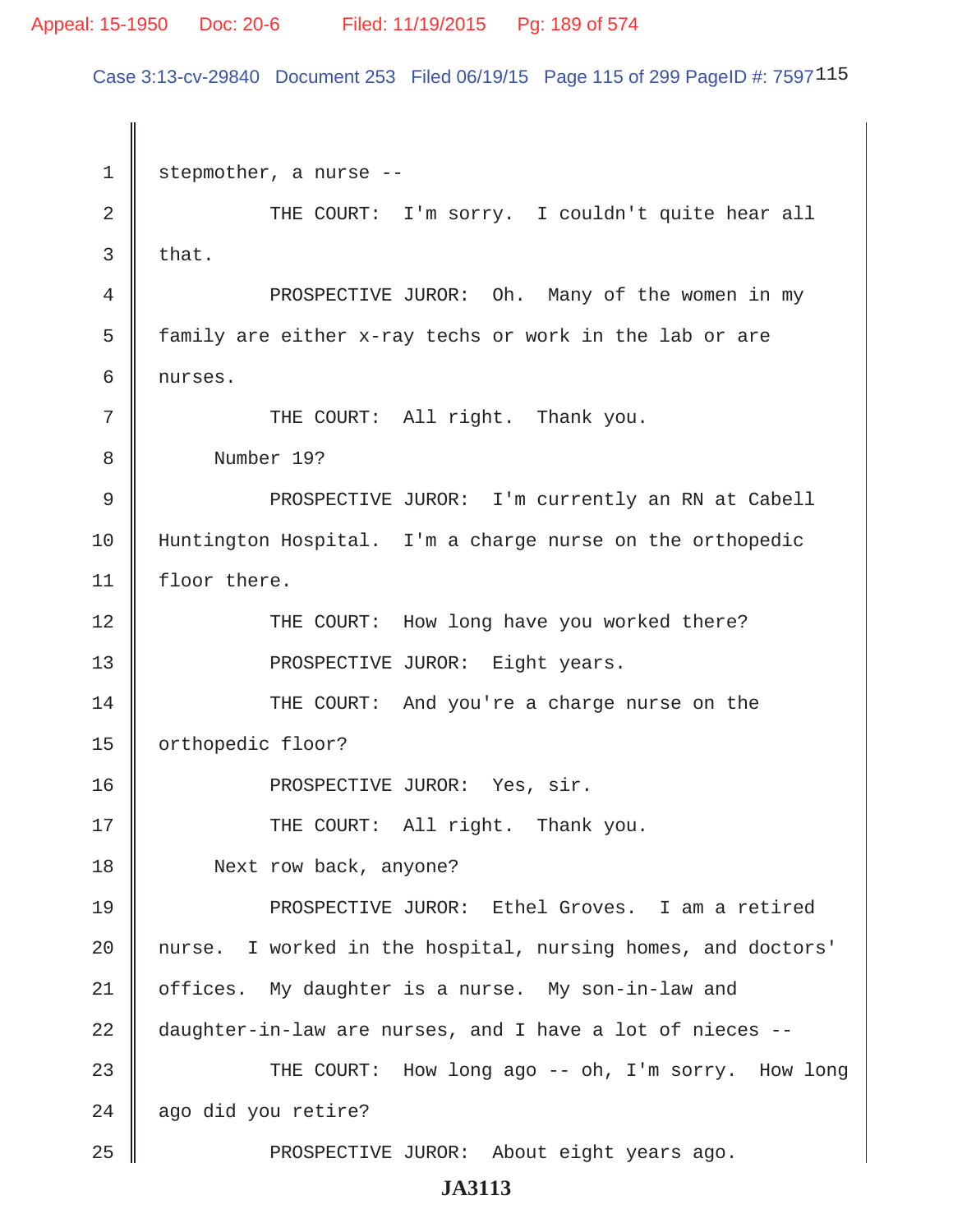Case 3:13-cv-29840 Document 253 Filed 06/19/15 Page 115 of 299 PageID #: 7597115

1 stepmother, a nurse --2 || THE COURT: I'm sorry. I couldn't quite hear all  $3$  that. 4 || PROSPECTIVE JUROR: Oh. Many of the women in my 5 | family are either x-ray techs or work in the lab or are 6 nurses. 7 || THE COURT: All right. Thank you. 8 Number 19? 9 || PROSPECTIVE JUROR: I'm currently an RN at Cabell 10 Huntington Hospital. I'm a charge nurse on the orthopedic 11 | floor there. 12 THE COURT: How long have you worked there? 13 || PROSPECTIVE JUROR: Eight years. 14 THE COURT: And you're a charge nurse on the 15 | orthopedic floor? 16 || PROSPECTIVE JUROR: Yes, sir. 17 || THE COURT: All right. Thank you. 18 | Next row back, anyone? 19 || PROSPECTIVE JUROR: Ethel Groves. I am a retired 20 || nurse. I worked in the hospital, nursing homes, and doctors' 21 | offices. My daughter is a nurse. My son-in-law and  $22$   $\parallel$  daughter-in-law are nurses, and I have a lot of nieces --23 THE COURT: How long ago -- oh, I'm sorry. How long  $24$  | ago did you retire? 25 PROSPECTIVE JUROR: About eight years ago.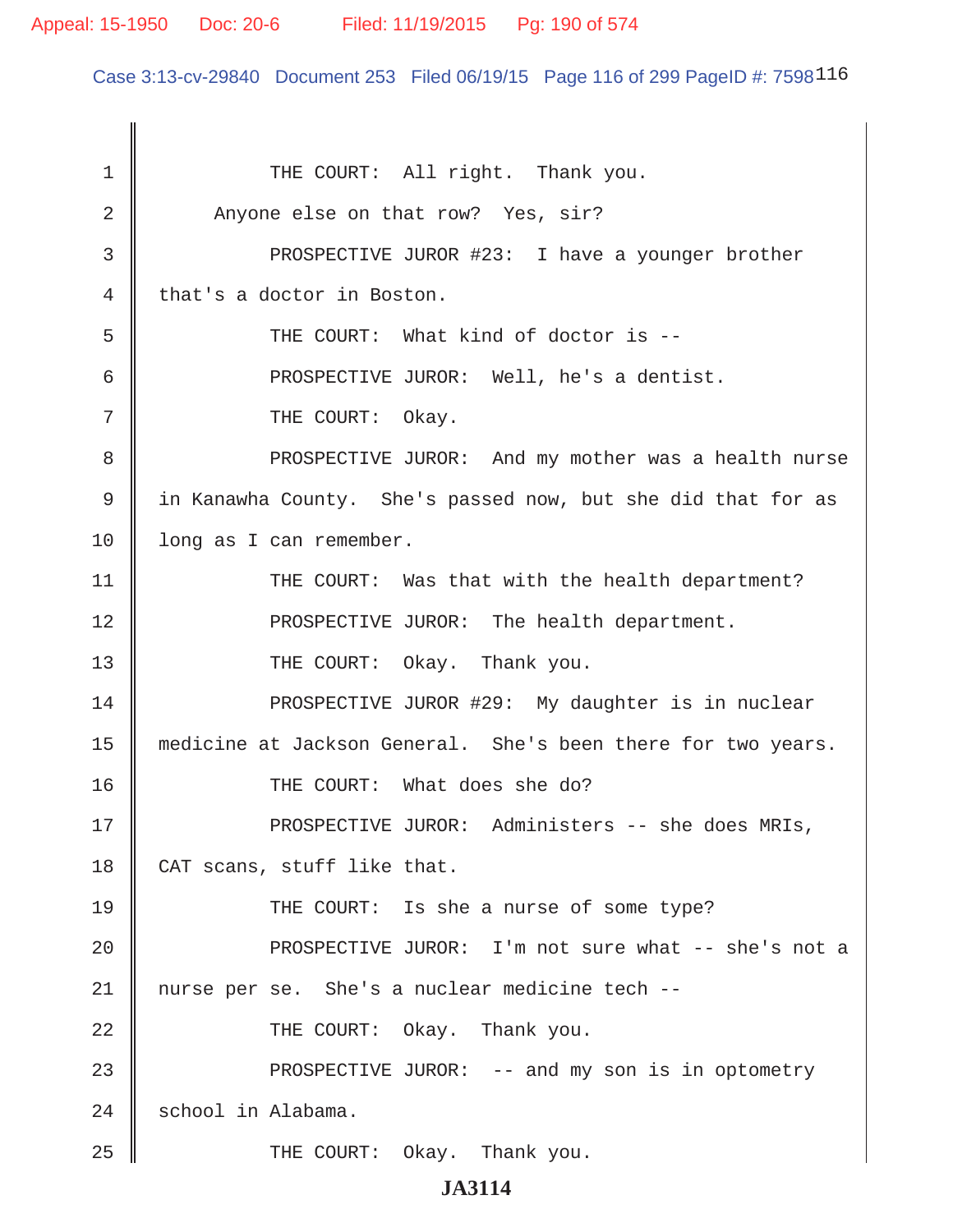### Appeal: 15-1950 Doc: 20-6 Filed: 11/19/2015 Pg: 190 of 574

Case 3:13-cv-29840 Document 253 Filed 06/19/15 Page 116 of 299 PageID #: 7598116

1 || THE COURT: All right. Thank you. 2 Anyone else on that row? Yes, sir? 3 || PROSPECTIVE JUROR #23: I have a younger brother 4 || that's a doctor in Boston. 5 || THE COURT: What kind of doctor is --6 || PROSPECTIVE JUROR: Well, he's a dentist. 7 || THE COURT: Okay. 8 PROSPECTIVE JUROR: And my mother was a health nurse 9 in Kanawha County. She's passed now, but she did that for as 10 | long as I can remember. 11 || THE COURT: Was that with the health department? 12 || PROSPECTIVE JUROR: The health department. 13 || THE COURT: Okay. Thank you. 14 || PROSPECTIVE JUROR #29: My daughter is in nuclear 15 medicine at Jackson General. She's been there for two years. 16 || THE COURT: What does she do? 17 PROSPECTIVE JUROR: Administers -- she does MRIs, 18 CAT scans, stuff like that. 19 THE COURT: Is she a nurse of some type? 20 PROSPECTIVE JUROR: I'm not sure what -- she's not a 21 || nurse per se. She's a nuclear medicine tech --22 || THE COURT: Okay. Thank you. 23 PROSPECTIVE JUROR: -- and my son is in optometry 24 | school in Alabama. 25 THE COURT: Okay. Thank you.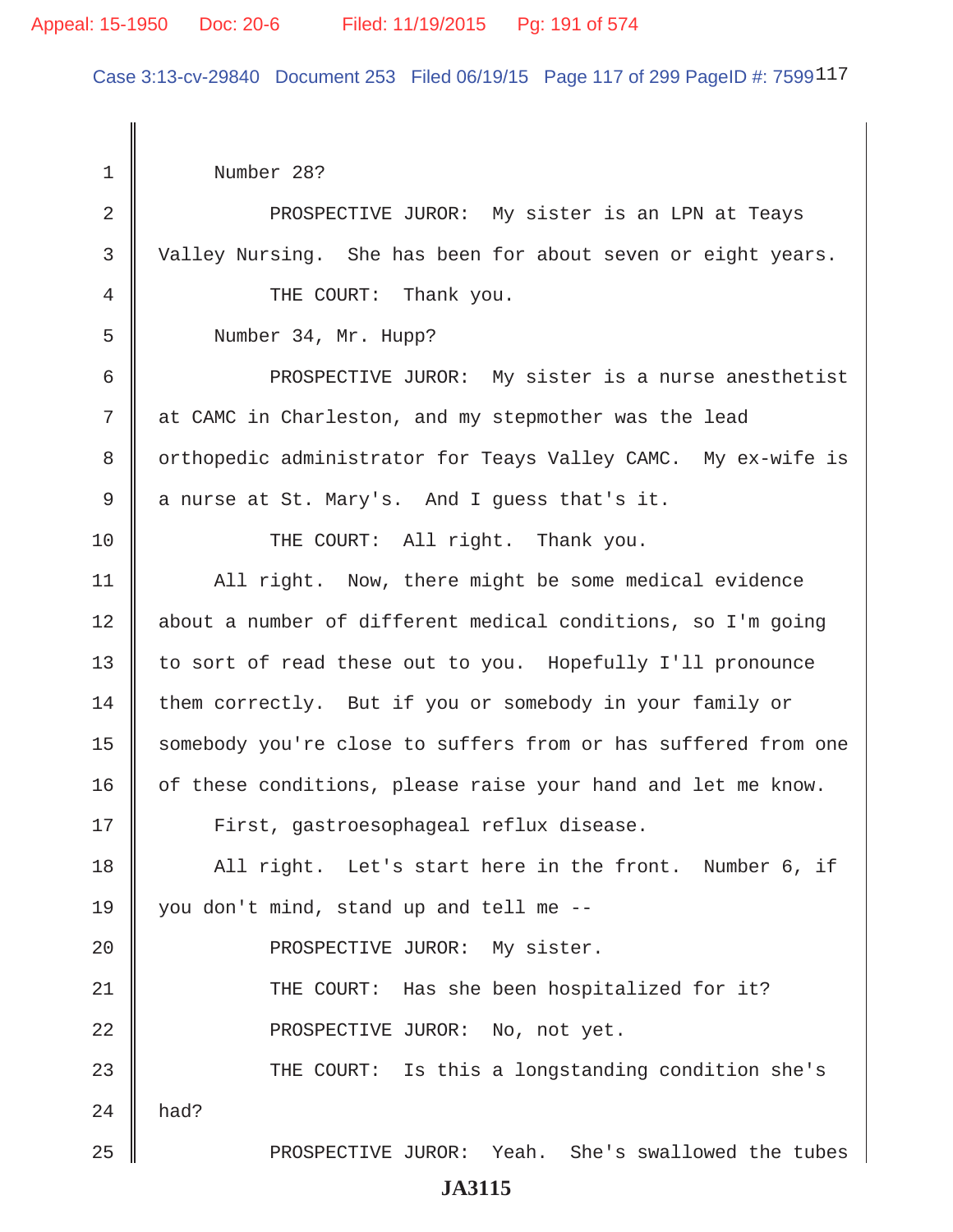### Appeal: 15-1950 Doc: 20-6 Filed: 11/19/2015 Pg: 191 of 574

Case 3:13-cv-29840 Document 253 Filed 06/19/15 Page 117 of 299 PageID #: 7599117

 1 Number 28? 2 || PROSPECTIVE JUROR: My sister is an LPN at Teays 3 Valley Nursing. She has been for about seven or eight years. 4 **4** THE COURT: Thank you. 5 Number 34, Mr. Hupp? 6 || PROSPECTIVE JUROR: My sister is a nurse anesthetist 7 at CAMC in Charleston, and my stepmother was the lead 8 | orthopedic administrator for Teays Valley CAMC. My ex-wife is  $9 \parallel$  a nurse at St. Mary's. And I guess that's it. 10 || THE COURT: All right. Thank you. 11 | All right. Now, there might be some medical evidence 12 | about a number of different medical conditions, so I'm going 13 || to sort of read these out to you. Hopefully I'll pronounce 14 | them correctly. But if you or somebody in your family or 15 | somebody you're close to suffers from or has suffered from one  $16$  of these conditions, please raise your hand and let me know. 17 | First, gastroesophageal reflux disease. 18 || All right. Let's start here in the front. Number 6, if 19  $\parallel$  you don't mind, stand up and tell me --20 || PROSPECTIVE JUROR: My sister. 21 || THE COURT: Has she been hospitalized for it? 22 || PROSPECTIVE JUROR: No, not yet. 23 THE COURT: Is this a longstanding condition she's  $24$  had? 25 PROSPECTIVE JUROR: Yeah. She's swallowed the tubes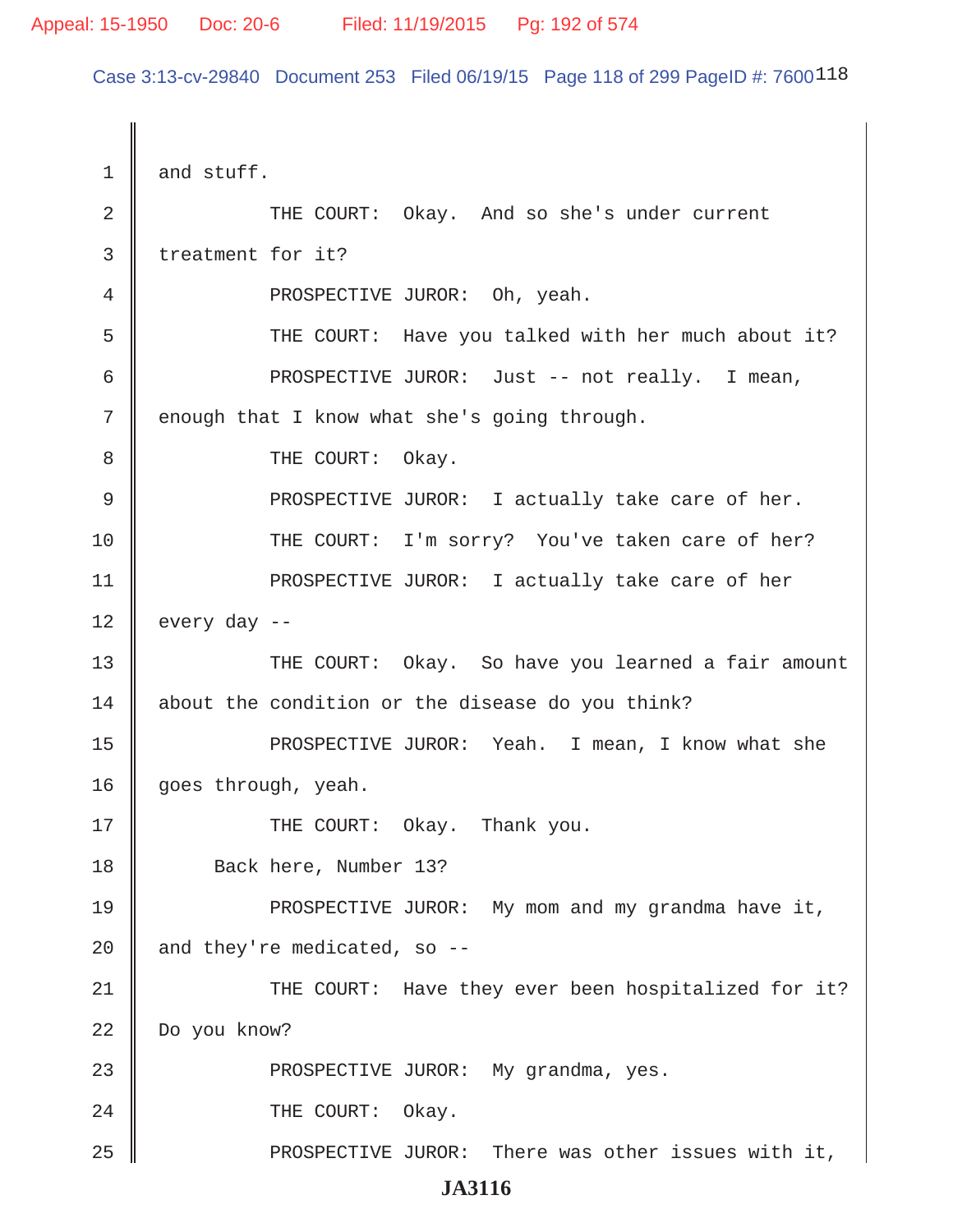Case 3:13-cv-29840 Document 253 Filed 06/19/15 Page 118 of 299 PageID #: 7600118

| 1           | and stuff.                                          |
|-------------|-----------------------------------------------------|
| 2           | THE COURT: Okay. And so she's under current         |
| 3           | treatment for it?                                   |
| 4           | PROSPECTIVE JUROR: Oh, yeah.                        |
| 5           | THE COURT: Have you talked with her much about it?  |
| 6           | PROSPECTIVE JUROR: Just -- not really. I mean,      |
| 7           | enough that I know what she's going through.        |
| 8           | THE COURT: Okay.                                    |
| $\mathsf 9$ | PROSPECTIVE JUROR: I actually take care of her.     |
| 10          | THE COURT: I'm sorry? You've taken care of her?     |
| 11          | PROSPECTIVE JUROR: I actually take care of her      |
| 12          | every day --                                        |
| 13          | THE COURT: Okay. So have you learned a fair amount  |
| 14          | about the condition or the disease do you think?    |
| 15          | PROSPECTIVE JUROR: Yeah. I mean, I know what she    |
| 16          | goes through, yeah.                                 |
| 17          | THE COURT: Okay. Thank you.                         |
| 18          | Back here, Number 13?                               |
| 19          | PROSPECTIVE JUROR: My mom and my grandma have it,   |
| 20          | and they're medicated, so --                        |
| 21          | THE COURT: Have they ever been hospitalized for it? |
| 22          | Do you know?                                        |
| 23          | PROSPECTIVE JUROR: My grandma, yes.                 |
| 24          | THE COURT: Okay.                                    |
| 25          | PROSPECTIVE JUROR: There was other issues with it,  |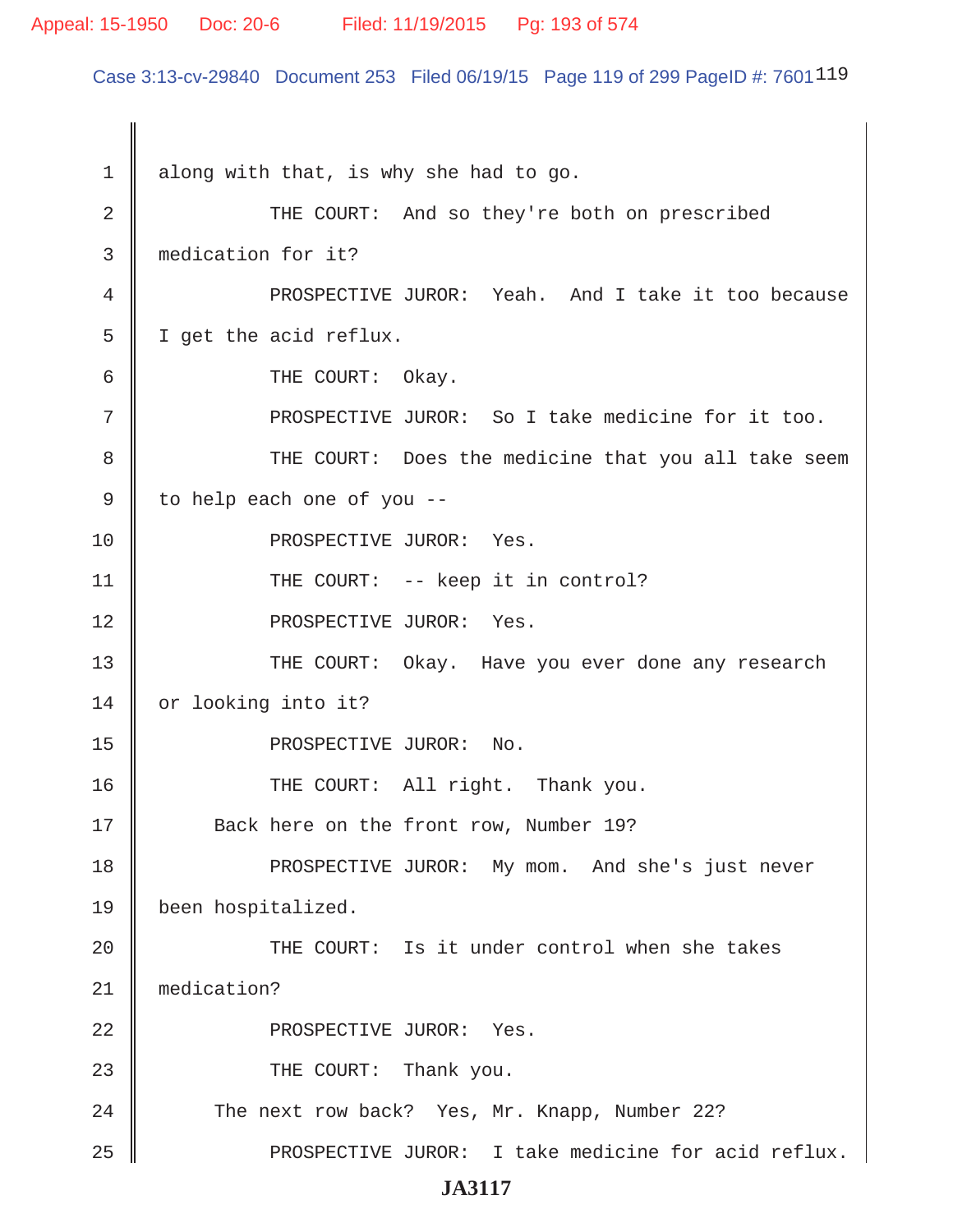### Appeal: 15-1950 Doc: 20-6 Filed: 11/19/2015 Pg: 193 of 574

Case 3:13-cv-29840 Document 253 Filed 06/19/15 Page 119 of 299 PageID #: 7601<sup>119</sup>

 $1 \parallel$  along with that, is why she had to go. 2 THE COURT: And so they're both on prescribed 3 medication for it? 4 | PROSPECTIVE JUROR: Yeah. And I take it too because 5 | I get the acid reflux. 6 GURT: 0 kay. 7 || PROSPECTIVE JUROR: So I take medicine for it too. 8 THE COURT: Does the medicine that you all take seem  $9 \parallel$  to help each one of you --10 || PROSPECTIVE JUROR: Yes. 11 || THE COURT: -- keep it in control? 12 || PROSPECTIVE JUROR: Yes. 13 THE COURT: Okay. Have you ever done any research 14 or looking into it? 15 || PROSPECTIVE JUROR: No. 16 || THE COURT: All right. Thank you. 17 Back here on the front row, Number 19? 18 || PROSPECTIVE JUROR: My mom. And she's just never 19 been hospitalized. 20 || THE COURT: Is it under control when she takes 21 medication? 22 || PROSPECTIVE JUROR: Yes. 23 || THE COURT: Thank you. 24 The next row back? Yes, Mr. Knapp, Number 22? 25 || PROSPECTIVE JUROR: I take medicine for acid reflux.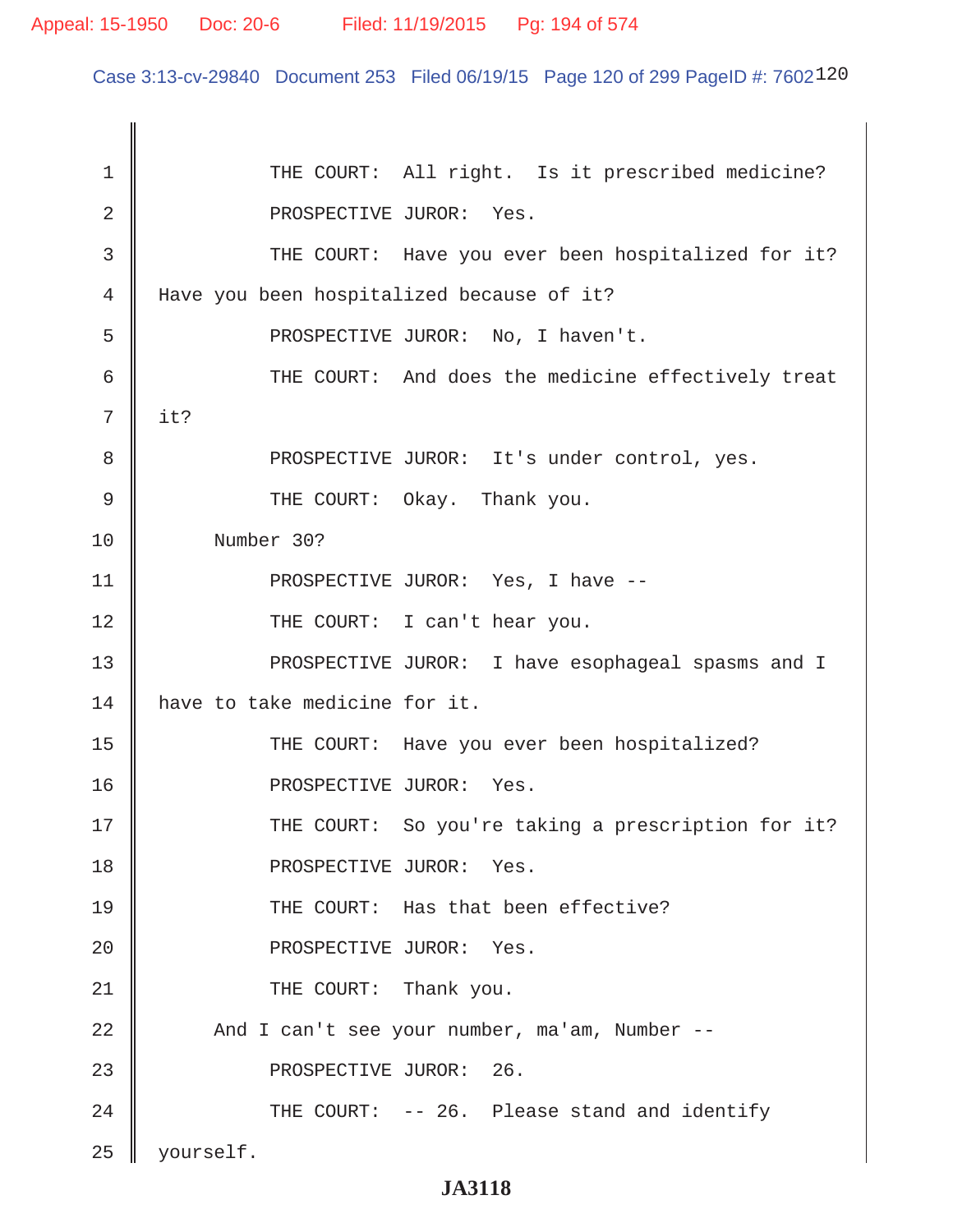Case 3:13-cv-29840 Document 253 Filed 06/19/15 Page 120 of 299 PageID #: 7602120

| 1           | THE COURT: All right. Is it prescribed medicine?   |
|-------------|----------------------------------------------------|
| 2           | PROSPECTIVE JUROR: Yes.                            |
| 3           | THE COURT: Have you ever been hospitalized for it? |
| 4           | Have you been hospitalized because of it?          |
| 5           | PROSPECTIVE JUROR: No, I haven't.                  |
| 6           | THE COURT: And does the medicine effectively treat |
| 7           | it?                                                |
| 8           | PROSPECTIVE JUROR: It's under control, yes.        |
| $\mathsf 9$ | THE COURT: Okay. Thank you.                        |
| 10          | Number 30?                                         |
| 11          | PROSPECTIVE JUROR: Yes, I have --                  |
| 12          | THE COURT: I can't hear you.                       |
| 13          | PROSPECTIVE JUROR: I have esophageal spasms and I  |
| 14          | have to take medicine for it.                      |
| 15          | THE COURT: Have you ever been hospitalized?        |
| 16          | PROSPECTIVE JUROR: Yes.                            |
| 17          | THE COURT: So you're taking a prescription for it? |
| 18          | PROSPECTIVE JUROR: Yes.                            |
| 19          | THE COURT: Has that been effective?                |
| 20          | PROSPECTIVE JUROR: Yes.                            |
| 21          | THE COURT: Thank you.                              |
| 22          | And I can't see your number, ma'am, Number --      |
| 23          | PROSPECTIVE JUROR: 26.                             |
| 24          | THE COURT: -- 26. Please stand and identify        |
| 25          | yourself.                                          |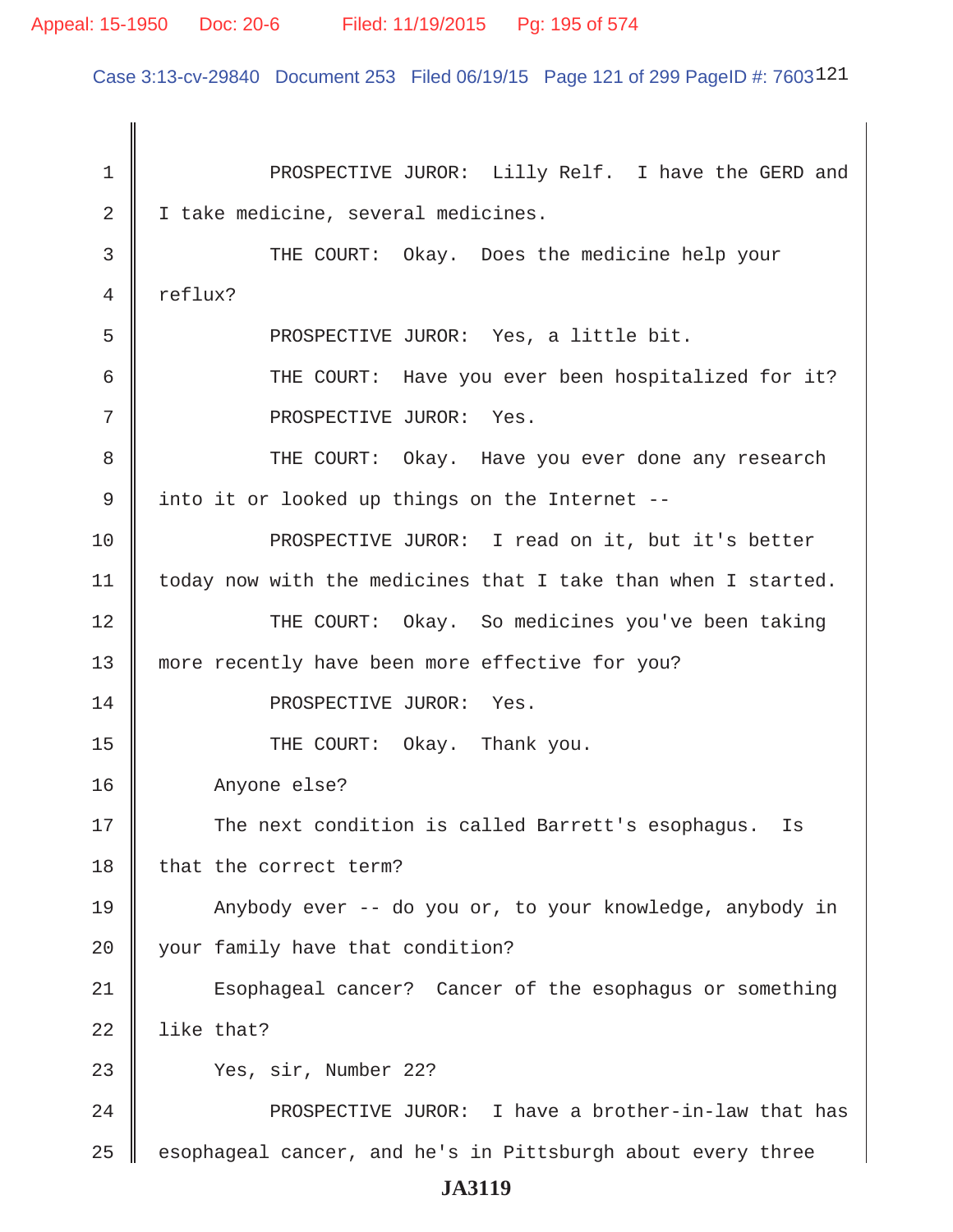Case 3:13-cv-29840 Document 253 Filed 06/19/15 Page 121 of 299 PageID #: 7603121

1 || PROSPECTIVE JUROR: Lilly Relf. I have the GERD and 2 | I take medicine, several medicines. 3 THE COURT: Okay. Does the medicine help your 4 reflux? 5 || PROSPECTIVE JUROR: Yes, a little bit. 6 || THE COURT: Have you ever been hospitalized for it? 7 || PROSPECTIVE JUROR: Yes. 8 THE COURT: Okay. Have you ever done any research 9 || into it or looked up things on the Internet --10 || PROSPECTIVE JUROR: I read on it, but it's better  $11$  | today now with the medicines that I take than when I started. 12 THE COURT: Okay. So medicines you've been taking 13 more recently have been more effective for you? 14 || PROSPECTIVE JUROR: Yes. 15 || THE COURT: Okay. Thank you. 16 Anyone else? 17 The next condition is called Barrett's esophagus. Is 18 that the correct term? 19 | Anybody ever -- do you or, to your knowledge, anybody in 20 your family have that condition? 21 || Esophageal cancer? Cancer of the esophagus or something 22  $\parallel$  like that? 23 Yes, sir, Number 22? 24 PROSPECTIVE JUROR: I have a brother-in-law that has  $25$   $\parallel$  esophageal cancer, and he's in Pittsburgh about every three **JA3119**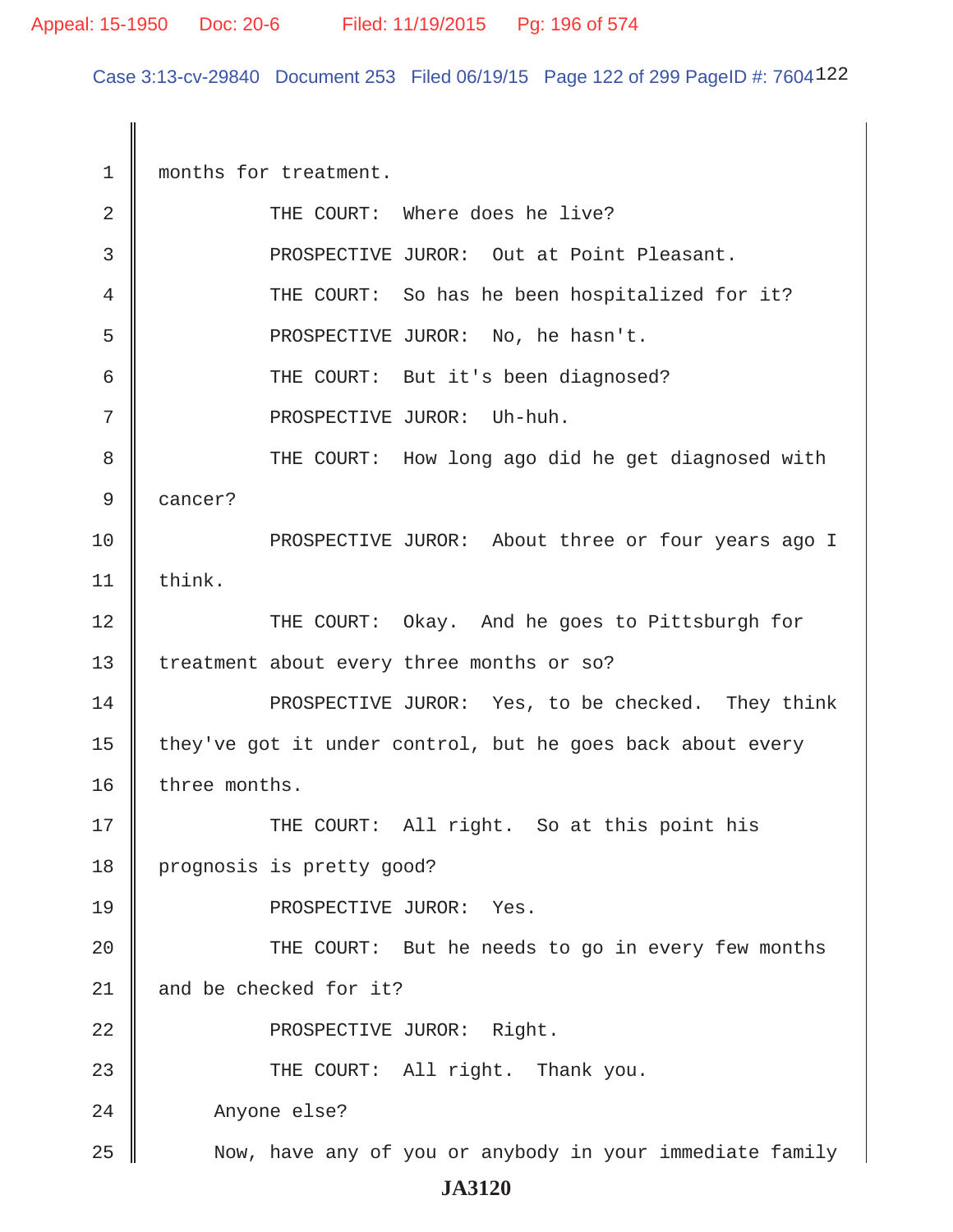Case 3:13-cv-29840 Document 253 Filed 06/19/15 Page 122 of 299 PageID #: 7604122

1 months for treatment. 2 || THE COURT: Where does he live? 3 || PROSPECTIVE JUROR: Out at Point Pleasant. 4 || THE COURT: So has he been hospitalized for it? 5 PROSPECTIVE JUROR: No, he hasn't. 6 || THE COURT: But it's been diagnosed? 7 || PROSPECTIVE JUROR: Uh-huh. 8 THE COURT: How long ago did he get diagnosed with 9 cancer? 10 PROSPECTIVE JUROR: About three or four years ago I  $11$  think. 12 THE COURT: Okay. And he goes to Pittsburgh for 13 | treatment about every three months or so? 14 **PROSPECTIVE JUROR:** Yes, to be checked. They think 15  $\parallel$  they've got it under control, but he goes back about every 16  $\parallel$  three months. 17 THE COURT: All right. So at this point his 18 | prognosis is pretty good? 19 || PROSPECTIVE JUROR: Yes. 20 || THE COURT: But he needs to go in every few months 21 || and be checked for it? 22 || PROSPECTIVE JUROR: Right. 23 THE COURT: All right. Thank you. 24 Anyone else? 25 || Now, have any of you or anybody in your immediate family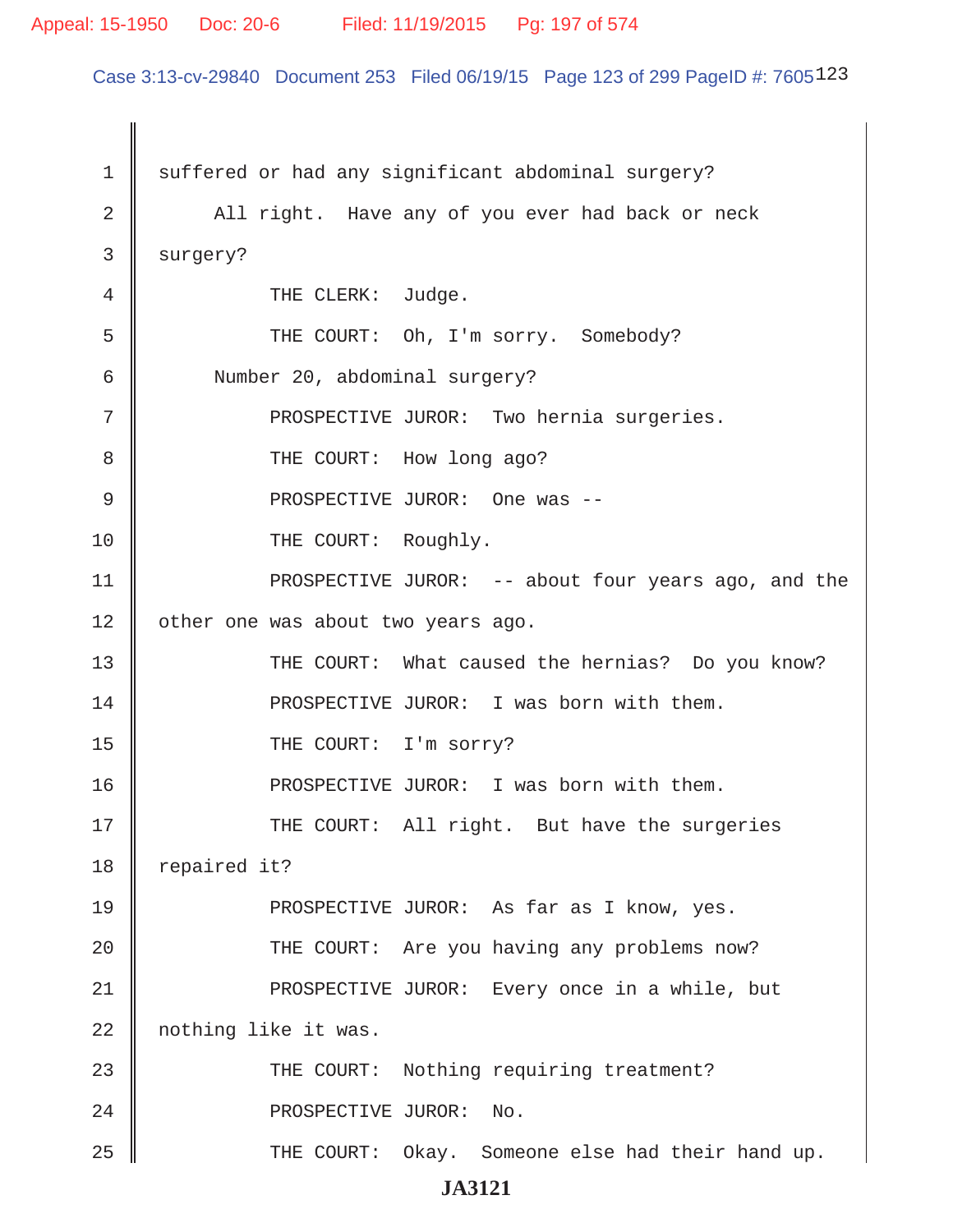#### Appeal: 15-1950 Doc: 20-6 Filed: 11/19/2015 Pg: 197 of 574

Case 3:13-cv-29840 Document 253 Filed 06/19/15 Page 123 of 299 PageID #: 7605123

1 suffered or had any significant abdominal surgery? 2 || All right. Have any of you ever had back or neck 3 surgery? 4 **THE CLERK:** Judge. 5 || THE COURT: Oh, I'm sorry. Somebody? 6 Number 20, abdominal surgery? 7 || PROSPECTIVE JUROR: Two hernia surgeries. 8 **B** THE COURT: How long ago? 9 PROSPECTIVE JUROR: One was -- 10 || THE COURT: Roughly. 11 || PROSPECTIVE JUROR: -- about four years ago, and the 12 | other one was about two years ago. 13 THE COURT: What caused the hernias? Do you know? 14 **PROSPECTIVE JUROR:** I was born with them. 15 || THE COURT: I'm sorry? 16 || PROSPECTIVE JUROR: I was born with them. 17 THE COURT: All right. But have the surgeries 18  $\parallel$  repaired it? 19 || PROSPECTIVE JUROR: As far as I know, yes. 20 || THE COURT: Are you having any problems now? 21 || PROSPECTIVE JUROR: Every once in a while, but 22 | nothing like it was. 23 THE COURT: Nothing requiring treatment? 24 || PROSPECTIVE JUROR: No. 25 THE COURT: Okay. Someone else had their hand up.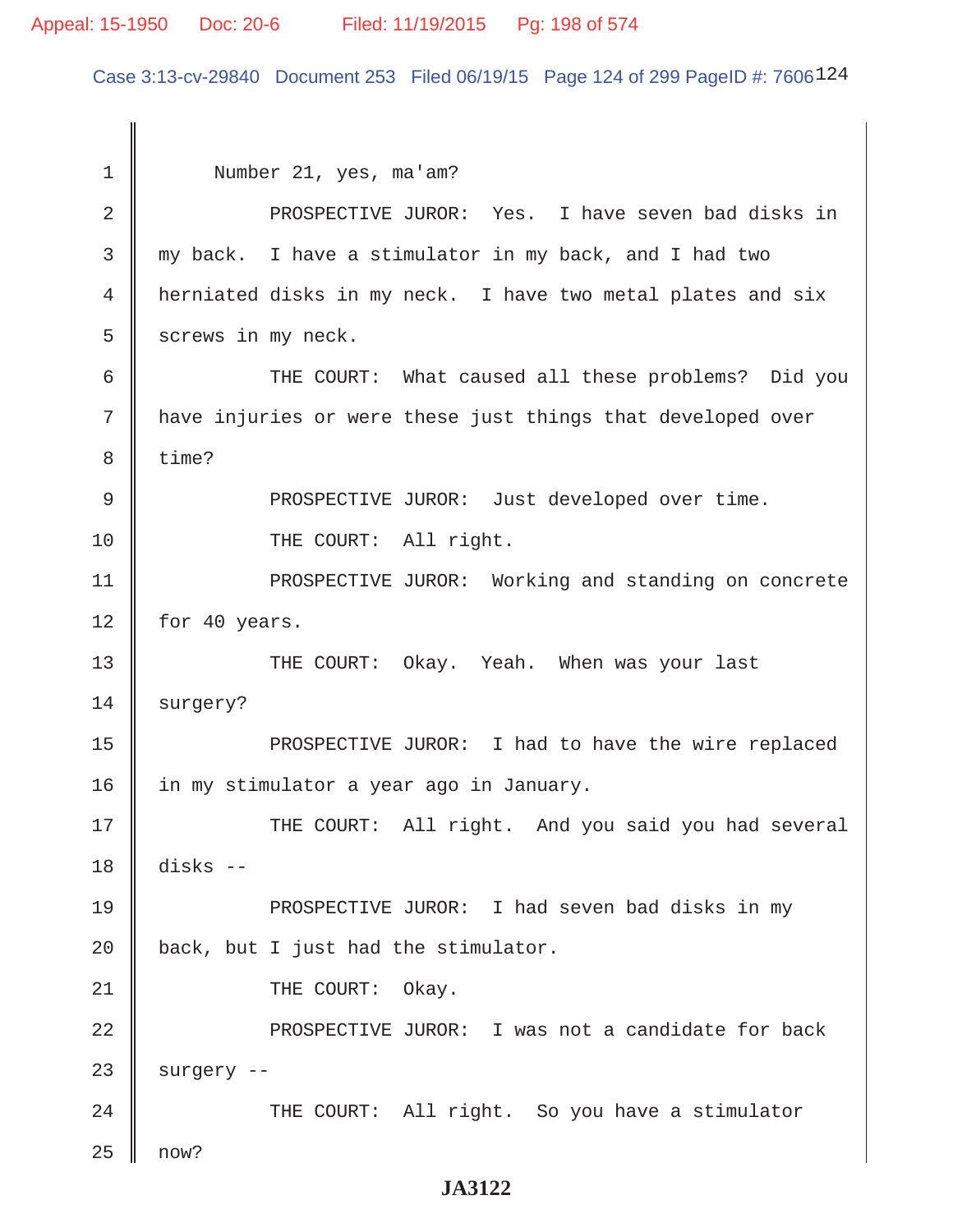### Appeal: 15-1950 Doc: 20-6 Filed: 11/19/2015 Pg: 198 of 574

Case 3:13-cv-29840 Document 253 Filed 06/19/15 Page 124 of 299 PageID #: 7606124

 1 Number 21, yes, ma'am? 2 PROSPECTIVE JUROR: Yes. I have seven bad disks in 3 my back. I have a stimulator in my back, and I had two 4 herniated disks in my neck. I have two metal plates and six  $5 \parallel$  screws in my neck. 6 THE COURT: What caused all these problems? Did you 7 || have injuries or were these just things that developed over 8 || time? 9 || PROSPECTIVE JUROR: Just developed over time. 10 || THE COURT: All right. 11 || PROSPECTIVE JUROR: Working and standing on concrete  $12 \parallel$  for 40 years. 13 THE COURT: Okay. Yeah. When was your last 14 surgery? 15 || PROSPECTIVE JUROR: I had to have the wire replaced 16 | in my stimulator a year ago in January. 17 THE COURT: All right. And you said you had several 18 disks -- 19 PROSPECTIVE JUROR: I had seven bad disks in my  $20$  | back, but I just had the stimulator. 21 || THE COURT: Okay. 22 PROSPECTIVE JUROR: I was not a candidate for back  $23$  | surgery --24 THE COURT: All right. So you have a stimulator  $25 \parallel$  now?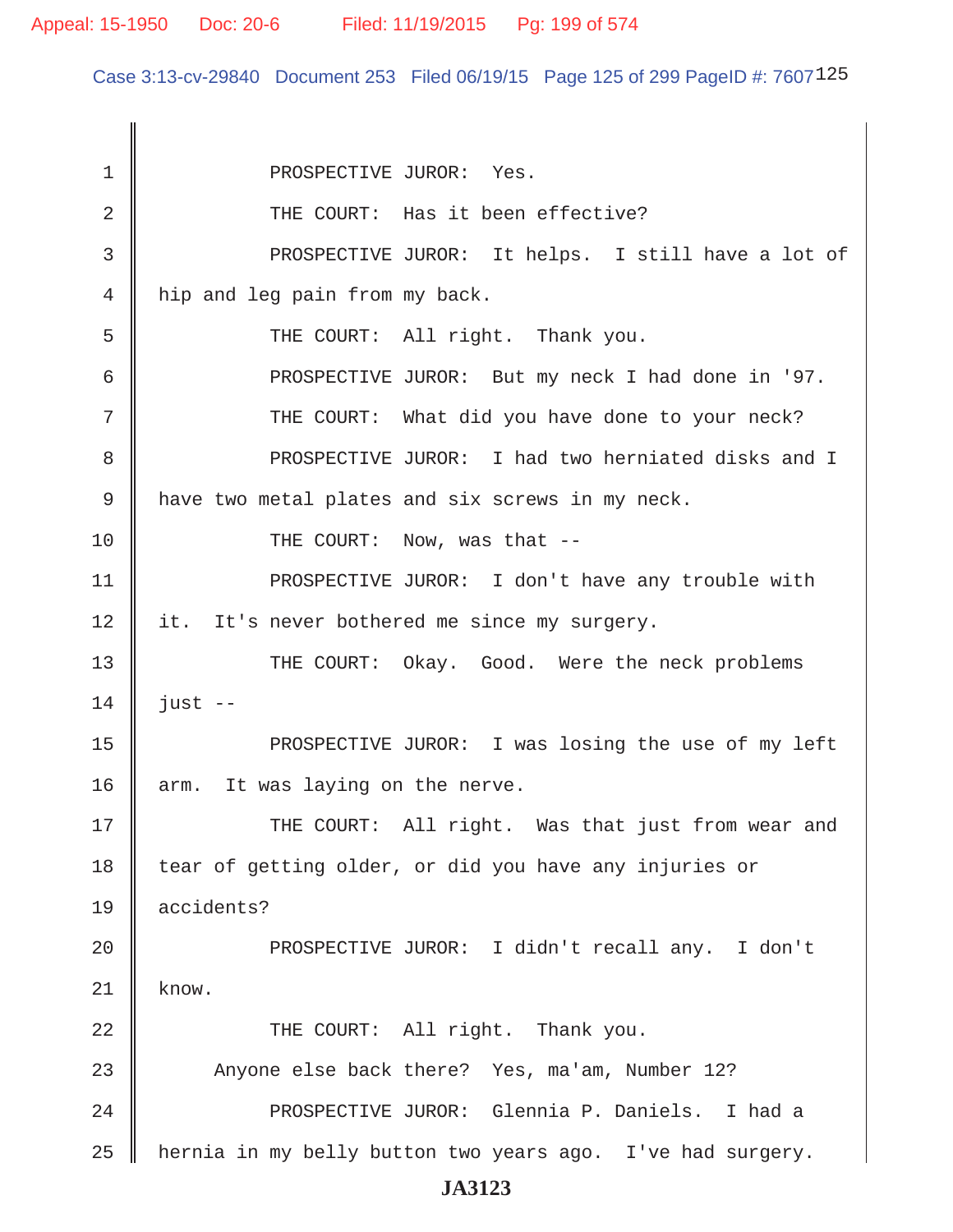Case 3:13-cv-29840 Document 253 Filed 06/19/15 Page 125 of 299 PageID #: 7607125

1 || PROSPECTIVE JUROR: Yes. 2 || THE COURT: Has it been effective? 3 PROSPECTIVE JUROR: It helps. I still have a lot of 4 hip and leg pain from my back. 5 || THE COURT: All right. Thank you. 6 PROSPECTIVE JUROR: But my neck I had done in '97. 7 || THE COURT: What did you have done to your neck? 8 || PROSPECTIVE JUROR: I had two herniated disks and I 9 have two metal plates and six screws in my neck. 10 || THE COURT: Now, was that --11 || PROSPECTIVE JUROR: I don't have any trouble with 12 | it. It's never bothered me since my surgery. 13 THE COURT: Okay. Good. Were the neck problems  $14 \parallel$  just --15 PROSPECTIVE JUROR: I was losing the use of my left 16  $\parallel$  arm. It was laying on the nerve. 17 THE COURT: All right. Was that just from wear and 18 tear of getting older, or did you have any injuries or 19 accidents? 20 || PROSPECTIVE JUROR: I didn't recall any. I don't  $21 \parallel$  know. 22 THE COURT: All right. Thank you. 23 Anyone else back there? Yes, ma'am, Number 12? 24 PROSPECTIVE JUROR: Glennia P. Daniels. I had a  $25$  | hernia in my belly button two years ago. I've had surgery. **JA3123**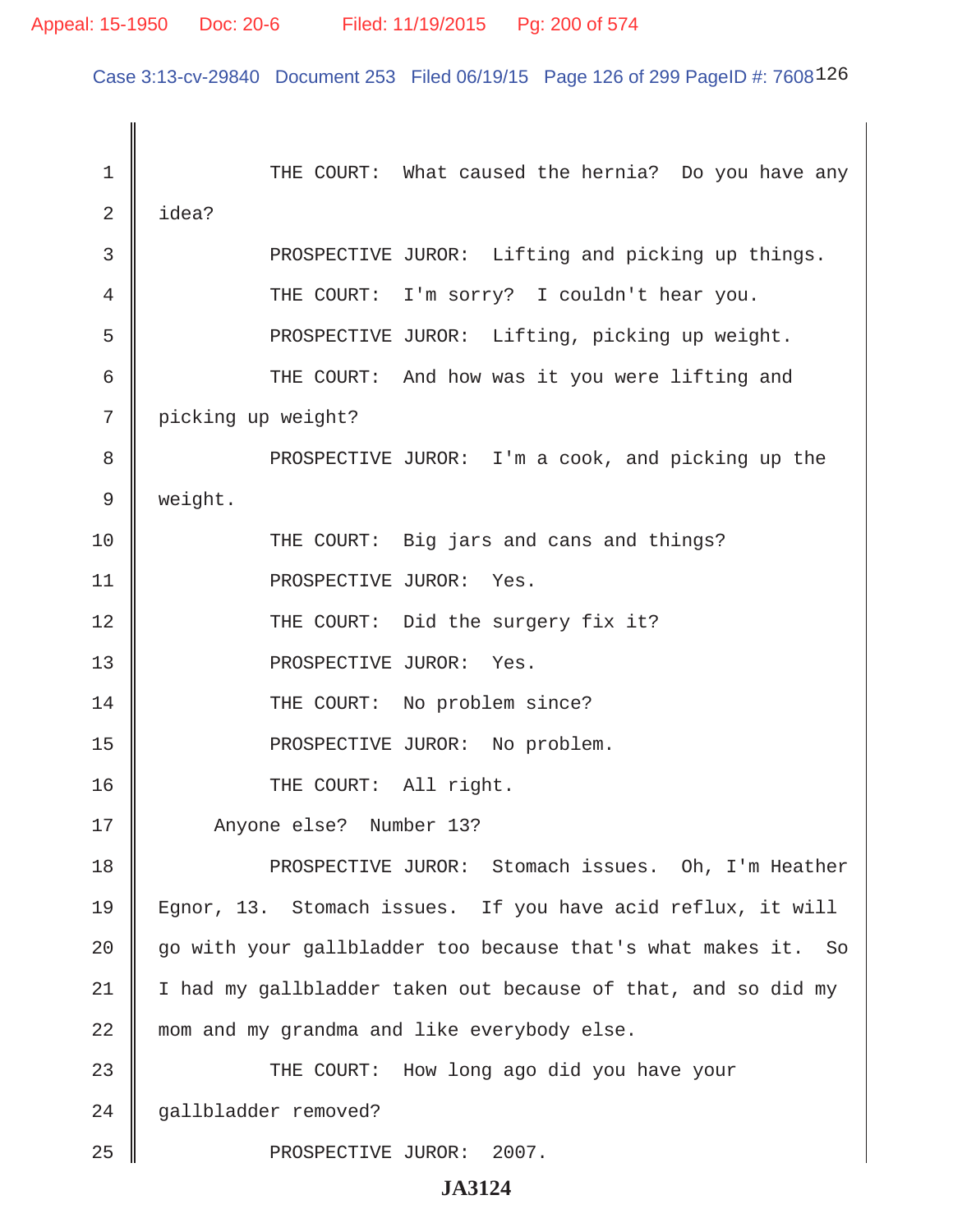Case 3:13-cv-29840 Document 253 Filed 06/19/15 Page 126 of 299 PageID #: 7608126

 1 THE COURT: What caused the hernia? Do you have any  $2 \parallel$  idea? 3 **PROSPECTIVE JUROR:** Lifting and picking up things. 4 THE COURT: I'm sorry? I couldn't hear you. 5 || PROSPECTIVE JUROR: Lifting, picking up weight. 6 General Mexicourd Mann and how was it you were lifting and 7 picking up weight? 8 || PROSPECTIVE JUROR: I'm a cook, and picking up the 9 weight. 10 THE COURT: Big jars and cans and things? 11 || PROSPECTIVE JUROR: Yes. 12 || THE COURT: Did the surgery fix it? 13 || PROSPECTIVE JUROR: Yes. 14 THE COURT: No problem since? 15 || PROSPECTIVE JUROR: No problem. 16 || THE COURT: All right. 17 || Anyone else? Number 13? 18 PROSPECTIVE JUROR: Stomach issues. Oh, I'm Heather 19 Egnor, 13. Stomach issues. If you have acid reflux, it will 20  $\parallel$  go with your gallbladder too because that's what makes it. So  $21$  | I had my gallbladder taken out because of that, and so did my 22 || mom and my grandma and like everybody else. 23 THE COURT: How long ago did you have your 24 gallbladder removed? 25 || PROSPECTIVE JUROR: 2007.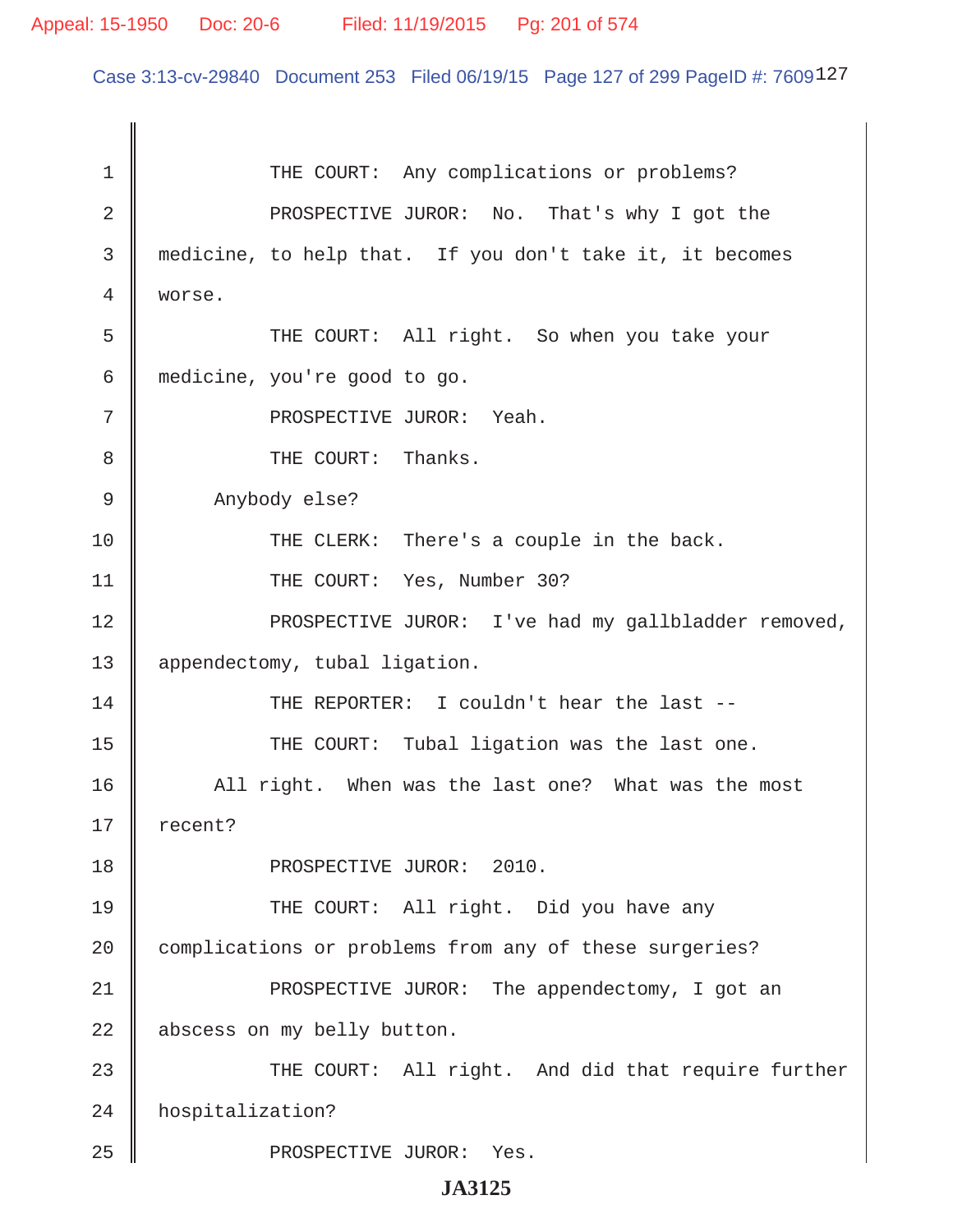Case 3:13-cv-29840 Document 253 Filed 06/19/15 Page 127 of 299 PageID #: 7609127

| $\mathbf 1$ | THE COURT: Any complications or problems?                |
|-------------|----------------------------------------------------------|
| 2           | PROSPECTIVE JUROR: No. That's why I got the              |
| 3           | medicine, to help that. If you don't take it, it becomes |
| 4           | worse.                                                   |
| 5           | THE COURT: All right. So when you take your              |
| 6           | medicine, you're good to go.                             |
| 7           | PROSPECTIVE JUROR: Yeah.                                 |
| 8           | THE COURT: Thanks.                                       |
| 9           | Anybody else?                                            |
| 10          | THE CLERK: There's a couple in the back.                 |
| 11          | THE COURT: Yes, Number 30?                               |
| 12          | PROSPECTIVE JUROR: I've had my gallbladder removed,      |
| 13          | appendectomy, tubal ligation.                            |
| 14          | THE REPORTER: I couldn't hear the last --                |
| 15          | THE COURT: Tubal ligation was the last one.              |
| 16          | All right. When was the last one? What was the most      |
| 17          | recent?                                                  |
| 18          | PROSPECTIVE JUROR: 2010.                                 |
| 19          | THE COURT: All right. Did you have any                   |
| 20          | complications or problems from any of these surgeries?   |
| 21          | PROSPECTIVE JUROR: The appendectomy, I got an            |
| 22          | abscess on my belly button.                              |
| 23          | THE COURT: All right. And did that require further       |
| 24          | hospitalization?                                         |
| 25          | PROSPECTIVE JUROR: Yes.                                  |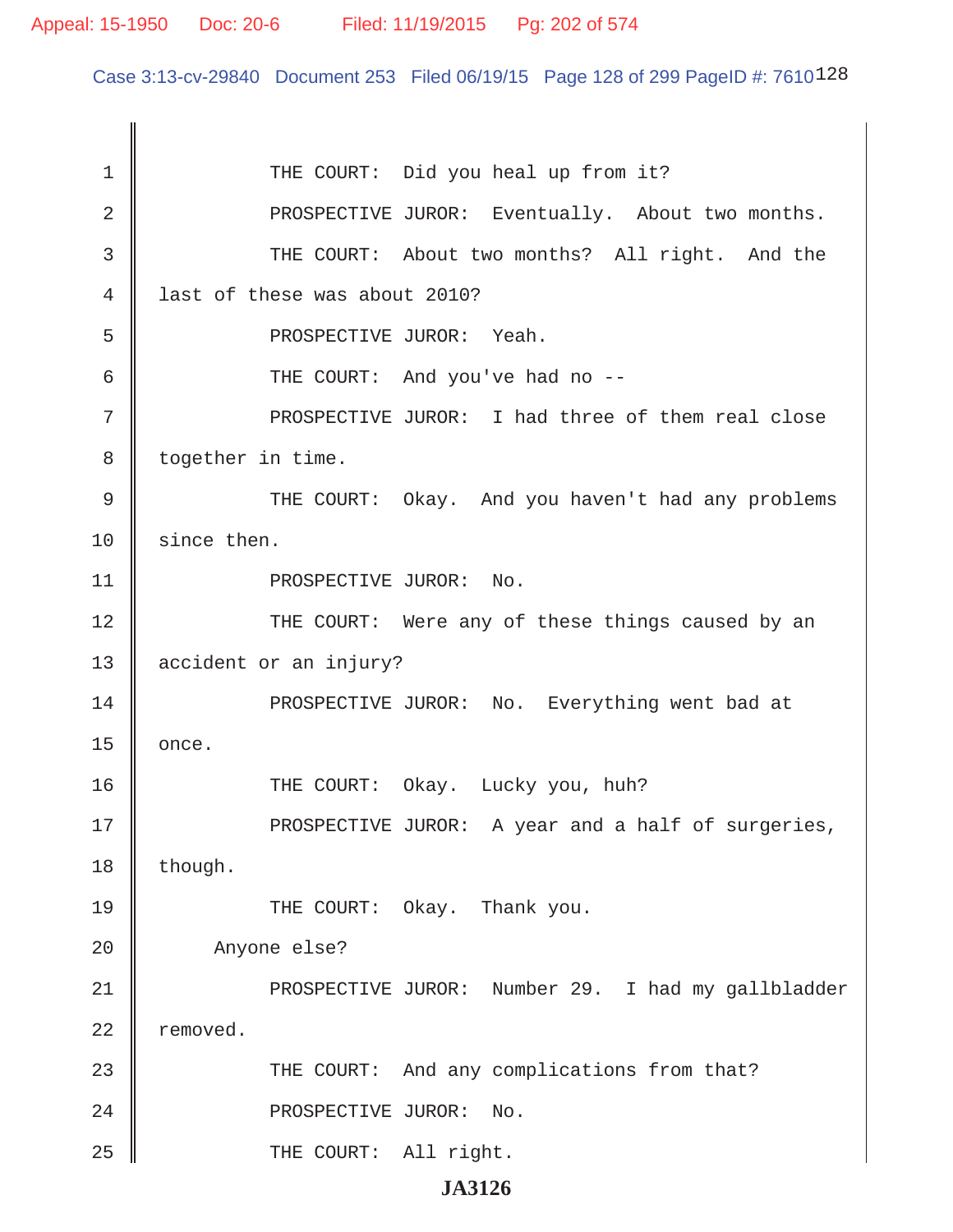Case 3:13-cv-29840 Document 253 Filed 06/19/15 Page 128 of 299 PageID #: 7610128

1 || THE COURT: Did you heal up from it? 2 || PROSPECTIVE JUROR: Eventually. About two months. 3 || THE COURT: About two months? All right. And the 4 I last of these was about 2010? 5 SUPEROSPECTIVE JUROR: Yeah. 6 THE COURT: And you've had no -- 7 || PROSPECTIVE JUROR: I had three of them real close 8 | together in time. 9 THE COURT: Okay. And you haven't had any problems 10 since then. 11 || PROSPECTIVE JUROR: No. 12 THE COURT: Were any of these things caused by an 13 accident or an injury? 14 || PROSPECTIVE JUROR: No. Everything went bad at  $15 \parallel$  once. 16 THE COURT: Okay. Lucky you, huh? 17 || PROSPECTIVE JUROR: A year and a half of surgeries,  $18$  | though. 19 **THE COURT:** Okay. Thank you. 20 Anyone else? 21 PROSPECTIVE JUROR: Number 29. I had my gallbladder 22 | removed. 23 || THE COURT: And any complications from that? 24 || PROSPECTIVE JUROR: No. 25 || THE COURT: All right.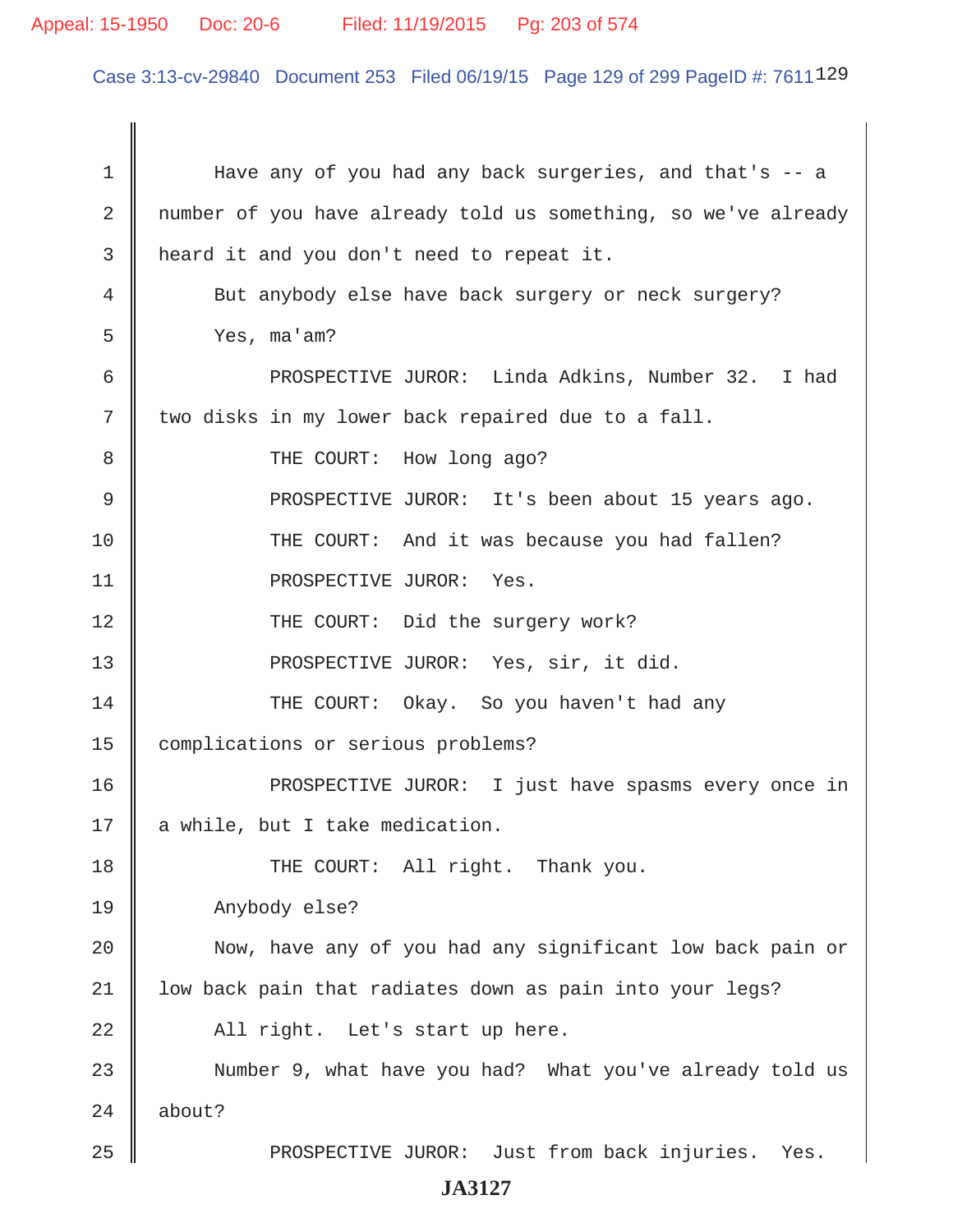# Appeal: 15-1950 Doc: 20-6 Filed: 11/19/2015 Pg: 203 of 574

Case 3:13-cv-29840 Document 253 Filed 06/19/15 Page 129 of 299 PageID #: 7611129

| $\mathbf 1$ | Have any of you had any back surgeries, and that's -- a        |
|-------------|----------------------------------------------------------------|
| 2           | number of you have already told us something, so we've already |
| 3           | heard it and you don't need to repeat it.                      |
| 4           | But anybody else have back surgery or neck surgery?            |
| 5           | Yes, ma'am?                                                    |
| 6           | PROSPECTIVE JUROR: Linda Adkins, Number 32. I had              |
| 7           | two disks in my lower back repaired due to a fall.             |
| 8           | THE COURT: How long ago?                                       |
| 9           | PROSPECTIVE JUROR: It's been about 15 years ago.               |
| 10          | THE COURT: And it was because you had fallen?                  |
| 11          | PROSPECTIVE JUROR: Yes.                                        |
| 12          | THE COURT: Did the surgery work?                               |
| 13          | PROSPECTIVE JUROR: Yes, sir, it did.                           |
| 14          | THE COURT: Okay. So you haven't had any                        |
| 15          | complications or serious problems?                             |
| 16          | PROSPECTIVE JUROR: I just have spasms every once in            |
| 17          | a while, but I take medication.                                |
| 18          | THE COURT: All right. Thank you.                               |
| 19          | Anybody else?                                                  |
| 20          | Now, have any of you had any significant low back pain or      |
| 21          | low back pain that radiates down as pain into your legs?       |
| 22          | All right. Let's start up here.                                |
| 23          | Number 9, what have you had? What you've already told us       |
| 24          | about?                                                         |
| 25          | PROSPECTIVE JUROR: Just from back injuries. Yes.               |
|             | <b>JA3127</b>                                                  |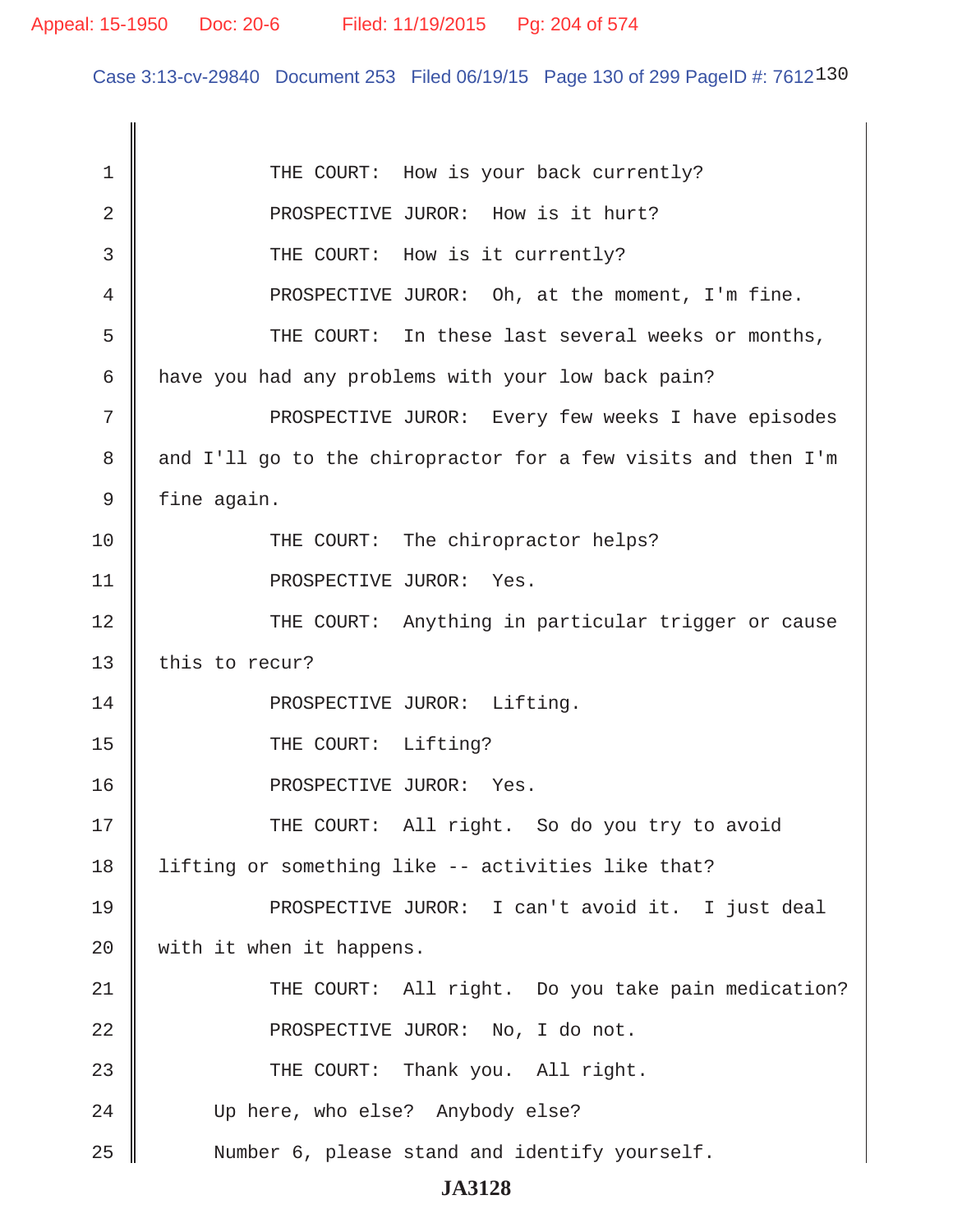Case 3:13-cv-29840 Document 253 Filed 06/19/15 Page 130 of 299 PageID #: 7612130

| 1  | THE COURT: How is your back currently?                        |
|----|---------------------------------------------------------------|
| 2  | PROSPECTIVE JUROR: How is it hurt?                            |
| 3  | THE COURT: How is it currently?                               |
| 4  | PROSPECTIVE JUROR: Oh, at the moment, I'm fine.               |
| 5  | THE COURT: In these last several weeks or months,             |
| 6  | have you had any problems with your low back pain?            |
| 7  | PROSPECTIVE JUROR: Every few weeks I have episodes            |
| 8  | and I'll go to the chiropractor for a few visits and then I'm |
| 9  | fine again.                                                   |
| 10 | THE COURT: The chiropractor helps?                            |
| 11 | PROSPECTIVE JUROR: Yes.                                       |
| 12 | THE COURT: Anything in particular trigger or cause            |
| 13 | this to recur?                                                |
| 14 | PROSPECTIVE JUROR: Lifting.                                   |
| 15 | THE COURT: Lifting?                                           |
| 16 | PROSPECTIVE JUROR: Yes.                                       |
| 17 | THE COURT: All right. So do you try to avoid                  |
| 18 | lifting or something like -- activities like that?            |
| 19 | PROSPECTIVE JUROR: I can't avoid it. I just deal              |
| 20 | with it when it happens.                                      |
| 21 | THE COURT: All right. Do you take pain medication?            |
| 22 | PROSPECTIVE JUROR: No, I do not.                              |
| 23 | THE COURT: Thank you. All right.                              |
| 24 | Up here, who else? Anybody else?                              |
| 25 | Number 6, please stand and identify yourself.                 |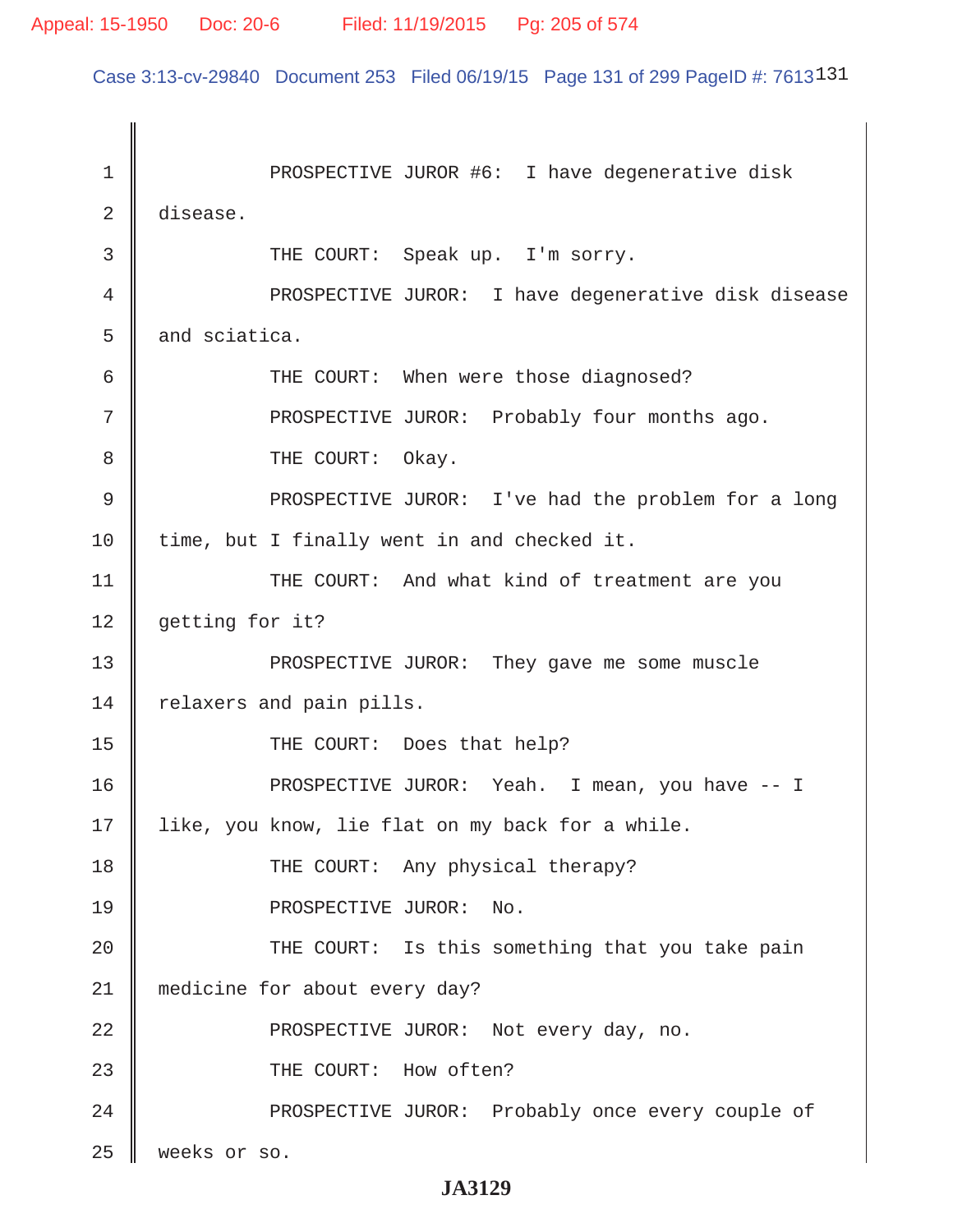Case 3:13-cv-29840 Document 253 Filed 06/19/15 Page 131 of 299 PageID #: 7613131

1 || PROSPECTIVE JUROR #6: I have degenerative disk 2 disease. 3 || THE COURT: Speak up. I'm sorry. 4 | PROSPECTIVE JUROR: I have degenerative disk disease  $5 \parallel$  and sciatica. 6 Guilden COURT: When were those diagnosed? 7 || PROSPECTIVE JUROR: Probably four months ago. 8 **B** THE COURT: Okay. 9 || PROSPECTIVE JUROR: I've had the problem for a long  $10$  | time, but I finally went in and checked it. 11 || THE COURT: And what kind of treatment are you 12 | getting for it? 13 || PROSPECTIVE JUROR: They gave me some muscle 14 | relaxers and pain pills. 15 || THE COURT: Does that help? 16 PROSPECTIVE JUROR: Yeah. I mean, you have -- I 17 || like, you know, lie flat on my back for a while. 18 THE COURT: Any physical therapy? 19 || PROSPECTIVE JUROR: No. 20 || THE COURT: Is this something that you take pain 21 medicine for about every day? 22 **PROSPECTIVE JUROR:** Not every day, no. 23 || THE COURT: How often? 24 PROSPECTIVE JUROR: Probably once every couple of 25 weeks or so.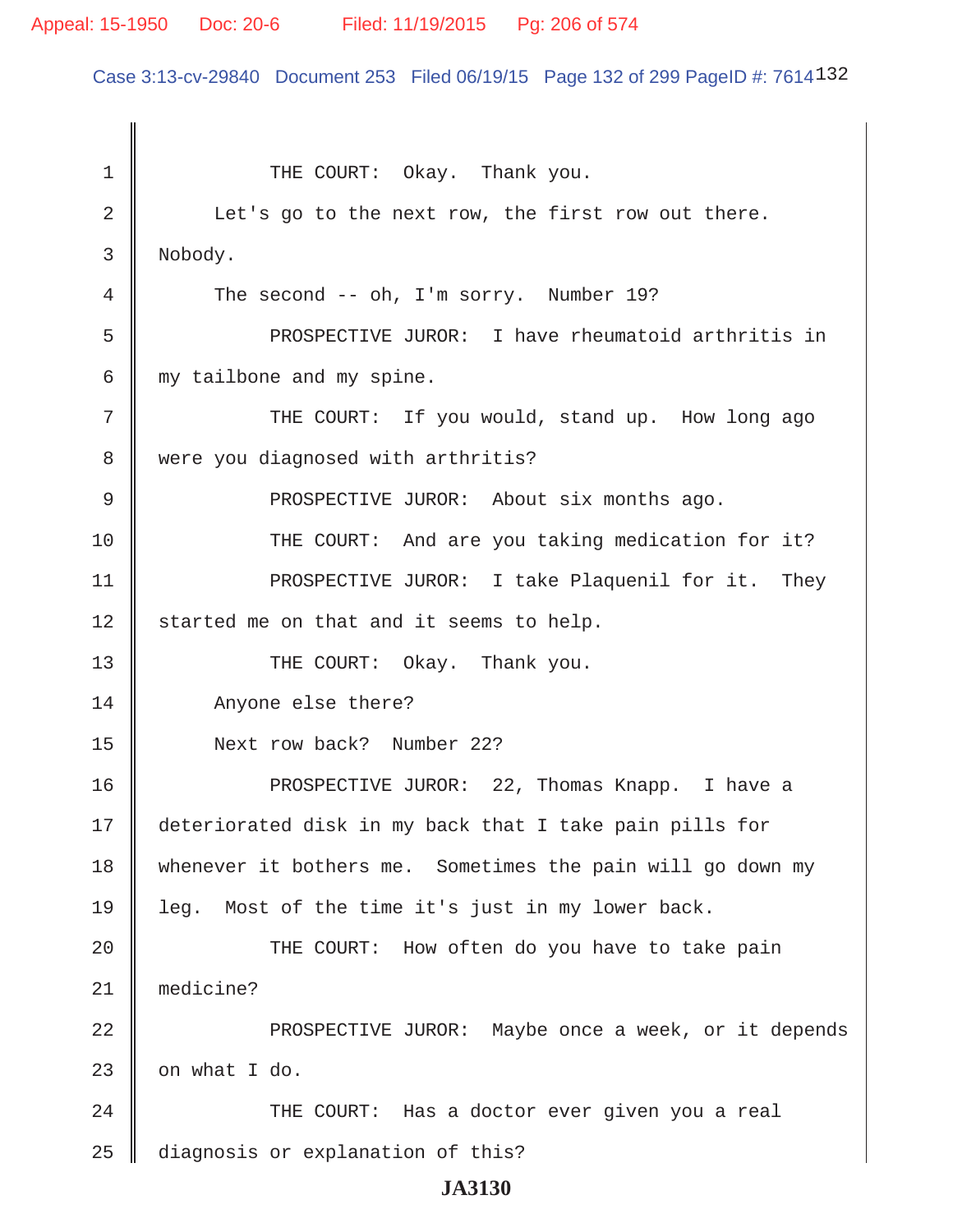# Appeal: 15-1950 Doc: 20-6 Filed: 11/19/2015 Pg: 206 of 574

Case 3:13-cv-29840 Document 253 Filed 06/19/15 Page 132 of 299 PageID #: 7614132

| 1  | THE COURT: Okay. Thank you.                                |
|----|------------------------------------------------------------|
| 2  | Let's go to the next row, the first row out there.         |
| 3  | Nobody.                                                    |
| 4  | The second -- oh, I'm sorry. Number 19?                    |
| 5  | PROSPECTIVE JUROR: I have rheumatoid arthritis in          |
| 6  | my tailbone and my spine.                                  |
| 7  | THE COURT: If you would, stand up. How long ago            |
| 8  | were you diagnosed with arthritis?                         |
| 9  | PROSPECTIVE JUROR: About six months ago.                   |
| 10 | THE COURT: And are you taking medication for it?           |
| 11 | PROSPECTIVE JUROR: I take Plaquenil for it. They           |
| 12 | started me on that and it seems to help.                   |
| 13 | THE COURT: Okay. Thank you.                                |
| 14 | Anyone else there?                                         |
| 15 | Next row back? Number 22?                                  |
| 16 | PROSPECTIVE JUROR: 22, Thomas Knapp. I have a              |
| 17 | deteriorated disk in my back that I take pain pills for    |
| 18 | whenever it bothers me. Sometimes the pain will go down my |
| 19 | leg. Most of the time it's just in my lower back.          |
| 20 | THE COURT: How often do you have to take pain              |
| 21 | medicine?                                                  |
| 22 | PROSPECTIVE JUROR: Maybe once a week, or it depends        |
| 23 | on what I do.                                              |
| 24 | THE COURT: Has a doctor ever given you a real              |
| 25 | diagnosis or explanation of this?                          |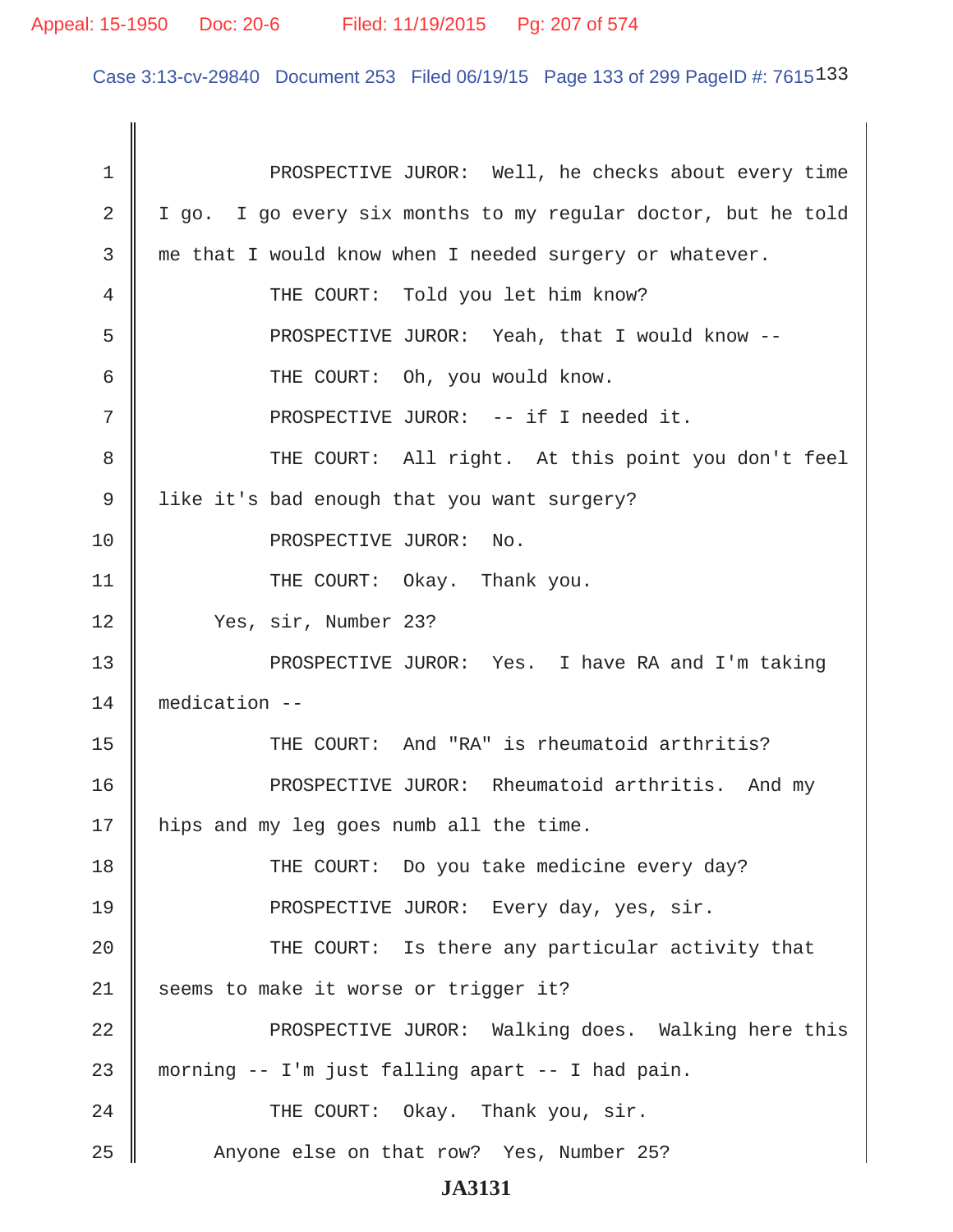# Appeal: 15-1950 Doc: 20-6 Filed: 11/19/2015 Pg: 207 of 574

Case 3:13-cv-29840 Document 253 Filed 06/19/15 Page 133 of 299 PageID #: 7615133

| 1  | PROSPECTIVE JUROR: Well, he checks about every time           |
|----|---------------------------------------------------------------|
| 2  | I go. I go every six months to my regular doctor, but he told |
| 3  | me that I would know when I needed surgery or whatever.       |
| 4  | THE COURT: Told you let him know?                             |
| 5  | PROSPECTIVE JUROR: Yeah, that I would know --                 |
| 6  | THE COURT: Oh, you would know.                                |
| 7  | PROSPECTIVE JUROR: -- if I needed it.                         |
| 8  | THE COURT: All right. At this point you don't feel            |
| 9  | like it's bad enough that you want surgery?                   |
| 10 | PROSPECTIVE JUROR: No.                                        |
| 11 | THE COURT: Okay. Thank you.                                   |
| 12 | Yes, sir, Number 23?                                          |
| 13 | PROSPECTIVE JUROR: Yes. I have RA and I'm taking              |
| 14 | medication --                                                 |
| 15 | THE COURT: And "RA" is rheumatoid arthritis?                  |
| 16 | PROSPECTIVE JUROR: Rheumatoid arthritis. And my               |
| 17 | hips and my leg goes numb all the time.                       |
| 18 | THE COURT: Do you take medicine every day?                    |
| 19 | PROSPECTIVE JUROR: Every day, yes, sir.                       |
| 20 | THE COURT: Is there any particular activity that              |
| 21 | seems to make it worse or trigger it?                         |
| 22 | PROSPECTIVE JUROR: Walking does. Walking here this            |
| 23 | morning -- I'm just falling apart -- I had pain.              |
| 24 | THE COURT: Okay. Thank you, sir.                              |
| 25 | Anyone else on that row? Yes, Number 25?                      |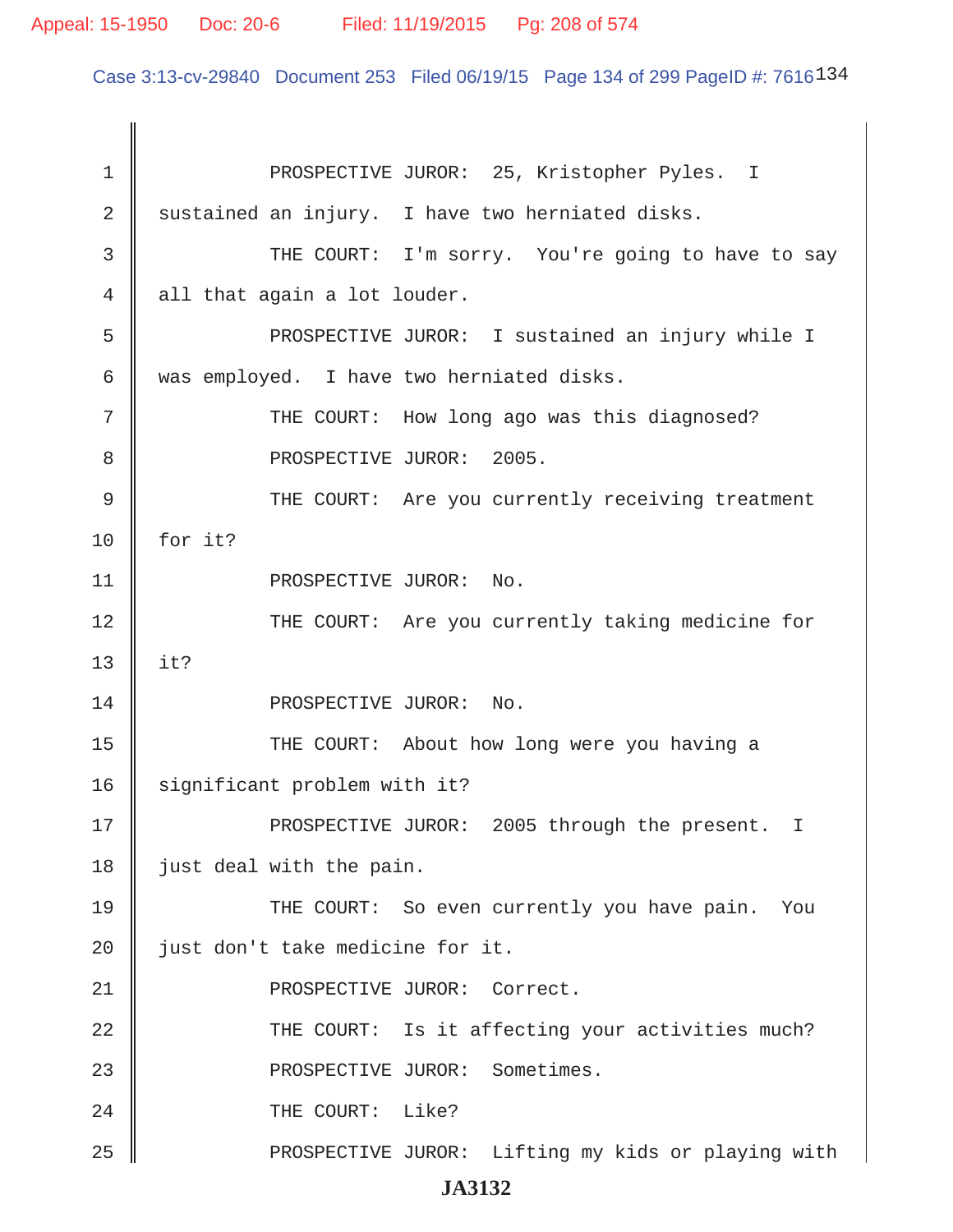Case 3:13-cv-29840 Document 253 Filed 06/19/15 Page 134 of 299 PageID #: 7616<sup>134</sup>

| 1  | PROSPECTIVE JUROR: 25, Kristopher Pyles. I         |
|----|----------------------------------------------------|
| 2  | sustained an injury. I have two herniated disks.   |
| 3  | THE COURT: I'm sorry. You're going to have to say  |
| 4  | all that again a lot louder.                       |
| 5  | PROSPECTIVE JUROR: I sustained an injury while I   |
| 6  | was employed. I have two herniated disks.          |
| 7  | THE COURT: How long ago was this diagnosed?        |
| 8  | PROSPECTIVE JUROR: 2005.                           |
| 9  | THE COURT: Are you currently receiving treatment   |
| 10 | for it?                                            |
| 11 | PROSPECTIVE JUROR:<br>No.                          |
| 12 | THE COURT: Are you currently taking medicine for   |
| 13 | it?                                                |
| 14 | PROSPECTIVE JUROR:<br>No.                          |
| 15 | THE COURT: About how long were you having a        |
| 16 | significant problem with it?                       |
| 17 | PROSPECTIVE JUROR: 2005 through the present. I     |
| 18 | just deal with the pain.                           |
| 19 | THE COURT: So even currently you have pain.<br>You |
| 20 | just don't take medicine for it.                   |
| 21 | PROSPECTIVE JUROR: Correct.                        |
| 22 | THE COURT: Is it affecting your activities much?   |
| 23 | PROSPECTIVE JUROR: Sometimes.                      |
| 24 | THE COURT: Like?                                   |
| 25 | PROSPECTIVE JUROR: Lifting my kids or playing with |
|    |                                                    |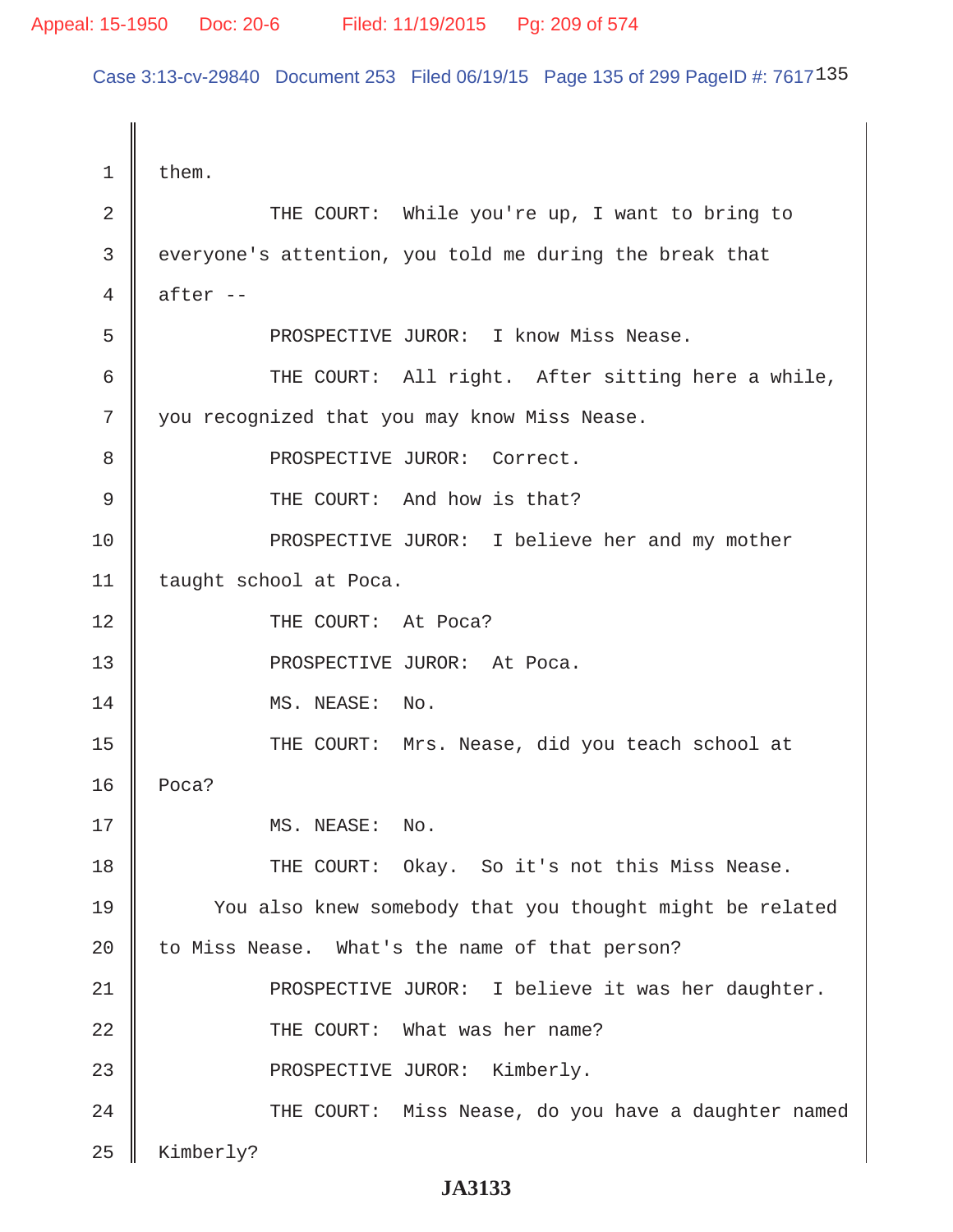Case 3:13-cv-29840 Document 253 Filed 06/19/15 Page 135 of 299 PageID #: 7617135

 $1 \parallel$  them. 2 || THE COURT: While you're up, I want to bring to 3 everyone's attention, you told me during the break that 4 after -- 5 PROSPECTIVE JUROR: I know Miss Nease. 6  $\parallel$  THE COURT: All right. After sitting here a while, 7 || you recognized that you may know Miss Nease. 8 || PROSPECTIVE JUROR: Correct. 9 || THE COURT: And how is that? 10 || PROSPECTIVE JUROR: I believe her and my mother 11 | taught school at Poca. 12 || THE COURT: At Poca? 13 || PROSPECTIVE JUROR: At Poca. 14 || MS. NEASE: No. 15 || THE COURT: Mrs. Nease, did you teach school at 16 Poca? 17 || MS. NEASE: No. 18 THE COURT: Okay. So it's not this Miss Nease. 19 || You also knew somebody that you thought might be related  $20$  to Miss Nease. What's the name of that person? 21 || PROSPECTIVE JUROR: I believe it was her daughter. 22 || THE COURT: What was her name? 23 || PROSPECTIVE JUROR: Kimberly. 24 THE COURT: Miss Nease, do you have a daughter named  $25$  | Kimberly?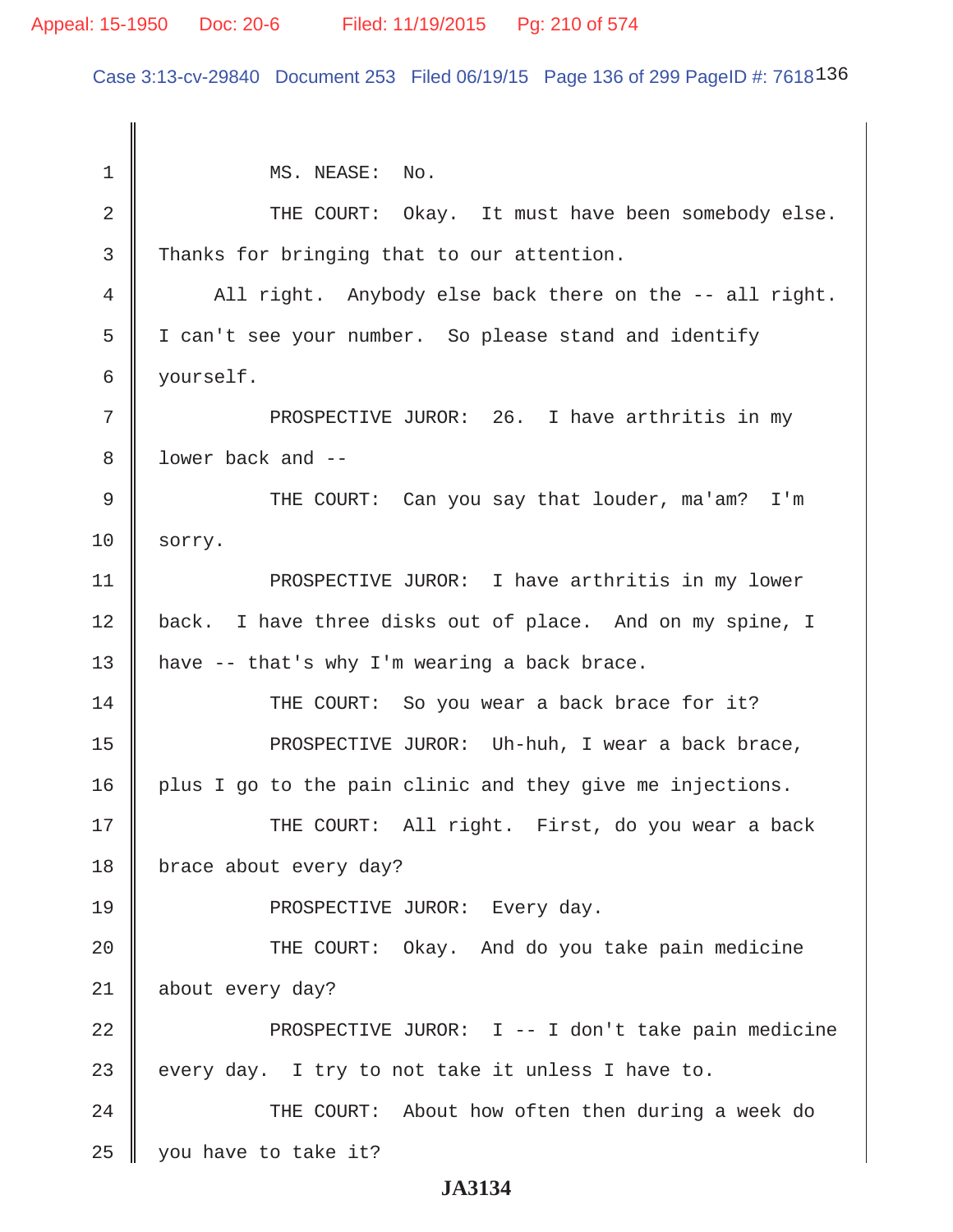# Appeal: 15-1950 Doc: 20-6 Filed: 11/19/2015 Pg: 210 of 574

Case 3:13-cv-29840 Document 253 Filed 06/19/15 Page 136 of 299 PageID #: 7618136

| $\mathbf 1$ | MS. NEASE: No.                                            |
|-------------|-----------------------------------------------------------|
| 2           | THE COURT: Okay. It must have been somebody else.         |
| 3           | Thanks for bringing that to our attention.                |
| 4           | All right. Anybody else back there on the -- all right.   |
| 5           | I can't see your number. So please stand and identify     |
| 6           | yourself.                                                 |
| 7           | PROSPECTIVE JUROR: 26. I have arthritis in my             |
| 8           | lower back and --                                         |
| $\mathsf 9$ | THE COURT: Can you say that louder, ma'am?<br>I'm         |
| 10          | sorry.                                                    |
| 11          | PROSPECTIVE JUROR: I have arthritis in my lower           |
| 12          | back. I have three disks out of place. And on my spine, I |
| 13          | have -- that's why I'm wearing a back brace.              |
| 14          | THE COURT: So you wear a back brace for it?               |
| 15          | PROSPECTIVE JUROR: Uh-huh, I wear a back brace,           |
| 16          | plus I go to the pain clinic and they give me injections. |
| 17          | THE COURT: All right. First, do you wear a back           |
| 18          | brace about every day?                                    |
| 19          | PROSPECTIVE JUROR: Every day.                             |
| 20          | THE COURT: Okay. And do you take pain medicine            |
| 21          | about every day?                                          |
| 22          | PROSPECTIVE JUROR: I -- I don't take pain medicine        |
| 23          | every day. I try to not take it unless I have to.         |
| 24          | THE COURT: About how often then during a week do          |
| 25          | you have to take it?                                      |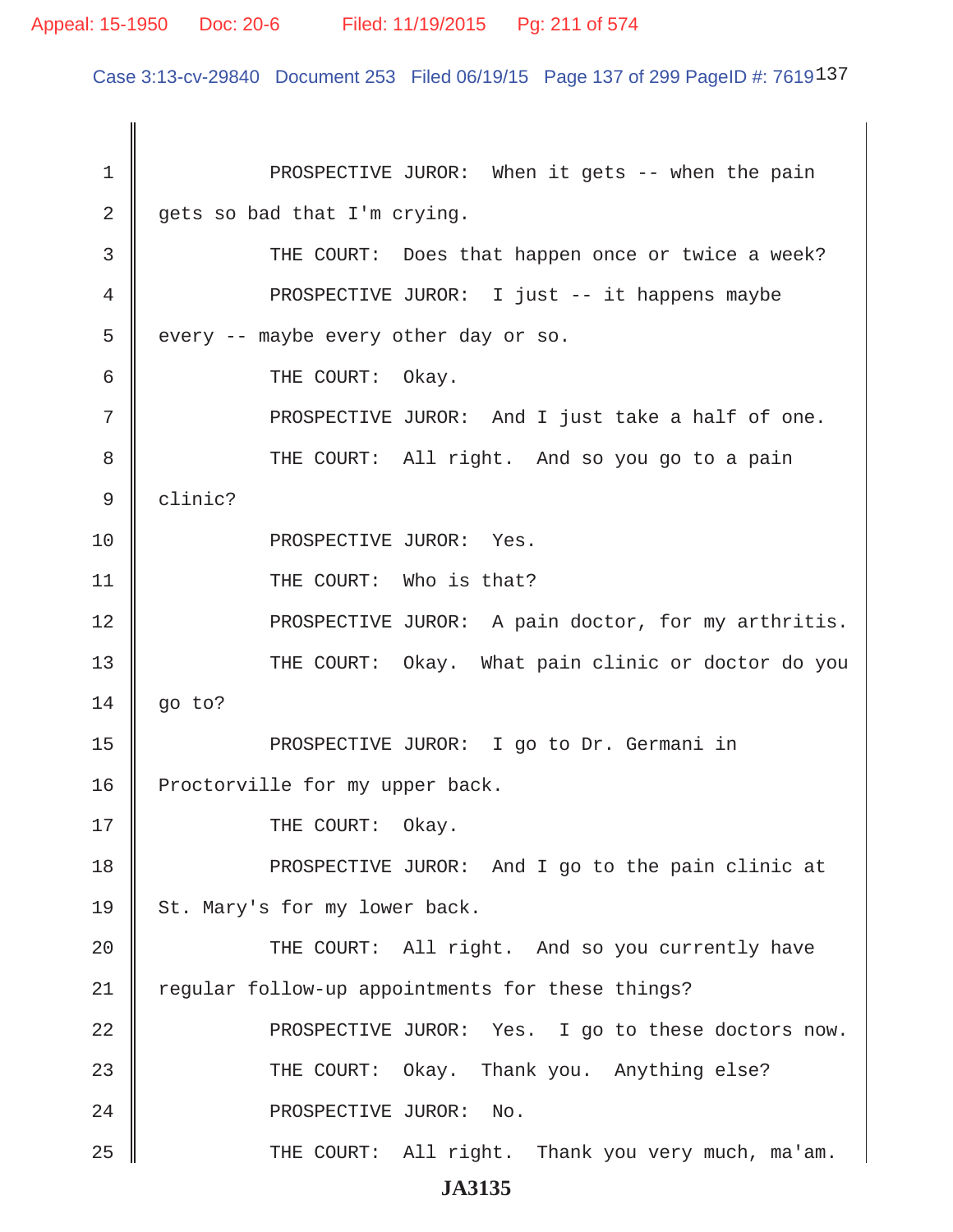Case 3:13-cv-29840 Document 253 Filed 06/19/15 Page 137 of 299 PageID #: 7619137

1 || PROSPECTIVE JUROR: When it gets -- when the pain  $2 \parallel$  gets so bad that I'm crying. 3 THE COURT: Does that happen once or twice a week? 4 PROSPECTIVE JUROR: I just -- it happens maybe  $5 \parallel$  every -- maybe every other day or so. 6 **6** THE COURT: Okay.  $7$  || PROSPECTIVE JUROR: And I just take a half of one. 8 THE COURT: All right. And so you go to a pain 9 clinic? 10 || PROSPECTIVE JUROR: Yes. 11 || THE COURT: Who is that? 12 || PROSPECTIVE JUROR: A pain doctor, for my arthritis. 13 THE COURT: Okay. What pain clinic or doctor do you  $14 \parallel$  go to? 15 || PROSPECTIVE JUROR: I go to Dr. Germani in 16 | Proctorville for my upper back. 17 || THE COURT: Okay. 18 PROSPECTIVE JUROR: And I go to the pain clinic at 19 || St. Mary's for my lower back. 20 THE COURT: All right. And so you currently have 21 | regular follow-up appointments for these things? 22 || PROSPECTIVE JUROR: Yes. I go to these doctors now. 23 THE COURT: Okay. Thank you. Anything else? 24 || PROSPECTIVE JUROR: No. 25 THE COURT: All right. Thank you very much, ma'am.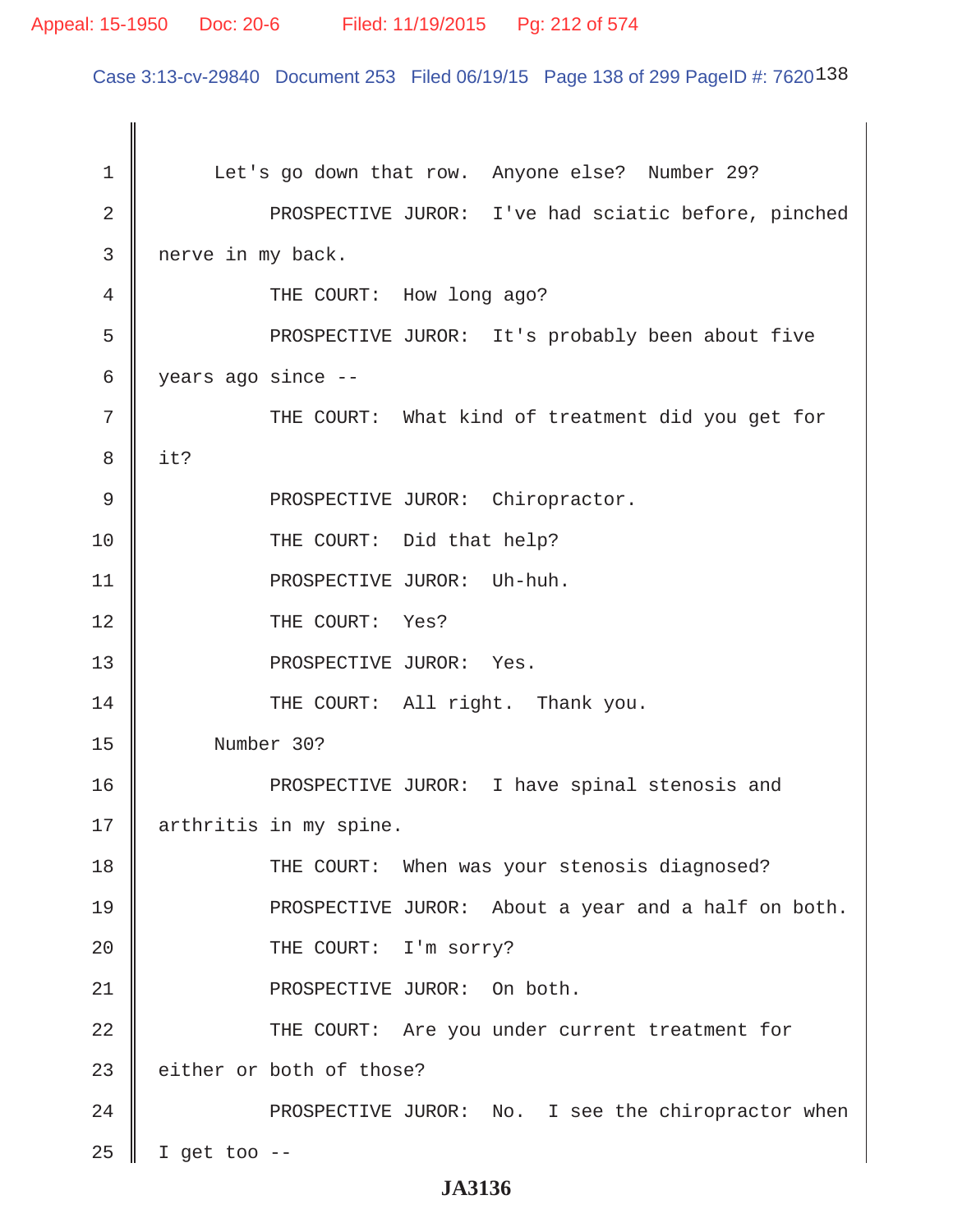### Appeal: 15-1950 Doc: 20-6 Filed: 11/19/2015 Pg: 212 of 574

Case 3:13-cv-29840 Document 253 Filed 06/19/15 Page 138 of 299 PageID #: 7620138

1 | Let's go down that row. Anyone else? Number 29? 2 || PROSPECTIVE JUROR: I've had sciatic before, pinched 3 nerve in my back. 4 **THE COURT:** How long ago? 5 || PROSPECTIVE JUROR: It's probably been about five 6 years ago since -- 7 || THE COURT: What kind of treatment did you get for 8 it? 9 || PROSPECTIVE JUROR: Chiropractor. 10 THE COURT: Did that help? 11 || PROSPECTIVE JUROR: Uh-huh. 12 || THE COURT: Yes? 13 || PROSPECTIVE JUROR: Yes. 14 || THE COURT: All right. Thank you. 15 Number 30? 16 PROSPECTIVE JUROR: I have spinal stenosis and 17 | arthritis in my spine. 18 || THE COURT: When was your stenosis diagnosed? 19 PROSPECTIVE JUROR: About a year and a half on both. 20 || THE COURT: I'm sorry? 21 || PROSPECTIVE JUROR: On both. 22 THE COURT: Are you under current treatment for  $23$  either or both of those? 24 || PROSPECTIVE JUROR: No. I see the chiropractor when  $25$  | I get too --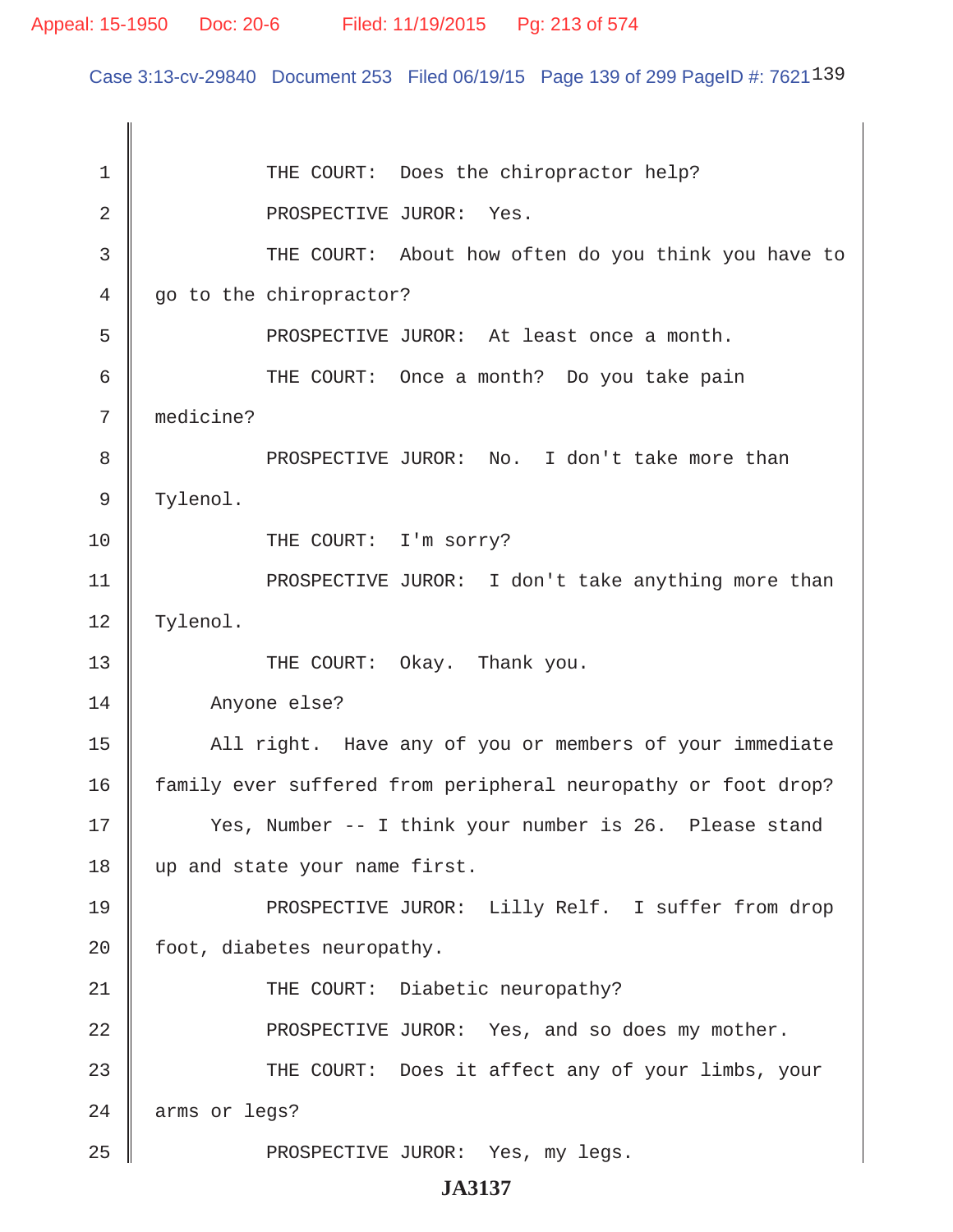Case 3:13-cv-29840 Document 253 Filed 06/19/15 Page 139 of 299 PageID #: 7621139

1 THE COURT: Does the chiropractor help? 2 || PROSPECTIVE JUROR: Yes. 3 THE COURT: About how often do you think you have to 4 go to the chiropractor? 5 PROSPECTIVE JUROR: At least once a month. 6 || THE COURT: Once a month? Do you take pain 7 medicine? 8 || PROSPECTIVE JUROR: No. I don't take more than 9 | Tylenol. 10 THE COURT: I'm sorry? 11 || PROSPECTIVE JUROR: I don't take anything more than 12 | Tylenol. 13 || THE COURT: Okay. Thank you. 14 Anyone else? 15 | All right. Have any of you or members of your immediate 16 family ever suffered from peripheral neuropathy or foot drop? 17 || Yes, Number -- I think your number is 26. Please stand 18 up and state your name first. 19 || PROSPECTIVE JUROR: Lilly Relf. I suffer from drop 20  $\parallel$  foot, diabetes neuropathy. 21 || THE COURT: Diabetic neuropathy? 22 **PROSPECTIVE JUROR:** Yes, and so does my mother. 23 THE COURT: Does it affect any of your limbs, your 24 arms or legs? 25 || PROSPECTIVE JUROR: Yes, my legs.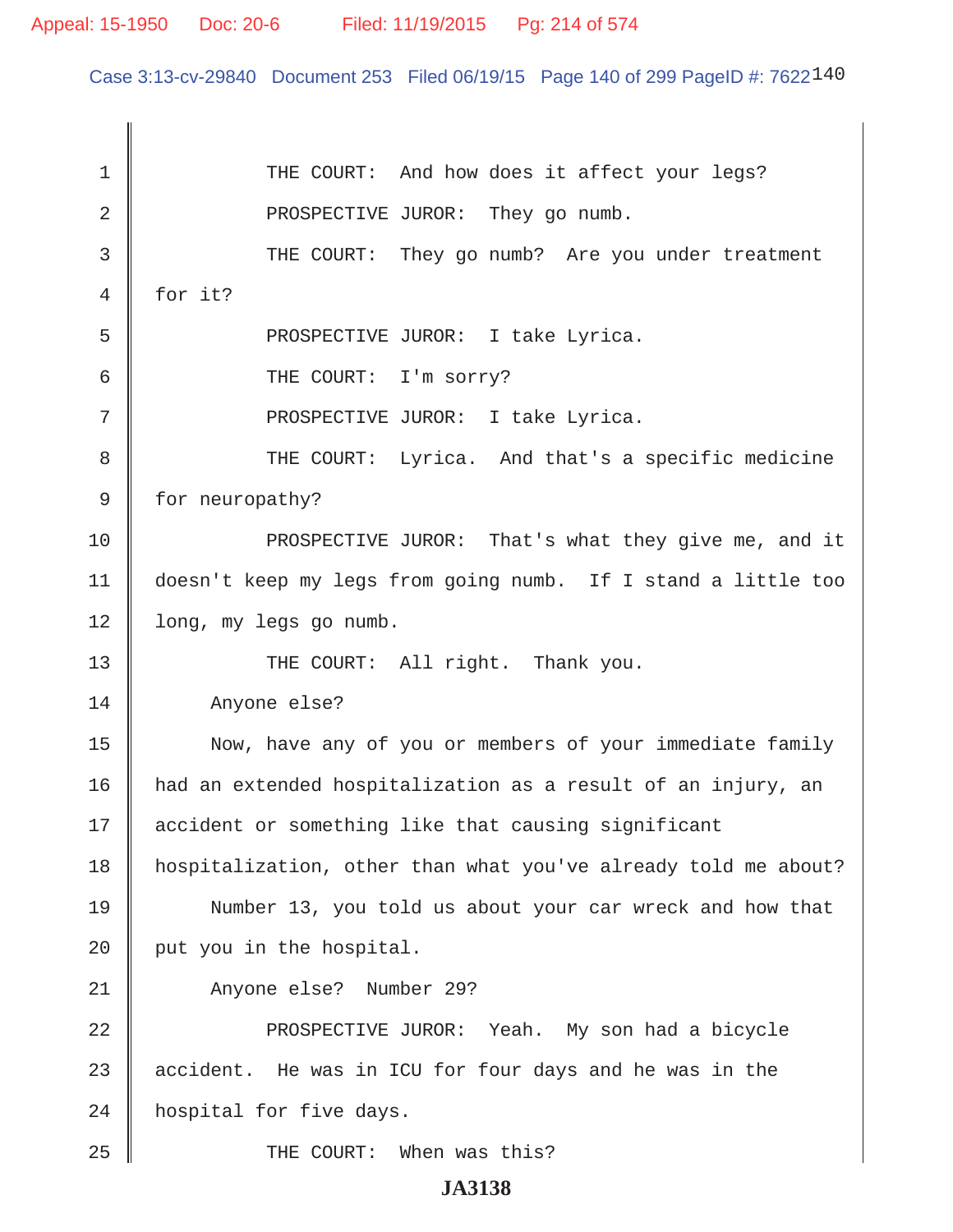Case 3:13-cv-29840 Document 253 Filed 06/19/15 Page 140 of 299 PageID #: 7622140

1 THE COURT: And how does it affect your legs? 2 **Quarter 2** PROSPECTIVE JUROR: They go numb. 3 THE COURT: They go numb? Are you under treatment 4 for it? 5 || PROSPECTIVE JUROR: I take Lyrica. 6 GURT: I'm sorry? 7 || PROSPECTIVE JUROR: I take Lyrica. 8 || THE COURT: Lyrica. And that's a specific medicine 9 | for neuropathy? 10 **PROSPECTIVE JUROR:** That's what they give me, and it 11 doesn't keep my legs from going numb. If I stand a little too 12 | long, my legs go numb. 13 || THE COURT: All right. Thank you. 14 Anyone else? 15 || Now, have any of you or members of your immediate family 16 had an extended hospitalization as a result of an injury, an 17 || accident or something like that causing significant 18 hospitalization, other than what you've already told me about? 19 Number 13, you told us about your car wreck and how that 20  $\parallel$  put you in the hospital. 21 || Anyone else? Number 29? 22 || PROSPECTIVE JUROR: Yeah. My son had a bicycle 23  $\parallel$  accident. He was in ICU for four days and he was in the 24 | hospital for five days. 25 || THE COURT: When was this?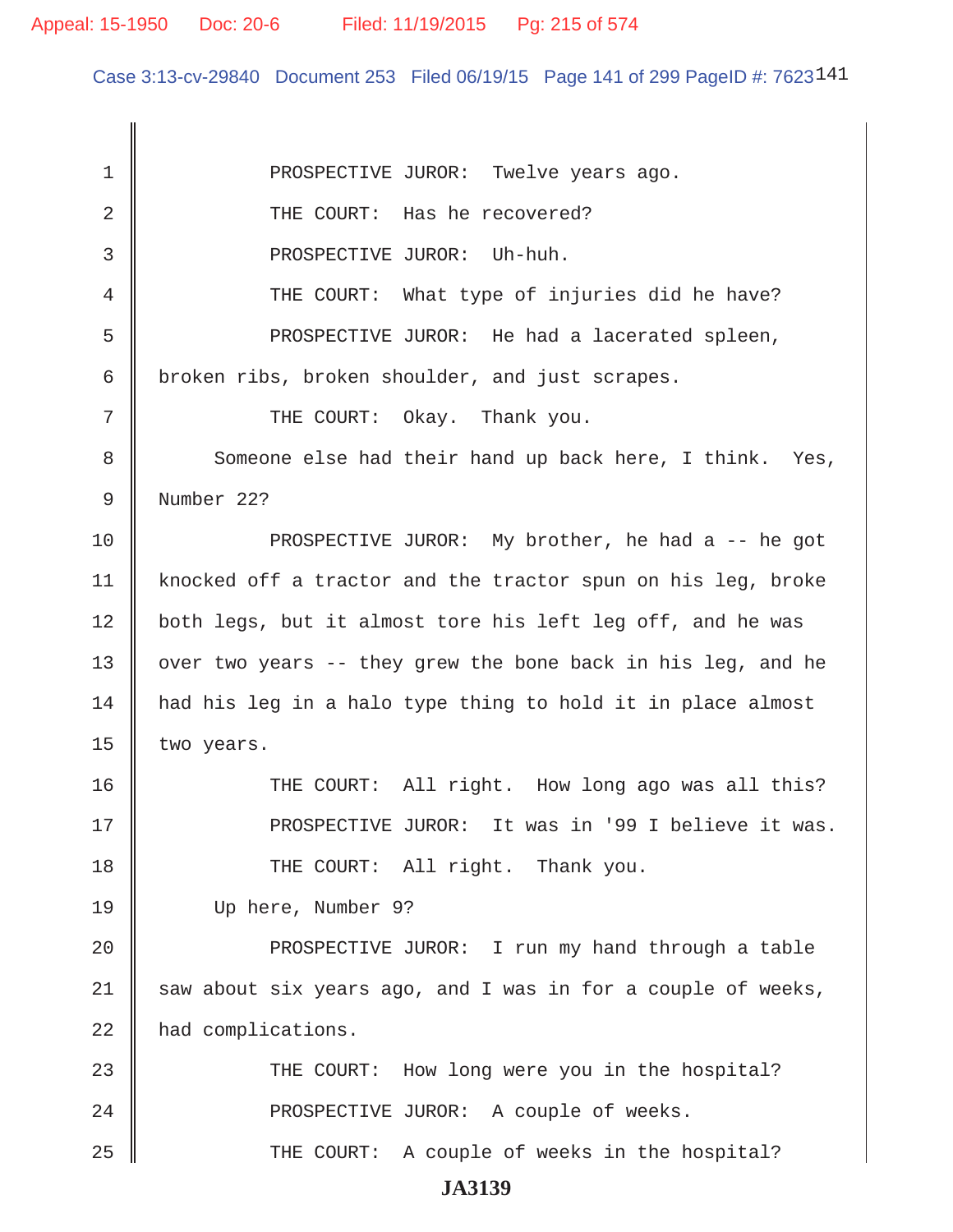Case 3:13-cv-29840 Document 253 Filed 06/19/15 Page 141 of 299 PageID #: 7623141

1 || PROSPECTIVE JUROR: Twelve years ago. 2 **I** THE COURT: Has he recovered? 3 || PROSPECTIVE JUROR: Uh-huh. 4 THE COURT: What type of injuries did he have? 5 Supersect PROSPECTIVE JUROR: He had a lacerated spleen, 6 broken ribs, broken shoulder, and just scrapes. 7 THE COURT: Okay. Thank you. 8 Someone else had their hand up back here, I think. Yes, 9 Number 22? 10 || PROSPECTIVE JUROR: My brother, he had a -- he got 11 | knocked off a tractor and the tractor spun on his leg, broke 12 | both legs, but it almost tore his left leg off, and he was 13  $\parallel$  over two years -- they grew the bone back in his leg, and he  $14$  had his leg in a halo type thing to hold it in place almost 15  $\parallel$  two years. 16 THE COURT: All right. How long ago was all this? 17 PROSPECTIVE JUROR: It was in '99 I believe it was. 18 || THE COURT: All right. Thank you. 19 Up here, Number 9? 20 PROSPECTIVE JUROR: I run my hand through a table  $21$  saw about six years ago, and I was in for a couple of weeks, 22 | had complications. 23 THE COURT: How long were you in the hospital? 24 || PROSPECTIVE JUROR: A couple of weeks. 25 THE COURT: A couple of weeks in the hospital?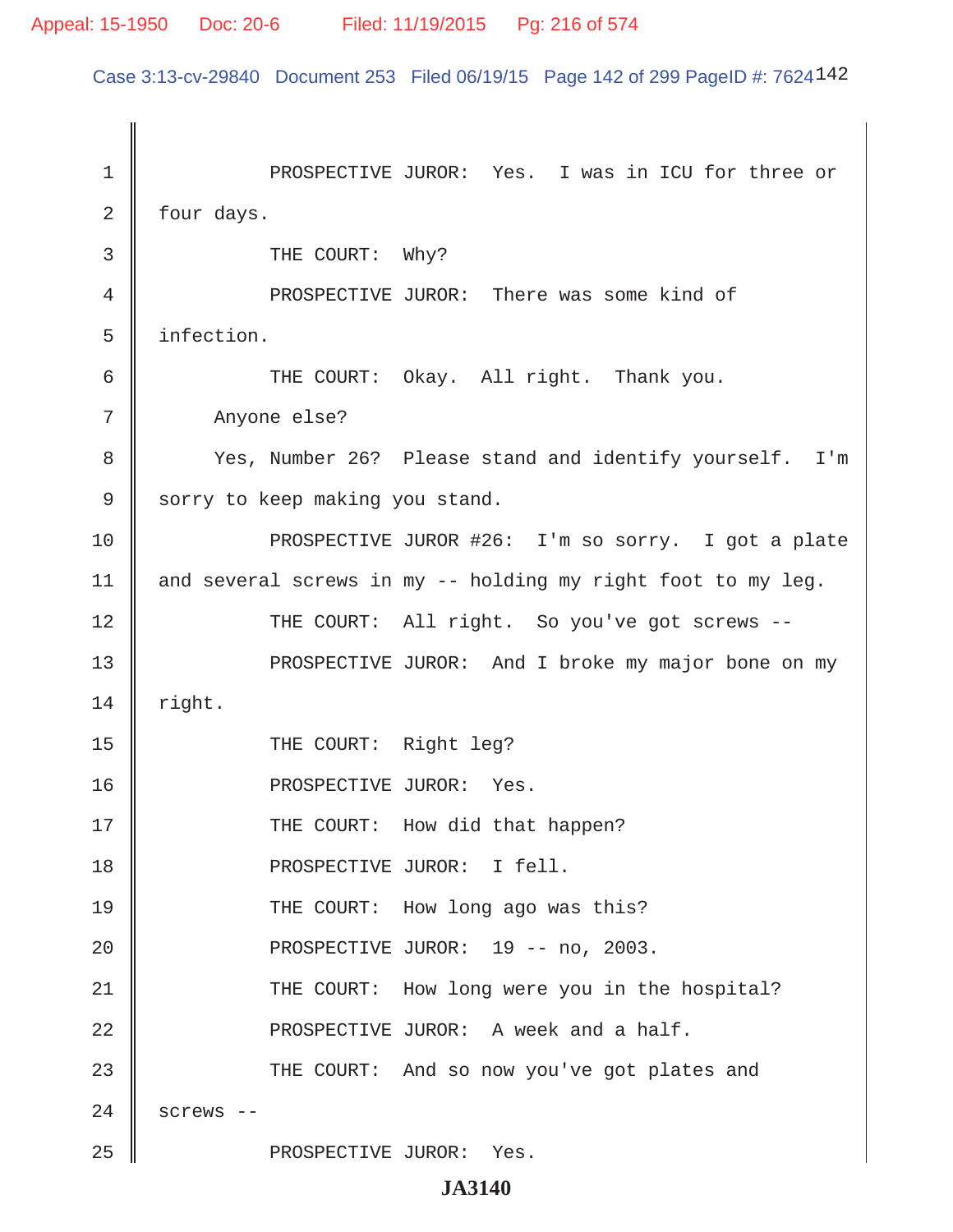Case 3:13-cv-29840 Document 253 Filed 06/19/15 Page 142 of 299 PageID #: 7624142

| 1  | PROSPECTIVE JUROR: Yes. I was in ICU for three or            |
|----|--------------------------------------------------------------|
| 2  | four days.                                                   |
| 3  | THE COURT: Why?                                              |
| 4  | PROSPECTIVE JUROR: There was some kind of                    |
| 5  | infection.                                                   |
| 6  | THE COURT: Okay. All right. Thank you.                       |
| 7  | Anyone else?                                                 |
| 8  | Yes, Number 26? Please stand and identify yourself. I'm      |
| 9  | sorry to keep making you stand.                              |
| 10 | PROSPECTIVE JUROR #26: I'm so sorry. I got a plate           |
| 11 | and several screws in my -- holding my right foot to my leg. |
| 12 | THE COURT: All right. So you've got screws --                |
| 13 | PROSPECTIVE JUROR: And I broke my major bone on my           |
| 14 | right.                                                       |
| 15 | THE COURT: Right leg?                                        |
| 16 | PROSPECTIVE JUROR: Yes.                                      |
| 17 | THE COURT: How did that happen?                              |
| 18 | PROSPECTIVE JUROR: I fell.                                   |
| 19 | THE COURT: How long ago was this?                            |
| 20 | PROSPECTIVE JUROR: 19 -- no, 2003.                           |
| 21 | THE COURT: How long were you in the hospital?                |
| 22 | PROSPECTIVE JUROR: A week and a half.                        |
| 23 | THE COURT: And so now you've got plates and                  |
| 24 | screws --                                                    |
| 25 | PROSPECTIVE JUROR: Yes.                                      |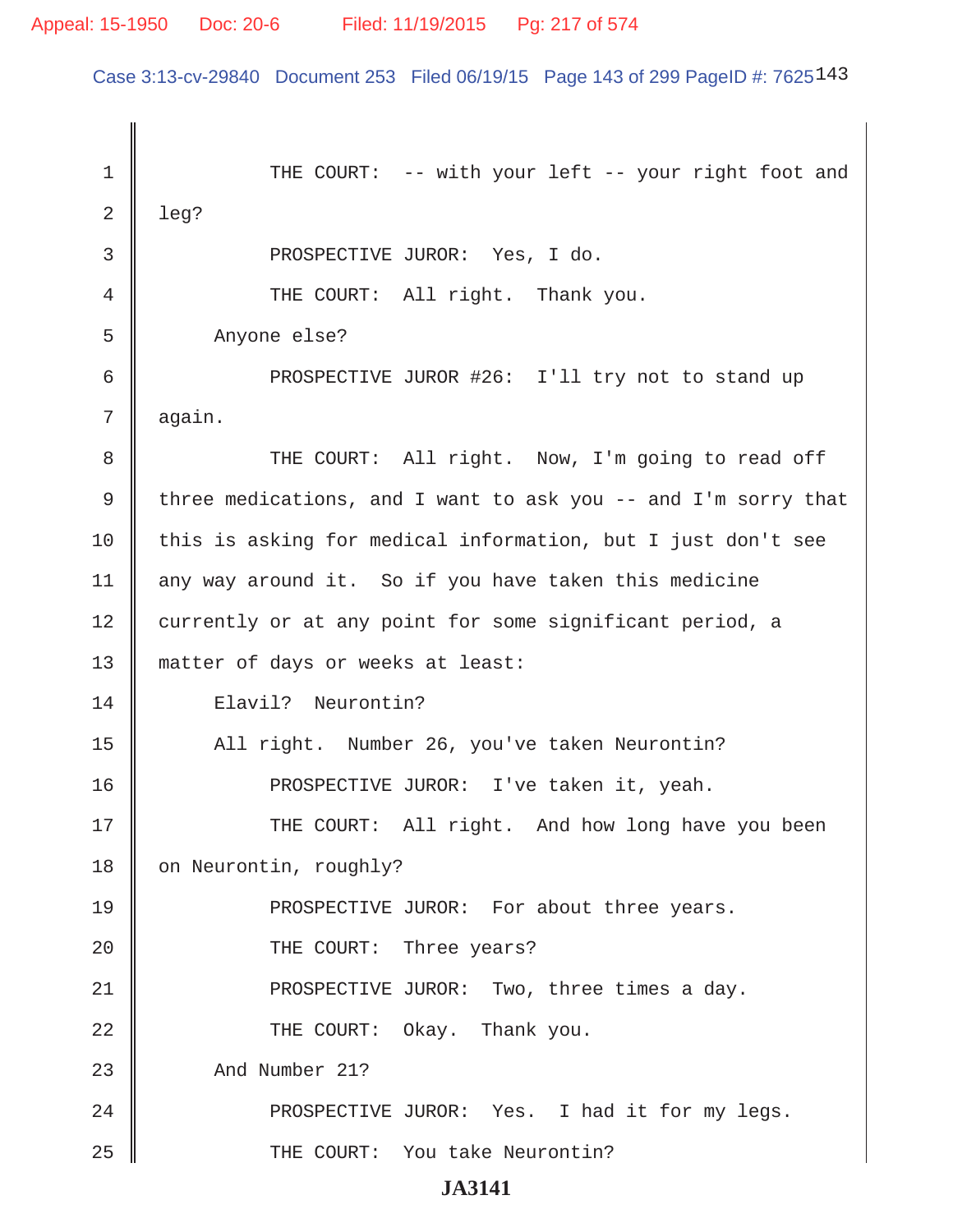Case 3:13-cv-29840 Document 253 Filed 06/19/15 Page 143 of 299 PageID #: 7625143

1 || THE COURT: -- with your left -- your right foot and  $2 \parallel$  leg? 3 || PROSPECTIVE JUROR: Yes, I do. 4 || THE COURT: All right. Thank you. 5 Anyone else? 6 || PROSPECTIVE JUROR #26: I'll try not to stand up  $7 \parallel$  again. 8 THE COURT: All right. Now, I'm going to read off 9 three medications, and I want to ask you  $-$  and I'm sorry that 10 this is asking for medical information, but I just don't see 11 | any way around it. So if you have taken this medicine 12 currently or at any point for some significant period, a 13 matter of days or weeks at least: 14 Elavil? Neurontin? 15 | All right. Number 26, you've taken Neurontin? 16 || PROSPECTIVE JUROR: I've taken it, yeah. 17 THE COURT: All right. And how long have you been 18 | on Neurontin, roughly? 19 **PROSPECTIVE JUROR:** For about three years. 20 **THE COURT:** Three years? 21 || PROSPECTIVE JUROR: Two, three times a day. 22 || THE COURT: Okay. Thank you. 23 And Number 21? 24 PROSPECTIVE JUROR: Yes. I had it for my legs. 25 || THE COURT: You take Neurontin?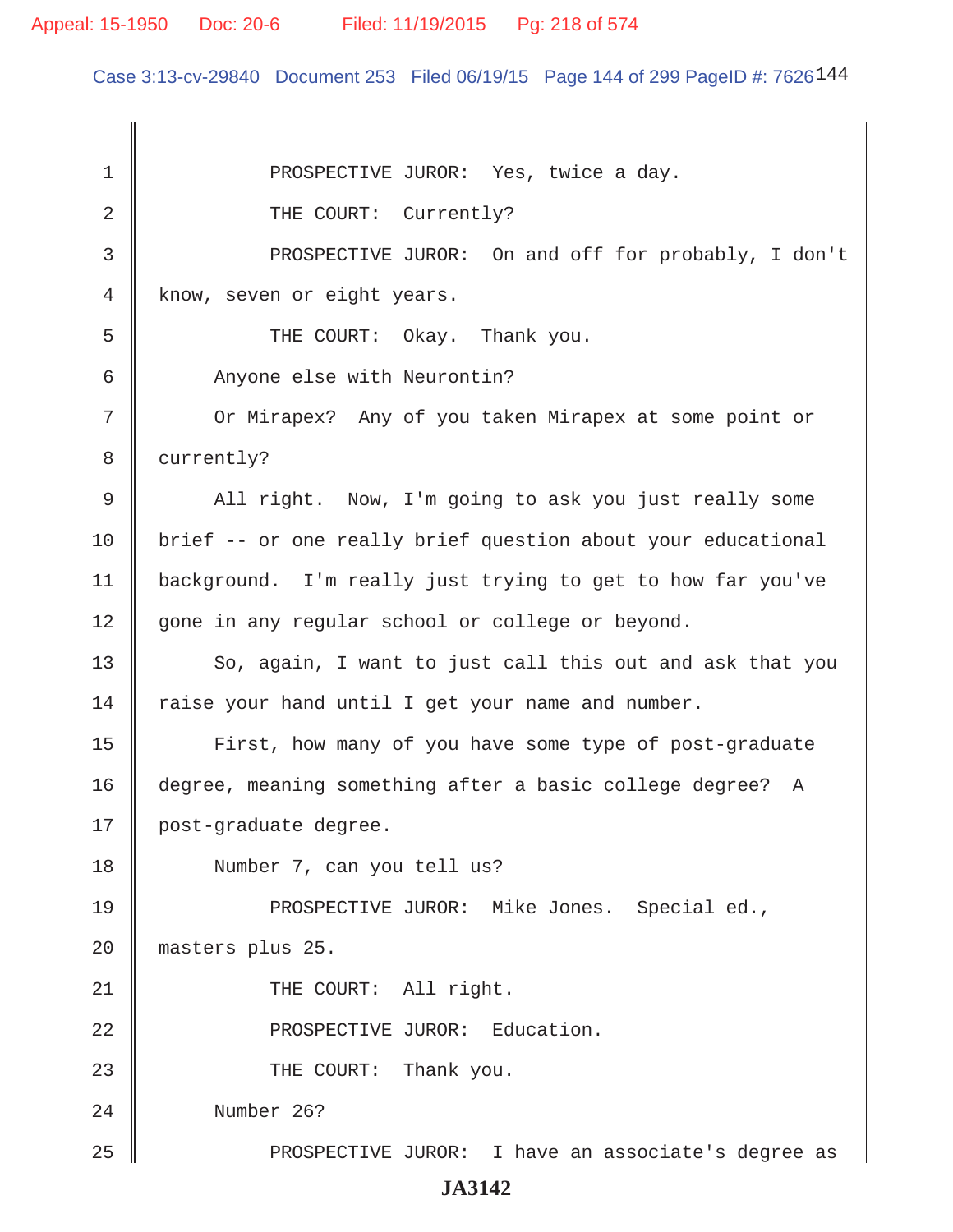Case 3:13-cv-29840 Document 253 Filed 06/19/15 Page 144 of 299 PageID #: 7626144

1 || PROSPECTIVE JUROR: Yes, twice a day. 2 **CAULA 2** THE COURT: Currently? 3 PROSPECTIVE JUROR: On and off for probably, I don't 4 know, seven or eight years.  $5 \parallel$  THE COURT: Okay. Thank you. 6 || Anyone else with Neurontin? 7 || Or Mirapex? Any of you taken Mirapex at some point or 8 | currently? 9 All right. Now, I'm going to ask you just really some 10 | brief -- or one really brief question about your educational 11 background. I'm really just trying to get to how far you've 12 gone in any regular school or college or beyond.  $13$   $\parallel$  So, again, I want to just call this out and ask that you  $14$  raise your hand until I get your name and number. 15 | First, how many of you have some type of post-graduate 16 degree, meaning something after a basic college degree? A 17 | post-graduate degree. 18 Number 7, can you tell us? 19 PROSPECTIVE JUROR: Mike Jones. Special ed., 20 masters plus 25. 21 || THE COURT: All right. 22 || PROSPECTIVE JUROR: Education. 23 **COURT:** Thank you. 24 Number 26? 25 PROSPECTIVE JUROR: I have an associate's degree as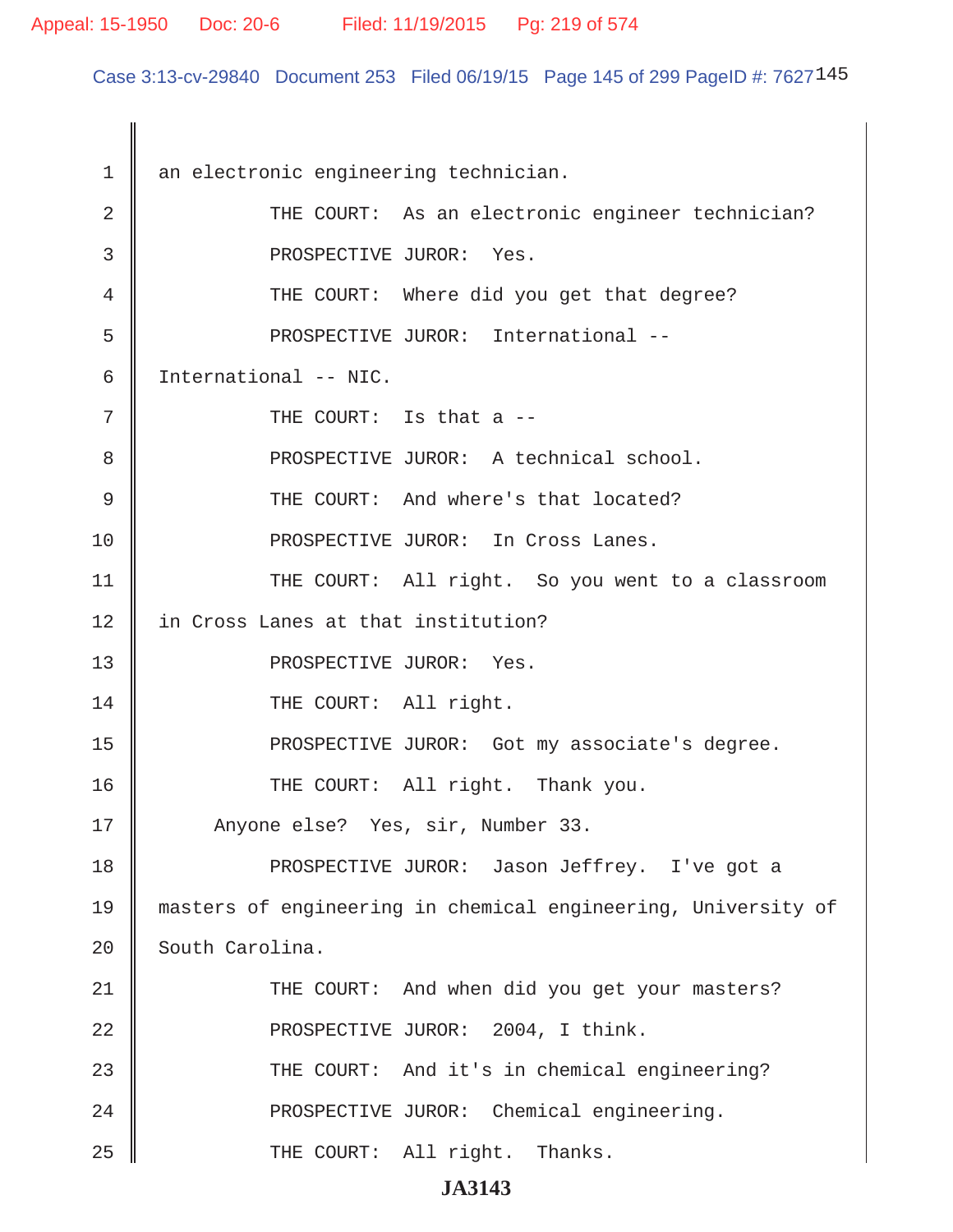Case 3:13-cv-29840 Document 253 Filed 06/19/15 Page 145 of 299 PageID #: 7627145

1 an electronic engineering technician. 2 | THE COURT: As an electronic engineer technician? 3 || PROSPECTIVE JUROR: Yes. 4 THE COURT: Where did you get that degree? 5 || PROSPECTIVE JUROR: International -- 6 International -- NIC.  $7 \parallel$  THE COURT: Is that a  $-$ 8 || PROSPECTIVE JUROR: A technical school. 9 || THE COURT: And where's that located? 10 || PROSPECTIVE JUROR: In Cross Lanes. 11 || THE COURT: All right. So you went to a classroom 12 || in Cross Lanes at that institution? 13 || PROSPECTIVE JUROR: Yes. 14 || THE COURT: All right. 15 || PROSPECTIVE JUROR: Got my associate's degree. 16 || THE COURT: All right. Thank you. 17 || Anyone else? Yes, sir, Number 33. 18 || PROSPECTIVE JUROR: Jason Jeffrey. I've got a 19 masters of engineering in chemical engineering, University of 20 South Carolina. 21 THE COURT: And when did you get your masters? 22 || PROSPECTIVE JUROR: 2004, I think. 23 THE COURT: And it's in chemical engineering? 24 || PROSPECTIVE JUROR: Chemical engineering. 25 || THE COURT: All right. Thanks.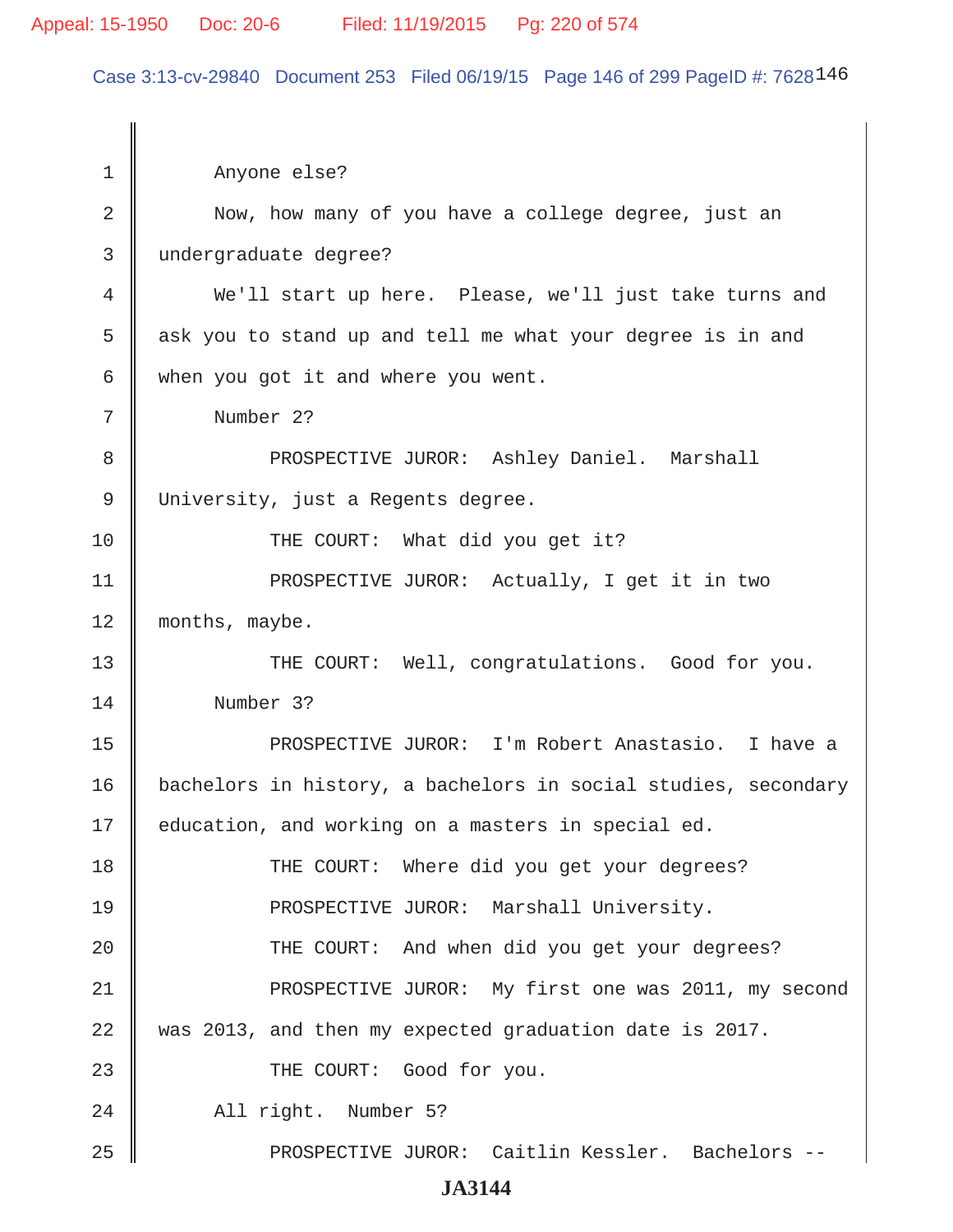Case 3:13-cv-29840 Document 253 Filed 06/19/15 Page 146 of 299 PageID #: 7628146

| 1  | Anyone else?                                                   |
|----|----------------------------------------------------------------|
| 2  | Now, how many of you have a college degree, just an            |
| 3  | undergraduate degree?                                          |
| 4  | We'll start up here. Please, we'll just take turns and         |
| 5  | ask you to stand up and tell me what your degree is in and     |
| 6  | when you got it and where you went.                            |
| 7  | Number 2?                                                      |
| 8  | PROSPECTIVE JUROR: Ashley Daniel. Marshall                     |
| 9  | University, just a Regents degree.                             |
| 10 | THE COURT: What did you get it?                                |
| 11 | PROSPECTIVE JUROR: Actually, I get it in two                   |
| 12 | months, maybe.                                                 |
| 13 | THE COURT: Well, congratulations. Good for you.                |
| 14 | Number 3?                                                      |
| 15 | PROSPECTIVE JUROR: I'm Robert Anastasio. I have a              |
| 16 | bachelors in history, a bachelors in social studies, secondary |
| 17 | education, and working on a masters in special ed.             |
| 18 | THE COURT: Where did you get your degrees?                     |
| 19 | PROSPECTIVE JUROR: Marshall University.                        |
| 20 | THE COURT: And when did you get your degrees?                  |
| 21 | PROSPECTIVE JUROR: My first one was 2011, my second            |
| 22 | was 2013, and then my expected graduation date is 2017.        |
| 23 | THE COURT: Good for you.                                       |
| 24 | All right. Number 5?                                           |
| 25 | PROSPECTIVE JUROR: Caitlin Kessler. Bachelors --               |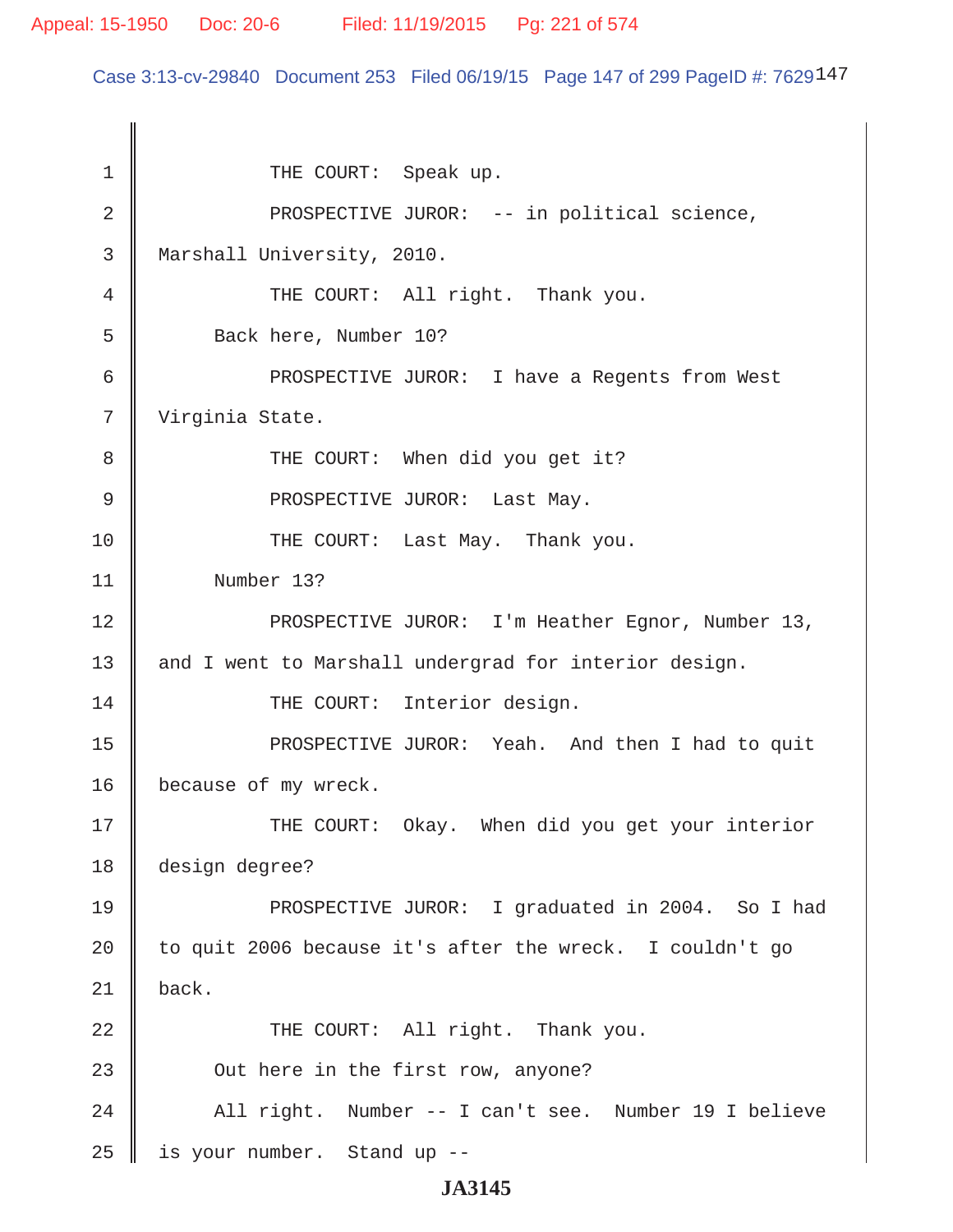#### Appeal: 15-1950 Doc: 20-6 Filed: 11/19/2015 Pg: 221 of 574

Case 3:13-cv-29840 Document 253 Filed 06/19/15 Page 147 of 299 PageID #: 7629147

1 || THE COURT: Speak up. 2 || PROSPECTIVE JUROR: -- in political science, 3 Marshall University, 2010. 4 || THE COURT: All right. Thank you. 5 S Back here, Number 10? 6 PROSPECTIVE JUROR: I have a Regents from West 7 Virginia State. 8 || THE COURT: When did you get it? 9 || PROSPECTIVE JUROR: Last May. 10 || THE COURT: Last May. Thank you. 11 Number 13? 12 || PROSPECTIVE JUROR: I'm Heather Egnor, Number 13, 13 || and I went to Marshall undergrad for interior design. 14 || THE COURT: Interior design. 15 || PROSPECTIVE JUROR: Yeah. And then I had to quit 16 | because of my wreck. 17 THE COURT: Okay. When did you get your interior 18 design degree? 19 || PROSPECTIVE JUROR: I graduated in 2004. So I had 20 | to quit 2006 because it's after the wreck. I couldn't go  $21$  back. 22 THE COURT: All right. Thank you. 23 **Queen** Out here in the first row, anyone? 24 || All right. Number -- I can't see. Number 19 I believe  $25$  | is your number. Stand up --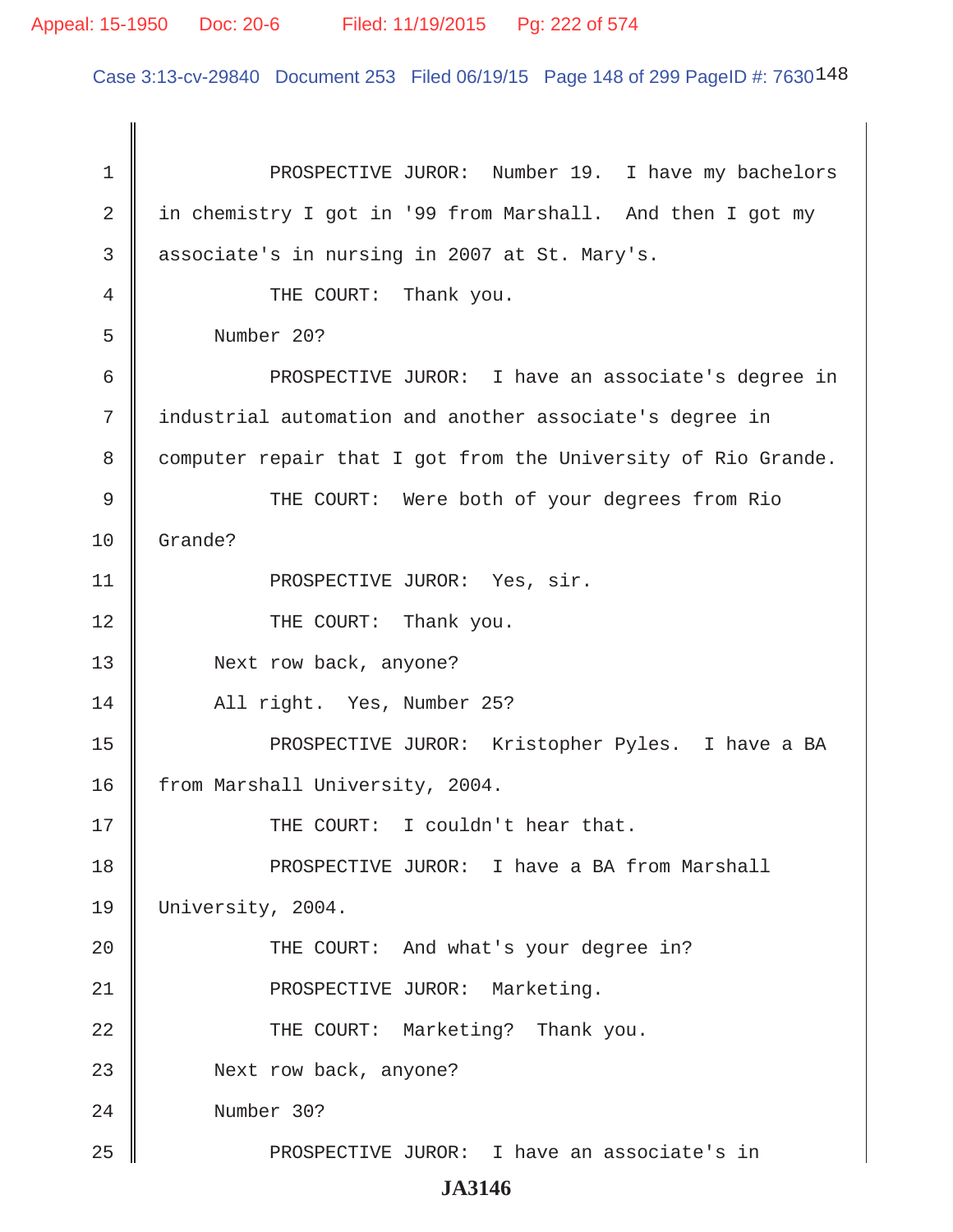Case 3:13-cv-29840 Document 253 Filed 06/19/15 Page 148 of 299 PageID #: 7630148

| $\mathbf 1$ | PROSPECTIVE JUROR: Number 19. I have my bachelors             |
|-------------|---------------------------------------------------------------|
| 2           | in chemistry I got in '99 from Marshall. And then I got my    |
| 3           | associate's in nursing in 2007 at St. Mary's.                 |
| 4           | THE COURT: Thank you.                                         |
| 5           | Number 20?                                                    |
| 6           | PROSPECTIVE JUROR: I have an associate's degree in            |
| 7           | industrial automation and another associate's degree in       |
| 8           | computer repair that I got from the University of Rio Grande. |
| 9           | THE COURT: Were both of your degrees from Rio                 |
| 10          | Grande?                                                       |
| 11          | PROSPECTIVE JUROR: Yes, sir.                                  |
| 12          | THE COURT: Thank you.                                         |
| 13          | Next row back, anyone?                                        |
| 14          | All right. Yes, Number 25?                                    |
| 15          | PROSPECTIVE JUROR: Kristopher Pyles. I have a BA              |
| 16          | from Marshall University, 2004.                               |
| 17          | THE COURT: I couldn't hear that.                              |
| 18          | PROSPECTIVE JUROR: I have a BA from Marshall                  |
| 19          | University, 2004.                                             |
| 20          | THE COURT: And what's your degree in?                         |
| 21          | PROSPECTIVE JUROR: Marketing.                                 |
| 22          | THE COURT: Marketing? Thank you.                              |
| 23          | Next row back, anyone?                                        |
| 24          | Number 30?                                                    |
| 25          | PROSPECTIVE JUROR: I have an associate's in                   |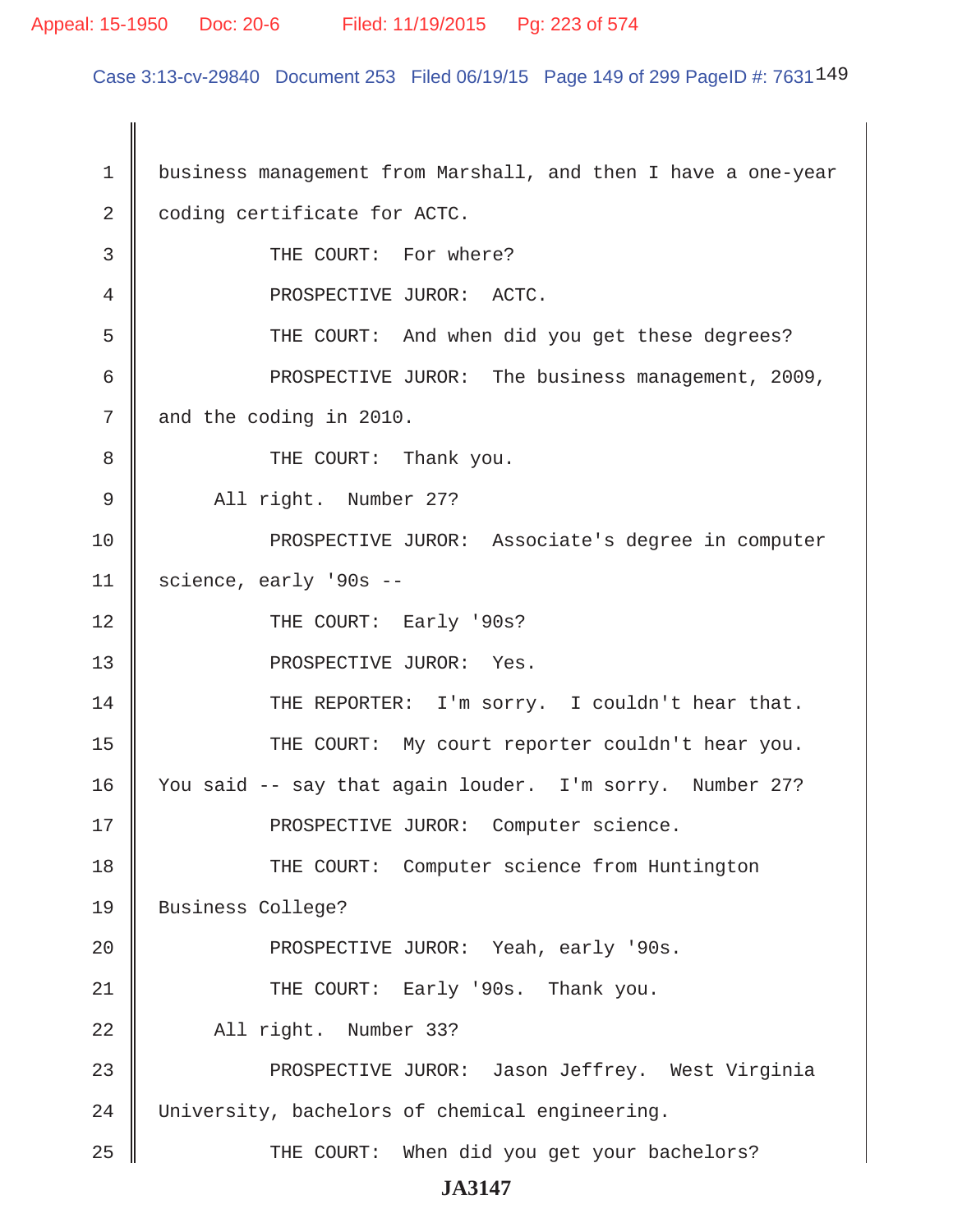#### Appeal: 15-1950 Doc: 20-6 Filed: 11/19/2015 Pg: 223 of 574

Case 3:13-cv-29840 Document 253 Filed 06/19/15 Page 149 of 299 PageID #: 7631149

 1 business management from Marshall, and then I have a one-year 2 | coding certificate for ACTC. 3 || THE COURT: For where? 4 **||** PROSPECTIVE JUROR: ACTC. 5 THE COURT: And when did you get these degrees? 6 | PROSPECTIVE JUROR: The business management, 2009,  $7 \parallel$  and the coding in 2010. 8 **B** THE COURT: Thank you. 9 || All right. Number 27? 10 || PROSPECTIVE JUROR: Associate's degree in computer  $11$  science, early '90s --12 || THE COURT: Early '90s? 13 || PROSPECTIVE JUROR: Yes. 14 THE REPORTER: I'm sorry. I couldn't hear that. 15 || THE COURT: My court reporter couldn't hear you. 16 | You said -- say that again louder. I'm sorry. Number 27? 17 || PROSPECTIVE JUROR: Computer science. 18 || THE COURT: Computer science from Huntington 19 Business College? 20 || PROSPECTIVE JUROR: Yeah, early '90s. 21 THE COURT: Early '90s. Thank you. 22 || All right. Number 33? 23 PROSPECTIVE JUROR: Jason Jeffrey. West Virginia 24 University, bachelors of chemical engineering. 25 THE COURT: When did you get your bachelors? **JA3147**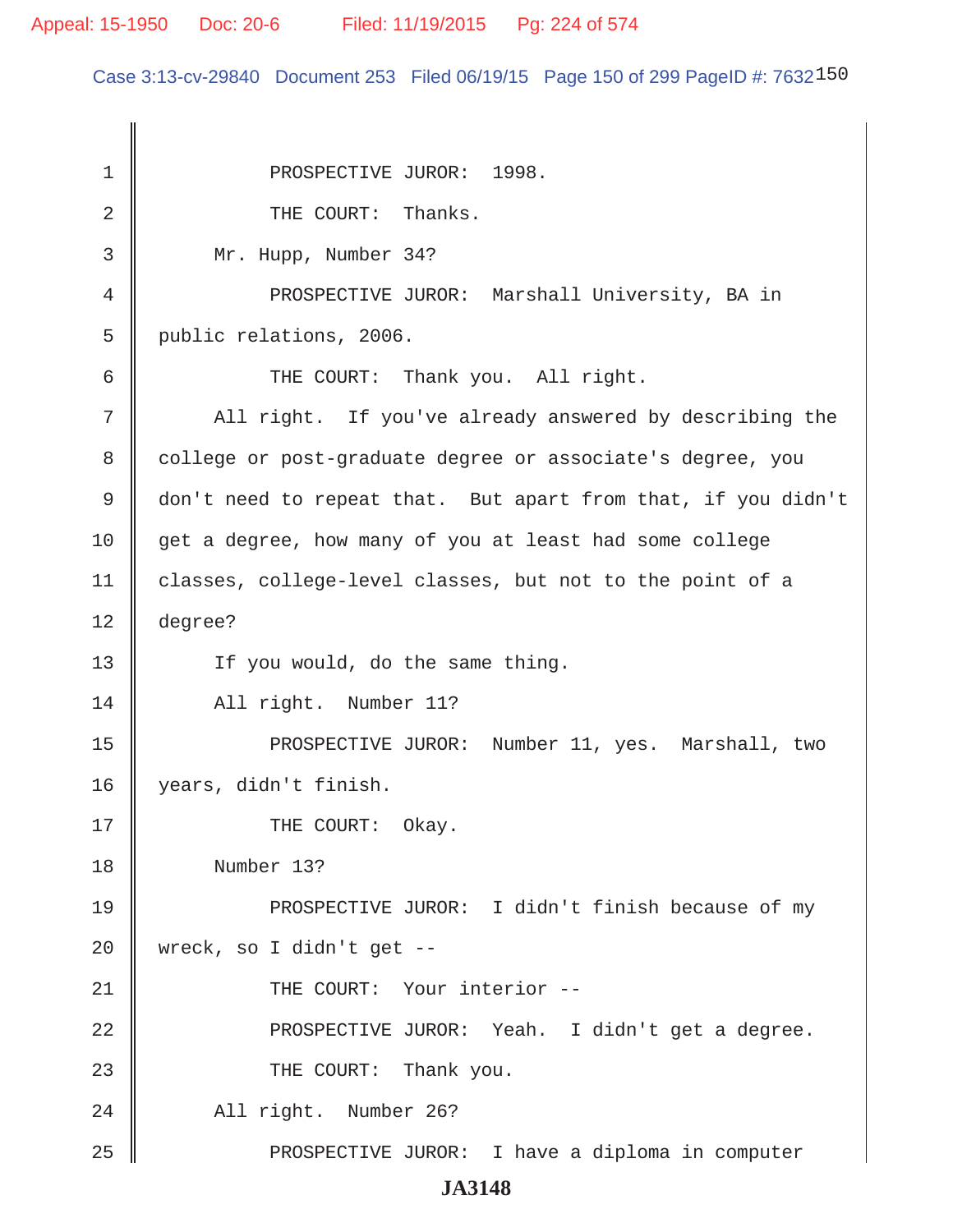Case 3:13-cv-29840 Document 253 Filed 06/19/15 Page 150 of 299 PageID #: 7632150

1 || PROSPECTIVE JUROR: 1998.  $2 \parallel$  THE COURT: Thanks. 3 Mr. Hupp, Number 34? 4 PROSPECTIVE JUROR: Marshall University, BA in 5 public relations, 2006. 6 || THE COURT: Thank you. All right. 7 || All right. If you've already answered by describing the 8 college or post-graduate degree or associate's degree, you 9 don't need to repeat that. But apart from that, if you didn't 10 get a degree, how many of you at least had some college 11 | classes, college-level classes, but not to the point of a 12 degree? 13 || If you would, do the same thing. 14 || All right. Number 11? 15 || PROSPECTIVE JUROR: Number 11, yes. Marshall, two 16 years, didn't finish. 17 || THE COURT: Okay. 18 Number 13? 19 || PROSPECTIVE JUROR: I didn't finish because of my 20 | wreck, so I didn't get  $-$ 21 || THE COURT: Your interior --22 PROSPECTIVE JUROR: Yeah. I didn't get a degree. 23 || THE COURT: Thank you. 24 || All right. Number 26? 25 || PROSPECTIVE JUROR: I have a diploma in computer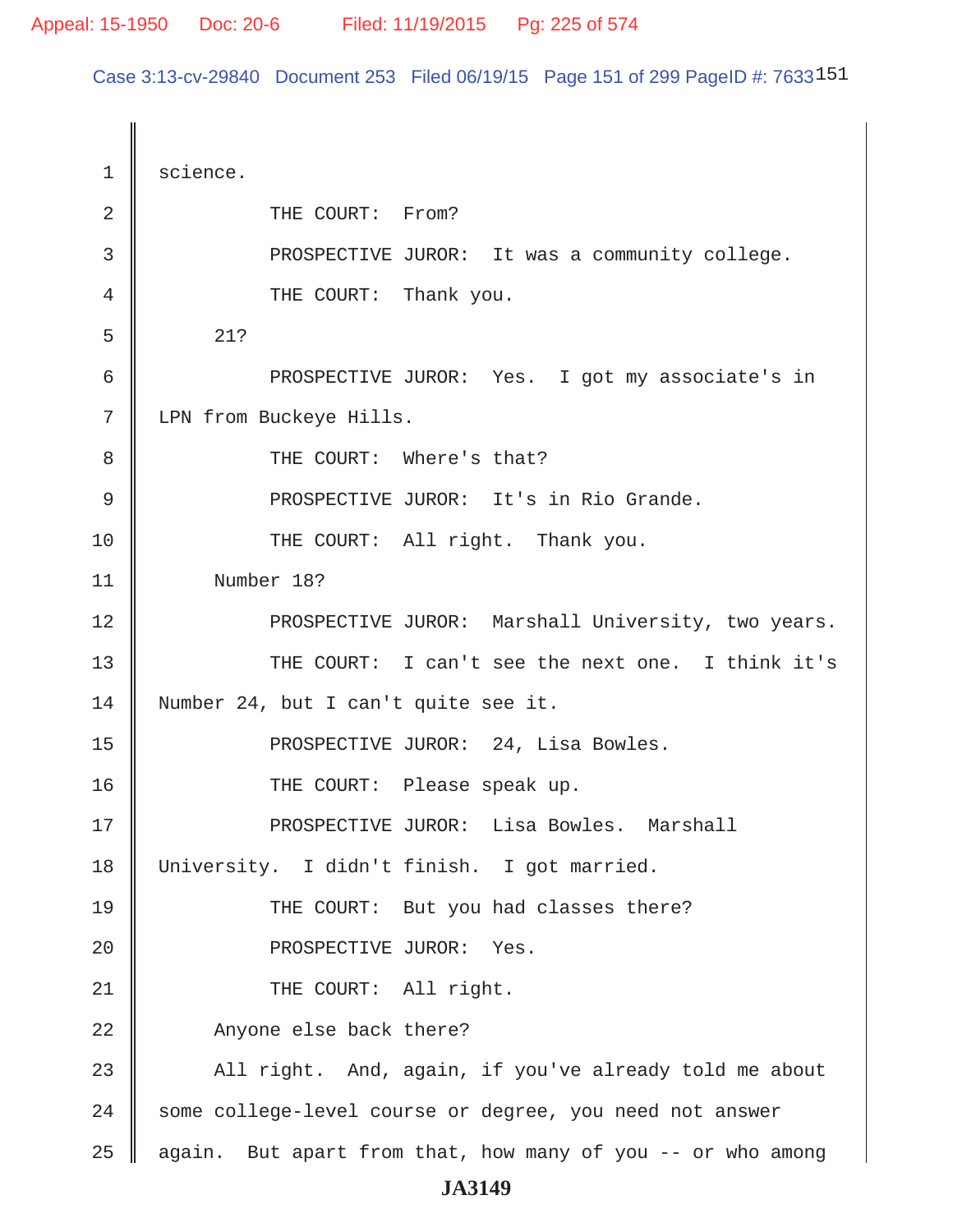Case 3:13-cv-29840 Document 253 Filed 06/19/15 Page 151 of 299 PageID #: 7633151

1 | science. 2 **COURT:** From? 3 **B** PROSPECTIVE JUROR: It was a community college. 4 **THE COURT:** Thank you.  $5 \parallel 21?$  6 PROSPECTIVE JUROR: Yes. I got my associate's in 7 | LPN from Buckeye Hills. 8 || THE COURT: Where's that? 9 || PROSPECTIVE JUROR: It's in Rio Grande. 10 || THE COURT: All right. Thank you. 11 Number 18? 12 || PROSPECTIVE JUROR: Marshall University, two years. 13 THE COURT: I can't see the next one. I think it's 14 Number 24, but I can't quite see it. 15 || PROSPECTIVE JUROR: 24, Lisa Bowles. 16 THE COURT: Please speak up. 17 PROSPECTIVE JUROR: Lisa Bowles. Marshall 18 University. I didn't finish. I got married. 19 THE COURT: But you had classes there? 20 || PROSPECTIVE JUROR: Yes. 21 || THE COURT: All right. 22 || Anyone else back there? 23 All right. And, again, if you've already told me about 24 Some college-level course or degree, you need not answer 25  $\parallel$  again. But apart from that, how many of you -- or who among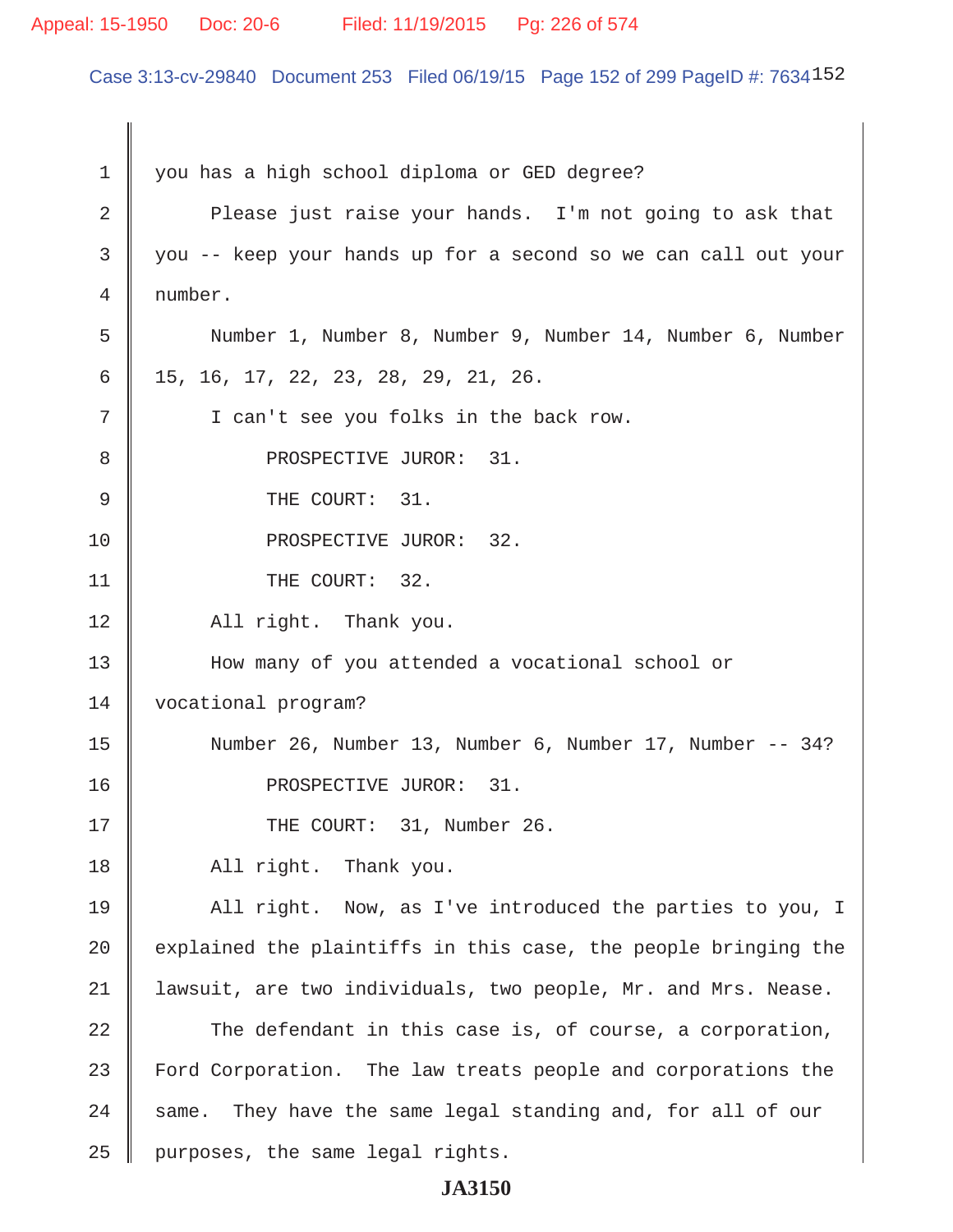#### Appeal: 15-1950 Doc: 20-6 Filed: 11/19/2015 Pg: 226 of 574

Case 3:13-cv-29840 Document 253 Filed 06/19/15 Page 152 of 299 PageID #: 7634152

1 you has a high school diploma or GED degree? 2 Please just raise your hands. I'm not going to ask that 3 you -- keep your hands up for a second so we can call out your 4 number. 5 Number 1, Number 8, Number 9, Number 14, Number 6, Number  $6 \parallel 15, 16, 17, 22, 23, 28, 29, 21, 26.$ 7 || I can't see you folks in the back row. 8 || PROSPECTIVE JUROR: 31. 9 **J** THE COURT: 31. 10 || PROSPECTIVE JUROR: 32. 11 || THE COURT: 32. 12 || All right. Thank you. 13 | How many of you attended a vocational school or 14 | vocational program? 15 Number 26, Number 13, Number 6, Number 17, Number -- 34? 16 || PROSPECTIVE JUROR: 31. 17 || THE COURT: 31, Number 26. 18 | All right. Thank you. 19 All right. Now, as I've introduced the parties to you, I 20  $\parallel$  explained the plaintiffs in this case, the people bringing the 21 lawsuit, are two individuals, two people, Mr. and Mrs. Nease. 22 The defendant in this case is, of course, a corporation, 23 Ford Corporation. The law treats people and corporations the  $24$  same. They have the same legal standing and, for all of our  $25$  | purposes, the same legal rights.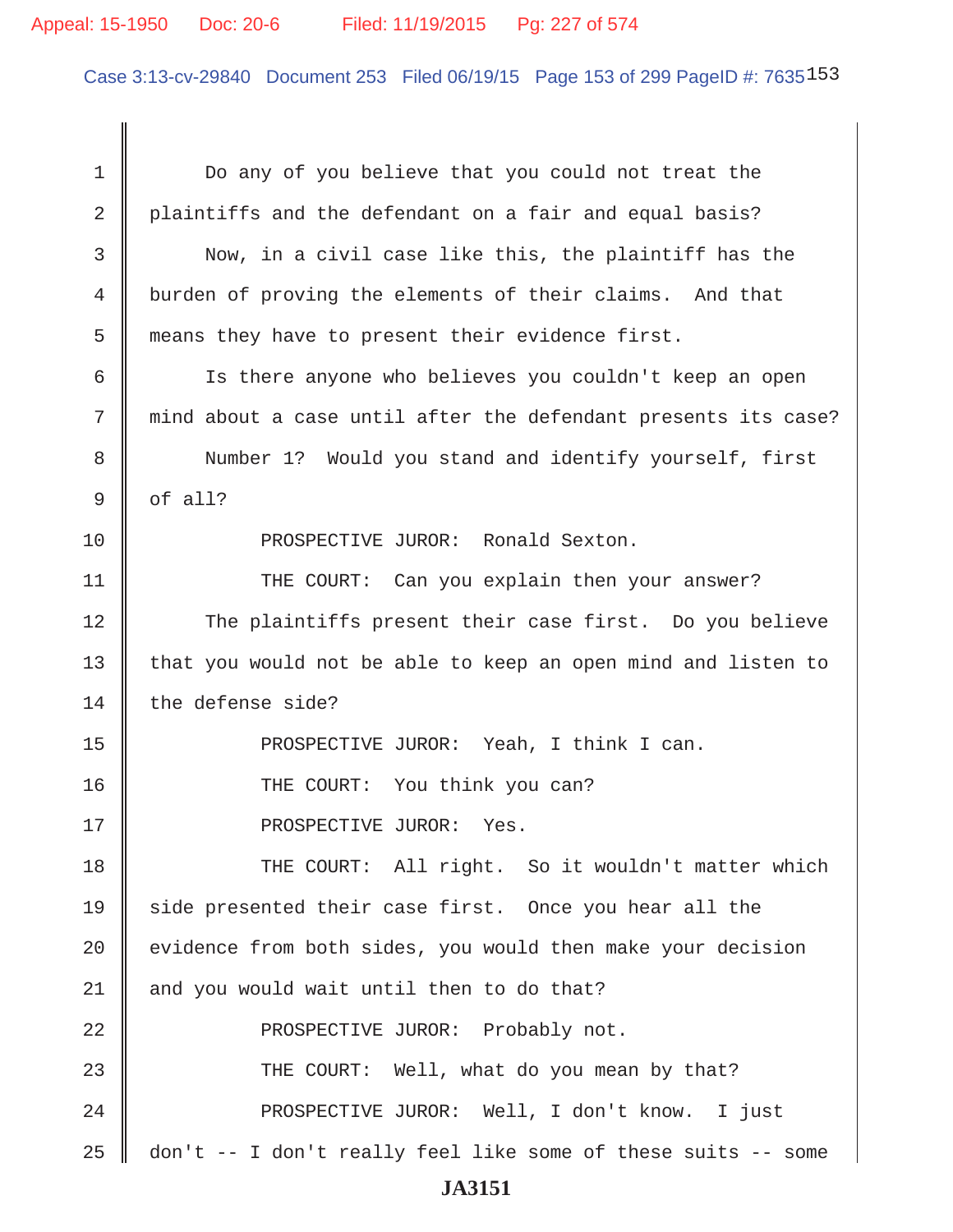#### Appeal: 15-1950 Doc: 20-6 Filed: 11/19/2015 Pg: 227 of 574

Case 3:13-cv-29840 Document 253 Filed 06/19/15 Page 153 of 299 PageID #: 7635153

1 Do any of you believe that you could not treat the 2 plaintiffs and the defendant on a fair and equal basis? 3 Now, in a civil case like this, the plaintiff has the 4 burden of proving the elements of their claims. And that 5 means they have to present their evidence first. 6 Is there anyone who believes you couldn't keep an open 7 mind about a case until after the defendant presents its case? 8 Number 1? Would you stand and identify yourself, first  $9 \parallel$  of all? 10 || PROSPECTIVE JUROR: Ronald Sexton. 11 || THE COURT: Can you explain then your answer? 12 The plaintiffs present their case first. Do you believe 13 that you would not be able to keep an open mind and listen to 14 the defense side? 15 PROSPECTIVE JUROR: Yeah, I think I can. 16 THE COURT: You think you can? 17 || PROSPECTIVE JUROR: Yes. 18 THE COURT: All right. So it wouldn't matter which 19 side presented their case first. Once you hear all the 20 | evidence from both sides, you would then make your decision  $21$  | and you would wait until then to do that? 22 || PROSPECTIVE JUROR: Probably not. 23 || THE COURT: Well, what do you mean by that? 24 || PROSPECTIVE JUROR: Well, I don't know. I just 25 don't -- I don't really feel like some of these suits -- some **JA3151**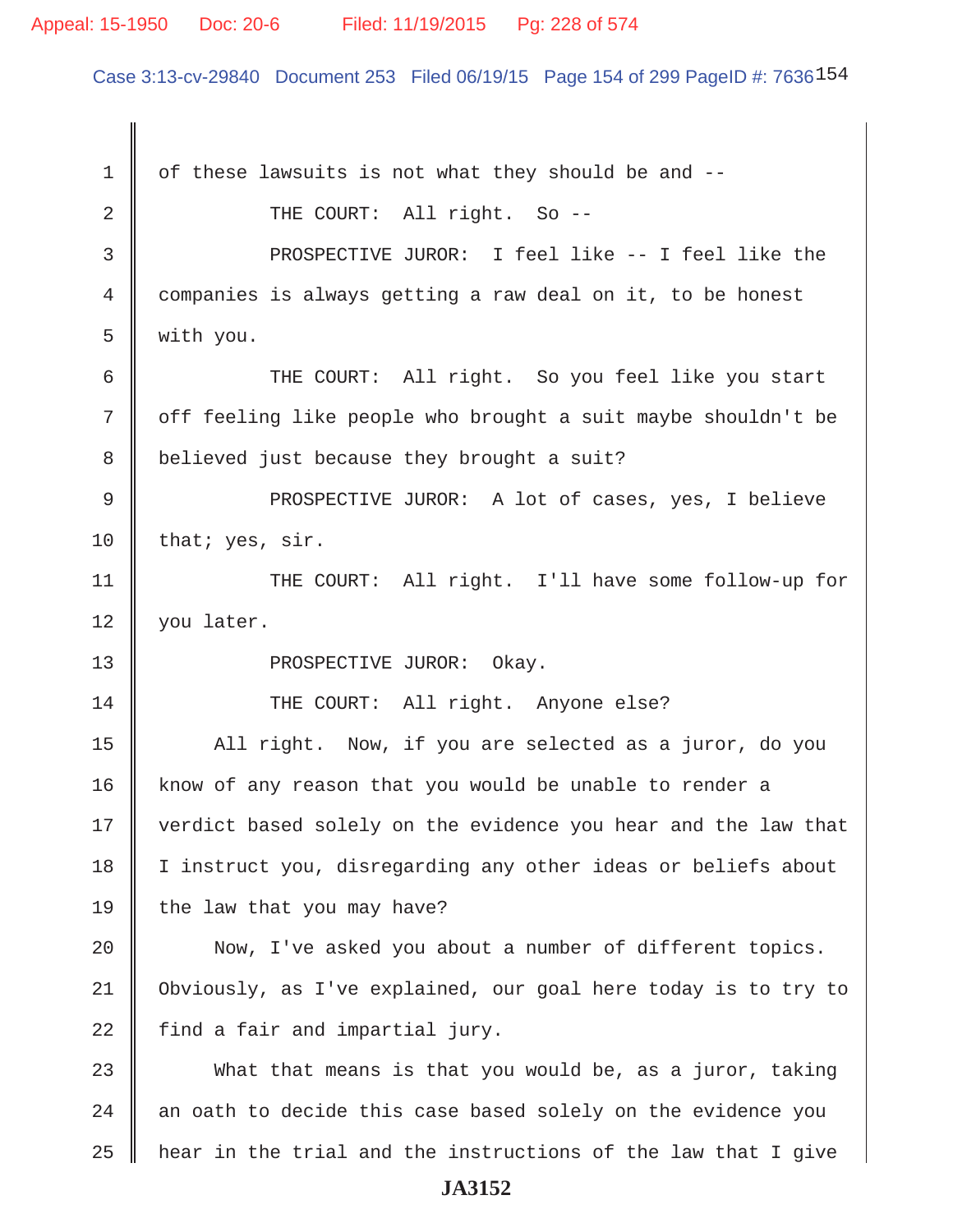#### Appeal: 15-1950 Doc: 20-6 Filed: 11/19/2015 Pg: 228 of 574

Case 3:13-cv-29840 Document 253 Filed 06/19/15 Page 154 of 299 PageID #: 7636154

 $1 \parallel$  of these lawsuits is not what they should be and --2 COURT: All right. So -- 3 PROSPECTIVE JUROR: I feel like -- I feel like the 4 companies is always getting a raw deal on it, to be honest 5 with you. 6 THE COURT: All right. So you feel like you start 7 | off feeling like people who brought a suit maybe shouldn't be 8 | believed just because they brought a suit? 9 || PROSPECTIVE JUROR: A lot of cases, yes, I believe 10 | that; yes, sir. 11 || THE COURT: All right. I'll have some follow-up for 12 | you later. 13 || PROSPECTIVE JUROR: Okay. 14 || THE COURT: All right. Anyone else? 15 | All right. Now, if you are selected as a juror, do you 16 | know of any reason that you would be unable to render a 17 || verdict based solely on the evidence you hear and the law that 18 I instruct you, disregarding any other ideas or beliefs about 19  $\parallel$  the law that you may have? 20 || Now, I've asked you about a number of different topics. 21 Obviously, as I've explained, our goal here today is to try to  $22$  | find a fair and impartial jury.  $23$   $\parallel$  What that means is that you would be, as a juror, taking  $24$   $\parallel$  an oath to decide this case based solely on the evidence you  $25$  | hear in the trial and the instructions of the law that I give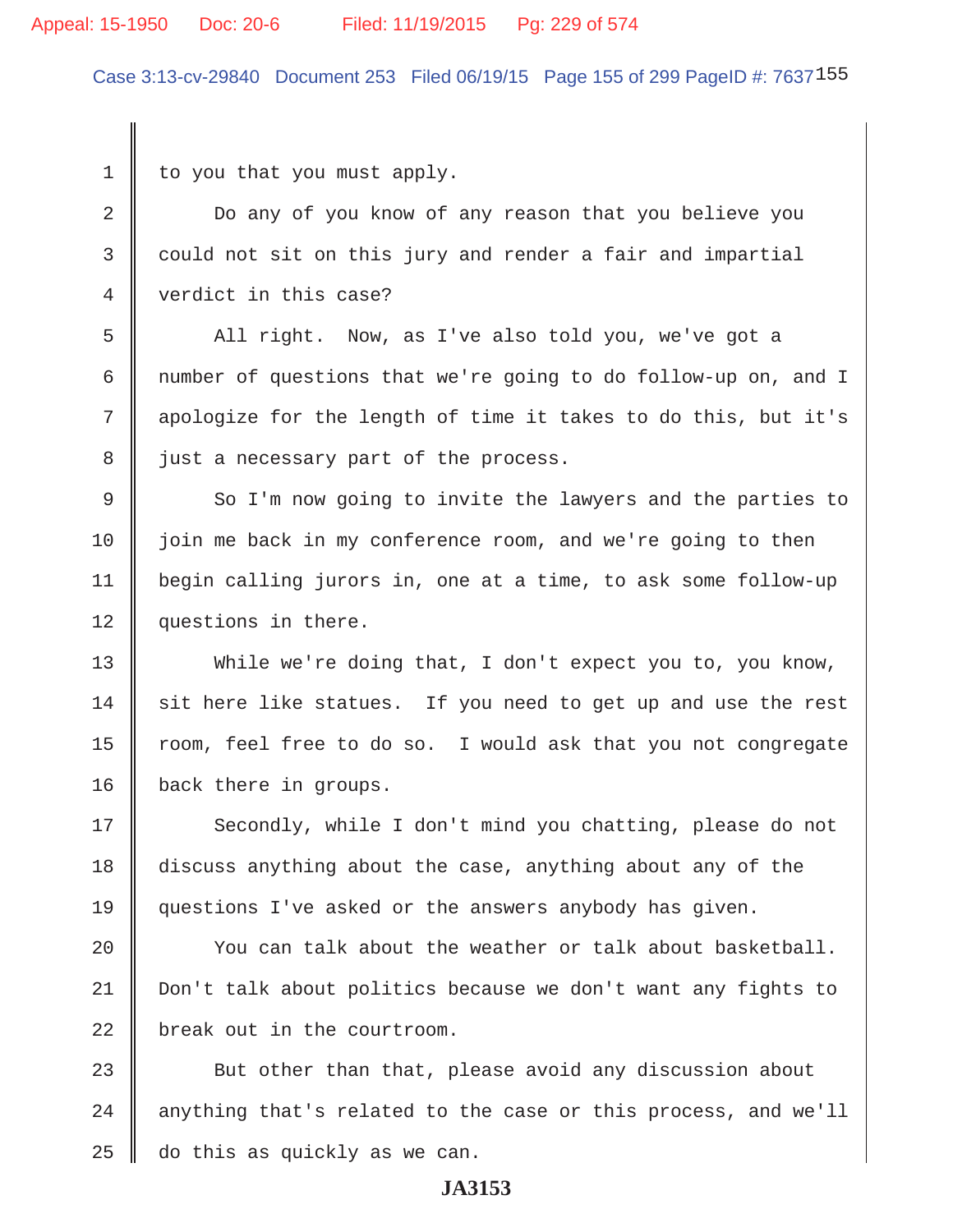#### Appeal: 15-1950 Doc: 20-6 Filed: 11/19/2015 Pg: 229 of 574

Case 3:13-cv-29840 Document 253 Filed 06/19/15 Page 155 of 299 PageID #: 7637155

 $1 \parallel$  to you that you must apply.

2 Do any of you know of any reason that you believe you  $3 \parallel$  could not sit on this jury and render a fair and impartial 4 verdict in this case?

5 All right. Now, as I've also told you, we've got a 6 mumber of questions that we're going to do follow-up on, and I 7 || apologize for the length of time it takes to do this, but it's 8 || just a necessary part of the process.

9 So I'm now going to invite the lawyers and the parties to 10 | join me back in my conference room, and we're going to then 11 begin calling jurors in, one at a time, to ask some follow-up 12 | questions in there.

13 While we're doing that, I don't expect you to, you know,  $14$  sit here like statues. If you need to get up and use the rest 15 | room, feel free to do so. I would ask that you not congregate 16 | back there in groups.

17 Secondly, while I don't mind you chatting, please do not 18 discuss anything about the case, anything about any of the 19 questions I've asked or the answers anybody has given.

20  $\parallel$  You can talk about the weather or talk about basketball. 21 Don't talk about politics because we don't want any fights to  $22$   $\parallel$  break out in the courtroom.

 $23$   $\parallel$  But other than that, please avoid any discussion about 24 || anything that's related to the case or this process, and we'll  $25$  do this as quickly as we can.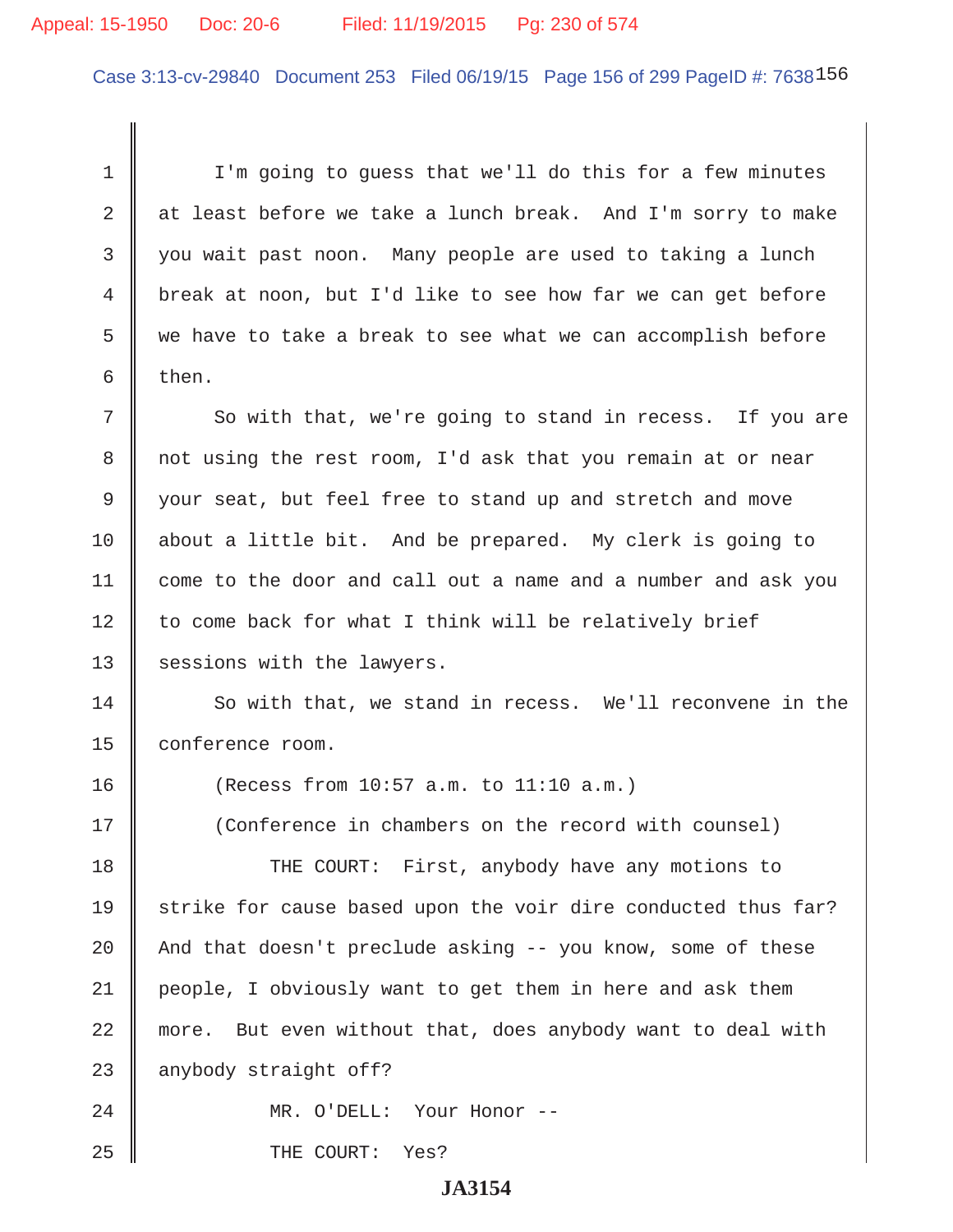#### Appeal: 15-1950 Doc: 20-6 Filed: 11/19/2015 Pg: 230 of 574

Case 3:13-cv-29840 Document 253 Filed 06/19/15 Page 156 of 299 PageID #: 7638156

1 | I'm going to quess that we'll do this for a few minutes 2  $\parallel$  at least before we take a lunch break. And I'm sorry to make 3 || you wait past noon. Many people are used to taking a lunch 4 break at noon, but I'd like to see how far we can get before  $5 \parallel$  we have to take a break to see what we can accomplish before  $6 \parallel$  then.

7 So with that, we're going to stand in recess. If you are 8 || not using the rest room, I'd ask that you remain at or near 9 your seat, but feel free to stand up and stretch and move 10 | about a little bit. And be prepared. My clerk is going to 11 come to the door and call out a name and a number and ask you  $12$  to come back for what I think will be relatively brief 13 | sessions with the lawyers.

14 So with that, we stand in recess. We'll reconvene in the 15 | conference room.

16 (Recess from 10:57 a.m. to 11:10 a.m.)

17 (Conference in chambers on the record with counsel)

18 THE COURT: First, anybody have any motions to 19 Strike for cause based upon the voir dire conducted thus far? 20  $\parallel$  And that doesn't preclude asking -- you know, some of these 21 people, I obviously want to get them in here and ask them 22 more. But even without that, does anybody want to deal with  $23$  | anybody straight off?

24 MR. O'DELL: Your Honor --

25 || THE COURT: Yes?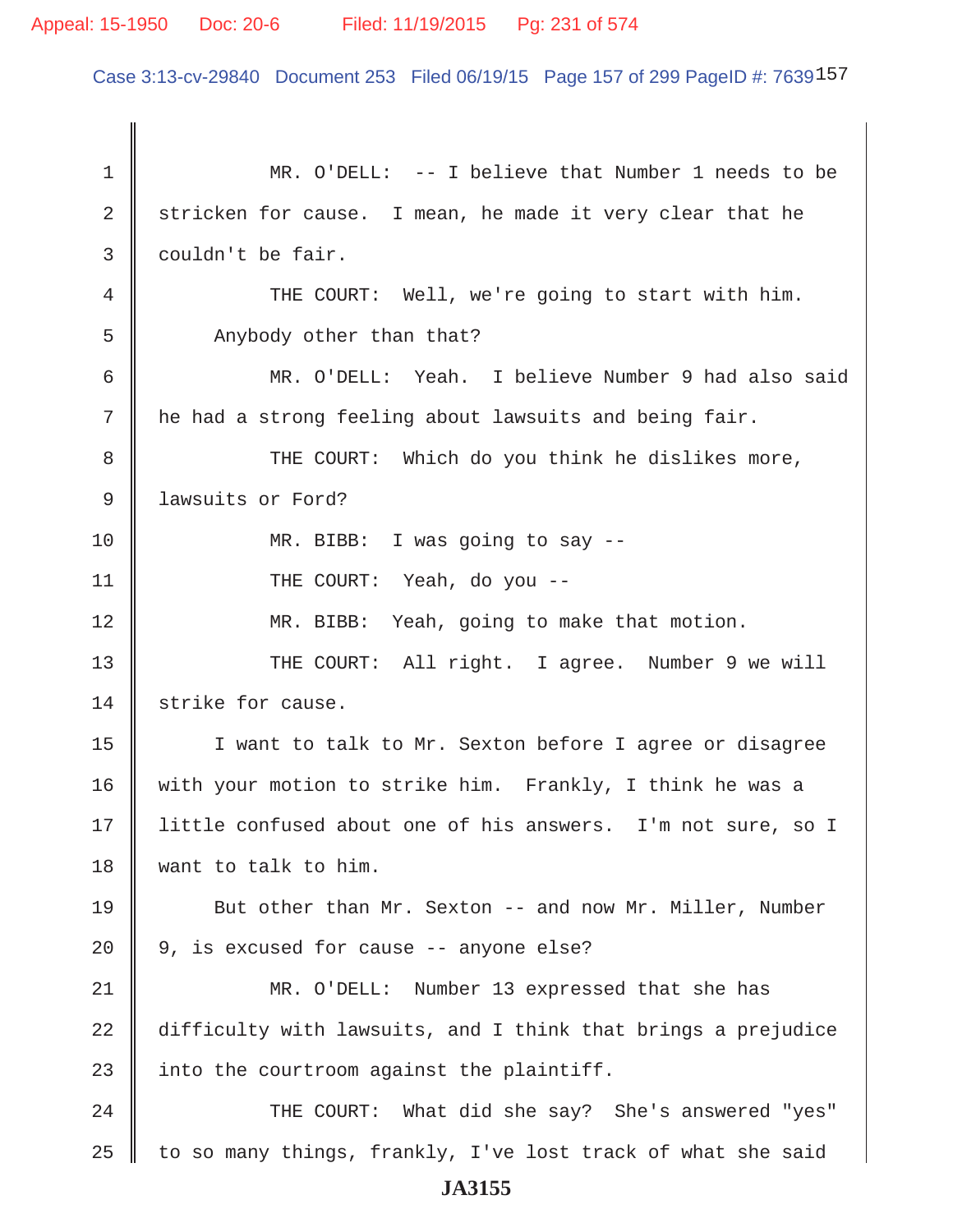#### Appeal: 15-1950 Doc: 20-6 Filed: 11/19/2015 Pg: 231 of 574

Case 3:13-cv-29840 Document 253 Filed 06/19/15 Page 157 of 299 PageID #: 7639157

 1 MR. O'DELL: -- I believe that Number 1 needs to be 2 stricken for cause. I mean, he made it very clear that he 3 couldn't be fair. 4 THE COURT: Well, we're going to start with him. 5 | Anybody other than that? 6 MR. O'DELL: Yeah. I believe Number 9 had also said 7 || he had a strong feeling about lawsuits and being fair. 8 THE COURT: Which do you think he dislikes more, 9 **J** lawsuits or Ford? 10 || MR. BIBB: I was going to say --11 || THE COURT: Yeah, do you --12 MR. BIBB: Yeah, going to make that motion. 13 THE COURT: All right. I agree. Number 9 we will 14 strike for cause. 15 || I want to talk to Mr. Sexton before I agree or disagree 16 | with your motion to strike him. Frankly, I think he was a 17 | little confused about one of his answers. I'm not sure, so I 18 want to talk to him. 19 But other than Mr. Sexton -- and now Mr. Miller, Number  $20 \parallel 9$ , is excused for cause -- anyone else? 21 MR. O'DELL: Number 13 expressed that she has 22 difficulty with lawsuits, and I think that brings a prejudice 23  $\parallel$  into the courtroom against the plaintiff. 24 THE COURT: What did she say? She's answered "yes" 25  $\parallel$  to so many things, frankly, I've lost track of what she said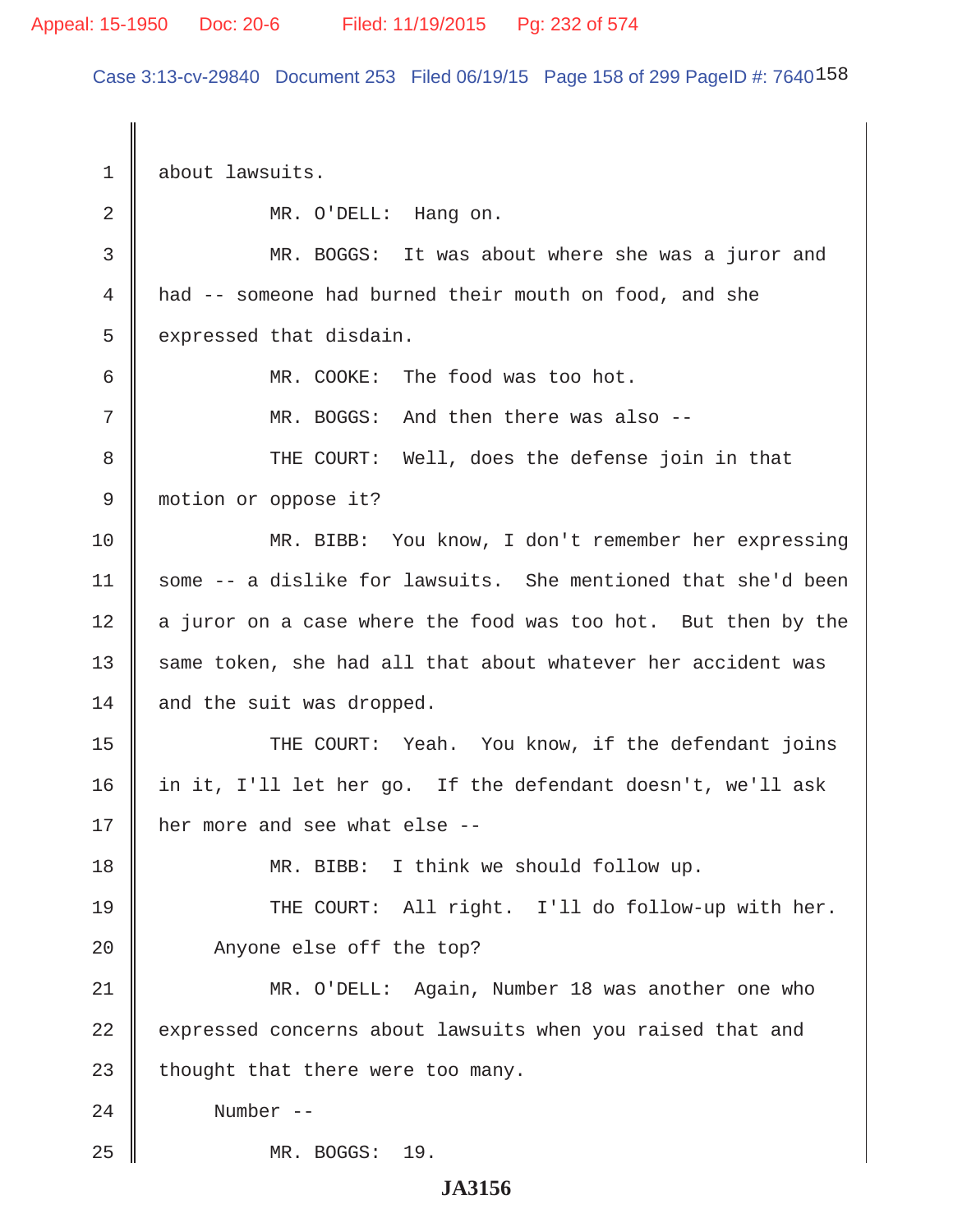Case 3:13-cv-29840 Document 253 Filed 06/19/15 Page 158 of 299 PageID #: 7640158

1 about lawsuits. 2 MR. O'DELL: Hang on. 3 MR. BOGGS: It was about where she was a juror and 4 had -- someone had burned their mouth on food, and she  $5 \parallel$  expressed that disdain. 6 MR. COOKE: The food was too hot. 7 MR. BOGGS: And then there was also -- 8 THE COURT: Well, does the defense join in that 9 motion or oppose it? 10 MR. BIBB: You know, I don't remember her expressing 11  $\parallel$  some -- a dislike for lawsuits. She mentioned that she'd been  $12$  a juror on a case where the food was too hot. But then by the 13  $\parallel$  same token, she had all that about whatever her accident was  $14$  and the suit was dropped. 15 THE COURT: Yeah. You know, if the defendant joins 16 in it, I'll let her go. If the defendant doesn't, we'll ask 17  $\parallel$  her more and see what else --18 MR. BIBB: I think we should follow up. 19 THE COURT: All right. I'll do follow-up with her. 20 || Anyone else off the top? 21 MR. O'DELL: Again, Number 18 was another one who 22 expressed concerns about lawsuits when you raised that and 23  $\parallel$  thought that there were too many. 24 Number -- 25 MR. BOGGS: 19.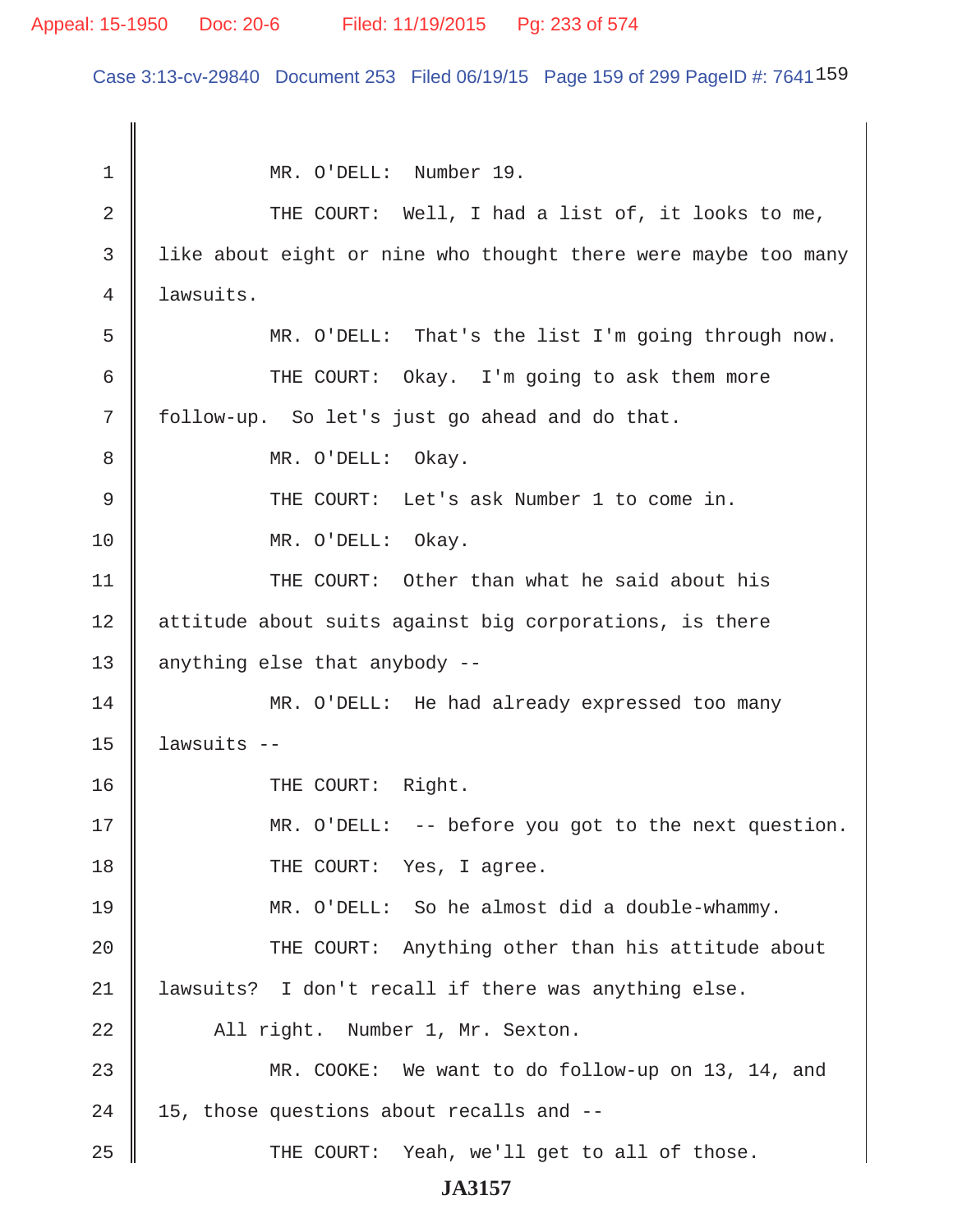#### Appeal: 15-1950 Doc: 20-6 Filed: 11/19/2015 Pg: 233 of 574

Case 3:13-cv-29840 Document 253 Filed 06/19/15 Page 159 of 299 PageID #: 7641159

 1 MR. O'DELL: Number 19. 2 THE COURT: Well, I had a list of, it looks to me, 3 I like about eight or nine who thought there were maybe too many 4 lawsuits. 5 MR. O'DELL: That's the list I'm going through now. 6 || THE COURT: Okay. I'm going to ask them more  $7 \parallel$  follow-up. So let's just go ahead and do that. 8 || MR. O'DELL: Okay. 9 THE COURT: Let's ask Number 1 to come in. 10 || MR. O'DELL: Okay. 11 || THE COURT: Other than what he said about his 12 | attitude about suits against big corporations, is there 13  $\parallel$  anything else that anybody --14 MR. O'DELL: He had already expressed too many  $15$  | lawsuits  $-$ 16 || THE COURT: Right. 17 MR. O'DELL: -- before you got to the next question. 18 || THE COURT: Yes, I agree. 19 MR. O'DELL: So he almost did a double-whammy. 20 THE COURT: Anything other than his attitude about 21 lawsuits? I don't recall if there was anything else. 22 All right. Number 1, Mr. Sexton. 23 MR. COOKE: We want to do follow-up on 13, 14, and  $24 \parallel 15$ , those questions about recalls and  $25$   $\parallel$  THE COURT: Yeah, we'll get to all of those.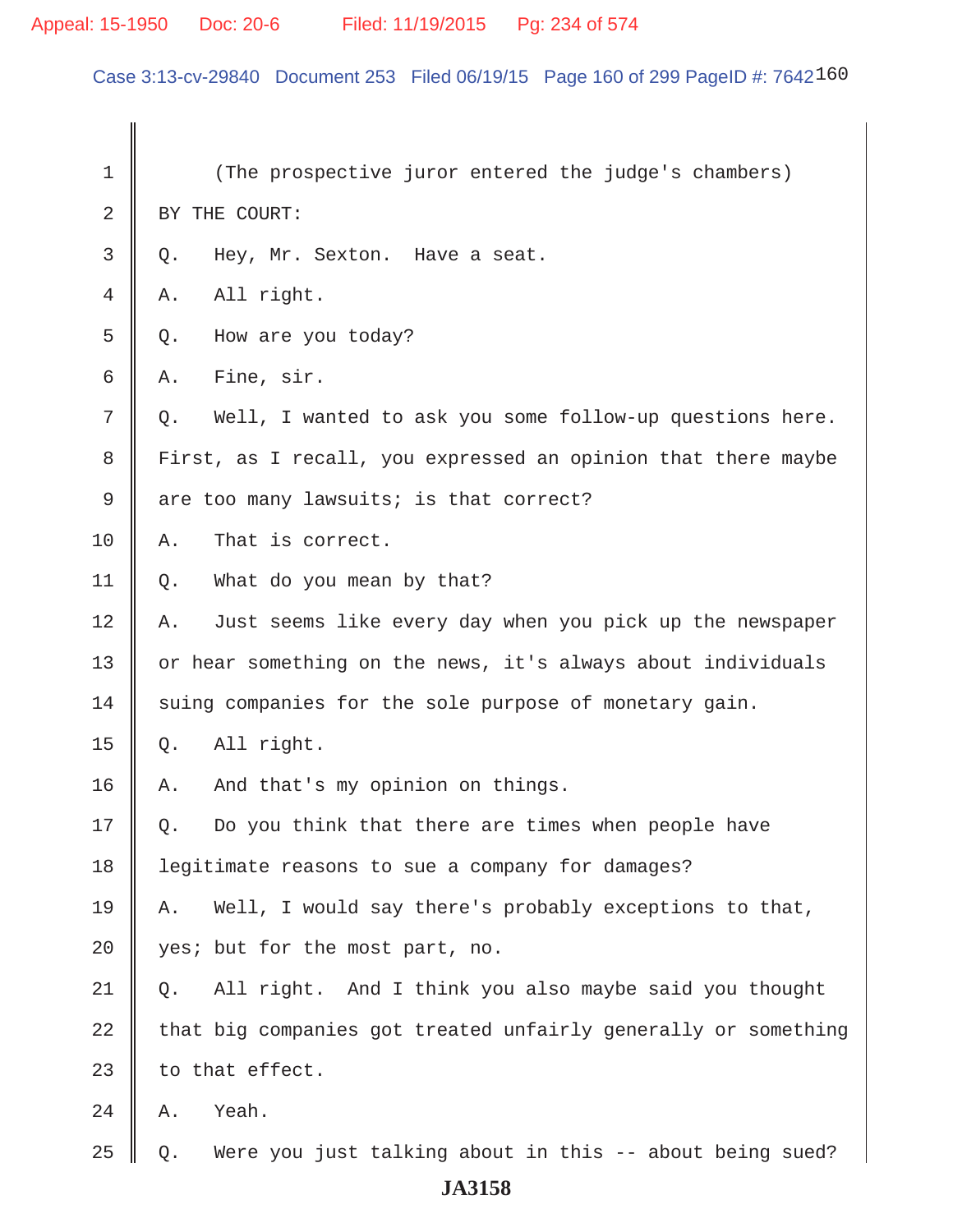# Appeal: 15-1950 Doc: 20-6 Filed: 11/19/2015 Pg: 234 of 574

Case 3:13-cv-29840 Document 253 Filed 06/19/15 Page 160 of 299 PageID #: 7642160

| 1  |       | (The prospective juror entered the judge's chambers)           |
|----|-------|----------------------------------------------------------------|
| 2  |       | BY THE COURT:                                                  |
| 3  | $Q$ . | Hey, Mr. Sexton. Have a seat.                                  |
| 4  | Α.    | All right.                                                     |
| 5  | Q.    | How are you today?                                             |
| 6  | Α.    | Fine, sir.                                                     |
| 7  | Q.    | Well, I wanted to ask you some follow-up questions here.       |
| 8  |       | First, as I recall, you expressed an opinion that there maybe  |
| 9  |       | are too many lawsuits; is that correct?                        |
| 10 | Α.    | That is correct.                                               |
| 11 | Q.    | What do you mean by that?                                      |
| 12 | Α.    | Just seems like every day when you pick up the newspaper       |
| 13 |       | or hear something on the news, it's always about individuals   |
| 14 |       | suing companies for the sole purpose of monetary gain.         |
| 15 | Q.    | All right.                                                     |
| 16 | Α.    | And that's my opinion on things.                               |
| 17 | Q.    | Do you think that there are times when people have             |
| 18 |       | legitimate reasons to sue a company for damages?               |
| 19 | Α.    | Well, I would say there's probably exceptions to that,         |
| 20 |       | yes; but for the most part, no.                                |
| 21 | Q.    | All right. And I think you also maybe said you thought         |
| 22 |       | that big companies got treated unfairly generally or something |
| 23 |       | to that effect.                                                |
| 24 | Α.    | Yeah.                                                          |
| 25 | Q.    | Were you just talking about in this -- about being sued?       |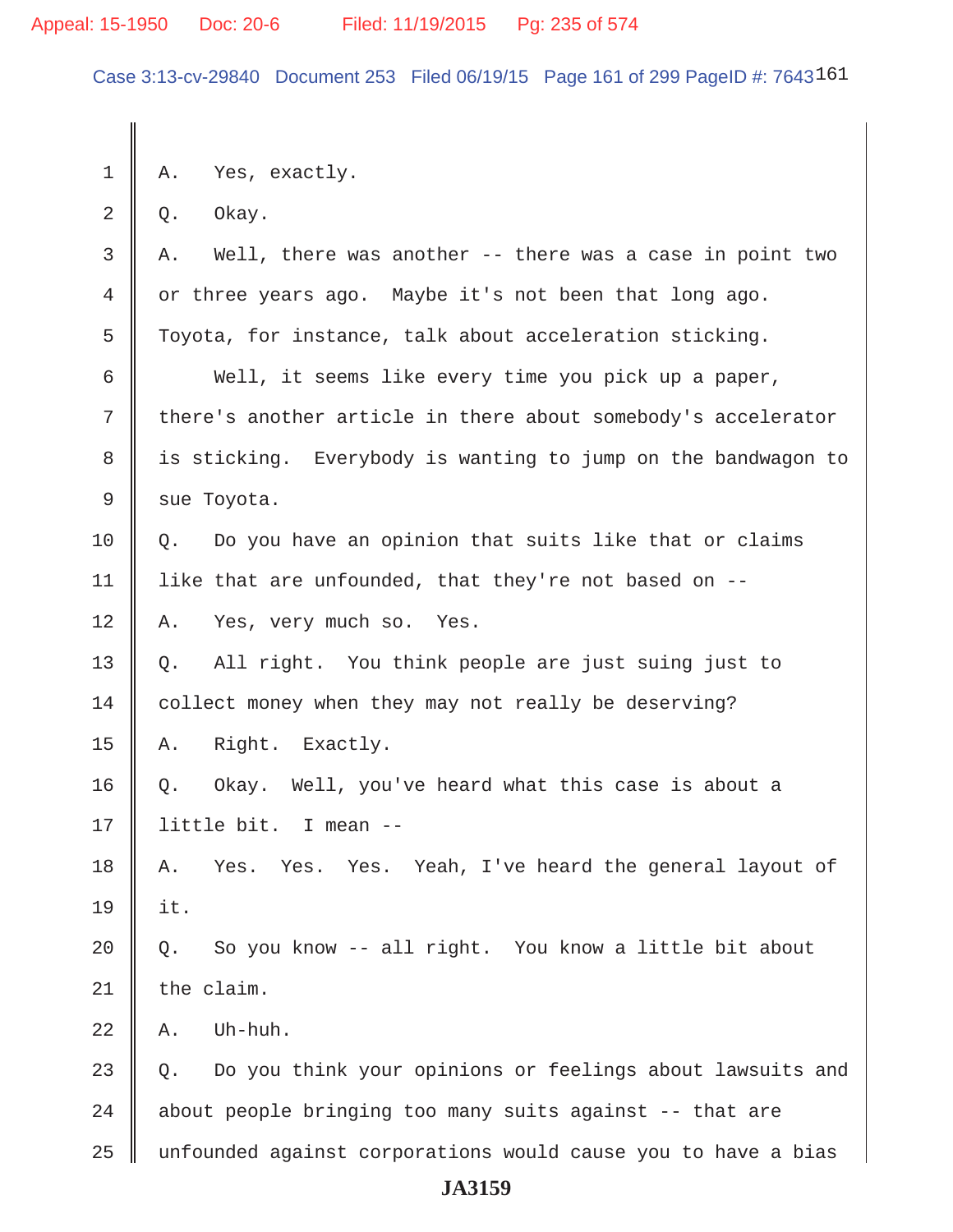Case 3:13-cv-29840 Document 253 Filed 06/19/15 Page 161 of 299 PageID #: 7643161

1 A. Yes, exactly.  $2 \parallel 0.$  Okay.  $3 \parallel A$ . Well, there was another -- there was a case in point two 4 or three years ago. Maybe it's not been that long ago. 5 Toyota, for instance, talk about acceleration sticking.  $6 \parallel$  Well, it seems like every time you pick up a paper, 7 there's another article in there about somebody's accelerator 8 || is sticking. Everybody is wanting to jump on the bandwagon to  $9 \parallel$  sue Toyota.  $10 \parallel$  0. Do you have an opinion that suits like that or claims 11 | like that are unfounded, that they're not based on  $-$ -12 A. Yes, very much so. Yes. 13 Q. All right. You think people are just suing just to 14 | collect money when they may not really be deserving? 15 || A. Right. Exactly. 16 Q. Okay. Well, you've heard what this case is about a 17 little bit. I mean -- 18 A. Yes. Yes. Yes. Yeah, I've heard the general layout of 19 it.  $20 \parallel Q$ . So you know -- all right. You know a little bit about  $21$  | the claim.  $22 \parallel A$ . Uh-huh. 23 Q. Do you think your opinions or feelings about lawsuits and  $24$   $\parallel$  about people bringing too many suits against -- that are 25 unfounded against corporations would cause you to have a bias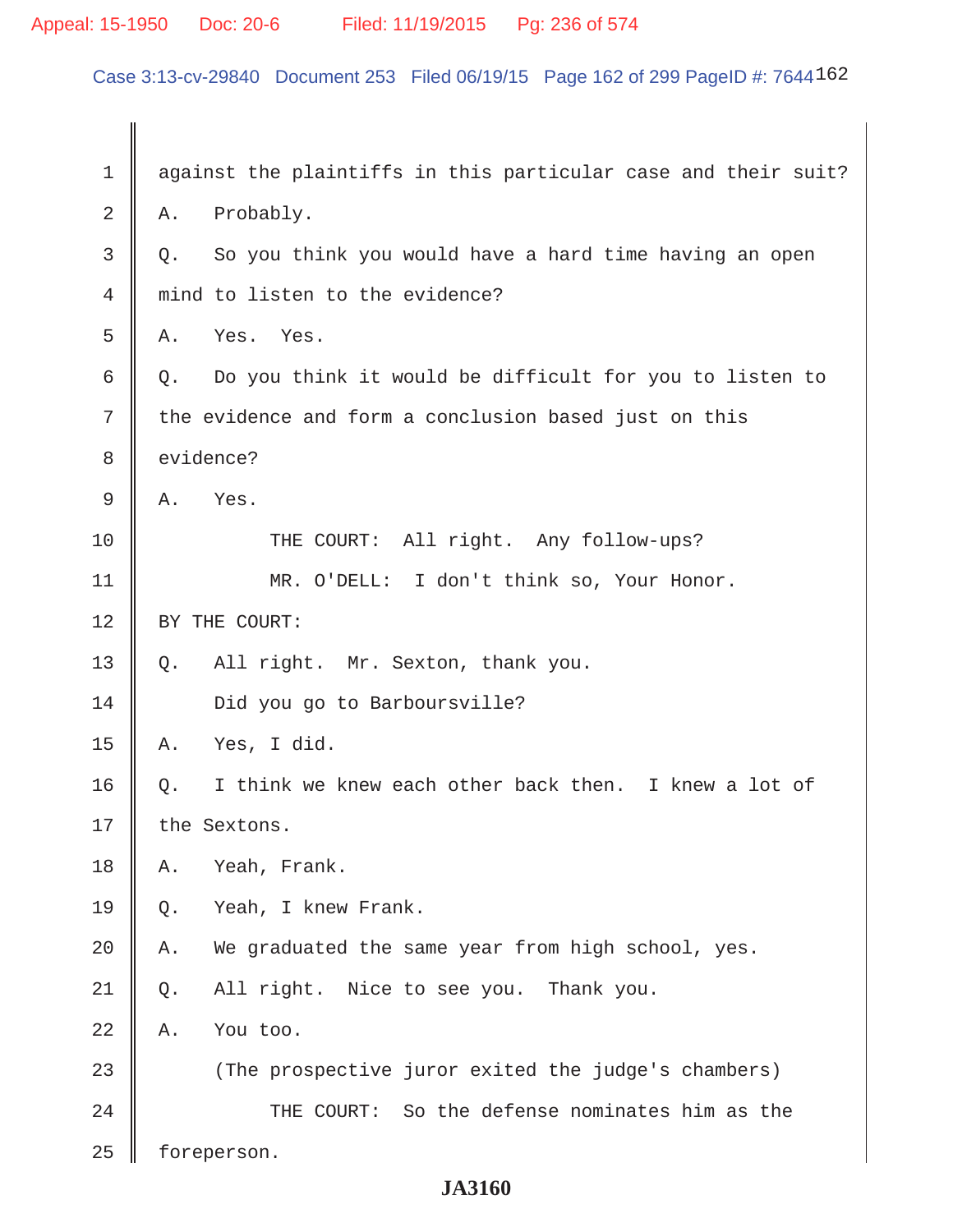# Appeal: 15-1950 Doc: 20-6 Filed: 11/19/2015 Pg: 236 of 574

Case 3:13-cv-29840 Document 253 Filed 06/19/15 Page 162 of 299 PageID #: 7644162

| $\mathbf 1$ | against the plaintiffs in this particular case and their suit?  |
|-------------|-----------------------------------------------------------------|
| 2           | Probably.<br>Α.                                                 |
| 3           | So you think you would have a hard time having an open<br>$Q$ . |
| 4           | mind to listen to the evidence?                                 |
| 5           | Yes. Yes.<br>Α.                                                 |
| 6           | Q. Do you think it would be difficult for you to listen to      |
| 7           | the evidence and form a conclusion based just on this           |
| 8           | evidence?                                                       |
| 9           | Α.<br>Yes.                                                      |
| 10          | THE COURT: All right. Any follow-ups?                           |
| 11          | MR. O'DELL: I don't think so, Your Honor.                       |
| 12          | BY THE COURT:                                                   |
| 13          | All right. Mr. Sexton, thank you.<br>Q.                         |
| 14          | Did you go to Barboursville?                                    |
| 15          | Yes, I did.<br>Α.                                               |
| 16          | I think we knew each other back then. I knew a lot of<br>Q.     |
| 17          | the Sextons.                                                    |
| 18          | Yeah, Frank.<br>Α.                                              |
| 19          | Yeah, I knew Frank.<br>Q.                                       |
| 20          | We graduated the same year from high school, yes.<br>Α.         |
| 21          | All right. Nice to see you. Thank you.<br>Q.                    |
| 22          | Α.<br>You too.                                                  |
| 23          | (The prospective juror exited the judge's chambers)             |
| 24          | THE COURT: So the defense nominates him as the                  |
| 25          | foreperson.                                                     |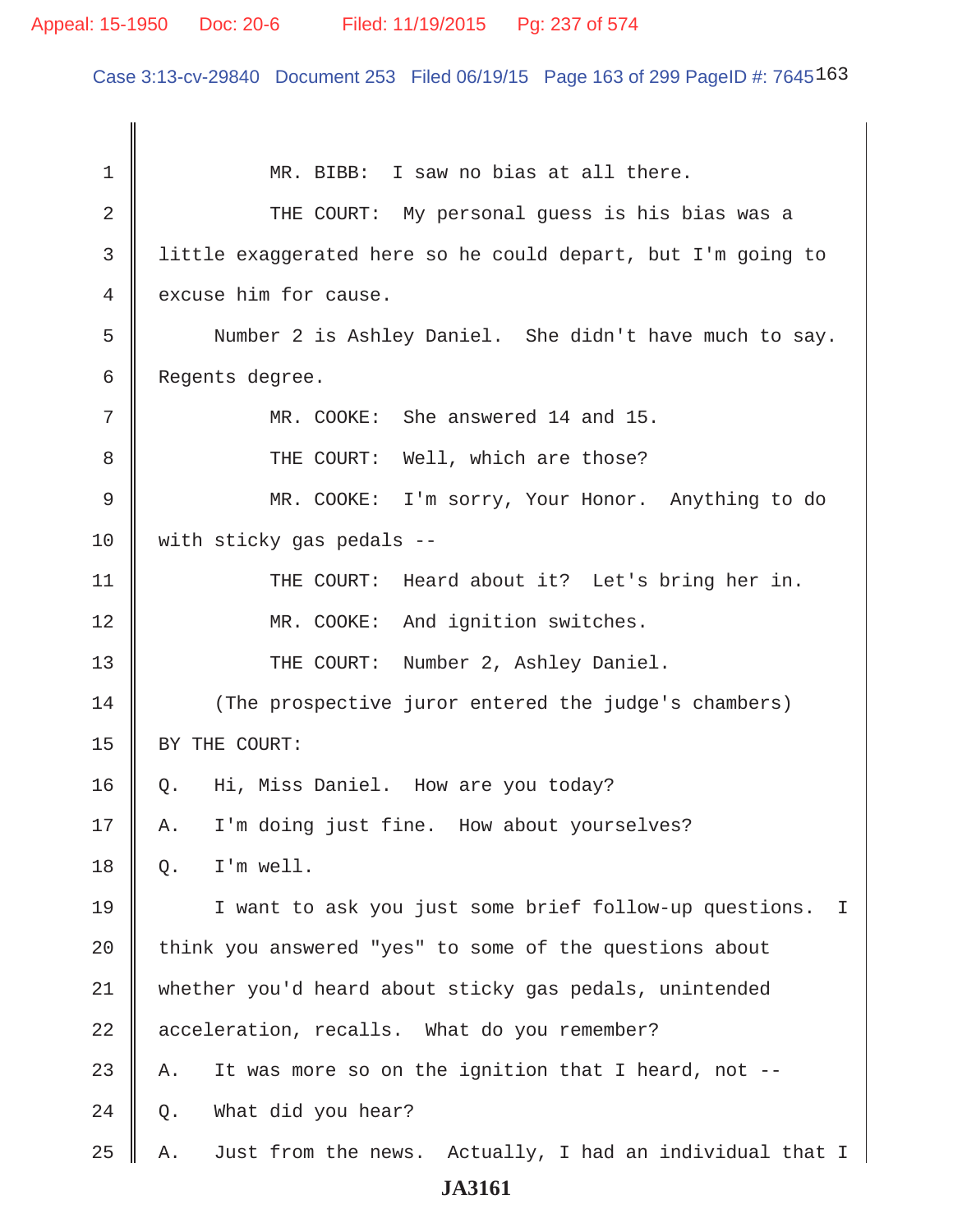#### Appeal: 15-1950 Doc: 20-6 Filed: 11/19/2015 Pg: 237 of 574

Case 3:13-cv-29840 Document 253 Filed 06/19/15 Page 163 of 299 PageID #: 7645163

1 || MR. BIBB: I saw no bias at all there. 2 THE COURT: My personal guess is his bias was a 3 little exaggerated here so he could depart, but I'm going to 4 excuse him for cause. 5 Number 2 is Ashley Daniel. She didn't have much to say. 6 Regents degree. 7 || MR. COOKE: She answered 14 and 15. 8 THE COURT: Well, which are those? 9 || MR. COOKE: I'm sorry, Your Honor. Anything to do 10 with sticky gas pedals --11 || THE COURT: Heard about it? Let's bring her in. 12 || MR. COOKE: And ignition switches. 13 || THE COURT: Number 2, Ashley Daniel. 14 || (The prospective juror entered the judge's chambers) 15 | BY THE COURT: 16 Q. Hi, Miss Daniel. How are you today? 17 A. I'm doing just fine. How about yourselves?  $18$   $\parallel$  O. I'm well. 19 I want to ask you just some brief follow-up questions. I 20 think you answered "yes" to some of the questions about 21 whether you'd heard about sticky gas pedals, unintended 22 acceleration, recalls. What do you remember? 23 || A. It was more so on the ignition that I heard, not  $-$ - $24 \parallel Q$ . What did you hear? 25  $\parallel$  A. Just from the news. Actually, I had an individual that I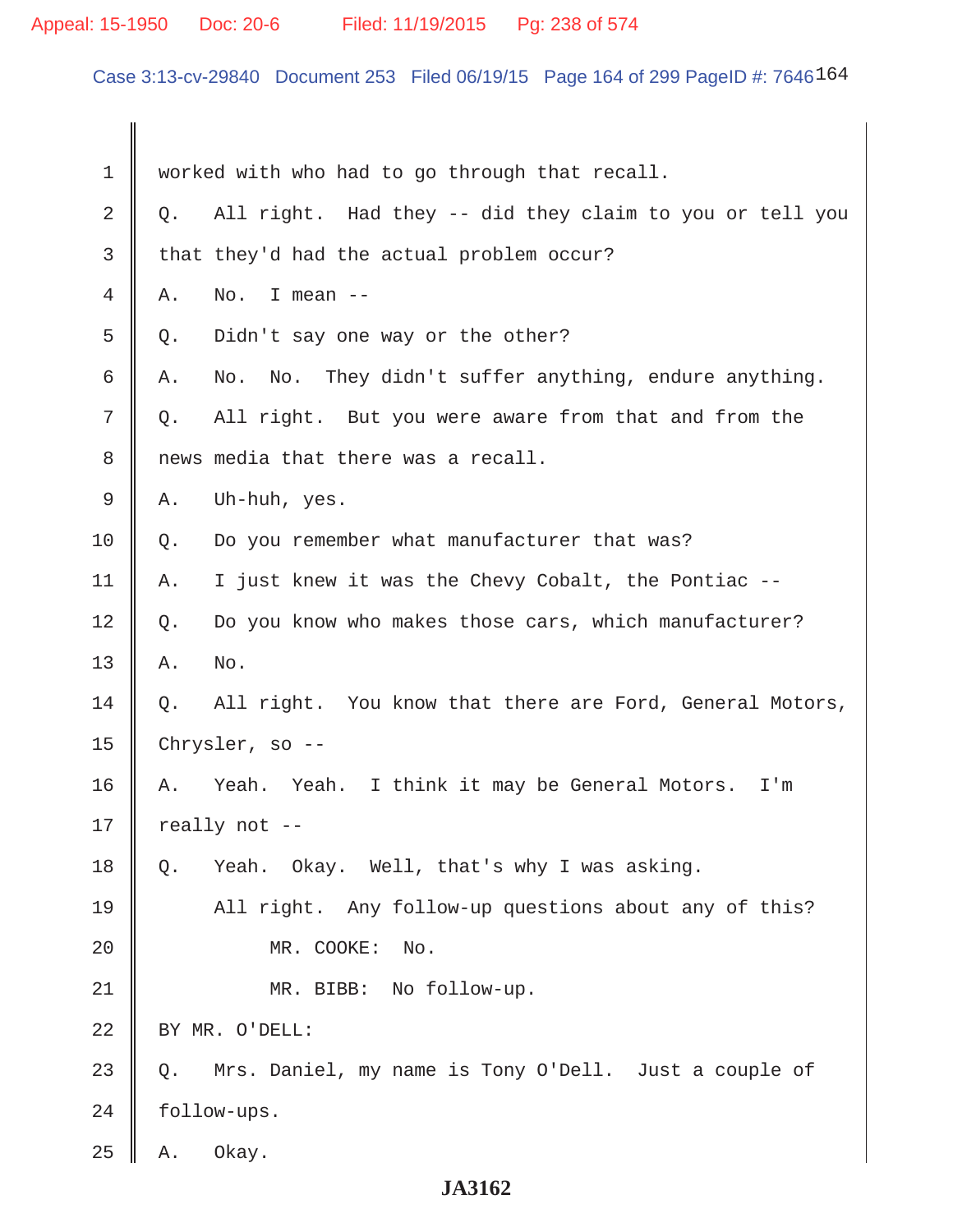# Appeal: 15-1950 Doc: 20-6 Filed: 11/19/2015 Pg: 238 of 574

Case 3:13-cv-29840 Document 253 Filed 06/19/15 Page 164 of 299 PageID #: 7646164

| 1  | worked with who had to go through that recall.                 |
|----|----------------------------------------------------------------|
| 2  | All right. Had they -- did they claim to you or tell you<br>Q. |
| 3  | that they'd had the actual problem occur?                      |
| 4  | I mean $--$<br>No.<br>Α.                                       |
| 5  | Didn't say one way or the other?<br>Q.                         |
| 6  | No. No. They didn't suffer anything, endure anything.<br>Α.    |
| 7  | All right. But you were aware from that and from the<br>Q.     |
| 8  | news media that there was a recall.                            |
| 9  | Uh-huh, yes.<br>Α.                                             |
| 10 | Do you remember what manufacturer that was?<br>Q.              |
| 11 | I just knew it was the Chevy Cobalt, the Pontiac --<br>Α.      |
| 12 | Do you know who makes those cars, which manufacturer?<br>$Q$ . |
| 13 | No.<br>Α.                                                      |
| 14 | All right. You know that there are Ford, General Motors,<br>Q. |
| 15 | Chrysler, so --                                                |
| 16 | Yeah. Yeah. I think it may be General Motors.<br>Α.<br>I'm     |
| 17 | really not --                                                  |
| 18 | Yeah. Okay. Well, that's why I was asking.<br>Q.               |
| 19 | All right. Any follow-up questions about any of this?          |
| 20 | MR. COOKE:<br>No.                                              |
| 21 | MR. BIBB: No follow-up.                                        |
| 22 | BY MR. O'DELL:                                                 |
| 23 | Mrs. Daniel, my name is Tony O'Dell. Just a couple of<br>Q.    |
| 24 | follow-ups.                                                    |
| 25 | Okay.<br>Α.                                                    |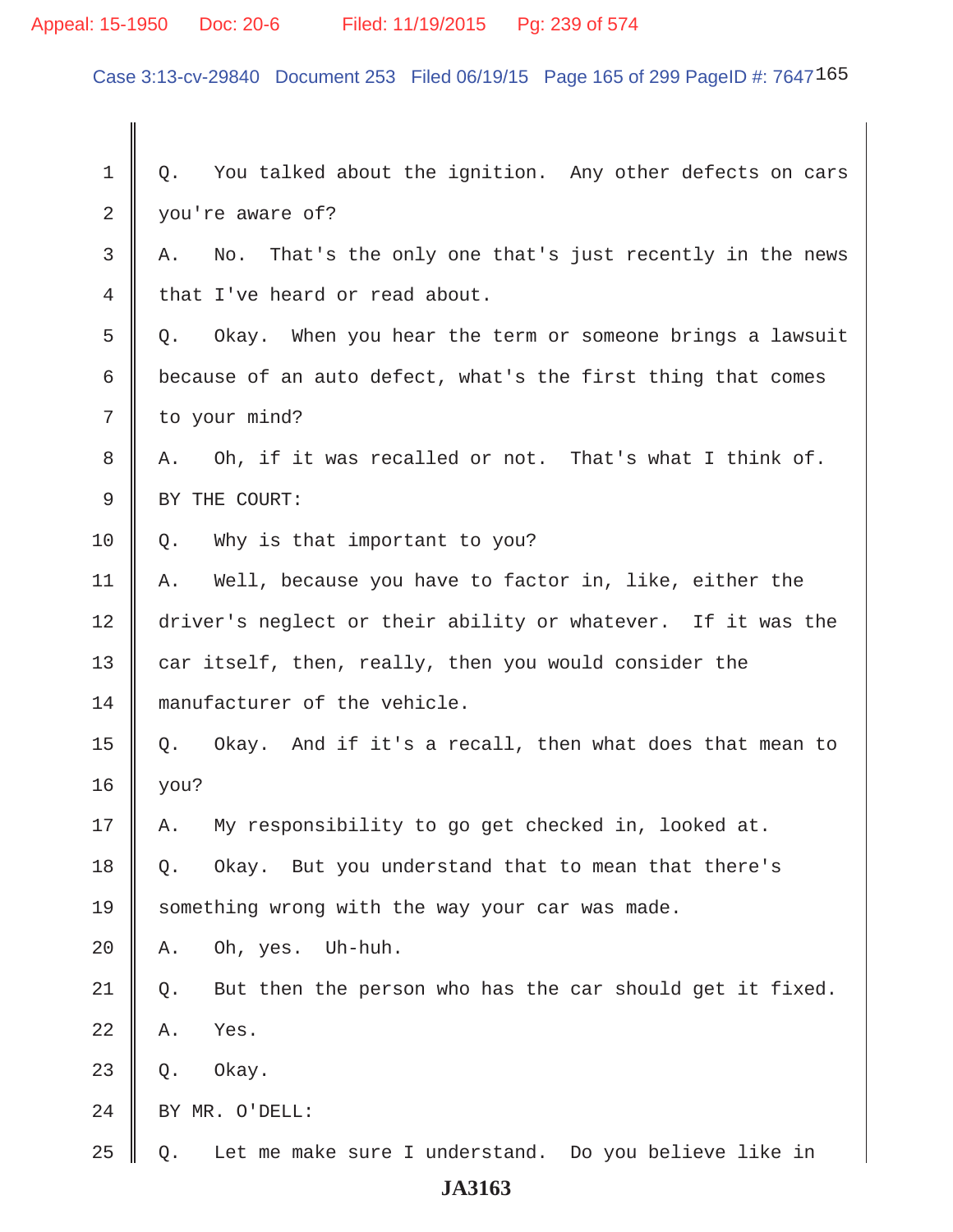# Appeal: 15-1950 Doc: 20-6 Filed: 11/19/2015 Pg: 239 of 574

Case 3:13-cv-29840 Document 253 Filed 06/19/15 Page 165 of 299 PageID #: 7647165

| 1              | You talked about the ignition. Any other defects on cars<br>Q. |
|----------------|----------------------------------------------------------------|
| $\overline{2}$ | you're aware of?                                               |
| 3              | No. That's the only one that's just recently in the news<br>Α. |
| 4              | that I've heard or read about.                                 |
| 5              | Okay. When you hear the term or someone brings a lawsuit<br>Q. |
| 6              | because of an auto defect, what's the first thing that comes   |
| 7              | to your mind?                                                  |
| 8              | Oh, if it was recalled or not. That's what I think of.<br>Α.   |
| 9              | BY THE COURT:                                                  |
| 10             | Why is that important to you?<br>Q.                            |
| 11             | A. Well, because you have to factor in, like, either the       |
| 12             | driver's neglect or their ability or whatever. If it was the   |
| 13             | car itself, then, really, then you would consider the          |
| 14             | manufacturer of the vehicle.                                   |
| 15             | Okay. And if it's a recall, then what does that mean to<br>Q.  |
| 16             | you?                                                           |
| 17             | My responsibility to go get checked in, looked at.<br>Α.       |
| 18             | Okay. But you understand that to mean that there's<br>Q.       |
| 19             | something wrong with the way your car was made.                |
| 20             | Uh-huh.<br>Oh, yes.<br>Α.                                      |
| 21             | But then the person who has the car should get it fixed.<br>Q. |
| 22             | Yes.<br>Α.                                                     |
| 23             | Okay.<br>Q.                                                    |
| 24             | BY MR. O'DELL:                                                 |
| 25             | Let me make sure I understand. Do you believe like in<br>$Q$ . |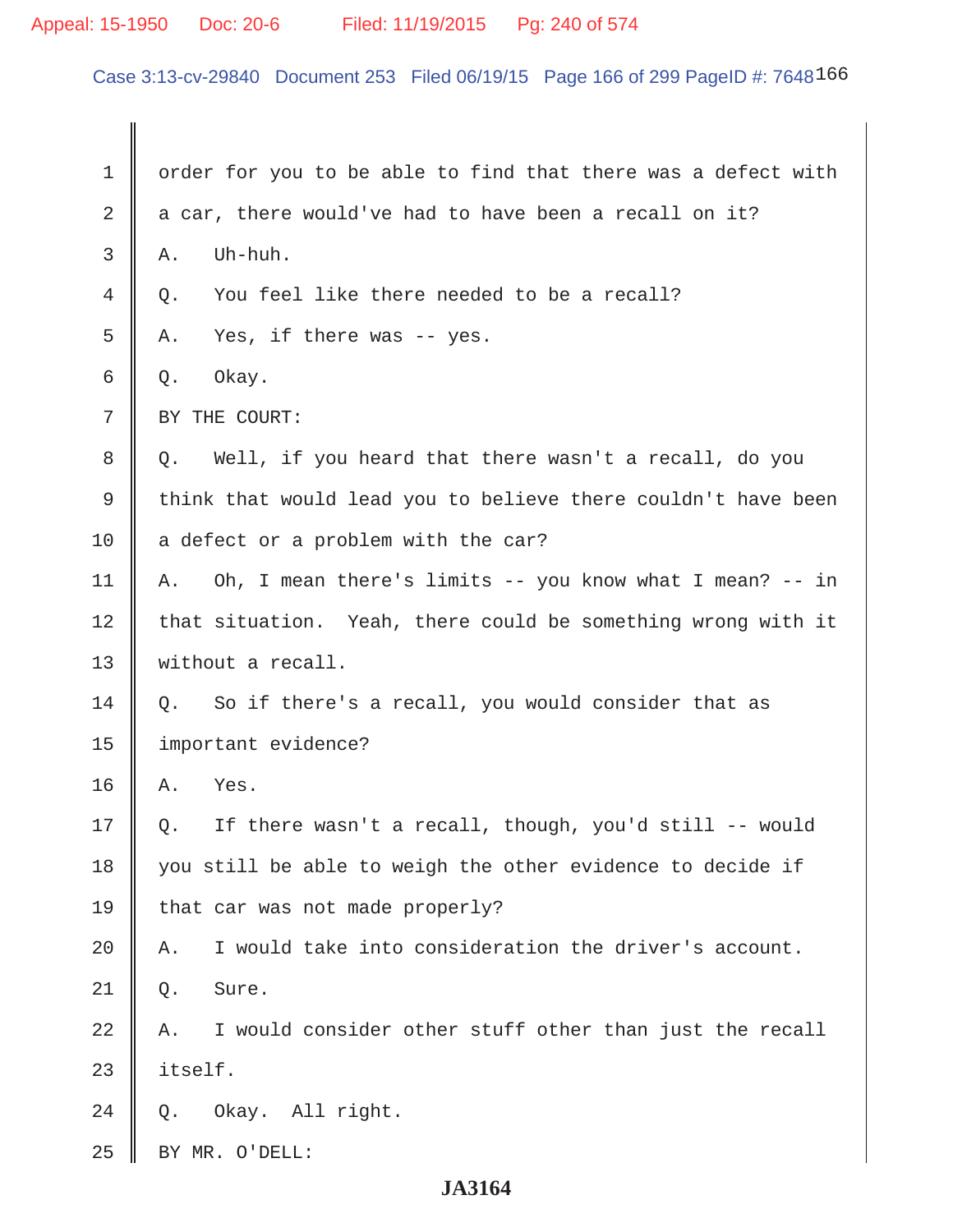# Appeal: 15-1950 Doc: 20-6 Filed: 11/19/2015 Pg: 240 of 574

Case 3:13-cv-29840 Document 253 Filed 06/19/15 Page 166 of 299 PageID #: 7648166

| 1  | order for you to be able to find that there was a defect with  |
|----|----------------------------------------------------------------|
| 2  | a car, there would've had to have been a recall on it?         |
| 3  | Uh-huh.<br>Α.                                                  |
| 4  | You feel like there needed to be a recall?<br>Q.               |
| 5  | Yes, if there was $-$ - yes.<br>Α.                             |
| 6  | Okay.<br>Q.                                                    |
| 7  | BY THE COURT:                                                  |
| 8  | Well, if you heard that there wasn't a recall, do you<br>Q.    |
| 9  | think that would lead you to believe there couldn't have been  |
| 10 | a defect or a problem with the car?                            |
| 11 | Oh, I mean there's limits -- you know what I mean? -- in<br>Α. |
| 12 | that situation. Yeah, there could be something wrong with it   |
| 13 | without a recall.                                              |
| 14 | So if there's a recall, you would consider that as<br>Q.       |
| 15 | important evidence?                                            |
| 16 | Yes.<br>Α.                                                     |
| 17 | If there wasn't a recall, though, you'd still -- would<br>Q.   |
| 18 | you still be able to weigh the other evidence to decide if     |
| 19 | that car was not made properly?                                |
| 20 | I would take into consideration the driver's account.<br>Α.    |
| 21 | Sure.<br>Q.                                                    |
| 22 | I would consider other stuff other than just the recall<br>Α.  |
| 23 | itself.                                                        |
| 24 | Okay. All right.<br>Q.                                         |
| 25 | BY MR. O'DELL:                                                 |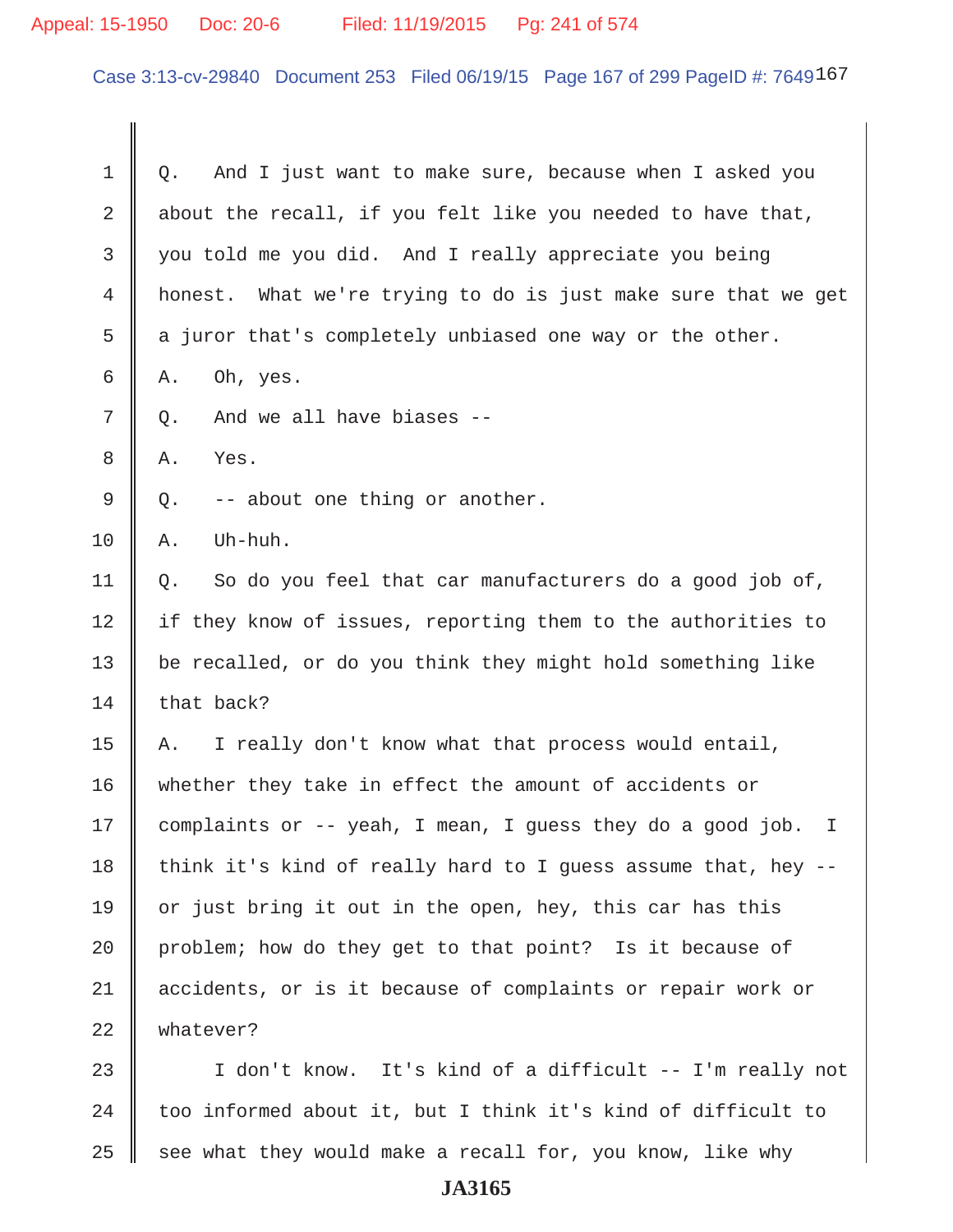### Appeal: 15-1950 Doc: 20-6 Filed: 11/19/2015 Pg: 241 of 574

 $\parallel$ 

Case 3:13-cv-29840 Document 253 Filed 06/19/15 Page 167 of 299 PageID #: 7649167

| 1  | And I just want to make sure, because when I asked you<br>Q.    |
|----|-----------------------------------------------------------------|
| 2  | about the recall, if you felt like you needed to have that,     |
| 3  | you told me you did. And I really appreciate you being          |
| 4  | honest. What we're trying to do is just make sure that we get   |
| 5  | a juror that's completely unbiased one way or the other.        |
| 6  | Oh, yes.<br>Α.                                                  |
| 7  | And we all have biases --<br>$Q$ .                              |
| 8  | Yes.<br>Α.                                                      |
| 9  | -- about one thing or another.<br>Q.                            |
| 10 | Uh-huh.<br>Α.                                                   |
| 11 | So do you feel that car manufacturers do a good job of,<br>Q.   |
| 12 | if they know of issues, reporting them to the authorities to    |
| 13 | be recalled, or do you think they might hold something like     |
| 14 | that back?                                                      |
| 15 | I really don't know what that process would entail,<br>Α.       |
| 16 | whether they take in effect the amount of accidents or          |
| 17 | complaints or -- yeah, I mean, I guess they do a good job.<br>I |
| 18 | think it's kind of really hard to I guess assume that, hey --   |
| 19 | or just bring it out in the open, hey, this car has this        |
| 20 | problem; how do they get to that point? Is it because of        |
| 21 | accidents, or is it because of complaints or repair work or     |
| 22 | whatever?                                                       |
| 23 | I don't know. It's kind of a difficult -- I'm really not        |
| 24 | too informed about it, but I think it's kind of difficult to    |

25  $\parallel$  see what they would make a recall for, you know, like why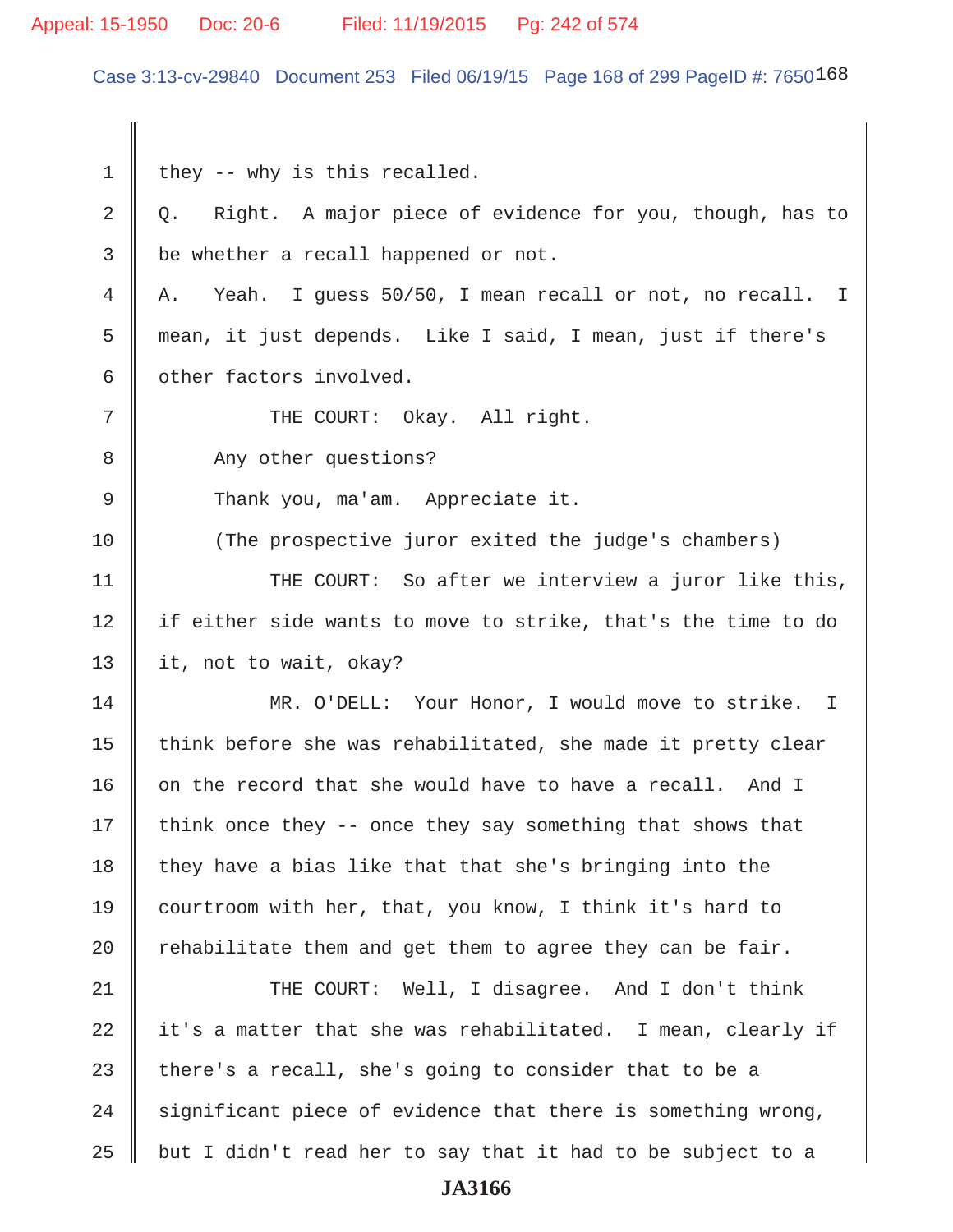#### Appeal: 15-1950 Doc: 20-6 Filed: 11/19/2015 Pg: 242 of 574

Case 3:13-cv-29840 Document 253 Filed 06/19/15 Page 168 of 299 PageID #: 7650168

 $1 \parallel$  they -- why is this recalled.  $2 \parallel Q$ . Right. A major piece of evidence for you, though, has to  $3 \parallel$  be whether a recall happened or not. 4 A. Yeah. I guess 50/50, I mean recall or not, no recall. I 5 mean, it just depends. Like I said, I mean, just if there's  $6 \parallel$  other factors involved. 7 || THE COURT: Okay. All right. 8 Any other questions? 9 || Thank you, ma'am. Appreciate it. 10 (The prospective juror exited the judge's chambers) 11 || THE COURT: So after we interview a juror like this, 12 || if either side wants to move to strike, that's the time to do 13 | it, not to wait, okay? 14 MR. O'DELL: Your Honor, I would move to strike. I 15  $\parallel$  think before she was rehabilitated, she made it pretty clear 16  $\parallel$  on the record that she would have to have a recall. And I 17  $\parallel$  think once they -- once they say something that shows that  $18$  they have a bias like that that she's bringing into the 19 courtroom with her, that, you know, I think it's hard to 20  $\parallel$  rehabilitate them and get them to agree they can be fair. 21 THE COURT: Well, I disagree. And I don't think 22  $\parallel$  it's a matter that she was rehabilitated. I mean, clearly if 23  $\parallel$  there's a recall, she's going to consider that to be a 24  $\parallel$  significant piece of evidence that there is something wrong,  $25$  | but I didn't read her to say that it had to be subject to a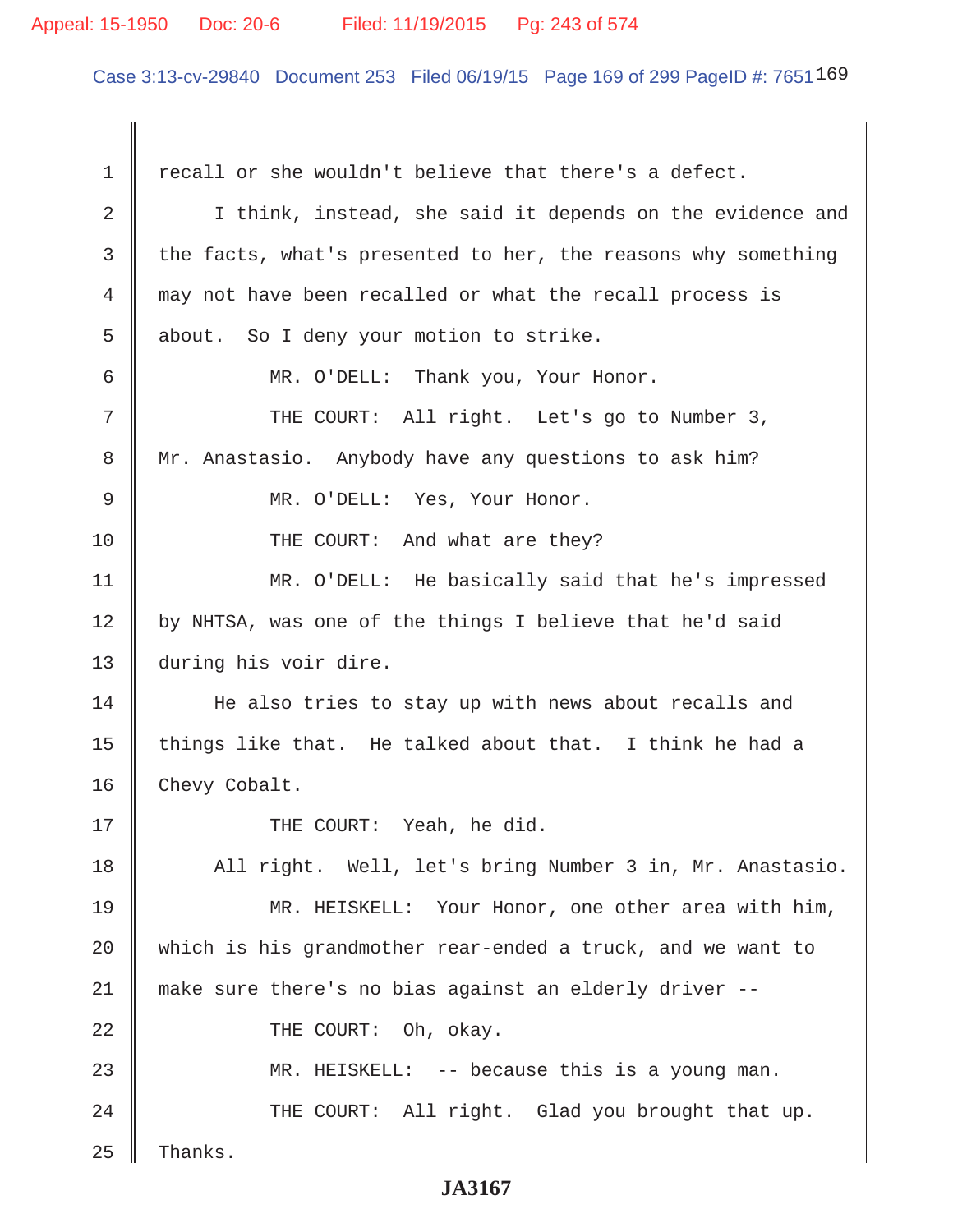#### Appeal: 15-1950 Doc: 20-6 Filed: 11/19/2015 Pg: 243 of 574

Case 3:13-cv-29840 Document 253 Filed 06/19/15 Page 169 of 299 PageID #: 7651169

1 | recall or she wouldn't believe that there's a defect. 2 | I think, instead, she said it depends on the evidence and  $3 \parallel$  the facts, what's presented to her, the reasons why something 4 may not have been recalled or what the recall process is  $5 \parallel$  about. So I deny your motion to strike. 6 MR. O'DELL: Thank you, Your Honor. 7 || THE COURT: All right. Let's go to Number 3, 8 || Mr. Anastasio. Anybody have any questions to ask him? 9 || MR. O'DELL: Yes, Your Honor. 10 || THE COURT: And what are they? 11 MR. O'DELL: He basically said that he's impressed  $12$  | by NHTSA, was one of the things I believe that he'd said 13 during his voir dire. 14 He also tries to stay up with news about recalls and 15  $\parallel$  things like that. He talked about that. I think he had a 16 | Chevy Cobalt. 17 || THE COURT: Yeah, he did. 18 || All right. Well, let's bring Number 3 in, Mr. Anastasio. 19 MR. HEISKELL: Your Honor, one other area with him, 20 which is his grandmother rear-ended a truck, and we want to 21 make sure there's no bias against an elderly driver -- 22 || THE COURT: Oh, okay. 23 MR. HEISKELL: -- because this is a young man. 24 THE COURT: All right. Glad you brought that up.  $25$  Thanks.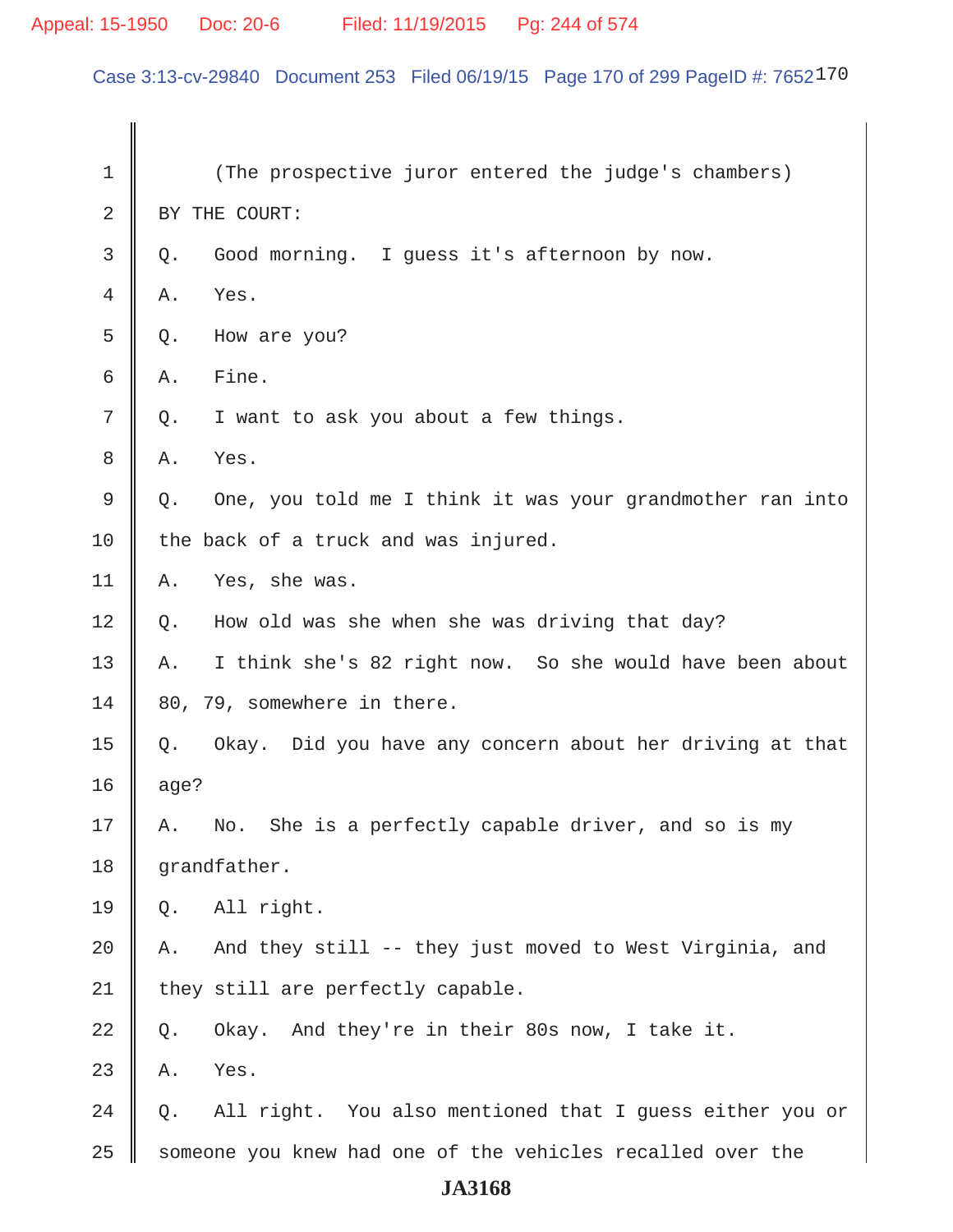# Appeal: 15-1950 Doc: 20-6 Filed: 11/19/2015 Pg: 244 of 574

Case 3:13-cv-29840 Document 253 Filed 06/19/15 Page 170 of 299 PageID #: 7652170

| $\mathbf 1$ | (The prospective juror entered the judge's chambers)            |
|-------------|-----------------------------------------------------------------|
| 2           | BY THE COURT:                                                   |
| 3           | Good morning. I guess it's afternoon by now.<br>Q.              |
| 4           | Yes.<br>Α.                                                      |
| 5           | How are you?<br>Q.                                              |
| 6           | Fine.<br>Α.                                                     |
| 7           | I want to ask you about a few things.<br>Q.                     |
| 8           | Yes.<br>Α.                                                      |
| 9           | One, you told me I think it was your grandmother ran into<br>Q. |
| 10          | the back of a truck and was injured.                            |
| 11          | Yes, she was.<br>Α.                                             |
| 12          | How old was she when she was driving that day?<br>Q.            |
| 13          | I think she's 82 right now. So she would have been about<br>Α.  |
| 14          | 80, 79, somewhere in there.                                     |
| 15          | Okay. Did you have any concern about her driving at that<br>Q.  |
| 16          | age?                                                            |
| 17          | No. She is a perfectly capable driver, and so is my<br>Α.       |
| 18          | grandfather.                                                    |
| 19          | All right.<br>Q.                                                |
| 20          | And they still -- they just moved to West Virginia, and<br>Α.   |
| 21          | they still are perfectly capable.                               |
| 22          | Okay. And they're in their 80s now, I take it.<br>Q.            |
| 23          | Yes.<br>Α.                                                      |
| 24          | All right. You also mentioned that I guess either you or<br>Q.  |
| 25          | someone you knew had one of the vehicles recalled over the      |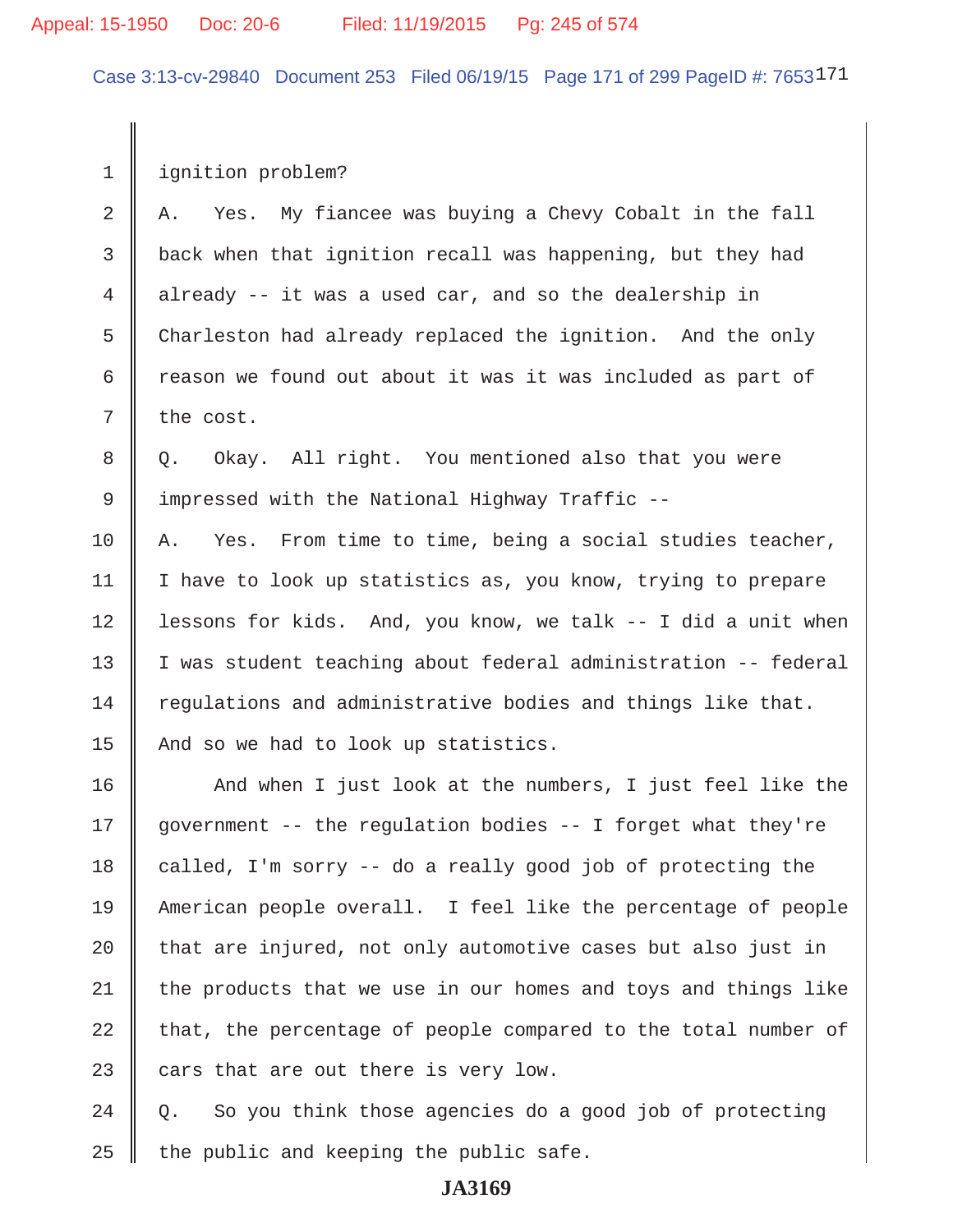Case 3:13-cv-29840 Document 253 Filed 06/19/15 Page 171 of 299 PageID #: 7653171

1 | ignition problem?

2  $\parallel$  A. Yes. My fiancee was buying a Chevy Cobalt in the fall 3 back when that ignition recall was happening, but they had 4 already  $-$  it was a used car, and so the dealership in 5 Charleston had already replaced the ignition. And the only 6  $\parallel$  reason we found out about it was it was included as part of  $7$  the cost.

8 || Q. Okay. All right. You mentioned also that you were 9 I impressed with the National Highway Traffic --

 $10$  | A. Yes. From time to time, being a social studies teacher, 11 | I have to look up statistics as, you know, trying to prepare 12 | lessons for kids. And, you know, we talk -- I did a unit when 13 | I was student teaching about federal administration -- federal  $14$  requlations and administrative bodies and things like that. 15 And so we had to look up statistics.

16 || And when I just look at the numbers, I just feel like the  $\parallel$  government -- the regulation bodies -- I forget what they're  $\parallel$  called, I'm sorry -- do a really good job of protecting the 19 American people overall. I feel like the percentage of people | that are injured, not only automotive cases but also just in the products that we use in our homes and toys and things like | that, the percentage of people compared to the total number of  $\parallel$  cars that are out there is very low.

 $24 \parallel Q$ . So you think those agencies do a good job of protecting  $25$  | the public and keeping the public safe.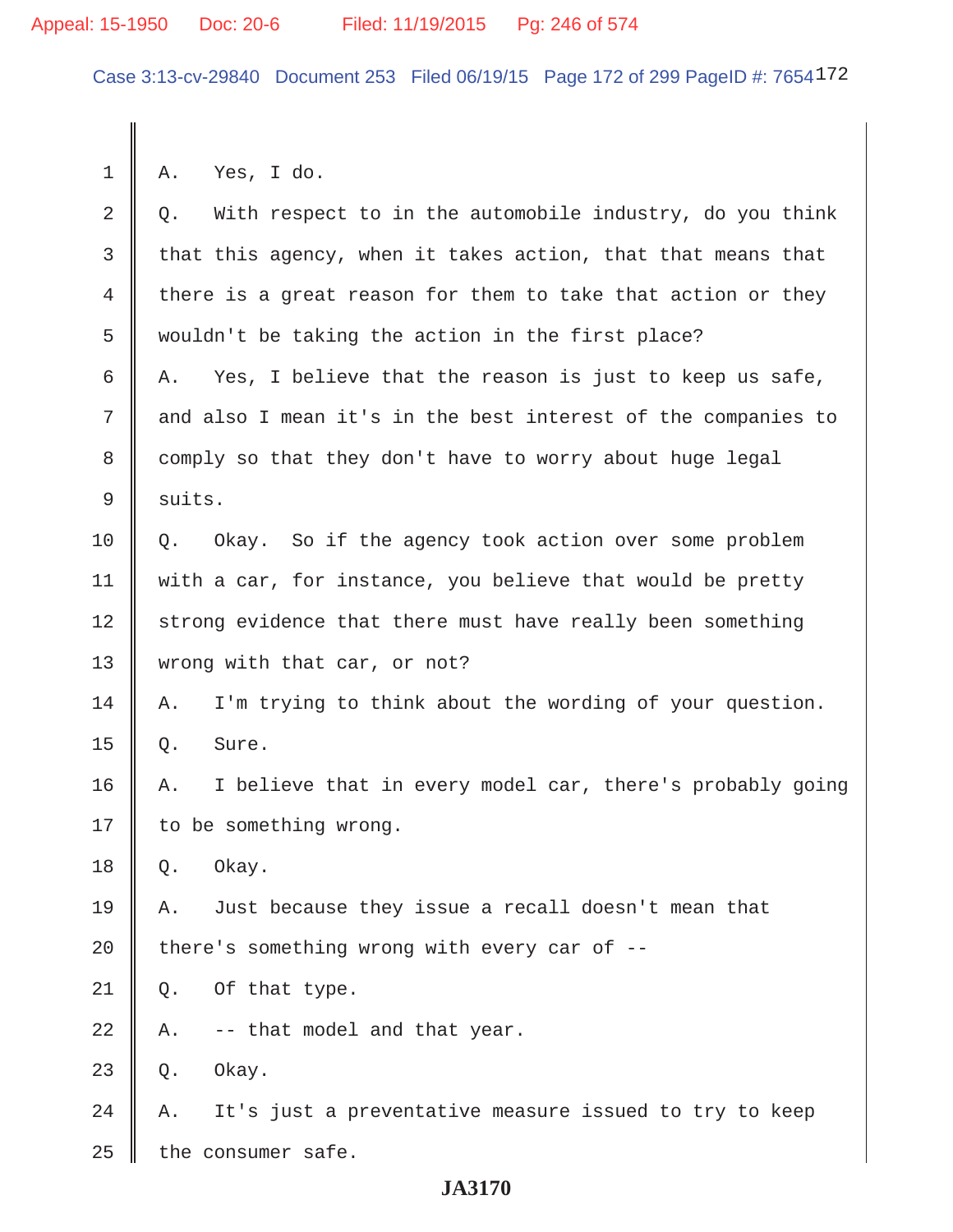#### Appeal: 15-1950 Doc: 20-6 Filed: 11/19/2015 Pg: 246 of 574

Case 3:13-cv-29840 Document 253 Filed 06/19/15 Page 172 of 299 PageID #: 7654172

 $1 \parallel A$ . Yes, I do.  $2 \parallel Q$ . With respect to in the automobile industry, do you think 3 that this agency, when it takes action, that that means that 4 there is a great reason for them to take that action or they 5 wouldn't be taking the action in the first place? 6 A. Yes, I believe that the reason is just to keep us safe, 7 and also I mean it's in the best interest of the companies to 8 comply so that they don't have to worry about huge legal 9 | suits.  $10 \parallel Q$ . Okay. So if the agency took action over some problem 11  $\parallel$  with a car, for instance, you believe that would be pretty 12 strong evidence that there must have really been something 13 || wrong with that car, or not? 14  $\parallel$  A. I'm trying to think about the wording of your question.  $15 \parallel$  Q. Sure. 16 A. I believe that in every model car, there's probably going 17 | to be something wrong.  $18 \parallel 0.$  Okay. 19 A. Just because they issue a recall doesn't mean that 20  $\parallel$  there's something wrong with every car of -- $21 \parallel Q$ . Of that type.  $22 \parallel$  A. -- that model and that year.  $23 \parallel$  Q. Okay.  $24$  | A. It's just a preventative measure issued to try to keep  $25$  | the consumer safe.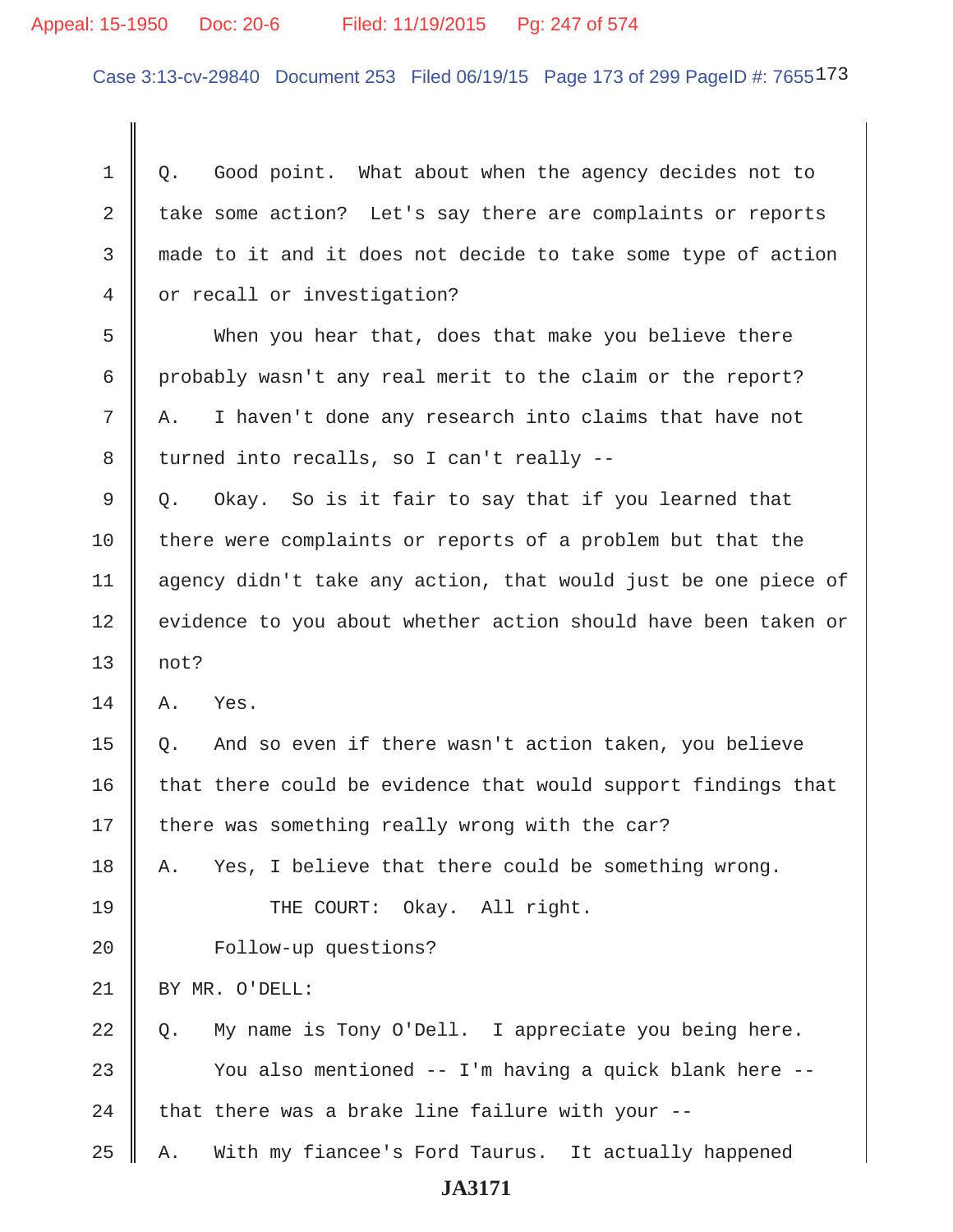#### Appeal: 15-1950 Doc: 20-6 Filed: 11/19/2015 Pg: 247 of 574

Case 3:13-cv-29840 Document 253 Filed 06/19/15 Page 173 of 299 PageID #: 7655173

 $1 \parallel 0$ . Good point. What about when the agency decides not to 2  $\parallel$  take some action? Let's say there are complaints or reports 3 made to it and it does not decide to take some type of action 4 or recall or investigation? 5 When you hear that, does that make you believe there 6 probably wasn't any real merit to the claim or the report?  $7 \parallel A$ . I haven't done any research into claims that have not 8 | turned into recalls, so I can't really -- $9 \parallel Q$ . Okay. So is it fair to say that if you learned that 10 | there were complaints or reports of a problem but that the 11 agency didn't take any action, that would just be one piece of 12 || evidence to you about whether action should have been taken or  $13 \parallel \text{not?}$  $14$  A. Yes.  $15 \parallel Q$ . And so even if there wasn't action taken, you believe  $16$  that there could be evidence that would support findings that 17  $\parallel$  there was something really wrong with the car?  $18$  || A. Yes, I believe that there could be something wrong. 19 || THE COURT: Okay. All right. 20 | Follow-up questions? 21 BY MR. O'DELL:  $22 \parallel 0$ . My name is Tony O'Dell. I appreciate you being here. 23 || You also mentioned -- I'm having a quick blank here --24  $\parallel$  that there was a brake line failure with your --25 A. With my fiancee's Ford Taurus. It actually happened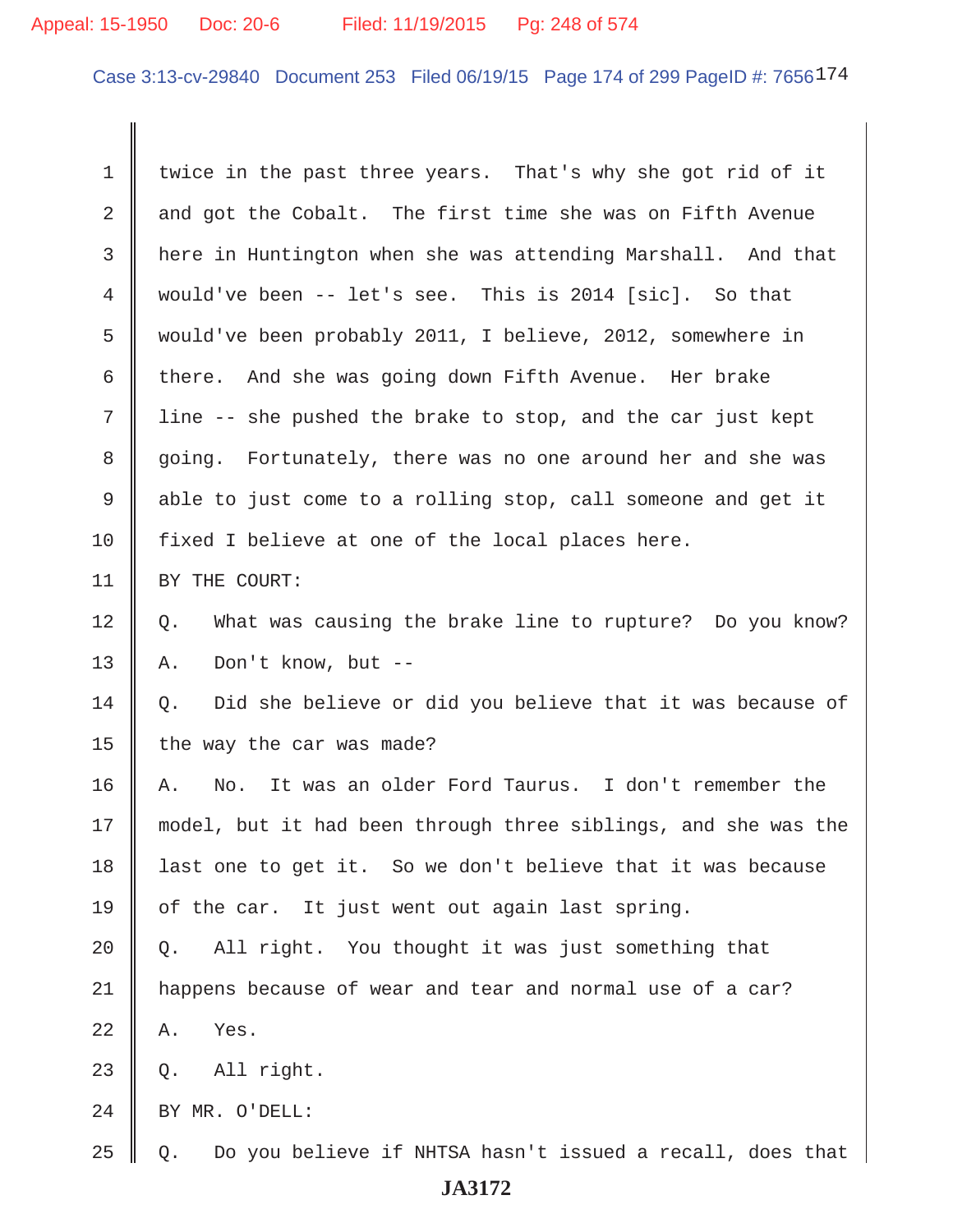#### Appeal: 15-1950 Doc: 20-6 Filed: 11/19/2015 Pg: 248 of 574

Case 3:13-cv-29840 Document 253 Filed 06/19/15 Page 174 of 299 PageID #: 7656174

1 | twice in the past three years. That's why she got rid of it 2  $\parallel$  and got the Cobalt. The first time she was on Fifth Avenue 3 here in Huntington when she was attending Marshall. And that 4 would've been -- let's see. This is 2014 [sic]. So that 5 would've been probably 2011, I believe, 2012, somewhere in 6 there. And she was going down Fifth Avenue. Her brake  $7$  | line -- she pushed the brake to stop, and the car just kept 8 going. Fortunately, there was no one around her and she was 9 able to just come to a rolling stop, call someone and get it  $10$  | fixed I believe at one of the local places here. 11 | BY THE COURT: 12 | Q. What was causing the brake line to rupture? Do you know? 13 || A. Don't know, but  $- 14 \parallel 0.$  Did she believe or did you believe that it was because of 15  $\parallel$  the way the car was made? 16 A. No. It was an older Ford Taurus. I don't remember the 17 model, but it had been through three siblings, and she was the 18 || last one to get it. So we don't believe that it was because 19 || of the car. It just went out again last spring.  $20 \parallel Q$ . All right. You thought it was just something that 21 happens because of wear and tear and normal use of a car?  $22 \parallel$  A. Yes.  $23 \parallel 0.$  All right. 24 | BY MR. O'DELL:  $25 \parallel Q$ . Do you believe if NHTSA hasn't issued a recall, does that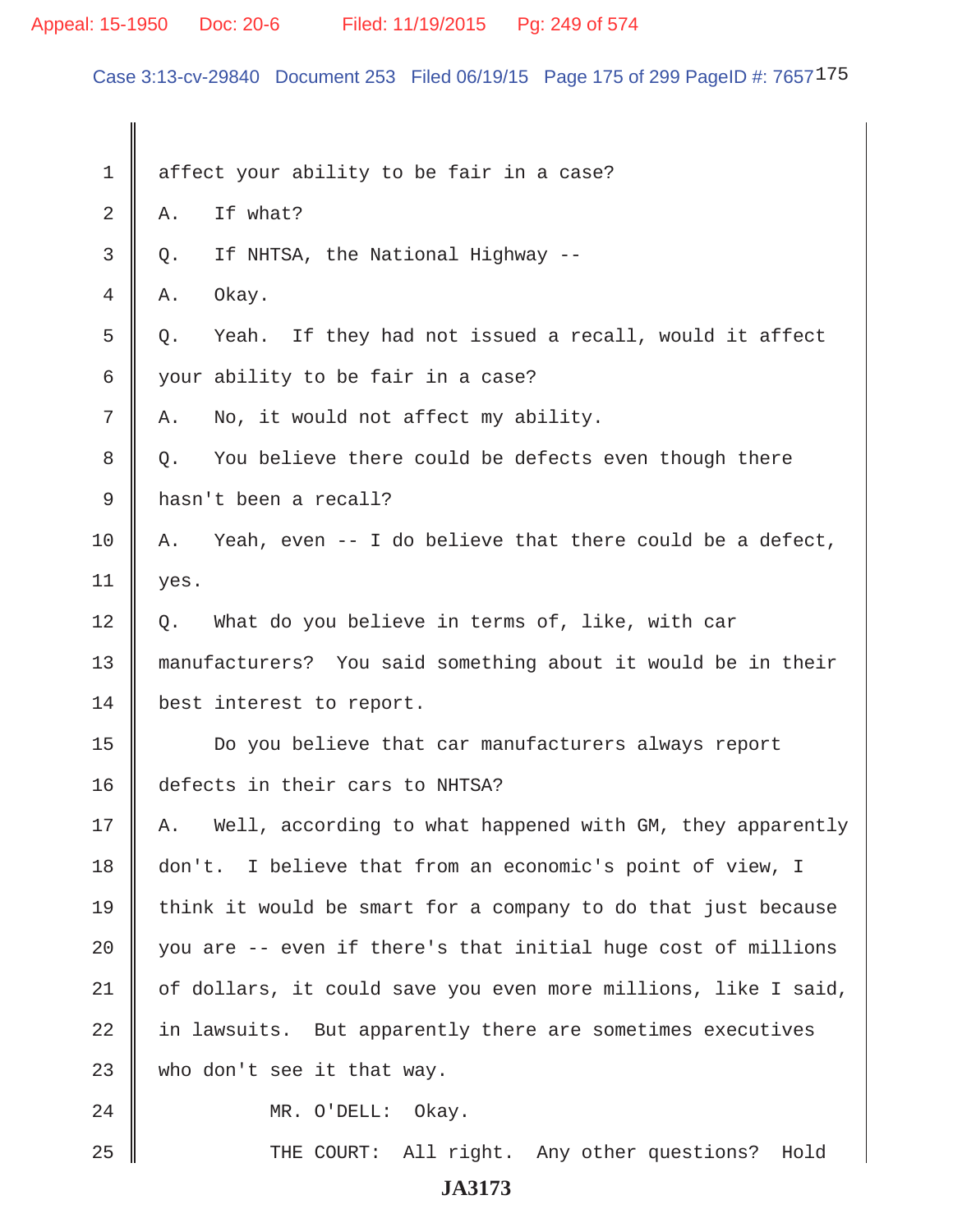Appeal: 15-1950 Doc: 20-6 Filed: 11/19/2015 Pg: 249 of 574

Case 3:13-cv-29840 Document 253 Filed 06/19/15 Page 175 of 299 PageID #: 7657175

| 1  | affect your ability to be fair in a case?                       |
|----|-----------------------------------------------------------------|
| 2  | If what?<br>Α.                                                  |
| 3  | If NHTSA, the National Highway --<br>Q.                         |
| 4  | Okay.<br>Α.                                                     |
| 5  | Yeah. If they had not issued a recall, would it affect<br>Q.    |
| 6  | your ability to be fair in a case?                              |
| 7  | No, it would not affect my ability.<br>Α.                       |
| 8  | You believe there could be defects even though there<br>$Q$ .   |
| 9  | hasn't been a recall?                                           |
| 10 | Yeah, even -- I do believe that there could be a defect,<br>Α.  |
| 11 | yes.                                                            |
| 12 | What do you believe in terms of, like, with car<br>Q.           |
| 13 | manufacturers? You said something about it would be in their    |
| 14 | best interest to report.                                        |
| 15 | Do you believe that car manufacturers always report             |
| 16 | defects in their cars to NHTSA?                                 |
| 17 | Well, according to what happened with GM, they apparently<br>Α. |
| 18 | I believe that from an economic's point of view, I<br>don't.    |
| 19 | think it would be smart for a company to do that just because   |
| 20 | you are -- even if there's that initial huge cost of millions   |
| 21 | of dollars, it could save you even more millions, like I said,  |
| 22 | in lawsuits. But apparently there are sometimes executives      |
| 23 | who don't see it that way.                                      |
| 24 | MR. O'DELL: Okay.                                               |
| 25 | THE COURT: All right. Any other questions? Hold                 |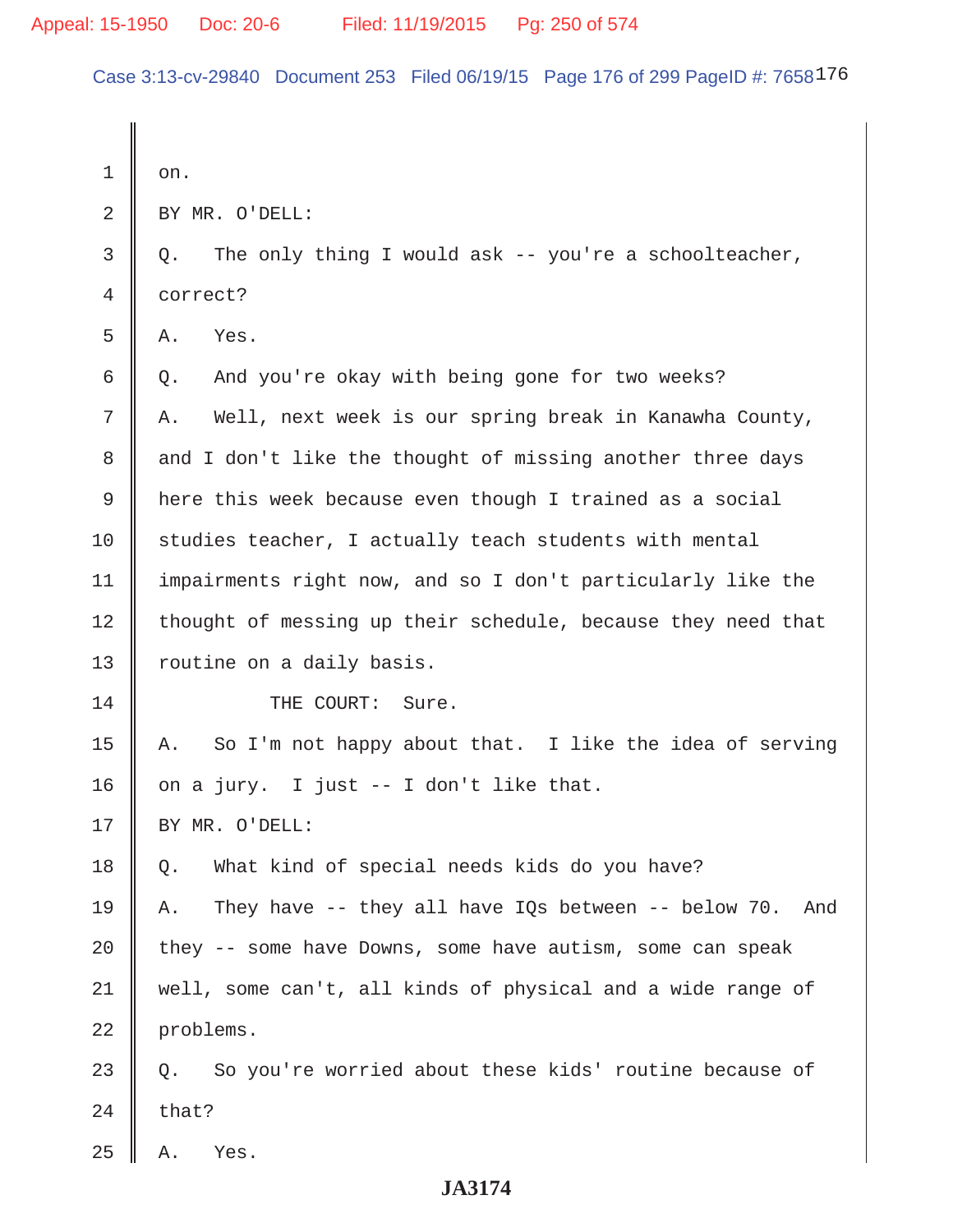Case 3:13-cv-29840 Document 253 Filed 06/19/15 Page 176 of 299 PageID #: 7658176

| $\mathbf 1$    | on.                                                              |
|----------------|------------------------------------------------------------------|
| $\overline{2}$ | BY MR. O'DELL:                                                   |
| $\mathsf{3}$   | The only thing I would ask -- you're a schoolteacher,<br>Q.      |
| 4              | correct?                                                         |
| 5              | Yes.<br>Α.                                                       |
| 6              | And you're okay with being gone for two weeks?<br>Q.             |
| 7              | Well, next week is our spring break in Kanawha County,<br>Α.     |
| 8              | and I don't like the thought of missing another three days       |
| 9              | here this week because even though I trained as a social         |
| 10             | studies teacher, I actually teach students with mental           |
| 11             | impairments right now, and so I don't particularly like the      |
| 12             | thought of messing up their schedule, because they need that     |
| 13             | routine on a daily basis.                                        |
| 14             | THE COURT:<br>Sure.                                              |
| 15             | So I'm not happy about that. I like the idea of serving<br>Α.    |
| 16             | on a jury. I just -- I don't like that.                          |
| 17             | BY MR. O'DELL:                                                   |
| 18             | What kind of special needs kids do you have?<br>Q.               |
| 19             | They have -- they all have IQs between -- below 70.<br>And<br>Α. |
| 20             | they -- some have Downs, some have autism, some can speak        |
| 21             | well, some can't, all kinds of physical and a wide range of      |
| 22             | problems.                                                        |
| 23             | So you're worried about these kids' routine because of<br>О.     |
| 24             | that?                                                            |
| 25             | Yes.<br>Α.                                                       |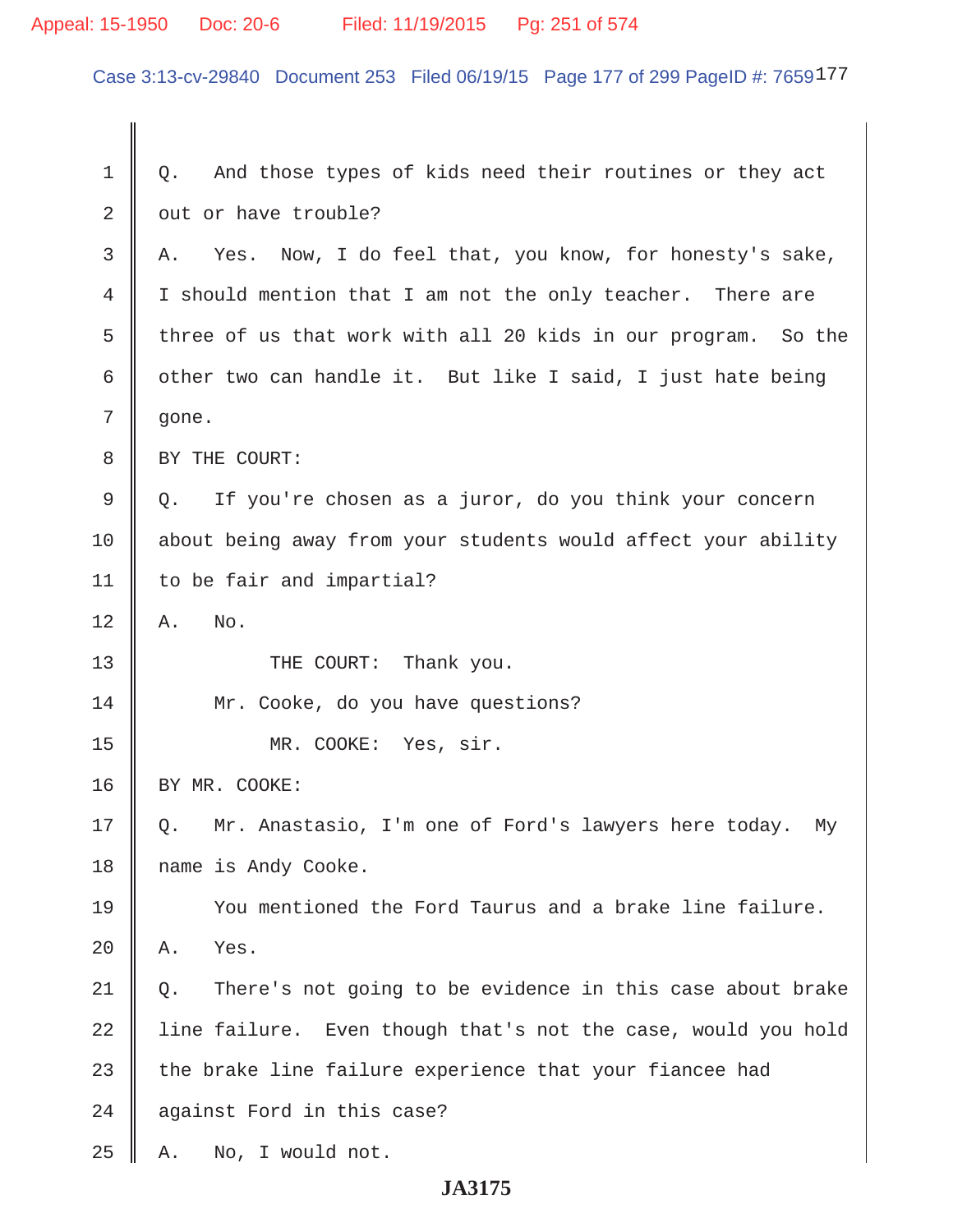# Appeal: 15-1950 Doc: 20-6 Filed: 11/19/2015 Pg: 251 of 574

Case 3:13-cv-29840 Document 253 Filed 06/19/15 Page 177 of 299 PageID #: 7659177

| 1  | And those types of kids need their routines or they act<br>Q.    |
|----|------------------------------------------------------------------|
| 2  | out or have trouble?                                             |
| 3  | Yes. Now, I do feel that, you know, for honesty's sake,<br>Α.    |
| 4  | I should mention that I am not the only teacher. There are       |
| 5  | three of us that work with all 20 kids in our program. So the    |
| 6  | other two can handle it. But like I said, I just hate being      |
| 7  | gone.                                                            |
| 8  | BY THE COURT:                                                    |
| 9  | If you're chosen as a juror, do you think your concern<br>Q.     |
| 10 | about being away from your students would affect your ability    |
| 11 | to be fair and impartial?                                        |
| 12 | No.<br>Α.                                                        |
| 13 | THE COURT: Thank you.                                            |
| 14 | Mr. Cooke, do you have questions?                                |
| 15 | MR. COOKE:<br>Yes, sir.                                          |
| 16 | BY MR. COOKE:                                                    |
| 17 | Mr. Anastasio, I'm one of Ford's lawyers here today.<br>My<br>Q. |
| 18 | name is Andy Cooke.                                              |
| 19 | You mentioned the Ford Taurus and a brake line failure.          |
| 20 | Yes.<br>Α.                                                       |
| 21 | There's not going to be evidence in this case about brake<br>Q.  |
| 22 | line failure. Even though that's not the case, would you hold    |
| 23 | the brake line failure experience that your fiancee had          |
| 24 | against Ford in this case?                                       |
| 25 | No, I would not.<br>Α.                                           |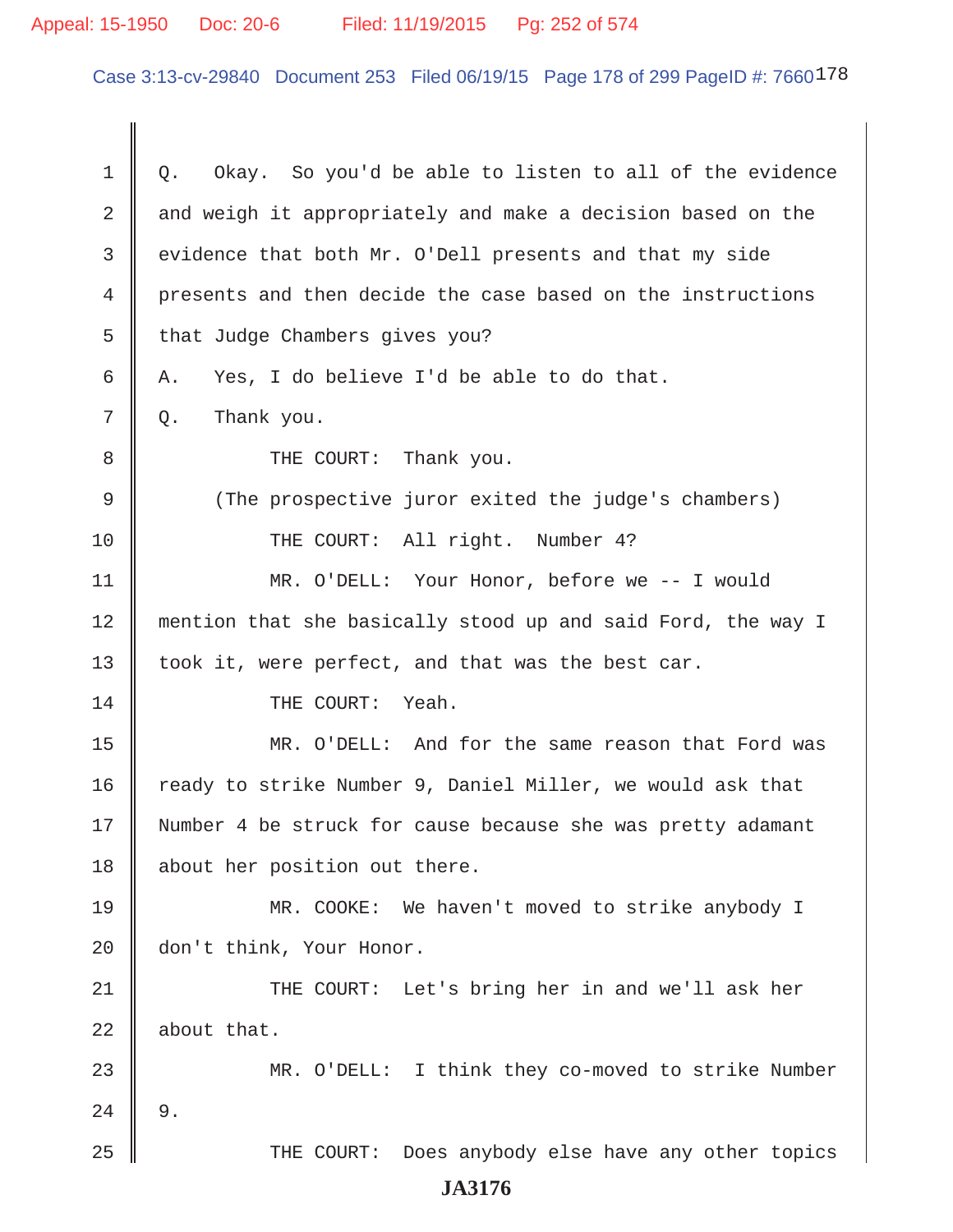# Appeal: 15-1950 Doc: 20-6 Filed: 11/19/2015 Pg: 252 of 574

Case 3:13-cv-29840 Document 253 Filed 06/19/15 Page 178 of 299 PageID #: 7660178

| $\mathbf 1$   | Okay. So you'd be able to listen to all of the evidence<br>Q. |
|---------------|---------------------------------------------------------------|
| 2             | and weigh it appropriately and make a decision based on the   |
| 3             | evidence that both Mr. O'Dell presents and that my side       |
| 4             | presents and then decide the case based on the instructions   |
| 5             | that Judge Chambers gives you?                                |
| 6             | Yes, I do believe I'd be able to do that.<br>Α.               |
| 7             | Thank you.<br>Q.                                              |
| 8             | THE COURT: Thank you.                                         |
| 9             | (The prospective juror exited the judge's chambers)           |
| 10            | THE COURT: All right. Number 4?                               |
| 11            | MR. O'DELL: Your Honor, before we -- I would                  |
| 12            | mention that she basically stood up and said Ford, the way I  |
| 13            | took it, were perfect, and that was the best car.             |
| 14            | THE COURT:<br>Yeah.                                           |
| 15            | MR. O'DELL: And for the same reason that Ford was             |
| 16            | ready to strike Number 9, Daniel Miller, we would ask that    |
| 17            | Number 4 be struck for cause because she was pretty adamant   |
| 18            | about her position out there.                                 |
| 19            | MR. COOKE: We haven't moved to strike anybody I               |
| 20            | don't think, Your Honor.                                      |
| 21            | THE COURT: Let's bring her in and we'll ask her               |
| 22            | about that.                                                   |
| 23            | MR. O'DELL: I think they co-moved to strike Number            |
| 24            | 9.                                                            |
| 25            | Does anybody else have any other topics<br>THE COURT:         |
| <b>JA3176</b> |                                                               |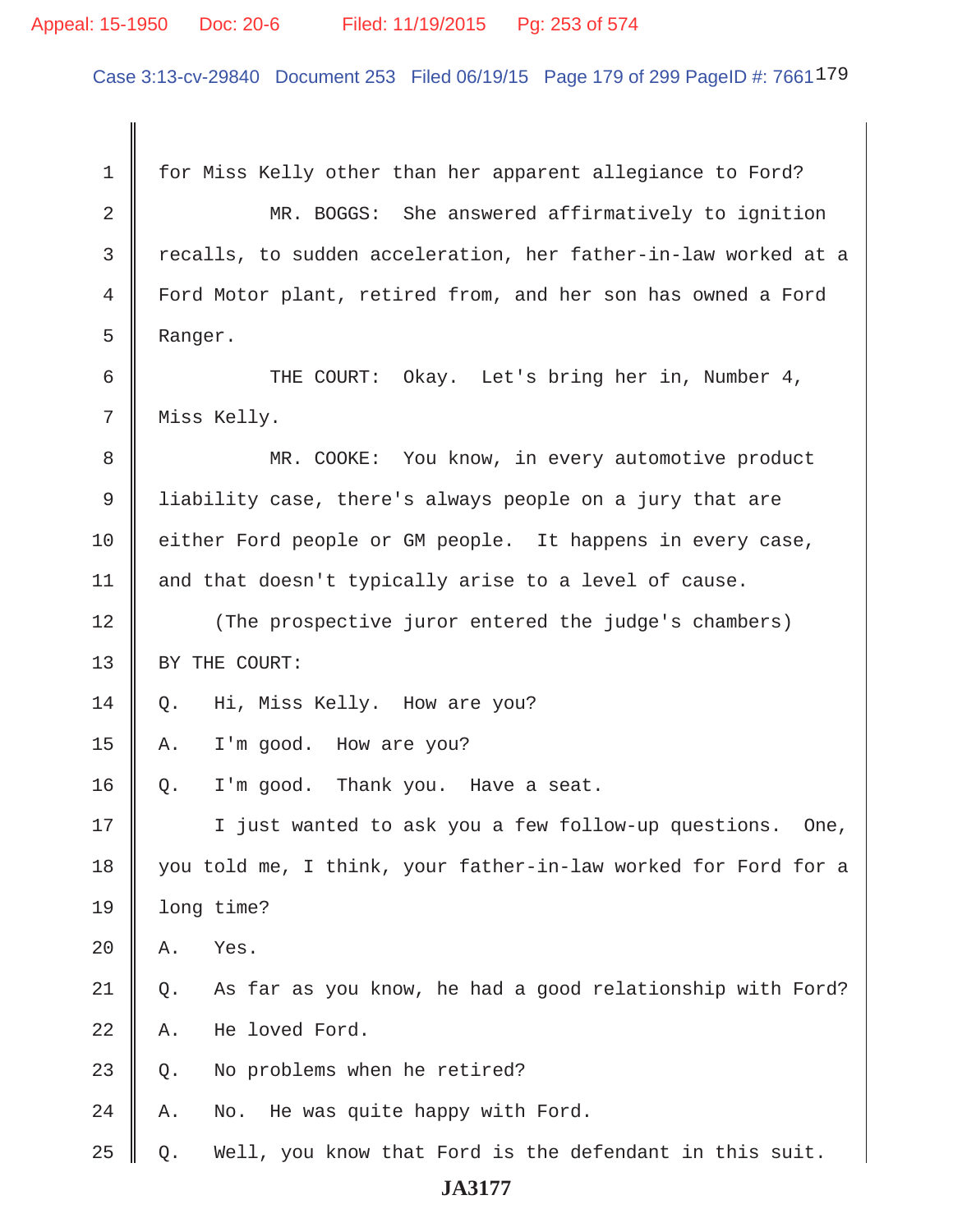#### Appeal: 15-1950 Doc: 20-6 Filed: 11/19/2015 Pg: 253 of 574

Case 3:13-cv-29840 Document 253 Filed 06/19/15 Page 179 of 299 PageID #: 7661<sup>179</sup>

 1 for Miss Kelly other than her apparent allegiance to Ford? 2 || MR. BOGGS: She answered affirmatively to ignition 3 recalls, to sudden acceleration, her father-in-law worked at a 4 Ford Motor plant, retired from, and her son has owned a Ford 5 Ranger. 6 THE COURT: Okay. Let's bring her in, Number 4, 7 || Miss Kelly. 8 || MR. COOKE: You know, in every automotive product 9 liability case, there's always people on a jury that are 10 either Ford people or GM people. It happens in every case, 11  $\parallel$  and that doesn't typically arise to a level of cause. 12 (The prospective juror entered the judge's chambers) 13 | BY THE COURT: 14 | Q. Hi, Miss Kelly. How are you? 15  $\parallel$  A. I'm good. How are you?  $16 \parallel Q.$  I'm good. Thank you. Have a seat. 17 || I just wanted to ask you a few follow-up questions. One, 18 || you told me, I think, your father-in-law worked for Ford for a 19 | long time?  $20$   $A.$  Yes.  $21 \parallel Q$ . As far as you know, he had a good relationship with Ford?  $22 \parallel A$ . He loved Ford.  $23 \parallel 0$ . No problems when he retired?  $24$  | A. No. He was quite happy with Ford.  $25 \parallel Q$ . Well, you know that Ford is the defendant in this suit.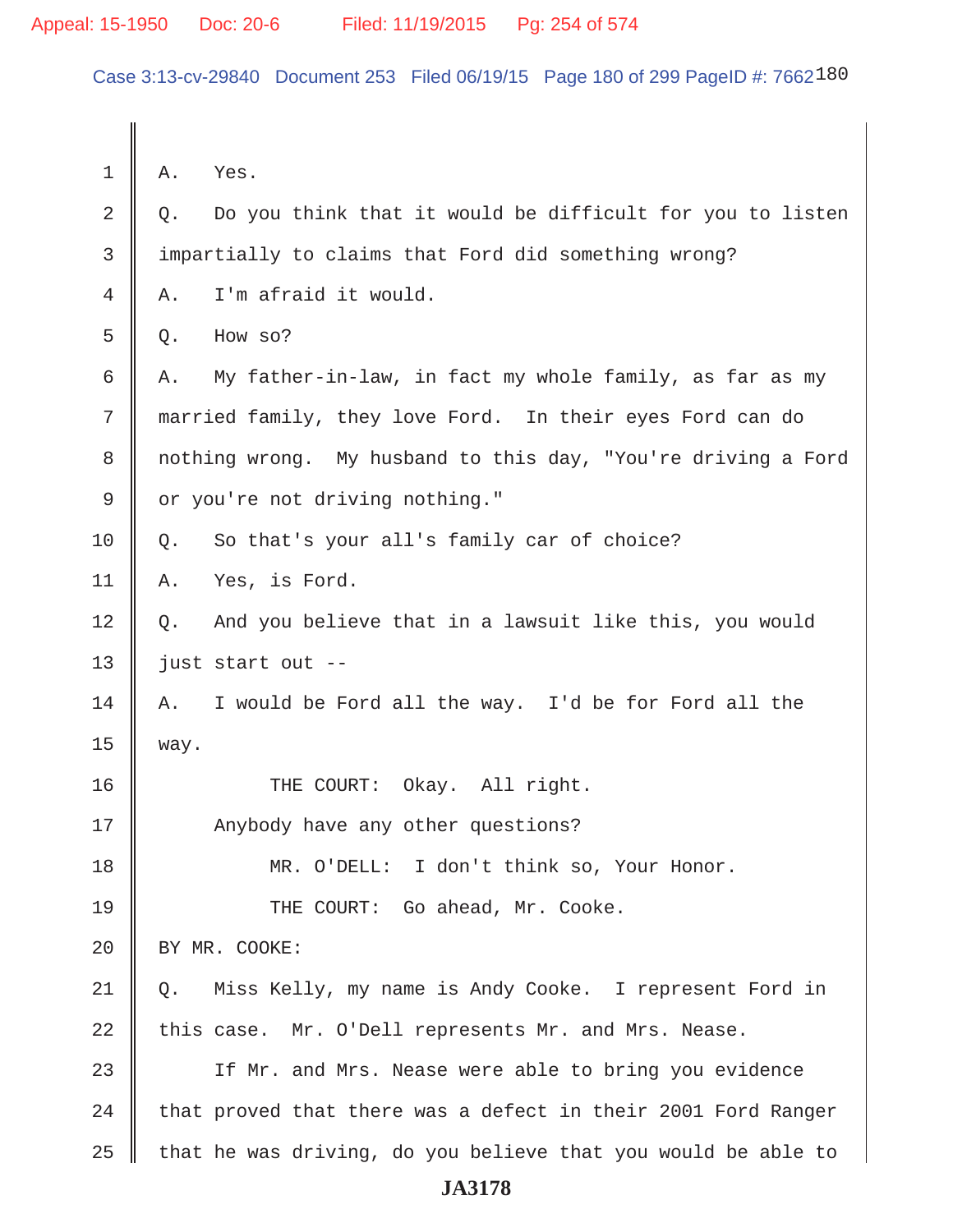Case 3:13-cv-29840 Document 253 Filed 06/19/15 Page 180 of 299 PageID #: 7662180

 $1 \parallel A.$  Yes.  $2 \parallel Q$ . Do you think that it would be difficult for you to listen 3 impartially to claims that Ford did something wrong?  $4 \parallel A$ . I'm afraid it would.  $5 \parallel 0$ . How so? 6  $\parallel$  A. My father-in-law, in fact my whole family, as far as my 7 married family, they love Ford. In their eyes Ford can do 8 | nothing wrong. My husband to this day, "You're driving a Ford 9 | or you're not driving nothing."  $10 \parallel Q$ . So that's your all's family car of choice? 11 A. Yes, is Ford. 12 | Q. And you believe that in a lawsuit like this, you would 13  $\parallel$  just start out -- $14$  | A. I would be Ford all the way. I'd be for Ford all the 15 way. 16 || THE COURT: Okay. All right. 17 || Anybody have any other questions? 18 MR. O'DELL: I don't think so, Your Honor. 19 THE COURT: Go ahead, Mr. Cooke. 20 | BY MR. COOKE: 21 Q. Miss Kelly, my name is Andy Cooke. I represent Ford in 22  $\parallel$  this case. Mr. O'Dell represents Mr. and Mrs. Nease. 23 || If Mr. and Mrs. Nease were able to bring you evidence  $24$  | that proved that there was a defect in their 2001 Ford Ranger  $25$  that he was driving, do you believe that you would be able to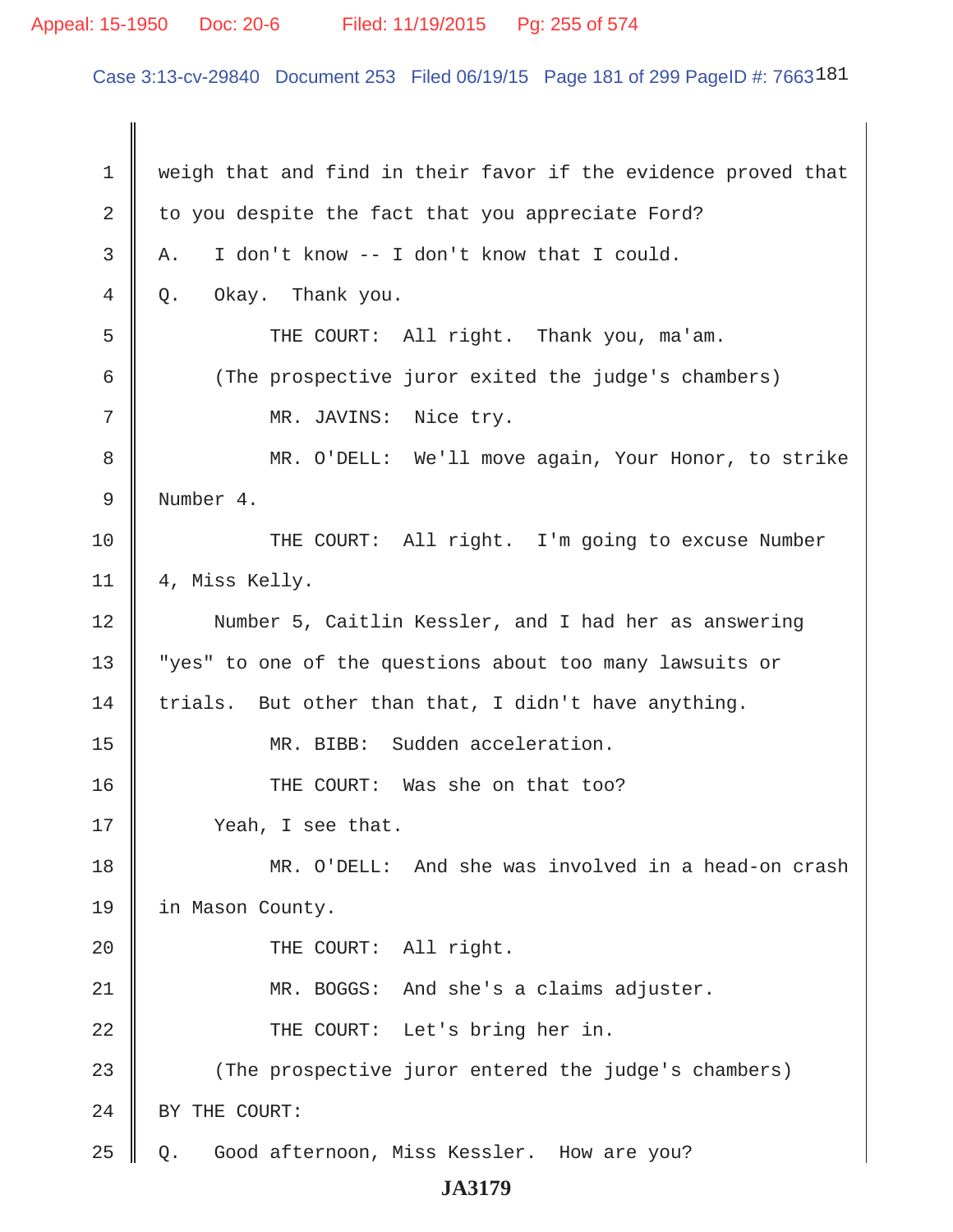### Appeal: 15-1950 Doc: 20-6 Filed: 11/19/2015 Pg: 255 of 574

Case 3:13-cv-29840 Document 253 Filed 06/19/15 Page 181 of 299 PageID #: 7663181

 1 weigh that and find in their favor if the evidence proved that 2 to you despite the fact that you appreciate Ford?  $3 \parallel A$ . I don't know -- I don't know that I could.  $4 \parallel Q$ . Okay. Thank you. 5 || THE COURT: All right. Thank you, ma'am. 6 (The prospective juror exited the judge's chambers) 7 || MR. JAVINS: Nice try. 8 MR. O'DELL: We'll move again, Your Honor, to strike 9 Number 4. 10 THE COURT: All right. I'm going to excuse Number 11 || 4, Miss Kelly. 12 | Number 5, Caitlin Kessler, and I had her as answering 13 || "yes" to one of the questions about too many lawsuits or 14  $\parallel$  trials. But other than that, I didn't have anything. 15 || MR. BIBB: Sudden acceleration. 16 || THE COURT: Was she on that too? 17 | Yeah, I see that. 18 MR. O'DELL: And she was involved in a head-on crash 19 in Mason County. 20 || THE COURT: All right. 21 MR. BOGGS: And she's a claims adjuster. 22 || THE COURT: Let's bring her in. 23 (The prospective juror entered the judge's chambers) 24 | BY THE COURT: 25 Q. Good afternoon, Miss Kessler. How are you?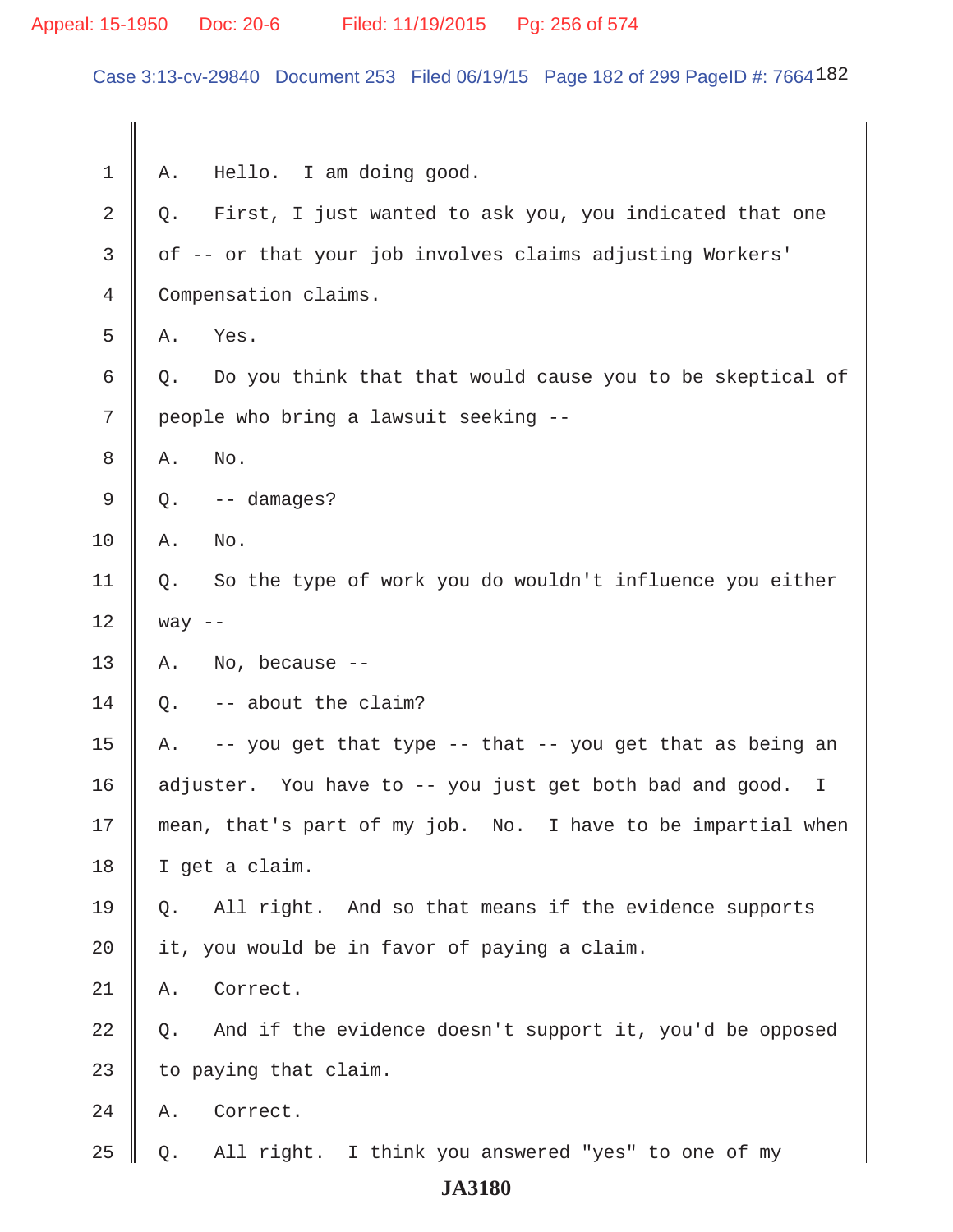# Appeal: 15-1950 Doc: 20-6 Filed: 11/19/2015 Pg: 256 of 574

Case 3:13-cv-29840 Document 253 Filed 06/19/15 Page 182 of 299 PageID #: 7664182

| 1  | Α.                                                        | Hello. I am doing good.                                      |
|----|-----------------------------------------------------------|--------------------------------------------------------------|
| 2  | Q.                                                        | First, I just wanted to ask you, you indicated that one      |
| 3  | of -- or that your job involves claims adjusting Workers' |                                                              |
| 4  | Compensation claims.                                      |                                                              |
| 5  | Α.                                                        | Yes.                                                         |
| 6  | Q.                                                        | Do you think that that would cause you to be skeptical of    |
| 7  | people who bring a lawsuit seeking --                     |                                                              |
| 8  | Α.                                                        | No.                                                          |
| 9  | Q.                                                        | -- damages?                                                  |
| 10 | Α.                                                        | No.                                                          |
| 11 | Q.                                                        | So the type of work you do wouldn't influence you either     |
| 12 | way $--$                                                  |                                                              |
| 13 | Α.                                                        | No, because --                                               |
| 14 | $Q$ .                                                     | -- about the claim?                                          |
| 15 | A.                                                        | -- you get that type -- that -- you get that as being an     |
| 16 |                                                           | adjuster. You have to -- you just get both bad and good. I   |
| 17 |                                                           | mean, that's part of my job. No. I have to be impartial when |
| 18 | I get a claim.                                            |                                                              |
| 19 | 0.                                                        | All right. And so that means if the evidence supports        |
| 20 |                                                           | it, you would be in favor of paying a claim.                 |
| 21 | Α.                                                        | Correct.                                                     |
| 22 | Q.                                                        | And if the evidence doesn't support it, you'd be opposed     |
| 23 |                                                           | to paying that claim.                                        |
| 24 | Α.                                                        | Correct.                                                     |
| 25 | Q.                                                        | All right. I think you answered "yes" to one of my           |
|    |                                                           | <b>JA3180</b>                                                |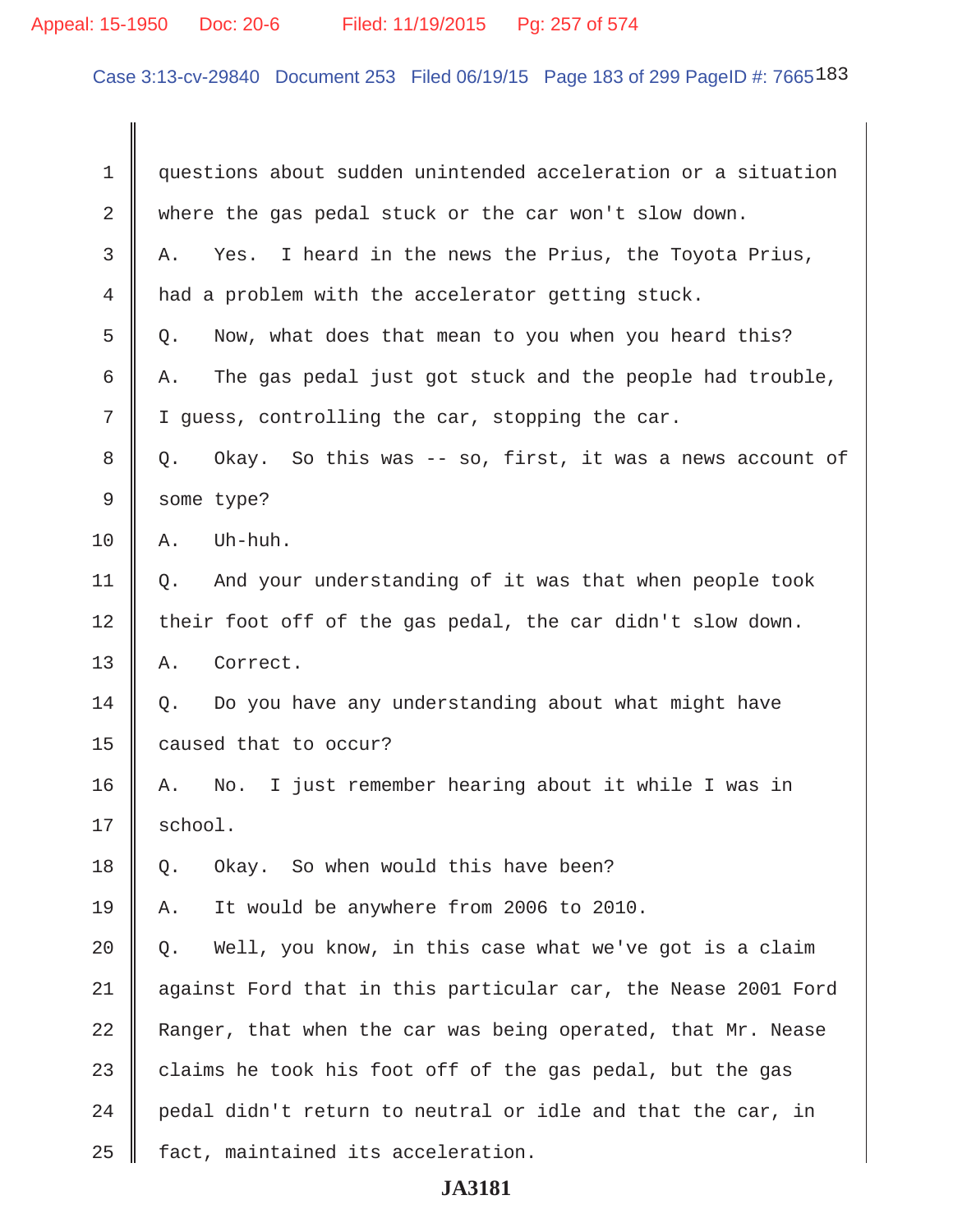# Appeal: 15-1950 Doc: 20-6 Filed: 11/19/2015 Pg: 257 of 574

Case 3:13-cv-29840 Document 253 Filed 06/19/15 Page 183 of 299 PageID #: 7665183

| 1  | questions about sudden unintended acceleration or a situation  |  |
|----|----------------------------------------------------------------|--|
| 2  | where the gas pedal stuck or the car won't slow down.          |  |
| 3  | I heard in the news the Prius, the Toyota Prius,<br>Α.<br>Yes. |  |
| 4  | had a problem with the accelerator getting stuck.              |  |
| 5  | Now, what does that mean to you when you heard this?<br>Q.     |  |
| 6  | The gas pedal just got stuck and the people had trouble,<br>Α. |  |
| 7  | I guess, controlling the car, stopping the car.                |  |
| 8  | Okay. So this was -- so, first, it was a news account of<br>Q. |  |
| 9  | some type?                                                     |  |
| 10 | Uh-huh.<br>Α.                                                  |  |
| 11 | And your understanding of it was that when people took<br>Q.   |  |
| 12 | their foot off of the gas pedal, the car didn't slow down.     |  |
| 13 | Α.<br>Correct.                                                 |  |
| 14 | Do you have any understanding about what might have<br>Q.      |  |
| 15 | caused that to occur?                                          |  |
| 16 | I just remember hearing about it while I was in<br>No.<br>Α.   |  |
| 17 | school.                                                        |  |
| 18 | Okay. So when would this have been?<br>Q.                      |  |
| 19 | It would be anywhere from 2006 to 2010.<br>Α.                  |  |
| 20 | Well, you know, in this case what we've got is a claim<br>Q.   |  |
| 21 | against Ford that in this particular car, the Nease 2001 Ford  |  |
| 22 | Ranger, that when the car was being operated, that Mr. Nease   |  |
| 23 | claims he took his foot off of the gas pedal, but the gas      |  |
| 24 | pedal didn't return to neutral or idle and that the car, in    |  |
| 25 | fact, maintained its acceleration.                             |  |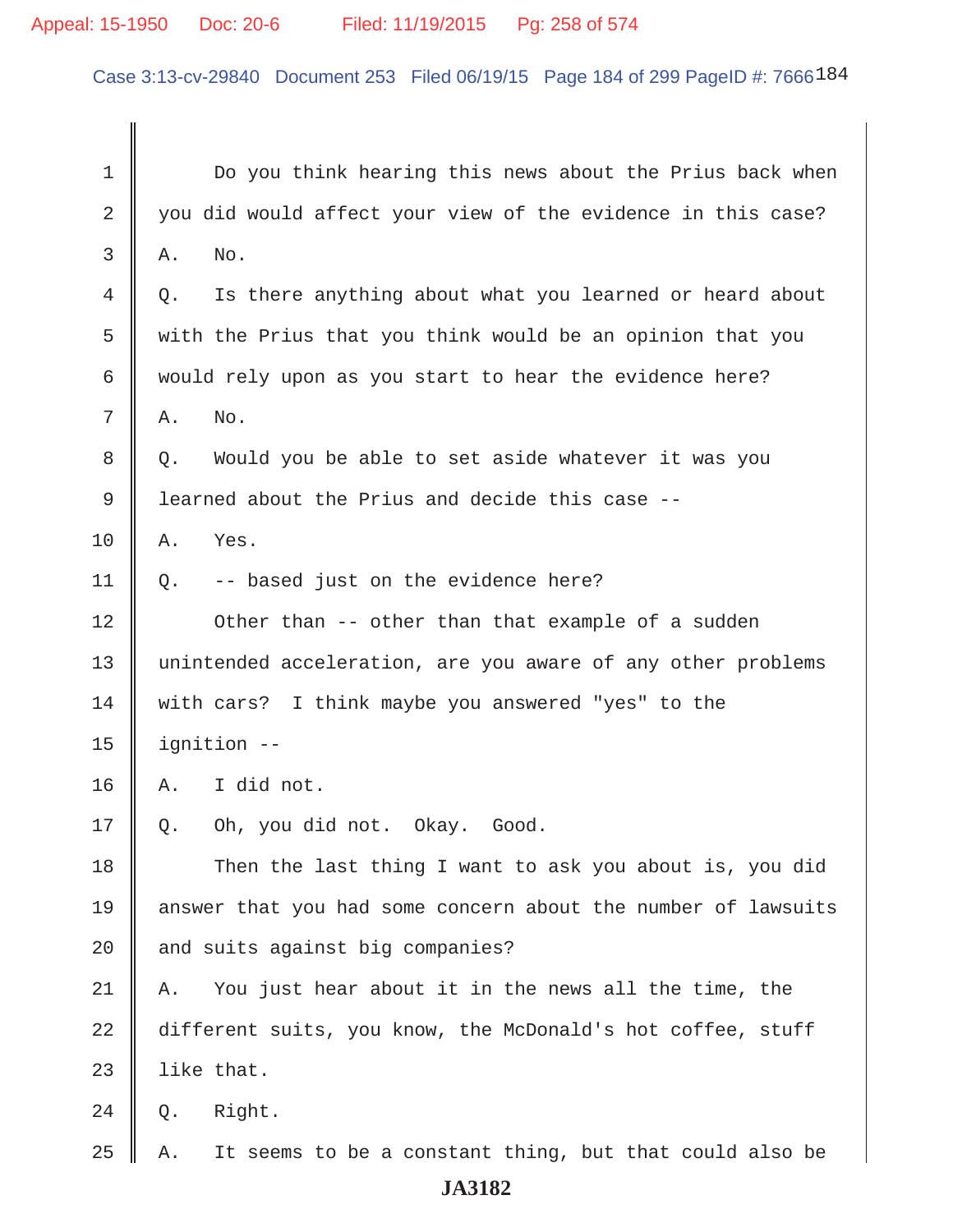### Appeal: 15-1950 Doc: 20-6 Filed: 11/19/2015 Pg: 258 of 574

Case 3:13-cv-29840 Document 253 Filed 06/19/15 Page 184 of 299 PageID #: 7666184

 1 Do you think hearing this news about the Prius back when  $2 \parallel$  you did would affect your view of the evidence in this case?  $3 \parallel$  A, No. 4 Q. Is there anything about what you learned or heard about 5 with the Prius that you think would be an opinion that you 6 would rely upon as you start to hear the evidence here?  $7 \parallel A. \quad No.$ 8 || Q. Would you be able to set aside whatever it was you 9 | learned about the Prius and decide this case -- $10$  A. Yes.  $11 \parallel Q$ . -- based just on the evidence here? 12 || Other than -- other than that example of a sudden 13 || unintended acceleration, are you aware of any other problems 14 with cars? I think maybe you answered "yes" to the  $15$  | ignition  $16 \parallel A.$  I did not. 17 || Q. Oh, you did not. Okay. Good. 18 Then the last thing I want to ask you about is, you did 19 answer that you had some concern about the number of lawsuits  $20$  and suits against big companies?  $21$  || A. You just hear about it in the news all the time, the 22 different suits, you know, the McDonald's hot coffee, stuff  $23$  | like that.  $24 \parallel Q.$  Right. 25  $\parallel$  A. It seems to be a constant thing, but that could also be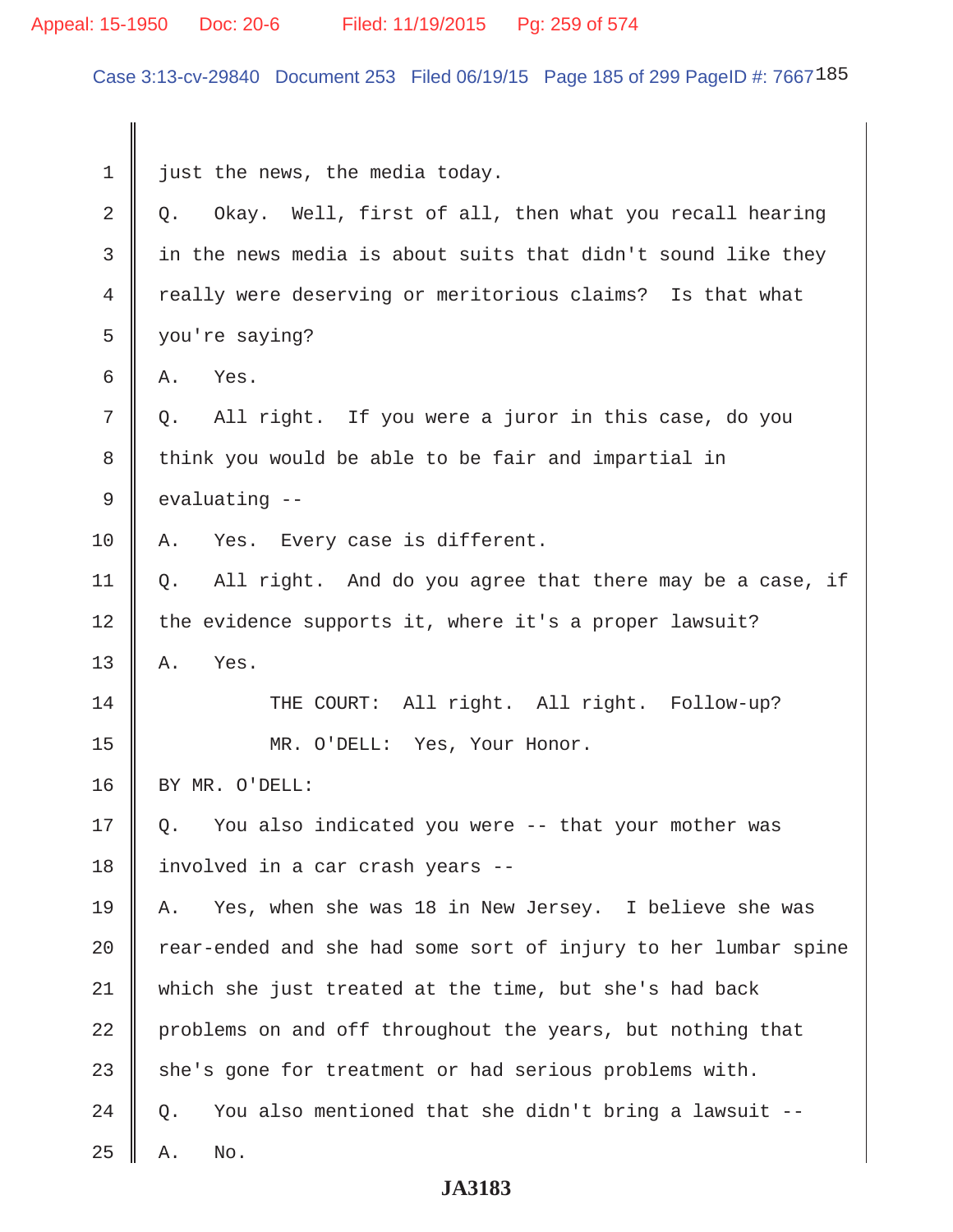# Appeal: 15-1950 Doc: 20-6 Filed: 11/19/2015 Pg: 259 of 574

Case 3:13-cv-29840 Document 253 Filed 06/19/15 Page 185 of 299 PageID #: 7667185

| $\mathbf 1$    | just the news, the media today.                                |  |
|----------------|----------------------------------------------------------------|--|
| 2              | Okay. Well, first of all, then what you recall hearing<br>Q.   |  |
| 3              | in the news media is about suits that didn't sound like they   |  |
| $\overline{4}$ | really were deserving or meritorious claims? Is that what      |  |
| 5              | you're saying?                                                 |  |
| 6              | Yes.<br>Α.                                                     |  |
| 7              | All right. If you were a juror in this case, do you<br>Q.      |  |
| 8              | think you would be able to be fair and impartial in            |  |
| 9              | evaluating --                                                  |  |
| 10             | Yes. Every case is different.<br>Α.                            |  |
| 11             | All right. And do you agree that there may be a case, if<br>Q. |  |
| 12             | the evidence supports it, where it's a proper lawsuit?         |  |
| 13             | Yes.<br>Α.                                                     |  |
| 14             | THE COURT: All right. All right. Follow-up?                    |  |
| 15             | MR. O'DELL: Yes, Your Honor.                                   |  |
| 16             | BY MR. O'DELL:                                                 |  |
| 17             | You also indicated you were -- that your mother was<br>Q.      |  |
| 18             | involved in a car crash years --                               |  |
| 19             | Yes, when she was 18 in New Jersey. I believe she was<br>Α.    |  |
| 20             | rear-ended and she had some sort of injury to her lumbar spine |  |
| 21             | which she just treated at the time, but she's had back         |  |
| 22             | problems on and off throughout the years, but nothing that     |  |
| 23             | she's gone for treatment or had serious problems with.         |  |
| 24             | You also mentioned that she didn't bring a lawsuit --<br>Q.    |  |
| 25             | No.<br>Α.                                                      |  |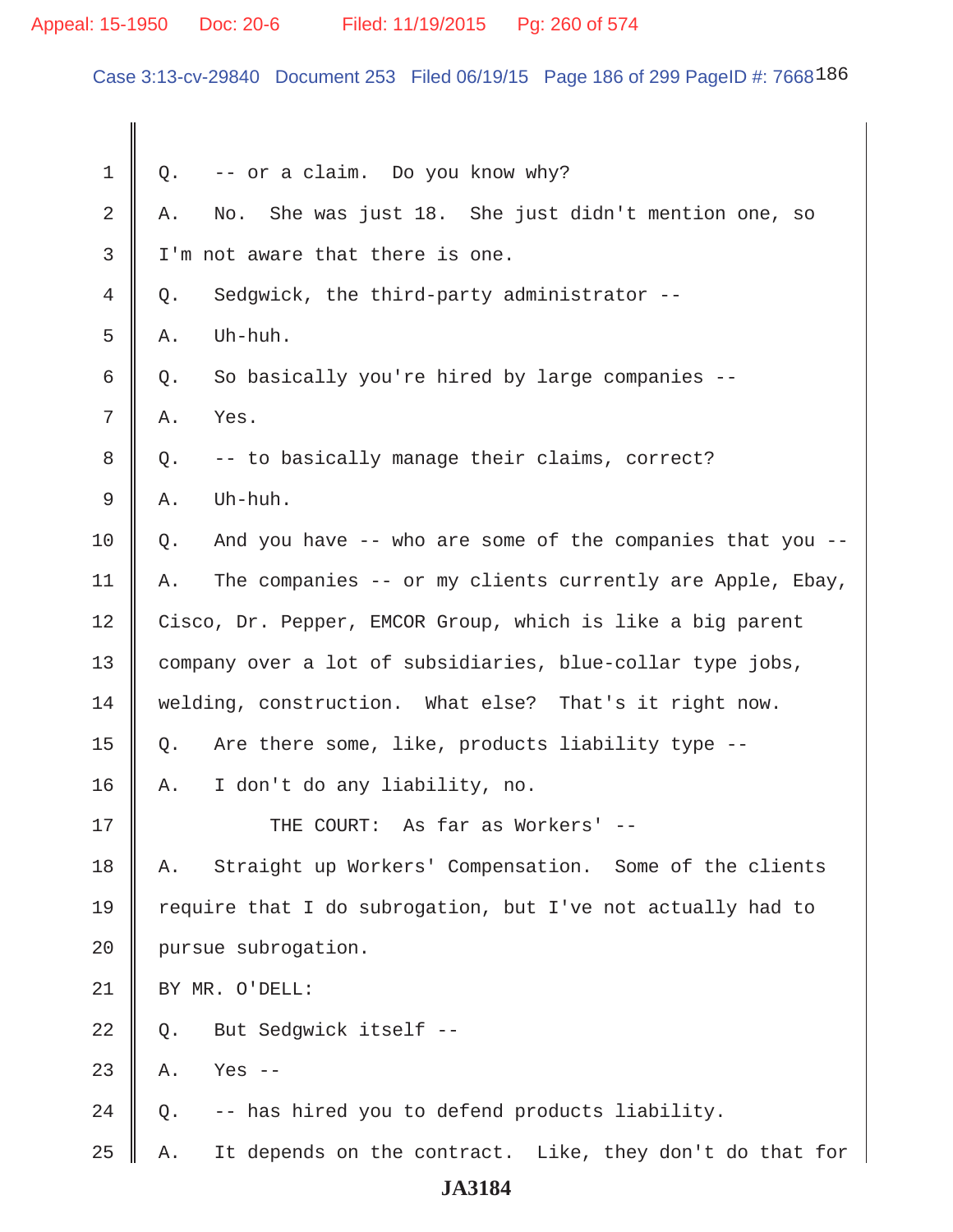### Appeal: 15-1950 Doc: 20-6 Filed: 11/19/2015 Pg: 260 of 574

Case 3:13-cv-29840 Document 253 Filed 06/19/15 Page 186 of 299 PageID #: 7668186

 $1 \parallel Q$ . -- or a claim. Do you know why? 2 A. No. She was just 18. She just didn't mention one, so  $3 \parallel$  I'm not aware that there is one.  $4 \parallel 0.$  Sedgwick, the third-party administrator -- $5 \parallel A$ . Uh-huh.  $6 \parallel Q$ . So basically you're hired by large companies -- $7 \parallel A. \quad Yes.$  $8 \parallel Q.$  -- to basically manage their claims, correct?  $9 \parallel A.$  Uh-huh.  $10 \parallel Q$ . And you have -- who are some of the companies that you --11  $\parallel$  A. The companies -- or my clients currently are Apple, Ebay, 12 Cisco, Dr. Pepper, EMCOR Group, which is like a big parent 13 company over a lot of subsidiaries, blue-collar type jobs, 14 | welding, construction. What else? That's it right now. 15  $\parallel$  Q. Are there some, like, products liability type --16 A. I don't do any liability, no. 17 THE COURT: As far as Workers' -- 18 A. Straight up Workers' Compensation. Some of the clients 19  $\parallel$  require that I do subrogation, but I've not actually had to 20 | pursue subrogation. 21 BY MR. O'DELL:  $22 \parallel$  Q. But Sedqwick itself -- $23$  | A. Yes --24  $\parallel$  Q. -- has hired you to defend products liability. 25  $\parallel$  A. It depends on the contract. Like, they don't do that for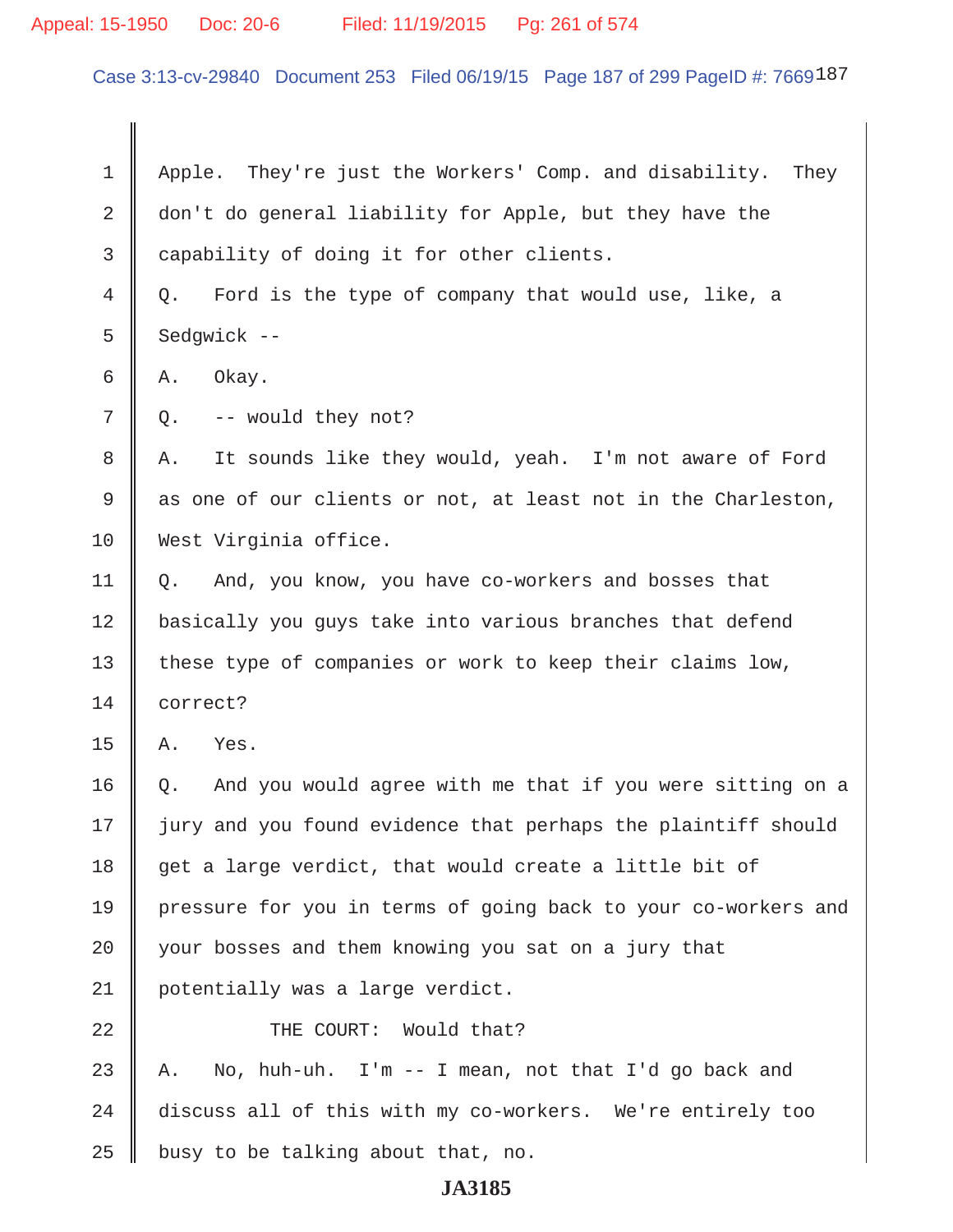#### Appeal: 15-1950 Doc: 20-6 Filed: 11/19/2015 Pg: 261 of 574

Case 3:13-cv-29840 Document 253 Filed 06/19/15 Page 187 of 299 PageID #: 7669187

1 | Apple. They're just the Workers' Comp. and disability. They 2 don't do general liability for Apple, but they have the 3 | capability of doing it for other clients. 4 Q. Ford is the type of company that would use, like, a  $5 \parallel$  Sedgwick -- $6 \parallel A.$  Okay.  $7 \parallel Q$ . -- would they not? 8 || A. It sounds like they would, yeah. I'm not aware of Ford  $9 \parallel$  as one of our clients or not, at least not in the Charleston, 10 West Virginia office. 11 Q. And, you know, you have co-workers and bosses that 12 | basically you guys take into various branches that defend 13 || these type of companies or work to keep their claims low, 14 **correct?**  $15$  A. Yes. 16 | Q. And you would agree with me that if you were sitting on a 17 || jury and you found evidence that perhaps the plaintiff should 18  $\parallel$  get a large verdict, that would create a little bit of 19 pressure for you in terms of going back to your co-workers and 20 your bosses and them knowing you sat on a jury that 21 | potentially was a large verdict. 22 || THE COURT: Would that? 23 || A. No, huh-uh. I'm  $-$  I mean, not that I'd go back and 24 discuss all of this with my co-workers. We're entirely too 25 | busy to be talking about that, no.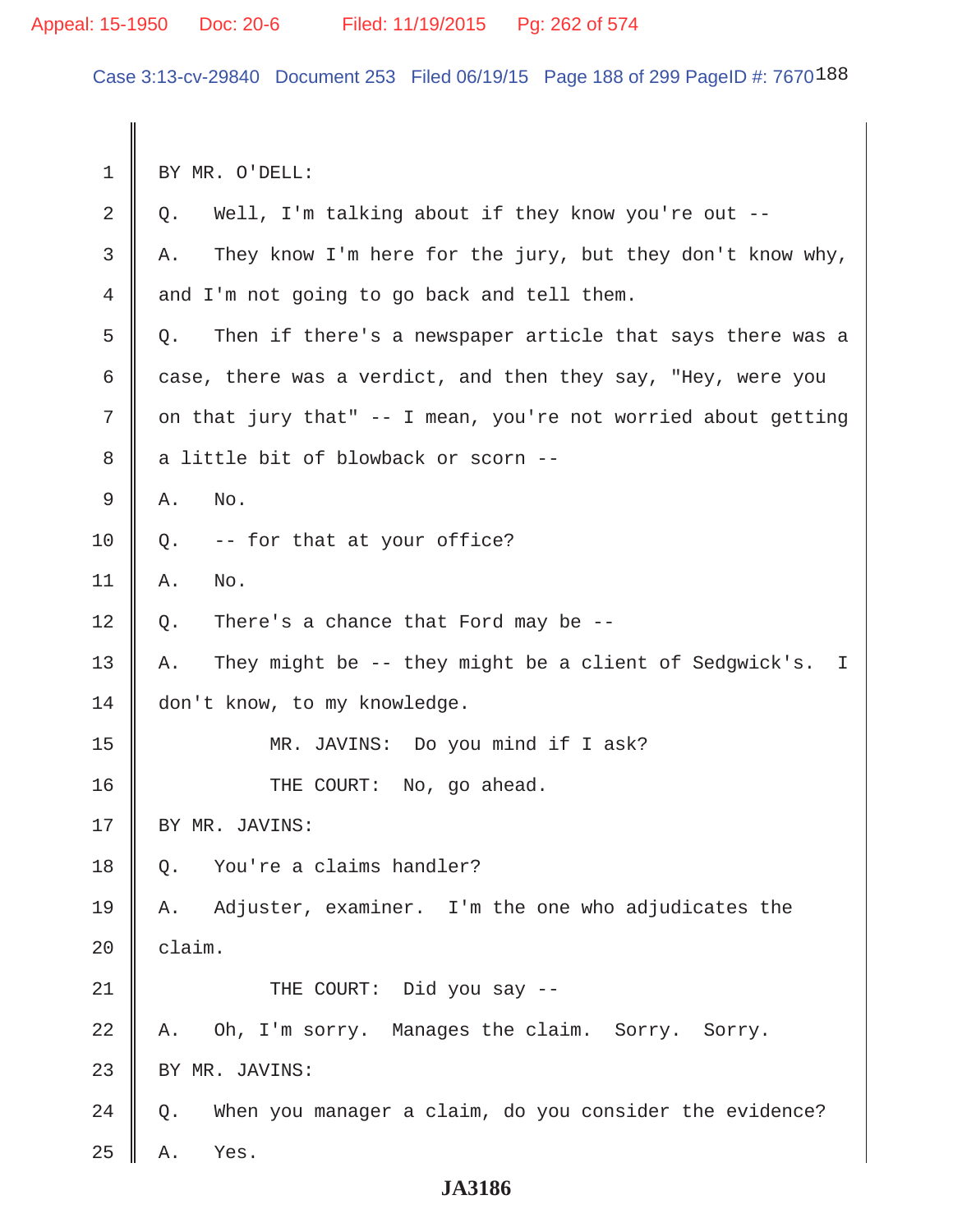Case 3:13-cv-29840 Document 253 Filed 06/19/15 Page 188 of 299 PageID #: 7670188

 1 BY MR. O'DELL:  $2 \parallel Q$ . Well, I'm talking about if they know you're out --3 A. They know I'm here for the jury, but they don't know why,  $4 \parallel$  and I'm not going to go back and tell them.  $5 \parallel Q$ . Then if there's a newspaper article that says there was a 6 case, there was a verdict, and then they say, "Hey, were you 7  $\parallel$  on that jury that" -- I mean, you're not worried about getting 8 a little bit of blowback or scorn -- $9 \parallel A.$  No.  $10 \parallel 0$ . -- for that at your office?  $11 \parallel A.$  No.  $12 \parallel Q$ . There's a chance that Ford may be --13 A. They might be -- they might be a client of Sedgwick's. I 14 don't know, to my knowledge. 15 MR. JAVINS: Do you mind if I ask? 16 || THE COURT: No, go ahead. 17 || BY MR. JAVINS: 18 | 0. You're a claims handler? 19 A. Adjuster, examiner. I'm the one who adjudicates the  $20$  | claim. 21 THE COURT: Did you say -- 22 A. Oh, I'm sorry. Manages the claim. Sorry. Sorry. 23 | BY MR. JAVINS:  $24 \parallel Q$ . When you manager a claim, do you consider the evidence?  $25$  A. Yes.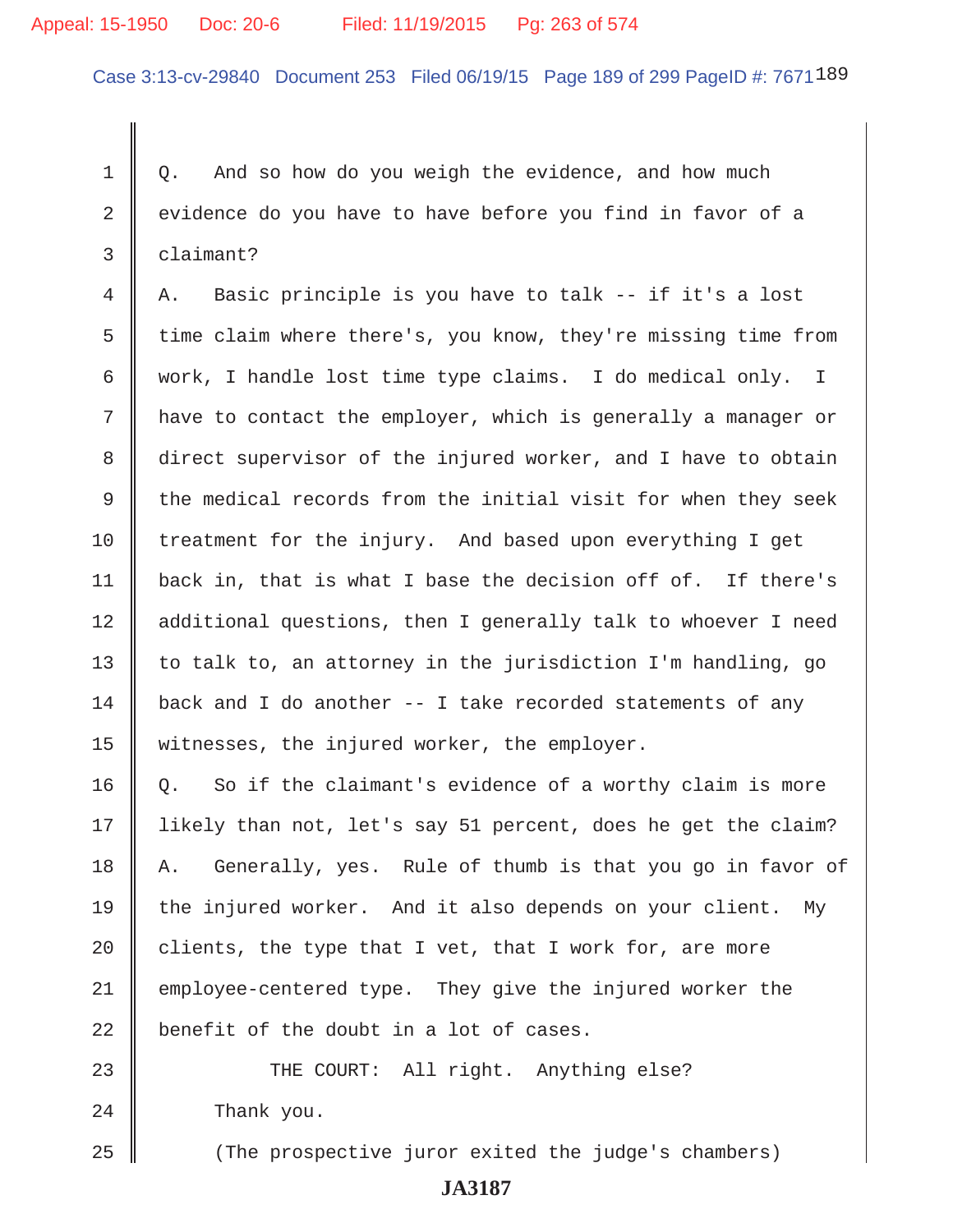### Appeal: 15-1950 Doc: 20-6 Filed: 11/19/2015 Pg: 263 of 574

Case 3:13-cv-29840 Document 253 Filed 06/19/15 Page 189 of 299 PageID #: 7671189

1 | 0. And so how do you weigh the evidence, and how much  $2 \parallel$  evidence do you have to have before you find in favor of a 3 claimant?

 $4 \parallel A$ . Basic principle is you have to talk -- if it's a lost 5 time claim where there's, you know, they're missing time from 6 work, I handle lost time type claims. I do medical only. I  $7 \parallel$  have to contact the employer, which is generally a manager or 8 direct supervisor of the injured worker, and I have to obtain 9  $\parallel$  the medical records from the initial visit for when they seek  $10$  treatment for the injury. And based upon everything I get 11  $\parallel$  back in, that is what I base the decision off of. If there's 12 || additional questions, then I generally talk to whoever I need 13  $\parallel$  to talk to, an attorney in the jurisdiction I'm handling, go  $14$  back and I do another -- I take recorded statements of any 15 | witnesses, the injured worker, the employer.

 $16 \parallel Q$ . So if the claimant's evidence of a worthy claim is more 17 likely than not, let's say 51 percent, does he get the claim? 18 A. Generally, yes. Rule of thumb is that you go in favor of 19 the injured worker. And it also depends on your client. My 20  $\parallel$  clients, the type that I vet, that I work for, are more 21 employee-centered type. They give the injured worker the  $22$   $\parallel$  benefit of the doubt in a lot of cases.

23 THE COURT: All right. Anything else? 24 **Thank** you.

25 || (The prospective juror exited the judge's chambers)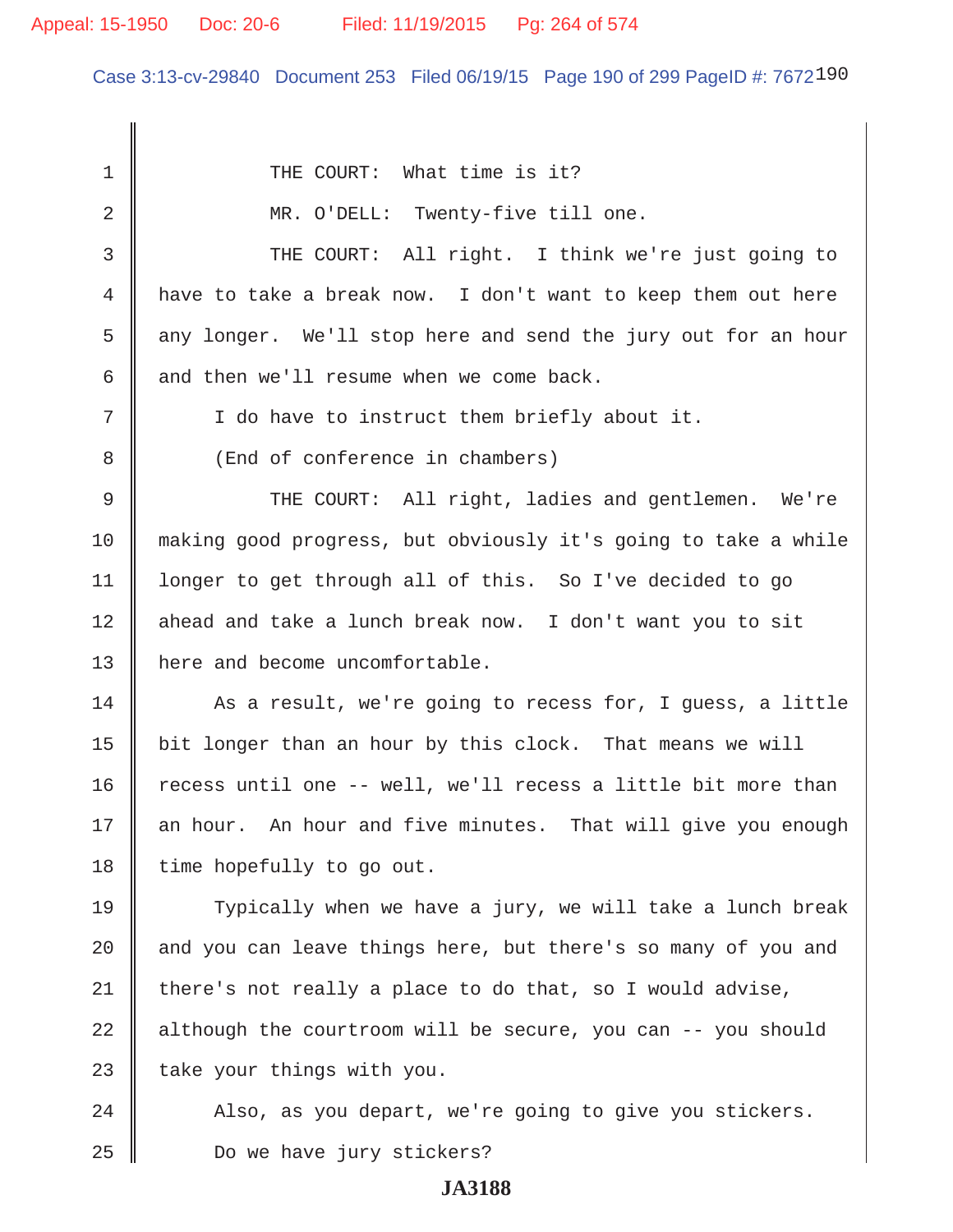### Appeal: 15-1950 Doc: 20-6 Filed: 11/19/2015 Pg: 264 of 574

Case 3:13-cv-29840 Document 253 Filed 06/19/15 Page 190 of 299 PageID #: 7672190

1 || THE COURT: What time is it? 2 MR. O'DELL: Twenty-five till one. 3 THE COURT: All right. I think we're just going to 4 have to take a break now. I don't want to keep them out here 5 any longer. We'll stop here and send the jury out for an hour 6  $\parallel$  and then we'll resume when we come back. 7 | T do have to instruct them briefly about it. 8 (End of conference in chambers) 9 THE COURT: All right, ladies and gentlemen. We're 10 making good progress, but obviously it's going to take a while 11 longer to get through all of this. So I've decided to go 12 || ahead and take a lunch break now. I don't want you to sit 13 || here and become uncomfortable.  $14$   $\parallel$  As a result, we're going to recess for, I quess, a little 15  $\parallel$  bit longer than an hour by this clock. That means we will 16  $\parallel$  recess until one -- well, we'll recess a little bit more than 17 || an hour. An hour and five minutes. That will give you enough  $18$  | time hopefully to go out. 19 Typically when we have a jury, we will take a lunch break  $20$  and you can leave things here, but there's so many of you and 21 | there's not really a place to do that, so I would advise,  $22$  | although the courtroom will be secure, you can  $-$ - you should 23  $\parallel$  take your things with you.  $24$   $\parallel$  Also, as you depart, we're going to give you stickers. 25 Do we have jury stickers?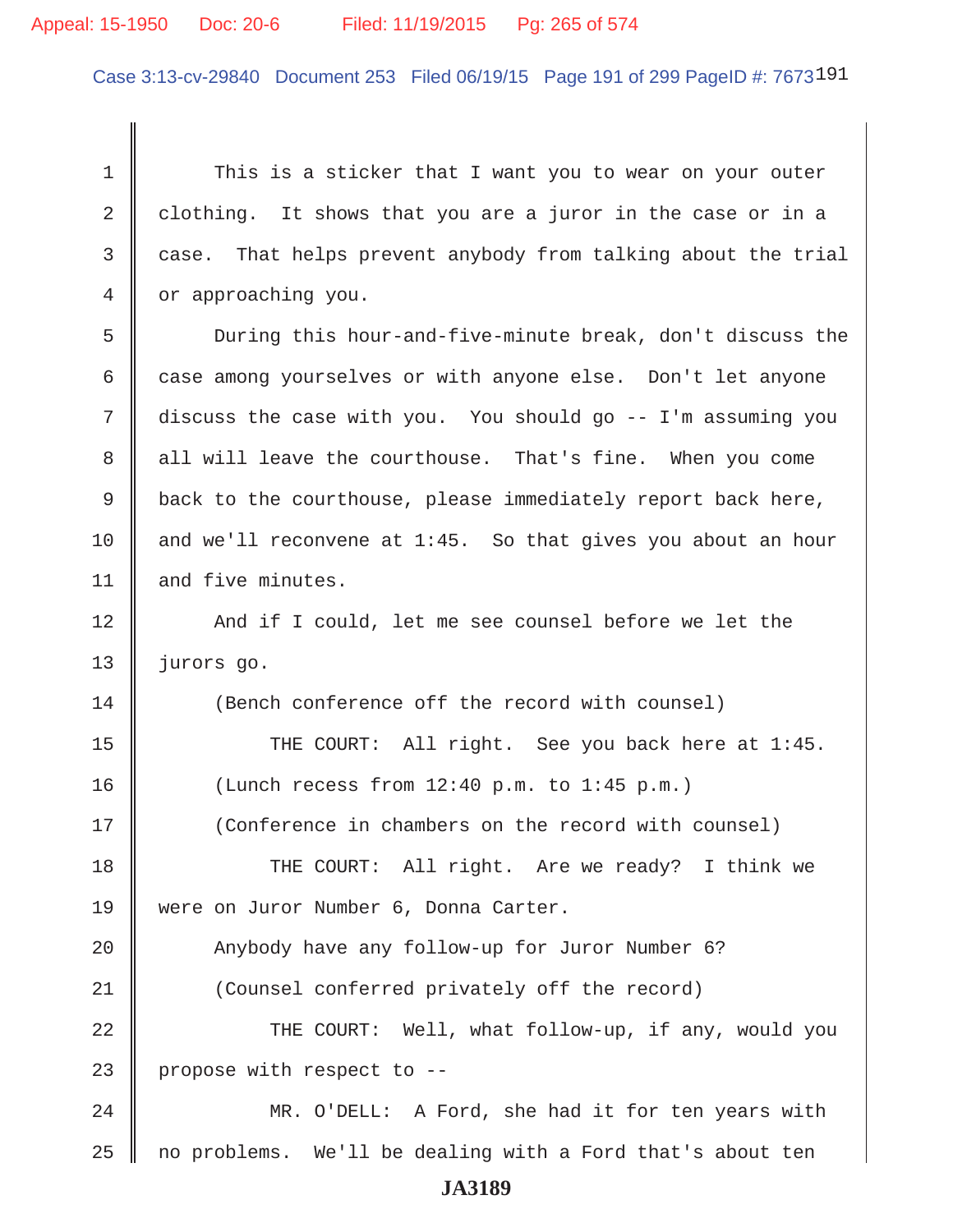### Appeal: 15-1950 Doc: 20-6 Filed: 11/19/2015 Pg: 265 of 574

Case 3:13-cv-29840 Document 253 Filed 06/19/15 Page 191 of 299 PageID #: 7673191

 1 This is a sticker that I want you to wear on your outer 2 clothing. It shows that you are a juror in the case or in a 3 case. That helps prevent anybody from talking about the trial 4 | or approaching you. 5 During this hour-and-five-minute break, don't discuss the 6 case among yourselves or with anyone else. Don't let anyone 7 discuss the case with you. You should go -- I'm assuming you 8 all will leave the courthouse. That's fine. When you come 9 back to the courthouse, please immediately report back here, 10  $\parallel$  and we'll reconvene at 1:45. So that gives you about an hour 11  $\parallel$  and five minutes. 12 || And if I could, let me see counsel before we let the 13 | jurors go. 14 || (Bench conference off the record with counsel) 15 || THE COURT: All right. See you back here at 1:45. 16 (Lunch recess from 12:40 p.m. to 1:45 p.m.) 17 (Conference in chambers on the record with counsel) 18 THE COURT: All right. Are we ready? I think we 19 were on Juror Number 6, Donna Carter. 20 Anybody have any follow-up for Juror Number 6? 21 (Counsel conferred privately off the record) 22 THE COURT: Well, what follow-up, if any, would you 23 | propose with respect to  $-$ 24 || MR. O'DELL: A Ford, she had it for ten years with  $25$  no problems. We'll be dealing with a Ford that's about ten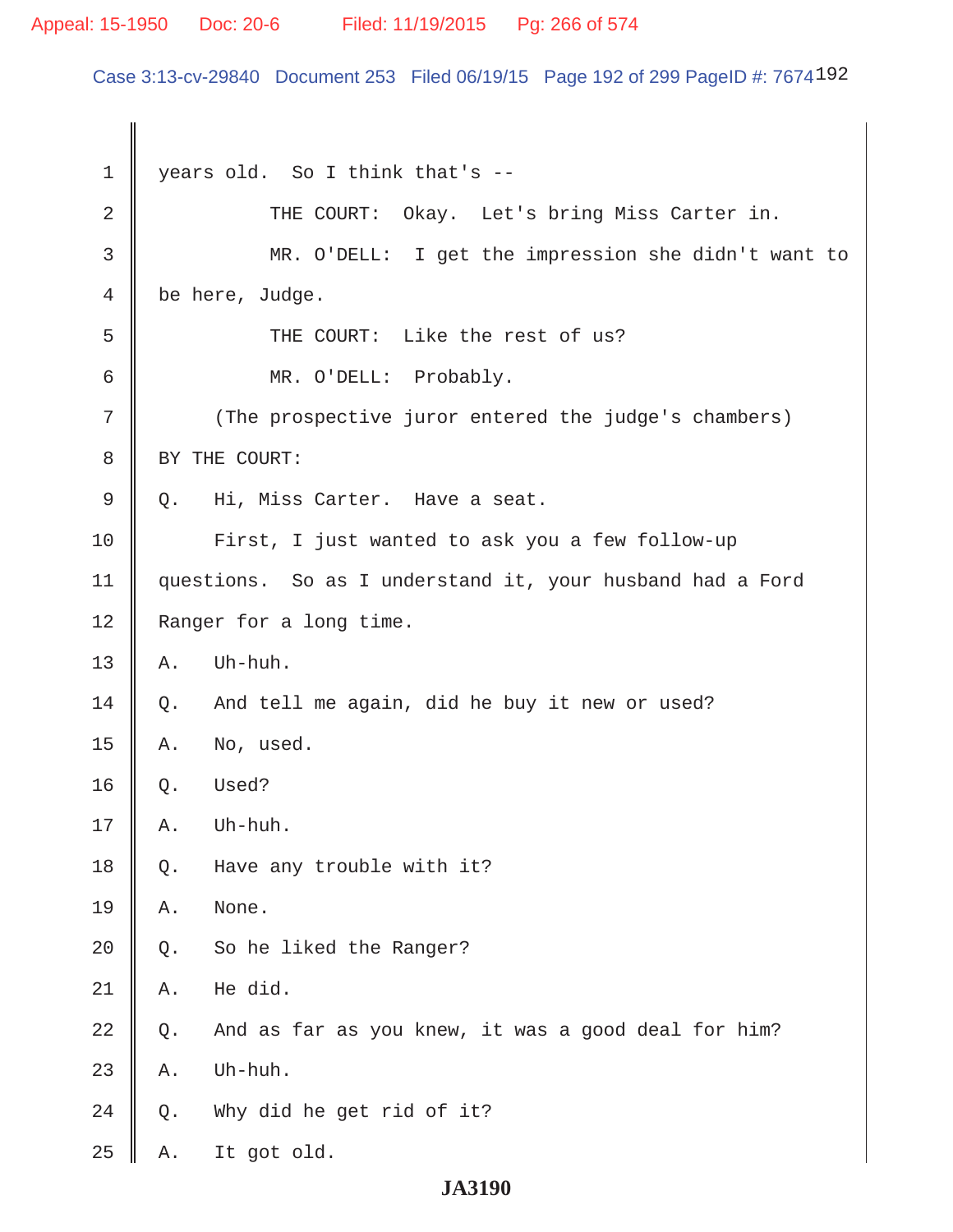### Appeal: 15-1950 Doc: 20-6 Filed: 11/19/2015 Pg: 266 of 574

Case 3:13-cv-29840 Document 253 Filed 06/19/15 Page 192 of 299 PageID #: 7674192

 1 years old. So I think that's -- 2 || THE COURT: Okay. Let's bring Miss Carter in. 3 MR. O'DELL: I get the impression she didn't want to 4 be here, Judge. 5 || THE COURT: Like the rest of us? 6 MR. O'DELL: Probably. 7 || (The prospective juror entered the judge's chambers) 8 | BY THE COURT: 9 || Q. Hi, Miss Carter. Have a seat. 10 | First, I just wanted to ask you a few follow-up 11 questions. So as I understand it, your husband had a Ford 12 | Ranger for a long time.  $13 \parallel A.$  Uh-huh.  $14 \parallel Q$ . And tell me again, did he buy it new or used?  $15$  A. No, used.  $16 \parallel Q.$  Used?  $17 \parallel A.$  Uh-huh. 18  $\parallel$  Q. Have any trouble with it? 19 || A. None. 20  $\parallel$  Q. So he liked the Ranger?  $21 \parallel A$ . He did. 22  $\parallel$  Q. And as far as you knew, it was a good deal for him?  $23$  | A. Uh-huh. 24  $\parallel$  Q. Why did he get rid of it?  $25$  A. It got old.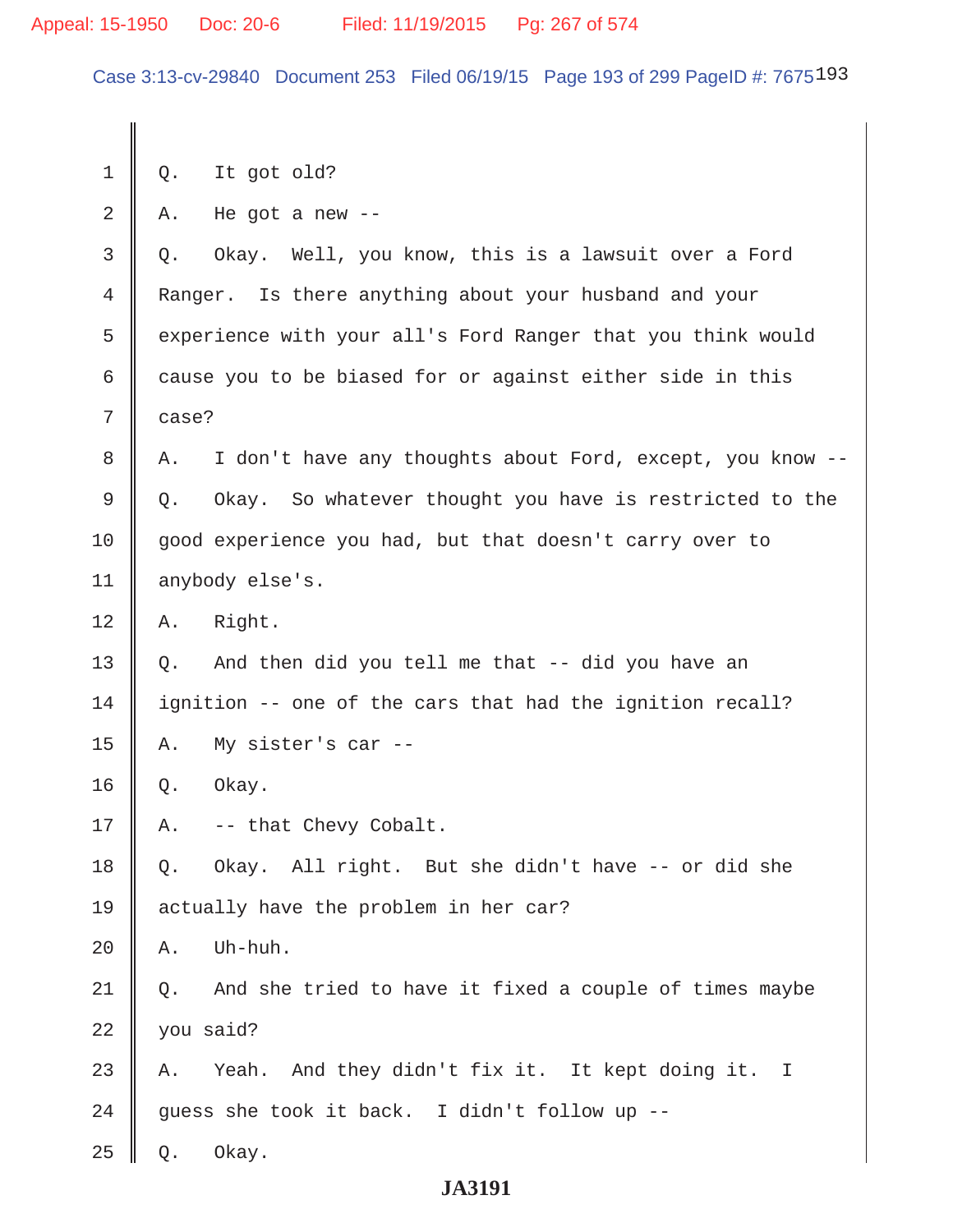### Appeal: 15-1950 Doc: 20-6 Filed: 11/19/2015 Pg: 267 of 574

Case 3:13-cv-29840 Document 253 Filed 06/19/15 Page 193 of 299 PageID #: 7675193

 $1 \parallel Q$ . It got old?  $2 \parallel$  A. He got a new -- 3 Q. Okay. Well, you know, this is a lawsuit over a Ford 4 Ranger. Is there anything about your husband and your 5 experience with your all's Ford Ranger that you think would  $6$  cause you to be biased for or against either side in this  $7 \parallel$  case? 8 A. I don't have any thoughts about Ford, except, you know -- 9 Q. Okay. So whatever thought you have is restricted to the 10 || good experience you had, but that doesn't carry over to 11 | anybody else's.  $12 \parallel A.$  Right. 13  $\parallel$  Q. And then did you tell me that -- did you have an  $14$  | ignition -- one of the cars that had the ignition recall?  $15 \parallel$  A. My sister's car -- $16 \parallel Q.$  Okay.  $17 \parallel A. \left[-\right]$  -- that Chevy Cobalt. 18 || Q. Okay. All right. But she didn't have -- or did she 19 actually have the problem in her car?  $20 \parallel A$ . Uh-huh.  $21 \parallel Q$ . And she tried to have it fixed a couple of times maybe  $22$  | you said?  $23$  || A. Yeah. And they didn't fix it. It kept doing it. I 24 guess she took it back. I didn't follow up  $25 \parallel Q.$  Okay.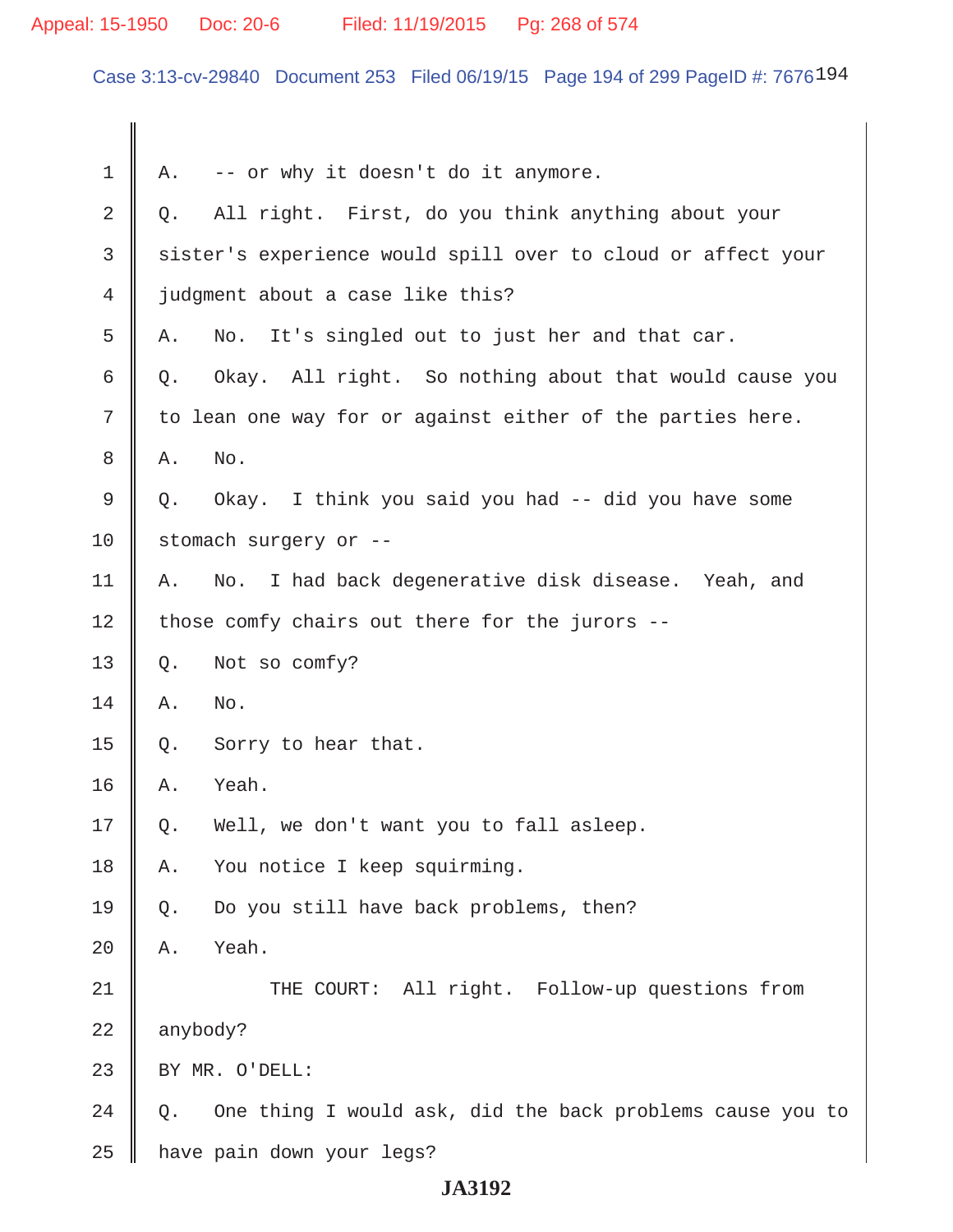# Appeal: 15-1950 Doc: 20-6 Filed: 11/19/2015 Pg: 268 of 574

Case 3:13-cv-29840 Document 253 Filed 06/19/15 Page 194 of 299 PageID #: 7676194

| 1              | Α.                                                         | -- or why it doesn't do it anymore.                          |
|----------------|------------------------------------------------------------|--------------------------------------------------------------|
| 2              | Q.                                                         | All right. First, do you think anything about your           |
| 3              |                                                            | sister's experience would spill over to cloud or affect your |
| $\overline{4}$ |                                                            | judgment about a case like this?                             |
| 5              | Α.                                                         | It's singled out to just her and that car.<br>No.            |
| 6              | Q.                                                         | Okay. All right. So nothing about that would cause you       |
| 7              | to lean one way for or against either of the parties here. |                                                              |
| 8              | Α.                                                         | No.                                                          |
| $\mathsf 9$    | Q.                                                         | Okay. I think you said you had -- did you have some          |
| 10             |                                                            | stomach surgery or --                                        |
| 11             | Α.                                                         | I had back degenerative disk disease. Yeah, and<br>No.       |
| 12             | those comfy chairs out there for the jurors --             |                                                              |
| 13             | $Q$ .                                                      | Not so comfy?                                                |
| 14             | Α.                                                         | No.                                                          |
| 15             | Q.                                                         | Sorry to hear that.                                          |
| 16             | Α.                                                         | Yeah.                                                        |
| 17             | Q.                                                         | Well, we don't want you to fall asleep.                      |
| 18             | Α.                                                         | You notice I keep squirming.                                 |
| 19             | Q.                                                         | Do you still have back problems, then?                       |
| 20             | Α.                                                         | Yeah.                                                        |
| 21             |                                                            | THE COURT: All right. Follow-up questions from               |
| 22             | anybody?                                                   |                                                              |
| 23             |                                                            | BY MR. O'DELL:                                               |
| 24             | Q.                                                         | One thing I would ask, did the back problems cause you to    |
| 25             |                                                            | have pain down your legs?                                    |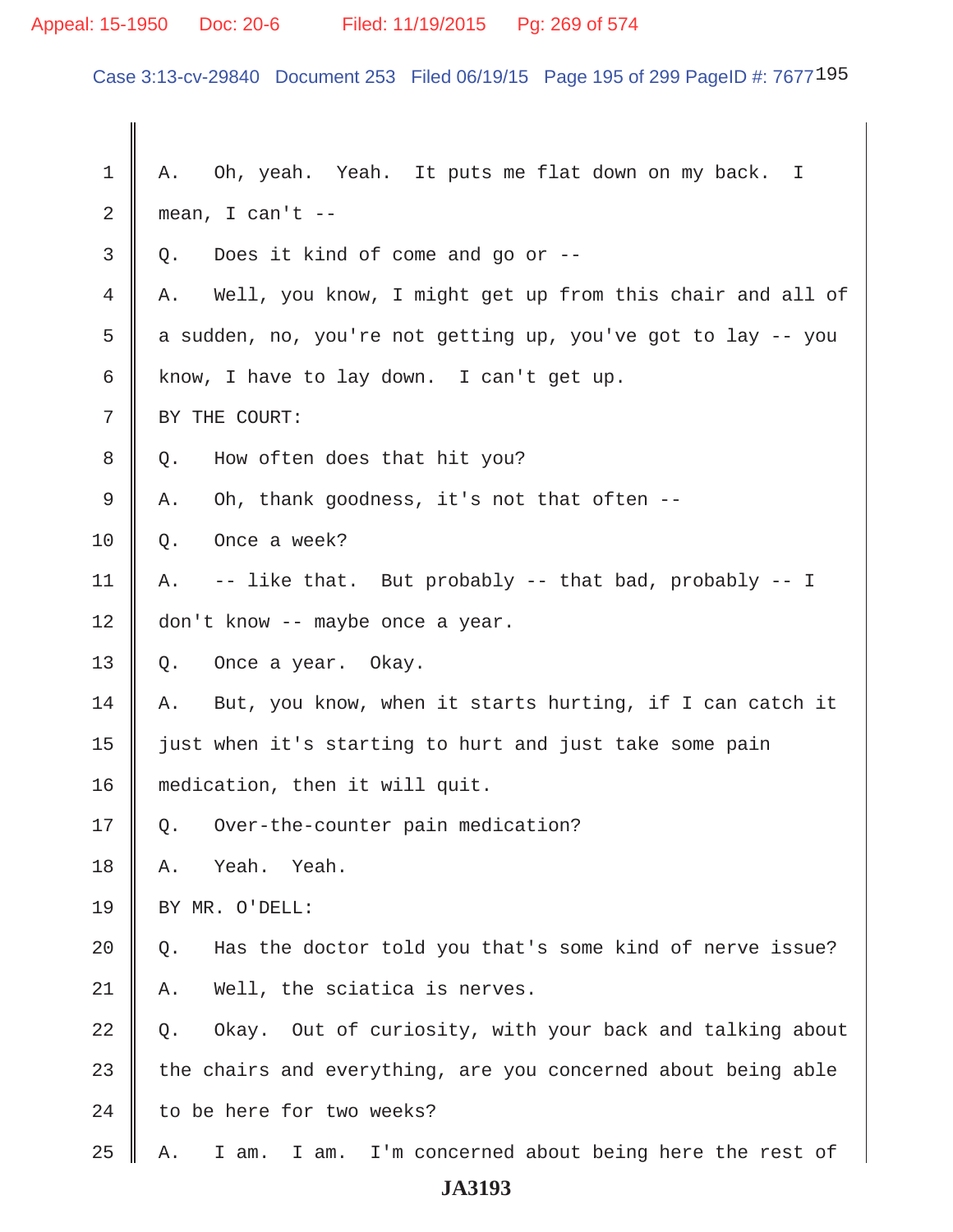# Appeal: 15-1950 Doc: 20-6 Filed: 11/19/2015 Pg: 269 of 574

Case 3:13-cv-29840 Document 253 Filed 06/19/15 Page 195 of 299 PageID #: 7677195

| 1  | A. Oh, yeah. Yeah. It puts me flat down on my back. I              |  |
|----|--------------------------------------------------------------------|--|
| 2  | mean, I can't $--$                                                 |  |
| 3  | Does it kind of come and go or --<br>Q.                            |  |
| 4  | Well, you know, I might get up from this chair and all of<br>Α.    |  |
| 5  | a sudden, no, you're not getting up, you've got to lay -- you      |  |
| 6  | know, I have to lay down. I can't get up.                          |  |
| 7  | BY THE COURT:                                                      |  |
| 8  | How often does that hit you?<br>Q.                                 |  |
| 9  | Oh, thank goodness, it's not that often --<br>Α.                   |  |
| 10 | Once a week?<br>Q.                                                 |  |
| 11 | -- like that. But probably -- that bad, probably -- I<br>Α.        |  |
| 12 | don't know -- maybe once a year.                                   |  |
| 13 | Q.<br>Once a year. Okay.                                           |  |
| 14 | But, you know, when it starts hurting, if I can catch it<br>Α.     |  |
| 15 | just when it's starting to hurt and just take some pain            |  |
| 16 | medication, then it will quit.                                     |  |
| 17 | Over-the-counter pain medication?<br>Q.                            |  |
| 18 | Yeah.<br>Yeah.<br>Α.                                               |  |
| 19 | BY MR. O'DELL:                                                     |  |
| 20 | Has the doctor told you that's some kind of nerve issue?<br>Q.     |  |
| 21 | Well, the sciatica is nerves.<br>Α.                                |  |
| 22 | Okay. Out of curiosity, with your back and talking about<br>Q.     |  |
| 23 | the chairs and everything, are you concerned about being able      |  |
| 24 | to be here for two weeks?                                          |  |
| 25 | I'm concerned about being here the rest of<br>I am.<br>I am.<br>Α. |  |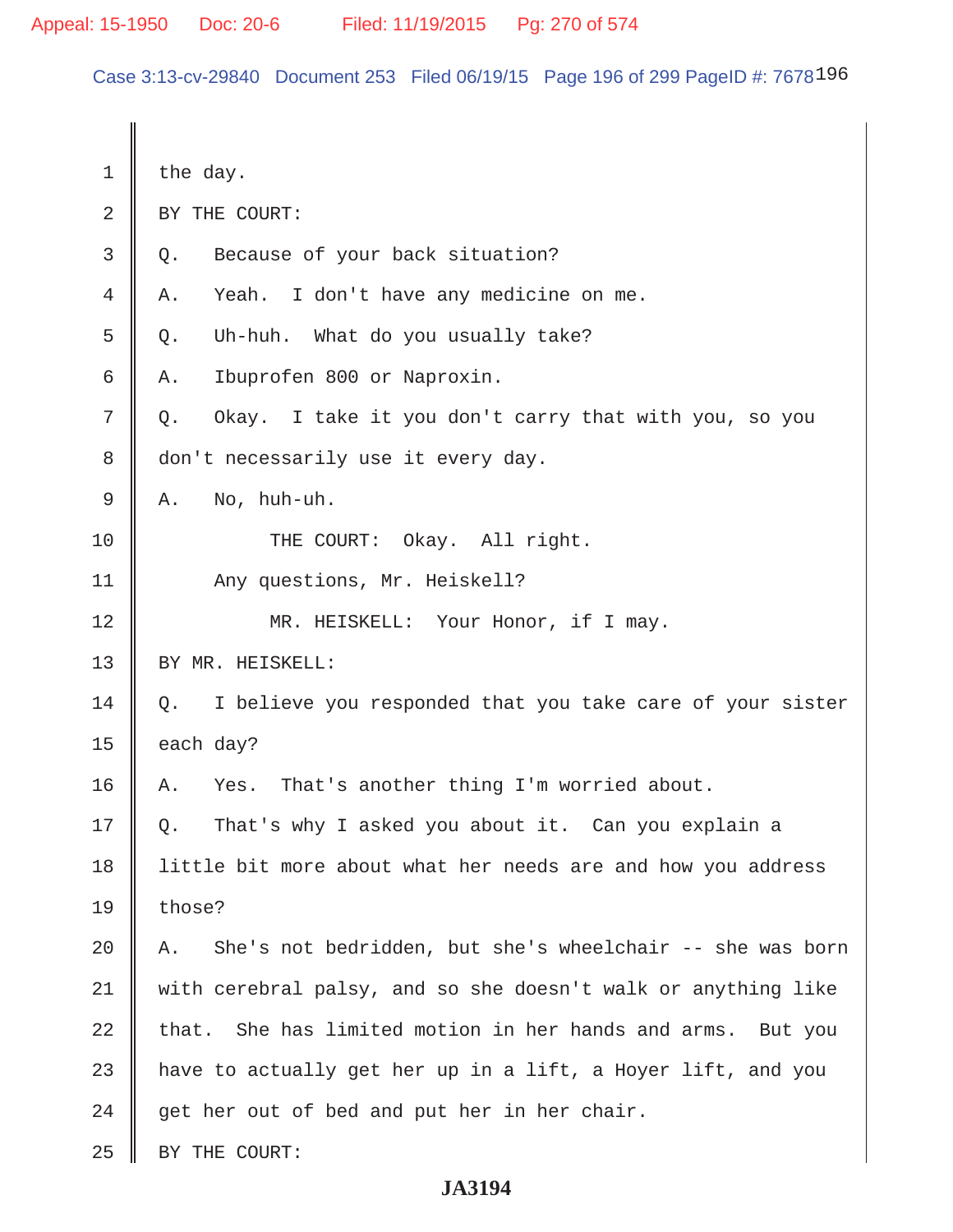Case 3:13-cv-29840 Document 253 Filed 06/19/15 Page 196 of 299 PageID #: 7678196

| 1  | the day.                                                        |  |
|----|-----------------------------------------------------------------|--|
| 2  | BY THE COURT:                                                   |  |
| 3  | Because of your back situation?<br>Q.                           |  |
| 4  | I don't have any medicine on me.<br>Yeah.<br>Α.                 |  |
| 5  | Uh-huh. What do you usually take?<br>Q.                         |  |
| 6  | Ibuprofen 800 or Naproxin.<br>Α.                                |  |
| 7  | Okay. I take it you don't carry that with you, so you<br>Q.     |  |
| 8  | don't necessarily use it every day.                             |  |
| 9  | No, huh-uh.<br>Α.                                               |  |
| 10 | Okay. All right.<br>THE COURT:                                  |  |
| 11 | Any questions, Mr. Heiskell?                                    |  |
| 12 | MR. HEISKELL: Your Honor, if I may.                             |  |
| 13 | BY MR. HEISKELL:                                                |  |
| 14 | I believe you responded that you take care of your sister<br>Q. |  |
| 15 | each day?                                                       |  |
| 16 | That's another thing I'm worried about.<br>Α.<br>Yes.           |  |
| 17 | That's why I asked you about it. Can you explain a<br>Q.        |  |
| 18 | little bit more about what her needs are and how you address    |  |
| 19 | those?                                                          |  |
| 20 | She's not bedridden, but she's wheelchair -- she was born<br>Α. |  |
| 21 | with cerebral palsy, and so she doesn't walk or anything like   |  |
| 22 | that. She has limited motion in her hands and arms. But you     |  |
| 23 | have to actually get her up in a lift, a Hoyer lift, and you    |  |
| 24 | get her out of bed and put her in her chair.                    |  |
| 25 | BY THE COURT:                                                   |  |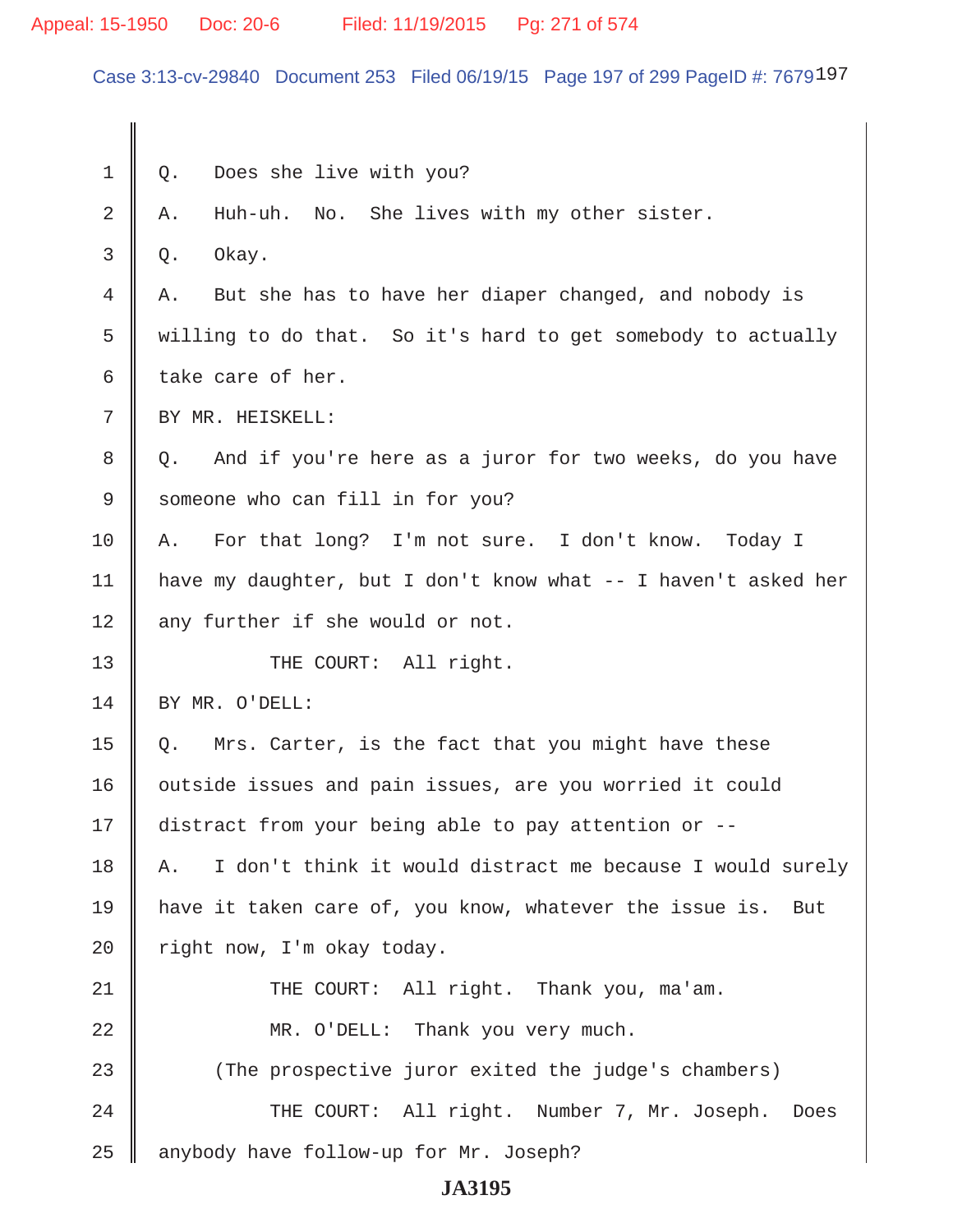# Appeal: 15-1950 Doc: 20-6 Filed: 11/19/2015 Pg: 271 of 574

Case 3:13-cv-29840 Document 253 Filed 06/19/15 Page 197 of 299 PageID #: 7679197

| $\mathbf 1$    | Does she live with you?<br>Q.                                   |  |
|----------------|-----------------------------------------------------------------|--|
| $\overline{2}$ | Huh-uh. No. She lives with my other sister.<br>Α.               |  |
| 3              | Okay.<br>Q.                                                     |  |
| 4              | But she has to have her diaper changed, and nobody is<br>Α.     |  |
| 5              | willing to do that. So it's hard to get somebody to actually    |  |
| 6              | take care of her.                                               |  |
| 7              | BY MR. HEISKELL:                                                |  |
| 8              | And if you're here as a juror for two weeks, do you have<br>Q.  |  |
| 9              | someone who can fill in for you?                                |  |
| 10             | For that long? I'm not sure. I don't know. Today I<br>Α.        |  |
| 11             | have my daughter, but I don't know what -- I haven't asked her  |  |
| 12             | any further if she would or not.                                |  |
| 13             | THE COURT: All right.                                           |  |
| 14             | BY MR. O'DELL:                                                  |  |
| 15             | Mrs. Carter, is the fact that you might have these<br>Q.        |  |
| 16             | outside issues and pain issues, are you worried it could        |  |
| 17             | distract from your being able to pay attention or --            |  |
| 18             | I don't think it would distract me because I would surely<br>Α. |  |
| 19             | have it taken care of, you know, whatever the issue is. But     |  |
| 20             | right now, I'm okay today.                                      |  |
| 21             | THE COURT: All right. Thank you, ma'am.                         |  |
| 22             | MR. O'DELL: Thank you very much.                                |  |
| 23             | (The prospective juror exited the judge's chambers)             |  |
| 24             | THE COURT: All right. Number 7, Mr. Joseph.<br>Does             |  |
| 25             | anybody have follow-up for Mr. Joseph?                          |  |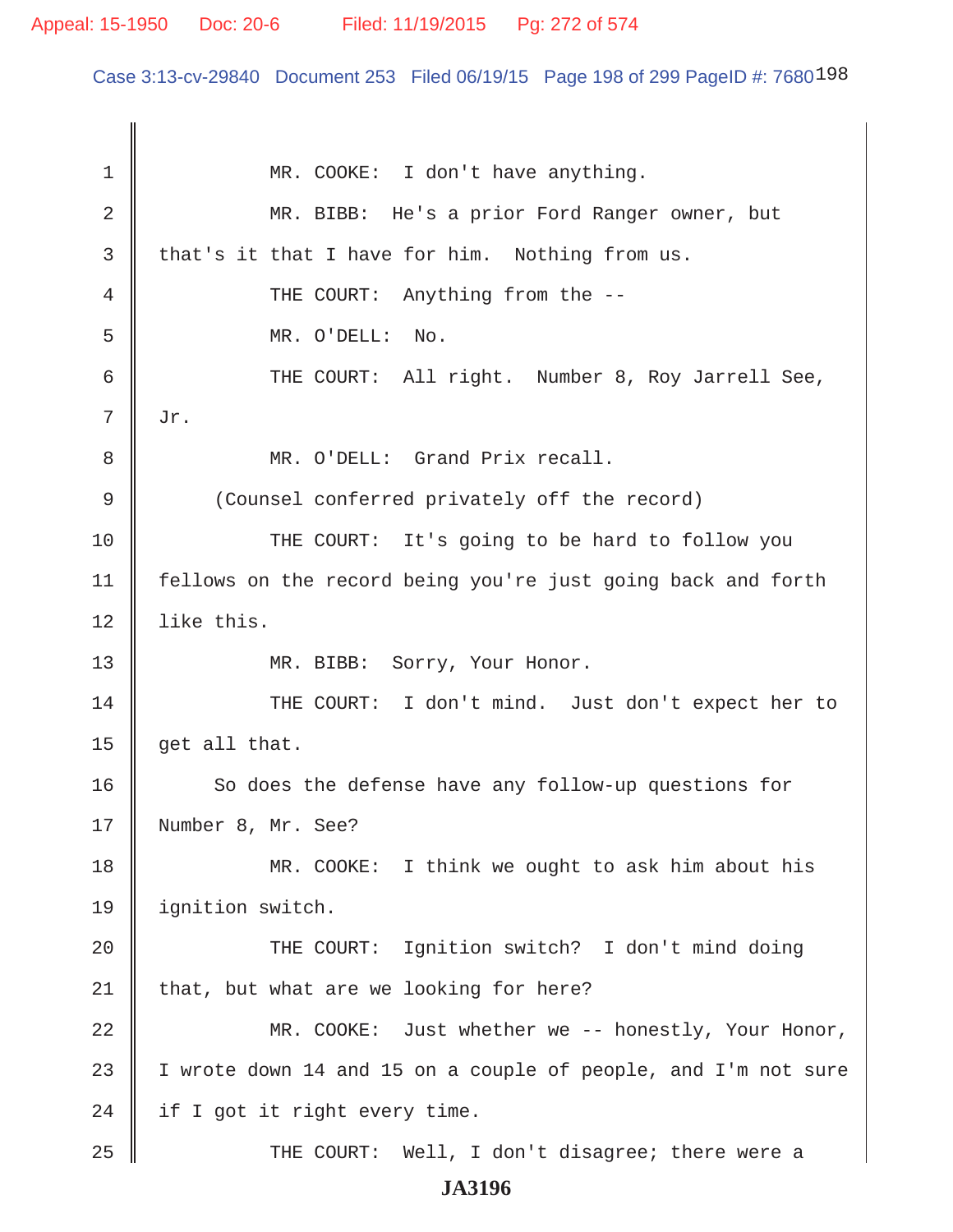# Appeal: 15-1950 Doc: 20-6 Filed: 11/19/2015 Pg: 272 of 574

Case 3:13-cv-29840 Document 253 Filed 06/19/15 Page 198 of 299 PageID #: 7680198

| 1           | MR. COOKE: I don't have anything.                              |
|-------------|----------------------------------------------------------------|
| 2           | MR. BIBB: He's a prior Ford Ranger owner, but                  |
| 3           | that's it that I have for him. Nothing from us.                |
| 4           | THE COURT: Anything from the --                                |
| 5           | MR. O'DELL: No.                                                |
| 6           | THE COURT: All right. Number 8, Roy Jarrell See,               |
| 7           | Jr.                                                            |
| 8           | MR. O'DELL: Grand Prix recall.                                 |
| $\mathsf 9$ | (Counsel conferred privately off the record)                   |
| 10          | THE COURT: It's going to be hard to follow you                 |
| 11          | fellows on the record being you're just going back and forth   |
| 12          | like this.                                                     |
| 13          | MR. BIBB: Sorry, Your Honor.                                   |
| 14          | THE COURT: I don't mind. Just don't expect her to              |
| 15          | get all that.                                                  |
| 16          | So does the defense have any follow-up questions for           |
| 17          | Number 8, Mr. See?                                             |
| 18          | MR. COOKE: I think we ought to ask him about his               |
| 19          | ignition switch.                                               |
| 20          | THE COURT: Ignition switch? I don't mind doing                 |
| 21          | that, but what are we looking for here?                        |
| 22          | MR. COOKE: Just whether we -- honestly, Your Honor,            |
| 23          | I wrote down 14 and 15 on a couple of people, and I'm not sure |
| 24          | if I got it right every time.                                  |
| 25          | THE COURT: Well, I don't disagree; there were a                |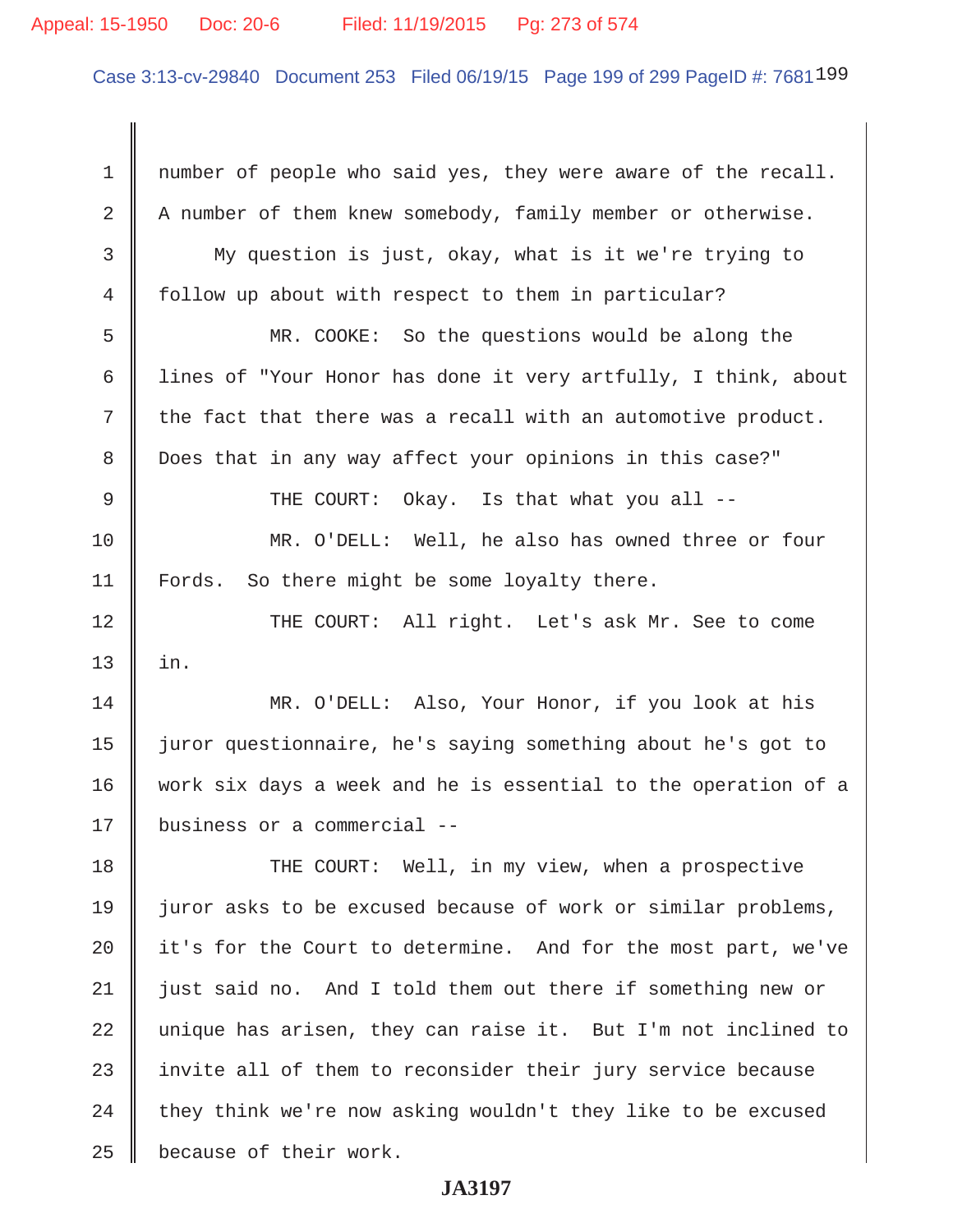# Appeal: 15-1950 Doc: 20-6 Filed: 11/19/2015 Pg: 273 of 574

Case 3:13-cv-29840 Document 253 Filed 06/19/15 Page 199 of 299 PageID #: 7681199

| $\mathbf 1$    | number of people who said yes, they were aware of the recall.  |
|----------------|----------------------------------------------------------------|
| 2              | A number of them knew somebody, family member or otherwise.    |
| 3              | My question is just, okay, what is it we're trying to          |
| $\overline{4}$ | follow up about with respect to them in particular?            |
| 5              | MR. COOKE: So the questions would be along the                 |
| 6              | lines of "Your Honor has done it very artfully, I think, about |
| 7              | the fact that there was a recall with an automotive product.   |
| 8              | Does that in any way affect your opinions in this case?"       |
| 9              | THE COURT: Okay. Is that what you all --                       |
| 10             | MR. O'DELL: Well, he also has owned three or four              |
| 11             | Fords. So there might be some loyalty there.                   |
| 12             | THE COURT: All right. Let's ask Mr. See to come                |
| 13             | in.                                                            |
| 14             | MR. O'DELL: Also, Your Honor, if you look at his               |
| 15             | juror questionnaire, he's saying something about he's got to   |
| 16             | work six days a week and he is essential to the operation of a |
| 17             | business or a commercial --                                    |
| 18             | THE COURT: Well, in my view, when a prospective                |
| 19             | juror asks to be excused because of work or similar problems,  |
| 20             | it's for the Court to determine. And for the most part, we've  |
| 21             | just said no. And I told them out there if something new or    |
| 22             | unique has arisen, they can raise it. But I'm not inclined to  |
| 23             | invite all of them to reconsider their jury service because    |
| 24             | they think we're now asking wouldn't they like to be excused   |
| 25             | because of their work.                                         |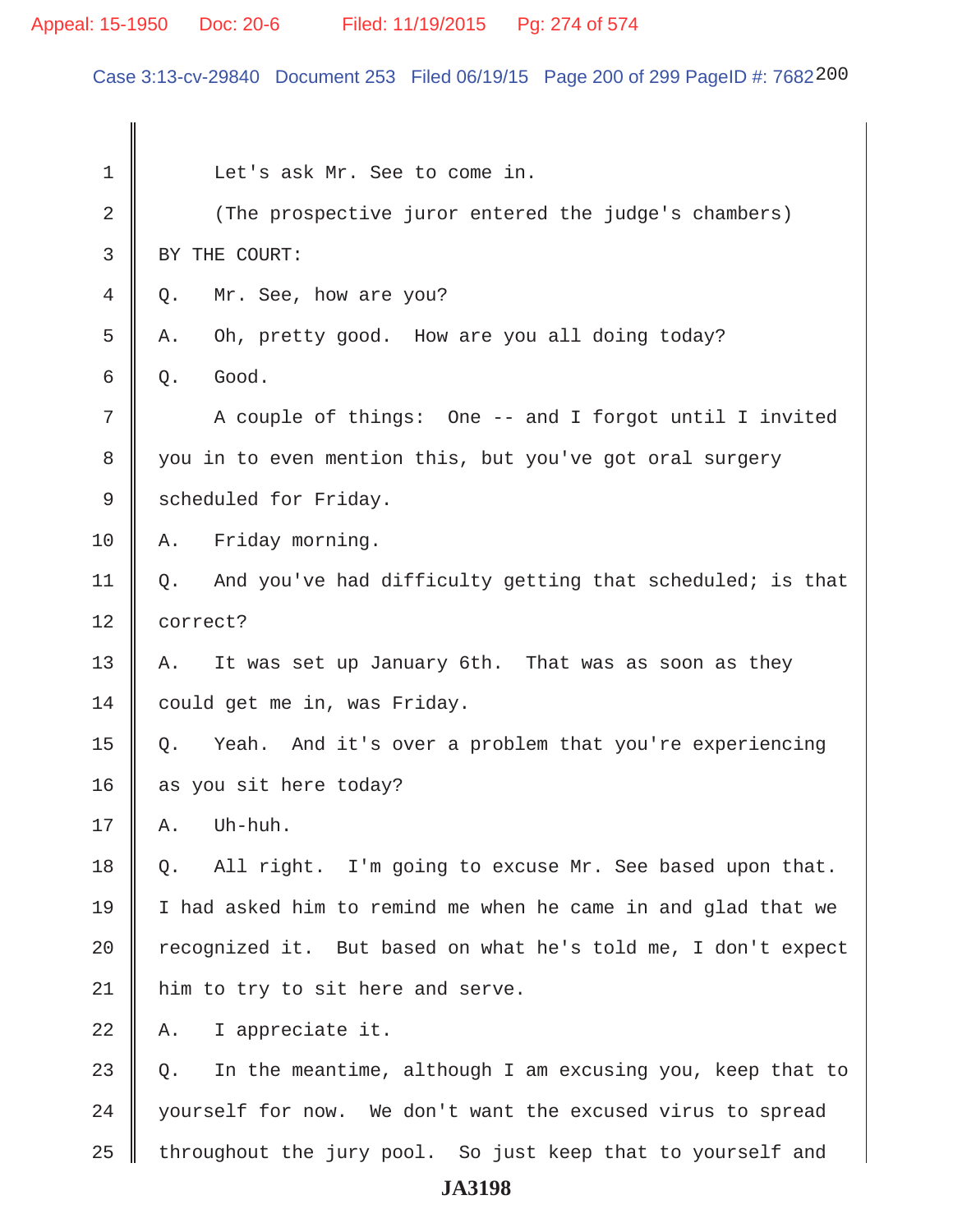# Appeal: 15-1950 Doc: 20-6 Filed: 11/19/2015 Pg: 274 of 574

Case 3:13-cv-29840 Document 253 Filed 06/19/15 Page 200 of 299 PageID #: 7682200

| 1  | Let's ask Mr. See to come in.                                   |  |
|----|-----------------------------------------------------------------|--|
| 2  | (The prospective juror entered the judge's chambers)            |  |
| 3  | BY THE COURT:                                                   |  |
| 4  | Mr. See, how are you?<br>Q.                                     |  |
| 5  | Oh, pretty good. How are you all doing today?<br>Α.             |  |
| 6  | Good.<br>Q.                                                     |  |
| 7  | A couple of things: One -- and I forgot until I invited         |  |
| 8  | you in to even mention this, but you've got oral surgery        |  |
| 9  | scheduled for Friday.                                           |  |
| 10 | Friday morning.<br>Α.                                           |  |
| 11 | And you've had difficulty getting that scheduled; is that<br>Q. |  |
| 12 | correct?                                                        |  |
| 13 | It was set up January 6th. That was as soon as they<br>Α.       |  |
| 14 | could get me in, was Friday.                                    |  |
| 15 | Yeah. And it's over a problem that you're experiencing<br>Q.    |  |
| 16 | as you sit here today?                                          |  |
| 17 | Uh-huh.<br>Α.                                                   |  |
| 18 | All right. I'm going to excuse Mr. See based upon that.<br>Q.   |  |
| 19 | I had asked him to remind me when he came in and glad that we   |  |
| 20 | recognized it. But based on what he's told me, I don't expect   |  |
| 21 | him to try to sit here and serve.                               |  |
| 22 | I appreciate it.<br>Α.                                          |  |
| 23 | In the meantime, although I am excusing you, keep that to<br>Q. |  |
| 24 | yourself for now. We don't want the excused virus to spread     |  |
| 25 | throughout the jury pool. So just keep that to yourself and     |  |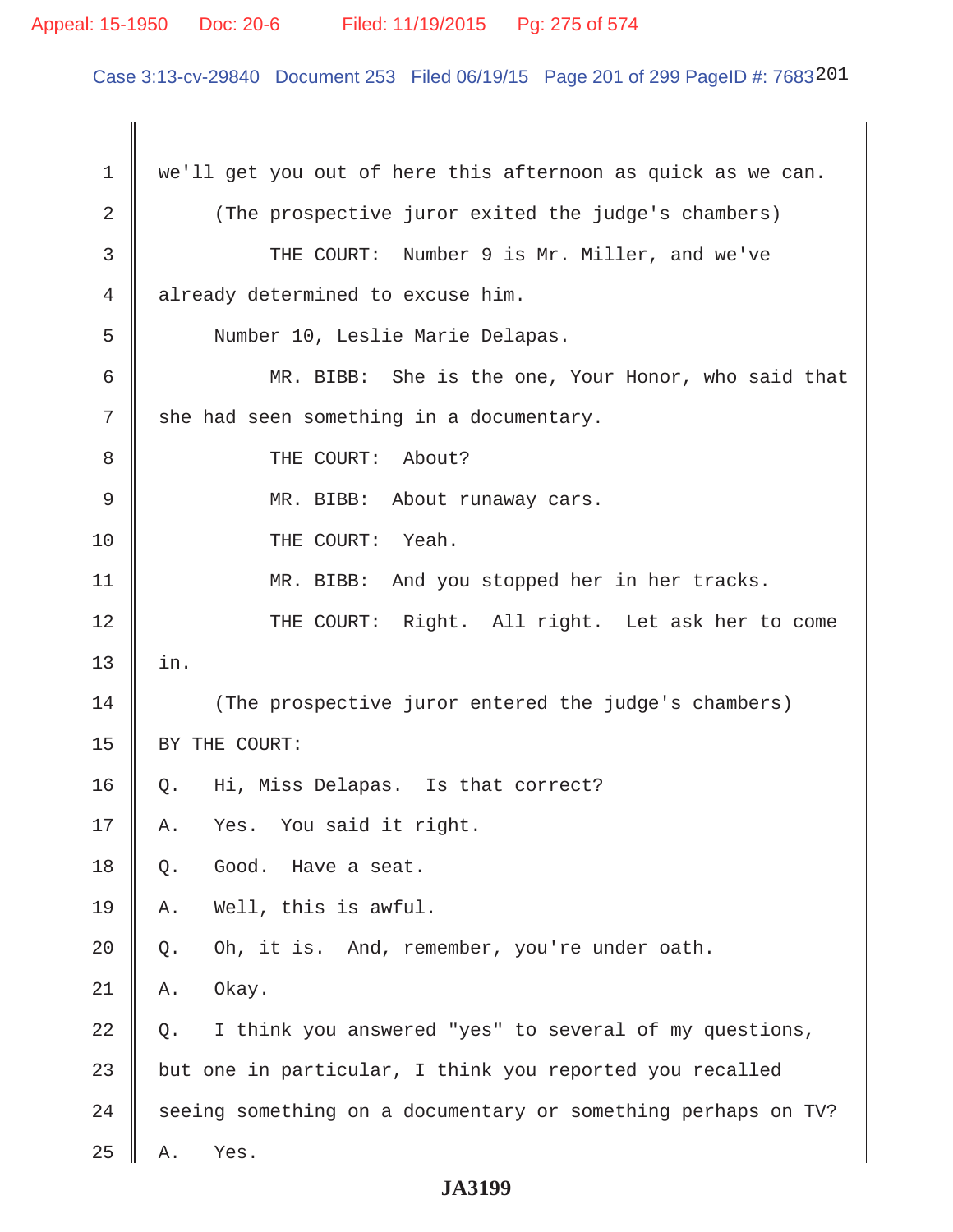# Appeal: 15-1950 Doc: 20-6 Filed: 11/19/2015 Pg: 275 of 574

Case 3:13-cv-29840 Document 253 Filed 06/19/15 Page 201 of 299 PageID #: 7683201

| $\mathbf 1$ | we'll get you out of here this afternoon as quick as we can.  |
|-------------|---------------------------------------------------------------|
| 2           | (The prospective juror exited the judge's chambers)           |
| 3           | THE COURT: Number 9 is Mr. Miller, and we've                  |
| 4           | already determined to excuse him.                             |
| 5           | Number 10, Leslie Marie Delapas.                              |
| 6           | MR. BIBB: She is the one, Your Honor, who said that           |
| 7           | she had seen something in a documentary.                      |
| 8           | THE COURT: About?                                             |
| 9           | MR. BIBB: About runaway cars.                                 |
| 10          | THE COURT: Yeah.                                              |
| 11          | MR. BIBB: And you stopped her in her tracks.                  |
| 12          | THE COURT: Right. All right. Let ask her to come              |
| 13          | in.                                                           |
| 14          | (The prospective juror entered the judge's chambers)          |
| 15          | BY THE COURT:                                                 |
| 16          | Hi, Miss Delapas. Is that correct?<br>Q.                      |
| 17          | Yes. You said it right.<br>Α.                                 |
| 18          | Good.<br>Have a seat.<br>Q.                                   |
| 19          | Well, this is awful.<br>Α.                                    |
| 20          | Oh, it is. And, remember, you're under oath.<br>Q.            |
| 21          | Okay.<br>Α.                                                   |
| 22          | I think you answered "yes" to several of my questions,<br>Q.  |
| 23          | but one in particular, I think you reported you recalled      |
| 24          | seeing something on a documentary or something perhaps on TV? |
| 25          | Yes.<br>Α.                                                    |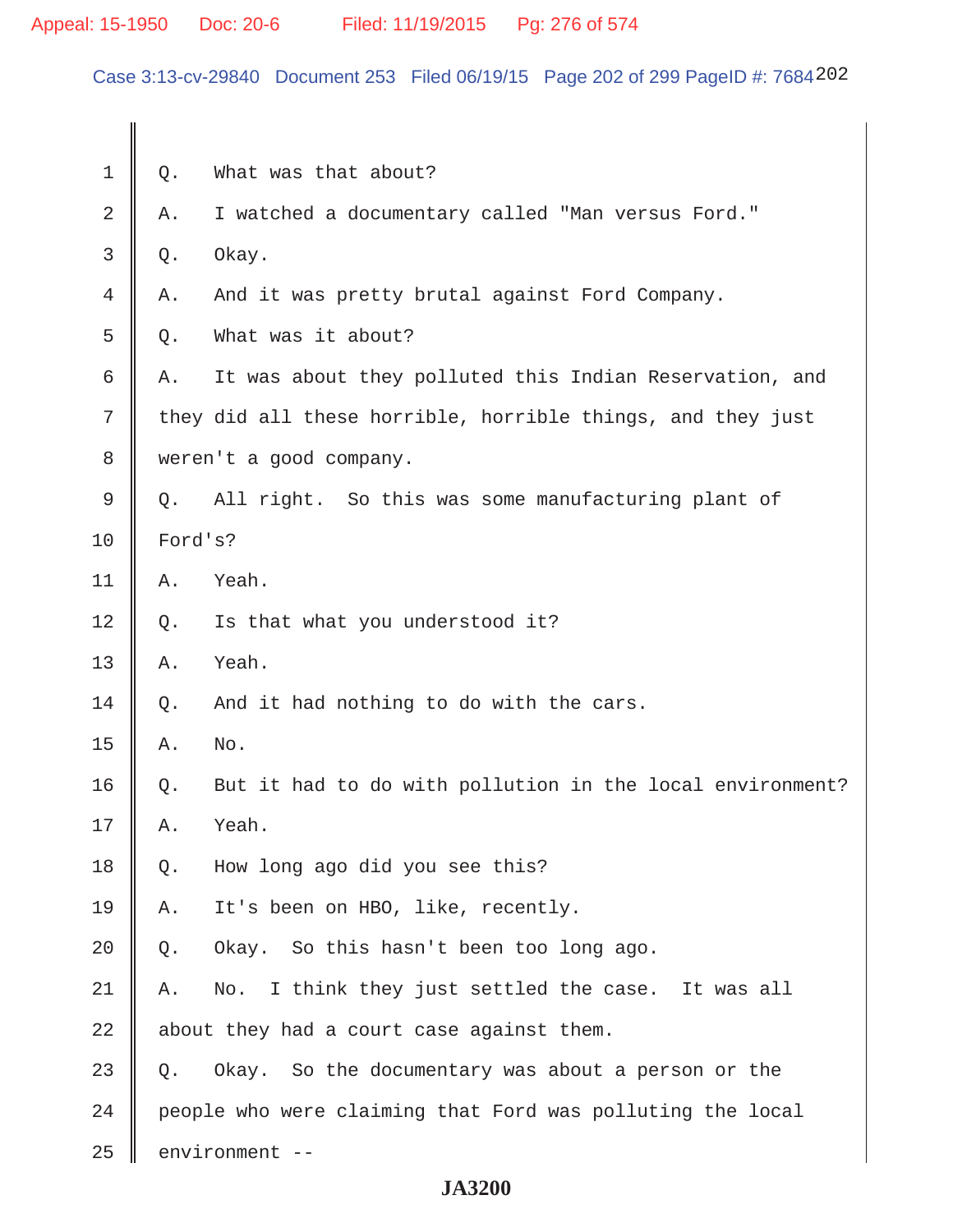Case 3:13-cv-29840 Document 253 Filed 06/19/15 Page 202 of 299 PageID #: 7684202

| 1  | Q.                                        | What was that about?                                        |  |
|----|-------------------------------------------|-------------------------------------------------------------|--|
| 2  | Α.                                        | I watched a documentary called "Man versus Ford."           |  |
| 3  | Q.                                        | Okay.                                                       |  |
| 4  | Α.                                        | And it was pretty brutal against Ford Company.              |  |
| 5  | Q.                                        | What was it about?                                          |  |
| 6  | Α.                                        | It was about they polluted this Indian Reservation, and     |  |
| 7  |                                           | they did all these horrible, horrible things, and they just |  |
| 8  | weren't a good company.                   |                                                             |  |
| 9  | $Q$ .                                     | All right. So this was some manufacturing plant of          |  |
| 10 | Ford's?                                   |                                                             |  |
| 11 | Α.                                        | Yeah.                                                       |  |
| 12 | Q.                                        | Is that what you understood it?                             |  |
| 13 | Α.                                        | Yeah.                                                       |  |
| 14 | Q.                                        | And it had nothing to do with the cars.                     |  |
| 15 | Α.                                        | No.                                                         |  |
| 16 | Q.                                        | But it had to do with pollution in the local environment?   |  |
| 17 | Α.                                        | Yeah.                                                       |  |
| 18 | Q.                                        | How long ago did you see this?                              |  |
| 19 | Α.                                        | It's been on HBO, like, recently.                           |  |
| 20 | Q.                                        | Okay. So this hasn't been too long ago.                     |  |
| 21 | Α.                                        | I think they just settled the case. It was all<br>No.       |  |
| 22 | about they had a court case against them. |                                                             |  |
| 23 | Q.                                        | Okay. So the documentary was about a person or the          |  |
| 24 |                                           | people who were claiming that Ford was polluting the local  |  |
| 25 |                                           | environment --                                              |  |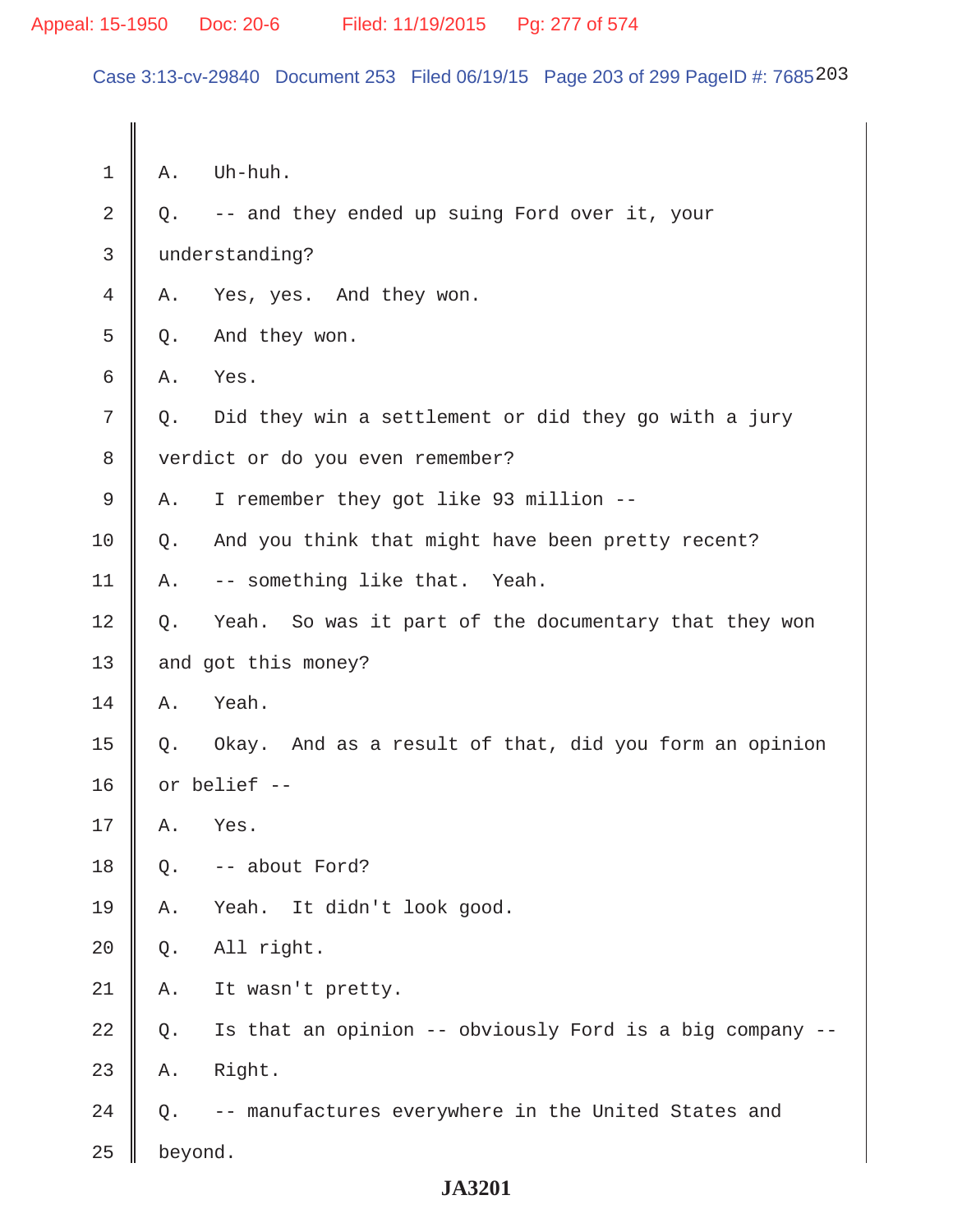Case 3:13-cv-29840 Document 253 Filed 06/19/15 Page 203 of 299 PageID #: 7685203

| 1  | Α.                               | Uh-huh.                                                  |
|----|----------------------------------|----------------------------------------------------------|
| 2  | Q.                               | -- and they ended up suing Ford over it, your            |
| 3  |                                  | understanding?                                           |
| 4  | Α.                               | Yes, yes. And they won.                                  |
| 5  | Q.                               | And they won.                                            |
| 6  | Α.                               | Yes.                                                     |
| 7  | Q.                               | Did they win a settlement or did they go with a jury     |
| 8  | verdict or do you even remember? |                                                          |
| 9  | Α.                               | I remember they got like 93 million --                   |
| 10 | Q.                               | And you think that might have been pretty recent?        |
| 11 | Α.                               | -- something like that. Yeah.                            |
| 12 | Q.                               | Yeah. So was it part of the documentary that they won    |
| 13 | and got this money?              |                                                          |
| 14 | Α.                               | Yeah.                                                    |
| 15 | Q.                               | Okay. And as a result of that, did you form an opinion   |
| 16 | or belief --                     |                                                          |
| 17 | Α.                               | Yes.                                                     |
| 18 | Q.                               | -- about Ford?                                           |
| 19 | Α.                               | Yeah. It didn't look good.                               |
| 20 | Q.                               | All right.                                               |
| 21 | Α.                               | It wasn't pretty.                                        |
| 22 | Q.                               | Is that an opinion -- obviously Ford is a big company -- |
| 23 | Α.                               | Right.                                                   |
| 24 | Q.                               | -- manufactures everywhere in the United States and      |
| 25 | beyond.                          |                                                          |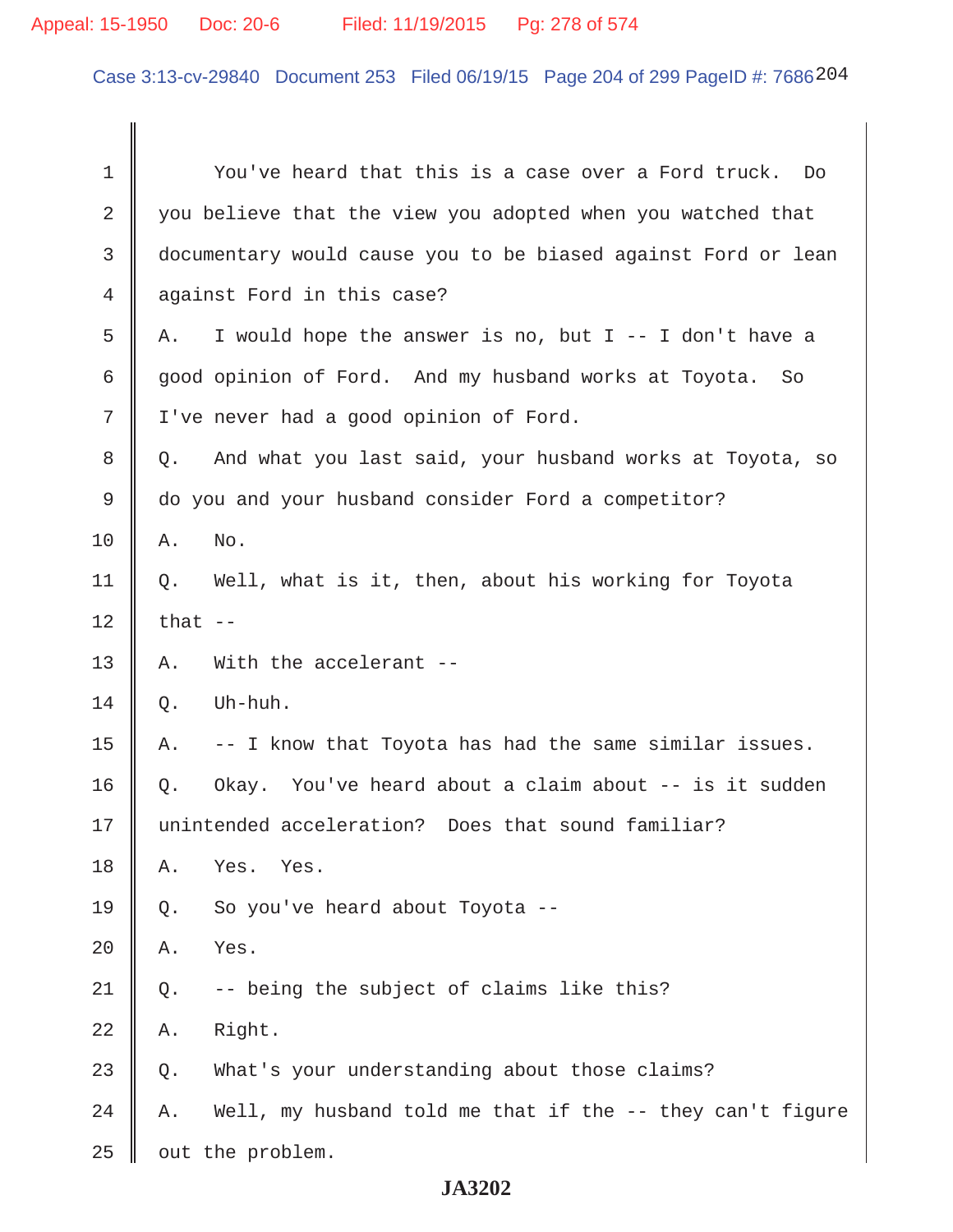# Appeal: 15-1950 Doc: 20-6 Filed: 11/19/2015 Pg: 278 of 574

Case 3:13-cv-29840 Document 253 Filed 06/19/15 Page 204 of 299 PageID #: 7686204

| $\mathbf 1$ | You've heard that this is a case over a Ford truck.<br>Do       |
|-------------|-----------------------------------------------------------------|
| 2           | you believe that the view you adopted when you watched that     |
| 3           | documentary would cause you to be biased against Ford or lean   |
| 4           | against Ford in this case?                                      |
| 5           | I would hope the answer is no, but I -- I don't have a<br>Α.    |
| 6           | good opinion of Ford. And my husband works at Toyota.<br>So     |
| 7           | I've never had a good opinion of Ford.                          |
| 8           | And what you last said, your husband works at Toyota, so<br>Q.  |
| 9           | do you and your husband consider Ford a competitor?             |
| 10          | No.<br>Α.                                                       |
| 11          | Well, what is it, then, about his working for Toyota<br>Q.      |
| 12          | that $-$                                                        |
| 13          | With the accelerant --<br>Α.                                    |
| 14          | Uh-huh.<br>Q.                                                   |
| 15          | -- I know that Toyota has had the same similar issues.<br>Α.    |
| 16          | Okay. You've heard about a claim about -- is it sudden<br>$Q$ . |
| 17          | unintended acceleration? Does that sound familiar?              |
| 18          | Yes.<br>Yes.<br>Α.                                              |
| 19          | So you've heard about Toyota --<br>Q.                           |
| 20          | Yes.<br>Α.                                                      |
| 21          | -- being the subject of claims like this?<br>Q.                 |
| 22          | Right.<br>Α.                                                    |
| 23          | What's your understanding about those claims?<br>Q.             |
| 24          | Well, my husband told me that if the -- they can't figure<br>Α. |
| 25          | out the problem.                                                |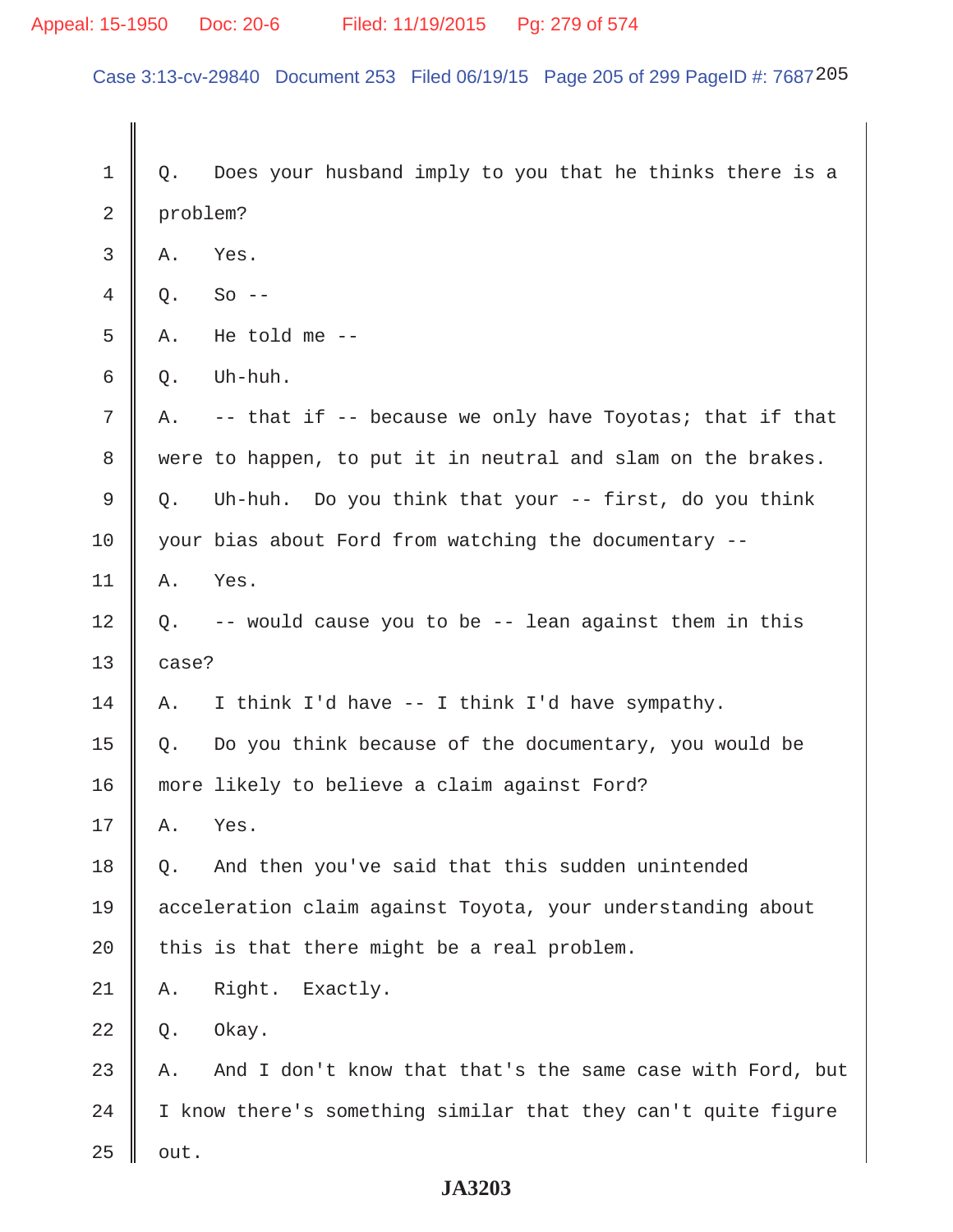Case 3:13-cv-29840 Document 253 Filed 06/19/15 Page 205 of 299 PageID #: 7687205

1 || Q. Does your husband imply to you that he thinks there is a 2 problem?  $3 \parallel A.$  Yes.  $4 \parallel 0.$  So -- $5 \parallel A$ . He told me -- $6 \parallel 0.$  Uh-huh. 7  $\parallel$  A. -- that if -- because we only have Toyotas; that if that 8 were to happen, to put it in neutral and slam on the brakes.  $9 \parallel Q$ . Uh-huh. Do you think that your -- first, do you think 10 | your bias about Ford from watching the documentary -- $11 \parallel A.$  Yes.  $12 \parallel Q$ . -- would cause you to be -- lean against them in this  $13 \parallel$  case? 14 | A. I think I'd have  $-$ - I think I'd have sympathy. 15  $\parallel$  Q. Do you think because of the documentary, you would be 16 | more likely to believe a claim against Ford?  $17 \parallel A.$  Yes. 18 || Q. And then you've said that this sudden unintended 19 acceleration claim against Toyota, your understanding about 20  $\parallel$  this is that there might be a real problem. 21 A. Right. Exactly.  $22 \parallel 0.$  Okay. 23  $\parallel$  A. And I don't know that that's the same case with Ford, but  $24$  | I know there's something similar that they can't quite figure  $25$  | out.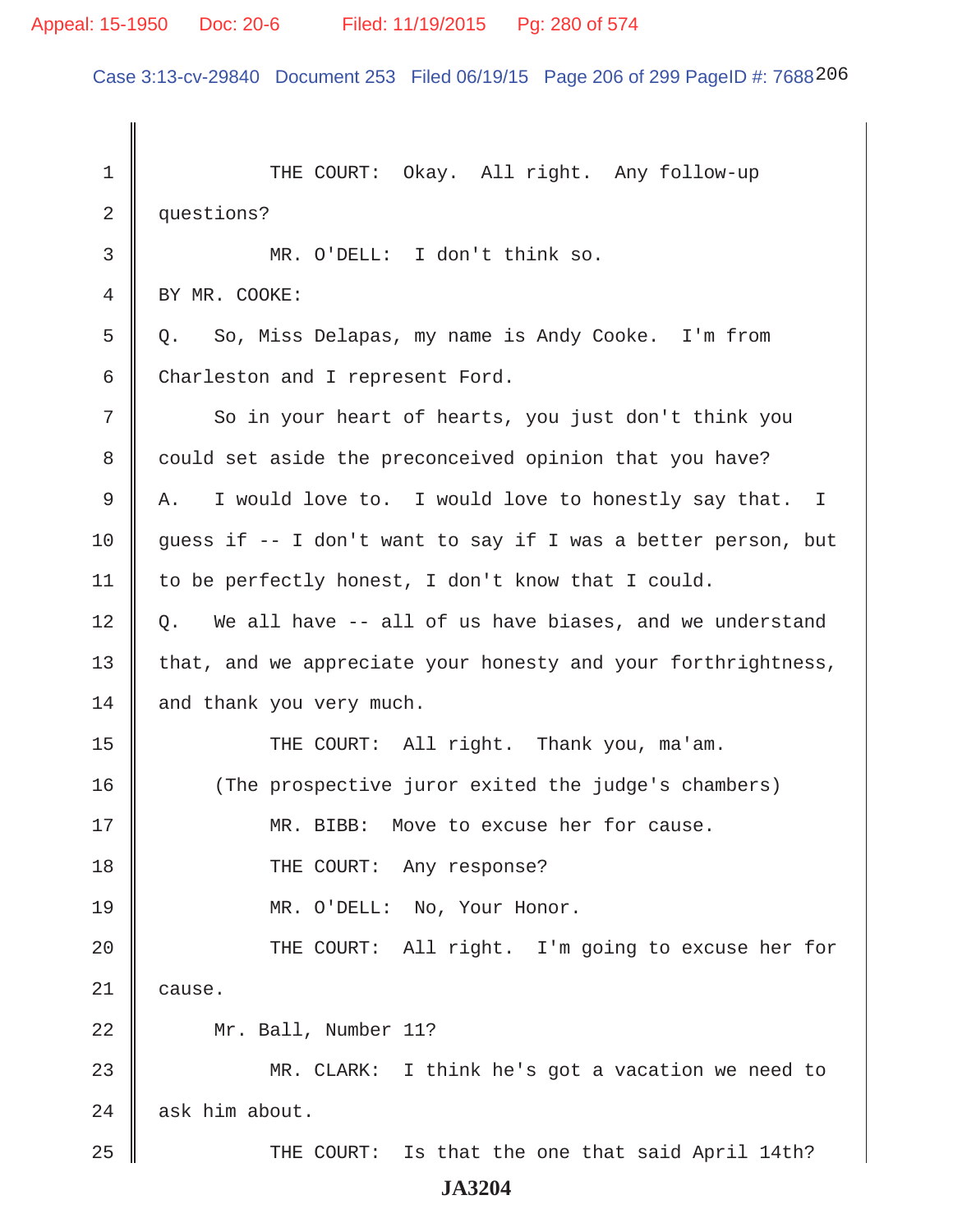### Appeal: 15-1950 Doc: 20-6 Filed: 11/19/2015 Pg: 280 of 574

Case 3:13-cv-29840 Document 253 Filed 06/19/15 Page 206 of 299 PageID #: 7688206

 1 THE COURT: Okay. All right. Any follow-up 2 questions? 3 MR. O'DELL: I don't think so. 4 BY MR. COOKE: 5 || O. So, Miss Delapas, my name is Andy Cooke. I'm from 6 Charleston and I represent Ford. 7 So in your heart of hearts, you just don't think you 8 could set aside the preconceived opinion that you have? 9 A. I would love to. I would love to honestly say that. I 10  $\parallel$  guess if -- I don't want to say if I was a better person, but 11 | to be perfectly honest, I don't know that I could.  $12 \parallel Q$ . We all have  $-$  all of us have biases, and we understand 13 | that, and we appreciate your honesty and your forthrightness,  $14$  and thank you very much. 15 || THE COURT: All right. Thank you, ma'am. 16 (The prospective juror exited the judge's chambers) 17 MR. BIBB: Move to excuse her for cause. 18 || THE COURT: Any response? 19 MR. O'DELL: No, Your Honor. 20 THE COURT: All right. I'm going to excuse her for 21 || cause. 22 Mr. Ball, Number 11? 23 MR. CLARK: I think he's got a vacation we need to  $24$  | ask him about. 25 THE COURT: Is that the one that said April 14th? **JA3204**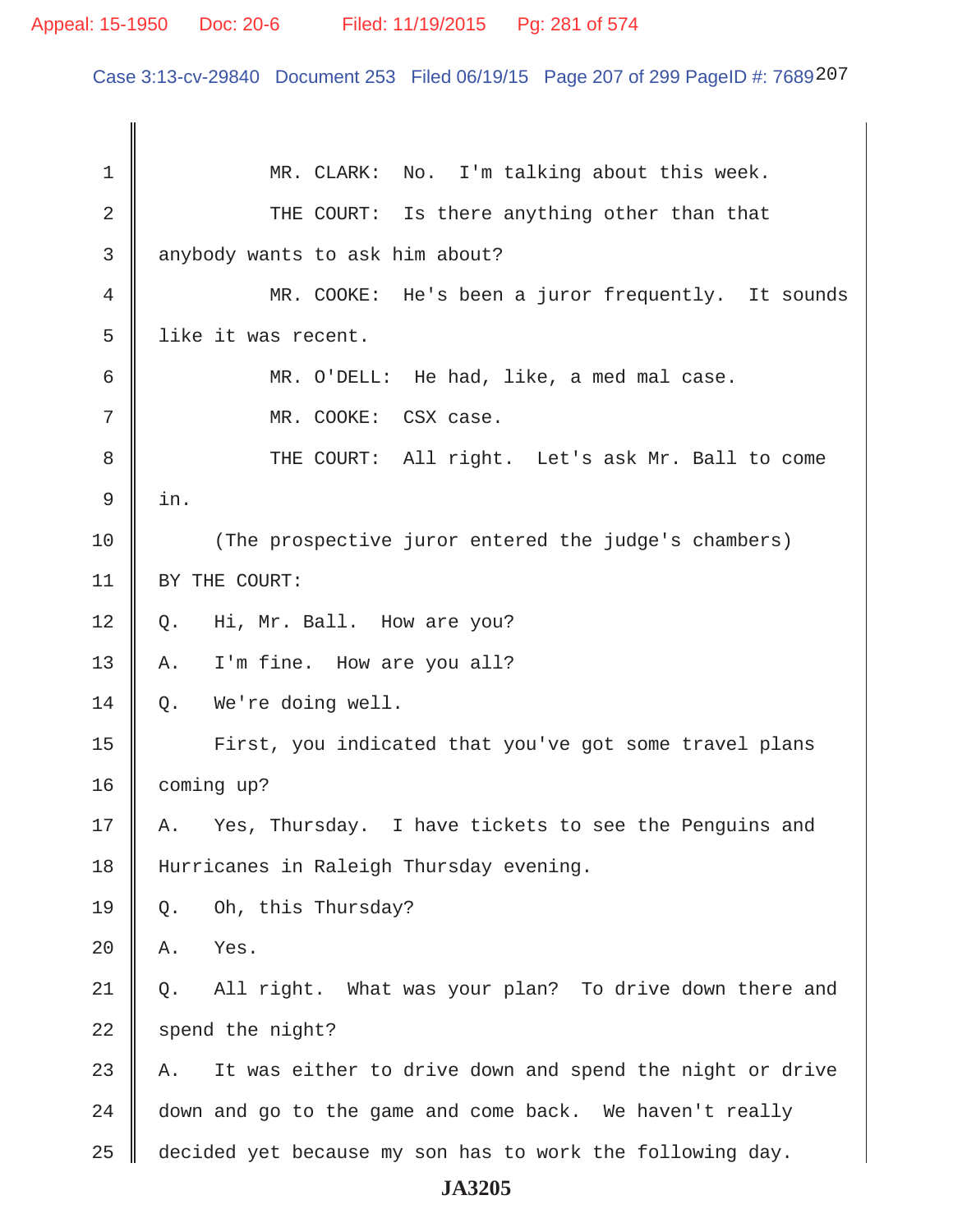# Appeal: 15-1950 Doc: 20-6 Filed: 11/19/2015 Pg: 281 of 574

Case 3:13-cv-29840 Document 253 Filed 06/19/15 Page 207 of 299 PageID #: 7689207

| 1  | MR. CLARK: No. I'm talking about this week.                    |
|----|----------------------------------------------------------------|
| 2  | THE COURT: Is there anything other than that                   |
| 3  | anybody wants to ask him about?                                |
| 4  | MR. COOKE: He's been a juror frequently. It sounds             |
| 5  | like it was recent.                                            |
| 6  | MR. O'DELL: He had, like, a med mal case.                      |
| 7  | MR. COOKE: CSX case.                                           |
| 8  | THE COURT: All right. Let's ask Mr. Ball to come               |
| 9  | in.                                                            |
| 10 | (The prospective juror entered the judge's chambers)           |
| 11 | BY THE COURT:                                                  |
| 12 | Hi, Mr. Ball. How are you?<br>Q.                               |
| 13 | I'm fine. How are you all?<br>Α.                               |
| 14 | We're doing well.<br>Q.                                        |
| 15 | First, you indicated that you've got some travel plans         |
| 16 | coming up?                                                     |
| 17 | Yes, Thursday. I have tickets to see the Penguins and<br>Α.    |
| 18 | Hurricanes in Raleigh Thursday evening.                        |
| 19 | Oh, this Thursday?<br>Q.                                       |
| 20 | Yes.<br>Α.                                                     |
| 21 | All right. What was your plan? To drive down there and<br>Q.   |
| 22 | spend the night?                                               |
| 23 | It was either to drive down and spend the night or drive<br>Α. |
| 24 | down and go to the game and come back. We haven't really       |
| 25 | decided yet because my son has to work the following day.      |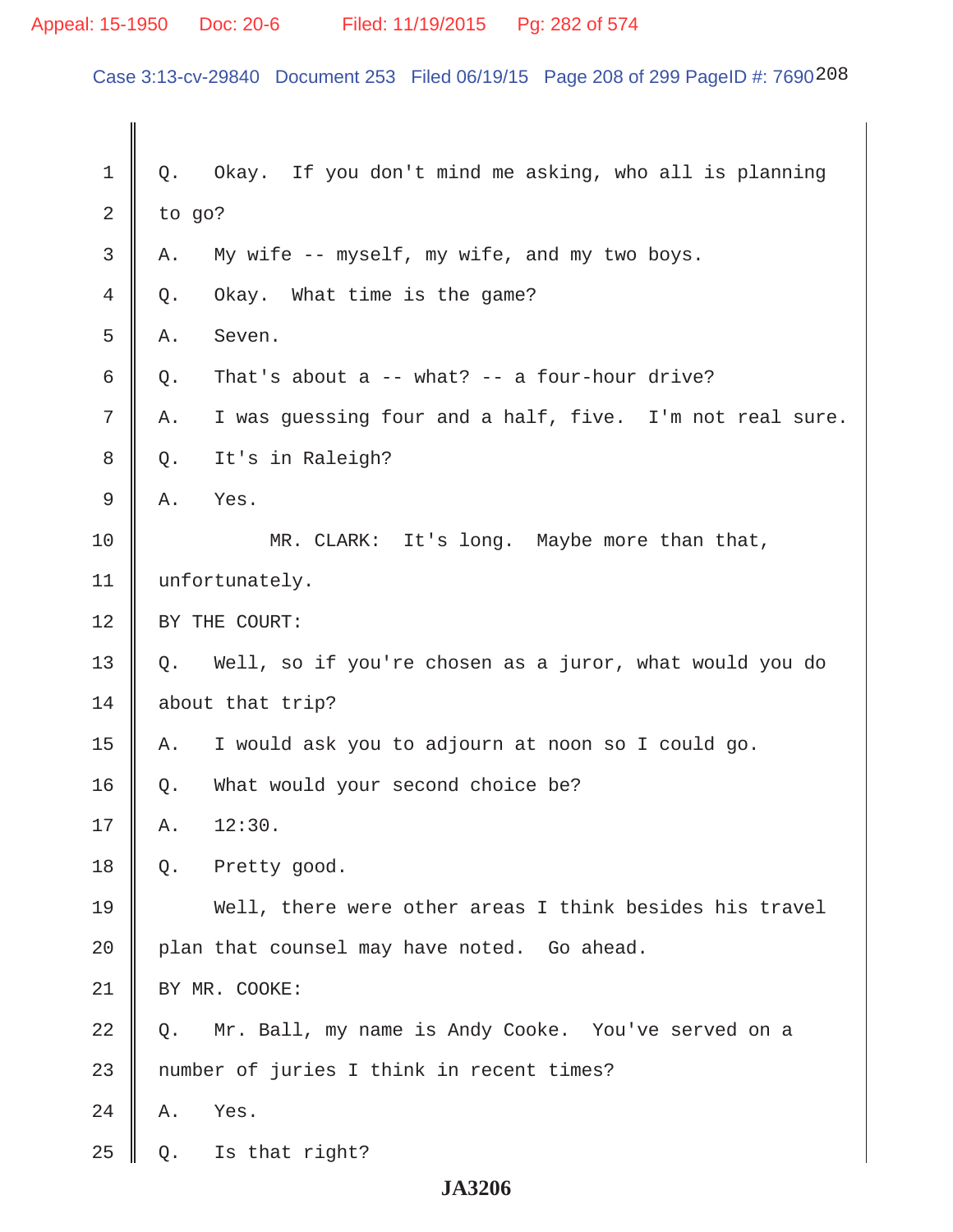# Appeal: 15-1950 Doc: 20-6 Filed: 11/19/2015 Pg: 282 of 574

Case 3:13-cv-29840 Document 253 Filed 06/19/15 Page 208 of 299 PageID #: 7690208

| $\mathbf 1$ | Q.             | Okay. If you don't mind me asking, who all is planning   |  |
|-------------|----------------|----------------------------------------------------------|--|
| 2           | to go?         |                                                          |  |
| 3           | Α.             | My wife -- myself, my wife, and my two boys.             |  |
| 4           | Q.             | Okay. What time is the game?                             |  |
| 5           | Α.             | Seven.                                                   |  |
| 6           | Q.             | That's about a $--$ what? $--$ a four-hour drive?        |  |
| 7           | Α.             | I was guessing four and a half, five. I'm not real sure. |  |
| 8           | Q.             | It's in Raleigh?                                         |  |
| 9           | Α.             | Yes.                                                     |  |
| 10          |                | MR. CLARK: It's long. Maybe more than that,              |  |
| 11          | unfortunately. |                                                          |  |
| 12          | BY THE COURT:  |                                                          |  |
| 13          | Q.             | Well, so if you're chosen as a juror, what would you do  |  |
| 14          |                | about that trip?                                         |  |
| 15          | Α.             | I would ask you to adjourn at noon so I could go.        |  |
| 16          | Q.             | What would your second choice be?                        |  |
| 17          | Α.             | 12:30.                                                   |  |
| 18          | Q.             | Pretty good.                                             |  |
| 19          |                | Well, there were other areas I think besides his travel  |  |
| 20          |                | plan that counsel may have noted. Go ahead.              |  |
| 21          | BY MR. COOKE:  |                                                          |  |
| 22          | О.             | Mr. Ball, my name is Andy Cooke. You've served on a      |  |
| 23          |                | number of juries I think in recent times?                |  |
| 24          | Α.             | Yes.                                                     |  |
| 25          | Q.             | Is that right?                                           |  |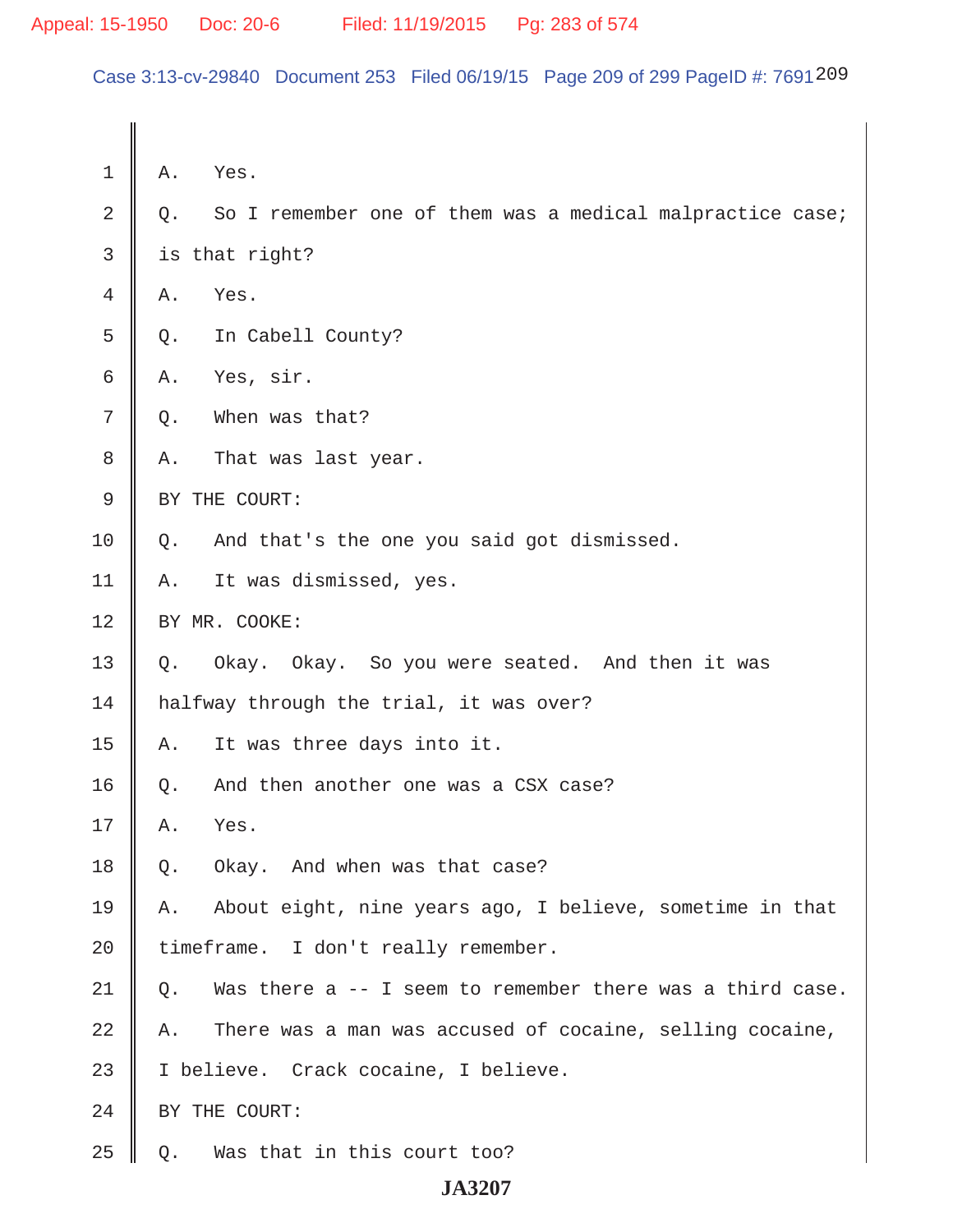Case 3:13-cv-29840 Document 253 Filed 06/19/15 Page 209 of 299 PageID #: 7691209

| $\mathbf 1$ | Α.                                  | Yes.                                                      |
|-------------|-------------------------------------|-----------------------------------------------------------|
| 2           | Q.                                  | So I remember one of them was a medical malpractice case; |
| 3           |                                     | is that right?                                            |
| 4           | Α.                                  | Yes.                                                      |
| 5           | Q.                                  | In Cabell County?                                         |
| 6           | Α.                                  | Yes, sir.                                                 |
| 7           | Q.                                  | When was that?                                            |
| 8           | Α.                                  | That was last year.                                       |
| 9           |                                     | BY THE COURT:                                             |
| 10          | Q.                                  | And that's the one you said got dismissed.                |
| 11          | Α.                                  | It was dismissed, yes.                                    |
| 12          | BY MR. COOKE:                       |                                                           |
| 13          | Q.                                  | Okay. Okay. So you were seated. And then it was           |
| 14          |                                     | halfway through the trial, it was over?                   |
| 15          | Α.                                  | It was three days into it.                                |
| 16          | Q.                                  | And then another one was a CSX case?                      |
| 17          | Α.                                  | Yes.                                                      |
| 18          | Q.                                  | Okay. And when was that case?                             |
| 19          | Α.                                  | About eight, nine years ago, I believe, sometime in that  |
| 20          | timeframe. I don't really remember. |                                                           |
| 21          | Q.                                  | Was there a -- I seem to remember there was a third case. |
| 22          | Α.                                  | There was a man was accused of cocaine, selling cocaine,  |
| 23          |                                     | I believe. Crack cocaine, I believe.                      |
| 24          |                                     | BY THE COURT:                                             |
| 25          | Q.                                  | Was that in this court too?                               |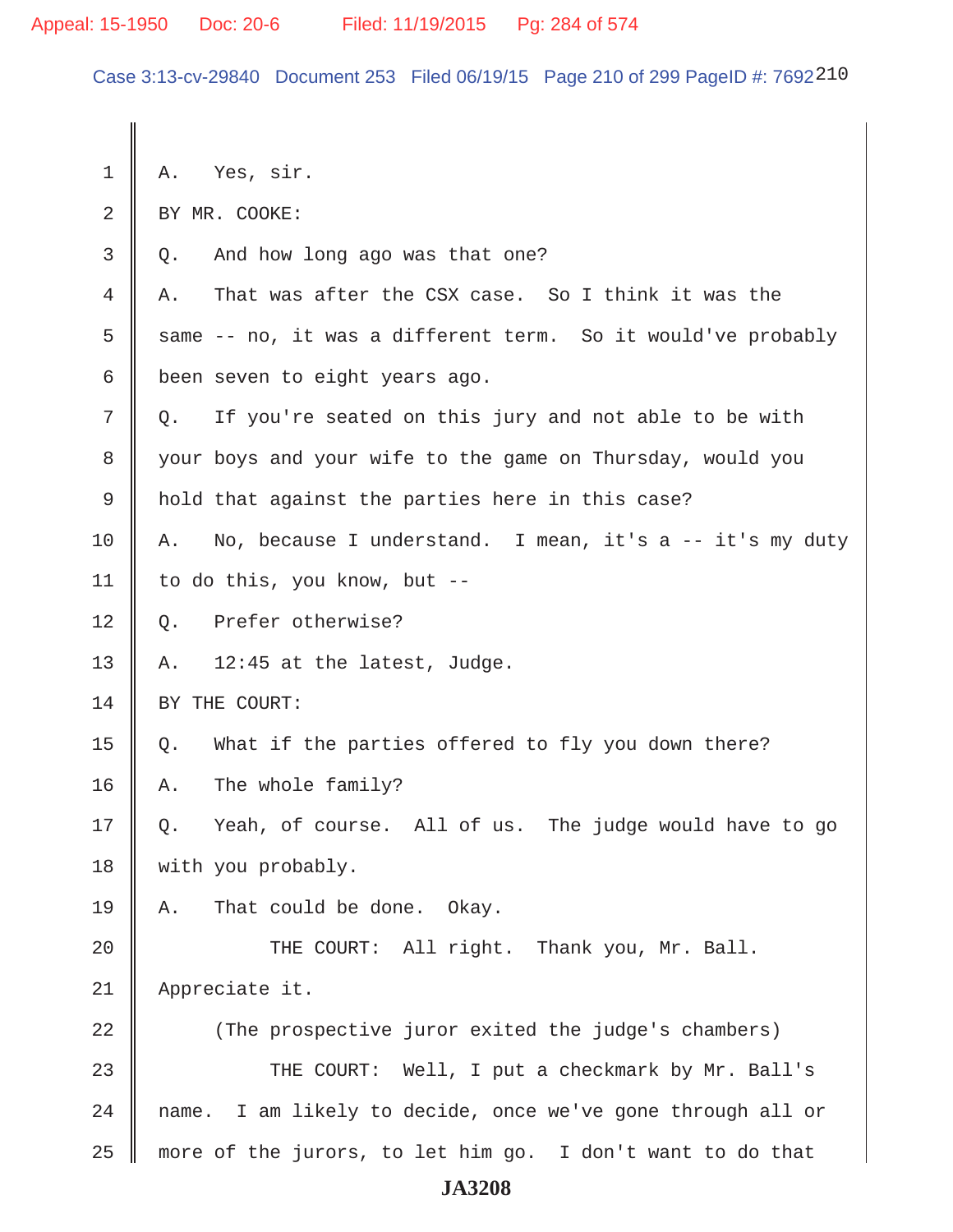Case 3:13-cv-29840 Document 253 Filed 06/19/15 Page 210 of 299 PageID #: 7692210

 $1 \parallel A.$  Yes, sir. 2 | BY MR. COOKE:  $3 \parallel Q$ . And how long ago was that one? 4 A. That was after the CSX case. So I think it was the  $5 \parallel$  same -- no, it was a different term. So it would've probably 6 been seven to eight years ago.  $7 \parallel Q$ . If you're seated on this jury and not able to be with 8 your boys and your wife to the game on Thursday, would you 9 || hold that against the parties here in this case?  $10$  | A. No, because I understand. I mean, it's a -- it's my duty 11 | to do this, you know, but  $-$ 12 | Q. Prefer otherwise? 13 || A.  $12:45$  at the latest, Judge. 14 SY THE COURT: 15  $\parallel$  Q. What if the parties offered to fly you down there? 16 A. The whole family? 17 Q. Yeah, of course. All of us. The judge would have to go 18 || with you probably. 19  $\parallel$  A. That could be done. Okay. 20 || THE COURT: All right. Thank you, Mr. Ball. 21 Appreciate it. 22 (The prospective juror exited the judge's chambers) 23 THE COURT: Well, I put a checkmark by Mr. Ball's 24 || name. I am likely to decide, once we've gone through all or  $25$  more of the jurors, to let him go. I don't want to do that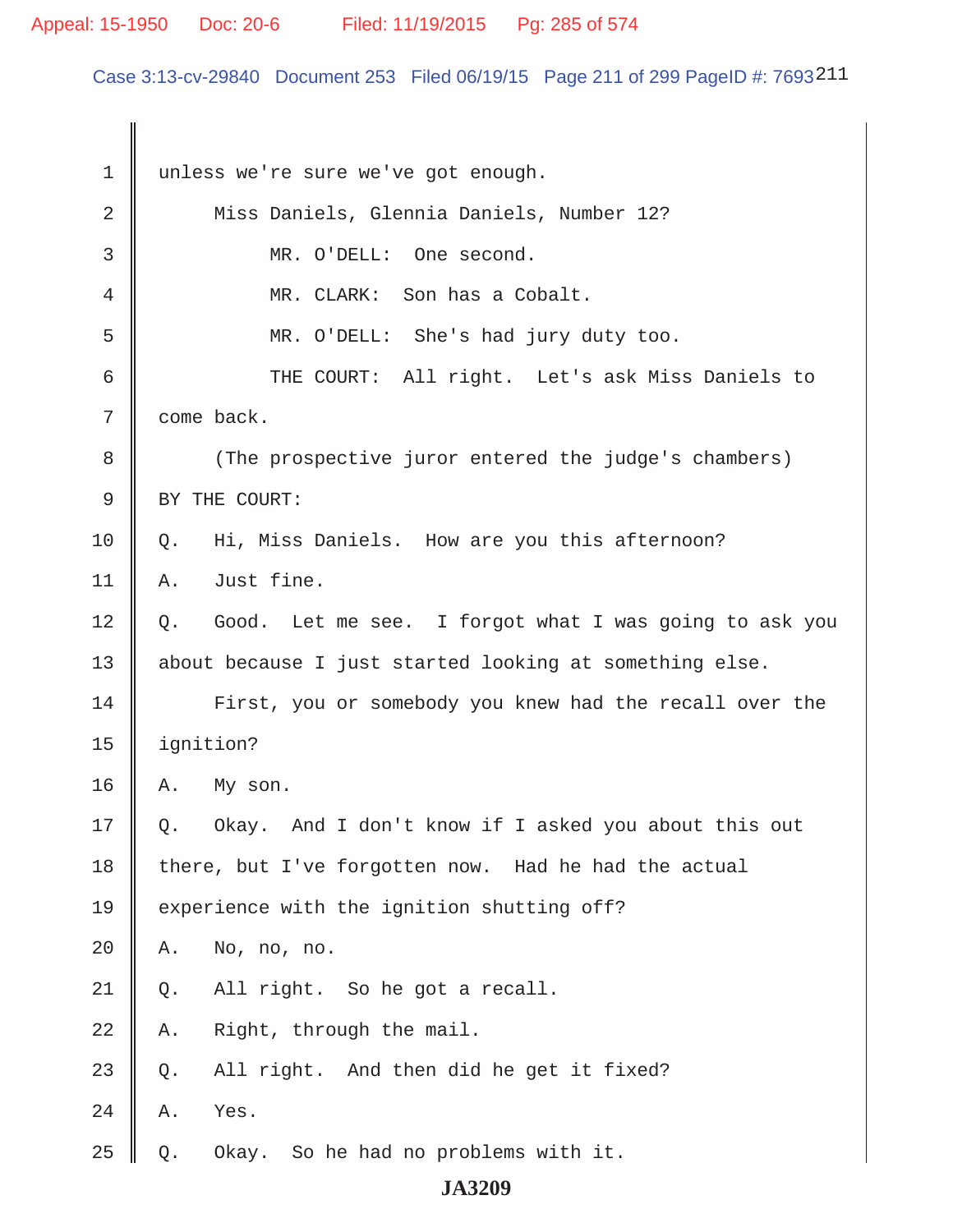# Appeal: 15-1950 Doc: 20-6 Filed: 11/19/2015 Pg: 285 of 574

Case 3:13-cv-29840 Document 253 Filed 06/19/15 Page 211 of 299 PageID #: 7693211

| 1  | unless we're sure we've got enough.                        |  |
|----|------------------------------------------------------------|--|
| 2  | Miss Daniels, Glennia Daniels, Number 12?                  |  |
| 3  | MR. O'DELL: One second.                                    |  |
| 4  | MR. CLARK: Son has a Cobalt.                               |  |
| 5  | MR. O'DELL: She's had jury duty too.                       |  |
| 6  | THE COURT: All right. Let's ask Miss Daniels to            |  |
| 7  | come back.                                                 |  |
| 8  | (The prospective juror entered the judge's chambers)       |  |
| 9  | BY THE COURT:                                              |  |
| 10 | Hi, Miss Daniels. How are you this afternoon?<br>Q.        |  |
| 11 | Just fine.<br>Α.                                           |  |
| 12 | Q. Good. Let me see. I forgot what I was going to ask you  |  |
| 13 | about because I just started looking at something else.    |  |
| 14 | First, you or somebody you knew had the recall over the    |  |
| 15 | ignition?                                                  |  |
| 16 | Α.<br>My son.                                              |  |
| 17 | Okay. And I don't know if I asked you about this out<br>Q. |  |
| 18 | there, but I've forgotten now. Had he had the actual       |  |
| 19 | experience with the ignition shutting off?                 |  |
| 20 | No, no, no.<br>Α.                                          |  |
| 21 | All right. So he got a recall.<br>Q.                       |  |
| 22 | Right, through the mail.<br>Α.                             |  |
| 23 | All right. And then did he get it fixed?<br>Q.             |  |
| 24 | Yes.<br>Α.                                                 |  |
| 25 | Okay. So he had no problems with it.<br>Q.                 |  |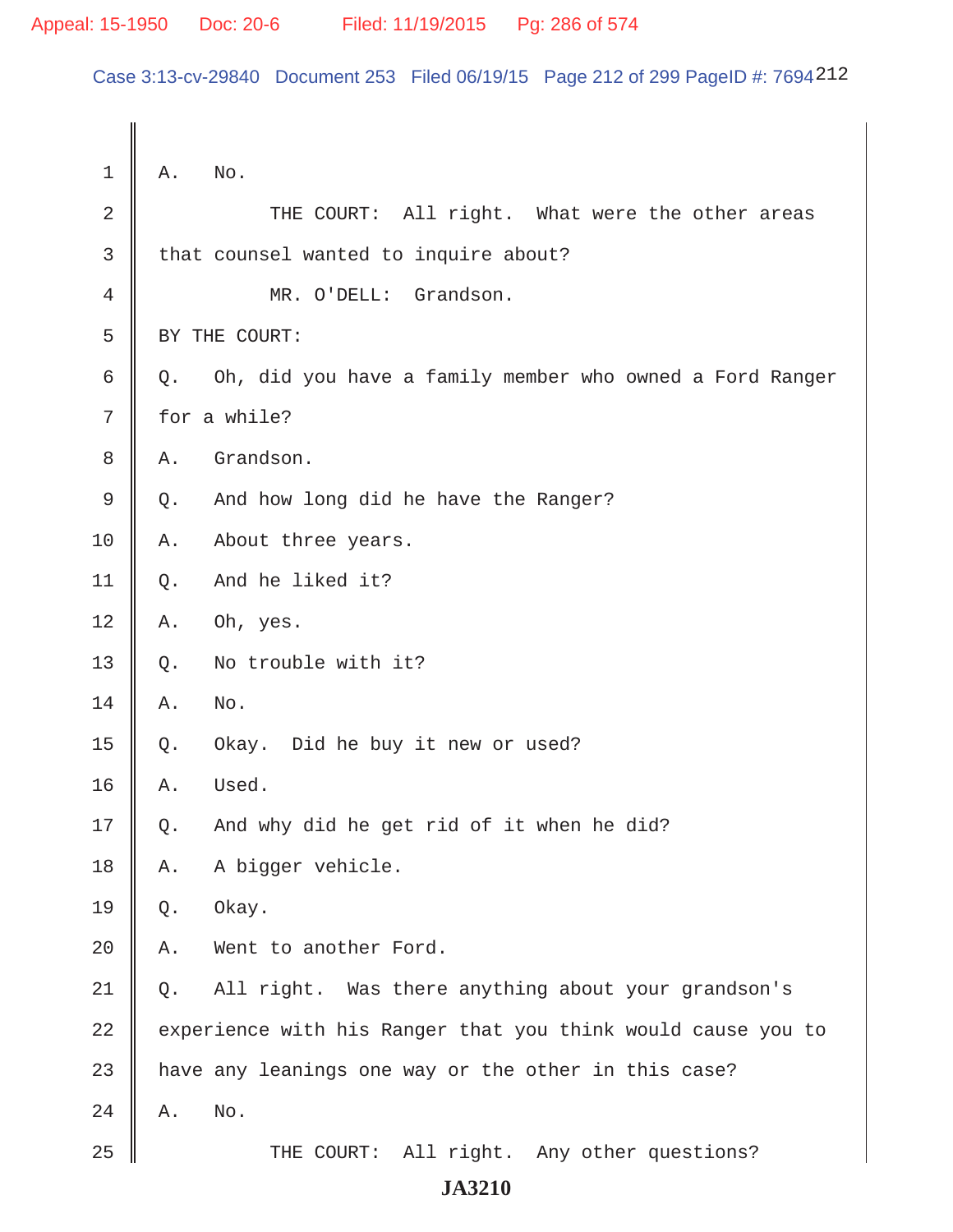Case 3:13-cv-29840 Document 253 Filed 06/19/15 Page 212 of 299 PageID #: 7694212

| $\mathbf 1$ | Α.    | No.                                                          |
|-------------|-------|--------------------------------------------------------------|
| 2           |       | THE COURT: All right. What were the other areas              |
| 3           |       | that counsel wanted to inquire about?                        |
| 4           |       | MR. O'DELL: Grandson.                                        |
| 5           |       | BY THE COURT:                                                |
| 6           | Q.    | Oh, did you have a family member who owned a Ford Ranger     |
| 7           |       | for a while?                                                 |
| 8           | Α.    | Grandson.                                                    |
| 9           | Q.    | And how long did he have the Ranger?                         |
| 10          | Α.    | About three years.                                           |
| 11          | Q.    | And he liked it?                                             |
| 12          | Α.    | Oh, yes.                                                     |
| 13          | $Q$ . | No trouble with it?                                          |
| 14          | Α.    | No.                                                          |
| 15          | Q.    | Okay. Did he buy it new or used?                             |
| 16          | Α.    | Used.                                                        |
| 17          | Q.    | And why did he get rid of it when he did?                    |
| 18          | Α.    | A bigger vehicle.                                            |
| 19          | Q.    | Okay.                                                        |
| 20          | Α.    | Went to another Ford.                                        |
| 21          | Q.    | All right. Was there anything about your grandson's          |
| 22          |       | experience with his Ranger that you think would cause you to |
| 23          |       | have any leanings one way or the other in this case?         |
| 24          | Α.    | No.                                                          |
| 25          |       | THE COURT: All right. Any other questions?                   |
|             |       | <b>JA3210</b>                                                |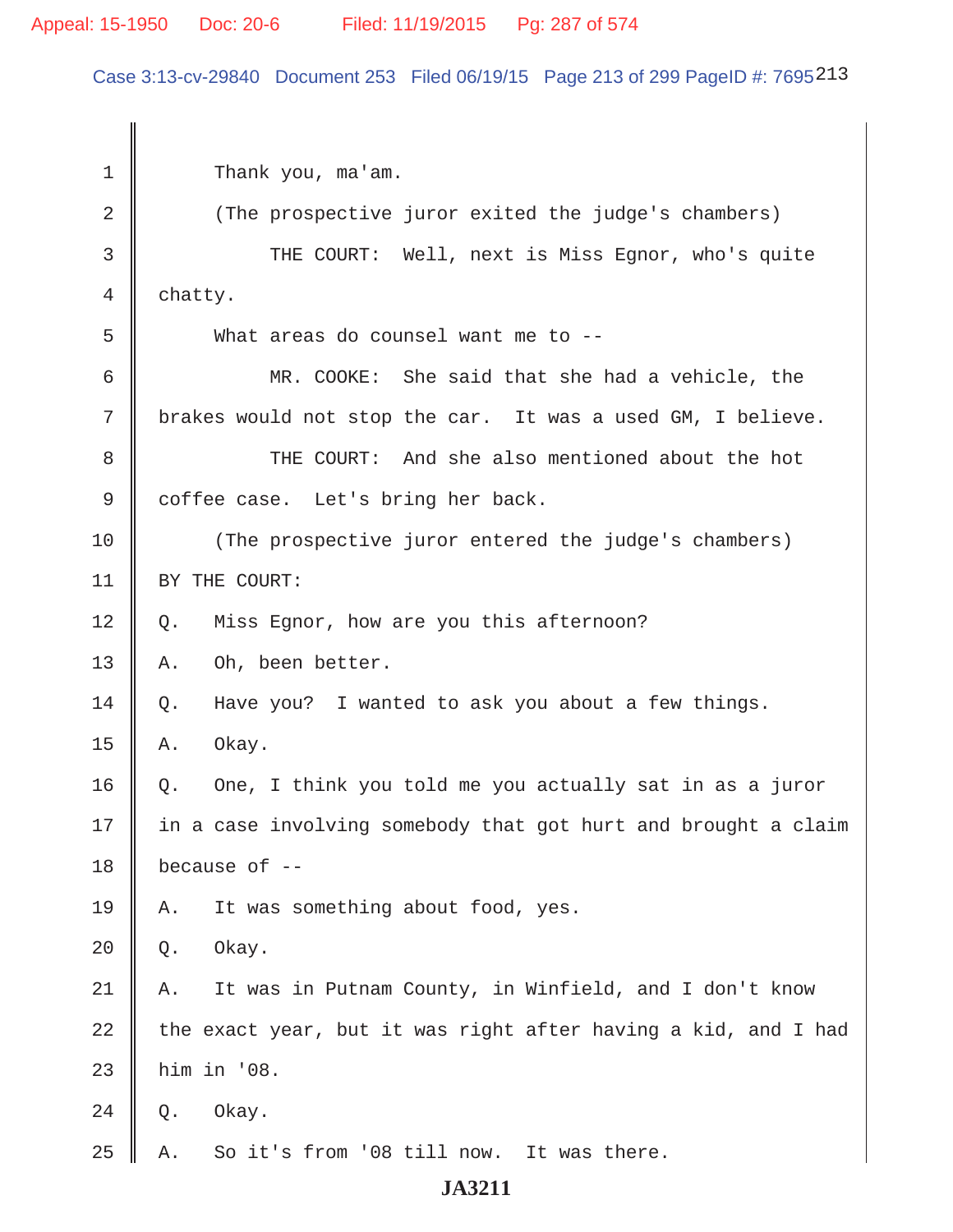Case 3:13-cv-29840 Document 253 Filed 06/19/15 Page 213 of 299 PageID #: 7695213

| 1  | Thank you, ma'am.                                              |  |
|----|----------------------------------------------------------------|--|
| 2  | (The prospective juror exited the judge's chambers)            |  |
| 3  | THE COURT: Well, next is Miss Egnor, who's quite               |  |
| 4  | chatty.                                                        |  |
| 5  | What areas do counsel want me to --                            |  |
| 6  | MR. COOKE: She said that she had a vehicle, the                |  |
| 7  | brakes would not stop the car. It was a used GM, I believe.    |  |
| 8  | THE COURT: And she also mentioned about the hot                |  |
| 9  | coffee case. Let's bring her back.                             |  |
| 10 | (The prospective juror entered the judge's chambers)           |  |
| 11 | BY THE COURT:                                                  |  |
| 12 | Miss Egnor, how are you this afternoon?<br>Q.                  |  |
| 13 | Oh, been better.<br>Α.                                         |  |
| 14 | Have you? I wanted to ask you about a few things.<br>Q.        |  |
| 15 | Okay.<br>Α.                                                    |  |
| 16 | One, I think you told me you actually sat in as a juror<br>Q.  |  |
| 17 | in a case involving somebody that got hurt and brought a claim |  |
| 18 | because of --                                                  |  |
| 19 | It was something about food, yes.<br>Α.                        |  |
| 20 | Okay.<br>Q.                                                    |  |
| 21 | It was in Putnam County, in Winfield, and I don't know<br>Α.   |  |
| 22 | the exact year, but it was right after having a kid, and I had |  |
| 23 | him in '08.                                                    |  |
| 24 | Okay.<br>Q.                                                    |  |
| 25 | So it's from '08 till now. It was there.<br>Α.                 |  |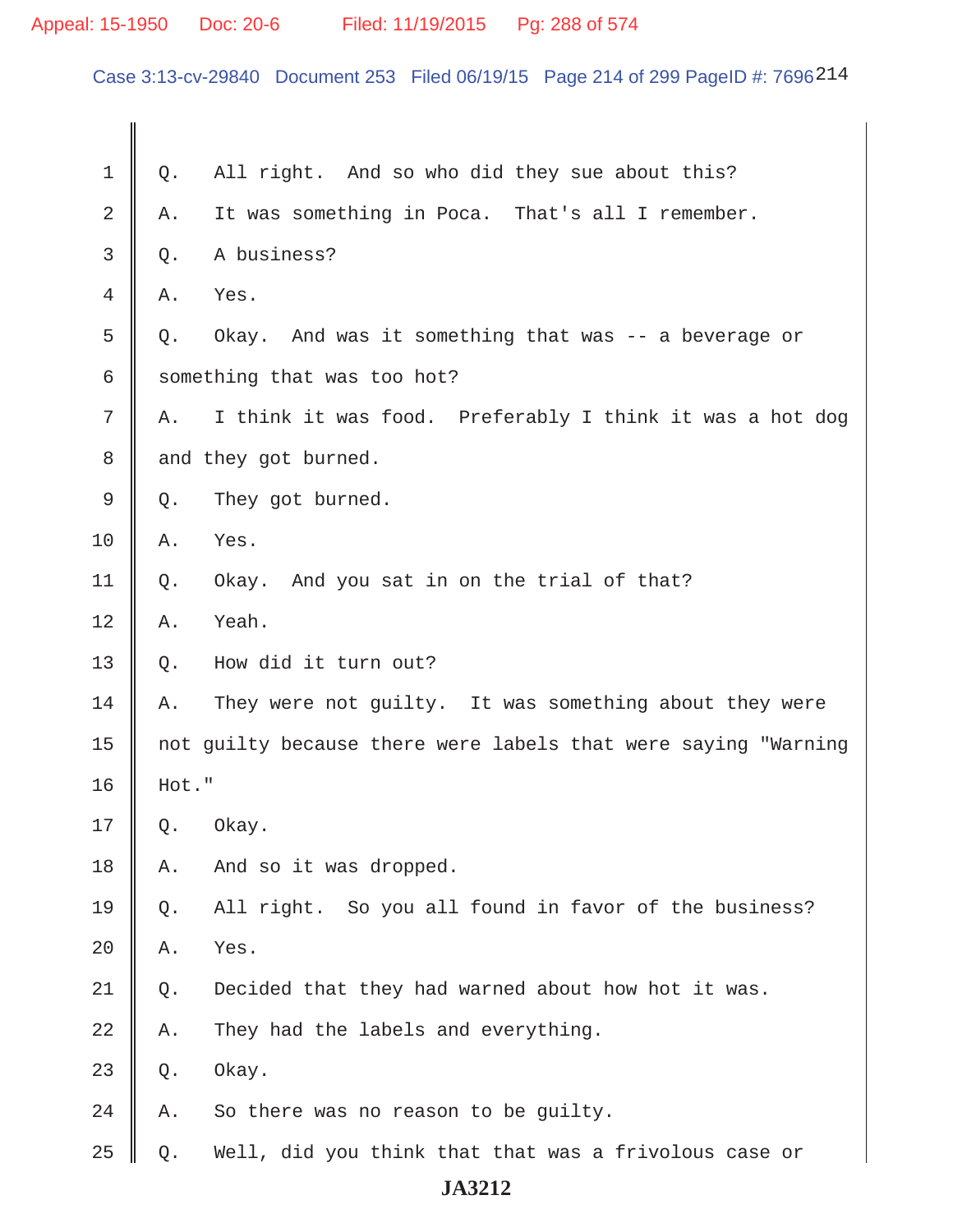# Appeal: 15-1950 Doc: 20-6 Filed: 11/19/2015 Pg: 288 of 574

Case 3:13-cv-29840 Document 253 Filed 06/19/15 Page 214 of 299 PageID #: 7696214

| 1             | Q.                          | All right. And so who did they sue about this?                 |
|---------------|-----------------------------|----------------------------------------------------------------|
| 2             | Α.                          | It was something in Poca. That's all I remember.               |
| 3             | Q.                          | A business?                                                    |
| 4             | Α.                          | Yes.                                                           |
| 5             | Q.                          | Okay. And was it something that was -- a beverage or           |
| 6             | something that was too hot? |                                                                |
| 7             | Α.                          | I think it was food. Preferably I think it was a hot dog       |
| 8             | and they got burned.        |                                                                |
| $\mathcal{G}$ | Q.                          | They got burned.                                               |
| 10            | Α.                          | Yes.                                                           |
| 11            | Q.                          | Okay. And you sat in on the trial of that?                     |
| 12            | Α.                          | Yeah.                                                          |
| 13            | Q.                          | How did it turn out?                                           |
| 14            | Α.                          | They were not guilty. It was something about they were         |
| 15            |                             | not guilty because there were labels that were saying "Warning |
| 16            | Hot."                       |                                                                |
| 17            | Q.                          | Okay.                                                          |
| 18            | Α.                          | And so it was dropped.                                         |
| 19            | Q.                          | All right. So you all found in favor of the business?          |
| 20            | Α.                          | Yes.                                                           |
| 21            | Q.                          | Decided that they had warned about how hot it was.             |
| 22            | Α.                          | They had the labels and everything.                            |
| 23            | Q.                          | Okay.                                                          |
| 24            | Α.                          | So there was no reason to be guilty.                           |
| 25            | Q.                          | Well, did you think that that was a frivolous case or          |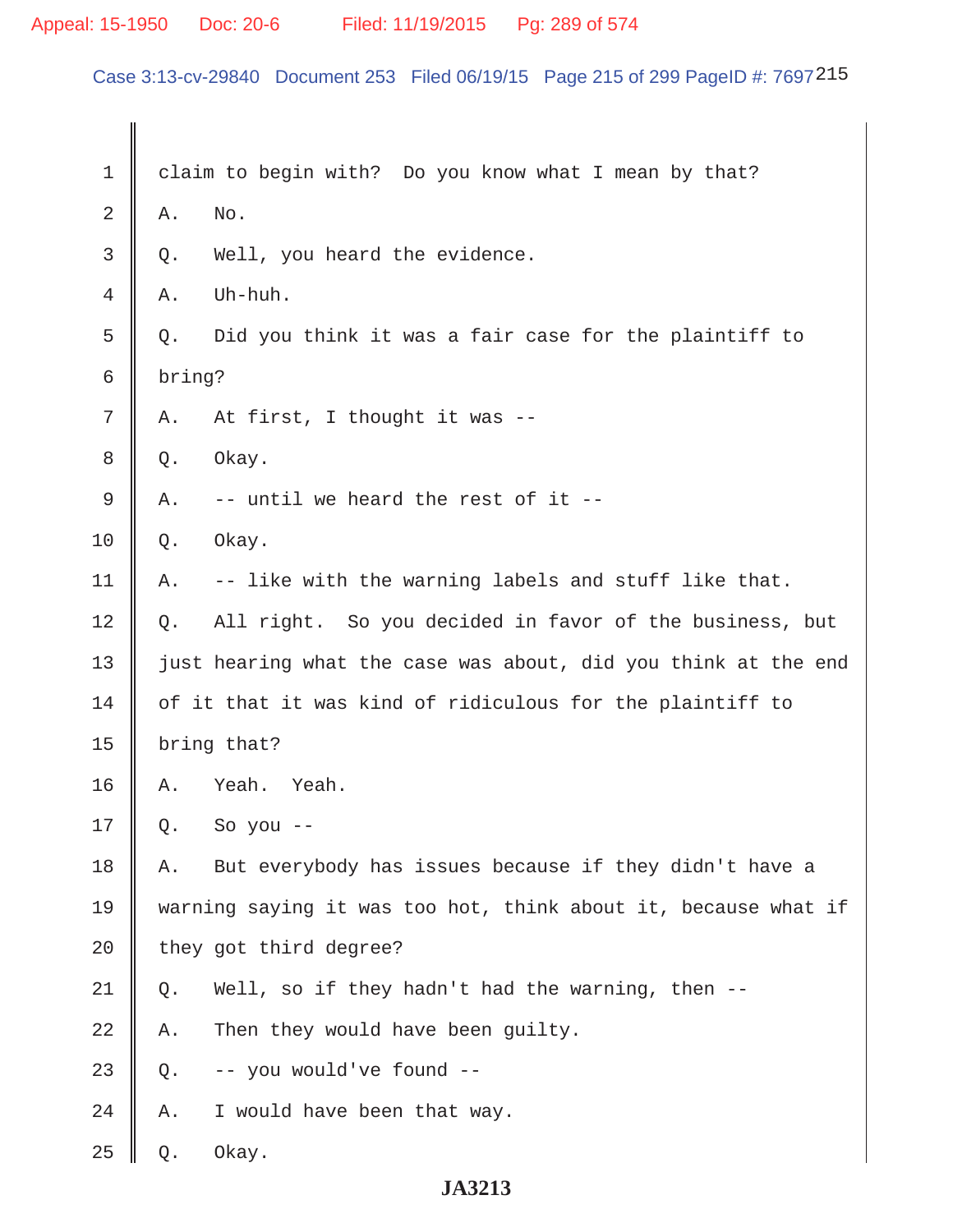# Appeal: 15-1950 Doc: 20-6 Filed: 11/19/2015 Pg: 289 of 574

Case 3:13-cv-29840 Document 253 Filed 06/19/15 Page 215 of 299 PageID #: 7697215

| 1           |        | claim to begin with? Do you know what I mean by that?          |
|-------------|--------|----------------------------------------------------------------|
| 2           | Α.     | No.                                                            |
| 3           | Q.     | Well, you heard the evidence.                                  |
| 4           | Α.     | Uh-huh.                                                        |
| 5           | Q.     | Did you think it was a fair case for the plaintiff to          |
| 6           | bring? |                                                                |
| 7           | Α.     | At first, I thought it was --                                  |
| 8           | Q.     | Okay.                                                          |
| $\mathsf 9$ | Α.     | -- until we heard the rest of it --                            |
| 10          | Q.     | Okay.                                                          |
| 11          | Α.     | -- like with the warning labels and stuff like that.           |
| 12          | Q.     | All right. So you decided in favor of the business, but        |
| 13          |        | just hearing what the case was about, did you think at the end |
| 14          |        | of it that it was kind of ridiculous for the plaintiff to      |
| 15          |        | bring that?                                                    |
| 16          | Α.     | Yeah.<br>Yeah.                                                 |
| 17          | Q.     | So you --                                                      |
| 18          | Α.     | But everybody has issues because if they didn't have a         |
| 19          |        | warning saying it was too hot, think about it, because what if |
| 20          |        | they got third degree?                                         |
| 21          | Q.     | Well, so if they hadn't had the warning, then --               |
| 22          | Α.     | Then they would have been guilty.                              |
| 23          | Q.     | -- you would've found --                                       |
| 24          | Α.     | I would have been that way.                                    |
| 25          | Q.     | Okay.                                                          |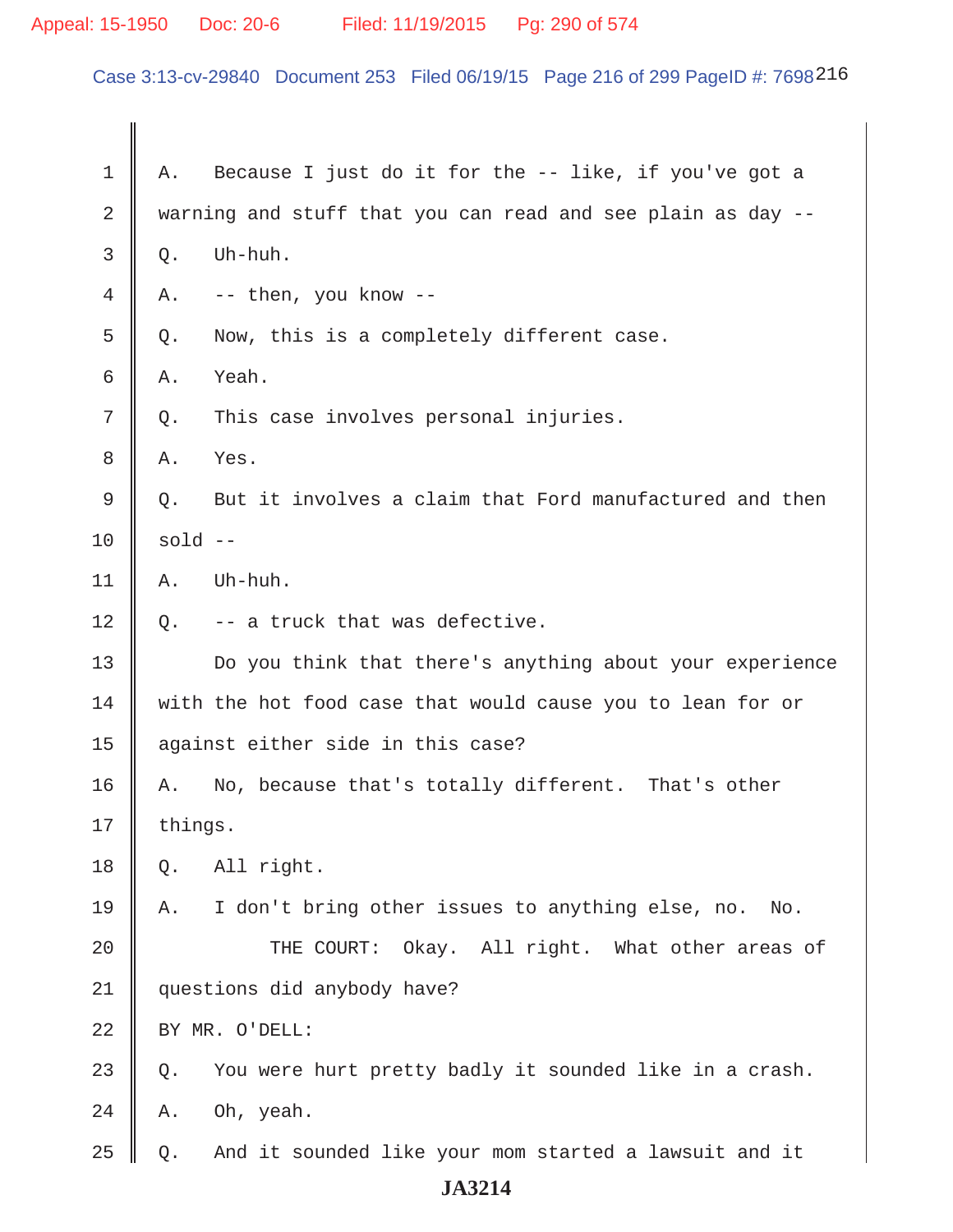# Appeal: 15-1950 Doc: 20-6 Filed: 11/19/2015 Pg: 290 of 574

Case 3:13-cv-29840 Document 253 Filed 06/19/15 Page 216 of 299 PageID #: 7698216

| 1              | Α.        | Because I just do it for the -- like, if you've got a       |
|----------------|-----------|-------------------------------------------------------------|
| $\overline{2}$ |           | warning and stuff that you can read and see plain as day -- |
| 3              | Q.        | Uh-huh.                                                     |
| 4              | Α.        | -- then, you know --                                        |
| 5              | Q.        | Now, this is a completely different case.                   |
| 6              | Α.        | Yeah.                                                       |
| 7              | $Q$ .     | This case involves personal injuries.                       |
| 8              | Α.        | Yes.                                                        |
| 9              | Q.        | But it involves a claim that Ford manufactured and then     |
| 10             | $sold$ -- |                                                             |
| 11             | Α.        | Uh-huh.                                                     |
| 12             | Q.        | -- a truck that was defective.                              |
| 13             |           | Do you think that there's anything about your experience    |
| 14             |           | with the hot food case that would cause you to lean for or  |
| 15             |           | against either side in this case?                           |
| 16             | Α.        | No, because that's totally different. That's other          |
| 17             | things.   |                                                             |
| 18             | Q.        | All right.                                                  |
| 19             | Α.        | I don't bring other issues to anything else, no.<br>No.     |
| 20             |           | THE COURT:<br>Okay. All right. What other areas of          |
| 21             |           | questions did anybody have?                                 |
| 22             |           | BY MR. O'DELL:                                              |
| 23             | Q.        | You were hurt pretty badly it sounded like in a crash.      |
| 24             | Α.        | Oh, yeah.                                                   |
| 25             | Q.        | And it sounded like your mom started a lawsuit and it       |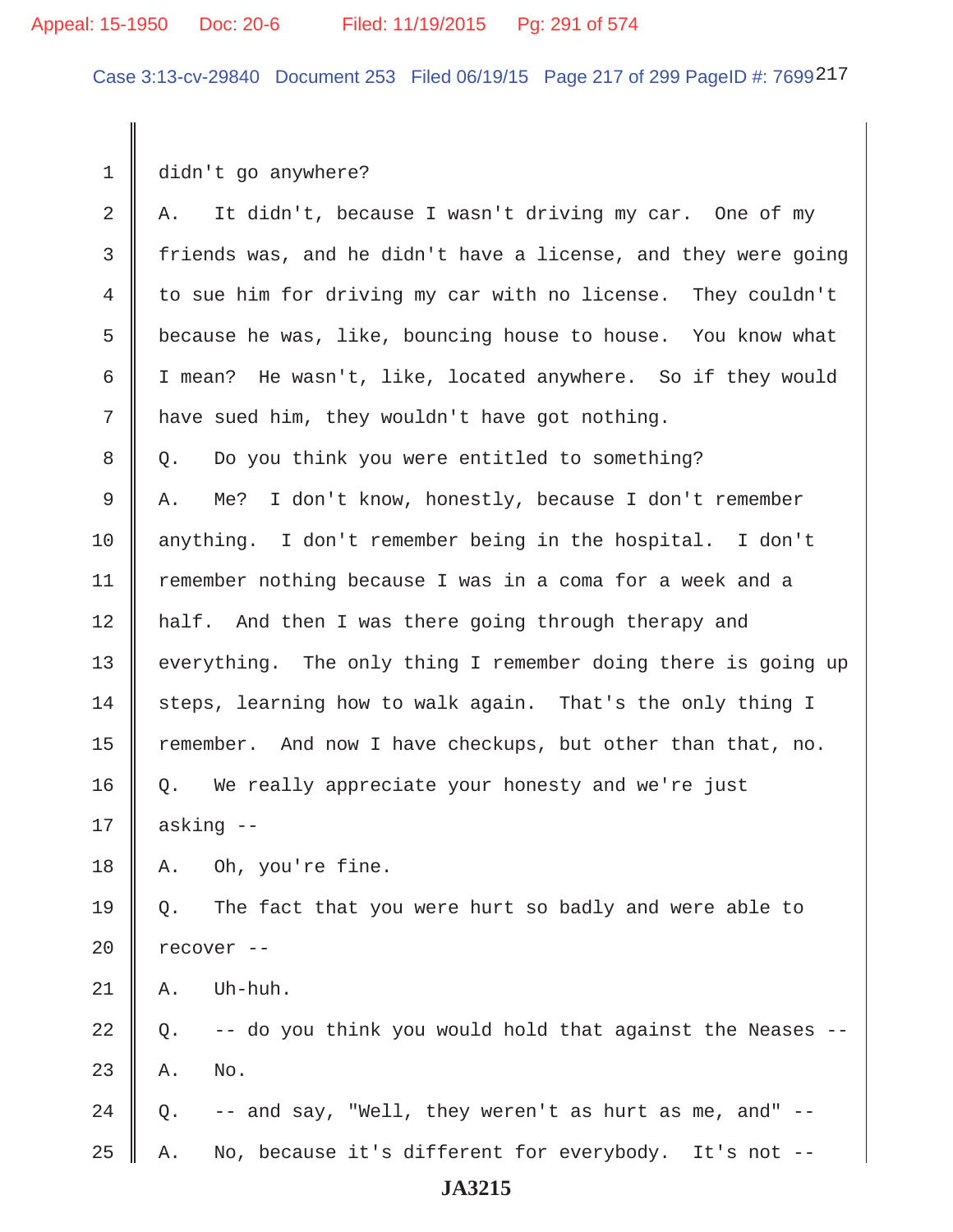Case 3:13-cv-29840 Document 253 Filed 06/19/15 Page 217 of 299 PageID #: 7699217

 $1 \parallel$  didn't go anywhere?

| $\overline{2}$ | It didn't, because I wasn't driving my car. One of my<br>Α.      |
|----------------|------------------------------------------------------------------|
| 3              | friends was, and he didn't have a license, and they were going   |
| $\overline{4}$ | to sue him for driving my car with no license. They couldn't     |
| 5              | because he was, like, bouncing house to house. You know what     |
| 6              | I mean? He wasn't, like, located anywhere. So if they would      |
| 7              | have sued him, they wouldn't have got nothing.                   |
| 8              | Do you think you were entitled to something?<br>Q.               |
| 9              | I don't know, honestly, because I don't remember<br>Α.<br>Me?    |
| 10             | anything. I don't remember being in the hospital. I don't        |
| 11             | remember nothing because I was in a coma for a week and a        |
| 12             | half. And then I was there going through therapy and             |
| 13             | everything. The only thing I remember doing there is going up    |
| 14             | steps, learning how to walk again. That's the only thing I       |
| 15             | remember. And now I have checkups, but other than that, no.      |
| 16             | We really appreciate your honesty and we're just<br>Q.           |
| 17             | asking --                                                        |
| 18             | Oh, you're fine.<br>Α.                                           |
| 19             | The fact that you were hurt so badly and were able to<br>Q.      |
| 20             | recover --                                                       |
| 21             | Uh-huh.<br>Α.                                                    |
| 22             | -- do you think you would hold that against the Neases --<br>Q.  |
| 23             | No.<br>Α.                                                        |
| 24             | -- and say, "Well, they weren't as hurt as me, and" --<br>Q.     |
| 25             | No, because it's different for everybody.<br>It's not $--$<br>Α. |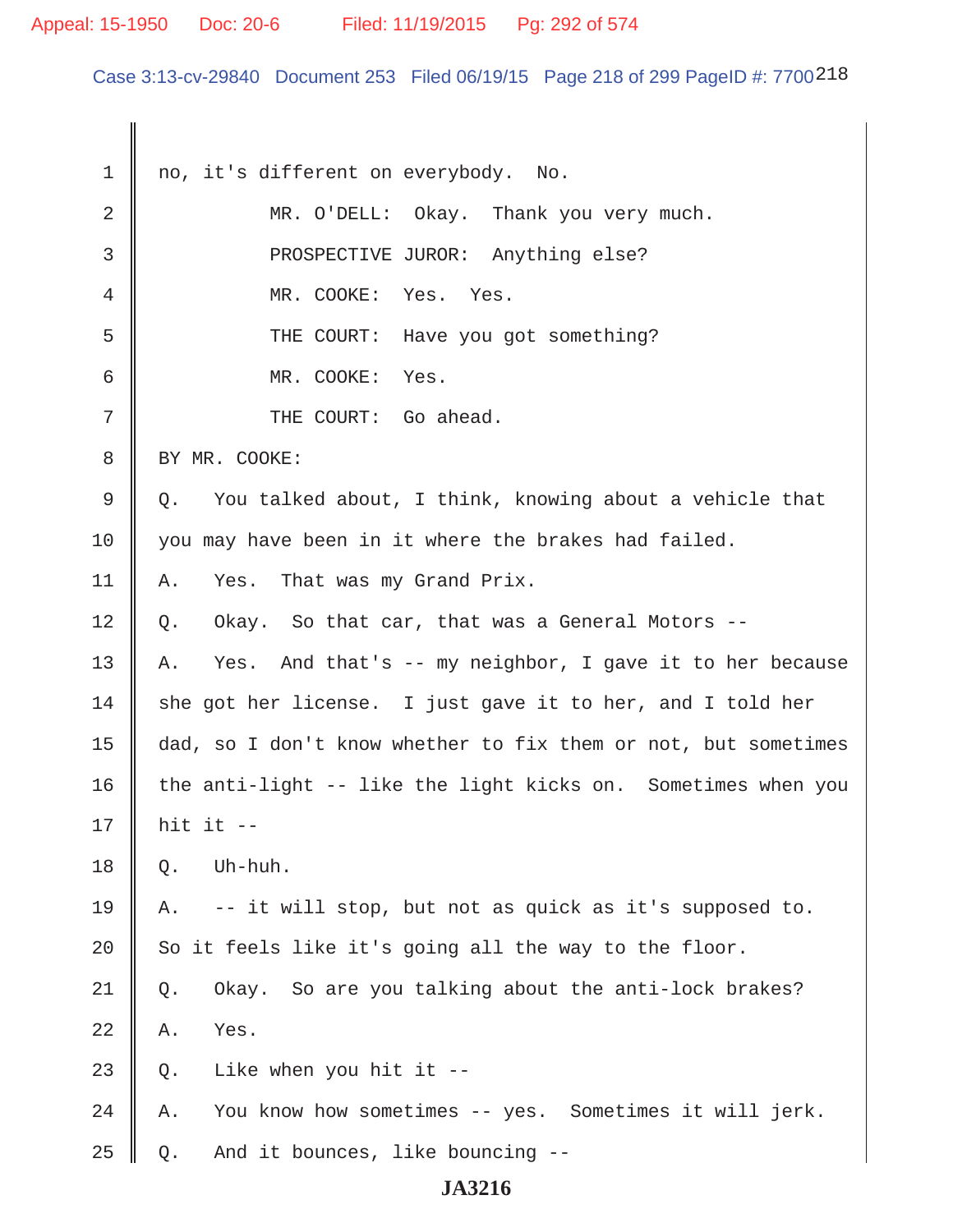#### Appeal: 15-1950 Doc: 20-6 Filed: 11/19/2015 Pg: 292 of 574

Case 3:13-cv-29840 Document 253 Filed 06/19/15 Page 218 of 299 PageID #: 7700 218

1 || no, it's different on everybody. No. 2 MR. O'DELL: Okay. Thank you very much. 3 || PROSPECTIVE JUROR: Anything else? 4 MR. COOKE: Yes. Yes. 5 || THE COURT: Have you got something? 6 MR. COOKE: Yes. 7 || THE COURT: Go ahead. 8 | BY MR. COOKE:  $9 \parallel Q$ . You talked about, I think, knowing about a vehicle that 10 you may have been in it where the brakes had failed. 11 A. Yes. That was my Grand Prix.  $12 \parallel Q$ . Okay. So that car, that was a General Motors --13  $\parallel$  A. Yes. And that's -- my neighbor, I gave it to her because 14  $\parallel$  she got her license. I just gave it to her, and I told her 15 dad, so I don't know whether to fix them or not, but sometimes 16  $\parallel$  the anti-light -- like the light kicks on. Sometimes when you 17 hit it --  $18 \parallel$  O. Uh-huh. 19 || A.  $-$ - it will stop, but not as quick as it's supposed to. 20  $\parallel$  So it feels like it's going all the way to the floor. 21 Q. Okay. So are you talking about the anti-lock brakes?  $22 \parallel$  A. Yes. 23  $\parallel$  0. Like when you hit it --24 A. You know how sometimes -- yes. Sometimes it will jerk.  $25 \parallel Q$ . And it bounces, like bouncing --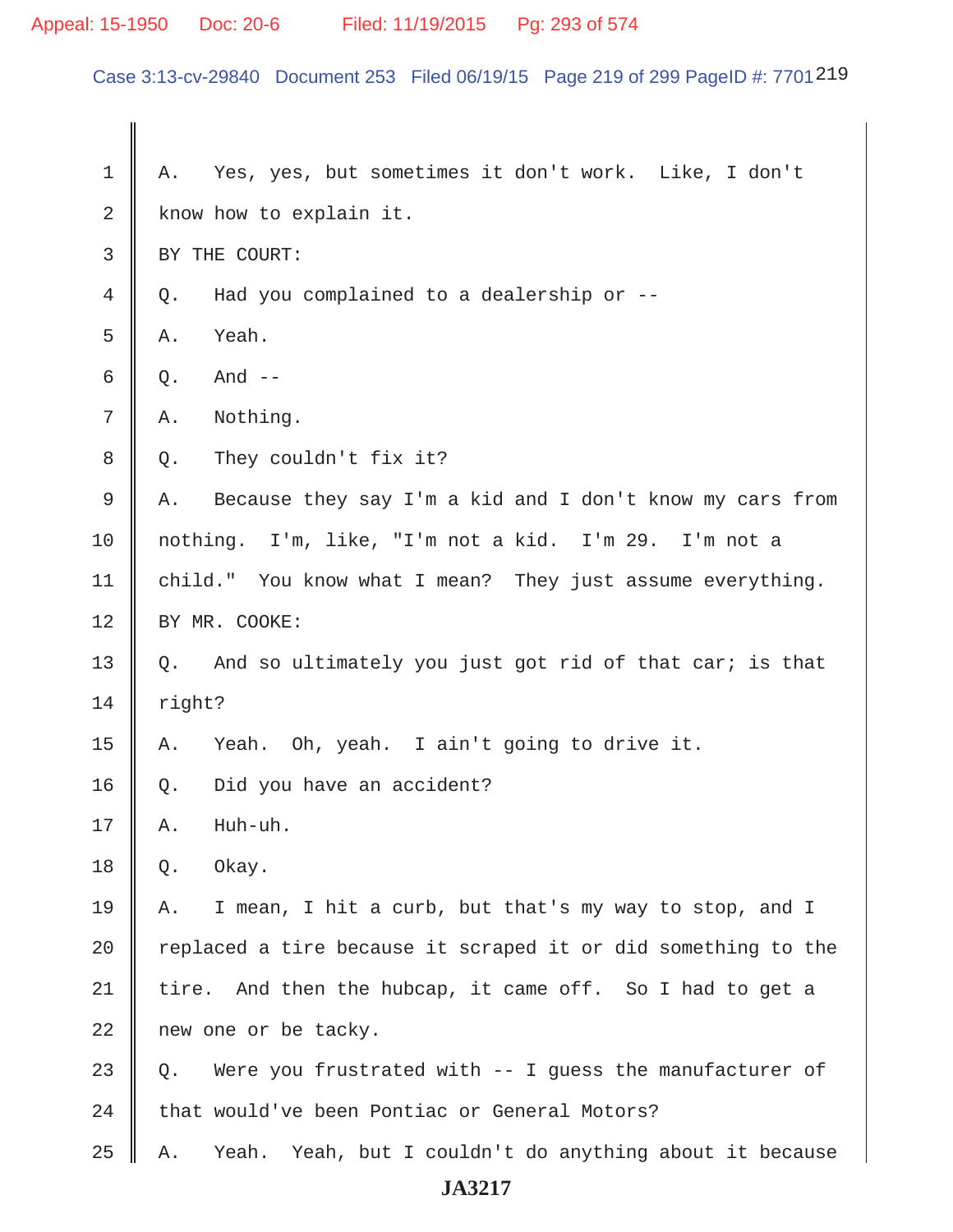# Appeal: 15-1950 Doc: 20-6 Filed: 11/19/2015 Pg: 293 of 574

Case 3:13-cv-29840 Document 253 Filed 06/19/15 Page 219 of 299 PageID #: 7701 219

| 1              | Yes, yes, but sometimes it don't work. Like, I don't<br>Α.     |  |
|----------------|----------------------------------------------------------------|--|
| 2              | know how to explain it.                                        |  |
| $\mathsf{3}$   | BY THE COURT:                                                  |  |
| $\overline{4}$ | Had you complained to a dealership or --<br>Q.                 |  |
| 5              | Yeah.<br>Α.                                                    |  |
| 6              | And $--$<br>Q.                                                 |  |
| 7              | Nothing.<br>Α.                                                 |  |
| 8              | They couldn't fix it?<br>Q.                                    |  |
| 9              | Because they say I'm a kid and I don't know my cars from<br>Α. |  |
| 10             | nothing. I'm, like, "I'm not a kid. I'm 29. I'm not a          |  |
| 11             | child." You know what I mean? They just assume everything.     |  |
| 12             | BY MR. COOKE:                                                  |  |
| 13             | And so ultimately you just got rid of that car; is that<br>Q.  |  |
| 14             | right?                                                         |  |
| 15             | Yeah. Oh, yeah. I ain't going to drive it.<br>Α.               |  |
| 16             | Did you have an accident?<br>Q.                                |  |
| 17             | Huh-uh.<br>Α.                                                  |  |
| 18             | Okay.<br>Q.                                                    |  |
| 19             | I mean, I hit a curb, but that's my way to stop, and I<br>Α.   |  |
| 20             | replaced a tire because it scraped it or did something to the  |  |
| 21             | And then the hubcap, it came off. So I had to get a<br>tire.   |  |
| 22             | new one or be tacky.                                           |  |
| 23             | Were you frustrated with $-$ I guess the manufacturer of<br>Q. |  |
| 24             | that would've been Pontiac or General Motors?                  |  |
| 25             | Yeah. Yeah, but I couldn't do anything about it because<br>Α.  |  |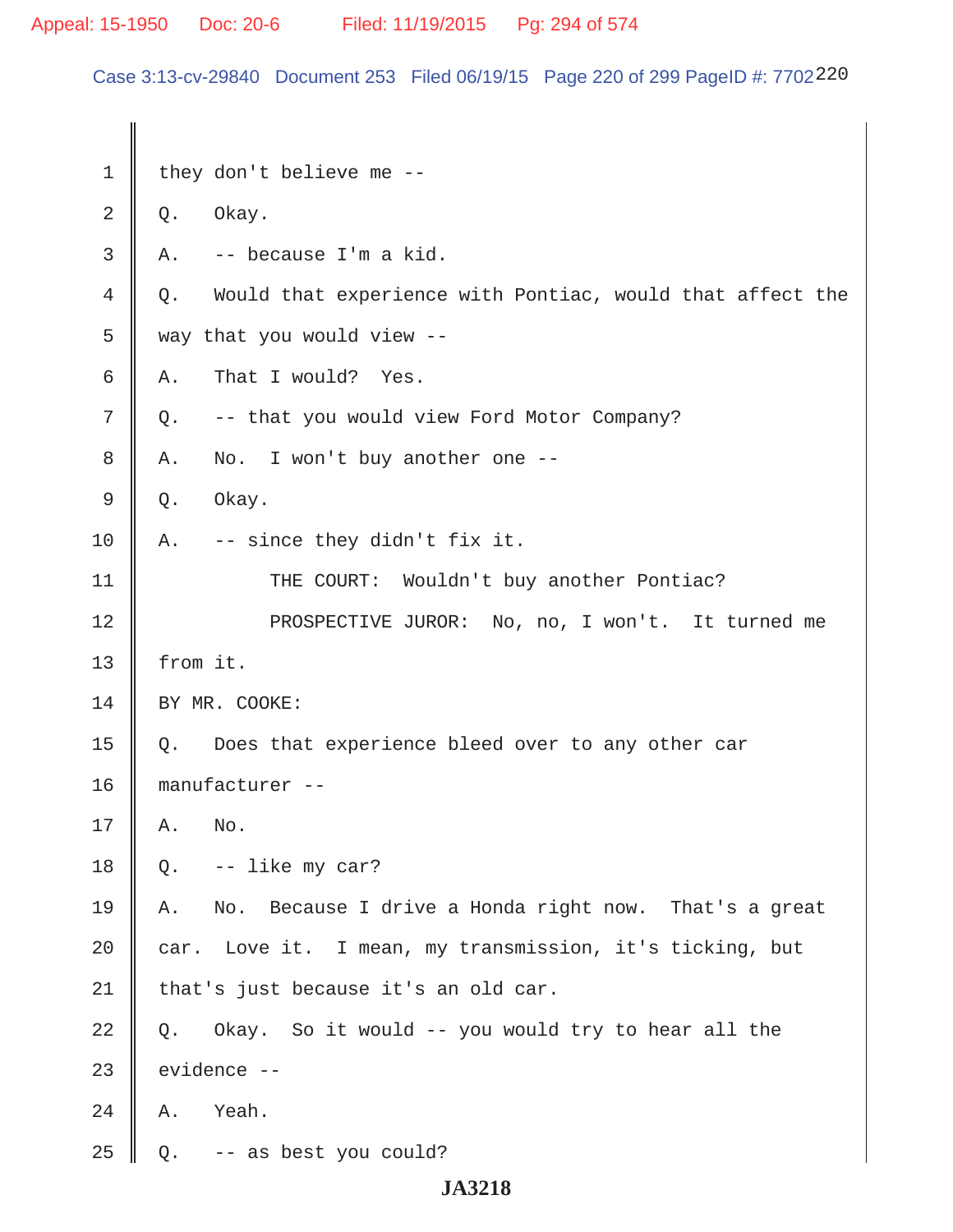Appeal: 15-1950 Doc: 20-6 Filed: 11/19/2015 Pg: 294 of 574

Case 3:13-cv-29840 Document 253 Filed 06/19/15 Page 220 of 299 PageID #: 7702220

1 | they don't believe me  $2 \parallel Q$ . Okay.  $3 \parallel A$ . -- because I'm a kid. 4 Q. Would that experience with Pontiac, would that affect the  $5 \parallel$  way that you would view --6 A. That I would? Yes.  $7 \parallel Q$ . -- that you would view Ford Motor Company?  $8 \parallel A$ . No. I won't buy another one -- $9 \parallel Q.$  Okay. 10 || A.  $-$ - since they didn't fix it. 11 || THE COURT: Wouldn't buy another Pontiac? 12 || PROSPECTIVE JUROR: No, no, I won't. It turned me 13  $\parallel$  from it. 14 | BY MR. COOKE: 15  $\parallel$  Q. Does that experience bleed over to any other car 16 manufacturer --  $17 \parallel A.$  No.  $18 \parallel$  Q. -- like my car? 19 A. No. Because I drive a Honda right now. That's a great  $20$  car. Love it. I mean, my transmission, it's ticking, but  $21$  | that's just because it's an old car.  $22 \parallel Q$ . Okay. So it would -- you would try to hear all the  $23$  | evidence  $24$  | A. Yeah.  $25 \parallel Q$ . -- as best you could?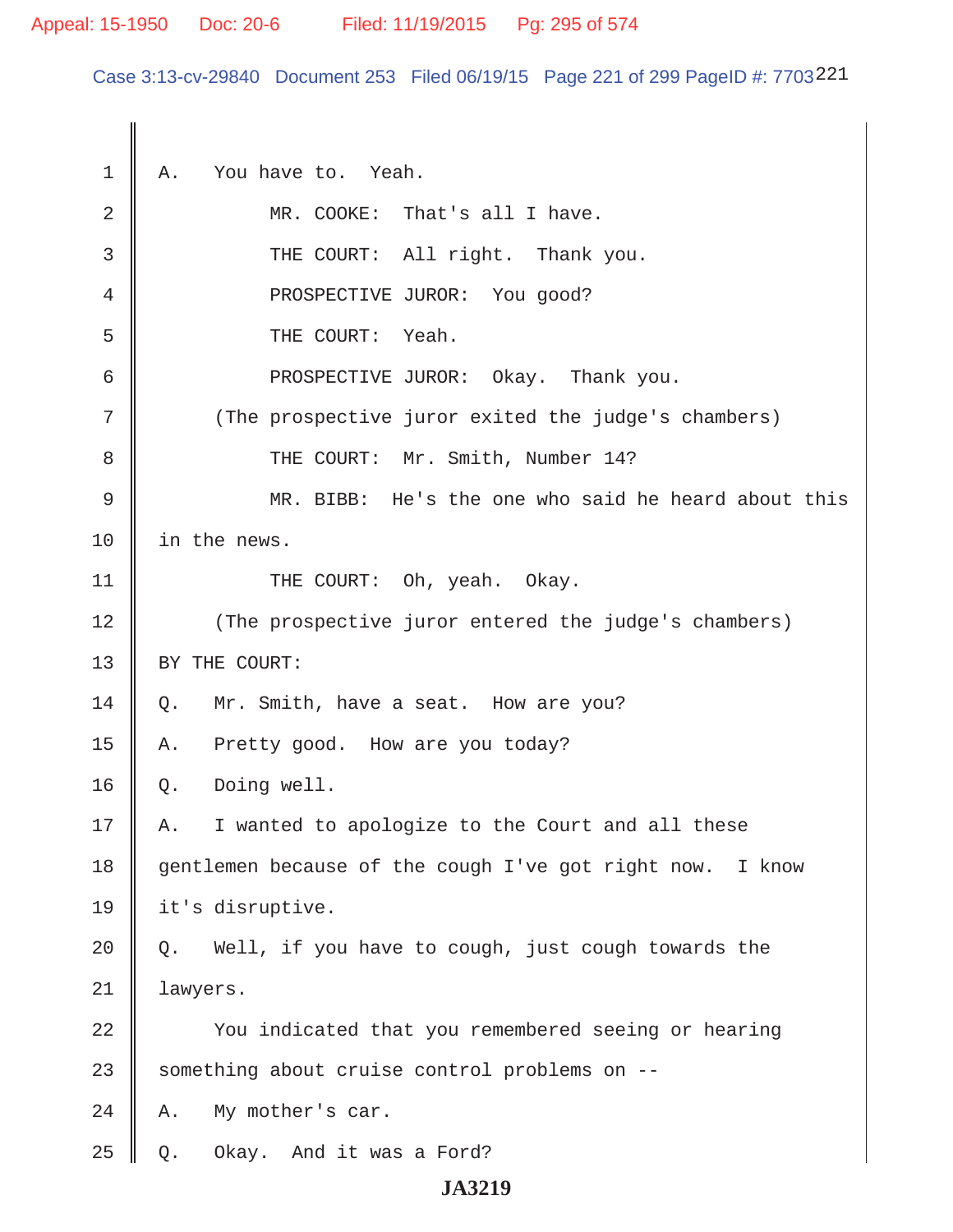#### Appeal: 15-1950 Doc: 20-6 Filed: 11/19/2015 Pg: 295 of 574

Case 3:13-cv-29840 Document 253 Filed 06/19/15 Page 221 of 299 PageID #: 7703221

1 A. You have to. Yeah. 2 MR. COOKE: That's all I have. 3 || THE COURT: All right. Thank you. 4 || PROSPECTIVE JUROR: You good? 5 THE COURT: Yeah. 6 PROSPECTIVE JUROR: Okay. Thank you. 7 || (The prospective juror exited the judge's chambers) 8 || THE COURT: Mr. Smith, Number 14? 9 MR. BIBB: He's the one who said he heard about this 10 in the news. 11 || THE COURT: Oh, yeah. Okay. 12 (The prospective juror entered the judge's chambers) 13 | BY THE COURT: 14 Q. Mr. Smith, have a seat. How are you? 15 A. Pretty good. How are you today? 16 Q. Doing well. 17 || A. I wanted to apologize to the Court and all these 18 gentlemen because of the cough I've got right now. I know 19 it's disruptive. 20  $\parallel$  Q. Well, if you have to cough, just cough towards the 21 | lawyers. 22 || You indicated that you remembered seeing or hearing  $23$  something about cruise control problems on  $24$  | A. My mother's car.  $25 \parallel$  Q. Okay. And it was a Ford?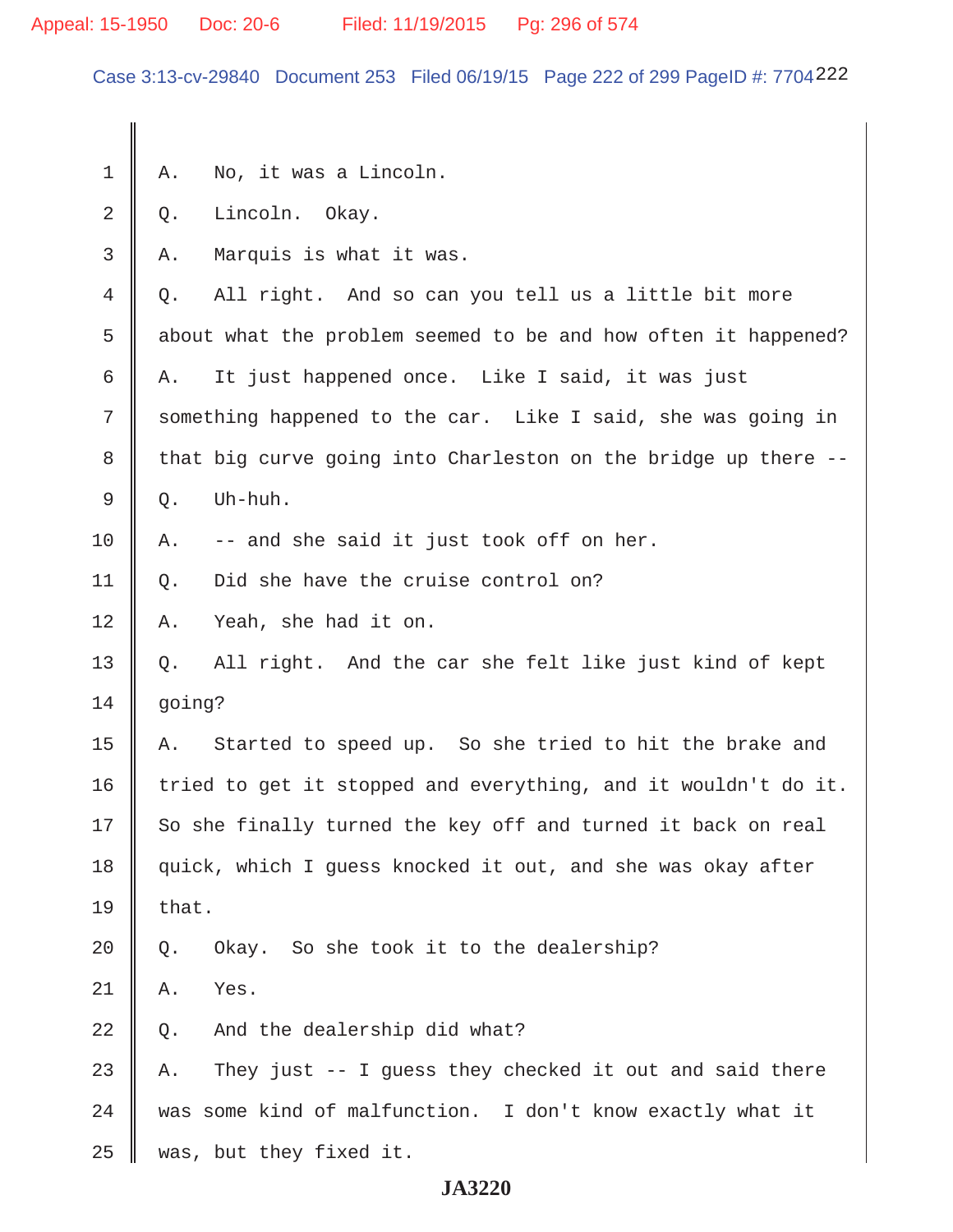# Appeal: 15-1950 Doc: 20-6 Filed: 11/19/2015 Pg: 296 of 574

Case 3:13-cv-29840 Document 253 Filed 06/19/15 Page 222 of 299 PageID #: 7704222

| 1  | Α.                                                             | No, it was a Lincoln.                                          |
|----|----------------------------------------------------------------|----------------------------------------------------------------|
| 2  | Q.                                                             | Lincoln. Okay.                                                 |
| 3  | Α.                                                             | Marquis is what it was.                                        |
| 4  | Q.                                                             | All right. And so can you tell us a little bit more            |
| 5  |                                                                | about what the problem seemed to be and how often it happened? |
| 6  | Α.                                                             | It just happened once. Like I said, it was just                |
| 7  | something happened to the car. Like I said, she was going in   |                                                                |
| 8  |                                                                | that big curve going into Charleston on the bridge up there -- |
| 9  | Q.                                                             | Uh-huh.                                                        |
| 10 | Α.                                                             | -- and she said it just took off on her.                       |
| 11 | Q.                                                             | Did she have the cruise control on?                            |
| 12 | Α.                                                             | Yeah, she had it on.                                           |
| 13 | Q.                                                             | All right. And the car she felt like just kind of kept         |
| 14 | going?                                                         |                                                                |
| 15 | Α.                                                             | Started to speed up. So she tried to hit the brake and         |
| 16 | tried to get it stopped and everything, and it wouldn't do it. |                                                                |
| 17 | So she finally turned the key off and turned it back on real   |                                                                |
| 18 | quick, which I quess knocked it out, and she was okay after    |                                                                |
| 19 | that.                                                          |                                                                |
| 20 | Q.                                                             | Okay. So she took it to the dealership?                        |
| 21 | Α.                                                             | Yes.                                                           |
| 22 | Q.                                                             | And the dealership did what?                                   |
| 23 | Α.                                                             | They just -- I guess they checked it out and said there        |
| 24 |                                                                | was some kind of malfunction. I don't know exactly what it     |
| 25 |                                                                | was, but they fixed it.                                        |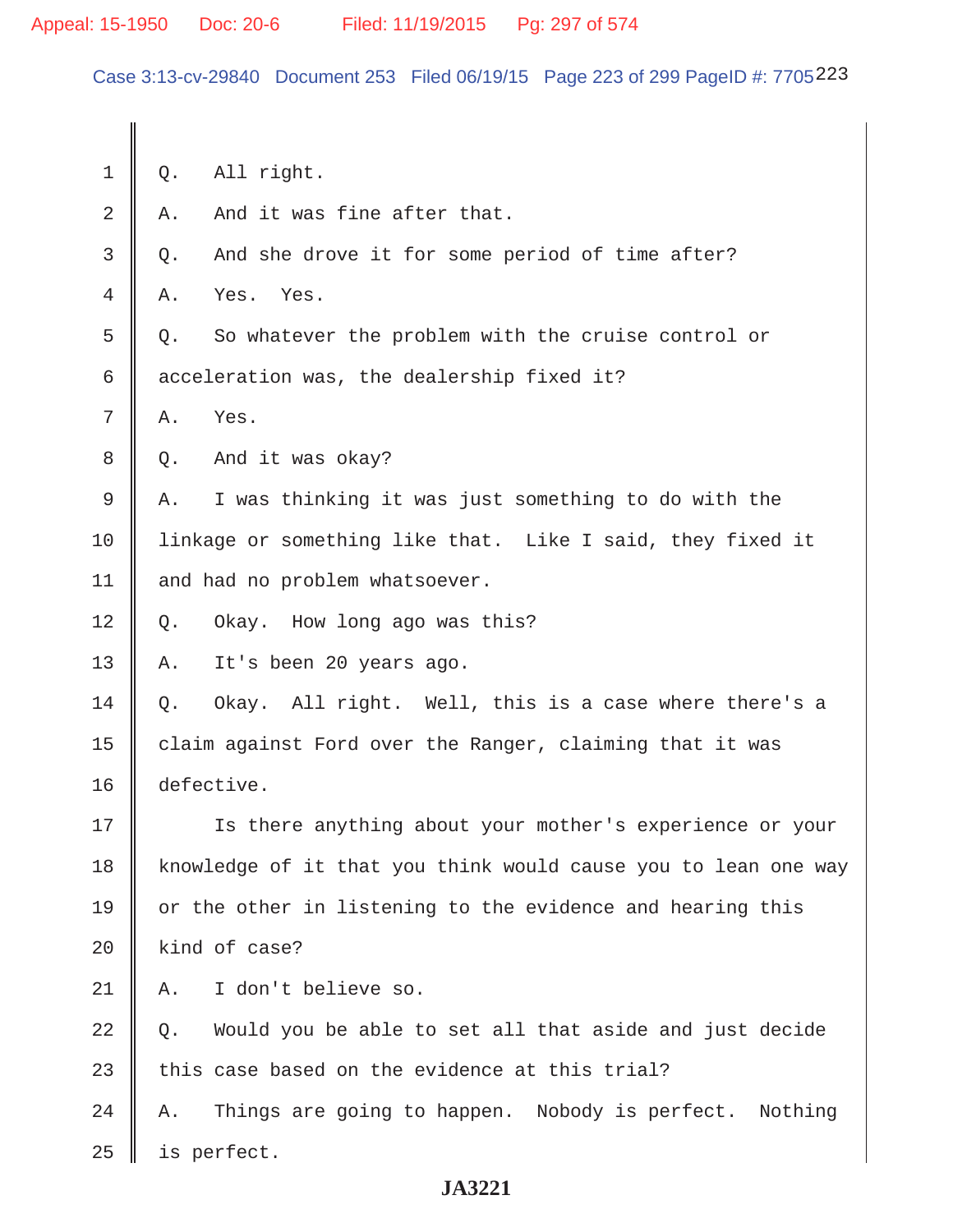Case 3:13-cv-29840 Document 253 Filed 06/19/15 Page 223 of 299 PageID #: 7705223

 $1 \parallel 0.$  All right.  $2 \parallel A$ . And it was fine after that. 3 Q. And she drove it for some period of time after? 4 A. Yes. Yes. 5 | 0. So whatever the problem with the cruise control or 6  $\parallel$  acceleration was, the dealership fixed it?  $7 \parallel A.$  Yes. 8 Q. And it was okay? 9 A. I was thinking it was just something to do with the 10 | linkage or something like that. Like I said, they fixed it 11 | and had no problem whatsoever. 12 Q. Okay. How long ago was this? 13 A. It's been 20 years ago.  $14 \parallel 0.$  Okay. All right. Well, this is a case where there's a 15  $\parallel$  claim against Ford over the Ranger, claiming that it was 16 defective. 17 || Is there anything about your mother's experience or your 18 | knowledge of it that you think would cause you to lean one way  $19$  or the other in listening to the evidence and hearing this  $20$  | kind of case? 21 A. I don't believe so.  $22 \parallel 0.$  Would you be able to set all that aside and just decide 23  $\parallel$  this case based on the evidence at this trial?  $24$  | A. Things are going to happen. Nobody is perfect. Nothing  $25$  | is perfect.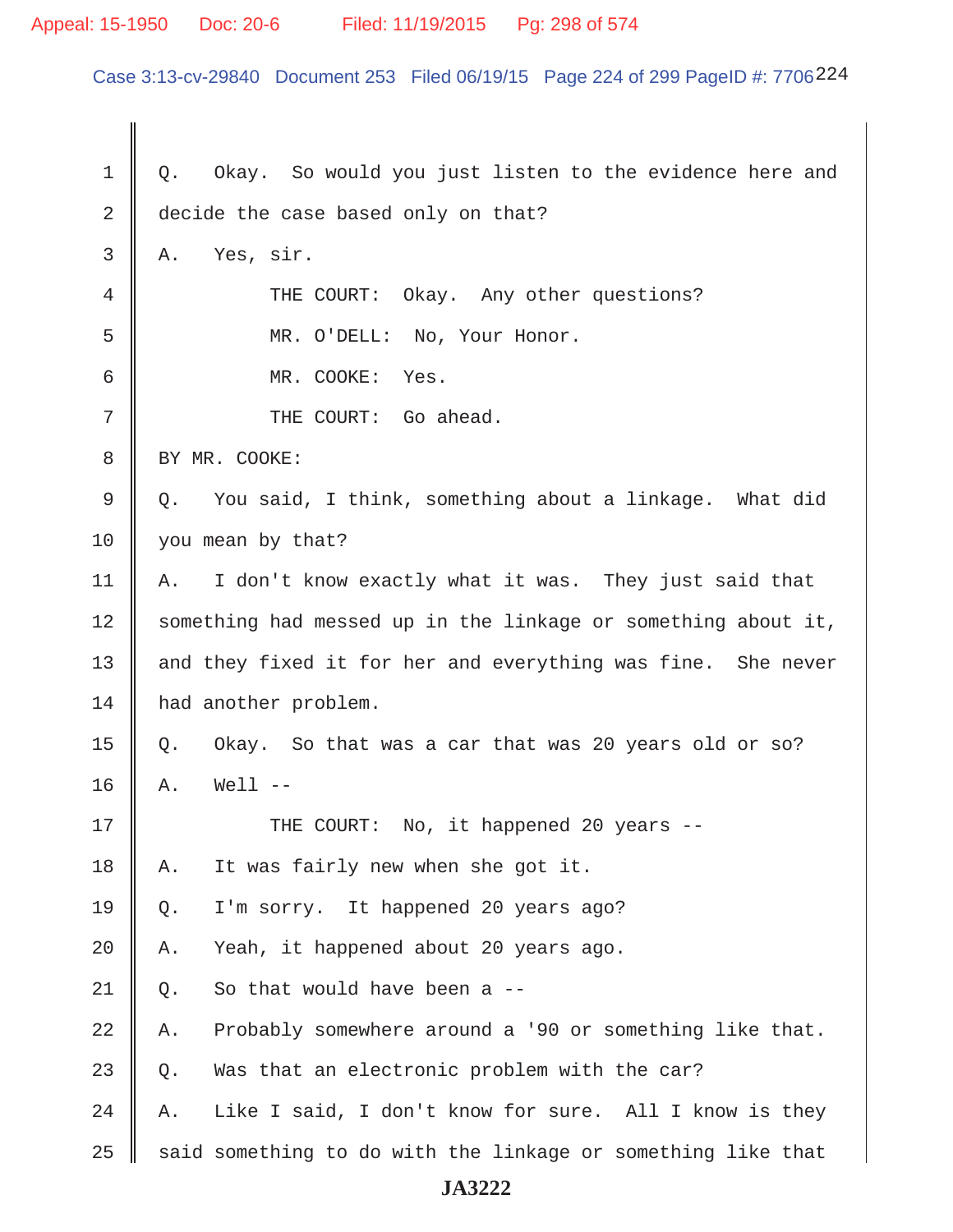### Appeal: 15-1950 Doc: 20-6 Filed: 11/19/2015 Pg: 298 of 574

Case 3:13-cv-29840 Document 253 Filed 06/19/15 Page 224 of 299 PageID #: 7706224

 $1 \parallel 0.$  Okay. So would you just listen to the evidence here and 2 decide the case based only on that?  $3 \parallel A$ . Yes, sir. 4 THE COURT: Okay. Any other questions? 5 MR. O'DELL: No, Your Honor. 6 MR. COOKE: Yes. 7 || THE COURT: Go ahead. 8 | BY MR. COOKE:  $9 \parallel Q$ . You said, I think, something about a linkage. What did 10 vou mean by that? 11 | A. I don't know exactly what it was. They just said that 12 Something had messed up in the linkage or something about it, 13 || and they fixed it for her and everything was fine. She never 14 | had another problem. 15  $\parallel$  Q. Okay. So that was a car that was 20 years old or so?  $16 \parallel A.$  Well --17 THE COURT: No, it happened 20 years -- 18 A. It was fairly new when she got it. 19 Q. I'm sorry. It happened 20 years ago?  $20$  | A. Yeah, it happened about 20 years ago. 21 |  $\circ$ . So that would have been a --22  $\parallel$  A. Probably somewhere around a '90 or something like that. 23  $\parallel$  0. Was that an electronic problem with the car? 24  $\parallel$  A. Like I said, I don't know for sure. All I know is they  $25$  said something to do with the linkage or something like that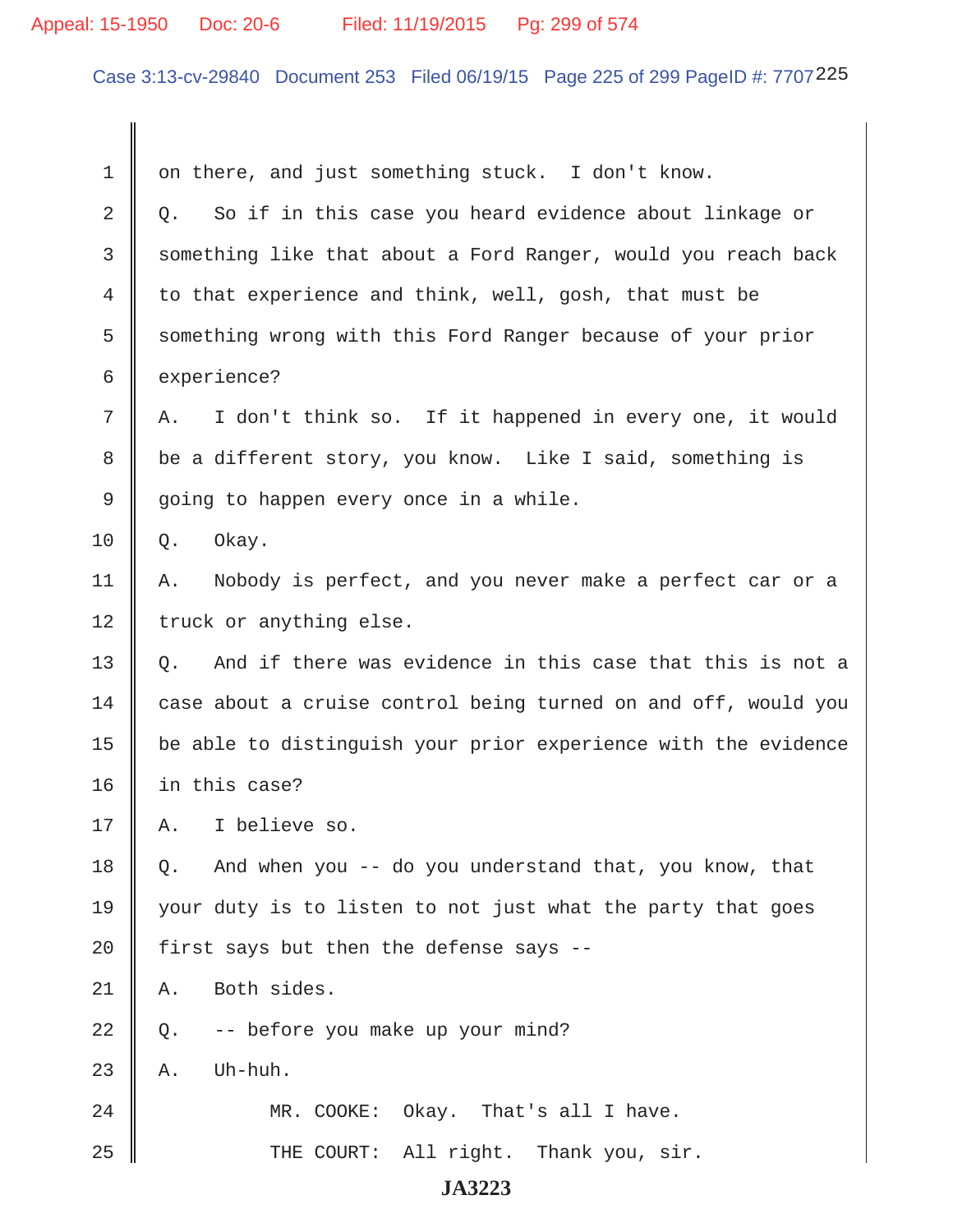# Appeal: 15-1950 Doc: 20-6 Filed: 11/19/2015 Pg: 299 of 574

Case 3:13-cv-29840 Document 253 Filed 06/19/15 Page 225 of 299 PageID #: 7707225

| 1              | on there, and just something stuck. I don't know.               |
|----------------|-----------------------------------------------------------------|
| $\overline{2}$ | So if in this case you heard evidence about linkage or<br>Q.    |
| 3              | something like that about a Ford Ranger, would you reach back   |
| 4              | to that experience and think, well, gosh, that must be          |
| 5              | something wrong with this Ford Ranger because of your prior     |
| 6              | experience?                                                     |
| 7              | I don't think so. If it happened in every one, it would<br>Α.   |
| 8              | be a different story, you know. Like I said, something is       |
| 9              | going to happen every once in a while.                          |
| 10             | Okay.<br>Q.                                                     |
| 11             | Nobody is perfect, and you never make a perfect car or a<br>Α.  |
| 12             | truck or anything else.                                         |
| 13             | And if there was evidence in this case that this is not a<br>Q. |
| 14             | case about a cruise control being turned on and off, would you  |
| 15             | be able to distinguish your prior experience with the evidence  |
| 16             | in this case?                                                   |
| 17             | I believe so.<br>Α.                                             |
| 18             | And when you -- do you understand that, you know, that<br>Q.    |
| 19             | your duty is to listen to not just what the party that goes     |
| 20             | first says but then the defense says --                         |
| 21             | Both sides.<br>Α.                                               |
| 22             | -- before you make up your mind?<br>Q.                          |
| 23             | Uh-huh.<br>Α.                                                   |
| 24             | MR. COOKE: Okay. That's all I have.                             |
| 25             | THE COURT: All right. Thank you, sir.                           |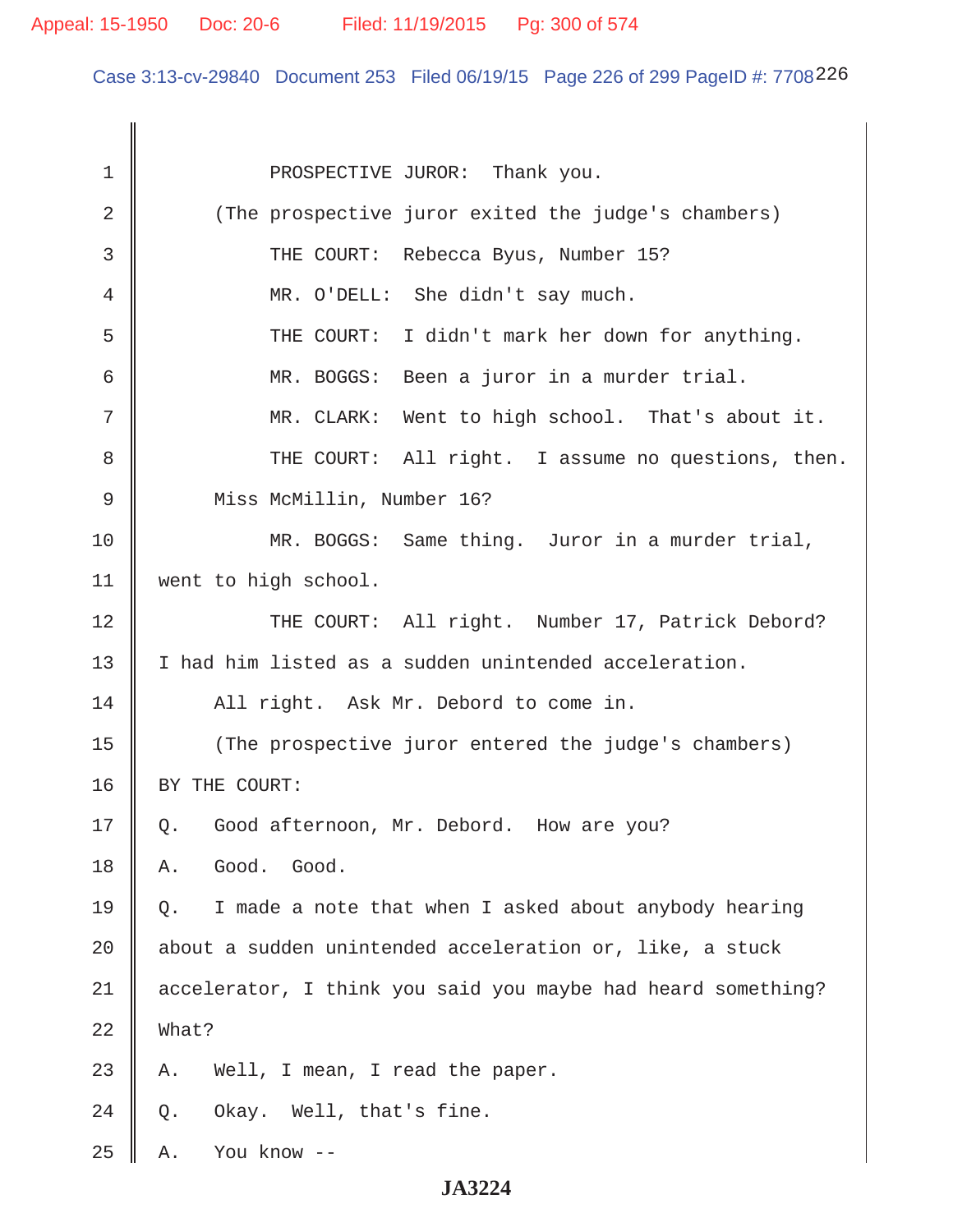Case 3:13-cv-29840 Document 253 Filed 06/19/15 Page 226 of 299 PageID #: 7708226

| 1              | PROSPECTIVE JUROR: Thank you.                                |
|----------------|--------------------------------------------------------------|
| $\overline{2}$ | (The prospective juror exited the judge's chambers)          |
| 3              | THE COURT: Rebecca Byus, Number 15?                          |
| 4              | MR. O'DELL: She didn't say much.                             |
| 5              | THE COURT: I didn't mark her down for anything.              |
| 6              | MR. BOGGS: Been a juror in a murder trial.                   |
| 7              | MR. CLARK: Went to high school. That's about it.             |
| 8              | THE COURT: All right. I assume no questions, then.           |
| 9              | Miss McMillin, Number 16?                                    |
| 10             | MR. BOGGS: Same thing. Juror in a murder trial,              |
| 11             | went to high school.                                         |
| 12             | THE COURT: All right. Number 17, Patrick Debord?             |
| 13             | I had him listed as a sudden unintended acceleration.        |
| 14             | All right. Ask Mr. Debord to come in.                        |
| 15             | (The prospective juror entered the judge's chambers)         |
| 16             | BY THE COURT:                                                |
| 17             | Good afternoon, Mr. Debord. How are you?<br>Q.               |
| 18             | Good.<br>Good.<br>Α.                                         |
| 19             | I made a note that when I asked about anybody hearing<br>Q.  |
| 20             | about a sudden unintended acceleration or, like, a stuck     |
| 21             | accelerator, I think you said you maybe had heard something? |
| 22             | What?                                                        |
| 23             | Well, I mean, I read the paper.<br>Α.                        |
| 24             | Okay. Well, that's fine.<br>Q.                               |
| 25             | You know --<br>Α.                                            |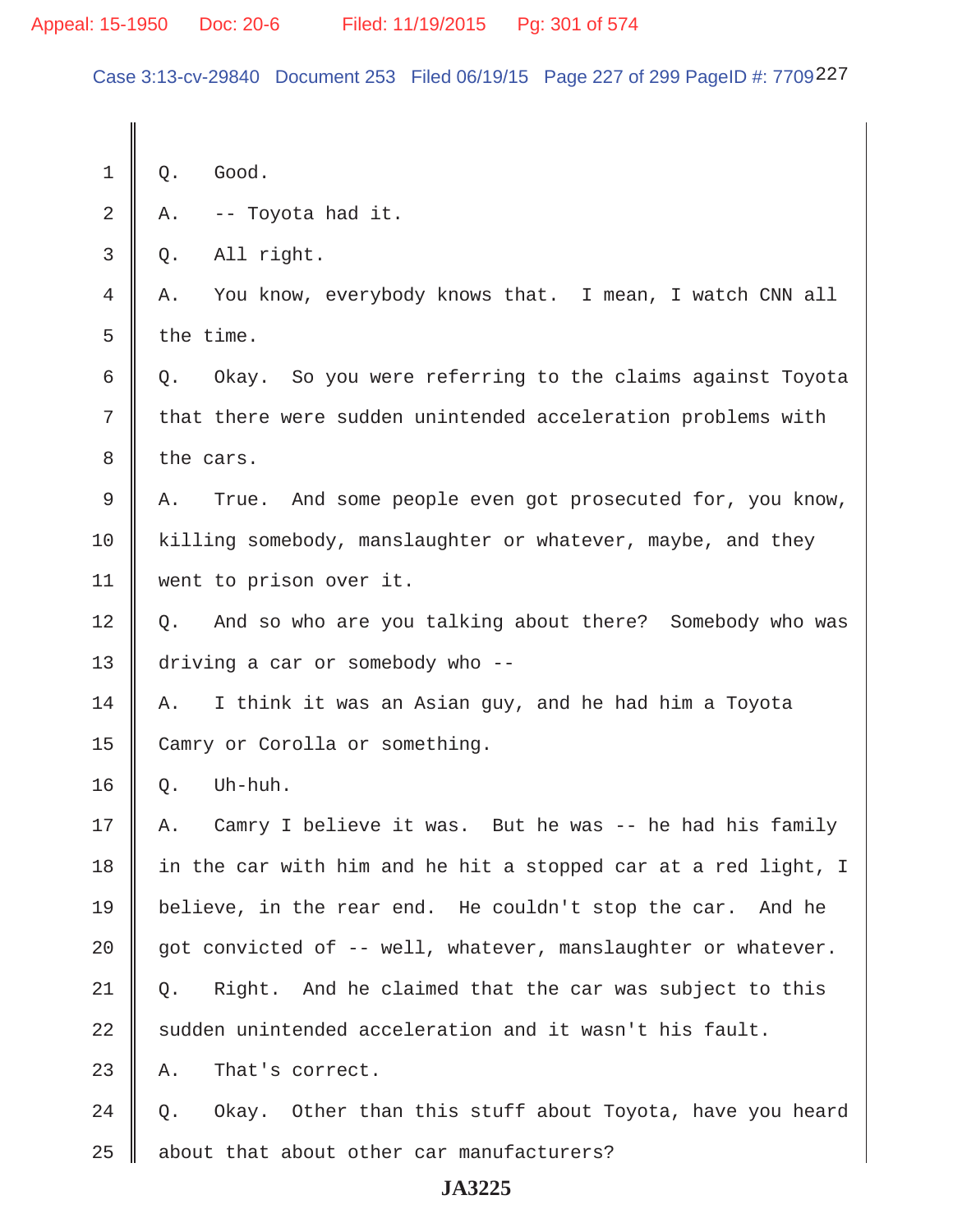Case 3:13-cv-29840 Document 253 Filed 06/19/15 Page 227 of 299 PageID #: 7709227

| 1  | Q.        | Good.                                                          |
|----|-----------|----------------------------------------------------------------|
| 2  | Α.        | -- Toyota had it.                                              |
| 3  | Q.        | All right.                                                     |
| 4  | Α.        | You know, everybody knows that. I mean, I watch CNN all        |
| 5  | the time. |                                                                |
| 6  | Q.        | Okay. So you were referring to the claims against Toyota       |
| 7  |           | that there were sudden unintended acceleration problems with   |
| 8  | the cars. |                                                                |
| 9  | Α.        | True. And some people even got prosecuted for, you know,       |
| 10 |           | killing somebody, manslaughter or whatever, maybe, and they    |
| 11 |           | went to prison over it.                                        |
| 12 | Q.        | And so who are you talking about there? Somebody who was       |
| 13 |           | driving a car or somebody who --                               |
| 14 | Α.        | I think it was an Asian guy, and he had him a Toyota           |
| 15 |           | Camry or Corolla or something.                                 |
| 16 | Q.        | Uh-huh.                                                        |
| 17 | Α.        | Camry I believe it was. But he was -- he had his family        |
| 18 |           | in the car with him and he hit a stopped car at a red light, I |
| 19 |           | believe, in the rear end. He couldn't stop the car. And he     |
| 20 |           | got convicted of -- well, whatever, manslaughter or whatever.  |
| 21 | Q.        | Right. And he claimed that the car was subject to this         |
| 22 |           | sudden unintended acceleration and it wasn't his fault.        |
| 23 | Α.        | That's correct.                                                |
| 24 | Q.        | Okay. Other than this stuff about Toyota, have you heard       |
| 25 |           | about that about other car manufacturers?                      |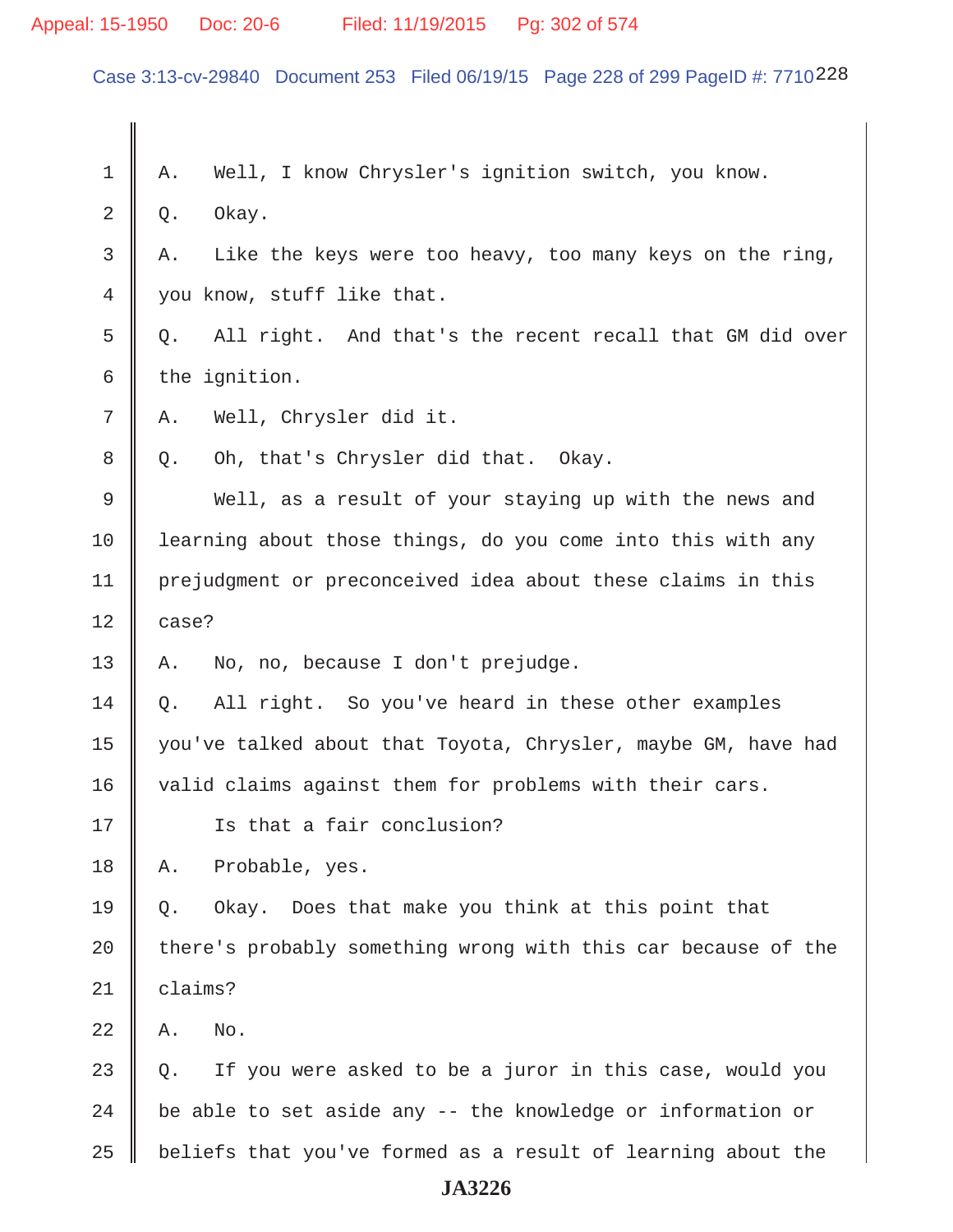# Appeal: 15-1950 Doc: 20-6 Filed: 11/19/2015 Pg: 302 of 574

Case 3:13-cv-29840 Document 253 Filed 06/19/15 Page 228 of 299 PageID #: 7710228

| 1              | Well, I know Chrysler's ignition switch, you know.<br>Α.       |  |
|----------------|----------------------------------------------------------------|--|
| $\overline{2}$ | Okay.<br>Q.                                                    |  |
| $\mathsf{3}$   | Like the keys were too heavy, too many keys on the ring,<br>Α. |  |
| 4              | you know, stuff like that.                                     |  |
| 5              | All right. And that's the recent recall that GM did over<br>Q. |  |
| 6              | the ignition.                                                  |  |
| 7              | Well, Chrysler did it.<br>Α.                                   |  |
| 8              | Oh, that's Chrysler did that. Okay.<br>Q.                      |  |
| 9              | Well, as a result of your staying up with the news and         |  |
| 10             | learning about those things, do you come into this with any    |  |
| 11             | prejudgment or preconceived idea about these claims in this    |  |
| 12             | case?                                                          |  |
| 13             | No, no, because I don't prejudge.<br>Α.                        |  |
| 14             | All right. So you've heard in these other examples<br>Q.       |  |
| 15             | you've talked about that Toyota, Chrysler, maybe GM, have had  |  |
| 16             | valid claims against them for problems with their cars.        |  |
| 17             | Is that a fair conclusion?                                     |  |
| 18             | Probable, yes.<br>Α.                                           |  |
| 19             | Okay. Does that make you think at this point that<br>Q.        |  |
| 20             | there's probably something wrong with this car because of the  |  |
| 21             | claims?                                                        |  |
| 22             | Α.<br>No.                                                      |  |
| 23             | If you were asked to be a juror in this case, would you<br>Q.  |  |
| 24             | be able to set aside any -- the knowledge or information or    |  |
| 25             | beliefs that you've formed as a result of learning about the   |  |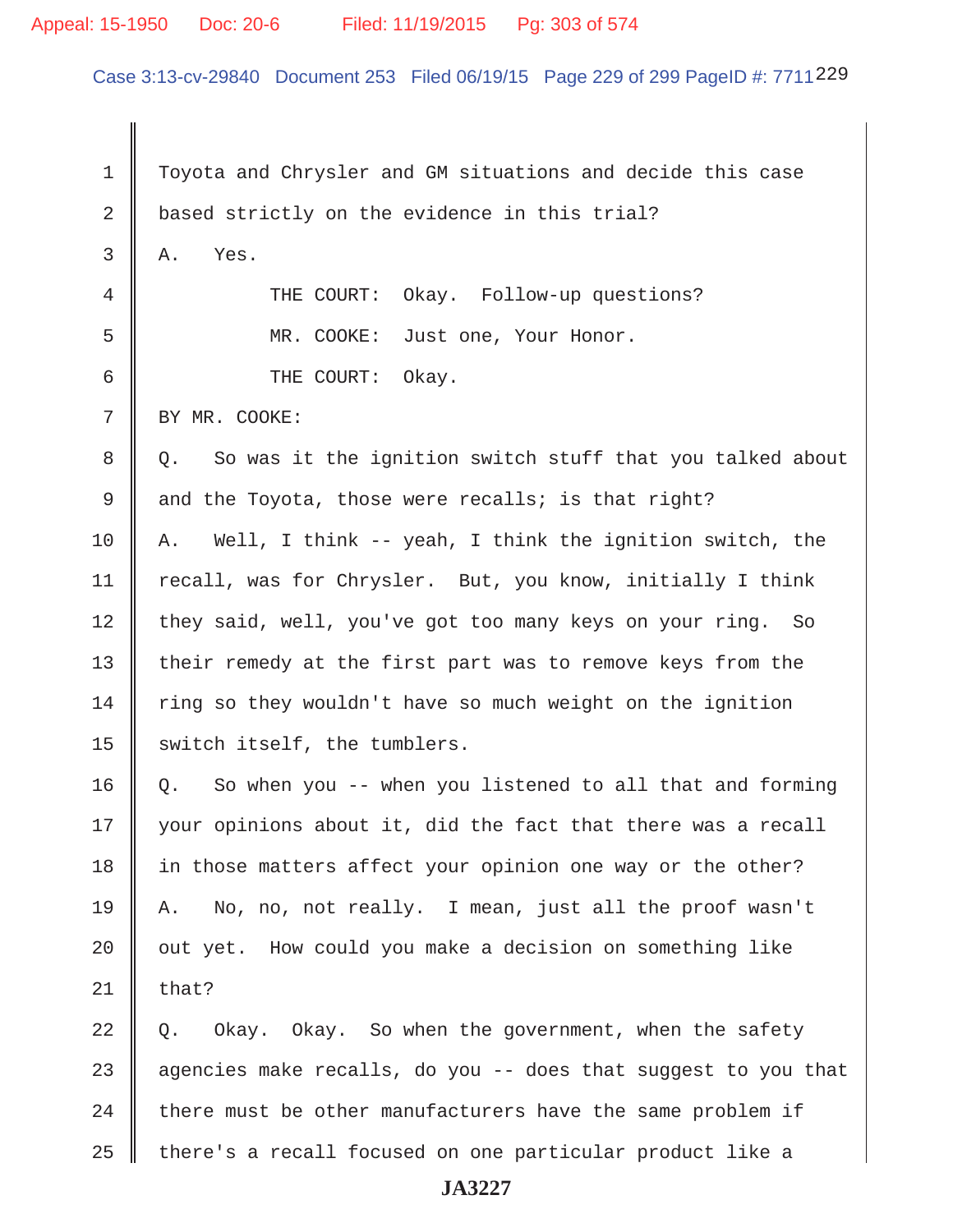#### Appeal: 15-1950 Doc: 20-6 Filed: 11/19/2015 Pg: 303 of 574

Case 3:13-cv-29840 Document 253 Filed 06/19/15 Page 229 of 299 PageID #: 7711229

 1 Toyota and Chrysler and GM situations and decide this case 2 based strictly on the evidence in this trial?  $3 \parallel A.$  Yes. 4 THE COURT: Okay. Follow-up questions? 5 MR. COOKE: Just one, Your Honor. 6 **6** THE COURT: Okay. 7 BY MR. COOKE: 8 || Q. So was it the ignition switch stuff that you talked about 9 and the Toyota, those were recalls; is that right? 10  $\parallel$  A. Well, I think -- yeah, I think the ignition switch, the 11 | recall, was for Chrysler. But, you know, initially I think 12 they said, well, you've got too many keys on your ring. So 13 || their remedy at the first part was to remove keys from the  $14$  ring so they wouldn't have so much weight on the ignition 15  $\parallel$  switch itself, the tumblers. 16 | Q. So when you -- when you listened to all that and forming  $17$  | your opinions about it, did the fact that there was a recall 18 | in those matters affect your opinion one way or the other? 19 A. No, no, not really. I mean, just all the proof wasn't  $20$   $\parallel$  out yet. How could you make a decision on something like  $21$  | that?  $22 \parallel 0.$  Okay. Okay. So when the government, when the safety 23  $\parallel$  agencies make recalls, do you -- does that suggest to you that  $24$  | there must be other manufacturers have the same problem if  $25$   $\parallel$  there's a recall focused on one particular product like a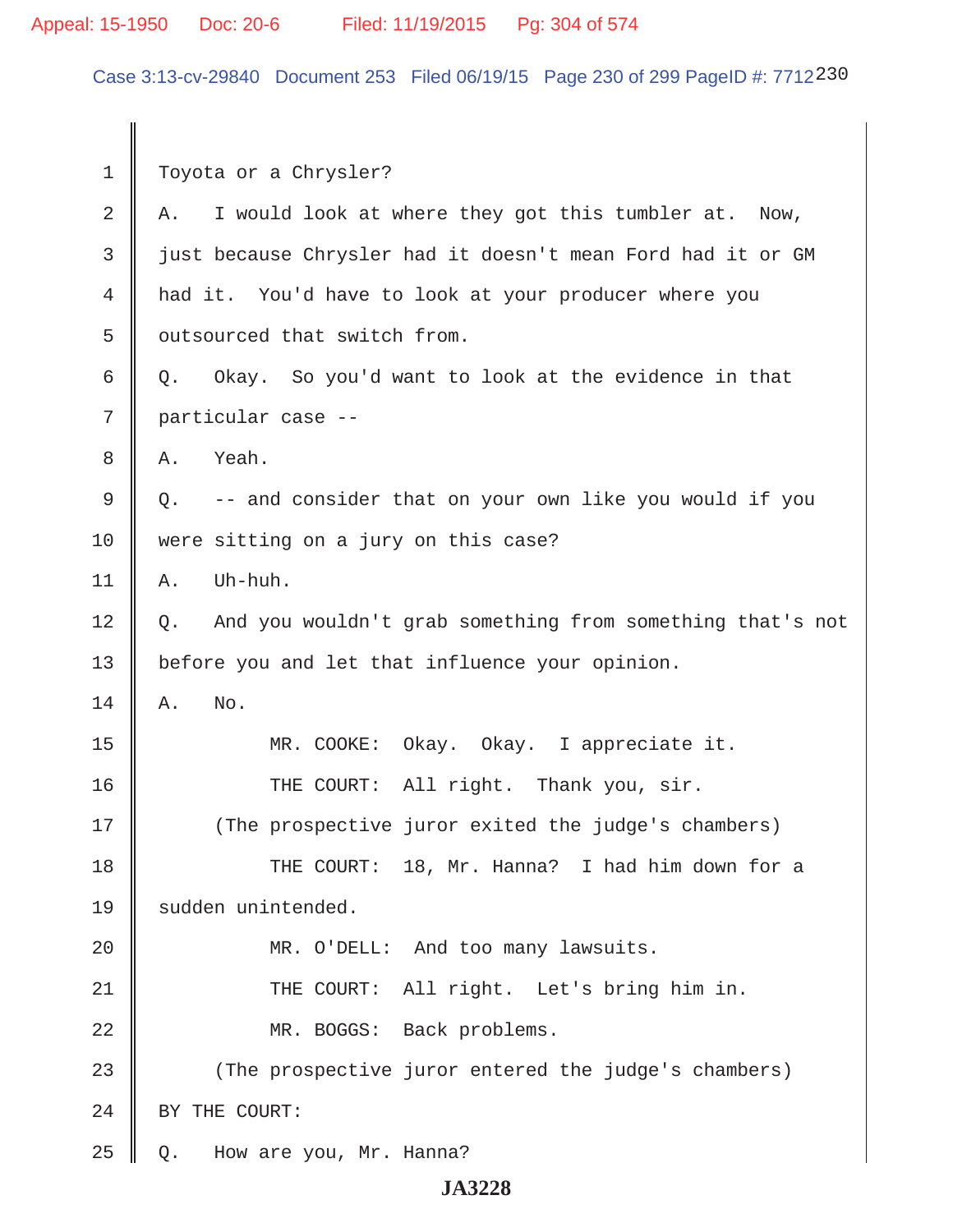# Appeal: 15-1950 Doc: 20-6 Filed: 11/19/2015 Pg: 304 of 574

Case 3:13-cv-29840 Document 253 Filed 06/19/15 Page 230 of 299 PageID #: 7712230

| $\mathbf 1$    | Toyota or a Chrysler?                                           |
|----------------|-----------------------------------------------------------------|
| $\overline{2}$ | I would look at where they got this tumbler at. Now,<br>Α.      |
| 3              | just because Chrysler had it doesn't mean Ford had it or GM     |
| 4              | had it. You'd have to look at your producer where you           |
| 5              | outsourced that switch from.                                    |
| 6              | Okay. So you'd want to look at the evidence in that<br>Q.       |
| 7              | particular case --                                              |
| 8              | Yeah.<br>Α.                                                     |
| $\mathsf 9$    | -- and consider that on your own like you would if you<br>Q.    |
| 10             | were sitting on a jury on this case?                            |
| 11             | Uh-huh.<br>Α.                                                   |
| 12             | And you wouldn't grab something from something that's not<br>Q. |
| 13             | before you and let that influence your opinion.                 |
| 14             | No.<br>Α.                                                       |
| 15             | MR. COOKE:<br>Okay. Okay. I appreciate it.                      |
| 16             | THE COURT: All right. Thank you, sir.                           |
| 17             | (The prospective juror exited the judge's chambers)             |
| 18             | THE COURT: 18, Mr. Hanna? I had him down for a                  |
| 19             | sudden unintended.                                              |
| 20             | MR. O'DELL: And too many lawsuits.                              |
| 21             | All right. Let's bring him in.<br>THE COURT:                    |
| 22             | MR. BOGGS: Back problems.                                       |
| 23             | (The prospective juror entered the judge's chambers)            |
| 24             | BY THE COURT:                                                   |
| 25             | How are you, Mr. Hanna?<br>Q.                                   |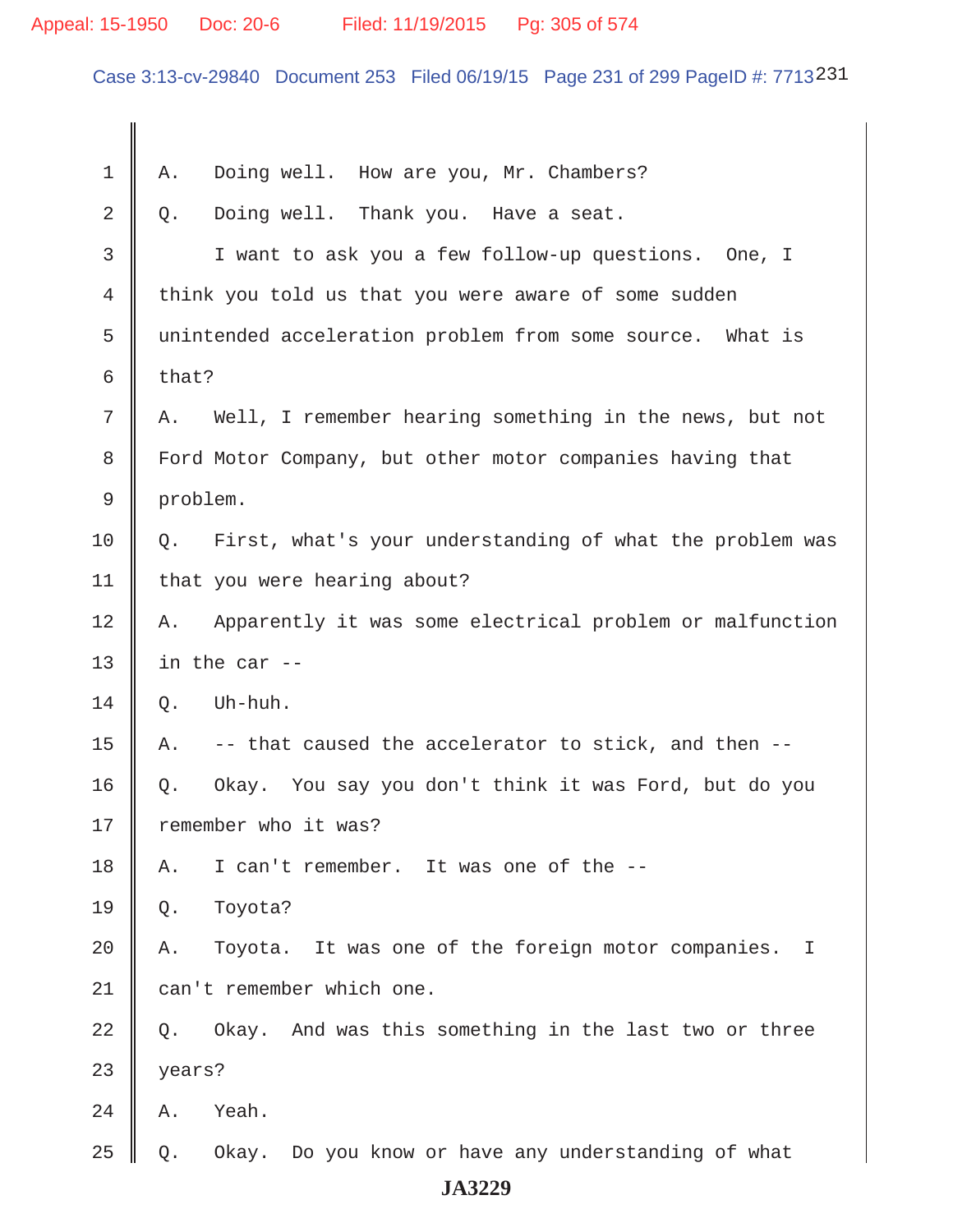# Appeal: 15-1950 Doc: 20-6 Filed: 11/19/2015 Pg: 305 of 574

Case 3:13-cv-29840 Document 253 Filed 06/19/15 Page 231 of 299 PageID #: 7713231

| $\mathbf 1$ | Doing well. How are you, Mr. Chambers?<br>Α.                             |
|-------------|--------------------------------------------------------------------------|
| 2           | Doing well. Thank you. Have a seat.<br>Q.                                |
| 3           | I want to ask you a few follow-up questions. One, I                      |
| 4           | think you told us that you were aware of some sudden                     |
| 5           | unintended acceleration problem from some source. What is                |
| 6           | that?                                                                    |
| 7           | Well, I remember hearing something in the news, but not<br>Α.            |
| 8           | Ford Motor Company, but other motor companies having that                |
| 9           | problem.                                                                 |
| 10          | First, what's your understanding of what the problem was<br>Q.           |
| 11          | that you were hearing about?                                             |
| 12          | Apparently it was some electrical problem or malfunction<br>Α.           |
| 13          | in the car --                                                            |
| 14          | Uh-huh.<br>Q.                                                            |
| 15          | -- that caused the accelerator to stick, and then --<br>Α.               |
| 16          | Okay. You say you don't think it was Ford, but do you<br>Q.              |
| 17          | remember who it was?                                                     |
| 18          | I can't remember. It was one of the --<br>Α.                             |
| 19          | Toyota?<br>Q.                                                            |
| 20          | Toyota. It was one of the foreign motor companies.<br>Α.<br>$\mathbb{I}$ |
| 21          | can't remember which one.                                                |
| 22          | Okay. And was this something in the last two or three<br>Q.              |
| 23          | years?                                                                   |
| 24          | Yeah.<br>Α.                                                              |
| 25          | Okay. Do you know or have any understanding of what<br>Q.                |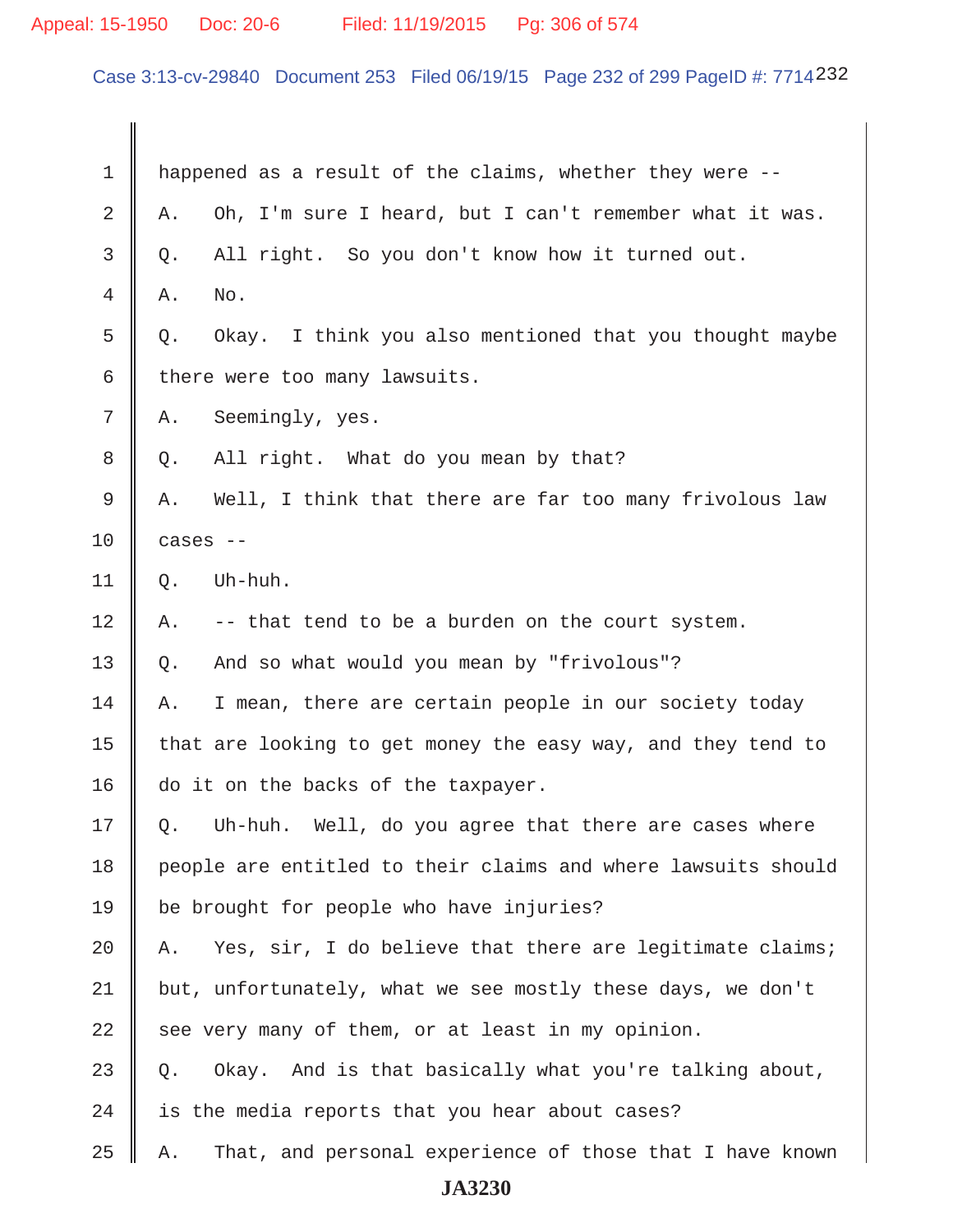# Appeal: 15-1950 Doc: 20-6 Filed: 11/19/2015 Pg: 306 of 574

Case 3:13-cv-29840 Document 253 Filed 06/19/15 Page 232 of 299 PageID #: 7714232

| 1  | happened as a result of the claims, whether they were --       |  |
|----|----------------------------------------------------------------|--|
| 2  | Oh, I'm sure I heard, but I can't remember what it was.<br>Α.  |  |
| 3  | All right. So you don't know how it turned out.<br>Q.          |  |
| 4  | No.<br>Α.                                                      |  |
| 5  | Okay. I think you also mentioned that you thought maybe<br>Q.  |  |
| 6  | there were too many lawsuits.                                  |  |
| 7  | Seemingly, yes.<br>Α.                                          |  |
| 8  | All right. What do you mean by that?<br>Q.                     |  |
| 9  | Well, I think that there are far too many frivolous law<br>Α.  |  |
| 10 | cases --                                                       |  |
| 11 | Uh-huh.<br>Q.                                                  |  |
| 12 | -- that tend to be a burden on the court system.<br>Α.         |  |
| 13 | And so what would you mean by "frivolous"?<br>Q.               |  |
| 14 | I mean, there are certain people in our society today<br>Α.    |  |
| 15 | that are looking to get money the easy way, and they tend to   |  |
| 16 | do it on the backs of the taxpayer.                            |  |
| 17 | Uh-huh. Well, do you agree that there are cases where<br>Q.    |  |
| 18 | people are entitled to their claims and where lawsuits should  |  |
| 19 | be brought for people who have injuries?                       |  |
| 20 | Yes, sir, I do believe that there are legitimate claims;<br>Α. |  |
| 21 | but, unfortunately, what we see mostly these days, we don't    |  |
| 22 | see very many of them, or at least in my opinion.              |  |
| 23 | Okay. And is that basically what you're talking about,<br>Q.   |  |
| 24 | is the media reports that you hear about cases?                |  |
| 25 | That, and personal experience of those that I have known<br>Α. |  |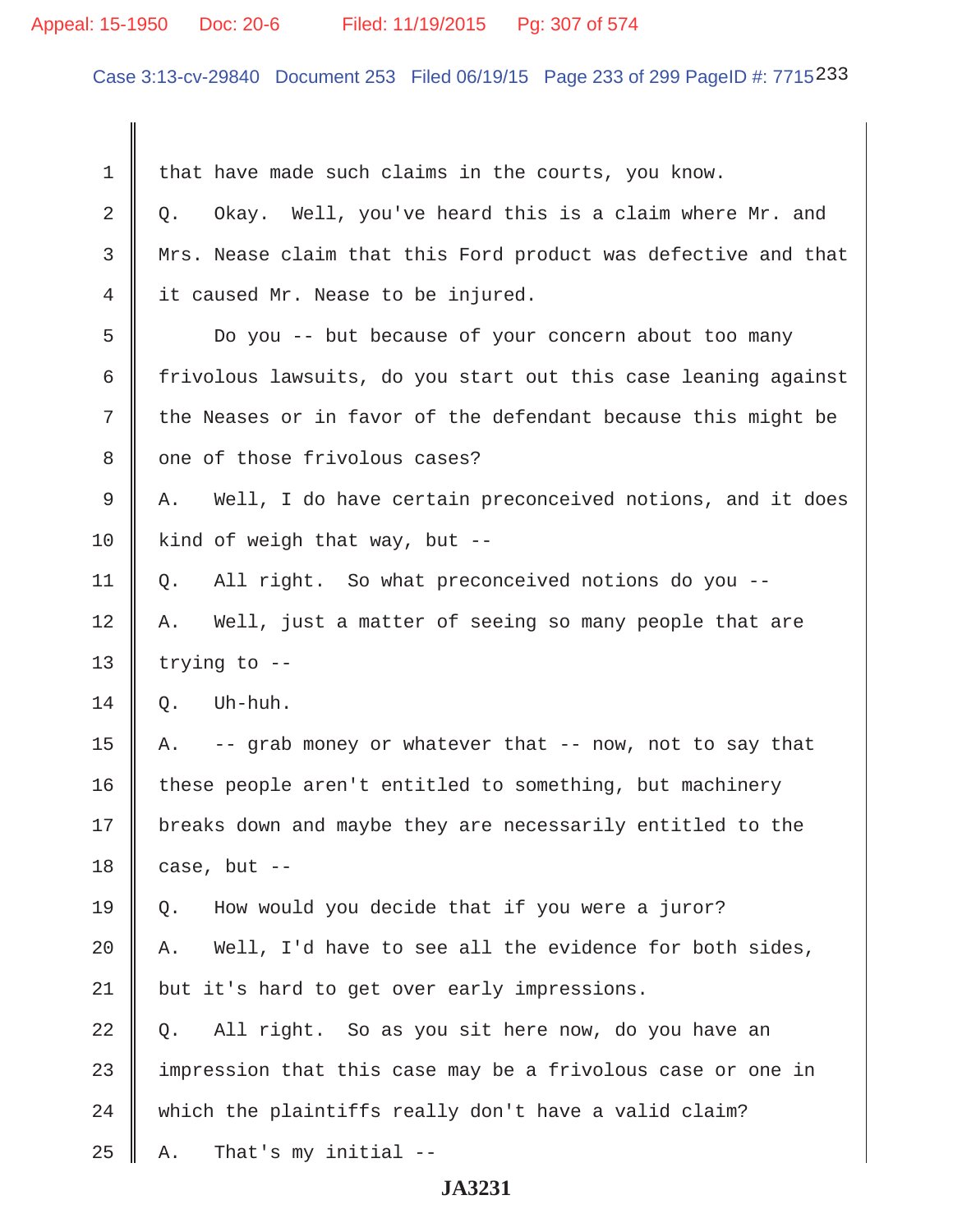# Appeal: 15-1950 Doc: 20-6 Filed: 11/19/2015 Pg: 307 of 574

Case 3:13-cv-29840 Document 253 Filed 06/19/15 Page 233 of 299 PageID #: 7715233

| 1  | that have made such claims in the courts, you know.             |  |
|----|-----------------------------------------------------------------|--|
| 2  | Okay. Well, you've heard this is a claim where Mr. and<br>Q.    |  |
| 3  | Mrs. Nease claim that this Ford product was defective and that  |  |
| 4  | it caused Mr. Nease to be injured.                              |  |
| 5  | Do you -- but because of your concern about too many            |  |
| 6  | frivolous lawsuits, do you start out this case leaning against  |  |
| 7  | the Neases or in favor of the defendant because this might be   |  |
| 8  | one of those frivolous cases?                                   |  |
| 9  | Well, I do have certain preconceived notions, and it does<br>Α. |  |
| 10 | kind of weigh that way, but --                                  |  |
| 11 | All right. So what preconceived notions do you --<br>Q.         |  |
| 12 | Well, just a matter of seeing so many people that are<br>Α.     |  |
| 13 | trying to --                                                    |  |
| 14 | Uh-huh.<br>Q.                                                   |  |
| 15 | A. -- grab money or whatever that -- now, not to say that       |  |
| 16 | these people aren't entitled to something, but machinery        |  |
| 17 | breaks down and maybe they are necessarily entitled to the      |  |
| 18 | case, but --                                                    |  |
| 19 | How would you decide that if you were a juror?<br>Q.            |  |
| 20 | Well, I'd have to see all the evidence for both sides,<br>Α.    |  |
| 21 | but it's hard to get over early impressions.                    |  |
| 22 | All right. So as you sit here now, do you have an<br>Q.         |  |
| 23 | impression that this case may be a frivolous case or one in     |  |
| 24 | which the plaintiffs really don't have a valid claim?           |  |
| 25 | That's my initial --<br>Α.                                      |  |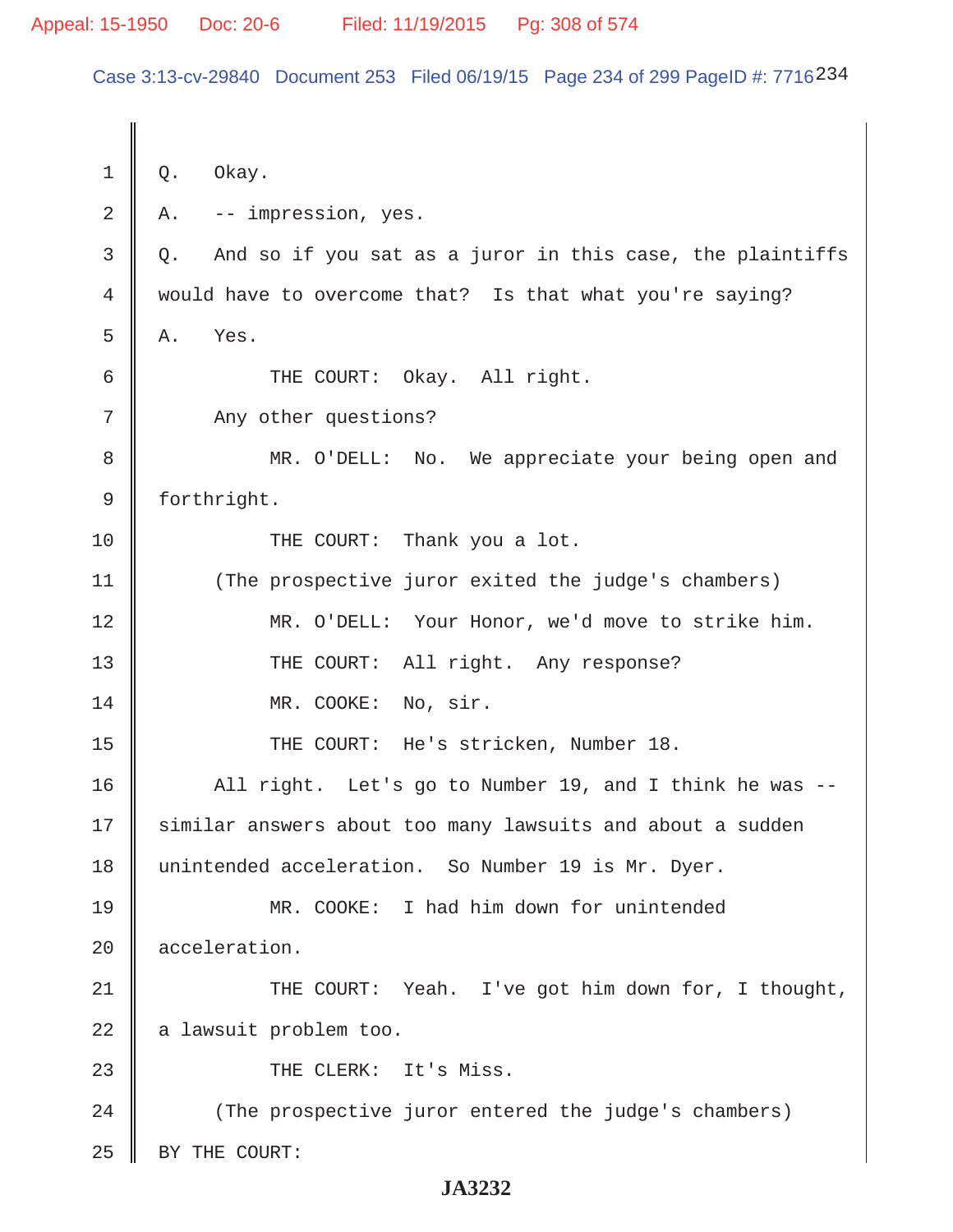Case 3:13-cv-29840 Document 253 Filed 06/19/15 Page 234 of 299 PageID #: 7716234

 $1 \parallel 0.$  Okay.  $2 \parallel$  A. -- impression, yes.  $3 \parallel Q$ . And so if you sat as a juror in this case, the plaintiffs 4 would have to overcome that? Is that what you're saying?  $5 \parallel A.$  Yes. 6 GUI THE COURT: Okay. All right. 7 Any other questions? 8 || MR. O'DELL: No. We appreciate your being open and 9 | forthright. 10 || THE COURT: Thank you a lot. 11 (The prospective juror exited the judge's chambers) 12 MR. O'DELL: Your Honor, we'd move to strike him. 13 || THE COURT: All right. Any response? 14 || MR. COOKE: No, sir. 15 || THE COURT: He's stricken, Number 18. 16 || All right. Let's go to Number 19, and I think he was --17 || similar answers about too many lawsuits and about a sudden 18 unintended acceleration. So Number 19 is Mr. Dyer. 19 MR. COOKE: I had him down for unintended 20 **c** acceleration. 21 THE COURT: Yeah. I've got him down for, I thought,  $22$  | a lawsuit problem too. 23 || THE CLERK: It's Miss. 24 (The prospective juror entered the judge's chambers) 25 | BY THE COURT: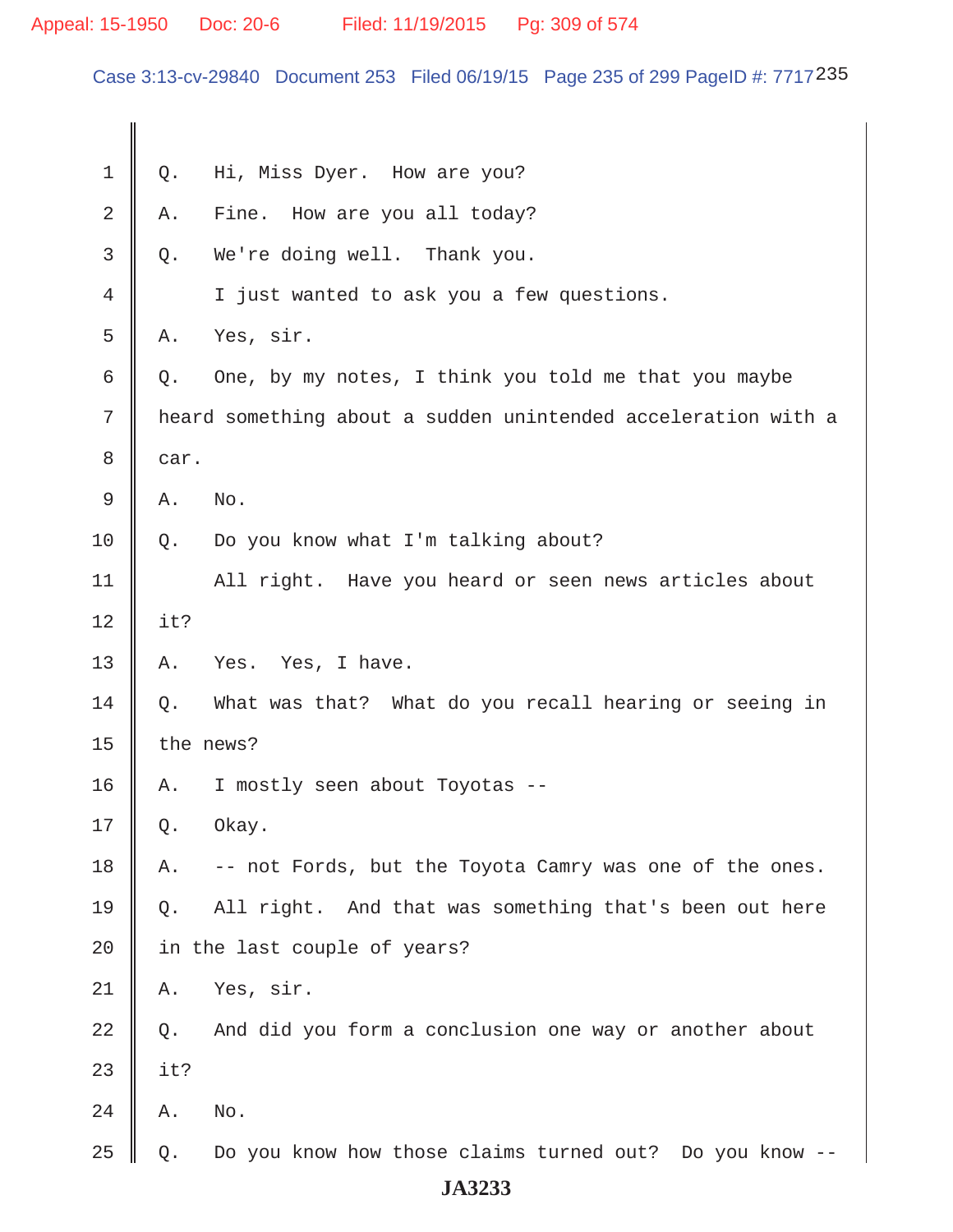Case 3:13-cv-29840 Document 253 Filed 06/19/15 Page 235 of 299 PageID #: 7717235

| $\mathbf 1$ | Q.    | Hi, Miss Dyer. How are you?                                   |
|-------------|-------|---------------------------------------------------------------|
| $\sqrt{2}$  | Α.    | How are you all today?<br>Fine.                               |
| 3           | Q.    | We're doing well. Thank you.                                  |
| 4           |       | I just wanted to ask you a few questions.                     |
| 5           | Α.    | Yes, sir.                                                     |
| 6           | Q.    | One, by my notes, I think you told me that you maybe          |
| 7           |       | heard something about a sudden unintended acceleration with a |
| $\,8\,$     | car.  |                                                               |
| $\mathsf 9$ | Α.    | No.                                                           |
| 10          | Q.    | Do you know what I'm talking about?                           |
| 11          |       | All right. Have you heard or seen news articles about         |
| 12          | it?   |                                                               |
| 13          | Α.    | Yes. Yes, I have.                                             |
| 14          | $Q$ . | What was that? What do you recall hearing or seeing in        |
| 15          |       | the news?                                                     |
| 16          | Α.    | I mostly seen about Toyotas --                                |
| 17          | Q.    | Okay.                                                         |
| 18          | Α.    | -- not Fords, but the Toyota Camry was one of the ones.       |
| 19          | Q.    | All right. And that was something that's been out here        |
| 20          |       | in the last couple of years?                                  |
| 21          | Α.    | Yes, sir.                                                     |
| 22          | Q.    | And did you form a conclusion one way or another about        |
| 23          | it?   |                                                               |
| 24          | Α.    | No.                                                           |
| 25          | Q.    | Do you know how those claims turned out? Do you know          |
|             |       |                                                               |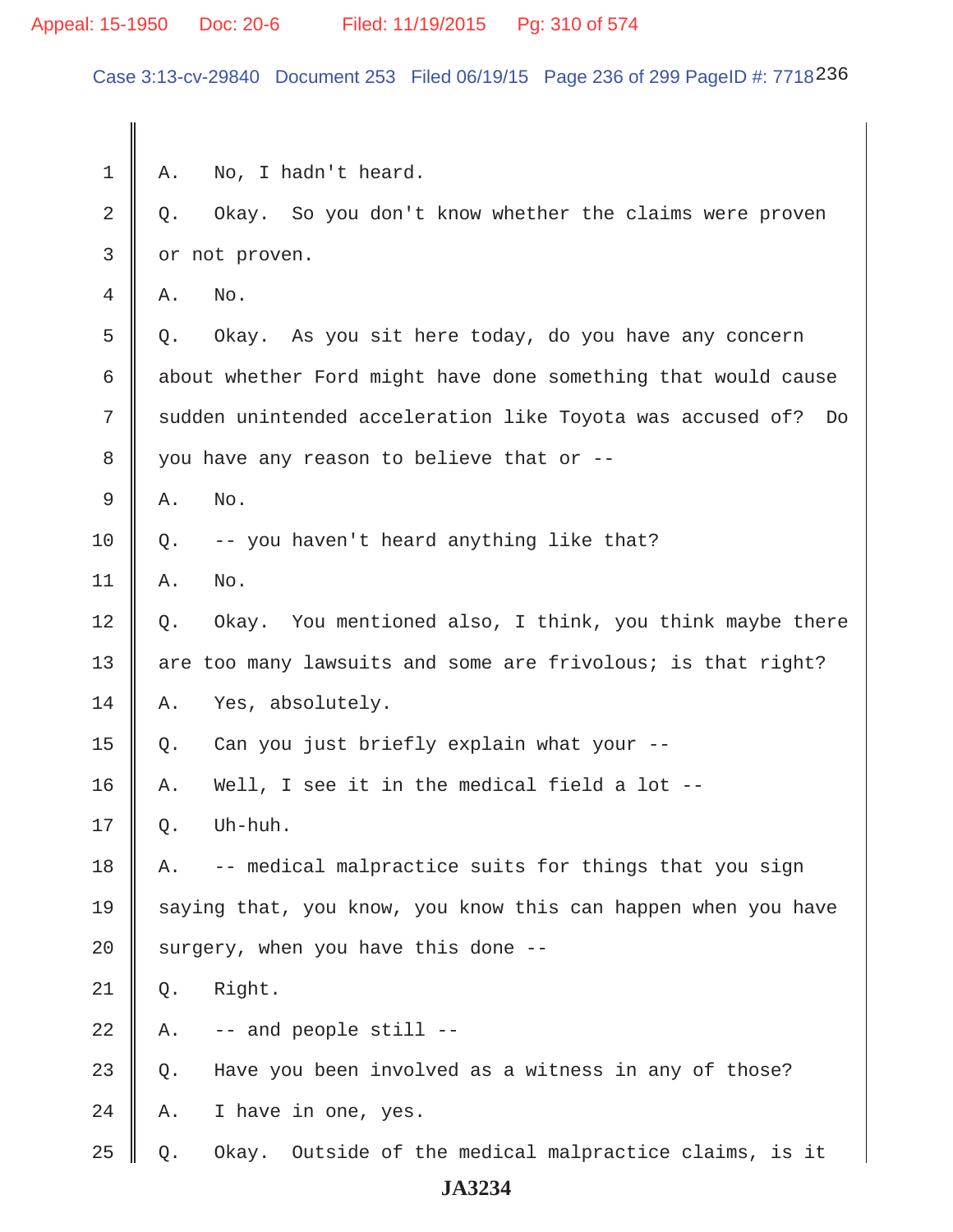### Appeal: 15-1950 Doc: 20-6 Filed: 11/19/2015 Pg: 310 of 574

Case 3:13-cv-29840 Document 253 Filed 06/19/15 Page 236 of 299 PageID #: 7718236

 $1 \parallel A$ . No, I hadn't heard.  $2 \parallel Q$ . Okay. So you don't know whether the claims were proven 3 | or not proven.  $4 \parallel A$ , No.  $5 \parallel$  0. Okay. As you sit here today, do you have any concern 6  $\parallel$  about whether Ford might have done something that would cause 7 || sudden unintended acceleration like Toyota was accused of? Do 8 | you have any reason to believe that or -- $9 \parallel A. \quad No.$  $10 \parallel Q.$  -- you haven't heard anything like that?  $11 \parallel A.$  No. 12 || Q. Okay. You mentioned also, I think, you think maybe there 13  $\parallel$  are too many lawsuits and some are frivolous; is that right? 14 A. Yes, absolutely. 15  $\parallel$  Q. Can you just briefly explain what your --16 || A. Well, I see it in the medical field a lot  $-$ - $17 \parallel \circ.$  Uh-huh.  $18$  | A. -- medical malpractice suits for things that you sign 19  $\parallel$  saying that, you know, you know this can happen when you have 20  $\parallel$  surgery, when you have this done -- $21 \parallel Q.$  Right.  $22 \parallel$  A.  $\parallel$  -- and people still -- $23 \parallel Q$ . Have you been involved as a witness in any of those?  $24 \parallel A$ . I have in one, yes.  $25 \parallel Q$ . Okay. Outside of the medical malpractice claims, is it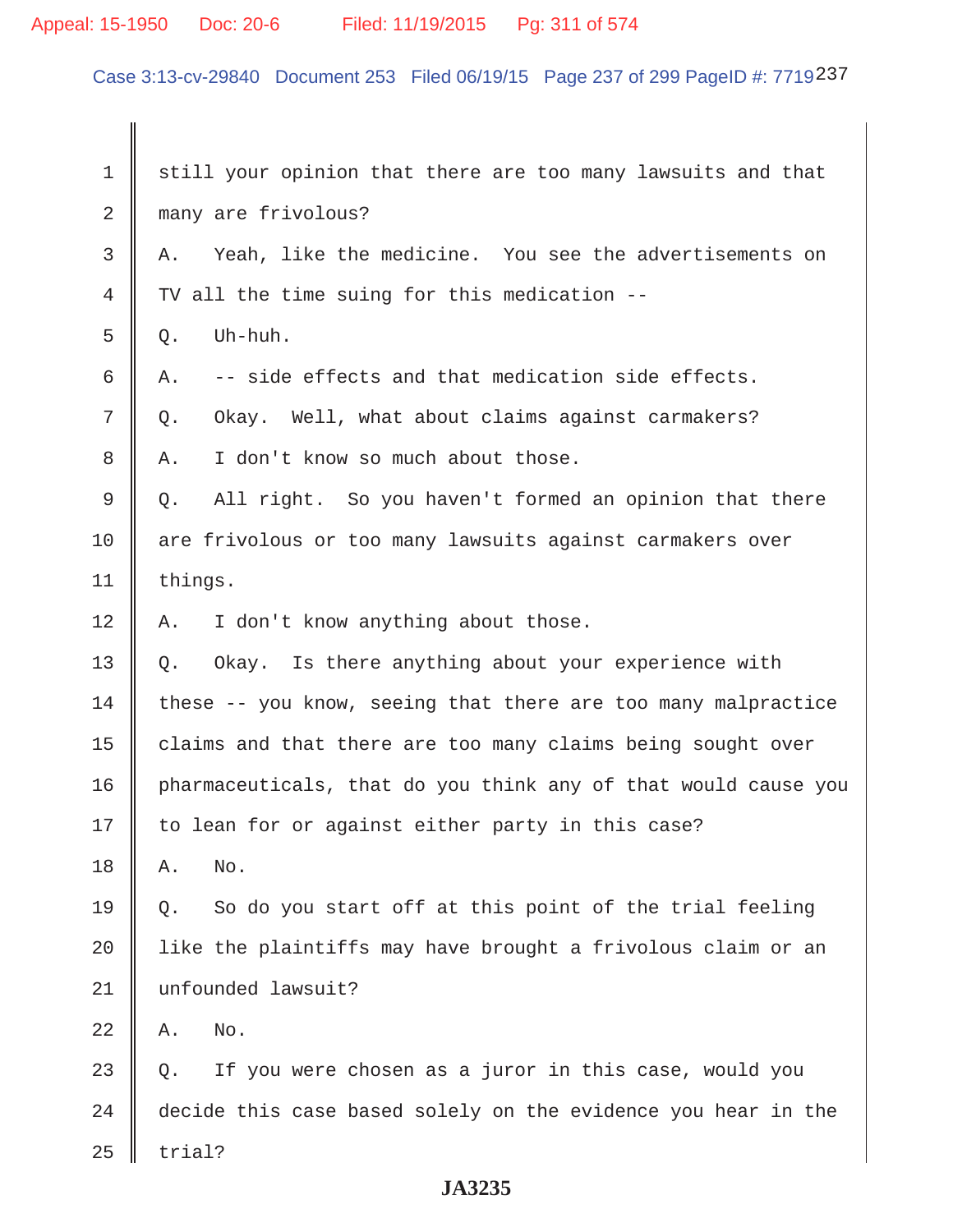# Appeal: 15-1950 Doc: 20-6 Filed: 11/19/2015 Pg: 311 of 574

Case 3:13-cv-29840 Document 253 Filed 06/19/15 Page 237 of 299 PageID #: 7719237

| 1  | still your opinion that there are too many lawsuits and that    |
|----|-----------------------------------------------------------------|
| 2  | many are frivolous?                                             |
| 3  | Yeah, like the medicine. You see the advertisements on<br>Α.    |
| 4  | TV all the time suing for this medication --                    |
| 5  | Uh-huh.<br>Q.                                                   |
| 6  | -- side effects and that medication side effects.<br>Α.         |
| 7  | Okay. Well, what about claims against carmakers?<br>Q.          |
| 8  | I don't know so much about those.<br>Α.                         |
| 9  | All right. So you haven't formed an opinion that there<br>$Q$ . |
| 10 | are frivolous or too many lawsuits against carmakers over       |
| 11 | things.                                                         |
| 12 | I don't know anything about those.<br>Α.                        |
| 13 | Okay. Is there anything about your experience with<br>$Q$ .     |
| 14 | these -- you know, seeing that there are too many malpractice   |
| 15 | claims and that there are too many claims being sought over     |
| 16 | pharmaceuticals, that do you think any of that would cause you  |
| 17 | to lean for or against either party in this case?               |
| 18 | No.<br>Α.                                                       |
| 19 | So do you start off at this point of the trial feeling<br>О.    |
| 20 | like the plaintiffs may have brought a frivolous claim or an    |
| 21 | unfounded lawsuit?                                              |
| 22 | No.<br>Α.                                                       |
| 23 | If you were chosen as a juror in this case, would you<br>Q.     |
| 24 | decide this case based solely on the evidence you hear in the   |
| 25 | trial?                                                          |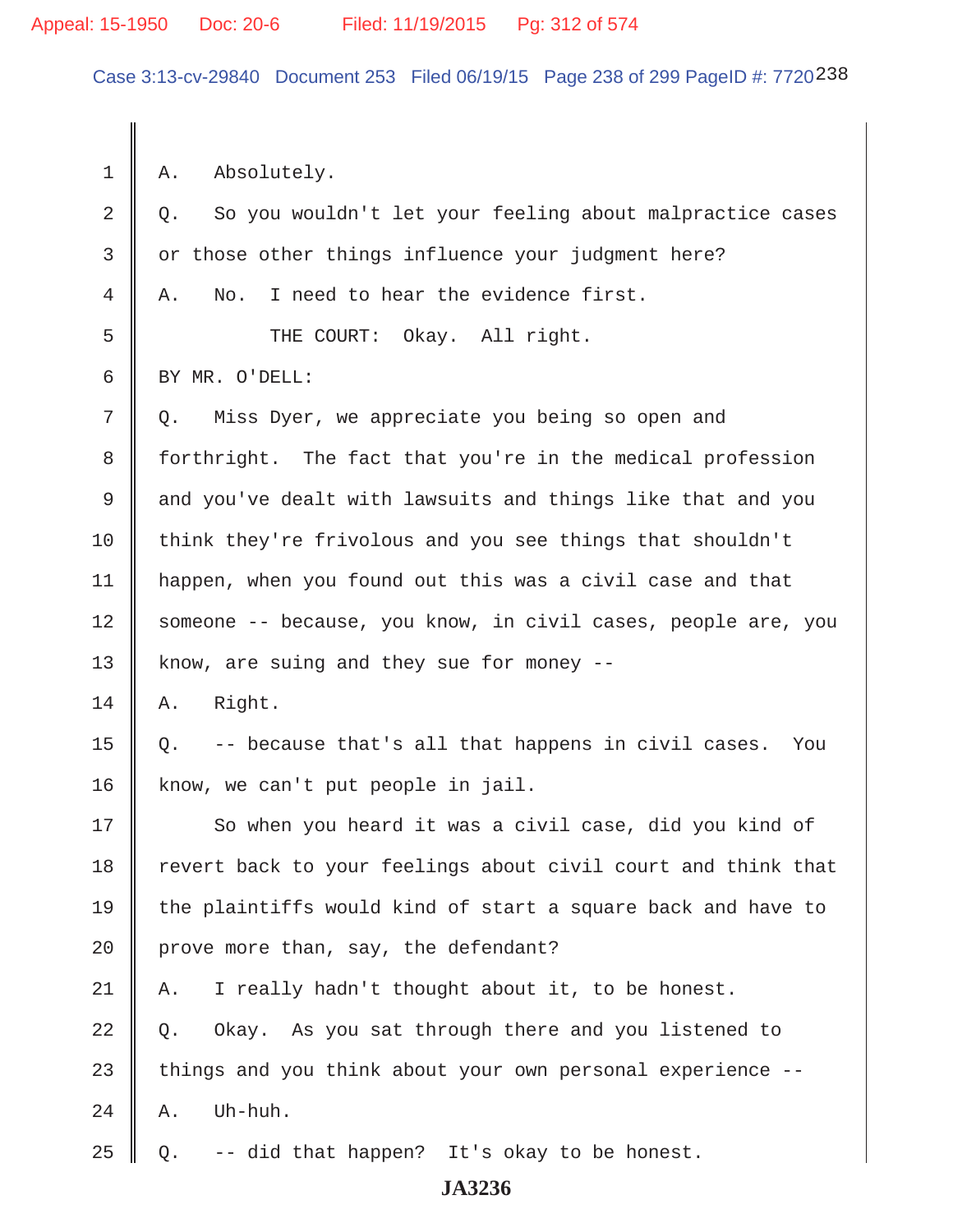Case 3:13-cv-29840 Document 253 Filed 06/19/15 Page 238 of 299 PageID #: 7720238

 $1 \parallel A$ . Absolutely.  $2 \parallel Q$ . So you wouldn't let your feeling about malpractice cases 3 or those other things influence your judgment here?  $4 \parallel A$ . No. I need to hear the evidence first. 5 || THE COURT: Okay. All right. 6 BY MR. O'DELL: 7 | Q. Miss Dyer, we appreciate you being so open and 8 forthright. The fact that you're in the medical profession 9 and you've dealt with lawsuits and things like that and you 10 think they're frivolous and you see things that shouldn't 11 happen, when you found out this was a civil case and that 12 Someone -- because, you know, in civil cases, people are, you 13 | know, are suing and they sue for money  $14 \parallel A.$  Right. 15  $\parallel$  Q. -- because that's all that happens in civil cases. You 16 | know, we can't put people in jail. 17 || So when you heard it was a civil case, did you kind of 18 | revert back to your feelings about civil court and think that 19  $\parallel$  the plaintiffs would kind of start a square back and have to 20 | prove more than, say, the defendant? 21 | A. I really hadn't thought about it, to be honest.  $22 \parallel Q$ . Okay. As you sat through there and you listened to  $23$   $\parallel$  things and you think about your own personal experience -- $24$  | A. Uh-huh. 25  $\parallel$  Q. -- did that happen? It's okay to be honest.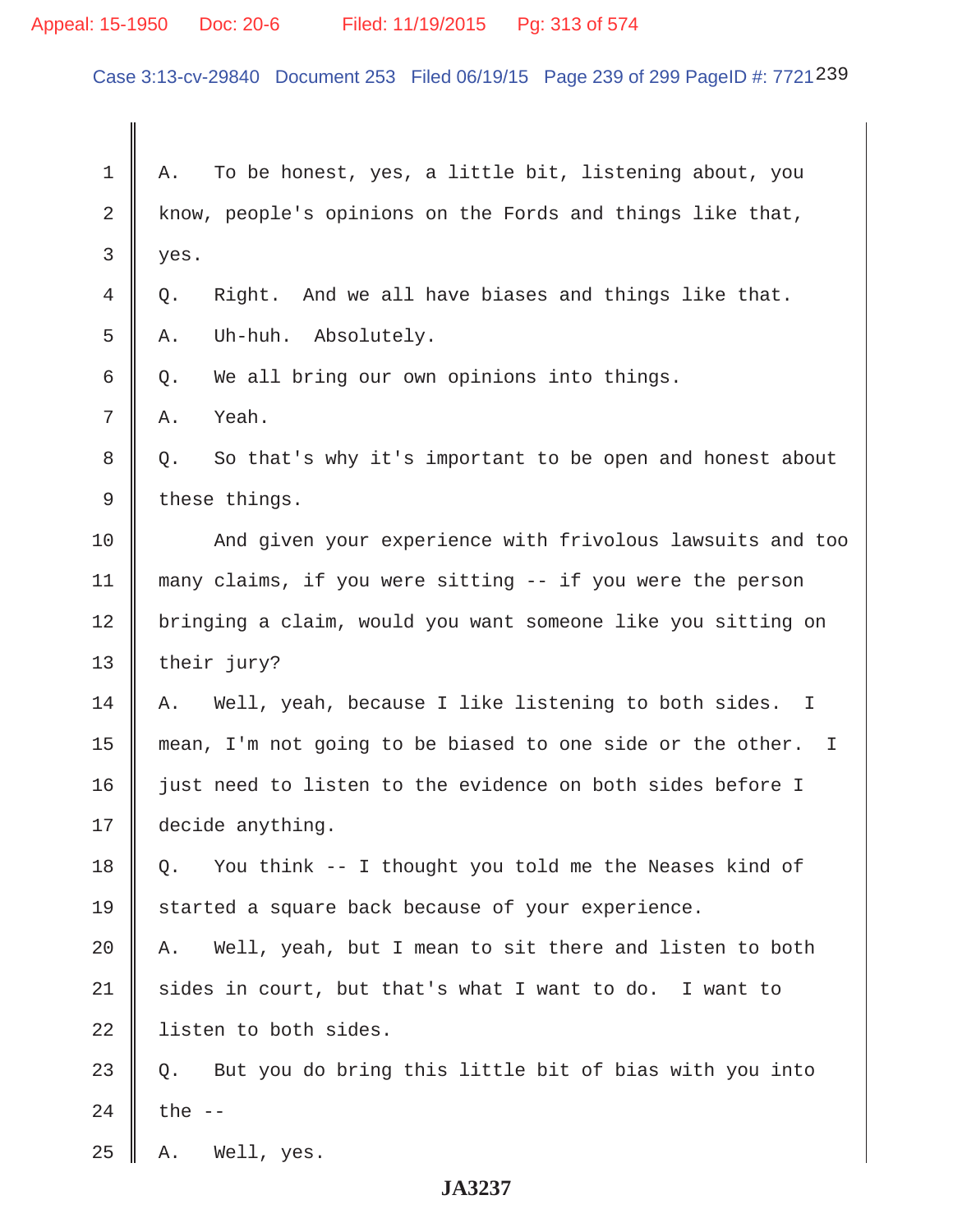# Appeal: 15-1950 Doc: 20-6 Filed: 11/19/2015 Pg: 313 of 574

Case 3:13-cv-29840 Document 253 Filed 06/19/15 Page 239 of 299 PageID #: 7721239

| 1  | To be honest, yes, a little bit, listening about, you<br>Α.     |
|----|-----------------------------------------------------------------|
| 2  | know, people's opinions on the Fords and things like that,      |
| 3  | yes.                                                            |
| 4  | And we all have biases and things like that.<br>Right.<br>Q.    |
| 5  | Uh-huh. Absolutely.<br>Α.                                       |
| 6  | We all bring our own opinions into things.<br>Q.                |
| 7  | Yeah.<br>Α.                                                     |
| 8  | So that's why it's important to be open and honest about<br>Q.  |
| 9  | these things.                                                   |
| 10 | And given your experience with frivolous lawsuits and too       |
| 11 | many claims, if you were sitting -- if you were the person      |
| 12 | bringing a claim, would you want someone like you sitting on    |
| 13 | their jury?                                                     |
| 14 | Well, yeah, because I like listening to both sides. I<br>Α.     |
| 15 | mean, I'm not going to be biased to one side or the other. I    |
| 16 | just need to listen to the evidence on both sides before I      |
| 17 | decide anything.                                                |
| 18 | You think -- I thought you told me the Neases kind of<br>$Q$ .  |
| 19 | started a square back because of your experience.               |
| 20 | Well, yeah, but I mean to sit there and listen to both<br>Α.    |
| 21 | sides in court, but that's what I want to do. I want to         |
| 22 | listen to both sides.                                           |
| 23 | But you do bring this little bit of bias with you into<br>$Q$ . |
| 24 | the $-$                                                         |
| 25 | Well, yes.<br>Α.                                                |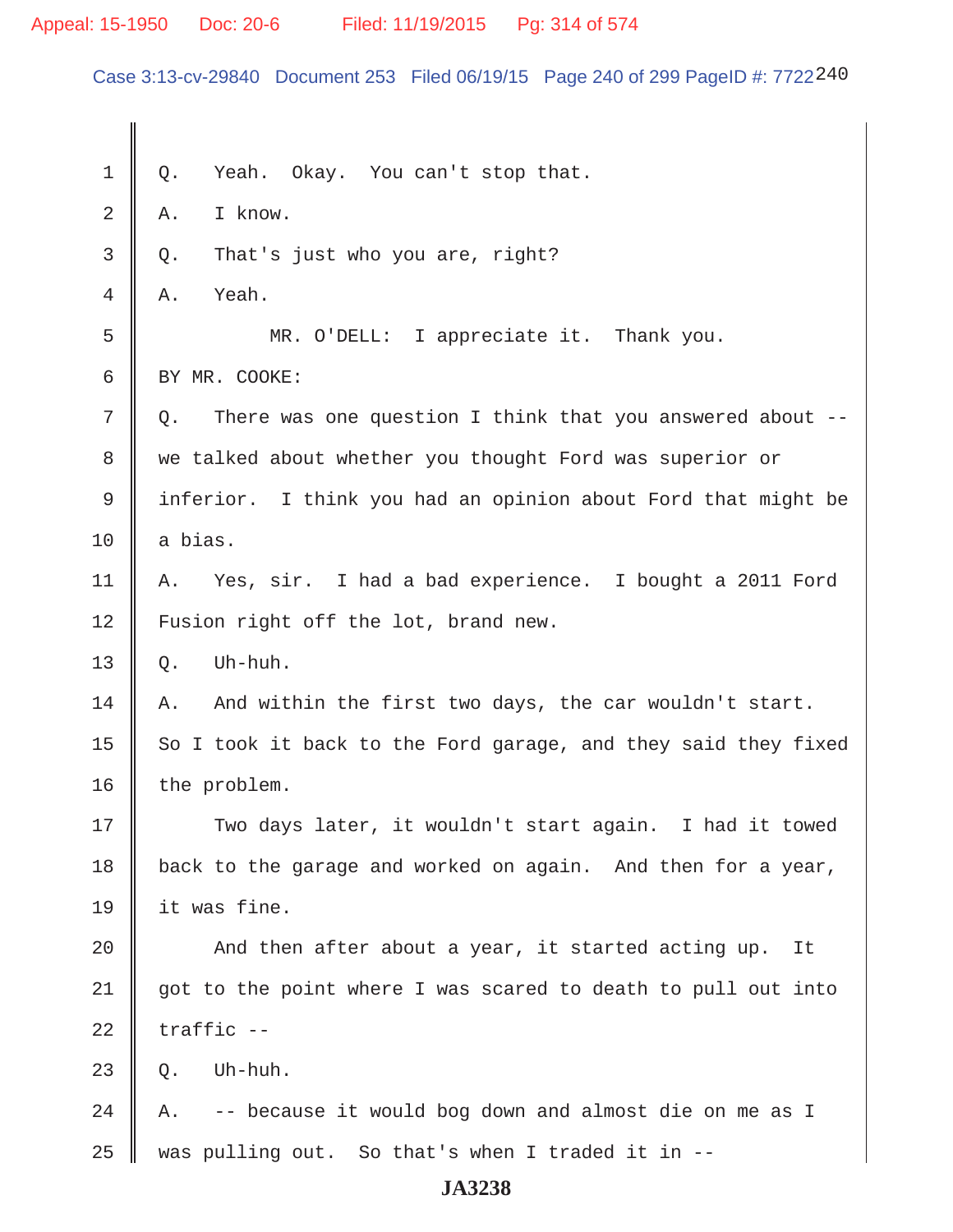### Appeal: 15-1950 Doc: 20-6 Filed: 11/19/2015 Pg: 314 of 574

Case 3:13-cv-29840 Document 253 Filed 06/19/15 Page 240 of 299 PageID #: 7722240

 $1 \parallel Q$ . Yeah. Okay. You can't stop that.  $2 \parallel A.$  I know.  $3 \parallel Q$ . That's just who you are, right?  $4 \parallel A$ . Yeah. 5 MR. O'DELL: I appreciate it. Thank you. 6 BY MR. COOKE:  $7 \parallel Q$ . There was one question I think that you answered about --8 we talked about whether you thought Ford was superior or 9 || inferior. I think you had an opinion about Ford that might be  $10$  | a bias. 11 A. Yes, sir. I had a bad experience. I bought a 2011 Ford 12 | Fusion right off the lot, brand new.  $13 \parallel 0.$  Uh-huh.  $14$  | A. And within the first two days, the car wouldn't start. 15  $\parallel$  So I took it back to the Ford garage, and they said they fixed  $16$  | the problem. 17 || Two days later, it wouldn't start again. I had it towed 18 | back to the garage and worked on again. And then for a year, 19 it was fine. 20  $\parallel$  And then after about a year, it started acting up. It  $21$  got to the point where I was scared to death to pull out into  $22$  | traffic  $23 \parallel$  Q. Uh-huh. 24  $\parallel$  A.  $\sim$  -- because it would bog down and almost die on me as I  $25$  was pulling out. So that's when I traded it in  $-$ -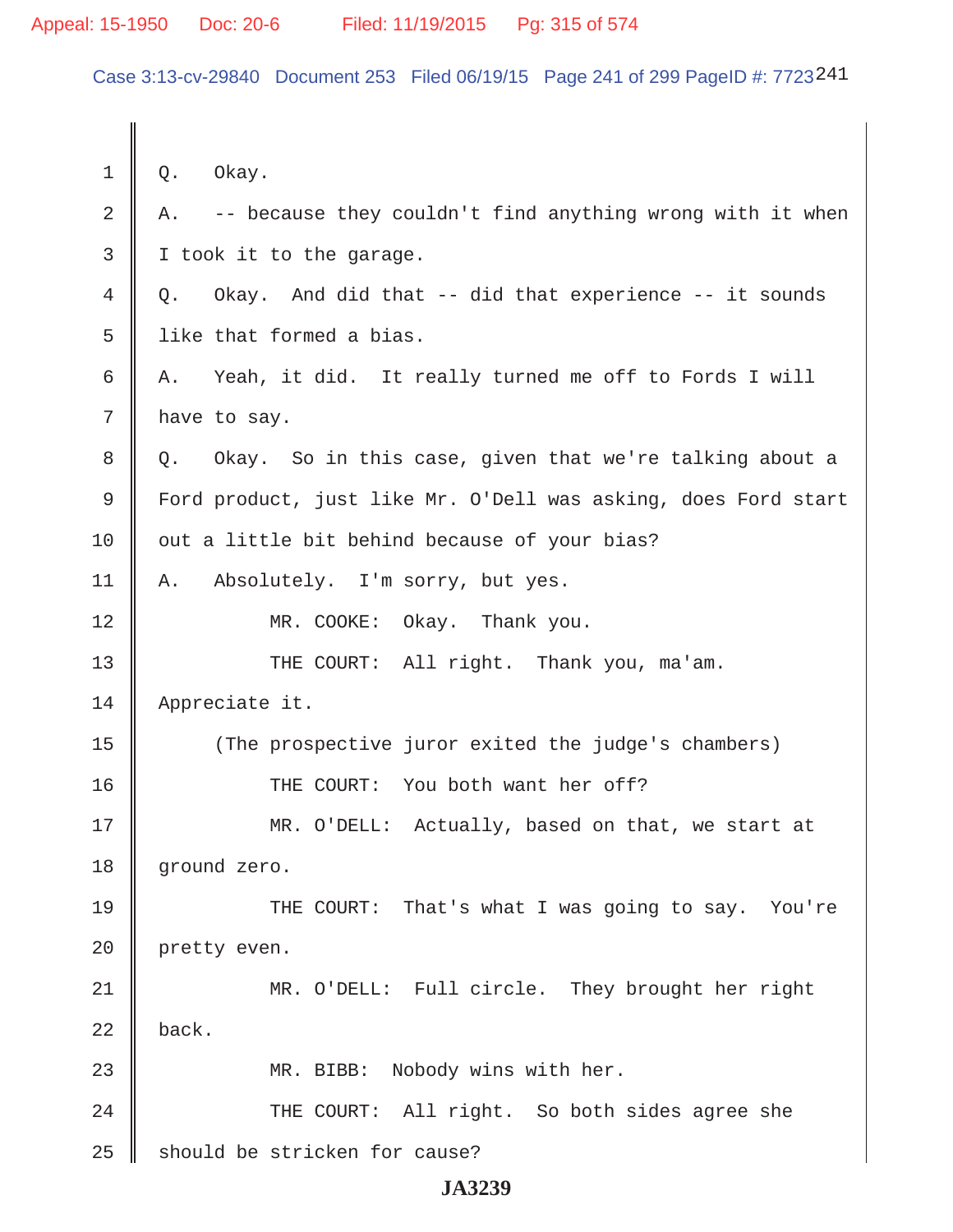Case 3:13-cv-29840 Document 253 Filed 06/19/15 Page 241 of 299 PageID #: 7723241

| $\mathbf 1$    | Okay.<br>Q.                                                     |
|----------------|-----------------------------------------------------------------|
| $\overline{2}$ | -- because they couldn't find anything wrong with it when<br>Α. |
| 3              | I took it to the garage.                                        |
| 4              | Okay. And did that -- did that experience -- it sounds<br>Q.    |
| 5              | like that formed a bias.                                        |
| 6              | A. Yeah, it did. It really turned me off to Fords I will        |
| 7              | have to say.                                                    |
| 8              | Okay. So in this case, given that we're talking about a<br>Q.   |
| 9              | Ford product, just like Mr. O'Dell was asking, does Ford start  |
| 10             | out a little bit behind because of your bias?                   |
| 11             | Absolutely. I'm sorry, but yes.<br>Α.                           |
| 12             | MR. COOKE:<br>Okay. Thank you.                                  |
| 13             | THE COURT: All right. Thank you, ma'am.                         |
| 14             | Appreciate it.                                                  |
| 15             | (The prospective juror exited the judge's chambers)             |
| 16             | THE COURT: You both want her off?                               |
| 17             | MR. O'DELL: Actually, based on that, we start at                |
| 18             | ground zero.                                                    |
| 19             | THE COURT: That's what I was going to say. You're               |
| 20             | pretty even.                                                    |
| 21             | MR. O'DELL: Full circle. They brought her right                 |
| 22             | back.                                                           |
| 23             | MR. BIBB: Nobody wins with her.                                 |
| 24             | THE COURT: All right. So both sides agree she                   |
| 25             | should be stricken for cause?                                   |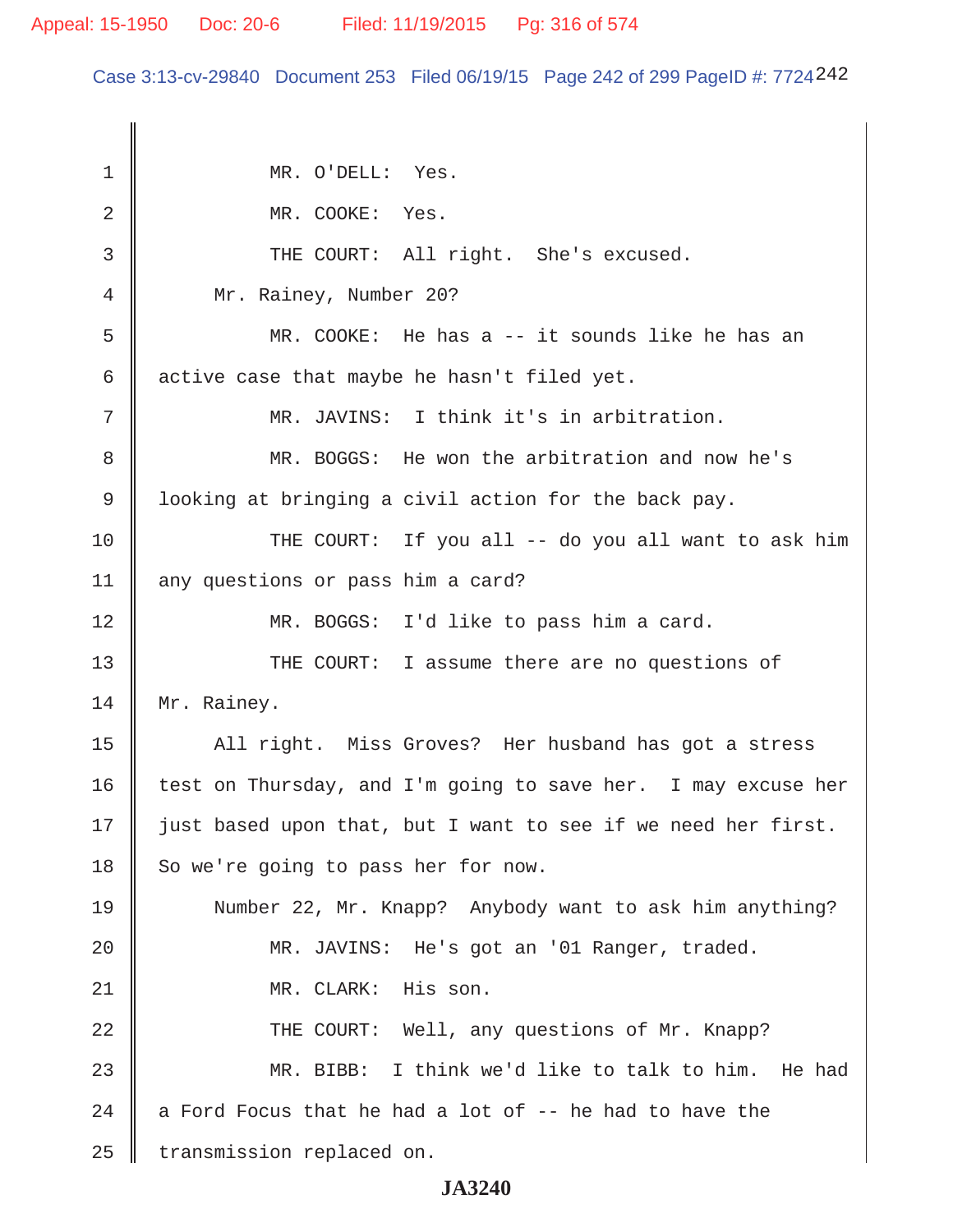Case 3:13-cv-29840 Document 253 Filed 06/19/15 Page 242 of 299 PageID #: 7724242

1 || MR. O'DELL: Yes. 2 || MR. COOKE: Yes. 3 || THE COURT: All right. She's excused. 4 || Mr. Rainey, Number 20? 5 MR. COOKE: He has a -- it sounds like he has an 6  $\parallel$  active case that maybe he hasn't filed yet. 7 MR. JAVINS: I think it's in arbitration. 8 || MR. BOGGS: He won the arbitration and now he's  $9 \parallel$  looking at bringing a civil action for the back pay. 10 THE COURT: If you all -- do you all want to ask him 11 any questions or pass him a card? 12 MR. BOGGS: I'd like to pass him a card. 13 THE COURT: I assume there are no questions of 14 | Mr. Rainey. 15 || All right. Miss Groves? Her husband has got a stress 16  $\parallel$  test on Thursday, and I'm going to save her. I may excuse her 17 || just based upon that, but I want to see if we need her first. 18 So we're going to pass her for now. 19 Number 22, Mr. Knapp? Anybody want to ask him anything? 20 MR. JAVINS: He's got an '01 Ranger, traded. 21 || MR. CLARK: His son. 22 THE COURT: Well, any questions of Mr. Knapp? 23 MR. BIBB: I think we'd like to talk to him. He had 24  $\parallel$  a Ford Focus that he had a lot of -- he had to have the 25 | transmission replaced on.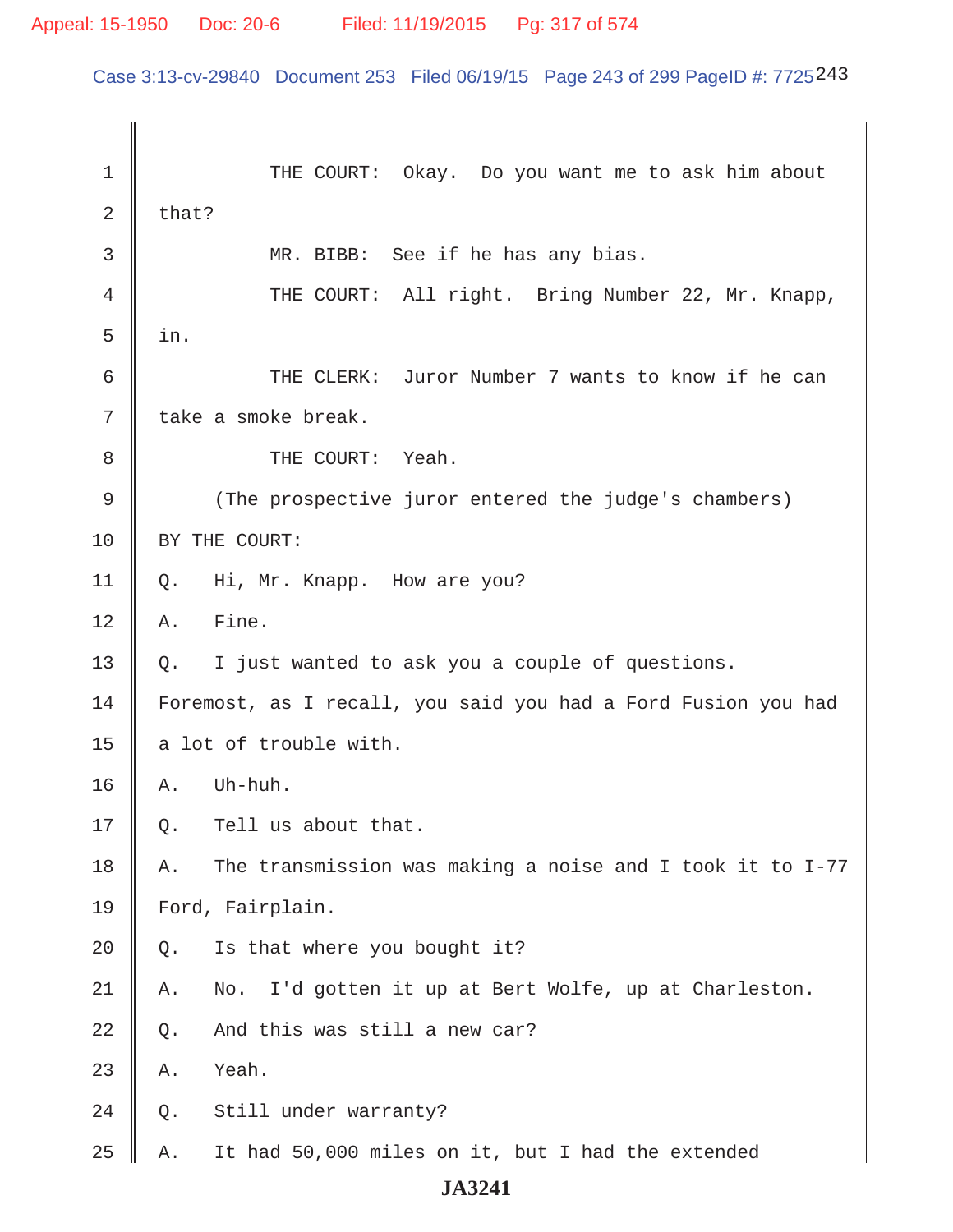Case 3:13-cv-29840 Document 253 Filed 06/19/15 Page 243 of 299 PageID #: 7725243

 1 THE COURT: Okay. Do you want me to ask him about 2  $\|$  that? 3 MR. BIBB: See if he has any bias. 4 || THE COURT: All right. Bring Number 22, Mr. Knapp,  $5 \parallel in.$  6 THE CLERK: Juror Number 7 wants to know if he can  $7 \parallel$  take a smoke break. 8 || THE COURT: Yeah. 9 (The prospective juror entered the judge's chambers) 10 | BY THE COURT: 11 Q. Hi, Mr. Knapp. How are you?  $12 \parallel A.$  Fine. 13  $\parallel$  Q. I just wanted to ask you a couple of questions. 14 Foremost, as I recall, you said you had a Ford Fusion you had 15  $\parallel$  a lot of trouble with.  $16 \parallel A.$  Uh-huh.  $17 \parallel$  Q. Tell us about that. 18  $\parallel$  A. The transmission was making a noise and I took it to I-77 19 | Ford, Fairplain.  $20 \parallel Q$ . Is that where you bought it? 21 A. No. I'd gotten it up at Bert Wolfe, up at Charleston.  $22 \parallel Q$ . And this was still a new car?  $23$  | A. Yeah. 24 Q. Still under warranty? 25  $\parallel$  A. It had 50,000 miles on it, but I had the extended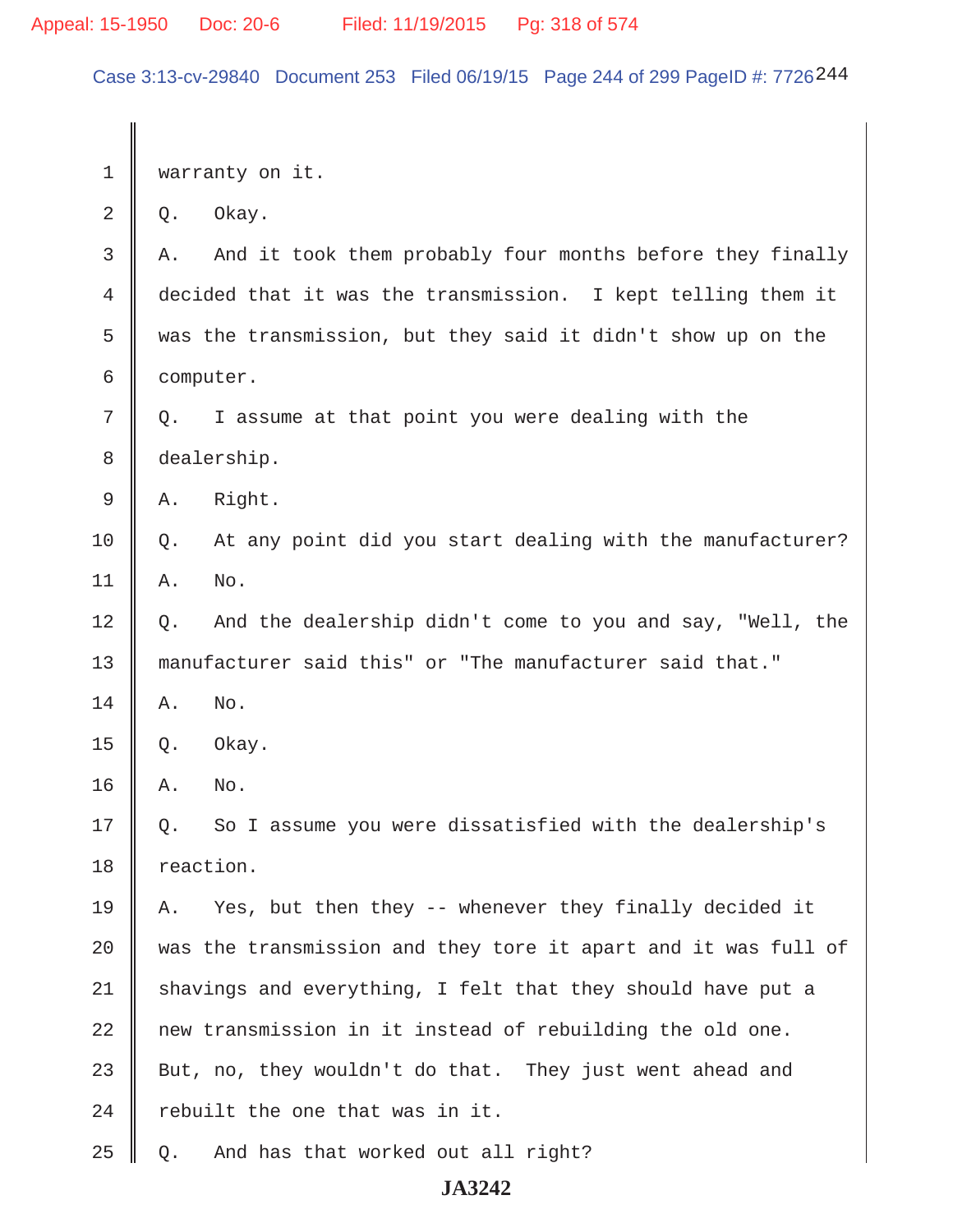Case 3:13-cv-29840 Document 253 Filed 06/19/15 Page 244 of 299 PageID #: 7726244

1 | warranty on it.

 $2 \parallel Q$ . Okay.

 $3 \parallel A$ . And it took them probably four months before they finally 4 decided that it was the transmission. I kept telling them it  $5 \parallel$  was the transmission, but they said it didn't show up on the 6 computer.

 $7 \parallel Q$ . I assume at that point you were dealing with the 8 dealership.

 $9 \parallel A.$  Right.

 $10 \parallel 0$ . At any point did you start dealing with the manufacturer?  $11 \parallel A.$  No.

12 | Q. And the dealership didn't come to you and say, "Well, the 13 manufacturer said this" or "The manufacturer said that."

 $14$   $\parallel$  A. No.

 $15 \parallel Q.$  Okay.

 $16$  A. No.

17 || Q. So I assume you were dissatisfied with the dealership's 18 reaction.

 $\parallel$  A. Yes, but then they -- whenever they finally decided it  $\parallel$  was the transmission and they tore it apart and it was full of 21 shavings and everything, I felt that they should have put a || new transmission in it instead of rebuilding the old one. 23 But, no, they wouldn't do that. They just went ahead and  $\parallel$  rebuilt the one that was in it.

 $25 \parallel Q$ . And has that worked out all right?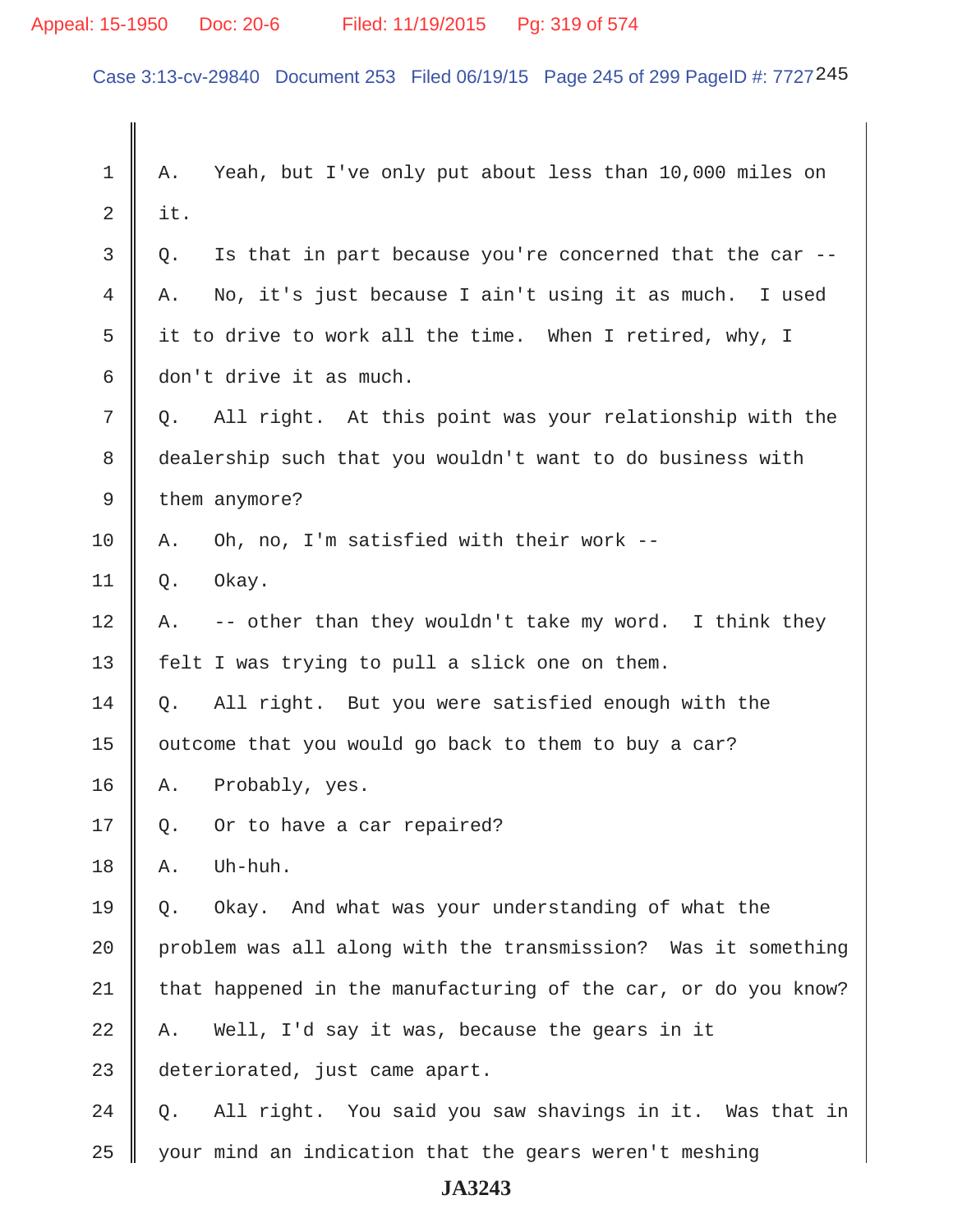# Appeal: 15-1950 Doc: 20-6 Filed: 11/19/2015 Pg: 319 of 574

Case 3:13-cv-29840 Document 253 Filed 06/19/15 Page 245 of 299 PageID #: 7727245

| 1  | Yeah, but I've only put about less than 10,000 miles on<br>Α.    |
|----|------------------------------------------------------------------|
| 2  | it.                                                              |
| 3  | Is that in part because you're concerned that the car --<br>Q.   |
| 4  | No, it's just because I ain't using it as much. I used<br>Α.     |
| 5  | it to drive to work all the time. When I retired, why, I         |
| 6  | don't drive it as much.                                          |
| 7  | All right. At this point was your relationship with the<br>$Q$ . |
| 8  | dealership such that you wouldn't want to do business with       |
| 9  | them anymore?                                                    |
| 10 | Oh, no, I'm satisfied with their work --<br>Α.                   |
| 11 | Okay.<br>Q.                                                      |
| 12 | -- other than they wouldn't take my word. I think they<br>Α.     |
| 13 | felt I was trying to pull a slick one on them.                   |
| 14 | All right. But you were satisfied enough with the<br>Q.          |
| 15 | outcome that you would go back to them to buy a car?             |
| 16 | Probably, yes.<br>Α.                                             |
| 17 | Or to have a car repaired?<br>Q.                                 |
| 18 | Uh-huh.<br>Α.                                                    |
| 19 | Okay. And what was your understanding of what the<br>Q.          |
| 20 | problem was all along with the transmission? Was it something    |
| 21 | that happened in the manufacturing of the car, or do you know?   |
| 22 | Well, I'd say it was, because the gears in it<br>Α.              |
| 23 | deteriorated, just came apart.                                   |
| 24 | All right. You said you saw shavings in it. Was that in<br>Q.    |
| 25 | your mind an indication that the gears weren't meshing           |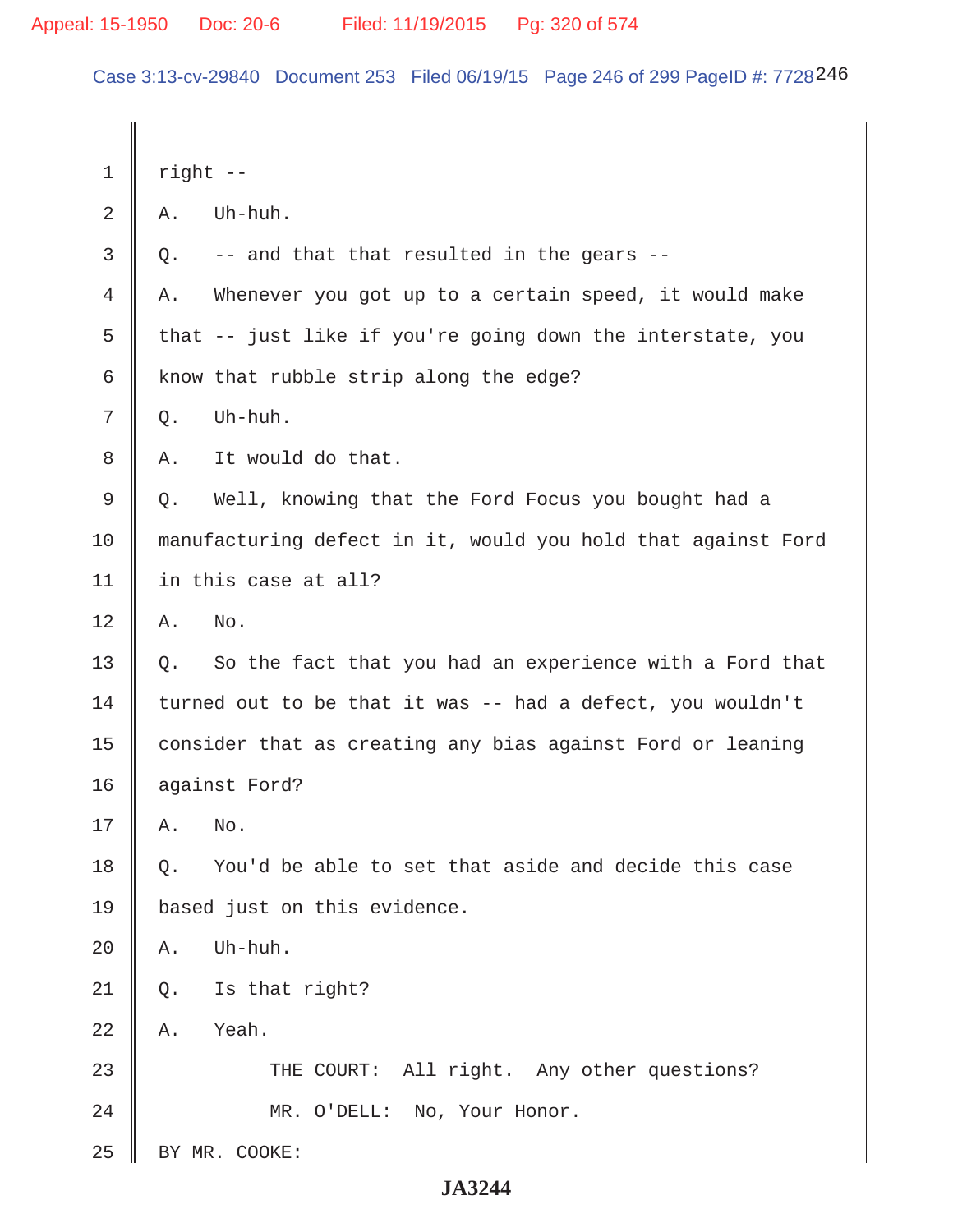Case 3:13-cv-29840 Document 253 Filed 06/19/15 Page 246 of 299 PageID #: 7728246

| 1              | right --        |                                                              |
|----------------|-----------------|--------------------------------------------------------------|
| $\overline{2}$ | Α.              | Uh-huh.                                                      |
| $\mathfrak{Z}$ | Q.              | -- and that that resulted in the gears --                    |
| 4              | Α.              | Whenever you got up to a certain speed, it would make        |
| 5              |                 | that -- just like if you're going down the interstate, you   |
| 6              |                 | know that rubble strip along the edge?                       |
| 7              | Q.              | Uh-huh.                                                      |
| 8              | Α.              | It would do that.                                            |
| $\mathsf 9$    | Q.              | Well, knowing that the Ford Focus you bought had a           |
| 10             |                 | manufacturing defect in it, would you hold that against Ford |
| 11             |                 | in this case at all?                                         |
| 12             | Α.              | No.                                                          |
| 13             | Q.              | So the fact that you had an experience with a Ford that      |
| 14             |                 | turned out to be that it was -- had a defect, you wouldn't   |
| 15             |                 | consider that as creating any bias against Ford or leaning   |
| 16             |                 | against Ford?                                                |
| 17             | Α.              | No.                                                          |
| 18             | О.              | You'd be able to set that aside and decide this case         |
| 19             |                 | based just on this evidence.                                 |
| 20             | Α.              | Uh-huh.                                                      |
| 21             | Q.              | Is that right?                                               |
| 22             | $\mathbbm{A}$ . | Yeah.                                                        |
| 23             |                 | THE COURT: All right. Any other questions?                   |
| 24             |                 | MR. O'DELL: No, Your Honor.                                  |
| 25             |                 | BY MR. COOKE:                                                |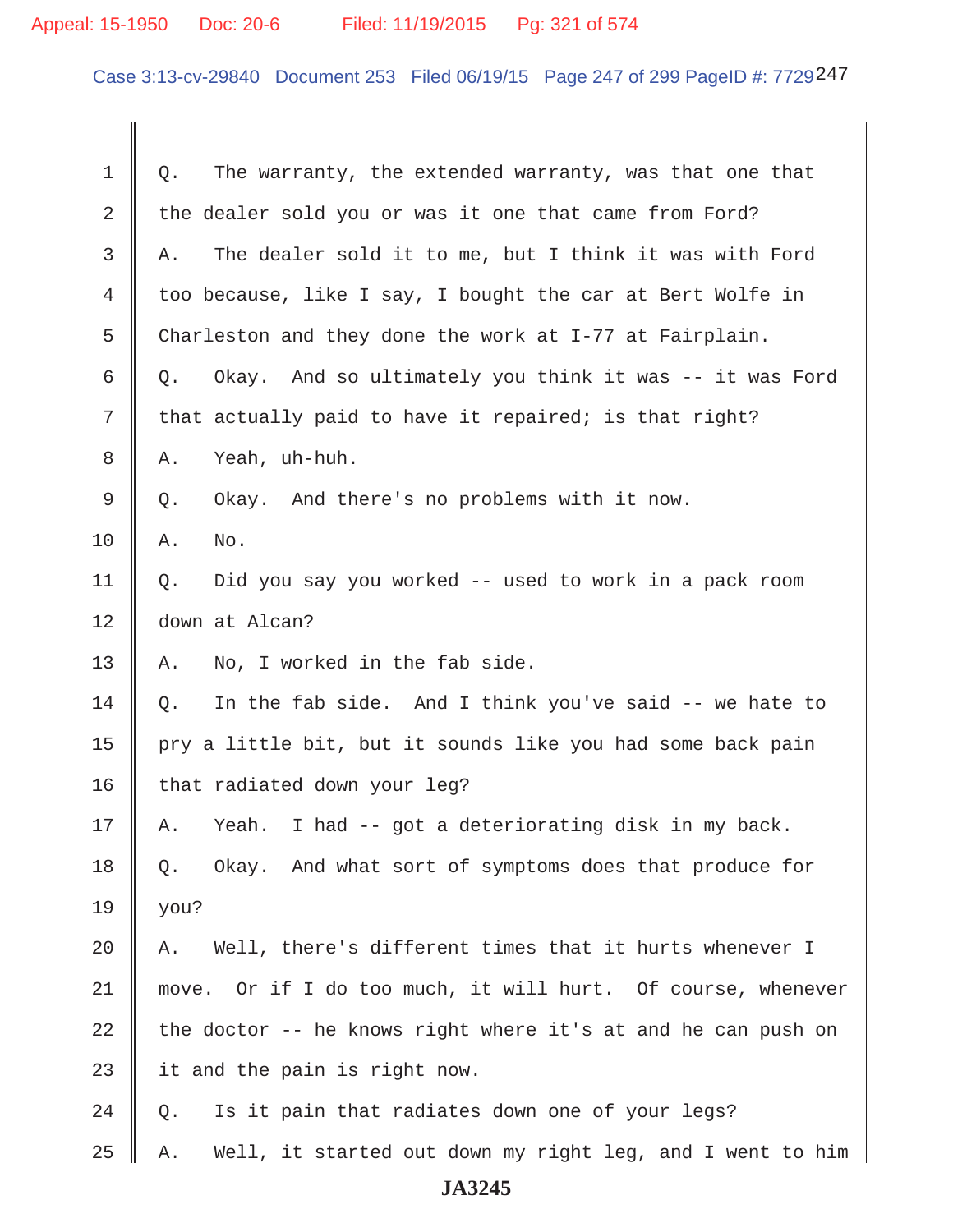# Appeal: 15-1950 Doc: 20-6 Filed: 11/19/2015 Pg: 321 of 574

Case 3:13-cv-29840 Document 253 Filed 06/19/15 Page 247 of 299 PageID #: 7729247

| 1           | The warranty, the extended warranty, was that one that<br>Q.    |
|-------------|-----------------------------------------------------------------|
| $\mathbf 2$ | the dealer sold you or was it one that came from Ford?          |
| 3           | The dealer sold it to me, but I think it was with Ford<br>Α.    |
| 4           | too because, like I say, I bought the car at Bert Wolfe in      |
| 5           | Charleston and they done the work at I-77 at Fairplain.         |
| 6           | Okay. And so ultimately you think it was -- it was Ford<br>Q.   |
| 7           | that actually paid to have it repaired; is that right?          |
| 8           | Yeah, uh-huh.<br>Α.                                             |
| 9           | Okay. And there's no problems with it now.<br>Q.                |
| 10          | No.<br>Α.                                                       |
| 11          | Did you say you worked -- used to work in a pack room<br>Q.     |
| 12          | down at Alcan?                                                  |
| 13          | No, I worked in the fab side.<br>Α.                             |
| 14          | In the fab side. And I think you've said -- we hate to<br>Q.    |
| 15          | pry a little bit, but it sounds like you had some back pain     |
| 16          | that radiated down your leg?                                    |
| 17          | I had -- got a deteriorating disk in my back.<br>Yeah.<br>Α.    |
| 18          | Okay. And what sort of symptoms does that produce for<br>Q.     |
| 19          | you?                                                            |
| 20          | Well, there's different times that it hurts whenever I<br>Α.    |
| 21          | move. Or if I do too much, it will hurt. Of course, whenever    |
| 22          | the doctor -- he knows right where it's at and he can push on   |
| 23          | it and the pain is right now.                                   |
| 24          | Is it pain that radiates down one of your legs?<br>Q.           |
| 25          | Well, it started out down my right leg, and I went to him<br>Α. |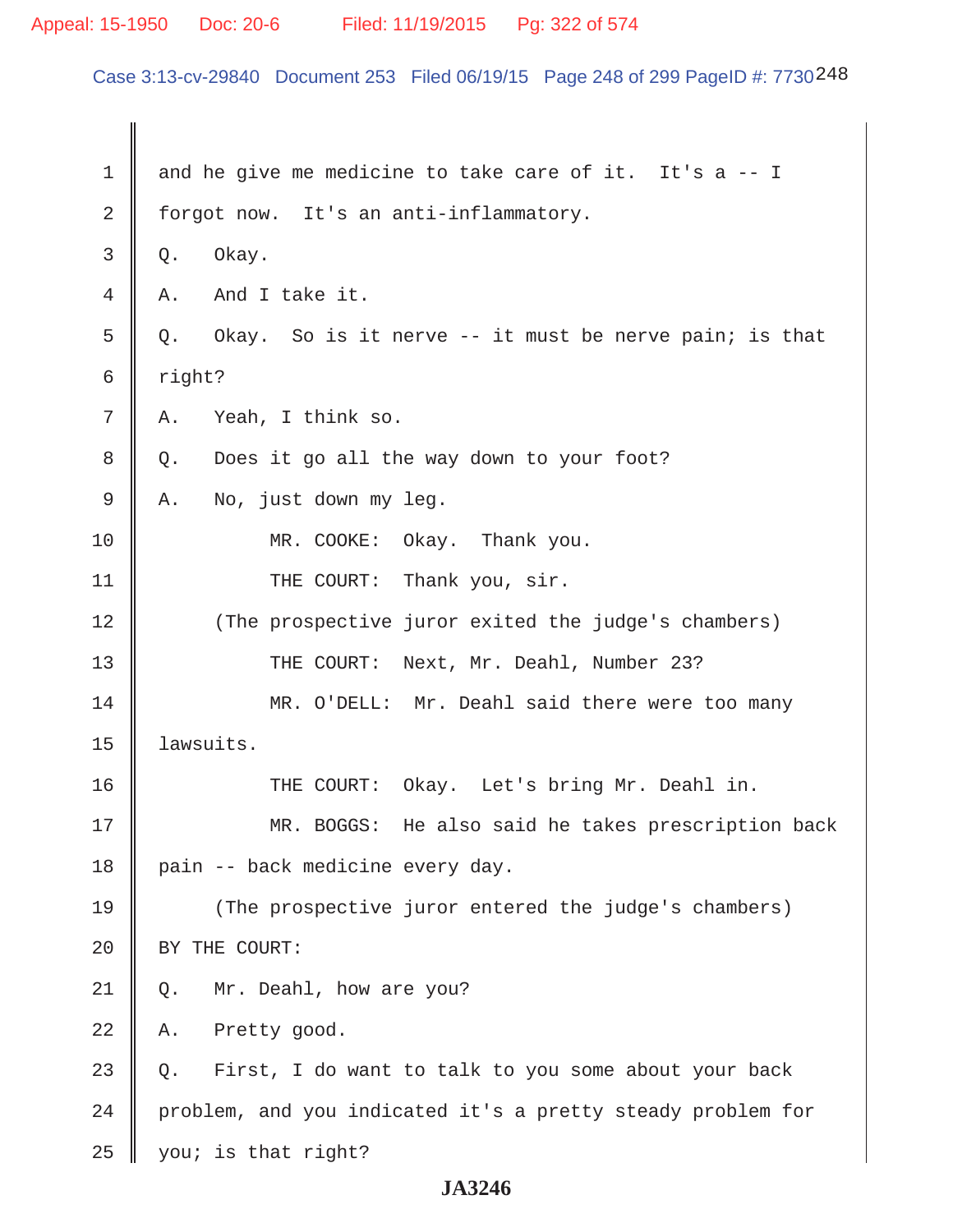# Appeal: 15-1950 Doc: 20-6 Filed: 11/19/2015 Pg: 322 of 574

Case 3:13-cv-29840 Document 253 Filed 06/19/15 Page 248 of 299 PageID #: 7730248

| $\mathbf 1$ | and he give me medicine to take care of it. It's a -- I     |
|-------------|-------------------------------------------------------------|
| 2           | forgot now. It's an anti-inflammatory.                      |
| 3           | Okay.<br>Q.                                                 |
| 4           | And I take it.<br>Α.                                        |
| 5           | Q. Okay. So is it nerve -- it must be nerve pain; is that   |
| 6           | right?                                                      |
| 7           | Yeah, I think so.<br>Α.                                     |
| 8           | Does it go all the way down to your foot?<br>Q.             |
| 9           | No, just down my leg.<br>Α.                                 |
| 10          | MR. COOKE: Okay. Thank you.                                 |
| 11          | THE COURT: Thank you, sir.                                  |
| 12          | (The prospective juror exited the judge's chambers)         |
| 13          | THE COURT: Next, Mr. Deahl, Number 23?                      |
| 14          | MR. O'DELL: Mr. Deahl said there were too many              |
| 15          | lawsuits.                                                   |
| 16          | THE COURT: Okay. Let's bring Mr. Deahl in.                  |
| 17          | MR. BOGGS: He also said he takes prescription back          |
| 18          | pain -- back medicine every day.                            |
| 19          | (The prospective juror entered the judge's chambers)        |
| 20          | BY THE COURT:                                               |
| 21          | Mr. Deahl, how are you?<br>Q.                               |
| 22          | Pretty good.<br>Α.                                          |
| 23          | First, I do want to talk to you some about your back<br>Q.  |
| 24          | problem, and you indicated it's a pretty steady problem for |
| 25          | you; is that right?                                         |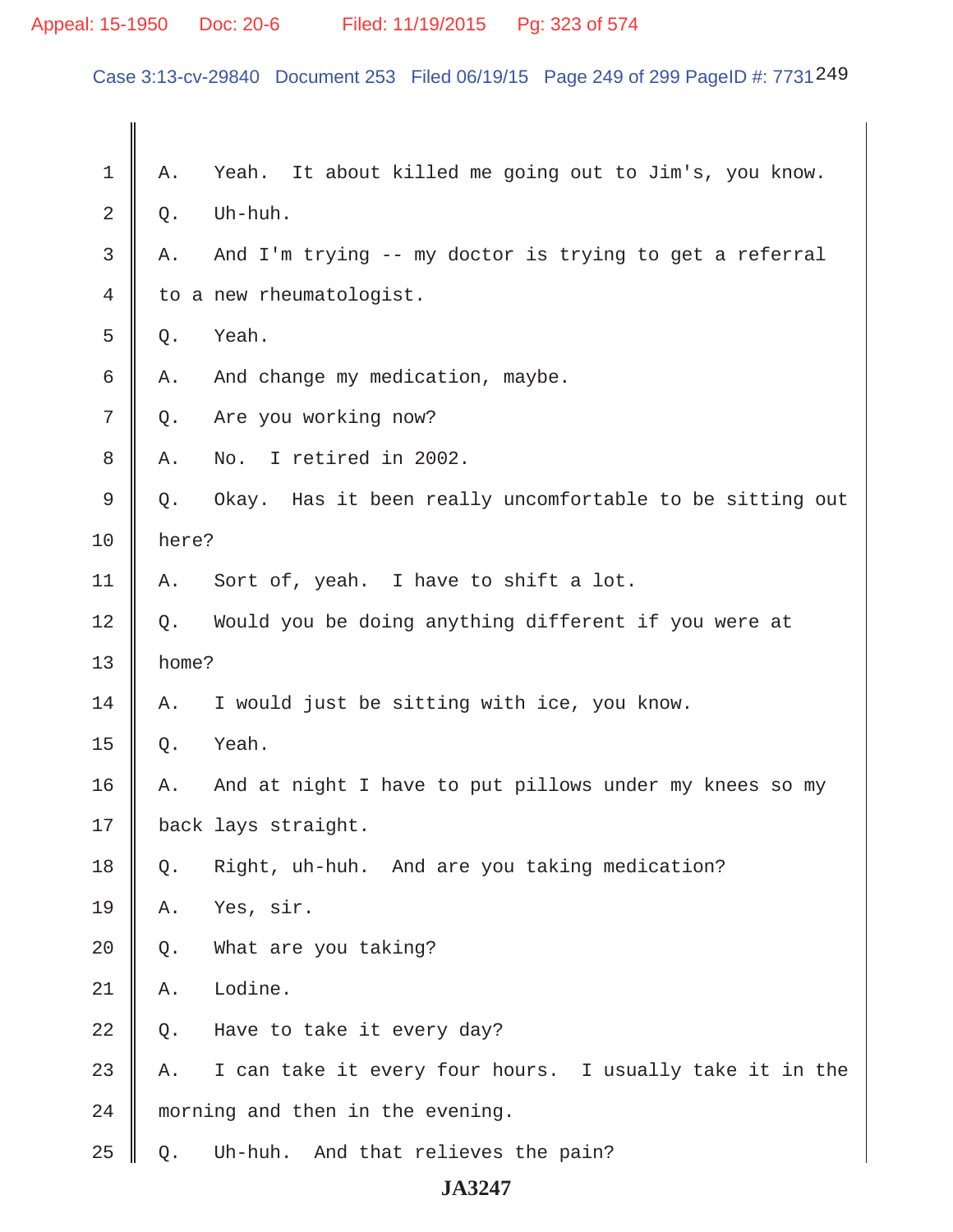# Appeal: 15-1950 Doc: 20-6 Filed: 11/19/2015 Pg: 323 of 574

Case 3:13-cv-29840 Document 253 Filed 06/19/15 Page 249 of 299 PageID #: 7731249

| 1  | Α.    | It about killed me going out to Jim's, you know.<br>Yeah. |
|----|-------|-----------------------------------------------------------|
| 2  | Q.    | Uh-huh.                                                   |
| 3  | Α.    | And I'm trying -- my doctor is trying to get a referral   |
| 4  |       | to a new rheumatologist.                                  |
| 5  | Q.    | Yeah.                                                     |
| 6  | Α.    | And change my medication, maybe.                          |
| 7  | $Q$ . | Are you working now?                                      |
| 8  | Α.    | No. I retired in 2002.                                    |
| 9  | Q.    | Okay. Has it been really uncomfortable to be sitting out  |
| 10 | here? |                                                           |
| 11 | Α.    | Sort of, yeah. I have to shift a lot.                     |
| 12 | Q.    | Would you be doing anything different if you were at      |
|    |       |                                                           |
| 13 | home? |                                                           |
| 14 | Α.    | I would just be sitting with ice, you know.               |
| 15 | Q.    | Yeah.                                                     |
| 16 | Α.    | And at night I have to put pillows under my knees so my   |
| 17 |       | back lays straight.                                       |
| 18 | Q.    | Right, uh-huh. And are you taking medication?             |
| 19 | Α.    | Yes, sir.                                                 |
| 20 | Q.    | What are you taking?                                      |
| 21 | Α.    | Lodine.                                                   |
| 22 | Q.    | Have to take it every day?                                |
| 23 | Α.    | I can take it every four hours. I usually take it in the  |
| 24 |       | morning and then in the evening.                          |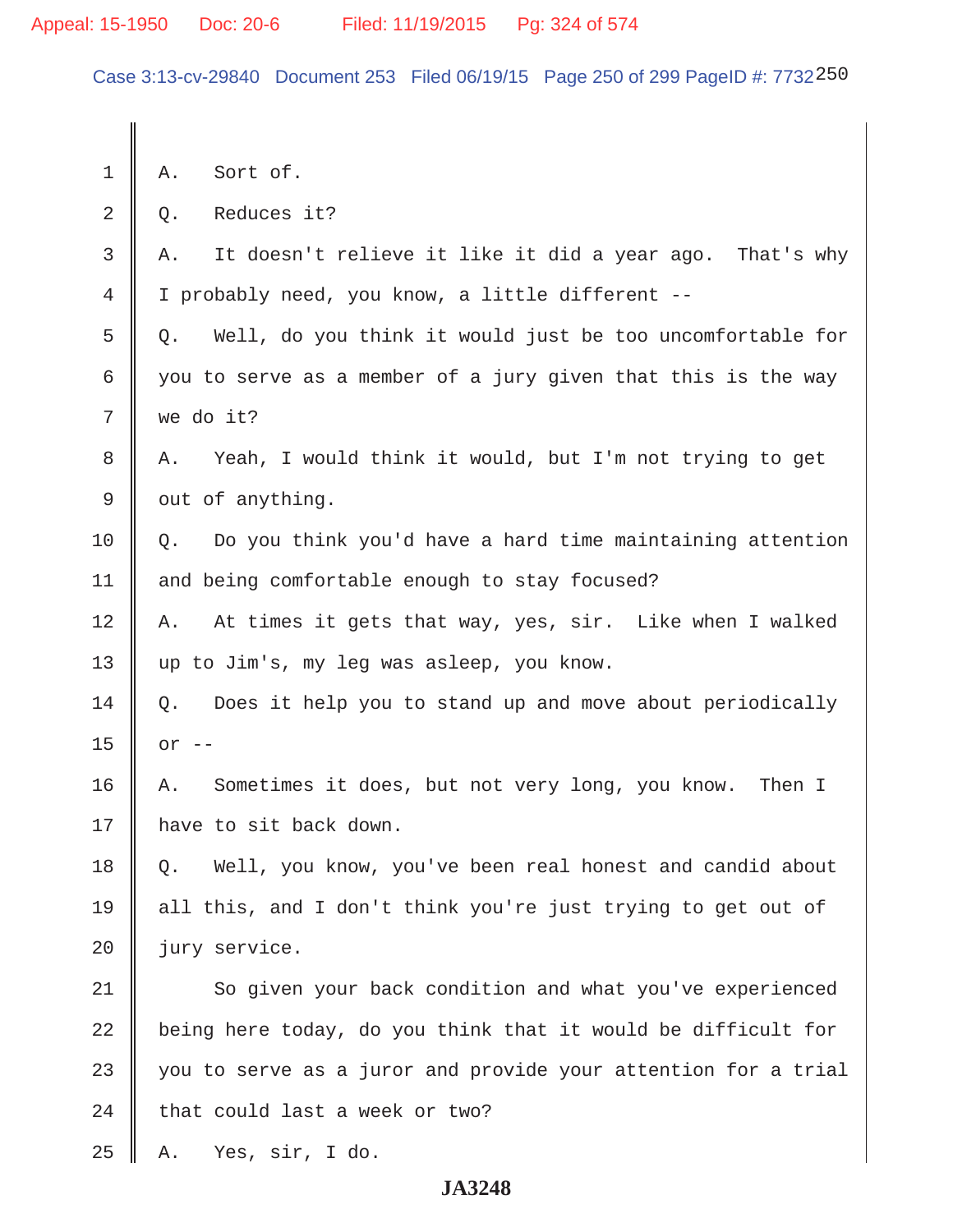Case 3:13-cv-29840 Document 253 Filed 06/19/15 Page 250 of 299 PageID #: 7732250

 $1 \parallel A$ . Sort of.  $2 \parallel 0$ . Reduces it?  $3 \parallel A$ . It doesn't relieve it like it did a year ago. That's why 4 I probably need, you know, a little different --  $5 \parallel$  0. Well, do you think it would just be too uncomfortable for 6 | you to serve as a member of a jury given that this is the way  $7 \parallel$  we do it? 8 A. Yeah, I would think it would, but I'm not trying to get  $9 \parallel$  out of anything. 10  $\parallel$  0. Do you think you'd have a hard time maintaining attention 11 | and being comfortable enough to stay focused? 12 A. At times it gets that way, yes, sir. Like when I walked 13 || up to Jim's, my leg was asleep, you know.  $14 \parallel Q$ . Does it help you to stand up and move about periodically  $15 \parallel$  or  $-$ 16 A. Sometimes it does, but not very long, you know. Then I 17 | have to sit back down. 18 | Q. Well, you know, you've been real honest and candid about 19 all this, and I don't think you're just trying to get out of 20 jury service. 21 So given your back condition and what you've experienced  $22$   $\parallel$  being here today, do you think that it would be difficult for  $23$   $\parallel$  you to serve as a juror and provide your attention for a trial  $24$  | that could last a week or two?  $25 \parallel$  A. Yes, sir, I do.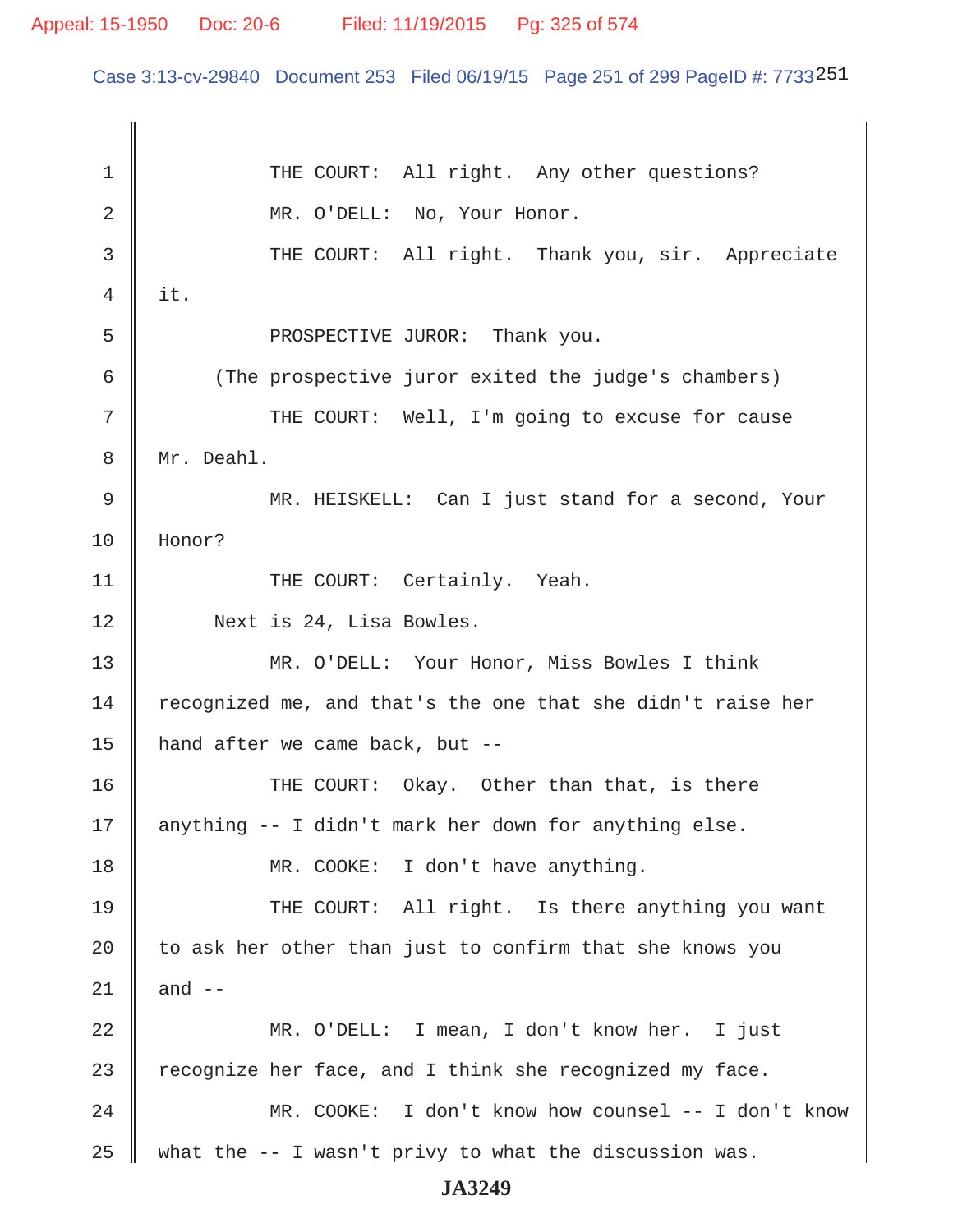Case 3:13-cv-29840 Document 253 Filed 06/19/15 Page 251 of 299 PageID #: 7733251

1 || THE COURT: All right. Any other questions? 2 || MR. O'DELL: No, Your Honor. 3 THE COURT: All right. Thank you, sir. Appreciate  $4 \parallel it.$ 5 || PROSPECTIVE JUROR: Thank you. 6 (The prospective juror exited the judge's chambers) 7 || THE COURT: Well, I'm going to excuse for cause 8 | Mr. Deahl. 9 MR. HEISKELL: Can I just stand for a second, Your 10 Honor? 11 | THE COURT: Certainly. Yeah. 12 Next is 24, Lisa Bowles. 13 MR. O'DELL: Your Honor, Miss Bowles I think 14  $\parallel$  recognized me, and that's the one that she didn't raise her 15 || hand after we came back, but  $--$ 16 THE COURT: Okay. Other than that, is there 17  $\parallel$  anything -- I didn't mark her down for anything else. 18 || MR. COOKE: I don't have anything. 19 THE COURT: All right. Is there anything you want 20  $\parallel$  to ask her other than just to confirm that she knows you 21  $\parallel$  and  $\parallel$  --22 MR. O'DELL: I mean, I don't know her. I just 23  $\parallel$  recognize her face, and I think she recognized my face. 24 MR. COOKE: I don't know how counsel -- I don't know 25 || what the  $-$ - I wasn't privy to what the discussion was.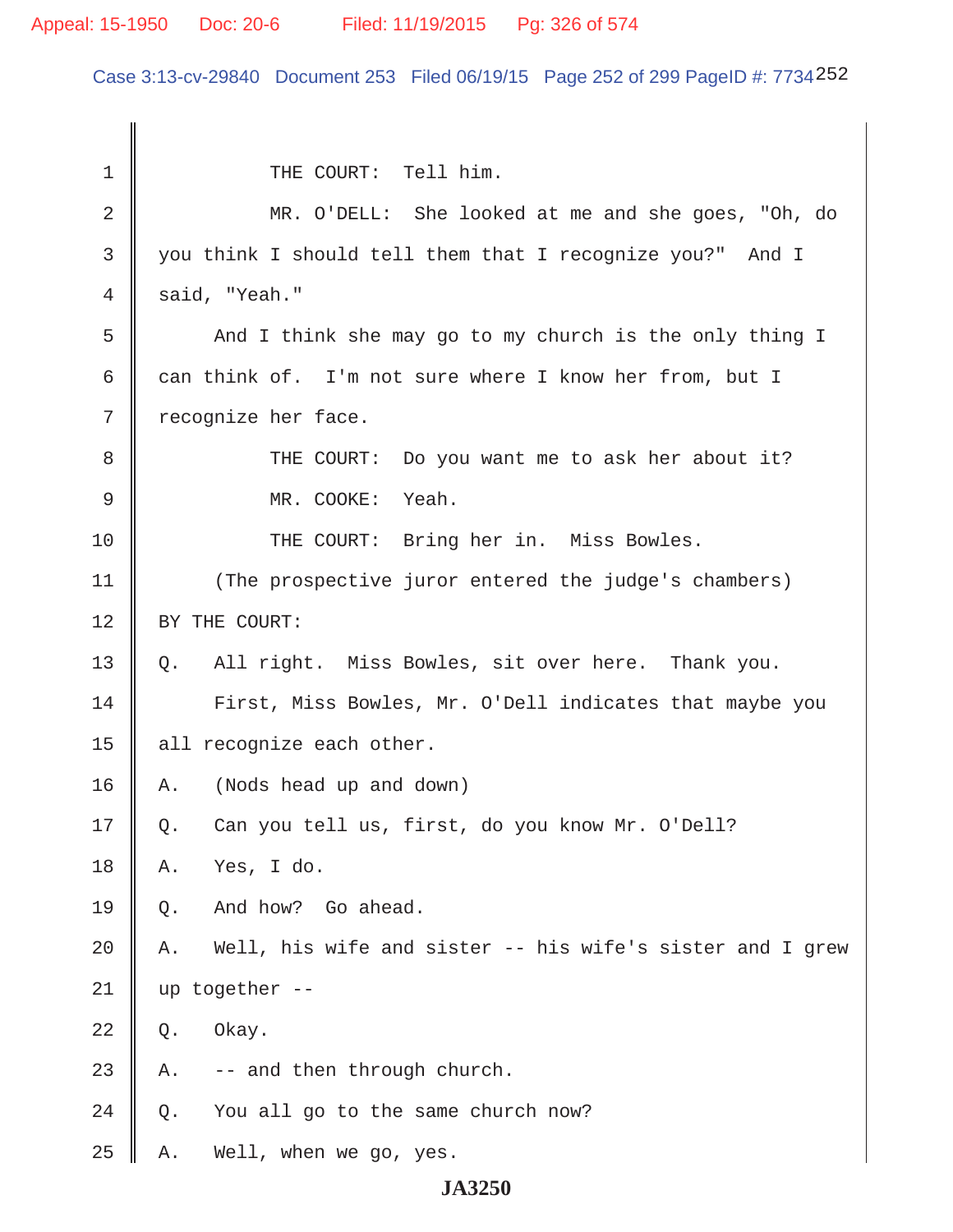# Appeal: 15-1950 Doc: 20-6 Filed: 11/19/2015 Pg: 326 of 574

Case 3:13-cv-29840 Document 253 Filed 06/19/15 Page 252 of 299 PageID #: 7734252

| 1  | THE COURT: Tell him.                                            |
|----|-----------------------------------------------------------------|
| 2  | MR. O'DELL: She looked at me and she goes, "Oh, do              |
| 3  | you think I should tell them that I recognize you?" And I       |
| 4  | said, "Yeah."                                                   |
| 5  | And I think she may go to my church is the only thing I         |
| 6  | can think of. I'm not sure where I know her from, but I         |
| 7  | recognize her face.                                             |
| 8  | THE COURT: Do you want me to ask her about it?                  |
| 9  | MR. COOKE:<br>Yeah.                                             |
| 10 | THE COURT: Bring her in. Miss Bowles.                           |
| 11 | (The prospective juror entered the judge's chambers)            |
| 12 | BY THE COURT:                                                   |
| 13 | All right. Miss Bowles, sit over here. Thank you.<br>Q.         |
| 14 | First, Miss Bowles, Mr. O'Dell indicates that maybe you         |
| 15 | all recognize each other.                                       |
| 16 | (Nods head up and down)<br>Α.                                   |
| 17 | Can you tell us, first, do you know Mr. O'Dell?<br>Q.           |
| 18 | Yes, I do.<br>Α.                                                |
| 19 | And how? Go ahead.<br>Q.                                        |
| 20 | Well, his wife and sister -- his wife's sister and I grew<br>Α. |
| 21 | up together --                                                  |
| 22 | Okay.<br>Q.                                                     |
| 23 | -- and then through church.<br>Α.                               |
| 24 | You all go to the same church now?<br>Q.                        |
| 25 | Well, when we go, yes.<br>Α.                                    |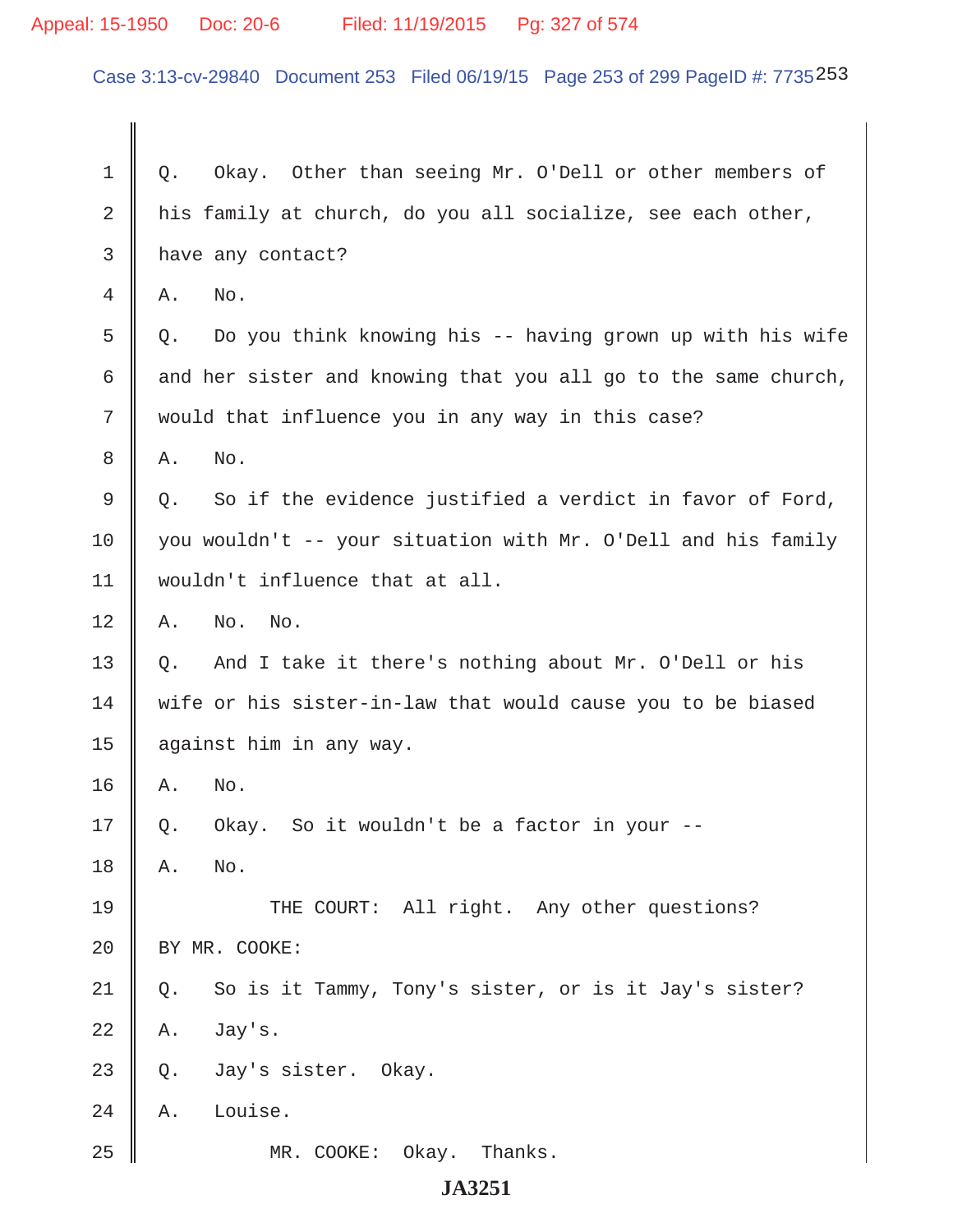# Appeal: 15-1950 Doc: 20-6 Filed: 11/19/2015 Pg: 327 of 574

Case 3:13-cv-29840 Document 253 Filed 06/19/15 Page 253 of 299 PageID #: 7735253

| 1  | Okay. Other than seeing Mr. O'Dell or other members of<br>Q.    |  |
|----|-----------------------------------------------------------------|--|
| 2  | his family at church, do you all socialize, see each other,     |  |
| 3  | have any contact?                                               |  |
| 4  | No.<br>Α.                                                       |  |
| 5  | Do you think knowing his -- having grown up with his wife<br>Q. |  |
| 6  | and her sister and knowing that you all go to the same church,  |  |
| 7  | would that influence you in any way in this case?               |  |
| 8  | No.<br>Α.                                                       |  |
| 9  | So if the evidence justified a verdict in favor of Ford,<br>Q.  |  |
| 10 | you wouldn't -- your situation with Mr. O'Dell and his family   |  |
| 11 | wouldn't influence that at all.                                 |  |
| 12 | No.<br>No.<br>Α.                                                |  |
| 13 | And I take it there's nothing about Mr. O'Dell or his<br>Q.     |  |
| 14 | wife or his sister-in-law that would cause you to be biased     |  |
| 15 | against him in any way.                                         |  |
| 16 | No.<br>Α.                                                       |  |
| 17 | Okay. So it wouldn't be a factor in your --<br>Q.               |  |
| 18 | No.<br>Α.                                                       |  |
| 19 | THE COURT: All right. Any other questions?                      |  |
| 20 | BY MR. COOKE:                                                   |  |
| 21 | So is it Tammy, Tony's sister, or is it Jay's sister?<br>Q.     |  |
| 22 | Jay's.<br>Α.                                                    |  |
| 23 | Jay's sister. Okay.<br>Q.                                       |  |
| 24 | Louise.<br>Α.                                                   |  |
| 25 | Okay.<br>Thanks.<br>MR. COOKE:                                  |  |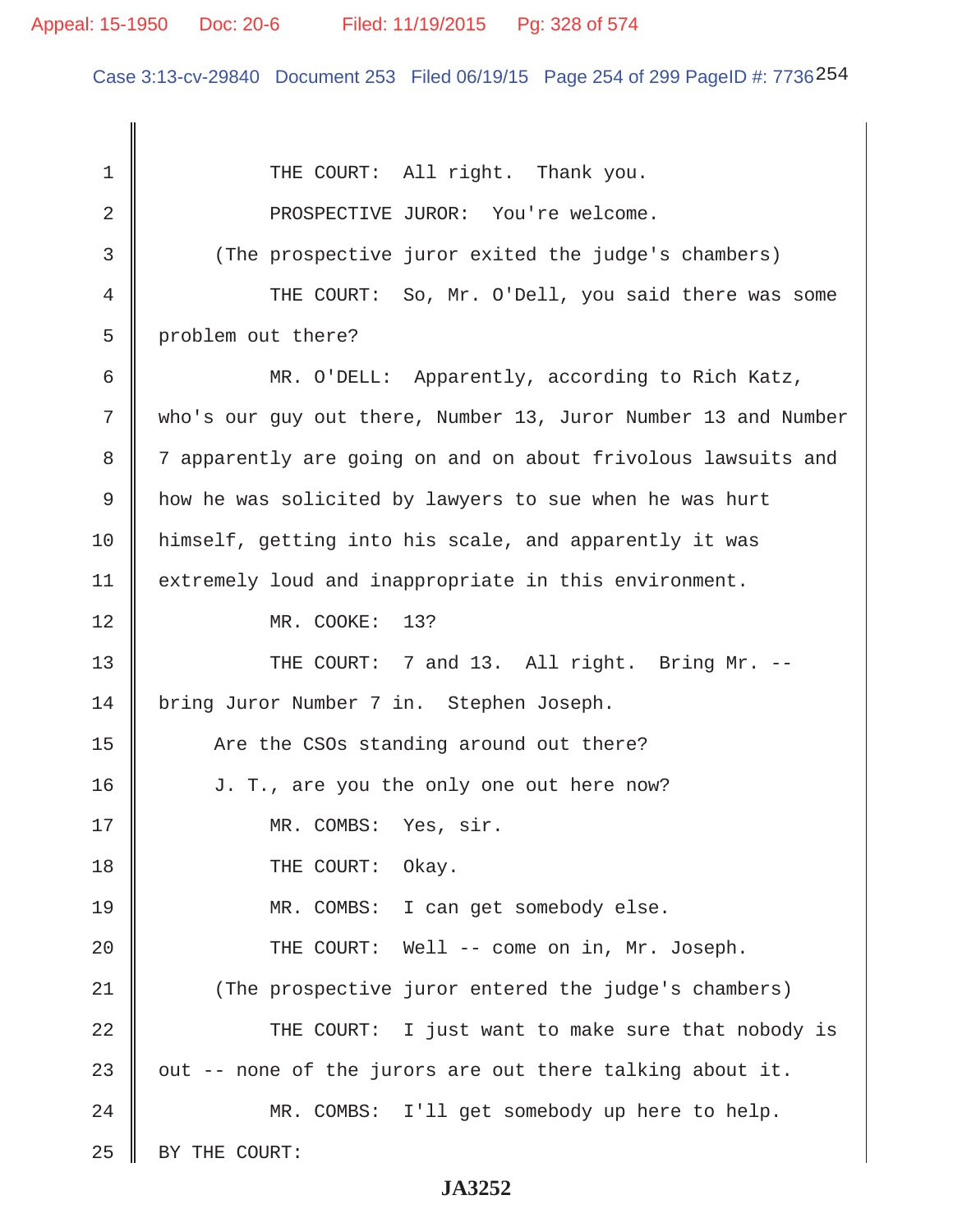Case 3:13-cv-29840 Document 253 Filed 06/19/15 Page 254 of 299 PageID #: 7736254

1 || THE COURT: All right. Thank you. 2 || PROSPECTIVE JUROR: You're welcome. 3 || (The prospective juror exited the judge's chambers) 4 THE COURT: So, Mr. O'Dell, you said there was some 5 problem out there? 6 MR. O'DELL: Apparently, according to Rich Katz, 7 who's our guy out there, Number 13, Juror Number 13 and Number 8 | 7 apparently are going on and on about frivolous lawsuits and 9 how he was solicited by lawyers to sue when he was hurt 10 himself, getting into his scale, and apparently it was 11 | extremely loud and inappropriate in this environment. 12 || MR. COOKE: 13? 13 || THE COURT: 7 and 13. All right. Bring Mr. --14 | bring Juror Number 7 in. Stephen Joseph. 15 | The the CSOs standing around out there? 16 | J. T., are you the only one out here now? 17 || MR. COMBS: Yes, sir. 18 || THE COURT: Okay. 19 MR. COMBS: I can get somebody else. 20 || THE COURT: Well -- come on in, Mr. Joseph. 21 (The prospective juror entered the judge's chambers) 22 THE COURT: I just want to make sure that nobody is 23  $\parallel$  out -- none of the jurors are out there talking about it. 24 MR. COMBS: I'll get somebody up here to help. 25 | BY THE COURT: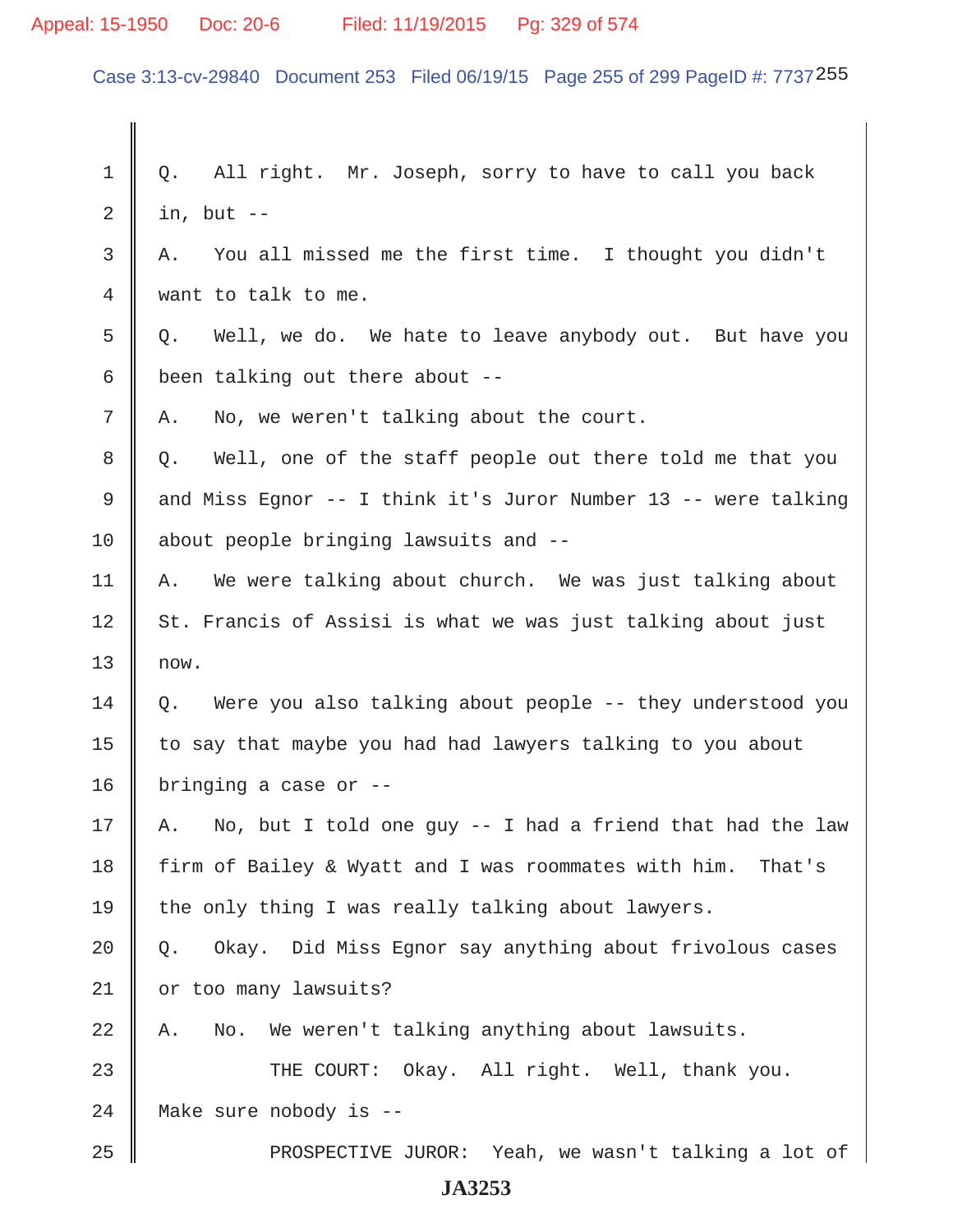#### Appeal: 15-1950 Doc: 20-6 Filed: 11/19/2015 Pg: 329 of 574

Case 3:13-cv-29840 Document 253 Filed 06/19/15 Page 255 of 299 PageID #: 7737255

 $1 \parallel Q$ . All right. Mr. Joseph, sorry to have to call you back  $2 \parallel$  in, but -- $3 \parallel A$ . You all missed me the first time. I thought you didn't 4 want to talk to me.  $5 \parallel$  Q. Well, we do. We hate to leave anybody out. But have you 6 been talking out there about  $7 \parallel A$ . No, we weren't talking about the court. 8 || Q. Well, one of the staff people out there told me that you 9 and Miss Egnor -- I think it's Juror Number 13 -- were talking 10 about people bringing lawsuits and -- $11$  | A. We were talking about church. We was just talking about  $12$  St. Francis of Assisi is what we was just talking about just  $13 \parallel$  now.  $14 \parallel 0.$  Were you also talking about people -- they understood you 15 | to say that maybe you had had lawyers talking to you about 16 | bringing a case or  $-$ -17 || A. No, but I told one guy  $-$  I had a friend that had the law 18 firm of Bailey & Wyatt and I was roommates with him. That's 19 the only thing I was really talking about lawyers.  $20 \parallel Q$ . Okay. Did Miss Egnor say anything about frivolous cases 21 | or too many lawsuits?  $22 \parallel A$ . No. We weren't talking anything about lawsuits. 23 THE COURT: Okay. All right. Well, thank you. 24 || Make sure nobody is --25 PROSPECTIVE JUROR: Yeah, we wasn't talking a lot of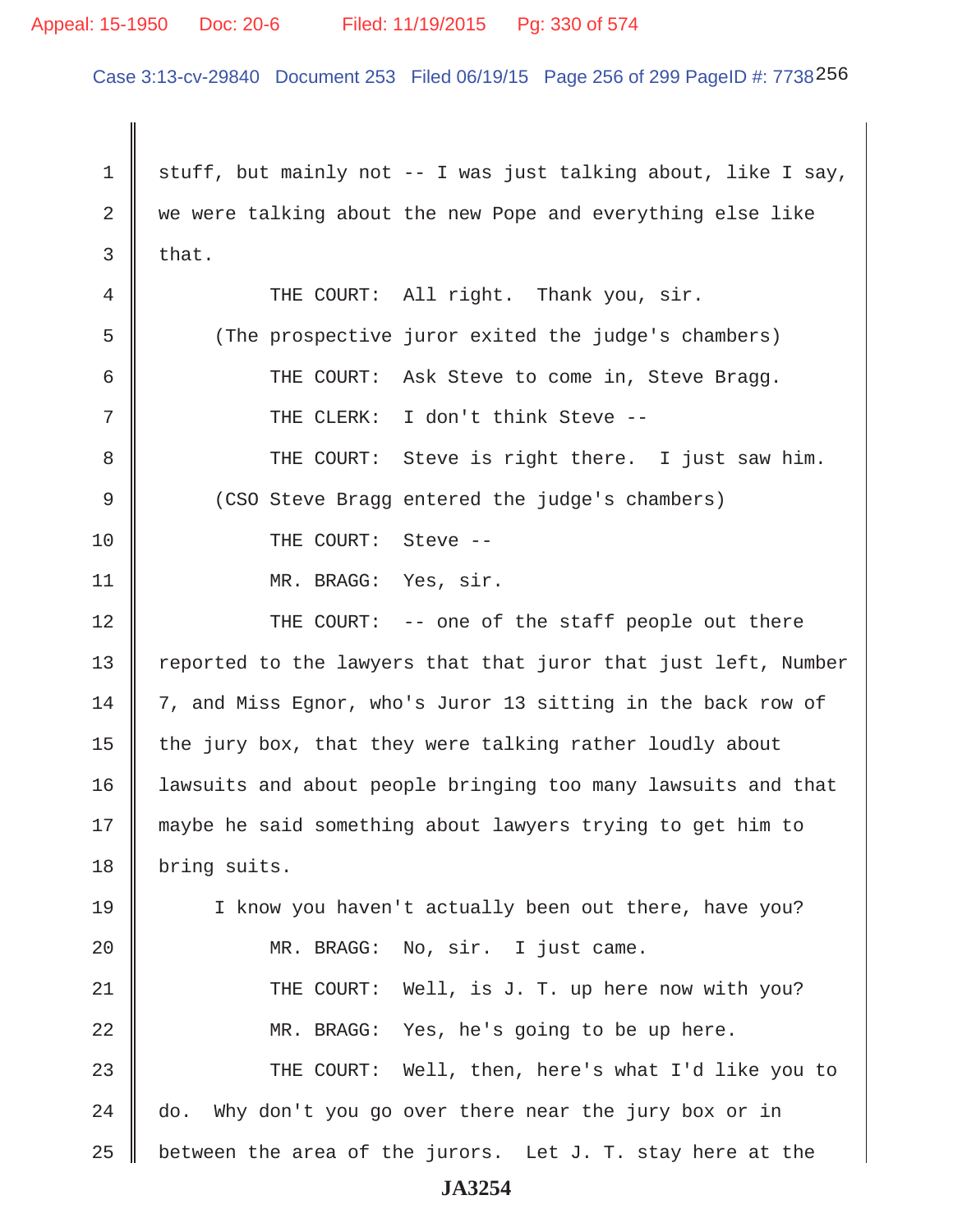#### Appeal: 15-1950 Doc: 20-6 Filed: 11/19/2015 Pg: 330 of 574

Case 3:13-cv-29840 Document 253 Filed 06/19/15 Page 256 of 299 PageID #: 7738256

1 stuff, but mainly not -- I was just talking about, like I say,  $2 \parallel$  we were talking about the new Pope and everything else like  $3$  that. 4 THE COURT: All right. Thank you, sir. 5 (The prospective juror exited the judge's chambers) 6 || THE COURT: Ask Steve to come in, Steve Bragg. 7 || THE CLERK: I don't think Steve -- 8 THE COURT: Steve is right there. I just saw him. 9 (CSO Steve Bragg entered the judge's chambers) 10 || THE COURT: Steve --11 || MR. BRAGG: Yes, sir. 12 THE COURT: -- one of the staff people out there 13 || reported to the lawyers that that juror that just left, Number 14 | 7, and Miss Egnor, who's Juror 13 sitting in the back row of 15  $\parallel$  the jury box, that they were talking rather loudly about 16 lawsuits and about people bringing too many lawsuits and that 17 maybe he said something about lawyers trying to get him to 18 | bring suits. 19 || I know you haven't actually been out there, have you? 20 || MR. BRAGG: No, sir. I just came. 21 THE COURT: Well, is J. T. up here now with you? 22 MR. BRAGG: Yes, he's going to be up here. 23 THE COURT: Well, then, here's what I'd like you to  $24$   $\parallel$  do. Why don't you go over there near the jury box or in 25 | between the area of the jurors. Let J. T. stay here at the **JA3254**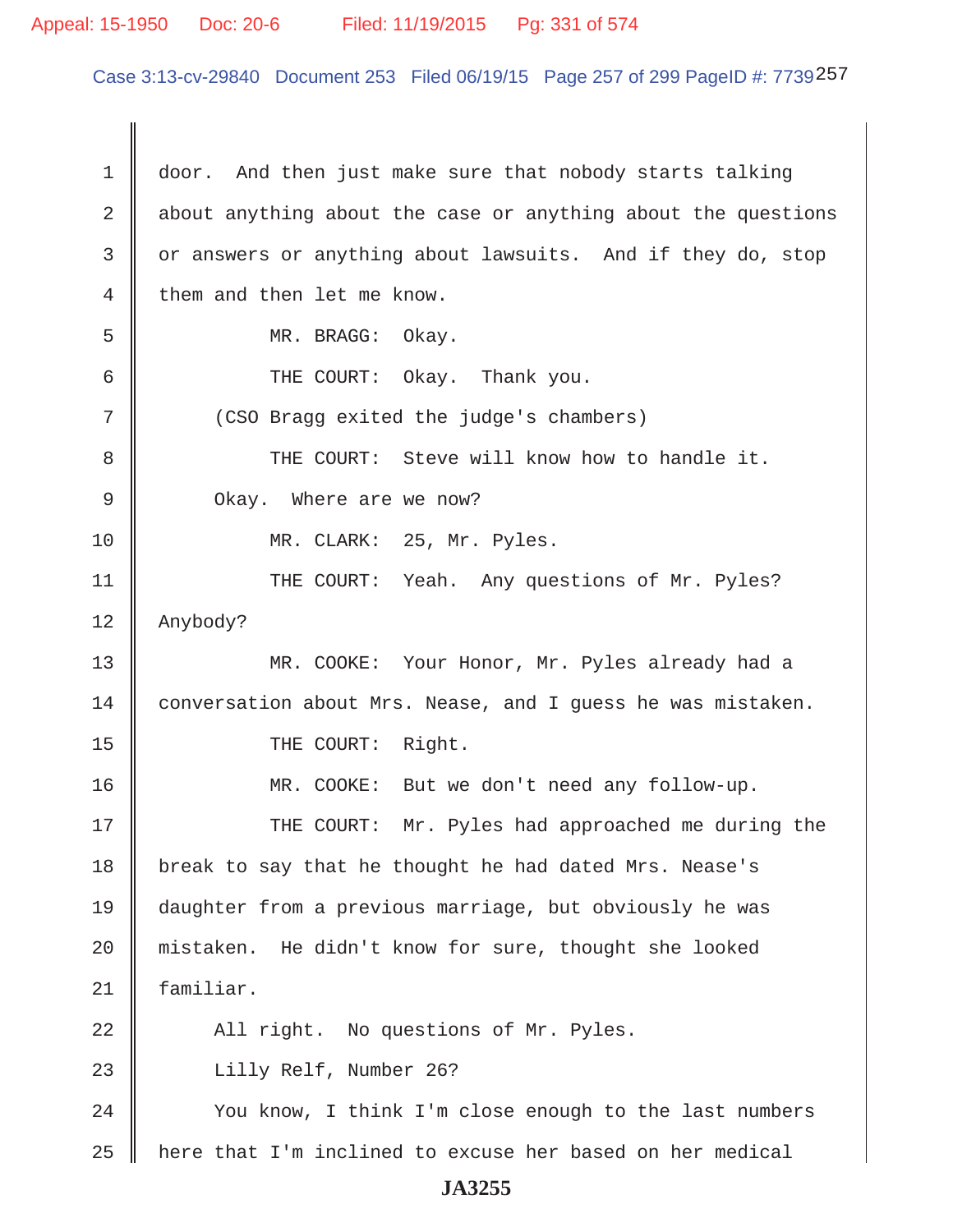#### Appeal: 15-1950 Doc: 20-6 Filed: 11/19/2015 Pg: 331 of 574

Case 3:13-cv-29840 Document 253 Filed 06/19/15 Page 257 of 299 PageID #: 7739257

 1 door. And then just make sure that nobody starts talking 2  $\parallel$  about anything about the case or anything about the questions 3 or answers or anything about lawsuits. And if they do, stop  $4 \parallel$  them and then let me know. 5 MR. BRAGG: Okay. 6 **6** THE COURT: Okay. Thank you. 7 (CSO Bragg exited the judge's chambers) 8 THE COURT: Steve will know how to handle it. 9 || Okay. Where are we now? 10 || MR. CLARK: 25, Mr. Pyles. 11 || THE COURT: Yeah. Any questions of Mr. Pyles? 12 Anybody? 13 MR. COOKE: Your Honor, Mr. Pyles already had a 14 conversation about Mrs. Nease, and I quess he was mistaken. 15 || THE COURT: Right. 16 MR. COOKE: But we don't need any follow-up. 17 THE COURT: Mr. Pyles had approached me during the 18 | break to say that he thought he had dated Mrs. Nease's 19 daughter from a previous marriage, but obviously he was 20 mistaken. He didn't know for sure, thought she looked 21 familiar. 22 || All right. No questions of Mr. Pyles. 23 Lilly Relf, Number 26? 24 | You know, I think I'm close enough to the last numbers  $25$  || here that I'm inclined to excuse her based on her medical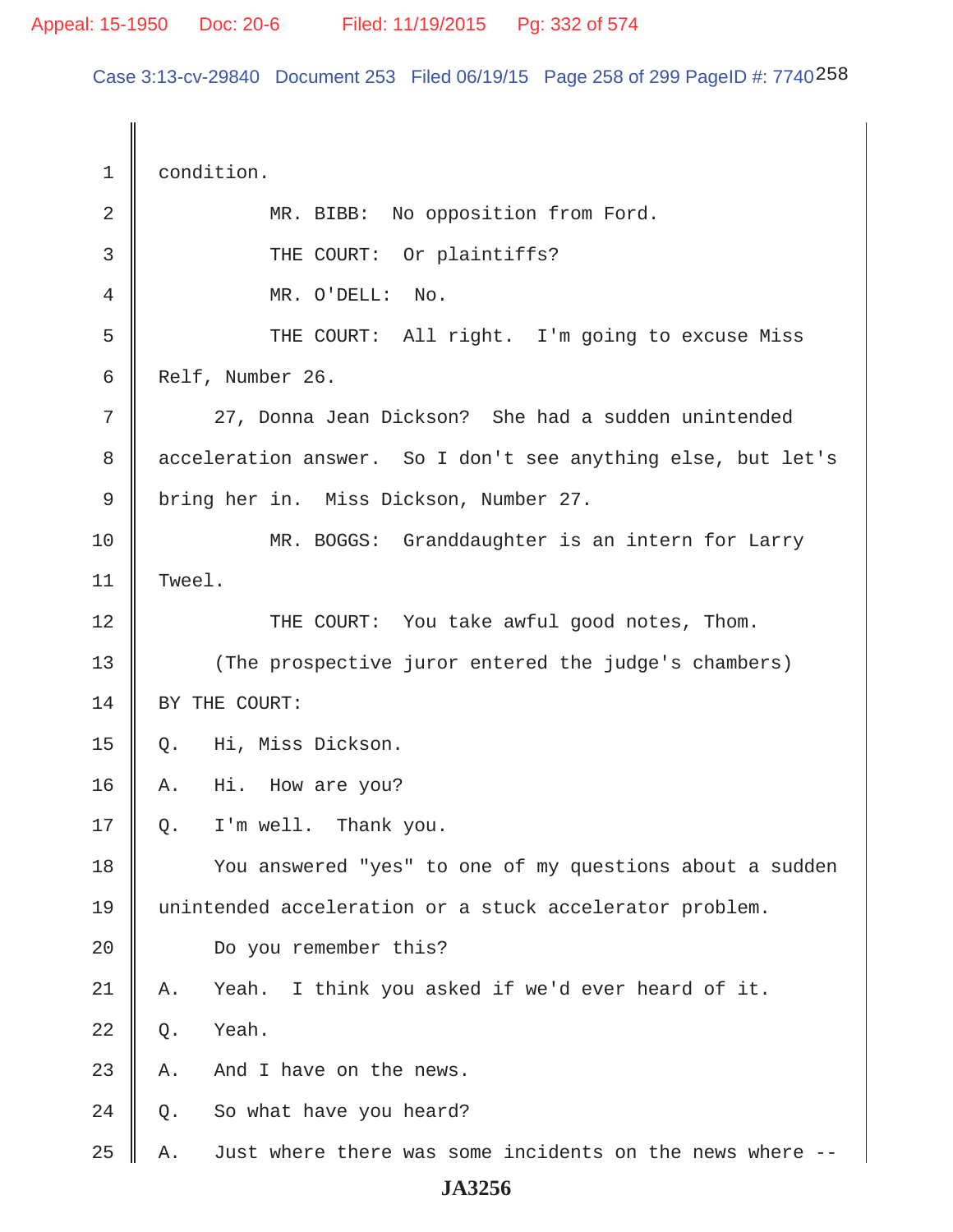Case 3:13-cv-29840 Document 253 Filed 06/19/15 Page 258 of 299 PageID #: 7740258

 1 condition. 2 || MR. BIBB: No opposition from Ford. 3 || THE COURT: Or plaintiffs? 4 || MR. O'DELL: No. 5 || THE COURT: All right. I'm going to excuse Miss 6 Relf, Number 26. 7 || 27, Donna Jean Dickson? She had a sudden unintended 8 | acceleration answer. So I don't see anything else, but let's 9 || bring her in. Miss Dickson, Number 27. 10 || MR. BOGGS: Granddaughter is an intern for Larry 11 Tweel. 12 THE COURT: You take awful good notes, Thom. 13 (The prospective juror entered the judge's chambers) 14 SY THE COURT: 15 Q. Hi, Miss Dickson. 16 A. Hi. How are you?  $17 \parallel Q.$  I'm well. Thank you. 18 You answered "yes" to one of my questions about a sudden 19 unintended acceleration or a stuck accelerator problem. 20 Do you remember this? 21 A. Yeah. I think you asked if we'd ever heard of it.  $22 \parallel 0.$  Yeah.  $23$  | A. And I have on the news.  $24 \parallel Q$ . So what have you heard? 25  $\parallel$  A. Just where there was some incidents on the news where  $-$ -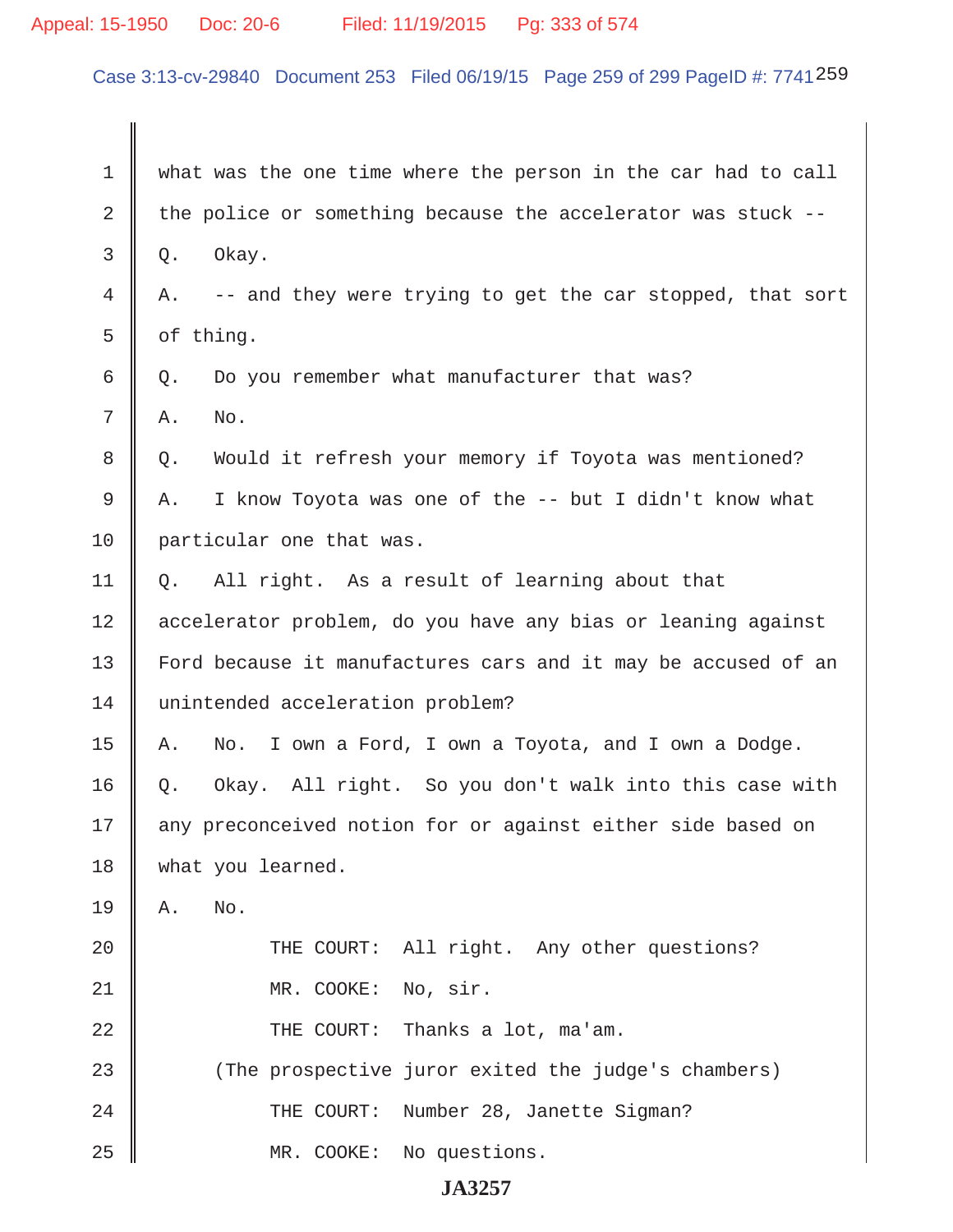# Appeal: 15-1950 Doc: 20-6 Filed: 11/19/2015 Pg: 333 of 574

Case 3:13-cv-29840 Document 253 Filed 06/19/15 Page 259 of 299 PageID #: 7741 259

| 1  | what was the one time where the person in the car had to call   |
|----|-----------------------------------------------------------------|
| 2  | the police or something because the accelerator was stuck --    |
| 3  | Okay.<br>Q.                                                     |
| 4  | -- and they were trying to get the car stopped, that sort<br>Α. |
| 5  | of thing.                                                       |
| 6  | Do you remember what manufacturer that was?<br>Q.               |
| 7  | No.<br>Α.                                                       |
| 8  | Would it refresh your memory if Toyota was mentioned?<br>Q.     |
| 9  | I know Toyota was one of the -- but I didn't know what<br>Α.    |
| 10 | particular one that was.                                        |
| 11 | All right. As a result of learning about that<br>Q.             |
| 12 | accelerator problem, do you have any bias or leaning against    |
| 13 | Ford because it manufactures cars and it may be accused of an   |
| 14 | unintended acceleration problem?                                |
| 15 | I own a Ford, I own a Toyota, and I own a Dodge.<br>Α.<br>No.   |
| 16 | Okay. All right. So you don't walk into this case with<br>Q.    |
| 17 | any preconceived notion for or against either side based on     |
| 18 | what you learned.                                               |
| 19 | No.<br>Α.                                                       |
| 20 | THE COURT: All right. Any other questions?                      |
| 21 | MR. COOKE: No, sir.                                             |
| 22 | THE COURT: Thanks a lot, ma'am.                                 |
| 23 | (The prospective juror exited the judge's chambers)             |
| 24 | THE COURT: Number 28, Janette Sigman?                           |
| 25 | MR. COOKE:<br>No questions.                                     |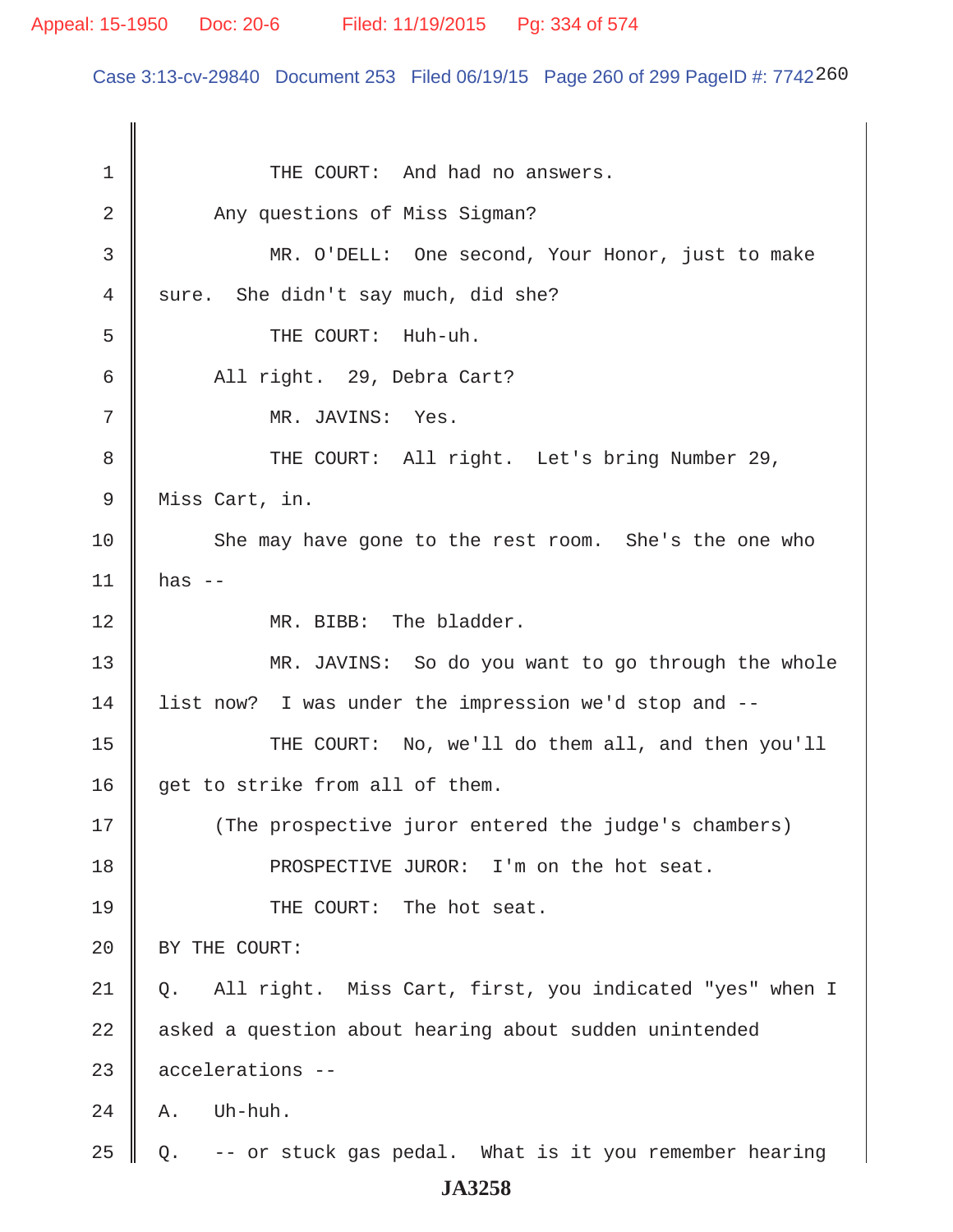Case 3:13-cv-29840 Document 253 Filed 06/19/15 Page 260 of 299 PageID #: 7742260

1 || THE COURT: And had no answers. 2 Any questions of Miss Sigman? 3 MR. O'DELL: One second, Your Honor, just to make  $4 \parallel$  sure. She didn't say much, did she? 5 || THE COURT: Huh-uh. 6 All right. 29, Debra Cart? 7 || MR. JAVINS: Yes. 8 THE COURT: All right. Let's bring Number 29, 9 || Miss Cart, in. 10 She may have gone to the rest room. She's the one who  $11$  | has --12 || MR. BIBB: The bladder. 13 MR. JAVINS: So do you want to go through the whole 14 | list now? I was under the impression we'd stop and --15 || THE COURT: No, we'll do them all, and then you'll 16  $\parallel$  get to strike from all of them. 17 (The prospective juror entered the judge's chambers) 18 **I** PROSPECTIVE JUROR: I'm on the hot seat. 19 || THE COURT: The hot seat. 20 | BY THE COURT: 21 Q. All right. Miss Cart, first, you indicated "yes" when I 22 asked a question about hearing about sudden unintended 23 accelerations --  $24 \parallel A$ . Uh-huh. 25  $\parallel$  Q. -- or stuck gas pedal. What is it you remember hearing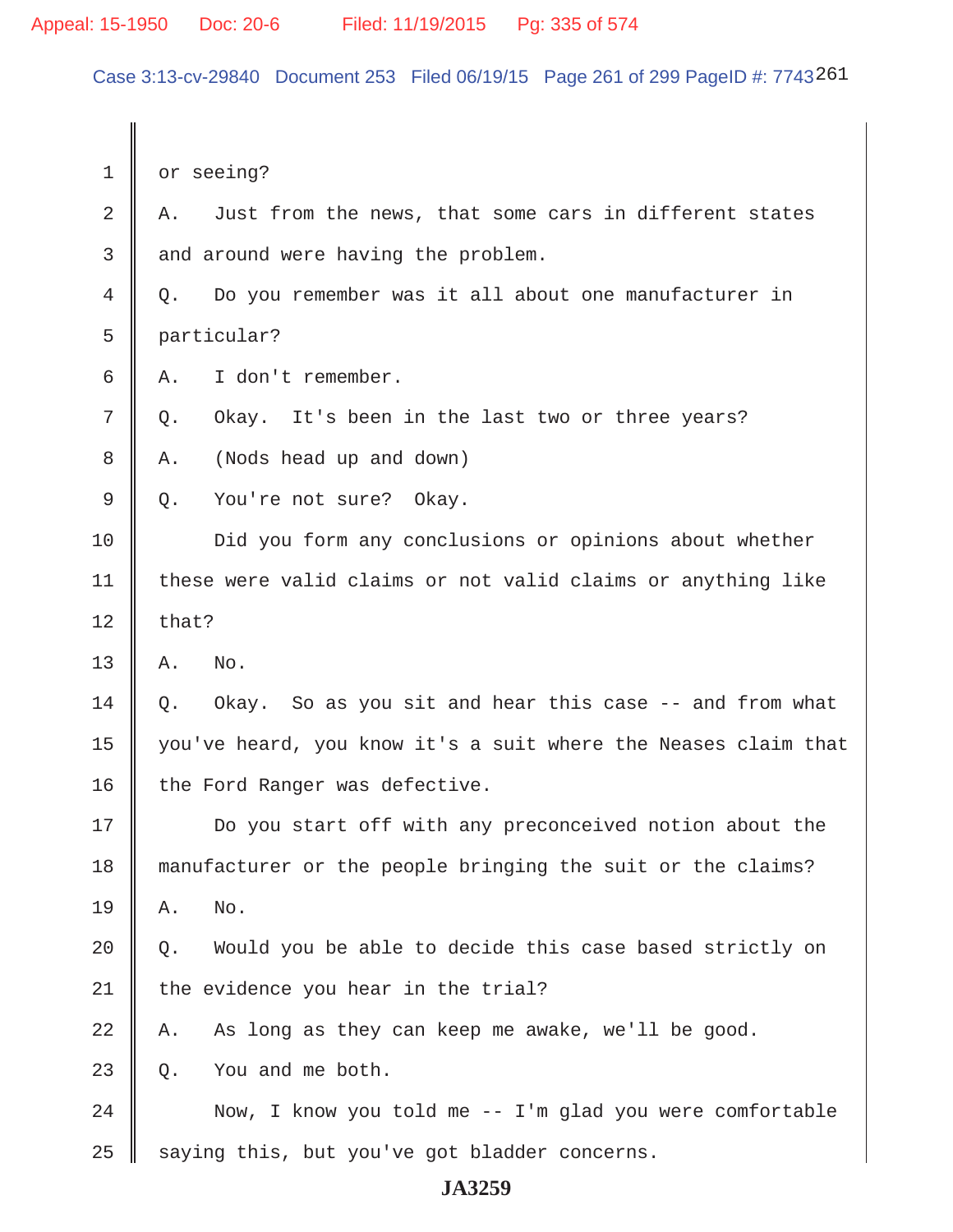Case 3:13-cv-29840 Document 253 Filed 06/19/15 Page 261 of 299 PageID #: 7743261

| 1  | or seeing?                                                     |  |
|----|----------------------------------------------------------------|--|
| 2  | Just from the news, that some cars in different states<br>Α.   |  |
| 3  | and around were having the problem.                            |  |
| 4  | Do you remember was it all about one manufacturer in<br>Q.     |  |
| 5  | particular?                                                    |  |
| 6  | I don't remember.<br>Α.                                        |  |
| 7  | Okay. It's been in the last two or three years?<br>$Q$ .       |  |
| 8  | (Nods head up and down)<br>Α.                                  |  |
| 9  | You're not sure? Okay.<br>Q.                                   |  |
| 10 | Did you form any conclusions or opinions about whether         |  |
| 11 | these were valid claims or not valid claims or anything like   |  |
| 12 | that?                                                          |  |
| 13 | No.<br>Α.                                                      |  |
| 14 | Okay. So as you sit and hear this case -- and from what<br>Q.  |  |
| 15 | you've heard, you know it's a suit where the Neases claim that |  |
| 16 | the Ford Ranger was defective.                                 |  |
| 17 | Do you start off with any preconceived notion about the        |  |
| 18 | manufacturer or the people bringing the suit or the claims?    |  |
| 19 | No.<br>Α.                                                      |  |
| 20 | Would you be able to decide this case based strictly on<br>Q.  |  |
| 21 | the evidence you hear in the trial?                            |  |
| 22 | As long as they can keep me awake, we'll be good.<br>Α.        |  |
| 23 | You and me both.<br>Q.                                         |  |
| 24 | Now, I know you told me $--$ I'm glad you were comfortable     |  |
| 25 | saying this, but you've got bladder concerns.                  |  |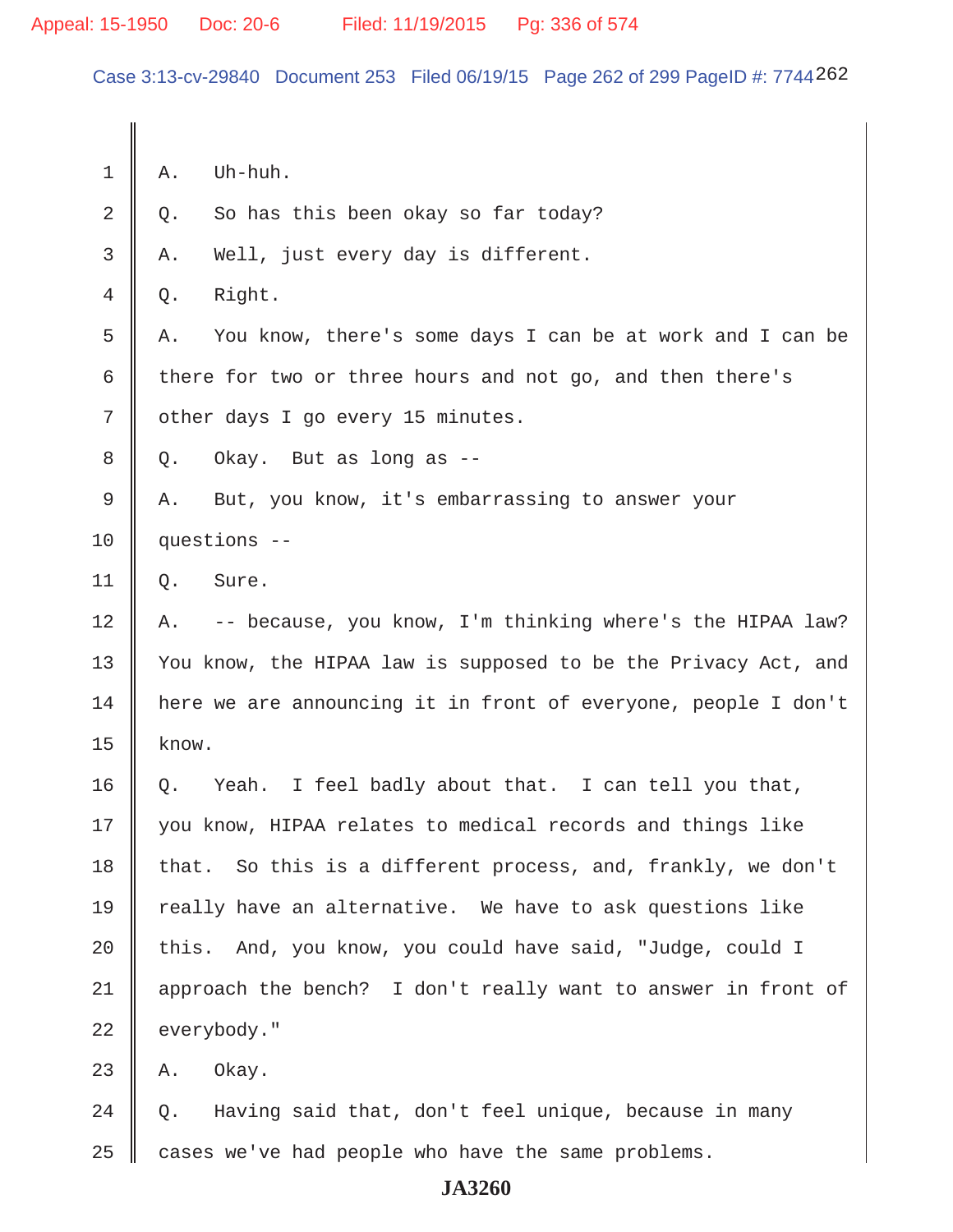Case 3:13-cv-29840 Document 253 Filed 06/19/15 Page 262 of 299 PageID #: 7744262

 $1 \parallel A.$  Uh-huh.  $2 \parallel Q$ . So has this been okay so far today?  $3 \parallel A$ . Well, just every day is different.  $4 \parallel 0.$  Right. 5 A. You know, there's some days I can be at work and I can be 6 there for two or three hours and not go, and then there's 7 | other days I go every 15 minutes.  $8 \parallel Q$ . Okay. But as long as --9 A. But, you know, it's embarrassing to answer your 10 questions --  $11 \parallel 0.$  Sure.  $12 \parallel A.$  -- because, you know, I'm thinking where's the HIPAA law? 13 || You know, the HIPAA law is supposed to be the Privacy Act, and 14 here we are announcing it in front of everyone, people I don't  $15$  know. 16 Q. Yeah. I feel badly about that. I can tell you that, 17 || you know, HIPAA relates to medical records and things like 18  $\parallel$  that. So this is a different process, and, frankly, we don't  $19$  really have an alternative. We have to ask questions like  $20$  | this. And, you know, you could have said, "Judge, could I 21 || approach the bench? I don't really want to answer in front of  $22$  | everybody."  $23$  | A. Okay. 24  $\parallel$  Q. Having said that, don't feel unique, because in many  $25$  cases we've had people who have the same problems.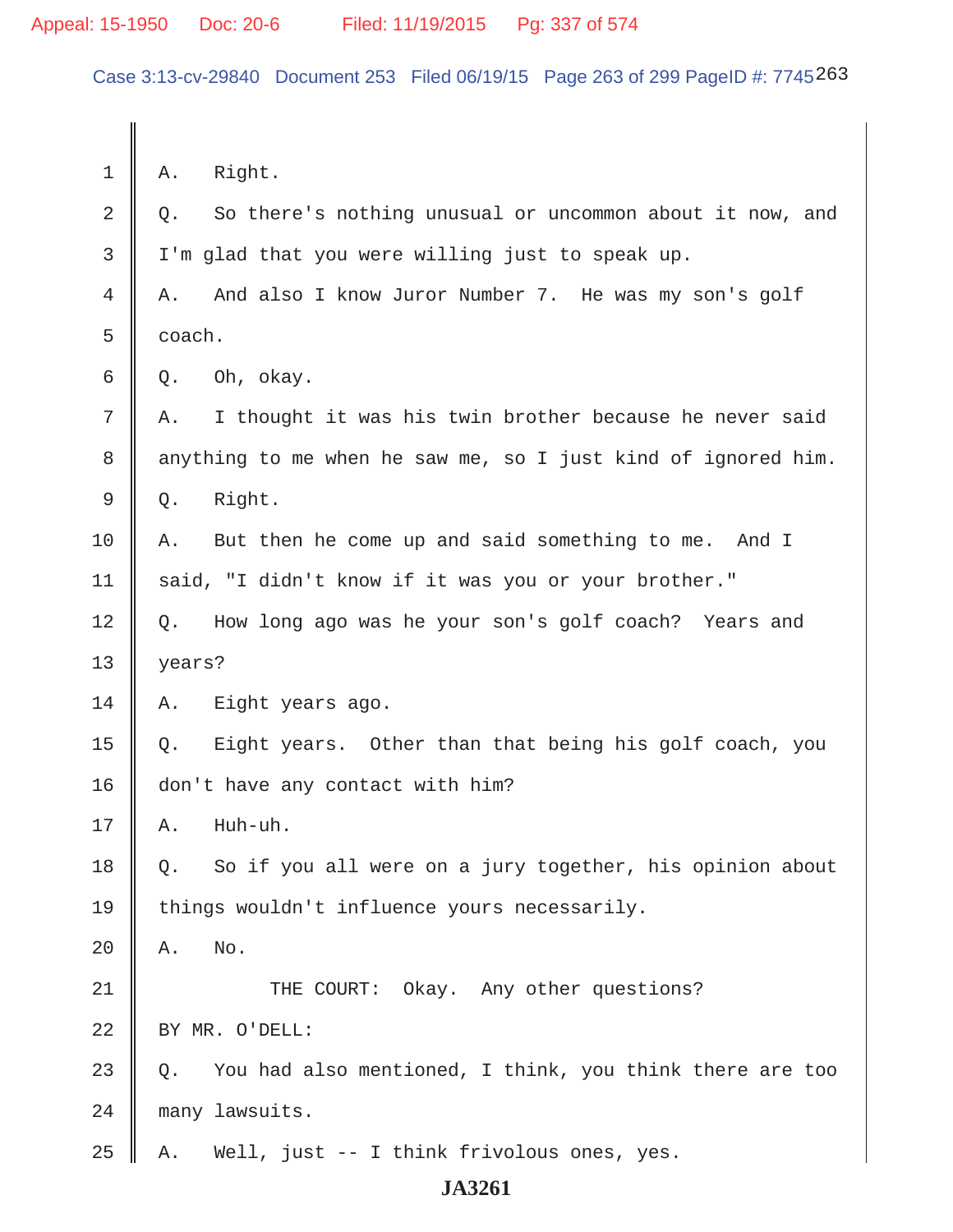Case 3:13-cv-29840 Document 253 Filed 06/19/15 Page 263 of 299 PageID #: 7745263

 $1 \parallel A.$  Right.  $2 \parallel Q$ . So there's nothing unusual or uncommon about it now, and  $3 \parallel$  I'm glad that you were willing just to speak up. 4 A. And also I know Juror Number 7. He was my son's golf  $5 \parallel$  coach.  $6 \parallel Q$ . Oh, okay.  $7 \parallel A$ . I thought it was his twin brother because he never said 8 anything to me when he saw me, so I just kind of ignored him.  $9 \parallel Q.$  Right. 10 A. But then he come up and said something to me. And I 11 | said, "I didn't know if it was you or your brother." 12 Q. How long ago was he your son's golf coach? Years and 13 years? 14 A. Eight years ago. 15  $\parallel$  Q. Eight years. Other than that being his golf coach, you 16 don't have any contact with him?  $17 \parallel A. \parallel$  Huh-uh. 18 || Q. So if you all were on a jury together, his opinion about 19 | things wouldn't influence yours necessarily.  $20$   $\parallel$  A, No. 21 THE COURT: Okay. Any other questions? 22 || BY MR. O'DELL: 23  $\parallel$  Q. You had also mentioned, I think, you think there are too 24 many lawsuits. 25 | A. Well, just -- I think frivolous ones, yes.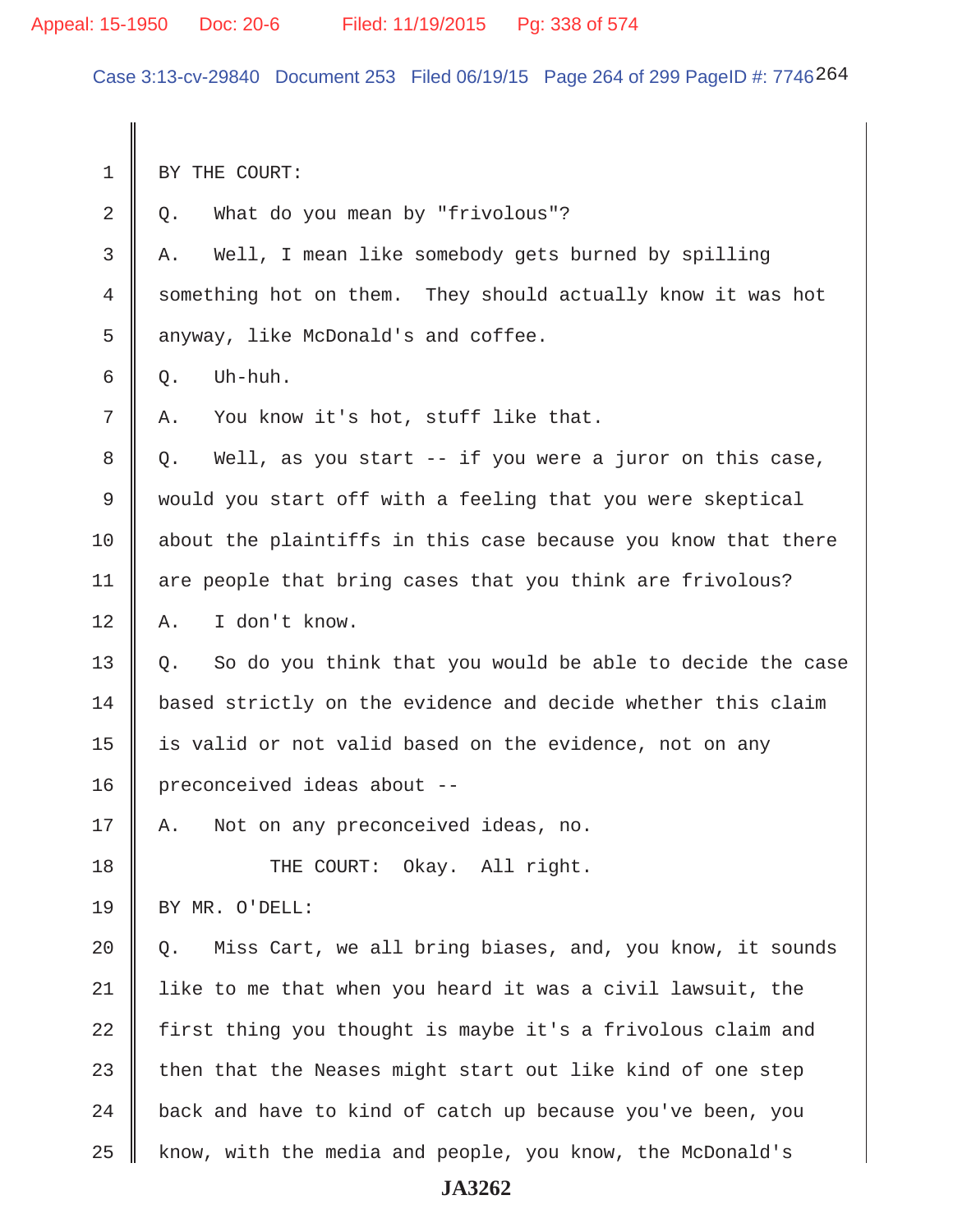Appeal: 15-1950 Doc: 20-6 Filed: 11/19/2015 Pg: 338 of 574

Case 3:13-cv-29840 Document 253 Filed 06/19/15 Page 264 of 299 PageID #: 7746264

1 BY THE COURT:  $2 \parallel Q$ . What do you mean by "frivolous"? 3 A. Well, I mean like somebody gets burned by spilling 4 something hot on them. They should actually know it was hot 5 | anyway, like McDonald's and coffee.  $6 \parallel 0.$  Uh-huh.  $7 \parallel A$ . You know it's hot, stuff like that.  $8 \parallel Q$ . Well, as you start -- if you were a juror on this case, 9 would you start off with a feeling that you were skeptical  $10$  about the plaintiffs in this case because you know that there 11 | are people that bring cases that you think are frivolous? 12 || A. I don't know.  $13 \parallel Q$ . So do you think that you would be able to decide the case 14 based strictly on the evidence and decide whether this claim 15 | is valid or not valid based on the evidence, not on any 16 | preconceived ideas about --17 A. Not on any preconceived ideas, no. 18 || THE COURT: Okay. All right. 19 BY MR. O'DELL: 20  $\parallel$  Q. Miss Cart, we all bring biases, and, you know, it sounds  $21$  | like to me that when you heard it was a civil lawsuit, the 22  $\parallel$  first thing you thought is maybe it's a frivolous claim and 23  $\parallel$  then that the Neases might start out like kind of one step  $24$   $\parallel$  back and have to kind of catch up because you've been, you 25 | know, with the media and people, you know, the McDonald's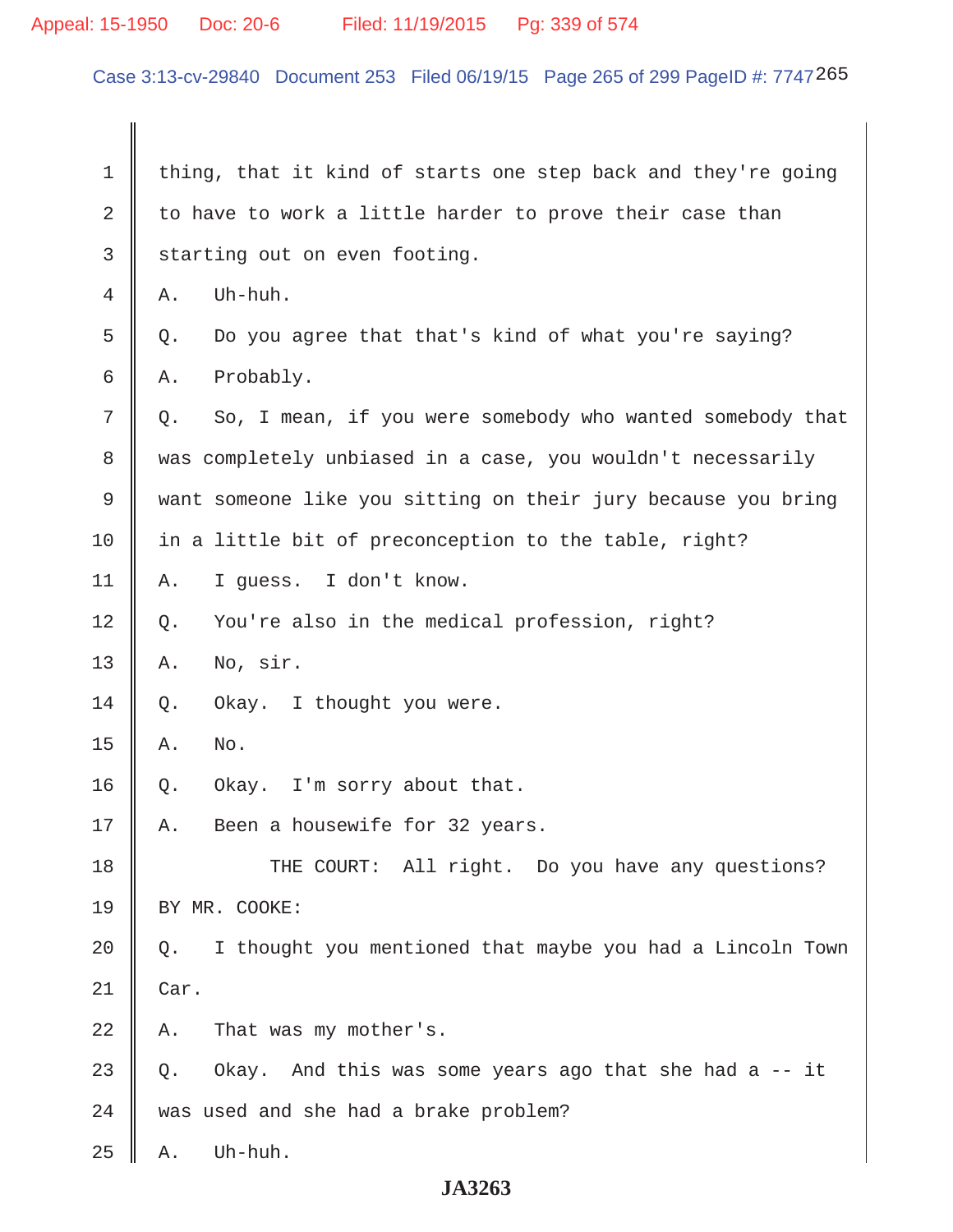# Appeal: 15-1950 Doc: 20-6 Filed: 11/19/2015 Pg: 339 of 574

Case 3:13-cv-29840 Document 253 Filed 06/19/15 Page 265 of 299 PageID #: 7747265

| 1           | thing, that it kind of starts one step back and they're going   |
|-------------|-----------------------------------------------------------------|
| $\mathbf 2$ | to have to work a little harder to prove their case than        |
| 3           | starting out on even footing.                                   |
| 4           | Uh-huh.<br>Α.                                                   |
| 5           | Do you agree that that's kind of what you're saying?<br>Q.      |
| 6           | Probably.<br>Α.                                                 |
| 7           | So, I mean, if you were somebody who wanted somebody that<br>Q. |
| 8           | was completely unbiased in a case, you wouldn't necessarily     |
| 9           | want someone like you sitting on their jury because you bring   |
| 10          | in a little bit of preconception to the table, right?           |
| 11          | I guess. I don't know.<br>Α.                                    |
| 12          | You're also in the medical profession, right?<br>Q.             |
| 13          | No, sir.<br>Α.                                                  |
| 14          | Okay. I thought you were.<br>Q.                                 |
| 15          | No.<br>Α.                                                       |
| 16          | I'm sorry about that.<br>Q.<br>Okay.                            |
| 17          | Been a housewife for 32 years.<br>Α.                            |
| 18          | THE COURT: All right. Do you have any questions?                |
| 19          | BY MR. COOKE:                                                   |
| 20          | I thought you mentioned that maybe you had a Lincoln Town<br>Q. |
| 21          | Car.                                                            |
| 22          | That was my mother's.<br>Α.                                     |
| 23          | Okay. And this was some years ago that she had a -- it<br>$Q$ . |
| 24          | was used and she had a brake problem?                           |
| 25          | Uh-huh.<br>Α.                                                   |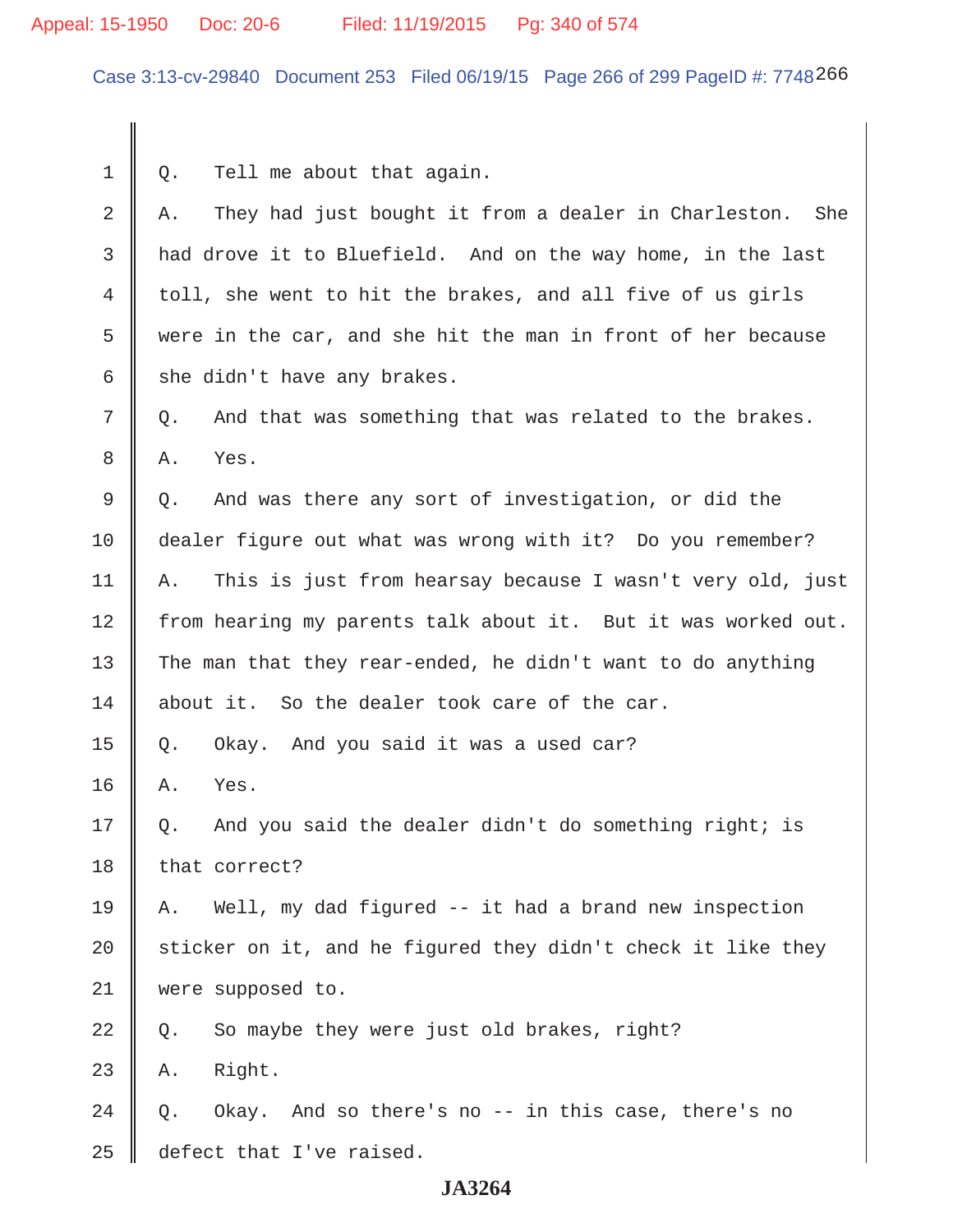## Appeal: 15-1950 Doc: 20-6 Filed: 11/19/2015 Pg: 340 of 574

Case 3:13-cv-29840 Document 253 Filed 06/19/15 Page 266 of 299 PageID #: 7748266

 $1 \parallel Q$ . Tell me about that again.

| $\overline{2}$ | They had just bought it from a dealer in Charleston. She<br>Α.  |
|----------------|-----------------------------------------------------------------|
| 3              | had drove it to Bluefield. And on the way home, in the last     |
| 4              | toll, she went to hit the brakes, and all five of us girls      |
| 5              | were in the car, and she hit the man in front of her because    |
| 6              | she didn't have any brakes.                                     |
| 7              | And that was something that was related to the brakes.<br>Q.    |
| 8              | Α.<br>Yes.                                                      |
| 9              | And was there any sort of investigation, or did the<br>Q.       |
| 10             | dealer figure out what was wrong with it? Do you remember?      |
| 11             | This is just from hearsay because I wasn't very old, just<br>Α. |
| 12             | from hearing my parents talk about it. But it was worked out.   |
| 13             | The man that they rear-ended, he didn't want to do anything     |
| 14             | about it. So the dealer took care of the car.                   |
| 15             | Okay. And you said it was a used car?<br>Q.                     |
| 16             | Yes.<br>Α.                                                      |
| 17             | And you said the dealer didn't do something right; is<br>Q.     |
| 18             | that correct?                                                   |
| 19             | Well, my dad figured -- it had a brand new inspection<br>Α.     |
| 20             | sticker on it, and he figured they didn't check it like they    |
| 21             | were supposed to.                                               |
| 22             | So maybe they were just old brakes, right?<br>Q.                |
| 23             | Right.<br>Α.                                                    |
| 24             | Okay. And so there's no -- in this case, there's no<br>Q.       |
| 25             | defect that I've raised.                                        |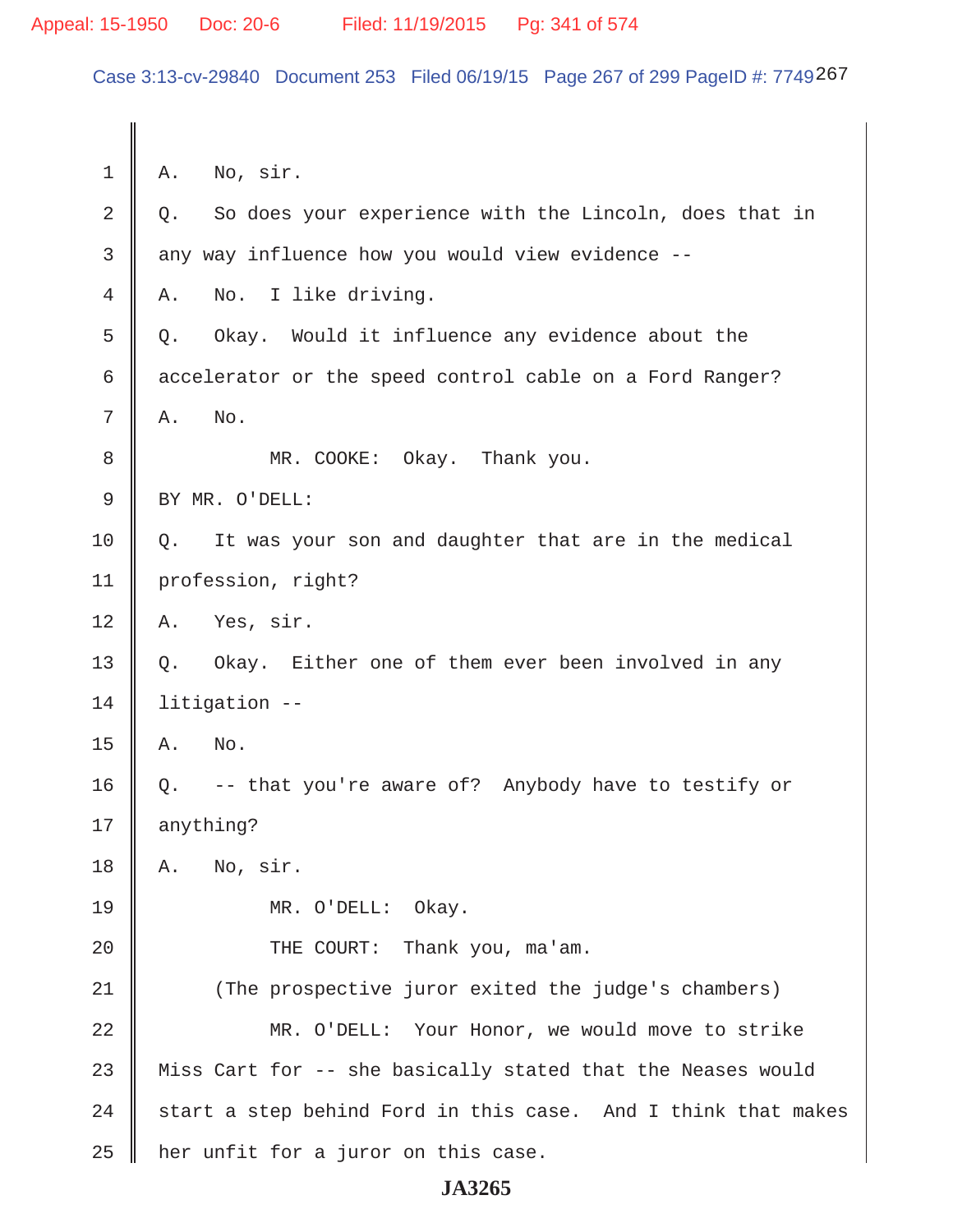Case 3:13-cv-29840 Document 253 Filed 06/19/15 Page 267 of 299 PageID #: 7749267

 $1 \parallel A.$  No, sir.  $2 \parallel Q$ . So does your experience with the Lincoln, does that in 3 any way influence how you would view evidence --4 A. No. I like driving.  $5 \parallel$  0. Okay. Would it influence any evidence about the  $6 \parallel$  accelerator or the speed control cable on a Ford Ranger?  $7 \parallel A.$  No. 8 || MR. COOKE: Okay. Thank you. 9 || BY MR. O'DELL:  $10 \parallel Q$ . It was your son and daughter that are in the medical 11 profession, right?  $12 \parallel A.$  Yes, sir. 13 || Q. Okay. Either one of them ever been involved in any 14 litigation --  $15$   $\parallel$  A. No. 16  $\parallel$  Q. -- that you're aware of? Anybody have to testify or 17 anything?  $18$  | A. No, sir. 19 MR. O'DELL: Okay. 20 || THE COURT: Thank you, ma'am. 21 || (The prospective juror exited the judge's chambers) 22 MR. O'DELL: Your Honor, we would move to strike 23  $\parallel$  Miss Cart for -- she basically stated that the Neases would 24  $\parallel$  start a step behind Ford in this case. And I think that makes  $25$  | her unfit for a juror on this case.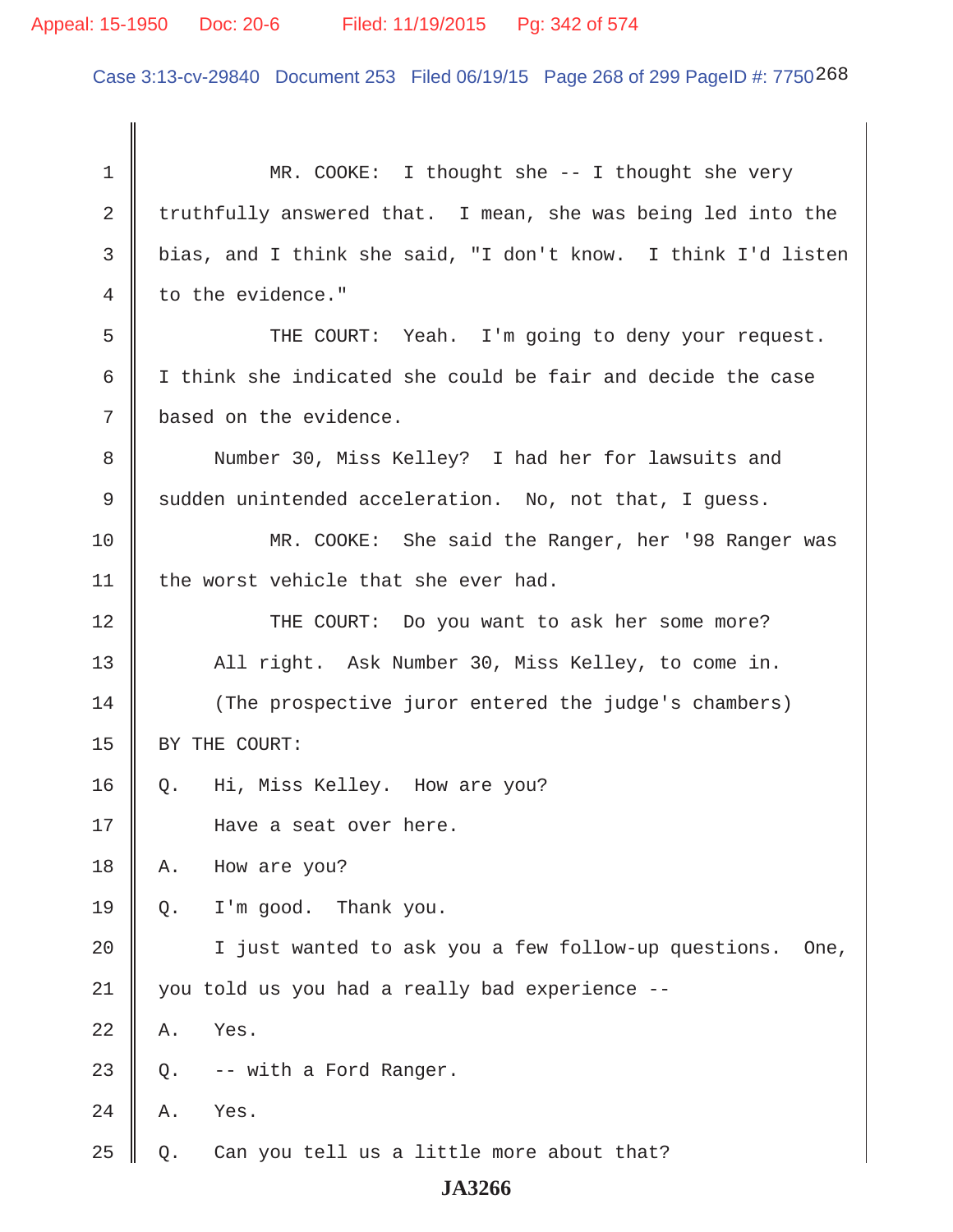Case 3:13-cv-29840 Document 253 Filed 06/19/15 Page 268 of 299 PageID #: 7750268

| $\mathbf 1$    | MR. COOKE: I thought she -- I thought she very                |
|----------------|---------------------------------------------------------------|
| $\overline{2}$ | truthfully answered that. I mean, she was being led into the  |
| $\mathsf{3}$   | bias, and I think she said, "I don't know. I think I'd listen |
| 4              | to the evidence."                                             |
| 5              | THE COURT: Yeah. I'm going to deny your request.              |
| 6              | I think she indicated she could be fair and decide the case   |
| 7              | based on the evidence.                                        |
| 8              | Number 30, Miss Kelley? I had her for lawsuits and            |
| 9              | sudden unintended acceleration. No, not that, I guess.        |
| 10             | MR. COOKE: She said the Ranger, her '98 Ranger was            |
| 11             | the worst vehicle that she ever had.                          |
| 12             | THE COURT: Do you want to ask her some more?                  |
| 13             | All right. Ask Number 30, Miss Kelley, to come in.            |
| 14             | (The prospective juror entered the judge's chambers)          |
| 15             | BY THE COURT:                                                 |
| 16             | Hi, Miss Kelley. How are you?<br>Q.                           |
| 17             | Have a seat over here.                                        |
| 18             | How are you?<br>Α.                                            |
| 19             | I'm good. Thank you.<br>$Q$ .                                 |
| 20             | I just wanted to ask you a few follow-up questions.<br>One,   |
| 21             | you told us you had a really bad experience --                |
| 22             | Yes.<br>Α.                                                    |
| 23             | -- with a Ford Ranger.<br>Q.                                  |
| 24             | Yes.<br>Α.                                                    |
| 25             | Can you tell us a little more about that?<br>$Q$ .            |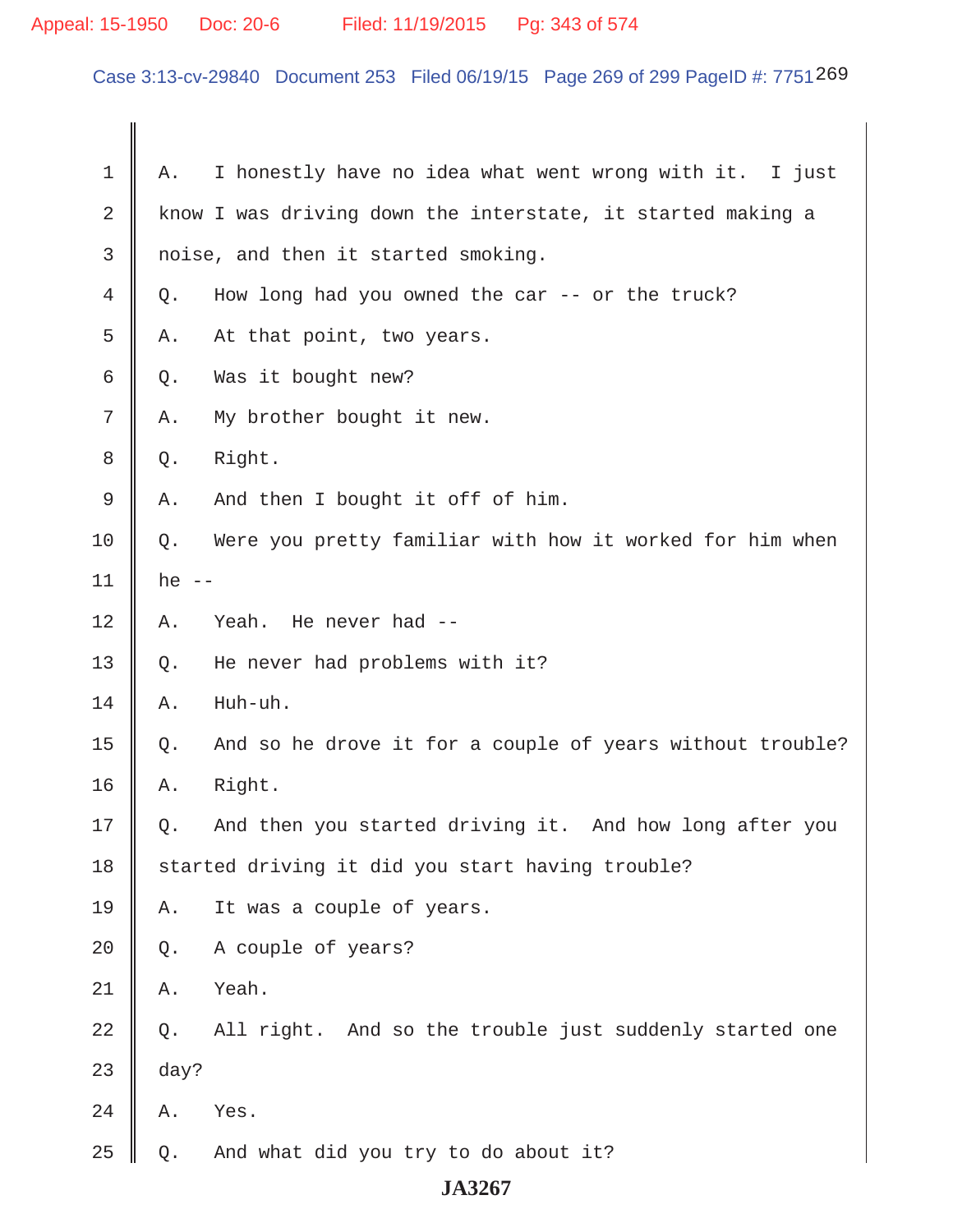# Appeal: 15-1950 Doc: 20-6 Filed: 11/19/2015 Pg: 343 of 574

Case 3:13-cv-29840 Document 253 Filed 06/19/15 Page 269 of 299 PageID #: 7751 269

| 1  | Α.          | I honestly have no idea what went wrong with it. I just     |
|----|-------------|-------------------------------------------------------------|
| 2  |             | know I was driving down the interstate, it started making a |
| 3  |             | noise, and then it started smoking.                         |
| 4  | Q.          | How long had you owned the car $-$ - or the truck?          |
| 5  | Α.          | At that point, two years.                                   |
| 6  | Q.          | Was it bought new?                                          |
| 7  | Α.          | My brother bought it new.                                   |
| 8  | Q.          | Right.                                                      |
| 9  | Α.          | And then I bought it off of him.                            |
| 10 | Q.          | Were you pretty familiar with how it worked for him when    |
| 11 | he<br>$- -$ |                                                             |
| 12 | Α.          | Yeah. He never had --                                       |
| 13 | Q.          | He never had problems with it?                              |
| 14 | Α.          | Huh-uh.                                                     |
| 15 | Q.          | And so he drove it for a couple of years without trouble?   |
| 16 | Α.          | Right.                                                      |
| 17 | Q.          | And then you started driving it. And how long after you     |
| 18 |             | started driving it did you start having trouble?            |
| 19 | Α.          | It was a couple of years.                                   |
| 20 | Q.          | A couple of years?                                          |
| 21 | Α.          | Yeah.                                                       |
| 22 | Q.          | All right. And so the trouble just suddenly started one     |
| 23 | day?        |                                                             |
| 24 | Α.          | Yes.                                                        |
| 25 | $Q$ .       | And what did you try to do about it?                        |
|    |             | <b>JA3267</b>                                               |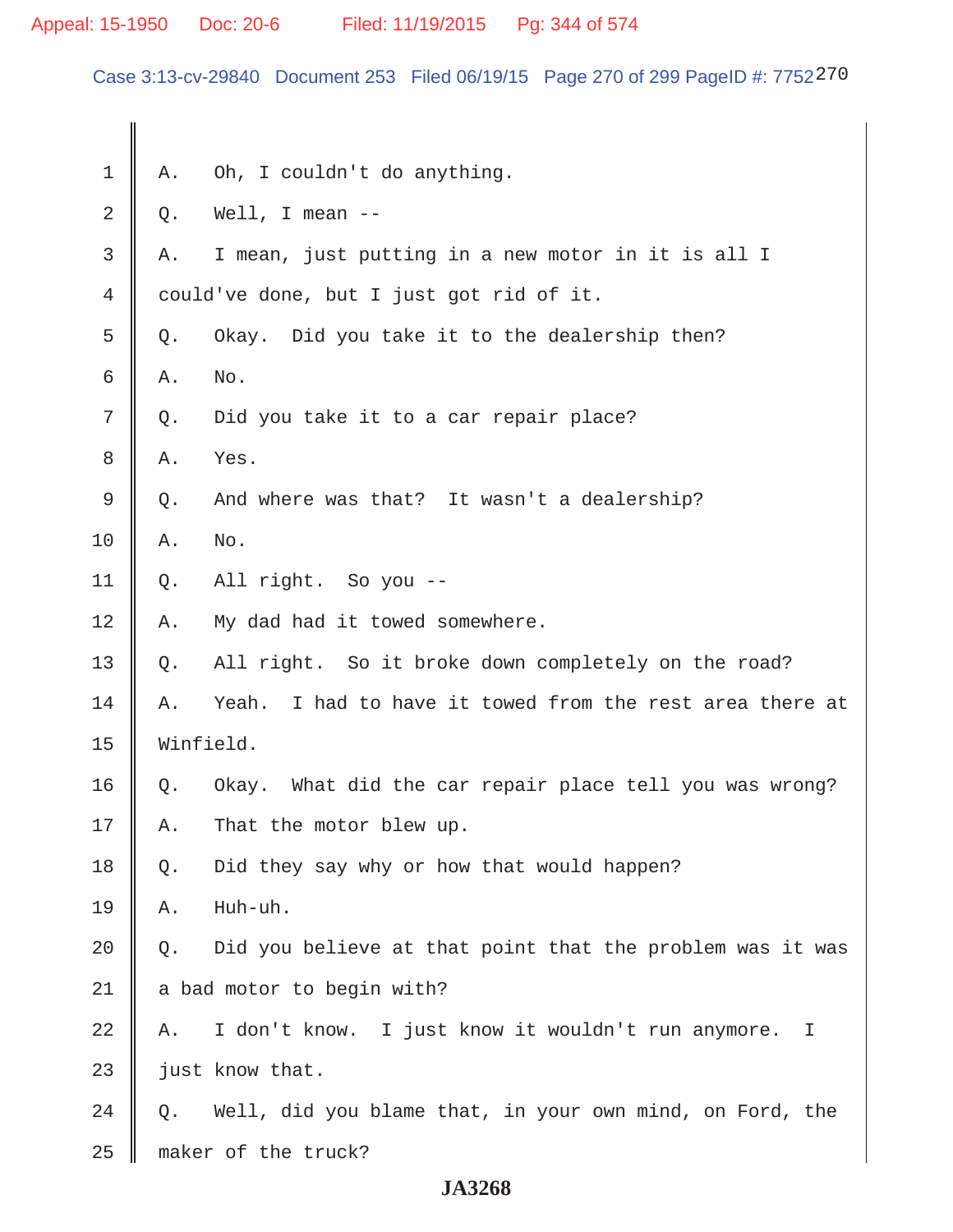# Appeal: 15-1950 Doc: 20-6 Filed: 11/19/2015 Pg: 344 of 574

Case 3:13-cv-29840 Document 253 Filed 06/19/15 Page 270 of 299 PageID #: 7752270

| 1  | Α.                         | Oh, I couldn't do anything.                                 |
|----|----------------------------|-------------------------------------------------------------|
| 2  | Q.                         | Well, I mean $-$                                            |
| 3  | Α.                         | I mean, just putting in a new motor in it is all I          |
| 4  |                            | could've done, but I just got rid of it.                    |
| 5  | Q.                         | Okay. Did you take it to the dealership then?               |
| 6  | Α.                         | No.                                                         |
| 7  | Q.                         | Did you take it to a car repair place?                      |
| 8  | Α.                         | Yes.                                                        |
| 9  | Q.                         | And where was that? It wasn't a dealership?                 |
| 10 | Α.                         | No.                                                         |
| 11 | Q.                         | All right. So you --                                        |
| 12 | Α.                         | My dad had it towed somewhere.                              |
| 13 | Q.                         | All right. So it broke down completely on the road?         |
| 14 | Α.                         | I had to have it towed from the rest area there at<br>Yeah. |
| 15 |                            | Winfield.                                                   |
| 16 | Q.                         | Okay. What did the car repair place tell you was wrong?     |
| 17 | Α.                         | That the motor blew up.                                     |
| 18 | Q.                         | Did they say why or how that would happen?                  |
| 19 | Α.                         | Huh-uh.                                                     |
| 20 | Q.                         | Did you believe at that point that the problem was it was   |
| 21 | a bad motor to begin with? |                                                             |
| 22 | Α.                         | I don't know. I just know it wouldn't run anymore.<br>I     |
| 23 |                            | just know that.                                             |
| 24 | Q.                         | Well, did you blame that, in your own mind, on Ford, the    |
| 25 |                            | maker of the truck?                                         |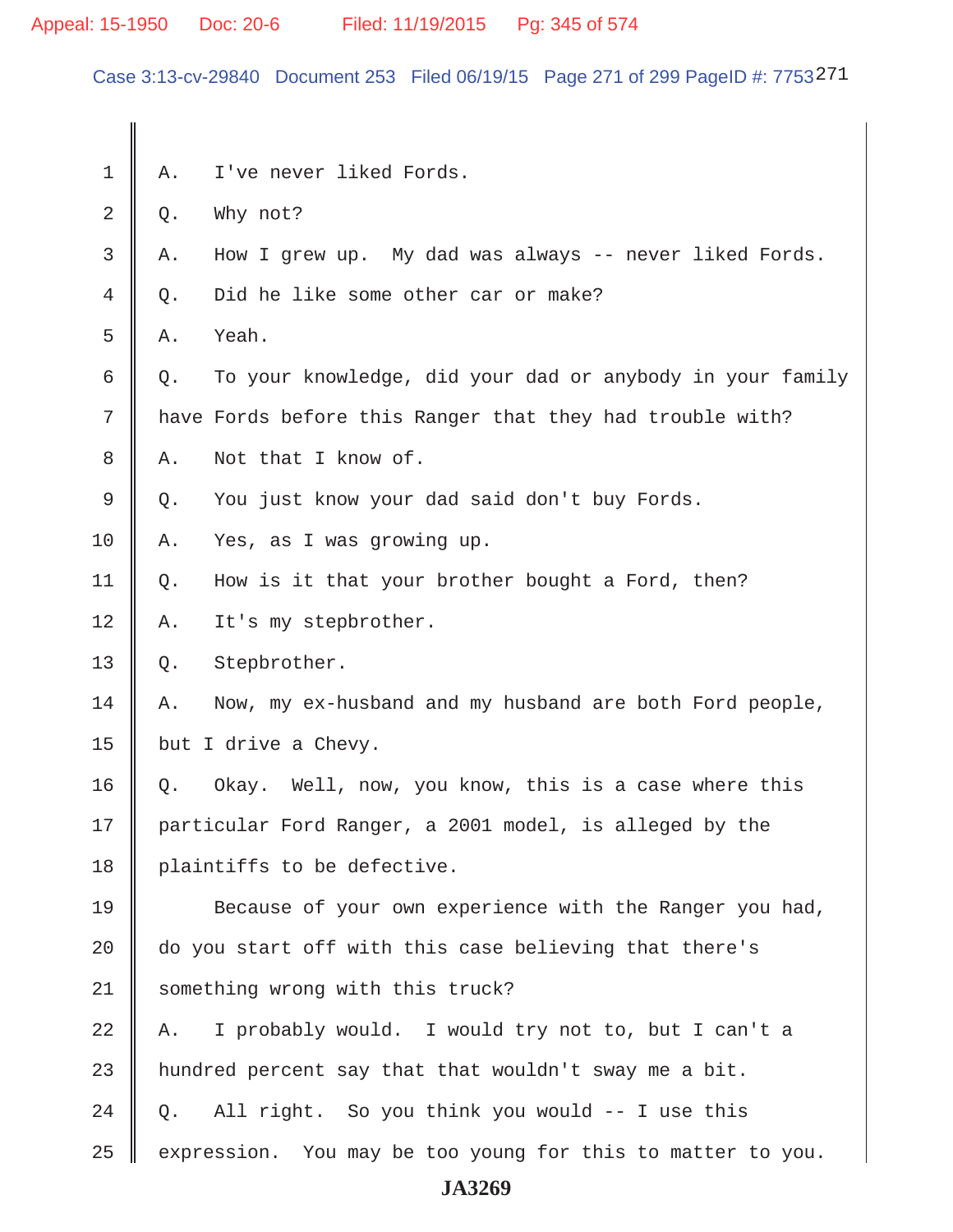# Appeal: 15-1950 Doc: 20-6 Filed: 11/19/2015 Pg: 345 of 574

Case 3:13-cv-29840 Document 253 Filed 06/19/15 Page 271 of 299 PageID #: 7753271

| 1  | Α.                                                     | I've never liked Fords.                                   |
|----|--------------------------------------------------------|-----------------------------------------------------------|
| 2  | Q.                                                     | Why not?                                                  |
| 3  | Α.                                                     | How I grew up. My dad was always -- never liked Fords.    |
| 4  | Q.                                                     | Did he like some other car or make?                       |
| 5  | Α.                                                     | Yeah.                                                     |
| 6  | Q.                                                     | To your knowledge, did your dad or anybody in your family |
| 7  |                                                        | have Fords before this Ranger that they had trouble with? |
| 8  | Α.                                                     | Not that I know of.                                       |
| 9  | Q.                                                     | You just know your dad said don't buy Fords.              |
| 10 | Α.                                                     | Yes, as I was growing up.                                 |
| 11 | Q.                                                     | How is it that your brother bought a Ford, then?          |
| 12 | Α.                                                     | It's my stepbrother.                                      |
| 13 | Q.                                                     | Stepbrother.                                              |
| 14 | Α.                                                     | Now, my ex-husband and my husband are both Ford people,   |
| 15 |                                                        | but I drive a Chevy.                                      |
| 16 | Q.                                                     | Okay. Well, now, you know, this is a case where this      |
| 17 |                                                        | particular Ford Ranger, a 2001 model, is alleged by the   |
| 18 |                                                        | plaintiffs to be defective.                               |
| 19 |                                                        | Because of your own experience with the Ranger you had,   |
| 20 | do you start off with this case believing that there's |                                                           |
| 21 | something wrong with this truck?                       |                                                           |
| 22 | Α.                                                     | I probably would. I would try not to, but I can't a       |
| 23 |                                                        | hundred percent say that that wouldn't sway me a bit.     |
|    |                                                        | All right. So you think you would -- I use this           |
| 24 | Q.                                                     |                                                           |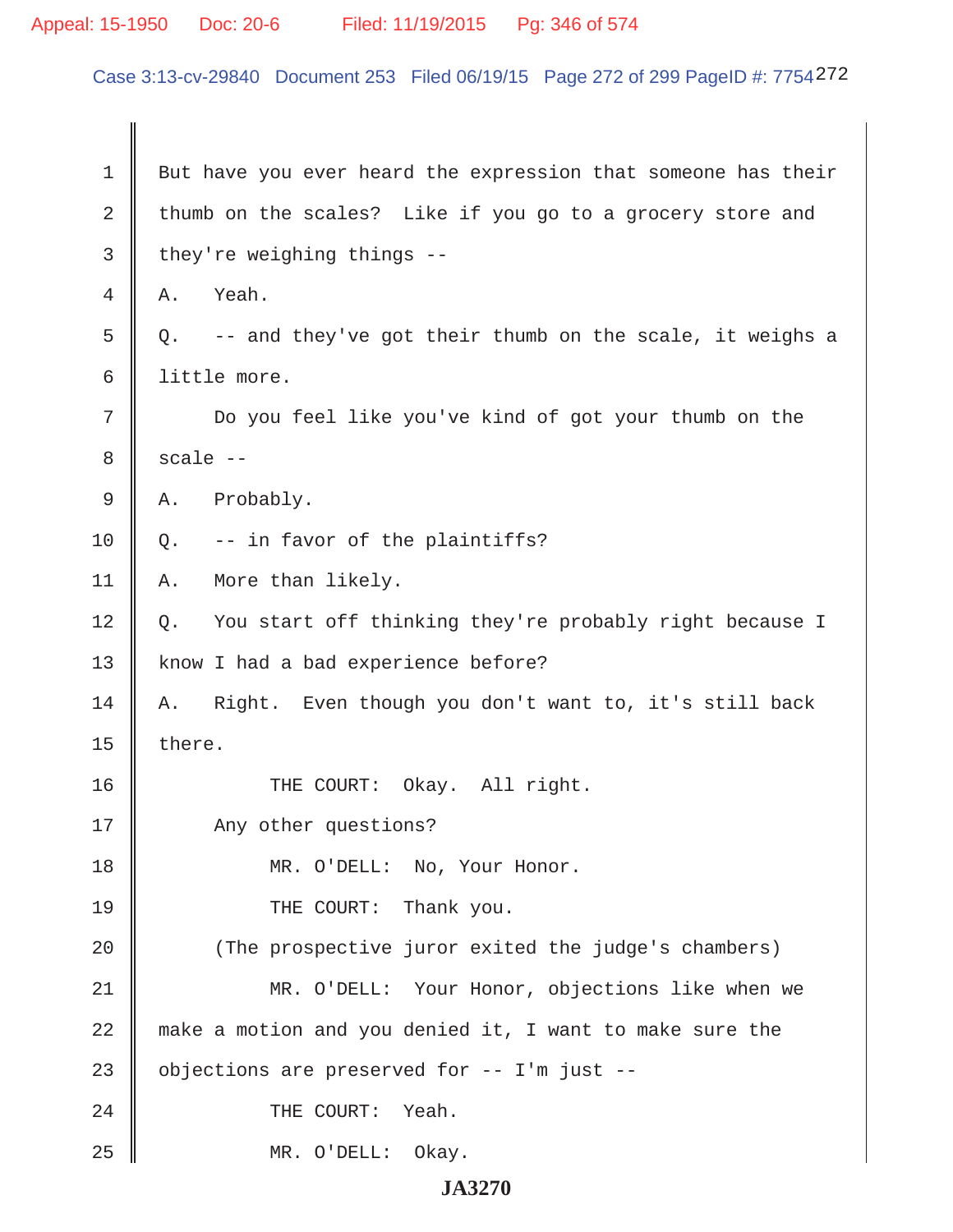# Appeal: 15-1950 Doc: 20-6 Filed: 11/19/2015 Pg: 346 of 574

Case 3:13-cv-29840 Document 253 Filed 06/19/15 Page 272 of 299 PageID #: 7754272

| $\mathbf 1$ | But have you ever heard the expression that someone has their  |
|-------------|----------------------------------------------------------------|
| 2           | thumb on the scales? Like if you go to a grocery store and     |
| 3           | they're weighing things --                                     |
| 4           | Yeah.<br>Α.                                                    |
| 5           | -- and they've got their thumb on the scale, it weighs a<br>Q. |
| 6           | little more.                                                   |
| 7           | Do you feel like you've kind of got your thumb on the          |
| 8           | $scale --$                                                     |
| $\mathsf 9$ | Probably.<br>Α.                                                |
| 10          | -- in favor of the plaintiffs?<br>Q.                           |
| 11          | More than likely.<br>Α.                                        |
| 12          | You start off thinking they're probably right because I<br>Q.  |
| 13          | know I had a bad experience before?                            |
| 14          | Right. Even though you don't want to, it's still back<br>Α.    |
| 15          | there.                                                         |
| 16          | Okay. All right.<br>THE COURT:                                 |
| 17          | Any other questions?                                           |
| 18          | MR. O'DELL: No, Your Honor.                                    |
| 19          | THE COURT: Thank you.                                          |
| 20          | (The prospective juror exited the judge's chambers)            |
| 21          | MR. O'DELL: Your Honor, objections like when we                |
| 22          | make a motion and you denied it, I want to make sure the       |
| 23          | objections are preserved for -- I'm just --                    |
| 24          | THE COURT:<br>Yeah.                                            |
| 25          | MR. O'DELL: Okay.                                              |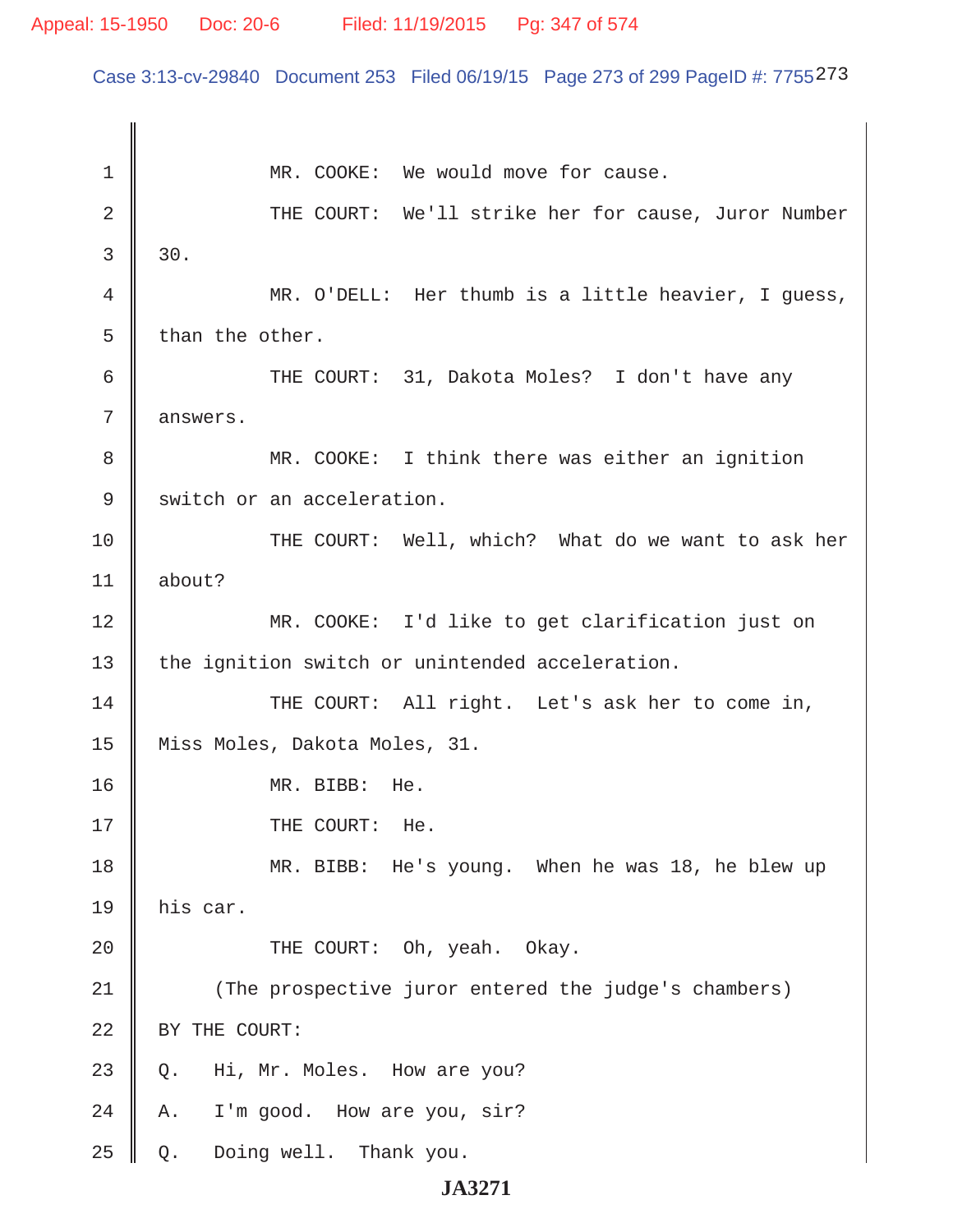#### Appeal: 15-1950 Doc: 20-6 Filed: 11/19/2015 Pg: 347 of 574

Case 3:13-cv-29840 Document 253 Filed 06/19/15 Page 273 of 299 PageID #: 7755273

1 || MR. COOKE: We would move for cause. 2 || THE COURT: We'll strike her for cause, Juror Number  $3 \parallel 30.$  4 MR. O'DELL: Her thumb is a little heavier, I guess,  $5 \parallel$  than the other. 6 THE COURT: 31, Dakota Moles? I don't have any 7 answers. 8 || MR. COOKE: I think there was either an ignition 9 Switch or an acceleration. 10 THE COURT: Well, which? What do we want to ask her  $11$  about? 12 MR. COOKE: I'd like to get clarification just on 13 | the ignition switch or unintended acceleration. 14 || THE COURT: All right. Let's ask her to come in, 15 Miss Moles, Dakota Moles, 31. 16 MR. BIBB: He. 17 || THE COURT: He. 18 MR. BIBB: He's young. When he was 18, he blew up  $19$   $\parallel$  his car. 20 COURT: Oh, yeah. Okay. 21 (The prospective juror entered the judge's chambers) 22 SY THE COURT:  $23 \parallel$  Q. Hi, Mr. Moles. How are you?  $24 \parallel A$ . I'm good. How are you, sir?  $25 \parallel Q$ . Doing well. Thank you.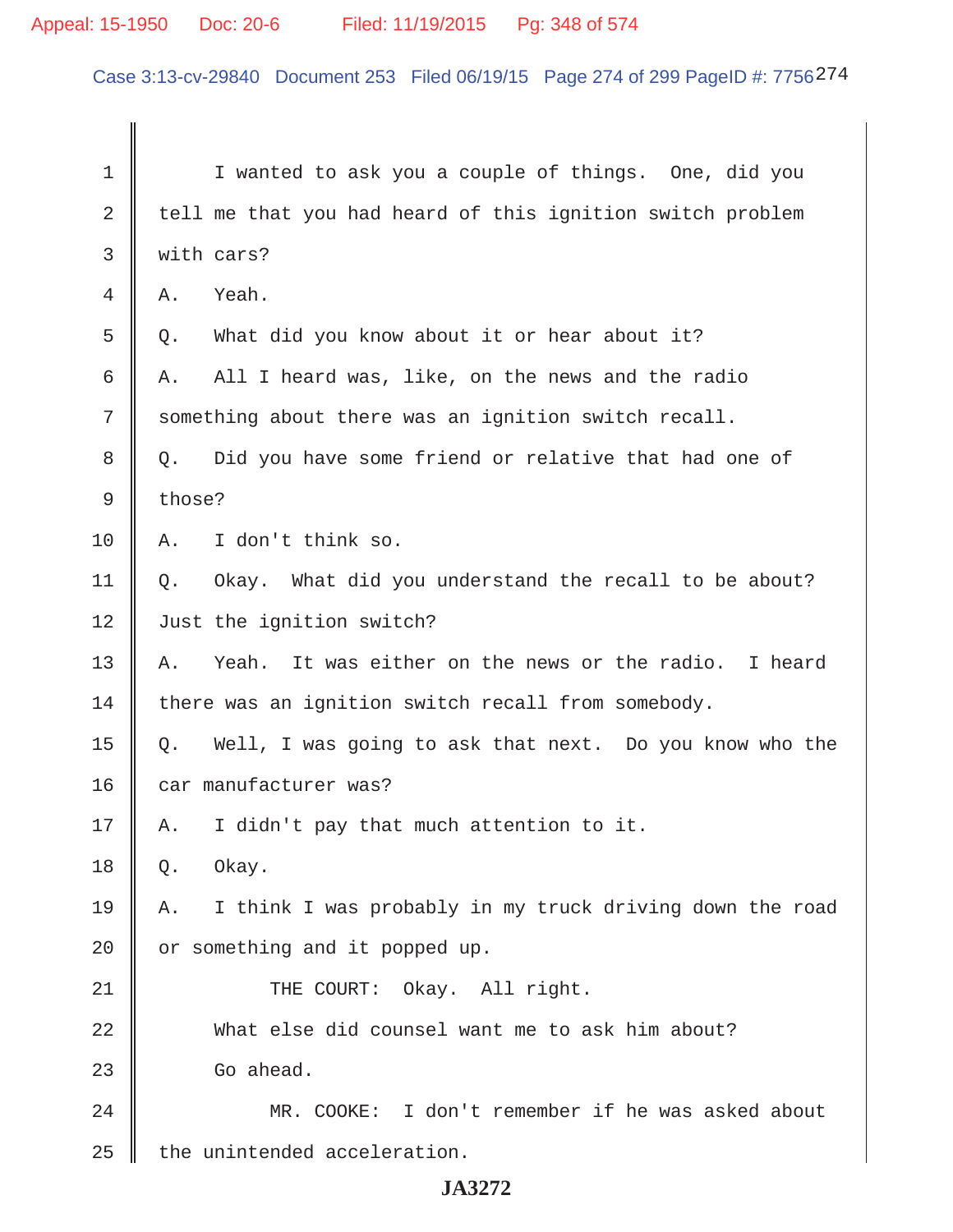# Appeal: 15-1950 Doc: 20-6 Filed: 11/19/2015 Pg: 348 of 574

Case 3:13-cv-29840 Document 253 Filed 06/19/15 Page 274 of 299 PageID #: 7756274

| $\mathbf 1$ | I wanted to ask you a couple of things. One, did you           |
|-------------|----------------------------------------------------------------|
| 2           | tell me that you had heard of this ignition switch problem     |
| 3           | with cars?                                                     |
| 4           | Yeah.<br>Α.                                                    |
| 5           | What did you know about it or hear about it?<br>Q.             |
| 6           | All I heard was, like, on the news and the radio<br>Α.         |
| 7           | something about there was an ignition switch recall.           |
| 8           | Did you have some friend or relative that had one of<br>Q.     |
| 9           | those?                                                         |
| 10          | I don't think so.<br>Α.                                        |
| 11          | Okay. What did you understand the recall to be about?<br>Q.    |
| 12          | Just the ignition switch?                                      |
| 13          | It was either on the news or the radio. I heard<br>Α.<br>Yeah. |
| 14          | there was an ignition switch recall from somebody.             |
| 15          | Well, I was going to ask that next. Do you know who the<br>Q.  |
| 16          | car manufacturer was?                                          |
| 17          | I didn't pay that much attention to it.<br>Α.                  |
| 18          | Okay.<br>Q.                                                    |
| 19          | I think I was probably in my truck driving down the road<br>Α. |
| 20          | or something and it popped up.                                 |
| 21          | THE COURT: Okay. All right.                                    |
| 22          | What else did counsel want me to ask him about?                |
| 23          | Go ahead.                                                      |
| 24          | MR. COOKE: I don't remember if he was asked about              |
| 25          | the unintended acceleration.                                   |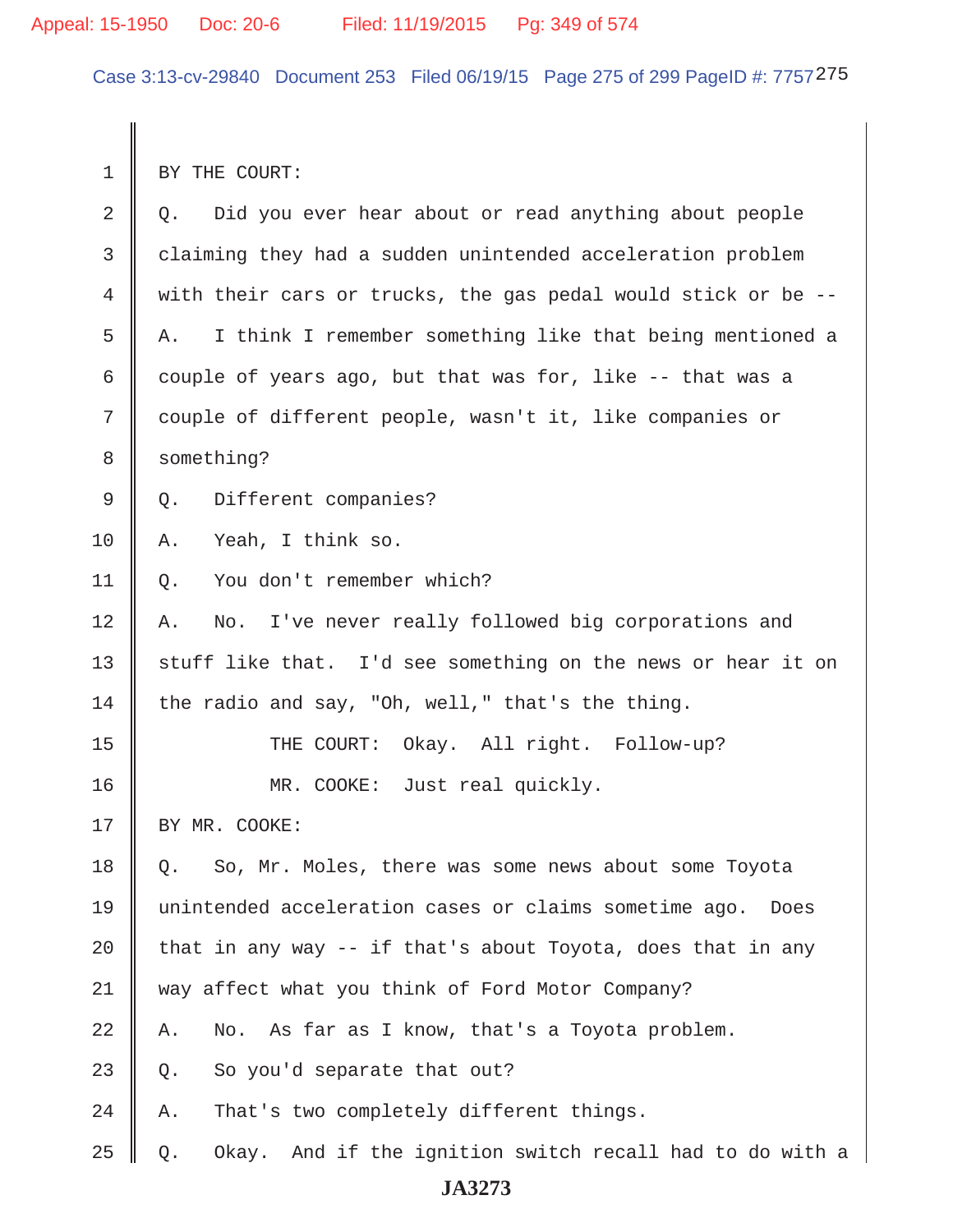Case 3:13-cv-29840 Document 253 Filed 06/19/15 Page 275 of 299 PageID #: 7757275

1 BY THE COURT:

| $\mathbf{2}$   | Did you ever hear about or read anything about people<br>Q.       |
|----------------|-------------------------------------------------------------------|
| $\mathfrak{Z}$ | claiming they had a sudden unintended acceleration problem        |
| $\overline{4}$ | with their cars or trucks, the gas pedal would stick or be --     |
| 5              | I think I remember something like that being mentioned a<br>Α.    |
| 6              | couple of years ago, but that was for, like -- that was a         |
| 7              | couple of different people, wasn't it, like companies or          |
| $\,8\,$        | something?                                                        |
| 9              | Different companies?<br>Q.                                        |
| 10             | Yeah, I think so.<br>Α.                                           |
| 11             | You don't remember which?<br>Q.                                   |
| 12             | No. I've never really followed big corporations and<br>Α.         |
| 13             | stuff like that. I'd see something on the news or hear it on      |
| 14             | the radio and say, "Oh, well," that's the thing.                  |
| 15             | THE COURT: Okay. All right. Follow-up?                            |
| 16             | MR. COOKE: Just real quickly.                                     |
| 17             | BY MR. COOKE:                                                     |
| 18             | So, Mr. Moles, there was some news about some Toyota<br>Q.        |
| 19             | unintended acceleration cases or claims sometime ago. Does        |
| 20             | that in any way -- if that's about Toyota, does that in any       |
| 21             | way affect what you think of Ford Motor Company?                  |
| 22             | As far as I know, that's a Toyota problem.<br>No.<br>Α.           |
| 23             | So you'd separate that out?<br>Q.                                 |
| 24             | That's two completely different things.<br>Α.                     |
| 25             | And if the ignition switch recall had to do with a<br>Okay.<br>Q. |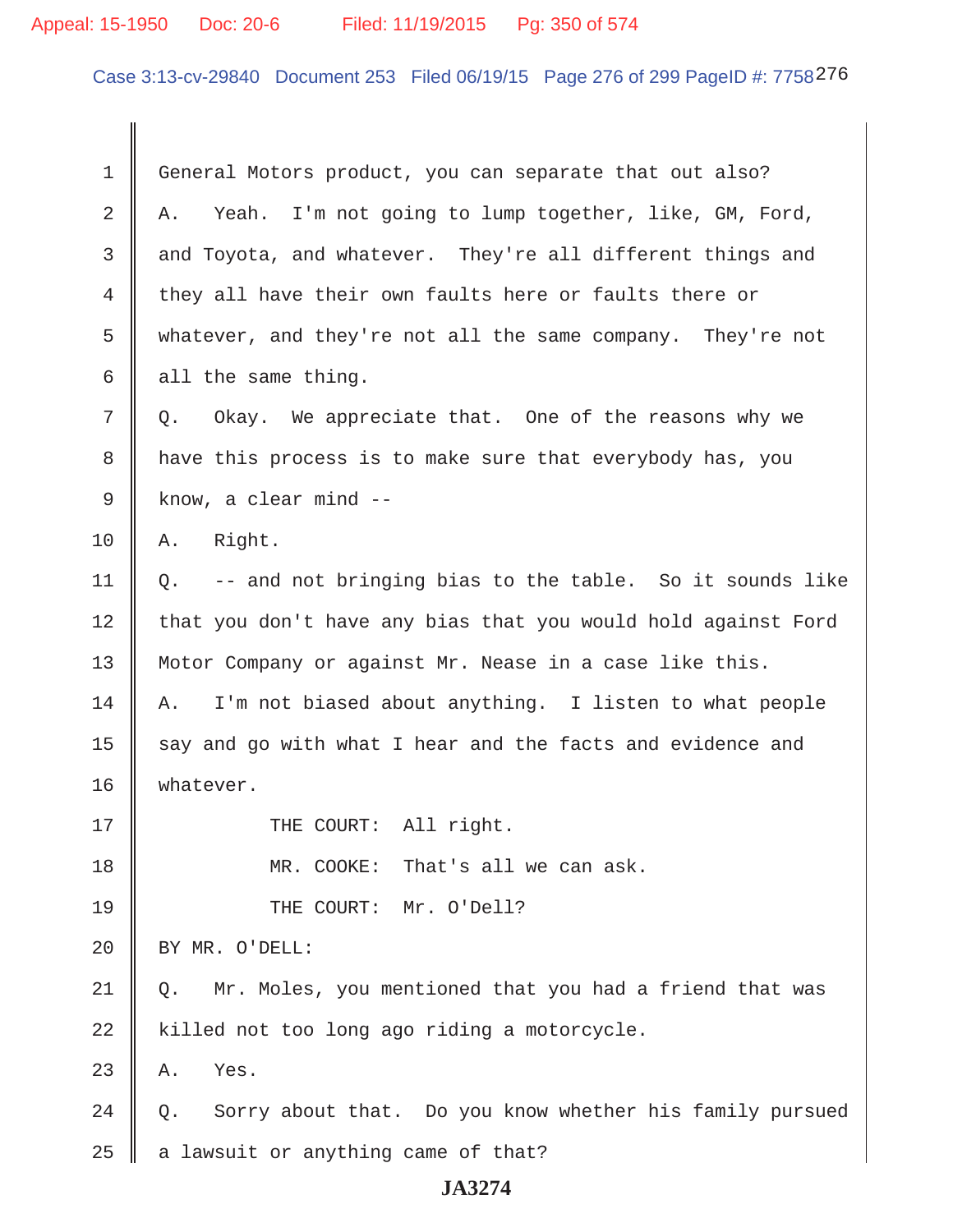# Appeal: 15-1950 Doc: 20-6 Filed: 11/19/2015 Pg: 350 of 574

Case 3:13-cv-29840 Document 253 Filed 06/19/15 Page 276 of 299 PageID #: 7758276

| 1  | General Motors product, you can separate that out also?        |
|----|----------------------------------------------------------------|
| 2  | Yeah. I'm not going to lump together, like, GM, Ford,<br>Α.    |
| 3  | and Toyota, and whatever. They're all different things and     |
| 4  | they all have their own faults here or faults there or         |
| 5  | whatever, and they're not all the same company. They're not    |
| 6  | all the same thing.                                            |
| 7  | Okay. We appreciate that. One of the reasons why we<br>Q.      |
| 8  | have this process is to make sure that everybody has, you      |
| 9  | know, a clear mind --                                          |
| 10 | Right.<br>Α.                                                   |
| 11 | -- and not bringing bias to the table. So it sounds like<br>Q. |
| 12 | that you don't have any bias that you would hold against Ford  |
| 13 | Motor Company or against Mr. Nease in a case like this.        |
| 14 | I'm not biased about anything. I listen to what people<br>Α.   |
| 15 | say and go with what I hear and the facts and evidence and     |
| 16 | whatever.                                                      |
| 17 | THE COURT: All right.                                          |
| 18 | MR. COOKE:<br>That's all we can ask.                           |
| 19 | THE COURT:<br>Mr. O'Dell?                                      |
| 20 | BY MR. O'DELL:                                                 |
| 21 | Mr. Moles, you mentioned that you had a friend that was<br>Q.  |
| 22 | killed not too long ago riding a motorcycle.                   |
| 23 | Yes.<br>Α.                                                     |
| 24 | Sorry about that. Do you know whether his family pursued<br>Q. |
| 25 | a lawsuit or anything came of that?                            |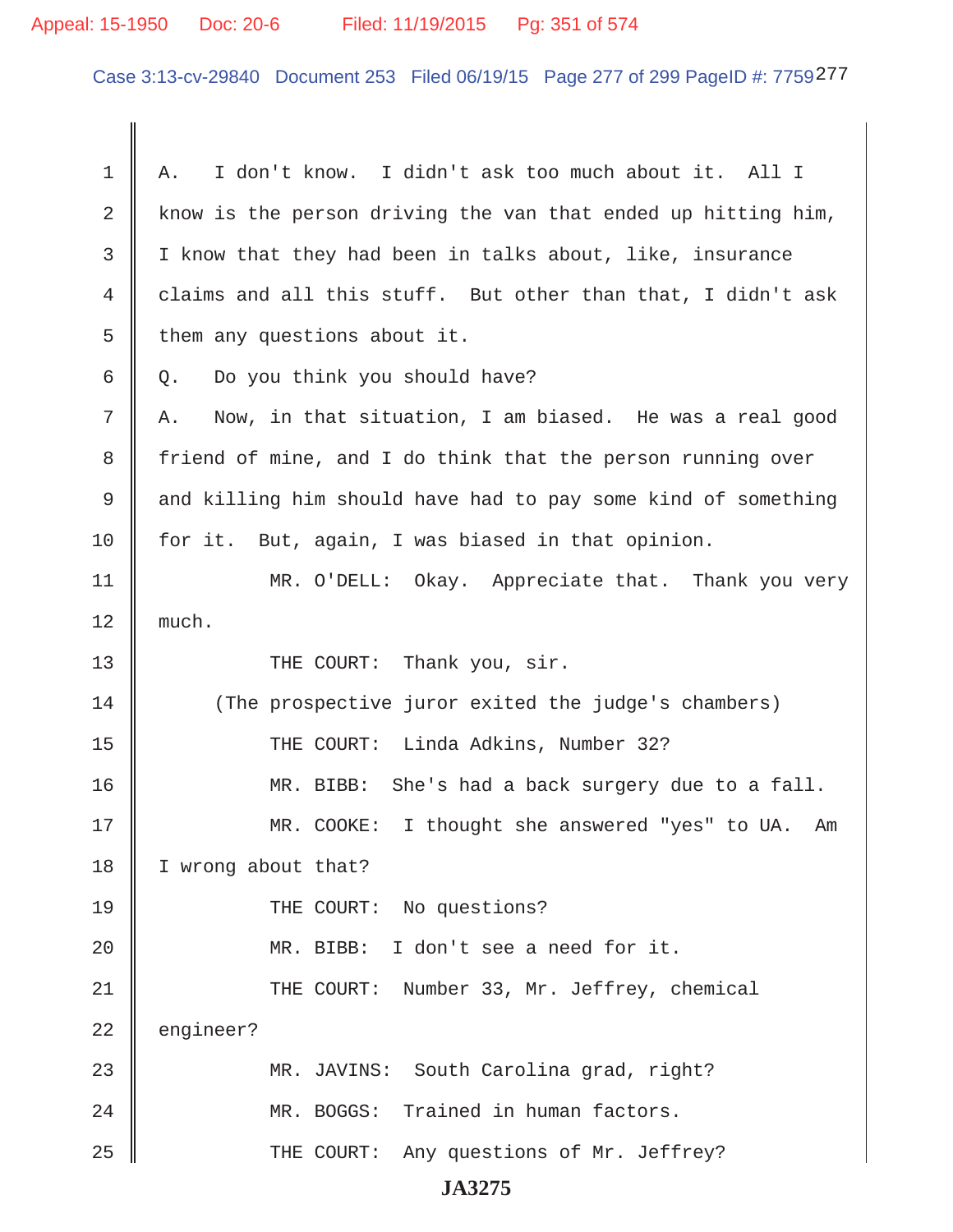# Appeal: 15-1950 Doc: 20-6 Filed: 11/19/2015 Pg: 351 of 574

Case 3:13-cv-29840 Document 253 Filed 06/19/15 Page 277 of 299 PageID #: 7759277

| $\mathbf 1$    | I don't know. I didn't ask too much about it. All I<br>Α.     |
|----------------|---------------------------------------------------------------|
| $\overline{2}$ | know is the person driving the van that ended up hitting him, |
| 3              | I know that they had been in talks about, like, insurance     |
| 4              | claims and all this stuff. But other than that, I didn't ask  |
| 5              | them any questions about it.                                  |
| 6              | Do you think you should have?<br>Q.                           |
| 7              | Now, in that situation, I am biased. He was a real good<br>Α. |
| 8              | friend of mine, and I do think that the person running over   |
| 9              | and killing him should have had to pay some kind of something |
| 10             | for it. But, again, I was biased in that opinion.             |
| 11             | MR. O'DELL: Okay. Appreciate that. Thank you very             |
| 12             | much.                                                         |
| 13             | THE COURT: Thank you, sir.                                    |
| 14             | (The prospective juror exited the judge's chambers)           |
| 15             | THE COURT: Linda Adkins, Number 32?                           |
| 16             | MR. BIBB: She's had a back surgery due to a fall.             |
| 17             | MR. COOKE: I thought she answered "yes" to UA.<br>Am          |
| 18             | I wrong about that?                                           |
| 19             | THE COURT: No questions?                                      |
| 20             | I don't see a need for it.<br>MR. BIBB:                       |
| 21             | THE COURT: Number 33, Mr. Jeffrey, chemical                   |
| 22             | engineer?                                                     |
| 23             | MR. JAVINS: South Carolina grad, right?                       |
| 24             | MR. BOGGS: Trained in human factors.                          |
| 25             | THE COURT: Any questions of Mr. Jeffrey?                      |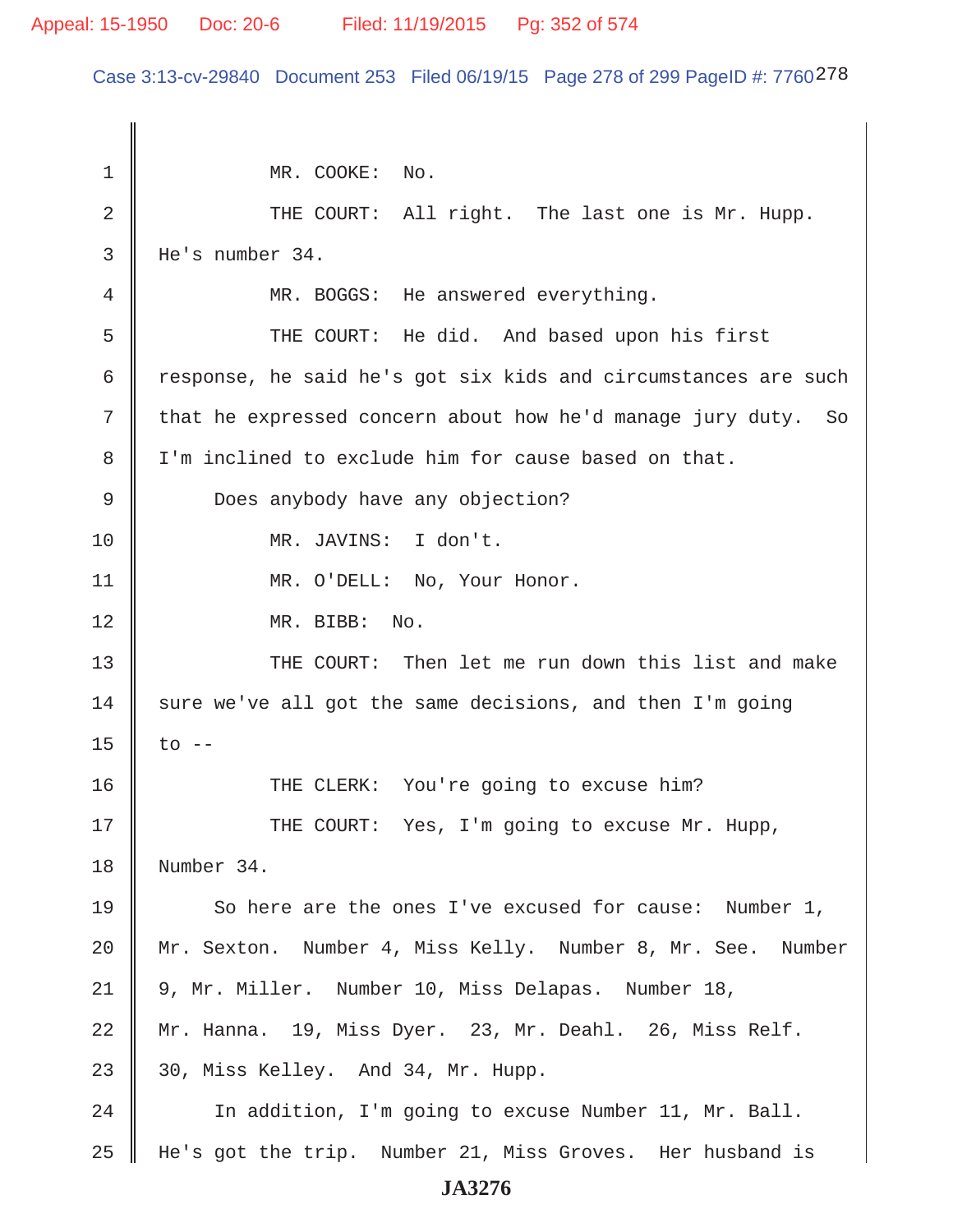#### Appeal: 15-1950 Doc: 20-6 Filed: 11/19/2015 Pg: 352 of 574

Case 3:13-cv-29840 Document 253 Filed 06/19/15 Page 278 of 299 PageID #: 7760278

1 || MR. COOKE: No. 2 || THE COURT: All right. The last one is Mr. Hupp. 3 He's number 34. 4 MR. BOGGS: He answered everything. 5 THE COURT: He did. And based upon his first 6  $\parallel$  response, he said he's got six kids and circumstances are such  $7 \parallel$  that he expressed concern about how he'd manage jury duty. So 8 I'm inclined to exclude him for cause based on that. 9 Does anybody have any objection? 10 || MR. JAVINS: I don't. 11 | MR. O'DELL: No, Your Honor. 12 || MR. BIBB: No. 13 || THE COURT: Then let me run down this list and make 14  $\parallel$  sure we've all got the same decisions, and then I'm going 15  $\|$  to  $-$ 16 THE CLERK: You're going to excuse him? 17 THE COURT: Yes, I'm going to excuse Mr. Hupp, 18 Number 34. 19 So here are the ones I've excused for cause: Number 1, 20 Mr. Sexton. Number 4, Miss Kelly. Number 8, Mr. See. Number 21 9, Mr. Miller. Number 10, Miss Delapas. Number 18, 22 Mr. Hanna. 19, Miss Dyer. 23, Mr. Deahl. 26, Miss Relf. 23  $\parallel$  30, Miss Kelley. And 34, Mr. Hupp. 24 | In addition, I'm going to excuse Number 11, Mr. Ball. 25 He's got the trip. Number 21, Miss Groves. Her husband is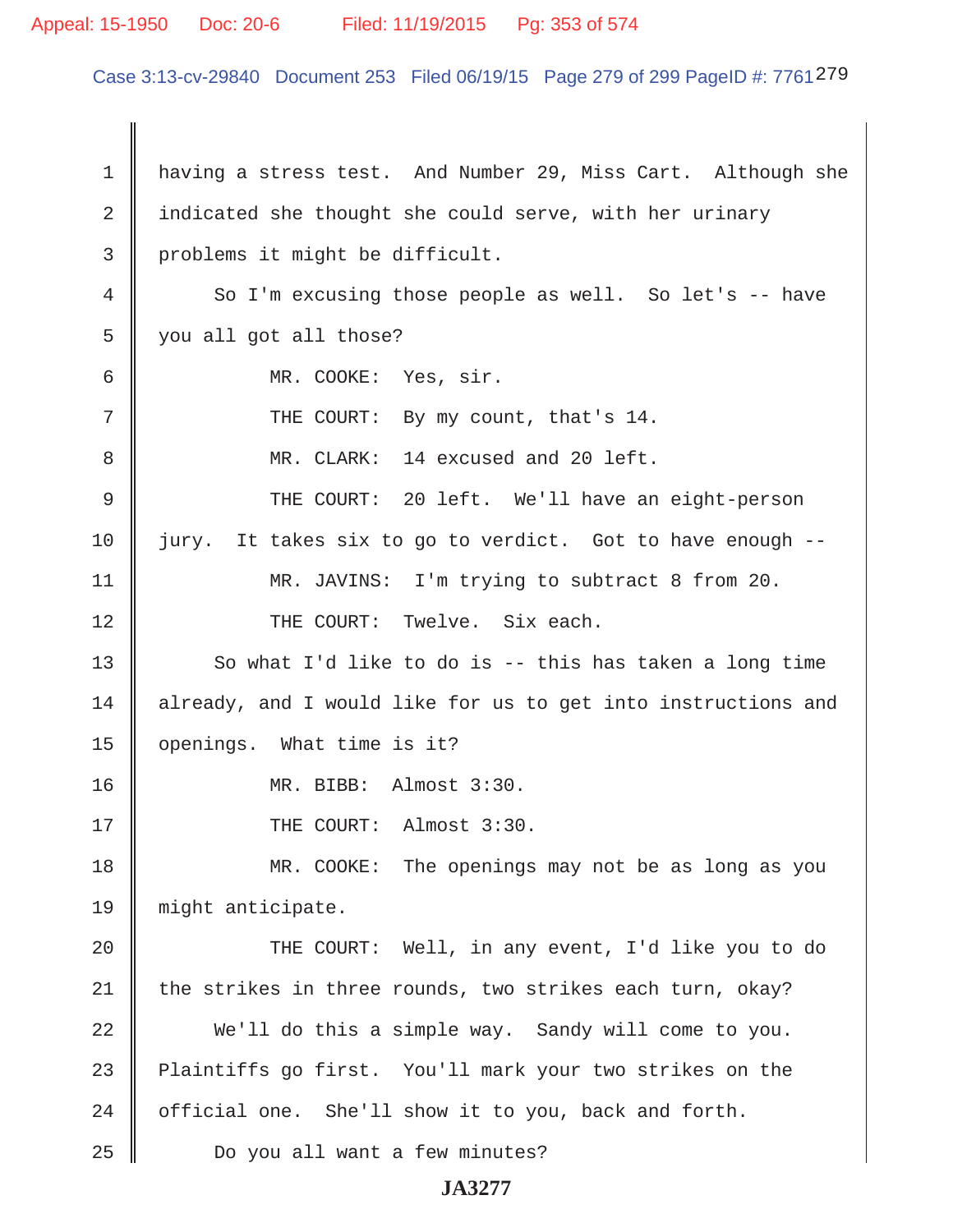#### Appeal: 15-1950 Doc: 20-6 Filed: 11/19/2015 Pg: 353 of 574

Case 3:13-cv-29840 Document 253 Filed 06/19/15 Page 279 of 299 PageID #: 7761279

 1 having a stress test. And Number 29, Miss Cart. Although she 2 | indicated she thought she could serve, with her urinary 3 | problems it might be difficult. 4 So I'm excusing those people as well. So let's -- have 5 | you all got all those? 6 MR. COOKE: Yes, sir. 7 || THE COURT: By my count, that's 14. 8 MR. CLARK: 14 excused and 20 left. 9 THE COURT: 20 left. We'll have an eight-person  $10$  jury. It takes six to go to verdict. Got to have enough  $-$ -11 || MR. JAVINS: I'm trying to subtract 8 from 20. 12 || THE COURT: Twelve. Six each. 13  $\parallel$  So what I'd like to do is -- this has taken a long time 14 | already, and I would like for us to get into instructions and 15 openings. What time is it? 16 MR. BIBB: Almost 3:30. 17 || THE COURT: Almost 3:30. 18 MR. COOKE: The openings may not be as long as you 19 might anticipate. 20 || THE COURT: Well, in any event, I'd like you to do  $21$  the strikes in three rounds, two strikes each turn, okay? 22 We'll do this a simple way. Sandy will come to you. 23 Plaintiffs go first. You'll mark your two strikes on the 24  $\parallel$  official one. She'll show it to you, back and forth. 25 || Do you all want a few minutes?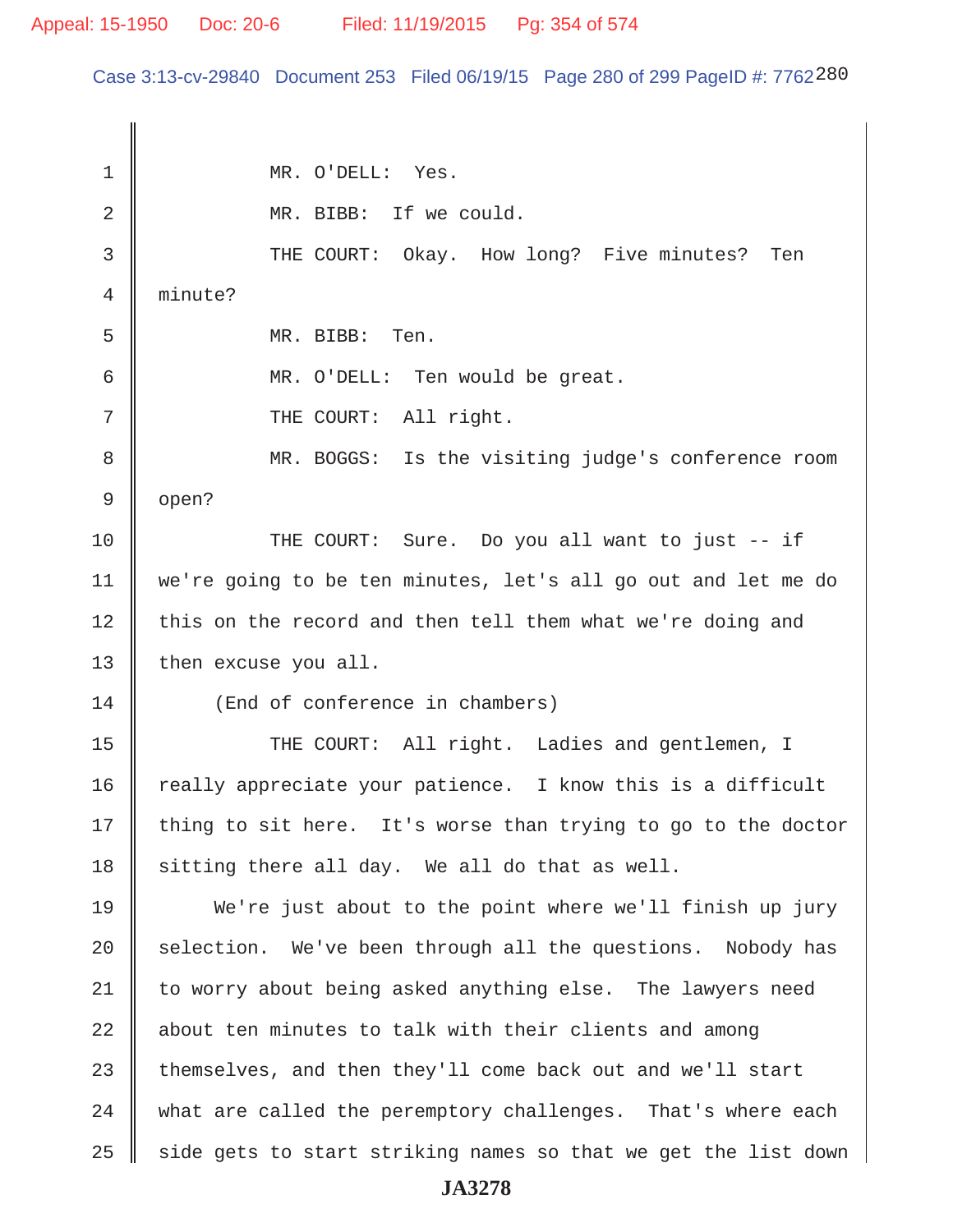Case 3:13-cv-29840 Document 253 Filed 06/19/15 Page 280 of 299 PageID #: 7762280

 1 MR. O'DELL: Yes. 2 MR. BIBB: If we could. 3 THE COURT: Okay. How long? Five minutes? Ten 4 minute? 5 MR. BIBB: Ten. 6 MR. O'DELL: Ten would be great. 7 || THE COURT: All right. 8 || MR. BOGGS: Is the visiting judge's conference room  $9 \parallel$  open? 10 THE COURT: Sure. Do you all want to just -- if 11 we're going to be ten minutes, let's all go out and let me do 12 | this on the record and then tell them what we're doing and 13 | then excuse you all. 14 || (End of conference in chambers) 15 || THE COURT: All right. Ladies and gentlemen, I 16  $\parallel$  really appreciate your patience. I know this is a difficult  $17$  thing to sit here. It's worse than trying to go to the doctor  $18$  sitting there all day. We all do that as well. 19 We're just about to the point where we'll finish up jury  $20$  selection. We've been through all the questions. Nobody has  $21$  to worry about being asked anything else. The lawyers need  $22$   $\parallel$  about ten minutes to talk with their clients and among  $23$   $\parallel$  themselves, and then they'll come back out and we'll start  $24$   $\parallel$  what are called the peremptory challenges. That's where each  $25$   $\parallel$  side gets to start striking names so that we get the list down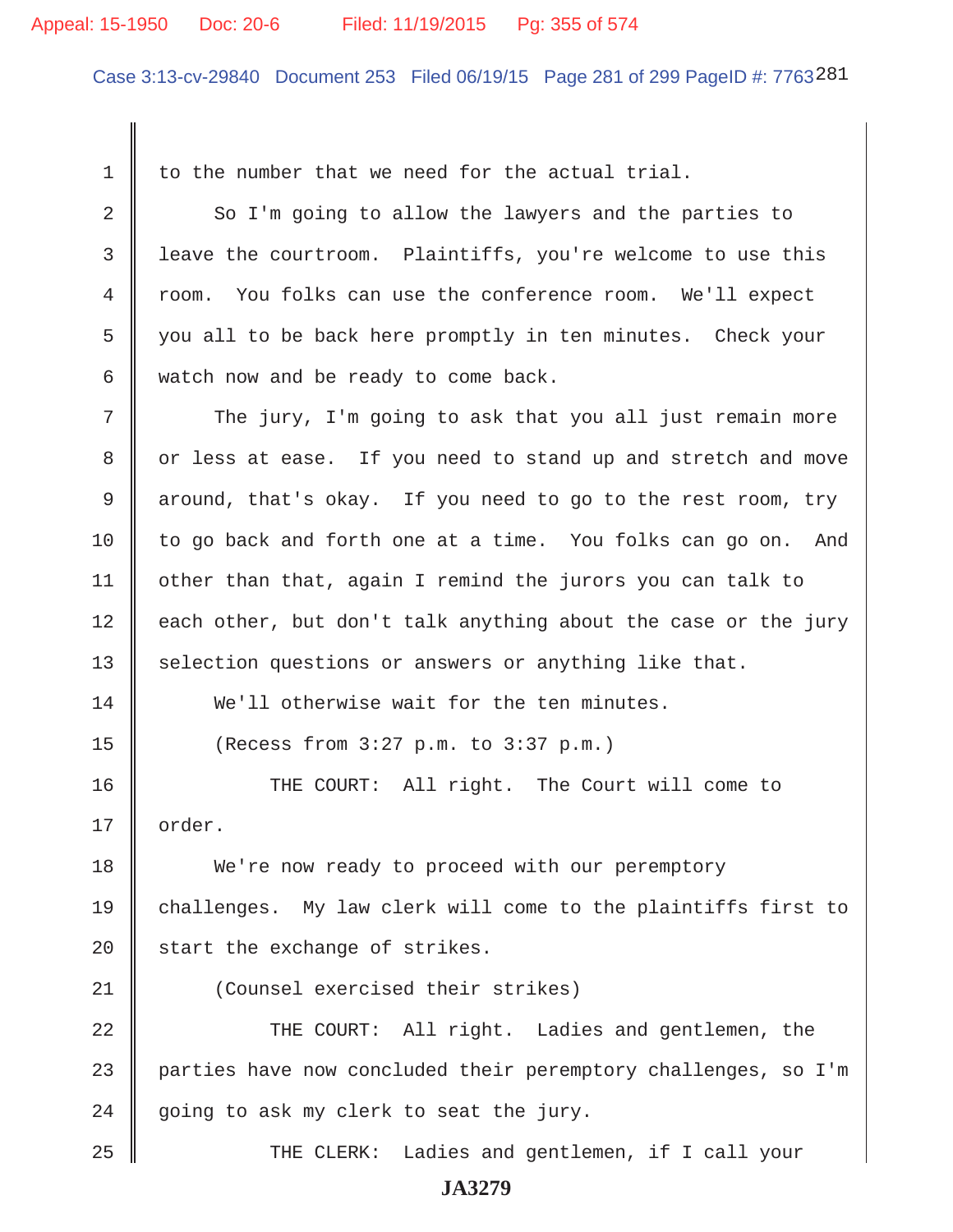#### Appeal: 15-1950 Doc: 20-6 Filed: 11/19/2015 Pg: 355 of 574

Case 3:13-cv-29840 Document 253 Filed 06/19/15 Page 281 of 299 PageID #: 7763281

 $1 \parallel$  to the number that we need for the actual trial. 2 So I'm going to allow the lawyers and the parties to 3 leave the courtroom. Plaintiffs, you're welcome to use this 4 room. You folks can use the conference room. We'll expect 5 you all to be back here promptly in ten minutes. Check your  $6 \parallel$  watch now and be ready to come back.  $7$   $\parallel$  The jury, I'm going to ask that you all just remain more 8 || or less at ease. If you need to stand up and stretch and move 9 around, that's okay. If you need to go to the rest room, try  $10$  to go back and forth one at a time. You folks can go on. And 11  $\parallel$  other than that, again I remind the jurors you can talk to  $12$  each other, but don't talk anything about the case or the jury 13 Selection questions or answers or anything like that. 14 We'll otherwise wait for the ten minutes.  $15$  | (Recess from 3:27 p.m. to 3:37 p.m.) 16 || THE COURT: All right. The Court will come to 17 || order. 18 We're now ready to proceed with our peremptory 19 challenges. My law clerk will come to the plaintiffs first to  $20$  start the exchange of strikes. 21 (Counsel exercised their strikes) 22 THE COURT: All right. Ladies and gentlemen, the 23 parties have now concluded their peremptory challenges, so I'm 24 going to ask my clerk to seat the jury. 25 THE CLERK: Ladies and gentlemen, if I call your **JA3279**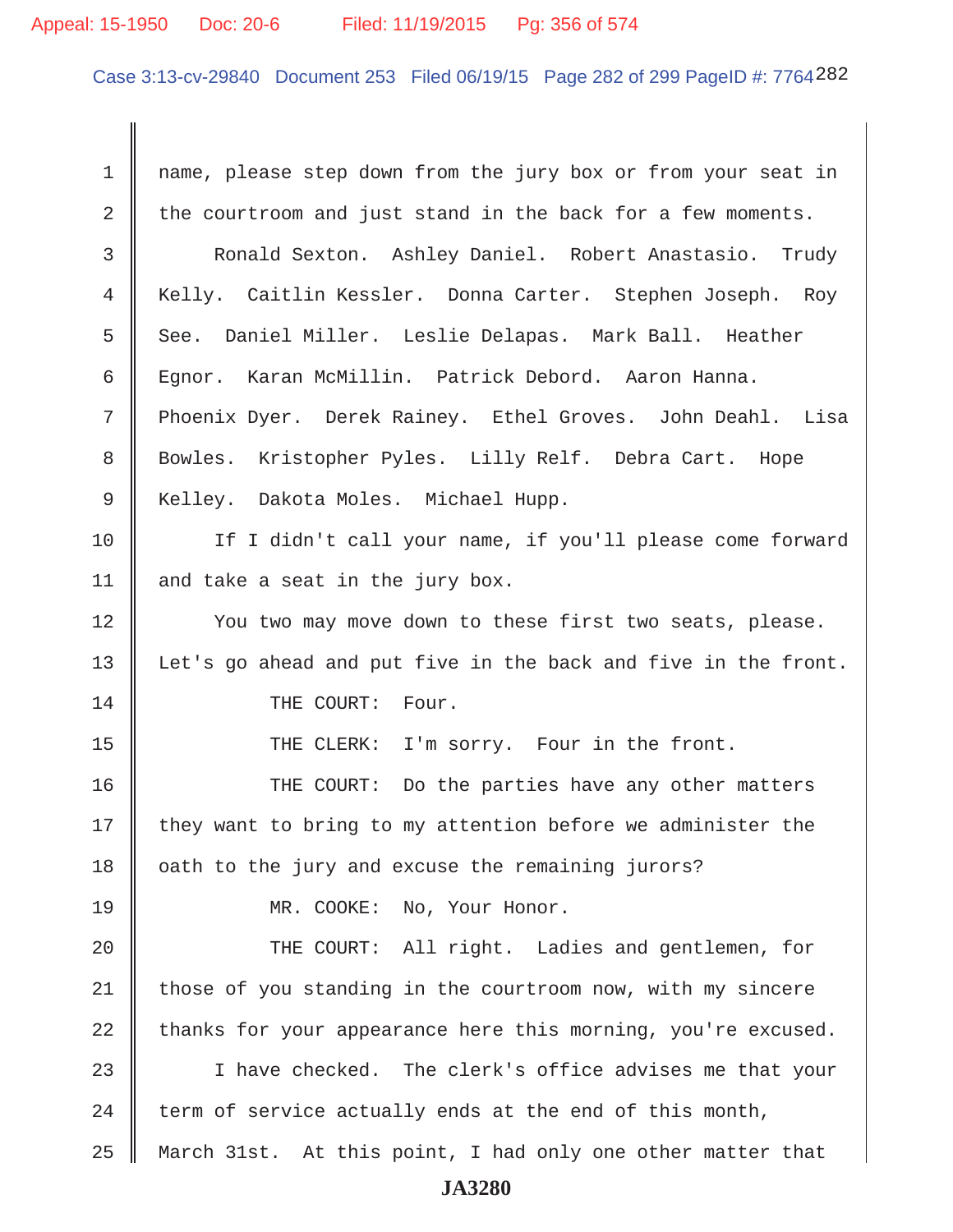#### Appeal: 15-1950 Doc: 20-6 Filed: 11/19/2015 Pg: 356 of 574

Case 3:13-cv-29840 Document 253 Filed 06/19/15 Page 282 of 299 PageID #: 7764282

1 mame, please step down from the jury box or from your seat in  $2 \parallel$  the courtroom and just stand in the back for a few moments. 3 Ronald Sexton. Ashley Daniel. Robert Anastasio. Trudy 4 || Kelly. Caitlin Kessler. Donna Carter. Stephen Joseph. Roy 5 || See. Daniel Miller. Leslie Delapas. Mark Ball. Heather 6 Egnor. Karan McMillin. Patrick Debord. Aaron Hanna. 7 Phoenix Dyer. Derek Rainey. Ethel Groves. John Deahl. Lisa 8 || Bowles. Kristopher Pyles. Lilly Relf. Debra Cart. Hope 9 || Kelley. Dakota Moles. Michael Hupp. 10 || If I didn't call your name, if you'll please come forward 11  $\parallel$  and take a seat in the jury box. 12 || You two may move down to these first two seats, please. 13 || Let's go ahead and put five in the back and five in the front. 14 || THE COURT: Four. 15 || THE CLERK: I'm sorry. Four in the front. 16 THE COURT: Do the parties have any other matters  $17$  they want to bring to my attention before we administer the  $18$  | oath to the jury and excuse the remaining jurors? 19 MR. COOKE: No, Your Honor. 20 || THE COURT: All right. Ladies and gentlemen, for  $21$  those of you standing in the courtroom now, with my sincere  $22$  thanks for your appearance here this morning, you're excused. 23 || I have checked. The clerk's office advises me that your 24  $\parallel$  term of service actually ends at the end of this month, 25 March 31st. At this point, I had only one other matter that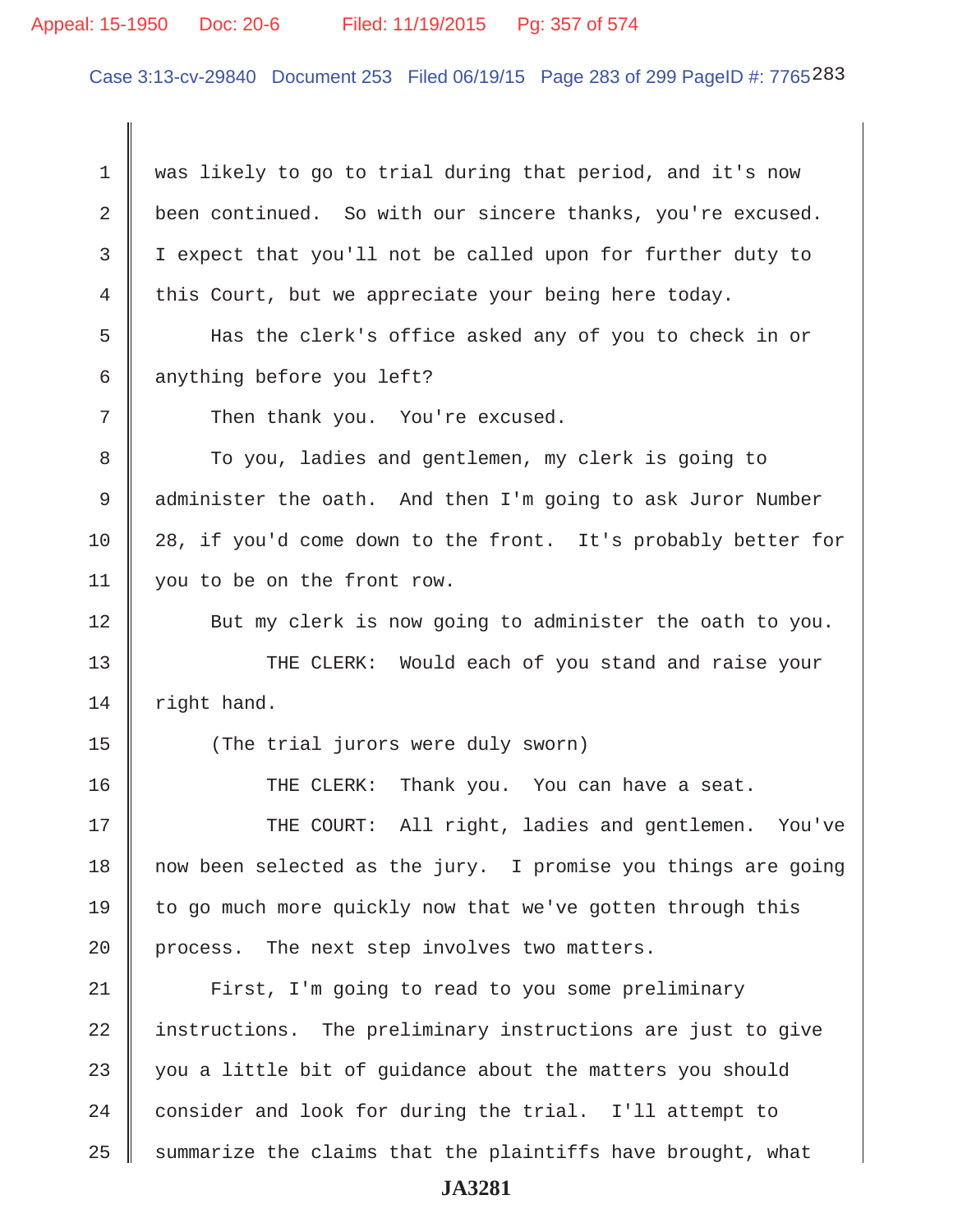#### Appeal: 15-1950 Doc: 20-6 Filed: 11/19/2015 Pg: 357 of 574

Case 3:13-cv-29840 Document 253 Filed 06/19/15 Page 283 of 299 PageID #: 7765283

 1 was likely to go to trial during that period, and it's now 2 been continued. So with our sincere thanks, you're excused. 3 I expect that you'll not be called upon for further duty to 4 this Court, but we appreciate your being here today. 5 Has the clerk's office asked any of you to check in or

6 anything before you left?

 $7$  || Then thank you. You're excused.

8 To you, ladies and gentlemen, my clerk is going to 9 | administer the oath. And then I'm going to ask Juror Number 10 28, if you'd come down to the front. It's probably better for 11 you to be on the front row.

12 | But my clerk is now going to administer the oath to you.

13 || THE CLERK: Would each of you stand and raise your  $14$  right hand.

15 || (The trial jurors were duly sworn)

16 THE CLERK: Thank you. You can have a seat.

17 THE COURT: All right, ladies and gentlemen. You've 18 now been selected as the jury. I promise you things are going 19  $\parallel$  to go much more quickly now that we've gotten through this 20 | process. The next step involves two matters.

21 | First, I'm going to read to you some preliminary 22 instructions. The preliminary instructions are just to give 23  $\parallel$  you a little bit of quidance about the matters you should 24 consider and look for during the trial. I'll attempt to  $25$  summarize the claims that the plaintiffs have brought, what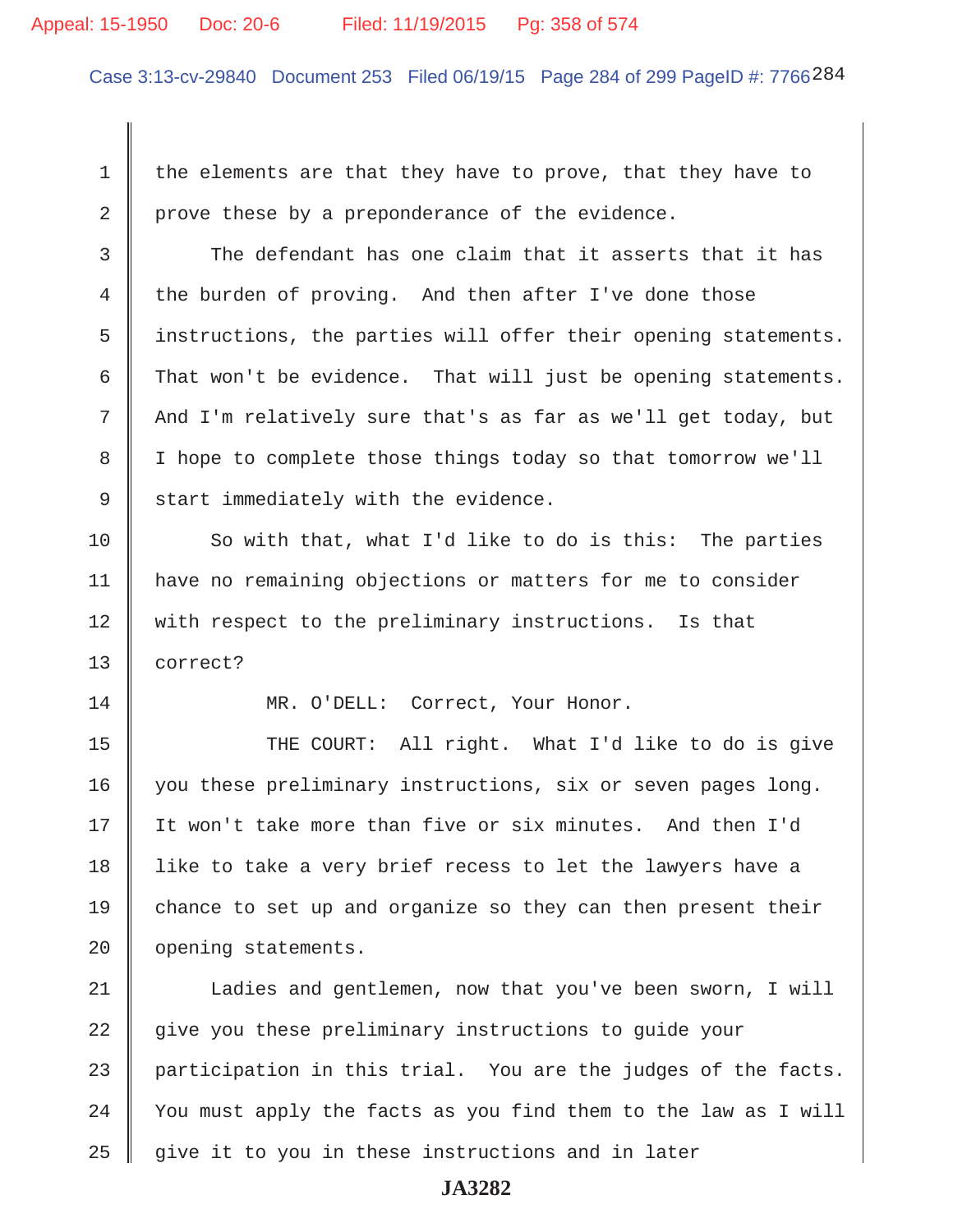#### Appeal: 15-1950 Doc: 20-6 Filed: 11/19/2015 Pg: 358 of 574

Case 3:13-cv-29840 Document 253 Filed 06/19/15 Page 284 of 299 PageID #: 7766284

1  $\parallel$  the elements are that they have to prove, that they have to 2 | prove these by a preponderance of the evidence.

 $3 \parallel$  The defendant has one claim that it asserts that it has 4 the burden of proving. And then after I've done those 5 instructions, the parties will offer their opening statements. 6 That won't be evidence. That will just be opening statements. 7 || And I'm relatively sure that's as far as we'll get today, but 8 | I hope to complete those things today so that tomorrow we'll  $9 \parallel$  start immediately with the evidence.

10 So with that, what I'd like to do is this: The parties 11 have no remaining objections or matters for me to consider 12 with respect to the preliminary instructions. Is that 13 correct?

14 || MR. O'DELL: Correct, Your Honor.

15 || THE COURT: All right. What I'd like to do is give 16 you these preliminary instructions, six or seven pages long. 17 It won't take more than five or six minutes. And then I'd 18 || like to take a very brief recess to let the lawyers have a 19  $\parallel$  chance to set up and organize so they can then present their 20 | opening statements.

21 | Ladies and gentlemen, now that you've been sworn, I will 22 give you these preliminary instructions to guide your 23  $\parallel$  participation in this trial. You are the judges of the facts.  $24$  | You must apply the facts as you find them to the law as I will  $25$   $\parallel$  give it to you in these instructions and in later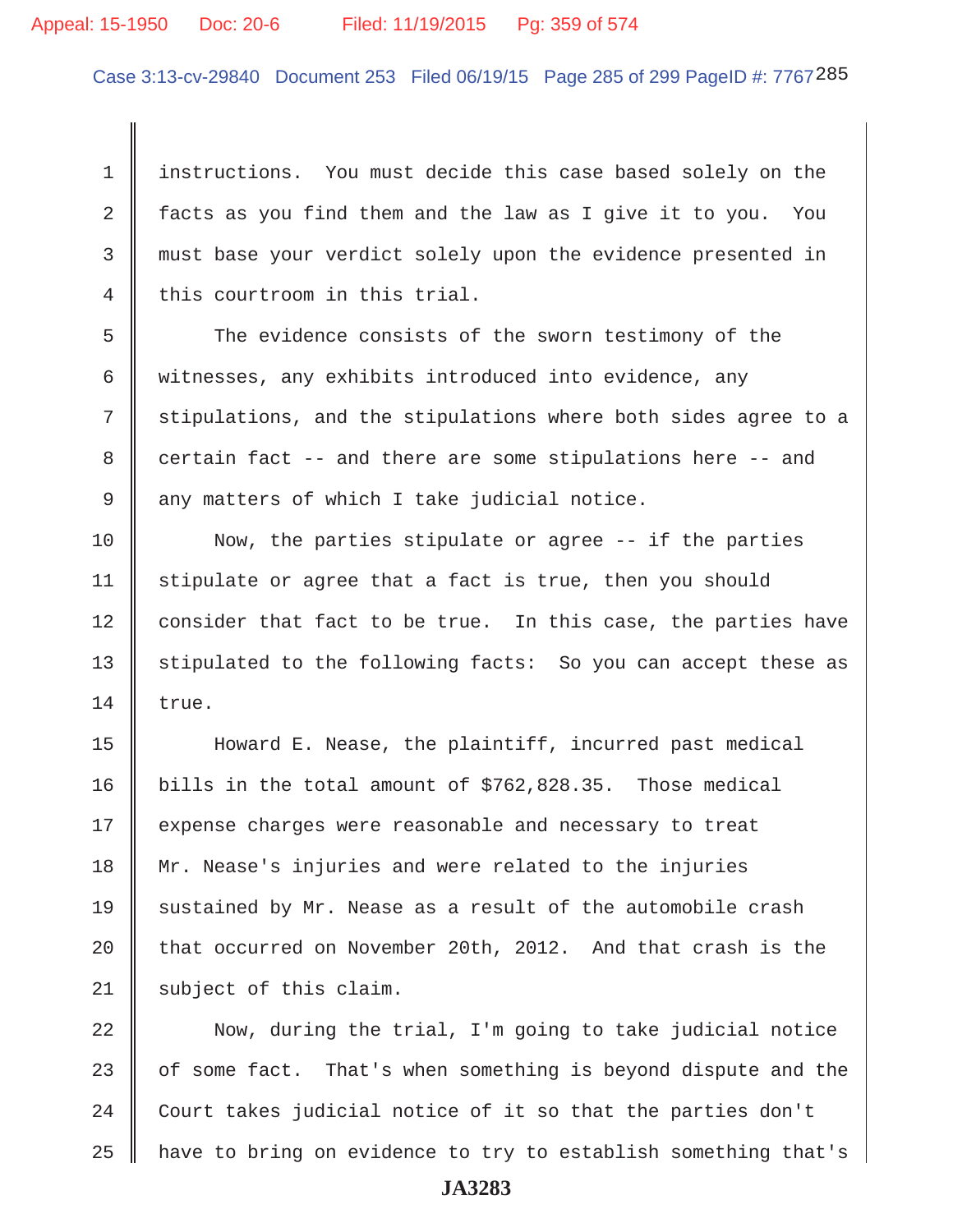#### Appeal: 15-1950 Doc: 20-6 Filed: 11/19/2015 Pg: 359 of 574

Case 3:13-cv-29840 Document 253 Filed 06/19/15 Page 285 of 299 PageID #: 7767285

 1 instructions. You must decide this case based solely on the 2 | facts as you find them and the law as I give it to you. You 3 must base your verdict solely upon the evidence presented in  $4 \parallel$  this courtroom in this trial.

5 The evidence consists of the sworn testimony of the 6 witnesses, any exhibits introduced into evidence, any  $7$   $\parallel$  stipulations, and the stipulations where both sides agree to a  $8 \parallel$  certain fact -- and there are some stipulations here -- and  $9 \parallel$  any matters of which I take judicial notice.

10 Now, the parties stipulate or agree -- if the parties  $11$  stipulate or agree that a fact is true, then you should 12 | consider that fact to be true. In this case, the parties have 13 || stipulated to the following facts: So you can accept these as  $14 \parallel \text{true}.$ 

15 Howard E. Nease, the plaintiff, incurred past medical 16 bills in the total amount of \$762,828.35. Those medical 17 || expense charges were reasonable and necessary to treat 18 Mr. Nease's injuries and were related to the injuries 19 || sustained by Mr. Nease as a result of the automobile crash 20  $\parallel$  that occurred on November 20th, 2012. And that crash is the  $21$  subject of this claim.

  $\parallel$  Now, during the trial, I'm going to take judicial notice  $\parallel$  of some fact. That's when something is beyond dispute and the  $\parallel$  Court takes judicial notice of it so that the parties don't 25 || have to bring on evidence to try to establish something that's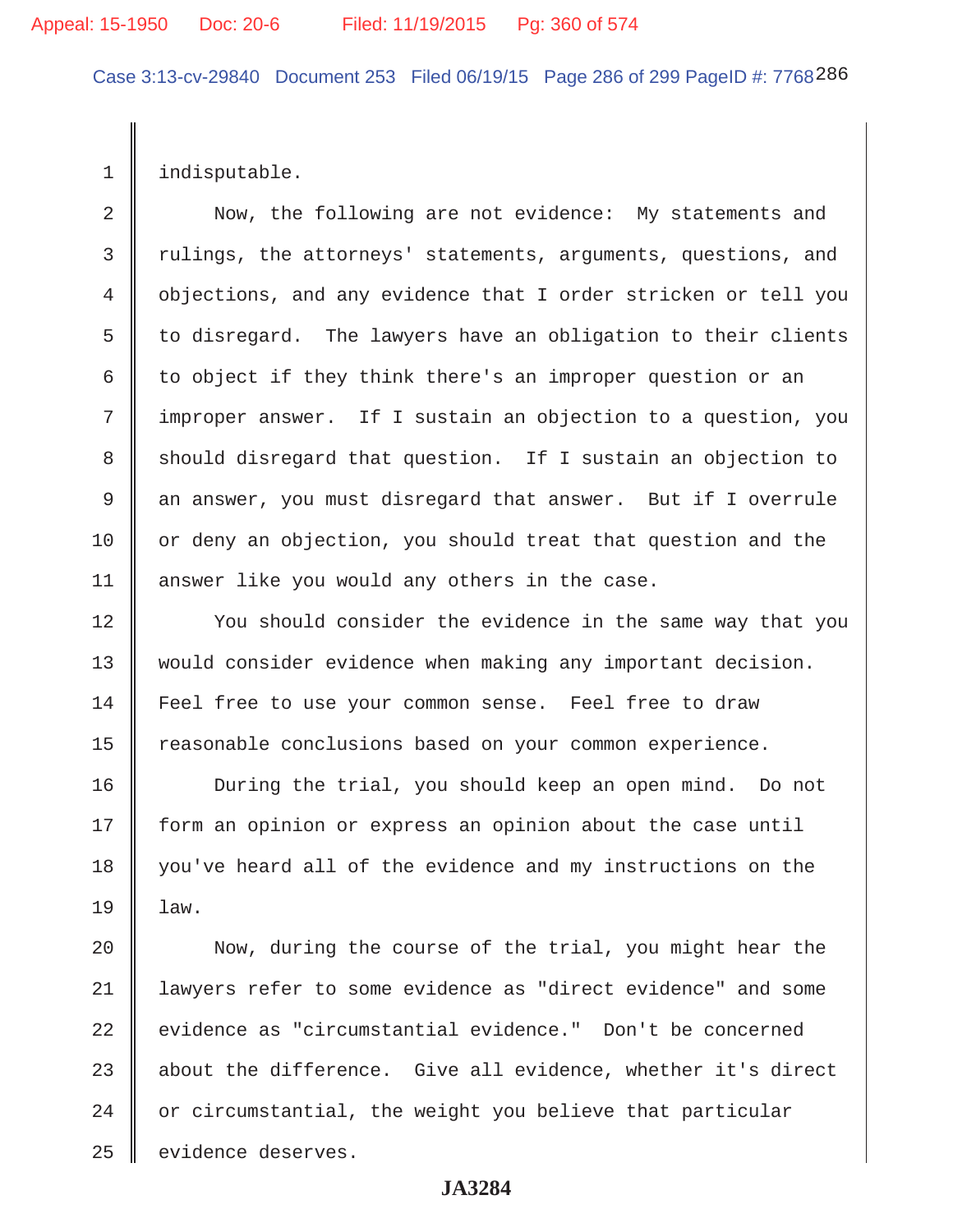Case 3:13-cv-29840 Document 253 Filed 06/19/15 Page 286 of 299 PageID #: 7768286

1 | indisputable.

 2 Now, the following are not evidence: My statements and 3 | rulings, the attorneys' statements, arguments, questions, and 4 objections, and any evidence that I order stricken or tell you  $5 \parallel$  to disregard. The lawyers have an obligation to their clients 6 to object if they think there's an improper question or an 7 | improper answer. If I sustain an objection to a question, you 8 Should disregard that question. If I sustain an objection to 9 an answer, you must disregard that answer. But if I overrule 10 || or deny an objection, you should treat that question and the 11 | answer like you would any others in the case.

12 || You should consider the evidence in the same way that you 13 would consider evidence when making any important decision. 14 Feel free to use your common sense. Feel free to draw 15 | reasonable conclusions based on your common experience.

16 || During the trial, you should keep an open mind. Do not 17 | form an opinion or express an opinion about the case until 18 || you've heard all of the evidence and my instructions on the  $19 \parallel \text{law}.$ 

20 || Now, during the course of the trial, you might hear the 21 lawyers refer to some evidence as "direct evidence" and some 22 || evidence as "circumstantial evidence." Don't be concerned 23  $\parallel$  about the difference. Give all evidence, whether it's direct  $24$   $\parallel$  or circumstantial, the weight you believe that particular 25 | evidence deserves.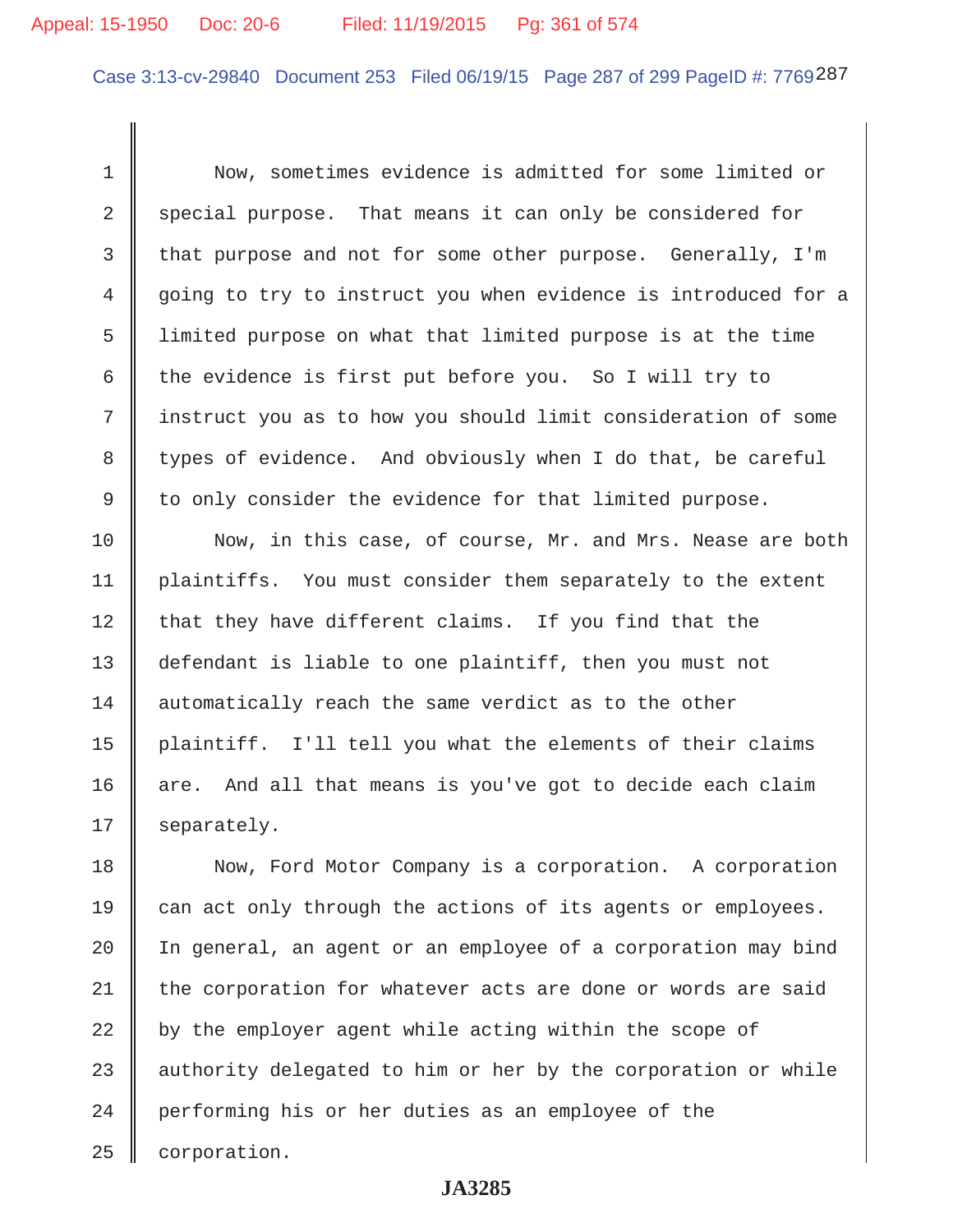# Appeal: 15-1950 Doc: 20-6 Filed: 11/19/2015 Pg: 361 of 574

Case 3:13-cv-29840 Document 253 Filed 06/19/15 Page 287 of 299 PageID #: 7769287

 1 Now, sometimes evidence is admitted for some limited or  $2 \parallel$  special purpose. That means it can only be considered for 3 that purpose and not for some other purpose. Generally, I'm 4 going to try to instruct you when evidence is introduced for a 5 limited purpose on what that limited purpose is at the time 6 the evidence is first put before you. So I will try to 7 || instruct you as to how you should limit consideration of some 8 types of evidence. And obviously when I do that, be careful 9 to only consider the evidence for that limited purpose.

10 Now, in this case, of course, Mr. and Mrs. Nease are both 11 | plaintiffs. You must consider them separately to the extent  $12$  that they have different claims. If you find that the 13 defendant is liable to one plaintiff, then you must not 14 automatically reach the same verdict as to the other 15 plaintiff. I'll tell you what the elements of their claims  $16$  are. And all that means is you've got to decide each claim  $17 \parallel$  separately.

18 Now, Ford Motor Company is a corporation. A corporation  $\parallel$  can act only through the actions of its agents or employees.  $\parallel$  In general, an agent or an employee of a corporation may bind the corporation for whatever acts are done or words are said  $\parallel$  by the employer agent while acting within the scope of  $\parallel$  authority delegated to him or her by the corporation or while 24 performing his or her duties as an employee of the | corporation.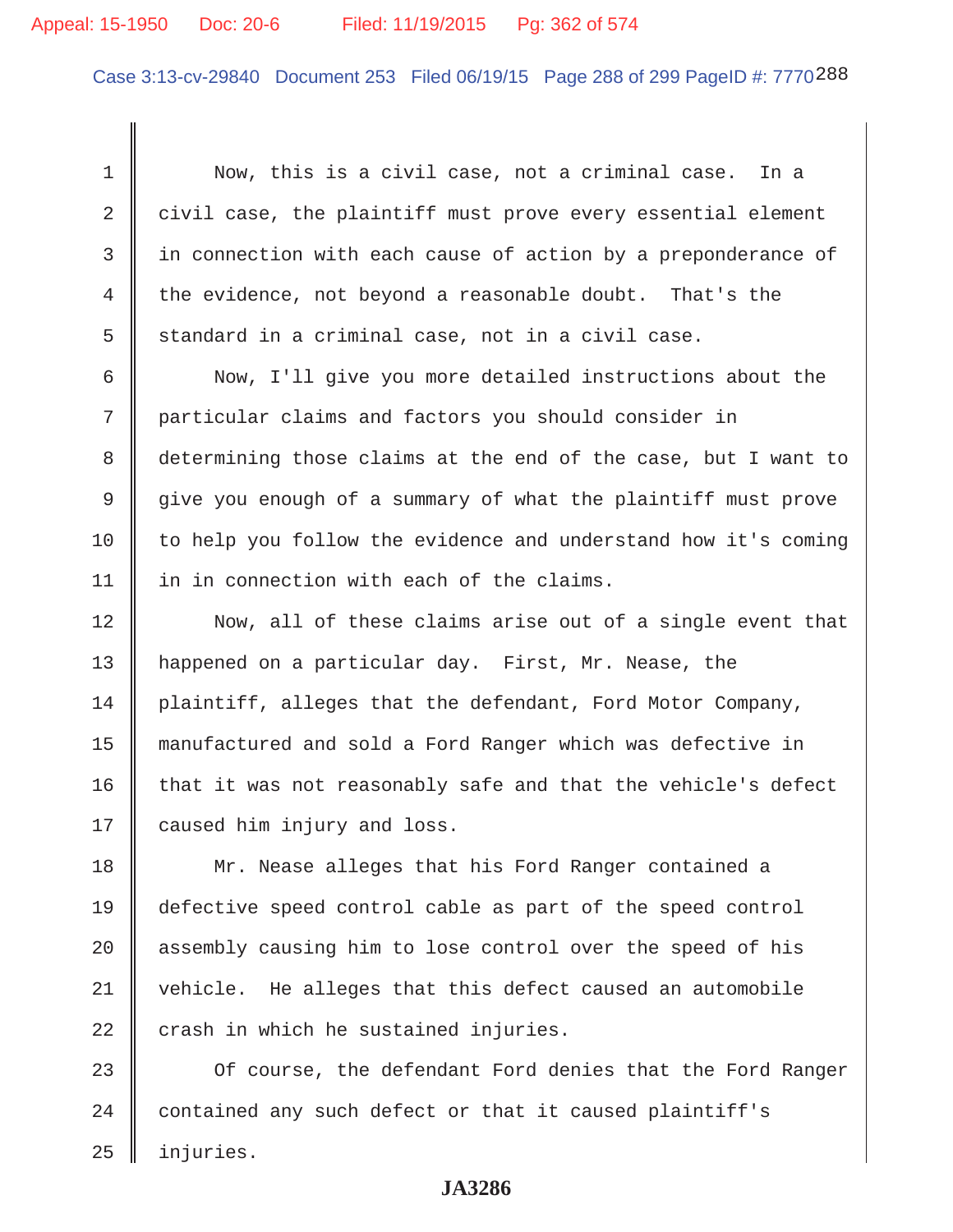#### Appeal: 15-1950 Doc: 20-6 Filed: 11/19/2015 Pg: 362 of 574

Case 3:13-cv-29840 Document 253 Filed 06/19/15 Page 288 of 299 PageID #: 7770288

 1 Now, this is a civil case, not a criminal case. In a 2  $\parallel$  civil case, the plaintiff must prove every essential element 3 || in connection with each cause of action by a preponderance of 4 the evidence, not beyond a reasonable doubt. That's the 5 standard in a criminal case, not in a civil case.

6 | Now, I'll give you more detailed instructions about the 7 | particular claims and factors you should consider in 8 determining those claims at the end of the case, but I want to 9 give you enough of a summary of what the plaintiff must prove  $10$  to help you follow the evidence and understand how it's coming 11 | in in connection with each of the claims.

12 || Now, all of these claims arise out of a single event that 13 happened on a particular day. First, Mr. Nease, the 14 plaintiff, alleges that the defendant, Ford Motor Company, 15 manufactured and sold a Ford Ranger which was defective in  $16$  that it was not reasonably safe and that the vehicle's defect 17 | caused him injury and loss.

18 || Mr. Nease alleges that his Ford Ranger contained a 19 defective speed control cable as part of the speed control 20 assembly causing him to lose control over the speed of his 21 vehicle. He alleges that this defect caused an automobile  $22$  | crash in which he sustained injuries.

 $23$   $\parallel$  Of course, the defendant Ford denies that the Ford Ranger 24 contained any such defect or that it caused plaintiff's 25 injuries.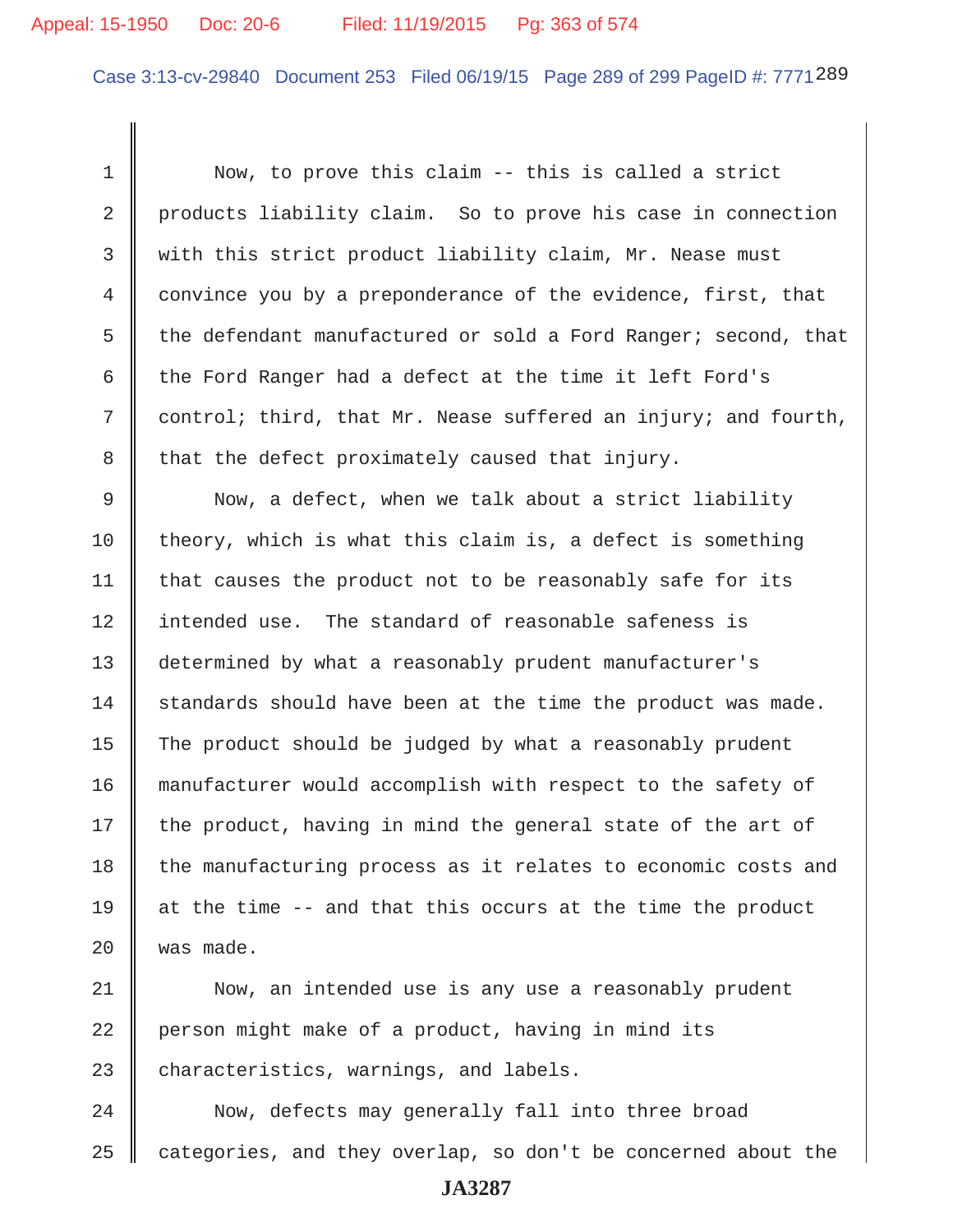# Appeal: 15-1950 Doc: 20-6 Filed: 11/19/2015 Pg: 363 of 574

Case 3:13-cv-29840 Document 253 Filed 06/19/15 Page 289 of 299 PageID #: 7771289

 1 Now, to prove this claim -- this is called a strict 2 products liability claim. So to prove his case in connection 3 Weith this strict product liability claim, Mr. Nease must 4 convince you by a preponderance of the evidence, first, that 5 the defendant manufactured or sold a Ford Ranger; second, that 6  $\parallel$  the Ford Ranger had a defect at the time it left Ford's  $7 \parallel$  control; third, that Mr. Nease suffered an injury; and fourth,  $8 \parallel$  that the defect proximately caused that injury. 9 Now, a defect, when we talk about a strict liability 10 theory, which is what this claim is, a defect is something 11  $\parallel$  that causes the product not to be reasonably safe for its 12 intended use. The standard of reasonable safeness is 13 determined by what a reasonably prudent manufacturer's  $14$  standards should have been at the time the product was made. 15  $\parallel$  The product should be judged by what a reasonably prudent 16 manufacturer would accomplish with respect to the safety of 17  $\parallel$  the product, having in mind the general state of the art of 18 the manufacturing process as it relates to economic costs and 19  $\parallel$  at the time -- and that this occurs at the time the product  $20$  | was made.

21 || Now, an intended use is any use a reasonably prudent  $22$  person might make of a product, having in mind its  $23$   $\parallel$  characteristics, warnings, and labels.

24 | Now, defects may generally fall into three broad  $25$  categories, and they overlap, so don't be concerned about the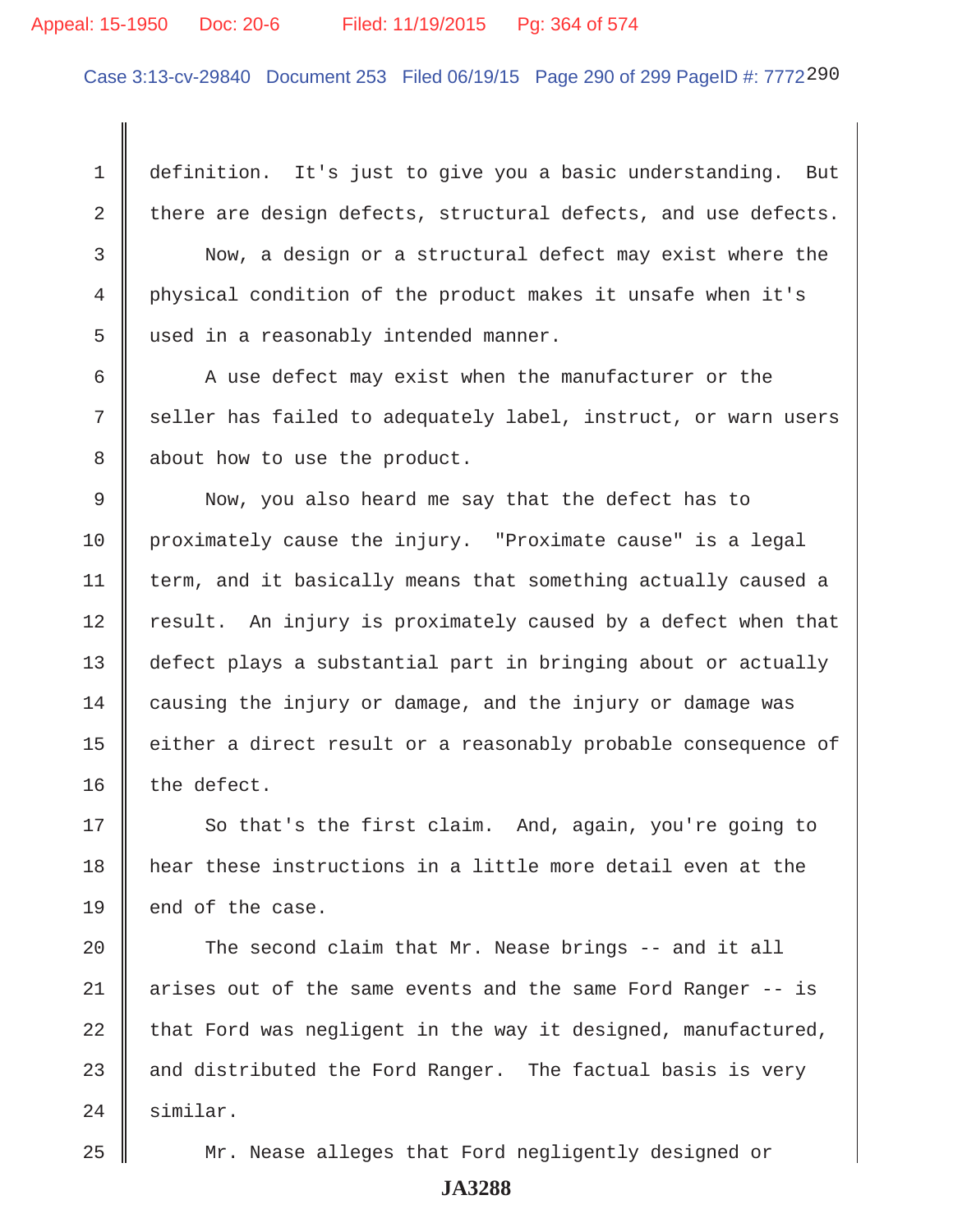#### Appeal: 15-1950 Doc: 20-6 Filed: 11/19/2015 Pg: 364 of 574

Case 3:13-cv-29840 Document 253 Filed 06/19/15 Page 290 of 299 PageID #: 7772290

 1 definition. It's just to give you a basic understanding. But 2 there are design defects, structural defects, and use defects.

 3 Now, a design or a structural defect may exist where the 4 physical condition of the product makes it unsafe when it's 5 || used in a reasonably intended manner.

 $6$   $\parallel$  A use defect may exist when the manufacturer or the 7 seller has failed to adequately label, instruct, or warn users 8 about how to use the product.

9 Now, you also heard me say that the defect has to 10 proximately cause the injury. "Proximate cause" is a legal  $11$   $\parallel$  term, and it basically means that something actually caused a 12 | result. An injury is proximately caused by a defect when that 13 defect plays a substantial part in bringing about or actually 14 causing the injury or damage, and the injury or damage was 15 | either a direct result or a reasonably probable consequence of  $16$  | the defect.

17 So that's the first claim. And, again, you're going to 18 hear these instructions in a little more detail even at the 19  $\parallel$  end of the case.

20  $\parallel$  The second claim that Mr. Nease brings -- and it all 21 | arises out of the same events and the same Ford Ranger -- is  $22$  that Ford was negligent in the way it designed, manufactured, 23  $\parallel$  and distributed the Ford Ranger. The factual basis is very 24 Similar.

25 Mr. Nease alleges that Ford negligently designed or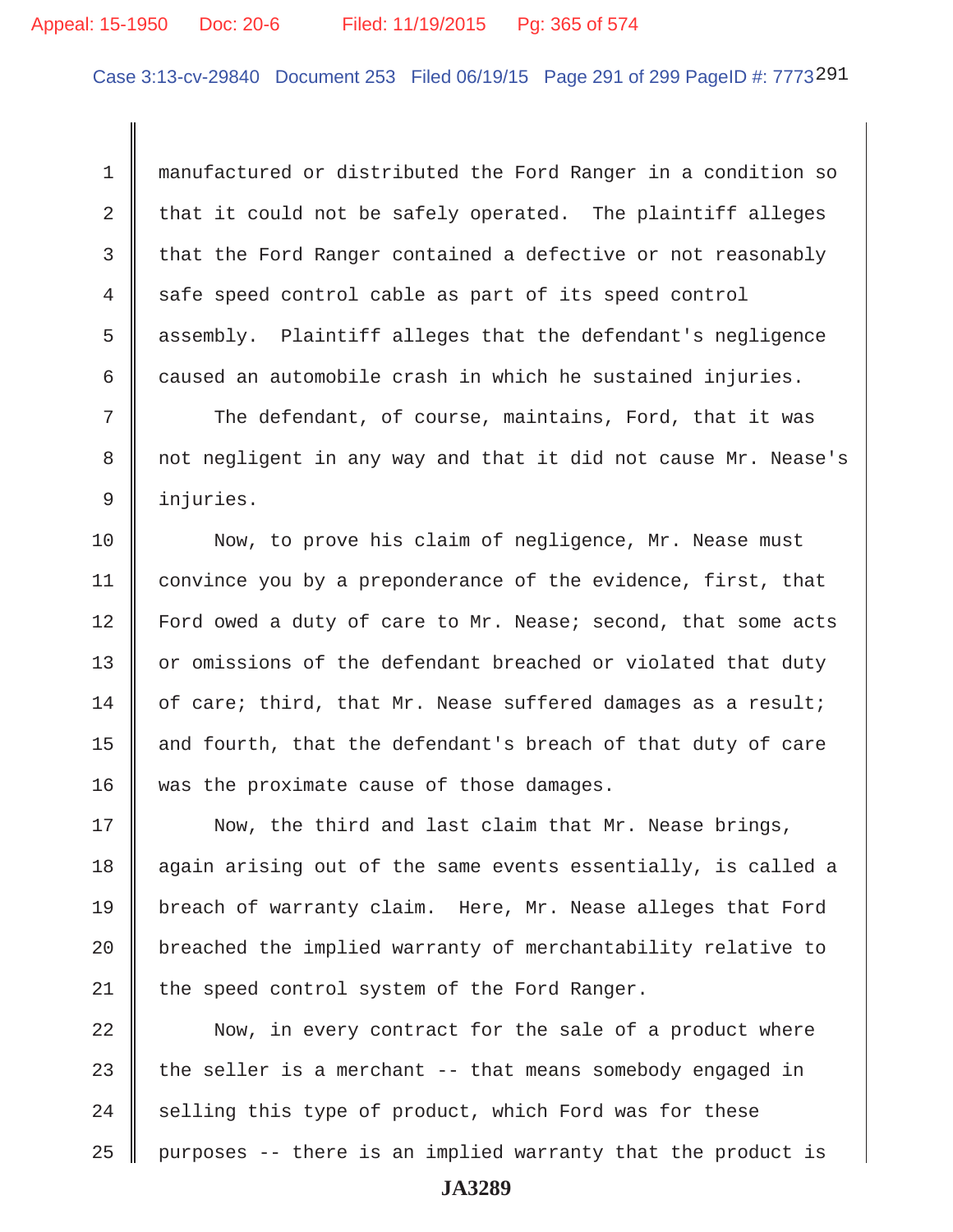Case 3:13-cv-29840 Document 253 Filed 06/19/15 Page 291 of 299 PageID #: 7773291

 1 manufactured or distributed the Ford Ranger in a condition so 2  $\parallel$  that it could not be safely operated. The plaintiff alleges 3 that the Ford Ranger contained a defective or not reasonably 4 safe speed control cable as part of its speed control 5 assembly. Plaintiff alleges that the defendant's negligence  $6 \parallel$  caused an automobile crash in which he sustained injuries.

 $7$   $\parallel$  The defendant, of course, maintains, Ford, that it was 8 || not negligent in any way and that it did not cause Mr. Nease's 9 injuries.

10 || Now, to prove his claim of negligence, Mr. Nease must 11 | convince you by a preponderance of the evidence, first, that 12 | Ford owed a duty of care to Mr. Nease; second, that some acts 13 or omissions of the defendant breached or violated that duty 14  $\parallel$  of care; third, that Mr. Nease suffered damages as a result; 15  $\parallel$  and fourth, that the defendant's breach of that duty of care 16 was the proximate cause of those damages.

17 || Now, the third and last claim that Mr. Nease brings, 18 || again arising out of the same events essentially, is called a 19 breach of warranty claim. Here, Mr. Nease alleges that Ford  $20$   $\parallel$  breached the implied warranty of merchantability relative to 21  $\parallel$  the speed control system of the Ford Ranger.

  $\parallel$  Now, in every contract for the sale of a product where  $\parallel$  the seller is a merchant -- that means somebody engaged in  $\parallel$  selling this type of product, which Ford was for these || purposes -- there is an implied warranty that the product is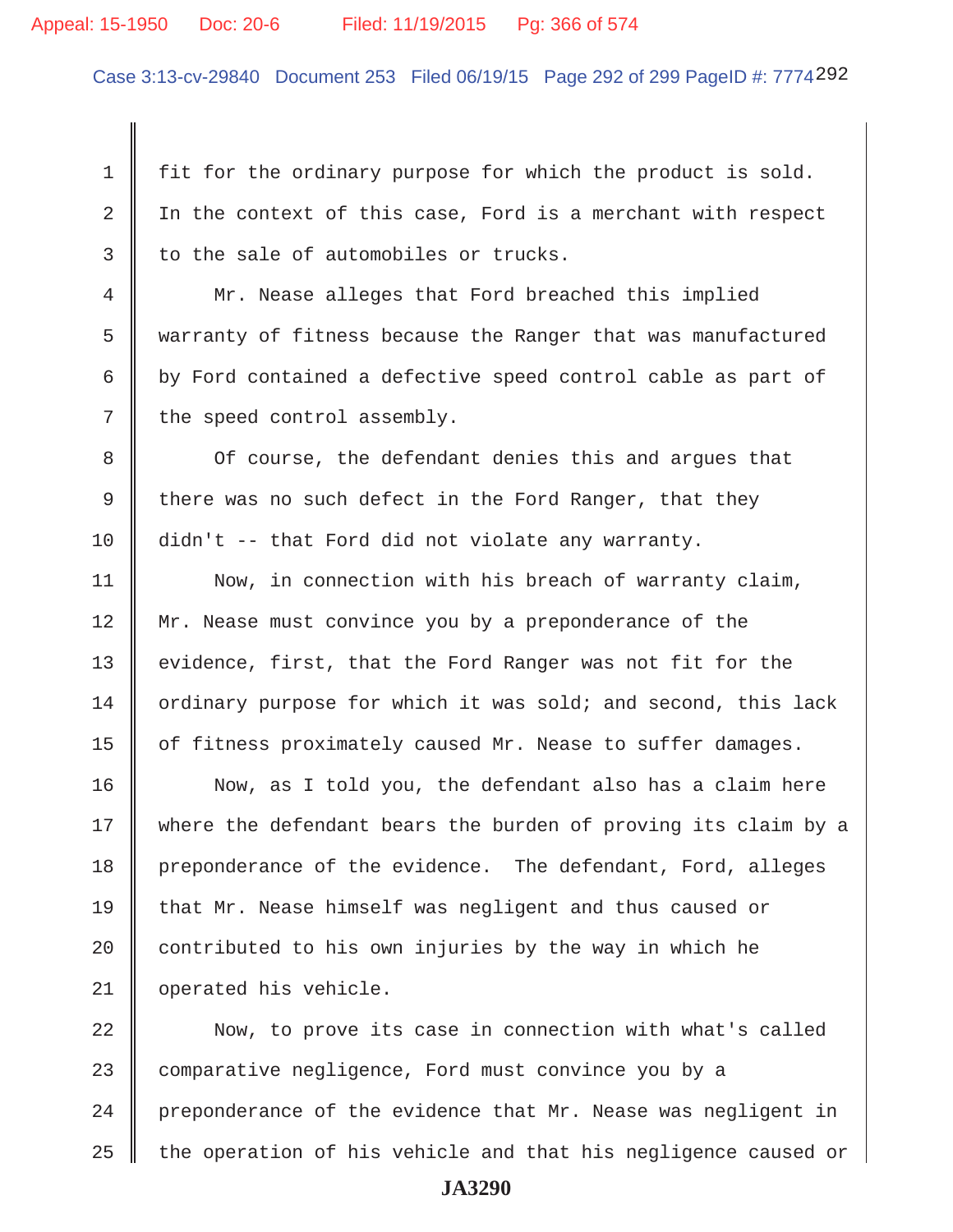#### Appeal: 15-1950 Doc: 20-6 Filed: 11/19/2015 Pg: 366 of 574

Case 3:13-cv-29840 Document 253 Filed 06/19/15 Page 292 of 299 PageID #: 7774292

 $1 \parallel$  fit for the ordinary purpose for which the product is sold. 2  $\parallel$  In the context of this case, Ford is a merchant with respect  $3 \parallel$  to the sale of automobiles or trucks.

 4 Mr. Nease alleges that Ford breached this implied 5 warranty of fitness because the Ranger that was manufactured 6 by Ford contained a defective speed control cable as part of  $7 \parallel$  the speed control assembly.

8 || Of course, the defendant denies this and argues that 9 there was no such defect in the Ford Ranger, that they 10 didn't -- that Ford did not violate any warranty.

11 | Now, in connection with his breach of warranty claim, 12 Mr. Nease must convince you by a preponderance of the 13 || evidence, first, that the Ford Ranger was not fit for the  $14$  | ordinary purpose for which it was sold; and second, this lack 15 | of fitness proximately caused Mr. Nease to suffer damages.

16 || Now, as I told you, the defendant also has a claim here 17 where the defendant bears the burden of proving its claim by a 18 preponderance of the evidence. The defendant, Ford, alleges 19 that Mr. Nease himself was negligent and thus caused or 20  $\parallel$  contributed to his own injuries by the way in which he 21 | operated his vehicle.

22 || Now, to prove its case in connection with what's called 23 comparative negligence, Ford must convince you by a  $24$  | preponderance of the evidence that Mr. Nease was negligent in  $25$   $\parallel$  the operation of his vehicle and that his negligence caused or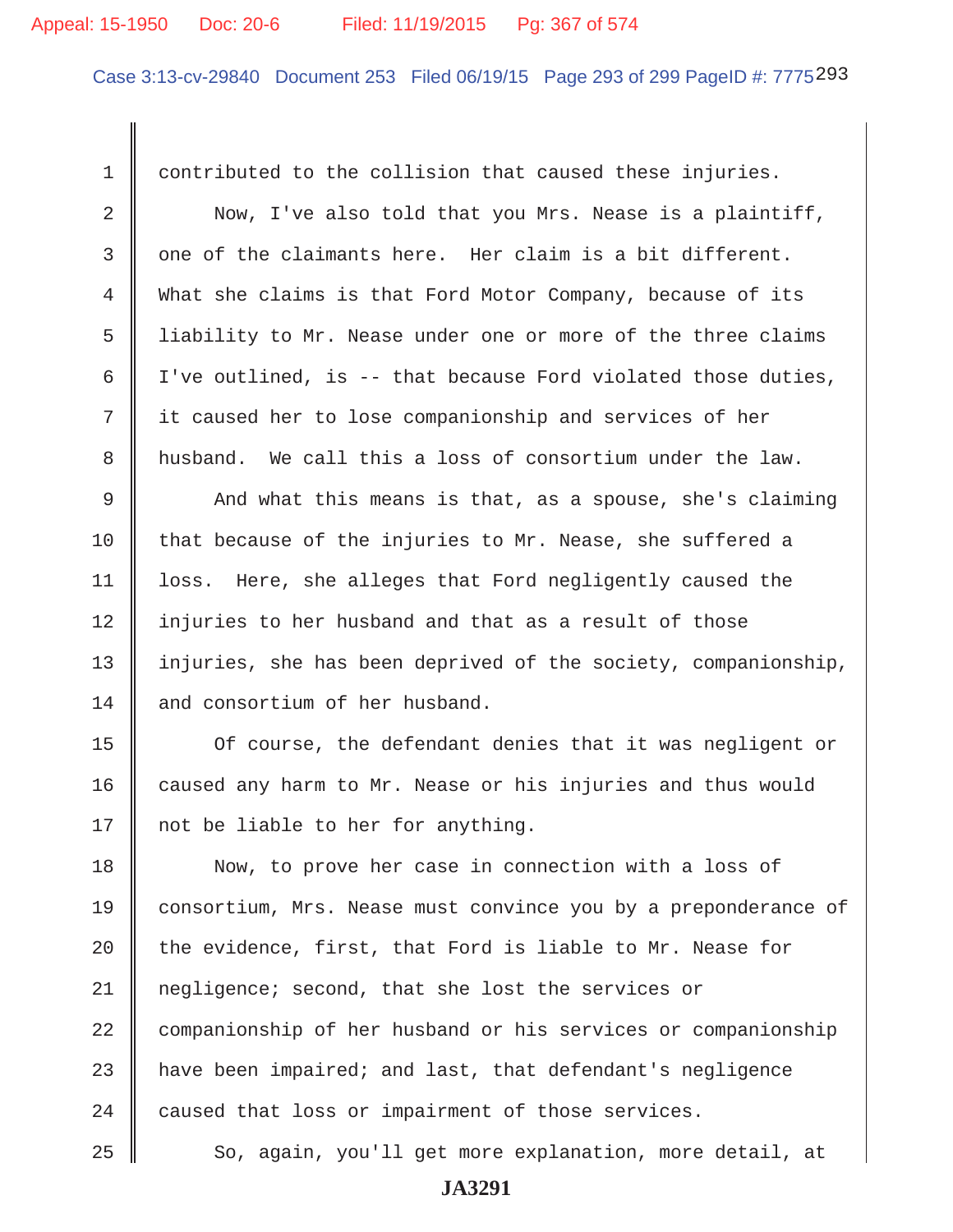#### Appeal: 15-1950 Doc: 20-6 Filed: 11/19/2015 Pg: 367 of 574

Case 3:13-cv-29840 Document 253 Filed 06/19/15 Page 293 of 299 PageID #: 7775293

 1 contributed to the collision that caused these injuries. 2 Now, I've also told that you Mrs. Nease is a plaintiff,  $3 \parallel$  one of the claimants here. Her claim is a bit different. 4 What she claims is that Ford Motor Company, because of its 5 I liability to Mr. Nease under one or more of the three claims 6 | I've outlined, is -- that because Ford violated those duties, 7 it caused her to lose companionship and services of her 8 husband. We call this a loss of consortium under the law.  $9 \parallel$  And what this means is that, as a spouse, she's claiming  $10$  that because of the injuries to Mr. Nease, she suffered a 11 | loss. Here, she alleges that Ford negligently caused the 12 || injuries to her husband and that as a result of those 13 | injuries, she has been deprived of the society, companionship, 14 and consortium of her husband. 15 | Of course, the defendant denies that it was negligent or 16 caused any harm to Mr. Nease or his injuries and thus would 17  $\parallel$  not be liable to her for anything. 18 Now, to prove her case in connection with a loss of 19 consortium, Mrs. Nease must convince you by a preponderance of 20  $\parallel$  the evidence, first, that Ford is liable to Mr. Nease for 21 negligence; second, that she lost the services or 22 companionship of her husband or his services or companionship  $23$   $\parallel$  have been impaired; and last, that defendant's negligence  $24$  | caused that loss or impairment of those services.

**JA3291**

25 || So, again, you'll get more explanation, more detail, at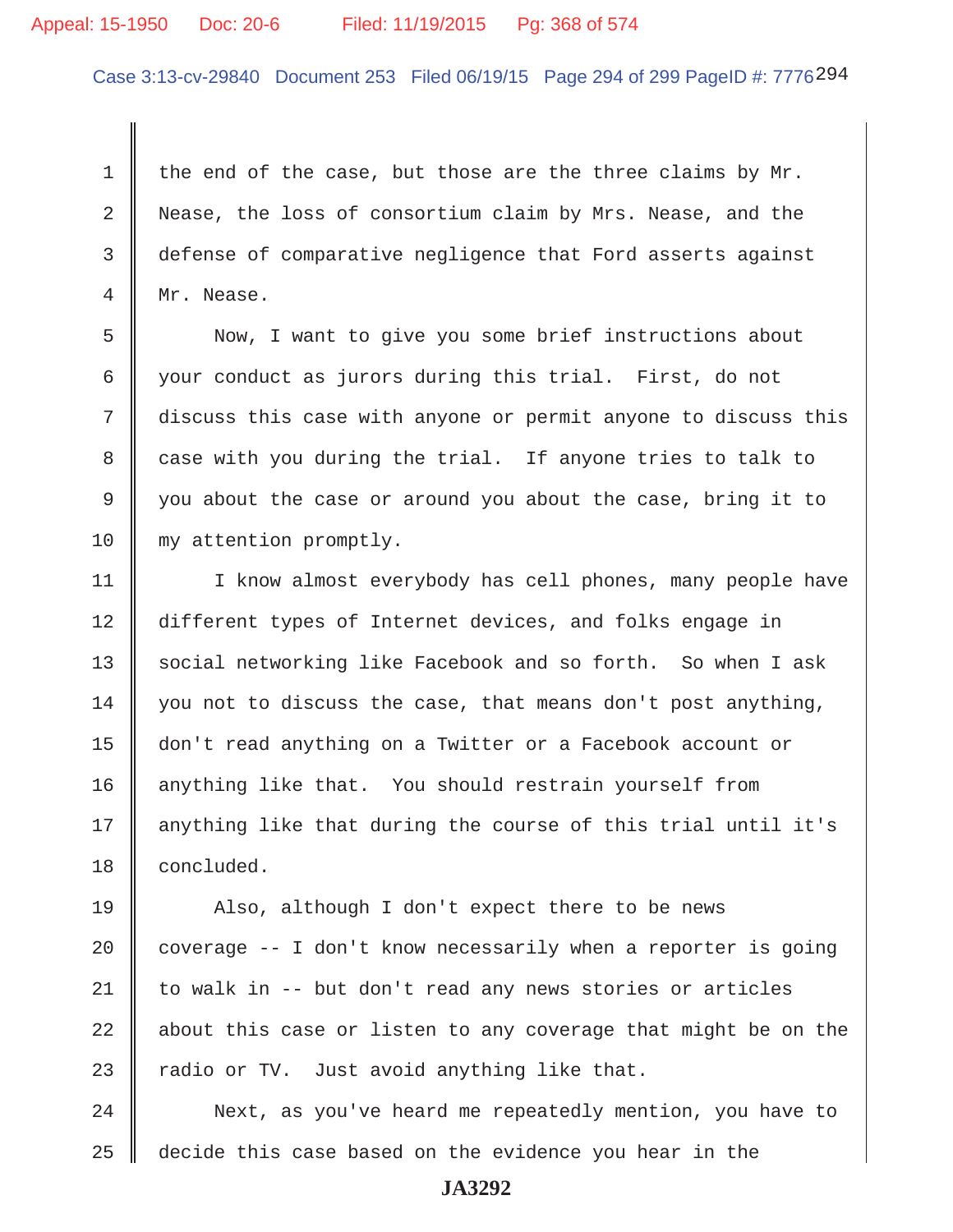## Appeal: 15-1950 Doc: 20-6 Filed: 11/19/2015 Pg: 368 of 574

Case 3:13-cv-29840 Document 253 Filed 06/19/15 Page 294 of 299 PageID #: 7776294

1 the end of the case, but those are the three claims by  $Mr$ . 2 Nease, the loss of consortium claim by Mrs. Nease, and the 3 defense of comparative negligence that Ford asserts against 4 Mr. Nease.

 5 Now, I want to give you some brief instructions about 6 your conduct as jurors during this trial. First, do not 7 discuss this case with anyone or permit anyone to discuss this 8 case with you during the trial. If anyone tries to talk to 9 you about the case or around you about the case, bring it to 10 my attention promptly.

11 | I know almost everybody has cell phones, many people have 12 different types of Internet devices, and folks engage in 13 Social networking like Facebook and so forth. So when I ask 14  $\parallel$  you not to discuss the case, that means don't post anything, 15 don't read anything on a Twitter or a Facebook account or 16 | anything like that. You should restrain yourself from 17 || anything like that during the course of this trial until it's 18 **concluded**.

19 || Also, although I don't expect there to be news  $\parallel$  coverage -- I don't know necessarily when a reporter is going  $\parallel$  to walk in -- but don't read any news stories or articles  $\parallel$  about this case or listen to any coverage that might be on the  $\parallel$  radio or TV. Just avoid anything like that.

24 | Next, as you've heard me repeatedly mention, you have to 25 decide this case based on the evidence you hear in the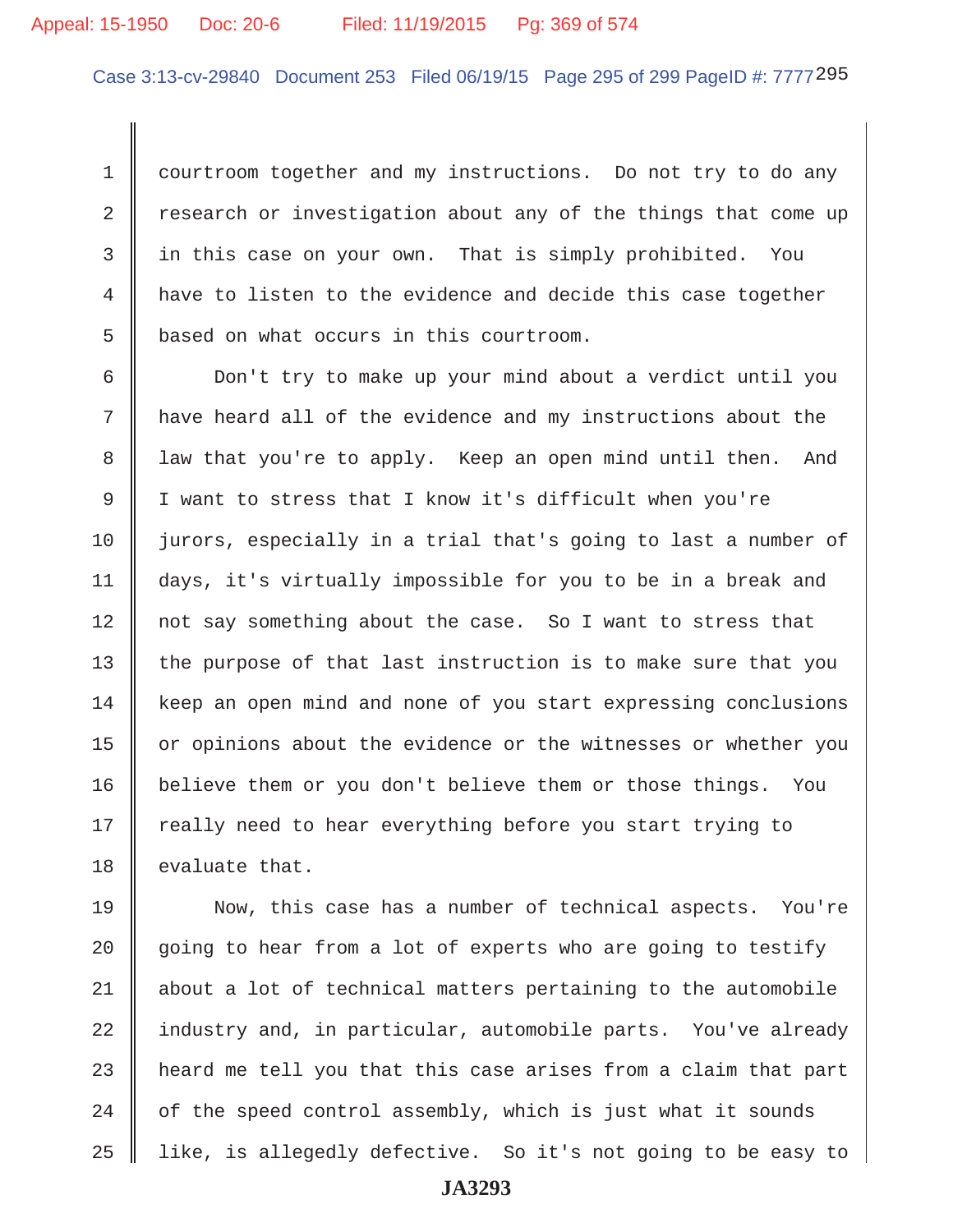# Appeal: 15-1950 Doc: 20-6 Filed: 11/19/2015 Pg: 369 of 574

Case 3:13-cv-29840 Document 253 Filed 06/19/15 Page 295 of 299 PageID #: 7777 295

1 courtroom together and my instructions. Do not try to do any  $2 \parallel$  research or investigation about any of the things that come up 3 in this case on your own. That is simply prohibited. You 4 have to listen to the evidence and decide this case together 5 | based on what occurs in this courtroom.

 6 Don't try to make up your mind about a verdict until you  $7$   $\parallel$  have heard all of the evidence and my instructions about the 8 || law that you're to apply. Keep an open mind until then. And 9 I want to stress that I know it's difficult when you're 10 || jurors, especially in a trial that's going to last a number of 11 days, it's virtually impossible for you to be in a break and 12 || not say something about the case. So I want to stress that  $13$  the purpose of that last instruction is to make sure that you 14 | keep an open mind and none of you start expressing conclusions 15 | or opinions about the evidence or the witnesses or whether you 16 | believe them or you don't believe them or those things. You 17 || really need to hear everything before you start trying to 18 || evaluate that.

19 Now, this case has a number of technical aspects. You're 20  $\parallel$  going to hear from a lot of experts who are going to testify  $21$  about a lot of technical matters pertaining to the automobile 22 industry and, in particular, automobile parts. You've already  $23$  || heard me tell you that this case arises from a claim that part  $24$   $\parallel$  of the speed control assembly, which is just what it sounds 25 like, is allegedly defective. So it's not going to be easy to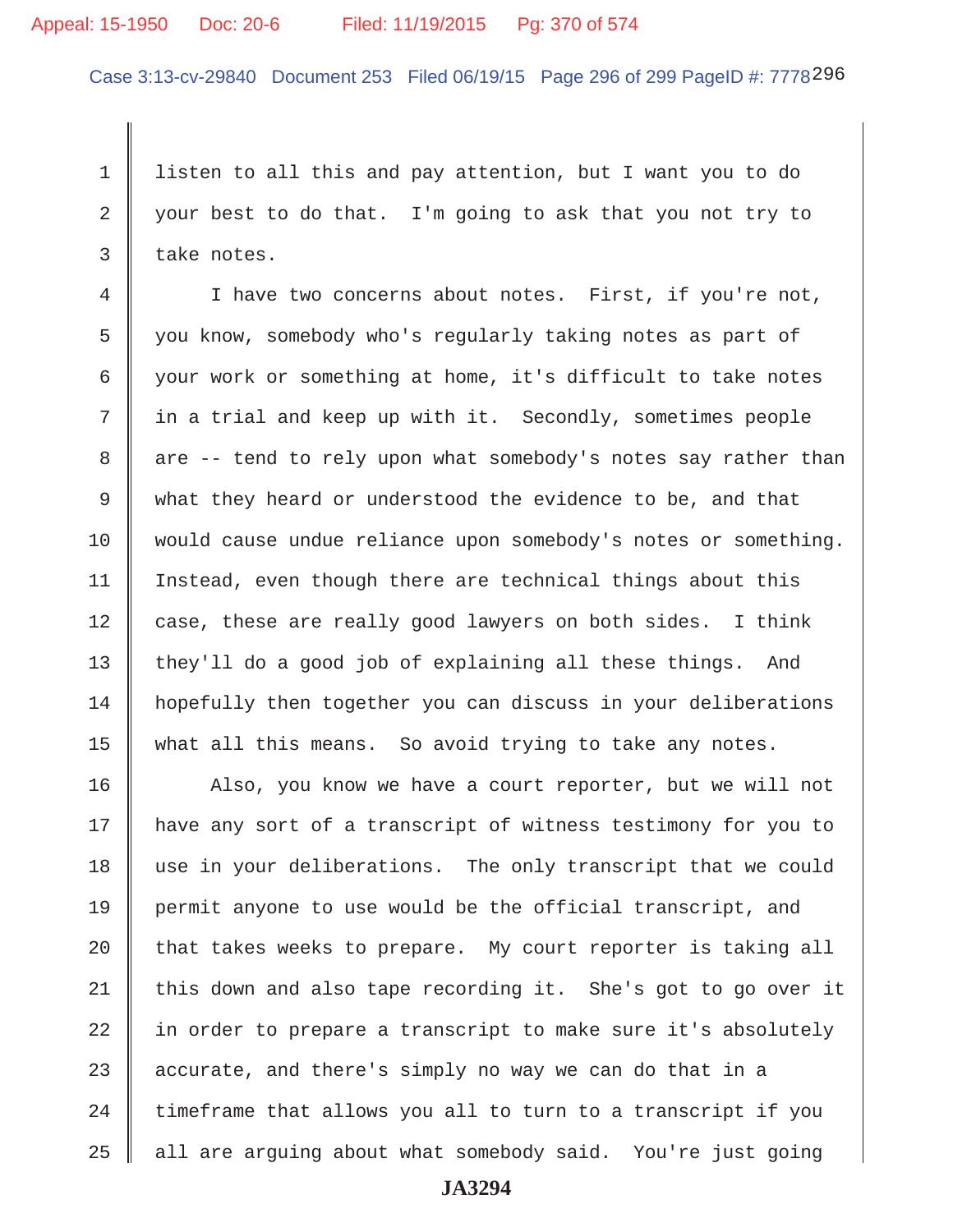#### Appeal: 15-1950 Doc: 20-6 Filed: 11/19/2015 Pg: 370 of 574

Case 3:13-cv-29840 Document 253 Filed 06/19/15 Page 296 of 299 PageID #: 7778296

 1 listen to all this and pay attention, but I want you to do 2 your best to do that. I'm going to ask that you not try to  $3 \parallel$  take notes.

 4 I have two concerns about notes. First, if you're not, 5 you know, somebody who's regularly taking notes as part of 6 your work or something at home, it's difficult to take notes  $7 \parallel$  in a trial and keep up with it. Secondly, sometimes people 8 are -- tend to rely upon what somebody's notes say rather than 9 what they heard or understood the evidence to be, and that 10 would cause undue reliance upon somebody's notes or something. 11 | Instead, even though there are technical things about this 12  $\parallel$  case, these are really good lawyers on both sides. I think 13 they'll do a good job of explaining all these things. And 14 hopefully then together you can discuss in your deliberations 15 || what all this means. So avoid trying to take any notes.

16 || Also, you know we have a court reporter, but we will not 17 have any sort of a transcript of witness testimony for you to 18 use in your deliberations. The only transcript that we could 19 permit anyone to use would be the official transcript, and 20  $\parallel$  that takes weeks to prepare. My court reporter is taking all 21 | this down and also tape recording it. She's got to go over it 22  $\parallel$  in order to prepare a transcript to make sure it's absolutely 23  $\parallel$  accurate, and there's simply no way we can do that in a  $24$  | timeframe that allows you all to turn to a transcript if you  $25$  | all are arguing about what somebody said. You're just going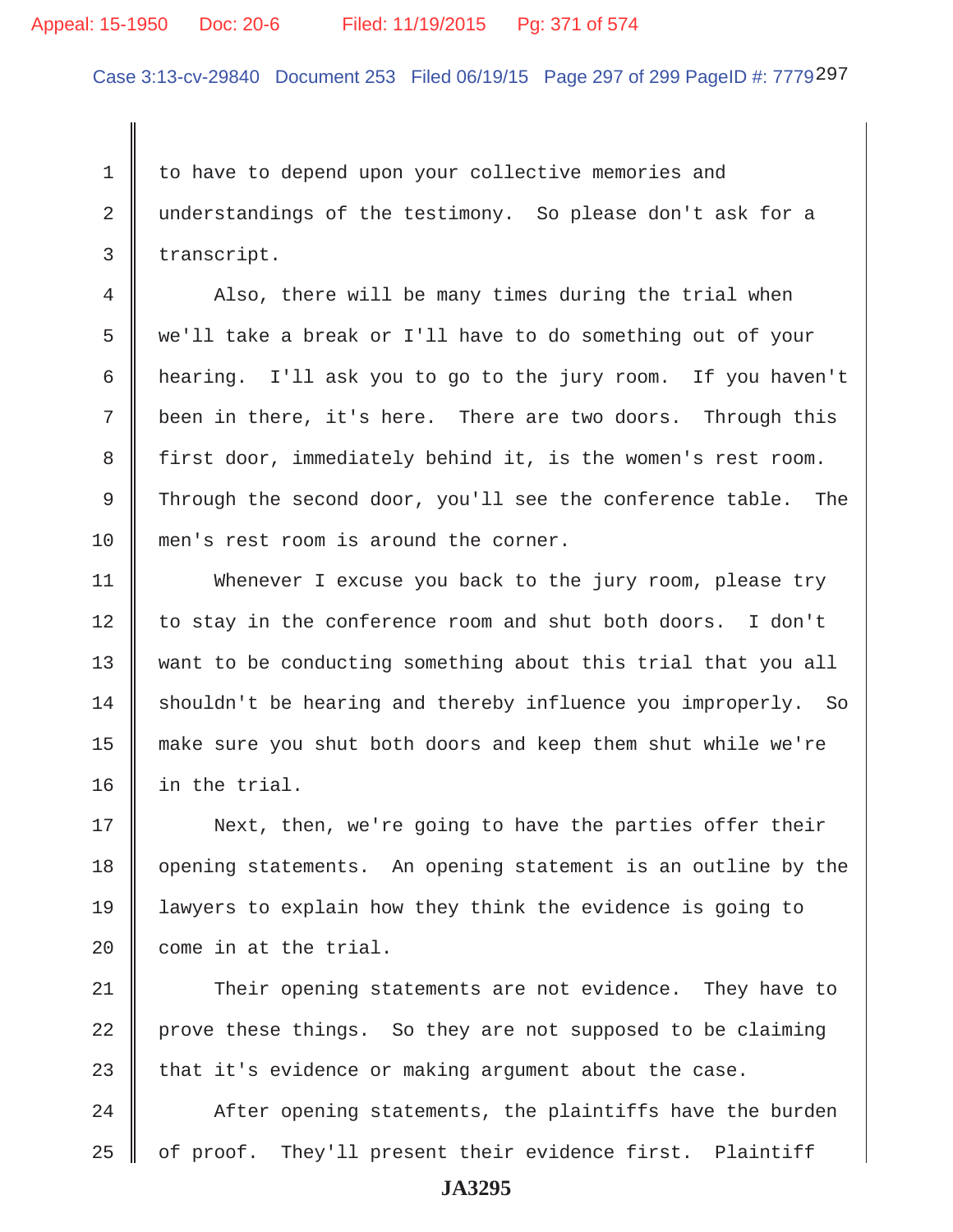#### Appeal: 15-1950 Doc: 20-6 Filed: 11/19/2015 Pg: 371 of 574

Case 3:13-cv-29840 Document 253 Filed 06/19/15 Page 297 of 299 PageID #: 7779297

1 to have to depend upon your collective memories and 2 understandings of the testimony. So please don't ask for a  $3 \parallel$  transcript.

4 Also, there will be many times during the trial when 5 we'll take a break or I'll have to do something out of your 6 hearing. I'll ask you to go to the jury room. If you haven't 7 been in there, it's here. There are two doors. Through this 8 first door, immediately behind it, is the women's rest room. 9 Through the second door, you'll see the conference table. The 10 men's rest room is around the corner.

11 Whenever I excuse you back to the jury room, please try 12 || to stay in the conference room and shut both doors. I don't 13 want to be conducting something about this trial that you all  $14$  shouldn't be hearing and thereby influence you improperly. So 15 make sure you shut both doors and keep them shut while we're 16 in the trial.

17 || Next, then, we're going to have the parties offer their 18 | opening statements. An opening statement is an outline by the 19 lawyers to explain how they think the evidence is going to 20 || come in at the trial.

21 Their opening statements are not evidence. They have to 22 prove these things. So they are not supposed to be claiming 23  $\parallel$  that it's evidence or making argument about the case.

 $24$   $\parallel$  After opening statements, the plaintiffs have the burden  $25$  | of proof. They'll present their evidence first. Plaintiff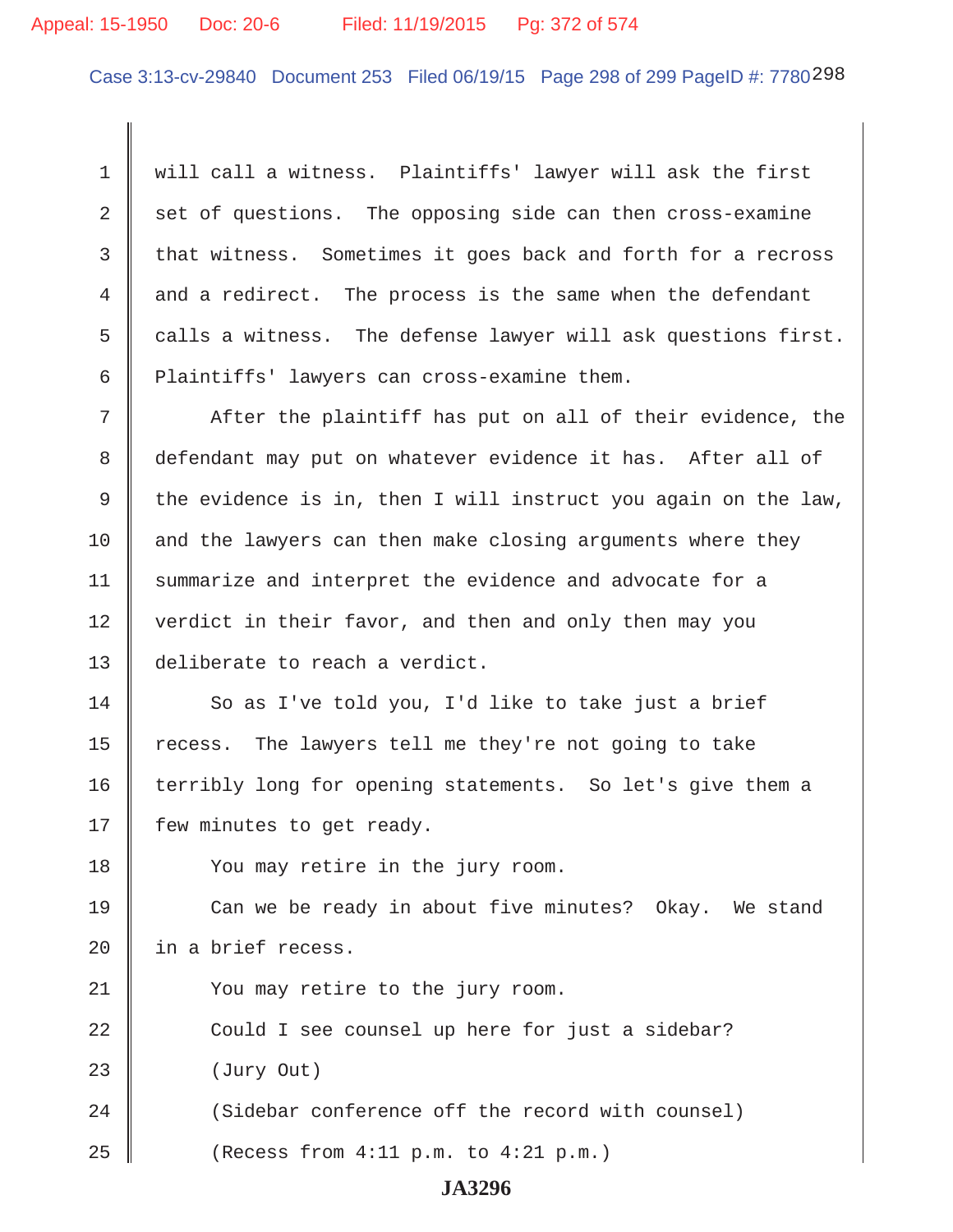# Appeal: 15-1950 Doc: 20-6 Filed: 11/19/2015 Pg: 372 of 574

Case 3:13-cv-29840 Document 253 Filed 06/19/15 Page 298 of 299 PageID #: 7780298

1 Will call a witness. Plaintiffs' lawyer will ask the first  $2 \parallel$  set of questions. The opposing side can then cross-examine  $3 \parallel$  that witness. Sometimes it goes back and forth for a recross 4 and a redirect. The process is the same when the defendant 5  $\parallel$  calls a witness. The defense lawyer will ask questions first. 6 | Plaintiffs' lawyers can cross-examine them.

 $7$   $\parallel$  After the plaintiff has put on all of their evidence, the 8 defendant may put on whatever evidence it has. After all of 9 the evidence is in, then I will instruct you again on the law,  $10$  and the lawyers can then make closing arguments where they 11 | summarize and interpret the evidence and advocate for a 12 | verdict in their favor, and then and only then may you 13 || deliberate to reach a verdict.

 So as I've told you, I'd like to take just a brief  $\parallel$  recess. The lawyers tell me they're not going to take 16 terribly long for opening statements. So let's give them a  $\parallel$  few minutes to get ready.

18 || You may retire in the jury room.

19 Can we be ready in about five minutes? Okay. We stand 20  $\parallel$  in a brief recess.

21 | You may retire to the jury room.

22 Could I see counsel up here for just a sidebar? 23 | (Jury Out) 24 Sidebar conference off the record with counsel)

25  $\parallel$  (Recess from 4:11 p.m. to 4:21 p.m.)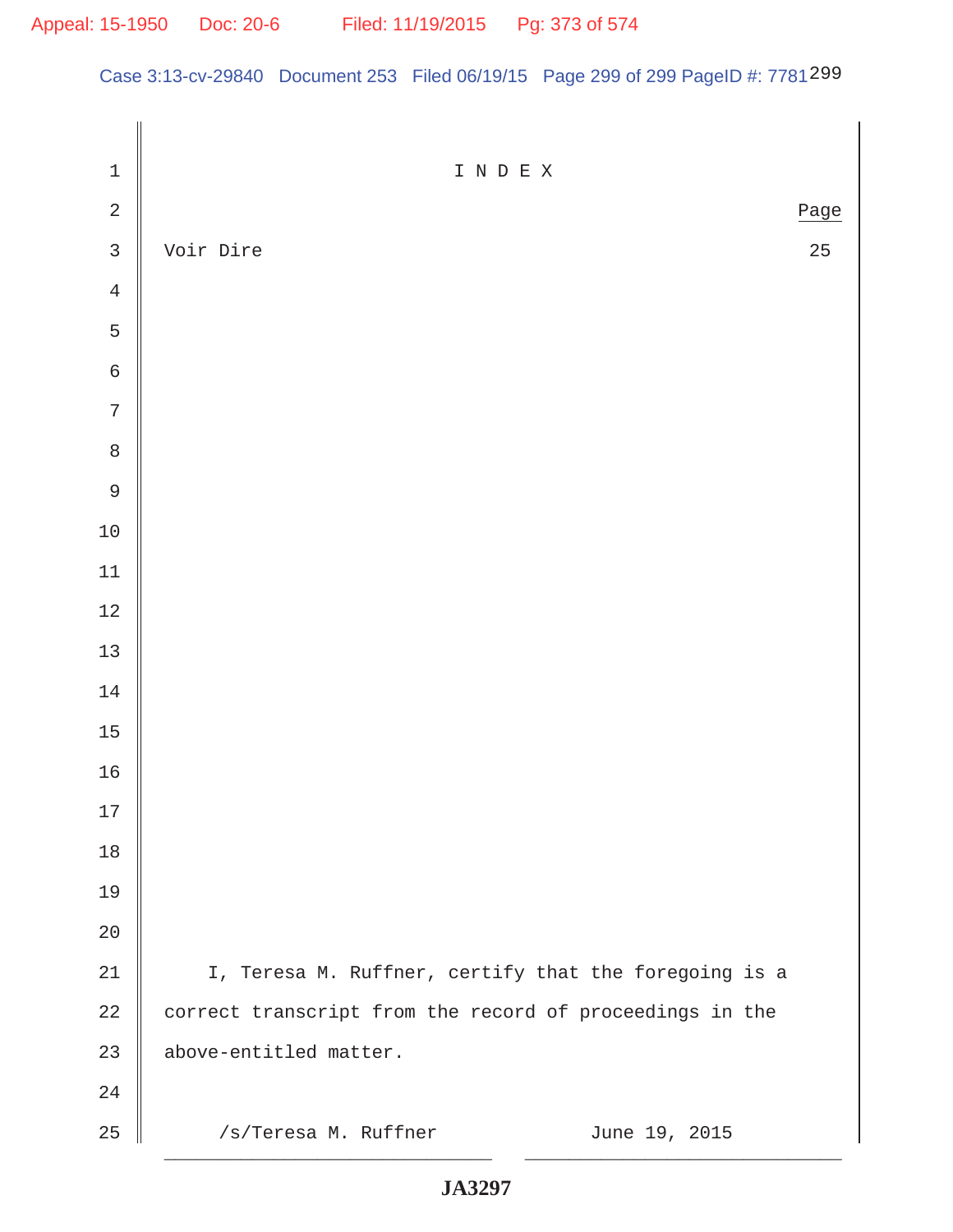Case 3:13-cv-29840 Document 253 Filed 06/19/15 Page 299 of 299 PageID #: 7781299

| $\mathbf 1$    | I N D E X                                                |
|----------------|----------------------------------------------------------|
| $\sqrt{2}$     | Page                                                     |
| $\overline{3}$ | Voir Dire<br>25                                          |
| $\,4$          |                                                          |
| 5              |                                                          |
| $\sqrt{6}$     |                                                          |
| $\overline{7}$ |                                                          |
| $\,8\,$        |                                                          |
| $\mathfrak g$  |                                                          |
| $10\,$         |                                                          |
| $11\,$         |                                                          |
| $12\,$         |                                                          |
| $13\,$         |                                                          |
| $14\,$         |                                                          |
| $15$           |                                                          |
| 16             |                                                          |
| $17\,$         |                                                          |
| $18\,$         |                                                          |
| 19             |                                                          |
| 20             |                                                          |
| 21             | I, Teresa M. Ruffner, certify that the foregoing is a    |
| $2\sqrt{2}$    | correct transcript from the record of proceedings in the |
| 23             | above-entitled matter.                                   |
| 24             |                                                          |
| 25             | /s/Teresa M. Ruffner<br>June 19, 2015                    |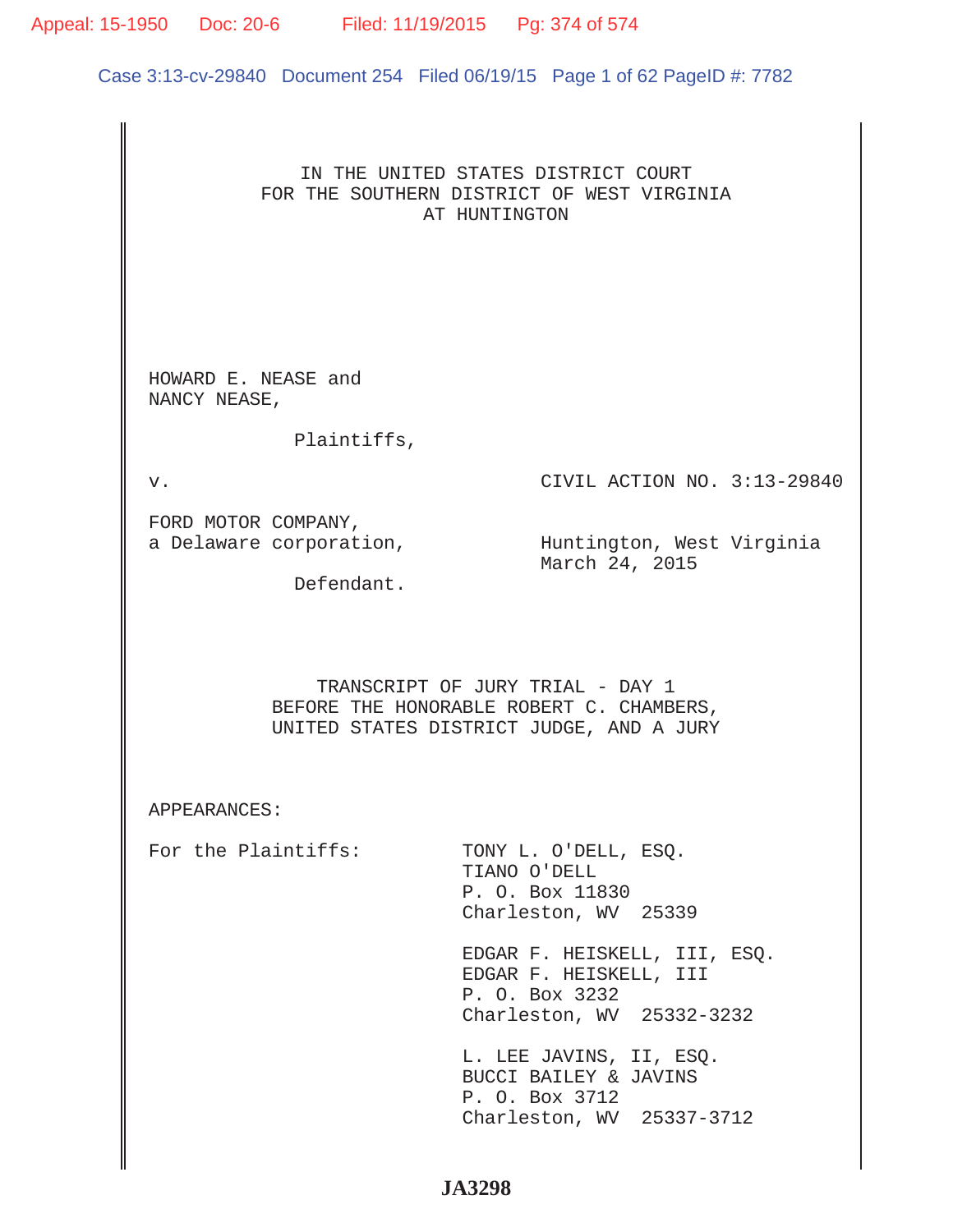# IN THE UNITED STATES DISTRICT COURT FOR THE SOUTHERN DISTRICT OF WEST VIRGINIA AT HUNTINGTON HOWARD E. NEASE and NANCY NEASE, Plaintiffs, v. CIVIL ACTION NO. 3:13-29840 FORD MOTOR COMPANY, a Delaware corporation, which in Huntington, West Virginia March 24, 2015 Defendant. TRANSCRIPT OF JURY TRIAL - DAY 1 BEFORE THE HONORABLE ROBERT C. CHAMBERS, UNITED STATES DISTRICT JUDGE, AND A JURY APPEARANCES: For the Plaintiffs: TONY L. O'DELL, ESQ. TIANO O'DELL P. O. Box 11830 Charleston, WV 25339 EDGAR F. HEISKELL, III, ESQ. EDGAR F. HEISKELL, III P. O. Box 3232 Charleston, WV 25332-3232 L. LEE JAVINS, II, ESQ. BUCCI BAILEY & JAVINS P. O. Box 3712 Charleston, WV 25337-3712 Case 3:13-cv-29840 Document 254 Filed 06/19/15 Page 1 of 62 PageID #: 7782 Appeal: 15-1950 Doc: 20-6 Filed: 11/19/2015 Pg: 374 of 574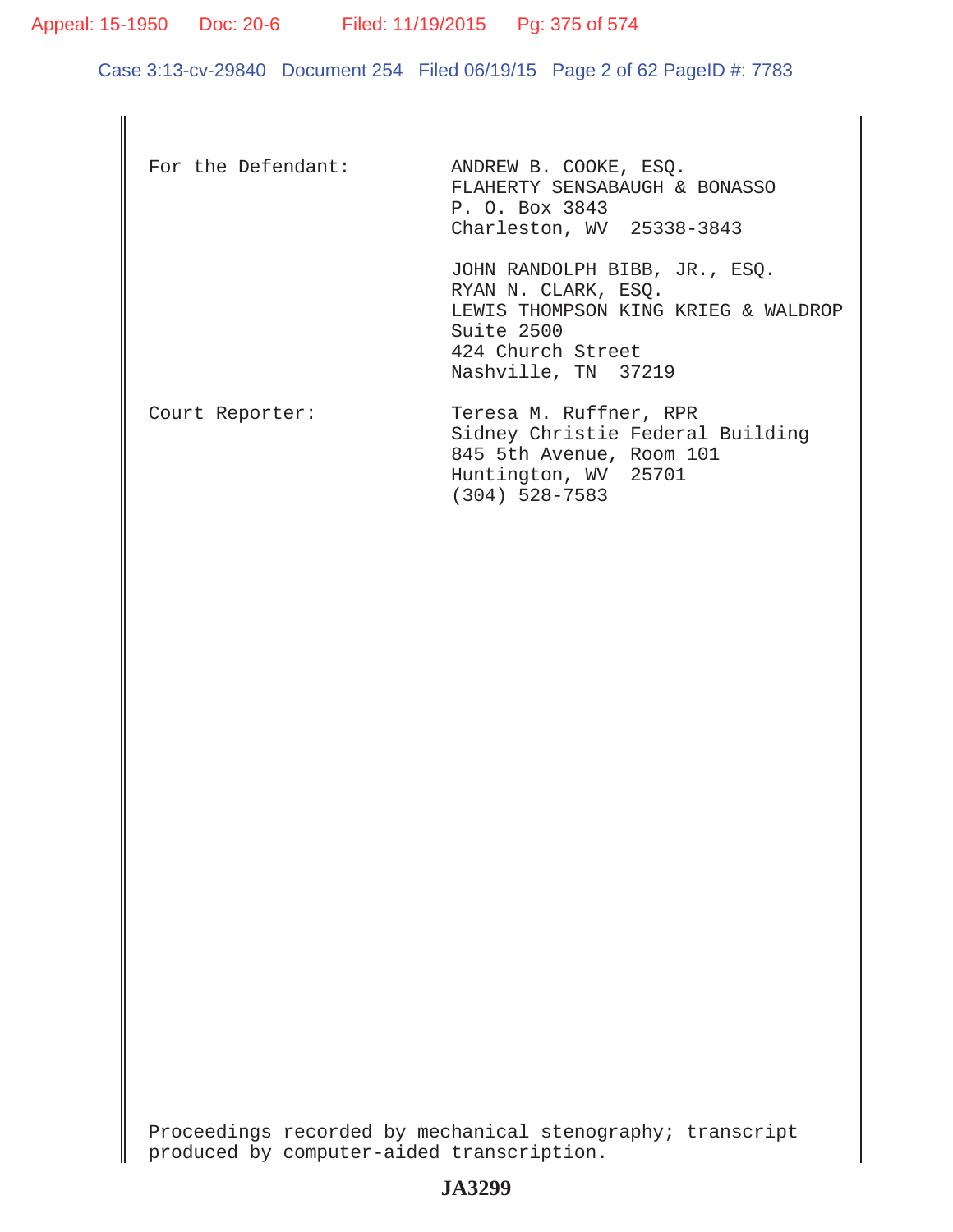Appeal: 15-1950 Doc: 20-6 Filed: 11/19/2015 Pg: 375 of 574

Case 3:13-cv-29840 Document 254 Filed 06/19/15 Page 2 of 62 PageID #: 7783

| For the Defendant: | ANDREW B. COOKE, ESQ.<br>FLAHERTY SENSABAUGH & BONASSO<br>P. O. Box 3843<br>Charleston, WV 25338-3843                                                 |
|--------------------|-------------------------------------------------------------------------------------------------------------------------------------------------------|
|                    | JOHN RANDOLPH BIBB, JR., ESQ.<br>RYAN N. CLARK, ESO.<br>LEWIS THOMPSON KING KRIEG & WALDROP<br>Suite 2500<br>424 Church Street<br>Nashville, TN 37219 |
| Court Reporter:    | Teresa M. Ruffner, RPR<br>Sidney Christie Federal Building<br>845 5th Avenue, Room 101<br>Huntington, WV 25701<br>$(304)$ 528-7583                    |

Proceedings recorded by mechanical stenography; transcript produced by computer-aided transcription.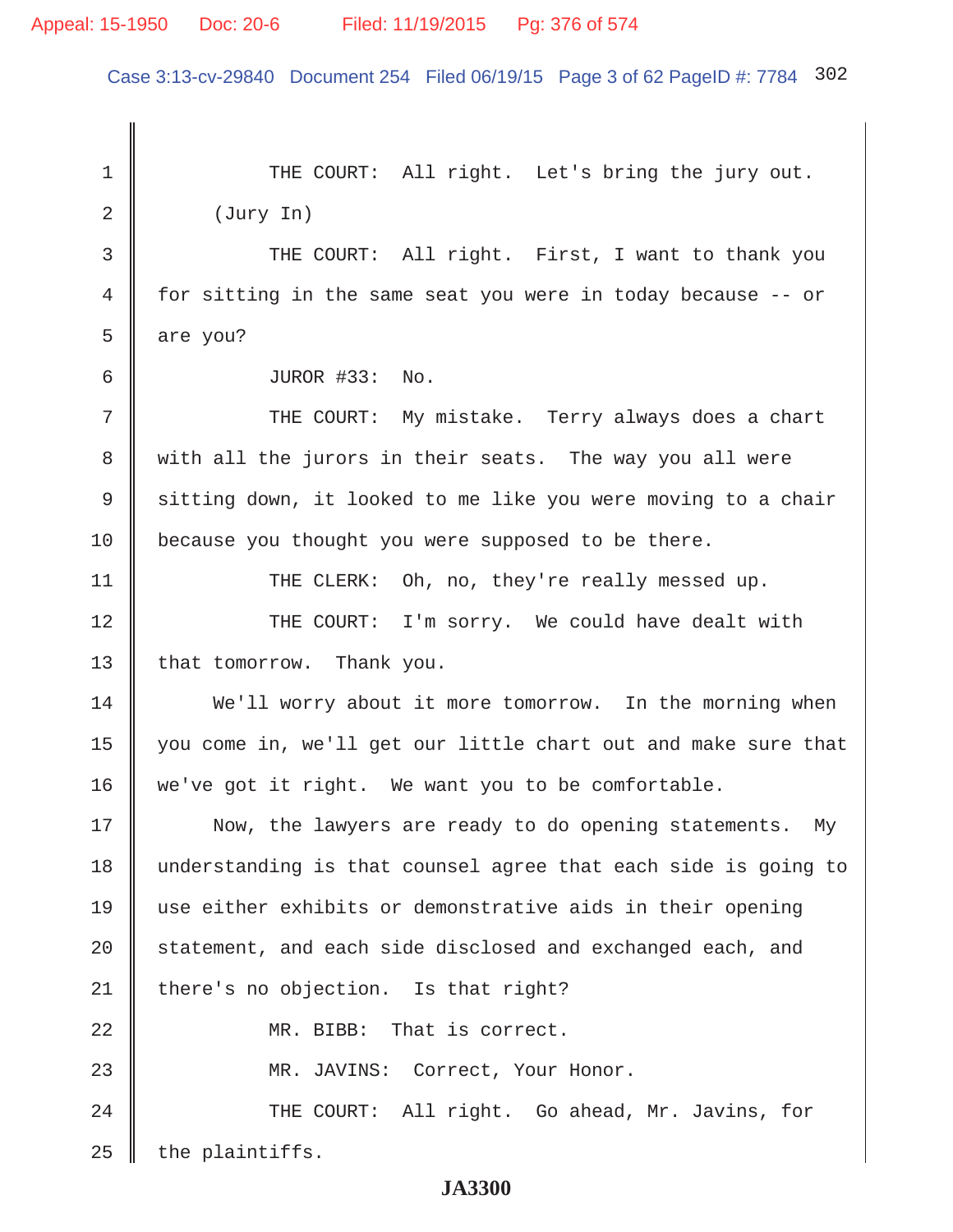# Appeal: 15-1950 Doc: 20-6 Filed: 11/19/2015 Pg: 376 of 574

Case 3:13-cv-29840 Document 254 Filed 06/19/15 Page 3 of 62 PageID #: 7784 302

1 THE COURT: All right. Let's bring the jury out.  $2 \parallel$  (Jury In) 3 THE COURT: All right. First, I want to thank you 4 for sitting in the same seat you were in today because -- or 5  $\parallel$  are you? 6 JUROR #33: No. 7 || THE COURT: My mistake. Terry always does a chart 8 with all the jurors in their seats. The way you all were 9 Sitting down, it looked to me like you were moving to a chair 10 because you thought you were supposed to be there. 11 | THE CLERK: Oh, no, they're really messed up. 12 THE COURT: I'm sorry. We could have dealt with 13 | that tomorrow. Thank you. 14 We'll worry about it more tomorrow. In the morning when 15 you come in, we'll get our little chart out and make sure that 16 we've got it right. We want you to be comfortable. 17 Now, the lawyers are ready to do opening statements. My 18 understanding is that counsel agree that each side is going to 19 use either exhibits or demonstrative aids in their opening  $20$  | statement, and each side disclosed and exchanged each, and  $21$  | there's no objection. Is that right? 22 || MR. BIBB: That is correct. 23 MR. JAVINS: Correct, Your Honor. 24 THE COURT: All right. Go ahead, Mr. Javins, for  $25$  | the plaintiffs.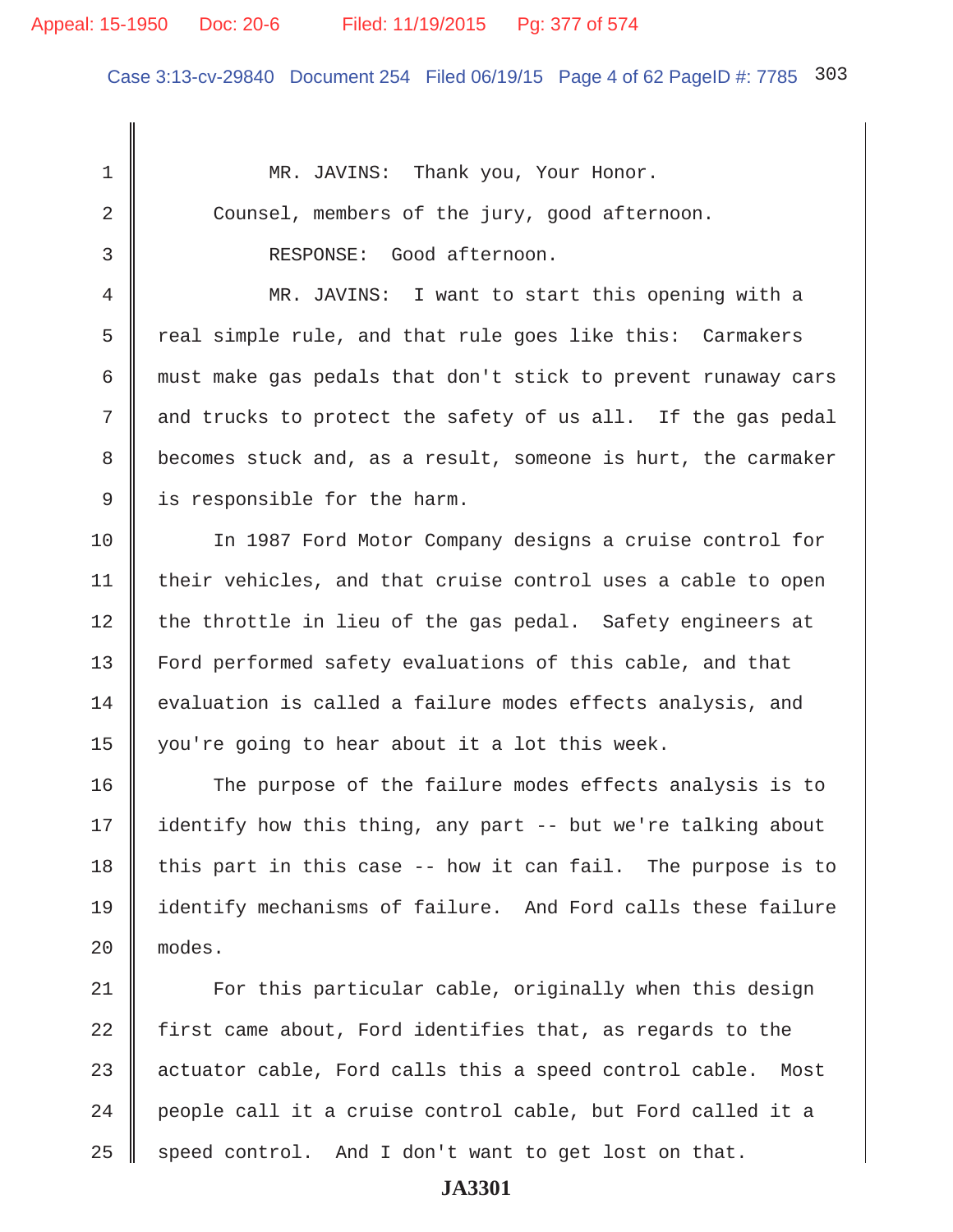# Appeal: 15-1950 Doc: 20-6 Filed: 11/19/2015 Pg: 377 of 574

Case 3:13-cv-29840 Document 254 Filed 06/19/15 Page 4 of 62 PageID #: 7785 303

1 || MR. JAVINS: Thank you, Your Honor. 2 Counsel, members of the jury, good afternoon. 3 RESPONSE: Good afternoon. 4 MR. JAVINS: I want to start this opening with a  $5 \parallel$  real simple rule, and that rule goes like this: Carmakers 6 must make gas pedals that don't stick to prevent runaway cars 7 and trucks to protect the safety of us all. If the gas pedal 8 becomes stuck and, as a result, someone is hurt, the carmaker 9 is responsible for the harm. 10 In 1987 Ford Motor Company designs a cruise control for  $11$  | their vehicles, and that cruise control uses a cable to open  $12$  the throttle in lieu of the gas pedal. Safety engineers at 13 Ford performed safety evaluations of this cable, and that 14 evaluation is called a failure modes effects analysis, and 15 you're going to hear about it a lot this week. 16 The purpose of the failure modes effects analysis is to 17  $\parallel$  identify how this thing, any part -- but we're talking about 18 this part in this case  $-$ - how it can fail. The purpose is to 19 identify mechanisms of failure. And Ford calls these failure 20 modes. 21 For this particular cable, originally when this design 22  $\parallel$  first came about, Ford identifies that, as regards to the  $23$  actuator cable, Ford calls this a speed control cable. Most  $24$   $\parallel$  people call it a cruise control cable, but Ford called it a  $25$  speed control. And I don't want to get lost on that.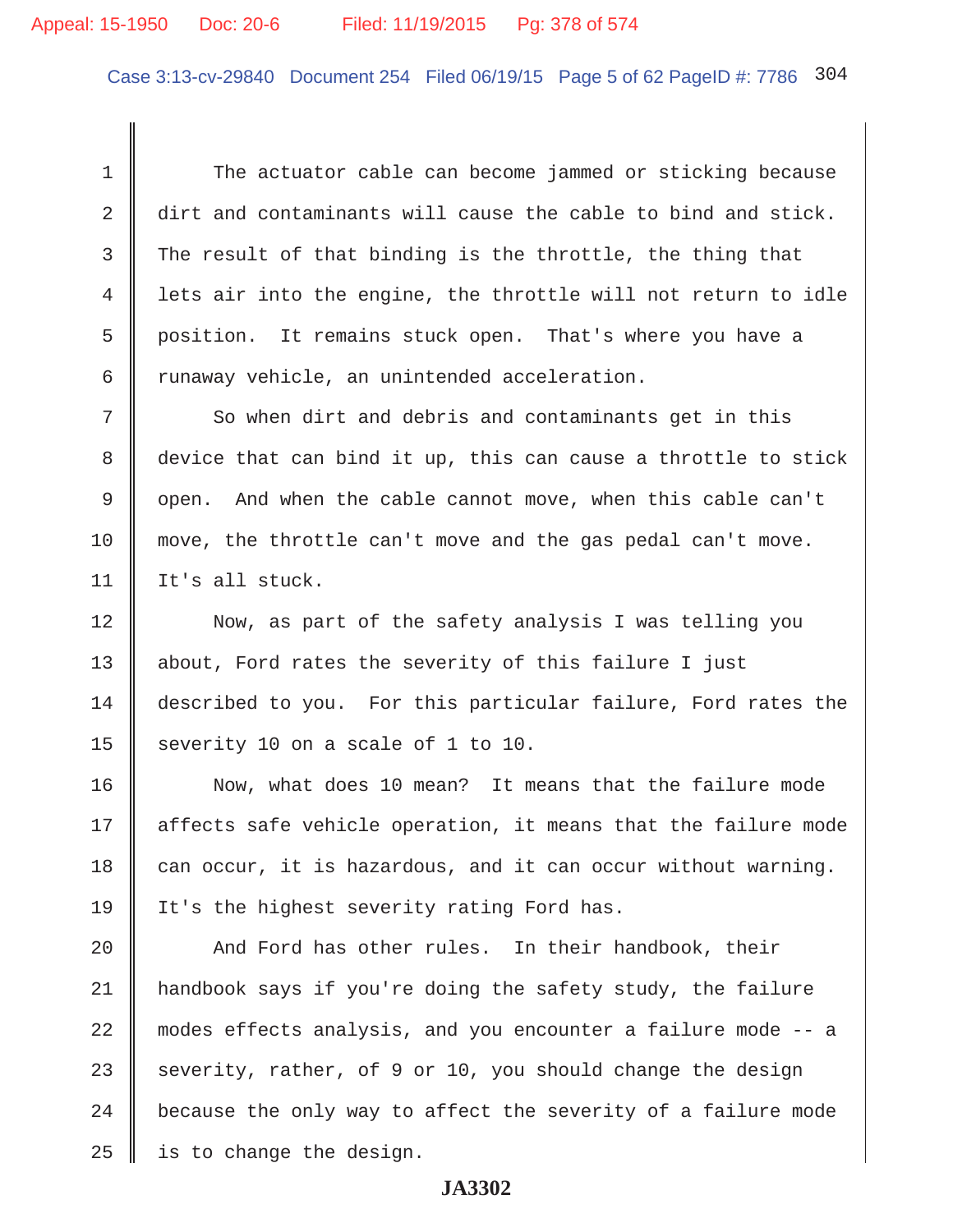Case 3:13-cv-29840 Document 254 Filed 06/19/15 Page 5 of 62 PageID #: 7786 304

 1 The actuator cable can become jammed or sticking because 2 dirt and contaminants will cause the cable to bind and stick.  $3$  The result of that binding is the throttle, the thing that 4 lets air into the engine, the throttle will not return to idle 5 position. It remains stuck open. That's where you have a 6  $\parallel$  runaway vehicle, an unintended acceleration.

 $7 \parallel$  So when dirt and debris and contaminants get in this 8 device that can bind it up, this can cause a throttle to stick 9 || open. And when the cable cannot move, when this cable can't 10 move, the throttle can't move and the gas pedal can't move. 11 | It's all stuck.

12 Now, as part of the safety analysis I was telling you 13 || about, Ford rates the severity of this failure I just 14 described to you. For this particular failure, Ford rates the 15 severity 10 on a scale of 1 to 10.

16 Now, what does 10 mean? It means that the failure mode 17 || affects safe vehicle operation, it means that the failure mode 18 can occur, it is hazardous, and it can occur without warning. 19 It's the highest severity rating Ford has.

20 And Ford has other rules. In their handbook, their 21 handbook says if you're doing the safety study, the failure 22 modes effects analysis, and you encounter a failure mode -- a 23 severity, rather, of 9 or 10, you should change the design  $24$   $\parallel$  because the only way to affect the severity of a failure mode  $25$  | is to change the design.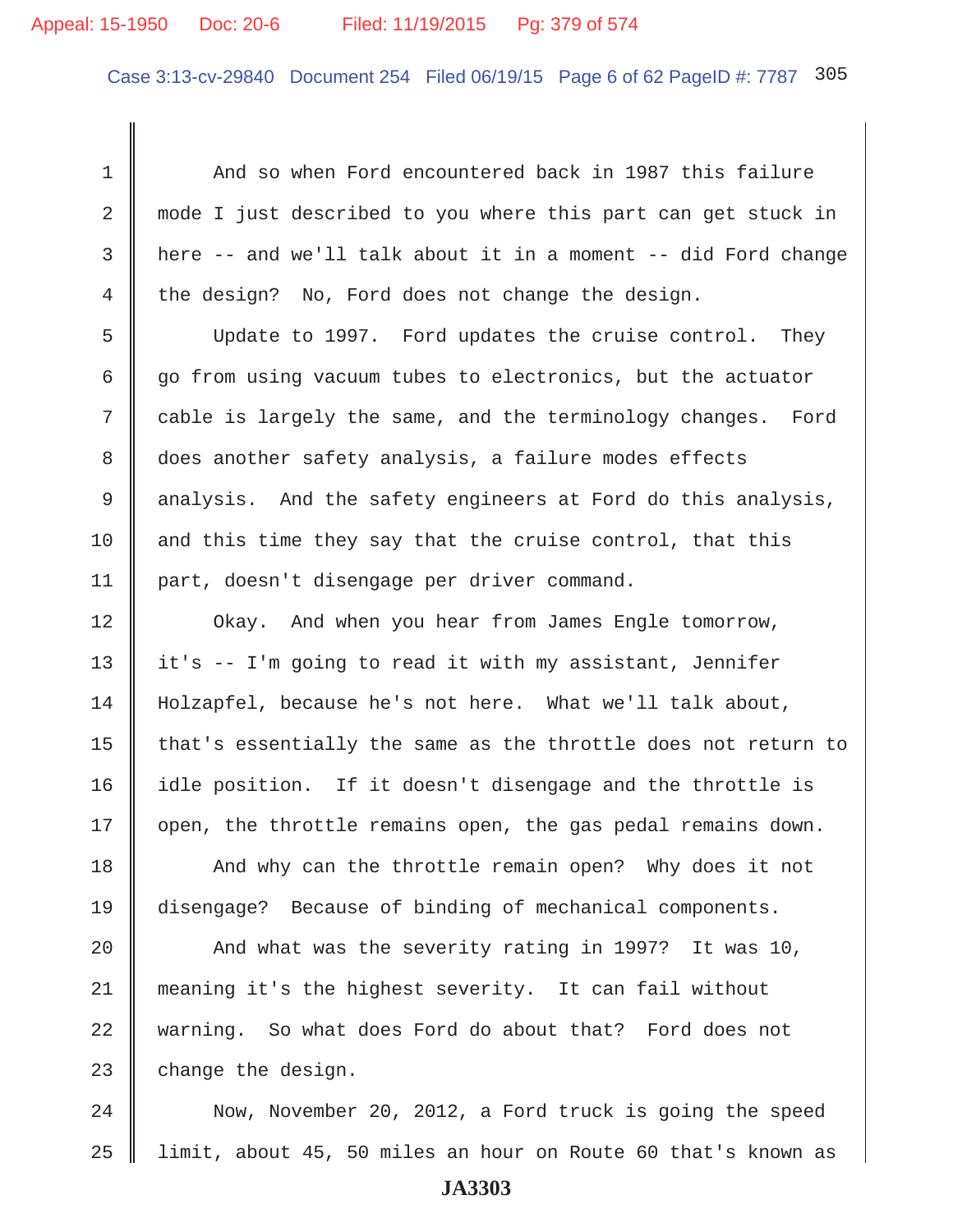### Appeal: 15-1950 Doc: 20-6 Filed: 11/19/2015 Pg: 379 of 574

Case 3:13-cv-29840 Document 254 Filed 06/19/15 Page 6 of 62 PageID #: 7787 305

1 And so when Ford encountered back in 1987 this failure 2 mode I just described to you where this part can get stuck in  $3 \parallel$  here -- and we'll talk about it in a moment -- did Ford change 4 the design? No, Ford does not change the design.

 5 Update to 1997. Ford updates the cruise control. They  $6 \parallel$  go from using vacuum tubes to electronics, but the actuator 7 cable is largely the same, and the terminology changes. Ford 8 does another safety analysis, a failure modes effects 9 analysis. And the safety engineers at Ford do this analysis, 10  $\parallel$  and this time they say that the cruise control, that this 11 part, doesn't disengage per driver command.

**Okay.** And when you hear from James Engle tomorrow,  $\parallel$  it's -- I'm going to read it with my assistant, Jennifer 14 Holzapfel, because he's not here. What we'll talk about,  $\parallel$  that's essentially the same as the throttle does not return to 16 | idle position. If it doesn't disengage and the throttle is | open, the throttle remains open, the gas pedal remains down.

18 And why can the throttle remain open? Why does it not 19 disengage? Because of binding of mechanical components.

20  $\parallel$  And what was the severity rating in 1997? It was 10, 21 meaning it's the highest severity. It can fail without 22 warning. So what does Ford do about that? Ford does not 23  $\parallel$  change the design.

24 Now, November 20, 2012, a Ford truck is going the speed 25 limit, about 45, 50 miles an hour on Route 60 that's known as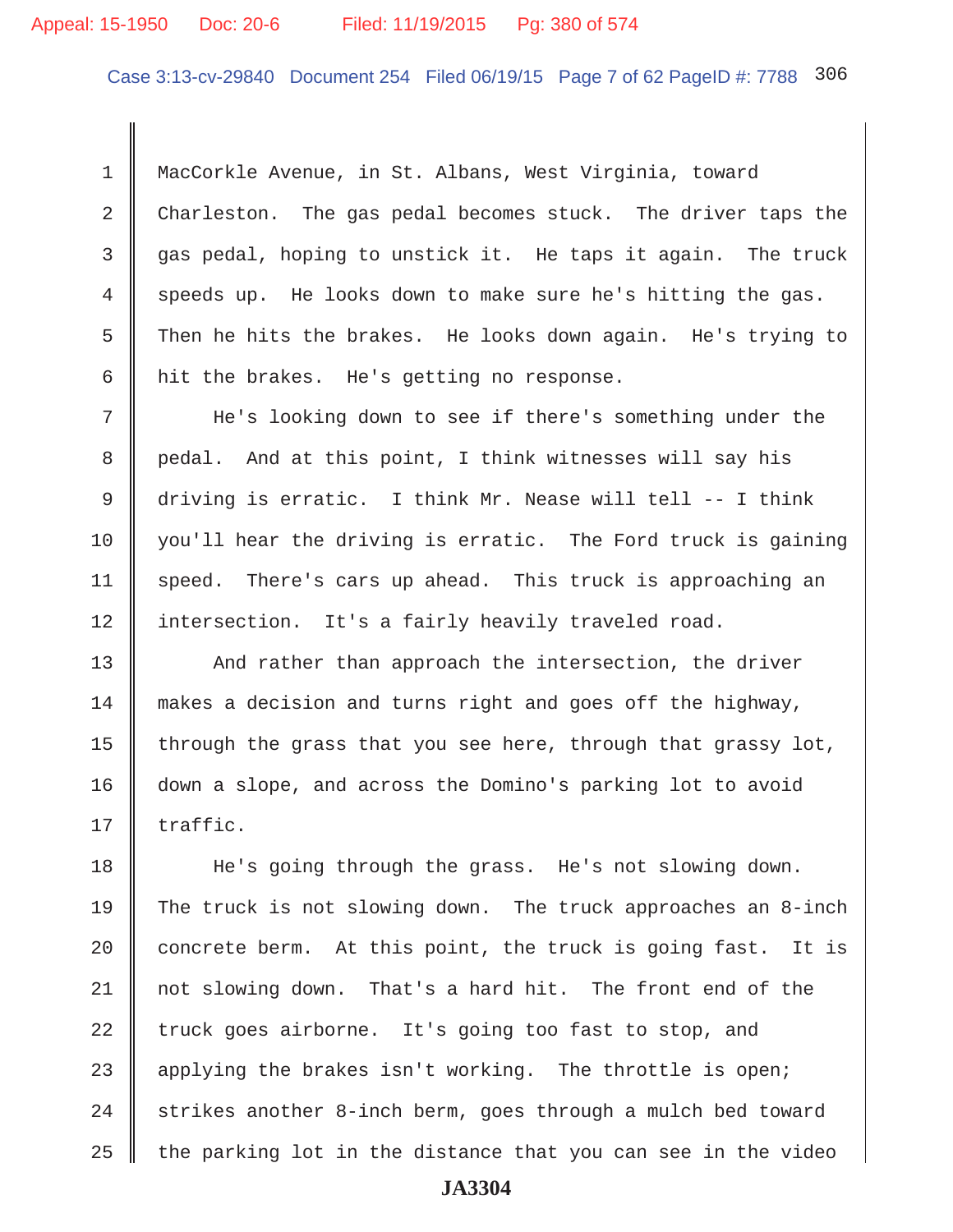Case 3:13-cv-29840 Document 254 Filed 06/19/15 Page 7 of 62 PageID #: 7788 306

 1 MacCorkle Avenue, in St. Albans, West Virginia, toward 2 Charleston. The gas pedal becomes stuck. The driver taps the 3 gas pedal, hoping to unstick it. He taps it again. The truck  $4 \parallel$  speeds up. He looks down to make sure he's hitting the gas. 5 Then he hits the brakes. He looks down again. He's trying to 6  $\parallel$  hit the brakes. He's getting no response.

 7 He's looking down to see if there's something under the 8 | pedal. And at this point, I think witnesses will say his 9 driving is erratic. I think Mr. Nease will tell -- I think  $10$  you'll hear the driving is erratic. The Ford truck is gaining 11 | speed. There's cars up ahead. This truck is approaching an 12 | intersection. It's a fairly heavily traveled road.

13 || And rather than approach the intersection, the driver 14 makes a decision and turns right and goes off the highway, 15  $\parallel$  through the grass that you see here, through that grassy lot, 16 down a slope, and across the Domino's parking lot to avoid  $17 \parallel$  traffic.

18 He's going through the grass. He's not slowing down. 19 The truck is not slowing down. The truck approaches an 8-inch 20  $\parallel$  concrete berm. At this point, the truck is going fast. It is 21 not slowing down. That's a hard hit. The front end of the 22 truck goes airborne. It's going too fast to stop, and 23 applying the brakes isn't working. The throttle is open;  $24$  | strikes another 8-inch berm, goes through a mulch bed toward 25  $\parallel$  the parking lot in the distance that you can see in the video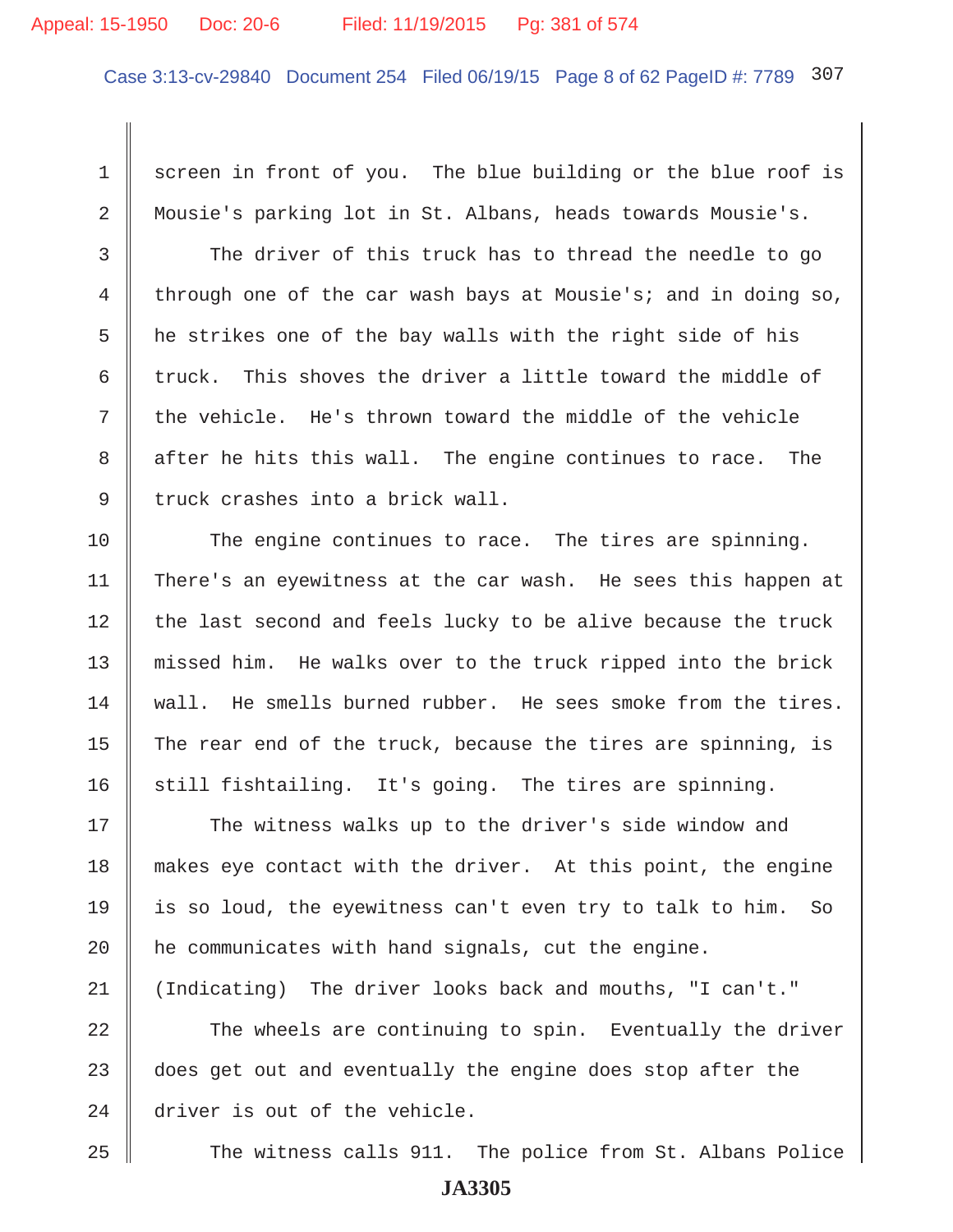#### Appeal: 15-1950 Doc: 20-6 Filed: 11/19/2015 Pg: 381 of 574

Case 3:13-cv-29840 Document 254 Filed 06/19/15 Page 8 of 62 PageID #: 7789 307

1 screen in front of you. The blue building or the blue roof is 2 || Mousie's parking lot in St. Albans, heads towards Mousie's.

3 The driver of this truck has to thread the needle to go 4 through one of the car wash bays at Mousie's; and in doing so,  $5$   $\parallel$  he strikes one of the bay walls with the right side of his 6  $\parallel$  truck. This shoves the driver a little toward the middle of  $7 \parallel$  the vehicle. He's thrown toward the middle of the vehicle 8 after he hits this wall. The engine continues to race. The  $9 \parallel$  truck crashes into a brick wall.

10 The engine continues to race. The tires are spinning. 11 There's an eyewitness at the car wash. He sees this happen at  $12$  | the last second and feels lucky to be alive because the truck 13 missed him. He walks over to the truck ripped into the brick  $14$   $\parallel$  wall. He smells burned rubber. He sees smoke from the tires. 15 The rear end of the truck, because the tires are spinning, is 16  $\parallel$  still fishtailing. It's going. The tires are spinning.

17 || The witness walks up to the driver's side window and 18 || makes eye contact with the driver. At this point, the engine 19  $\parallel$  is so loud, the eyewitness can't even try to talk to him. So 20 | he communicates with hand signals, cut the engine. 21 (Indicating) The driver looks back and mouths, "I can't."

22 The wheels are continuing to spin. Eventually the driver  $23$   $\parallel$  does get out and eventually the engine does stop after the 24 driver is out of the vehicle.

25 || The witness calls 911. The police from St. Albans Police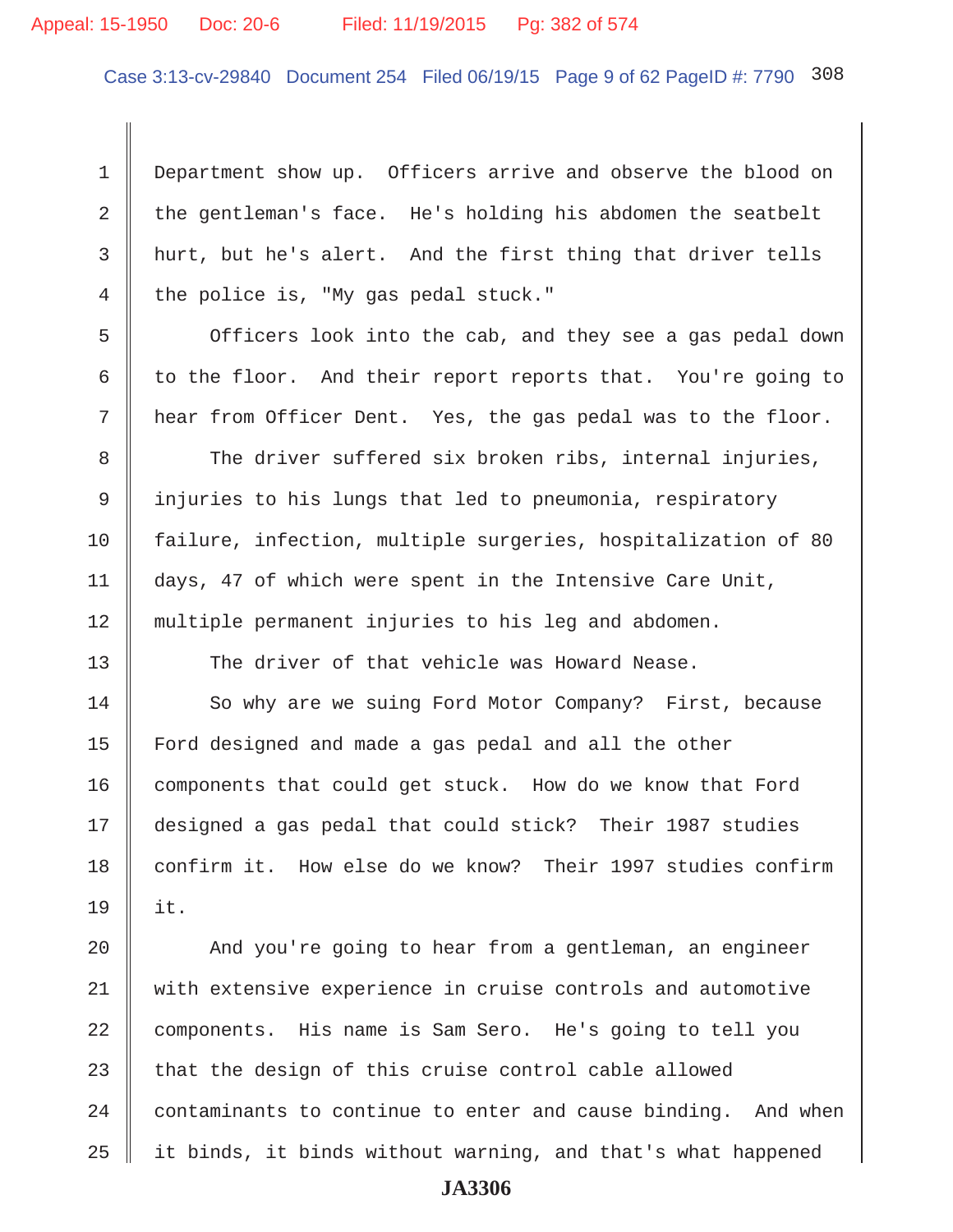# Appeal: 15-1950 Doc: 20-6 Filed: 11/19/2015 Pg: 382 of 574

Case 3:13-cv-29840 Document 254 Filed 06/19/15 Page 9 of 62 PageID #: 7790 308

 1 Department show up. Officers arrive and observe the blood on 2 the gentleman's face. He's holding his abdomen the seatbelt 3 hurt, but he's alert. And the first thing that driver tells 4 the police is, "My gas pedal stuck."

5 | Officers look into the cab, and they see a gas pedal down 6 to the floor. And their report reports that. You're going to 7 hear from Officer Dent. Yes, the gas pedal was to the floor.

8 The driver suffered six broken ribs, internal injuries, 9 injuries to his lungs that led to pneumonia, respiratory 10 failure, infection, multiple surgeries, hospitalization of 80 11 days, 47 of which were spent in the Intensive Care Unit, 12 multiple permanent injuries to his leg and abdomen.

13 The driver of that vehicle was Howard Nease.

14 So why are we suing Ford Motor Company? First, because 15 Ford designed and made a gas pedal and all the other 16 components that could get stuck. How do we know that Ford 17 designed a gas pedal that could stick? Their 1987 studies 18 confirm it. How else do we know? Their 1997 studies confirm 19 it.

20 | And you're going to hear from a gentleman, an engineer 21 with extensive experience in cruise controls and automotive 22 components. His name is Sam Sero. He's going to tell you 23  $\parallel$  that the design of this cruise control cable allowed  $24$   $\parallel$  contaminants to continue to enter and cause binding. And when  $25$  || it binds, it binds without warning, and that's what happened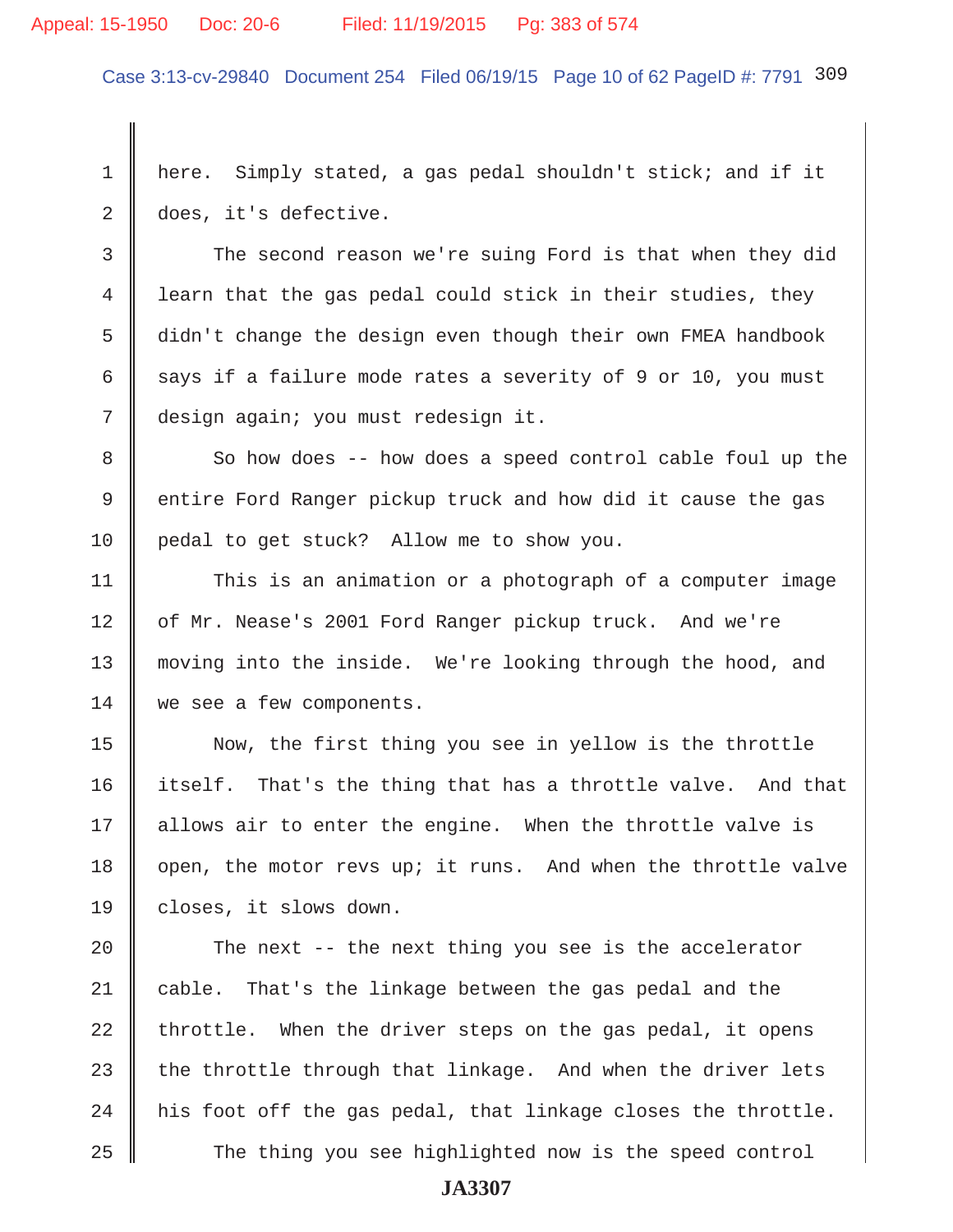#### Appeal: 15-1950 Doc: 20-6 Filed: 11/19/2015 Pg: 383 of 574

Case 3:13-cv-29840 Document 254 Filed 06/19/15 Page 10 of 62 PageID #: 7791 309

 1 here. Simply stated, a gas pedal shouldn't stick; and if it 2 does, it's defective.

3 The second reason we're suing Ford is that when they did 4 I learn that the gas pedal could stick in their studies, they 5 didn't change the design even though their own FMEA handbook 6 says if a failure mode rates a severity of 9 or 10, you must 7 design again; you must redesign it.

8 So how does -- how does a speed control cable foul up the 9 | entire Ford Ranger pickup truck and how did it cause the gas 10 pedal to get stuck? Allow me to show you.

11 This is an animation or a photograph of a computer image 12 | of Mr. Nease's 2001 Ford Ranger pickup truck. And we're 13 moving into the inside. We're looking through the hood, and 14 we see a few components.

15 Now, the first thing you see in yellow is the throttle 16 itself. That's the thing that has a throttle valve. And that 17 || allows air to enter the engine. When the throttle valve is 18  $\parallel$  open, the motor revs up; it runs. And when the throttle valve 19 | closes, it slows down.

20  $\parallel$  The next -- the next thing you see is the accelerator 21 cable. That's the linkage between the gas pedal and the  $22$  throttle. When the driver steps on the gas pedal, it opens 23 the throttle through that linkage. And when the driver lets  $24$  | his foot off the gas pedal, that linkage closes the throttle. 25 The thing you see highlighted now is the speed control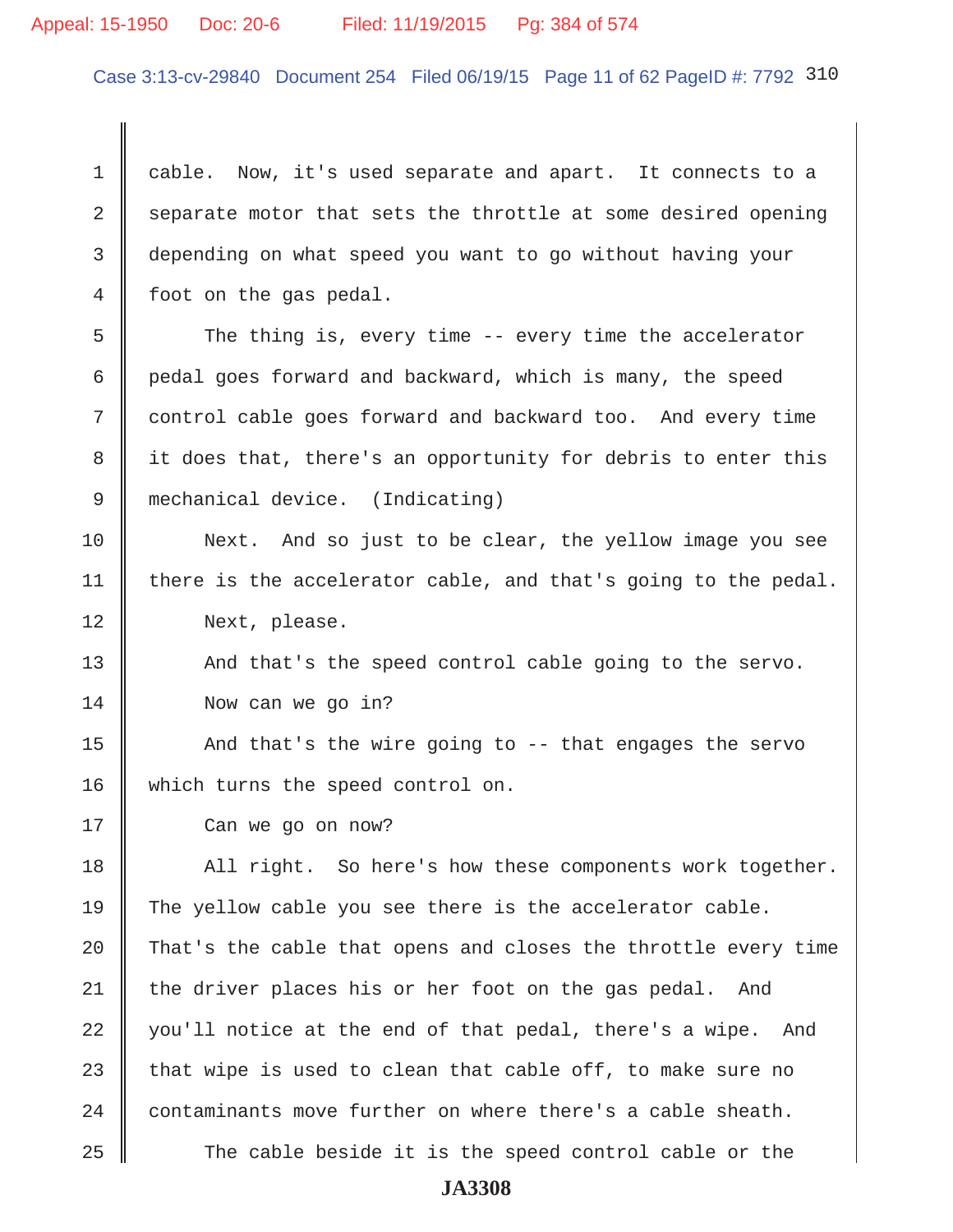#### Appeal: 15-1950 Doc: 20-6 Filed: 11/19/2015 Pg: 384 of 574

Case 3:13-cv-29840 Document 254 Filed 06/19/15 Page 11 of 62 PageID #: 7792 310

1 cable. Now, it's used separate and apart. It connects to a 2 Separate motor that sets the throttle at some desired opening 3 depending on what speed you want to go without having your 4 | foot on the gas pedal.

5 The thing is, every time -- every time the accelerator 6  $\parallel$  pedal goes forward and backward, which is many, the speed 7 control cable goes forward and backward too. And every time 8 || it does that, there's an opportunity for debris to enter this 9 mechanical device. (Indicating)

10 Next. And so just to be clear, the yellow image you see 11  $\parallel$  there is the accelerator cable, and that's going to the pedal. 12 Next, please.

13 || And that's the speed control cable going to the servo. 14 Now can we go in?

15  $\parallel$  And that's the wire going to -- that engages the servo 16 || which turns the speed control on.

17 **Can we go on now?** 

18 || All right. So here's how these components work together. | The yellow cable you see there is the accelerator cable.  $\parallel$  That's the cable that opens and closes the throttle every time the driver places his or her foot on the gas pedal. And 22 || you'll notice at the end of that pedal, there's a wipe. And 23 that wipe is used to clean that cable off, to make sure no contaminants move further on where there's a cable sheath.  $\parallel$  The cable beside it is the speed control cable or the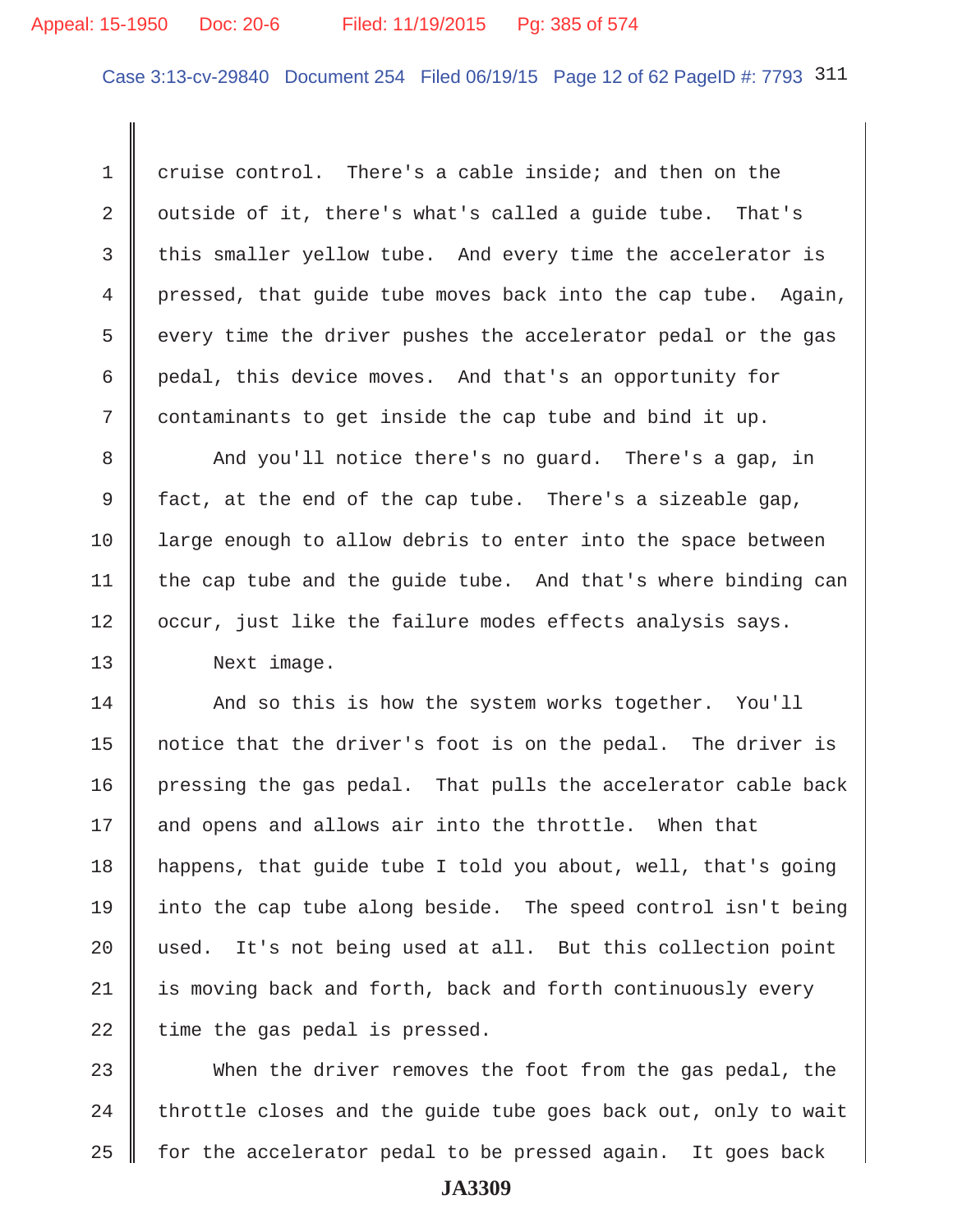#### Appeal: 15-1950 Doc: 20-6 Filed: 11/19/2015 Pg: 385 of 574

Case 3:13-cv-29840 Document 254 Filed 06/19/15 Page 12 of 62 PageID #: 7793 311

1 cruise control. There's a cable inside; and then on the 2 | outside of it, there's what's called a guide tube. That's 3 this smaller yellow tube. And every time the accelerator is 4 pressed, that guide tube moves back into the cap tube. Again, 5 s every time the driver pushes the accelerator pedal or the gas 6 pedal, this device moves. And that's an opportunity for  $7 \parallel$  contaminants to get inside the cap tube and bind it up.

8 And you'll notice there's no guard. There's a gap, in 9 fact, at the end of the cap tube. There's a sizeable gap, 10 I large enough to allow debris to enter into the space between 11  $\parallel$  the cap tube and the guide tube. And that's where binding can 12 | occur, just like the failure modes effects analysis says.

13 Next image.

14 And so this is how the system works together. You'll 15 notice that the driver's foot is on the pedal. The driver is 16 pressing the gas pedal. That pulls the accelerator cable back 17 || and opens and allows air into the throttle. When that 18 happens, that guide tube I told you about, well, that's going 19 || into the cap tube along beside. The speed control isn't being 20 || used. It's not being used at all. But this collection point 21 || is moving back and forth, back and forth continuously every 22 time the gas pedal is pressed.

23 When the driver removes the foot from the gas pedal, the 24  $\parallel$  throttle closes and the guide tube goes back out, only to wait 25  $\parallel$  for the accelerator pedal to be pressed again. It goes back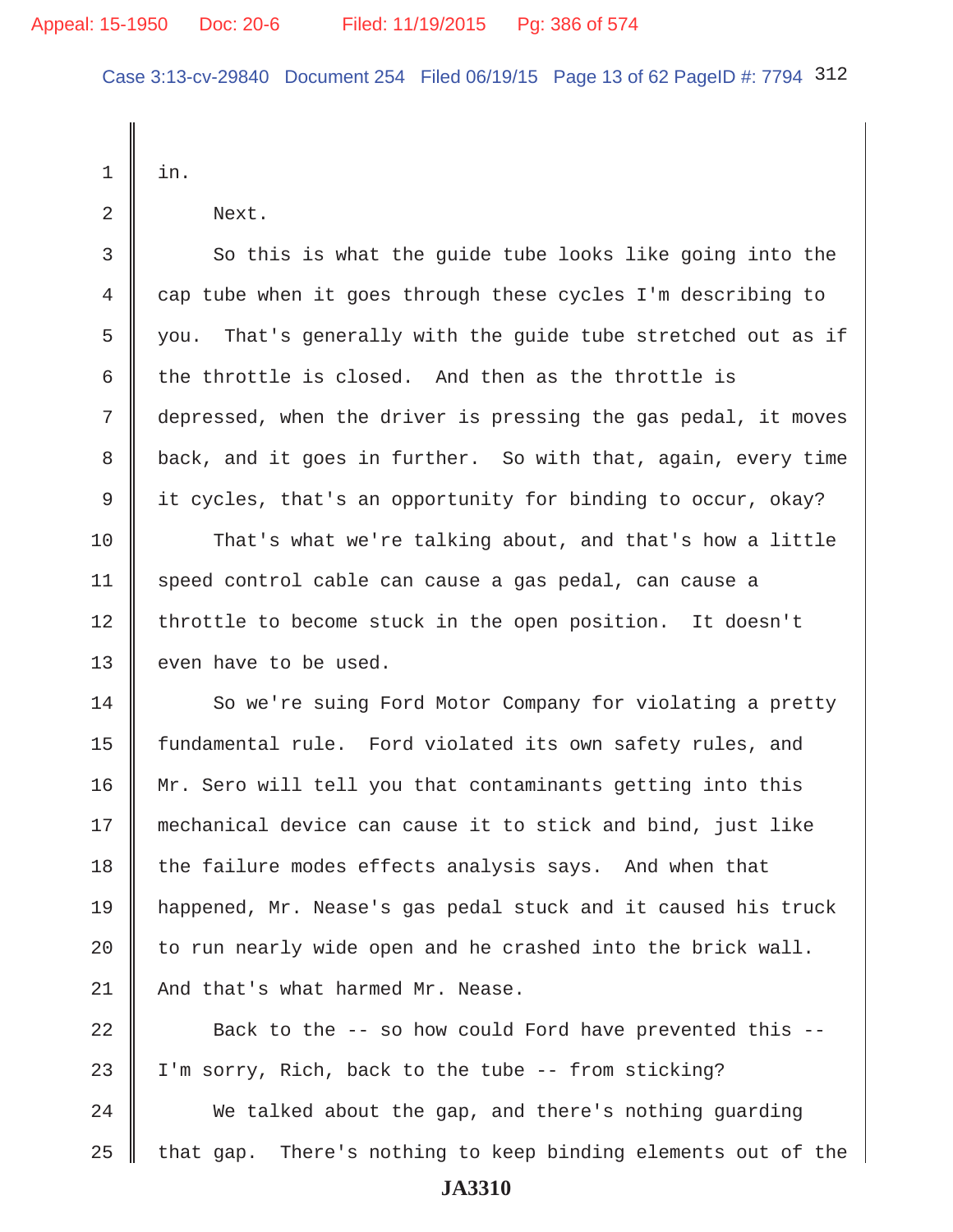Case 3:13-cv-29840 Document 254 Filed 06/19/15 Page 13 of 62 PageID #: 7794 312

 $1 \parallel in.$ 

2 Next.

3 So this is what the quide tube looks like going into the 4 cap tube when it goes through these cycles I'm describing to 5  $\parallel$  you. That's generally with the guide tube stretched out as if 6 the throttle is closed. And then as the throttle is 7 depressed, when the driver is pressing the gas pedal, it moves 8 back, and it goes in further. So with that, again, every time 9 it cycles, that's an opportunity for binding to occur, okay?

10 That's what we're talking about, and that's how a little 11 | speed control cable can cause a gas pedal, can cause a 12 | throttle to become stuck in the open position. It doesn't 13 even have to be used.

14 So we're suing Ford Motor Company for violating a pretty 15 | fundamental rule. Ford violated its own safety rules, and 16 || Mr. Sero will tell you that contaminants getting into this 17 mechanical device can cause it to stick and bind, just like  $18$  the failure modes effects analysis says. And when that 19 happened, Mr. Nease's gas pedal stuck and it caused his truck 20  $\parallel$  to run nearly wide open and he crashed into the brick wall. 21 | And that's what harmed Mr. Nease.

 $\parallel$  Back to the -- so how could Ford have prevented this -- $\parallel$  I'm sorry, Rich, back to the tube -- from sticking? 24 We talked about the gap, and there's nothing guarding that gap. There's nothing to keep binding elements out of the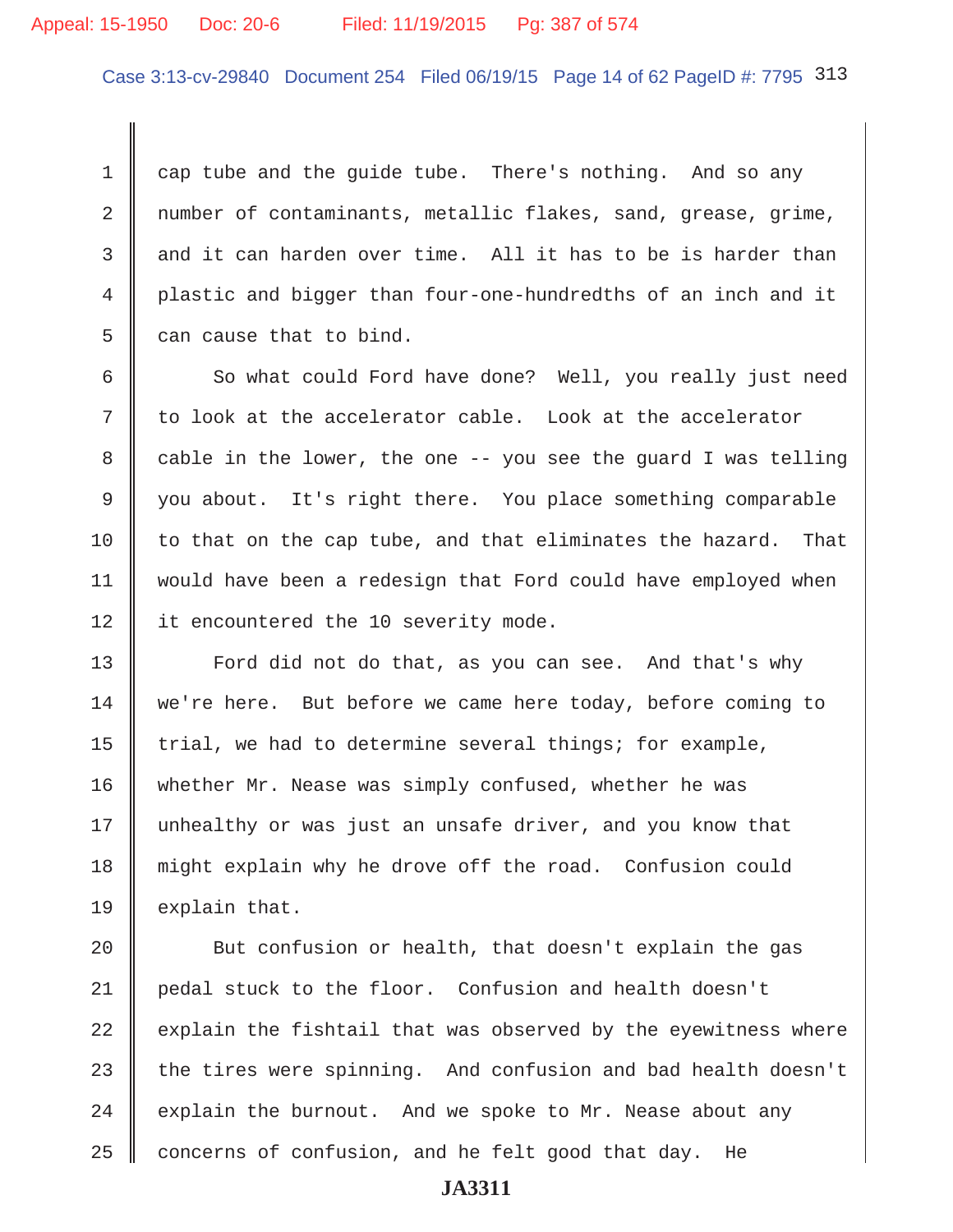# Appeal: 15-1950 Doc: 20-6 Filed: 11/19/2015 Pg: 387 of 574

Case 3:13-cv-29840 Document 254 Filed 06/19/15 Page 14 of 62 PageID #: 7795 313

 $1 \parallel$  cap tube and the quide tube. There's nothing. And so any 2 mumber of contaminants, metallic flakes, sand, grease, grime,  $3 \parallel$  and it can harden over time. All it has to be is harder than 4 plastic and bigger than four-one-hundredths of an inch and it  $5 \parallel$  can cause that to bind.

6 || So what could Ford have done? Well, you really just need  $7 \parallel$  to look at the accelerator cable. Look at the accelerator 8 cable in the lower, the one -- you see the guard I was telling 9 you about. It's right there. You place something comparable 10  $\parallel$  to that on the cap tube, and that eliminates the hazard. That 11 would have been a redesign that Ford could have employed when 12 | it encountered the 10 severity mode.

13 | Ford did not do that, as you can see. And that's why 14 we're here. But before we came here today, before coming to 15 | trial, we had to determine several things; for example, 16 whether Mr. Nease was simply confused, whether he was 17 || unhealthy or was just an unsafe driver, and you know that 18 might explain why he drove off the road. Confusion could 19  $\parallel$  explain that.

**But confusion or health, that doesn't explain the gas** 21 pedal stuck to the floor. Confusion and health doesn't explain the fishtail that was observed by the eyewitness where 23 the tires were spinning. And confusion and bad health doesn't  $\parallel$  explain the burnout. And we spoke to Mr. Nease about any concerns of confusion, and he felt good that day. He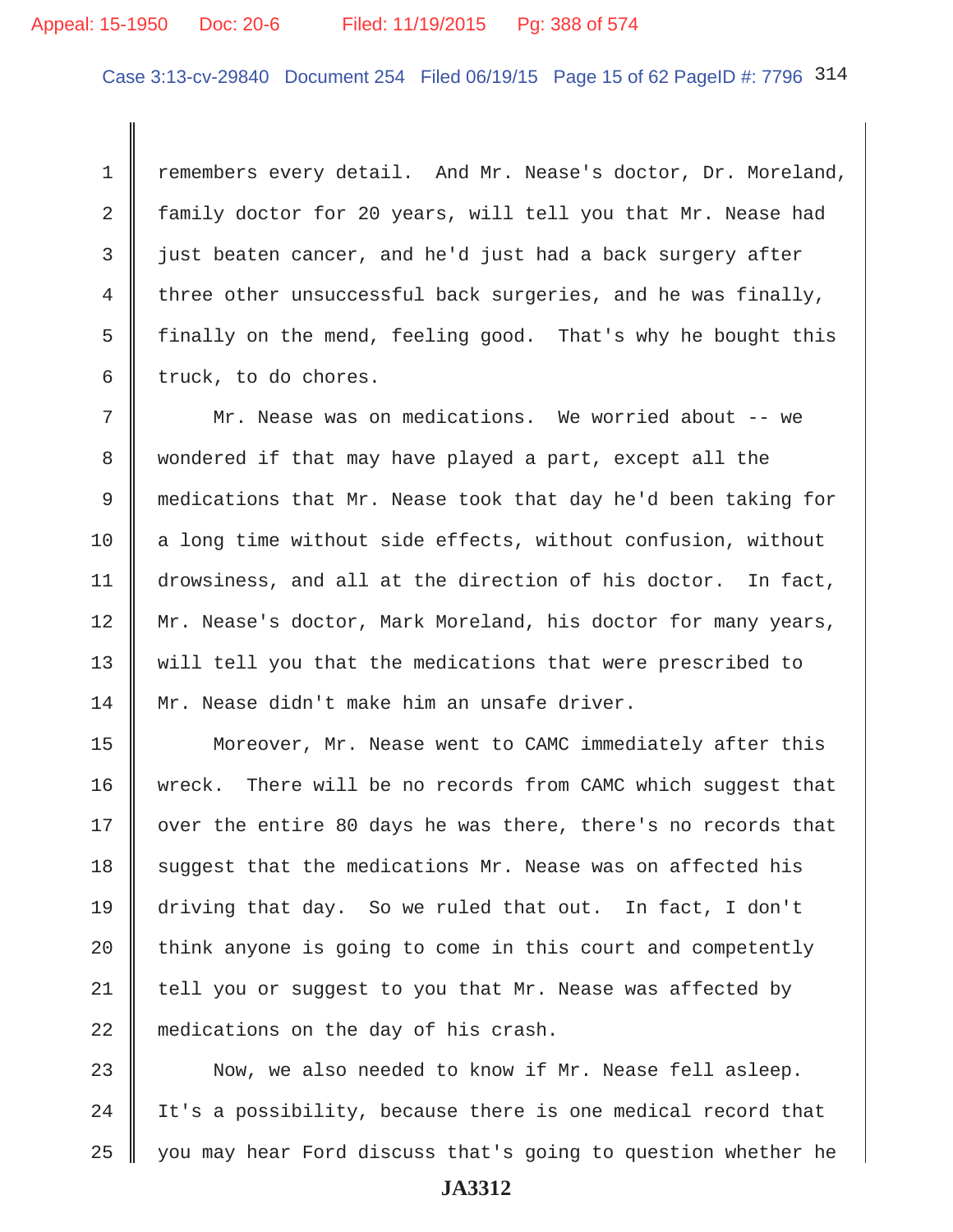# Appeal: 15-1950 Doc: 20-6 Filed: 11/19/2015 Pg: 388 of 574

Case 3:13-cv-29840 Document 254 Filed 06/19/15 Page 15 of 62 PageID #: 7796 314

1 Temembers every detail. And Mr. Nease's doctor, Dr. Moreland, 2 family doctor for 20 years, will tell you that Mr. Nease had  $3$  just beaten cancer, and he'd just had a back surgery after 4 three other unsuccessful back surgeries, and he was finally, 5 finally on the mend, feeling good. That's why he bought this  $6 \parallel$  truck, to do chores.

 7 Mr. Nease was on medications. We worried about -- we 8 || wondered if that may have played a part, except all the 9 medications that Mr. Nease took that day he'd been taking for 10  $\parallel$  a long time without side effects, without confusion, without 11 drowsiness, and all at the direction of his doctor. In fact, 12 Mr. Nease's doctor, Mark Moreland, his doctor for many years, 13 will tell you that the medications that were prescribed to 14 Mr. Nease didn't make him an unsafe driver.

15 | Moreover, Mr. Nease went to CAMC immediately after this 16 wreck. There will be no records from CAMC which suggest that  $17$  | over the entire 80 days he was there, there's no records that 18 suqqest that the medications Mr. Nease was on affected his 19 driving that day. So we ruled that out. In fact, I don't 20  $\parallel$  think anyone is going to come in this court and competently  $21$  tell you or suggest to you that Mr. Nease was affected by 22 medications on the day of his crash.

23 || Now, we also needed to know if Mr. Nease fell asleep. 24  $\parallel$  It's a possibility, because there is one medical record that 25 you may hear Ford discuss that's going to question whether he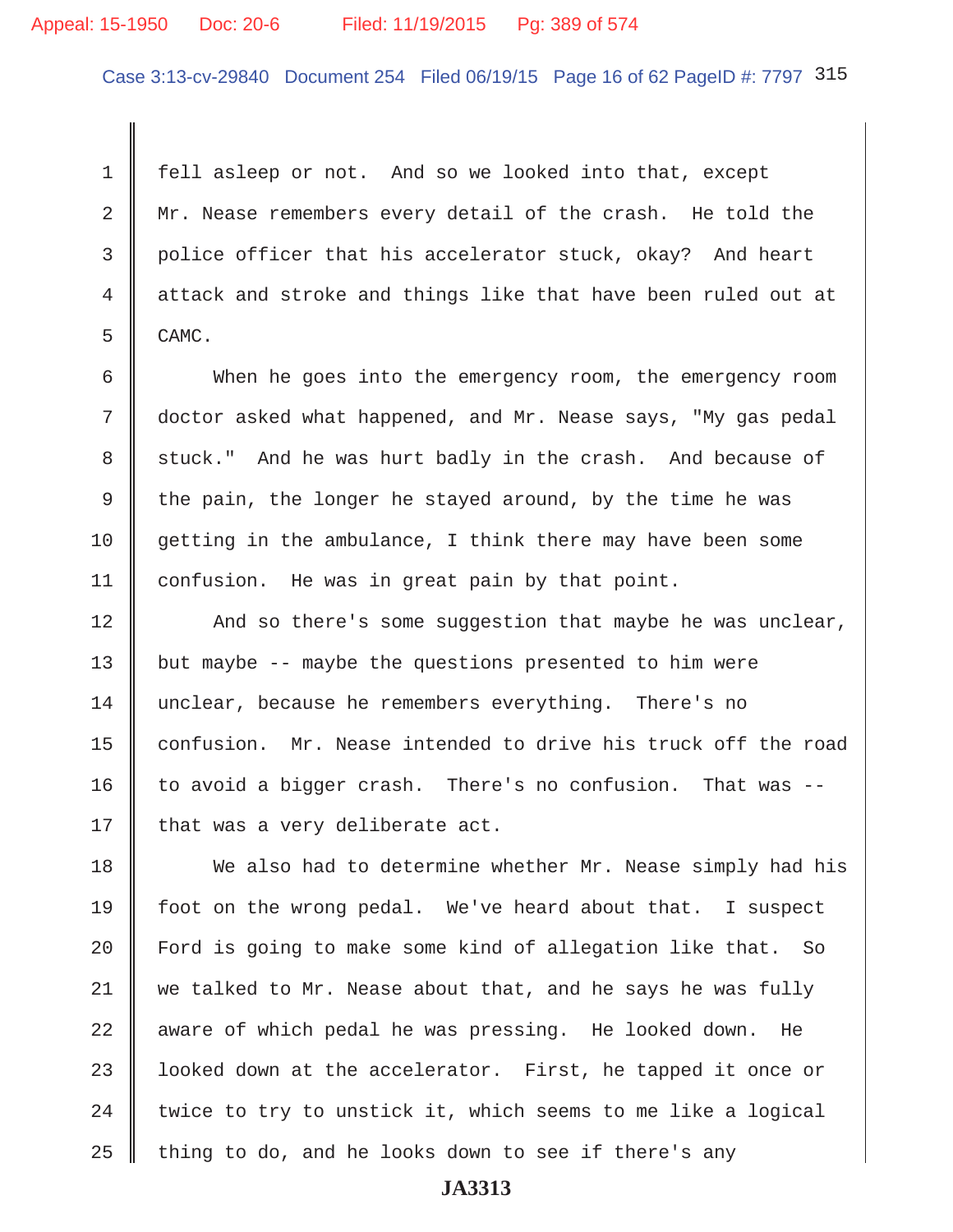## Appeal: 15-1950 Doc: 20-6 Filed: 11/19/2015 Pg: 389 of 574

Case 3:13-cv-29840 Document 254 Filed 06/19/15 Page 16 of 62 PageID #: 7797 315

 1 fell asleep or not. And so we looked into that, except 2 Mr. Nease remembers every detail of the crash. He told the 3 police officer that his accelerator stuck, okay? And heart 4 attack and stroke and things like that have been ruled out at  $5 \parallel$  CAMC.

 6 When he goes into the emergency room, the emergency room 7 doctor asked what happened, and Mr. Nease says, "My gas pedal 8 stuck." And he was hurt badly in the crash. And because of 9 the pain, the longer he stayed around, by the time he was 10 getting in the ambulance, I think there may have been some 11 | confusion. He was in great pain by that point.

12 || And so there's some suggestion that maybe he was unclear, 13  $\parallel$  but maybe -- maybe the questions presented to him were 14 unclear, because he remembers everything. There's no 15 | confusion. Mr. Nease intended to drive his truck off the road 16 to avoid a bigger crash. There's no confusion. That was  $-$ 17 | that was a very deliberate act.

18 We also had to determine whether Mr. Nease simply had his 19 foot on the wrong pedal. We've heard about that. I suspect 20 | Ford is going to make some kind of allegation like that. So 21 we talked to Mr. Nease about that, and he says he was fully  $22$  aware of which pedal he was pressing. He looked down. He 23 | looked down at the accelerator. First, he tapped it once or 24  $\parallel$  twice to try to unstick it, which seems to me like a logical 25  $\parallel$  thing to do, and he looks down to see if there's any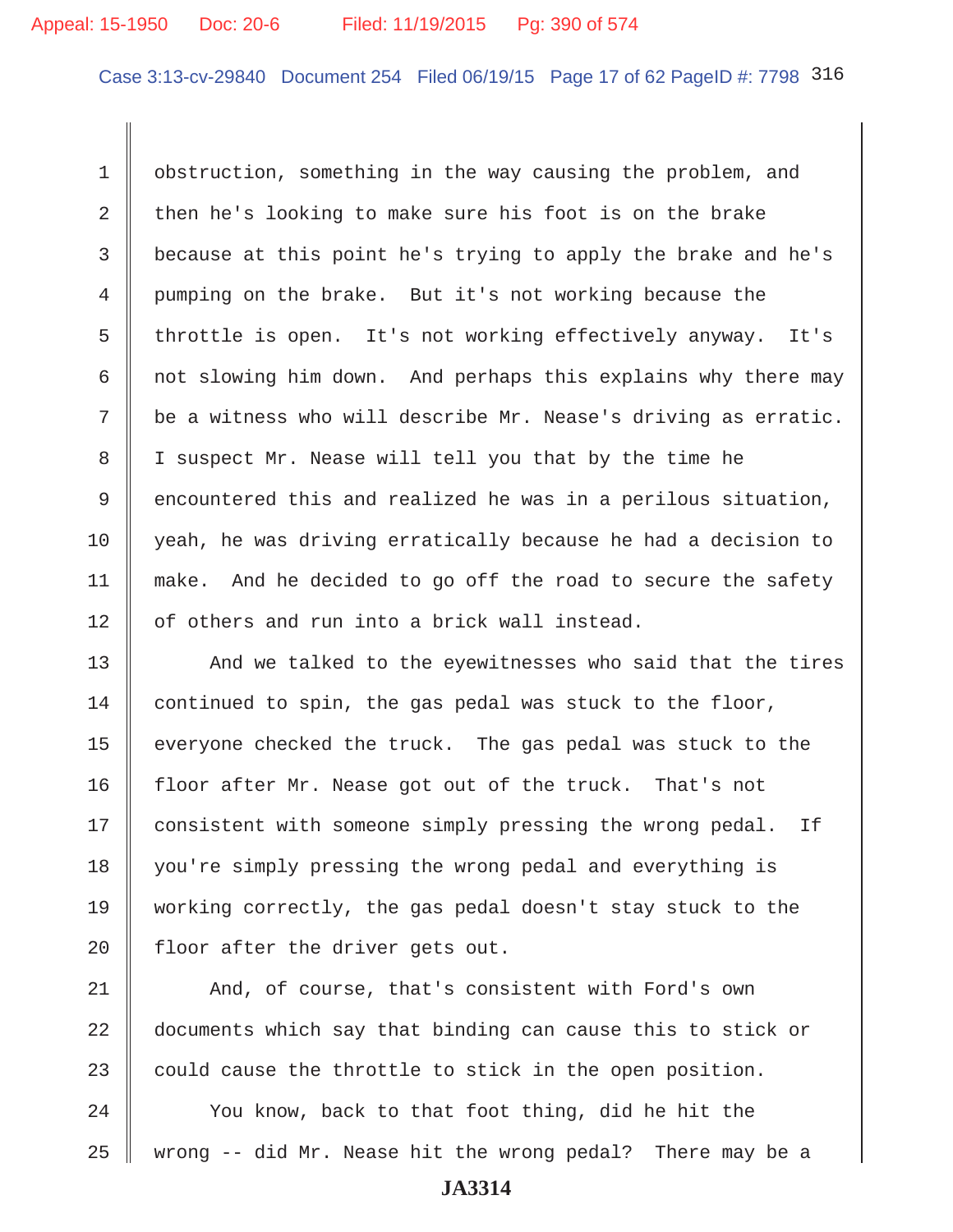Case 3:13-cv-29840 Document 254 Filed 06/19/15 Page 17 of 62 PageID #: 7798 316

1 | obstruction, something in the way causing the problem, and 2 then he's looking to make sure his foot is on the brake 3 because at this point he's trying to apply the brake and he's 4 pumping on the brake. But it's not working because the 5 throttle is open. It's not working effectively anyway. It's 6  $\parallel$  not slowing him down. And perhaps this explains why there may  $7 \parallel$  be a witness who will describe Mr. Nease's driving as erratic. 8 || I suspect Mr. Nease will tell you that by the time he  $9 \parallel$  encountered this and realized he was in a perilous situation, 10 yeah, he was driving erratically because he had a decision to 11 | make. And he decided to go off the road to secure the safety 12 | of others and run into a brick wall instead.

13 || And we talked to the eyewitnesses who said that the tires 14 continued to spin, the gas pedal was stuck to the floor, 15 | everyone checked the truck. The gas pedal was stuck to the 16 floor after Mr. Nease got out of the truck. That's not 17 | consistent with someone simply pressing the wrong pedal. If 18 | you're simply pressing the wrong pedal and everything is 19 working correctly, the gas pedal doesn't stay stuck to the 20  $\parallel$  floor after the driver gets out.

21 | And, of course, that's consistent with Ford's own 22 documents which say that binding can cause this to stick or 23  $\parallel$  could cause the throttle to stick in the open position.

24 Vou know, back to that foot thing, did he hit the 25  $\parallel$  wrong -- did Mr. Nease hit the wrong pedal? There may be a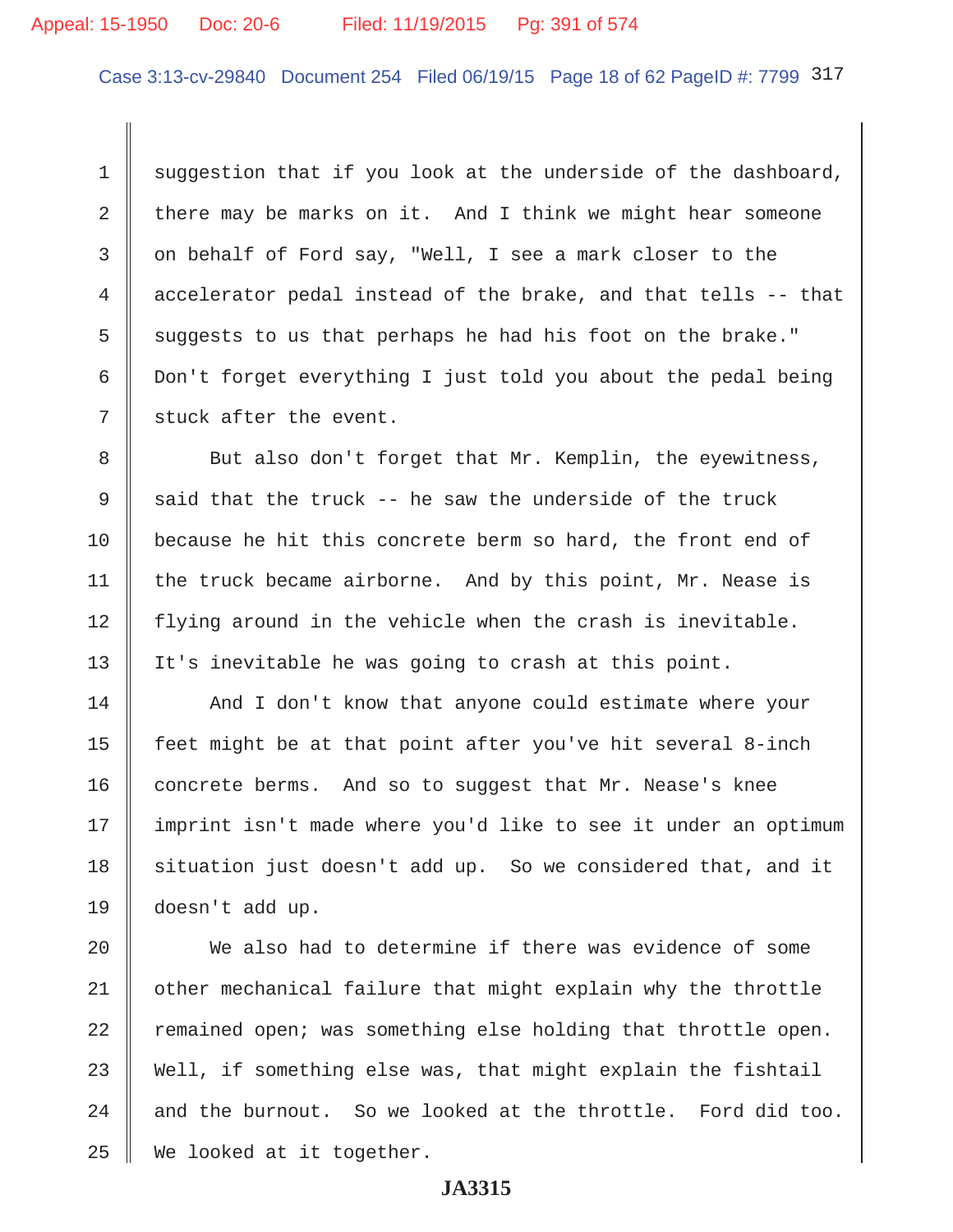# Appeal: 15-1950 Doc: 20-6 Filed: 11/19/2015 Pg: 391 of 574

Case 3:13-cv-29840 Document 254 Filed 06/19/15 Page 18 of 62 PageID #: 7799 317

1 suggestion that if you look at the underside of the dashboard, 2 there may be marks on it. And I think we might hear someone  $3 \parallel$  on behalf of Ford say, "Well, I see a mark closer to the 4 accelerator pedal instead of the brake, and that tells -- that 5 suggests to us that perhaps he had his foot on the brake." 6 Don't forget everything I just told you about the pedal being  $7 \parallel$  stuck after the event.

8 But also don't forget that Mr. Kemplin, the eyewitness, 9  $\parallel$  said that the truck -- he saw the underside of the truck 10 because he hit this concrete berm so hard, the front end of 11 | the truck became airborne. And by this point, Mr. Nease is  $12$  | flying around in the vehicle when the crash is inevitable. 13 | It's inevitable he was going to crash at this point.

14 | And I don't know that anyone could estimate where your 15  $\parallel$  feet might be at that point after you've hit several 8-inch  $16$  concrete berms. And so to suggest that Mr. Nease's knee 17 || imprint isn't made where you'd like to see it under an optimum 18 | situation just doesn't add up. So we considered that, and it 19 doesn't add up.

20 We also had to determine if there was evidence of some 21 | other mechanical failure that might explain why the throttle  $22$  remained open; was something else holding that throttle open.  $23$  Well, if something else was, that might explain the fishtail 24  $\parallel$  and the burnout. So we looked at the throttle. Ford did too. 25 We looked at it together.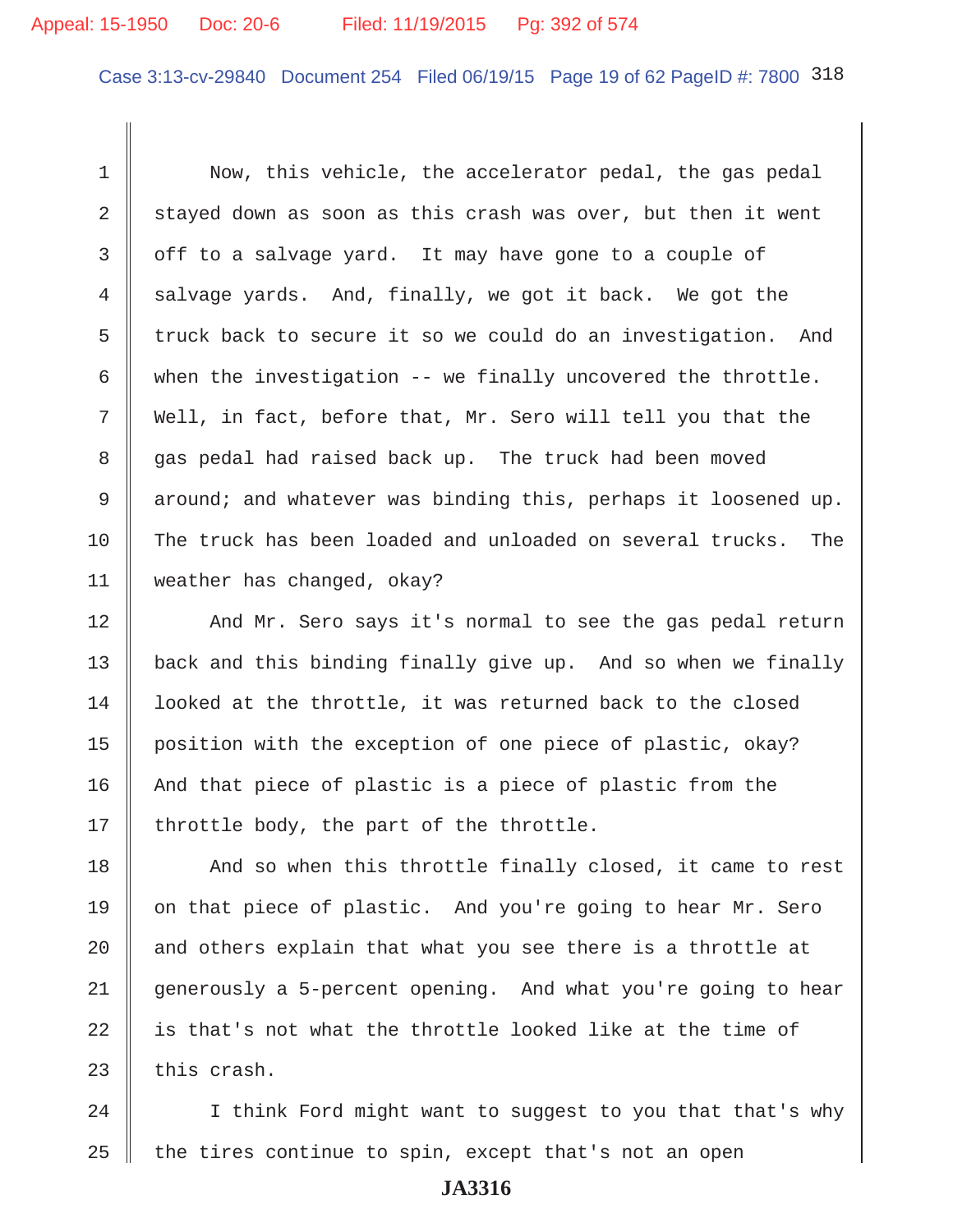# Appeal: 15-1950 Doc: 20-6 Filed: 11/19/2015 Pg: 392 of 574

Case 3:13-cv-29840 Document 254 Filed 06/19/15 Page 19 of 62 PageID #: 7800 318

1 Now, this vehicle, the accelerator pedal, the gas pedal 2  $\parallel$  stayed down as soon as this crash was over, but then it went 3 | off to a salvage yard. It may have gone to a couple of 4  $\parallel$  salvage yards. And, finally, we got it back. We got the 5  $\parallel$  truck back to secure it so we could do an investigation. And 6 when the investigation -- we finally uncovered the throttle. 7 Well, in fact, before that, Mr. Sero will tell you that the 8 gas pedal had raised back up. The truck had been moved 9 around; and whatever was binding this, perhaps it loosened up. 10 The truck has been loaded and unloaded on several trucks. The 11 weather has changed, okay?

12 || And Mr. Sero says it's normal to see the gas pedal return 13 back and this binding finally give up. And so when we finally 14 | looked at the throttle, it was returned back to the closed 15 | position with the exception of one piece of plastic, okay?  $16$  | And that piece of plastic is a piece of plastic from the 17 || throttle body, the part of the throttle.

18 || And so when this throttle finally closed, it came to rest  $\parallel$  on that piece of plastic. And you're going to hear Mr. Sero  $\parallel$  and others explain that what you see there is a throttle at 21 generously a 5-percent opening. And what you're going to hear || is that's not what the throttle looked like at the time of | this crash.

24  $\parallel$  I think Ford might want to suggest to you that that's why 25  $\parallel$  the tires continue to spin, except that's not an open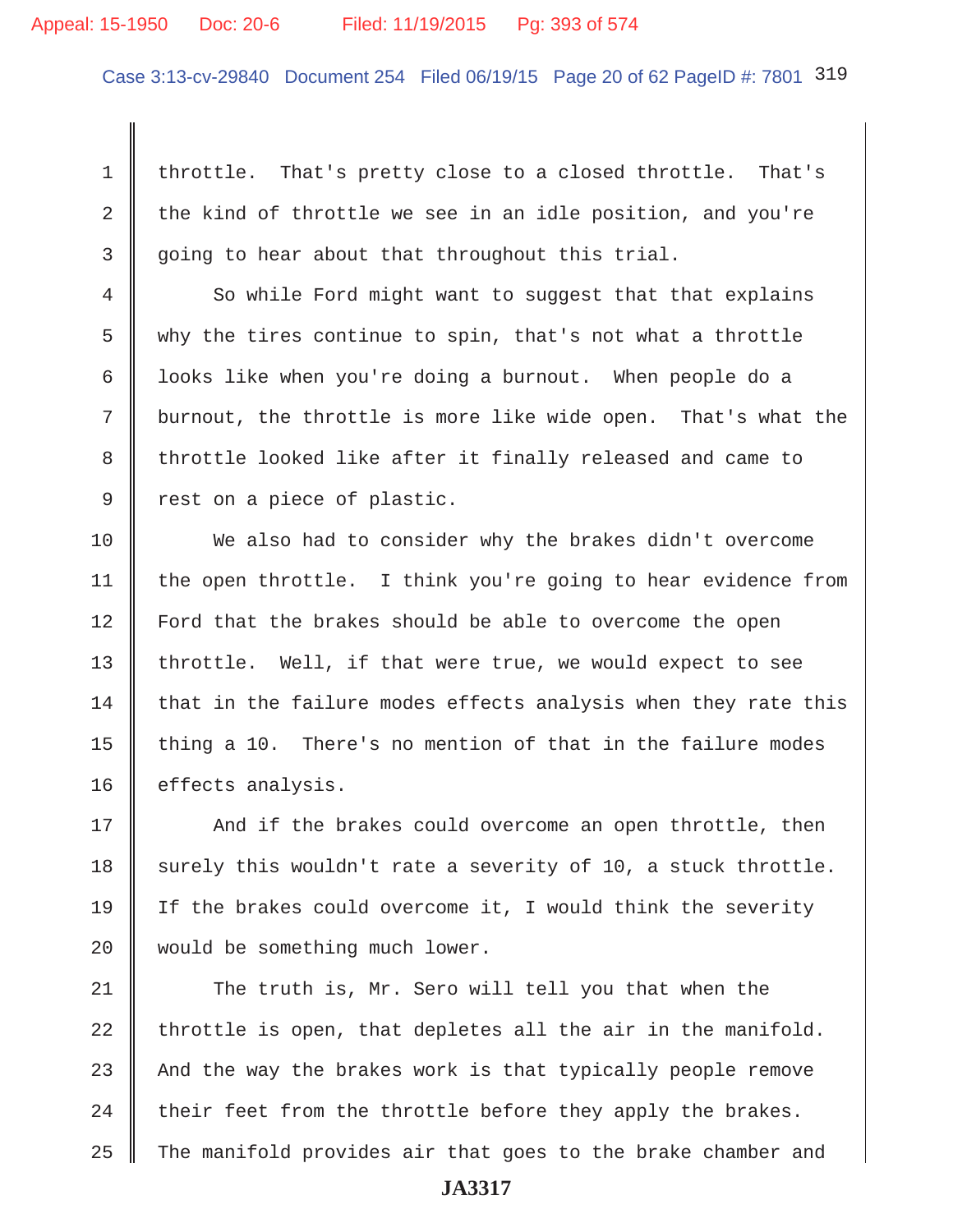#### Appeal: 15-1950 Doc: 20-6 Filed: 11/19/2015 Pg: 393 of 574

Case 3:13-cv-29840 Document 254 Filed 06/19/15 Page 20 of 62 PageID #: 7801 319

1 throttle. That's pretty close to a closed throttle. That's 2 the kind of throttle we see in an idle position, and you're 3 going to hear about that throughout this trial.

4 So while Ford might want to suggest that that explains 5 why the tires continue to spin, that's not what a throttle 6 | looks like when you're doing a burnout. When people do a 7 burnout, the throttle is more like wide open. That's what the 8 throttle looked like after it finally released and came to 9 cest on a piece of plastic.

10 We also had to consider why the brakes didn't overcome 11  $\parallel$  the open throttle. I think you're going to hear evidence from 12 Ford that the brakes should be able to overcome the open 13  $\parallel$  throttle. Well, if that were true, we would expect to see  $14$  that in the failure modes effects analysis when they rate this 15 thing a 10. There's no mention of that in the failure modes 16 | effects analysis.

17 || And if the brakes could overcome an open throttle, then 18 surely this wouldn't rate a severity of 10, a stuck throttle. 19 If the brakes could overcome it, I would think the severity 20 || would be something much lower.

21 The truth is, Mr. Sero will tell you that when the throttle is open, that depletes all the air in the manifold.  $\parallel$  And the way the brakes work is that typically people remove  $\parallel$  their feet from the throttle before they apply the brakes. The manifold provides air that goes to the brake chamber and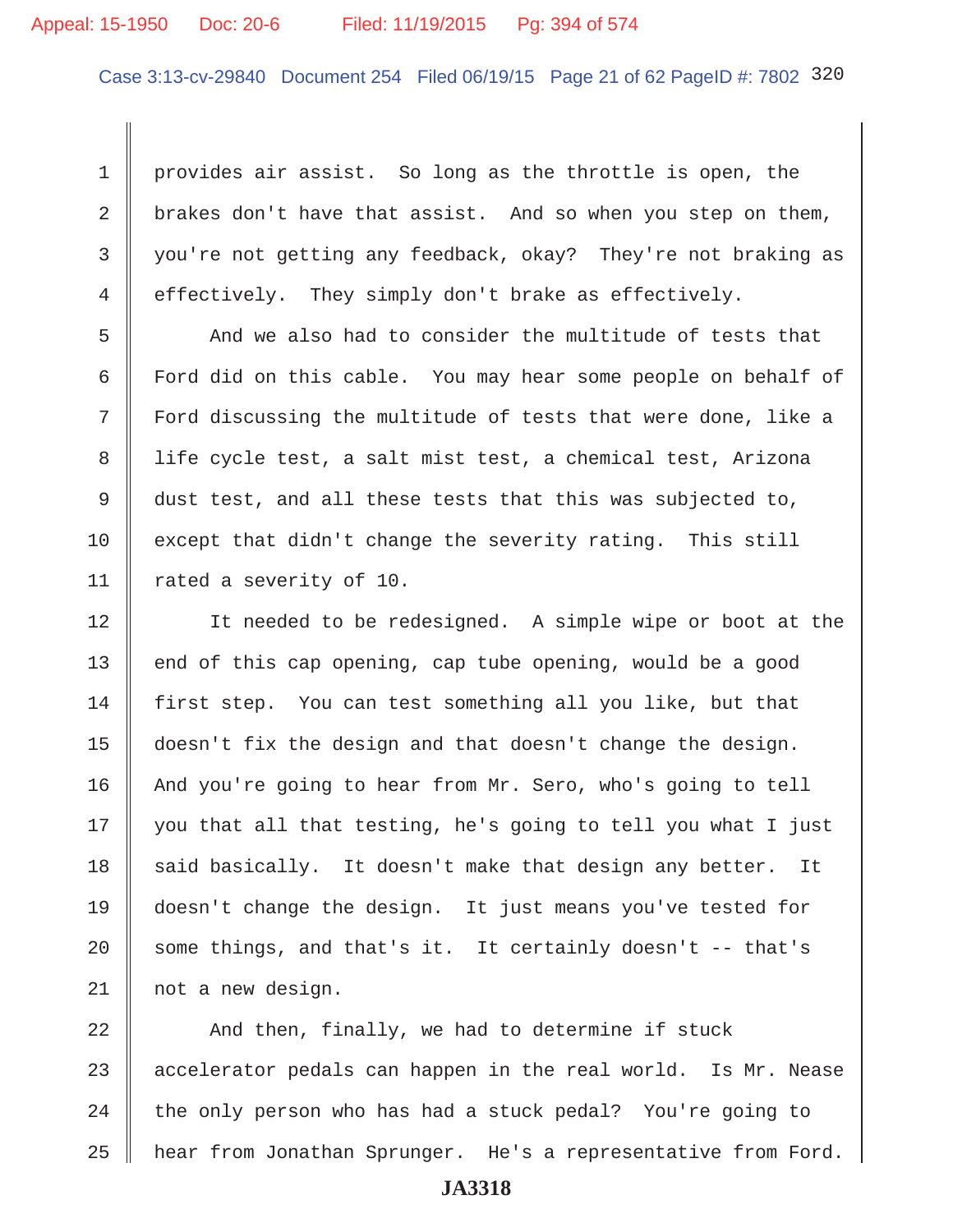# Appeal: 15-1950 Doc: 20-6 Filed: 11/19/2015 Pg: 394 of 574

Case 3:13-cv-29840 Document 254 Filed 06/19/15 Page 21 of 62 PageID #: 7802 320

1 | provides air assist. So long as the throttle is open, the 2 brakes don't have that assist. And so when you step on them, 3 you're not getting any feedback, okay? They're not braking as 4 effectively. They simply don't brake as effectively.

5 And we also had to consider the multitude of tests that 6 Ford did on this cable. You may hear some people on behalf of 7 || Ford discussing the multitude of tests that were done, like a 8 || life cycle test, a salt mist test, a chemical test, Arizona 9 dust test, and all these tests that this was subjected to, 10 except that didn't change the severity rating. This still 11 | rated a severity of 10.

12 || It needed to be redesigned. A simple wipe or boot at the  $13$  end of this cap opening, cap tube opening, would be a good 14 first step. You can test something all you like, but that 15 doesn't fix the design and that doesn't change the design. 16 And you're going to hear from Mr. Sero, who's going to tell  $17 \parallel$  you that all that testing, he's going to tell you what I just  $18$  said basically. It doesn't make that design any better. It 19 doesn't change the design. It just means you've tested for 20  $\parallel$  some things, and that's it. It certainly doesn't -- that's 21 not a new design.

 $\parallel$  And then, finally, we had to determine if stuck  $\parallel$  accelerator pedals can happen in the real world. Is Mr. Nease | the only person who has had a stuck pedal? You're going to 25 | hear from Jonathan Sprunger. He's a representative from Ford.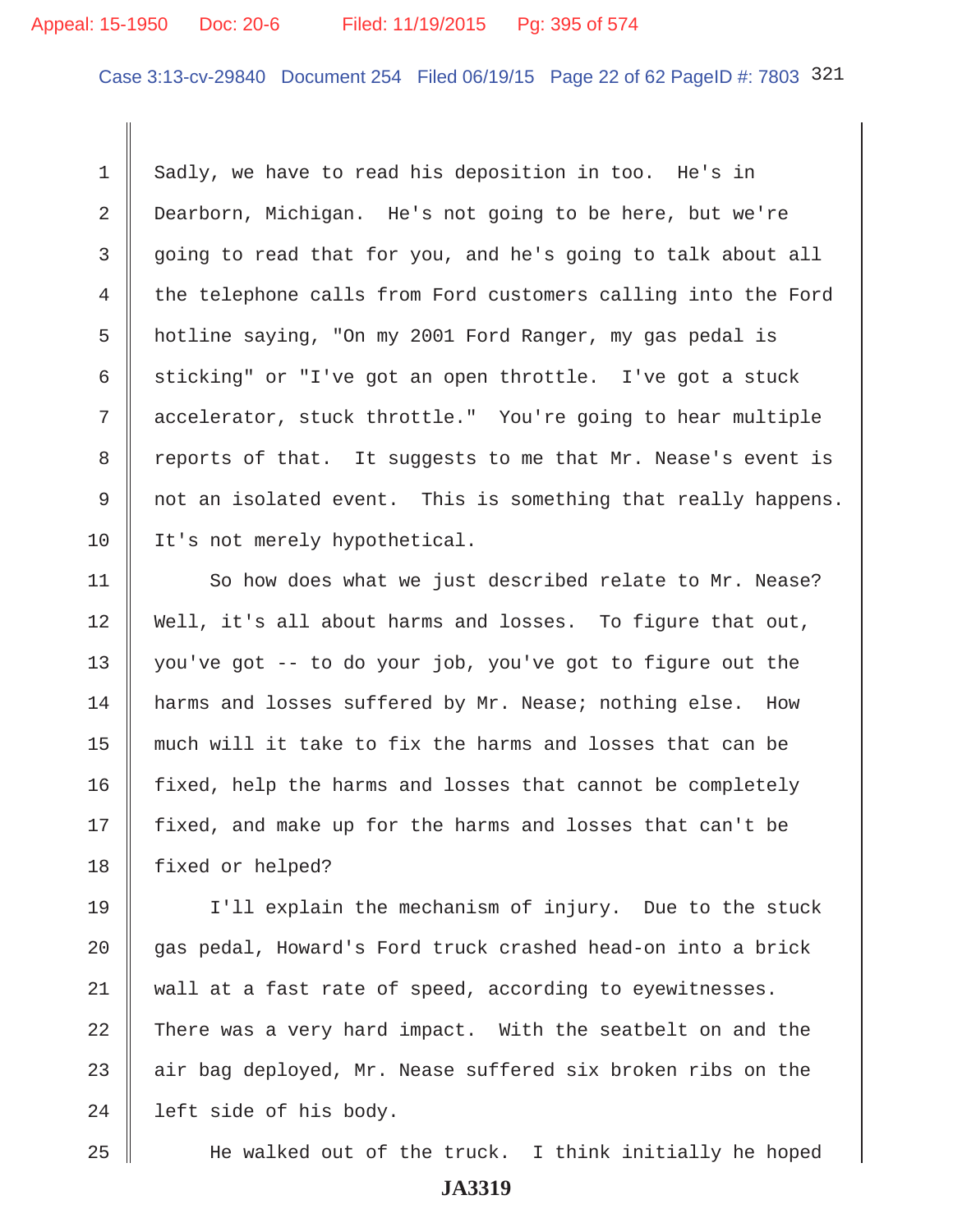# Appeal: 15-1950 Doc: 20-6 Filed: 11/19/2015 Pg: 395 of 574

Case 3:13-cv-29840 Document 254 Filed 06/19/15 Page 22 of 62 PageID #: 7803 321

1 Sadly, we have to read his deposition in too. He's in 2 Dearborn, Michigan. He's not going to be here, but we're 3 going to read that for you, and he's going to talk about all 4 the telephone calls from Ford customers calling into the Ford 5 hotline saying, "On my 2001 Ford Ranger, my gas pedal is 6 sticking" or "I've got an open throttle. I've got a stuck 7 accelerator, stuck throttle." You're going to hear multiple 8 Teports of that. It suggests to me that Mr. Nease's event is 9 || not an isolated event. This is something that really happens. 10 | It's not merely hypothetical.

11 | So how does what we just described relate to Mr. Nease? 12 Well, it's all about harms and losses. To figure that out, 13 | you've got  $-$  to do your job, you've got to figure out the 14 harms and losses suffered by Mr. Nease; nothing else. How 15 much will it take to fix the harms and losses that can be  $16$  fixed, help the harms and losses that cannot be completely 17 | fixed, and make up for the harms and losses that can't be 18 | fixed or helped?

19 I'll explain the mechanism of injury. Due to the stuck 20 gas pedal, Howard's Ford truck crashed head-on into a brick 21 || wall at a fast rate of speed, according to eyewitnesses. 22  $\parallel$  There was a very hard impact. With the seatbelt on and the 23  $\parallel$  air bag deployed, Mr. Nease suffered six broken ribs on the  $24$  | left side of his body.

25 He walked out of the truck. I think initially he hoped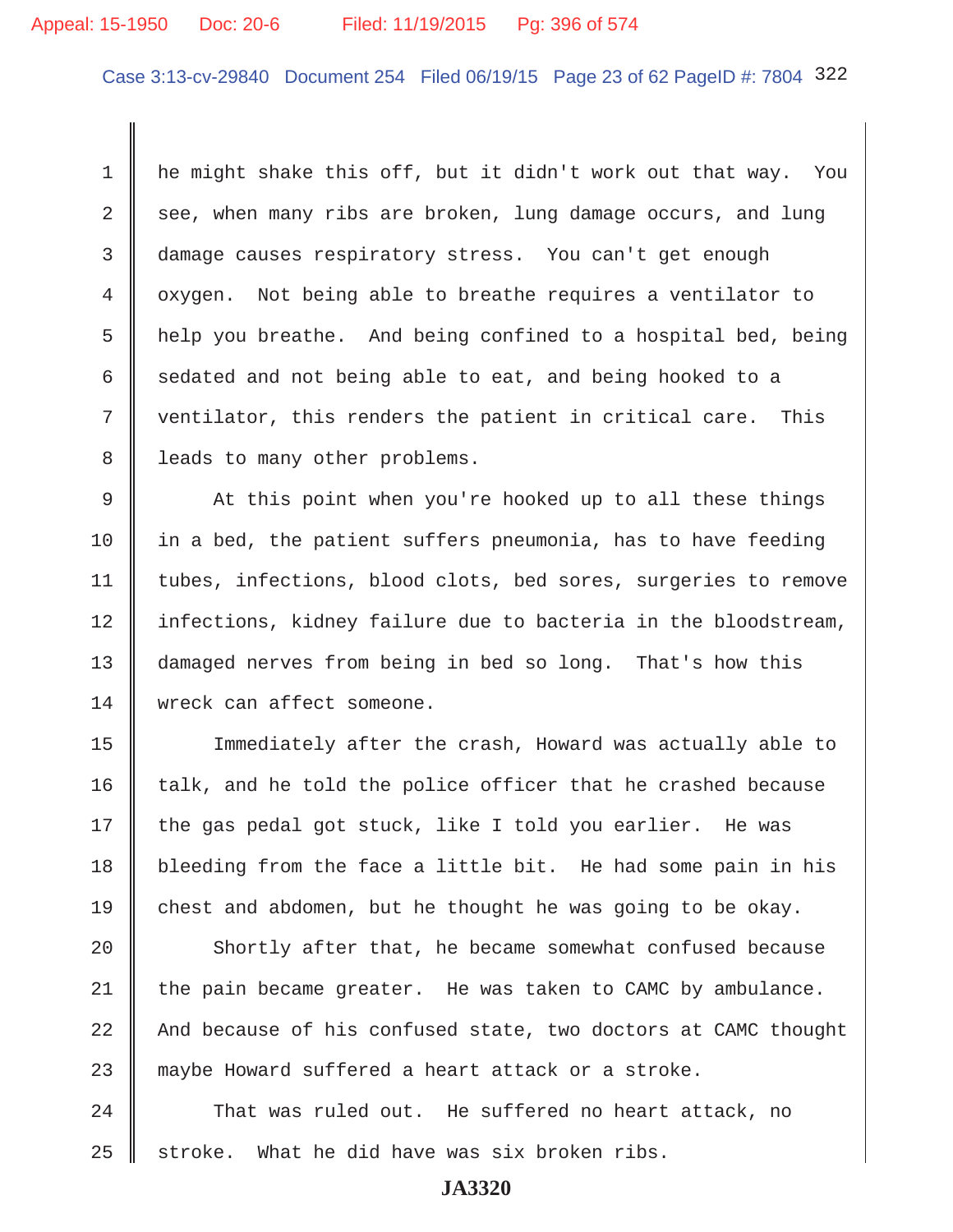## Appeal: 15-1950 Doc: 20-6 Filed: 11/19/2015 Pg: 396 of 574

Case 3:13-cv-29840 Document 254 Filed 06/19/15 Page 23 of 62 PageID #: 7804 322

 1 he might shake this off, but it didn't work out that way. You  $2 \parallel$  see, when many ribs are broken, lung damage occurs, and lung 3 damage causes respiratory stress. You can't get enough 4 oxygen. Not being able to breathe requires a ventilator to 5 help you breathe. And being confined to a hospital bed, being 6 sedated and not being able to eat, and being hooked to a  $7 \parallel$  ventilator, this renders the patient in critical care. This 8 | leads to many other problems.

9 At this point when you're hooked up to all these things 10  $\parallel$  in a bed, the patient suffers pneumonia, has to have feeding 11 Utubes, infections, blood clots, bed sores, surgeries to remove 12 | infections, kidney failure due to bacteria in the bloodstream, 13 | damaged nerves from being in bed so long. That's how this 14 wreck can affect someone.

15 Immediately after the crash, Howard was actually able to  $16$  talk, and he told the police officer that he crashed because  $17$  the gas pedal got stuck, like I told you earlier. He was 18 bleeding from the face a little bit. He had some pain in his 19 chest and abdomen, but he thought he was going to be okay.

20 Shortly after that, he became somewhat confused because 21  $\parallel$  the pain became greater. He was taken to CAMC by ambulance. 22  $\parallel$  And because of his confused state, two doctors at CAMC thought 23 maybe Howard suffered a heart attack or a stroke.

24 That was ruled out. He suffered no heart attack, no  $25$  stroke. What he did have was six broken ribs.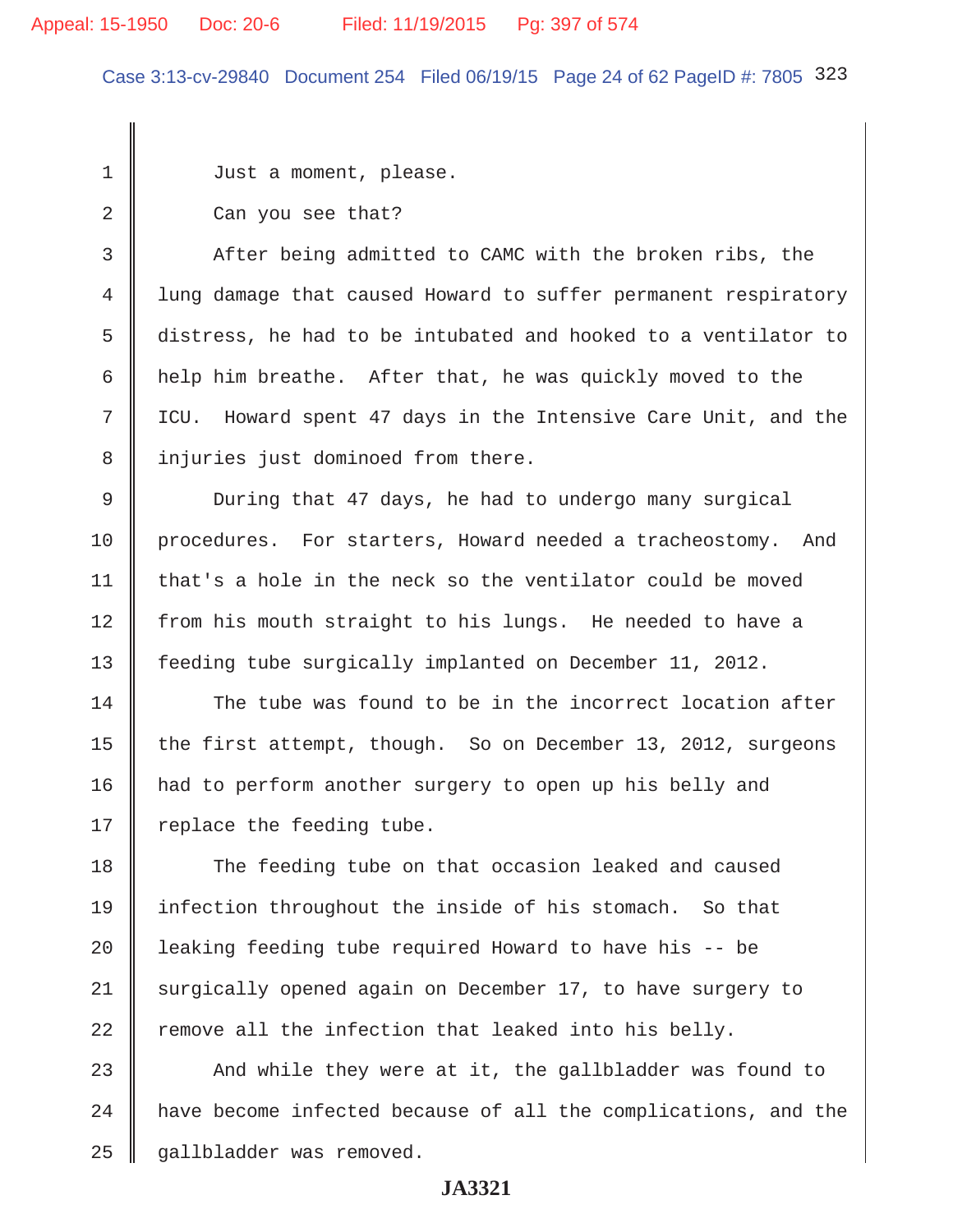# Appeal: 15-1950 Doc: 20-6 Filed: 11/19/2015 Pg: 397 of 574

Case 3:13-cv-29840 Document 254 Filed 06/19/15 Page 24 of 62 PageID #: 7805 323

1 Just a moment, please.

2 **Can** you see that?

3 After being admitted to CAMC with the broken ribs, the 4 lung damage that caused Howard to suffer permanent respiratory 5 | distress, he had to be intubated and hooked to a ventilator to  $6$  | help him breathe. After that, he was quickly moved to the 7 ICU. Howard spent 47 days in the Intensive Care Unit, and the 8 || injuries just dominoed from there.

 9 During that 47 days, he had to undergo many surgical 10 procedures. For starters, Howard needed a tracheostomy. And  $11$  that's a hole in the neck so the ventilator could be moved 12 from his mouth straight to his lungs. He needed to have a 13 | feeding tube surgically implanted on December 11, 2012.

14 The tube was found to be in the incorrect location after 15 the first attempt, though. So on December 13, 2012, surgeons 16 had to perform another surgery to open up his belly and 17  $\parallel$  replace the feeding tube.

18 The feeding tube on that occasion leaked and caused 19 infection throughout the inside of his stomach. So that 20 | leaking feeding tube required Howard to have his -- be 21 surgically opened again on December 17, to have surgery to 22  $\parallel$  remove all the infection that leaked into his belly.

23  $\parallel$  And while they were at it, the gallbladder was found to  $24$   $\parallel$  have become infected because of all the complications, and the 25 || gallbladder was removed.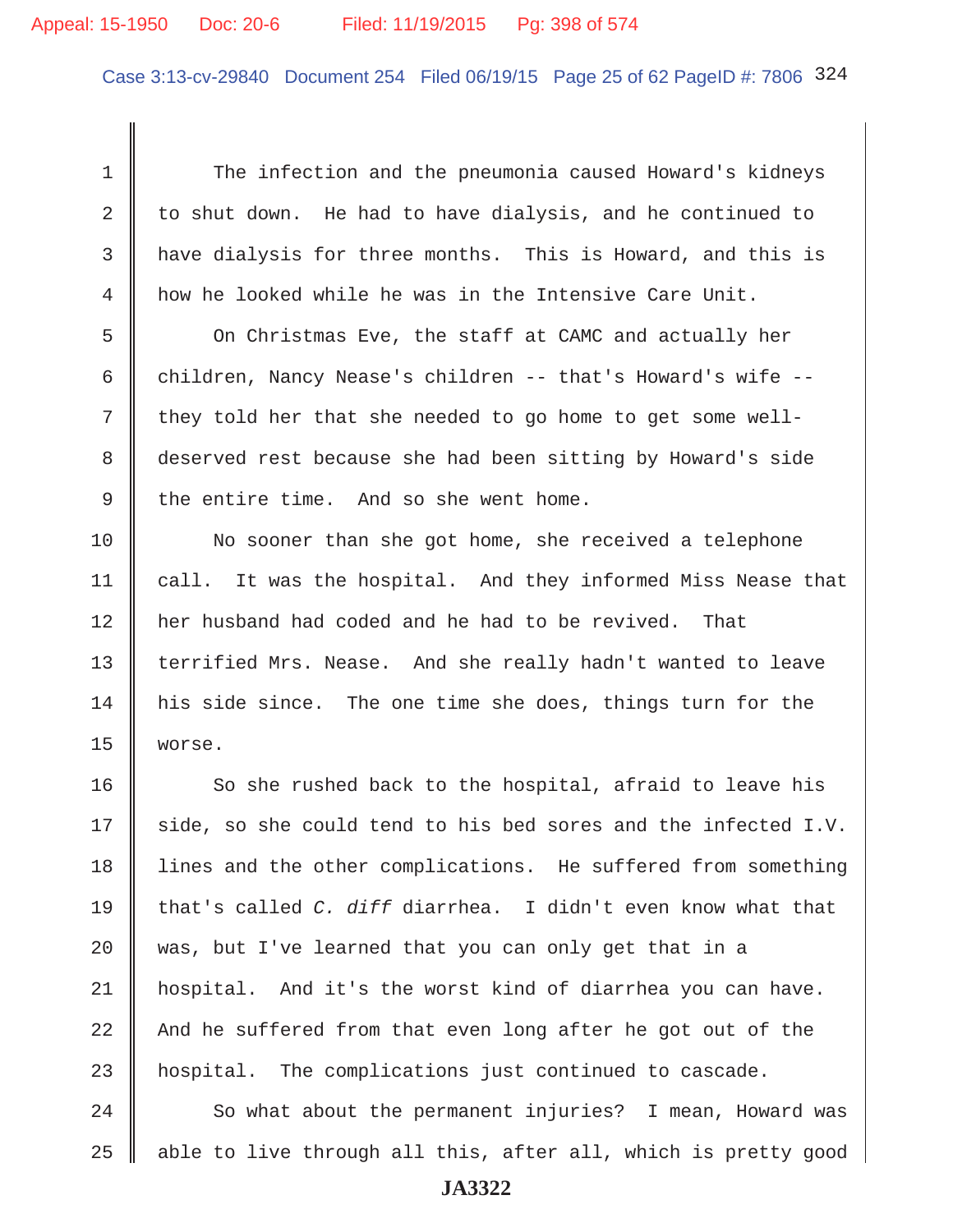# Appeal: 15-1950 Doc: 20-6 Filed: 11/19/2015 Pg: 398 of 574

Case 3:13-cv-29840 Document 254 Filed 06/19/15 Page 25 of 62 PageID #: 7806 324

 1 The infection and the pneumonia caused Howard's kidneys 2 to shut down. He had to have dialysis, and he continued to 3 | have dialysis for three months. This is Howard, and this is 4 how he looked while he was in the Intensive Care Unit. 5 | On Christmas Eve, the staff at CAMC and actually her 6 children, Nancy Nease's children -- that's Howard's wife -- $7 \parallel$  they told her that she needed to go home to get some well- 8 deserved rest because she had been sitting by Howard's side 9  $\parallel$  the entire time. And so she went home. 10 No sooner than she got home, she received a telephone 11 | call. It was the hospital. And they informed Miss Nease that 12 her husband had coded and he had to be revived. That 13 || terrified Mrs. Nease. And she really hadn't wanted to leave 14 his side since. The one time she does, things turn for the 15 worse.  $16$  So she rushed back to the hospital, afraid to leave his 17  $\parallel$  side, so she could tend to his bed sores and the infected I.V. 18 I lines and the other complications. He suffered from something 19 that's called *C. diff* diarrhea. I didn't even know what that 20 was, but I've learned that you can only get that in a 21 hospital. And it's the worst kind of diarrhea you can have. 22  $\parallel$  And he suffered from that even long after he got out of the 23 hospital. The complications just continued to cascade.  $24$   $\parallel$  So what about the permanent injuries? I mean, Howard was

**JA3322**

 $25$  able to live through all this, after all, which is pretty good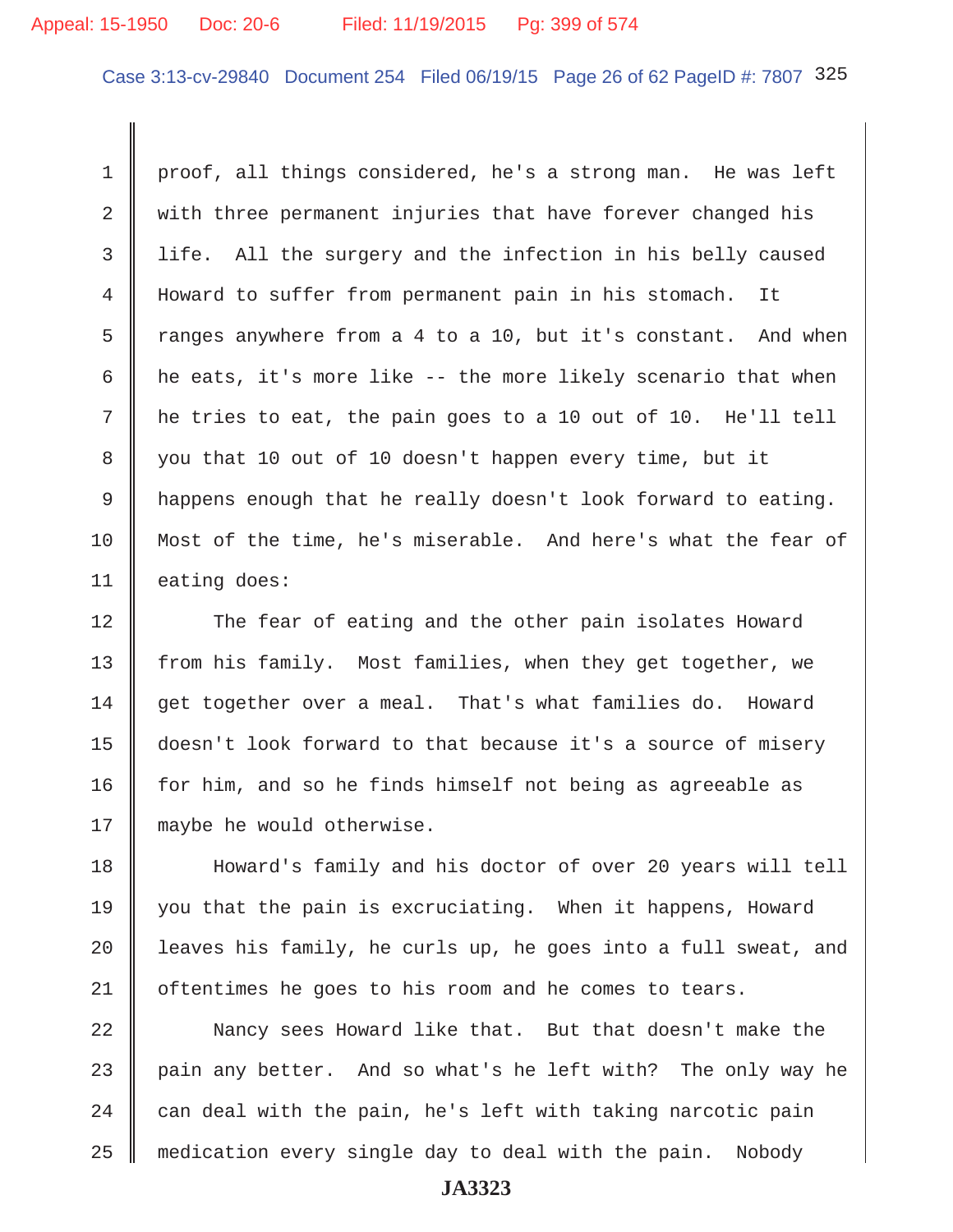# Appeal: 15-1950 Doc: 20-6 Filed: 11/19/2015 Pg: 399 of 574

Case 3:13-cv-29840 Document 254 Filed 06/19/15 Page 26 of 62 PageID #: 7807 325

1 proof, all things considered, he's a strong man. He was left 2  $\parallel$  with three permanent injuries that have forever changed his 3 || life. All the surgery and the infection in his belly caused 4 Howard to suffer from permanent pain in his stomach. It 5 T ranges anywhere from a 4 to a 10, but it's constant. And when 6  $\parallel$  he eats, it's more like -- the more likely scenario that when 7 he tries to eat, the pain goes to a 10 out of 10. He'll tell 8 you that 10 out of 10 doesn't happen every time, but it 9 happens enough that he really doesn't look forward to eating. 10 Most of the time, he's miserable. And here's what the fear of 11 eating does:

12 The fear of eating and the other pain isolates Howard 13 from his family. Most families, when they get together, we 14 get together over a meal. That's what families do. Howard 15 doesn't look forward to that because it's a source of misery 16 for him, and so he finds himself not being as agreeable as 17 || maybe he would otherwise.

18 Howard's family and his doctor of over 20 years will tell 19 you that the pain is excruciating. When it happens, Howard 20  $\parallel$  leaves his family, he curls up, he goes into a full sweat, and 21 | oftentimes he goes to his room and he comes to tears.

22 Nancy sees Howard like that. But that doesn't make the 23 pain any better. And so what's he left with? The only way he 24  $\parallel$  can deal with the pain, he's left with taking narcotic pain 25 medication every single day to deal with the pain. Nobody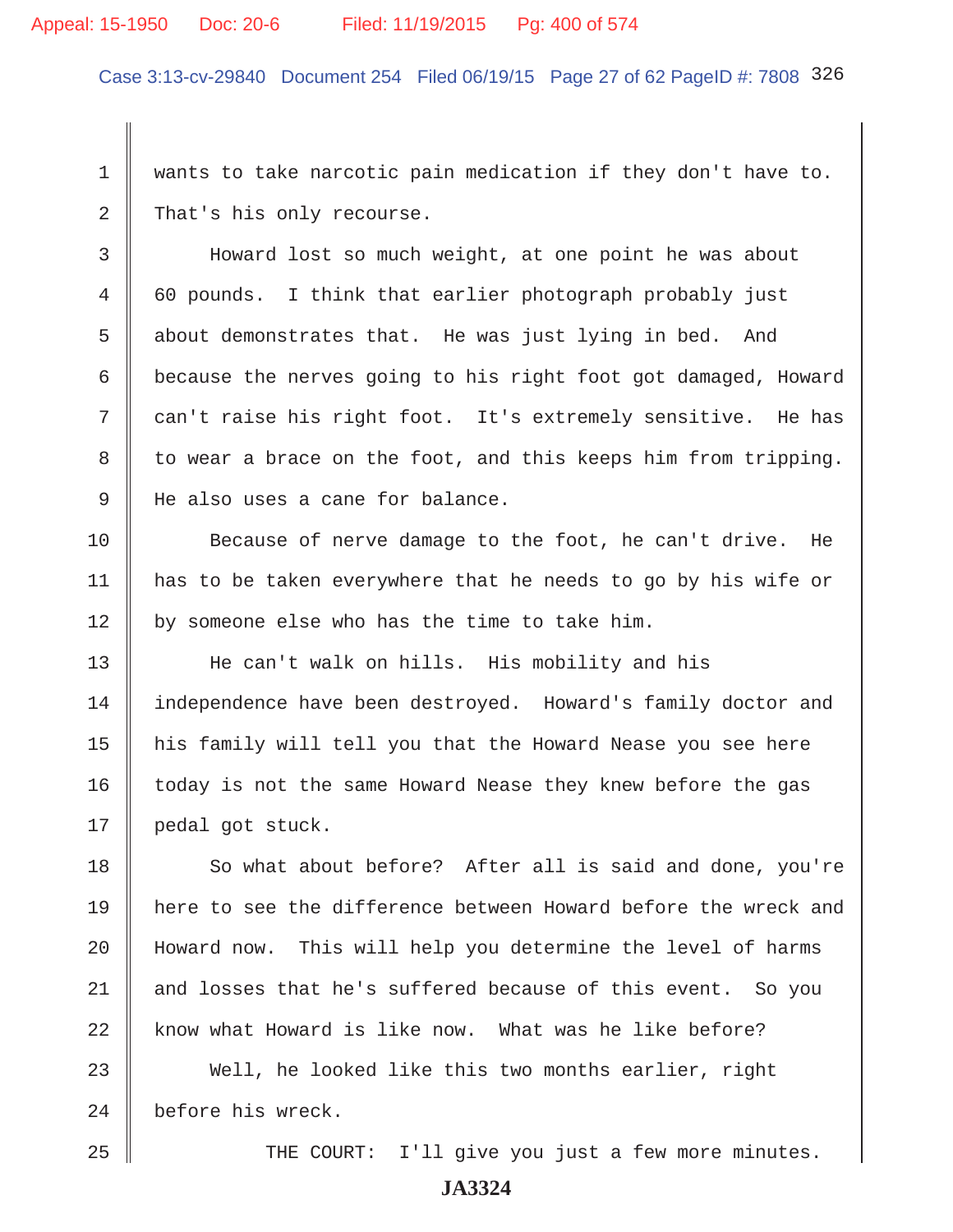# Appeal: 15-1950 Doc: 20-6 Filed: 11/19/2015 Pg: 400 of 574

Case 3:13-cv-29840 Document 254 Filed 06/19/15 Page 27 of 62 PageID #: 7808 326

 1 wants to take narcotic pain medication if they don't have to. 2 That's his only recourse.

 3 Howard lost so much weight, at one point he was about 4 60 pounds. I think that earlier photograph probably just 5 about demonstrates that. He was just lying in bed. And 6 because the nerves going to his right foot got damaged, Howard 7 can't raise his right foot. It's extremely sensitive. He has  $8 \parallel$  to wear a brace on the foot, and this keeps him from tripping. 9 He also uses a cane for balance.

10 Because of nerve damage to the foot, he can't drive. He 11 has to be taken everywhere that he needs to go by his wife or 12  $\parallel$  by someone else who has the time to take him.

13 || He can't walk on hills. His mobility and his 14 independence have been destroyed. Howard's family doctor and 15 his family will tell you that the Howard Nease you see here 16 | today is not the same Howard Nease they knew before the gas 17 || pedal got stuck.

18 So what about before? After all is said and done, you're 19 here to see the difference between Howard before the wreck and 20 Howard now. This will help you determine the level of harms 21 || and losses that he's suffered because of this event. So you 22  $\parallel$  know what Howard is like now. What was he like before?

23 Well, he looked like this two months earlier, right 24 before his wreck.

25 THE COURT: I'll give you just a few more minutes.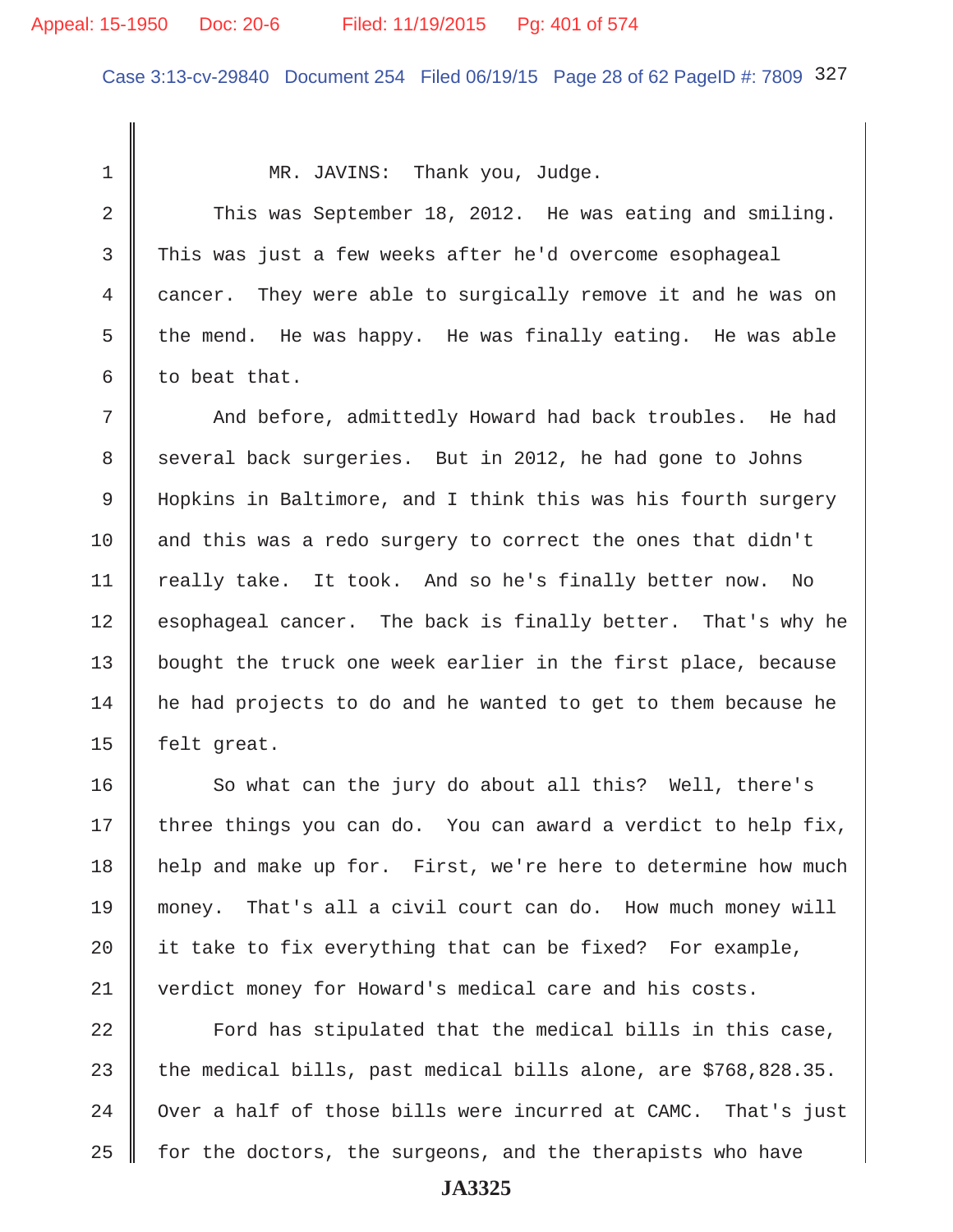# Appeal: 15-1950 Doc: 20-6 Filed: 11/19/2015 Pg: 401 of 574

Case 3:13-cv-29840 Document 254 Filed 06/19/15 Page 28 of 62 PageID #: 7809 327

1 || MR. JAVINS: Thank you, Judge.

2 This was September 18, 2012. He was eating and smiling. 3 This was just a few weeks after he'd overcome esophageal 4 cancer. They were able to surgically remove it and he was on 5 the mend. He was happy. He was finally eating. He was able  $6 \parallel$  to beat that.

7 And before, admittedly Howard had back troubles. He had 8 several back surgeries. But in 2012, he had gone to Johns 9 | Hopkins in Baltimore, and I think this was his fourth surgery  $10$  and this was a redo surgery to correct the ones that didn't 11 | really take. It took. And so he's finally better now. No 12 esophageal cancer. The back is finally better. That's why he 13 | bought the truck one week earlier in the first place, because 14 he had projects to do and he wanted to get to them because he 15  $\parallel$  felt great.

16 So what can the jury do about all this? Well, there's 17 three things you can do. You can award a verdict to help fix, 18 help and make up for. First, we're here to determine how much 19 money. That's all a civil court can do. How much money will 20  $\parallel$  it take to fix everything that can be fixed? For example, 21 verdict money for Howard's medical care and his costs.

  $\parallel$  Ford has stipulated that the medical bills in this case, 23 the medical bills, past medical bills alone, are  $$768,828.35$ .  $\parallel$  Over a half of those bills were incurred at CAMC. That's just for the doctors, the surgeons, and the therapists who have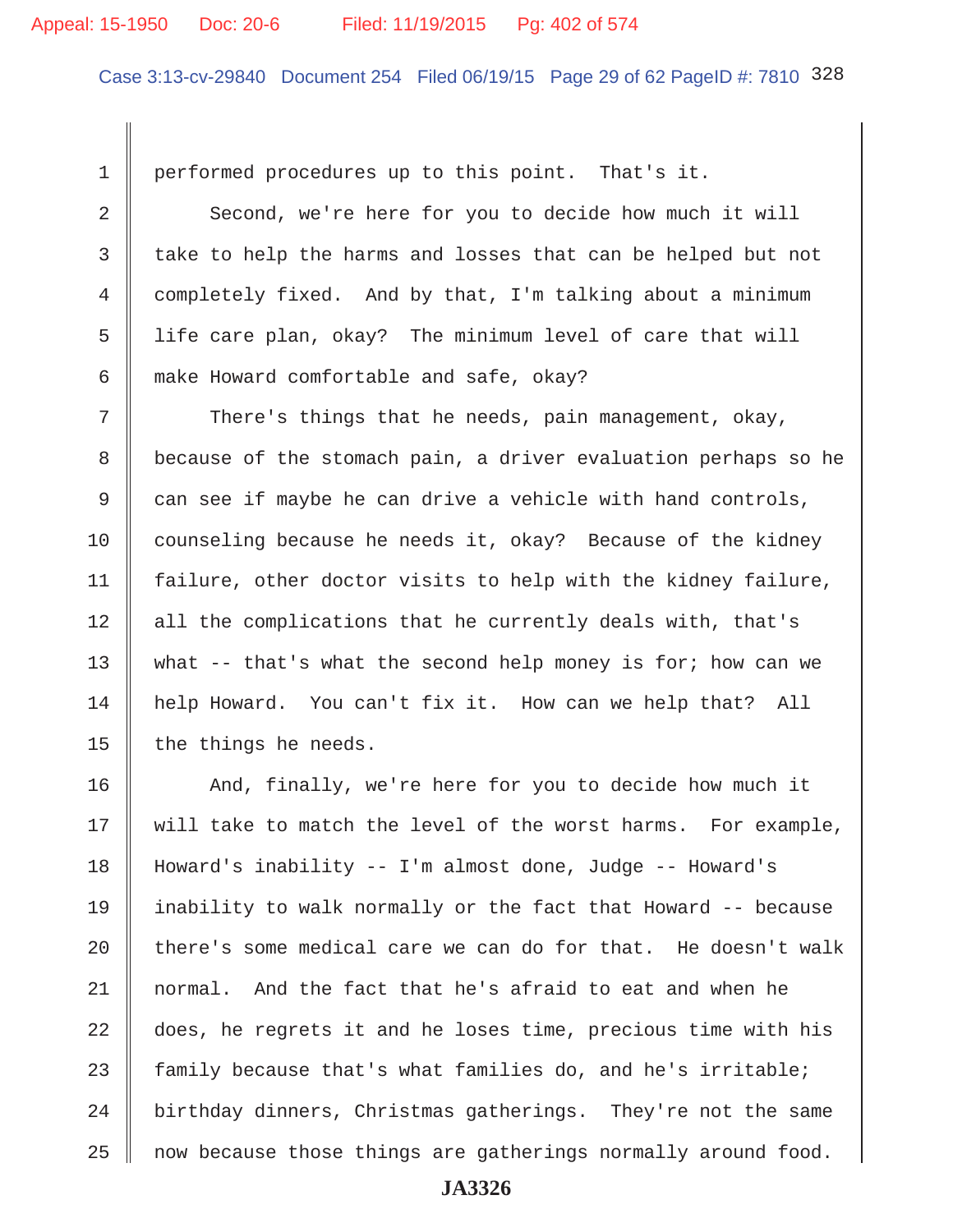# Appeal: 15-1950 Doc: 20-6 Filed: 11/19/2015 Pg: 402 of 574

Case 3:13-cv-29840 Document 254 Filed 06/19/15 Page 29 of 62 PageID #: 7810 328

1 performed procedures up to this point. That's it.

2 Second, we're here for you to decide how much it will 3 take to help the harms and losses that can be helped but not 4 completely fixed. And by that, I'm talking about a minimum 5 | life care plan, okay? The minimum level of care that will 6  $\parallel$  make Howard comfortable and safe, okay?

7 There's things that he needs, pain management, okay, 8 because of the stomach pain, a driver evaluation perhaps so he 9 can see if maybe he can drive a vehicle with hand controls, 10 counseling because he needs it, okay? Because of the kidney 11  $\parallel$  failure, other doctor visits to help with the kidney failure,  $12$  | all the complications that he currently deals with, that's 13 | what  $-$  that's what the second help money is for; how can we 14 help Howard. You can't fix it. How can we help that? All 15  $\parallel$  the things he needs.

16 || And, finally, we're here for you to decide how much it 17 || will take to match the level of the worst harms. For example, 18 Howard's inability -- I'm almost done, Judge -- Howard's 19  $\parallel$  inability to walk normally or the fact that Howard -- because 20  $\parallel$  there's some medical care we can do for that. He doesn't walk 21 normal. And the fact that he's afraid to eat and when he 22 || does, he regrets it and he loses time, precious time with his 23  $\parallel$  family because that's what families do, and he's irritable;  $24$   $\parallel$  birthday dinners, Christmas gatherings. They're not the same  $25$  | now because those things are gatherings normally around food.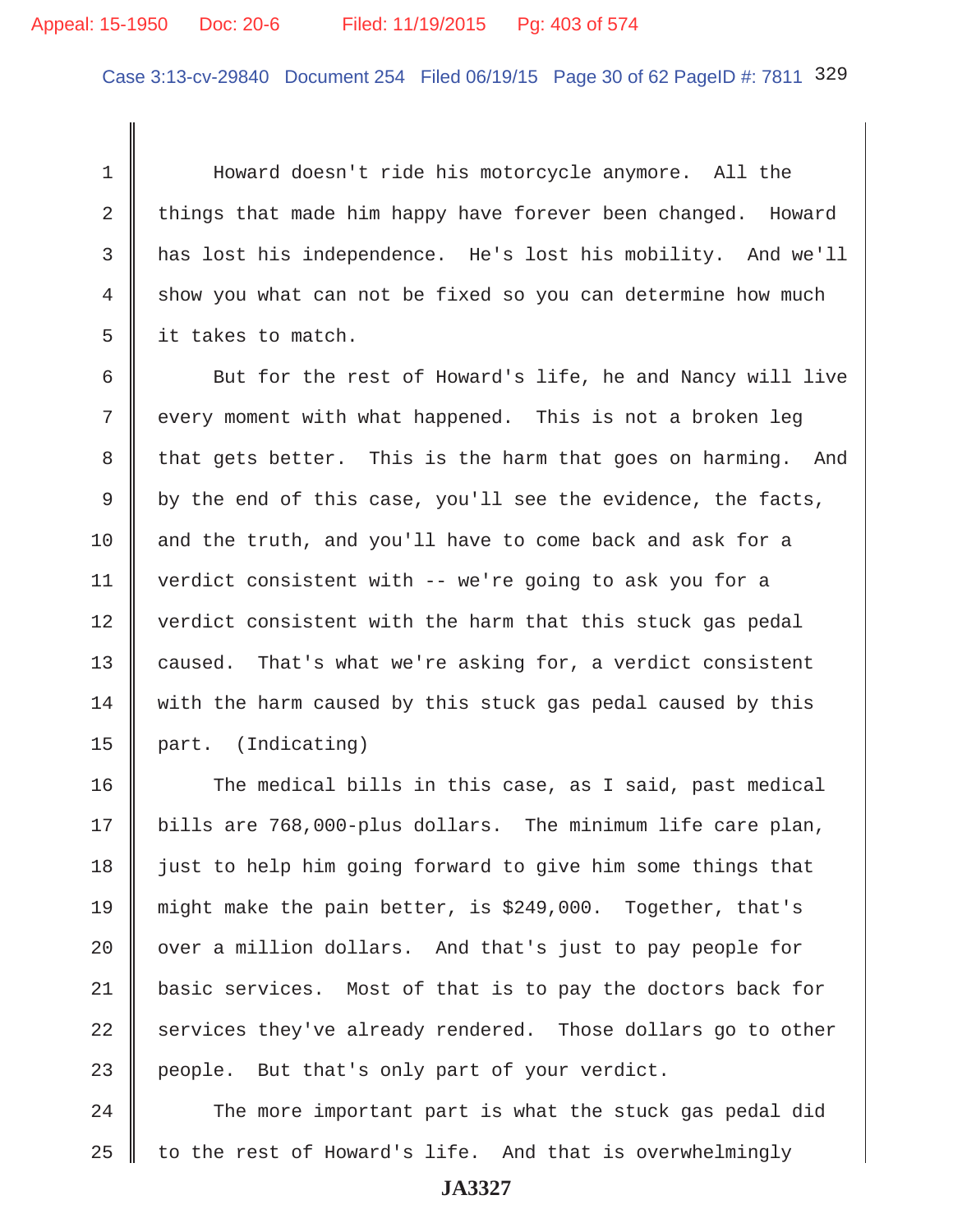# Appeal: 15-1950 Doc: 20-6 Filed: 11/19/2015 Pg: 403 of 574

Case 3:13-cv-29840 Document 254 Filed 06/19/15 Page 30 of 62 PageID #: 7811 329

 1 Howard doesn't ride his motorcycle anymore. All the 2 things that made him happy have forever been changed. Howard 3 has lost his independence. He's lost his mobility. And we'll 4 show you what can not be fixed so you can determine how much  $5 \parallel$  it takes to match.

6 Sut for the rest of Howard's life, he and Nancy will live 7 || every moment with what happened. This is not a broken leg 8 that gets better. This is the harm that goes on harming. And  $9 \parallel$  by the end of this case, you'll see the evidence, the facts, 10  $\parallel$  and the truth, and you'll have to come back and ask for a 11 verdict consistent with -- we're going to ask you for a 12 verdict consistent with the harm that this stuck gas pedal 13 caused. That's what we're asking for, a verdict consistent 14 with the harm caused by this stuck gas pedal caused by this 15 part. (Indicating)

16 The medical bills in this case, as I said, past medical 17 | bills are 768,000-plus dollars. The minimum life care plan,  $18$   $\parallel$  just to help him going forward to give him some things that 19 might make the pain better, is \$249,000. Together, that's  $20$   $\parallel$  over a million dollars. And that's just to pay people for 21 basic services. Most of that is to pay the doctors back for  $22$  services they've already rendered. Those dollars go to other  $23$  people. But that's only part of your verdict.

 $24$   $\parallel$  The more important part is what the stuck gas pedal did  $25$  to the rest of Howard's life. And that is overwhelmingly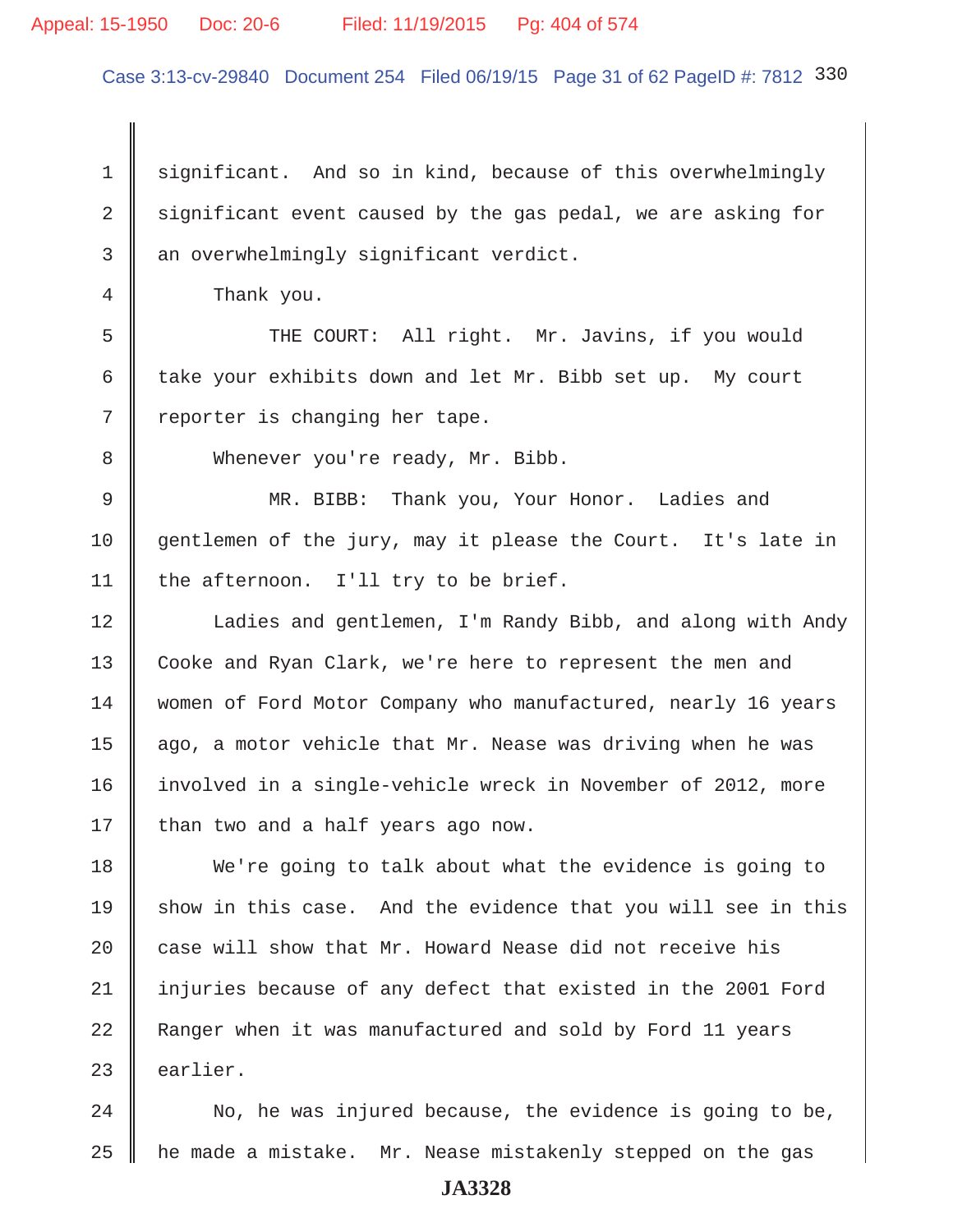# Appeal: 15-1950 Doc: 20-6 Filed: 11/19/2015 Pg: 404 of 574

Case 3:13-cv-29840 Document 254 Filed 06/19/15 Page 31 of 62 PageID #: 7812 330

1  $\parallel$  significant. And so in kind, because of this overwhelmingly 2 significant event caused by the gas pedal, we are asking for  $3$   $\parallel$  an overwhelmingly significant verdict.

4 Thank you.

 5 THE COURT: All right. Mr. Javins, if you would 6 take your exhibits down and let Mr. Bibb set up. My court  $7$  | reporter is changing her tape.

8 Whenever you're ready, Mr. Bibb.

 9 MR. BIBB: Thank you, Your Honor. Ladies and 10 gentlemen of the jury, may it please the Court. It's late in 11 | the afternoon. I'll try to be brief.

12 | Ladies and gentlemen, I'm Randy Bibb, and along with Andy 13 Cooke and Ryan Clark, we're here to represent the men and 14 women of Ford Motor Company who manufactured, nearly 16 years 15  $\parallel$  ago, a motor vehicle that Mr. Nease was driving when he was 16 involved in a single-vehicle wreck in November of 2012, more 17  $\parallel$  than two and a half years ago now.

18 We're going to talk about what the evidence is going to 19 show in this case. And the evidence that you will see in this 20 || case will show that Mr. Howard Nease did not receive his 21 injuries because of any defect that existed in the 2001 Ford 22 Ranger when it was manufactured and sold by Ford 11 years  $23$  earlier.

 $24$   $\parallel$  No, he was injured because, the evidence is going to be, 25  $\parallel$  he made a mistake. Mr. Nease mistakenly stepped on the gas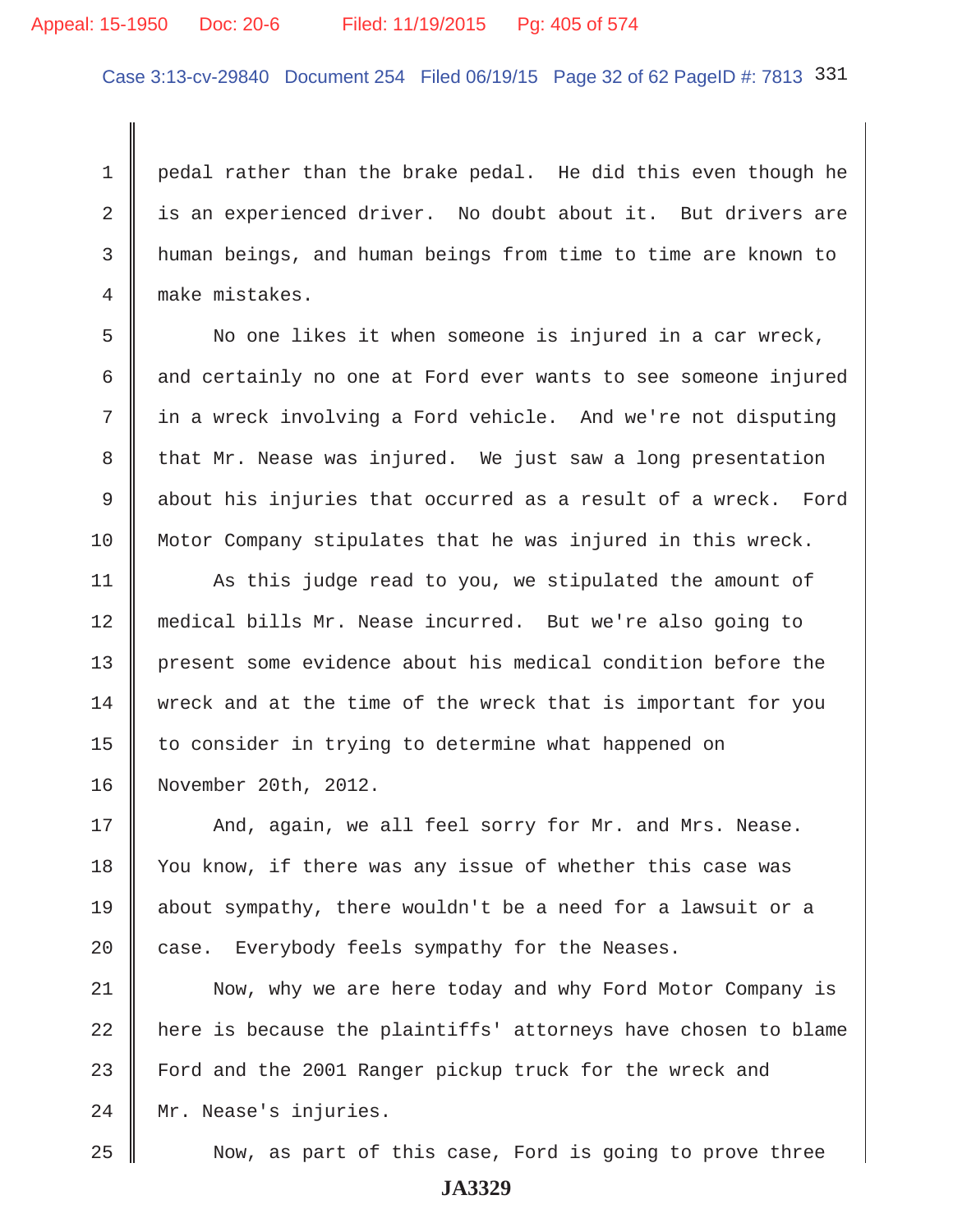# Appeal: 15-1950 Doc: 20-6 Filed: 11/19/2015 Pg: 405 of 574

Case 3:13-cv-29840 Document 254 Filed 06/19/15 Page 32 of 62 PageID #: 7813 331

 1 pedal rather than the brake pedal. He did this even though he 2 is an experienced driver. No doubt about it. But drivers are 3 human beings, and human beings from time to time are known to 4 make mistakes.

 5 No one likes it when someone is injured in a car wreck,  $6 \parallel$  and certainly no one at Ford ever wants to see someone injured 7 in a wreck involving a Ford vehicle. And we're not disputing 8 that Mr. Nease was injured. We just saw a long presentation 9 about his injuries that occurred as a result of a wreck. Ford 10 | Motor Company stipulates that he was injured in this wreck.

11 | As this judge read to you, we stipulated the amount of 12 medical bills Mr. Nease incurred. But we're also going to 13 present some evidence about his medical condition before the 14 wreck and at the time of the wreck that is important for you 15 | to consider in trying to determine what happened on 16 November 20th, 2012.

17 || And, again, we all feel sorry for Mr. and Mrs. Nease. 18 You know, if there was any issue of whether this case was 19 about sympathy, there wouldn't be a need for a lawsuit or a 20 case. Everybody feels sympathy for the Neases.

21 Now, why we are here today and why Ford Motor Company is  $22$   $\parallel$  here is because the plaintiffs' attorneys have chosen to blame 23 Ford and the 2001 Ranger pickup truck for the wreck and 24 Mr. Nease's injuries.

25 Now, as part of this case, Ford is going to prove three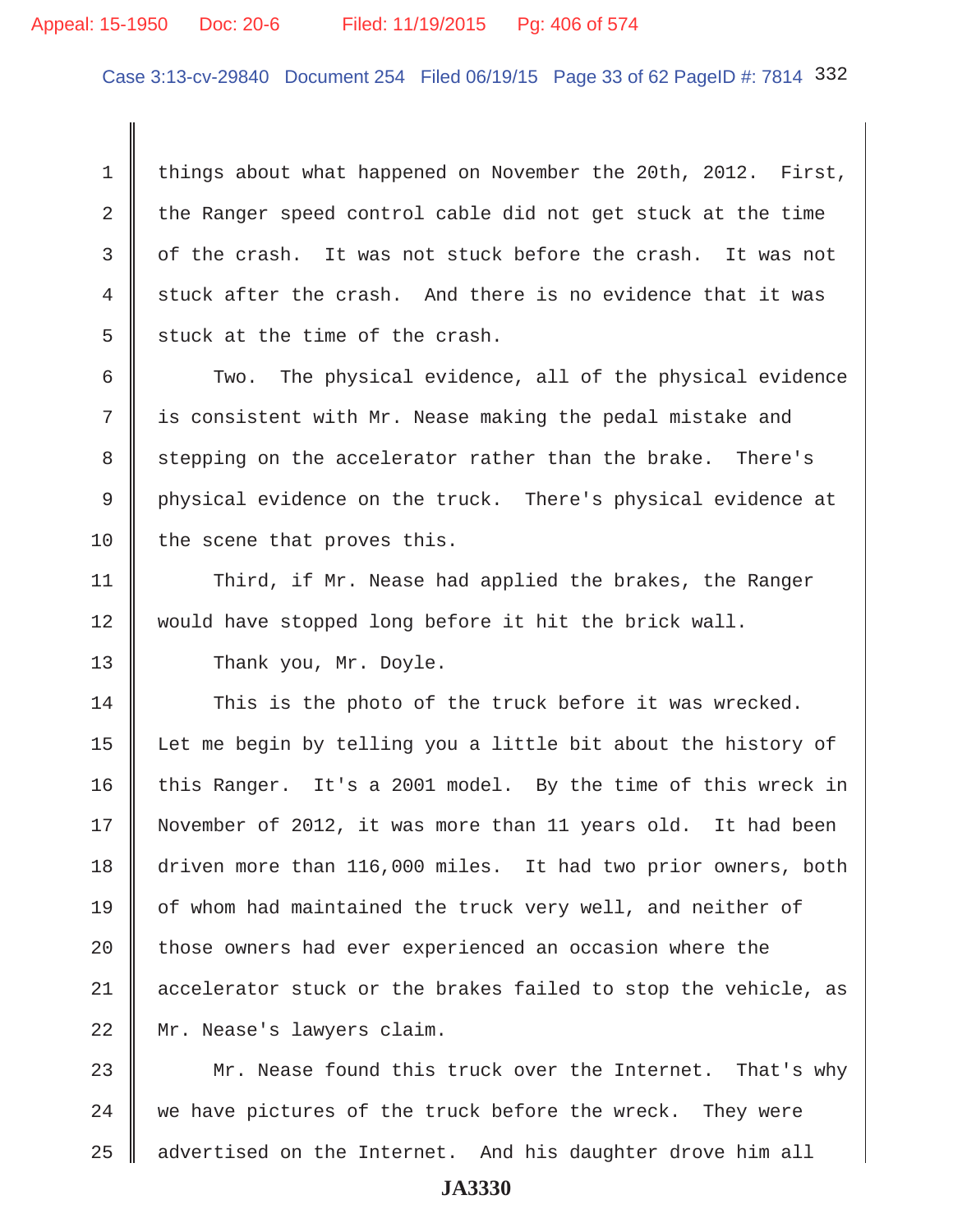## Appeal: 15-1950 Doc: 20-6 Filed: 11/19/2015 Pg: 406 of 574

Case 3:13-cv-29840 Document 254 Filed 06/19/15 Page 33 of 62 PageID #: 7814 332

1 things about what happened on November the 20th, 2012. First, 2 the Ranger speed control cable did not get stuck at the time  $3 \parallel$  of the crash. It was not stuck before the crash. It was not  $4 \parallel$  stuck after the crash. And there is no evidence that it was  $5 \parallel$  stuck at the time of the crash.

6 Two. The physical evidence, all of the physical evidence  $7$   $\parallel$  is consistent with Mr. Nease making the pedal mistake and 8 stepping on the accelerator rather than the brake. There's 9 physical evidence on the truck. There's physical evidence at  $10$  the scene that proves this.

11 Third, if Mr. Nease had applied the brakes, the Ranger 12 would have stopped long before it hit the brick wall.

13 Thank you, Mr. Doyle.

14 This is the photo of the truck before it was wrecked. 15 Let me begin by telling you a little bit about the history of 16 this Ranger. It's a 2001 model. By the time of this wreck in 17 November of 2012, it was more than 11 years old. It had been 18 driven more than 116,000 miles. It had two prior owners, both 19 | of whom had maintained the truck very well, and neither of  $20$  | those owners had ever experienced an occasion where the 21 accelerator stuck or the brakes failed to stop the vehicle, as 22 || Mr. Nease's lawyers claim.

23 Mr. Nease found this truck over the Internet. That's why  $24$  we have pictures of the truck before the wreck. They were 25 | advertised on the Internet. And his daughter drove him all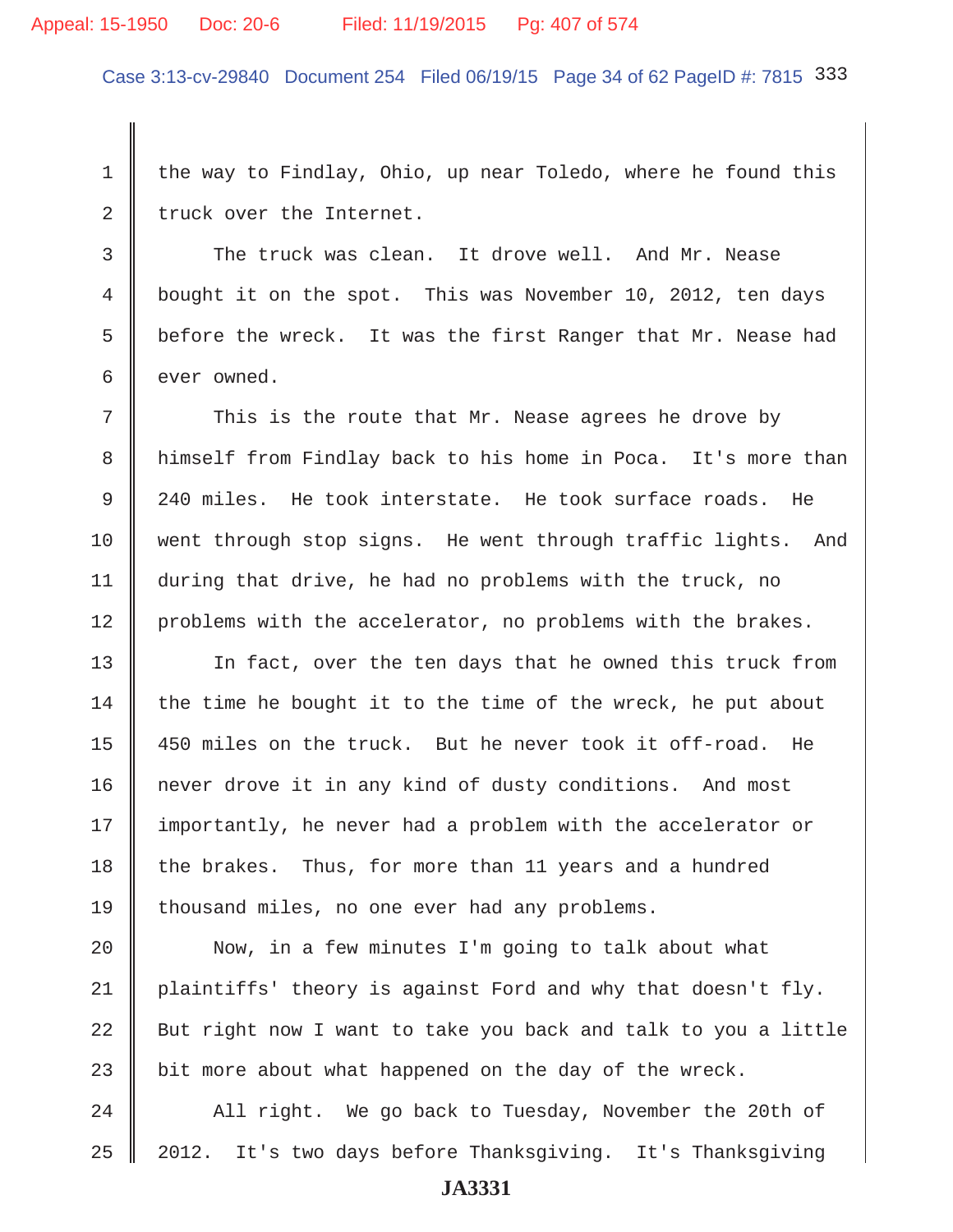#### Appeal: 15-1950 Doc: 20-6 Filed: 11/19/2015 Pg: 407 of 574

Case 3:13-cv-29840 Document 254 Filed 06/19/15 Page 34 of 62 PageID #: 7815 333

1 the way to Findlay, Ohio, up near Toledo, where he found this  $2 \parallel$  truck over the Internet.

3 The truck was clean. It drove well. And Mr. Nease 4 bought it on the spot. This was November 10, 2012, ten days 5  $\parallel$  before the wreck. It was the first Ranger that Mr. Nease had  $6 \parallel$  ever owned.

 $7$   $\parallel$  This is the route that Mr. Nease agrees he drove by 8 | himself from Findlay back to his home in Poca. It's more than 9 240 miles. He took interstate. He took surface roads. He 10 went through stop signs. He went through traffic lights. And 11 during that drive, he had no problems with the truck, no 12 problems with the accelerator, no problems with the brakes.

13 || In fact, over the ten days that he owned this truck from 14 the time he bought it to the time of the wreck, he put about 15 450 miles on the truck. But he never took it off-road. He 16 | never drove it in any kind of dusty conditions. And most 17 | importantly, he never had a problem with the accelerator or 18 the brakes. Thus, for more than 11 years and a hundred 19 thousand miles, no one ever had any problems.

20 || Now, in a few minutes I'm going to talk about what 21 plaintiffs' theory is against Ford and why that doesn't fly. 22  $\parallel$  But right now I want to take you back and talk to you a little 23 bit more about what happened on the day of the wreck.

24 All right. We go back to Tuesday, November the 20th of 25 2012. It's two days before Thanksgiving. It's Thanksgiving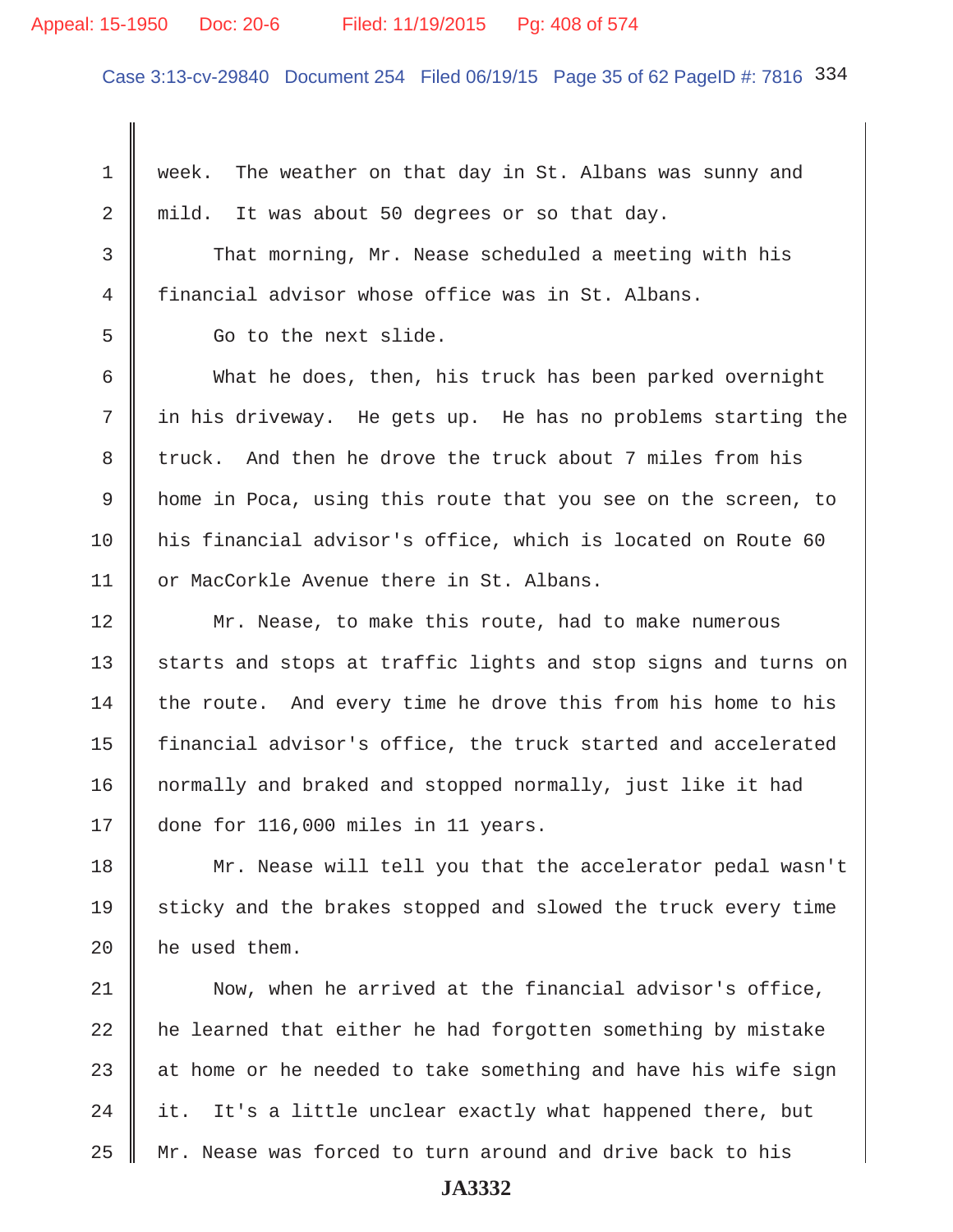#### Appeal: 15-1950 Doc: 20-6 Filed: 11/19/2015 Pg: 408 of 574

Case 3:13-cv-29840 Document 254 Filed 06/19/15 Page 35 of 62 PageID #: 7816 334

 1 week. The weather on that day in St. Albans was sunny and 2 mild. It was about 50 degrees or so that day.

3 That morning, Mr. Nease scheduled a meeting with his 4 financial advisor whose office was in St. Albans.

5 Go to the next slide.

 6 What he does, then, his truck has been parked overnight  $7$   $\parallel$  in his driveway. He gets up. He has no problems starting the 8 truck. And then he drove the truck about 7 miles from his 9 home in Poca, using this route that you see on the screen, to 10 his financial advisor's office, which is located on Route 60 11 | or MacCorkle Avenue there in St. Albans.

12 | Mr. Nease, to make this route, had to make numerous 13 starts and stops at traffic lights and stop signs and turns on  $14$  the route. And every time he drove this from his home to his 15 | financial advisor's office, the truck started and accelerated 16 | normally and braked and stopped normally, just like it had 17 done for 116,000 miles in 11 years.

18 | Mr. Nease will tell you that the accelerator pedal wasn't 19 sticky and the brakes stopped and slowed the truck every time 20  $\parallel$  he used them.

21 Now, when he arrived at the financial advisor's office,  $22$   $\parallel$  he learned that either he had forgotten something by mistake 23  $\parallel$  at home or he needed to take something and have his wife sign 24  $\parallel$  it. It's a little unclear exactly what happened there, but 25 Mr. Nease was forced to turn around and drive back to his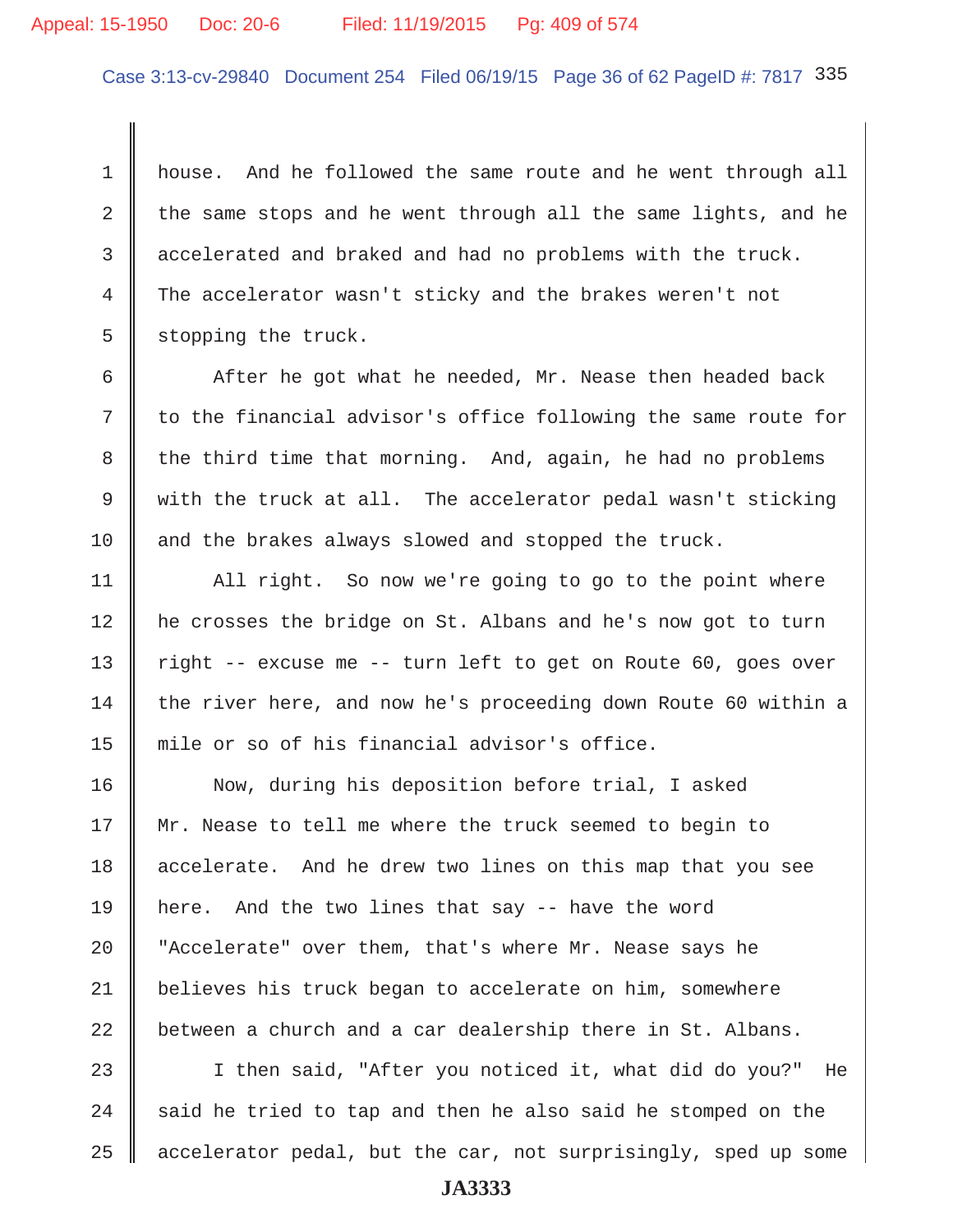# Appeal: 15-1950 Doc: 20-6 Filed: 11/19/2015 Pg: 409 of 574

Case 3:13-cv-29840 Document 254 Filed 06/19/15 Page 36 of 62 PageID #: 7817 335

 1 house. And he followed the same route and he went through all 2 the same stops and he went through all the same lights, and he 3 accelerated and braked and had no problems with the truck. 4 The accelerator wasn't sticky and the brakes weren't not  $5 \parallel$  stopping the truck.

6  $\parallel$  After he got what he needed, Mr. Nease then headed back  $7 \parallel$  to the financial advisor's office following the same route for  $8 \parallel$  the third time that morning. And, again, he had no problems 9  $\parallel$  with the truck at all. The accelerator pedal wasn't sticking 10 and the brakes always slowed and stopped the truck.

11 | All right. So now we're going to go to the point where 12 he crosses the bridge on St. Albans and he's now got to turn 13  $\parallel$  right -- excuse me -- turn left to get on Route 60, goes over 14 the river here, and now he's proceeding down Route 60 within a 15 mile or so of his financial advisor's office.

16 | Now, during his deposition before trial, I asked 17 Mr. Nease to tell me where the truck seemed to begin to 18 accelerate. And he drew two lines on this map that you see 19 here. And the two lines that say -- have the word 20 | "Accelerate" over them, that's where Mr. Nease says he 21 believes his truck began to accelerate on him, somewhere  $22$   $\parallel$  between a church and a car dealership there in St. Albans.

23 I then said, "After you noticed it, what did do you?" He  $24$   $\parallel$  said he tried to tap and then he also said he stomped on the 25 accelerator pedal, but the car, not surprisingly, sped up some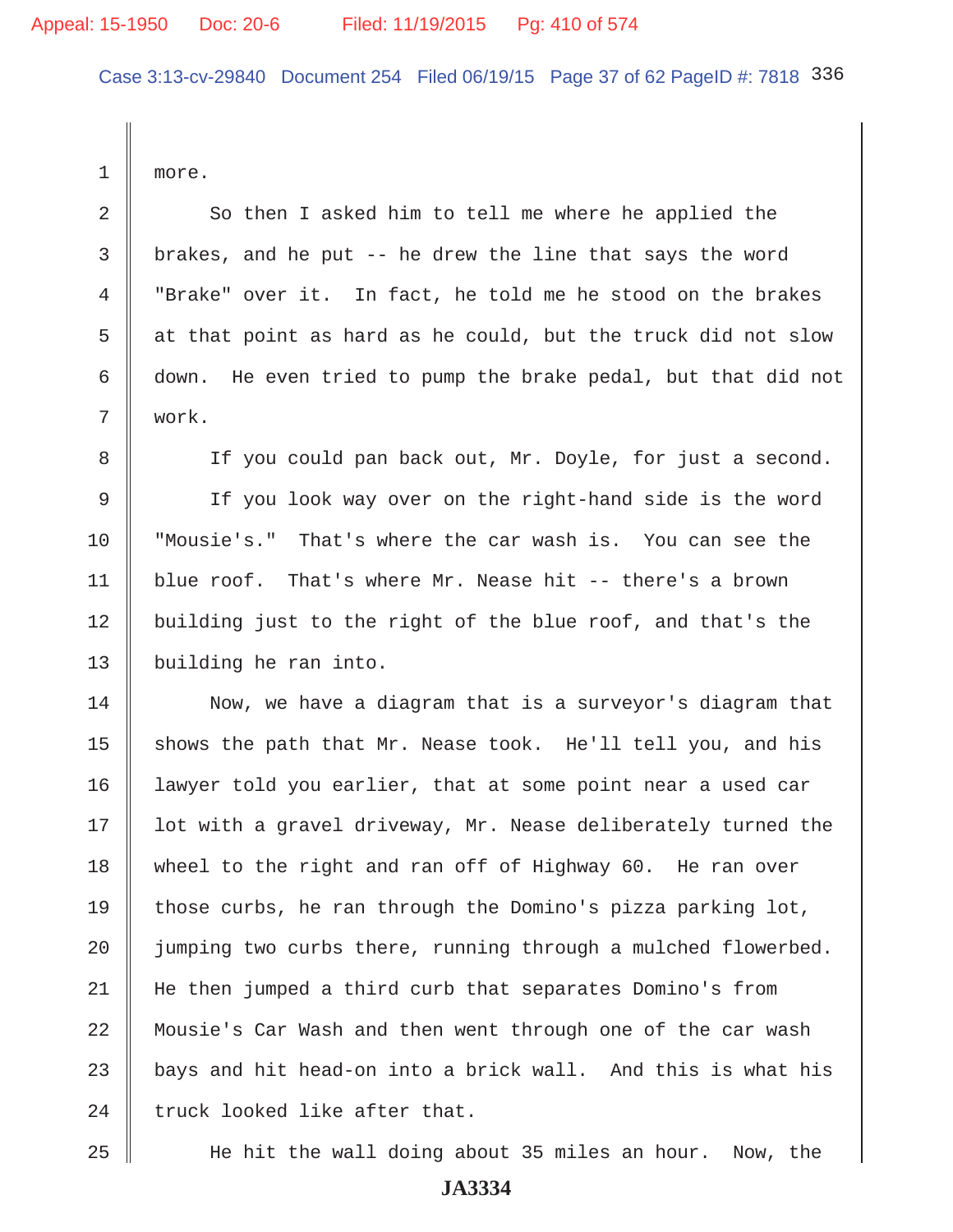Case 3:13-cv-29840 Document 254 Filed 06/19/15 Page 37 of 62 PageID #: 7818 336

1 more.

2 So then I asked him to tell me where he applied the 3 brakes, and he put -- he drew the line that says the word 4 "Brake" over it. In fact, he told me he stood on the brakes 5  $\parallel$  at that point as hard as he could, but the truck did not slow 6 down. He even tried to pump the brake pedal, but that did not 7 work.

8 If you could pan back out, Mr. Doyle, for just a second. 9 If you look way over on the right-hand side is the word 10 "Mousie's." That's where the car wash is. You can see the 11 blue roof. That's where Mr. Nease hit -- there's a brown 12 building just to the right of the blue roof, and that's the 13 | building he ran into.

14 Now, we have a diagram that is a surveyor's diagram that 15  $\parallel$  shows the path that Mr. Nease took. He'll tell you, and his 16 | lawyer told you earlier, that at some point near a used car 17 | lot with a gravel driveway, Mr. Nease deliberately turned the 18 wheel to the right and ran off of Highway 60. He ran over 19 those curbs, he ran through the Domino's pizza parking  $\text{lot}$ , 20 | jumping two curbs there, running through a mulched flowerbed. 21 He then jumped a third curb that separates Domino's from 22 Mousie's Car Wash and then went through one of the car wash  $23$   $\parallel$  bays and hit head-on into a brick wall. And this is what his  $24$  truck looked like after that.

25 He hit the wall doing about 35 miles an hour. Now, the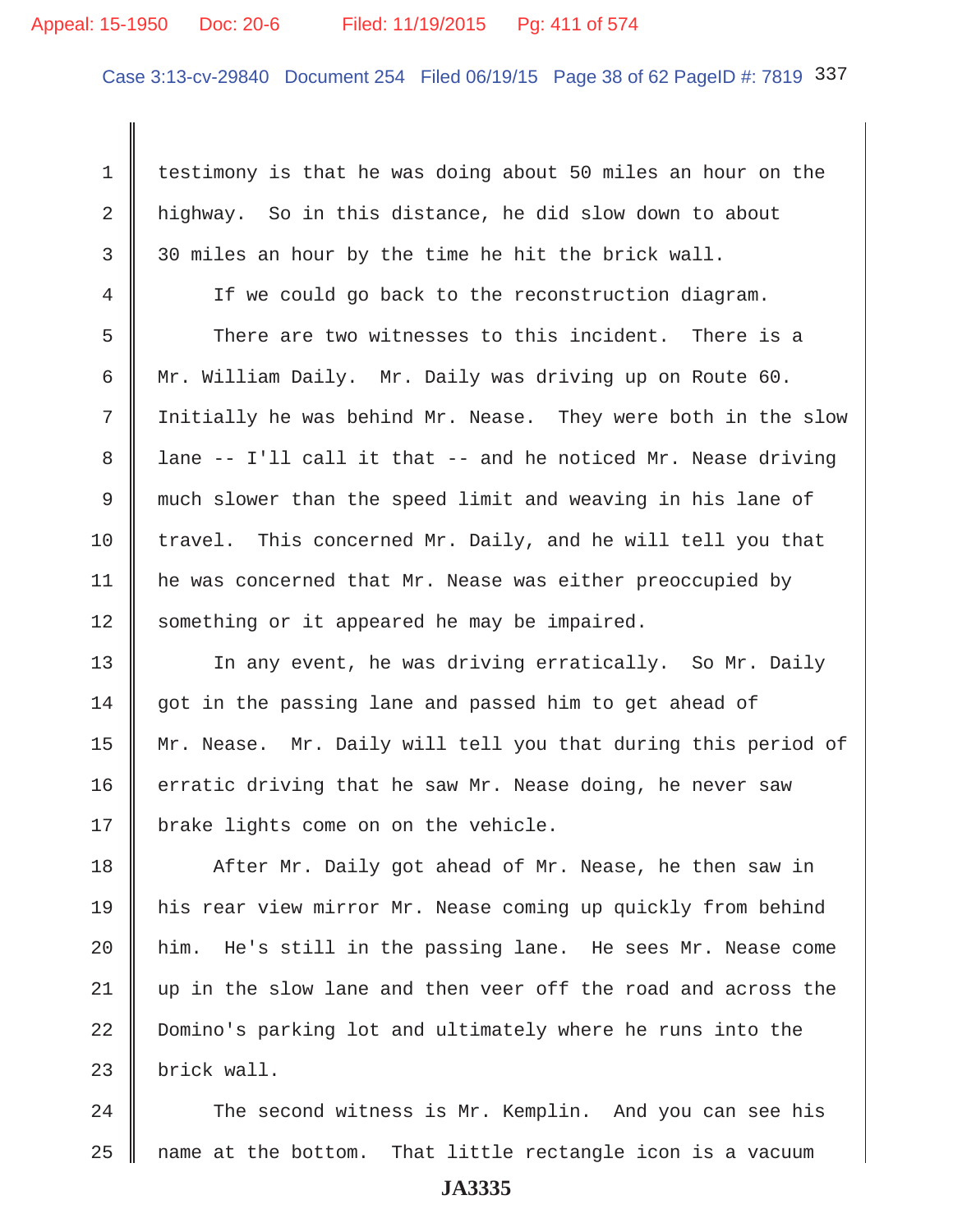# Appeal: 15-1950 Doc: 20-6 Filed: 11/19/2015 Pg: 411 of 574

Case 3:13-cv-29840 Document 254 Filed 06/19/15 Page 38 of 62 PageID #: 7819 337

1 testimony is that he was doing about 50 miles an hour on the 2 | highway. So in this distance, he did slow down to about  $3 \parallel 30$  miles an hour by the time he hit the brick wall.

 4 If we could go back to the reconstruction diagram. 5 There are two witnesses to this incident. There is a 6 Mr. William Daily. Mr. Daily was driving up on Route 60. 7 Initially he was behind Mr. Nease. They were both in the slow 8  $\parallel$  lane -- I'll call it that -- and he noticed Mr. Nease driving 9 much slower than the speed limit and weaving in his lane of 10 travel. This concerned Mr. Daily, and he will tell you that 11 | he was concerned that Mr. Nease was either preoccupied by 12 Something or it appeared he may be impaired.

13 || In any event, he was driving erratically. So Mr. Daily  $14$  got in the passing lane and passed him to get ahead of 15 | Mr. Nease. Mr. Daily will tell you that during this period of 16  $\parallel$  erratic driving that he saw Mr. Nease doing, he never saw 17 | brake lights come on on the vehicle.

18 After Mr. Daily got ahead of Mr. Nease, he then saw in 19 his rear view mirror Mr. Nease coming up quickly from behind  $20$  | him. He's still in the passing lane. He sees Mr. Nease come 21 up in the slow lane and then veer off the road and across the 22 Domino's parking lot and ultimately where he runs into the  $23$  | brick wall.

24 The second witness is Mr. Kemplin. And you can see his  $25$  mame at the bottom. That little rectangle icon is a vacuum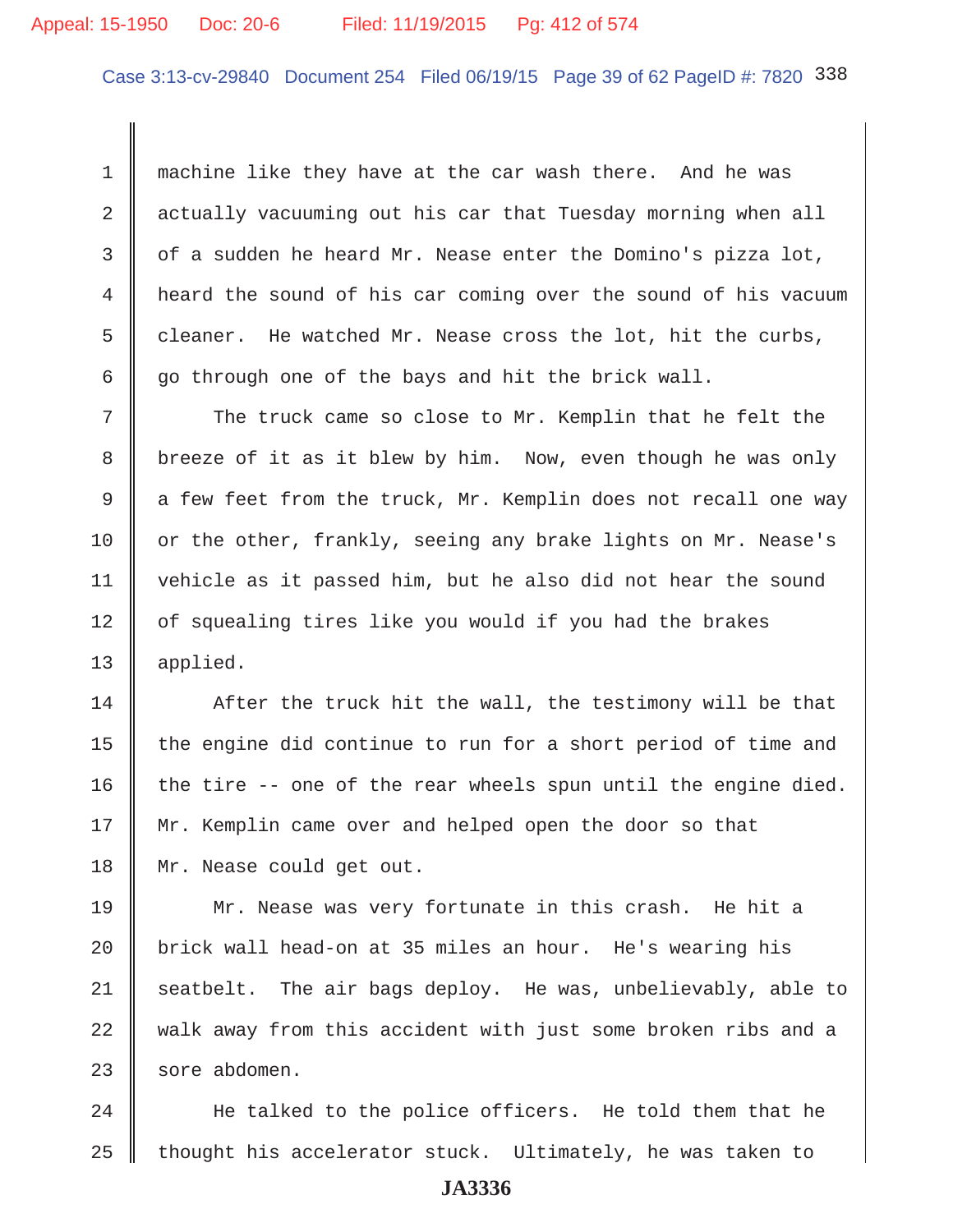# Appeal: 15-1950 Doc: 20-6 Filed: 11/19/2015 Pg: 412 of 574

Case 3:13-cv-29840 Document 254 Filed 06/19/15 Page 39 of 62 PageID #: 7820 338

 1 machine like they have at the car wash there. And he was 2 actually vacuuming out his car that Tuesday morning when all 3  $\parallel$  of a sudden he heard Mr. Nease enter the Domino's pizza lot, 4 heard the sound of his car coming over the sound of his vacuum 5 cleaner. He watched Mr. Nease cross the lot, hit the curbs, 6  $\parallel$  go through one of the bays and hit the brick wall.

7 The truck came so close to Mr. Kemplin that he felt the 8 breeze of it as it blew by him. Now, even though he was only 9  $\parallel$  a few feet from the truck, Mr. Kemplin does not recall one way 10  $\parallel$  or the other, frankly, seeing any brake lights on Mr. Nease's 11 vehicle as it passed him, but he also did not hear the sound 12 | of squealing tires like you would if you had the brakes 13 applied.

 $14$   $\parallel$  After the truck hit the wall, the testimony will be that 15  $\parallel$  the engine did continue to run for a short period of time and 16 the tire  $-$  one of the rear wheels spun until the engine died. 17 || Mr. Kemplin came over and helped open the door so that 18 Mr. Nease could get out.

19 Mr. Nease was very fortunate in this crash. He hit a 20 brick wall head-on at 35 miles an hour. He's wearing his 21 seatbelt. The air bags deploy. He was, unbelievably, able to 22 walk away from this accident with just some broken ribs and a  $23$  sore abdomen.

24 He talked to the police officers. He told them that he  $25$  thought his accelerator stuck. Ultimately, he was taken to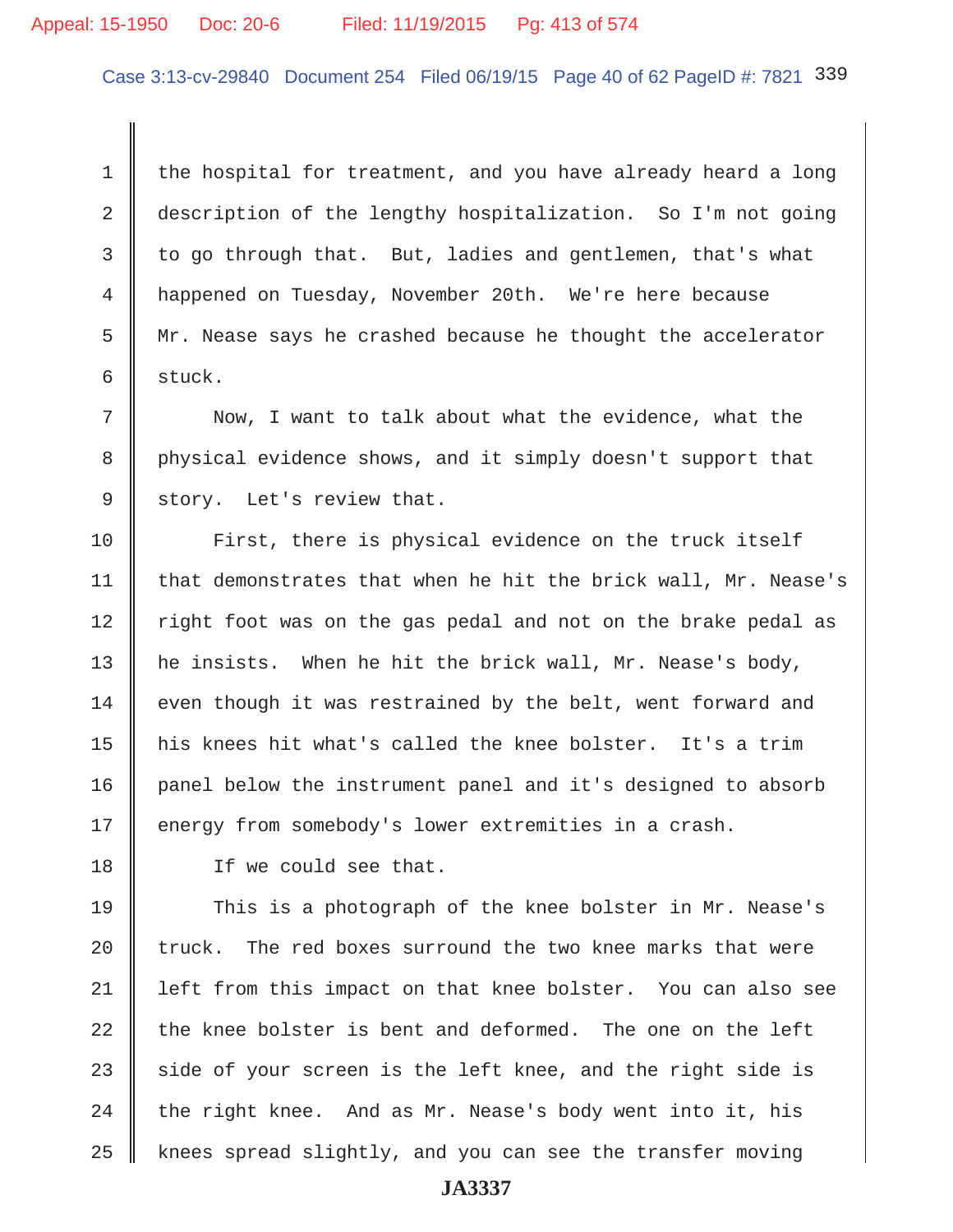# Appeal: 15-1950 Doc: 20-6 Filed: 11/19/2015 Pg: 413 of 574

Case 3:13-cv-29840 Document 254 Filed 06/19/15 Page 40 of 62 PageID #: 7821 339

1 the hospital for treatment, and you have already heard a long 2 description of the lengthy hospitalization. So I'm not going  $3 \parallel$  to go through that. But, ladies and gentlemen, that's what 4 happened on Tuesday, November 20th. We're here because 5  $\parallel$  Mr. Nease says he crashed because he thought the accelerator  $6 \parallel$  stuck.

 7 Now, I want to talk about what the evidence, what the 8 physical evidence shows, and it simply doesn't support that  $9 \parallel$  story. Let's review that.

10 First, there is physical evidence on the truck itself 11  $\parallel$  that demonstrates that when he hit the brick wall, Mr. Nease's 12 || right foot was on the gas pedal and not on the brake pedal as 13 || he insists. When he hit the brick wall, Mr. Nease's body,  $14$  even though it was restrained by the belt, went forward and 15 his knees hit what's called the knee bolster. It's a trim 16 panel below the instrument panel and it's designed to absorb 17 energy from somebody's lower extremities in a crash.

18 If we could see that.

19 This is a photograph of the knee bolster in Mr. Nease's 20  $\parallel$  truck. The red boxes surround the two knee marks that were 21 left from this impact on that knee bolster. You can also see 22  $\parallel$  the knee bolster is bent and deformed. The one on the left 23 side of your screen is the left knee, and the right side is 24 the right knee. And as Mr. Nease's body went into it, his  $25$  knees spread slightly, and you can see the transfer moving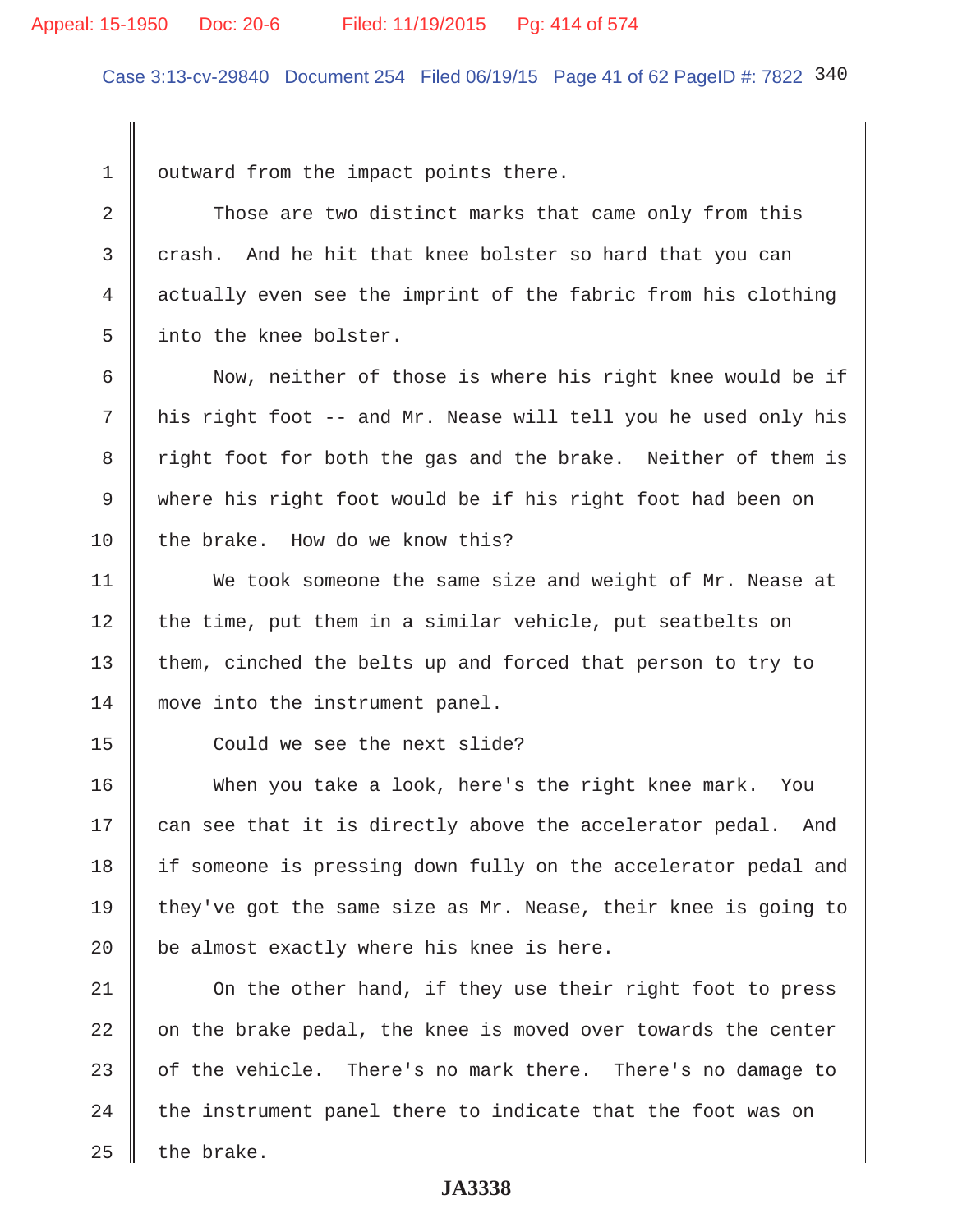# Appeal: 15-1950 Doc: 20-6 Filed: 11/19/2015 Pg: 414 of 574

Case 3:13-cv-29840 Document 254 Filed 06/19/15 Page 41 of 62 PageID #: 7822 340

 $1 \parallel$  outward from the impact points there.

2 Those are two distinct marks that came only from this  $3$  crash. And he hit that knee bolster so hard that you can 4 actually even see the imprint of the fabric from his clothing 5 || into the knee bolster.

 6 Now, neither of those is where his right knee would be if 7 his right foot -- and Mr. Nease will tell you he used only his 8 T right foot for both the gas and the brake. Neither of them is 9 where his right foot would be if his right foot had been on  $10$  the brake. How do we know this?

11 We took someone the same size and weight of Mr. Nease at  $12$  the time, put them in a similar vehicle, put seatbelts on 13 them, cinched the belts up and forced that person to try to 14 move into the instrument panel.

15 Could we see the next slide?

16 When you take a look, here's the right knee mark. You  $17$  can see that it is directly above the accelerator pedal. And 18 | if someone is pressing down fully on the accelerator pedal and 19 they've got the same size as Mr. Nease, their knee is going to 20  $\parallel$  be almost exactly where his knee is here.

21 | On the other hand, if they use their right foot to press  $\parallel$  on the brake pedal, the knee is moved over towards the center  $\parallel$  of the vehicle. There's no mark there. There's no damage to the instrument panel there to indicate that the foot was on | the brake.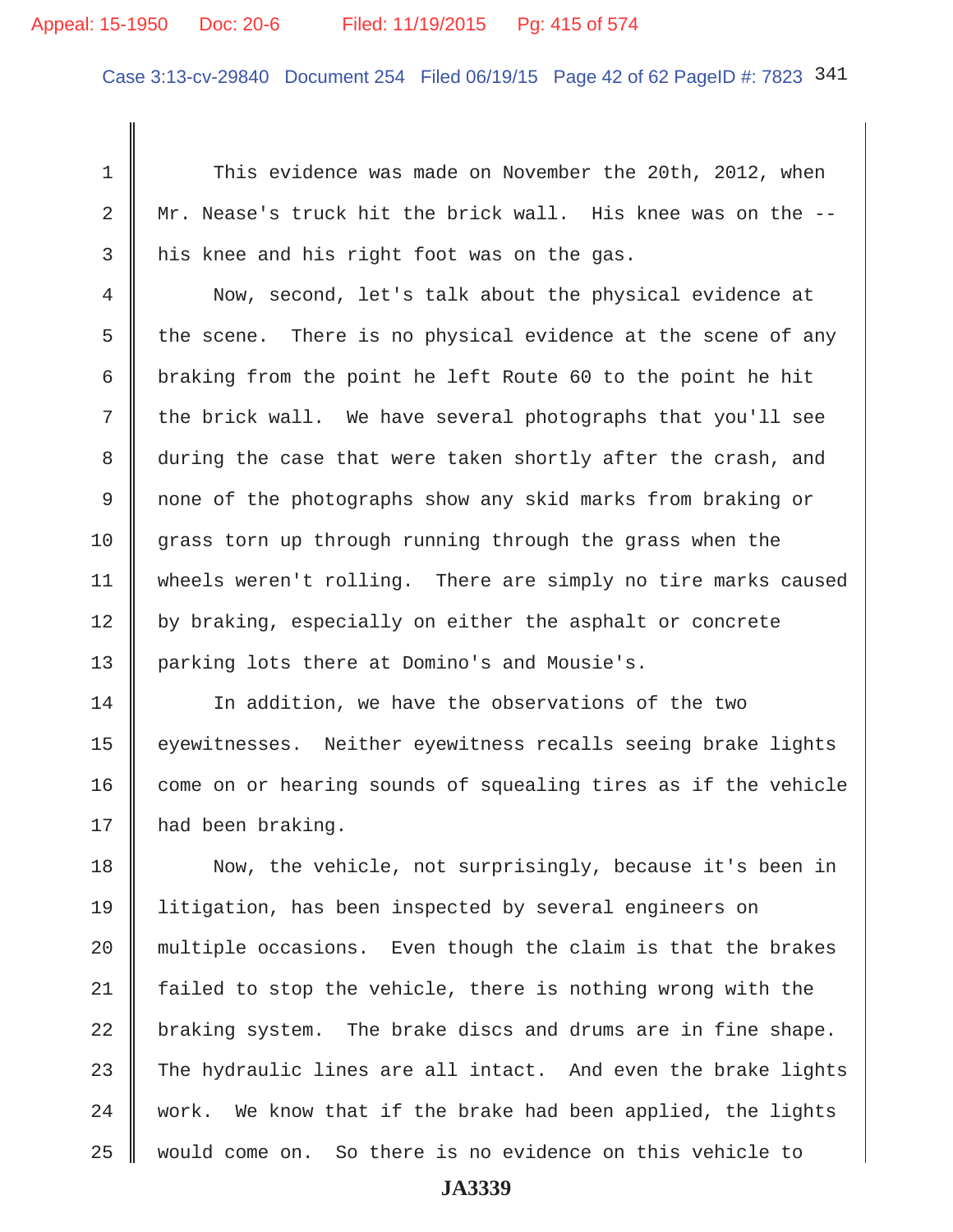# Appeal: 15-1950 Doc: 20-6 Filed: 11/19/2015 Pg: 415 of 574

Case 3:13-cv-29840 Document 254 Filed 06/19/15 Page 42 of 62 PageID #: 7823 341

1 This evidence was made on November the 20th, 2012, when  $2 \parallel$  Mr. Nease's truck hit the brick wall. His knee was on the  $-$ - $3$  | his knee and his right foot was on the gas.

 4 Now, second, let's talk about the physical evidence at 5 the scene. There is no physical evidence at the scene of any 6 braking from the point he left Route 60 to the point he hit  $7$  the brick wall. We have several photographs that you'll see 8 during the case that were taken shortly after the crash, and 9 || none of the photographs show any skid marks from braking or  $10$  grass torn up through running through the grass when the 11 | wheels weren't rolling. There are simply no tire marks caused 12 by braking, especially on either the asphalt or concrete 13 parking lots there at Domino's and Mousie's.

14 In addition, we have the observations of the two 15 | eyewitnesses. Neither eyewitness recalls seeing brake lights  $16$  come on or hearing sounds of squealing tires as if the vehicle 17 | had been braking.

18 Now, the vehicle, not surprisingly, because it's been in 19 litigation, has been inspected by several engineers on  $20$  multiple occasions. Even though the claim is that the brakes 21 failed to stop the vehicle, there is nothing wrong with the  $22$  braking system. The brake discs and drums are in fine shape. 23 The hydraulic lines are all intact. And even the brake lights 24 work. We know that if the brake had been applied, the lights 25 would come on. So there is no evidence on this vehicle to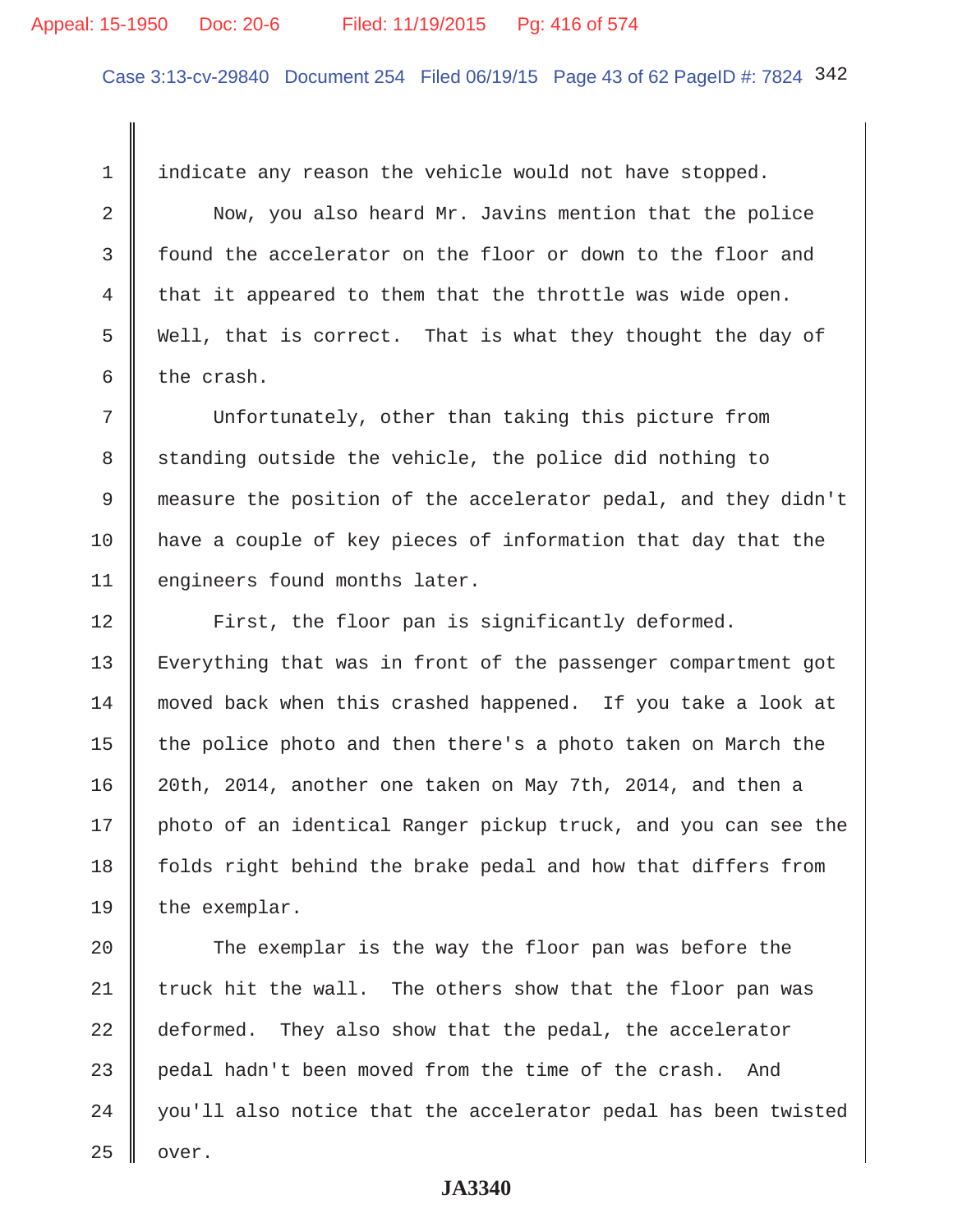#### Appeal: 15-1950 Doc: 20-6 Filed: 11/19/2015 Pg: 416 of 574

Case 3:13-cv-29840 Document 254 Filed 06/19/15 Page 43 of 62 PageID #: 7824 342

1 indicate any reason the vehicle would not have stopped.

2 Now, you also heard Mr. Javins mention that the police 3 found the accelerator on the floor or down to the floor and  $4 \parallel$  that it appeared to them that the throttle was wide open. 5 Well, that is correct. That is what they thought the day of 6 the crash.

 7 Unfortunately, other than taking this picture from 8 standing outside the vehicle, the police did nothing to 9 measure the position of the accelerator pedal, and they didn't 10 have a couple of key pieces of information that day that the 11 engineers found months later.

12 | First, the floor pan is significantly deformed. 13 Everything that was in front of the passenger compartment got 14 moved back when this crashed happened. If you take a look at 15  $\parallel$  the police photo and then there's a photo taken on March the 16 20th, 2014, another one taken on May 7th, 2014, and then a 17 || photo of an identical Ranger pickup truck, and you can see the 18 folds right behind the brake pedal and how that differs from  $19$  the exemplar.

20 The exemplar is the way the floor pan was before the 21  $\parallel$  truck hit the wall. The others show that the floor pan was 22 deformed. They also show that the pedal, the accelerator 23 pedal hadn't been moved from the time of the crash. And  $24$   $\parallel$  you'll also notice that the accelerator pedal has been twisted  $25$  | over.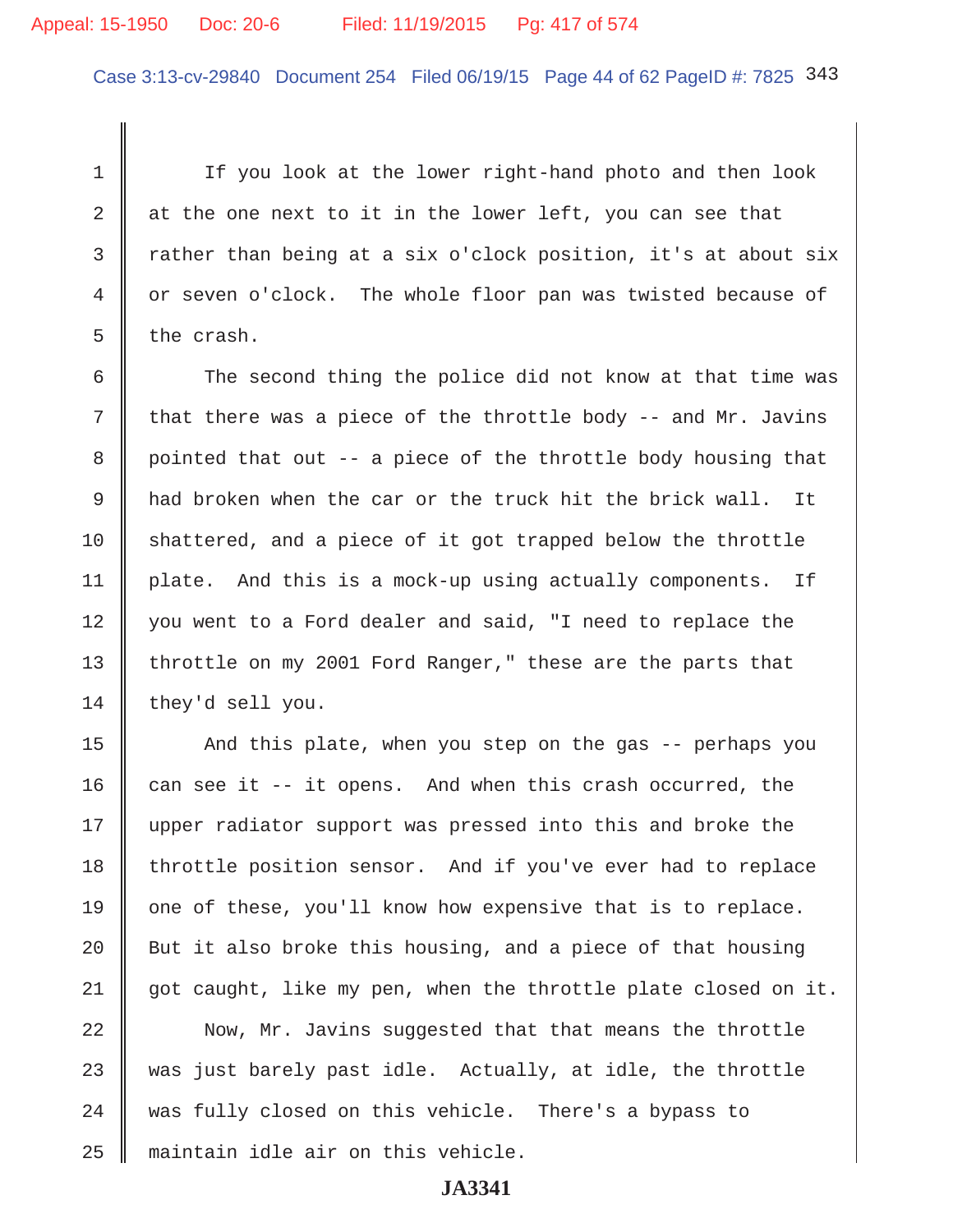## Appeal: 15-1950 Doc: 20-6 Filed: 11/19/2015 Pg: 417 of 574

Case 3:13-cv-29840 Document 254 Filed 06/19/15 Page 44 of 62 PageID #: 7825 343

1 | If you look at the lower right-hand photo and then look 2  $\parallel$  at the one next to it in the lower left, you can see that 3 Thather than being at a six o'clock position, it's at about six 4 or seven o'clock. The whole floor pan was twisted because of  $5 \parallel$  the crash.

 $6$  The second thing the police did not know at that time was 7  $\parallel$  that there was a piece of the throttle body -- and Mr. Javins 8 pointed that out -- a piece of the throttle body housing that 9 had broken when the car or the truck hit the brick wall. It  $10$  shattered, and a piece of it got trapped below the throttle 11 | plate. And this is a mock-up using actually components. If 12 || you went to a Ford dealer and said, "I need to replace the 13 || throttle on my 2001 Ford Ranger," these are the parts that 14 they'd sell you.

15 | And this plate, when you step on the gas -- perhaps you 16 can see it  $-$  it opens. And when this crash occurred, the 17 || upper radiator support was pressed into this and broke the 18 | throttle position sensor. And if you've ever had to replace 19  $\parallel$  one of these, you'll know how expensive that is to replace. 20  $\parallel$  But it also broke this housing, and a piece of that housing 21  $\parallel$  got caught, like my pen, when the throttle plate closed on it.

22 Now, Mr. Javins suggested that that means the throttle  $23$  was just barely past idle. Actually, at idle, the throttle 24 || was fully closed on this vehicle. There's a bypass to 25 maintain idle air on this vehicle.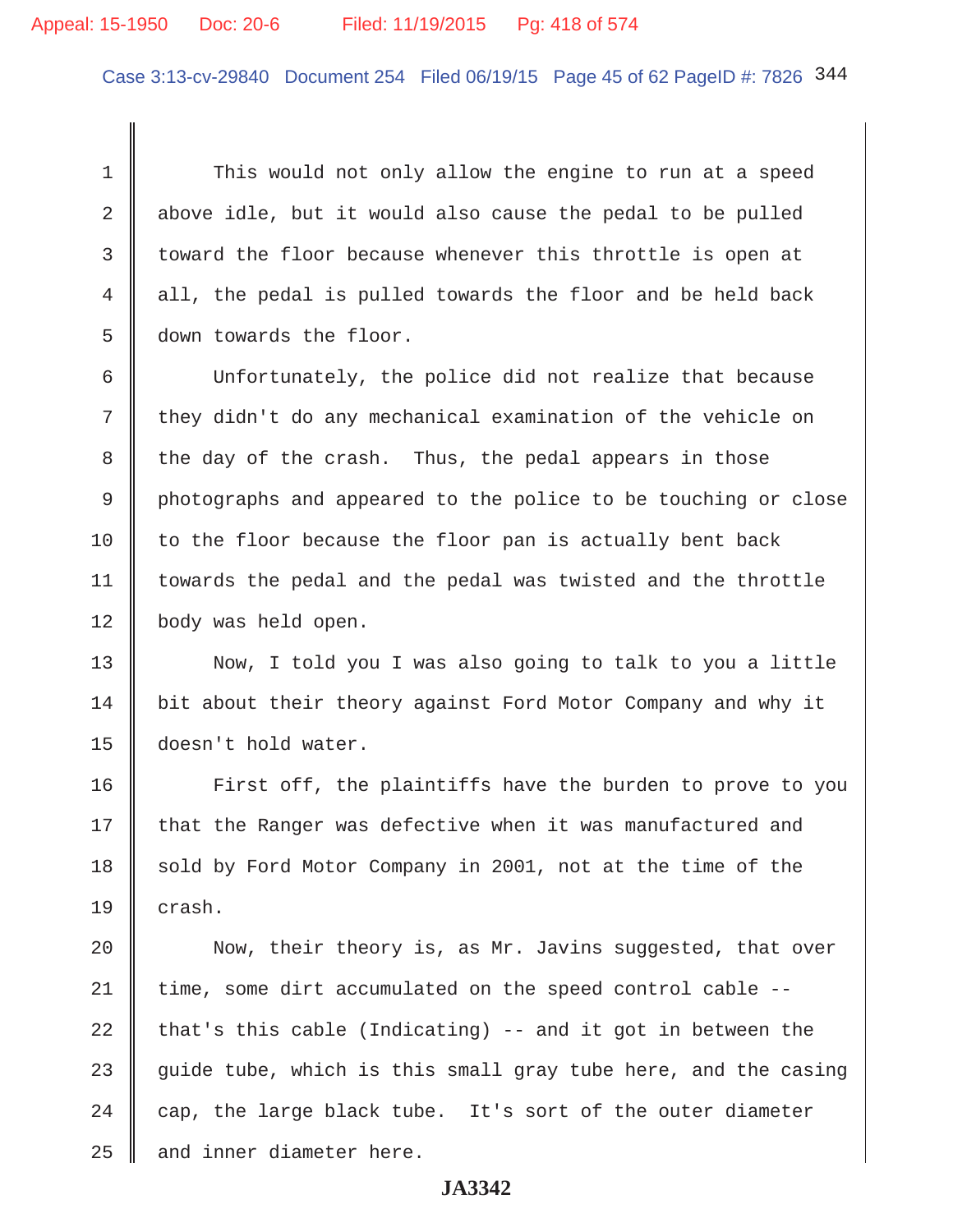# Appeal: 15-1950 Doc: 20-6 Filed: 11/19/2015 Pg: 418 of 574

Case 3:13-cv-29840 Document 254 Filed 06/19/15 Page 45 of 62 PageID #: 7826 344

1 This would not only allow the engine to run at a speed 2 || above idle, but it would also cause the pedal to be pulled  $3 \parallel$  toward the floor because whenever this throttle is open at 4 all, the pedal is pulled towards the floor and be held back 5 down towards the floor.

 6 Unfortunately, the police did not realize that because 7 they didn't do any mechanical examination of the vehicle on  $8$  the day of the crash. Thus, the pedal appears in those 9 photographs and appeared to the police to be touching or close  $10$  to the floor because the floor pan is actually bent back 11 | towards the pedal and the pedal was twisted and the throttle 12 | body was held open.

13 Now, I told you I was also going to talk to you a little 14 | bit about their theory against Ford Motor Company and why it 15 doesn't hold water.

16 | First off, the plaintiffs have the burden to prove to you 17 that the Ranger was defective when it was manufactured and 18 sold by Ford Motor Company in 2001, not at the time of the  $19 \parallel$  crash.

20 | Now, their theory is, as Mr. Javins suggested, that over 21 time, some dirt accumulated on the speed control cable --22 that's this cable (Indicating) -- and it got in between the 23  $\parallel$  quide tube, which is this small gray tube here, and the casing 24  $\parallel$  cap, the large black tube. It's sort of the outer diameter  $25$   $\parallel$  and inner diameter here.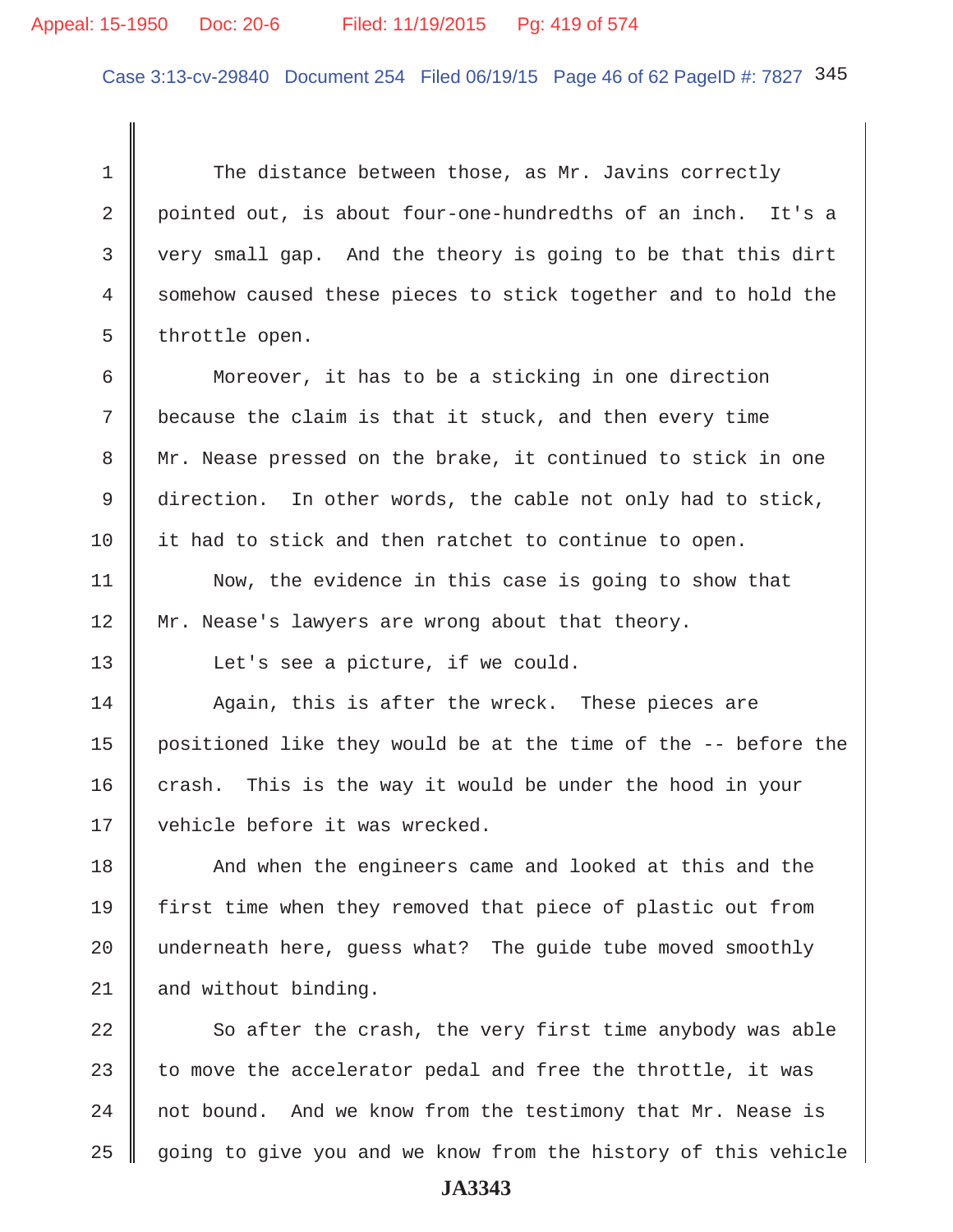# Appeal: 15-1950 Doc: 20-6 Filed: 11/19/2015 Pg: 419 of 574

Case 3:13-cv-29840 Document 254 Filed 06/19/15 Page 46 of 62 PageID #: 7827 345

1 The distance between those, as Mr. Javins correctly 2 pointed out, is about four-one-hundredths of an inch. It's a 3 very small gap. And the theory is going to be that this dirt 4 somehow caused these pieces to stick together and to hold the  $5 \parallel$  throttle open.

 6 Moreover, it has to be a sticking in one direction 7 because the claim is that it stuck, and then every time 8 Mr. Nease pressed on the brake, it continued to stick in one 9 direction. In other words, the cable not only had to stick, 10 it had to stick and then ratchet to continue to open.

11 | Now, the evidence in this case is going to show that 12 Mr. Nease's lawyers are wrong about that theory.

13 | Let's see a picture, if we could.

14 Again, this is after the wreck. These pieces are 15  $\parallel$  positioned like they would be at the time of the  $-$ - before the  $16$  crash. This is the way it would be under the hood in your 17 || vehicle before it was wrecked.

18 And when the engineers came and looked at this and the 19 first time when they removed that piece of plastic out from 20  $\parallel$  underneath here, guess what? The guide tube moved smoothly  $21$  and without binding.

 $\parallel$  So after the crash, the very first time anybody was able  $\parallel$  to move the accelerator pedal and free the throttle, it was  $\parallel$  not bound. And we know from the testimony that Mr. Nease is 25 going to give you and we know from the history of this vehicle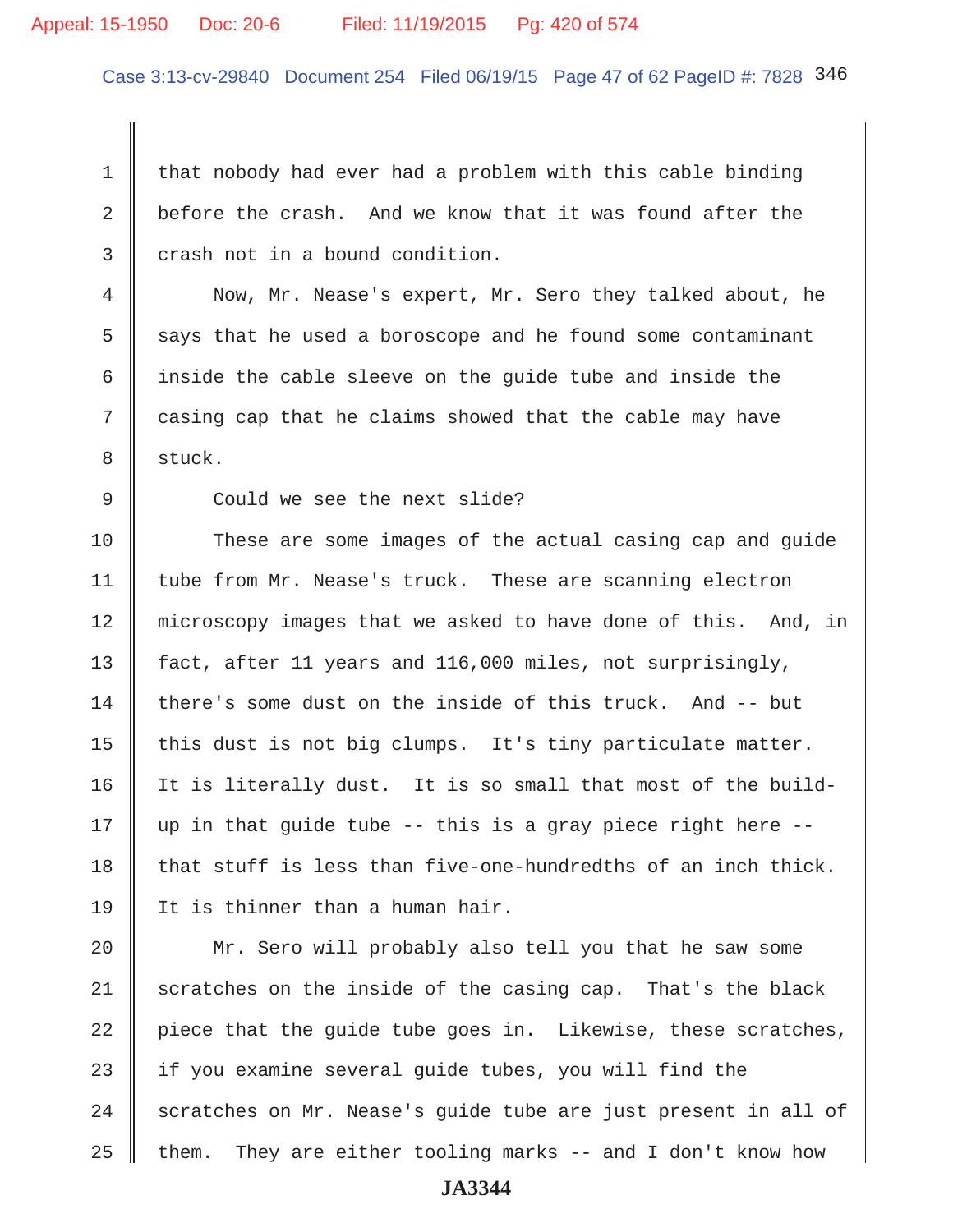# Appeal: 15-1950 Doc: 20-6 Filed: 11/19/2015 Pg: 420 of 574

Case 3:13-cv-29840 Document 254 Filed 06/19/15 Page 47 of 62 PageID #: 7828 346

 $1 \parallel$  that nobody had ever had a problem with this cable binding 2 before the crash. And we know that it was found after the  $3 \parallel$  crash not in a bound condition.

 4 Now, Mr. Nease's expert, Mr. Sero they talked about, he  $5 \parallel$  says that he used a boroscope and he found some contaminant 6 | inside the cable sleeve on the guide tube and inside the 7 casing cap that he claims showed that the cable may have 8 || stuck.

9 Could we see the next slide?

10 These are some images of the actual casing cap and guide 11 tube from Mr. Nease's truck. These are scanning electron 12 microscopy images that we asked to have done of this. And, in 13 | fact, after 11 years and 116,000 miles, not surprisingly, 14  $\parallel$  there's some dust on the inside of this truck. And  $-$  but 15  $\parallel$  this dust is not big clumps. It's tiny particulate matter. 16 | It is literally dust. It is so small that most of the build-17  $\parallel$  up in that quide tube -- this is a gray piece right here --18  $\parallel$  that stuff is less than five-one-hundredths of an inch thick. 19 It is thinner than a human hair.

20 || Mr. Sero will probably also tell you that he saw some  $\parallel$  scratches on the inside of the casing cap. That's the black | piece that the quide tube goes in. Likewise, these scratches,  $\parallel$  if you examine several quide tubes, you will find the scratches on Mr. Nease's guide tube are just present in all of  $\parallel$  them. They are either tooling marks -- and I don't know how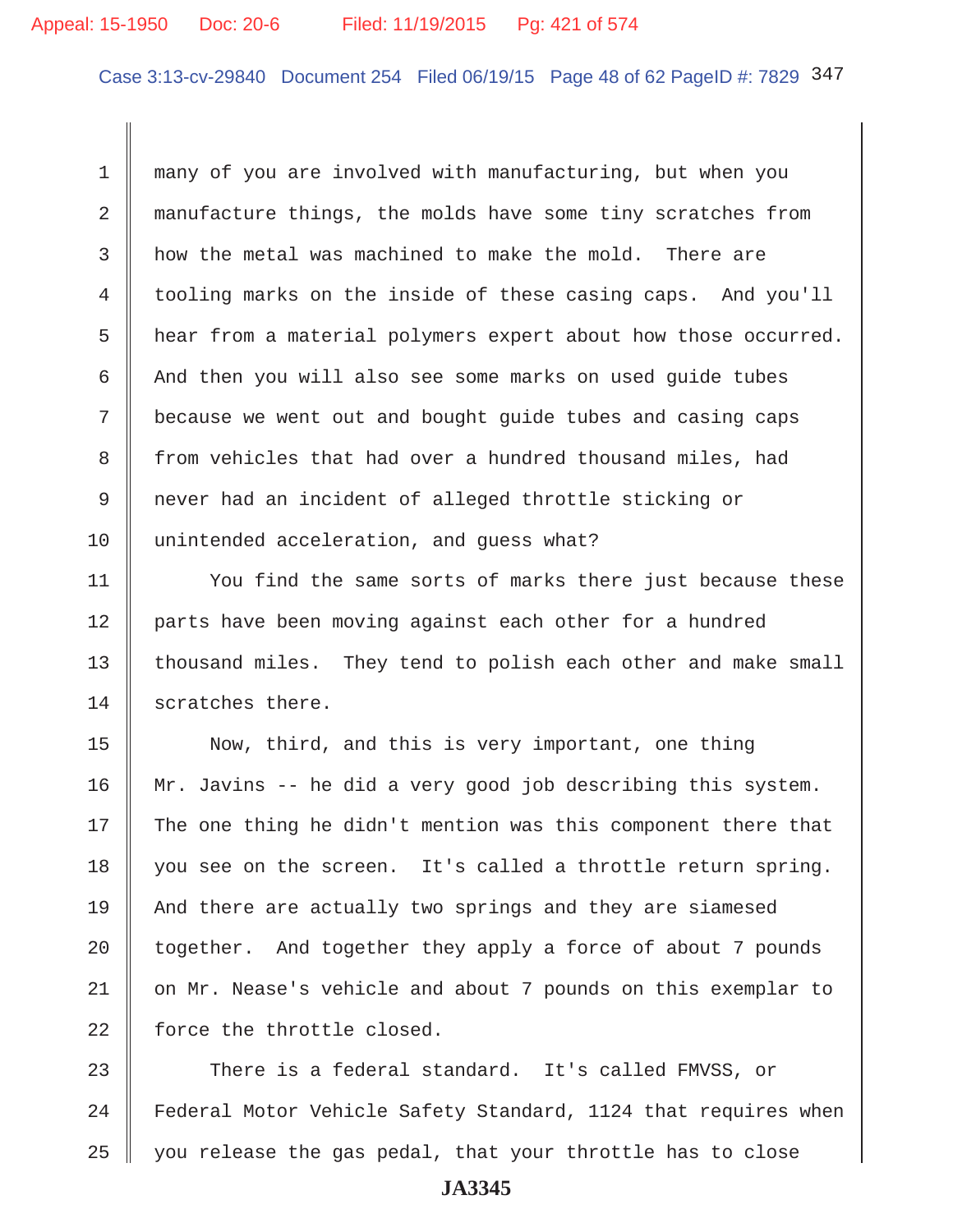# Appeal: 15-1950 Doc: 20-6 Filed: 11/19/2015 Pg: 421 of 574

Case 3:13-cv-29840 Document 254 Filed 06/19/15 Page 48 of 62 PageID #: 7829 347

 1 many of you are involved with manufacturing, but when you 2 manufacture things, the molds have some tiny scratches from  $3 \parallel$  how the metal was machined to make the mold. There are 4 tooling marks on the inside of these casing caps. And you'll 5 | hear from a material polymers expert about how those occurred.  $6$  And then you will also see some marks on used guide tubes 7 because we went out and bought guide tubes and casing caps 8 from vehicles that had over a hundred thousand miles, had 9 never had an incident of alleged throttle sticking or 10 unintended acceleration, and quess what?

11 | You find the same sorts of marks there just because these 12 | parts have been moving against each other for a hundred 13 | thousand miles. They tend to polish each other and make small 14 scratches there.

15 Now, third, and this is very important, one thing 16 Mr. Javins -- he did a very good job describing this system.  $17$  The one thing he didn't mention was this component there that 18 you see on the screen. It's called a throttle return spring. 19 And there are actually two springs and they are siamesed 20  $\parallel$  together. And together they apply a force of about 7 pounds 21 || on Mr. Nease's vehicle and about 7 pounds on this exemplar to  $22$  | force the throttle closed.

23 There is a federal standard. It's called FMVSS, or 24 | Federal Motor Vehicle Safety Standard, 1124 that requires when  $25$  | you release the gas pedal, that your throttle has to close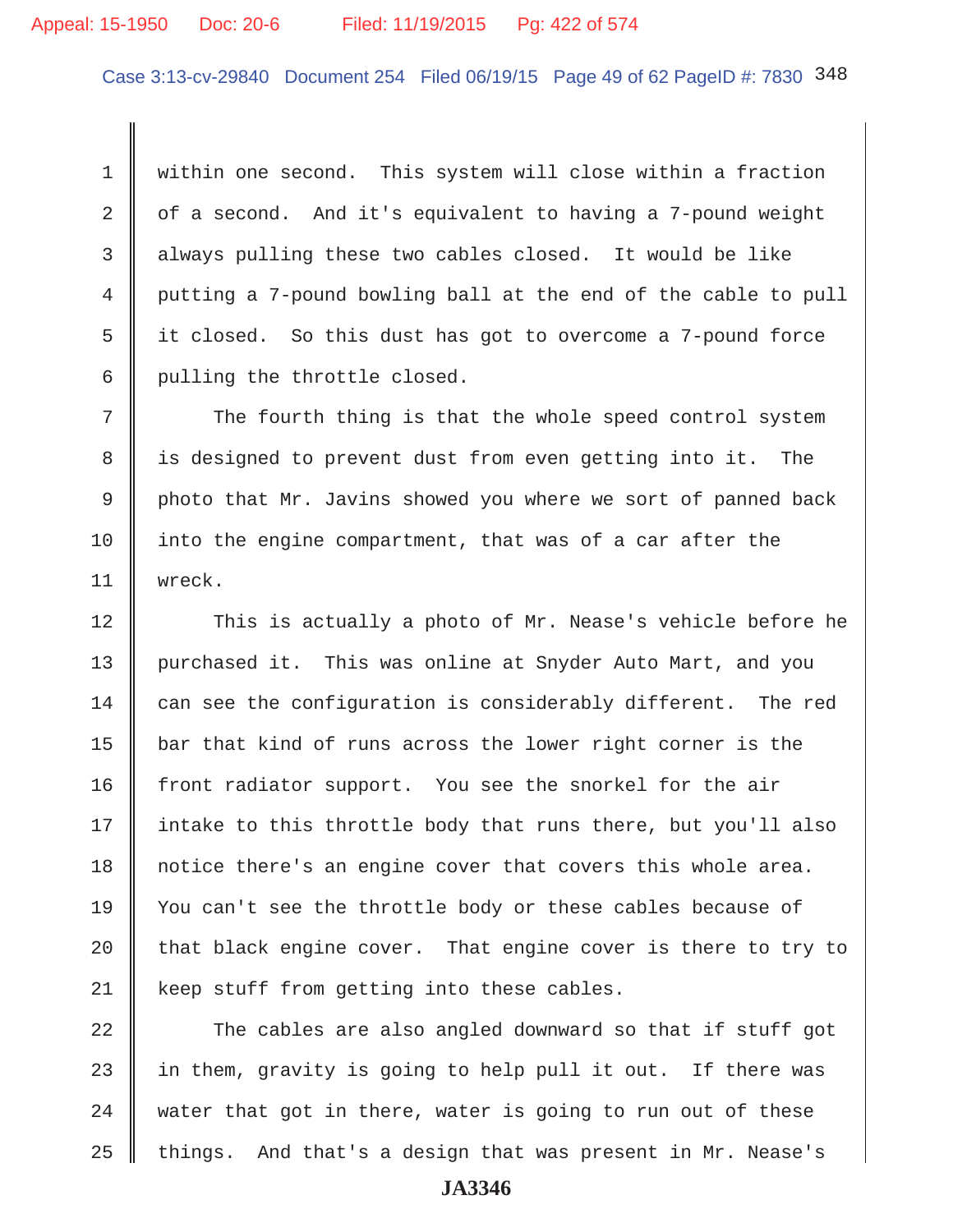Case 3:13-cv-29840 Document 254 Filed 06/19/15 Page 49 of 62 PageID #: 7830 348

 1 within one second. This system will close within a fraction 2  $\parallel$  of a second. And it's equivalent to having a 7-pound weight 3 always pulling these two cables closed. It would be like 4 putting a 7-pound bowling ball at the end of the cable to pull 5 it closed. So this dust has got to overcome a 7-pound force 6 pulling the throttle closed.

 $7$   $\parallel$  The fourth thing is that the whole speed control system 8 | is designed to prevent dust from even getting into it. The 9 photo that Mr. Javins showed you where we sort of panned back 10 into the engine compartment, that was of a car after the 11 wreck.

12 This is actually a photo of Mr. Nease's vehicle before he 13 || purchased it. This was online at Snyder Auto Mart, and you  $14$  can see the configuration is considerably different. The red 15  $\parallel$  bar that kind of runs across the lower right corner is the 16 front radiator support. You see the snorkel for the air 17 || intake to this throttle body that runs there, but you'll also 18 notice there's an engine cover that covers this whole area. 19 You can't see the throttle body or these cables because of 20  $\parallel$  that black engine cover. That engine cover is there to try to 21 | keep stuff from getting into these cables.

  $\parallel$  The cables are also angled downward so that if stuff got  $\parallel$  in them, gravity is going to help pull it out. If there was water that got in there, water is going to run out of these 25 things. And that's a design that was present in Mr. Nease's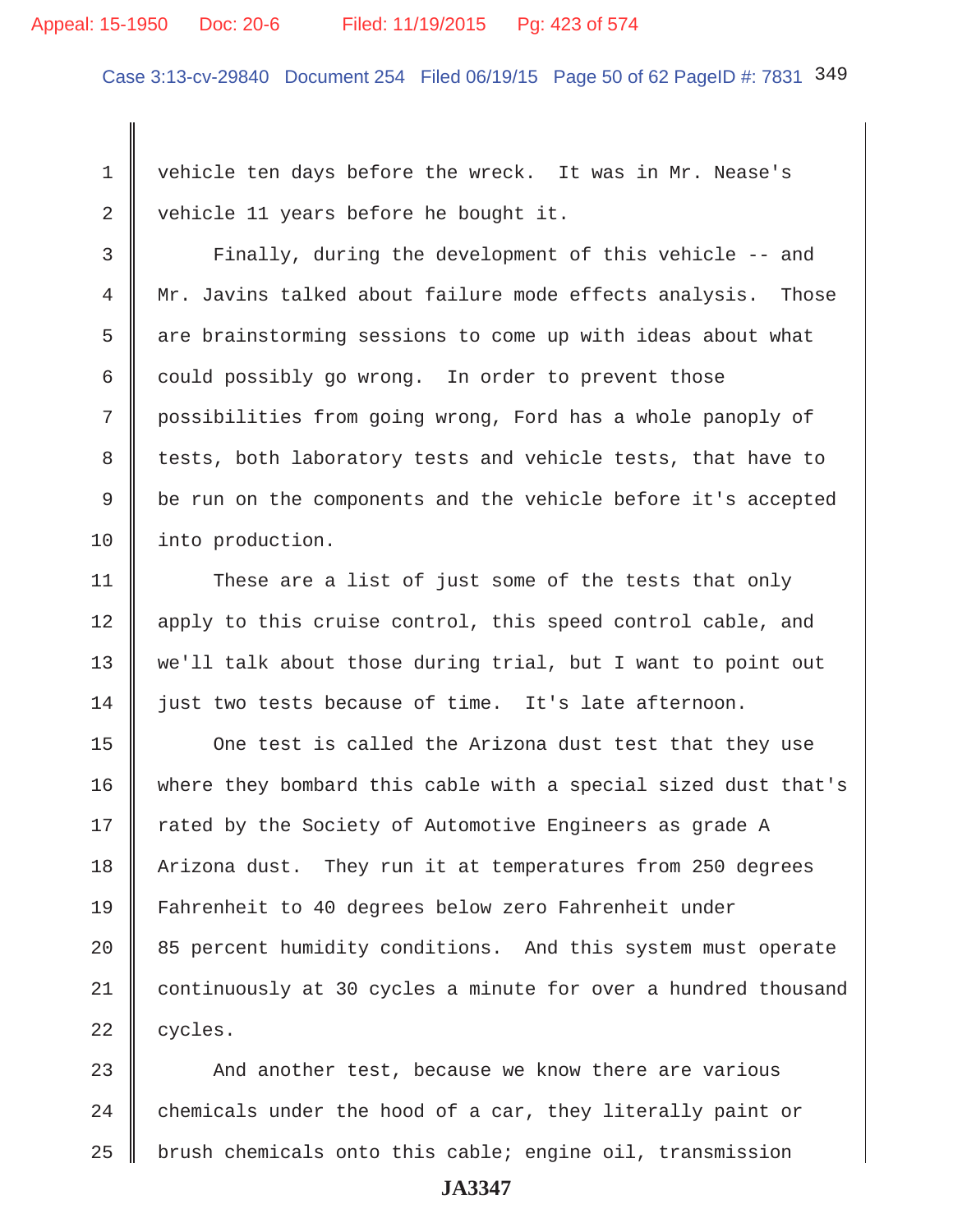#### Appeal: 15-1950 Doc: 20-6 Filed: 11/19/2015 Pg: 423 of 574

Case 3:13-cv-29840 Document 254 Filed 06/19/15 Page 50 of 62 PageID #: 7831 349

 1 vehicle ten days before the wreck. It was in Mr. Nease's 2 vehicle 11 years before he bought it.

 3 Finally, during the development of this vehicle -- and 4 || Mr. Javins talked about failure mode effects analysis. Those 5 are brainstorming sessions to come up with ideas about what 6 could possibly go wrong. In order to prevent those 7 possibilities from going wrong, Ford has a whole panoply of 8 tests, both laboratory tests and vehicle tests, that have to 9 | be run on the components and the vehicle before it's accepted 10 | into production.

11 These are a list of just some of the tests that only 12 || apply to this cruise control, this speed control cable, and 13 we'll talk about those during trial, but I want to point out 14 iust two tests because of time. It's late afternoon.

15 | One test is called the Arizona dust test that they use 16 where they bombard this cable with a special sized dust that's 17 || rated by the Society of Automotive Engineers as grade A 18 | Arizona dust. They run it at temperatures from 250 degrees 19 Fahrenheit to 40 degrees below zero Fahrenheit under  $20$   $\parallel$  85 percent humidity conditions. And this system must operate 21 continuously at 30 cycles a minute for over a hundred thousand  $22$  | cycles.

23 And another test, because we know there are various  $24$   $\parallel$  chemicals under the hood of a car, they literally paint or  $25$  | brush chemicals onto this cable; engine oil, transmission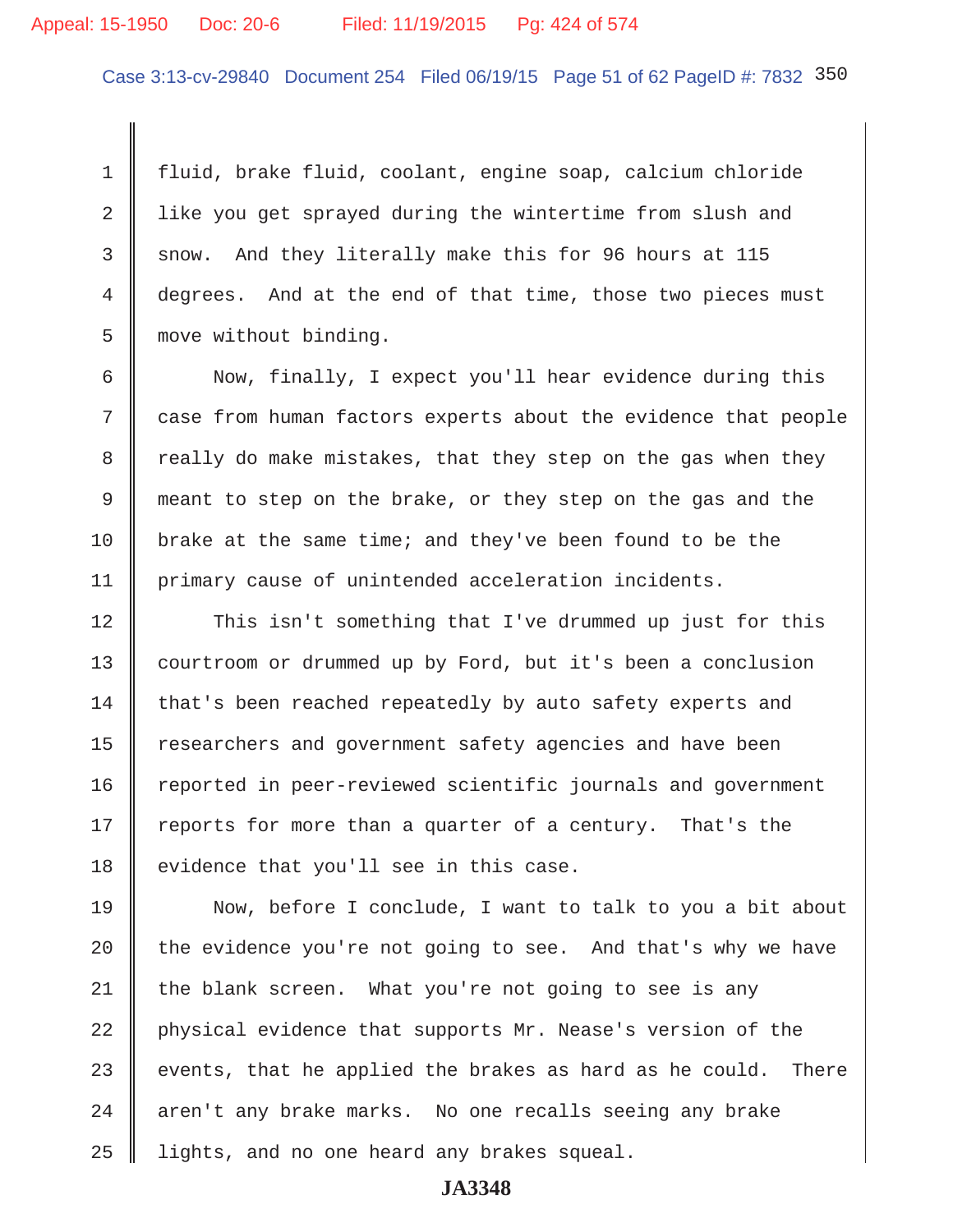# Appeal: 15-1950 Doc: 20-6 Filed: 11/19/2015 Pg: 424 of 574

Case 3:13-cv-29840 Document 254 Filed 06/19/15 Page 51 of 62 PageID #: 7832 350

 1 fluid, brake fluid, coolant, engine soap, calcium chloride 2 | like you get sprayed during the wintertime from slush and 3 snow. And they literally make this for 96 hours at 115 4 | degrees. And at the end of that time, those two pieces must 5 move without binding.

6 Now, finally, I expect you'll hear evidence during this 7 case from human factors experts about the evidence that people 8 T really do make mistakes, that they step on the gas when they 9 meant to step on the brake, or they step on the gas and the 10 brake at the same time; and they've been found to be the 11 primary cause of unintended acceleration incidents.

12 This isn't something that I've drummed up just for this 13 courtroom or drummed up by Ford, but it's been a conclusion 14 that's been reached repeatedly by auto safety experts and 15 | researchers and government safety agencies and have been 16 Teported in peer-reviewed scientific journals and government 17 | reports for more than a quarter of a century. That's the  $18$  evidence that you'll see in this case.

19 Now, before I conclude, I want to talk to you a bit about 20  $\parallel$  the evidence you're not going to see. And that's why we have 21 the blank screen. What you're not going to see is any 22 physical evidence that supports Mr. Nease's version of the 23 events, that he applied the brakes as hard as he could. There 24 | aren't any brake marks. No one recalls seeing any brake 25 | lights, and no one heard any brakes squeal.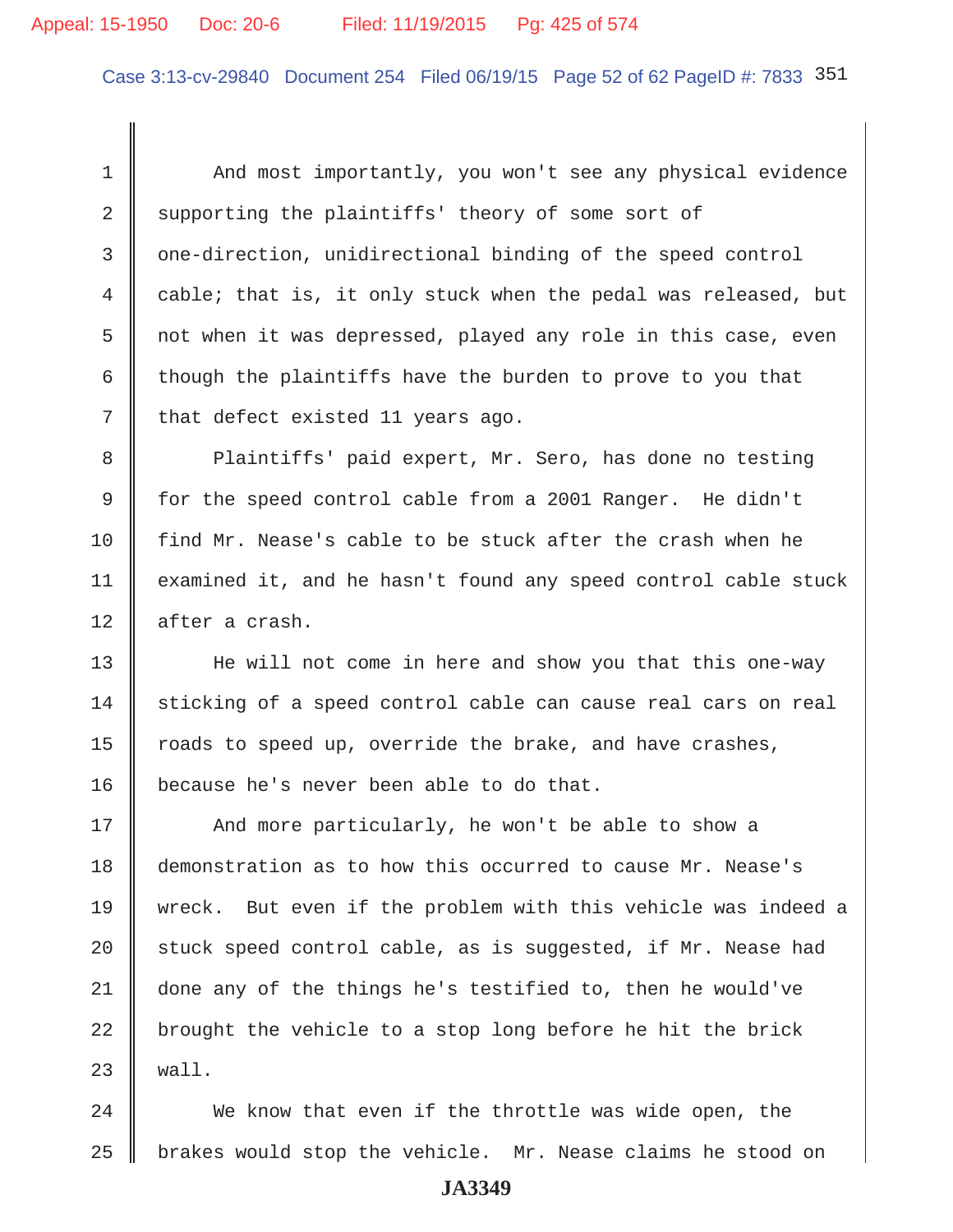# Appeal: 15-1950 Doc: 20-6 Filed: 11/19/2015 Pg: 425 of 574

Case 3:13-cv-29840 Document 254 Filed 06/19/15 Page 52 of 62 PageID #: 7833 351

 1 And most importantly, you won't see any physical evidence  $2 \parallel$  supporting the plaintiffs' theory of some sort of 3 one-direction, unidirectional binding of the speed control 4 cable; that is, it only stuck when the pedal was released, but 5 not when it was depressed, played any role in this case, even 6  $\parallel$  though the plaintiffs have the burden to prove to you that  $7 \parallel$  that defect existed 11 years ago.

8 || Plaintiffs' paid expert, Mr. Sero, has done no testing 9 for the speed control cable from a 2001 Ranger. He didn't 10 find Mr. Nease's cable to be stuck after the crash when he 11 | examined it, and he hasn't found any speed control cable stuck 12 || after a crash.

13 He will not come in here and show you that this one-way 14 sticking of a speed control cable can cause real cars on real 15  $\parallel$  roads to speed up, override the brake, and have crashes, 16 because he's never been able to do that.

17 || And more particularly, he won't be able to show a 18 demonstration as to how this occurred to cause Mr. Nease's 19 wreck. But even if the problem with this vehicle was indeed a 20  $\parallel$  stuck speed control cable, as is suggested, if Mr. Nease had 21 done any of the things he's testified to, then he would've 22  $\parallel$  brought the vehicle to a stop long before he hit the brick  $23 \parallel$  wall.

24 We know that even if the throttle was wide open, the  $25$  | brakes would stop the vehicle. Mr. Nease claims he stood on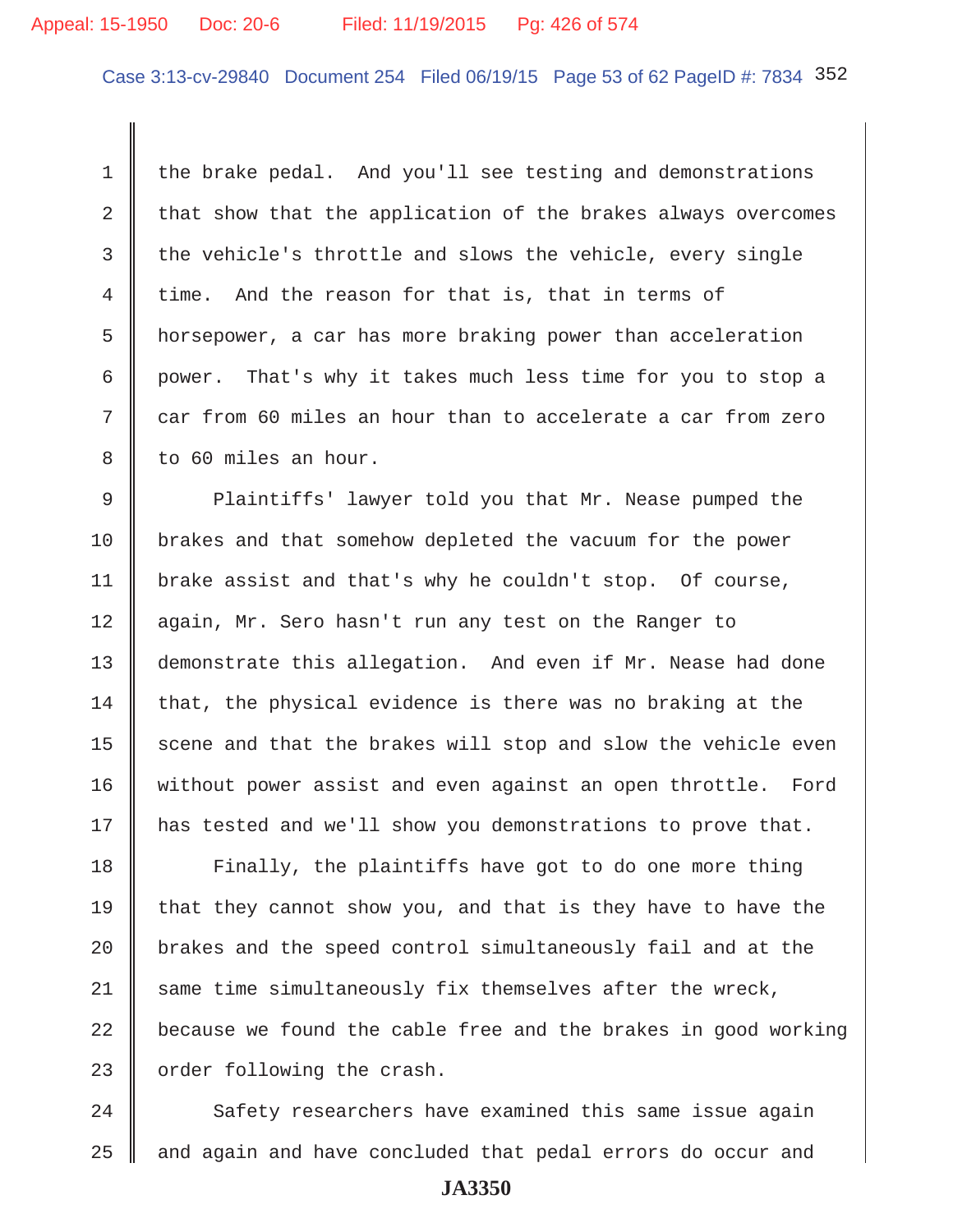# Appeal: 15-1950 Doc: 20-6 Filed: 11/19/2015 Pg: 426 of 574

Case 3:13-cv-29840 Document 254 Filed 06/19/15 Page 53 of 62 PageID #: 7834 352

1 the brake pedal. And you'll see testing and demonstrations 2  $\parallel$  that show that the application of the brakes always overcomes  $3$  the vehicle's throttle and slows the vehicle, every single 4 | time. And the reason for that is, that in terms of 5 horsepower, a car has more braking power than acceleration 6 power. That's why it takes much less time for you to stop a  $7$   $\parallel$  car from 60 miles an hour than to accelerate a car from zero 8 || to 60 miles an hour.

9 Plaintiffs' lawyer told you that Mr. Nease pumped the 10 brakes and that somehow depleted the vacuum for the power 11 brake assist and that's why he couldn't stop. Of course, 12 again, Mr. Sero hasn't run any test on the Ranger to 13 demonstrate this allegation. And even if Mr. Nease had done  $14$  that, the physical evidence is there was no braking at the 15  $\parallel$  scene and that the brakes will stop and slow the vehicle even 16 without power assist and even against an open throttle. Ford 17 | has tested and we'll show you demonstrations to prove that.

18 | Finally, the plaintiffs have got to do one more thing 19 that they cannot show you, and that is they have to have the  $\parallel$  brakes and the speed control simultaneously fail and at the same time simultaneously fix themselves after the wreck,  $\parallel$  because we found the cable free and the brakes in good working | order following the crash.

24 Safety researchers have examined this same issue again  $25$   $\parallel$  and again and have concluded that pedal errors do occur and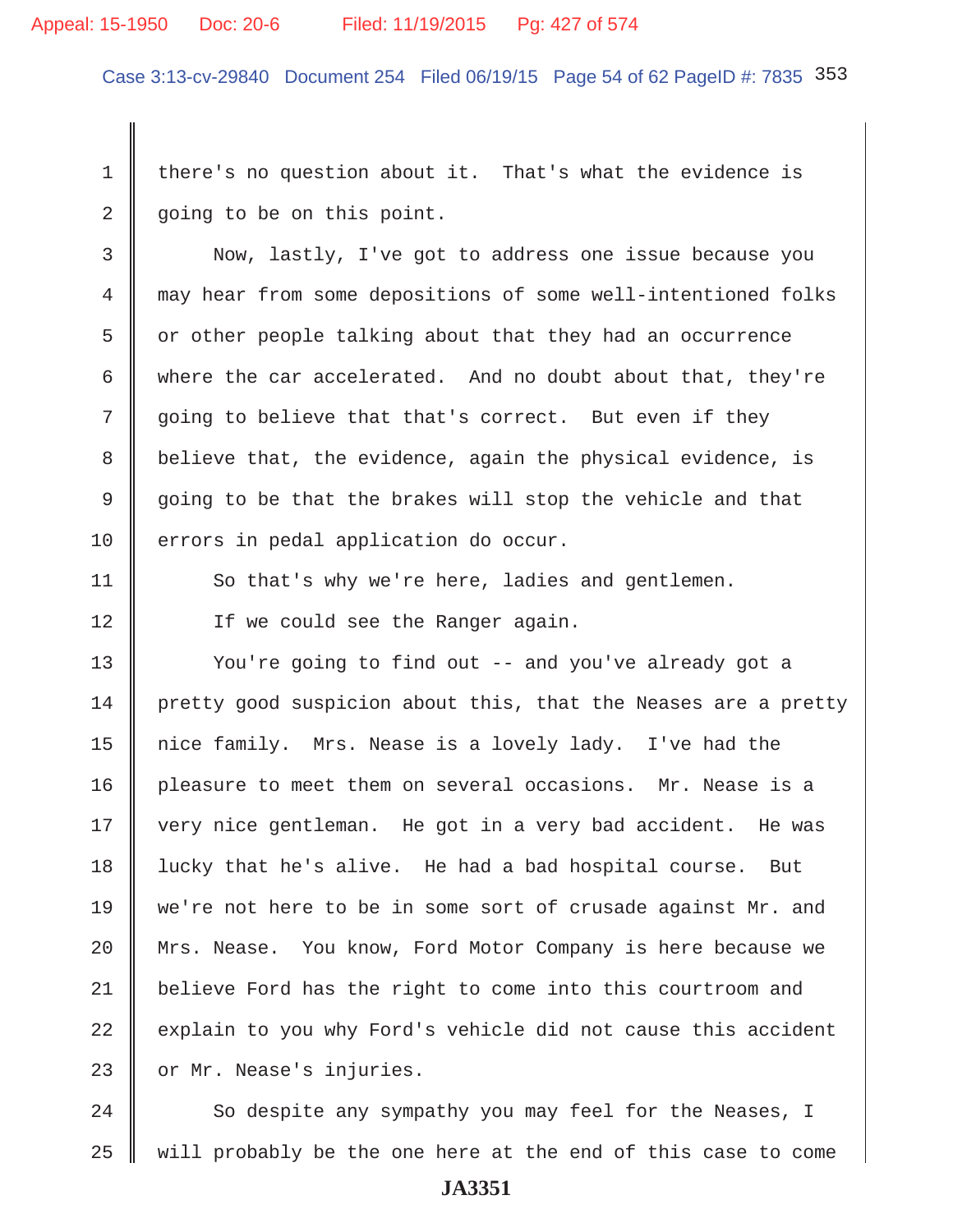#### Appeal: 15-1950 Doc: 20-6 Filed: 11/19/2015 Pg: 427 of 574

Case 3:13-cv-29840 Document 254 Filed 06/19/15 Page 54 of 62 PageID #: 7835 353

1 there's no question about it. That's what the evidence is 2 going to be on this point.

 3 Now, lastly, I've got to address one issue because you 4 may hear from some depositions of some well-intentioned folks  $5 \parallel$  or other people talking about that they had an occurrence 6 where the car accelerated. And no doubt about that, they're 7 going to believe that that's correct. But even if they 8 | believe that, the evidence, again the physical evidence, is 9 going to be that the brakes will stop the vehicle and that 10 | errors in pedal application do occur.

11 So that's why we're here, ladies and gentlemen. 12 | Tf we could see the Ranger again.

13 || You're going to find out -- and you've already got a 14 pretty good suspicion about this, that the Neases are a pretty 15 | nice family. Mrs. Nease is a lovely lady. I've had the 16 pleasure to meet them on several occasions. Mr. Nease is a 17 || very nice gentleman. He got in a very bad accident. He was 18 lucky that he's alive. He had a bad hospital course. But 19 we're not here to be in some sort of crusade against Mr. and 20 | Mrs. Nease. You know, Ford Motor Company is here because we 21 believe Ford has the right to come into this courtroom and  $22$  explain to you why Ford's vehicle did not cause this accident 23 or Mr. Nease's injuries.

24 So despite any sympathy you may feel for the Neases, I  $25$  will probably be the one here at the end of this case to come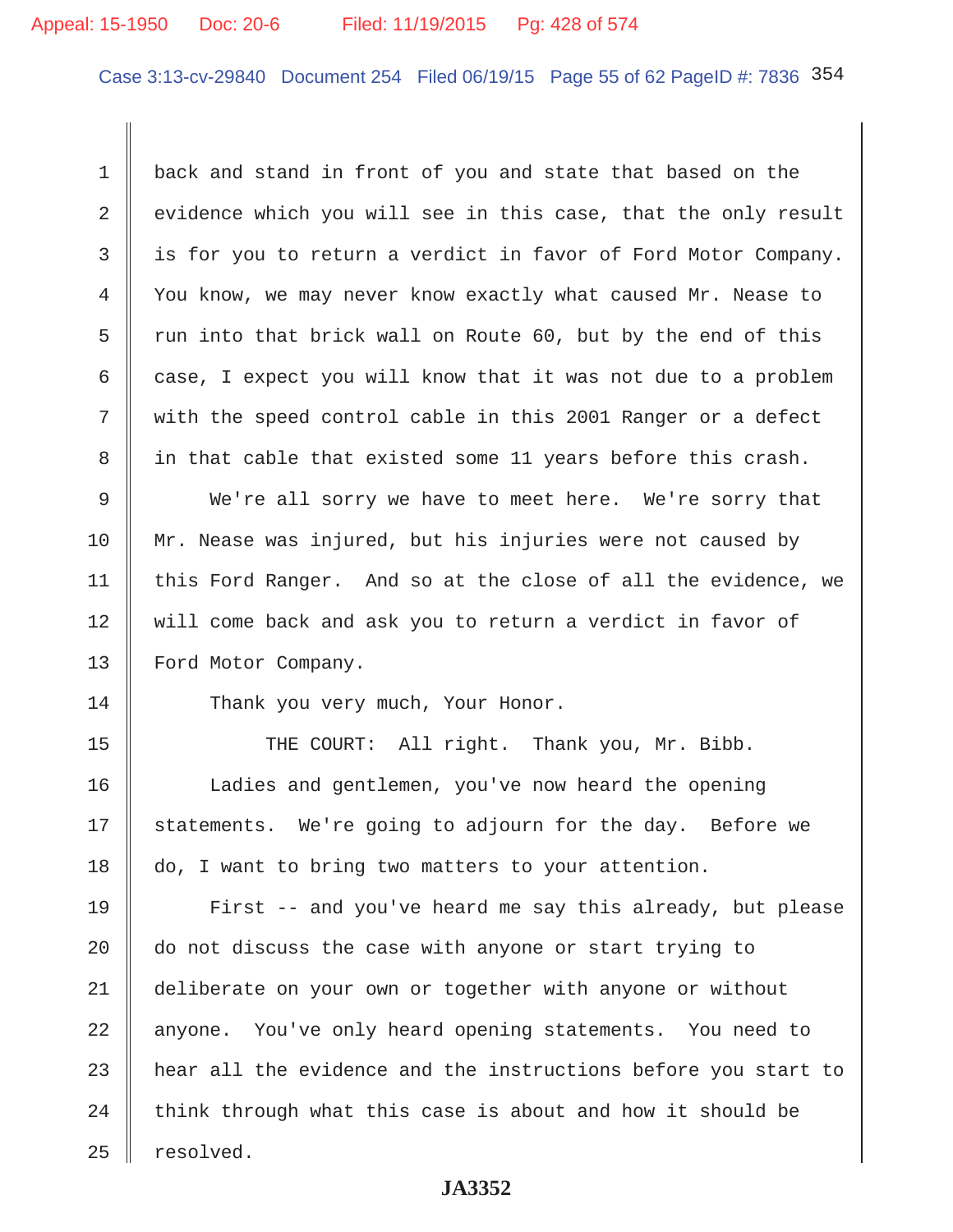# Appeal: 15-1950 Doc: 20-6 Filed: 11/19/2015 Pg: 428 of 574

Case 3:13-cv-29840 Document 254 Filed 06/19/15 Page 55 of 62 PageID #: 7836 354

1 back and stand in front of you and state that based on the 2  $\parallel$  evidence which you will see in this case, that the only result 3 is for you to return a verdict in favor of Ford Motor Company. 4 You know, we may never know exactly what caused Mr. Nease to 5  $\parallel$  run into that brick wall on Route 60, but by the end of this 6 case, I expect you will know that it was not due to a problem 7 with the speed control cable in this 2001 Ranger or a defect 8 || in that cable that existed some 11 years before this crash.

9 We're all sorry we have to meet here. We're sorry that 10 || Mr. Nease was injured, but his injuries were not caused by 11  $\parallel$  this Ford Ranger. And so at the close of all the evidence, we 12 will come back and ask you to return a verdict in favor of 13 | Ford Motor Company.

14 Thank you very much, Your Honor.

15 || THE COURT: All right. Thank you, Mr. Bibb. 16 | Ladies and gentlemen, you've now heard the opening 17 || statements. We're going to adjourn for the day. Before we 18 do, I want to bring two matters to your attention.

19 || First -- and you've heard me say this already, but please 20  $\parallel$  do not discuss the case with anyone or start trying to 21 deliberate on your own or together with anyone or without 22 anyone. You've only heard opening statements. You need to 23 hear all the evidence and the instructions before you start to  $24$  think through what this case is about and how it should be  $25$  | resolved.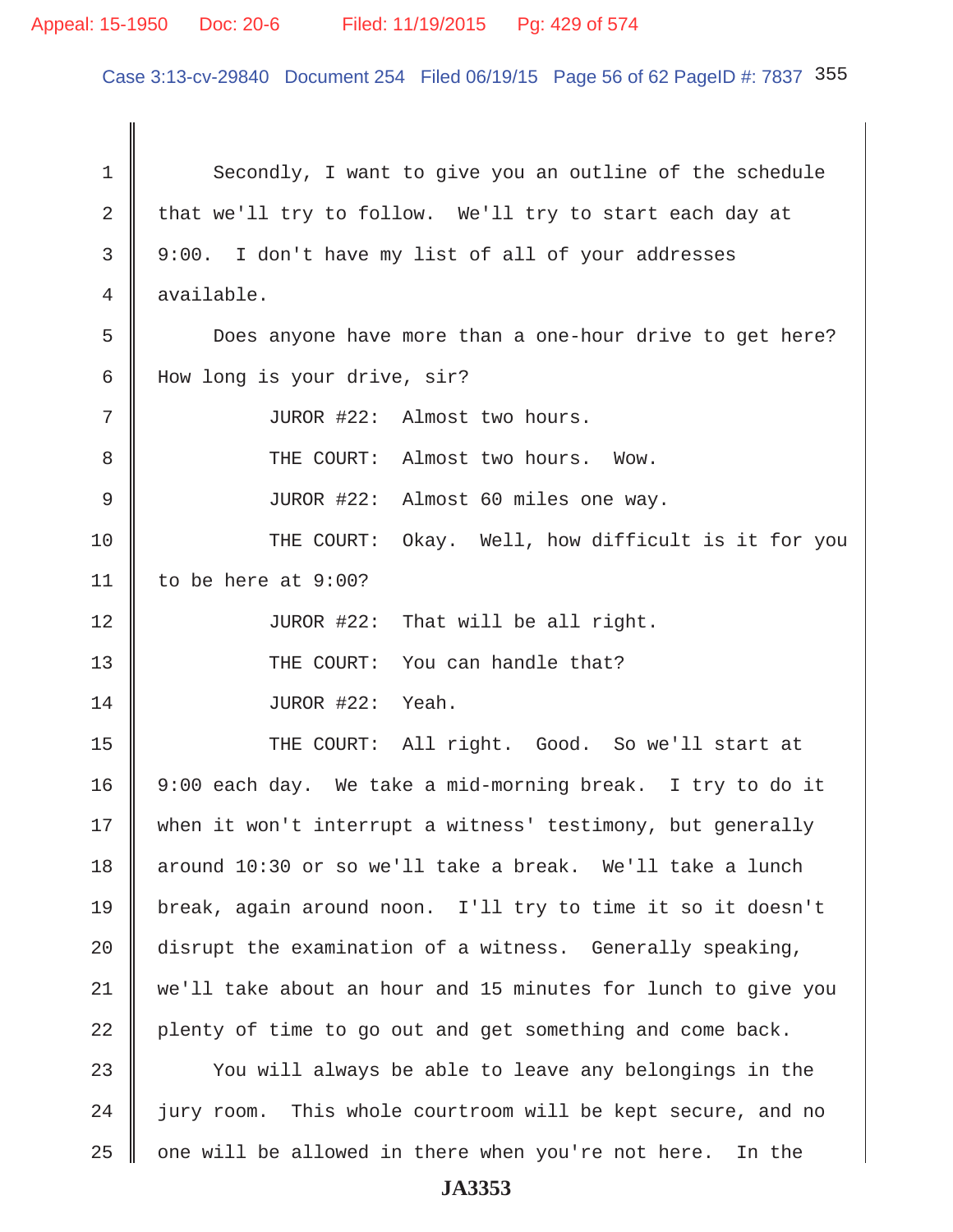# Appeal: 15-1950 Doc: 20-6 Filed: 11/19/2015 Pg: 429 of 574

Case 3:13-cv-29840 Document 254 Filed 06/19/15 Page 56 of 62 PageID #: 7837 355

1 Secondly, I want to give you an outline of the schedule 2 that we'll try to follow. We'll try to start each day at 3 9:00. I don't have my list of all of your addresses 4 available. 5 Does anyone have more than a one-hour drive to get here? 6 How long is your drive, sir? 7 || JUROR #22: Almost two hours. 8 THE COURT: Almost two hours. Wow. 9 || JUROR #22: Almost 60 miles one way. 10 THE COURT: Okay. Well, how difficult is it for you 11 | to be here at  $9:00$ ? 12 || JUROR #22: That will be all right. 13 THE COURT: You can handle that? 14 || JUROR #22: Yeah. 15 THE COURT: All right. Good. So we'll start at 16 9:00 each day. We take a mid-morning break. I try to do it 17 when it won't interrupt a witness' testimony, but generally 18 around 10:30 or so we'll take a break. We'll take a lunch 19 break, again around noon. I'll try to time it so it doesn't 20 disrupt the examination of a witness. Generally speaking, 21 we'll take about an hour and 15 minutes for lunch to give you  $22$  plenty of time to go out and get something and come back. 23 You will always be able to leave any belongings in the 24 | jury room. This whole courtroom will be kept secure, and no  $25$   $\parallel$  one will be allowed in there when you're not here. In the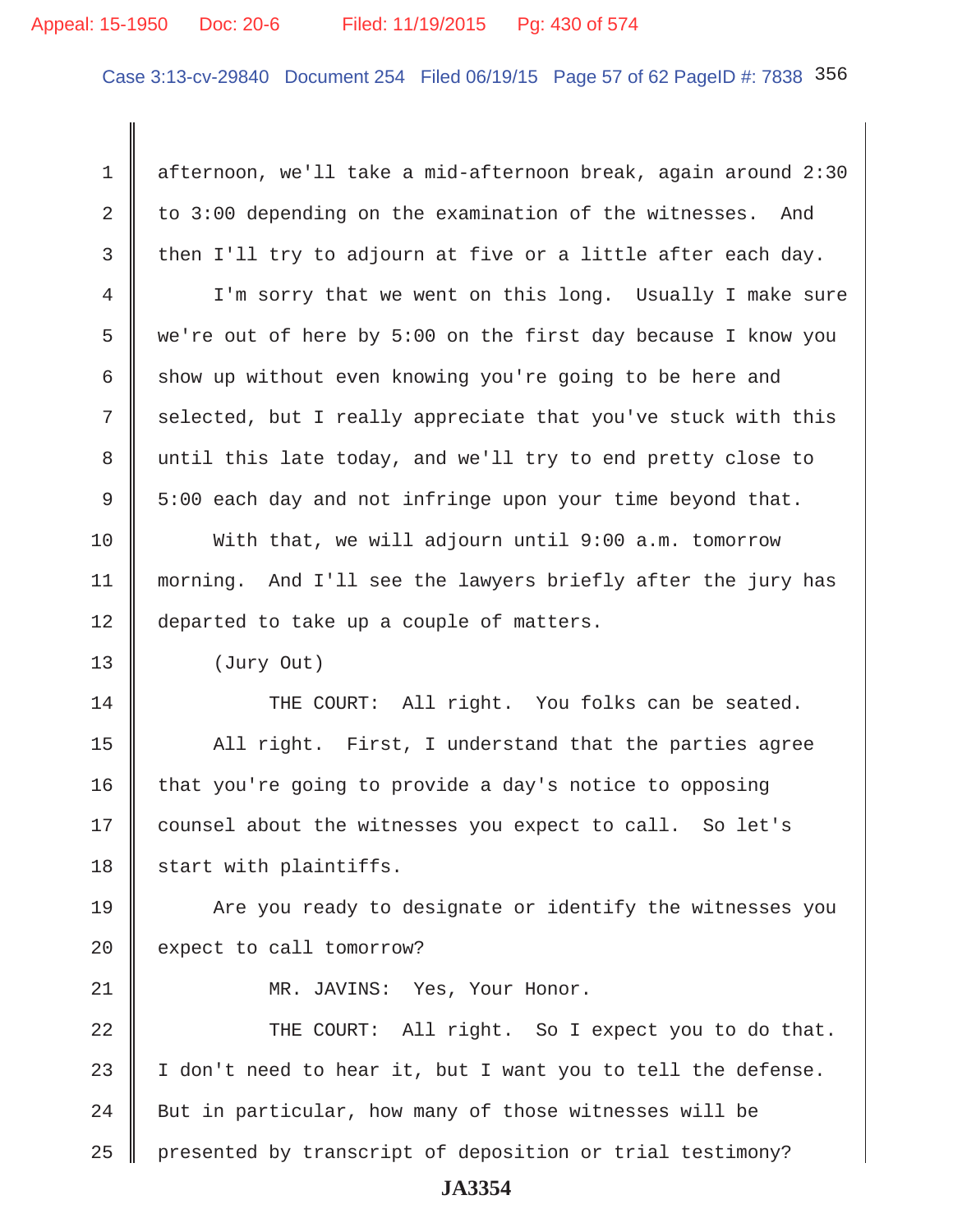#### Appeal: 15-1950 Doc: 20-6 Filed: 11/19/2015 Pg: 430 of 574

Case 3:13-cv-29840 Document 254 Filed 06/19/15 Page 57 of 62 PageID #: 7838 356

 1 afternoon, we'll take a mid-afternoon break, again around 2:30 2 to 3:00 depending on the examination of the witnesses. And  $3$  then I'll try to adjourn at five or a little after each day. 4 I'm sorry that we went on this long. Usually I make sure 5 we're out of here by 5:00 on the first day because I know you 6 show up without even knowing you're going to be here and 7 selected, but I really appreciate that you've stuck with this 8 until this late today, and we'll try to end pretty close to 9 5:00 each day and not infringe upon your time beyond that. 10 With that, we will adjourn until 9:00 a.m. tomorrow 11 morning. And I'll see the lawyers briefly after the jury has 12 departed to take up a couple of matters. 13 (Jury Out) 14 THE COURT: All right. You folks can be seated. 15 | All right. First, I understand that the parties agree  $16$  that you're going to provide a day's notice to opposing 17 | counsel about the witnesses you expect to call. So let's  $18$  start with plaintiffs. 19 | Are you ready to designate or identify the witnesses you 20 expect to call tomorrow? 21 || MR. JAVINS: Yes, Your Honor. 22 THE COURT: All right. So I expect you to do that. 23  $\parallel$  I don't need to hear it, but I want you to tell the defense.  $24$   $\parallel$  But in particular, how many of those witnesses will be 25 | presented by transcript of deposition or trial testimony?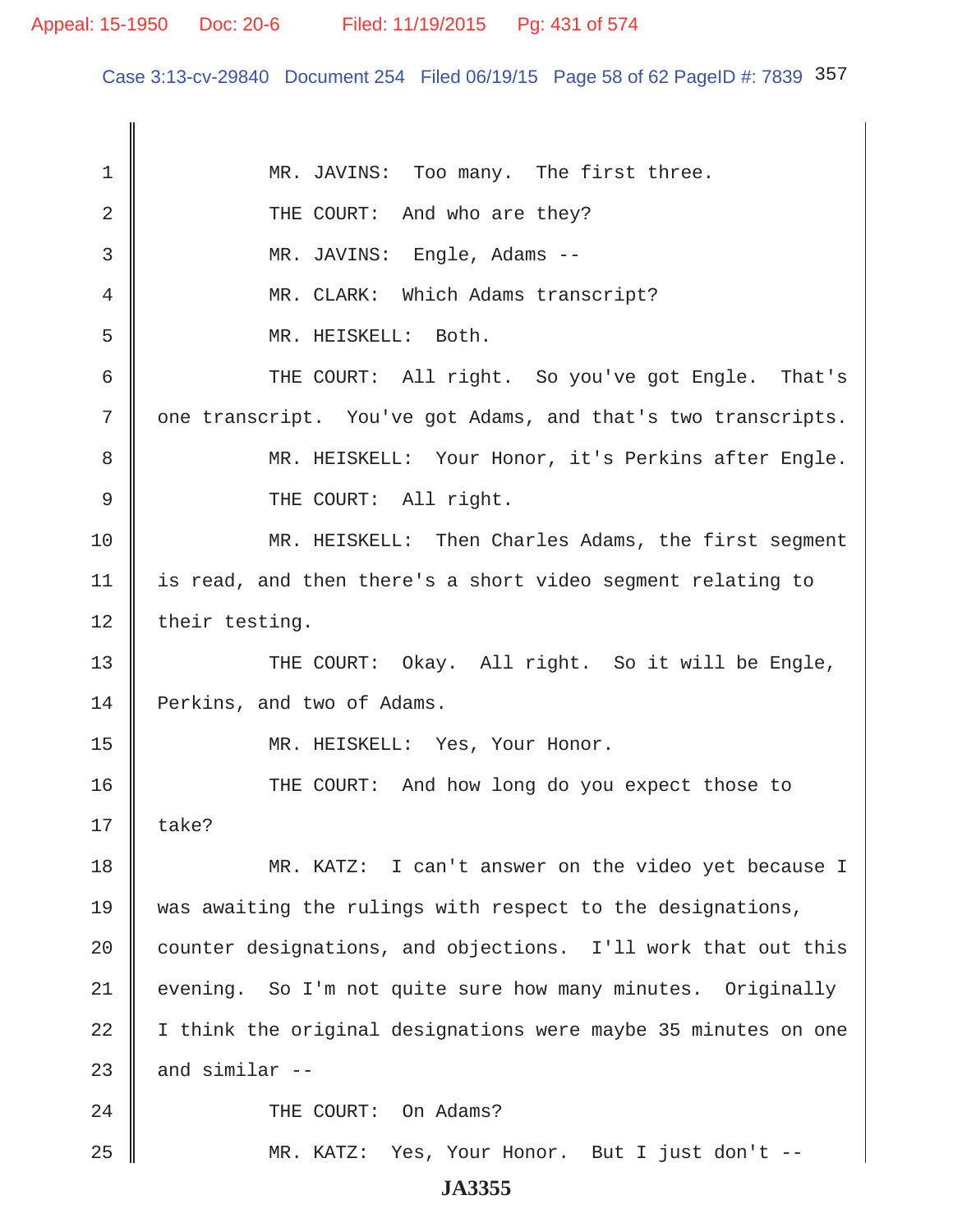Case 3:13-cv-29840 Document 254 Filed 06/19/15 Page 58 of 62 PageID #: 7839 357

| 1  | MR. JAVINS: Too many. The first three.                         |
|----|----------------------------------------------------------------|
| 2  | THE COURT: And who are they?                                   |
| 3  | MR. JAVINS: Engle, Adams --                                    |
| 4  | MR. CLARK: Which Adams transcript?                             |
| 5  | MR. HEISKELL: Both.                                            |
| 6  | THE COURT: All right. So you've got Engle. That's              |
| 7  | one transcript. You've got Adams, and that's two transcripts.  |
| 8  | MR. HEISKELL: Your Honor, it's Perkins after Engle.            |
| 9  | THE COURT: All right.                                          |
| 10 | MR. HEISKELL: Then Charles Adams, the first segment            |
| 11 | is read, and then there's a short video segment relating to    |
| 12 | their testing.                                                 |
| 13 | THE COURT: Okay. All right. So it will be Engle,               |
| 14 | Perkins, and two of Adams.                                     |
| 15 | MR. HEISKELL: Yes, Your Honor.                                 |
| 16 | THE COURT: And how long do you expect those to                 |
| 17 | take?                                                          |
| 18 | MR. KATZ: I can't answer on the video yet because I            |
| 19 | was awaiting the rulings with respect to the designations,     |
| 20 | counter designations, and objections. I'll work that out this  |
| 21 | evening. So I'm not quite sure how many minutes. Originally    |
| 22 | I think the original designations were maybe 35 minutes on one |
| 23 | and similar --                                                 |
| 24 | THE COURT: On Adams?                                           |
| 25 | MR. KATZ: Yes, Your Honor. But I just don't --                 |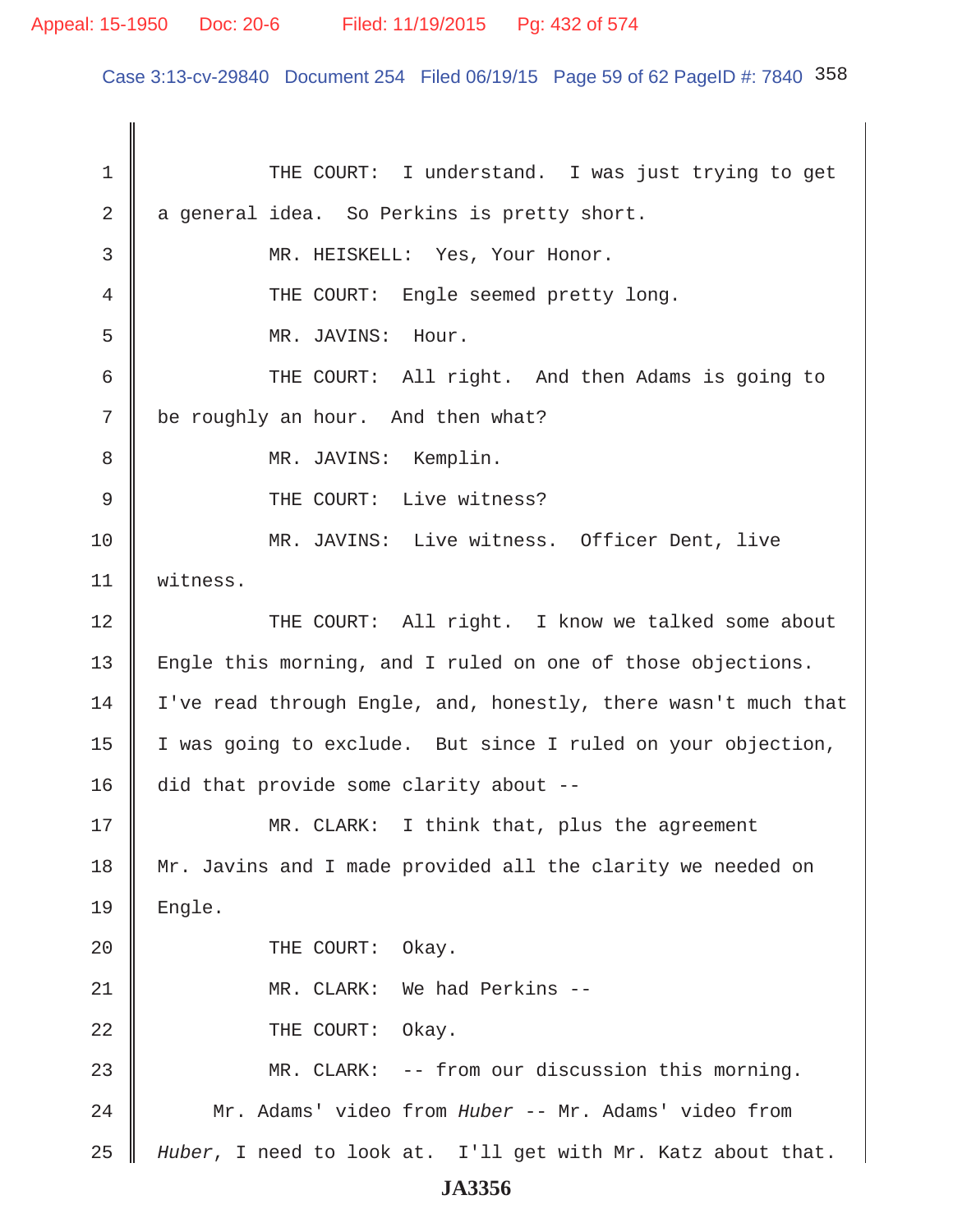# Appeal: 15-1950 Doc: 20-6 Filed: 11/19/2015 Pg: 432 of 574

Case 3:13-cv-29840 Document 254 Filed 06/19/15 Page 59 of 62 PageID #: 7840 358

1 THE COURT: I understand. I was just trying to get  $2 \parallel a$  general idea. So Perkins is pretty short. 3 || MR. HEISKELL: Yes, Your Honor. 4 THE COURT: Engle seemed pretty long. 5 MR. JAVINS: Hour. 6 || THE COURT: All right. And then Adams is going to  $7 \parallel$  be roughly an hour. And then what? 8 || MR. JAVINS: Kemplin. 9 || THE COURT: Live witness? 10 MR. JAVINS: Live witness. Officer Dent, live 11 witness. 12 THE COURT: All right. I know we talked some about 13 | Engle this morning, and I ruled on one of those objections. 14 | I've read through Engle, and, honestly, there wasn't much that 15 | I was going to exclude. But since I ruled on your objection, 16 did that provide some clarity about --17 MR. CLARK: I think that, plus the agreement 18 || Mr. Javins and I made provided all the clarity we needed on  $19$  | Engle. 20 **COURT:** Okay. 21 || MR. CLARK: We had Perkins --22 **COURT:** Okay. 23 MR. CLARK: -- from our discussion this morning. 24 Mr. Adams' video from *Huber* -- Mr. Adams' video from 25 *Huber*, I need to look at. I'll get with Mr. Katz about that. **JA3356**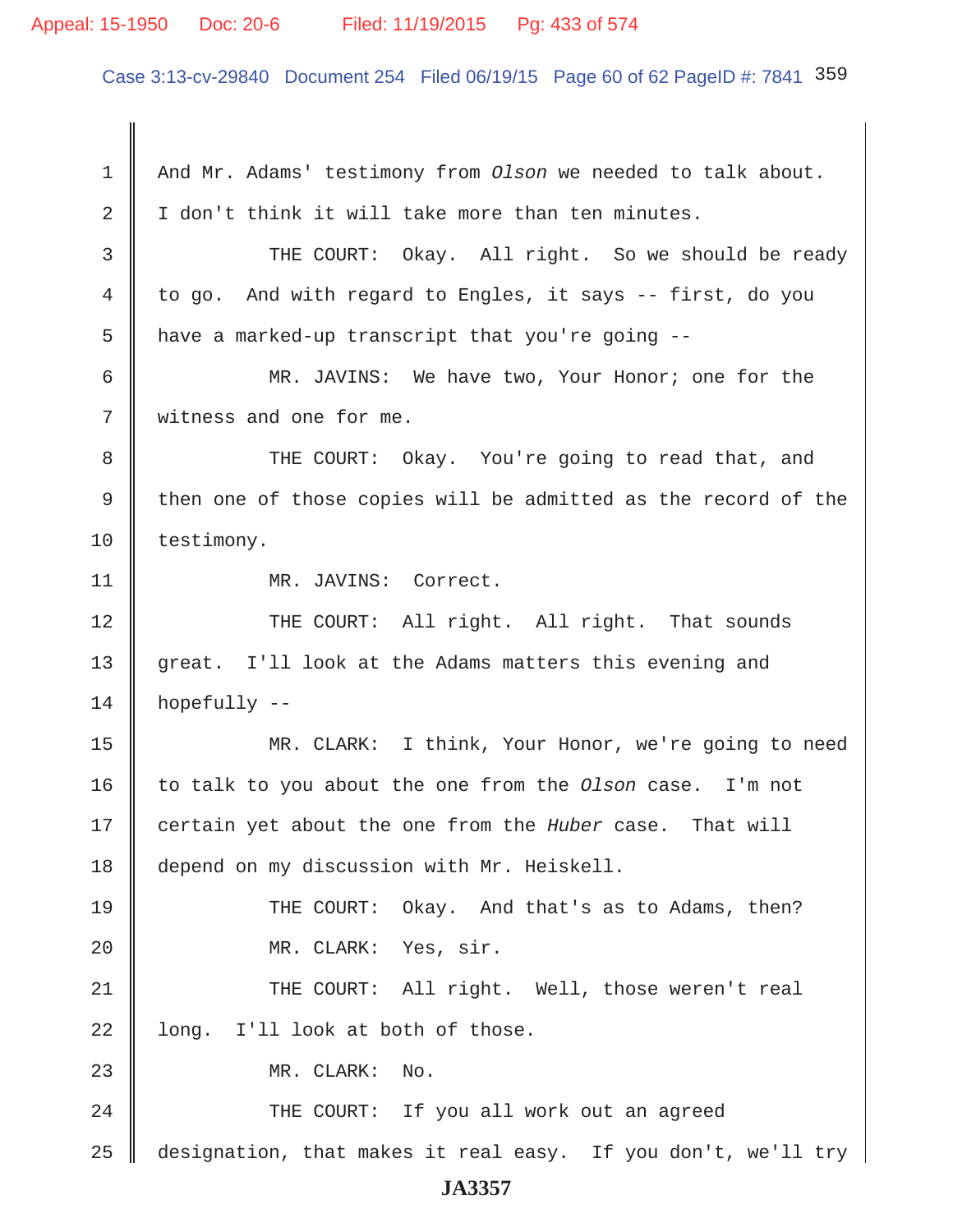## Appeal: 15-1950 Doc: 20-6 Filed: 11/19/2015 Pg: 433 of 574

Case 3:13-cv-29840 Document 254 Filed 06/19/15 Page 60 of 62 PageID #: 7841 359

 1 And Mr. Adams' testimony from *Olson* we needed to talk about.  $2 \parallel I$  don't think it will take more than ten minutes. 3 THE COURT: Okay. All right. So we should be ready 4 to go. And with regard to Engles, it says -- first, do you  $5 \parallel$  have a marked-up transcript that you're going -- 6 MR. JAVINS: We have two, Your Honor; one for the 7 Witness and one for me. 8 THE COURT: Okay. You're going to read that, and 9  $\parallel$  then one of those copies will be admitted as the record of the 10 testimony. 11 | MR. JAVINS: Correct. 12 THE COURT: All right. All right. That sounds 13 great. I'll look at the Adams matters this evening and  $14$  hopefully  $-$ 15 MR. CLARK: I think, Your Honor, we're going to need 16 to talk to you about the one from the *Olson* case. I'm not 17 certain yet about the one from the *Huber* case. That will 18 depend on my discussion with Mr. Heiskell. 19 || THE COURT: Okay. And that's as to Adams, then? 20 || MR. CLARK: Yes, sir. 21 THE COURT: All right. Well, those weren't real  $22$  | long. I'll look at both of those. 23 || MR. CLARK: No. 24 || THE COURT: If you all work out an agreed 25  $\parallel$  designation, that makes it real easy. If you don't, we'll try **JA3357**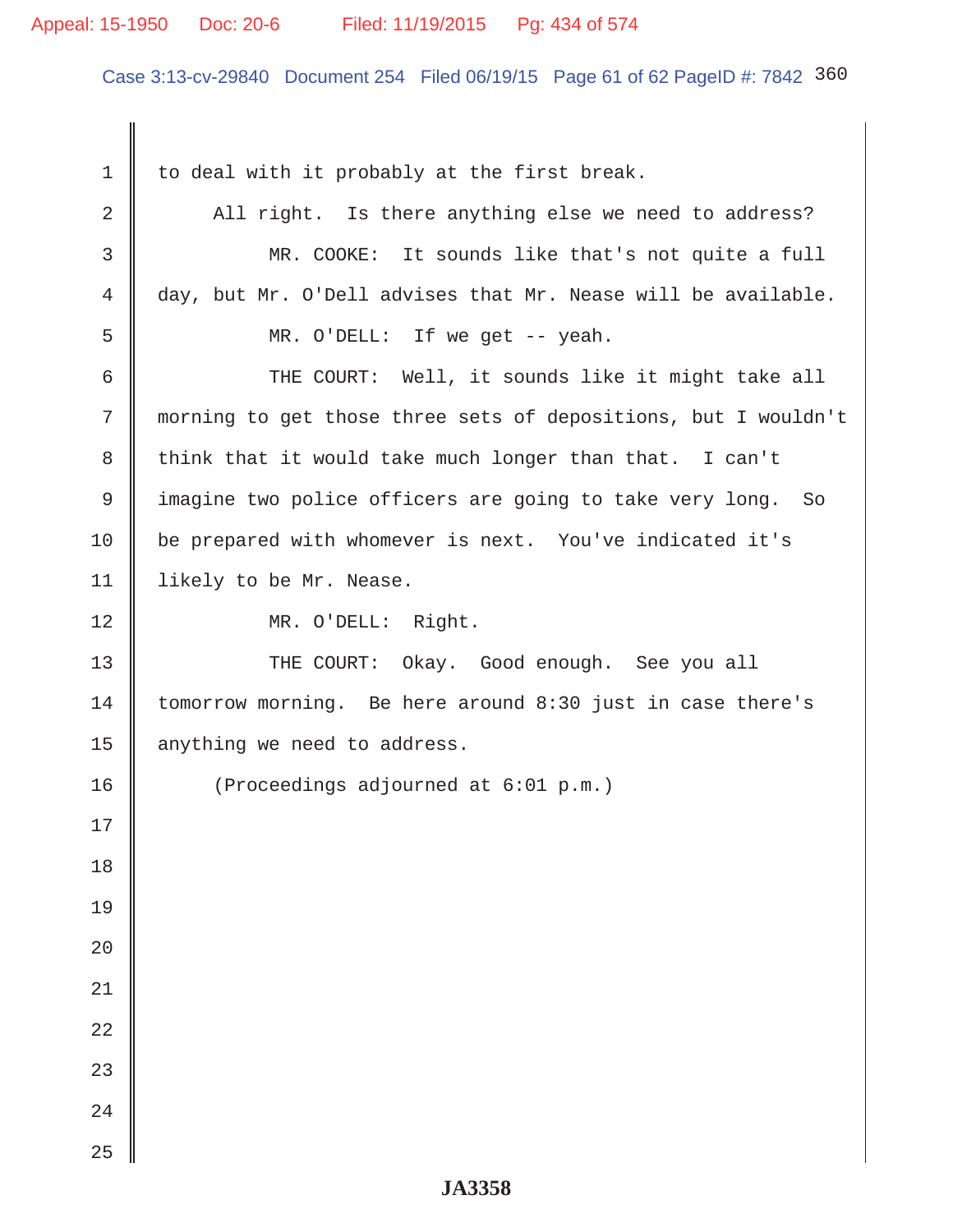# Appeal: 15-1950 Doc: 20-6 Filed: 11/19/2015 Pg: 434 of 574

Case 3:13-cv-29840 Document 254 Filed 06/19/15 Page 61 of 62 PageID #: 7842 360

| $\mathbf 1$ | to deal with it probably at the first break.                   |  |  |
|-------------|----------------------------------------------------------------|--|--|
| 2           | All right. Is there anything else we need to address?          |  |  |
| 3           | MR. COOKE: It sounds like that's not quite a full              |  |  |
| 4           | day, but Mr. O'Dell advises that Mr. Nease will be available.  |  |  |
| 5           | MR. O'DELL: If we get -- yeah.                                 |  |  |
| 6           | THE COURT: Well, it sounds like it might take all              |  |  |
| 7           | morning to get those three sets of depositions, but I wouldn't |  |  |
| 8           | think that it would take much longer than that. I can't        |  |  |
| 9           | imagine two police officers are going to take very long. So    |  |  |
| 10          | be prepared with whomever is next. You've indicated it's       |  |  |
| 11          | likely to be Mr. Nease.                                        |  |  |
| 12          | MR. O'DELL: Right.                                             |  |  |
| 13          | THE COURT: Okay. Good enough. See you all                      |  |  |
| 14          | tomorrow morning. Be here around 8:30 just in case there's     |  |  |
| 15          | anything we need to address.                                   |  |  |
| 16          | (Proceedings adjourned at 6:01 p.m.)                           |  |  |
| 17          |                                                                |  |  |
| 18          |                                                                |  |  |
| 19          |                                                                |  |  |
| 20          |                                                                |  |  |
| $21\,$      |                                                                |  |  |
| 22          |                                                                |  |  |
| 23          |                                                                |  |  |
| 24          |                                                                |  |  |
| 25          |                                                                |  |  |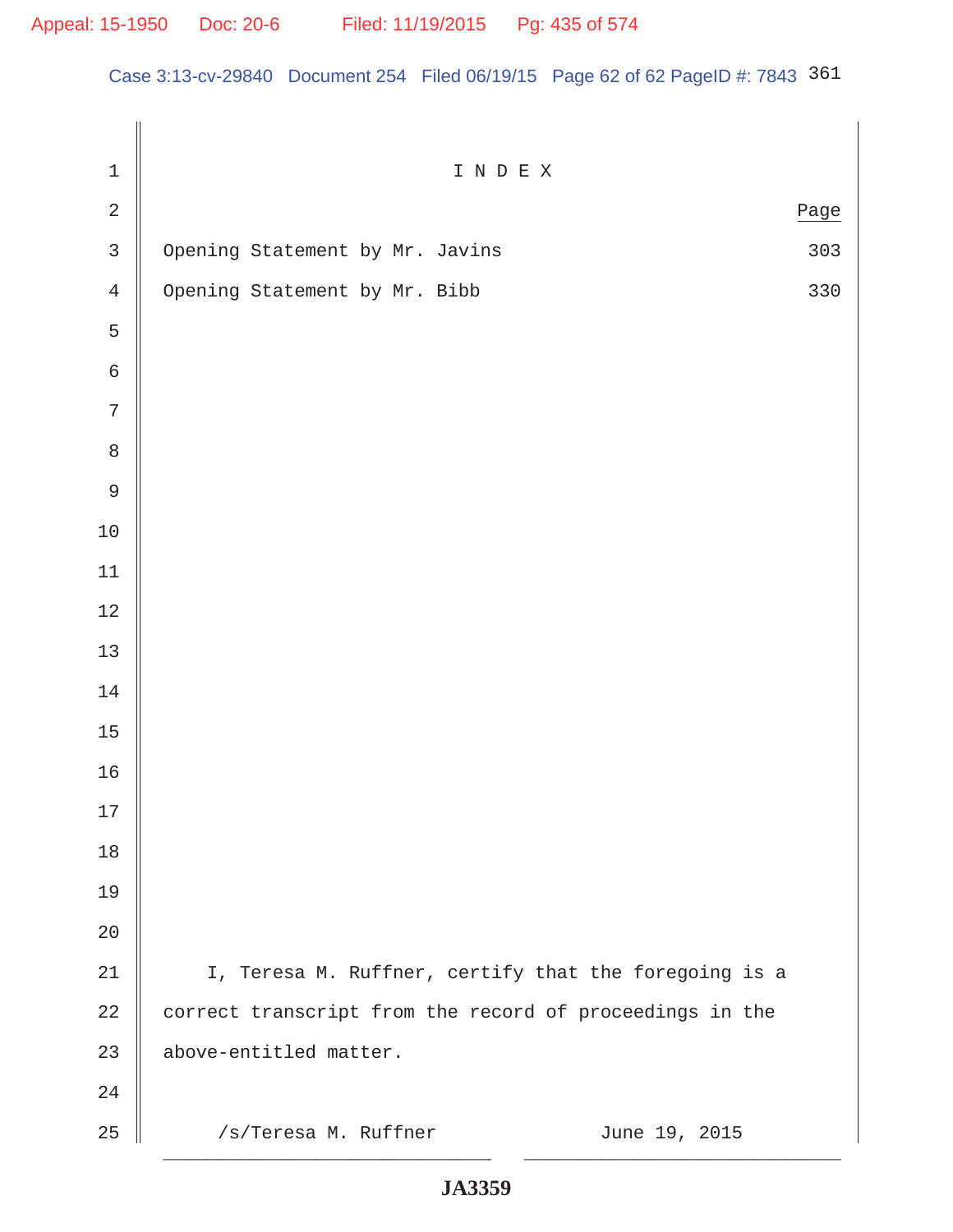Case 3:13-cv-29840 Document 254 Filed 06/19/15 Page 62 of 62 PageID #: 7843 361

| $\mathbf 1$    | I N D E X                                                |     |  |
|----------------|----------------------------------------------------------|-----|--|
| $\sqrt{2}$     | Page                                                     |     |  |
| $\mathsf{3}$   | Opening Statement by Mr. Javins                          | 303 |  |
| $\overline{4}$ | Opening Statement by Mr. Bibb                            | 330 |  |
| 5              |                                                          |     |  |
| $\epsilon$     |                                                          |     |  |
| 7              |                                                          |     |  |
| $\,8\,$        |                                                          |     |  |
| $\mathsf 9$    |                                                          |     |  |
| $10$           |                                                          |     |  |
| 11             |                                                          |     |  |
| $12$           |                                                          |     |  |
| 13             |                                                          |     |  |
| 14             |                                                          |     |  |
| 15             |                                                          |     |  |
| 16             |                                                          |     |  |
| $17$           |                                                          |     |  |
| 18             |                                                          |     |  |
| 19             |                                                          |     |  |
| 20             |                                                          |     |  |
| 21             | I, Teresa M. Ruffner, certify that the foregoing is a    |     |  |
| 22             | correct transcript from the record of proceedings in the |     |  |
| 23             | above-entitled matter.                                   |     |  |
| 24             |                                                          |     |  |
| 25             | /s/Teresa M. Ruffner<br>June 19, 2015                    |     |  |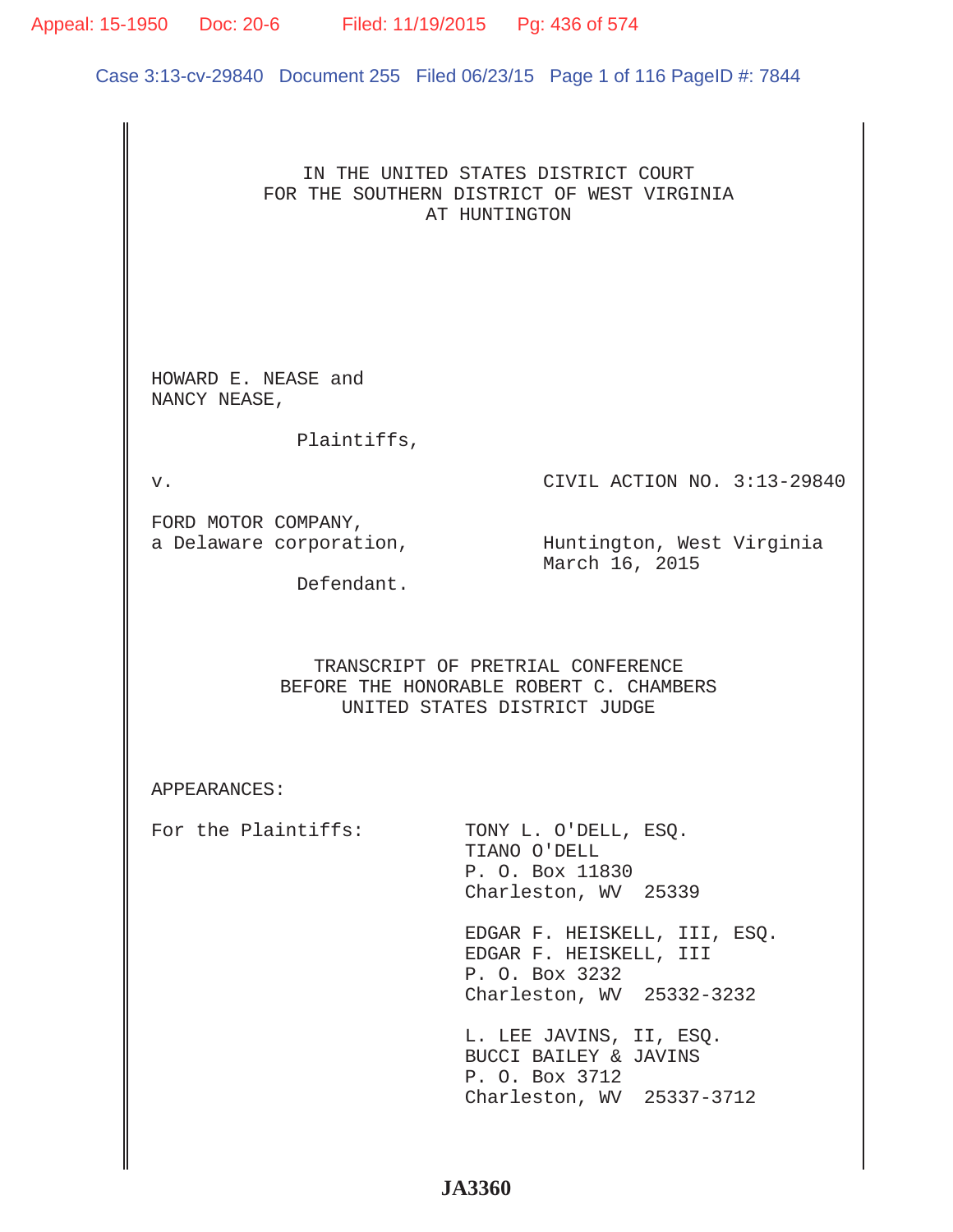# Appeal: 15-1950 Doc: 20-6 Filed: 11/19/2015 Pg: 436 of 574

Case 3:13-cv-29840 Document 255 Filed 06/23/15 Page 1 of 116 PageID #: 7844

# IN THE UNITED STATES DISTRICT COURT FOR THE SOUTHERN DISTRICT OF WEST VIRGINIA AT HUNTINGTON

HOWARD E. NEASE and NANCY NEASE,

Plaintiffs,

v. CIVIL ACTION NO. 3:13-29840

FORD MOTOR COMPANY,

a Delaware corporation,  $\hbox{\tt Number}$  Huntington, West Virginia March 16, 2015

Defendant.

# TRANSCRIPT OF PRETRIAL CONFERENCE BEFORE THE HONORABLE ROBERT C. CHAMBERS UNITED STATES DISTRICT JUDGE

APPEARANCES:

For the Plaintiffs: TONY L. O'DELL, ESO.

 TIANO O'DELL P. O. Box 11830 Charleston, WV 25339

 EDGAR F. HEISKELL, III, ESQ. EDGAR F. HEISKELL, III P. O. Box 3232 Charleston, WV 25332-3232

 L. LEE JAVINS, II, ESQ. BUCCI BAILEY & JAVINS P. O. Box 3712 Charleston, WV 25337-3712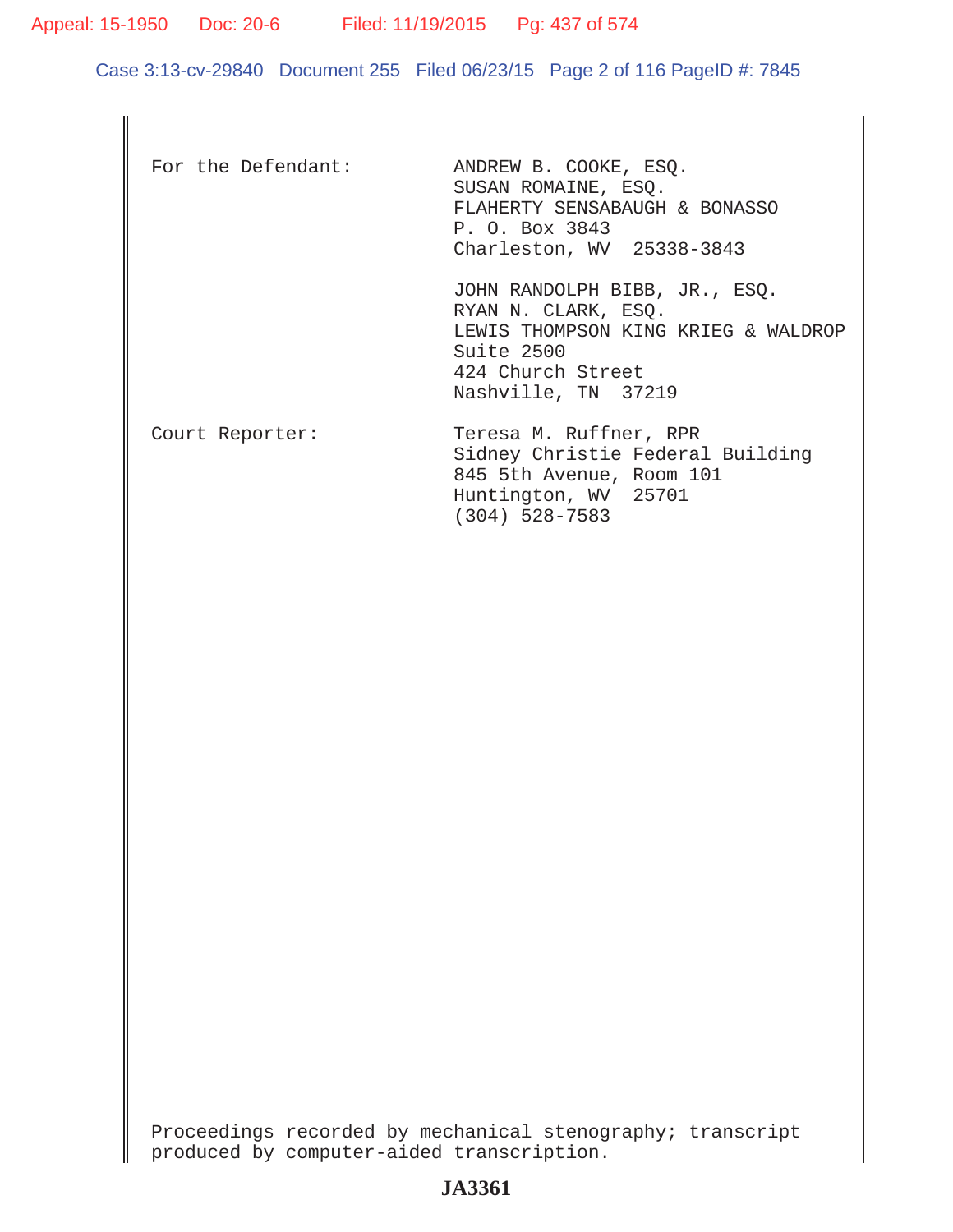Appeal: 15-1950 Doc: 20-6 Filed: 11/19/2015 Pg: 437 of 574

Case 3:13-cv-29840 Document 255 Filed 06/23/15 Page 2 of 116 PageID #: 7845

| For the Defendant: | ANDREW B. COOKE, ESQ.<br>SUSAN ROMAINE, ESO.<br>FLAHERTY SENSABAUGH & BONASSO<br>P. O. Box 3843<br>Charleston, WV 25338-3843                          |
|--------------------|-------------------------------------------------------------------------------------------------------------------------------------------------------|
|                    | JOHN RANDOLPH BIBB, JR., ESQ.<br>RYAN N. CLARK, ESO.<br>LEWIS THOMPSON KING KRIEG & WALDROP<br>Suite 2500<br>424 Church Street<br>Nashville, TN 37219 |
| Court Reporter:    | Teresa M. Ruffner, RPR<br>Sidney Christie Federal Building<br>845 5th Avenue, Room 101<br>Huntington, WV 25701<br>$(304)$ 528-7583                    |

Proceedings recorded by mechanical stenography; transcript produced by computer-aided transcription.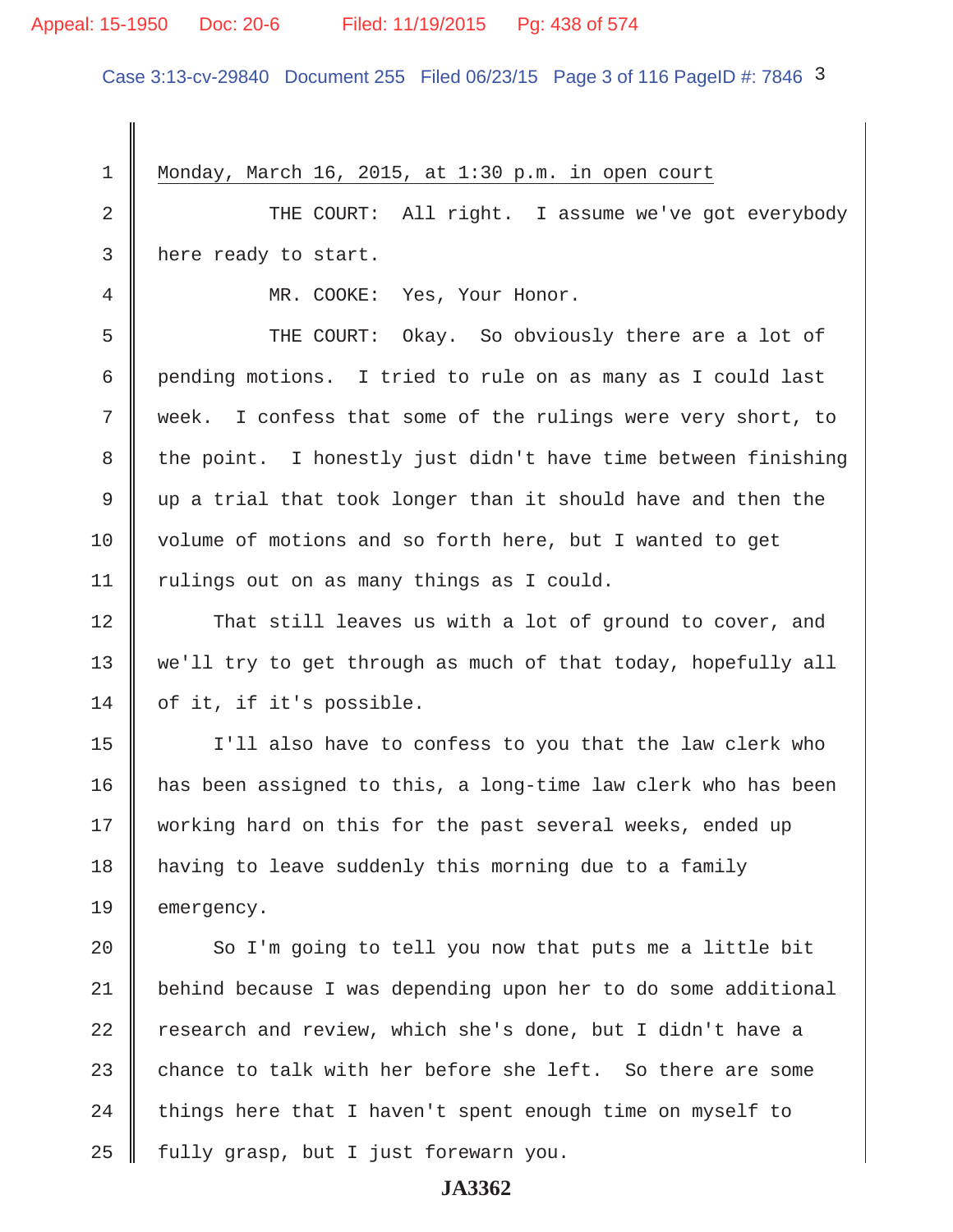## Appeal: 15-1950 Doc: 20-6 Filed: 11/19/2015 Pg: 438 of 574

Case 3:13-cv-29840 Document 255 Filed 06/23/15 Page 3 of 116 PageID #: 7846 3

1 | Monday, March 16, 2015, at  $1:30$  p.m. in open court 2 || THE COURT: All right. I assume we've got everybody 3 | here ready to start. 4 MR. COOKE: Yes, Your Honor. 5 Supersman THE COURT: Okay. So obviously there are a lot of 6 pending motions. I tried to rule on as many as I could last 7 Week. I confess that some of the rulings were very short, to  $8$   $\parallel$  the point. I honestly just didn't have time between finishing 9  $\parallel$  up a trial that took longer than it should have and then the 10 volume of motions and so forth here, but I wanted to get 11 | rulings out on as many things as I could. 12 That still leaves us with a lot of ground to cover, and 13 || we'll try to get through as much of that today, hopefully all 14  $\parallel$  of it, if it's possible. 15 I'll also have to confess to you that the law clerk who 16 has been assigned to this, a long-time law clerk who has been 17 || working hard on this for the past several weeks, ended up 18 having to leave suddenly this morning due to a family 19 emergency.  $20$   $\parallel$  So I'm going to tell you now that puts me a little bit 21 behind because I was depending upon her to do some additional 22  $\parallel$  research and review, which she's done, but I didn't have a 23  $\parallel$  chance to talk with her before she left. So there are some 24  $\parallel$  things here that I haven't spent enough time on myself to  $25$  | fully grasp, but I just forewarn you.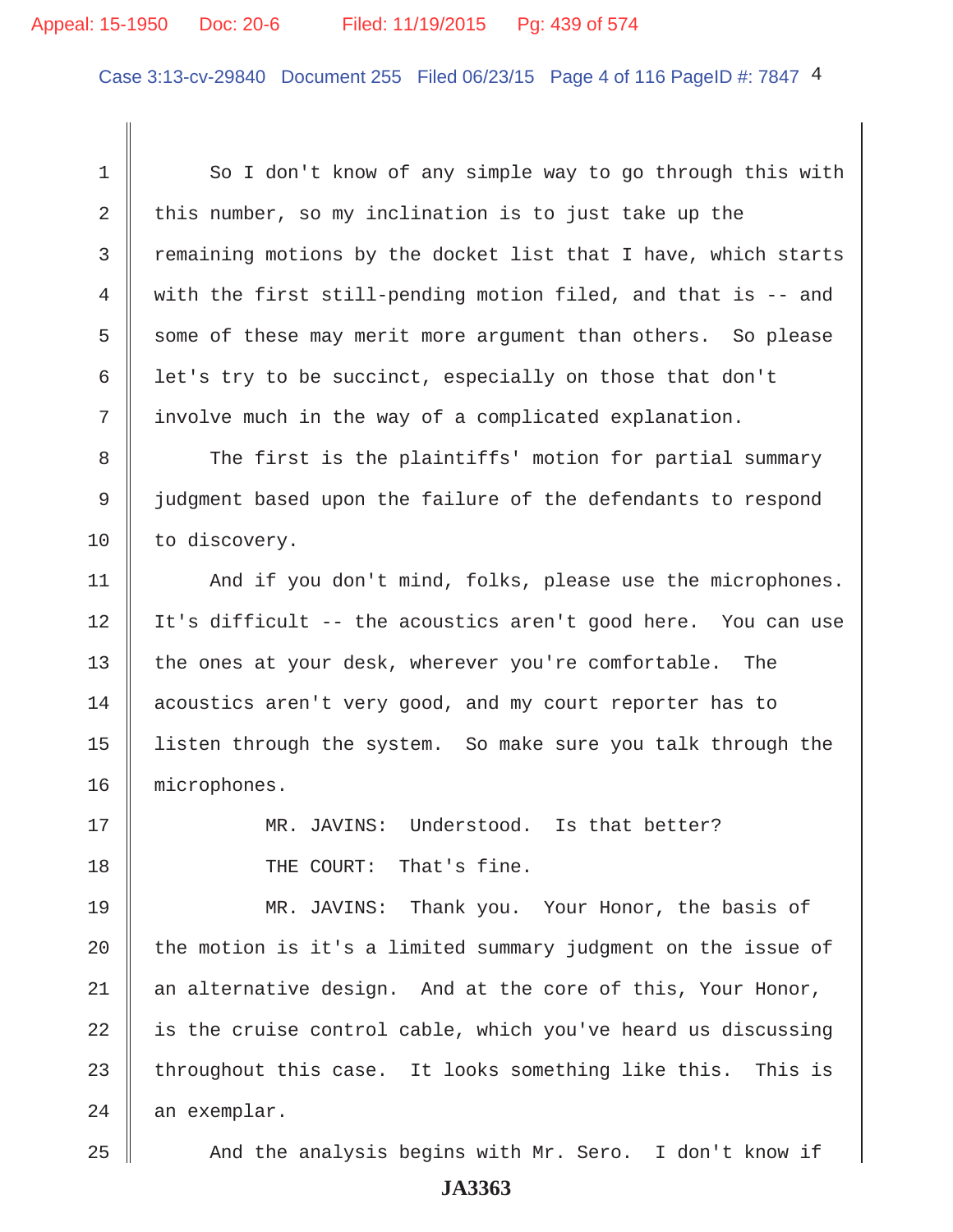## Appeal: 15-1950 Doc: 20-6 Filed: 11/19/2015 Pg: 439 of 574

Case 3:13-cv-29840 Document 255 Filed 06/23/15 Page 4 of 116 PageID #: 7847 4

1 So I don't know of any simple way to go through this with 2 this number, so my inclination is to just take up the 3 Tremaining motions by the docket list that I have, which starts 4 with the first still-pending motion filed, and that is -- and 5 some of these may merit more argument than others. So please 6 | let's try to be succinct, especially on those that don't 7 involve much in the way of a complicated explanation.

8 The first is the plaintiffs' motion for partial summary 9 judgment based upon the failure of the defendants to respond 10 | to discovery.

11 | And if you don't mind, folks, please use the microphones. 12 | It's difficult -- the acoustics aren't good here. You can use 13 the ones at your desk, wherever you're comfortable. The 14 acoustics aren't very good, and my court reporter has to 15 listen through the system. So make sure you talk through the 16 microphones.

17 MR. JAVINS: Understood. Is that better? 18 **I** THE COURT: That's fine.

19 MR. JAVINS: Thank you. Your Honor, the basis of  $\parallel$  the motion is it's a limited summary judgment on the issue of  $\parallel$  an alternative design. And at the core of this, Your Honor, is the cruise control cable, which you've heard us discussing throughout this case. It looks something like this. This is an exemplar.

25 || And the analysis begins with Mr. Sero. I don't know if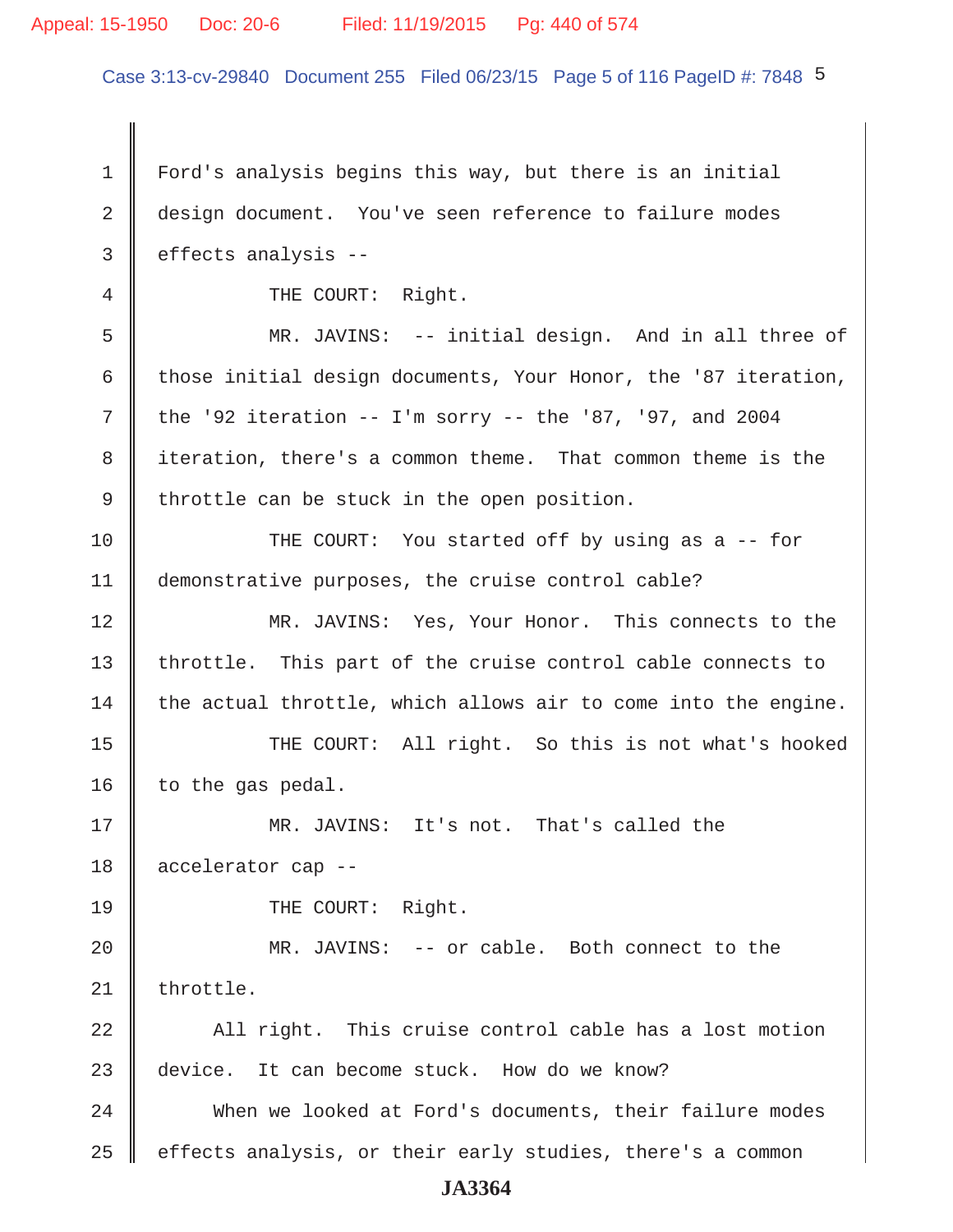## Appeal: 15-1950 Doc: 20-6 Filed: 11/19/2015 Pg: 440 of 574

Case 3:13-cv-29840 Document 255 Filed 06/23/15 Page 5 of 116 PageID #: 7848 5

 1 Ford's analysis begins this way, but there is an initial 2 design document. You've seen reference to failure modes  $3 \parallel$  effects analysis --4 || THE COURT: Right. 5 MR. JAVINS: -- initial design. And in all three of 6 those initial design documents, Your Honor, the '87 iteration, 7 the '92 iteration  $-$  I'm sorry  $-$  the '87, '97, and 2004 8 iteration, there's a common theme. That common theme is the  $9 \parallel$  throttle can be stuck in the open position. 10 THE COURT: You started off by using as a -- for 11 demonstrative purposes, the cruise control cable? 12 MR. JAVINS: Yes, Your Honor. This connects to the 13 | throttle. This part of the cruise control cable connects to  $14$  the actual throttle, which allows air to come into the engine. 15 || THE COURT: All right. So this is not what's hooked 16 | to the gas pedal. 17 MR. JAVINS: It's not. That's called the 18 accelerator cap -- 19 || THE COURT: Right. 20 MR. JAVINS: -- or cable. Both connect to the  $21$  | throttle. 22 All right. This cruise control cable has a lost motion 23 device. It can become stuck. How do we know? 24 When we looked at Ford's documents, their failure modes  $25$   $\parallel$  effects analysis, or their early studies, there's a common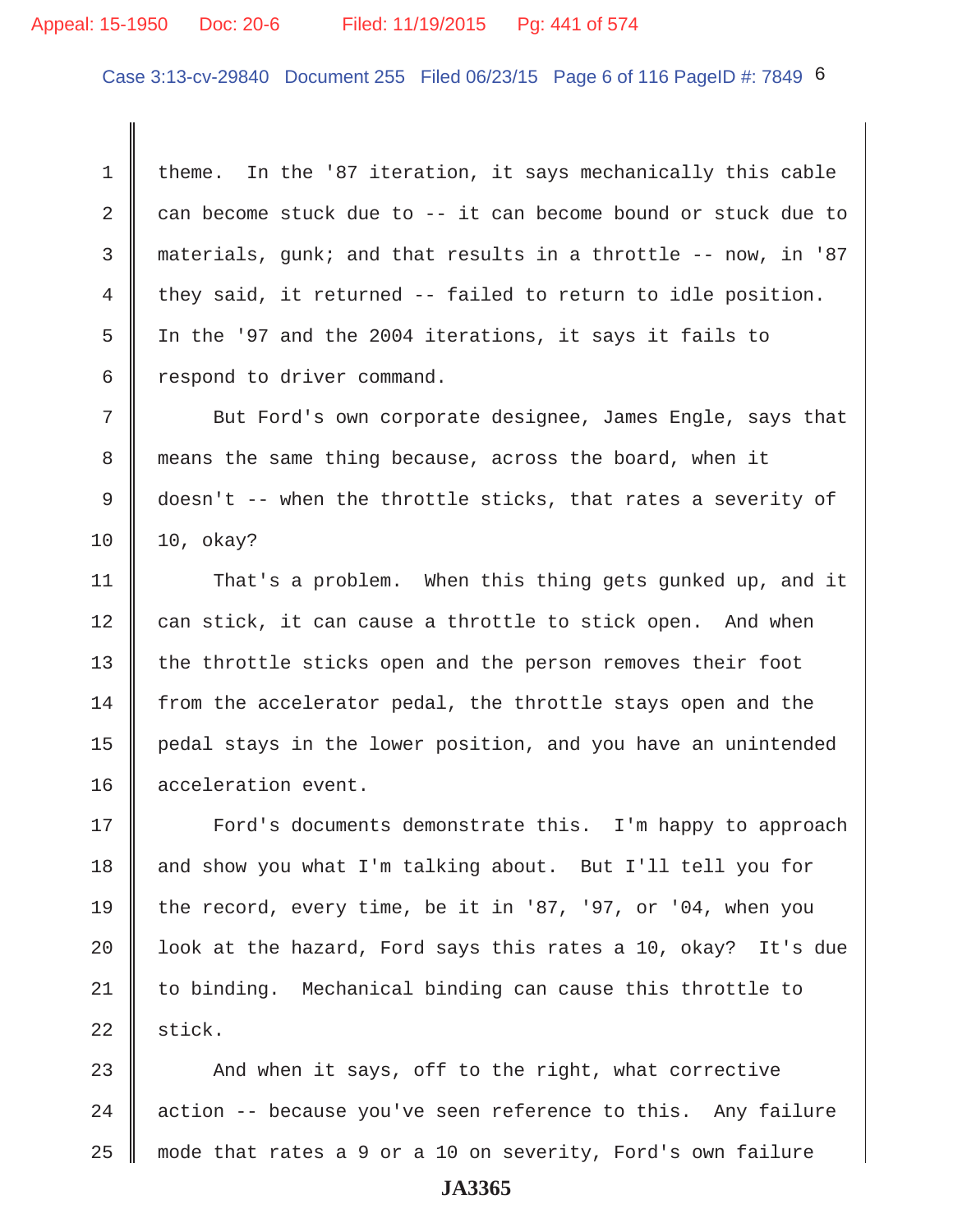## Appeal: 15-1950 Doc: 20-6 Filed: 11/19/2015 Pg: 441 of 574

Case 3:13-cv-29840 Document 255 Filed 06/23/15 Page 6 of 116 PageID #: 7849 6

1  $\parallel$  theme. In the '87 iteration, it says mechanically this cable 2 can become stuck due to  $-$  it can become bound or stuck due to 3 materials, gunk; and that results in a throttle -- now, in '87 4 they said, it returned  $-$  failed to return to idle position. 5 In the '97 and the 2004 iterations, it says it fails to  $6 \parallel$  respond to driver command.

 7 But Ford's own corporate designee, James Engle, says that 8 means the same thing because, across the board, when it 9 doesn't -- when the throttle sticks, that rates a severity of 10 10, okay?

11 That's a problem. When this thing gets gunked up, and it  $12$  can stick, it can cause a throttle to stick open. And when 13 || the throttle sticks open and the person removes their foot 14 from the accelerator pedal, the throttle stays open and the 15 pedal stays in the lower position, and you have an unintended 16 || acceleration event.

17 || Ford's documents demonstrate this. I'm happy to approach 18  $\parallel$  and show you what I'm talking about. But I'll tell you for 19 the record, every time, be it in '87, '97, or '04, when you 20  $\parallel$  look at the hazard, Ford says this rates a 10, okay? It's due 21 to binding. Mechanical binding can cause this throttle to  $22$  stick.

23  $\parallel$  And when it says, off to the right, what corrective 24  $\parallel$  action -- because you've seen reference to this. Any failure 25 mode that rates a 9 or a 10 on severity, Ford's own failure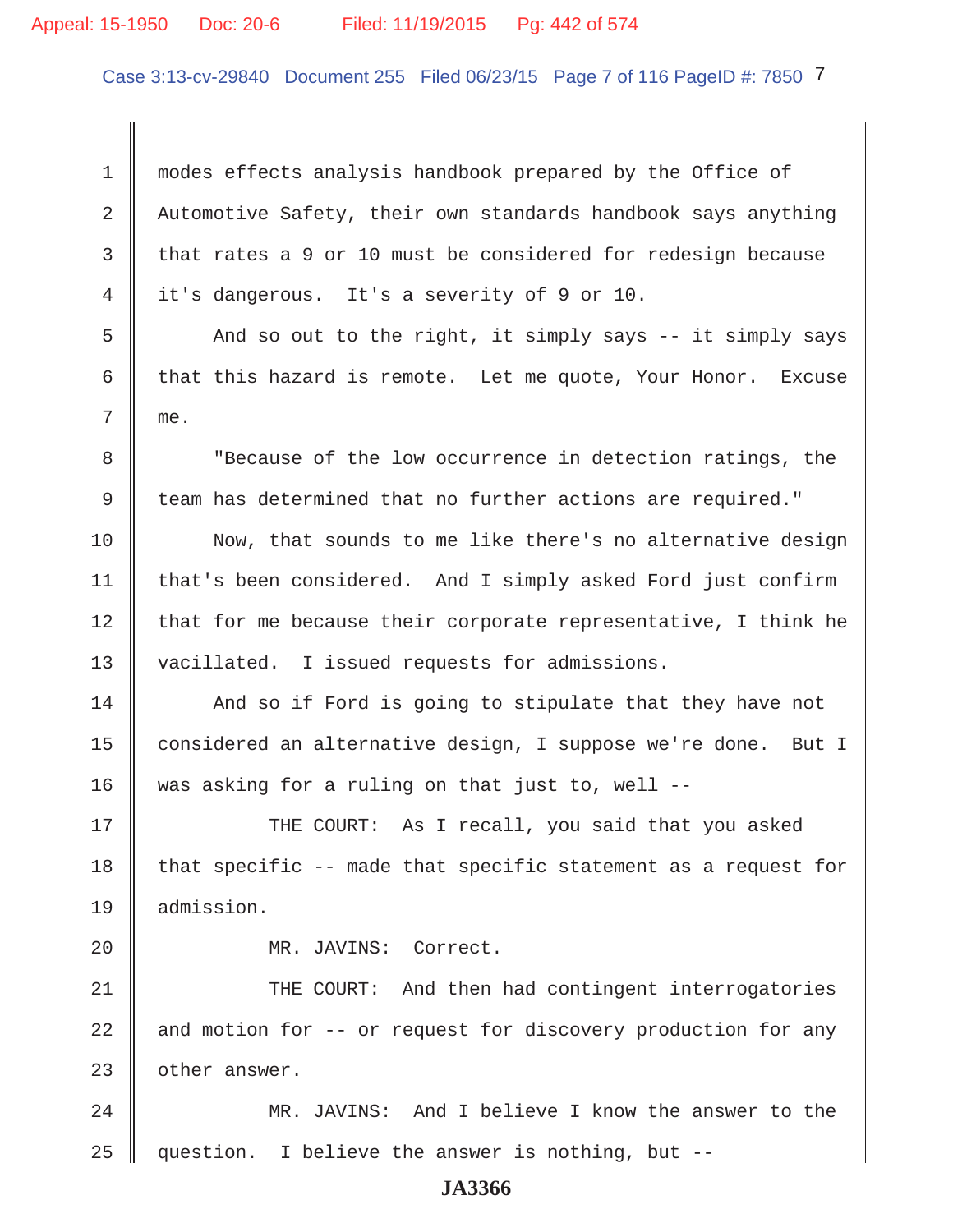## Appeal: 15-1950 Doc: 20-6 Filed: 11/19/2015 Pg: 442 of 574

Case 3:13-cv-29840 Document 255 Filed 06/23/15 Page 7 of 116 PageID #: 7850 7

 1 modes effects analysis handbook prepared by the Office of 2 Automotive Safety, their own standards handbook says anything 3 that rates a 9 or 10 must be considered for redesign because 4 it's dangerous. It's a severity of 9 or 10.

5 And so out to the right, it simply says -- it simply says 6 that this hazard is remote. Let me quote, Your Honor. Excuse 7 me.

8 Tecause of the low occurrence in detection ratings, the 9 team has determined that no further actions are required."

10 Now, that sounds to me like there's no alternative design 11 | that's been considered. And I simply asked Ford just confirm  $12$  that for me because their corporate representative, I think he 13 vacillated. I issued requests for admissions.

 $14$   $\parallel$  And so if Ford is going to stipulate that they have not 15 | considered an alternative design, I suppose we're done. But I 16 was asking for a ruling on that just to, well  $-$ -

17 THE COURT: As I recall, you said that you asked 18  $\parallel$  that specific -- made that specific statement as a request for 19 admission.

20 MR. JAVINS: Correct.

21 THE COURT: And then had contingent interrogatories 22  $\parallel$  and motion for -- or request for discovery production for any  $23$  | other answer.

24 MR. JAVINS: And I believe I know the answer to the 25 question. I believe the answer is nothing, but --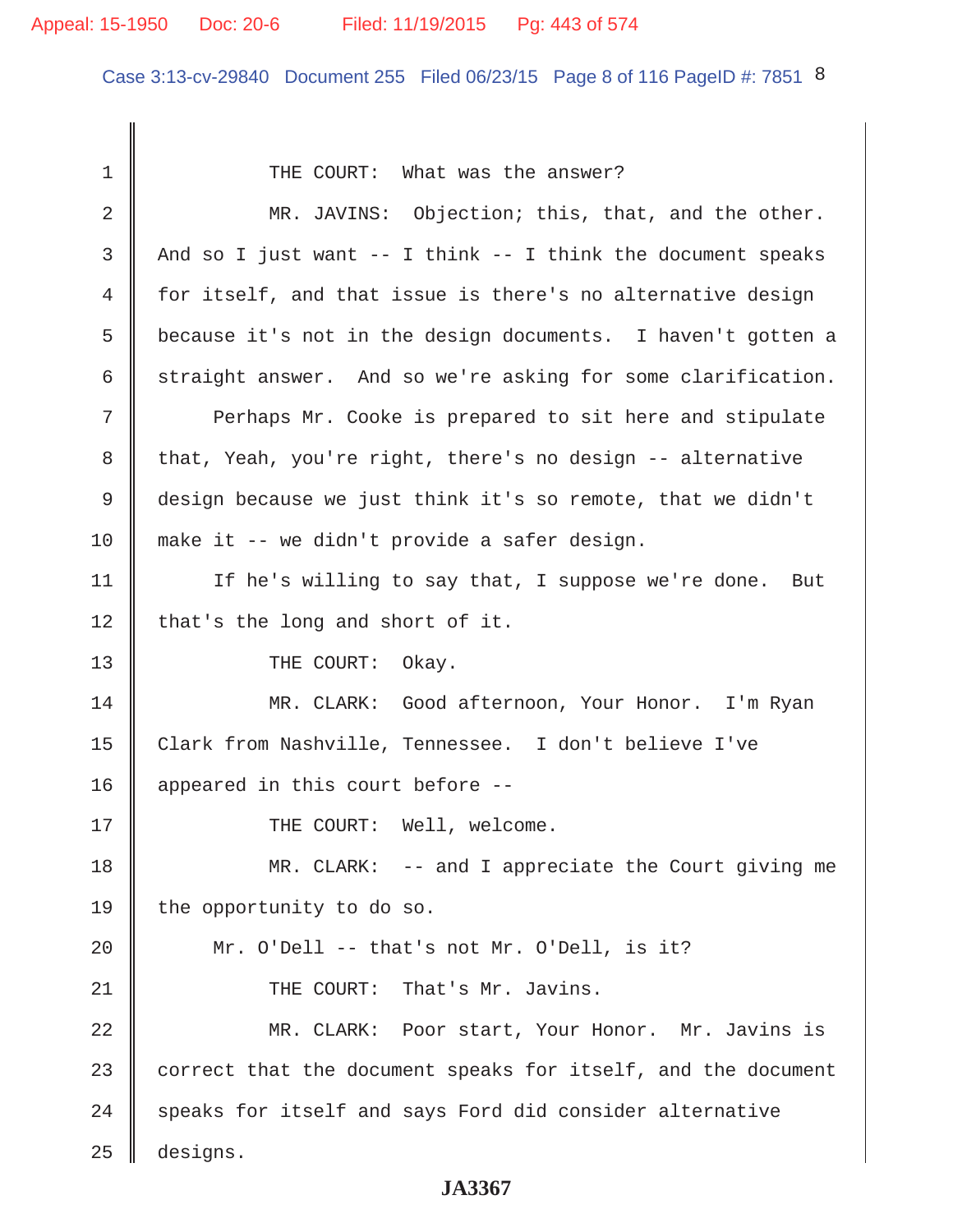## Appeal: 15-1950 Doc: 20-6 Filed: 11/19/2015 Pg: 443 of 574

Case 3:13-cv-29840 Document 255 Filed 06/23/15 Page 8 of 116 PageID #: 7851 8

1 || THE COURT: What was the answer? 2 MR. JAVINS: Objection; this, that, and the other. 3 || And so I just want  $-$  I think  $-$  I think the document speaks 4 for itself, and that issue is there's no alternative design 5 because it's not in the design documents. I haven't gotten a 6 straight answer. And so we're asking for some clarification. 7 Perhaps Mr. Cooke is prepared to sit here and stipulate 8 that, Yeah, you're right, there's no design -- alternative 9 design because we just think it's so remote, that we didn't 10 make it -- we didn't provide a safer design. 11 | If he's willing to say that, I suppose we're done. But 12 | that's the long and short of it. 13 || THE COURT: Okay. 14 MR. CLARK: Good afternoon, Your Honor. I'm Ryan 15 Clark from Nashville, Tennessee. I don't believe I've 16 || appeared in this court before --17 || THE COURT: Well, welcome. 18 MR. CLARK: -- and I appreciate the Court giving me 19 | the opportunity to do so. 20  $\parallel$  Mr. O'Dell -- that's not Mr. O'Dell, is it? 21 || THE COURT: That's Mr. Javins. 22 MR. CLARK: Poor start, Your Honor. Mr. Javins is 23 correct that the document speaks for itself, and the document  $24$  speaks for itself and says Ford did consider alternative 25 designs.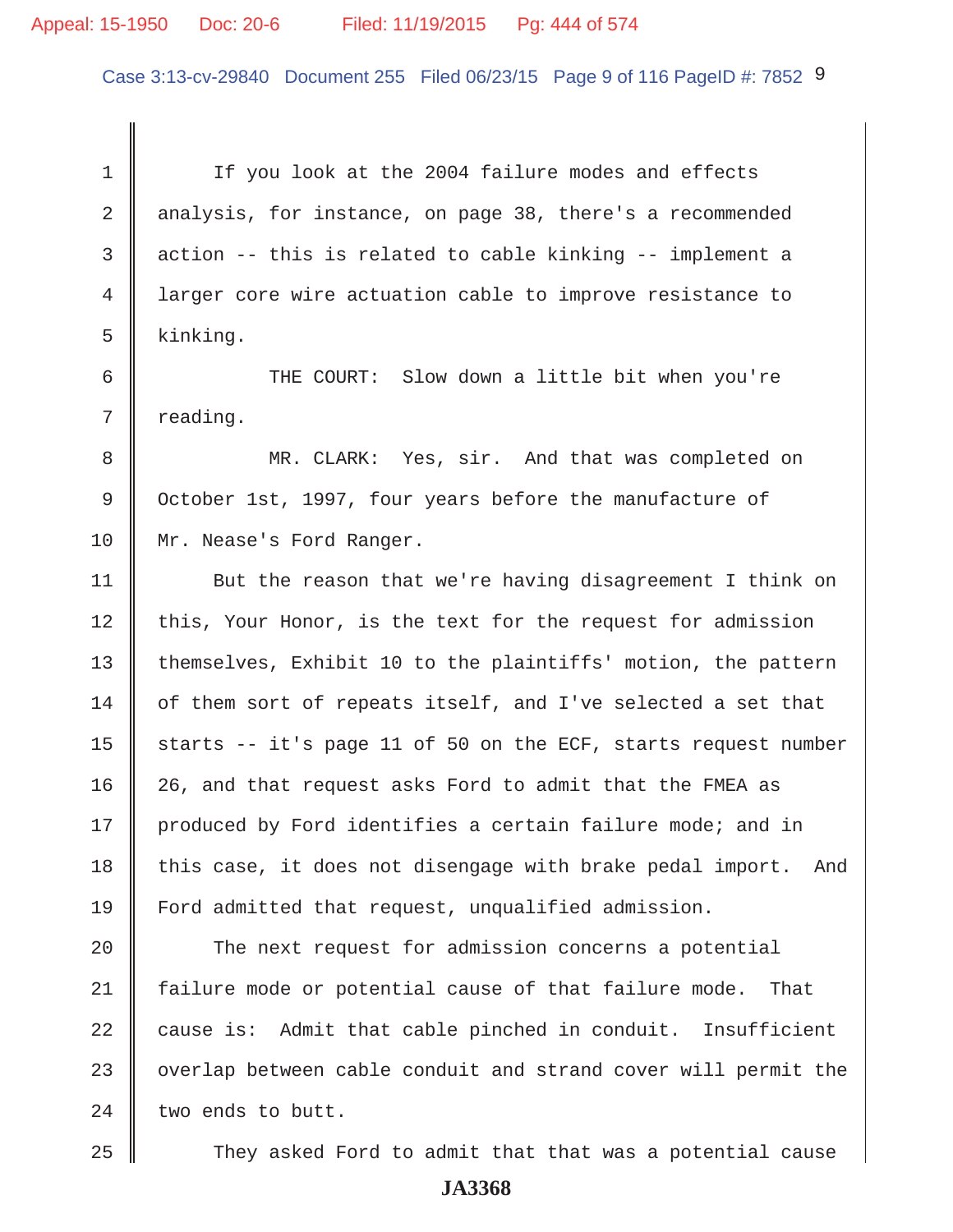## Appeal: 15-1950 Doc: 20-6 Filed: 11/19/2015 Pg: 444 of 574

Case 3:13-cv-29840 Document 255 Filed 06/23/15 Page 9 of 116 PageID #: 7852 9

1 | If you look at the 2004 failure modes and effects 2 analysis, for instance, on page 38, there's a recommended  $3 \parallel$  action -- this is related to cable kinking -- implement a 4 larger core wire actuation cable to improve resistance to  $5 \parallel$  kinking.

6 || THE COURT: Slow down a little bit when you're  $7 \parallel$  reading.

8 MR. CLARK: Yes, sir. And that was completed on 9 October 1st, 1997, four years before the manufacture of 10 | Mr. Nease's Ford Ranger.

11 | But the reason that we're having disagreement I think on  $12$  this, Your Honor, is the text for the request for admission 13 | themselves, Exhibit 10 to the plaintiffs' motion, the pattern  $14$  of them sort of repeats itself, and I've selected a set that 15  $\parallel$  starts -- it's page 11 of 50 on the ECF, starts request number 16 | 26, and that request asks Ford to admit that the FMEA as 17 || produced by Ford identifies a certain failure mode; and in 18 this case, it does not disengage with brake pedal import. And 19 Ford admitted that request, unqualified admission.

20 The next request for admission concerns a potential 21 failure mode or potential cause of that failure mode. That 22 cause is: Admit that cable pinched in conduit. Insufficient 23 | overlap between cable conduit and strand cover will permit the  $24$  two ends to butt.

25 They asked Ford to admit that that was a potential cause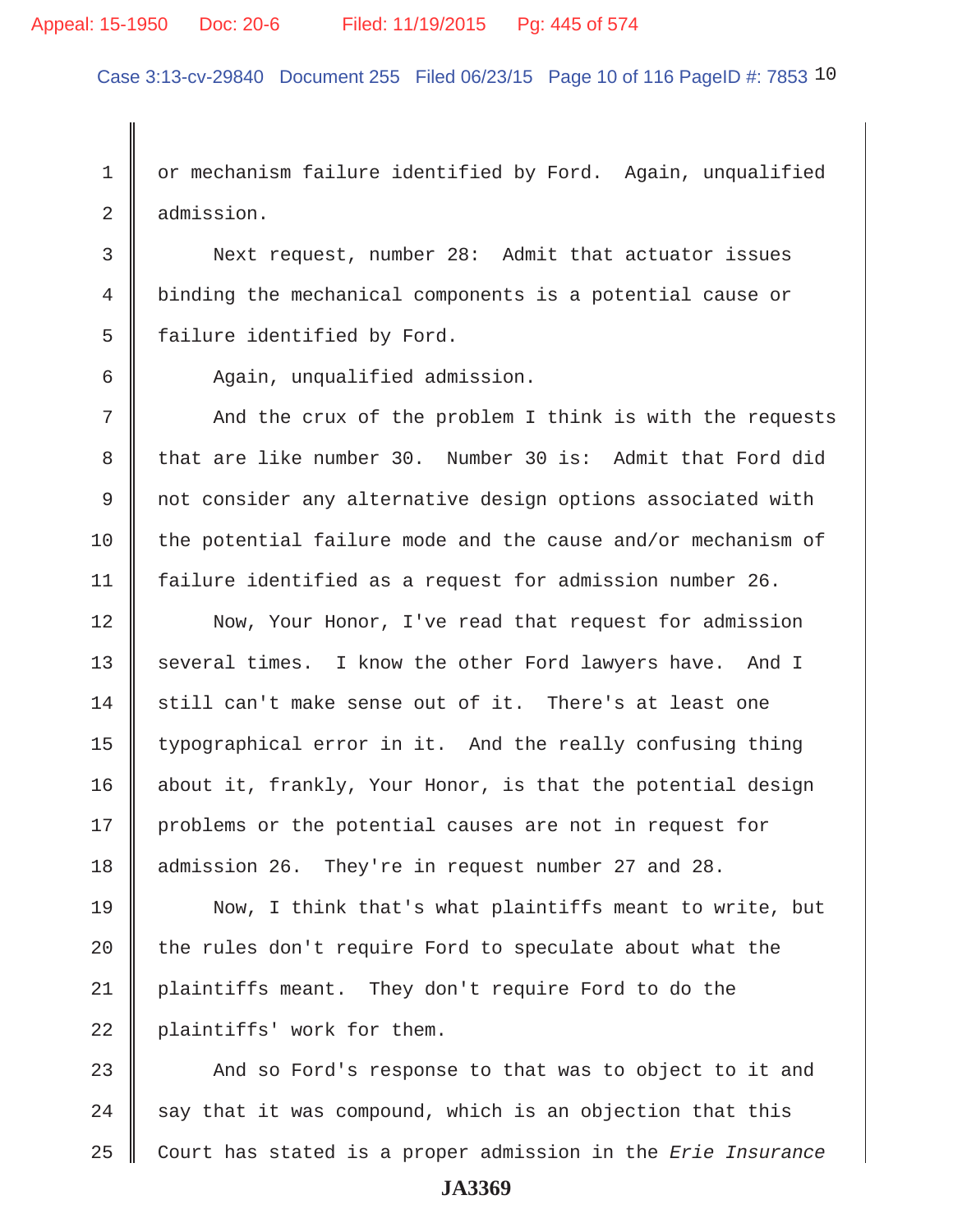## Appeal: 15-1950 Doc: 20-6 Filed: 11/19/2015 Pg: 445 of 574

Case 3:13-cv-29840 Document 255 Filed 06/23/15 Page 10 of 116 PageID #: 7853 10

1 or mechanism failure identified by Ford. Again, unqualified 2 admission.

 3 Next request, number 28: Admit that actuator issues 4 binding the mechanical components is a potential cause or  $5$  | failure identified by Ford.

6 Again, unqualified admission.

7 The Sand the crux of the problem I think is with the requests 8 that are like number 30. Number 30 is: Admit that Ford did 9 not consider any alternative design options associated with 10 the potential failure mode and the cause and/or mechanism of 11 failure identified as a request for admission number 26.

12 Now, Your Honor, I've read that request for admission 13 several times. I know the other Ford lawyers have. And I 14  $\parallel$  still can't make sense out of it. There's at least one 15 | typographical error in it. And the really confusing thing 16 about it, frankly, Your Honor, is that the potential design 17 problems or the potential causes are not in request for 18 admission 26. They're in request number 27 and 28.

19 Now, I think that's what plaintiffs meant to write, but 20  $\parallel$  the rules don't require Ford to speculate about what the 21 plaintiffs meant. They don't require Ford to do the 22 plaintiffs' work for them.

23  $\parallel$  And so Ford's response to that was to object to it and  $24$  say that it was compound, which is an objection that this 25 Court has stated is a proper admission in the *Erie Insurance*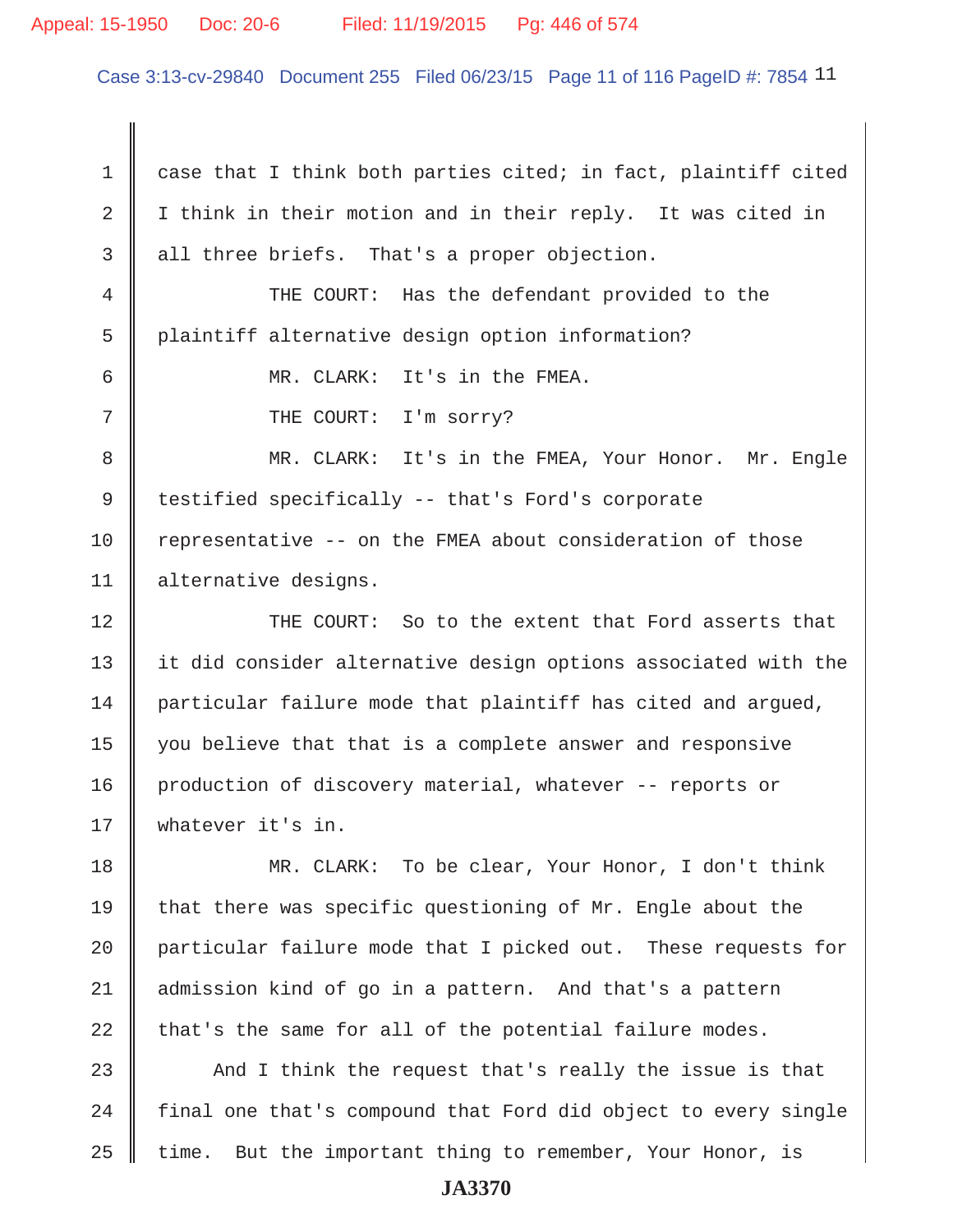#### Appeal: 15-1950 Doc: 20-6 Filed: 11/19/2015 Pg: 446 of 574

Case 3:13-cv-29840 Document 255 Filed 06/23/15 Page 11 of 116 PageID #: 7854 11

 $1 \parallel$  case that I think both parties cited; in fact, plaintiff cited 2 | I think in their motion and in their reply. It was cited in  $3 \parallel$  all three briefs. That's a proper objection.

 4 THE COURT: Has the defendant provided to the 5 plaintiff alternative design option information?

6 MR. CLARK: It's in the FMEA.

7 || THE COURT: I'm sorry?

8 || MR. CLARK: It's in the FMEA, Your Honor. Mr. Engle 9 testified specifically -- that's Ford's corporate 10 Tepresentative -- on the FMEA about consideration of those 11 alternative designs.

12 **THE COURT:** So to the extent that Ford asserts that 13 it did consider alternative design options associated with the 14 particular failure mode that plaintiff has cited and arqued, 15 | you believe that that is a complete answer and responsive 16 production of discovery material, whatever -- reports or 17 Whatever it's in.

18 MR. CLARK: To be clear, Your Honor, I don't think 19 that there was specific questioning of Mr. Engle about the 20 | particular failure mode that I picked out. These requests for 21 admission kind of go in a pattern. And that's a pattern 22 that's the same for all of the potential failure modes.

23  $\parallel$  And I think the request that's really the issue is that  $24$  | final one that's compound that Ford did object to every single  $25$  time. But the important thing to remember, Your Honor, is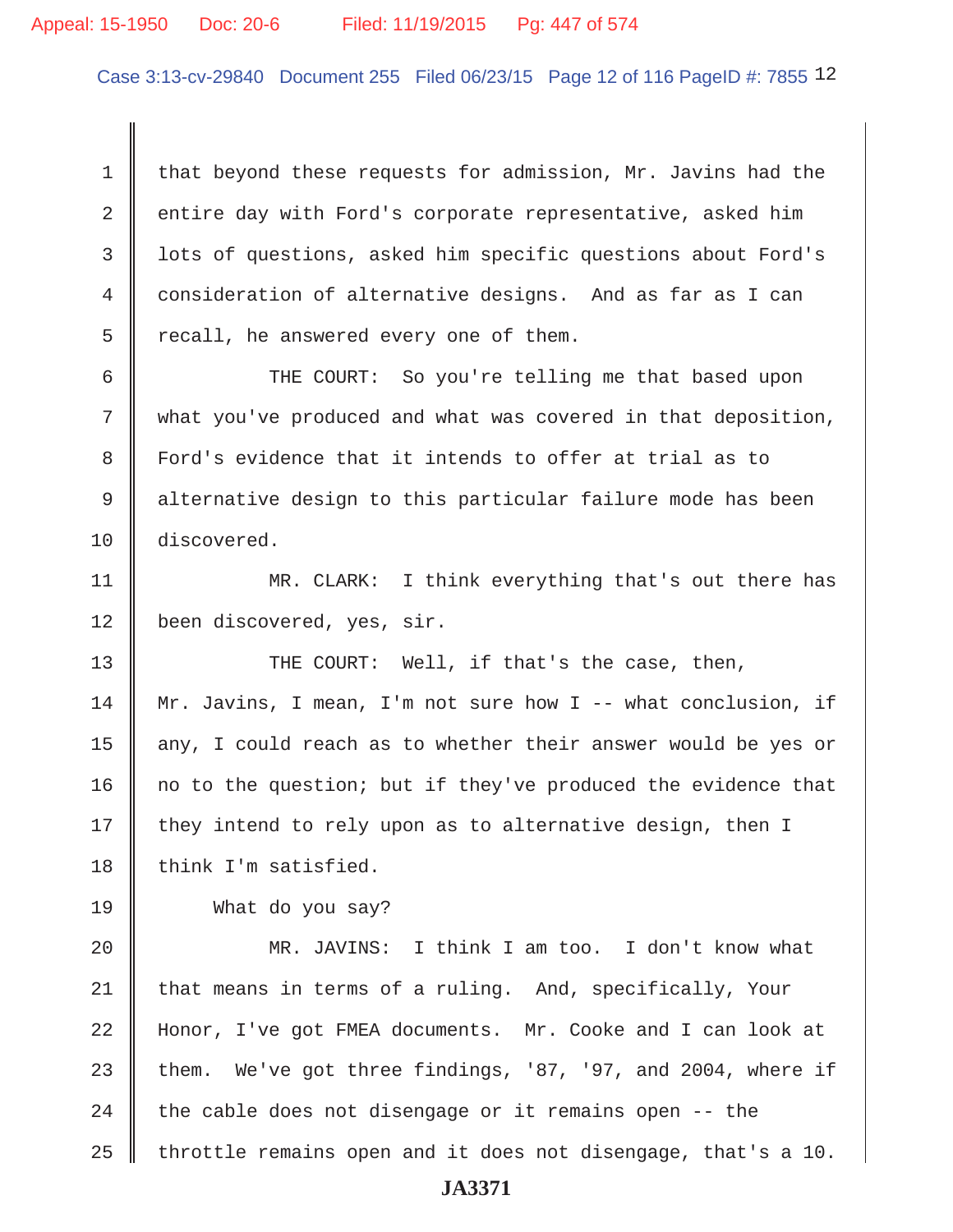#### Appeal: 15-1950 Doc: 20-6 Filed: 11/19/2015 Pg: 447 of 574

Case 3:13-cv-29840 Document 255 Filed 06/23/15 Page 12 of 116 PageID #: 7855 12

1 that beyond these requests for admission, Mr. Javins had the 2 cntire day with Ford's corporate representative, asked him 3 lots of questions, asked him specific questions about Ford's 4 consideration of alternative designs. And as far as I can  $5 \parallel$  recall, he answered every one of them.

 6 THE COURT: So you're telling me that based upon 7 what you've produced and what was covered in that deposition, 8 Ford's evidence that it intends to offer at trial as to 9 alternative design to this particular failure mode has been 10 discovered.

11 || MR. CLARK: I think everything that's out there has 12 | been discovered, yes, sir.

13 THE COURT: Well, if that's the case, then, 14 Mr. Javins, I mean, I'm not sure how I -- what conclusion, if 15  $\parallel$  any, I could reach as to whether their answer would be yes or 16 | no to the question; but if they've produced the evidence that  $17$  they intend to rely upon as to alternative design, then I  $18$  | think I'm satisfied.

19 What do you say?

20 MR. JAVINS: I think I am too. I don't know what 21 that means in terms of a ruling. And, specifically, Your 22 Honor, I've got FMEA documents. Mr. Cooke and I can look at 23 them. We've got three findings, '87, '97, and 2004, where if 24 the cable does not disengage or it remains open  $-$  the 25  $\parallel$  throttle remains open and it does not disengage, that's a 10.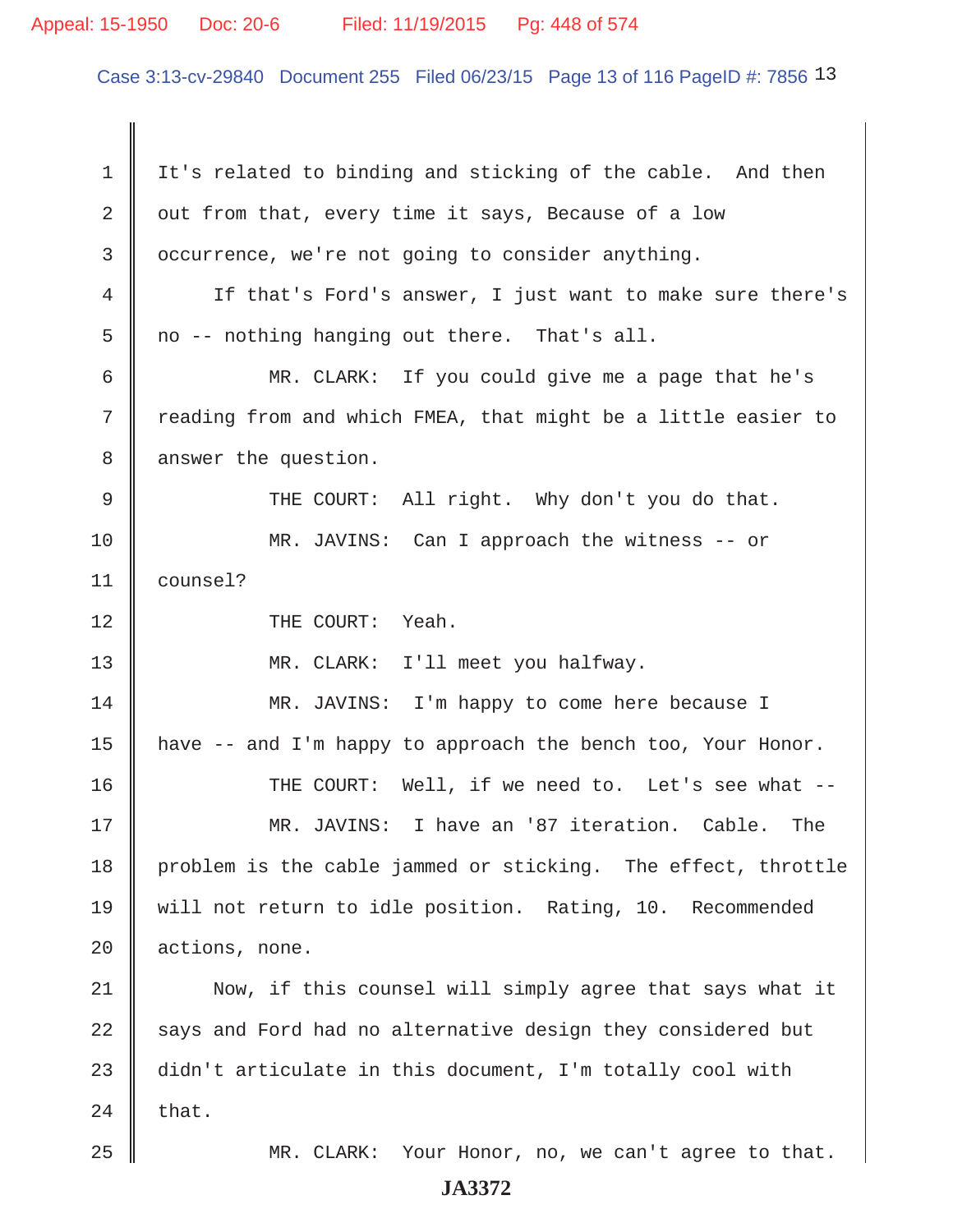#### Appeal: 15-1950 Doc: 20-6 Filed: 11/19/2015 Pg: 448 of 574

Case 3:13-cv-29840 Document 255 Filed 06/23/15 Page 13 of 116 PageID #: 7856 13

1 It's related to binding and sticking of the cable. And then  $2 \parallel$  out from that, every time it says, Because of a low 3 cccurrence, we're not going to consider anything. 4 If that's Ford's answer, I just want to make sure there's  $5 \parallel$  no -- nothing hanging out there. That's all. 6 MR. CLARK: If you could give me a page that he's 7 Treading from and which FMEA, that might be a little easier to 8 | answer the question. 9 || THE COURT: All right. Why don't you do that. 10 MR. JAVINS: Can I approach the witness -- or 11 counsel? 12 || THE COURT: Yeah. 13 || MR. CLARK: I'll meet you halfway. 14 MR. JAVINS: I'm happy to come here because I 15 | have  $-$  and I'm happy to approach the bench too, Your Honor. 16 THE COURT: Well, if we need to. Let's see what -- 17 MR. JAVINS: I have an '87 iteration. Cable. The 18 problem is the cable jammed or sticking. The effect, throttle 19 will not return to idle position. Rating, 10. Recommended 20 actions, none. 21 | Now, if this counsel will simply agree that says what it  $22$  says and Ford had no alternative design they considered but 23  $\parallel$  didn't articulate in this document, I'm totally cool with  $24$  that. 25 MR. CLARK: Your Honor, no, we can't agree to that.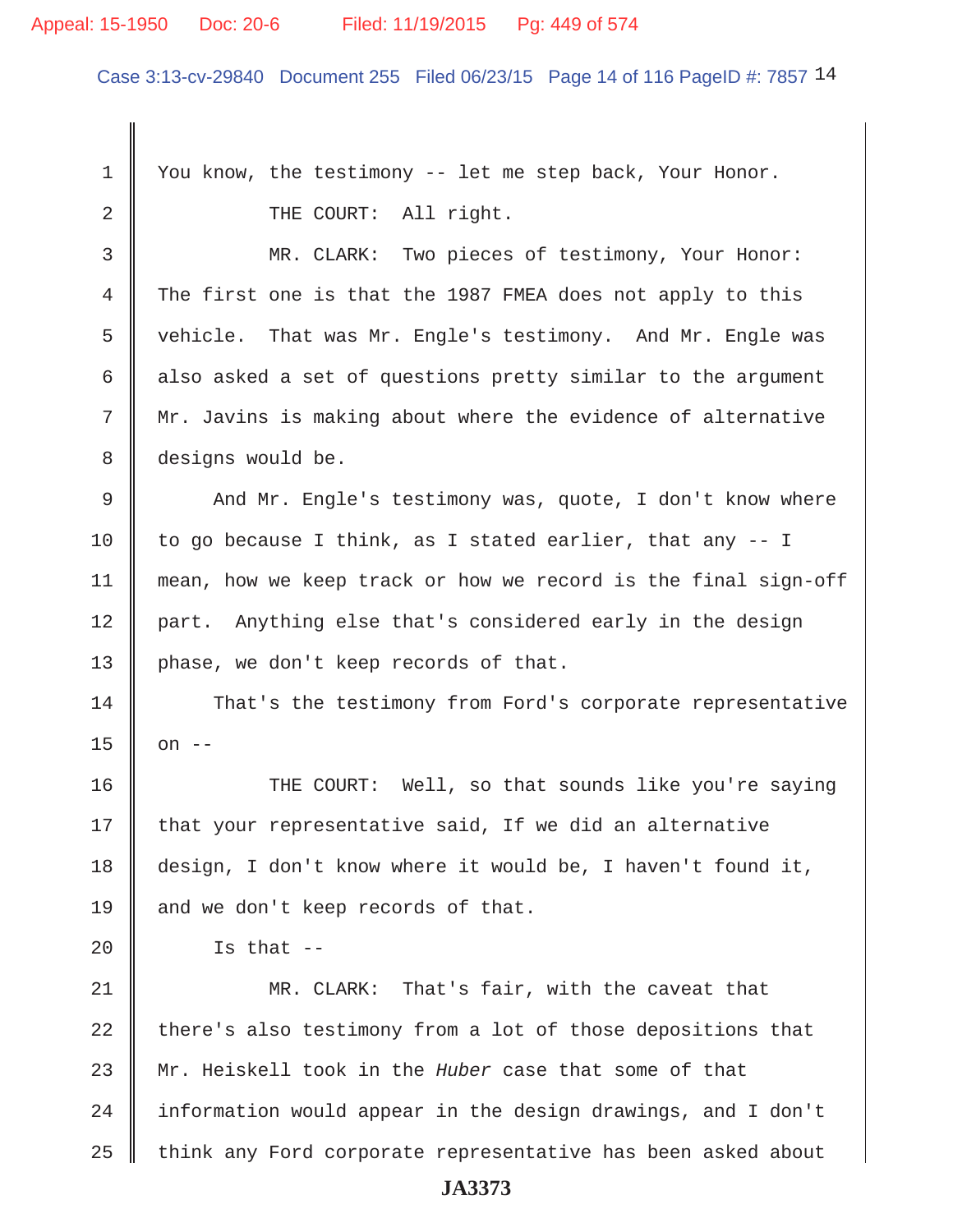#### Appeal: 15-1950 Doc: 20-6 Filed: 11/19/2015 Pg: 449 of 574

Case 3:13-cv-29840 Document 255 Filed 06/23/15 Page 14 of 116 PageID #: 7857 14

 1 You know, the testimony -- let me step back, Your Honor. 2 || THE COURT: All right. 3 MR. CLARK: Two pieces of testimony, Your Honor: 4 The first one is that the 1987 FMEA does not apply to this 5 | vehicle. That was Mr. Engle's testimony. And Mr. Engle was 6 also asked a set of questions pretty similar to the argument 7 Mr. Javins is making about where the evidence of alternative 8 designs would be. 9 And Mr. Engle's testimony was, quote, I don't know where 10 to go because I think, as I stated earlier, that any  $-$ - I 11 mean, how we keep track or how we record is the final sign-off 12 part. Anything else that's considered early in the design 13 | phase, we don't keep records of that. 14 That's the testimony from Ford's corporate representative  $15 \parallel$  on  $-$ 16 THE COURT: Well, so that sounds like you're saying  $17$  that your representative said, If we did an alternative 18 design, I don't know where it would be, I haven't found it, 19 and we don't keep records of that. 20  $\parallel$  Is that --

21 MR. CLARK: That's fair, with the caveat that  $22$  there's also testimony from a lot of those depositions that 23 Mr. Heiskell took in the *Huber* case that some of that 24 | information would appear in the design drawings, and I don't 25 | think any Ford corporate representative has been asked about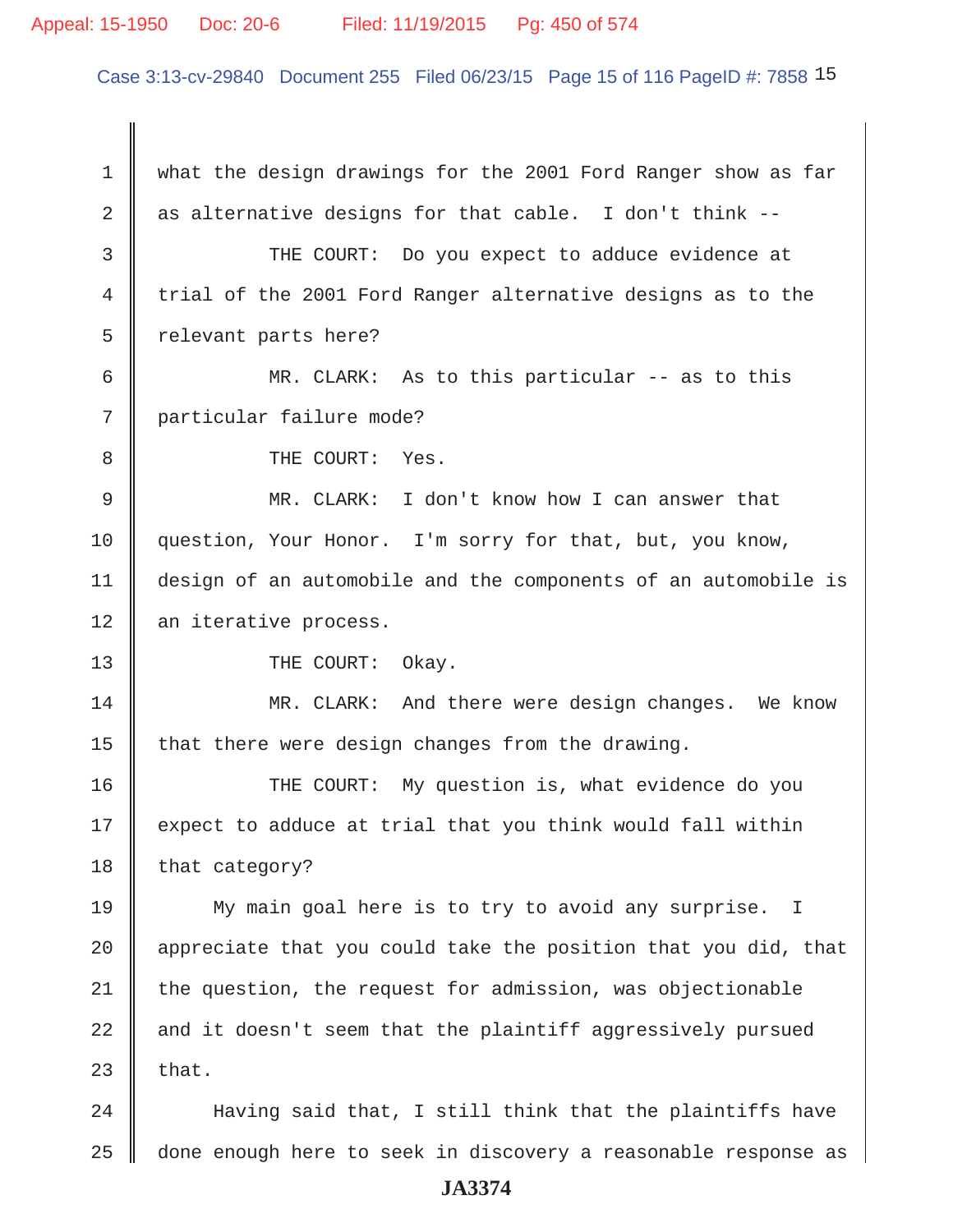#### Appeal: 15-1950 Doc: 20-6 Filed: 11/19/2015 Pg: 450 of 574

Case 3:13-cv-29840 Document 255 Filed 06/23/15 Page 15 of 116 PageID #: 7858 15

 1 what the design drawings for the 2001 Ford Ranger show as far 2 as alternative designs for that cable. I don't think --3 THE COURT: Do you expect to adduce evidence at 4 trial of the 2001 Ford Ranger alternative designs as to the  $5 \parallel$  relevant parts here? 6  $\parallel$  MR. CLARK: As to this particular -- as to this 7 particular failure mode? 8 **8** THE COURT: Yes. 9 MR. CLARK: I don't know how I can answer that 10 | question, Your Honor. I'm sorry for that, but, you know, 11 design of an automobile and the components of an automobile is 12 an iterative process. 13 || THE COURT: Okay. 14 MR. CLARK: And there were design changes. We know 15  $\parallel$  that there were design changes from the drawing. 16 THE COURT: My question is, what evidence do you  $17$  expect to adduce at trial that you think would fall within 18 that category? 19 My main goal here is to try to avoid any surprise. I 20  $\parallel$  appreciate that you could take the position that you did, that  $21$  the question, the request for admission, was objectionable  $22$   $\parallel$  and it doesn't seem that the plaintiff aggressively pursued 23  $\parallel$  that.  $24$   $\parallel$  Having said that, I still think that the plaintiffs have

25 | done enough here to seek in discovery a reasonable response as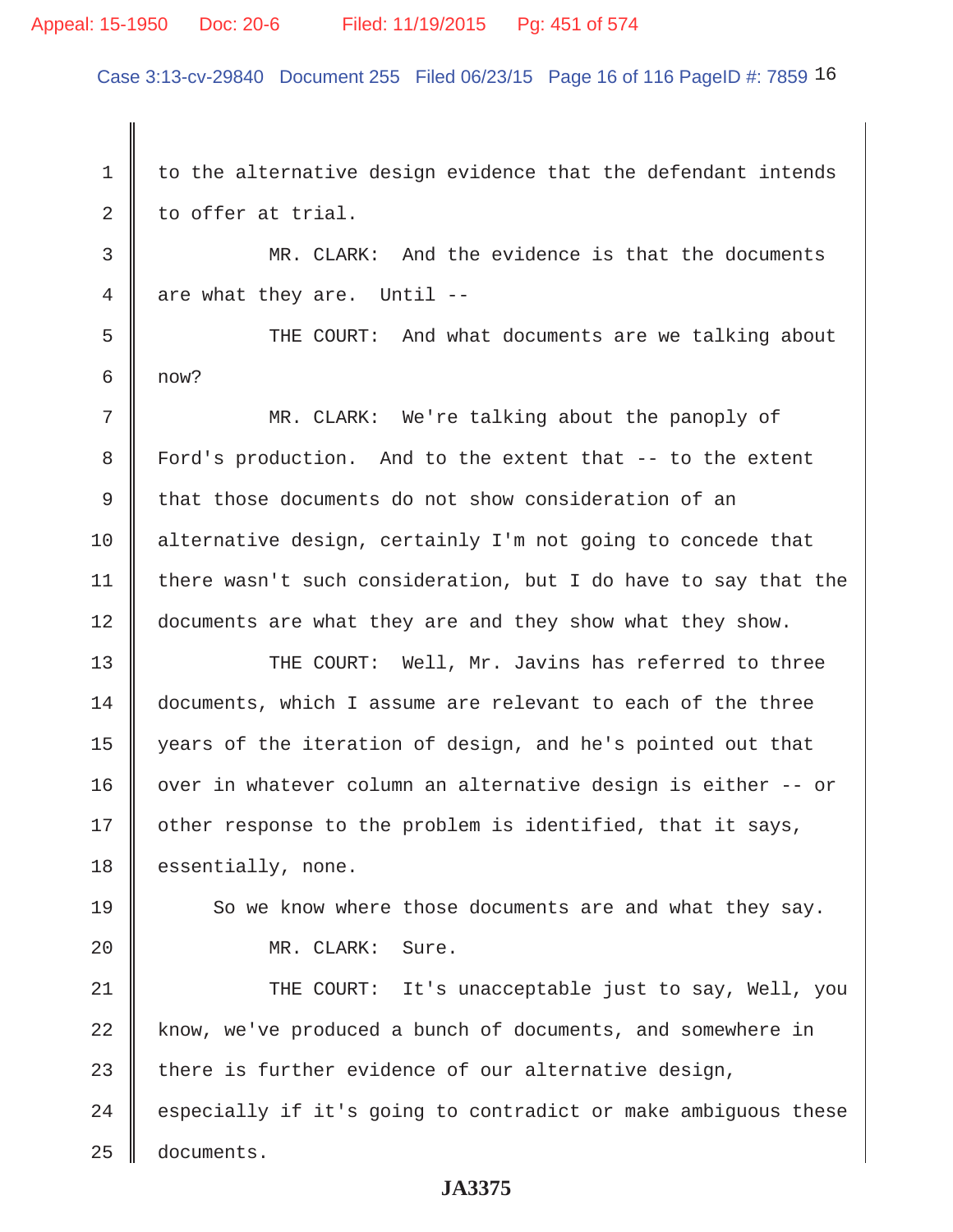## Appeal: 15-1950 Doc: 20-6 Filed: 11/19/2015 Pg: 451 of 574

Case 3:13-cv-29840 Document 255 Filed 06/23/15 Page 16 of 116 PageID #: 7859 16

1 to the alternative design evidence that the defendant intends  $2 \parallel$  to offer at trial. 3 MR. CLARK: And the evidence is that the documents  $4 \parallel$  are what they are. Until --5 Supersum THE COURT: And what documents are we talking about  $6 \parallel$  now? 7 MR. CLARK: We're talking about the panoply of 8 Ford's production. And to the extent that -- to the extent 9 that those documents do not show consideration of an 10 alternative design, certainly I'm not going to concede that 11 | there wasn't such consideration, but I do have to say that the 12 documents are what they are and they show what they show. 13 THE COURT: Well, Mr. Javins has referred to three 14 documents, which I assume are relevant to each of the three 15 years of the iteration of design, and he's pointed out that 16 | over in whatever column an alternative design is either -- or 17 | other response to the problem is identified, that it says, 18 | essentially, none. 19 So we know where those documents are and what they say. 20 || MR. CLARK: Sure. 21 THE COURT: It's unacceptable just to say, Well, you 22 know, we've produced a bunch of documents, and somewhere in 23 there is further evidence of our alternative design,  $24$   $\parallel$  especially if it's going to contradict or make ambiguous these 25 documents.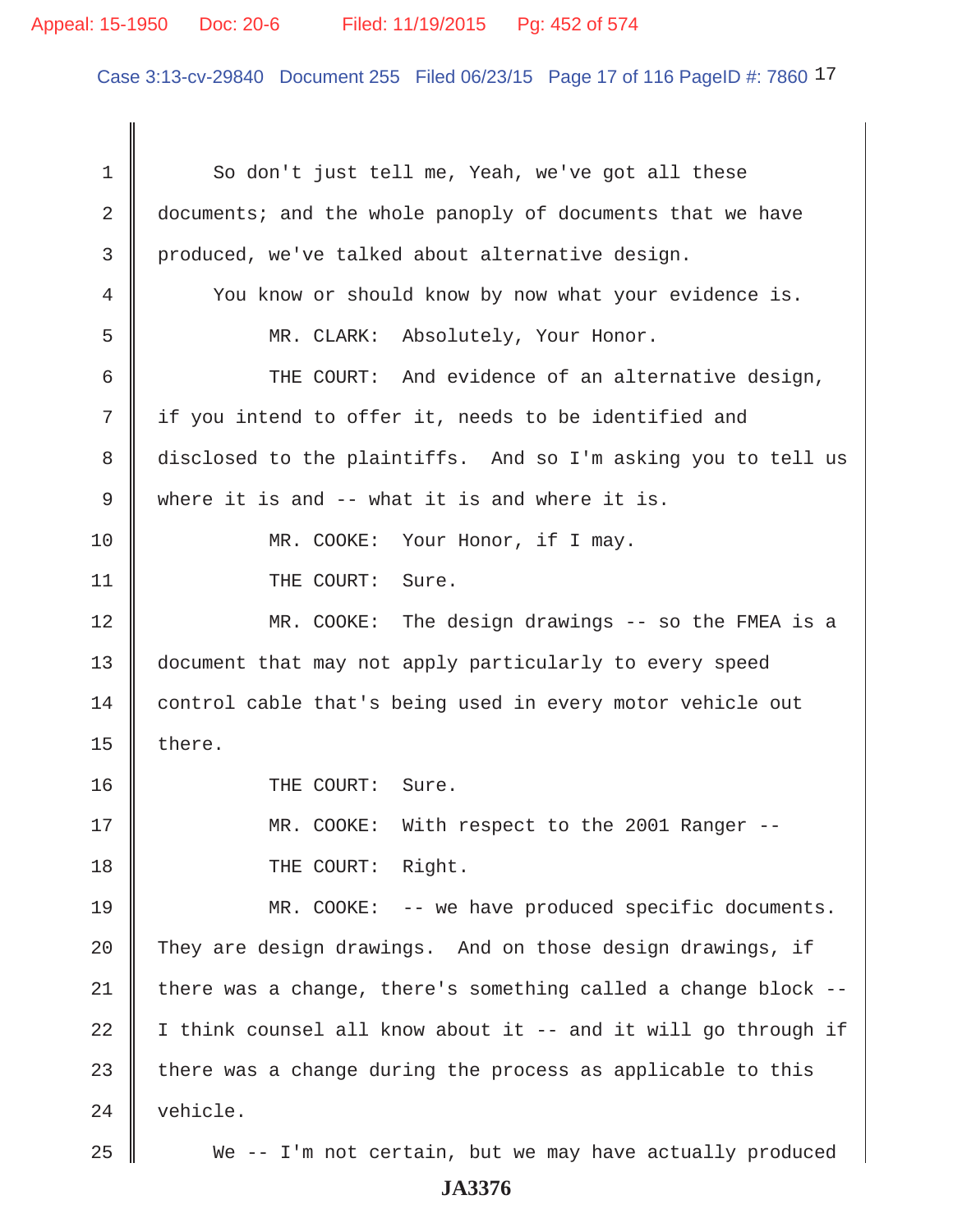## Appeal: 15-1950 Doc: 20-6 Filed: 11/19/2015 Pg: 452 of 574

Case 3:13-cv-29840 Document 255 Filed 06/23/15 Page 17 of 116 PageID #: 7860 17

1 So don't just tell me, Yeah, we've got all these 2 documents; and the whole panoply of documents that we have 3 produced, we've talked about alternative design. 4 You know or should know by now what your evidence is. 5 MR. CLARK: Absolutely, Your Honor.  $6$   $\parallel$  THE COURT: And evidence of an alternative design, 7 if you intend to offer it, needs to be identified and 8 disclosed to the plaintiffs. And so I'm asking you to tell us 9 Where it is and  $-$  what it is and where it is. 10 || MR. COOKE: Your Honor, if I may. 11 | THE COURT: Sure. 12 MR. COOKE: The design drawings -- so the FMEA is a 13 document that may not apply particularly to every speed 14 control cable that's being used in every motor vehicle out 15  $\parallel$  there. 16 || THE COURT: Sure. 17 || MR. COOKE: With respect to the 2001 Ranger --18 || THE COURT: Right. 19 MR. COOKE: -- we have produced specific documents. 20  $\parallel$  They are design drawings. And on those design drawings, if 21  $\parallel$  there was a change, there's something called a change block -- $22$  | I think counsel all know about it -- and it will go through if 23  $\parallel$  there was a change during the process as applicable to this 24 vehicle. 25 We -- I'm not certain, but we may have actually produced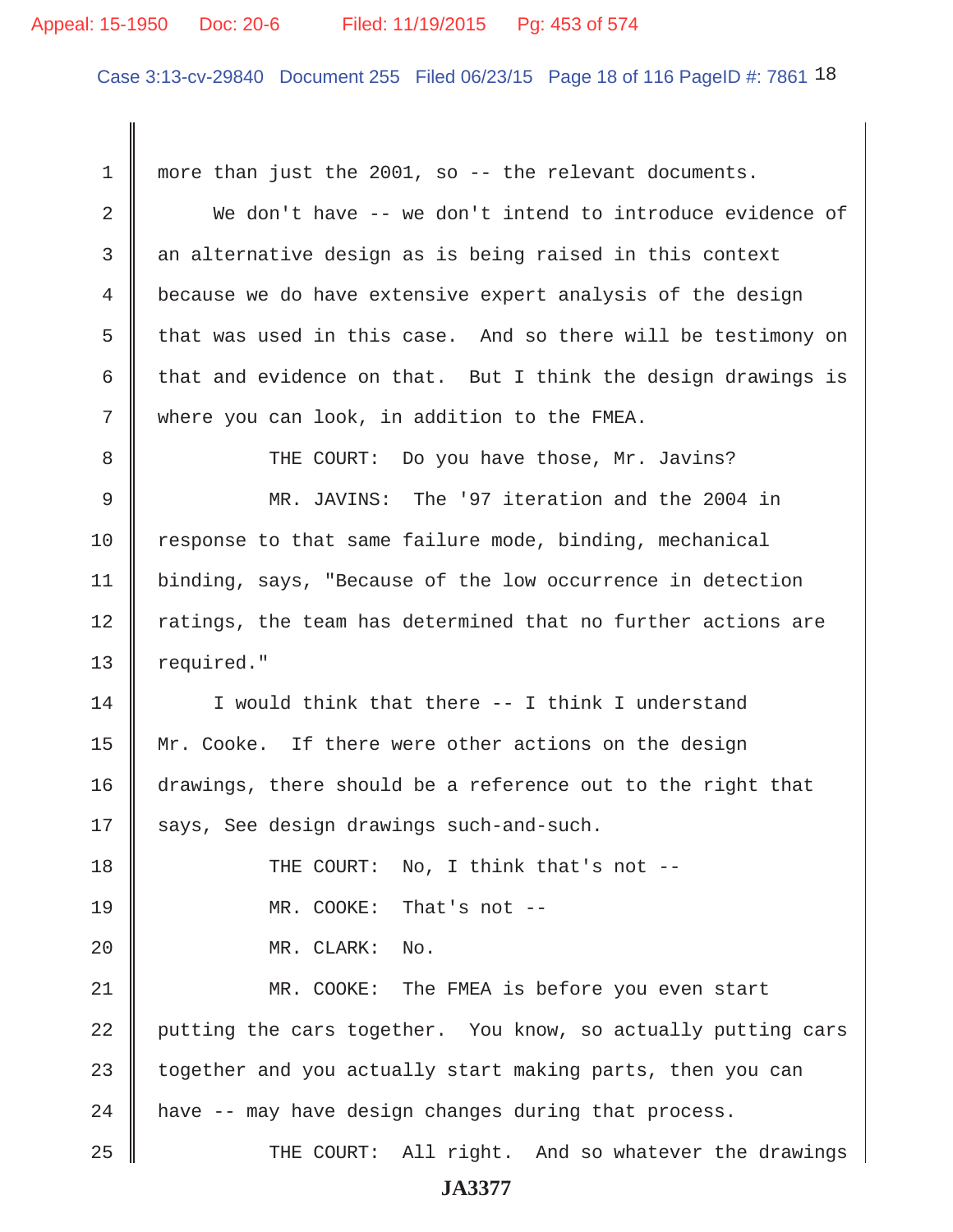#### Appeal: 15-1950 Doc: 20-6 Filed: 11/19/2015 Pg: 453 of 574

Case 3:13-cv-29840 Document 255 Filed 06/23/15 Page 18 of 116 PageID #: 7861 18

 1 more than just the 2001, so -- the relevant documents. 2 We don't have -- we don't intend to introduce evidence of  $3$  an alternative design as is being raised in this context 4 because we do have extensive expert analysis of the design 5  $\parallel$  that was used in this case. And so there will be testimony on 6 that and evidence on that. But I think the design drawings is 7 Where you can look, in addition to the FMEA. 8 THE COURT: Do you have those, Mr. Javins? 9 MR. JAVINS: The '97 iteration and the 2004 in 10 response to that same failure mode, binding, mechanical 11 | binding, says, "Because of the low occurrence in detection  $12$   $\parallel$  ratings, the team has determined that no further actions are 13 | required." 14 I would think that there -- I think I understand 15 | Mr. Cooke. If there were other actions on the design 16 drawings, there should be a reference out to the right that 17 || says, See design drawings such-and-such. 18 **THE COURT:** No, I think that's not --19 MR. COOKE: That's not -- 20 MR. CLARK: No. 21 MR. COOKE: The FMEA is before you even start 22 putting the cars together. You know, so actually putting cars  $23$  together and you actually start making parts, then you can  $24$  | have -- may have design changes during that process. 25 THE COURT: All right. And so whatever the drawings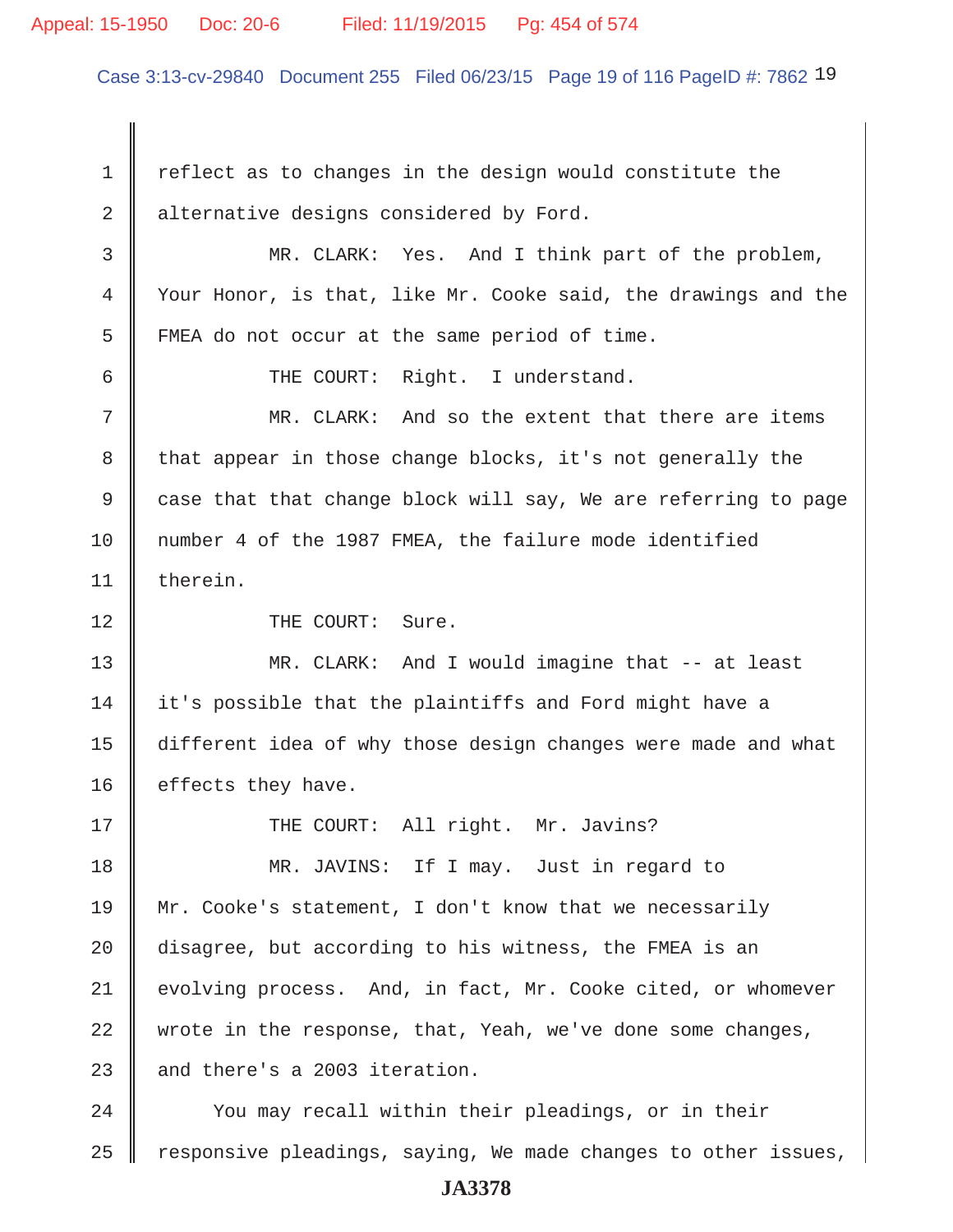#### Appeal: 15-1950 Doc: 20-6 Filed: 11/19/2015 Pg: 454 of 574

Case 3:13-cv-29840 Document 255 Filed 06/23/15 Page 19 of 116 PageID #: 7862 19

 $1 \parallel$  reflect as to changes in the design would constitute the  $2 \parallel$  alternative designs considered by Ford.

 3 MR. CLARK: Yes. And I think part of the problem, 4 Your Honor, is that, like Mr. Cooke said, the drawings and the 5 FMEA do not occur at the same period of time.

6 || THE COURT: Right. I understand.

 7 MR. CLARK: And so the extent that there are items 8 that appear in those change blocks, it's not generally the 9  $\parallel$  case that that change block will say, We are referring to page 10 number 4 of the 1987 FMEA, the failure mode identified 11 therein.

12 || THE COURT: Sure.

13 MR. CLARK: And I would imagine that -- at least 14 it's possible that the plaintiffs and Ford might have a 15 different idea of why those design changes were made and what 16 | effects they have.

17 || THE COURT: All right. Mr. Javins?

18 MR. JAVINS: If I may. Just in regard to 19 Mr. Cooke's statement, I don't know that we necessarily 20 disagree, but according to his witness, the FMEA is an 21 evolving process. And, in fact, Mr. Cooke cited, or whomever 22 wrote in the response, that, Yeah, we've done some changes, 23  $\parallel$  and there's a 2003 iteration.

24 Vou may recall within their pleadings, or in their 25 Tesponsive pleadings, saying, We made changes to other issues,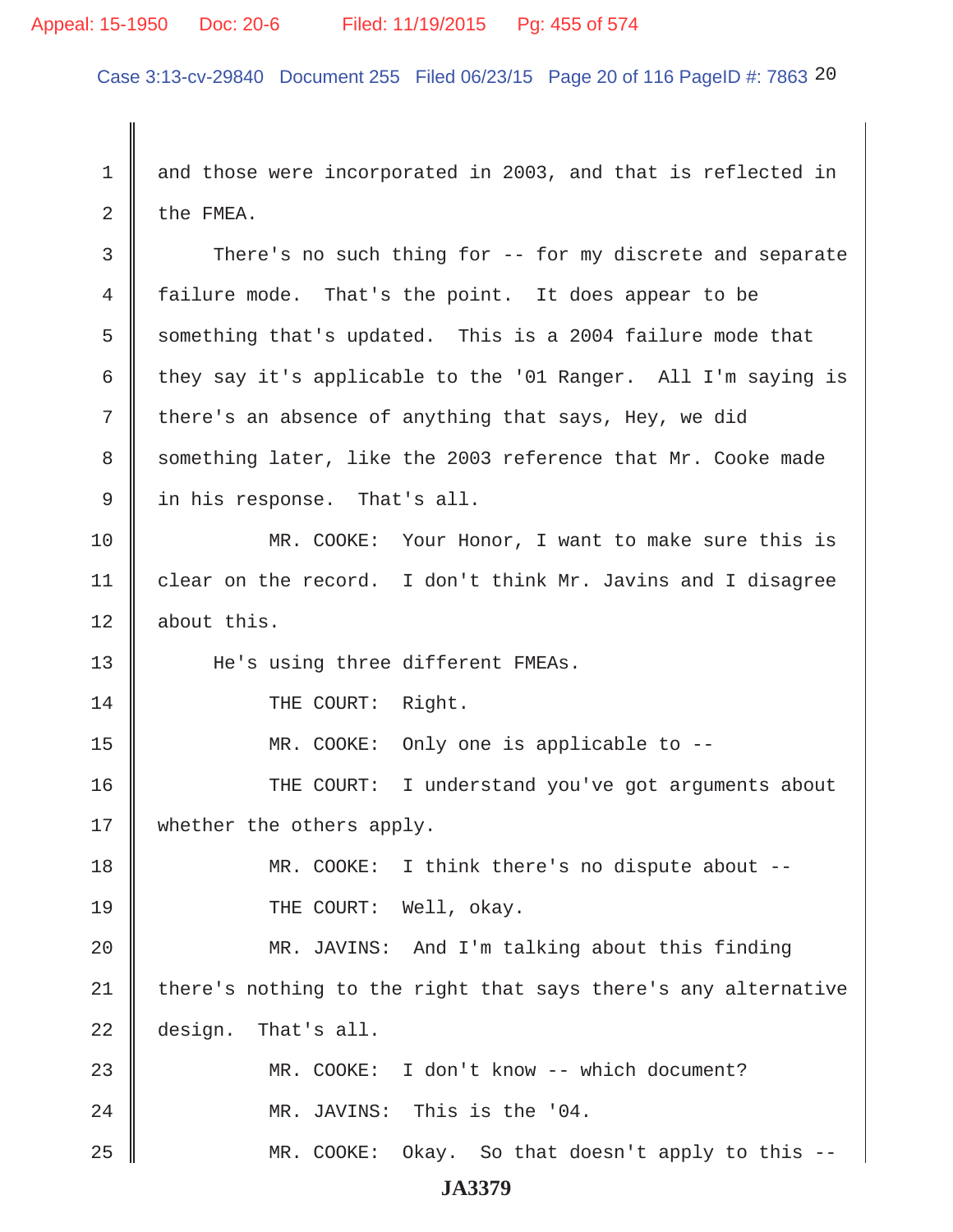## Appeal: 15-1950 Doc: 20-6 Filed: 11/19/2015 Pg: 455 of 574

Case 3:13-cv-29840 Document 255 Filed 06/23/15 Page 20 of 116 PageID #: 7863 20

1 and those were incorporated in 2003, and that is reflected in 2  $\parallel$  the FMEA.

3 There's no such thing for -- for my discrete and separate 4 failure mode. That's the point. It does appear to be  $5 \parallel$  something that's updated. This is a 2004 failure mode that 6 they say it's applicable to the '01 Ranger. All I'm saying is 7 there's an absence of anything that says, Hey, we did 8 something later, like the 2003 reference that Mr. Cooke made 9 I in his response. That's all.

10 MR. COOKE: Your Honor, I want to make sure this is 11 | clear on the record. I don't think Mr. Javins and I disagree 12 about this.

13 He's using three different FMEAs.

14 || THE COURT: Right.

15 MR. COOKE: Only one is applicable to --

16 THE COURT: I understand you've got arguments about 17 || whether the others apply.

18 MR. COOKE: I think there's no dispute about -- 19 || THE COURT: Well, okay.

20 MR. JAVINS: And I'm talking about this finding  $21$  there's nothing to the right that says there's any alternative 22 design. That's all.

23 MR. COOKE: I don't know -- which document? 24 MR. JAVINS: This is the '04. 25 MR. COOKE: Okay. So that doesn't apply to this --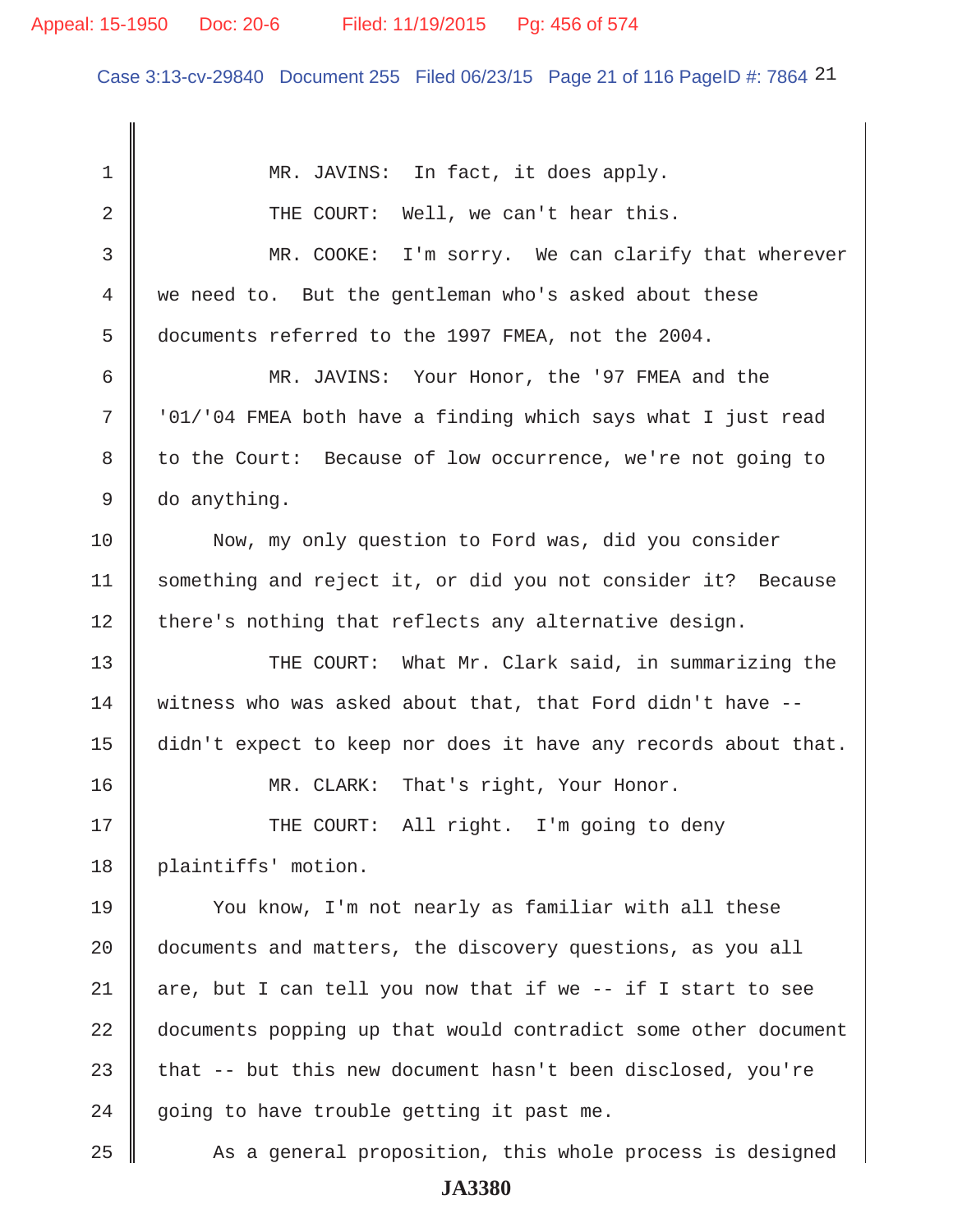## Appeal: 15-1950 Doc: 20-6 Filed: 11/19/2015 Pg: 456 of 574

Case 3:13-cv-29840 Document 255 Filed 06/23/15 Page 21 of 116 PageID #: 7864 21

1 MR. JAVINS: In fact, it does apply. 2 THE COURT: Well, we can't hear this. 3 MR. COOKE: I'm sorry. We can clarify that wherever 4 we need to. But the gentleman who's asked about these 5 documents referred to the 1997 FMEA, not the 2004. 6 MR. JAVINS: Your Honor, the '97 FMEA and the  $7$   $\parallel$   $1/104$  FMEA both have a finding which says what I just read 8 to the Court: Because of low occurrence, we're not going to 9 do anything. 10 Now, my only question to Ford was, did you consider 11 something and reject it, or did you not consider it? Because  $12$  there's nothing that reflects any alternative design. 13 THE COURT: What Mr. Clark said, in summarizing the 14 witness who was asked about that, that Ford didn't have --15 didn't expect to keep nor does it have any records about that. 16 MR. CLARK: That's right, Your Honor. 17 || THE COURT: All right. I'm going to deny 18 | plaintiffs' motion. 19 You know, I'm not nearly as familiar with all these 20 documents and matters, the discovery questions, as you all 21  $\parallel$  are, but I can tell you now that if we -- if I start to see 22 documents popping up that would contradict some other document 23 that  $-$ - but this new document hasn't been disclosed, you're  $24$  | going to have trouble getting it past me. 25 As a general proposition, this whole process is designed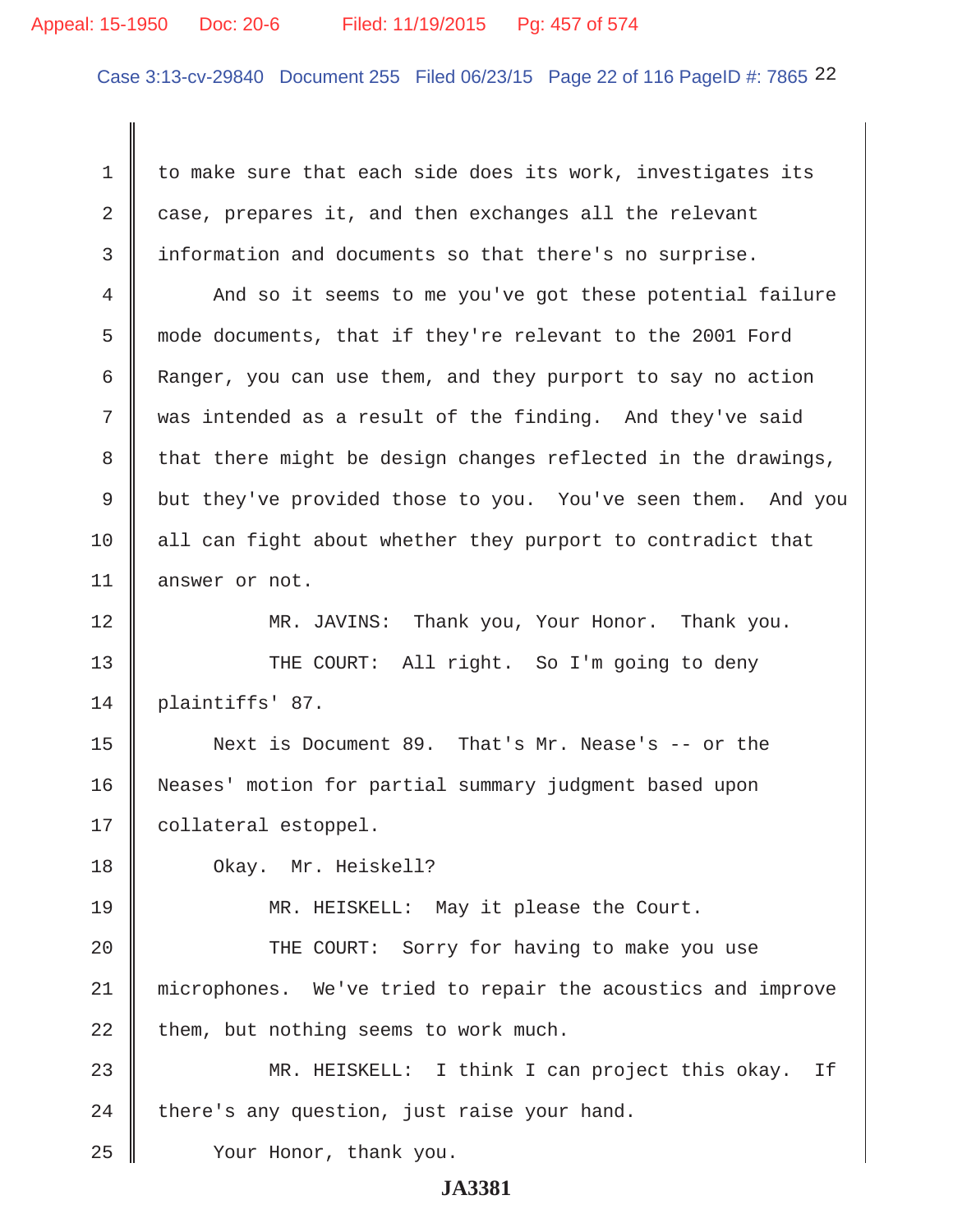## Appeal: 15-1950 Doc: 20-6 Filed: 11/19/2015 Pg: 457 of 574

Case 3:13-cv-29840 Document 255 Filed 06/23/15 Page 22 of 116 PageID #: 7865 22

1 to make sure that each side does its work, investigates its 2 case, prepares it, and then exchanges all the relevant 3 information and documents so that there's no surprise.

4 And so it seems to me you've got these potential failure 5 mode documents, that if they're relevant to the 2001 Ford 6 Ranger, you can use them, and they purport to say no action 7 was intended as a result of the finding. And they've said 8 that there might be design changes reflected in the drawings, 9 but they've provided those to you. You've seen them. And you 10 || all can fight about whether they purport to contradict that 11 answer or not.

12 MR. JAVINS: Thank you, Your Honor. Thank you.

13 THE COURT: All right. So I'm going to deny 14 plaintiffs' 87.

15 Next is Document 89. That's Mr. Nease's -- or the 16 Neases' motion for partial summary judgment based upon 17 | collateral estoppel.

18 Okay. Mr. Heiskell?

19 MR. HEISKELL: May it please the Court.

20 || THE COURT: Sorry for having to make you use 21 microphones. We've tried to repair the acoustics and improve  $22$  | them, but nothing seems to work much.

23 MR. HEISKELL: I think I can project this okay. If  $24$  | there's any question, just raise your hand.

25 **Xour Honor, thank you.**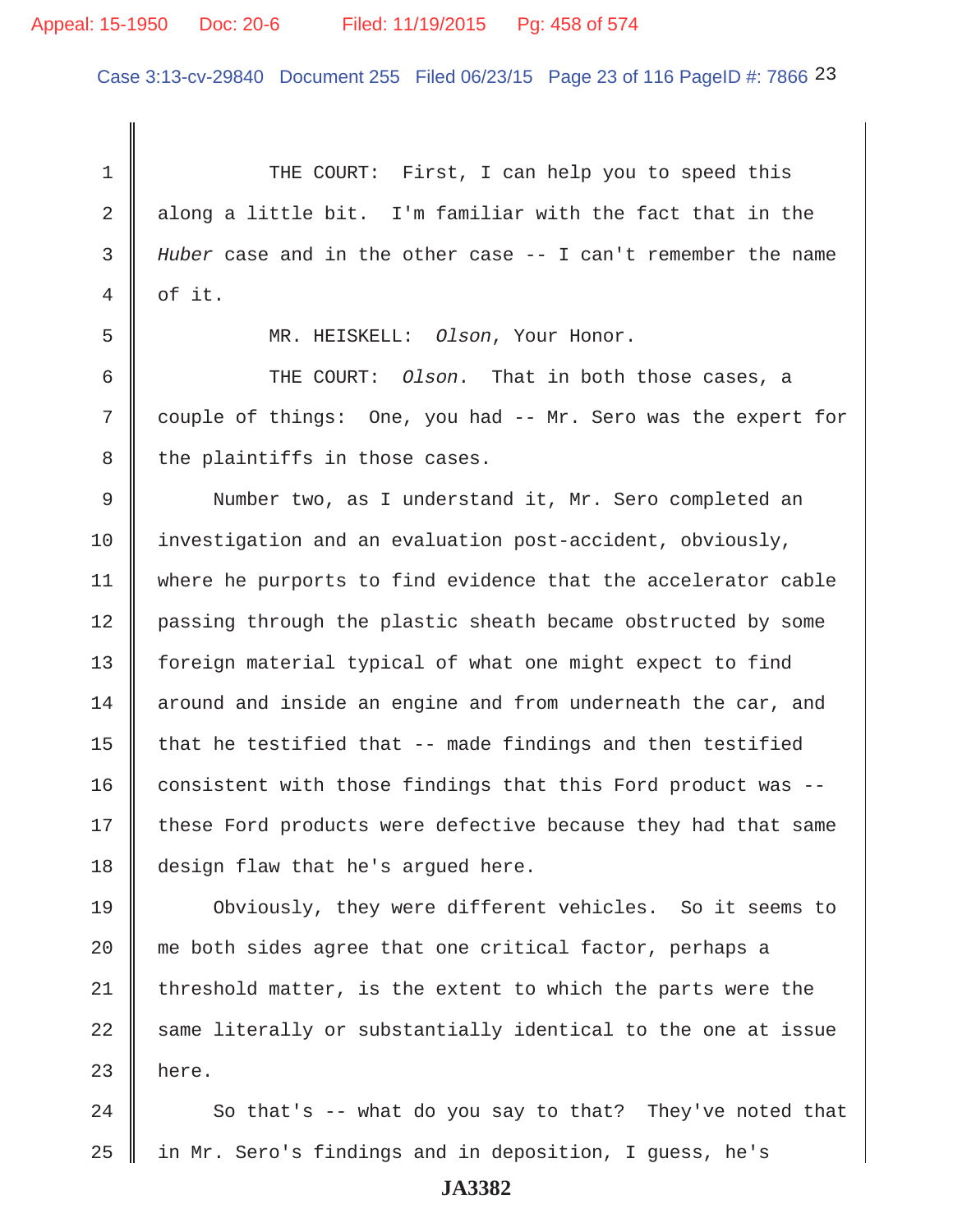## Appeal: 15-1950 Doc: 20-6 Filed: 11/19/2015 Pg: 458 of 574

Case 3:13-cv-29840 Document 255 Filed 06/23/15 Page 23 of 116 PageID #: 7866 23

1 THE COURT: First, I can help you to speed this 2 along a little bit. I'm familiar with the fact that in the 3 *Huber* case and in the other case -- I can't remember the name  $4 \parallel$  of it. 5 MR. HEISKELL: *Olson*, Your Honor. 6 THE COURT: *Olson*. That in both those cases, a 7 couple of things: One, you had -- Mr. Sero was the expert for  $8$  the plaintiffs in those cases. 9 Number two, as I understand it, Mr. Sero completed an 10 investigation and an evaluation post-accident, obviously, 11 | where he purports to find evidence that the accelerator cable 12 passing through the plastic sheath became obstructed by some 13 | foreign material typical of what one might expect to find  $14$  around and inside an engine and from underneath the car, and 15  $\parallel$  that he testified that -- made findings and then testified 16 consistent with those findings that this Ford product was  $-$ -17 these Ford products were defective because they had that same 18 design flaw that he's argued here. 19 Obviously, they were different vehicles. So it seems to 20 || me both sides agree that one critical factor, perhaps a 21 threshold matter, is the extent to which the parts were the  $22$  same literally or substantially identical to the one at issue  $23$  here.

 $24$   $\parallel$  So that's -- what do you say to that? They've noted that 25 in Mr. Sero's findings and in deposition, I guess, he's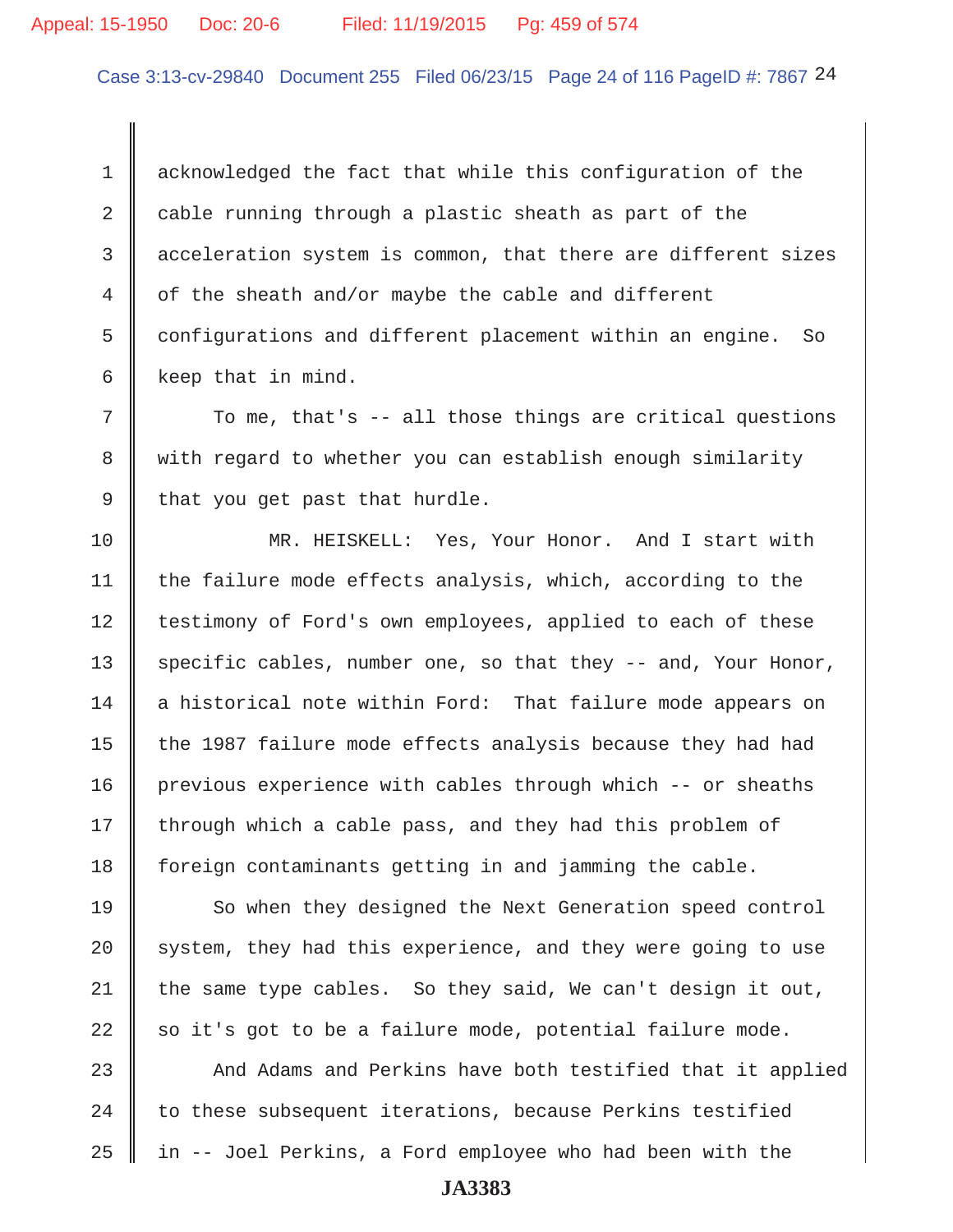## Appeal: 15-1950 Doc: 20-6 Filed: 11/19/2015 Pg: 459 of 574

Case 3:13-cv-29840 Document 255 Filed 06/23/15 Page 24 of 116 PageID #: 7867 24

1 acknowledged the fact that while this configuration of the 2  $\parallel$  cable running through a plastic sheath as part of the 3 acceleration system is common, that there are different sizes 4 of the sheath and/or maybe the cable and different 5 configurations and different placement within an engine. So 6 keep that in mind.

 $7$   $\parallel$  To me, that's -- all those things are critical questions 8 with regard to whether you can establish enough similarity 9 | that you get past that hurdle.

10 MR. HEISKELL: Yes, Your Honor. And I start with 11  $\parallel$  the failure mode effects analysis, which, according to the 12 | testimony of Ford's own employees, applied to each of these 13 specific cables, number one, so that they  $-$  and, Your Honor, 14 a historical note within Ford: That failure mode appears on 15  $\parallel$  the 1987 failure mode effects analysis because they had had 16 previous experience with cables through which -- or sheaths  $17$  through which a cable pass, and they had this problem of 18 foreign contaminants getting in and jamming the cable.

19 So when they designed the Next Generation speed control  $20$  system, they had this experience, and they were going to use 21 the same type cables. So they said, We can't design it out, 22  $\parallel$  so it's got to be a failure mode, potential failure mode.

23 And Adams and Perkins have both testified that it applied  $24$   $\parallel$  to these subsequent iterations, because Perkins testified  $25$  | in -- Joel Perkins, a Ford employee who had been with the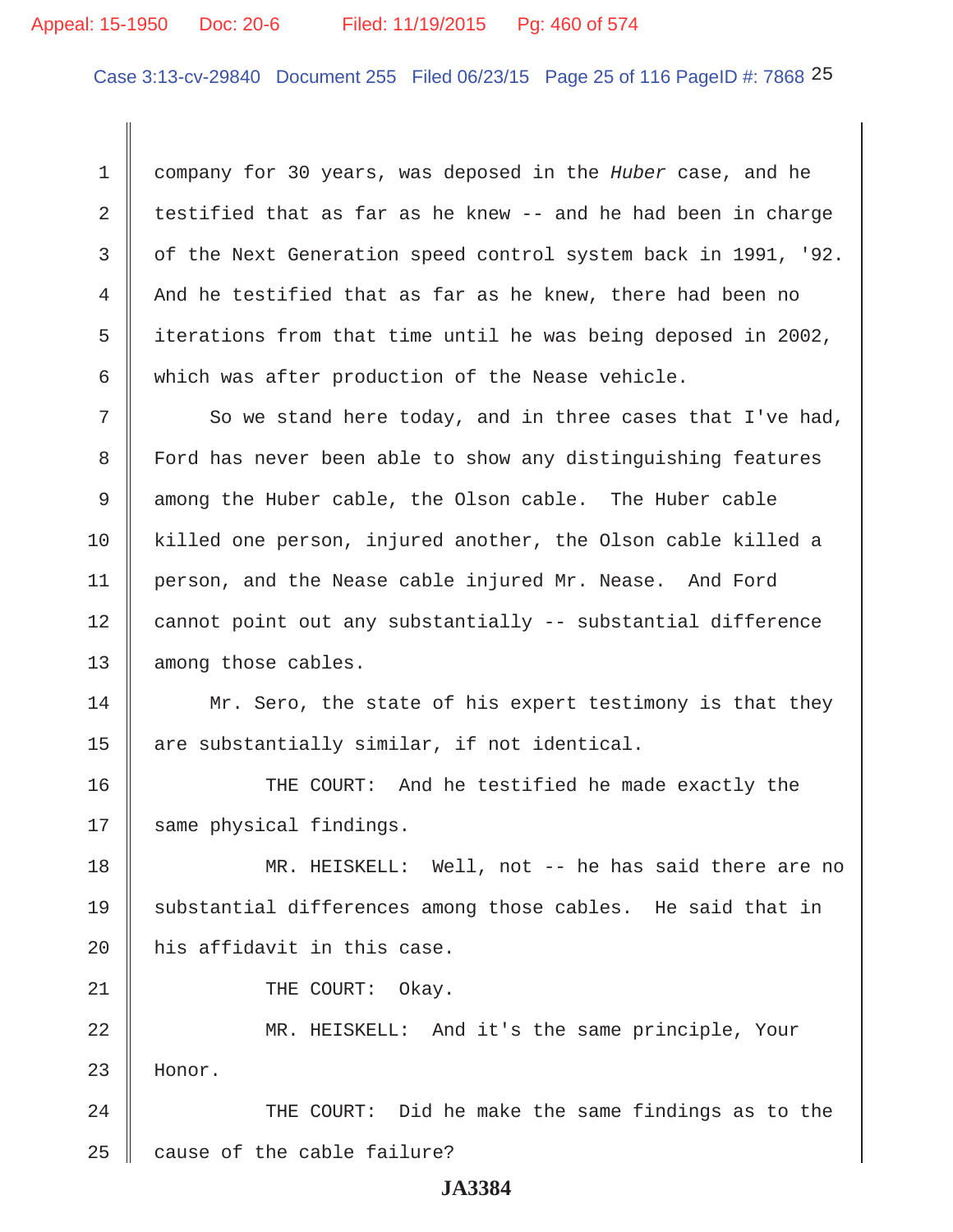## Appeal: 15-1950 Doc: 20-6 Filed: 11/19/2015 Pg: 460 of 574

Case 3:13-cv-29840 Document 255 Filed 06/23/15 Page 25 of 116 PageID #: 7868 25

 1 company for 30 years, was deposed in the *Huber* case, and he 2 testified that as far as he knew  $-$  and he had been in charge 3  $\parallel$  of the Next Generation speed control system back in 1991, '92.  $4 \parallel$  And he testified that as far as he knew, there had been no 5  $\parallel$  iterations from that time until he was being deposed in 2002, 6 which was after production of the Nease vehicle.

 $7$   $\parallel$  So we stand here today, and in three cases that I've had, 8 | Ford has never been able to show any distinguishing features 9 among the Huber cable, the Olson cable. The Huber cable 10 killed one person, injured another, the Olson cable killed a 11 | person, and the Nease cable injured Mr. Nease. And Ford 12 cannot point out any substantially -- substantial difference 13 among those cables.

14 Mr. Sero, the state of his expert testimony is that they 15  $\parallel$  are substantially similar, if not identical.

16 THE COURT: And he testified he made exactly the 17 || same physical findings.

18 MR. HEISKELL: Well, not -- he has said there are no 19 Substantial differences among those cables. He said that in 20  $\parallel$  his affidavit in this case.

21 || THE COURT: Okay.

22 MR. HEISKELL: And it's the same principle, Your 23 Honor.

24 || THE COURT: Did he make the same findings as to the  $25$  | cause of the cable failure?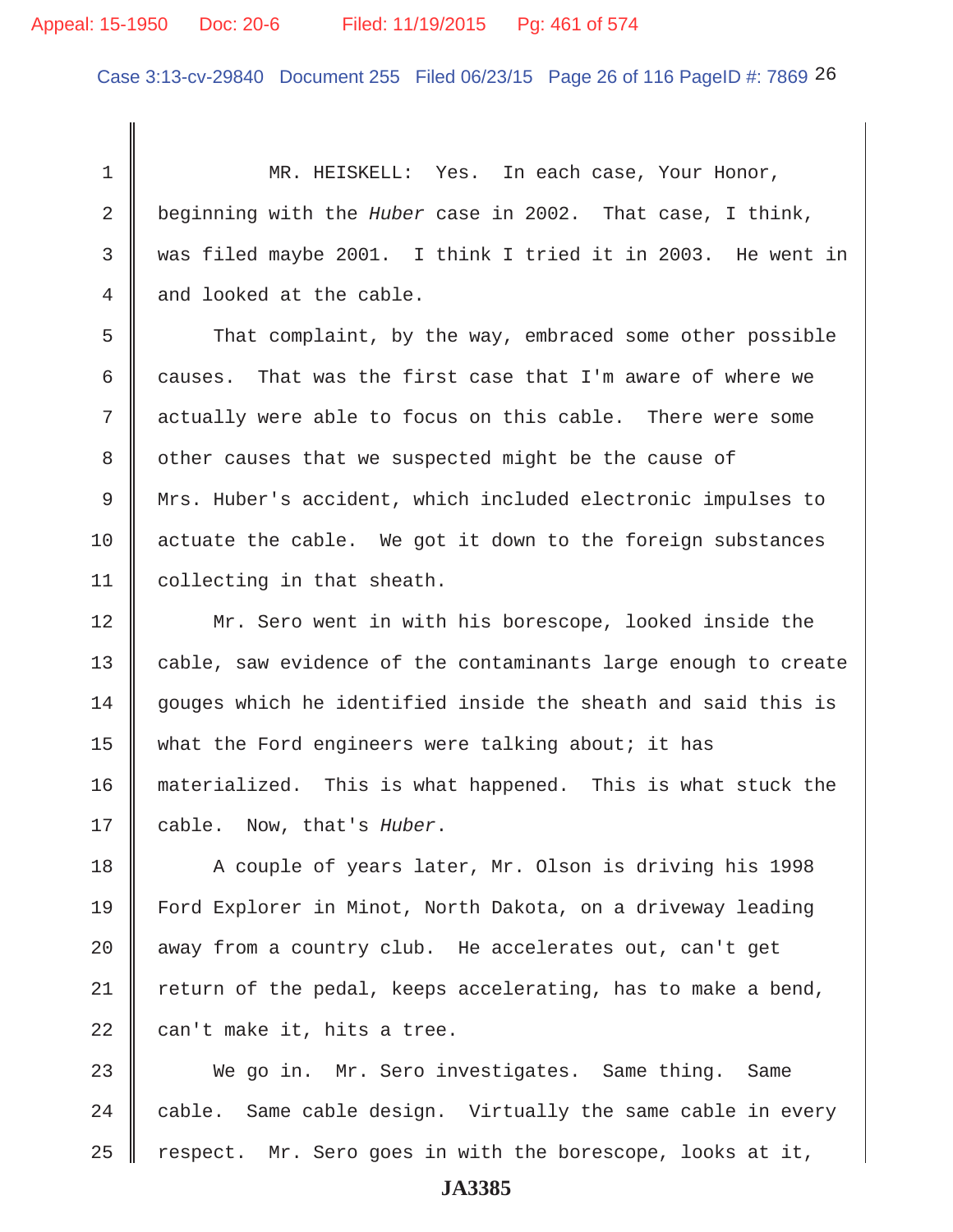## Appeal: 15-1950 Doc: 20-6 Filed: 11/19/2015 Pg: 461 of 574

Case 3:13-cv-29840 Document 255 Filed 06/23/15 Page 26 of 116 PageID #: 7869 26

 1 MR. HEISKELL: Yes. In each case, Your Honor, 2 beginning with the *Huber* case in 2002. That case, I think, 3 was filed maybe 2001. I think I tried it in 2003. He went in 4 and looked at the cable.

5 That complaint, by the way, embraced some other possible 6 causes. That was the first case that I'm aware of where we 7 actually were able to focus on this cable. There were some 8 other causes that we suspected might be the cause of 9 Mrs. Huber's accident, which included electronic impulses to  $10$  actuate the cable. We got it down to the foreign substances 11 collecting in that sheath.

12 || Mr. Sero went in with his borescope, looked inside the 13 | cable, saw evidence of the contaminants large enough to create  $14$  gouges which he identified inside the sheath and said this is 15 What the Ford engineers were talking about; it has 16 materialized. This is what happened. This is what stuck the 17 cable. Now, that's *Huber*.

18 A couple of years later, Mr. Olson is driving his 1998 19 Ford Explorer in Minot, North Dakota, on a driveway leading  $20$   $\parallel$  away from a country club. He accelerates out, can't get 21 Teturn of the pedal, keeps accelerating, has to make a bend, 22  $\parallel$  can't make it, hits a tree.

23 We go in. Mr. Sero investigates. Same thing. Same 24  $\parallel$  cable. Same cable design. Virtually the same cable in every 25  $\parallel$  respect. Mr. Sero goes in with the borescope, looks at it,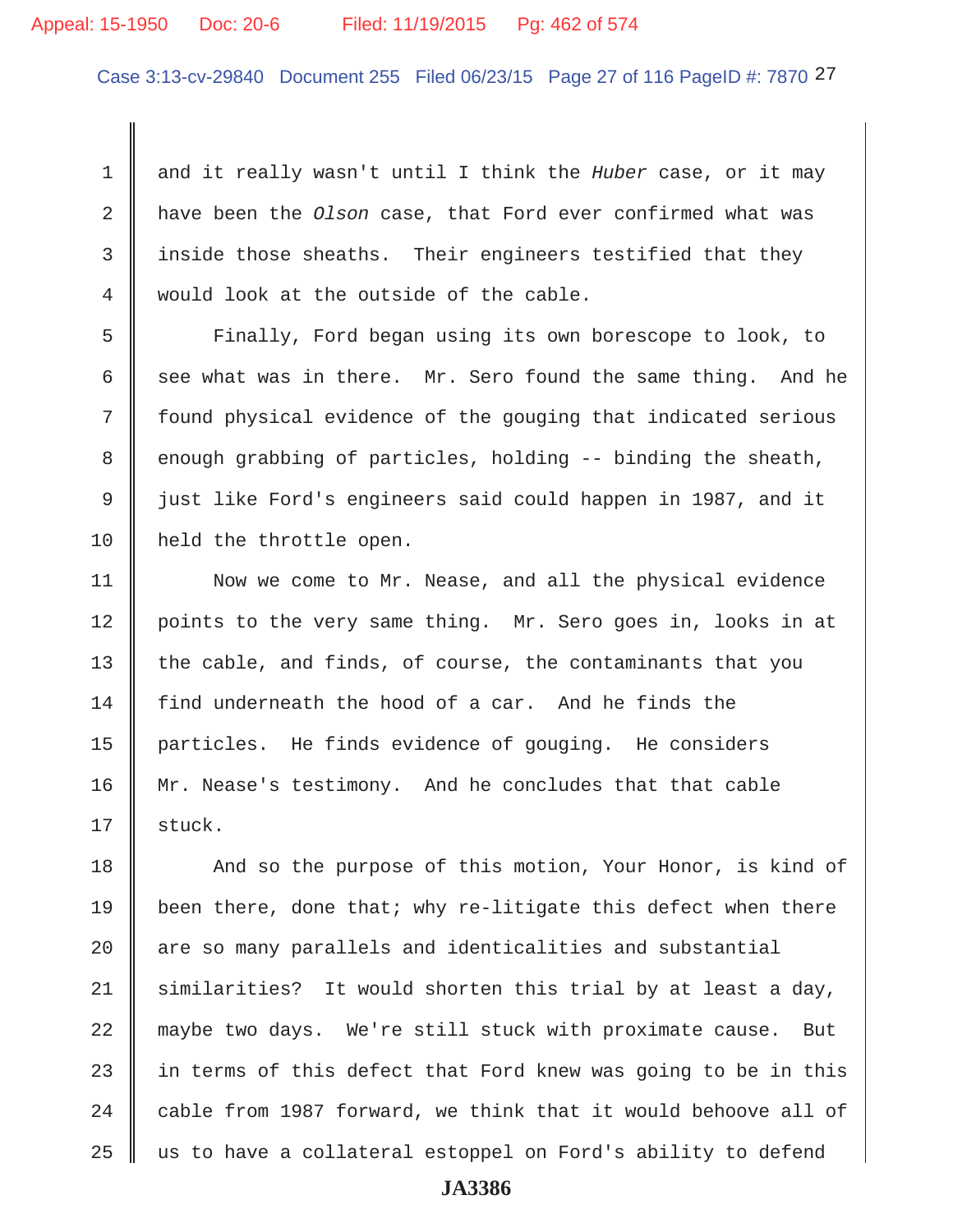#### Appeal: 15-1950 Doc: 20-6 Filed: 11/19/2015 Pg: 462 of 574

Case 3:13-cv-29840 Document 255 Filed 06/23/15 Page 27 of 116 PageID #: 7870 27

 1 and it really wasn't until I think the *Huber* case, or it may 2 have been the *Olson* case, that Ford ever confirmed what was  $3$  inside those sheaths. Their engineers testified that they 4 would look at the outside of the cable.

 5 Finally, Ford began using its own borescope to look, to 6 see what was in there. Mr. Sero found the same thing. And he 7 found physical evidence of the gouging that indicated serious  $8 \parallel$  enough grabbing of particles, holding -- binding the sheath, 9 || just like Ford's engineers said could happen in 1987, and it 10 | held the throttle open.

11 | Now we come to Mr. Nease, and all the physical evidence 12 | points to the very same thing. Mr. Sero goes in, looks in at 13 the cable, and finds, of course, the contaminants that you 14 find underneath the hood of a car. And he finds the 15 particles. He finds evidence of gouging. He considers 16 Mr. Nease's testimony. And he concludes that that cable  $17 \parallel$  stuck.

18 And so the purpose of this motion, Your Honor, is kind of 19 been there, done that; why re-litigate this defect when there  $20$   $\parallel$  are so many parallels and identicalities and substantial 21 similarities? It would shorten this trial by at least a day, 22 maybe two days. We're still stuck with proximate cause. But 23  $\parallel$  in terms of this defect that Ford knew was going to be in this 24  $\parallel$  cable from 1987 forward, we think that it would behoove all of  $25$   $\parallel$  us to have a collateral estoppel on Ford's ability to defend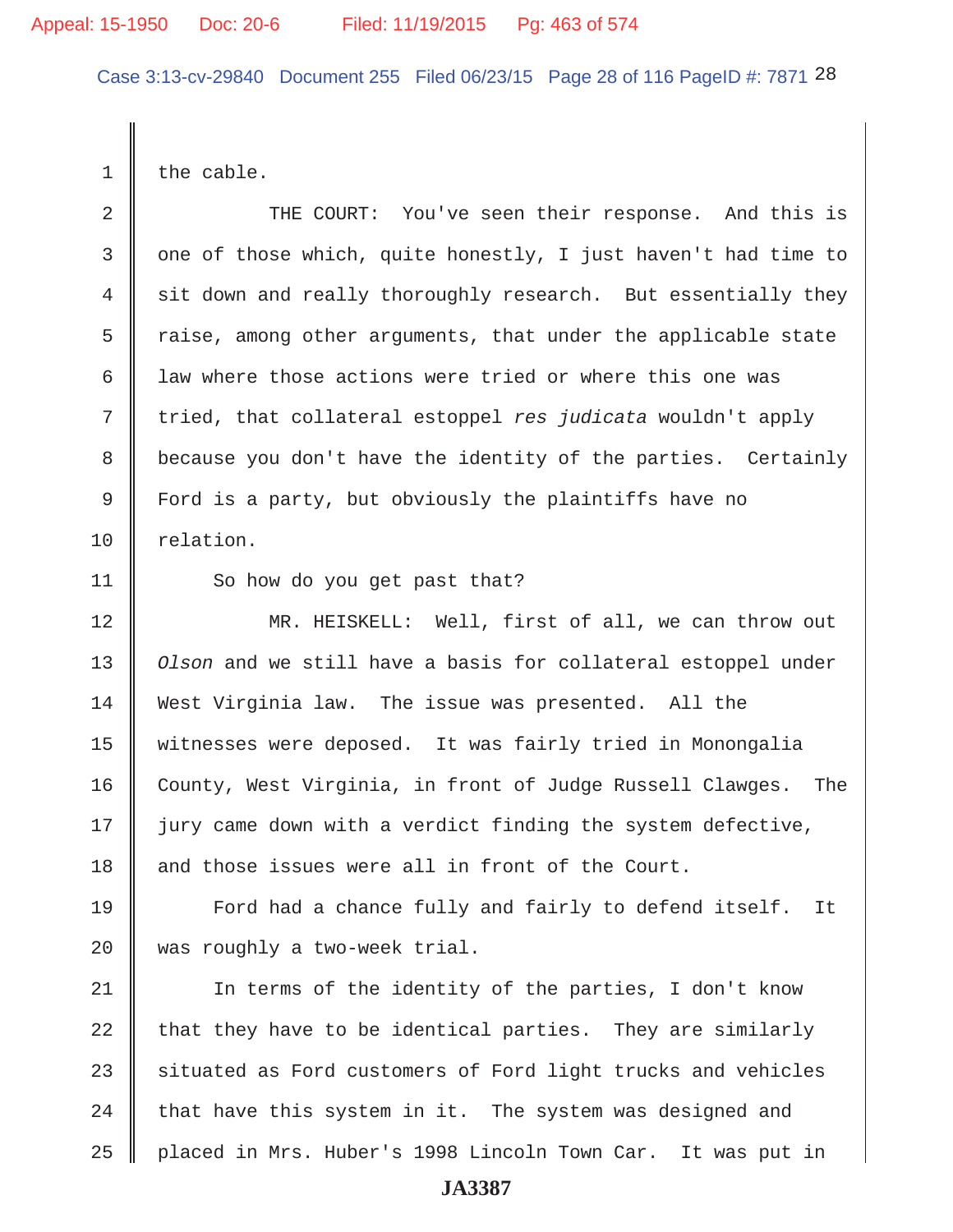Case 3:13-cv-29840 Document 255 Filed 06/23/15 Page 28 of 116 PageID #: 7871 28

1 | the cable.

2 || THE COURT: You've seen their response. And this is 3 || one of those which, quite honestly, I just haven't had time to 4 sit down and really thoroughly research. But essentially they  $5 \parallel$  raise, among other arguments, that under the applicable state 6 I law where those actions were tried or where this one was 7 tried, that collateral estoppel *res judicata* wouldn't apply 8 because you don't have the identity of the parties. Certainly 9 Ford is a party, but obviously the plaintiffs have no 10 relation. 11 So how do you get past that? 12 MR. HEISKELL: Well, first of all, we can throw out 13 *Olson* and we still have a basis for collateral estoppel under 14 West Virginia law. The issue was presented. All the 15 witnesses were deposed. It was fairly tried in Monongalia 16 County, West Virginia, in front of Judge Russell Clawges. The  $17$  ) jury came down with a verdict finding the system defective, 18 and those issues were all in front of the Court. 19 **Ford had a chance fully and fairly to defend itself.** It  $20$  was roughly a two-week trial. 21 || In terms of the identity of the parties, I don't know 22 that they have to be identical parties. They are similarly

 $23$  situated as Ford customers of Ford light trucks and vehicles  $24$  that have this system in it. The system was designed and 25 | placed in Mrs. Huber's 1998 Lincoln Town Car. It was put in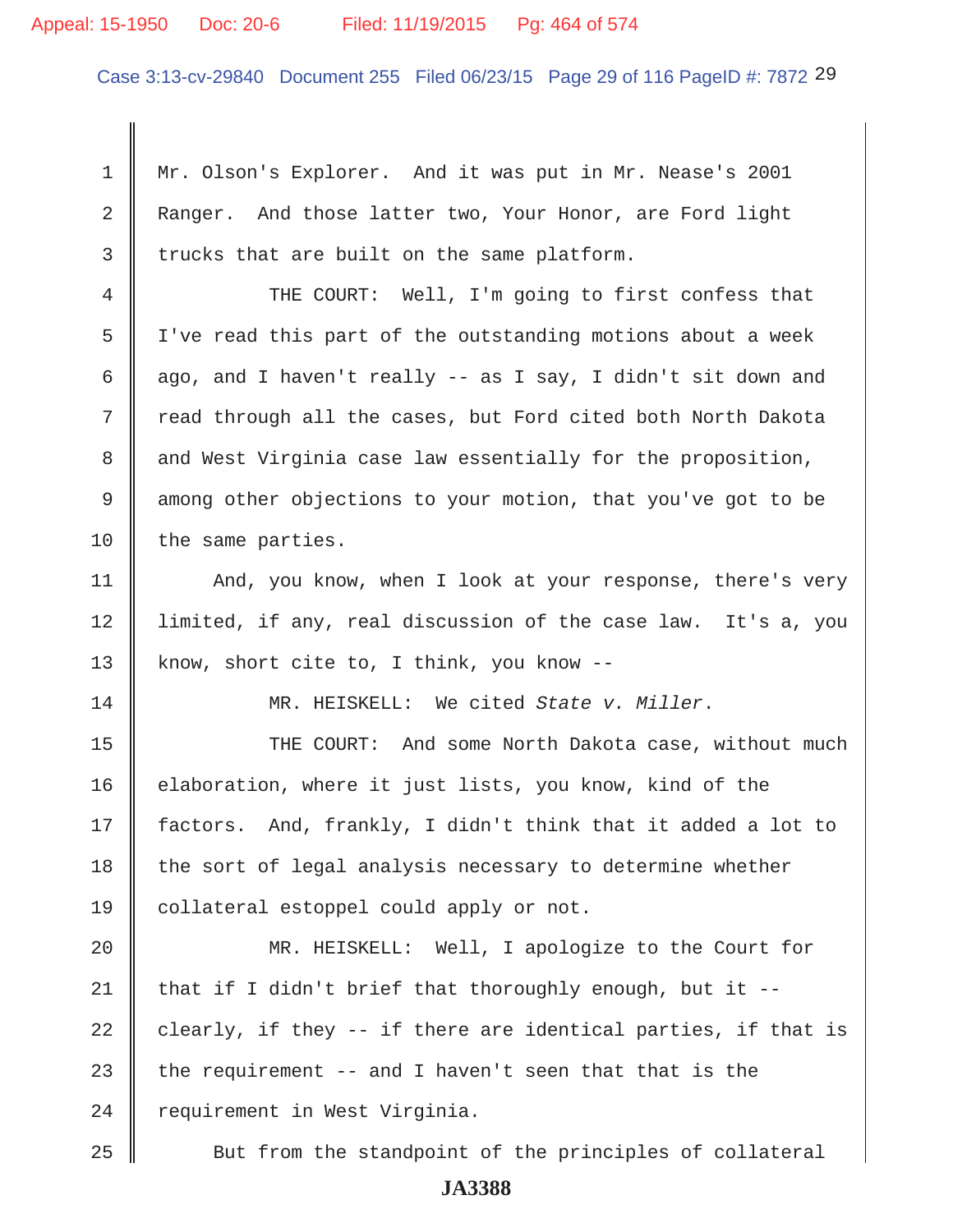#### Appeal: 15-1950 Doc: 20-6 Filed: 11/19/2015 Pg: 464 of 574

Case 3:13-cv-29840 Document 255 Filed 06/23/15 Page 29 of 116 PageID #: 7872 29

 1 Mr. Olson's Explorer. And it was put in Mr. Nease's 2001 2 Ranger. And those latter two, Your Honor, are Ford light  $3 \parallel$  trucks that are built on the same platform. 4 THE COURT: Well, I'm going to first confess that 5 I've read this part of the outstanding motions about a week 6 ago, and I haven't really -- as I say, I didn't sit down and 7 Tread through all the cases, but Ford cited both North Dakota 8 and West Virginia case law essentially for the proposition, 9 among other objections to your motion, that you've got to be  $10$  the same parties. 11 | And, you know, when I look at your response, there's very 12 limited, if any, real discussion of the case law. It's a, you

13 know, short cite to, I think, you know --

14 MR. HEISKELL: We cited *State v. Miller*.

15 THE COURT: And some North Dakota case, without much 16 elaboration, where it just lists, you know, kind of the 17 factors. And, frankly, I didn't think that it added a lot to  $18$  the sort of legal analysis necessary to determine whether 19 || collateral estoppel could apply or not.

20 MR. HEISKELL: Well, I apologize to the Court for 21 | that if I didn't brief that thoroughly enough, but it  $-$ -22  $\parallel$  clearly, if they -- if there are identical parties, if that is 23 the requirement  $-$  and I haven't seen that that is the  $24$  | requirement in West Virginia.

25 Sut from the standpoint of the principles of collateral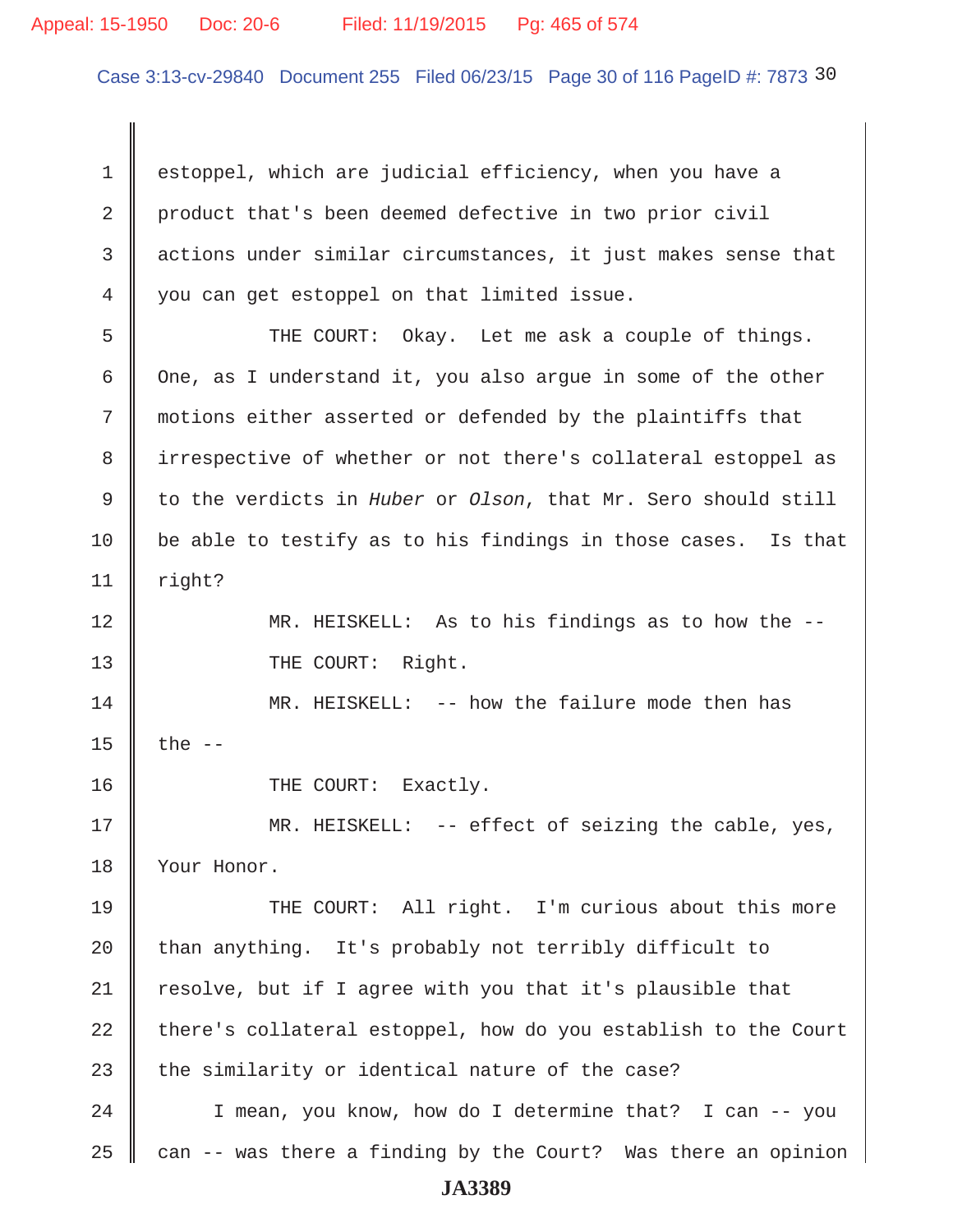#### Appeal: 15-1950 Doc: 20-6 Filed: 11/19/2015 Pg: 465 of 574

Case 3:13-cv-29840 Document 255 Filed 06/23/15 Page 30 of 116 PageID #: 7873 30

 1 estoppel, which are judicial efficiency, when you have a 2 product that's been deemed defective in two prior civil 3 actions under similar circumstances, it just makes sense that 4 you can get estoppel on that limited issue.

 5 THE COURT: Okay. Let me ask a couple of things. 6 One, as I understand it, you also argue in some of the other 7 motions either asserted or defended by the plaintiffs that 8 irrespective of whether or not there's collateral estoppel as 9 to the verdicts in *Huber* or *Olson*, that Mr. Sero should still 10  $\parallel$  be able to testify as to his findings in those cases. Is that  $11$  right?

12 MR. HEISKELL: As to his findings as to how the -- 13 || THE COURT: Right.

14 MR. HEISKELL: -- how the failure mode then has 15  $\parallel$  the --

16 COURT: Exactly.

17 MR. HEISKELL: -- effect of seizing the cable, yes, 18 Your Honor.

19 THE COURT: All right. I'm curious about this more 20  $\parallel$  than anything. It's probably not terribly difficult to  $21$  resolve, but if I agree with you that it's plausible that  $22$  there's collateral estoppel, how do you establish to the Court 23 the similarity or identical nature of the case?

24 | I mean, you know, how do I determine that? I can -- you 25  $\parallel$  can -- was there a finding by the Court? Was there an opinion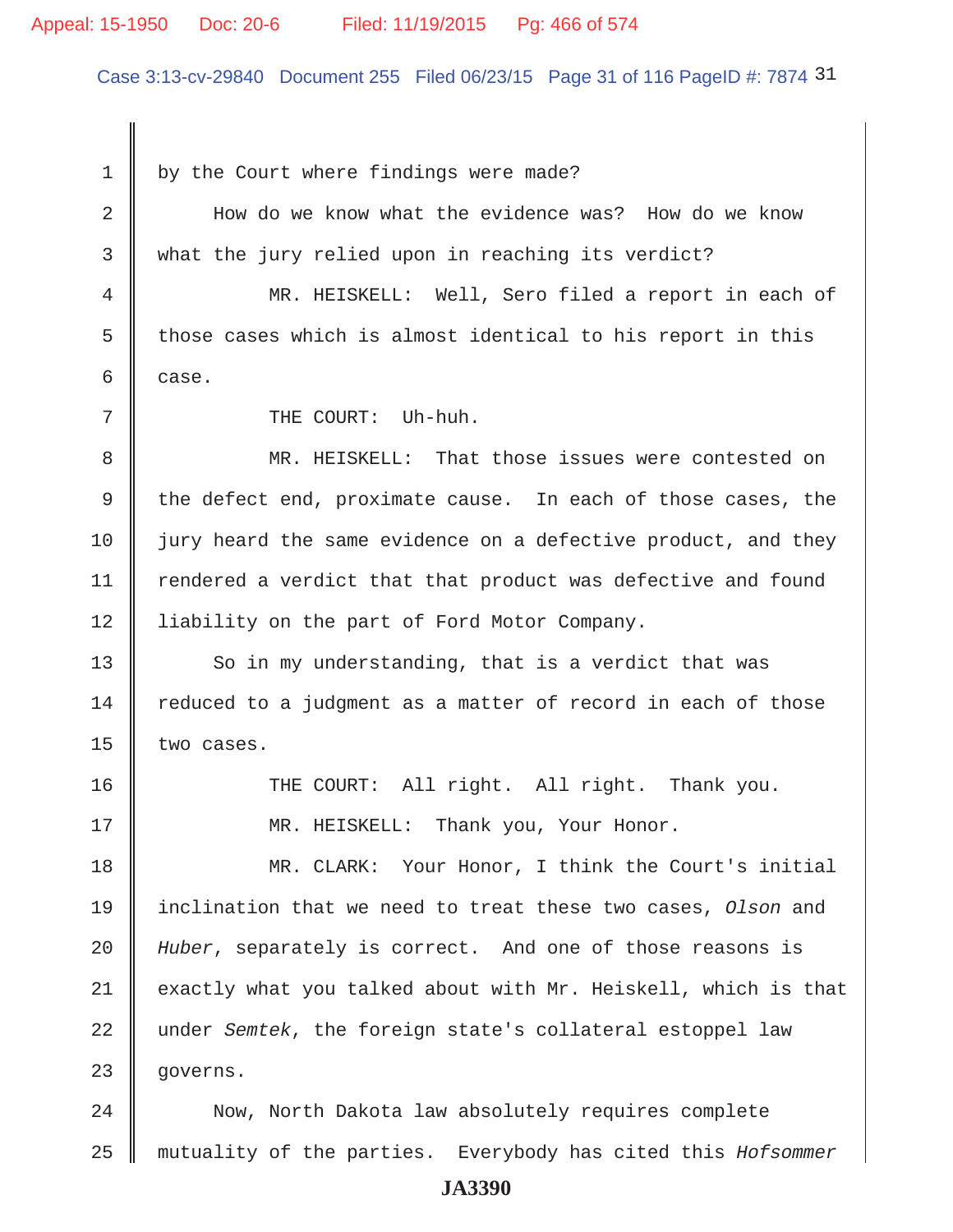#### Appeal: 15-1950 Doc: 20-6 Filed: 11/19/2015 Pg: 466 of 574

Case 3:13-cv-29840 Document 255 Filed 06/23/15 Page 31 of 116 PageID #: 7874 31

 $1 \parallel$  by the Court where findings were made?

 2 How do we know what the evidence was? How do we know 3 what the jury relied upon in reaching its verdict? 4 MR. HEISKELL: Well, Sero filed a report in each of 5  $\parallel$  those cases which is almost identical to his report in this  $6 \parallel$  case. 7 || THE COURT: Uh-huh. 8 MR. HEISKELL: That those issues were contested on 9  $\parallel$  the defect end, proximate cause. In each of those cases, the

11 | rendered a verdict that that product was defective and found 12 | liability on the part of Ford Motor Company.

 $10$  jury heard the same evidence on a defective product, and they

 $13$  So in my understanding, that is a verdict that was  $14$  reduced to a judgment as a matter of record in each of those 15  $\parallel$  two cases.

16 THE COURT: All right. All right. Thank you. 17 NR. HEISKELL: Thank you, Your Honor.

18 MR. CLARK: Your Honor, I think the Court's initial 19 inclination that we need to treat these two cases, *Olson* and 20 *Huber*, separately is correct. And one of those reasons is  $21$  exactly what you talked about with Mr. Heiskell, which is that 22 under *Semtek*, the foreign state's collateral estoppel law 23 | governs.

24 Now, North Dakota law absolutely requires complete 25 mutuality of the parties. Everybody has cited this *Hofsommer*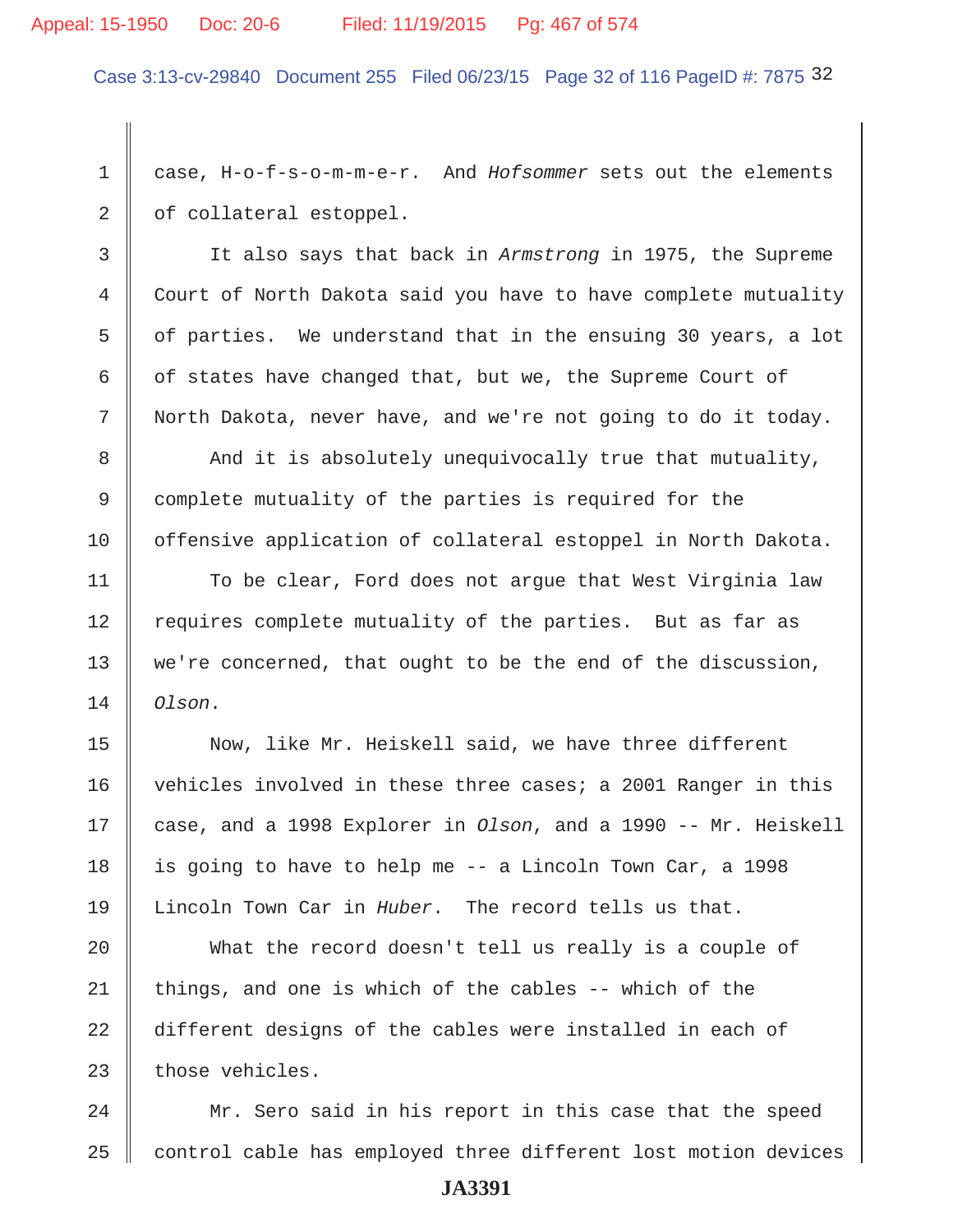Case 3:13-cv-29840 Document 255 Filed 06/23/15 Page 32 of 116 PageID #: 7875 32

 1 case, H-o-f-s-o-m-m-e-r. And *Hofsommer* sets out the elements  $2 \parallel$  of collateral estoppel.

 3 It also says that back in *Armstrong* in 1975, the Supreme 4 Court of North Dakota said you have to have complete mutuality 5  $\parallel$  of parties. We understand that in the ensuing 30 years, a lot 6 of states have changed that, but we, the Supreme Court of 7 North Dakota, never have, and we're not going to do it today.

8 And it is absolutely unequivocally true that mutuality, 9 complete mutuality of the parties is required for the 10 offensive application of collateral estoppel in North Dakota.

11 | To be clear, Ford does not argue that West Virginia law 12 Tequires complete mutuality of the parties. But as far as  $13$  we're concerned, that ought to be the end of the discussion, 14 *Olson*.

15 Now, like Mr. Heiskell said, we have three different 16 vehicles involved in these three cases; a 2001 Ranger in this 17 case, and a 1998 Explorer in *Olson*, and a 1990 -- Mr. Heiskell 18 | is going to have to help me  $-$  a Lincoln Town Car, a 1998 19 Lincoln Town Car in *Huber*. The record tells us that.

20 What the record doesn't tell us really is a couple of 21 | things, and one is which of the cables  $-$ - which of the 22 different designs of the cables were installed in each of  $23$  those vehicles.

24 Mr. Sero said in his report in this case that the speed 25 control cable has employed three different lost motion devices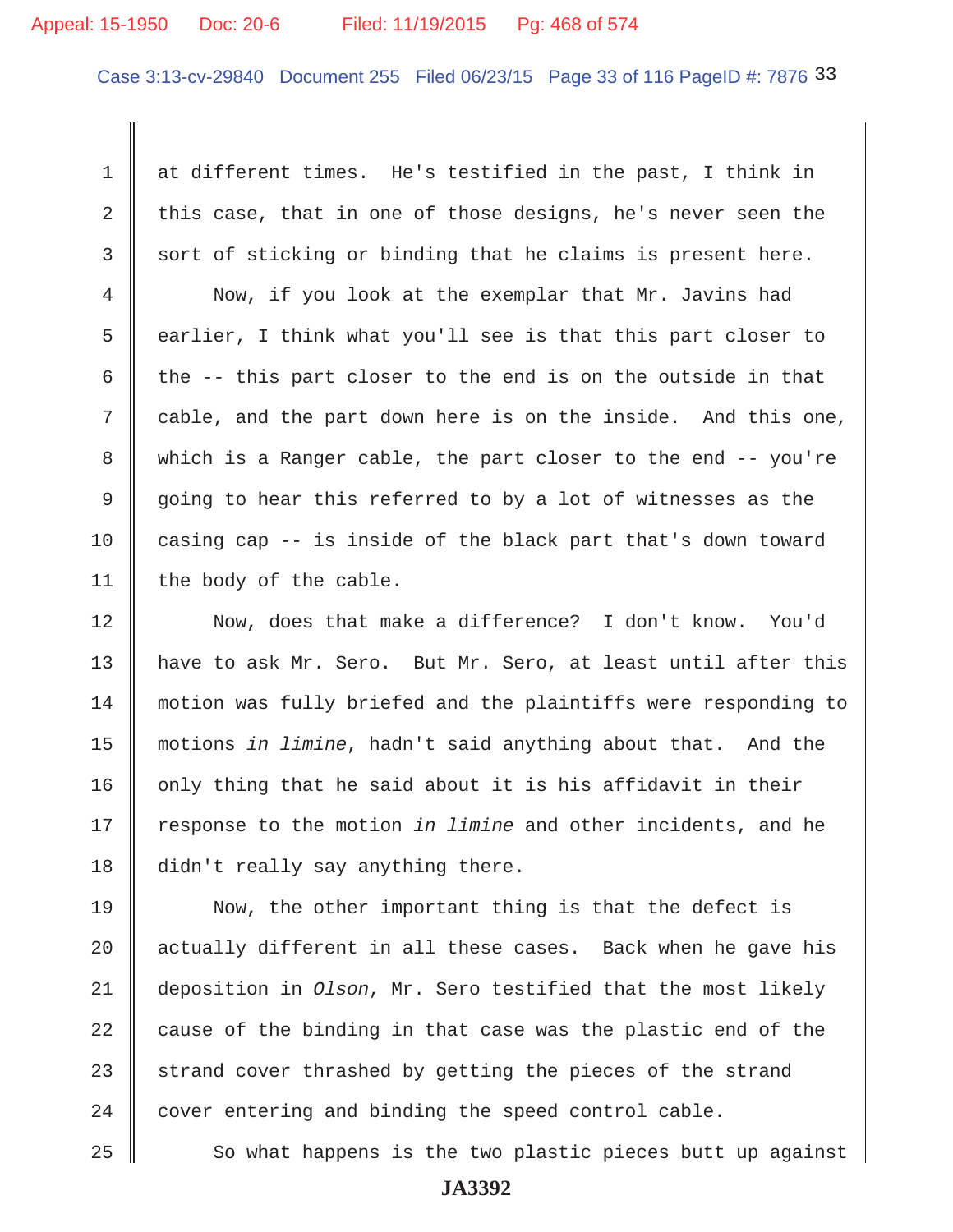## Appeal: 15-1950 Doc: 20-6 Filed: 11/19/2015 Pg: 468 of 574

Case 3:13-cv-29840 Document 255 Filed 06/23/15 Page 33 of 116 PageID #: 7876 33

 1 at different times. He's testified in the past, I think in 2 this case, that in one of those designs, he's never seen the  $3 \parallel$  sort of sticking or binding that he claims is present here.

 4 Now, if you look at the exemplar that Mr. Javins had 5 earlier, I think what you'll see is that this part closer to 6 the  $-$ - this part closer to the end is on the outside in that 7 cable, and the part down here is on the inside. And this one, 8 which is a Ranger cable, the part closer to the end -- you're 9 going to hear this referred to by a lot of witnesses as the 10 casing cap  $-$  is inside of the black part that's down toward 11 | the body of the cable.

12 Now, does that make a difference? I don't know. You'd 13 have to ask Mr. Sero. But Mr. Sero, at least until after this 14 motion was fully briefed and the plaintiffs were responding to 15 motions *in limine*, hadn't said anything about that. And the 16  $\parallel$  only thing that he said about it is his affidavit in their 17 Tesponse to the motion *in limine* and other incidents, and he 18 didn't really say anything there.

19 Now, the other important thing is that the defect is 20  $\parallel$  actually different in all these cases. Back when he gave his 21 deposition in *Olson*, Mr. Sero testified that the most likely 22  $\parallel$  cause of the binding in that case was the plastic end of the 23 strand cover thrashed by getting the pieces of the strand  $24$   $\parallel$  cover entering and binding the speed control cable.

 $25$   $\parallel$  So what happens is the two plastic pieces butt up against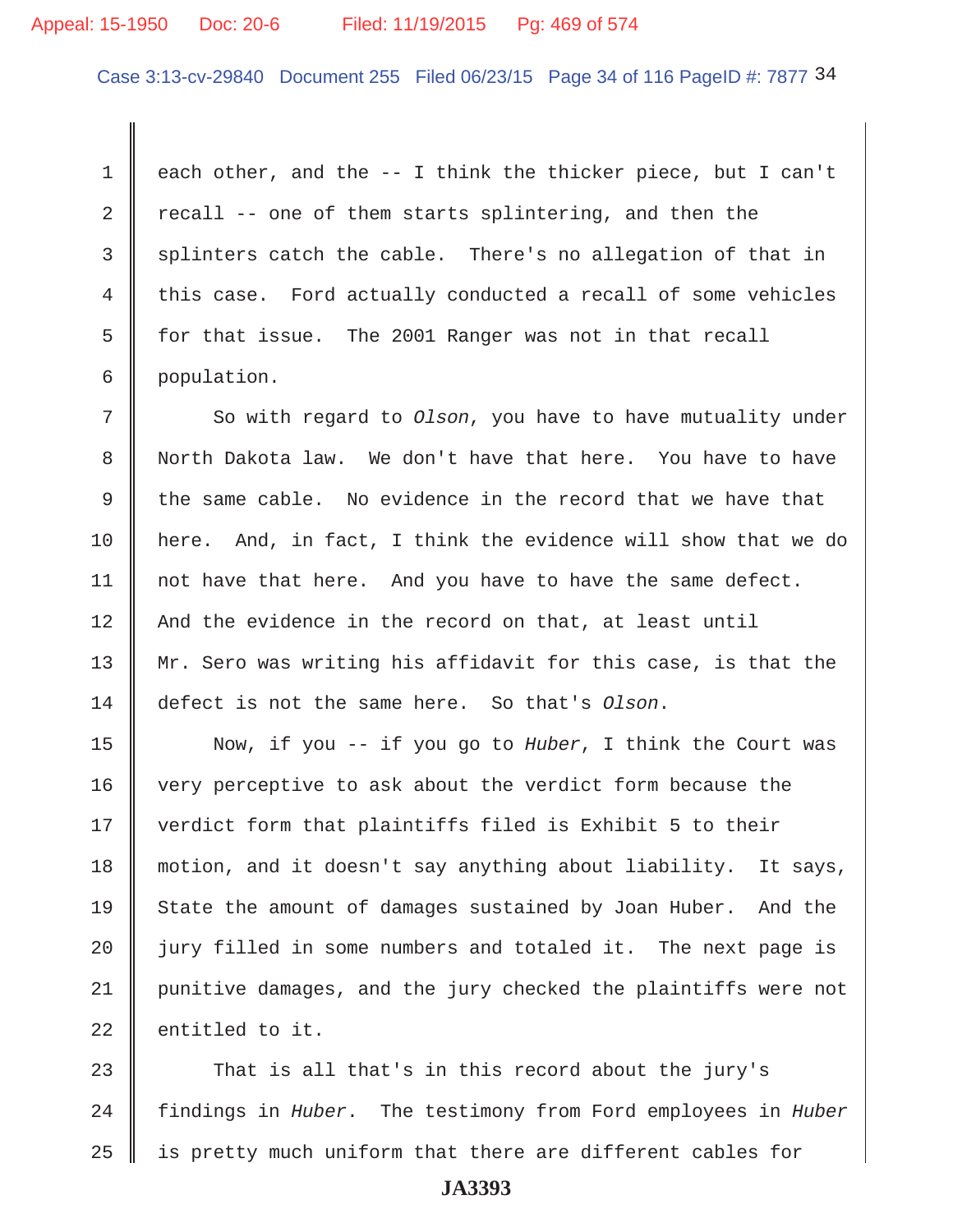#### Appeal: 15-1950 Doc: 20-6 Filed: 11/19/2015 Pg: 469 of 574

Case 3:13-cv-29840 Document 255 Filed 06/23/15 Page 34 of 116 PageID #: 7877 34

1  $\parallel$  each other, and the -- I think the thicker piece, but I can't 2  $\parallel$  recall -- one of them starts splintering, and then the  $3 \parallel$  splinters catch the cable. There's no allegation of that in 4 this case. Ford actually conducted a recall of some vehicles 5  $\parallel$  for that issue. The 2001 Ranger was not in that recall 6 population.

7 So with regard to *Olson*, you have to have mutuality under 8 North Dakota law. We don't have that here. You have to have 9 the same cable. No evidence in the record that we have that 10 here. And, in fact, I think the evidence will show that we do 11 | not have that here. And you have to have the same defect. 12 And the evidence in the record on that, at least until 13 Mr. Sero was writing his affidavit for this case, is that the 14 defect is not the same here. So that's *Olson*.

15 Now, if you -- if you go to *Huber*, I think the Court was 16 very perceptive to ask about the verdict form because the 17 || verdict form that plaintiffs filed is Exhibit 5 to their 18 motion, and it doesn't say anything about liability. It says, 19 State the amount of damages sustained by Joan Huber. And the 20  $\parallel$  jury filled in some numbers and totaled it. The next page is 21 punitive damages, and the jury checked the plaintiffs were not  $22$   $\parallel$  entitled to it.

23 That is all that's in this record about the jury's 24 findings in *Huber*. The testimony from Ford employees in *Huber*  $25$   $\parallel$  is pretty much uniform that there are different cables for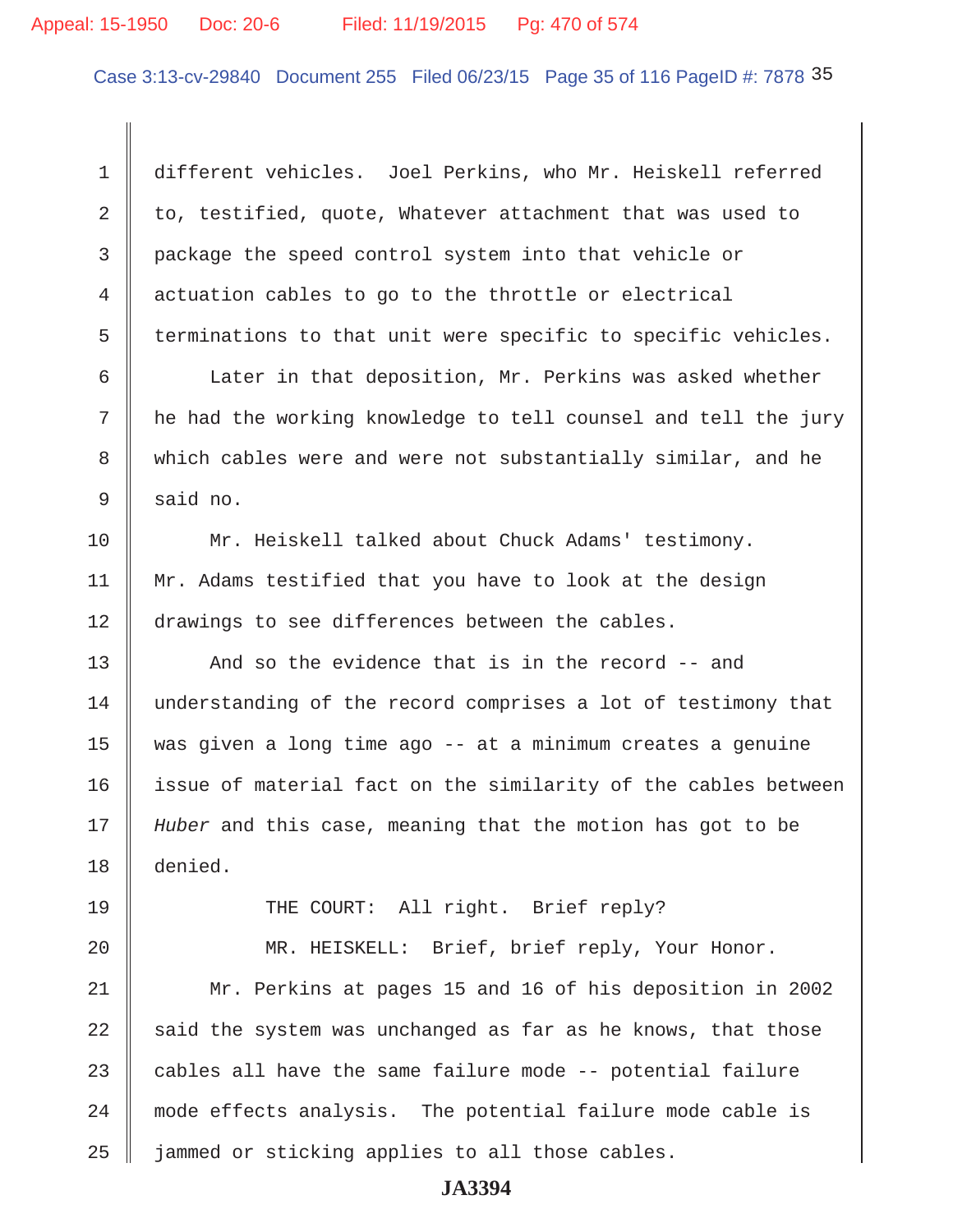# Appeal: 15-1950 Doc: 20-6 Filed: 11/19/2015 Pg: 470 of 574

Case 3:13-cv-29840 Document 255 Filed 06/23/15 Page 35 of 116 PageID #: 7878 35

 1 different vehicles. Joel Perkins, who Mr. Heiskell referred 2 to, testified, quote, Whatever attachment that was used to 3 package the speed control system into that vehicle or 4 actuation cables to go to the throttle or electrical  $5$   $\parallel$  terminations to that unit were specific to specific vehicles.

6 | Later in that deposition, Mr. Perkins was asked whether 7 he had the working knowledge to tell counsel and tell the jury 8 which cables were and were not substantially similar, and he  $9 \parallel$  said no.

10 Mr. Heiskell talked about Chuck Adams' testimony. 11 Mr. Adams testified that you have to look at the design 12 drawings to see differences between the cables.

13  $\parallel$  And so the evidence that is in the record  $-$  and 14 understanding of the record comprises a lot of testimony that 15 was given a long time ago -- at a minimum creates a genuine 16 issue of material fact on the similarity of the cables between 17 *Huber* and this case, meaning that the motion has got to be 18 denied.

19 THE COURT: All right. Brief reply?

20 || MR. HEISKELL: Brief, brief reply, Your Honor.

21 Mr. Perkins at pages 15 and 16 of his deposition in 2002 22  $\parallel$  said the system was unchanged as far as he knows, that those 23  $\parallel$  cables all have the same failure mode -- potential failure 24 mode effects analysis. The potential failure mode cable is  $25$  | jammed or sticking applies to all those cables.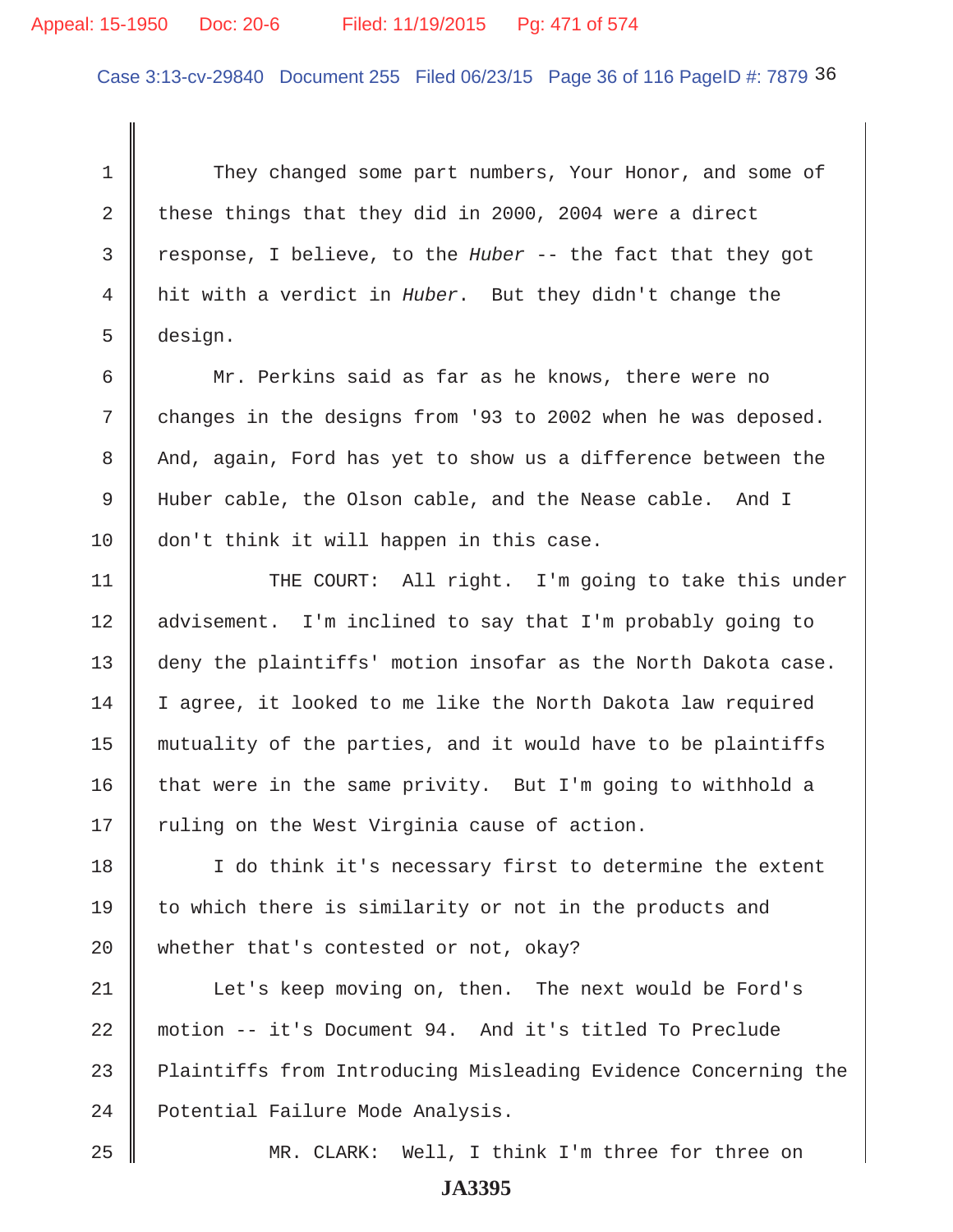# Appeal: 15-1950 Doc: 20-6 Filed: 11/19/2015 Pg: 471 of 574

Case 3:13-cv-29840 Document 255 Filed 06/23/15 Page 36 of 116 PageID #: 7879 36

1 They changed some part numbers, Your Honor, and some of 2 these things that they did in 2000, 2004 were a direct 3 response, I believe, to the *Huber* -- the fact that they got 4 hit with a verdict in *Huber*. But they didn't change the 5 design.

 6 Mr. Perkins said as far as he knows, there were no 7 changes in the designs from '93 to 2002 when he was deposed. 8 And, again, Ford has yet to show us a difference between the 9 Huber cable, the Olson cable, and the Nease cable. And I 10 don't think it will happen in this case.

11 || THE COURT: All right. I'm going to take this under 12 | advisement. I'm inclined to say that I'm probably going to 13 deny the plaintiffs' motion insofar as the North Dakota case. 14 | I agree, it looked to me like the North Dakota law required 15 mutuality of the parties, and it would have to be plaintiffs 16  $\parallel$  that were in the same privity. But I'm going to withhold a  $17$  ruling on the West Virginia cause of action.

18 I I do think it's necessary first to determine the extent 19  $\parallel$  to which there is similarity or not in the products and 20 whether that's contested or not, okay?

21 | Let's keep moving on, then. The next would be Ford's 22 motion -- it's Document 94. And it's titled To Preclude 23 Plaintiffs from Introducing Misleading Evidence Concerning the 24 | Potential Failure Mode Analysis.

25 MR. CLARK: Well, I think I'm three for three on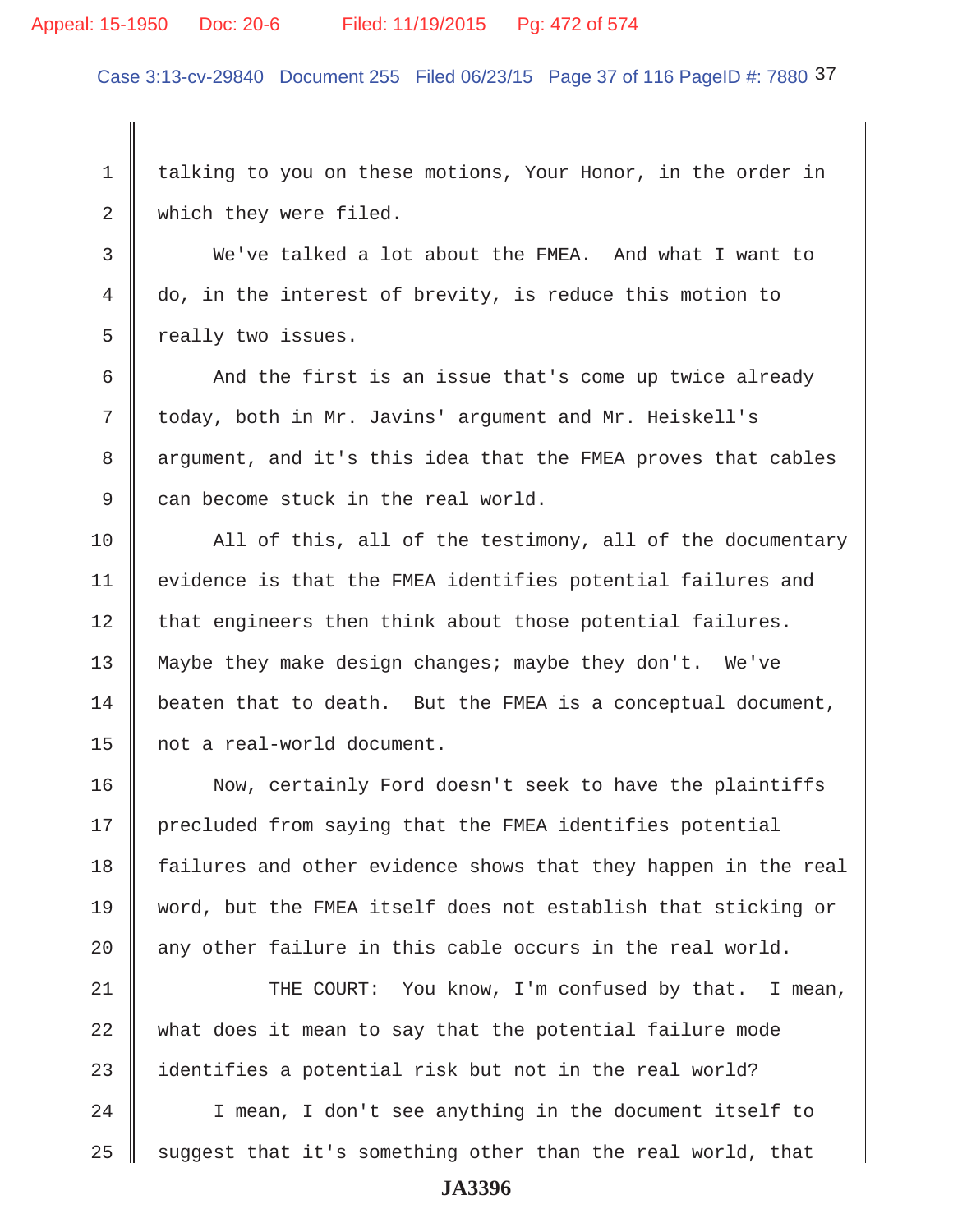#### Appeal: 15-1950 Doc: 20-6 Filed: 11/19/2015 Pg: 472 of 574

Case 3:13-cv-29840 Document 255 Filed 06/23/15 Page 37 of 116 PageID #: 7880 37

1 talking to you on these motions, Your Honor, in the order in 2 which they were filed.

 3 We've talked a lot about the FMEA. And what I want to 4 do, in the interest of brevity, is reduce this motion to 5 ceally two issues.

6  $\parallel$  And the first is an issue that's come up twice already 7 today, both in Mr. Javins' argument and Mr. Heiskell's 8 argument, and it's this idea that the FMEA proves that cables 9 can become stuck in the real world.

10 All of this, all of the testimony, all of the documentary 11 | evidence is that the FMEA identifies potential failures and  $12$  that engineers then think about those potential failures. 13 Maybe they make design changes; maybe they don't. We've  $14$  beaten that to death. But the FMEA is a conceptual document, 15 not a real-world document.

16 Now, certainly Ford doesn't seek to have the plaintiffs 17 | precluded from saying that the FMEA identifies potential 18 failures and other evidence shows that they happen in the real 19 word, but the FMEA itself does not establish that sticking or 20  $\parallel$  any other failure in this cable occurs in the real world.

21 THE COURT: You know, I'm confused by that. I mean, 22 what does it mean to say that the potential failure mode 23 identifies a potential risk but not in the real world?

24 | I mean, I don't see anything in the document itself to 25  $\parallel$  suggest that it's something other than the real world, that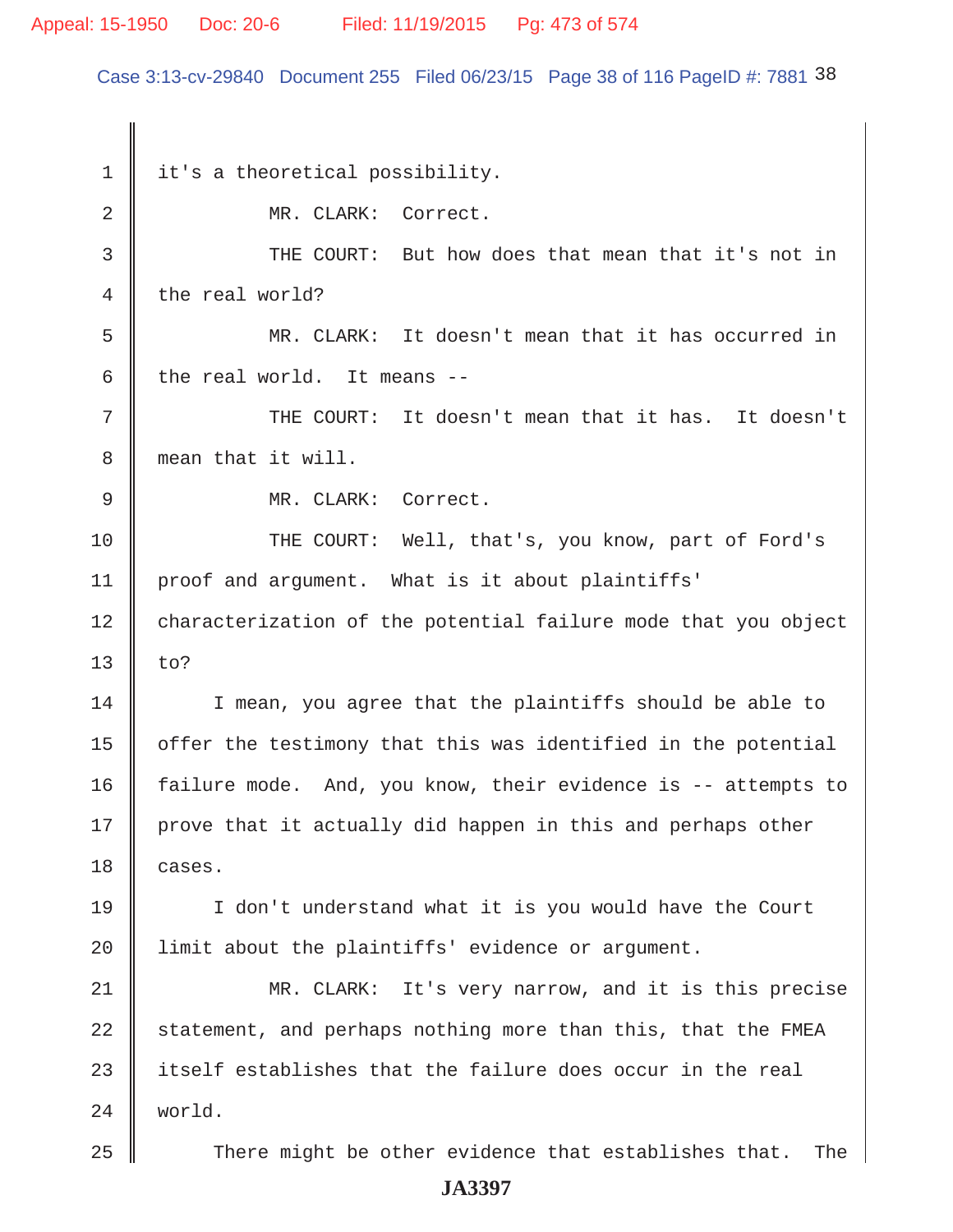## Appeal: 15-1950 Doc: 20-6 Filed: 11/19/2015 Pg: 473 of 574

Case 3:13-cv-29840 Document 255 Filed 06/23/15 Page 38 of 116 PageID #: 7881 38

1 it's a theoretical possibility. 2 MR. CLARK: Correct. 3 THE COURT: But how does that mean that it's not in 4 the real world? 5 MR. CLARK: It doesn't mean that it has occurred in 6 the real world. It means  $-$ 7  $\parallel$  THE COURT: It doesn't mean that it has. It doesn't 8 mean that it will. 9 || MR. CLARK: Correct. 10 THE COURT: Well, that's, you know, part of Ford's 11 proof and argument. What is it about plaintiffs' 12 characterization of the potential failure mode that you object  $13 \parallel$  to? 14 I mean, you agree that the plaintiffs should be able to  $15$  | offer the testimony that this was identified in the potential 16 failure mode. And, you know, their evidence is -- attempts to  $17$  prove that it actually did happen in this and perhaps other 18 cases. 19 I don't understand what it is you would have the Court 20 | limit about the plaintiffs' evidence or argument. 21 MR. CLARK: It's very narrow, and it is this precise 22  $\parallel$  statement, and perhaps nothing more than this, that the FMEA 23  $\parallel$  itself establishes that the failure does occur in the real 24 world.  $25$   $\parallel$  There might be other evidence that establishes that. The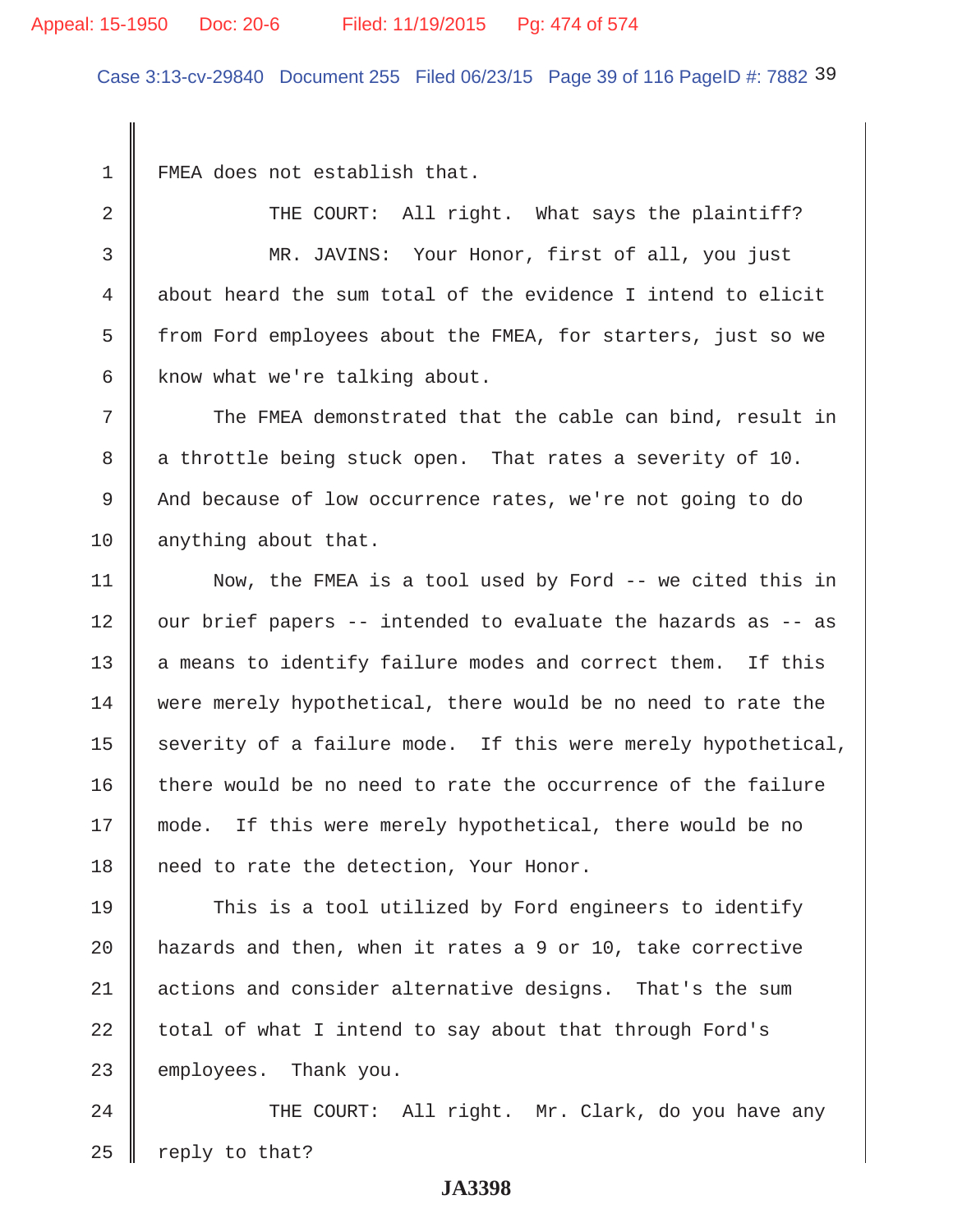#### Appeal: 15-1950 Doc: 20-6 Filed: 11/19/2015 Pg: 474 of 574

Case 3:13-cv-29840 Document 255 Filed 06/23/15 Page 39 of 116 PageID #: 7882 39

1 FMEA does not establish that.

2 THE COURT: All right. What says the plaintiff? 3 MR. JAVINS: Your Honor, first of all, you just 4 about heard the sum total of the evidence I intend to elicit 5 from Ford employees about the FMEA, for starters, just so we 6  $\parallel$  know what we're talking about.

 $7$   $\parallel$  The FMEA demonstrated that the cable can bind, result in 8 a throttle being stuck open. That rates a severity of 10. 9 And because of low occurrence rates, we're not going to do 10 anything about that.

11 | Now, the FMEA is a tool used by Ford -- we cited this in  $12$  our brief papers -- intended to evaluate the hazards as -- as  $13$  a means to identify failure modes and correct them. If this 14 were merely hypothetical, there would be no need to rate the 15  $\parallel$  severity of a failure mode. If this were merely hypothetical,  $16$  there would be no need to rate the occurrence of the failure 17 || mode. If this were merely hypothetical, there would be no 18 | need to rate the detection, Your Honor.

19 This is a tool utilized by Ford engineers to identify 20  $\parallel$  hazards and then, when it rates a 9 or 10, take corrective 21 | actions and consider alternative designs. That's the sum  $22$  total of what I intend to say about that through Ford's 23 employees. Thank you.

24 | THE COURT: All right. Mr. Clark, do you have any  $25$  reply to that?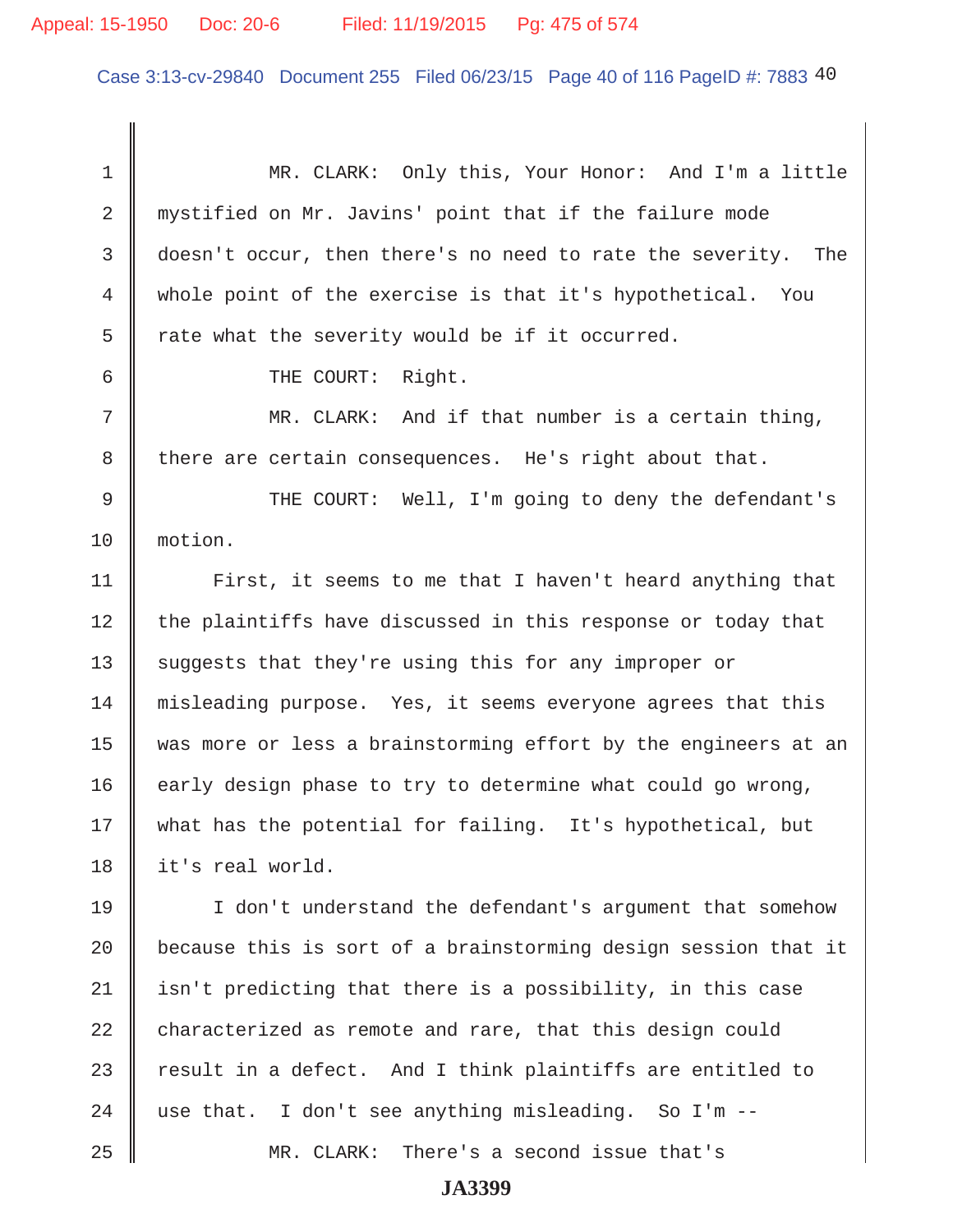#### Appeal: 15-1950 Doc: 20-6 Filed: 11/19/2015 Pg: 475 of 574

Case 3:13-cv-29840 Document 255 Filed 06/23/15 Page 40 of 116 PageID #: 7883 40

 1 MR. CLARK: Only this, Your Honor: And I'm a little 2 mystified on Mr. Javins' point that if the failure mode 3 doesn't occur, then there's no need to rate the severity. The 4 whole point of the exercise is that it's hypothetical. You  $5 \parallel$  rate what the severity would be if it occurred. 6 || THE COURT: Right. 7 MR. CLARK: And if that number is a certain thing, 8 there are certain consequences. He's right about that. 9 THE COURT: Well, I'm going to deny the defendant's 10 motion. 11 | First, it seems to me that I haven't heard anything that  $12$  the plaintiffs have discussed in this response or today that 13 Suggests that they're using this for any improper or 14 | misleading purpose. Yes, it seems everyone agrees that this 15 was more or less a brainstorming effort by the engineers at an 16  $\parallel$  early design phase to try to determine what could go wrong, 17 || what has the potential for failing. It's hypothetical, but 18 it's real world. 19 I don't understand the defendant's argument that somehow 20  $\parallel$  because this is sort of a brainstorming design session that it  $21$  isn't predicting that there is a possibility, in this case  $22$  characterized as remote and rare, that this design could 23  $\parallel$  result in a defect. And I think plaintiffs are entitled to 24  $\parallel$  use that. I don't see anything misleading. So I'm --25 MR. CLARK: There's a second issue that's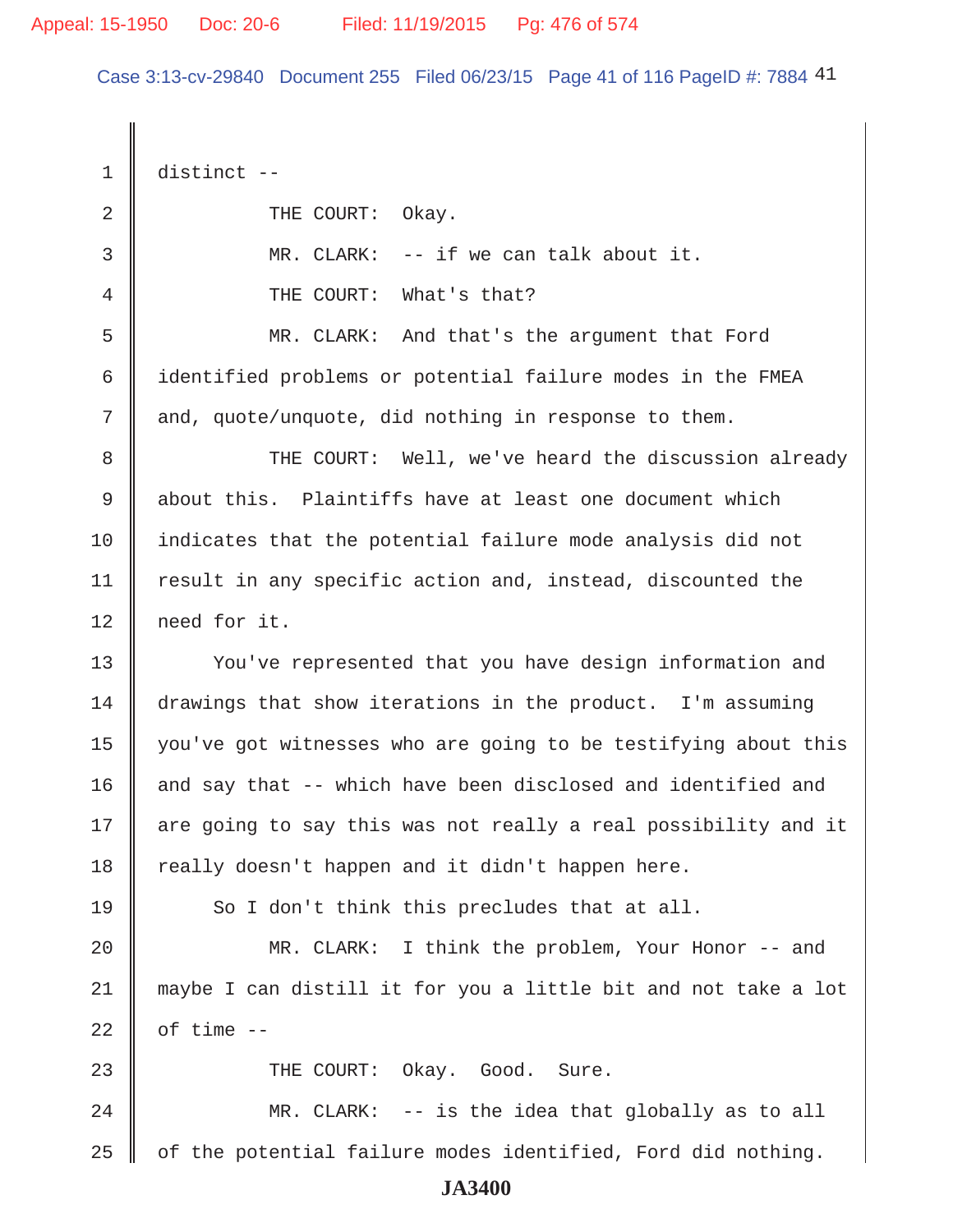Case 3:13-cv-29840 Document 255 Filed 06/23/15 Page 41 of 116 PageID #: 7884 41

 1 distinct -- 2 COURT: Okay. 3 MR. CLARK: -- if we can talk about it. 4 **4 THE COURT:** What's that? 5 MR. CLARK: And that's the argument that Ford 6 identified problems or potential failure modes in the FMEA 7 and, quote/unquote, did nothing in response to them. 8 THE COURT: Well, we've heard the discussion already 9 about this. Plaintiffs have at least one document which 10 indicates that the potential failure mode analysis did not 11 | result in any specific action and, instead, discounted the 12 need for it. 13 Vou've represented that you have design information and 14 drawings that show iterations in the product. I'm assuming 15 you've got witnesses who are going to be testifying about this 16 || and say that -- which have been disclosed and identified and 17 || are going to say this was not really a real possibility and it  $18$  really doesn't happen and it didn't happen here. 19  $\parallel$  So I don't think this precludes that at all. 20 || MR. CLARK: I think the problem, Your Honor -- and 21 maybe I can distill it for you a little bit and not take a lot 22  $\parallel$  of time  $-$ 23 || THE COURT: Okay. Good. Sure. 24 MR. CLARK: -- is the idea that globally as to all 25  $\parallel$  of the potential failure modes identified, Ford did nothing. **JA3400**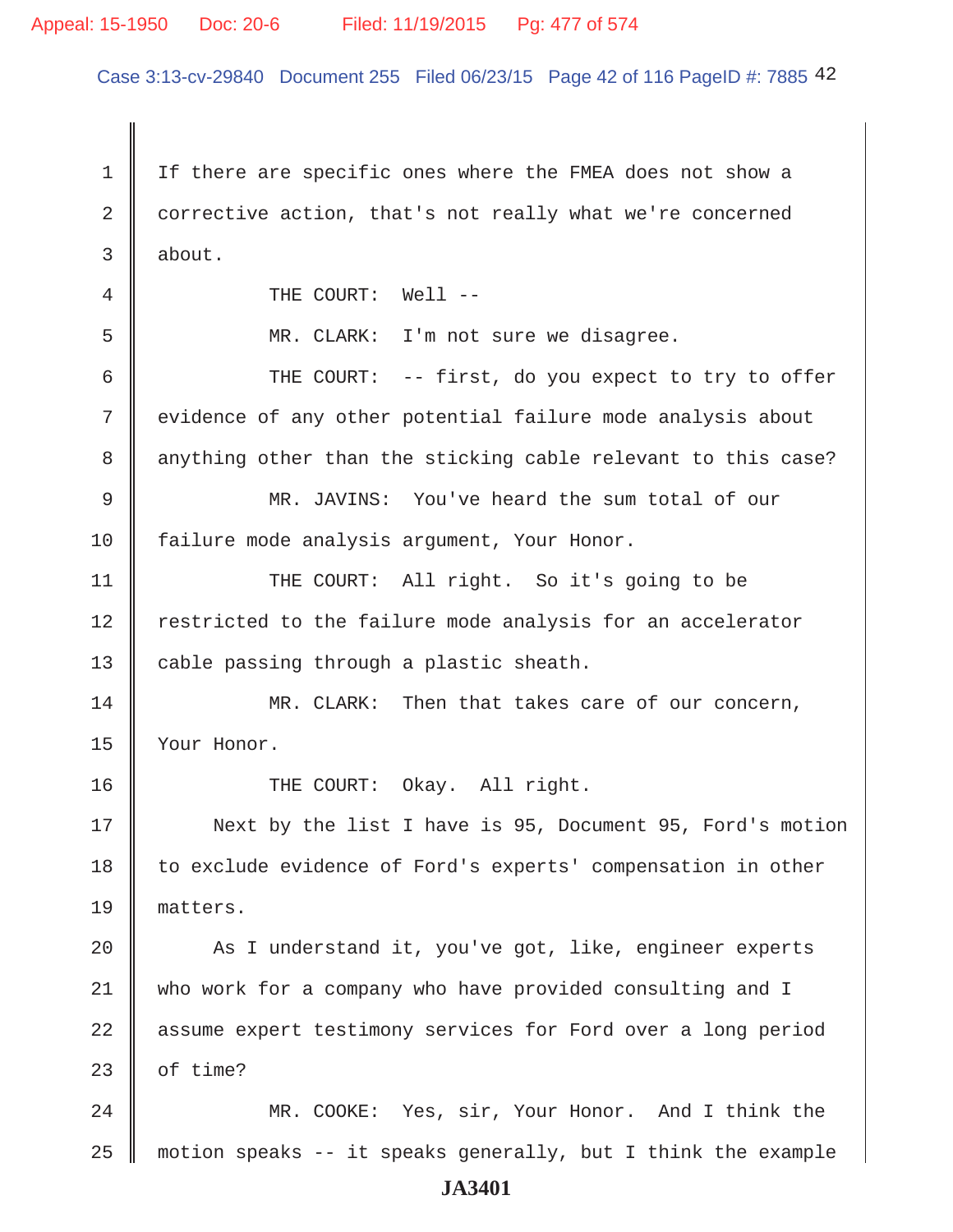#### Appeal: 15-1950 Doc: 20-6 Filed: 11/19/2015 Pg: 477 of 574

Case 3:13-cv-29840 Document 255 Filed 06/23/15 Page 42 of 116 PageID #: 7885 42

 1 If there are specific ones where the FMEA does not show a 2 corrective action, that's not really what we're concerned  $3 \parallel$  about. 4 || THE COURT: Well -- 5 MR. CLARK: I'm not sure we disagree.  $6$   $\parallel$  THE COURT: -- first, do you expect to try to offer 7 | evidence of any other potential failure mode analysis about 8 || anything other than the sticking cable relevant to this case? 9 MR. JAVINS: You've heard the sum total of our 10 failure mode analysis argument, Your Honor. 11 || THE COURT: All right. So it's going to be 12 Testricted to the failure mode analysis for an accelerator 13  $\parallel$  cable passing through a plastic sheath. 14 MR. CLARK: Then that takes care of our concern, 15 Your Honor. 16 || THE COURT: Okay. All right. 17 Next by the list I have is 95, Document 95, Ford's motion 18 | to exclude evidence of Ford's experts' compensation in other 19 matters. 20 As I understand it, you've got, like, engineer experts 21 who work for a company who have provided consulting and I 22 assume expert testimony services for Ford over a long period 23  $\parallel$  of time? 24 MR. COOKE: Yes, sir, Your Honor. And I think the 25  $\parallel$  motion speaks -- it speaks generally, but I think the example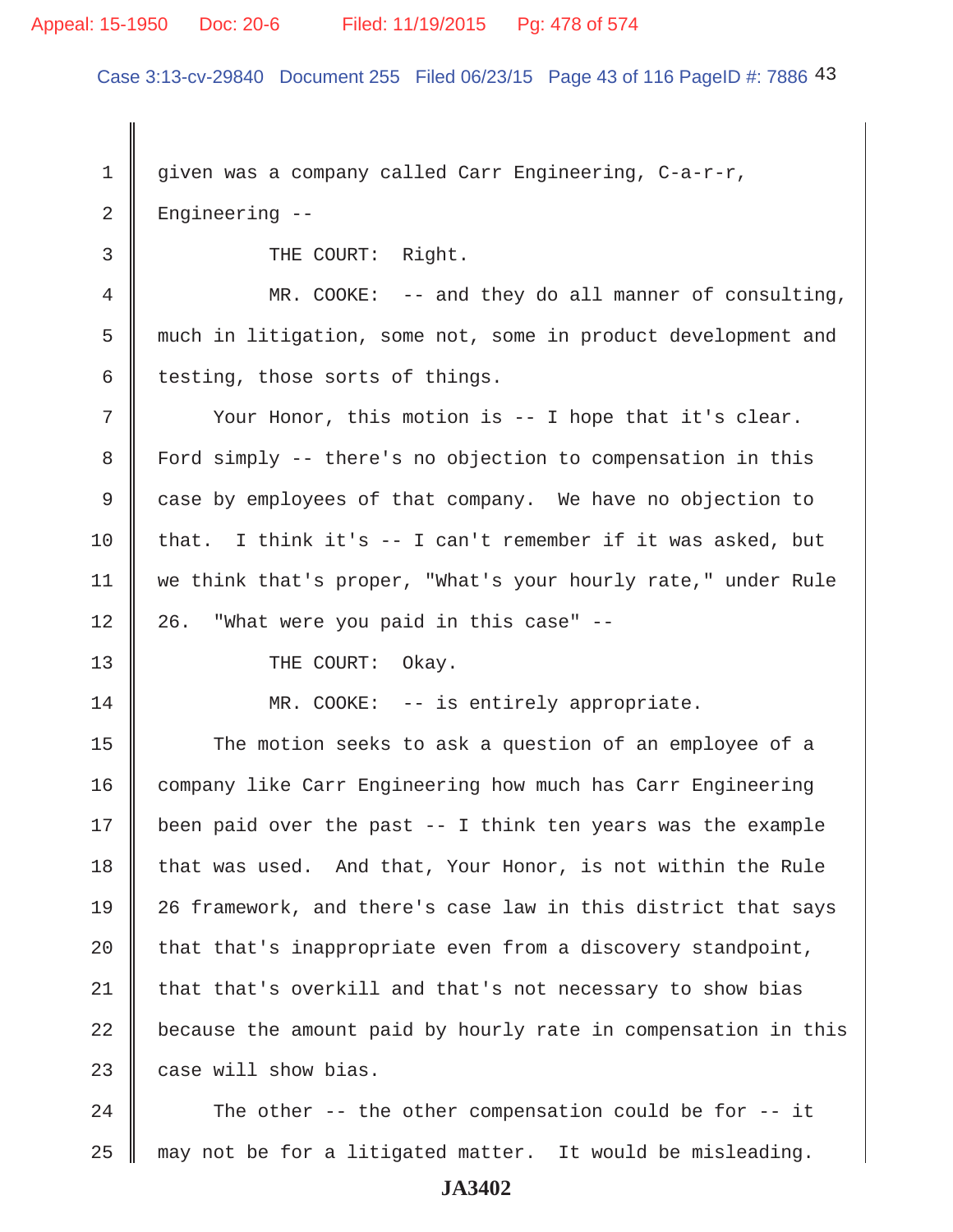# Appeal: 15-1950 Doc: 20-6 Filed: 11/19/2015 Pg: 478 of 574

Case 3:13-cv-29840 Document 255 Filed 06/23/15 Page 43 of 116 PageID #: 7886 43

1 given was a company called Carr Engineering, C-a-r-r, 2 Engineering --

3 || THE COURT: Right.

 4 MR. COOKE: -- and they do all manner of consulting, 5 much in litigation, some not, some in product development and  $6$  testing, those sorts of things.

 $7$   $\parallel$  Your Honor, this motion is -- I hope that it's clear. 8 Ford simply -- there's no objection to compensation in this 9 case by employees of that company. We have no objection to 10 that. I think it's  $-$  I can't remember if it was asked, but 11 | we think that's proper, "What's your hourly rate," under Rule  $12 \parallel 26$ . "What were you paid in this case" --

13 || THE COURT: Okay.

14 MR. COOKE: -- is entirely appropriate.

15 The motion seeks to ask a question of an employee of a 16 company like Carr Engineering how much has Carr Engineering 17 | been paid over the past  $-$  I think ten years was the example  $18$  that was used. And that, Your Honor, is not within the Rule 19 26 framework, and there's case law in this district that says 20  $\parallel$  that that's inappropriate even from a discovery standpoint,  $21$  that that's overkill and that's not necessary to show bias  $22$   $\parallel$  because the amount paid by hourly rate in compensation in this  $23$  case will show bias.

24  $\parallel$  The other -- the other compensation could be for -- it  $25$  may not be for a litigated matter. It would be misleading.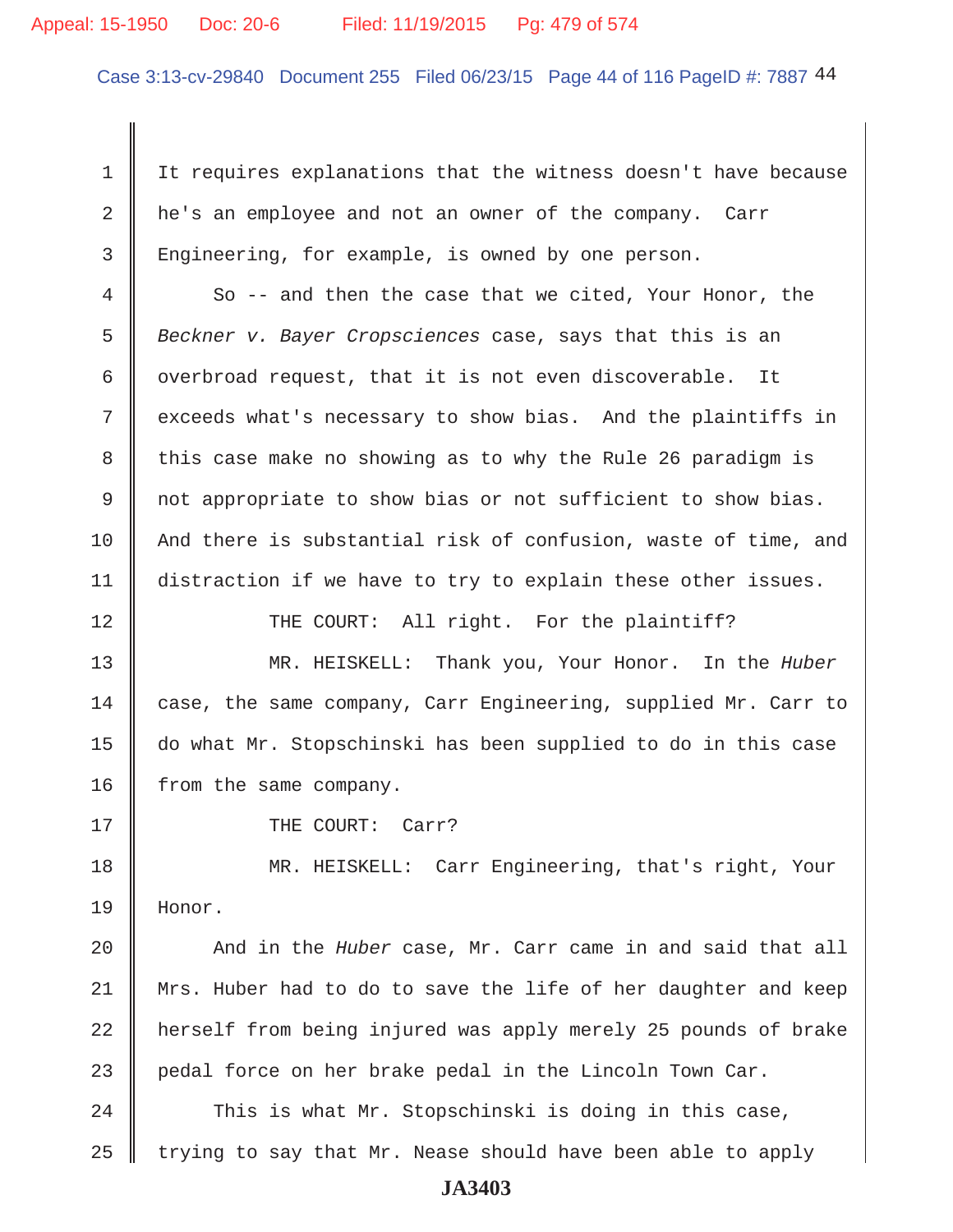#### Appeal: 15-1950 Doc: 20-6 Filed: 11/19/2015 Pg: 479 of 574

Case 3:13-cv-29840 Document 255 Filed 06/23/15 Page 44 of 116 PageID #: 7887 44

1 | It requires explanations that the witness doesn't have because 2 he's an employee and not an owner of the company. Carr 3 Engineering, for example, is owned by one person.

 4 So -- and then the case that we cited, Your Honor, the 5 *Beckner v. Bayer Cropsciences* case, says that this is an 6 | overbroad request, that it is not even discoverable. It 7 cxceeds what's necessary to show bias. And the plaintiffs in 8 this case make no showing as to why the Rule 26 paradigm is 9 not appropriate to show bias or not sufficient to show bias. 10 And there is substantial risk of confusion, waste of time, and 11 distraction if we have to try to explain these other issues.

12 THE COURT: All right. For the plaintiff?

13 MR. HEISKELL: Thank you, Your Honor. In the *Huber* 14 case, the same company, Carr Engineering, supplied Mr. Carr to 15 do what Mr. Stopschinski has been supplied to do in this case 16 | from the same company.

17 || THE COURT: Carr?

18 MR. HEISKELL: Carr Engineering, that's right, Your 19 Honor.

20 And in the *Huber* case, Mr. Carr came in and said that all 21 Mrs. Huber had to do to save the life of her daughter and keep 22 herself from being injured was apply merely 25 pounds of brake  $23$  pedal force on her brake pedal in the Lincoln Town Car.

 $24$  This is what Mr. Stopschinski is doing in this case, 25  $\parallel$  trying to say that Mr. Nease should have been able to apply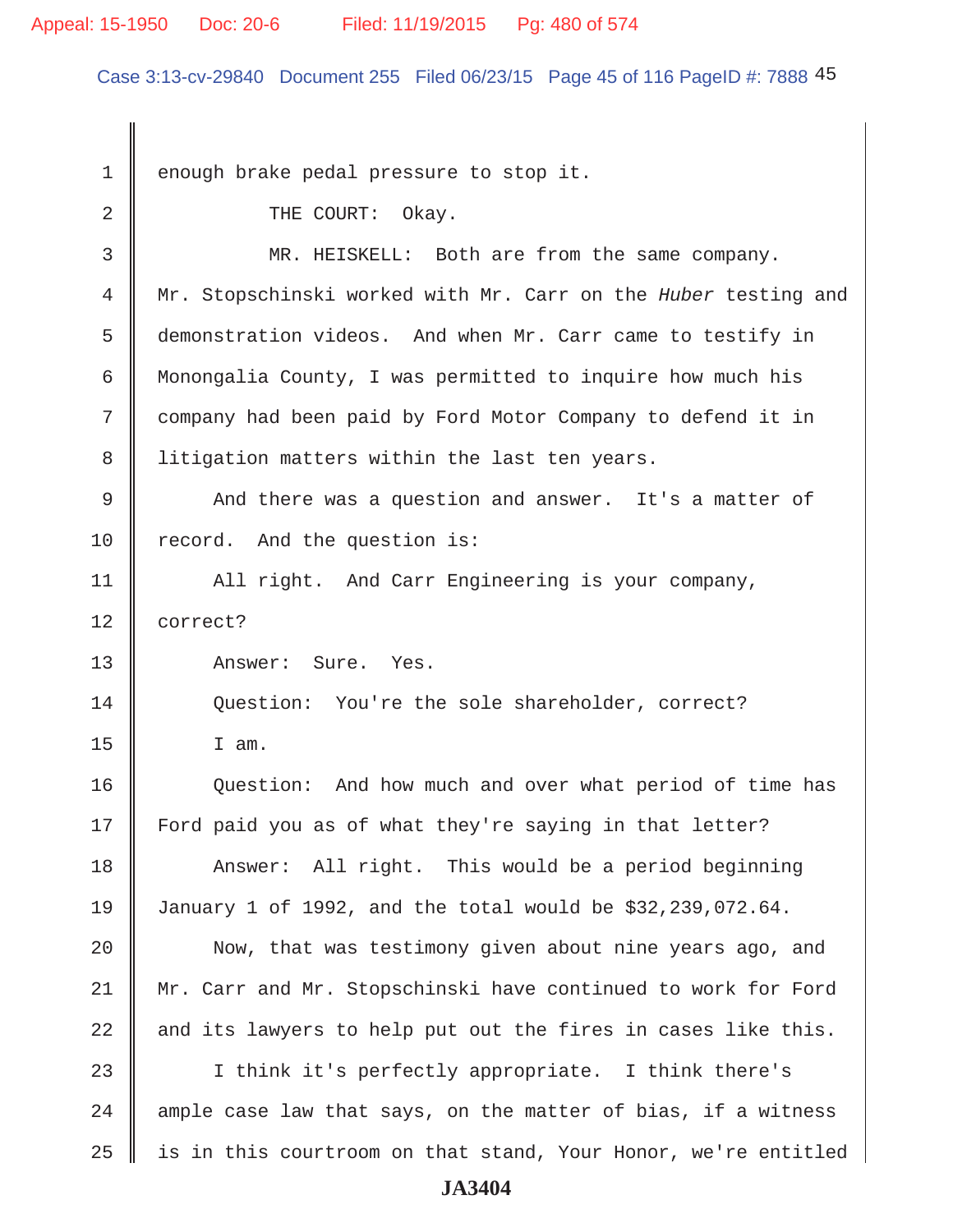#### Appeal: 15-1950 Doc: 20-6 Filed: 11/19/2015 Pg: 480 of 574

Case 3:13-cv-29840 Document 255 Filed 06/23/15 Page 45 of 116 PageID #: 7888 45

1 enough brake pedal pressure to stop it. 2 COURT: Okay. 3 MR. HEISKELL: Both are from the same company. 4 Mr. Stopschinski worked with Mr. Carr on the *Huber* testing and 5 demonstration videos. And when Mr. Carr came to testify in 6 Monongalia County, I was permitted to inquire how much his 7 company had been paid by Ford Motor Company to defend it in 8 | litigation matters within the last ten years. 9 And there was a question and answer. It's a matter of 10 record. And the question is: 11 | All right. And Carr Engineering is your company, 12 correct? 13 Answer: Sure. Yes. 14 Question: You're the sole shareholder, correct?  $15$  I am. 16 Question: And how much and over what period of time has 17 Ford paid you as of what they're saying in that letter? 18 Answer: All right. This would be a period beginning 19 January 1 of 1992, and the total would be \$32,239,072.64. 20 | Now, that was testimony given about nine years ago, and 21 || Mr. Carr and Mr. Stopschinski have continued to work for Ford 22  $\parallel$  and its lawyers to help put out the fires in cases like this. 23 || I think it's perfectly appropriate. I think there's  $24$  ample case law that says, on the matter of bias, if a witness  $25$  is in this courtroom on that stand, Your Honor, we're entitled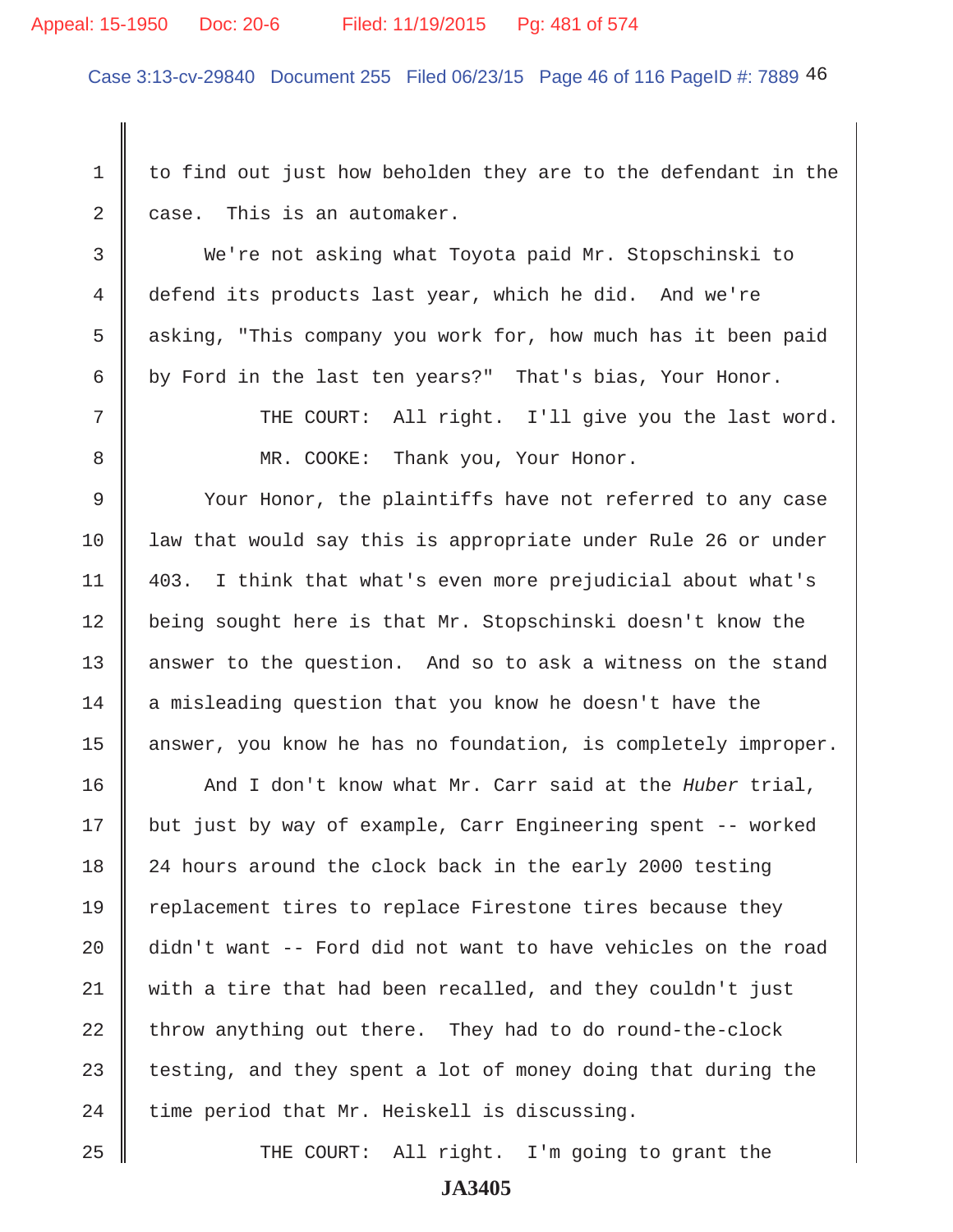#### Appeal: 15-1950 Doc: 20-6 Filed: 11/19/2015 Pg: 481 of 574

Case 3:13-cv-29840 Document 255 Filed 06/23/15 Page 46 of 116 PageID #: 7889 46

 $1 \parallel$  to find out just how beholden they are to the defendant in the  $2 \parallel$  case. This is an automaker.

 3 We're not asking what Toyota paid Mr. Stopschinski to 4 defend its products last year, which he did. And we're 5 asking, "This company you work for, how much has it been paid 6 by Ford in the last ten years?" That's bias, Your Honor.

7 || THE COURT: All right. I'll give you the last word.

8 MR. COOKE: Thank you, Your Honor.

9 Vour Honor, the plaintiffs have not referred to any case 10 law that would say this is appropriate under Rule 26 or under 11 403. I think that what's even more prejudicial about what's 12 | being sought here is that Mr. Stopschinski doesn't know the 13 || answer to the question. And so to ask a witness on the stand  $14$  a misleading question that you know he doesn't have the 15 | answer, you know he has no foundation, is completely improper.

16 || And I don't know what Mr. Carr said at the *Huber* trial, 17 || but just by way of example, Carr Engineering spent -- worked 18 24 hours around the clock back in the early 2000 testing 19 Teplacement tires to replace Firestone tires because they 20 didn't want -- Ford did not want to have vehicles on the road 21 with a tire that had been recalled, and they couldn't just  $22$  throw anything out there. They had to do round-the-clock 23  $\parallel$  testing, and they spent a lot of money doing that during the 24  $\parallel$  time period that Mr. Heiskell is discussing.

25 THE COURT: All right. I'm going to grant the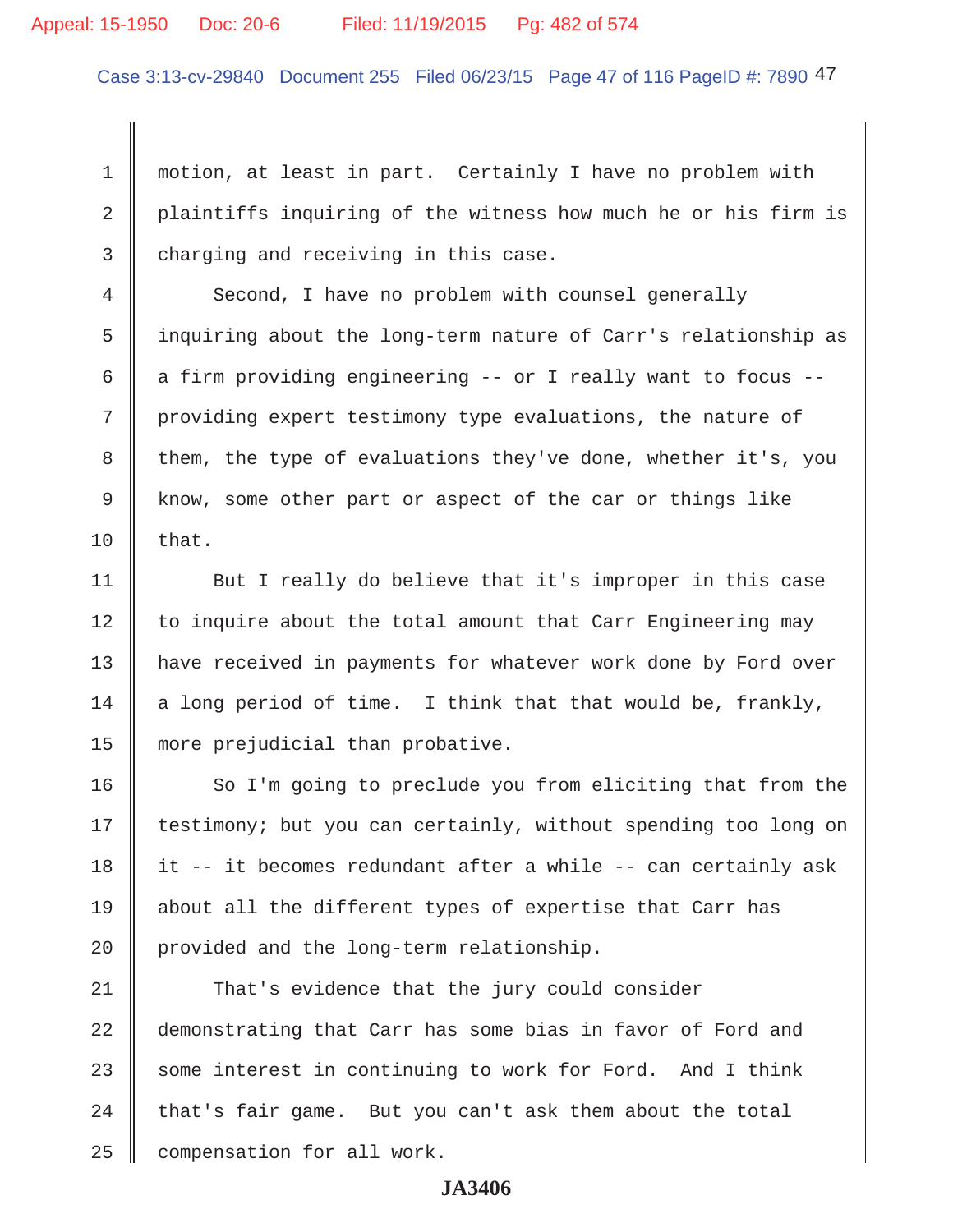#### Appeal: 15-1950 Doc: 20-6 Filed: 11/19/2015 Pg: 482 of 574

Case 3:13-cv-29840 Document 255 Filed 06/23/15 Page 47 of 116 PageID #: 7890 47

1 | motion, at least in part. Certainly I have no problem with 2 | plaintiffs inquiring of the witness how much he or his firm is  $3 \parallel$  charging and receiving in this case.

4 Second, I have no problem with counsel generally 5 inquiring about the long-term nature of Carr's relationship as 6  $\parallel$  a firm providing engineering -- or I really want to focus --7 providing expert testimony type evaluations, the nature of 8 them, the type of evaluations they've done, whether it's, you 9 Know, some other part or aspect of the car or things like  $10 \parallel$  that.

11 | But I really do believe that it's improper in this case  $12$  to inquire about the total amount that Carr Engineering may 13 || have received in payments for whatever work done by Ford over 14  $\parallel$  a long period of time. I think that that would be, frankly, 15 more prejudicial than probative.

16 So I'm going to preclude you from eliciting that from the 17 | testimony; but you can certainly, without spending too long on 18 it -- it becomes redundant after a while -- can certainly ask 19 about all the different types of expertise that Carr has 20 provided and the long-term relationship.

21 That's evidence that the jury could consider 22 demonstrating that Carr has some bias in favor of Ford and  $23$  some interest in continuing to work for Ford. And I think  $24$  | that's fair game. But you can't ask them about the total  $25$  | compensation for all work.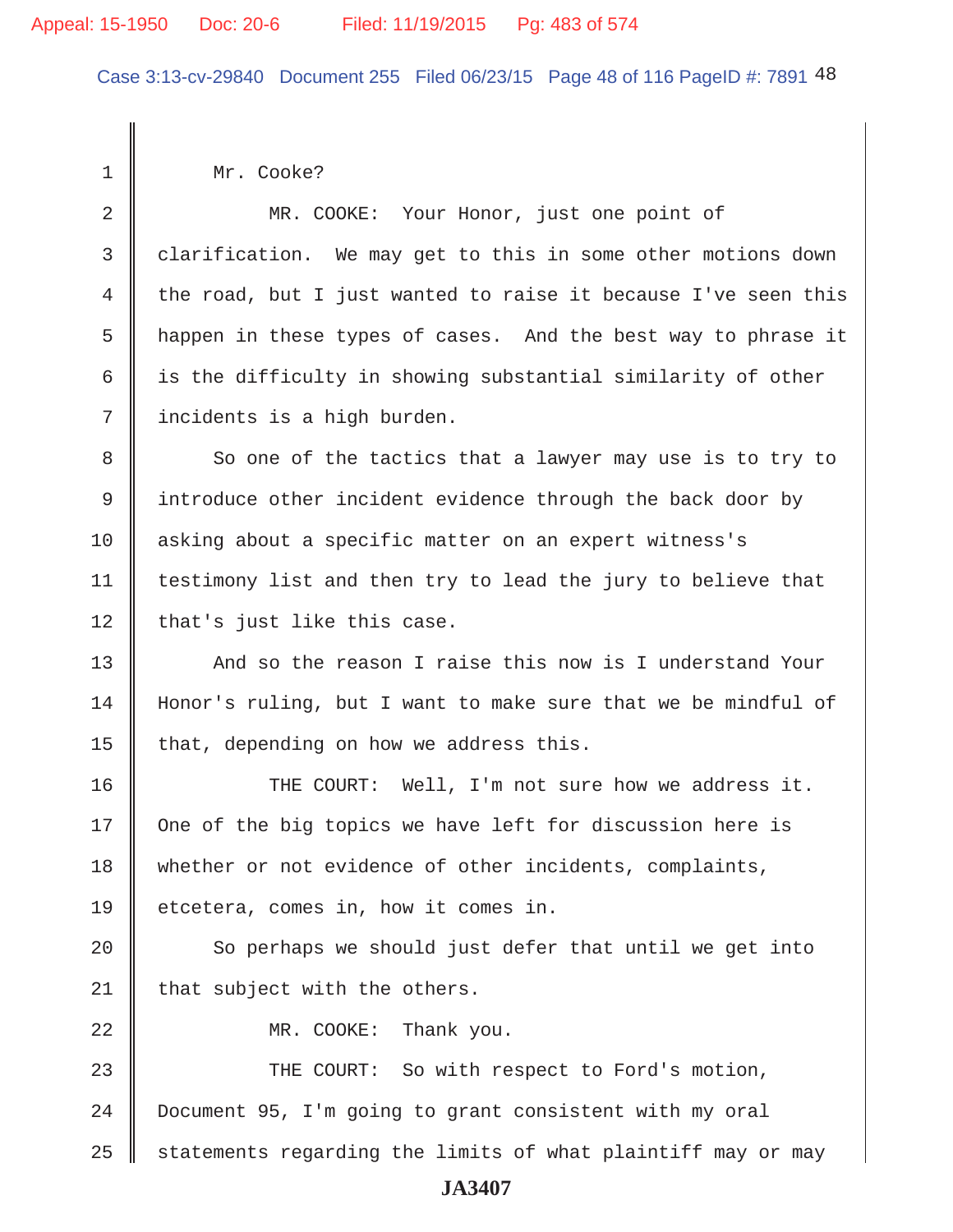Case 3:13-cv-29840 Document 255 Filed 06/23/15 Page 48 of 116 PageID #: 7891 48

1 | Mr. Cooke?

2 MR. COOKE: Your Honor, just one point of 3 clarification. We may get to this in some other motions down 4 the road, but I just wanted to raise it because I've seen this 5 | happen in these types of cases. And the best way to phrase it 6  $\parallel$  is the difficulty in showing substantial similarity of other 7 incidents is a high burden. 8 So one of the tactics that a lawyer may use is to try to 9 I introduce other incident evidence through the back door by 10 asking about a specific matter on an expert witness's 11 | testimony list and then try to lead the jury to believe that  $12$  | that's just like this case. 13 And so the reason I raise this now is I understand Your 14 Honor's ruling, but I want to make sure that we be mindful of 15  $\parallel$  that, depending on how we address this. 16 THE COURT: Well, I'm not sure how we address it.  $17$   $\parallel$  One of the big topics we have left for discussion here is 18 whether or not evidence of other incidents, complaints, 19 || etcetera, comes in, how it comes in.  $20$   $\parallel$  So perhaps we should just defer that until we get into 21 | that subject with the others. 22 MR. COOKE: Thank you. 23 THE COURT: So with respect to Ford's motion, 24 Document 95, I'm going to grant consistent with my oral  $25$   $\parallel$  statements regarding the limits of what plaintiff may or may **JA3407**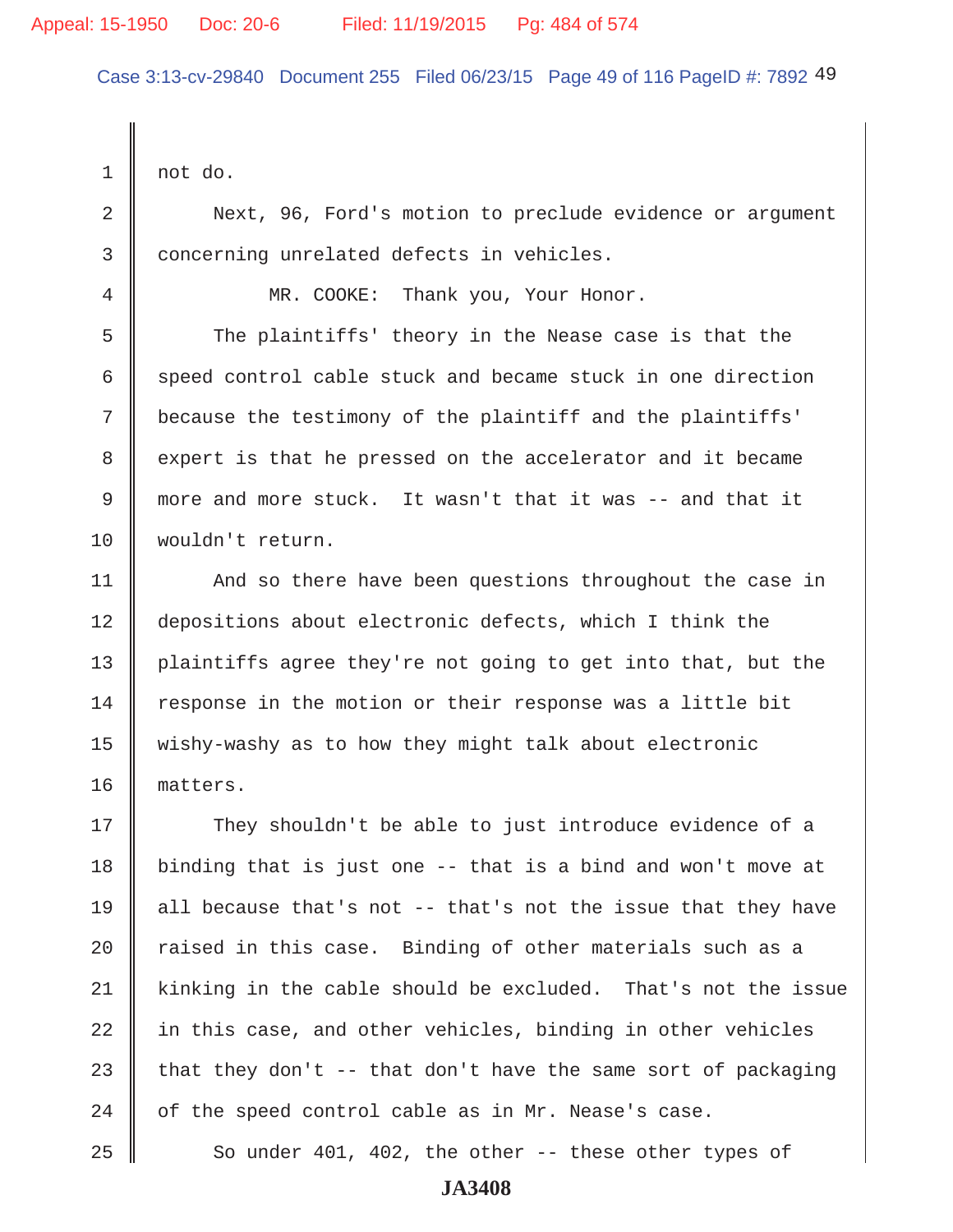Case 3:13-cv-29840 Document 255 Filed 06/23/15 Page 49 of 116 PageID #: 7892 49

 $1 \parallel$  not do. 2 Next, 96, Ford's motion to preclude evidence or argument 3 concerning unrelated defects in vehicles. 4 || MR. COOKE: Thank you, Your Honor. 5 The plaintiffs' theory in the Nease case is that the  $6 \parallel$  speed control cable stuck and became stuck in one direction 7 because the testimony of the plaintiff and the plaintiffs' 8 expert is that he pressed on the accelerator and it became 9 more and more stuck. It wasn't that it was -- and that it 10 | wouldn't return. 11 | And so there have been questions throughout the case in 12 depositions about electronic defects, which I think the 13 plaintiffs agree they're not going to get into that, but the 14 Tesponse in the motion or their response was a little bit 15 wishy-washy as to how they might talk about electronic 16 matters. 17 They shouldn't be able to just introduce evidence of a 18 | binding that is just one  $-$  that is a bind and won't move at 19 || all because that's not  $-$ - that's not the issue that they have  $20$   $\parallel$  raised in this case. Binding of other materials such as a  $21$  kinking in the cable should be excluded. That's not the issue  $22$  in this case, and other vehicles, binding in other vehicles 23 that they don't -- that don't have the same sort of packaging  $24$  | of the speed control cable as in Mr. Nease's case. 25  $\parallel$  So under 401, 402, the other -- these other types of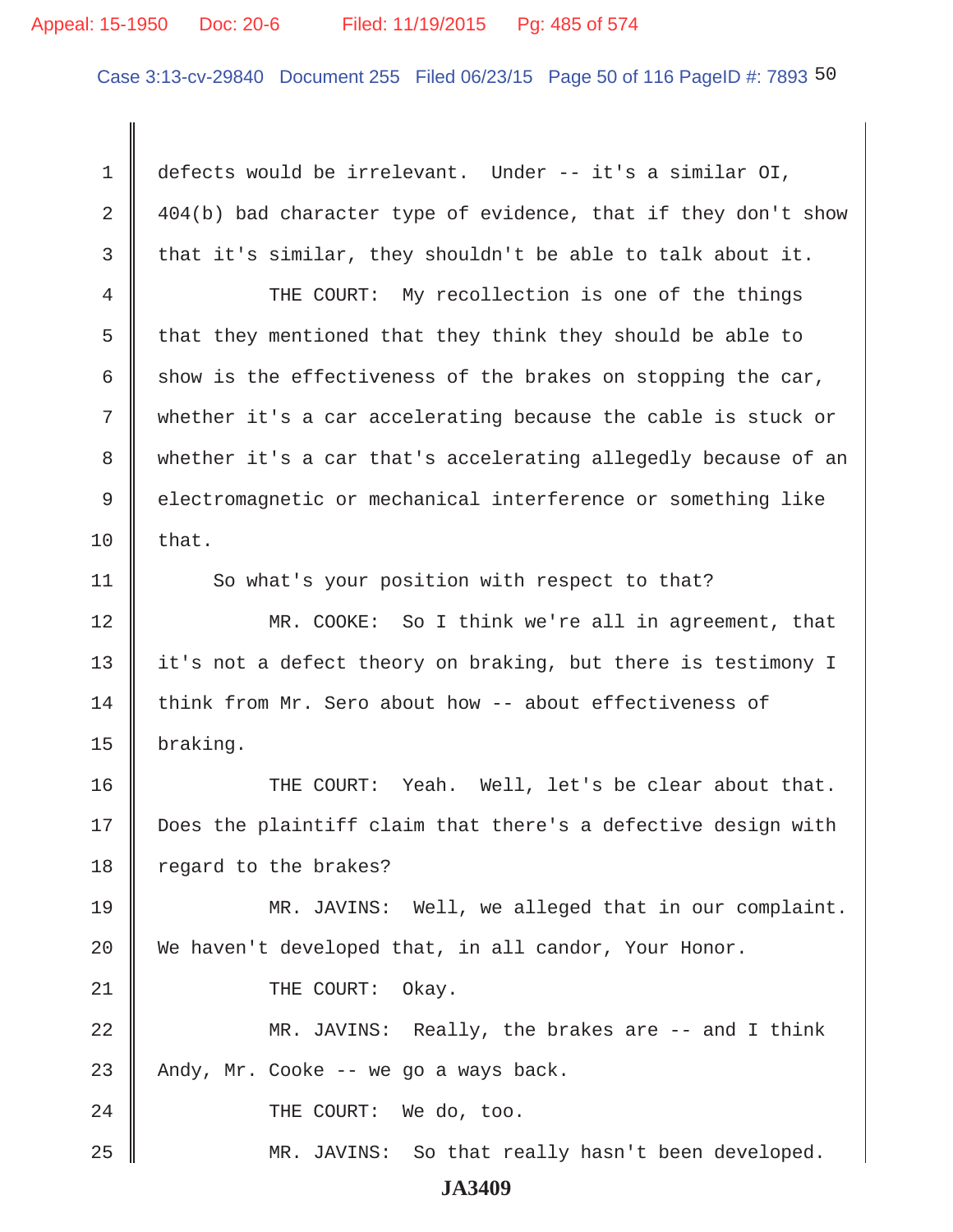#### Appeal: 15-1950 Doc: 20-6 Filed: 11/19/2015 Pg: 485 of 574

Case 3:13-cv-29840 Document 255 Filed 06/23/15 Page 50 of 116 PageID #: 7893 50

 1 defects would be irrelevant. Under -- it's a similar OI, 2  $\parallel$  404(b) bad character type of evidence, that if they don't show 3 that it's similar, they shouldn't be able to talk about it. 4 THE COURT: My recollection is one of the things 5  $\parallel$  that they mentioned that they think they should be able to 6 show is the effectiveness of the brakes on stopping the car, 7 whether it's a car accelerating because the cable is stuck or 8 whether it's a car that's accelerating allegedly because of an 9 electromagnetic or mechanical interference or something like  $10$  | that. 11 So what's your position with respect to that? 12 MR. COOKE: So I think we're all in agreement, that 13 it's not a defect theory on braking, but there is testimony I 14 think from Mr. Sero about how -- about effectiveness of 15 braking. 16 THE COURT: Yeah. Well, let's be clear about that. 17 Does the plaintiff claim that there's a defective design with 18 regard to the brakes? 19 MR. JAVINS: Well, we alleged that in our complaint. 20 We haven't developed that, in all candor, Your Honor. 21 || THE COURT: Okay. 22 MR. JAVINS: Really, the brakes are -- and I think 23 Andy, Mr. Cooke  $-$  we go a ways back. 24 || THE COURT: We do, too. 25 MR. JAVINS: So that really hasn't been developed.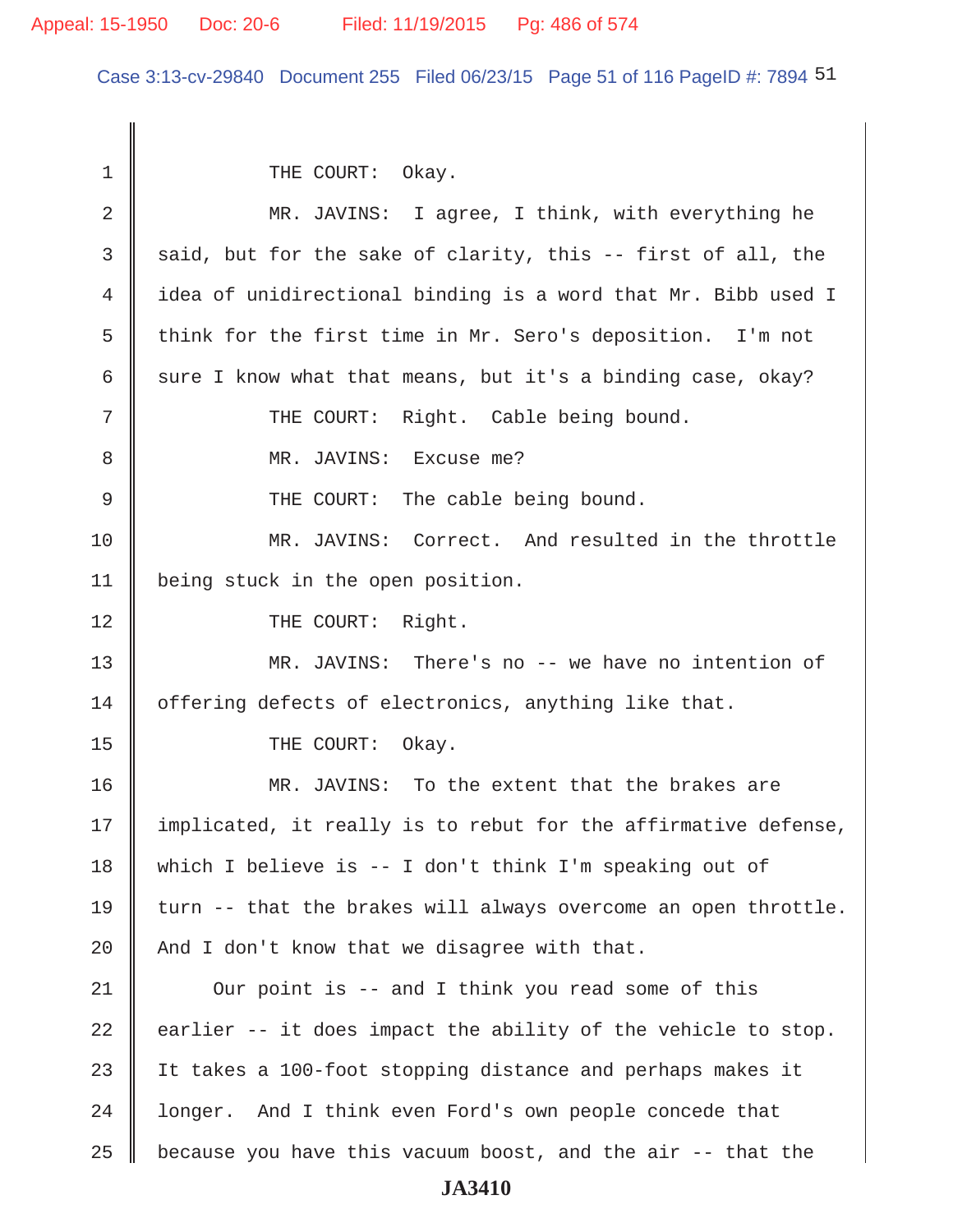#### Appeal: 15-1950 Doc: 20-6 Filed: 11/19/2015 Pg: 486 of 574

Case 3:13-cv-29840 Document 255 Filed 06/23/15 Page 51 of 116 PageID #: 7894 51

1 || THE COURT: Okay. 2 || MR. JAVINS: I agree, I think, with everything he 3 said, but for the sake of clarity, this -- first of all, the 4 idea of unidirectional binding is a word that Mr. Bibb used I 5 think for the first time in Mr. Sero's deposition. I'm not 6 sure I know what that means, but it's a binding case, okay? 7 || THE COURT: Right. Cable being bound. 8 || MR. JAVINS: Excuse me? 9 || THE COURT: The cable being bound. 10 MR. JAVINS: Correct. And resulted in the throttle 11 | being stuck in the open position. 12 || THE COURT: Right. 13 || MR. JAVINS: There's no -- we have no intention of 14 offering defects of electronics, anything like that. 15 COURT: Okay. 16 MR. JAVINS: To the extent that the brakes are 17 | implicated, it really is to rebut for the affirmative defense, 18 which I believe is -- I don't think I'm speaking out of 19 turn  $-$  that the brakes will always overcome an open throttle. 20  $\parallel$  And I don't know that we disagree with that. 21 | Our point is -- and I think you read some of this 22  $\parallel$  earlier -- it does impact the ability of the vehicle to stop. 23 It takes a 100-foot stopping distance and perhaps makes it 24 | longer. And I think even Ford's own people concede that 25  $\parallel$  because you have this vacuum boost, and the air -- that the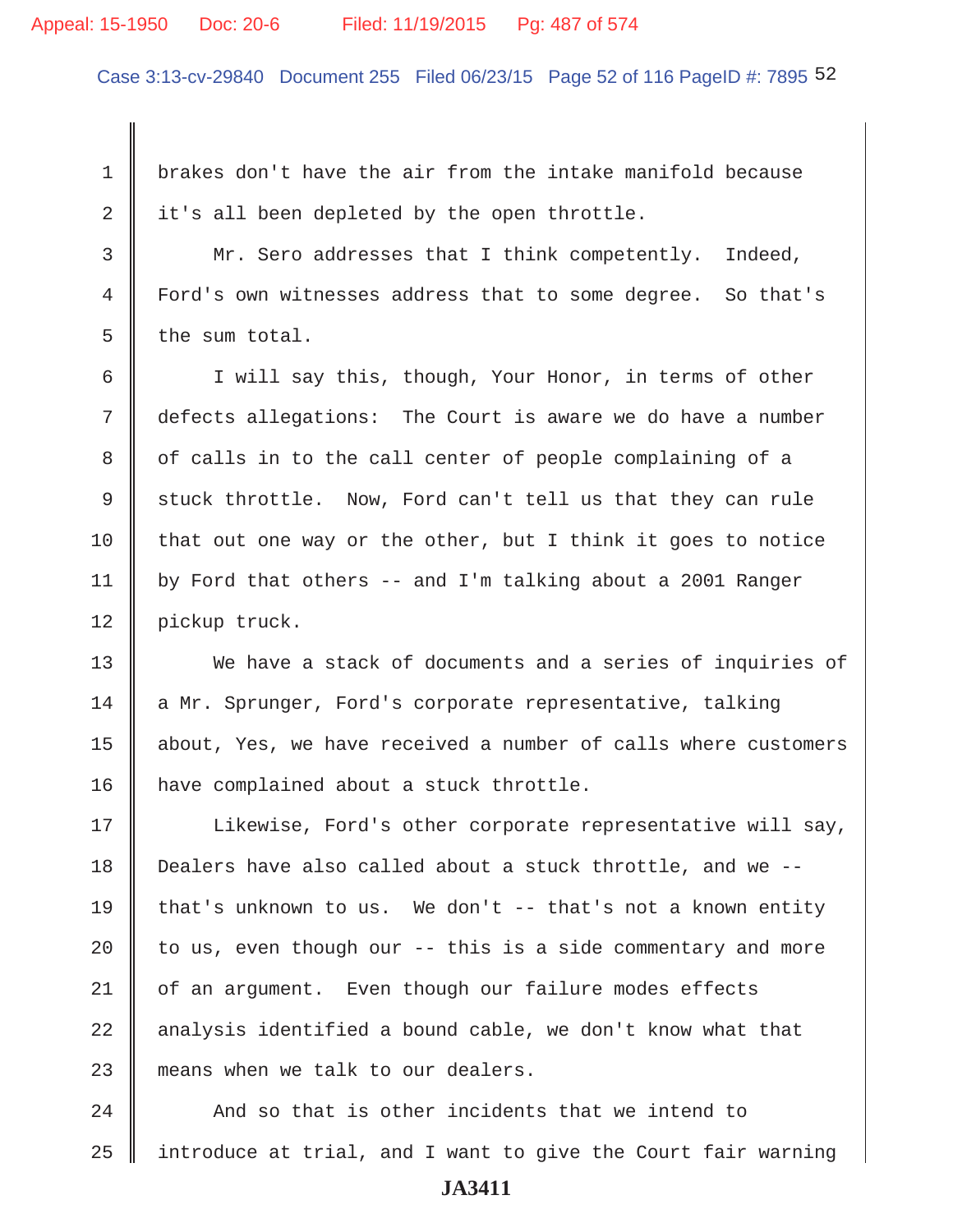#### Appeal: 15-1950 Doc: 20-6 Filed: 11/19/2015 Pg: 487 of 574

Case 3:13-cv-29840 Document 255 Filed 06/23/15 Page 52 of 116 PageID #: 7895 52

 1 brakes don't have the air from the intake manifold because 2 it's all been depleted by the open throttle.

 3 Mr. Sero addresses that I think competently. Indeed, 4 Ford's own witnesses address that to some degree. So that's  $5 \parallel$  the sum total.

 6 I will say this, though, Your Honor, in terms of other 7 defects allegations: The Court is aware we do have a number 8 || of calls in to the call center of people complaining of a 9 stuck throttle. Now, Ford can't tell us that they can rule 10 that out one way or the other, but I think it goes to notice 11 | by Ford that others -- and I'm talking about a 2001 Ranger 12 | pickup truck.

13 We have a stack of documents and a series of inquiries of 14 a Mr. Sprunger, Ford's corporate representative, talking 15 | about, Yes, we have received a number of calls where customers 16 | have complained about a stuck throttle.

17 | Likewise, Ford's other corporate representative will say, 18 Dealers have also called about a stuck throttle, and we -- 19 that's unknown to us. We don't  $-$  that's not a known entity 20  $\parallel$  to us, even though our -- this is a side commentary and more 21 | of an argument. Even though our failure modes effects  $22$  analysis identified a bound cable, we don't know what that 23 means when we talk to our dealers.

24 And so that is other incidents that we intend to  $25$  | introduce at trial, and I want to give the Court fair warning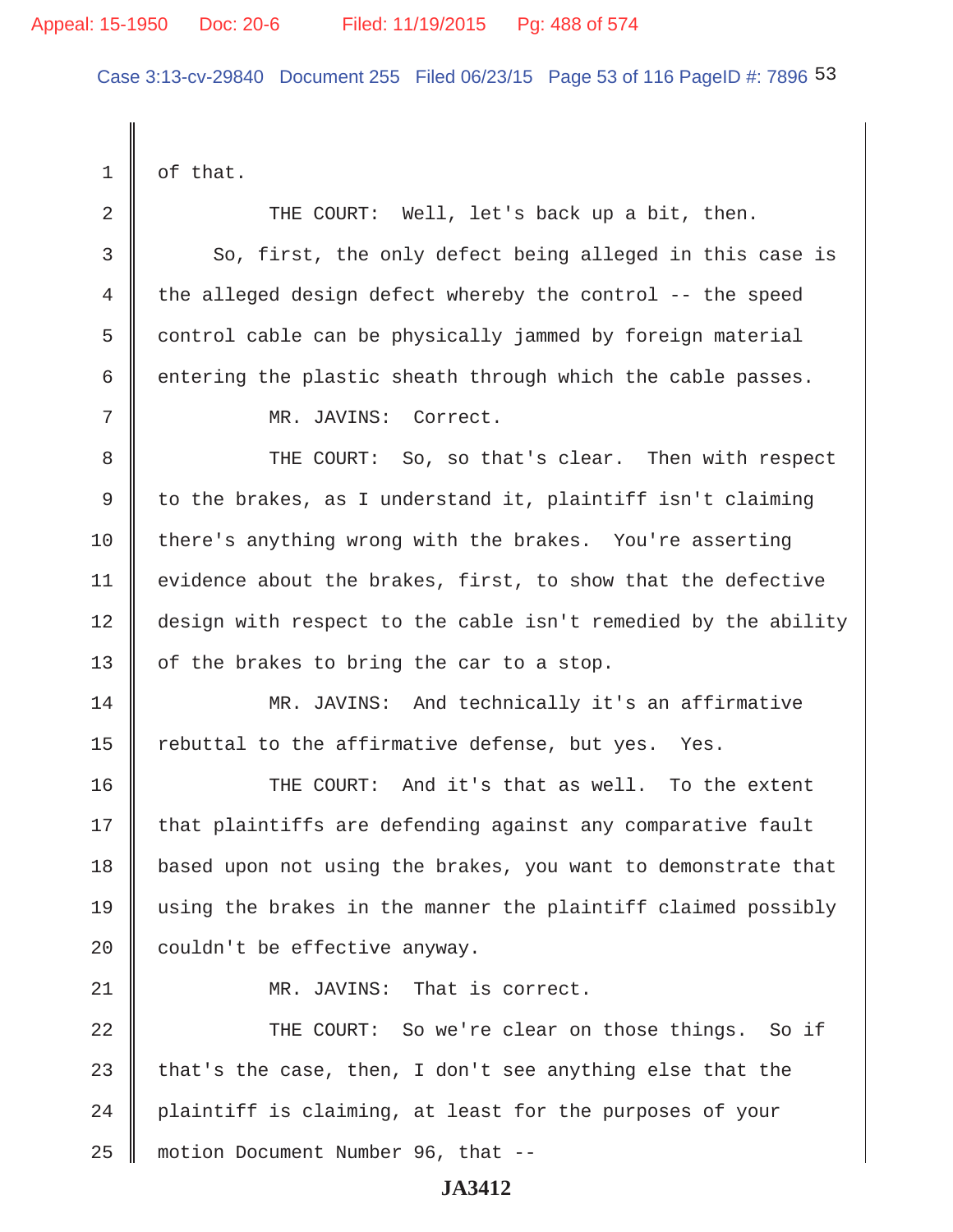Case 3:13-cv-29840 Document 255 Filed 06/23/15 Page 53 of 116 PageID #: 7896 53

 $1 \parallel$  of that.

2 THE COURT: Well, let's back up a bit, then. 3 So, first, the only defect being alleged in this case is 4 the alleged design defect whereby the control  $-$  the speed  $5 \parallel$  control cable can be physically jammed by foreign material 6 entering the plastic sheath through which the cable passes. 7 MR. JAVINS: Correct. 8 THE COURT: So, so that's clear. Then with respect 9 | to the brakes, as I understand it, plaintiff isn't claiming 10 there's anything wrong with the brakes. You're asserting 11 | evidence about the brakes, first, to show that the defective 12 design with respect to the cable isn't remedied by the ability 13 | of the brakes to bring the car to a stop. 14 MR. JAVINS: And technically it's an affirmative 15  $\parallel$  rebuttal to the affirmative defense, but yes. Yes. 16 **THE COURT:** And it's that as well. To the extent  $17$  that plaintiffs are defending against any comparative fault 18 based upon not using the brakes, you want to demonstrate that 19 using the brakes in the manner the plaintiff claimed possibly 20  $\parallel$  couldn't be effective anyway. 21 || MR. JAVINS: That is correct. 22 THE COURT: So we're clear on those things. So if 23 that's the case, then, I don't see anything else that the  $24$  | plaintiff is claiming, at least for the purposes of your 25 motion Document Number 96, that --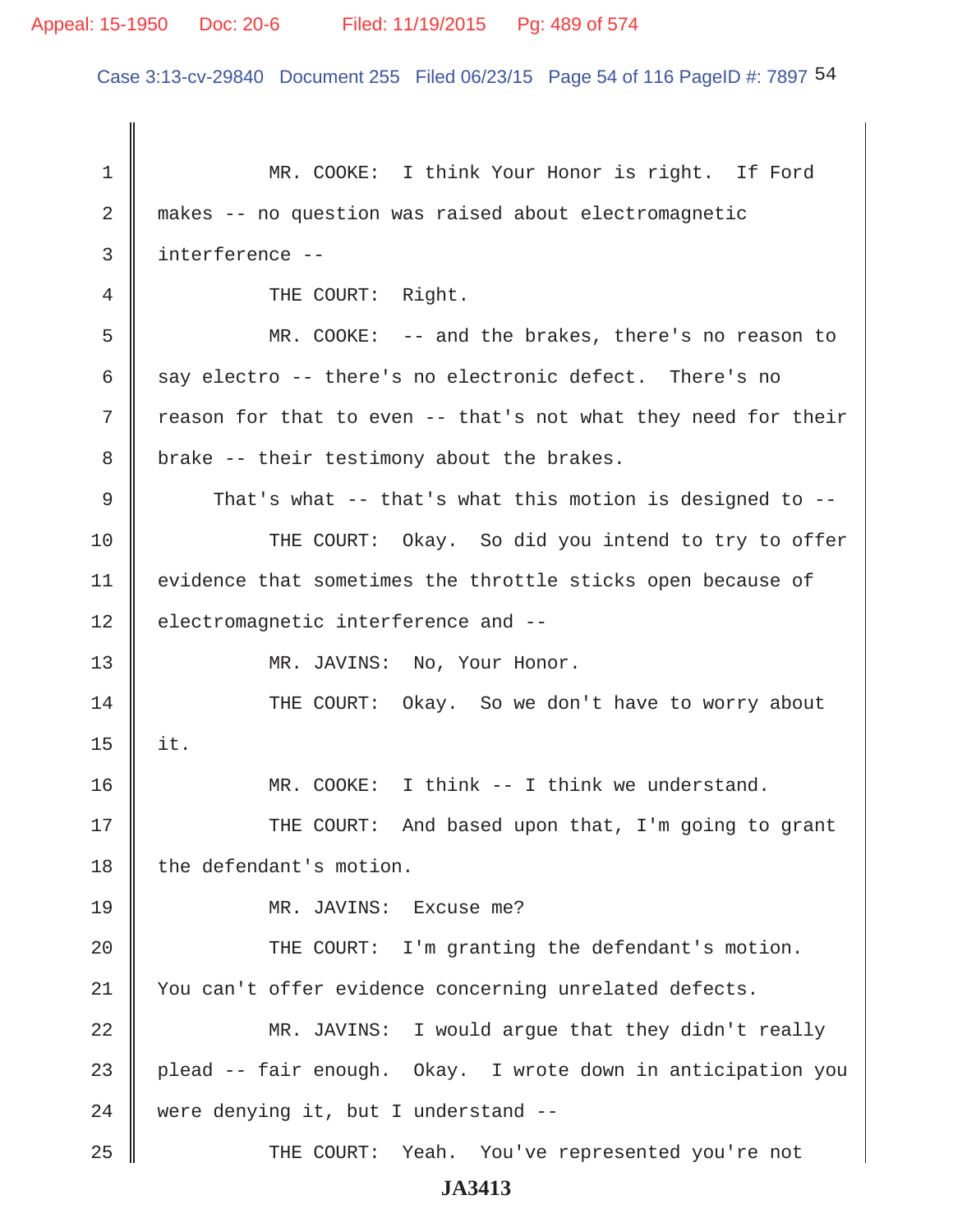Case 3:13-cv-29840 Document 255 Filed 06/23/15 Page 54 of 116 PageID #: 7897 54

 1 MR. COOKE: I think Your Honor is right. If Ford 2 makes -- no question was raised about electromagnetic 3 interference -- 4 || THE COURT: Right. 5 MR. COOKE: -- and the brakes, there's no reason to 6 say electro -- there's no electronic defect. There's no 7 T reason for that to even -- that's not what they need for their 8 | brake -- their testimony about the brakes. 9 That's what -- that's what this motion is designed to  $-$ -10 THE COURT: Okay. So did you intend to try to offer 11 | evidence that sometimes the throttle sticks open because of 12 | electromagnetic interference and --13 || MR. JAVINS: No, Your Honor. 14 THE COURT: Okay. So we don't have to worry about  $15$  | it. 16 MR. COOKE: I think -- I think we understand. 17 THE COURT: And based upon that, I'm going to grant 18 the defendant's motion. 19 MR. JAVINS: Excuse me? 20 || THE COURT: I'm granting the defendant's motion. 21 | You can't offer evidence concerning unrelated defects. 22 MR. JAVINS: I would argue that they didn't really  $23$  plead -- fair enough. Okay. I wrote down in anticipation you 24 were denying it, but I understand --25 THE COURT: Yeah. You've represented you're not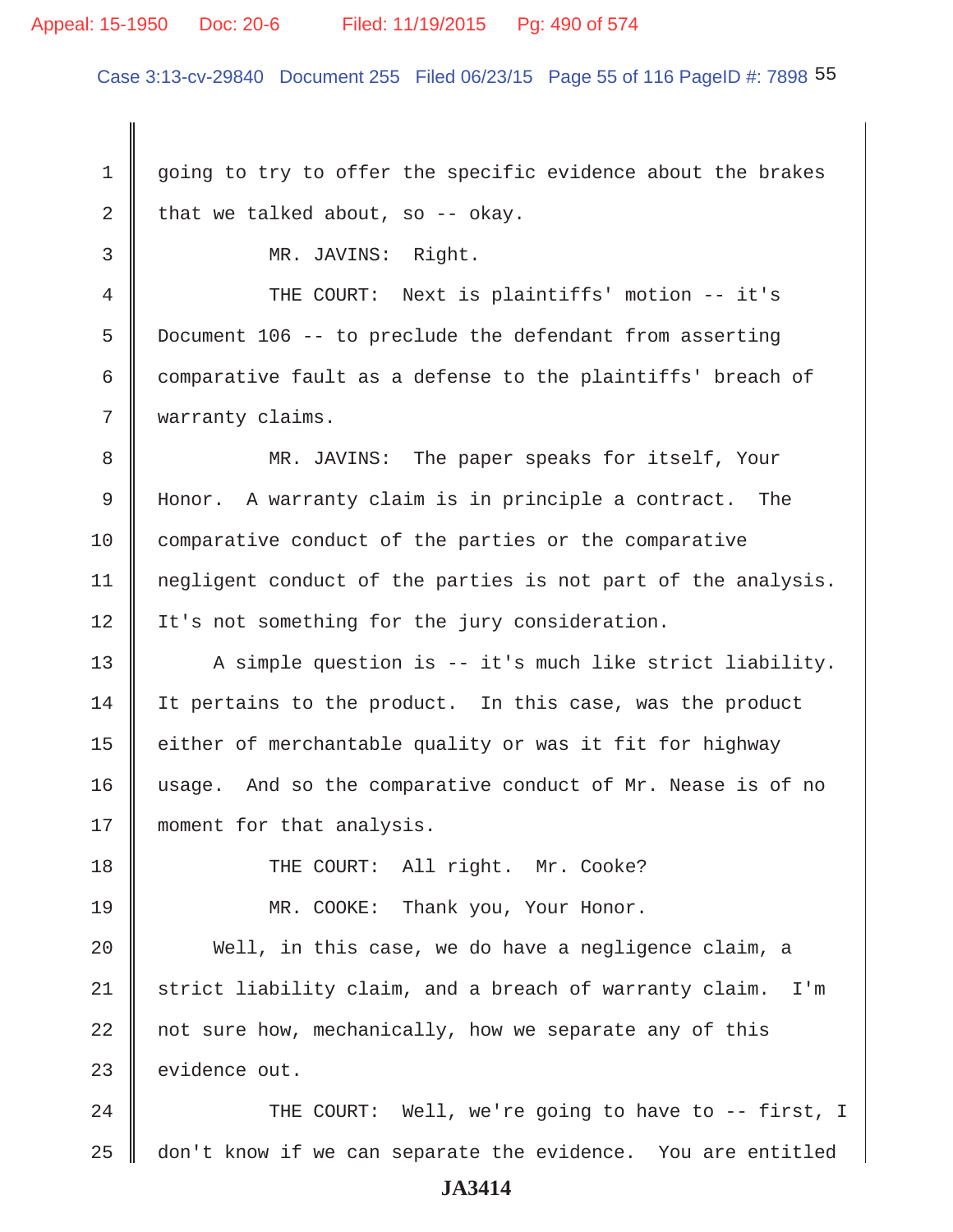#### Appeal: 15-1950 Doc: 20-6 Filed: 11/19/2015 Pg: 490 of 574

Case 3:13-cv-29840 Document 255 Filed 06/23/15 Page 55 of 116 PageID #: 7898 55

1 going to try to offer the specific evidence about the brakes 2 that we talked about, so -- okay.

3 MR. JAVINS: Right.

4 THE COURT: Next is plaintiffs' motion -- it's 5 Document 106 -- to preclude the defendant from asserting 6 comparative fault as a defense to the plaintiffs' breach of 7 | warranty claims.

8 || MR. JAVINS: The paper speaks for itself, Your 9 Honor. A warranty claim is in principle a contract. The 10 comparative conduct of the parties or the comparative 11 | negligent conduct of the parties is not part of the analysis. 12 | It's not something for the jury consideration.

13  $\parallel$  A simple question is -- it's much like strict liability. 14 It pertains to the product. In this case, was the product 15  $\parallel$  either of merchantable quality or was it fit for highway 16 usage. And so the comparative conduct of Mr. Nease is of no 17 || moment for that analysis.

18 THE COURT: All right. Mr. Cooke?

19 MR. COOKE: Thank you, Your Honor.

20 Well, in this case, we do have a negligence claim, a 21 Strict liability claim, and a breach of warranty claim. I'm  $22$   $\parallel$  not sure how, mechanically, how we separate any of this  $23$  evidence out.

24 || THE COURT: Well, we're going to have to -- first, I 25 don't know if we can separate the evidence. You are entitled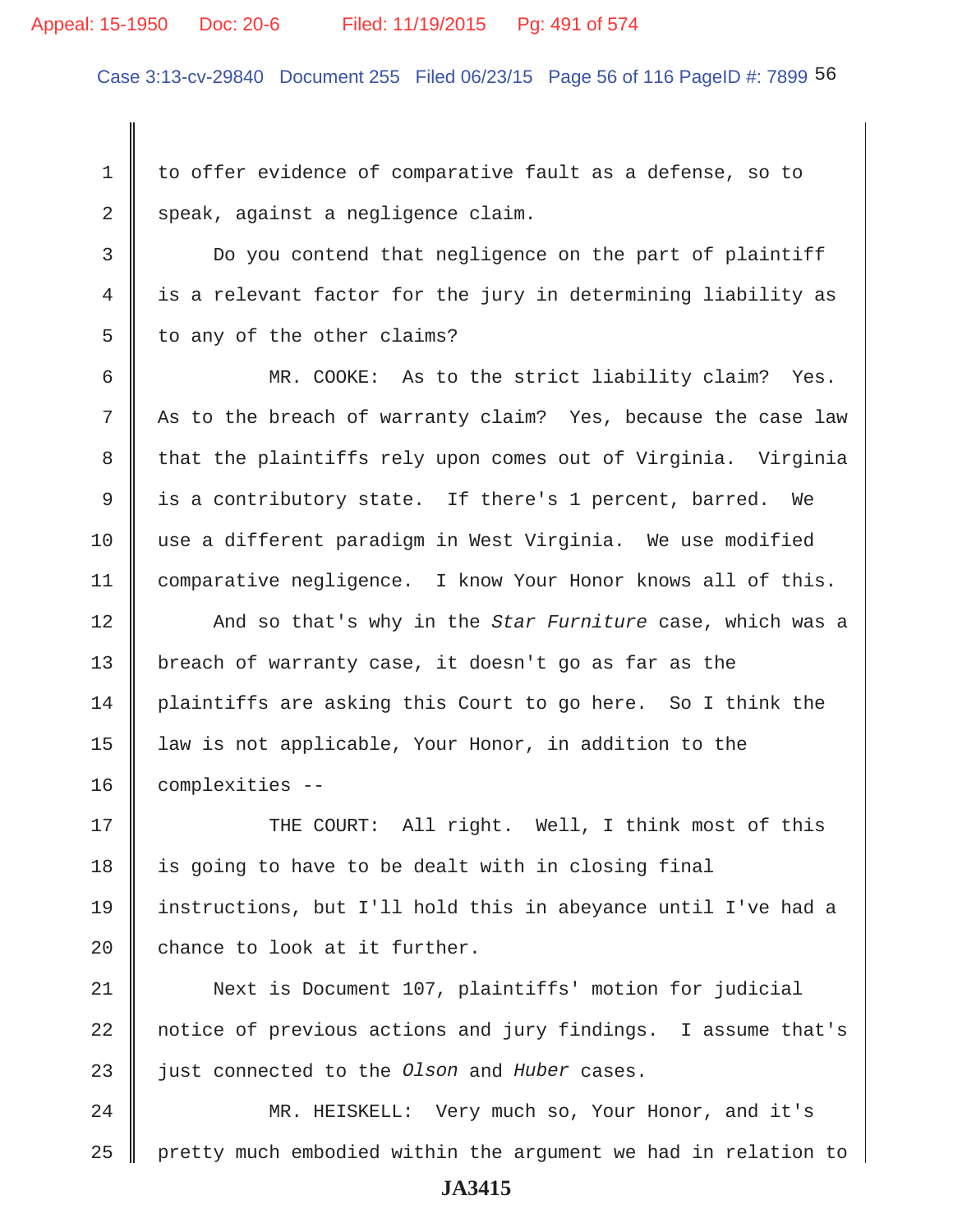#### Appeal: 15-1950 Doc: 20-6 Filed: 11/19/2015 Pg: 491 of 574

Case 3:13-cv-29840 Document 255 Filed 06/23/15 Page 56 of 116 PageID #: 7899 56

1 to offer evidence of comparative fault as a defense, so to 2 speak, against a negligence claim.

 3 Do you contend that negligence on the part of plaintiff 4 is a relevant factor for the jury in determining liability as  $5 \parallel$  to any of the other claims?

6 || MR. COOKE: As to the strict liability claim? Yes. 7 As to the breach of warranty claim? Yes, because the case law 8 that the plaintiffs rely upon comes out of Virginia. Virginia 9 | is a contributory state. If there's 1 percent, barred. We 10 use a different paradigm in West Virginia. We use modified 11 | comparative negligence. I know Your Honor knows all of this.

12 **And so that's why in the** *Star Furniture* case, which was a 13 | breach of warranty case, it doesn't go as far as the 14 plaintiffs are asking this Court to go here. So I think the 15 | law is not applicable, Your Honor, in addition to the 16 | complexities --

17 THE COURT: All right. Well, I think most of this  $18$  is going to have to be dealt with in closing final 19 instructions, but I'll hold this in abeyance until I've had a 20  $\parallel$  chance to look at it further.

21 Next is Document 107, plaintiffs' motion for judicial 22 notice of previous actions and jury findings. I assume that's 23 || just connected to the *Olson* and *Huber* cases.

24 MR. HEISKELL: Very much so, Your Honor, and it's 25  $\parallel$  pretty much embodied within the argument we had in relation to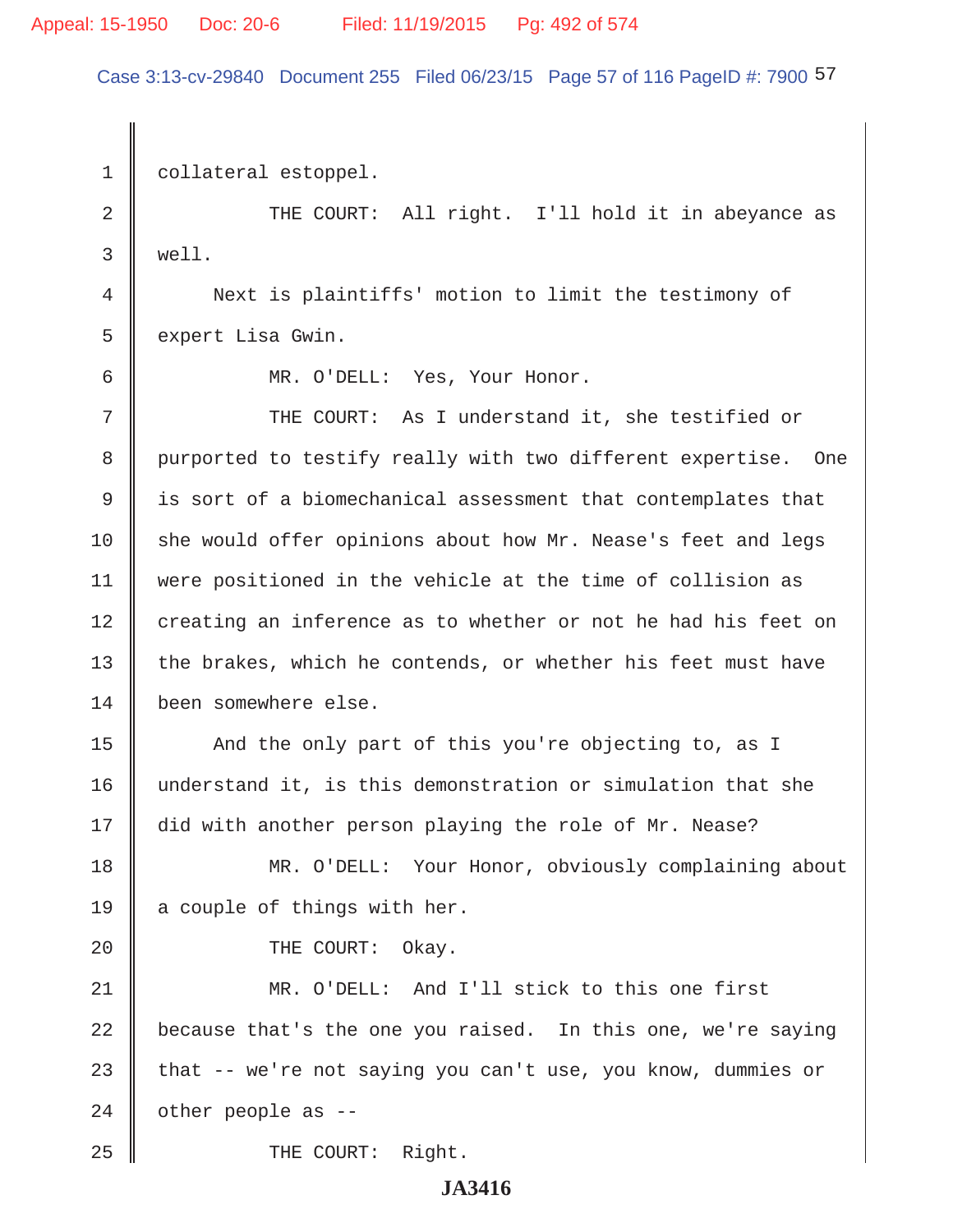# Appeal: 15-1950 Doc: 20-6 Filed: 11/19/2015 Pg: 492 of 574

Case 3:13-cv-29840 Document 255 Filed 06/23/15 Page 57 of 116 PageID #: 7900 57

1 | collateral estoppel. 2 THE COURT: All right. I'll hold it in abeyance as 3 well. 4 Next is plaintiffs' motion to limit the testimony of 5 | expert Lisa Gwin. 6 MR. O'DELL: Yes, Your Honor. 7 THE COURT: As I understand it, she testified or 8 | purported to testify really with two different expertise. One 9 is sort of a biomechanical assessment that contemplates that  $10$  she would offer opinions about how Mr. Nease's feet and legs 11 were positioned in the vehicle at the time of collision as 12 creating an inference as to whether or not he had his feet on 13 the brakes, which he contends, or whether his feet must have 14 been somewhere else. 15 And the only part of this you're objecting to, as I 16 understand it, is this demonstration or simulation that she 17 did with another person playing the role of Mr. Nease? 18 MR. O'DELL: Your Honor, obviously complaining about 19  $\parallel$  a couple of things with her. 20 COURT: Okay. 21 MR. O'DELL: And I'll stick to this one first 22 because that's the one you raised. In this one, we're saying 23  $\parallel$  that -- we're not saying you can't use, you know, dummies or  $24$  | other people as --25 || THE COURT: Right.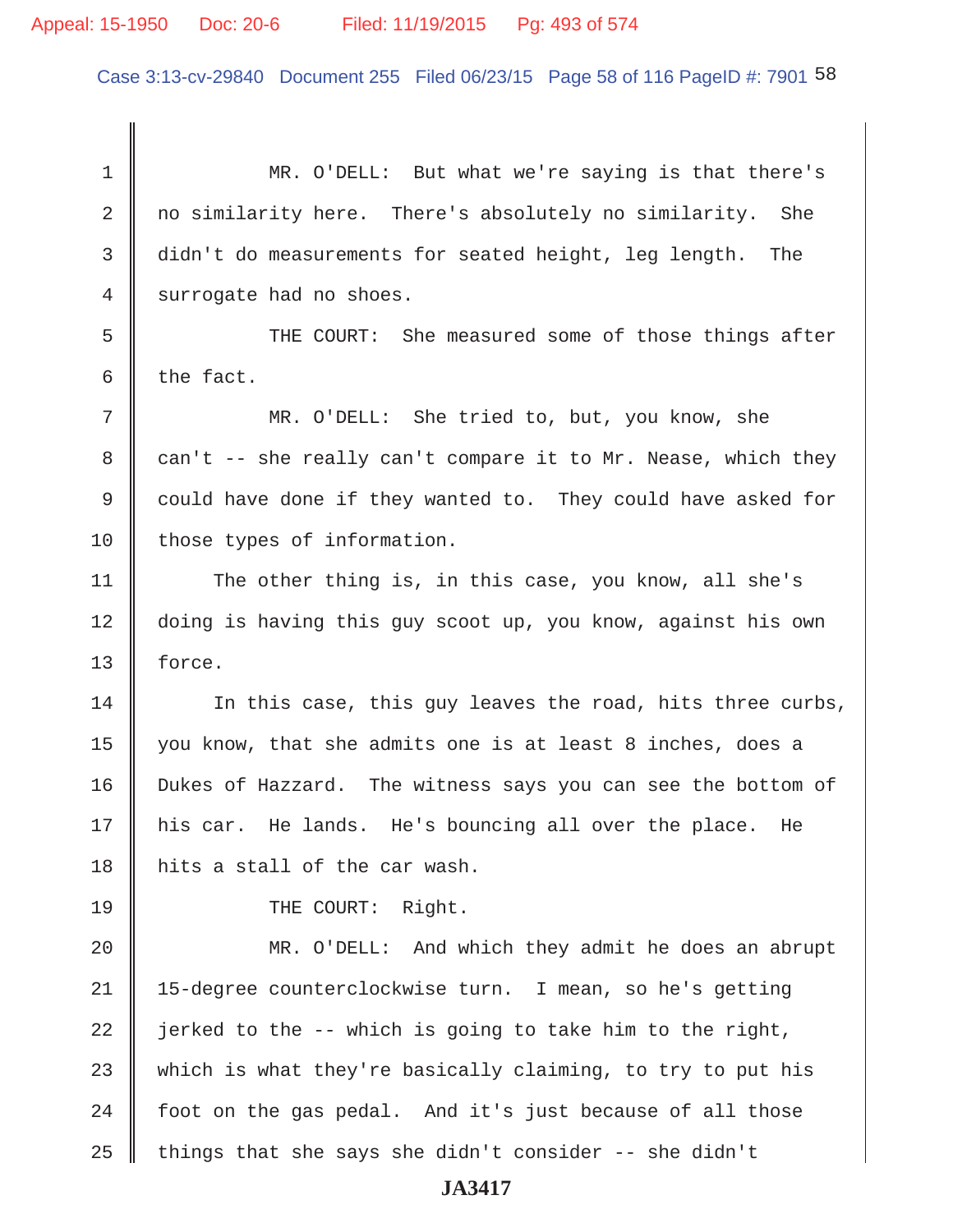## Appeal: 15-1950 Doc: 20-6 Filed: 11/19/2015 Pg: 493 of 574

Case 3:13-cv-29840 Document 255 Filed 06/23/15 Page 58 of 116 PageID #: 7901 58

 1 MR. O'DELL: But what we're saying is that there's 2 no similarity here. There's absolutely no similarity. She 3 didn't do measurements for seated height, leg length. The 4 surrogate had no shoes. 5 Supersuper THE COURT: She measured some of those things after 6 the fact.

 7 MR. O'DELL: She tried to, but, you know, she 8 can't  $-$  she really can't compare it to Mr. Nease, which they 9 could have done if they wanted to. They could have asked for 10 those types of information.

11 The other thing is, in this case, you know, all she's 12 doing is having this guy scoot up, you know, against his own 13 force.

14 In this case, this guy leaves the road, hits three curbs, 15 you know, that she admits one is at least 8 inches, does a 16 Dukes of Hazzard. The witness says you can see the bottom of 17 his car. He lands. He's bouncing all over the place. He 18 hits a stall of the car wash.

19 || THE COURT: Right.

20 || MR. O'DELL: And which they admit he does an abrupt 21 15-degree counterclockwise turn. I mean, so he's getting 22  $\parallel$  jerked to the -- which is going to take him to the right, 23 which is what they're basically claiming, to try to put his  $24$  | foot on the gas pedal. And it's just because of all those 25  $\parallel$  things that she says she didn't consider -- she didn't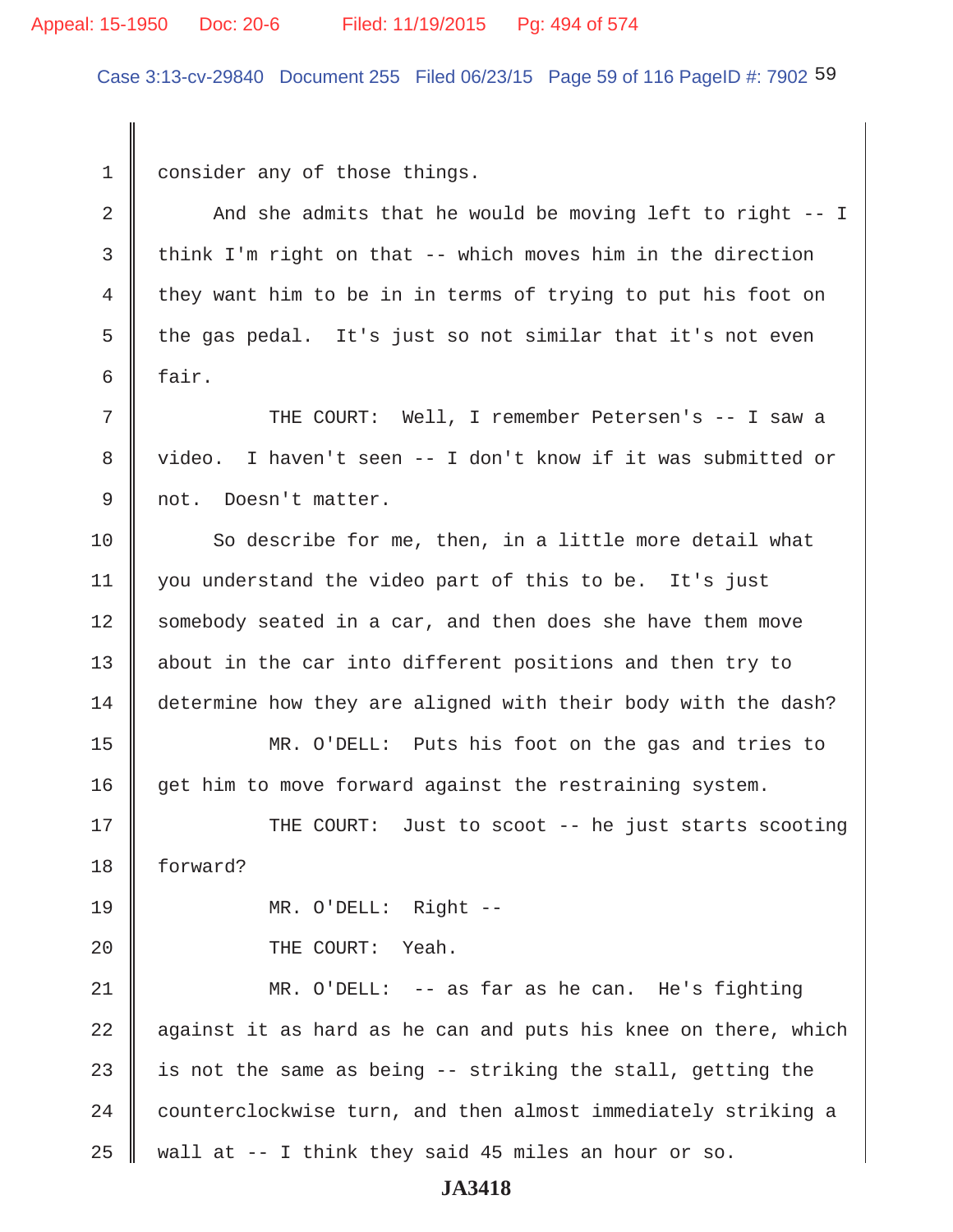#### Appeal: 15-1950 Doc: 20-6 Filed: 11/19/2015 Pg: 494 of 574

Case 3:13-cv-29840 Document 255 Filed 06/23/15 Page 59 of 116 PageID #: 7902 59

1 consider any of those things.

2  $\parallel$  And she admits that he would be moving left to right -- I 3 think I'm right on that  $-$ - which moves him in the direction 4 they want him to be in in terms of trying to put his foot on 5  $\parallel$  the gas pedal. It's just so not similar that it's not even  $6 \parallel$  fair. 7 THE COURT: Well, I remember Petersen's -- I saw a 8 || video. I haven't seen -- I don't know if it was submitted or 9 || not. Doesn't matter. 10 So describe for me, then, in a little more detail what 11 you understand the video part of this to be. It's just 12 Somebody seated in a car, and then does she have them move 13 || about in the car into different positions and then try to 14 determine how they are aligned with their body with the dash? 15 MR. O'DELL: Puts his foot on the gas and tries to 16 get him to move forward against the restraining system. 17 THE COURT: Just to scoot -- he just starts scooting 18 forward? 19 MR. O'DELL: Right -- 20 **COURT:** Yeah. 21 MR. O'DELL: -- as far as he can. He's fighting  $22$   $\parallel$  against it as hard as he can and puts his knee on there, which 23  $\parallel$  is not the same as being -- striking the stall, getting the  $24$   $\parallel$  counterclockwise turn, and then almost immediately striking a 25 || wall at  $-$ - I think they said 45 miles an hour or so.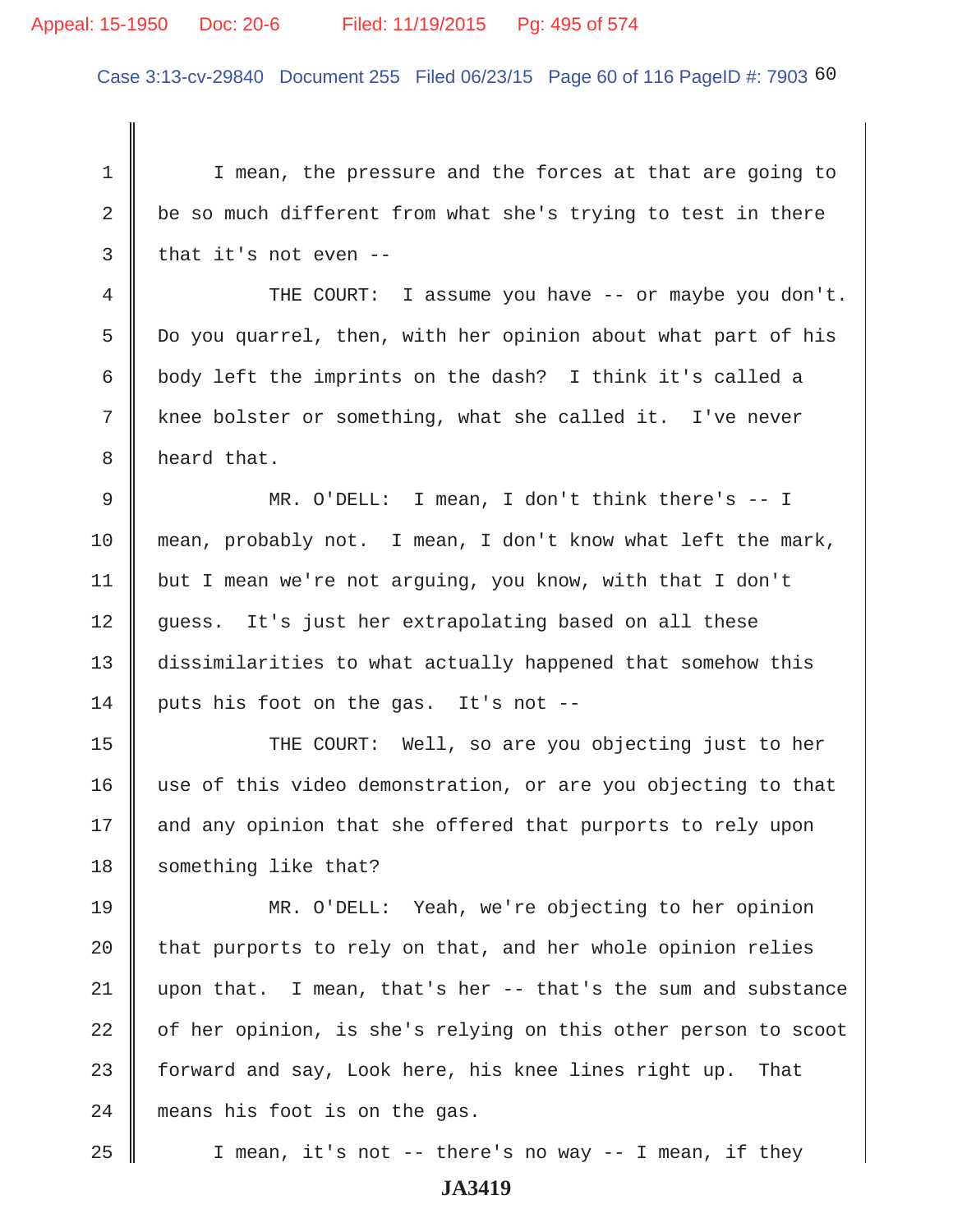#### Appeal: 15-1950 Doc: 20-6 Filed: 11/19/2015 Pg: 495 of 574

Case 3:13-cv-29840 Document 255 Filed 06/23/15 Page 60 of 116 PageID #: 7903 60

1 I I mean, the pressure and the forces at that are going to 2  $\parallel$  be so much different from what she's trying to test in there  $3 \parallel$  that it's not even --4 THE COURT: I assume you have -- or maybe you don't. 5 Do you quarrel, then, with her opinion about what part of his 6 body left the imprints on the dash? I think it's called a 7 knee bolster or something, what she called it. I've never 8 | heard that. 9 MR. O'DELL: I mean, I don't think there's -- I 10 mean, probably not. I mean, I don't know what left the mark, 11 | but I mean we're not arguing, you know, with that I don't 12 guess. It's just her extrapolating based on all these 13 dissimilarities to what actually happened that somehow this  $14$  puts his foot on the gas. It's not --15 || THE COURT: Well, so are you objecting just to her 16 use of this video demonstration, or are you objecting to that 17 || and any opinion that she offered that purports to rely upon 18 Something like that? 19 MR. O'DELL: Yeah, we're objecting to her opinion 20  $\parallel$  that purports to rely on that, and her whole opinion relies  $21$  upon that. I mean, that's her -- that's the sum and substance 22 | of her opinion, is she's relying on this other person to scoot 23  $\parallel$  forward and say, Look here, his knee lines right up. That 24 means his foot is on the gas. 25 || I mean, it's not -- there's no way -- I mean, if they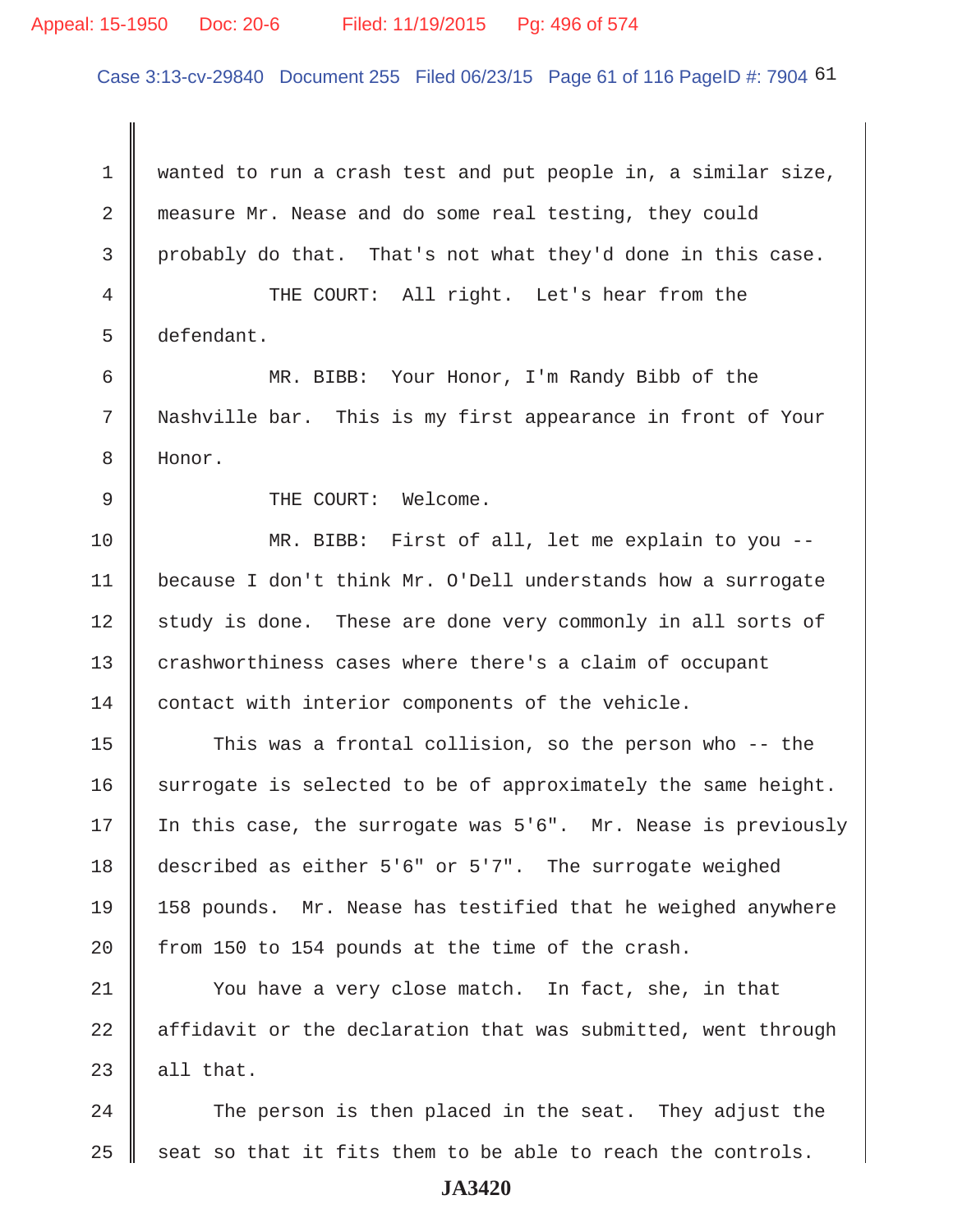#### Appeal: 15-1950 Doc: 20-6 Filed: 11/19/2015 Pg: 496 of 574

Case 3:13-cv-29840 Document 255 Filed 06/23/15 Page 61 of 116 PageID #: 7904 61

 1 wanted to run a crash test and put people in, a similar size, 2 measure Mr. Nease and do some real testing, they could 3 probably do that. That's not what they'd done in this case. 4 THE COURT: All right. Let's hear from the 5 defendant. 6 MR. BIBB: Your Honor, I'm Randy Bibb of the 7 Nashville bar. This is my first appearance in front of Your 8 Honor. 9 || THE COURT: Welcome. 10 MR. BIBB: First of all, let me explain to you -- 11 because I don't think Mr. O'Dell understands how a surrogate 12 study is done. These are done very commonly in all sorts of 13 crashworthiness cases where there's a claim of occupant 14 contact with interior components of the vehicle. 15 This was a frontal collision, so the person who -- the 16 surrogate is selected to be of approximately the same height. 17 In this case, the surrogate was 5'6". Mr. Nease is previously 18 described as either 5'6" or 5'7". The surrogate weighed 19 158 pounds. Mr. Nease has testified that he weighed anywhere 20  $\parallel$  from 150 to 154 pounds at the time of the crash. 21 | You have a very close match. In fact, she, in that  $22$  | affidavit or the declaration that was submitted, went through  $23$  | all that. 24 The person is then placed in the seat. They adjust the

25  $\parallel$  seat so that it fits them to be able to reach the controls.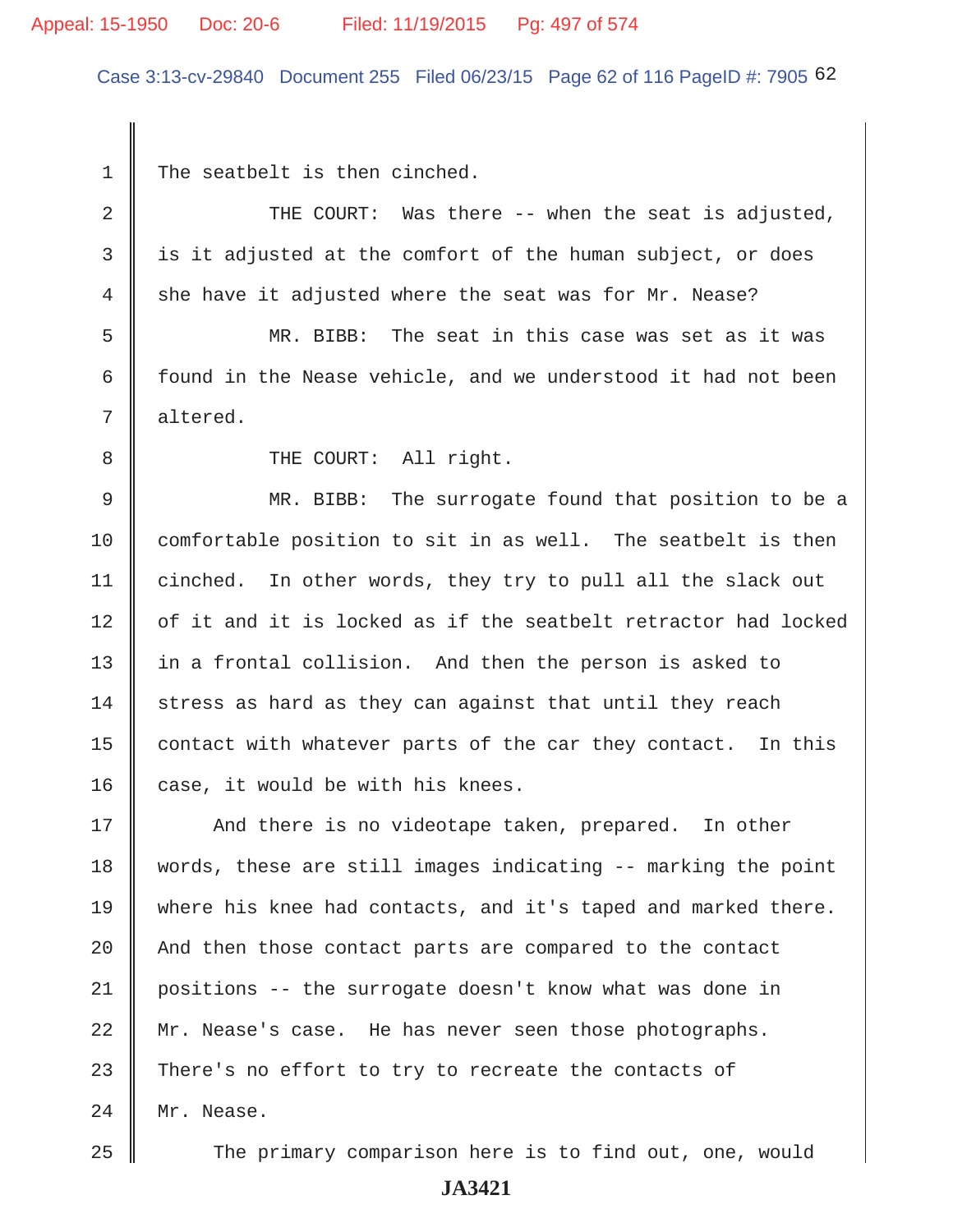# Appeal: 15-1950 Doc: 20-6 Filed: 11/19/2015 Pg: 497 of 574

Case 3:13-cv-29840 Document 255 Filed 06/23/15 Page 62 of 116 PageID #: 7905 62

1 The seatbelt is then cinched.

| $\overline{2}$ | THE COURT: Was there -- when the seat is adjusted,             |
|----------------|----------------------------------------------------------------|
| 3              | is it adjusted at the comfort of the human subject, or does    |
| $\overline{4}$ | she have it adjusted where the seat was for Mr. Nease?         |
| 5              | MR. BIBB: The seat in this case was set as it was              |
| 6              | found in the Nease vehicle, and we understood it had not been  |
| 7              | altered.                                                       |
| 8              | THE COURT: All right.                                          |
| $\mathcal{G}$  | MR. BIBB: The surrogate found that position to be a            |
| 10             | comfortable position to sit in as well. The seatbelt is then   |
| 11             | cinched. In other words, they try to pull all the slack out    |
| 12             | of it and it is locked as if the seatbelt retractor had locked |
| 13             | in a frontal collision. And then the person is asked to        |
| 14             | stress as hard as they can against that until they reach       |
| 15             | contact with whatever parts of the car they contact. In this   |
| 16             | case, it would be with his knees.                              |
| 17             | And there is no videotape taken, prepared. In other            |
| 18             | words, these are still images indicating -- marking the point  |
| 19             | where his knee had contacts, and it's taped and marked there.  |
| 20             | And then those contact parts are compared to the contact       |
| 21             | positions -- the surrogate doesn't know what was done in       |
| 22             | Mr. Nease's case. He has never seen those photographs.         |
| 23             | There's no effort to try to recreate the contacts of           |
| 24             | Mr. Nease.                                                     |
| 25             | The primary comparison here is to find out, one, would         |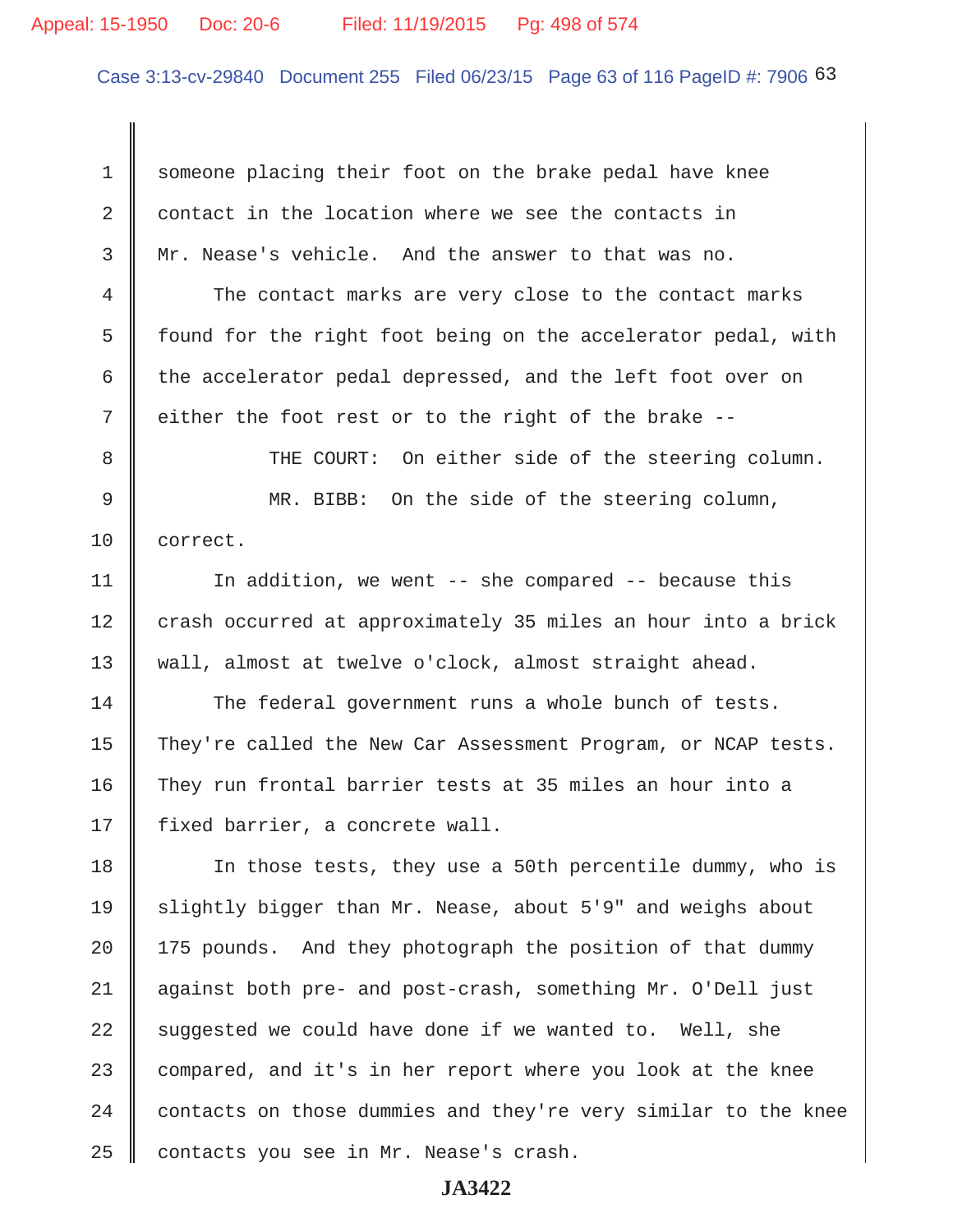#### Appeal: 15-1950 Doc: 20-6 Filed: 11/19/2015 Pg: 498 of 574

Case 3:13-cv-29840 Document 255 Filed 06/23/15 Page 63 of 116 PageID #: 7906 63

1 someone placing their foot on the brake pedal have knee 2 contact in the location where we see the contacts in 3 Mr. Nease's vehicle. And the answer to that was no.

4 The contact marks are very close to the contact marks 5  $\parallel$  found for the right foot being on the accelerator pedal, with 6 the accelerator pedal depressed, and the left foot over on 7 either the foot rest or to the right of the brake --

8 THE COURT: On either side of the steering column. 9 MR. BIBB: On the side of the steering column, 10 correct.

11 | In addition, we went -- she compared -- because this 12 crash occurred at approximately 35 miles an hour into a brick 13 Wall, almost at twelve o'clock, almost straight ahead.

14 The federal government runs a whole bunch of tests. 15 They're called the New Car Assessment Program, or NCAP tests. 16 They run frontal barrier tests at 35 miles an hour into a 17 | fixed barrier, a concrete wall.

18 In those tests, they use a 50th percentile dummy, who is 19 Slightly bigger than Mr. Nease, about 5'9" and weighs about  $20$  | 175 pounds. And they photograph the position of that dummy 21 against both pre- and post-crash, something Mr. O'Dell just 22 suggested we could have done if we wanted to. Well, she 23 compared, and it's in her report where you look at the knee  $24$   $\parallel$  contacts on those dummies and they're very similar to the knee  $25$  contacts you see in Mr. Nease's crash.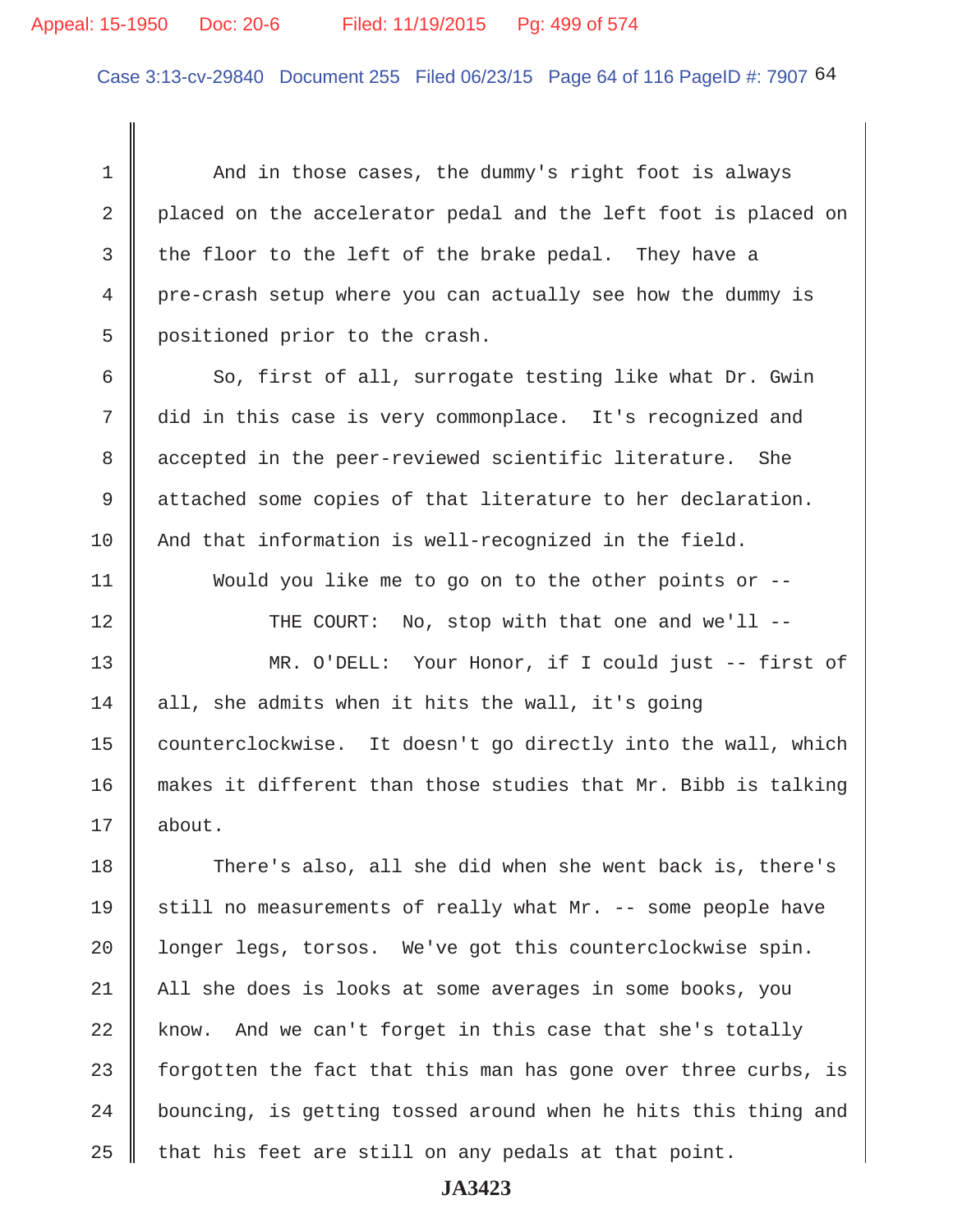#### Appeal: 15-1950 Doc: 20-6 Filed: 11/19/2015 Pg: 499 of 574

Case 3:13-cv-29840 Document 255 Filed 06/23/15 Page 64 of 116 PageID #: 7907 64

1 And in those cases, the dummy's right foot is always 2 placed on the accelerator pedal and the left foot is placed on 3 the floor to the left of the brake pedal. They have a 4 pre-crash setup where you can actually see how the dummy is 5 positioned prior to the crash. 6 So, first of all, surrogate testing like what Dr. Gwin 7 did in this case is very commonplace. It's recognized and 8 accepted in the peer-reviewed scientific literature. She 9 attached some copies of that literature to her declaration. 10 And that information is well-recognized in the field. 11 Would you like me to go on to the other points or -- 12 || THE COURT: No, stop with that one and we'll --13 MR. O'DELL: Your Honor, if I could just -- first of 14 all, she admits when it hits the wall, it's going 15 | counterclockwise. It doesn't go directly into the wall, which 16 makes it different than those studies that Mr. Bibb is talking 17 about. 18 There's also, all she did when she went back is, there's 19  $\parallel$  still no measurements of really what Mr. -- some people have 20 | longer legs, torsos. We've got this counterclockwise spin. 21 All she does is looks at some averages in some books, you  $22$  know. And we can't forget in this case that she's totally 23  $\parallel$  forgotten the fact that this man has gone over three curbs, is  $24$   $\parallel$  bouncing, is getting tossed around when he hits this thing and  $25$  that his feet are still on any pedals at that point.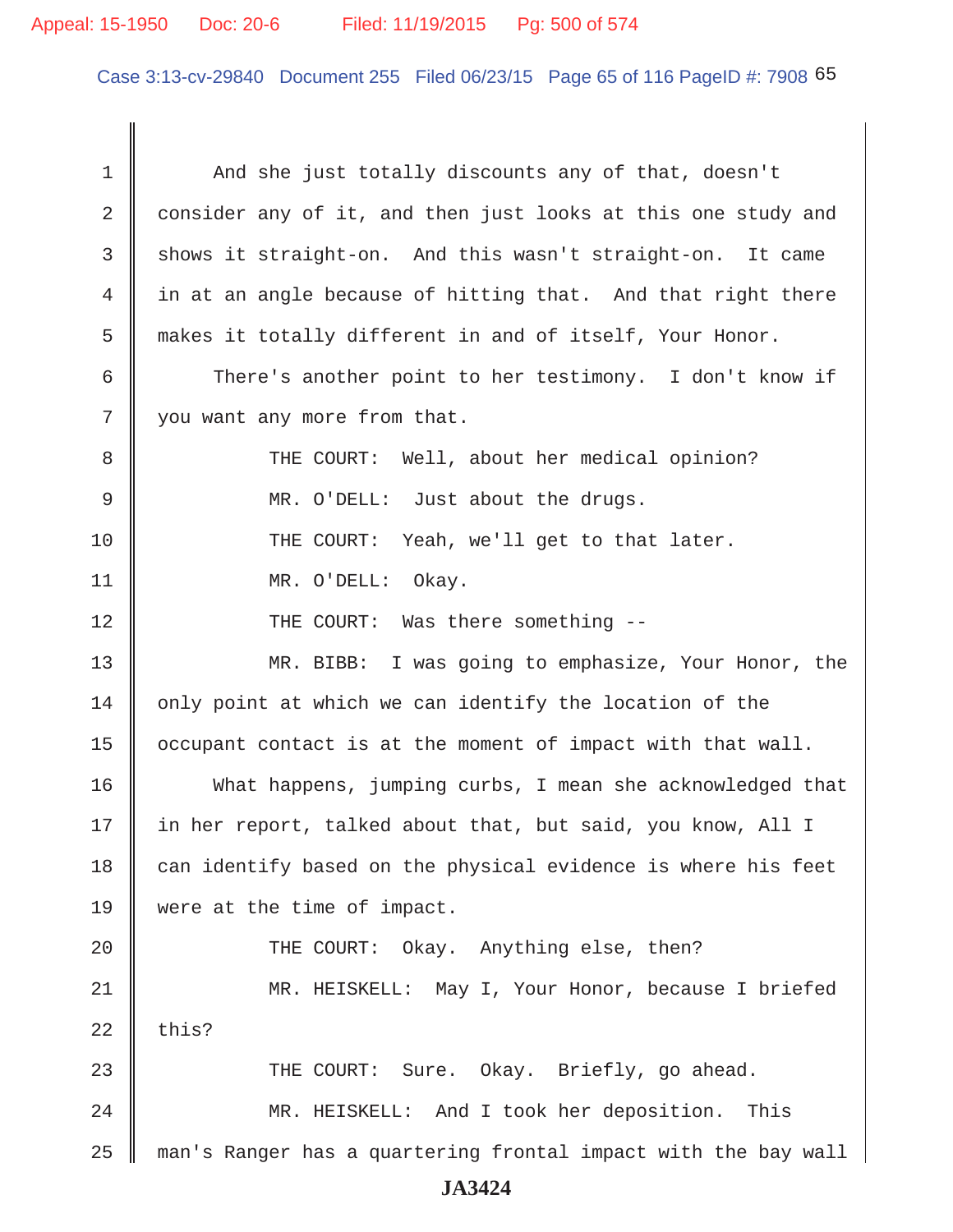#### Appeal: 15-1950 Doc: 20-6 Filed: 11/19/2015 Pg: 500 of 574

Case 3:13-cv-29840 Document 255 Filed 06/23/15 Page 65 of 116 PageID #: 7908 65

1 And she just totally discounts any of that, doesn't 2 consider any of it, and then just looks at this one study and  $3 \parallel$  shows it straight-on. And this wasn't straight-on. It came 4 in at an angle because of hitting that. And that right there 5 || makes it totally different in and of itself, Your Honor. 6 || There's another point to her testimony. I don't know if 7 || you want any more from that. 8 THE COURT: Well, about her medical opinion? 9 MR. O'DELL: Just about the drugs. 10 THE COURT: Yeah, we'll get to that later. 11 || MR. O'DELL: Okay. 12 || THE COURT: Was there something --13 MR. BIBB: I was going to emphasize, Your Honor, the  $14$  only point at which we can identify the location of the  $15$  | occupant contact is at the moment of impact with that wall. 16 What happens, jumping curbs, I mean she acknowledged that 17 in her report, talked about that, but said, you know, All I  $18$  can identify based on the physical evidence is where his feet 19 were at the time of impact. 20 || THE COURT: Okay. Anything else, then? 21 MR. HEISKELL: May I, Your Honor, because I briefed  $22$  this? 23 THE COURT: Sure. Okay. Briefly, go ahead. 24 | MR. HEISKELL: And I took her deposition. This 25 man's Ranger has a quartering frontal impact with the bay wall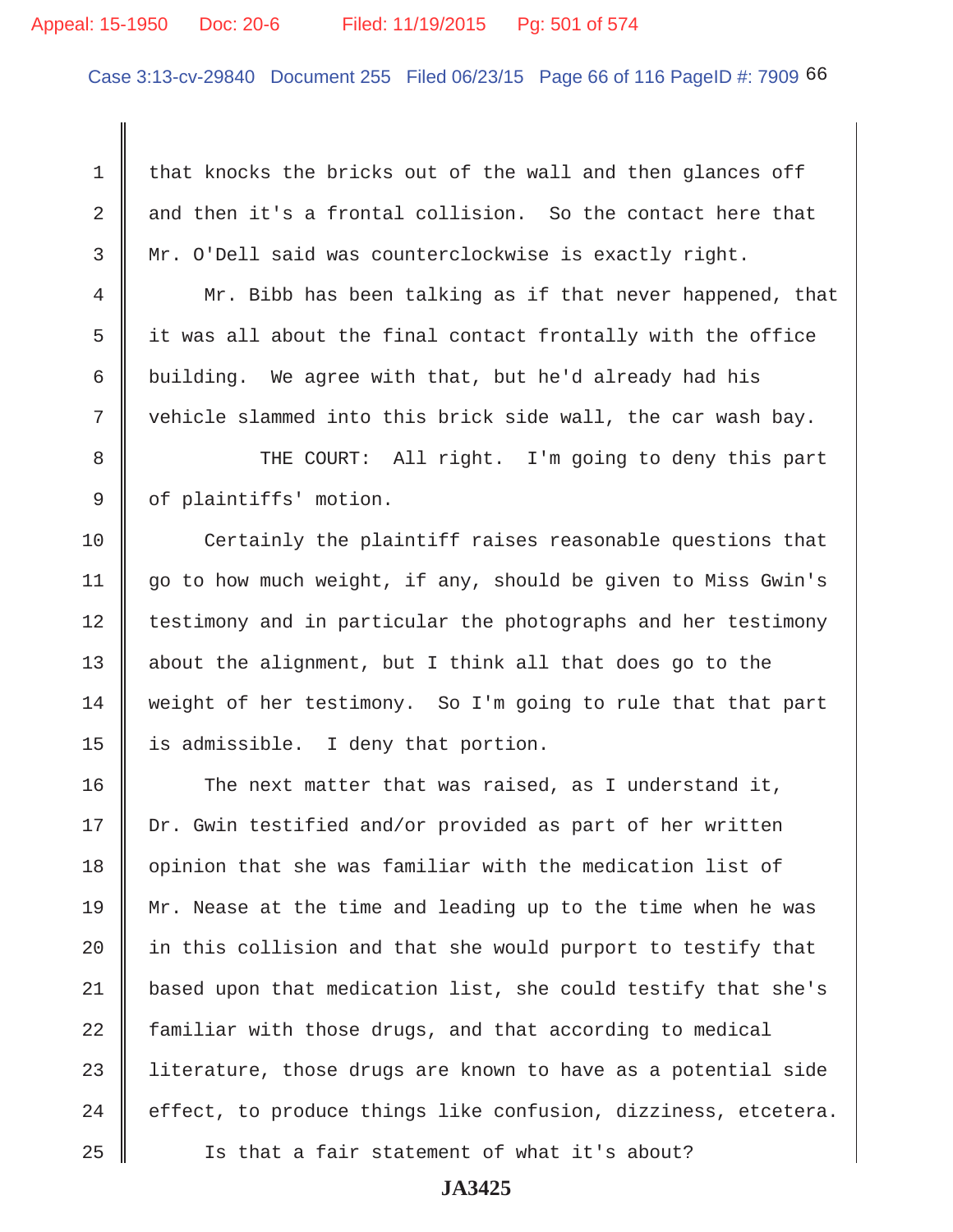# Appeal: 15-1950 Doc: 20-6 Filed: 11/19/2015 Pg: 501 of 574

Case 3:13-cv-29840 Document 255 Filed 06/23/15 Page 66 of 116 PageID #: 7909 66

1 that knocks the bricks out of the wall and then glances off 2  $\parallel$  and then it's a frontal collision. So the contact here that 3 Mr. O'Dell said was counterclockwise is exactly right.

4 Mr. Bibb has been talking as if that never happened, that  $5$  it was all about the final contact frontally with the office 6 building. We agree with that, but he'd already had his 7 || vehicle slammed into this brick side wall, the car wash bay.

8 || THE COURT: All right. I'm going to deny this part 9 | of plaintiffs' motion.

 $10$   $\parallel$  Certainly the plaintiff raises reasonable questions that 11 go to how much weight, if any, should be given to Miss Gwin's 12 testimony and in particular the photographs and her testimony 13  $\parallel$  about the alignment, but I think all that does go to the 14 Weight of her testimony. So I'm going to rule that that part 15  $\parallel$  is admissible. I deny that portion.

16 The next matter that was raised, as I understand it, 17 | Dr. Gwin testified and/or provided as part of her written  $18$  opinion that she was familiar with the medication list of 19  $\parallel$  Mr. Nease at the time and leading up to the time when he was 20  $\parallel$  in this collision and that she would purport to testify that 21 based upon that medication list, she could testify that she's  $22$  familiar with those drugs, and that according to medical 23  $\parallel$  literature, those drugs are known to have as a potential side 24  $\parallel$  effect, to produce things like confusion, dizziness, etcetera. 25 Is that a fair statement of what it's about?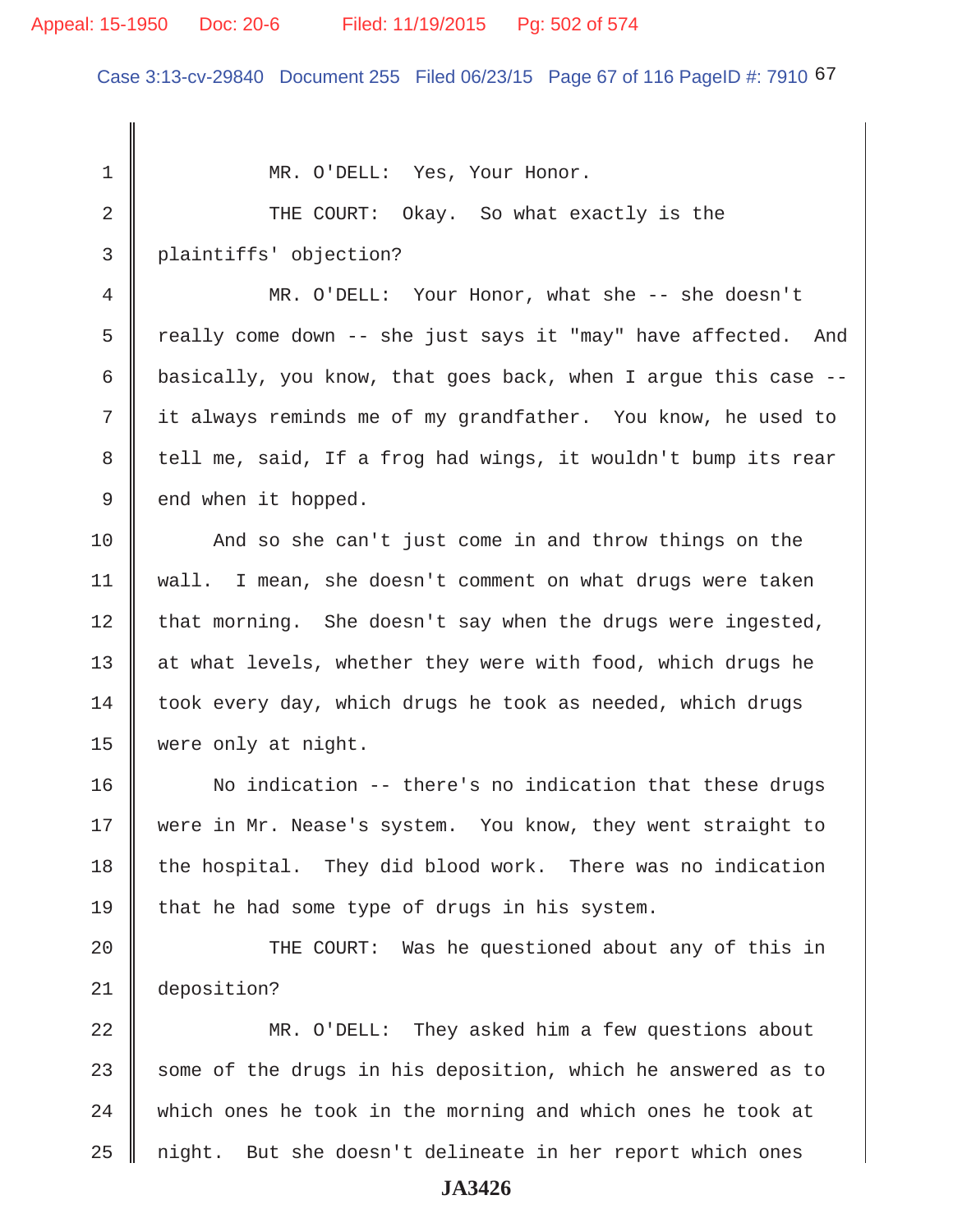#### Appeal: 15-1950 Doc: 20-6 Filed: 11/19/2015 Pg: 502 of 574

Case 3:13-cv-29840 Document 255 Filed 06/23/15 Page 67 of 116 PageID #: 7910 67

1 || MR. O'DELL: Yes, Your Honor. 2 COURT: Okay. So what exactly is the 3 plaintiffs' objection? 4 MR. O'DELL: Your Honor, what she -- she doesn't 5  $\parallel$  really come down -- she just says it "may" have affected. And 6 basically, you know, that goes back, when I arque this case  $-$ - 7 it always reminds me of my grandfather. You know, he used to 8 tell me, said, If a frog had wings, it wouldn't bump its rear  $9 \parallel$  end when it hopped. 10 And so she can't just come in and throw things on the 11 | wall. I mean, she doesn't comment on what drugs were taken  $12$  that morning. She doesn't say when the drugs were ingested, 13 || at what levels, whether they were with food, which drugs he  $14$  took every day, which drugs he took as needed, which drugs 15 were only at night. 16 | No indication -- there's no indication that these drugs 17 || were in Mr. Nease's system. You know, they went straight to  $18$  the hospital. They did blood work. There was no indication 19  $\parallel$  that he had some type of drugs in his system. 20 || THE COURT: Was he questioned about any of this in 21 deposition? 22 MR. O'DELL: They asked him a few questions about 23  $\parallel$  some of the drugs in his deposition, which he answered as to  $24$   $\parallel$  which ones he took in the morning and which ones he took at  $25$   $\parallel$  night. But she doesn't delineate in her report which ones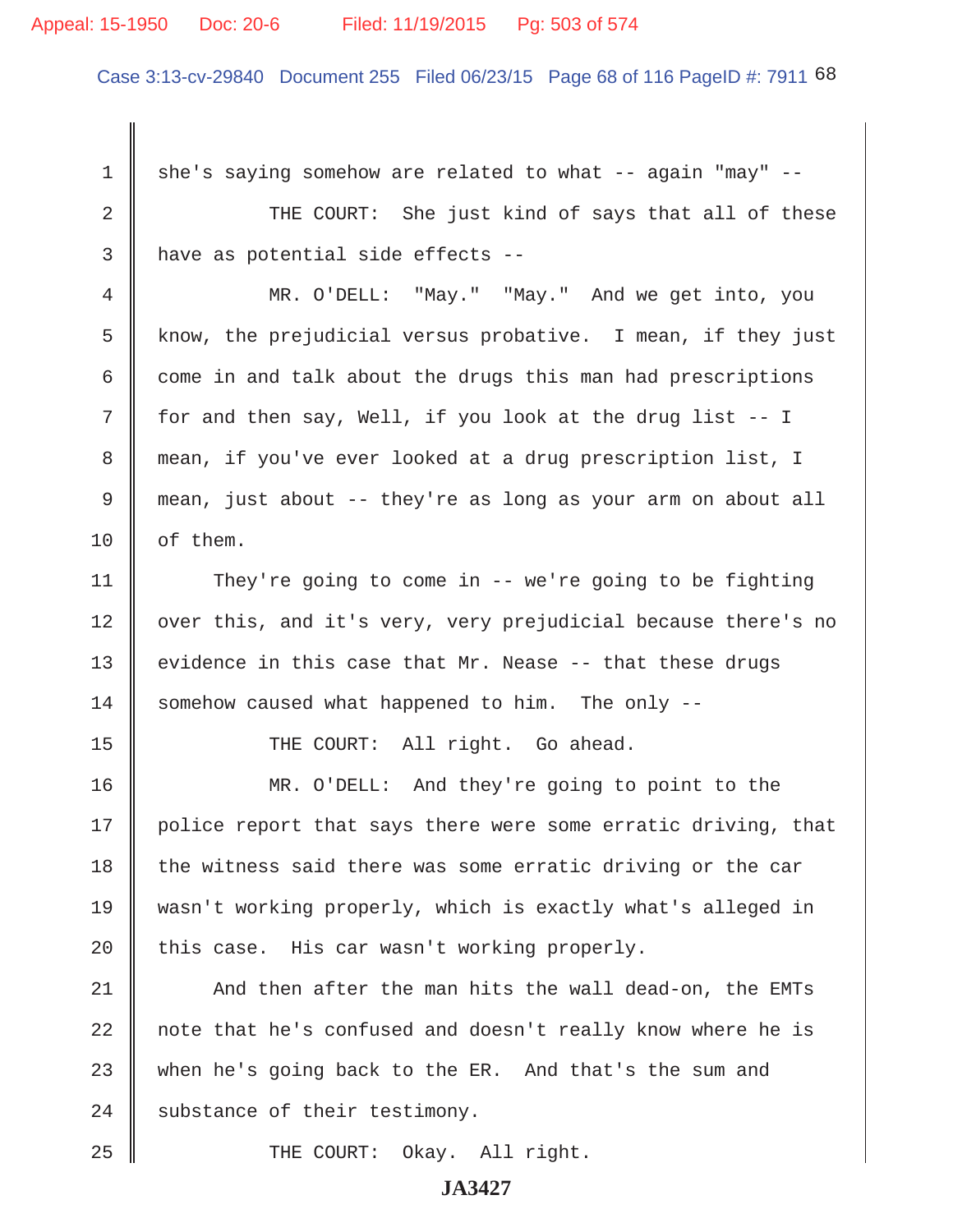#### Appeal: 15-1950 Doc: 20-6 Filed: 11/19/2015 Pg: 503 of 574

Case 3:13-cv-29840 Document 255 Filed 06/23/15 Page 68 of 116 PageID #: 7911 68

 $1 \parallel$  she's saying somehow are related to what -- again "may" --2 THE COURT: She just kind of says that all of these  $3$  | have as potential side effects -- 4 MR. O'DELL: "May." "May." And we get into, you 5 know, the prejudicial versus probative. I mean, if they just 6  $\parallel$  come in and talk about the drugs this man had prescriptions  $7 \parallel$  for and then say, Well, if you look at the drug list -- I 8 mean, if you've ever looked at a drug prescription list, I 9 mean, just about -- they're as long as your arm on about all  $10$  | of them. 11 They're going to come in -- we're going to be fighting 12 | over this, and it's very, very prejudicial because there's no 13 evidence in this case that Mr. Nease  $-$ - that these drugs 14  $\parallel$  somehow caused what happened to him. The only --15 || THE COURT: All right. Go ahead. 16 MR. O'DELL: And they're going to point to the 17 | police report that says there were some erratic driving, that  $18$  the witness said there was some erratic driving or the car 19 wasn't working properly, which is exactly what's alleged in 20  $\parallel$  this case. His car wasn't working properly.  $21$   $\parallel$  And then after the man hits the wall dead-on, the EMTs 22 || note that he's confused and doesn't really know where he is 23 when he's going back to the ER. And that's the sum and 24 Substance of their testimony. 25 || THE COURT: Okay. All right.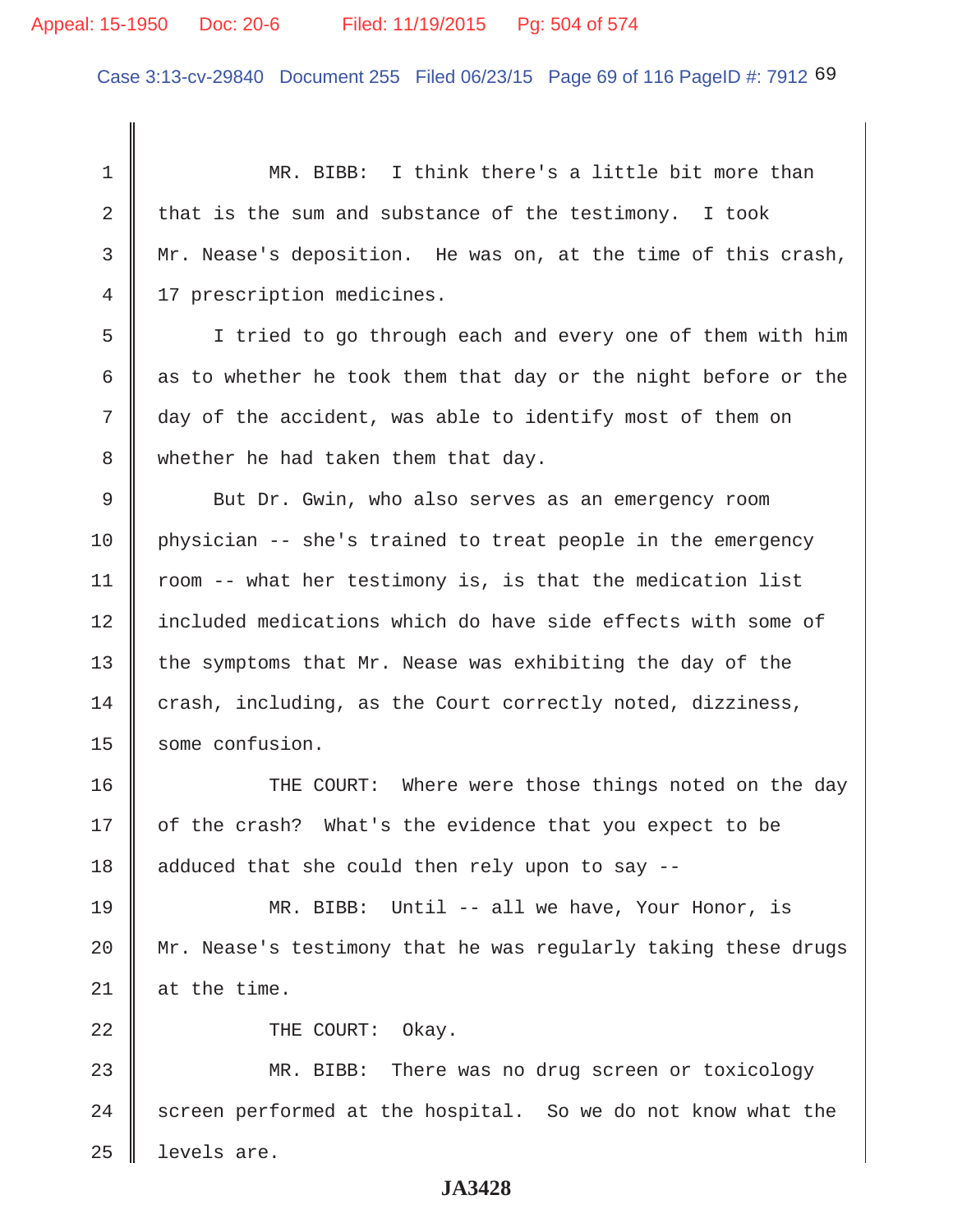Case 3:13-cv-29840 Document 255 Filed 06/23/15 Page 69 of 116 PageID #: 7912 69

 1 MR. BIBB: I think there's a little bit more than 2 that is the sum and substance of the testimony. I took 3 Mr. Nease's deposition. He was on, at the time of this crash, 4 | 17 prescription medicines. 5 I tried to go through each and every one of them with him 6 as to whether he took them that day or the night before or the 7 day of the accident, was able to identify most of them on 8 whether he had taken them that day. 9 But Dr. Gwin, who also serves as an emergency room 10 physician -- she's trained to treat people in the emergency 11 | room  $-$ - what her testimony is, is that the medication list 12 || included medications which do have side effects with some of 13  $\parallel$  the symptoms that Mr. Nease was exhibiting the day of the 14 crash, including, as the Court correctly noted, dizziness, 15 Some confusion. 16 THE COURT: Where were those things noted on the day 17 | of the crash? What's the evidence that you expect to be 18  $\parallel$  adduced that she could then rely upon to say --19 MR. BIBB: Until -- all we have, Your Honor, is 20 Mr. Nease's testimony that he was regularly taking these drugs 21  $\parallel$  at the time. 22 **COURT:** Okay. 23 MR. BIBB: There was no drug screen or toxicology  $24$  screen performed at the hospital. So we do not know what the

# **JA3428**

 $25$  | levels are.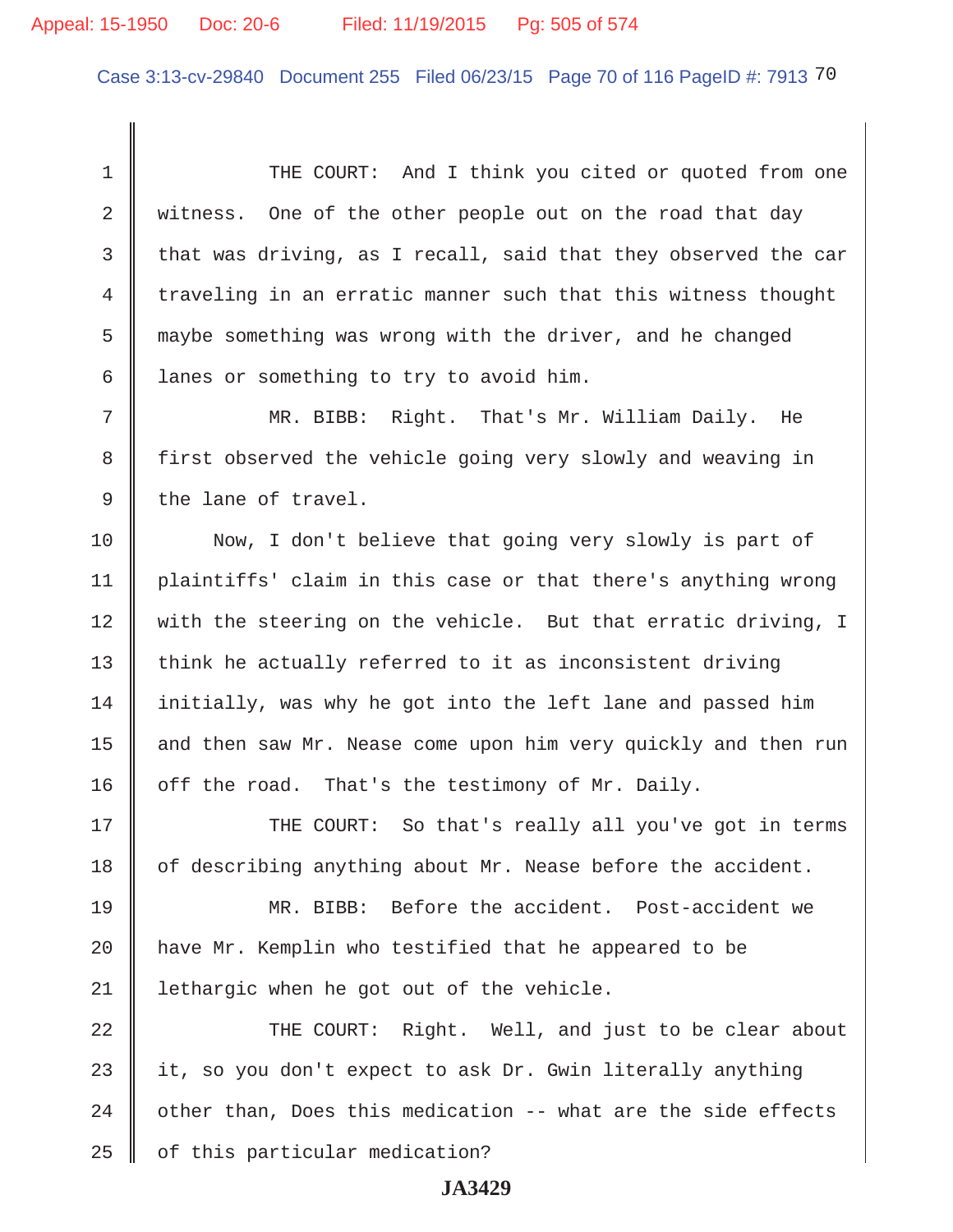Case 3:13-cv-29840 Document 255 Filed 06/23/15 Page 70 of 116 PageID #: 7913 70

1 THE COURT: And I think you cited or quoted from one 2 witness. One of the other people out on the road that day 3 that was driving, as I recall, said that they observed the car  $4 \parallel$  traveling in an erratic manner such that this witness thought 5 maybe something was wrong with the driver, and he changed 6 | lanes or something to try to avoid him.

 7 MR. BIBB: Right. That's Mr. William Daily. He 8 | first observed the vehicle going very slowly and weaving in  $9 \parallel$  the lane of travel.

10 Now, I don't believe that going very slowly is part of 11 plaintiffs' claim in this case or that there's anything wrong 12 with the steering on the vehicle. But that erratic driving, I 13  $\parallel$  think he actually referred to it as inconsistent driving 14 initially, was why he got into the left lane and passed him 15 | and then saw Mr. Nease come upon him very quickly and then run 16  $\parallel$  off the road. That's the testimony of Mr. Daily.

17 THE COURT: So that's really all you've got in terms 18  $\parallel$  of describing anything about Mr. Nease before the accident.

19 MR. BIBB: Before the accident. Post-accident we 20 | have Mr. Kemplin who testified that he appeared to be 21 | lethargic when he got out of the vehicle.

22 THE COURT: Right. Well, and just to be clear about  $\parallel$  it, so you don't expect to ask Dr. Gwin literally anything  $\parallel$  other than, Does this medication -- what are the side effects | of this particular medication?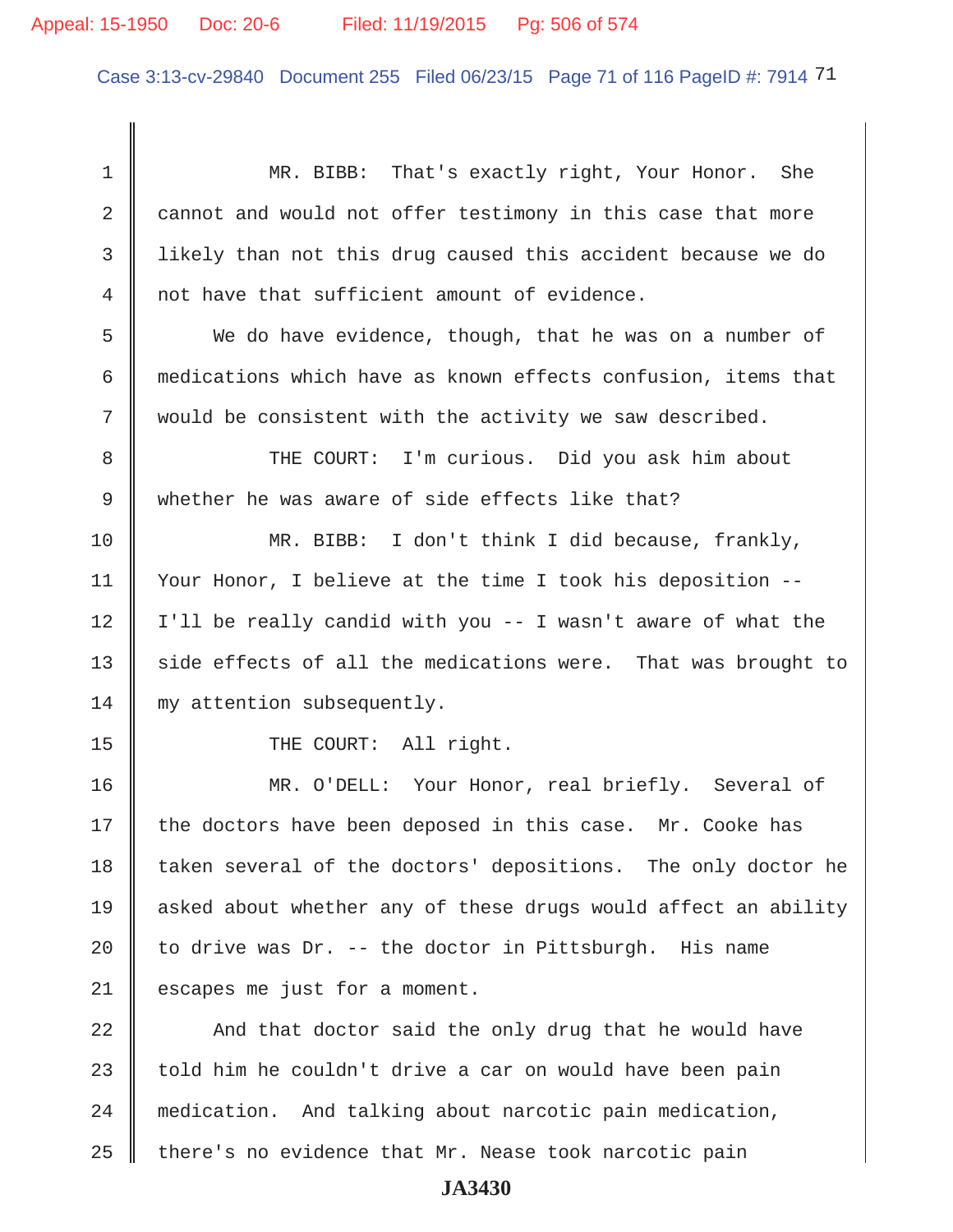Case 3:13-cv-29840 Document 255 Filed 06/23/15 Page 71 of 116 PageID #: 7914 71

 1 MR. BIBB: That's exactly right, Your Honor. She 2 cannot and would not offer testimony in this case that more 3 likely than not this drug caused this accident because we do 4 not have that sufficient amount of evidence. 5 We do have evidence, though, that he was on a number of 6 medications which have as known effects confusion, items that  $7 \parallel$  would be consistent with the activity we saw described. 8 THE COURT: I'm curious. Did you ask him about 9 whether he was aware of side effects like that? 10 MR. BIBB: I don't think I did because, frankly, 11 Your Honor, I believe at the time I took his deposition --  $12$  | I'll be really candid with you  $-$  I wasn't aware of what the  $13$  side effects of all the medications were. That was brought to 14 || my attention subsequently. 15 || THE COURT: All right. 16 MR. O'DELL: Your Honor, real briefly. Several of  $17$  the doctors have been deposed in this case. Mr. Cooke has 18 taken several of the doctors' depositions. The only doctor he 19 asked about whether any of these drugs would affect an ability 20  $\parallel$  to drive was Dr. -- the doctor in Pittsburgh. His name 21 escapes me just for a moment. 22  $\parallel$  And that doctor said the only drug that he would have 23  $\parallel$  told him he couldn't drive a car on would have been pain 24 medication. And talking about narcotic pain medication, 25  $\parallel$  there's no evidence that Mr. Nease took narcotic pain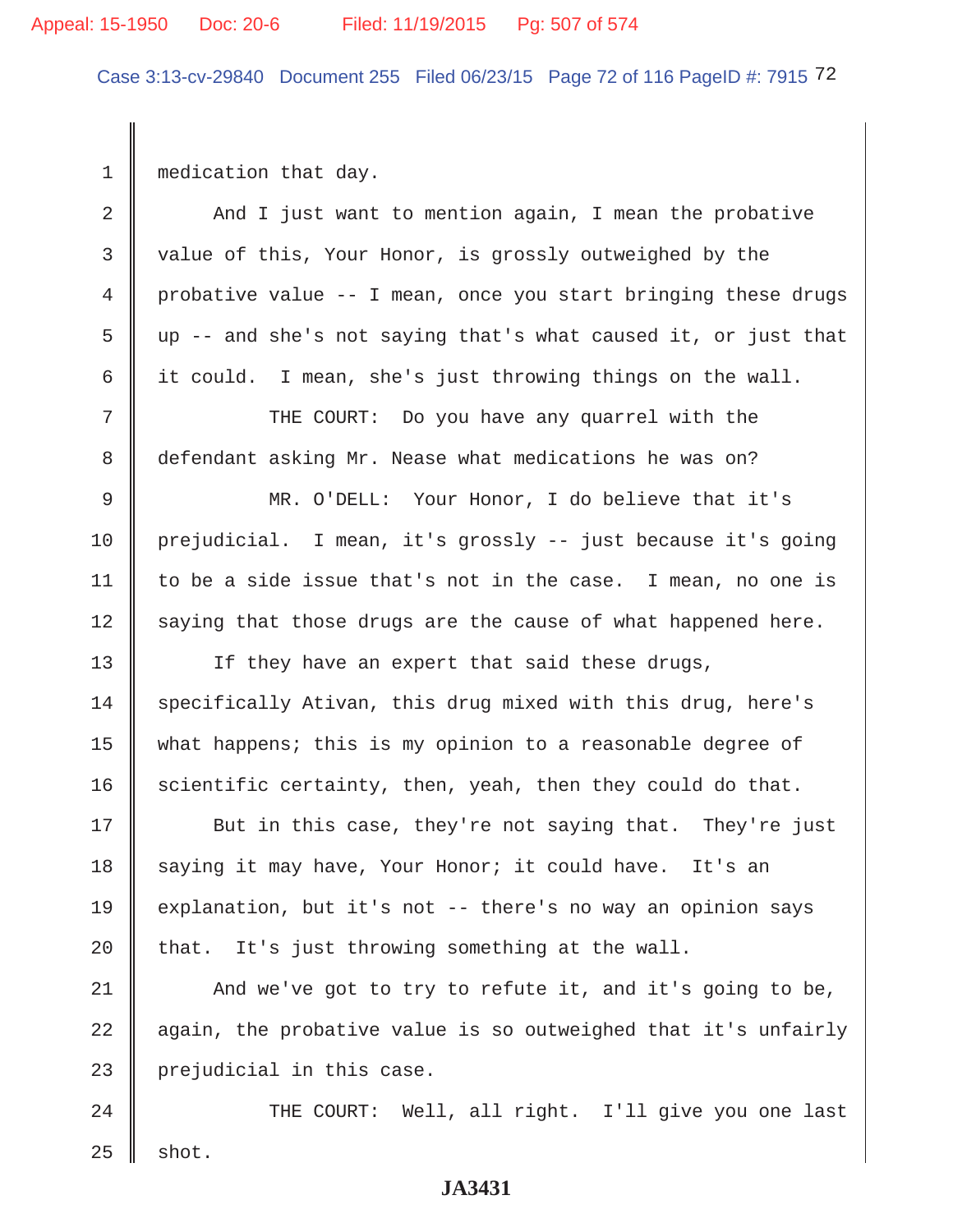# Appeal: 15-1950 Doc: 20-6 Filed: 11/19/2015 Pg: 507 of 574

Case 3:13-cv-29840 Document 255 Filed 06/23/15 Page 72 of 116 PageID #: 7915 72

1 medication that day.

 $\overline{\phantom{a}}$ 

| $\overline{2}$ | And I just want to mention again, I mean the probative         |
|----------------|----------------------------------------------------------------|
| 3              | value of this, Your Honor, is grossly outweighed by the        |
| 4              | probative value -- I mean, once you start bringing these drugs |
| 5              | up -- and she's not saying that's what caused it, or just that |
| 6              | it could. I mean, she's just throwing things on the wall.      |
| 7              | THE COURT: Do you have any quarrel with the                    |
| 8              | defendant asking Mr. Nease what medications he was on?         |
| $\mathsf 9$    | MR. O'DELL: Your Honor, I do believe that it's                 |
| 10             | prejudicial. I mean, it's grossly -- just because it's going   |
| 11             | to be a side issue that's not in the case. I mean, no one is   |
| 12             | saying that those drugs are the cause of what happened here.   |
| 13             | If they have an expert that said these drugs,                  |
| 14             | specifically Ativan, this drug mixed with this drug, here's    |
| 15             | what happens; this is my opinion to a reasonable degree of     |
| 16             | scientific certainty, then, yeah, then they could do that.     |
| 17             | But in this case, they're not saying that. They're just        |
| 18             | saying it may have, Your Honor; it could have. It's an         |
| 19             | explanation, but it's not -- there's no way an opinion says    |
| 20             | that. It's just throwing something at the wall.                |
| 21             | And we've got to try to refute it, and it's going to be,       |
| 22             | again, the probative value is so outweighed that it's unfairly |
| 23             | prejudicial in this case.                                      |
| 24             | THE COURT: Well, all right. I'll give you one last             |
| 25             | shot.                                                          |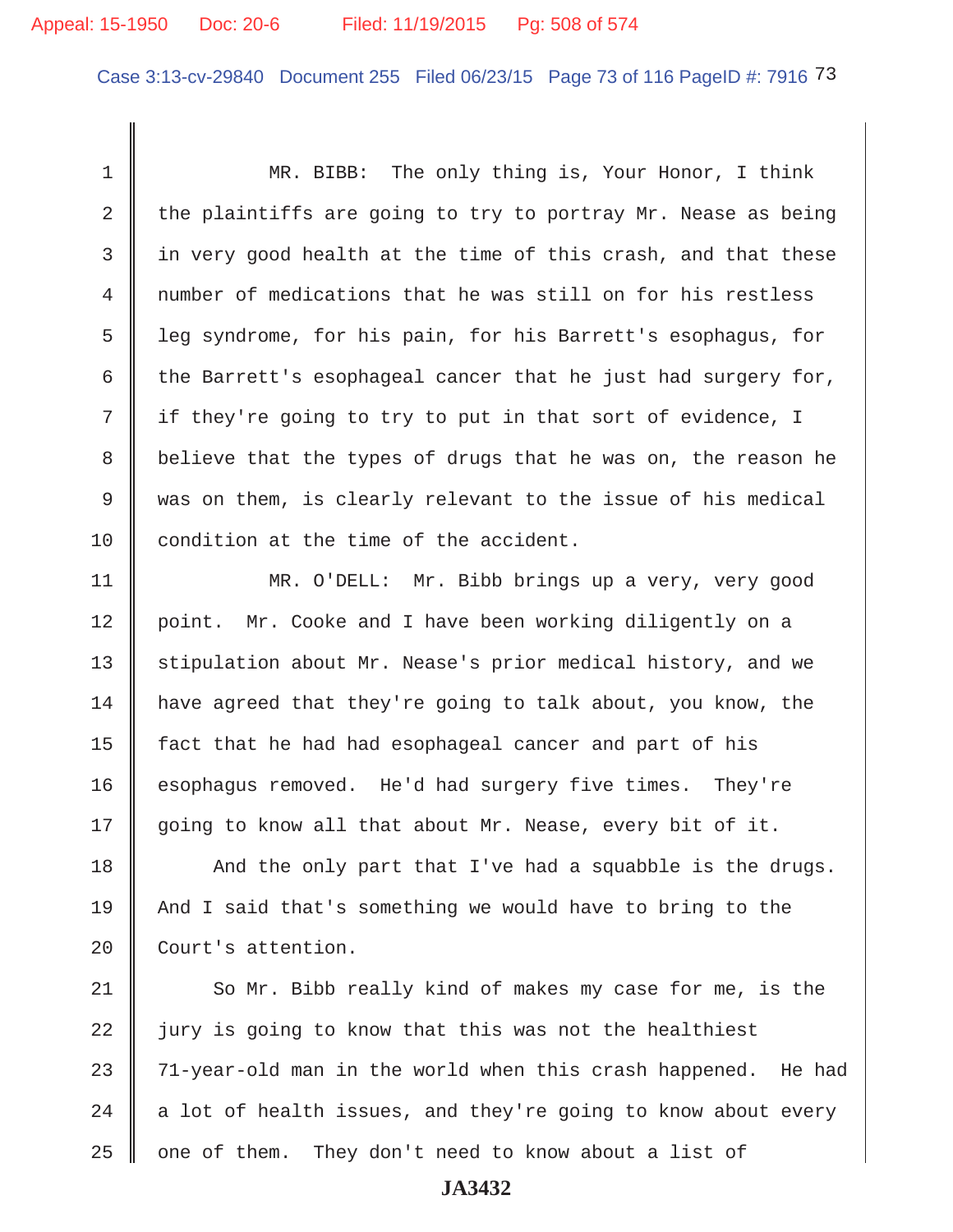## Appeal: 15-1950 Doc: 20-6 Filed: 11/19/2015 Pg: 508 of 574

Case 3:13-cv-29840 Document 255 Filed 06/23/15 Page 73 of 116 PageID #: 7916 73

 1 MR. BIBB: The only thing is, Your Honor, I think 2 the plaintiffs are going to try to portray Mr. Nease as being  $3$  in very good health at the time of this crash, and that these 4 number of medications that he was still on for his restless 5 leg syndrome, for his pain, for his Barrett's esophagus, for 6 the Barrett's esophageal cancer that he just had surgery for,  $7 \parallel$  if they're going to try to put in that sort of evidence, I 8 believe that the types of drugs that he was on, the reason he 9 was on them, is clearly relevant to the issue of his medical 10 condition at the time of the accident.

11 MR. O'DELL: Mr. Bibb brings up a very, very good 12 | point. Mr. Cooke and I have been working diligently on a 13 Stipulation about Mr. Nease's prior medical history, and we 14 have agreed that they're going to talk about, you know, the 15 | fact that he had had esophageal cancer and part of his 16 esophagus removed. He'd had surgery five times. They're 17 going to know all that about Mr. Nease, every bit of it.

 $18$   $\parallel$  And the only part that I've had a squabble is the drugs. 19 And I said that's something we would have to bring to the 20 Court's attention.

 $\parallel$  So Mr. Bibb really kind of makes my case for me, is the jury is going to know that this was not the healthiest  $\parallel$  71-year-old man in the world when this crash happened. He had  $\parallel$  a lot of health issues, and they're going to know about every  $\parallel$  one of them. They don't need to know about a list of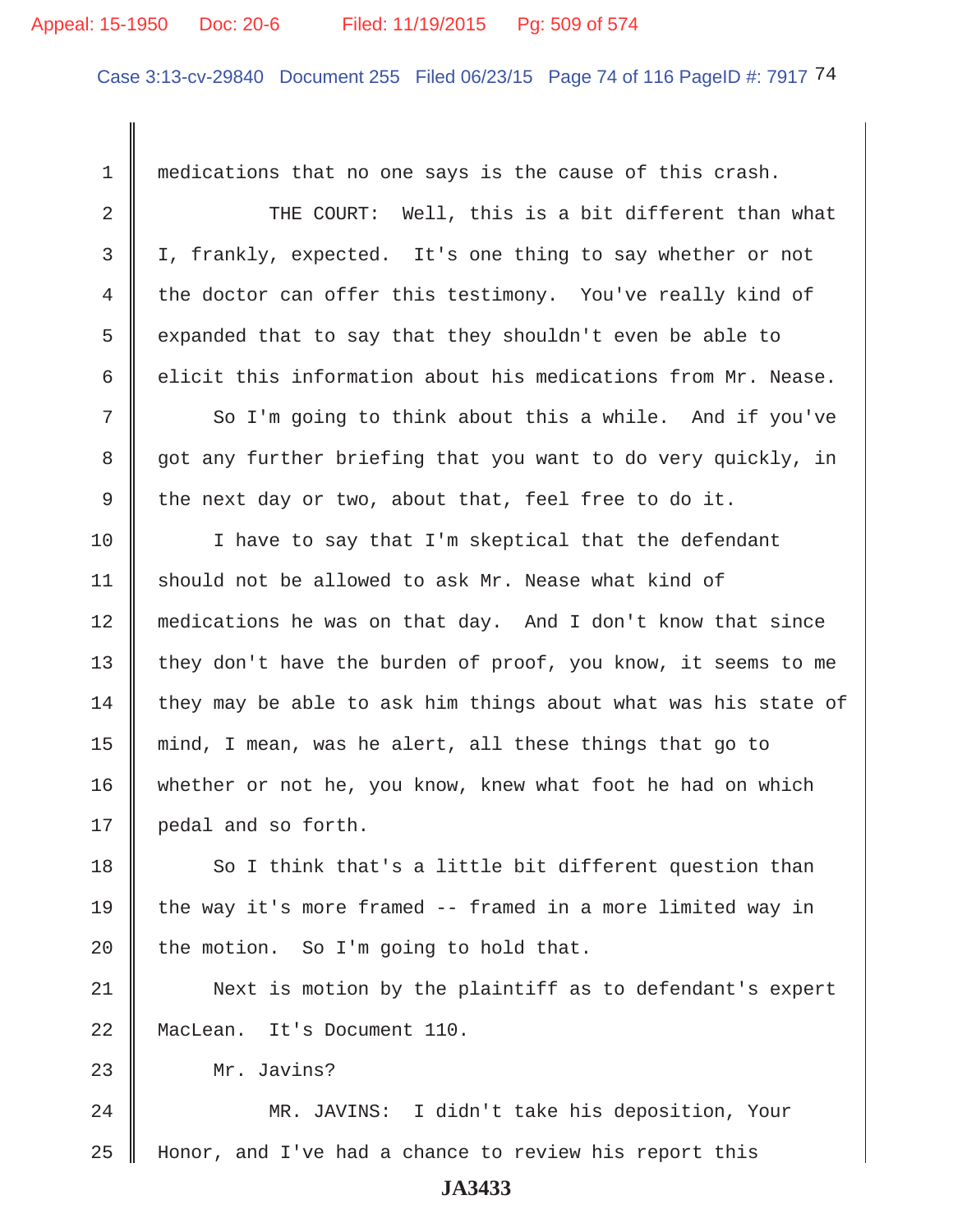## Appeal: 15-1950 Doc: 20-6 Filed: 11/19/2015 Pg: 509 of 574

Case 3:13-cv-29840 Document 255 Filed 06/23/15 Page 74 of 116 PageID #: 7917 74

 1 medications that no one says is the cause of this crash. 2 THE COURT: Well, this is a bit different than what 3 I, frankly, expected. It's one thing to say whether or not 4 the doctor can offer this testimony. You've really kind of 5 expanded that to say that they shouldn't even be able to 6 delicit this information about his medications from Mr. Nease. 7 So I'm going to think about this a while. And if you've 8 got any further briefing that you want to do very quickly, in 9 the next day or two, about that, feel free to do it. 10 || I have to say that I'm skeptical that the defendant 11  $\parallel$  should not be allowed to ask Mr. Nease what kind of 12 || medications he was on that day. And I don't know that since 13 they don't have the burden of proof, you know, it seems to me 14 they may be able to ask him things about what was his state of 15 mind, I mean, was he alert, all these things that go to 16 whether or not he, you know, knew what foot he had on which 17 | pedal and so forth.  $18$  So I think that's a little bit different question than 19 the way it's more framed -- framed in a more limited way in 20 the motion. So I'm going to hold that. 21 Next is motion by the plaintiff as to defendant's expert 22 || MacLean. It's Document 110. 23 Mr. Javins? 24 MR. JAVINS: I didn't take his deposition, Your 25 Honor, and I've had a chance to review his report this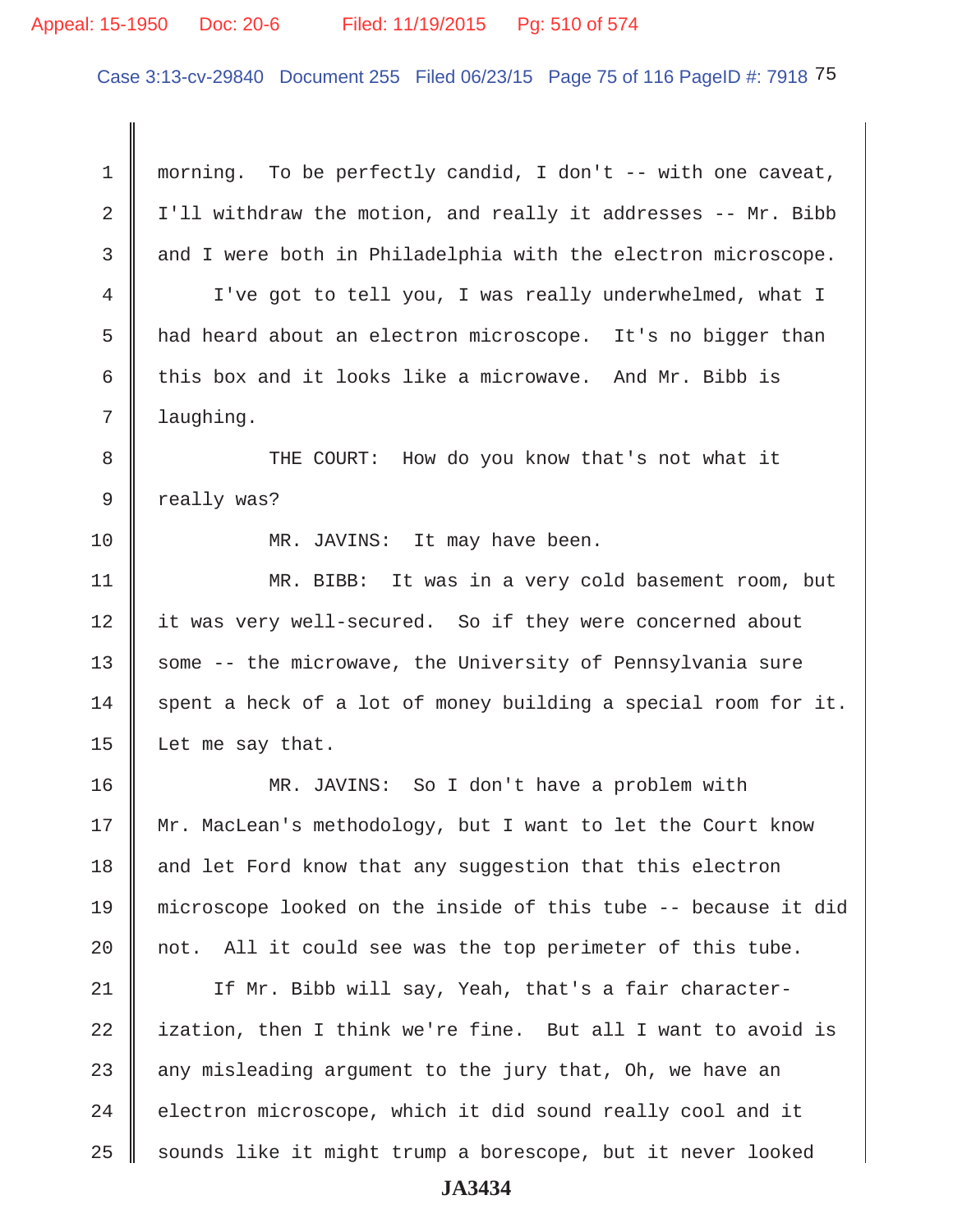## Appeal: 15-1950 Doc: 20-6 Filed: 11/19/2015 Pg: 510 of 574

Case 3:13-cv-29840 Document 255 Filed 06/23/15 Page 75 of 116 PageID #: 7918 75

 1 morning. To be perfectly candid, I don't -- with one caveat, 2  $\parallel$  I'll withdraw the motion, and really it addresses -- Mr. Bibb 3 and I were both in Philadelphia with the electron microscope. 4 | I've got to tell you, I was really underwhelmed, what I 5 had heard about an electron microscope. It's no bigger than 6 this box and it looks like a microwave. And Mr. Bibb is 7 | laughing. 8 THE COURT: How do you know that's not what it 9 | really was? 10 || MR. JAVINS: It may have been. 11 MR. BIBB: It was in a very cold basement room, but 12 it was very well-secured. So if they were concerned about 13 Some -- the microwave, the University of Pennsylvania sure  $14$  spent a heck of a lot of money building a special room for it. 15 Let me say that. 16 MR. JAVINS: So I don't have a problem with 17 Mr. MacLean's methodology, but I want to let the Court know 18 and let Ford know that any suggestion that this electron 19 microscope looked on the inside of this tube -- because it did 20  $\parallel$  not. All it could see was the top perimeter of this tube. 21 | If Mr. Bibb will say, Yeah, that's a fair character- $22$  ization, then I think we're fine. But all I want to avoid is 23  $\parallel$  any misleading argument to the jury that, Oh, we have an  $24$   $\parallel$  electron microscope, which it did sound really cool and it 25 sounds like it might trump a borescope, but it never looked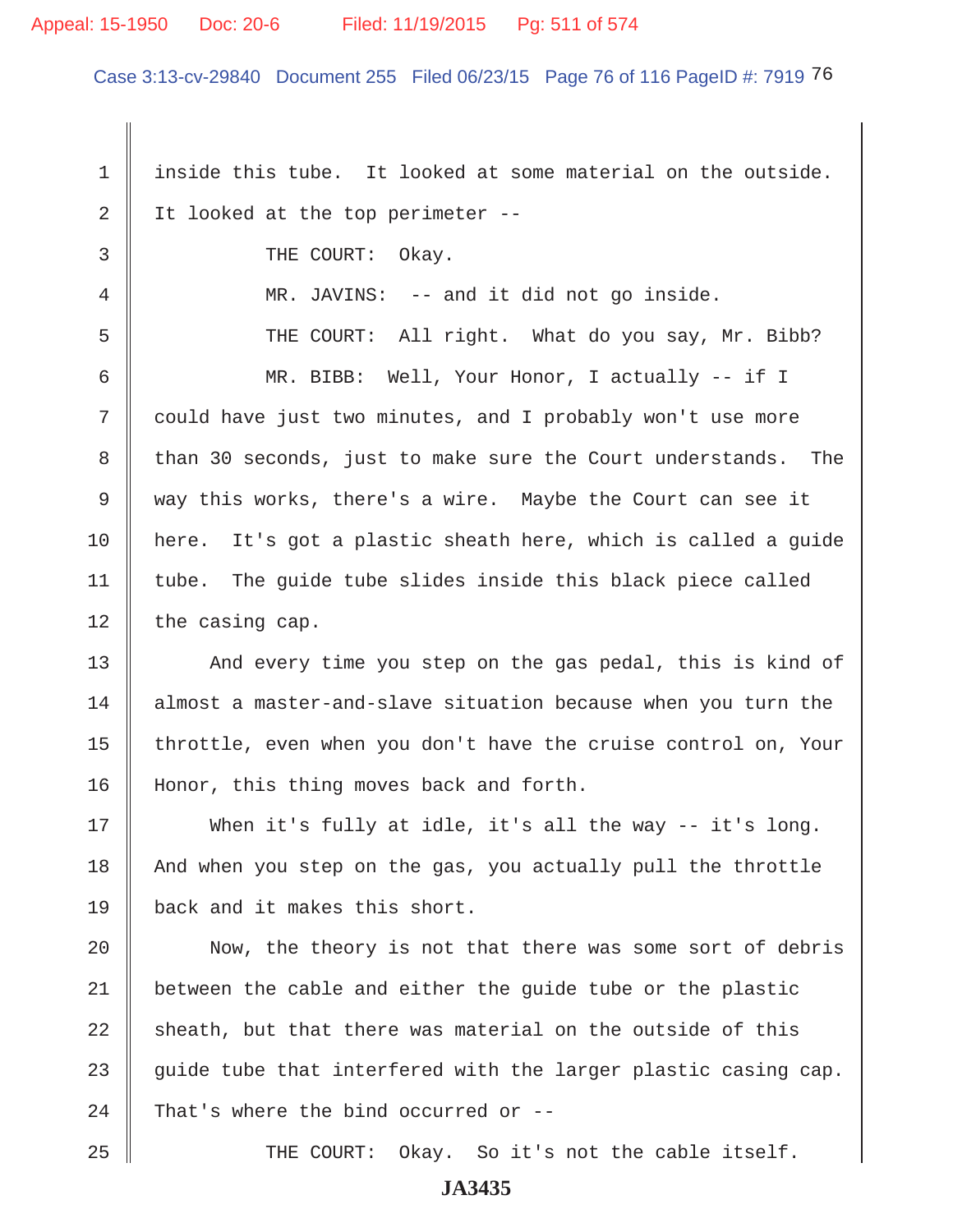## Appeal: 15-1950 Doc: 20-6 Filed: 11/19/2015 Pg: 511 of 574

Case 3:13-cv-29840 Document 255 Filed 06/23/15 Page 76 of 116 PageID #: 7919 76

1 | inside this tube. It looked at some material on the outside. 2 It looked at the top perimeter  $-$ 3 COURT: Okay. 4 MR. JAVINS: -- and it did not go inside. 5 THE COURT: All right. What do you say, Mr. Bibb? 6 MR. BIBB: Well, Your Honor, I actually -- if I 7 could have just two minutes, and I probably won't use more 8 than 30 seconds, just to make sure the Court understands. The 9 way this works, there's a wire. Maybe the Court can see it 10 here. It's got a plastic sheath here, which is called a guide  $11$  tube. The guide tube slides inside this black piece called  $12$  | the casing cap. 13 And every time you step on the gas pedal, this is kind of 14 almost a master-and-slave situation because when you turn the 15  $\parallel$  throttle, even when you don't have the cruise control on, Your 16 || Honor, this thing moves back and forth. 17 When it's fully at idle, it's all the way -- it's long. 18 And when you step on the gas, you actually pull the throttle 19 back and it makes this short. 20 || Now, the theory is not that there was some sort of debris 21 | between the cable and either the guide tube or the plastic  $22$  sheath, but that there was material on the outside of this 23  $\parallel$  quide tube that interfered with the larger plastic casing cap. 24 That's where the bind occurred or  $-$ -

25 THE COURT: Okay. So it's not the cable itself.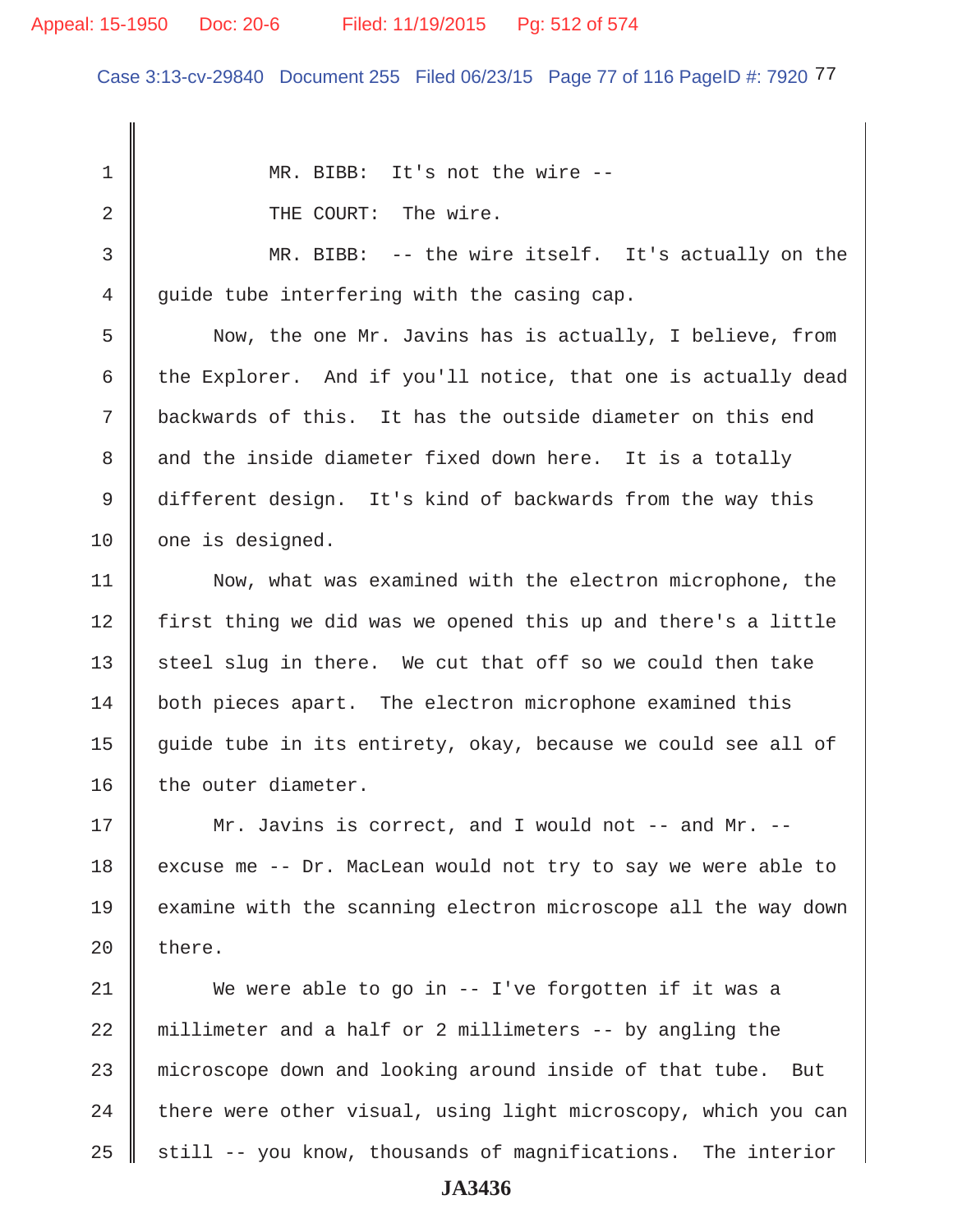#### Appeal: 15-1950 Doc: 20-6 Filed: 11/19/2015 Pg: 512 of 574

Case 3:13-cv-29840 Document 255 Filed 06/23/15 Page 77 of 116 PageID #: 7920 77

1 MR. BIBB: It's not the wire --2 **1** THE COURT: The wire. 3 MR. BIBB: -- the wire itself. It's actually on the  $4 \parallel$  quide tube interfering with the casing cap. 5 Now, the one Mr. Javins has is actually, I believe, from 6 the Explorer. And if you'll notice, that one is actually dead 7 backwards of this. It has the outside diameter on this end 8 and the inside diameter fixed down here. It is a totally 9 different design. It's kind of backwards from the way this 10 one is designed. 11 Now, what was examined with the electron microphone, the 12 | first thing we did was we opened this up and there's a little 13 steel slug in there. We cut that off so we could then take 14 both pieces apart. The electron microphone examined this 15  $\parallel$  guide tube in its entirety, okay, because we could see all of 16  $\parallel$  the outer diameter. 17 || Mr. Javins is correct, and I would not -- and Mr. --18 excuse me  $-$ - Dr. MacLean would not try to say we were able to 19 examine with the scanning electron microscope all the way down 20  $\parallel$  there. 21 We were able to go in -- I've forgotten if it was a  $22$  millimeter and a half or 2 millimeters  $-$ - by angling the 23 microscope down and looking around inside of that tube. But  $24$  | there were other visual, using light microscopy, which you can 25  $\parallel$  still -- you know, thousands of magnifications. The interior **JA3436**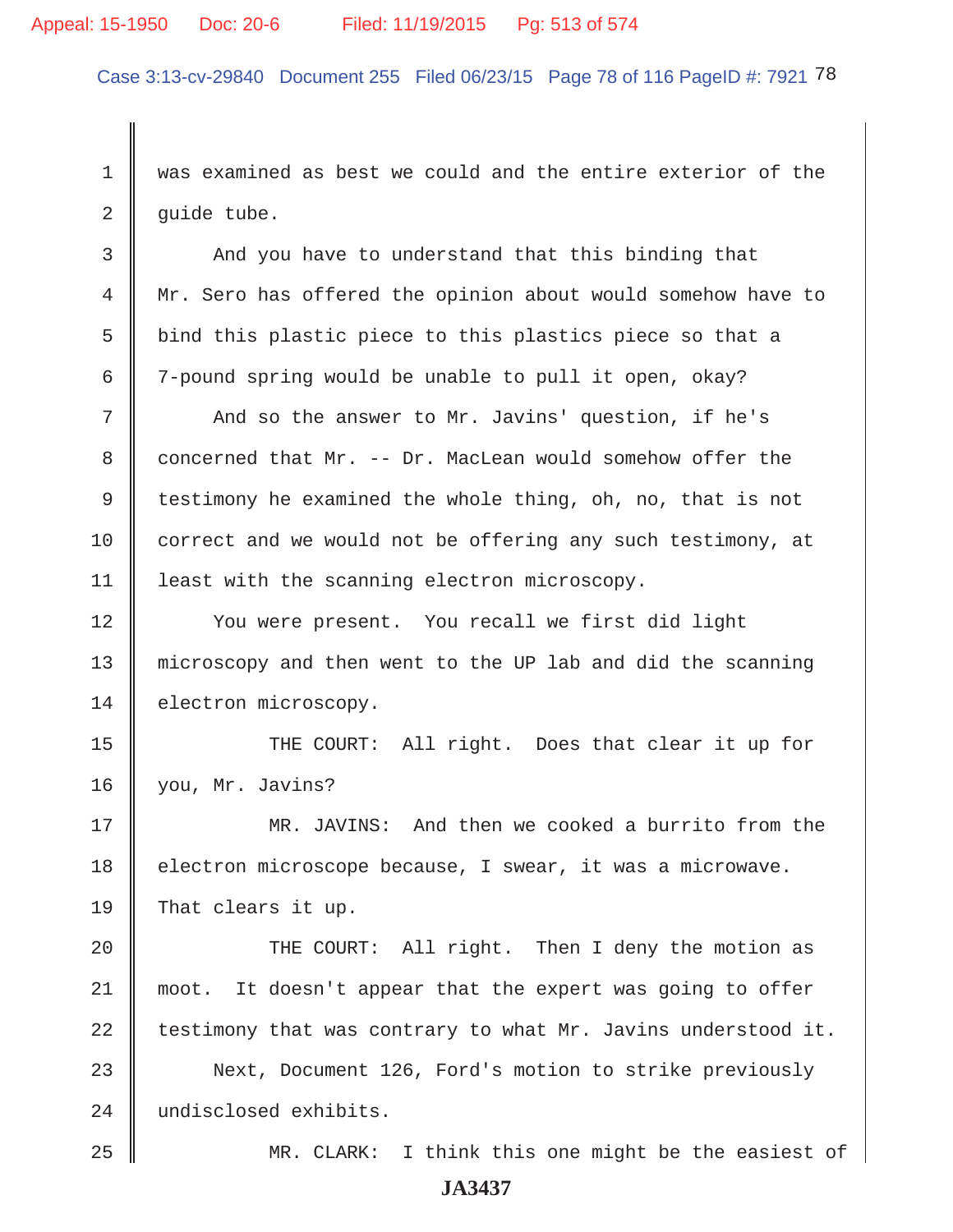## Appeal: 15-1950 Doc: 20-6 Filed: 11/19/2015 Pg: 513 of 574

Case 3:13-cv-29840 Document 255 Filed 06/23/15 Page 78 of 116 PageID #: 7921 78

 1 was examined as best we could and the entire exterior of the  $2 \parallel$  quide tube.

3 And you have to understand that this binding that 4 Mr. Sero has offered the opinion about would somehow have to  $5$   $\parallel$  bind this plastic piece to this plastics piece so that a 6  $\parallel$  7-pound spring would be unable to pull it open, okay?

7 | And so the answer to Mr. Javins' question, if he's 8 concerned that Mr. -- Dr. MacLean would somehow offer the 9 testimony he examined the whole thing, oh, no, that is not 10 correct and we would not be offering any such testimony, at 11 | least with the scanning electron microscopy.

12 | You were present. You recall we first did light 13 microscopy and then went to the UP lab and did the scanning 14 electron microscopy.

15 THE COURT: All right. Does that clear it up for 16 you, Mr. Javins?

17 MR. JAVINS: And then we cooked a burrito from the 18 electron microscope because, I swear, it was a microwave. 19 That clears it up.

20 || THE COURT: All right. Then I deny the motion as 21 moot. It doesn't appear that the expert was going to offer 22 testimony that was contrary to what Mr. Javins understood it.

23 Next, Document 126, Ford's motion to strike previously 24 undisclosed exhibits.

25 MR. CLARK: I think this one might be the easiest of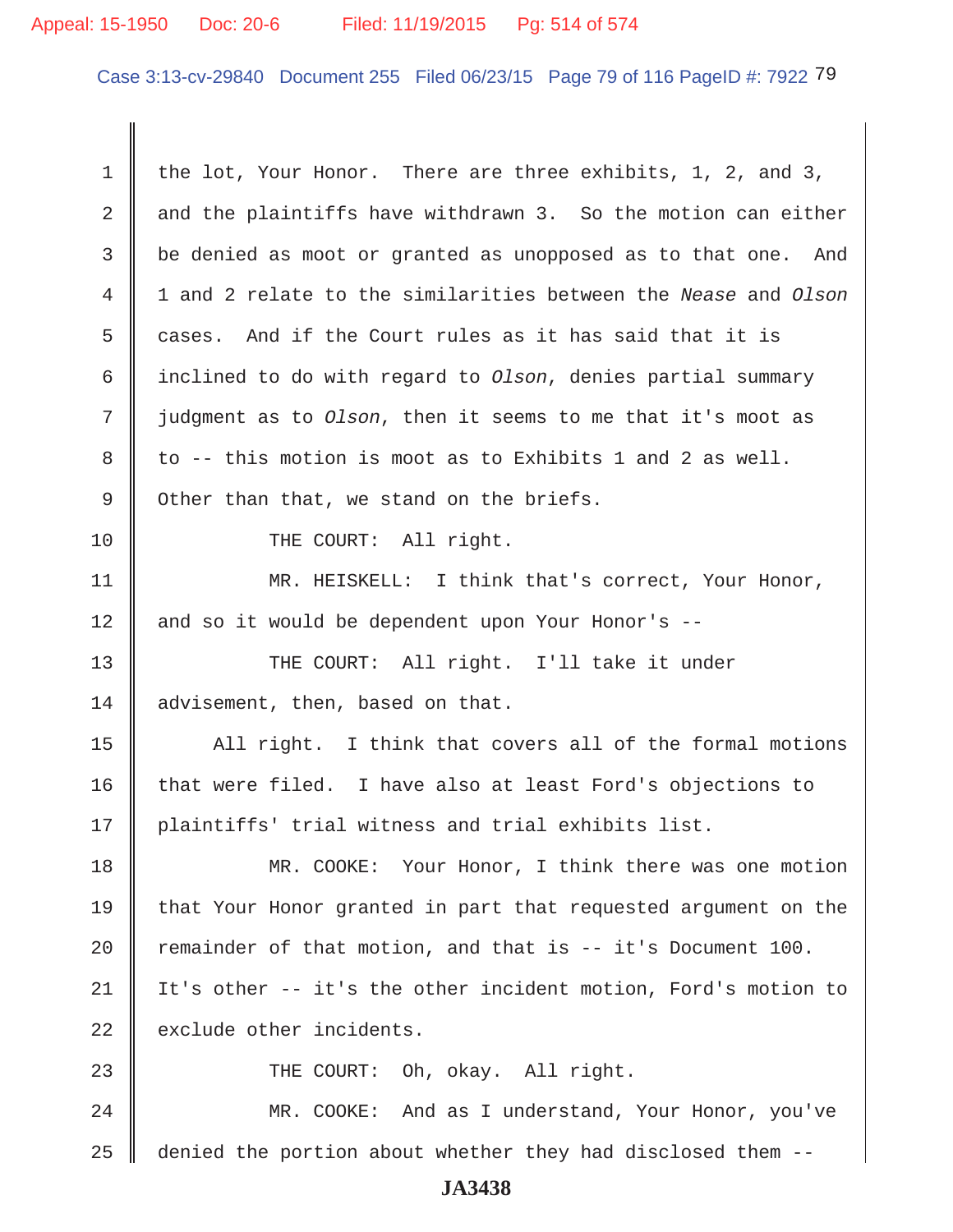## Appeal: 15-1950 Doc: 20-6 Filed: 11/19/2015 Pg: 514 of 574

Case 3:13-cv-29840 Document 255 Filed 06/23/15 Page 79 of 116 PageID #: 7922 79

1 the lot, Your Honor. There are three exhibits, 1, 2, and 3,  $2 \parallel$  and the plaintiffs have withdrawn 3. So the motion can either 3 be denied as moot or granted as unopposed as to that one. And 4 1 and 2 relate to the similarities between the *Nease* and *Olson* 5 cases. And if the Court rules as it has said that it is 6 inclined to do with regard to *Olson*, denies partial summary 7 judgment as to *Olson*, then it seems to me that it's moot as  $8 \parallel$  to -- this motion is moot as to Exhibits 1 and 2 as well.  $9 \parallel$  Other than that, we stand on the briefs. 10 || THE COURT: All right. 11 || MR. HEISKELL: I think that's correct, Your Honor, 12 || and so it would be dependent upon Your Honor's --13 THE COURT: All right. I'll take it under 14 advisement, then, based on that.  $15$   $\parallel$  All right. I think that covers all of the formal motions 16  $\parallel$  that were filed. I have also at least Ford's objections to 17 || plaintiffs' trial witness and trial exhibits list. 18 MR. COOKE: Your Honor, I think there was one motion 19 that Your Honor granted in part that requested argument on the 20 Temainder of that motion, and that is  $-$  it's Document 100. 21 It's other -- it's the other incident motion, Ford's motion to  $22$   $\parallel$  exclude other incidents. 23 || THE COURT: Oh, okay. All right. 24 MR. COOKE: And as I understand, Your Honor, you've  $25$   $\parallel$  denied the portion about whether they had disclosed them --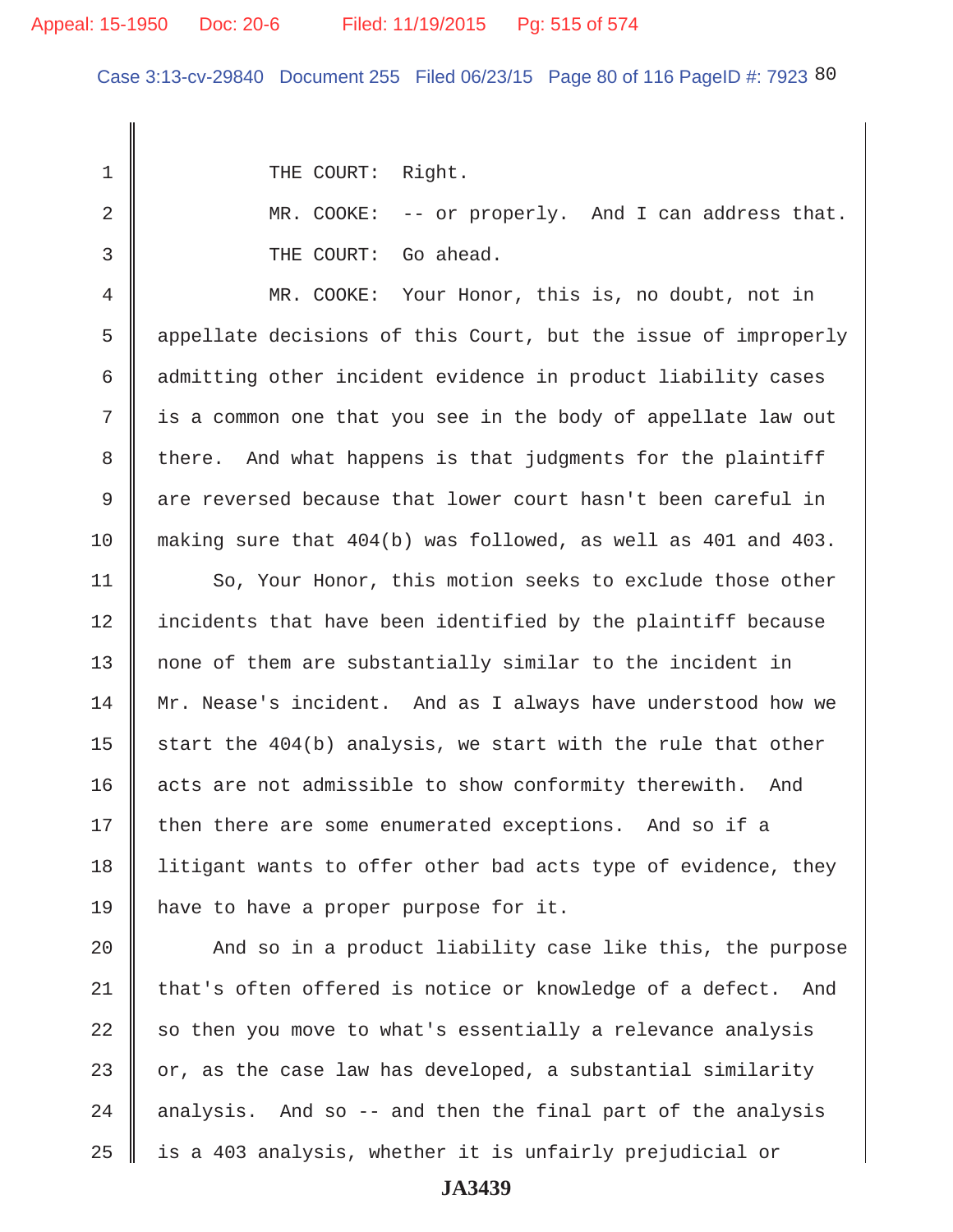Case 3:13-cv-29840 Document 255 Filed 06/23/15 Page 80 of 116 PageID #: 7923 80

1 || THE COURT: Right.

2 MR. COOKE: -- or properly. And I can address that. 3 **J** THE COURT: Go ahead.

 4 MR. COOKE: Your Honor, this is, no doubt, not in 5 appellate decisions of this Court, but the issue of improperly 6 admitting other incident evidence in product liability cases 7 is a common one that you see in the body of appellate law out 8 there. And what happens is that judgments for the plaintiff 9 are reversed because that lower court hasn't been careful in 10 making sure that 404(b) was followed, as well as 401 and 403.

11 | So, Your Honor, this motion seeks to exclude those other 12 | incidents that have been identified by the plaintiff because 13 || none of them are substantially similar to the incident in 14 || Mr. Nease's incident. And as I always have understood how we 15  $\parallel$  start the 404(b) analysis, we start with the rule that other 16 acts are not admissible to show conformity therewith. And 17 | then there are some enumerated exceptions. And so if a 18 I litigant wants to offer other bad acts type of evidence, they 19 have to have a proper purpose for it.

 $\parallel$  And so in a product liability case like this, the purpose  $\parallel$  that's often offered is notice or knowledge of a defect. And so then you move to what's essentially a relevance analysis  $\parallel$  or, as the case law has developed, a substantial similarity  $\parallel$  analysis. And so -- and then the final part of the analysis || is a 403 analysis, whether it is unfairly prejudicial or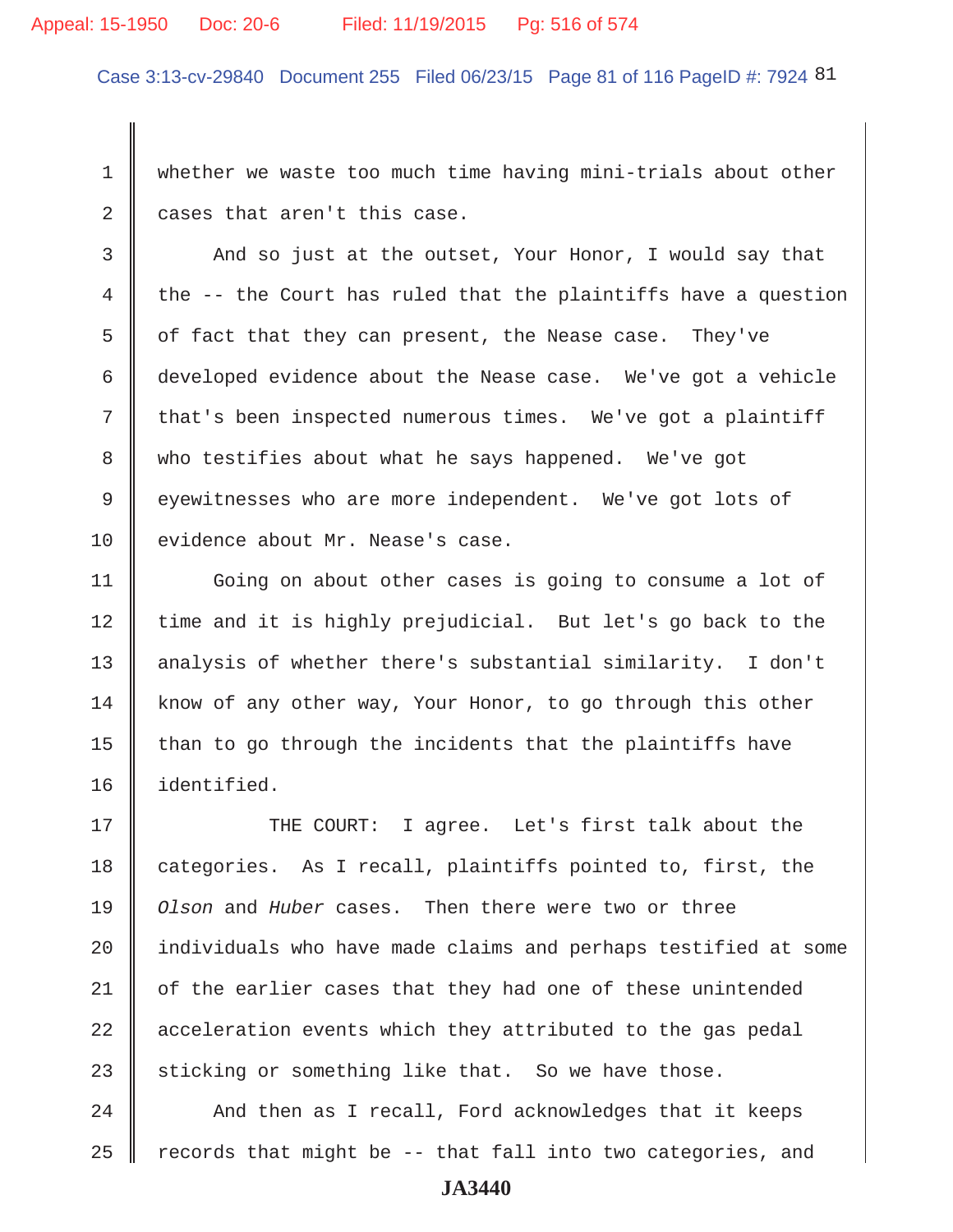#### Appeal: 15-1950 Doc: 20-6 Filed: 11/19/2015 Pg: 516 of 574

Case 3:13-cv-29840 Document 255 Filed 06/23/15 Page 81 of 116 PageID #: 7924 81

 1 whether we waste too much time having mini-trials about other  $2 \parallel$  cases that aren't this case.

3 And so just at the outset, Your Honor, I would say that 4 the  $-$ - the Court has ruled that the plaintiffs have a question  $5 \parallel$  of fact that they can present, the Nease case. They've 6 developed evidence about the Nease case. We've got a vehicle 7 that's been inspected numerous times. We've got a plaintiff 8 who testifies about what he says happened. We've got 9 eyewitnesses who are more independent. We've got lots of 10 | evidence about Mr. Nease's case.

11 | Going on about other cases is going to consume a lot of 12 || time and it is highly prejudicial. But let's go back to the 13 analysis of whether there's substantial similarity. I don't  $14$  know of any other way, Your Honor, to go through this other  $15$  than to go through the incidents that the plaintiffs have 16 identified.

17 THE COURT: I agree. Let's first talk about the 18 categories. As I recall, plaintiffs pointed to, first, the 19 *Olson* and *Huber* cases. Then there were two or three  $20$  | individuals who have made claims and perhaps testified at some  $21$  of the earlier cases that they had one of these unintended  $22$  acceleration events which they attributed to the gas pedal 23 sticking or something like that. So we have those.

 $24$   $\parallel$  And then as I recall, Ford acknowledges that it keeps 25  $\parallel$  records that might be -- that fall into two categories, and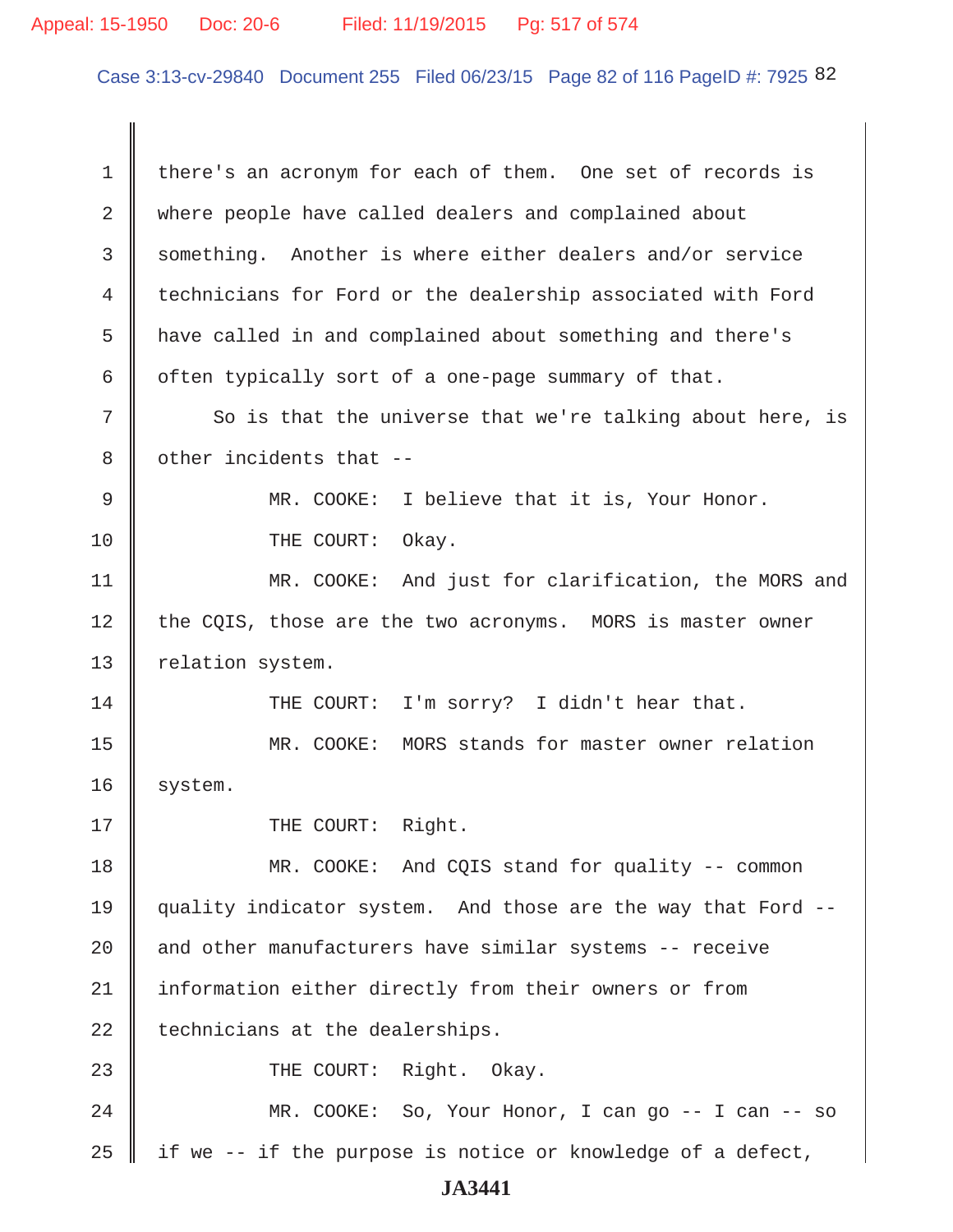Case 3:13-cv-29840 Document 255 Filed 06/23/15 Page 82 of 116 PageID #: 7925 82

 1 there's an acronym for each of them. One set of records is 2 where people have called dealers and complained about 3 Something. Another is where either dealers and/or service 4 technicians for Ford or the dealership associated with Ford 5 have called in and complained about something and there's 6  $\parallel$  often typically sort of a one-page summary of that.  $7$   $\parallel$  So is that the universe that we're talking about here, is  $8$   $\parallel$  other incidents that -- 9 MR. COOKE: I believe that it is, Your Honor. 10 THE COURT: Okay. 11 || MR. COOKE: And just for clarification, the MORS and  $12$  the CQIS, those are the two acronyms. MORS is master owner 13 | relation system. 14 THE COURT: I'm sorry? I didn't hear that. 15 MR. COOKE: MORS stands for master owner relation 16 | system. 17 || THE COURT: Right. 18 MR. COOKE: And CQIS stand for quality -- common 19 quality indicator system. And those are the way that Ford --  $20$   $\parallel$  and other manufacturers have similar systems -- receive 21 | information either directly from their owners or from  $22$  | technicians at the dealerships. 23 || THE COURT: Right. Okay. 24 MR. COOKE: So, Your Honor, I can go -- I can -- so 25 | if we -- if the purpose is notice or knowledge of a defect,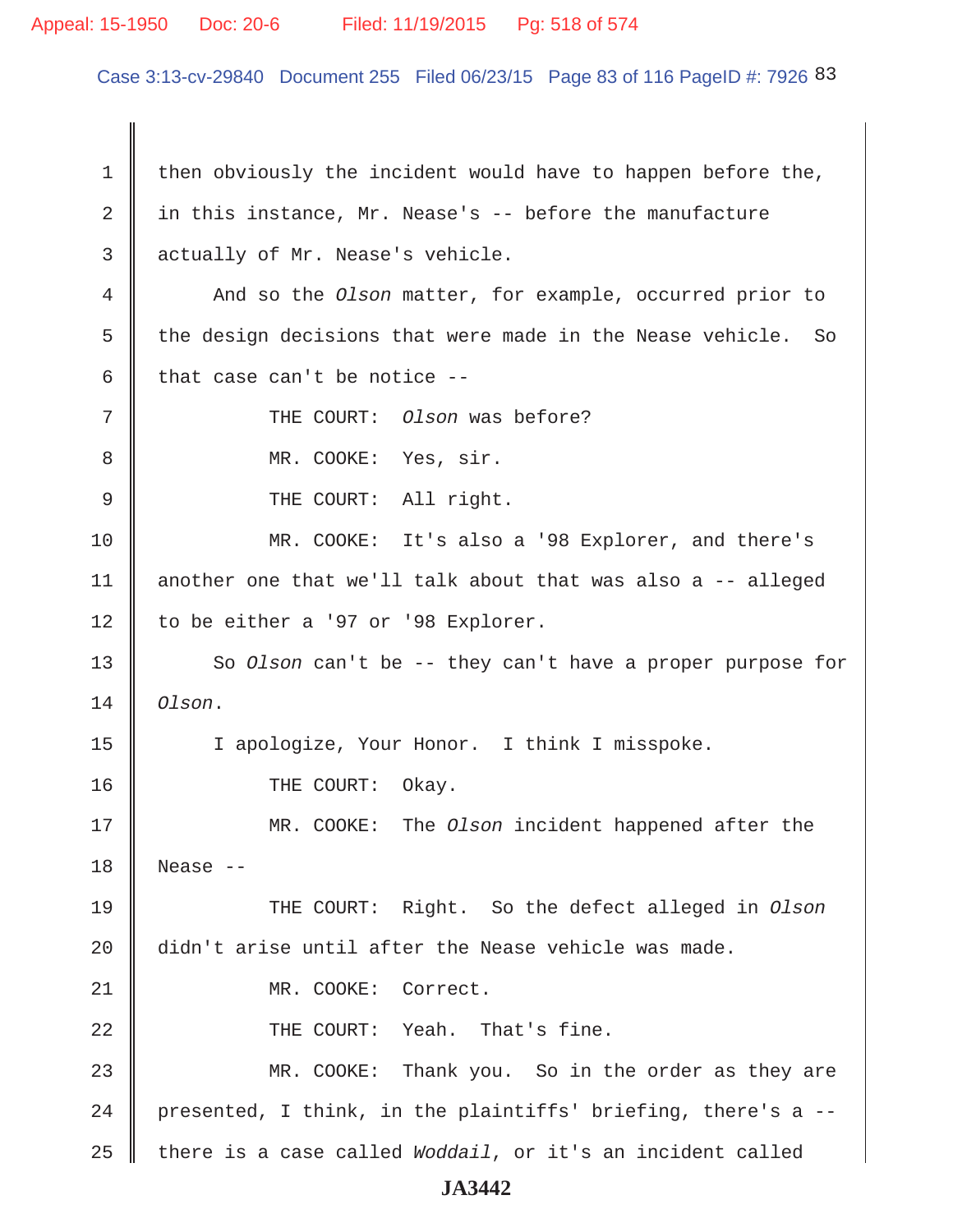## Appeal: 15-1950 Doc: 20-6 Filed: 11/19/2015 Pg: 518 of 574

Case 3:13-cv-29840 Document 255 Filed 06/23/15 Page 83 of 116 PageID #: 7926 83

1 then obviously the incident would have to happen before the, 2 in this instance, Mr. Nease's  $-$  before the manufacture 3 actually of Mr. Nease's vehicle. 4 And so the *Olson* matter, for example, occurred prior to 5  $\parallel$  the design decisions that were made in the Nease vehicle. So 6  $\parallel$  that case can't be notice --7 || THE COURT: *Olson* was before? 8 || MR. COOKE: Yes, sir. 9 || THE COURT: All right. 10 MR. COOKE: It's also a '98 Explorer, and there's 11 another one that we'll talk about that was also a -- alleged 12 | to be either a '97 or '98 Explorer. 13 So *Olson* can't be -- they can't have a proper purpose for 14 *Olson*. 15 | I apologize, Your Honor. I think I misspoke. 16 COURT: Okay. 17 MR. COOKE: The *Olson* incident happened after the  $18$  Nease  $-$ 19 THE COURT: Right. So the defect alleged in *Olson* 20 didn't arise until after the Nease vehicle was made. 21 || MR. COOKE: Correct. 22 || THE COURT: Yeah. That's fine. 23 MR. COOKE: Thank you. So in the order as they are 24 | presented, I think, in the plaintiffs' briefing, there's a  $-$ 25 there is a case called *Woddail*, or it's an incident called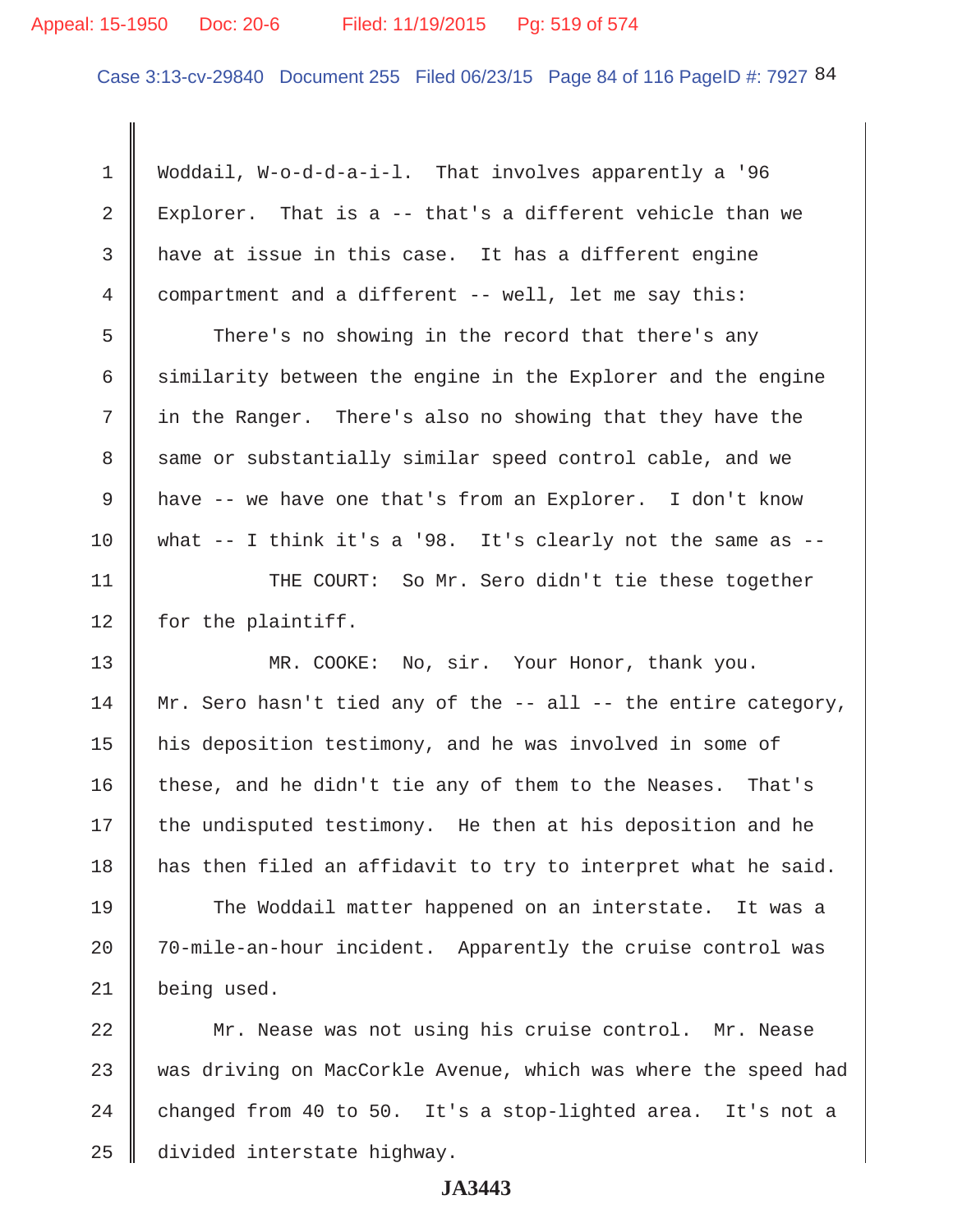#### Appeal: 15-1950 Doc: 20-6 Filed: 11/19/2015 Pg: 519 of 574

Case 3:13-cv-29840 Document 255 Filed 06/23/15 Page 84 of 116 PageID #: 7927 84

 1 Woddail, W-o-d-d-a-i-l. That involves apparently a '96 2 Explorer. That is a -- that's a different vehicle than we  $3$  have at issue in this case. It has a different engine 4 compartment and a different -- well, let me say this: 5 There's no showing in the record that there's any 6 similarity between the engine in the Explorer and the engine 7 in the Ranger. There's also no showing that they have the 8 same or substantially similar speed control cable, and we 9 have -- we have one that's from an Explorer. I don't know 10 || what  $-$  I think it's a '98. It's clearly not the same as  $-$ 11 || THE COURT: So Mr. Sero didn't tie these together  $12$  | for the plaintiff. 13 || MR. COOKE: No, sir. Your Honor, thank you. 14 | Mr. Sero hasn't tied any of the  $-$ - all  $-$ - the entire category, 15 his deposition testimony, and he was involved in some of 16 these, and he didn't tie any of them to the Neases. That's  $17$  the undisputed testimony. He then at his deposition and he 18 has then filed an affidavit to try to interpret what he said. 19 The Woddail matter happened on an interstate. It was a 20 | 70-mile-an-hour incident. Apparently the cruise control was 21 being used. 22 Mr. Nease was not using his cruise control. Mr. Nease 23 was driving on MacCorkle Avenue, which was where the speed had 24  $\parallel$  changed from 40 to 50. It's a stop-lighted area. It's not a 25 divided interstate highway.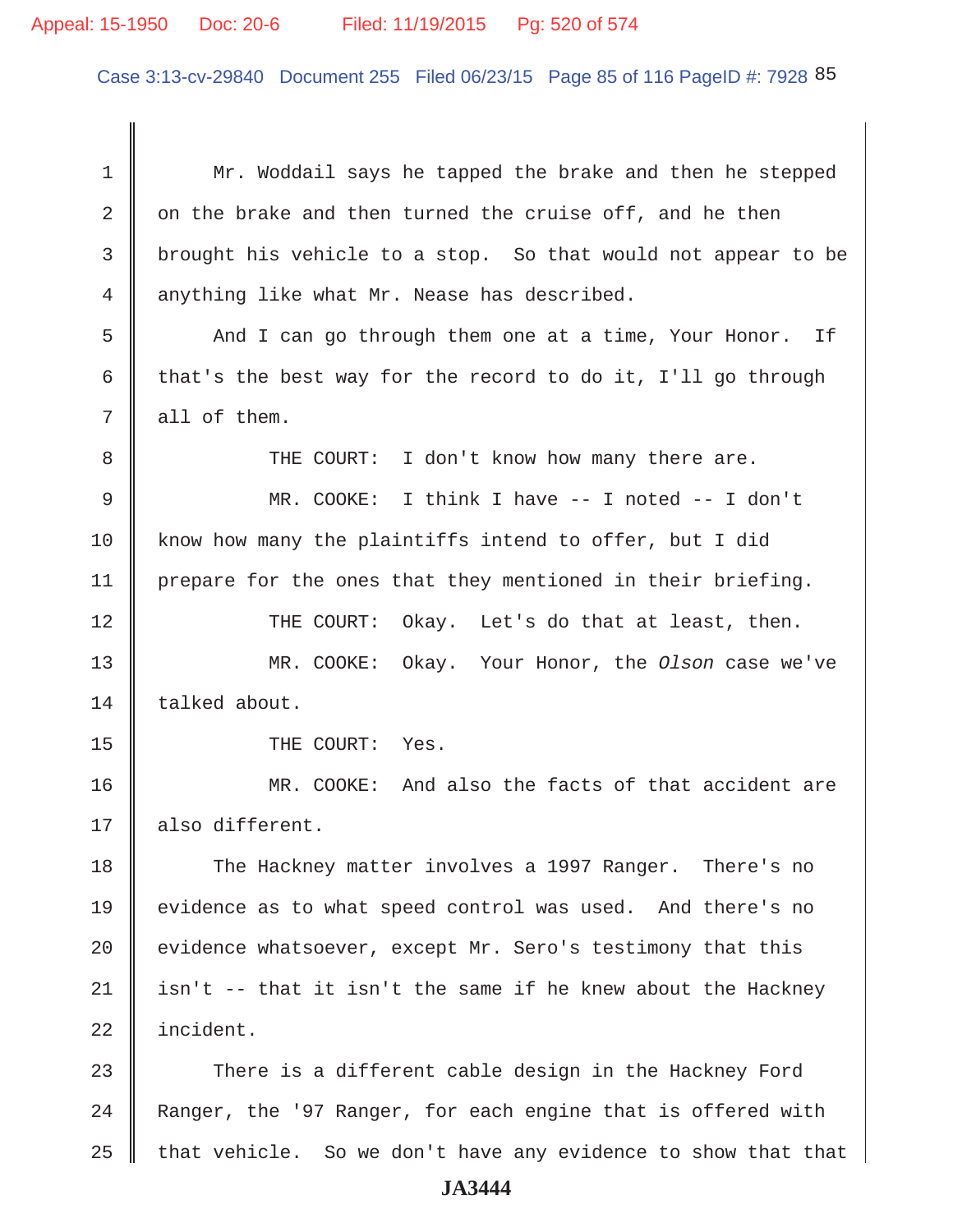## Appeal: 15-1950 Doc: 20-6 Filed: 11/19/2015 Pg: 520 of 574

Case 3:13-cv-29840 Document 255 Filed 06/23/15 Page 85 of 116 PageID #: 7928 85

1 Mr. Woddail says he tapped the brake and then he stepped 2  $\parallel$  on the brake and then turned the cruise off, and he then 3 brought his vehicle to a stop. So that would not appear to be  $4 \parallel$  anything like what Mr. Nease has described. 5 And I can go through them one at a time, Your Honor. If 6 that's the best way for the record to do it, I'll go through  $7 \parallel$  all of them. 8 THE COURT: I don't know how many there are. 9 MR. COOKE: I think I have -- I noted -- I don't 10 know how many the plaintiffs intend to offer, but I did 11 | prepare for the ones that they mentioned in their briefing. 12 THE COURT: Okay. Let's do that at least, then. 13 MR. COOKE: Okay. Your Honor, the *Olson* case we've  $14$  | talked about. 15 || THE COURT: Yes. 16 MR. COOKE: And also the facts of that accident are 17 || also different. 18 The Hackney matter involves a 1997 Ranger. There's no 19 evidence as to what speed control was used. And there's no 20  $\parallel$  evidence whatsoever, except Mr. Sero's testimony that this 21 | isn't -- that it isn't the same if he knew about the Hackney 22 incident. 23 There is a different cable design in the Hackney Ford 24 Ranger, the '97 Ranger, for each engine that is offered with  $25$  that vehicle. So we don't have any evidence to show that that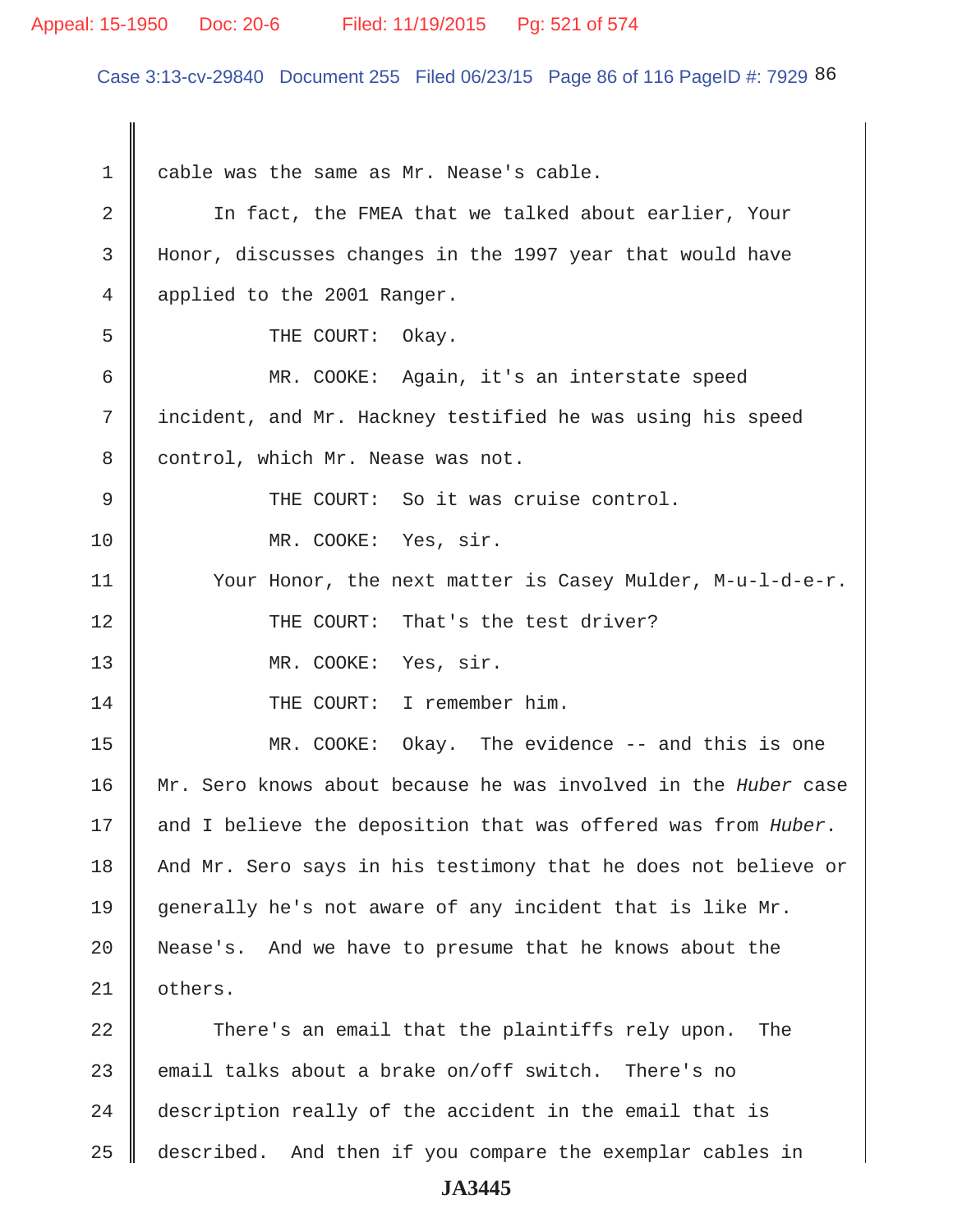#### Appeal: 15-1950 Doc: 20-6 Filed: 11/19/2015 Pg: 521 of 574

Case 3:13-cv-29840 Document 255 Filed 06/23/15 Page 86 of 116 PageID #: 7929 86

1 cable was the same as Mr. Nease's cable. 2 In fact, the FMEA that we talked about earlier, Your 3 Honor, discusses changes in the 1997 year that would have 4 applied to the 2001 Ranger. 5 **J** THE COURT: Okay. 6 MR. COOKE: Again, it's an interstate speed 7 | incident, and Mr. Hackney testified he was using his speed 8 | control, which Mr. Nease was not. 9 THE COURT: So it was cruise control. 10 || MR. COOKE: Yes, sir. 11 | Your Honor, the next matter is Casey Mulder, M-u-l-d-e-r. 12 THE COURT: That's the test driver? 13 || MR. COOKE: Yes, sir. 14 || THE COURT: I remember him. 15 MR. COOKE: Okay. The evidence -- and this is one 16 Mr. Sero knows about because he was involved in the *Huber* case 17 and I believe the deposition that was offered was from *Huber*. 18 And Mr. Sero says in his testimony that he does not believe or 19 generally he's not aware of any incident that is like Mr. 20 Nease's. And we have to presume that he knows about the 21 | others. 22 There's an email that the plaintiffs rely upon. The 23 email talks about a brake on/off switch. There's no 24 description really of the accident in the email that is

25 described. And then if you compare the exemplar cables in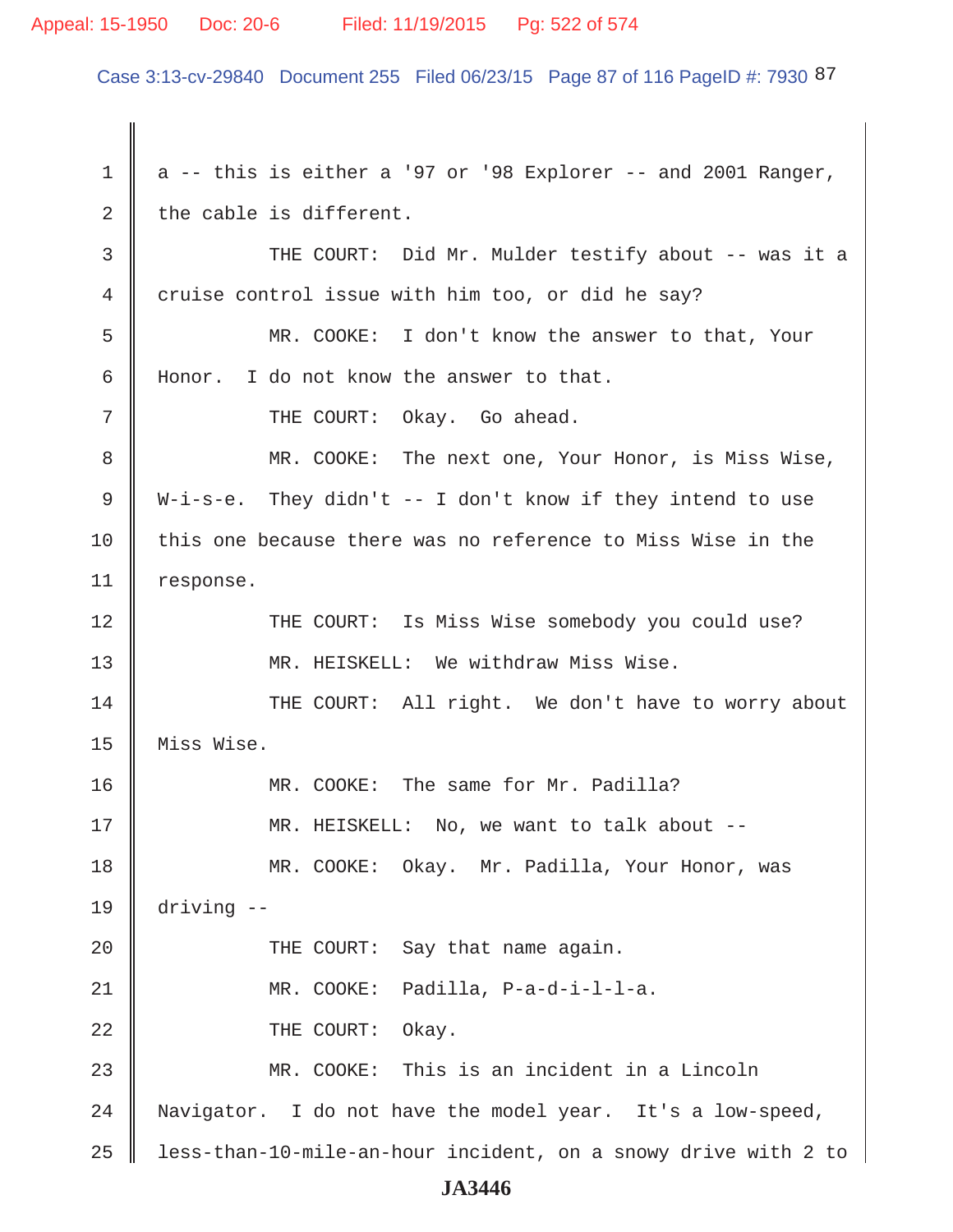#### Appeal: 15-1950 Doc: 20-6 Filed: 11/19/2015 Pg: 522 of 574

Case 3:13-cv-29840 Document 255 Filed 06/23/15 Page 87 of 116 PageID #: 7930 87

1  $\parallel$  a -- this is either a '97 or '98 Explorer -- and 2001 Ranger, 2 the cable is different. 3 THE COURT: Did Mr. Mulder testify about -- was it a 4 cruise control issue with him too, or did he say? 5 MR. COOKE: I don't know the answer to that, Your 6 Honor. I do not know the answer to that. 7 THE COURT: Okay. Go ahead. 8 MR. COOKE: The next one, Your Honor, is Miss Wise, 9 ||  $W-i-s-e$ . They didn't  $-1$  don't know if they intend to use 10 this one because there was no reference to Miss Wise in the 11 | response. 12 THE COURT: Is Miss Wise somebody you could use? 13 || MR. HEISKELL: We withdraw Miss Wise. 14 THE COURT: All right. We don't have to worry about 15 Miss Wise. 16 MR. COOKE: The same for Mr. Padilla? 17 || MR. HEISKELL: No, we want to talk about --18 MR. COOKE: Okay. Mr. Padilla, Your Honor, was 19 driving -- 20 || THE COURT: Say that name again. 21 MR. COOKE: Padilla, P-a-d-i-l-l-a. 22 **COURT:** Okay. 23 MR. COOKE: This is an incident in a Lincoln 24 Navigator. I do not have the model year. It's a low-speed,  $25$  | less-than-10-mile-an-hour incident, on a snowy drive with 2 to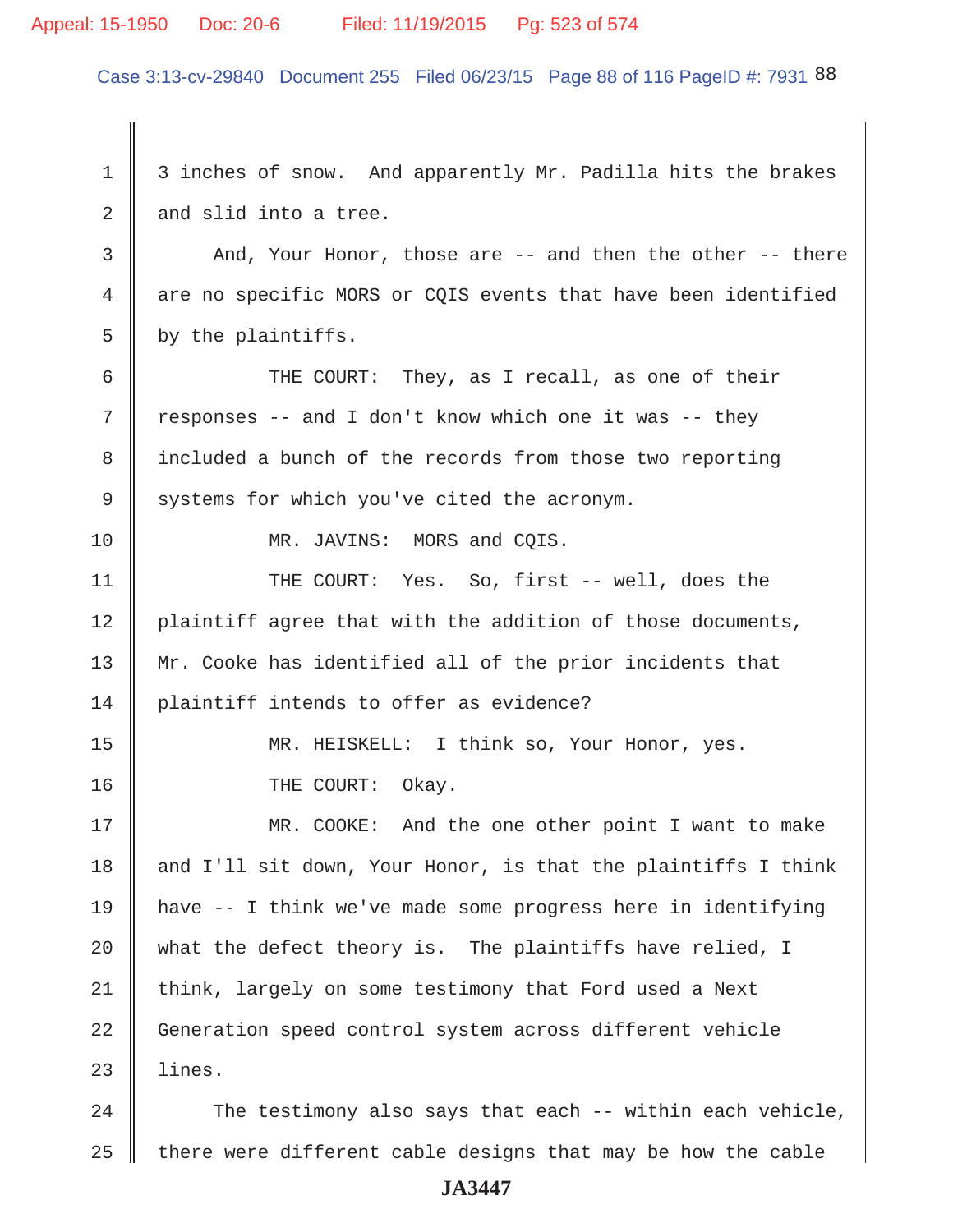#### Appeal: 15-1950 Doc: 20-6 Filed: 11/19/2015 Pg: 523 of 574

Case 3:13-cv-29840 Document 255 Filed 06/23/15 Page 88 of 116 PageID #: 7931 88

1 3 inches of snow. And apparently Mr. Padilla hits the brakes  $2 \parallel$  and slid into a tree. 3 And, Your Honor, those are -- and then the other -- there 4 are no specific MORS or CQIS events that have been identified  $5 \parallel$  by the plaintiffs. 6 | THE COURT: They, as I recall, as one of their  $7 \parallel$  responses -- and I don't know which one it was -- they 8 included a bunch of the records from those two reporting  $9 \parallel$  systems for which you've cited the acronym. 10 NR. JAVINS: MORS and COIS. 11 || THE COURT: Yes. So, first -- well, does the 12 | plaintiff agree that with the addition of those documents, 13 Mr. Cooke has identified all of the prior incidents that 14 plaintiff intends to offer as evidence? 15 || MR. HEISKELL: I think so, Your Honor, yes. 16 **I** THE COURT: Okay. 17 MR. COOKE: And the one other point I want to make 18  $\parallel$  and I'll sit down, Your Honor, is that the plaintiffs I think 19 have -- I think we've made some progress here in identifying 20  $\parallel$  what the defect theory is. The plaintiffs have relied, I 21 think, largely on some testimony that Ford used a Next 22 Generation speed control system across different vehicle  $23$  | lines. 24  $\parallel$  The testimony also says that each -- within each vehicle,

 $25$  there were different cable designs that may be how the cable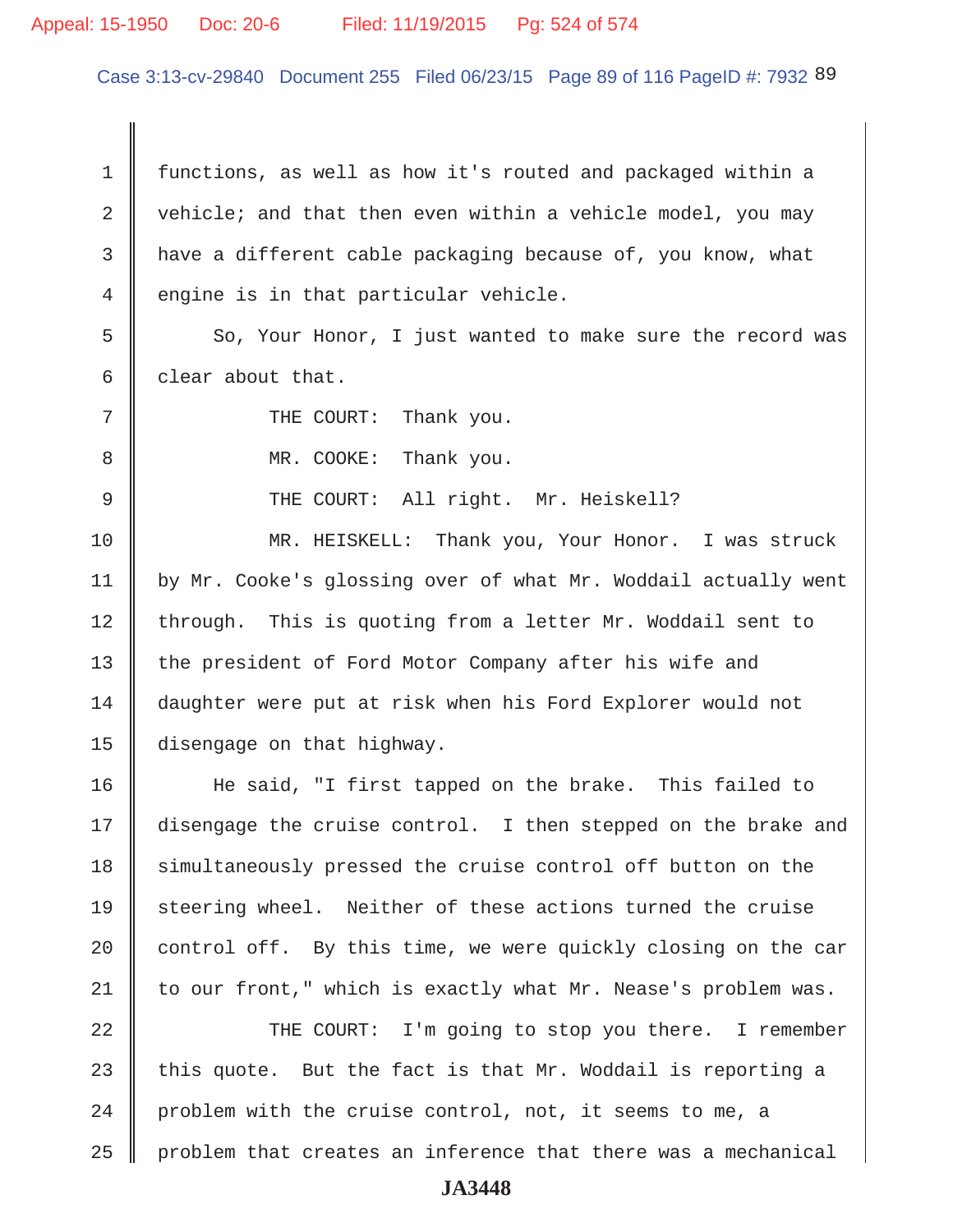### Appeal: 15-1950 Doc: 20-6 Filed: 11/19/2015 Pg: 524 of 574

Case 3:13-cv-29840 Document 255 Filed 06/23/15 Page 89 of 116 PageID #: 7932 89

 1 functions, as well as how it's routed and packaged within a 2 vehicle; and that then even within a vehicle model, you may 3 have a different cable packaging because of, you know, what  $4 \parallel$  engine is in that particular vehicle. 5 So, Your Honor, I just wanted to make sure the record was 6 clear about that. 7 || THE COURT: Thank you. 8 MR. COOKE: Thank you. 9 || THE COURT: All right. Mr. Heiskell? 10 MR. HEISKELL: Thank you, Your Honor. I was struck 11 | by Mr. Cooke's glossing over of what Mr. Woddail actually went 12 through. This is quoting from a letter Mr. Woddail sent to 13 the president of Ford Motor Company after his wife and 14 daughter were put at risk when his Ford Explorer would not 15 disengage on that highway. 16 He said, "I first tapped on the brake. This failed to

17 disengage the cruise control. I then stepped on the brake and 18 simultaneously pressed the cruise control off button on the 19 steering wheel. Neither of these actions turned the cruise 20  $\parallel$  control off. By this time, we were quickly closing on the car  $21$  to our front," which is exactly what Mr. Nease's problem was.

22 || THE COURT: I'm going to stop you there. I remember 23 this quote. But the fact is that Mr. Woddail is reporting a 24 | problem with the cruise control, not, it seems to me, a  $25$  | problem that creates an inference that there was a mechanical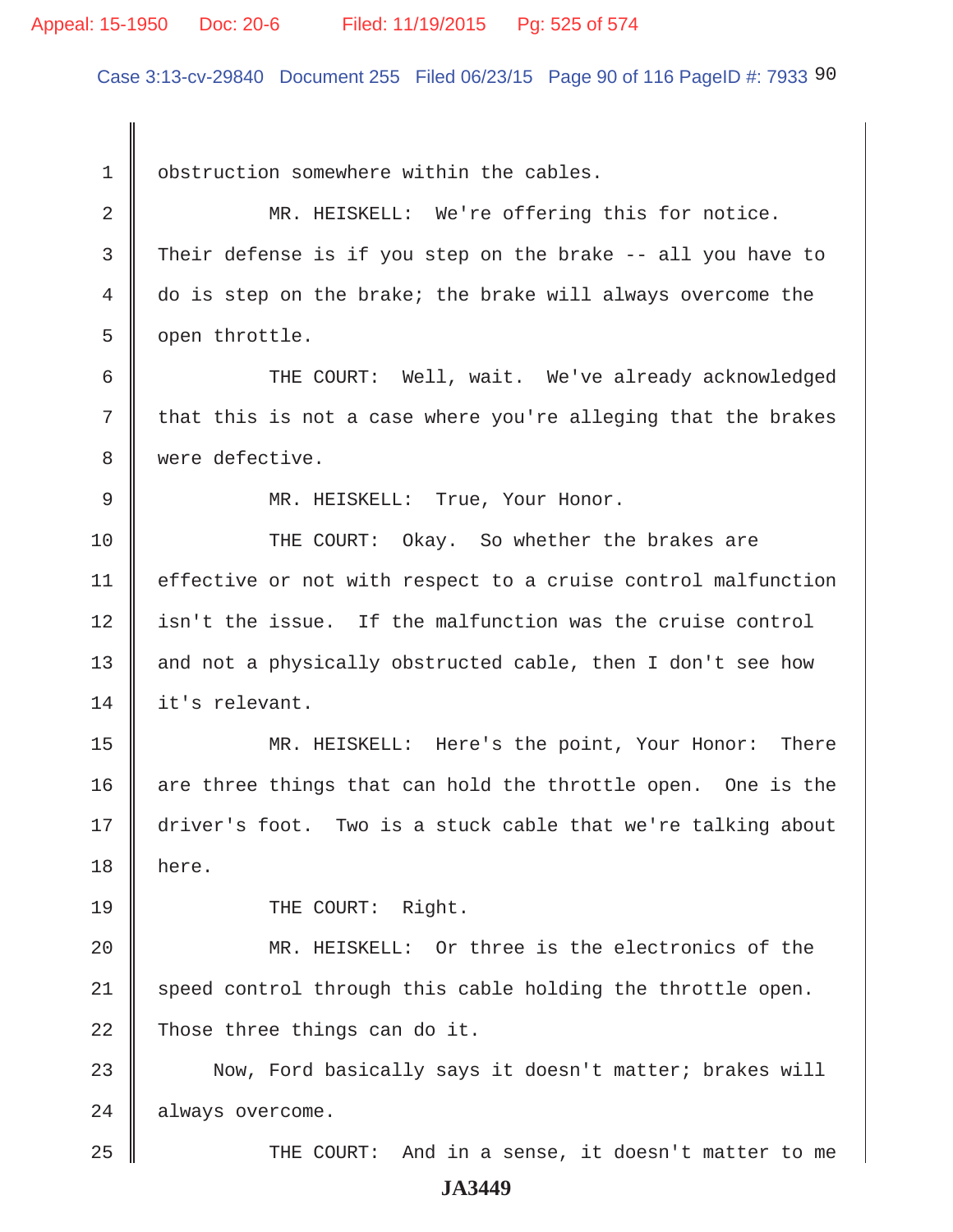#### Appeal: 15-1950 Doc: 20-6 Filed: 11/19/2015 Pg: 525 of 574

Case 3:13-cv-29840 Document 255 Filed 06/23/15 Page 90 of 116 PageID #: 7933 90

1 | obstruction somewhere within the cables.

2 MR. HEISKELL: We're offering this for notice. 3 Their defense is if you step on the brake -- all you have to 4 do is step on the brake; the brake will always overcome the 5 | open throttle.

 6 THE COURT: Well, wait. We've already acknowledged  $7 \parallel$  that this is not a case where you're alleging that the brakes 8 were defective.

9 MR. HEISKELL: True, Your Honor.

10 THE COURT: Okay. So whether the brakes are 11 | effective or not with respect to a cruise control malfunction 12 || isn't the issue. If the malfunction was the cruise control 13 || and not a physically obstructed cable, then I don't see how 14 l it's relevant.

15 || MR. HEISKELL: Here's the point, Your Honor: There 16  $\parallel$  are three things that can hold the throttle open. One is the 17 driver's foot. Two is a stuck cable that we're talking about 18 here.

19 || THE COURT: Right.

20 MR. HEISKELL: Or three is the electronics of the  $21$  speed control through this cable holding the throttle open. 22 Those three things can do it.

23 Now, Ford basically says it doesn't matter; brakes will 24 always overcome.

25 || THE COURT: And in a sense, it doesn't matter to me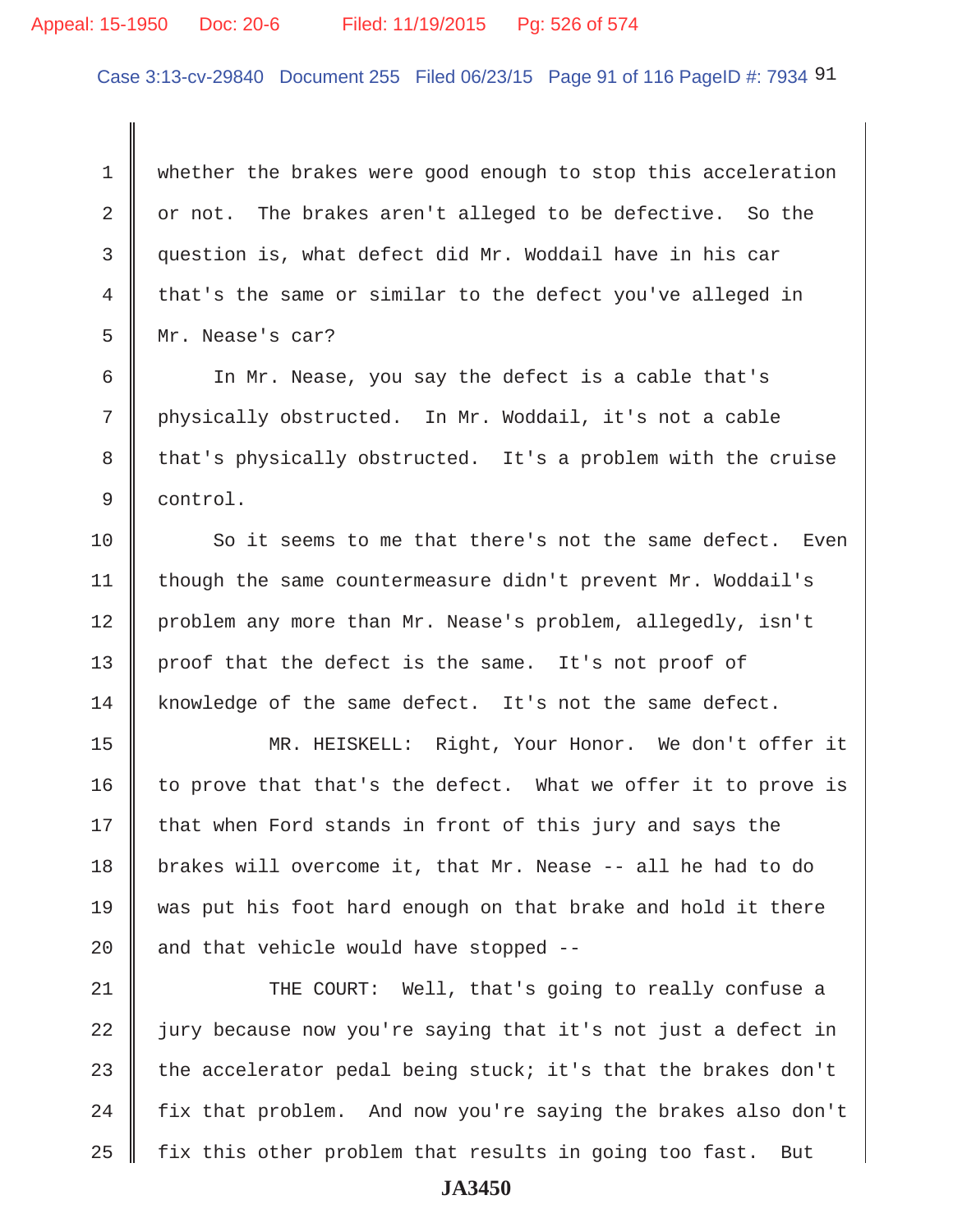## Appeal: 15-1950 Doc: 20-6 Filed: 11/19/2015 Pg: 526 of 574

Case 3:13-cv-29840 Document 255 Filed 06/23/15 Page 91 of 116 PageID #: 7934 91

 1 whether the brakes were good enough to stop this acceleration  $2 \parallel$  or not. The brakes aren't alleged to be defective. So the 3 question is, what defect did Mr. Woddail have in his car 4 that's the same or similar to the defect you've alleged in 5 Mr. Nease's car?

 6 In Mr. Nease, you say the defect is a cable that's 7 physically obstructed. In Mr. Woddail, it's not a cable 8 that's physically obstructed. It's a problem with the cruise 9 control.

10 So it seems to me that there's not the same defect. Even 11 | though the same countermeasure didn't prevent Mr. Woddail's 12 problem any more than Mr. Nease's problem, allegedly, isn't 13 || proof that the defect is the same. It's not proof of 14 knowledge of the same defect. It's not the same defect.

15 MR. HEISKELL: Right, Your Honor. We don't offer it 16  $\parallel$  to prove that that's the defect. What we offer it to prove is  $17$  that when Ford stands in front of this jury and says the 18 brakes will overcome it, that Mr. Nease -- all he had to do 19 was put his foot hard enough on that brake and hold it there 20  $\parallel$  and that vehicle would have stopped --

21 THE COURT: Well, that's going to really confuse a  $22$   $\parallel$  jury because now you're saying that it's not just a defect in 23 the accelerator pedal being stuck; it's that the brakes don't  $24$  | fix that problem. And now you're saying the brakes also don't 25  $\parallel$  fix this other problem that results in going too fast. But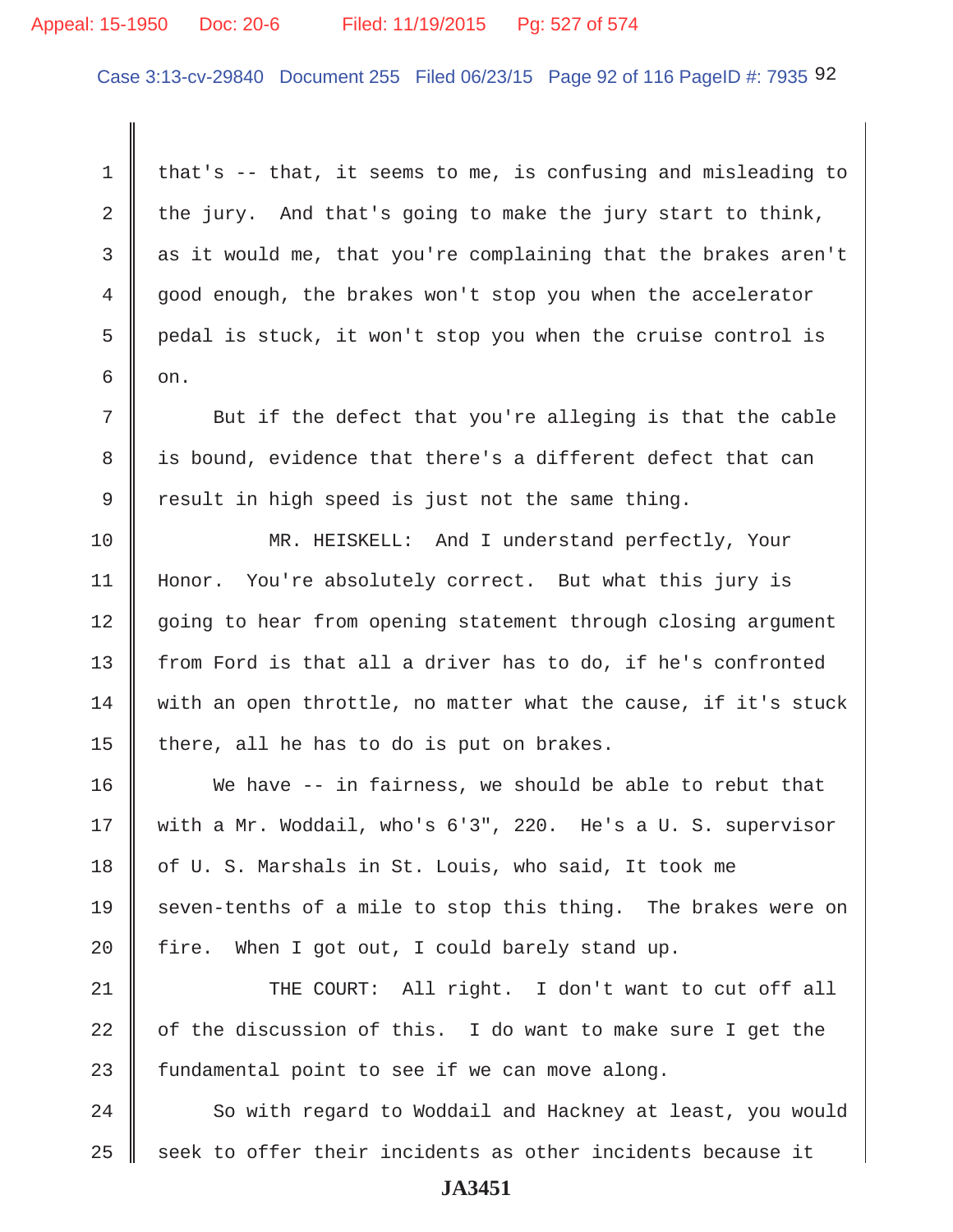## Appeal: 15-1950 Doc: 20-6 Filed: 11/19/2015 Pg: 527 of 574

Case 3:13-cv-29840 Document 255 Filed 06/23/15 Page 92 of 116 PageID #: 7935 92

 1 that's -- that, it seems to me, is confusing and misleading to 2 the jury. And that's going to make the jury start to think, 3 as it would me, that you're complaining that the brakes aren't 4 good enough, the brakes won't stop you when the accelerator 5 pedal is stuck, it won't stop you when the cruise control is  $6 \parallel$  on. 7 Sut if the defect that you're alleging is that the cable 8 is bound, evidence that there's a different defect that can  $9 \parallel$  result in high speed is just not the same thing. 10 MR. HEISKELL: And I understand perfectly, Your 11 Honor. You're absolutely correct. But what this jury is 12 going to hear from opening statement through closing argument 13 from Ford is that all a driver has to do, if he's confronted  $14$  with an open throttle, no matter what the cause, if it's stuck 15 there, all he has to do is put on brakes. 16 We have -- in fairness, we should be able to rebut that 17 Weith a Mr. Woddail, who's 6'3", 220. He's a U. S. supervisor 18 of U. S. Marshals in St. Louis, who said, It took me 19 seven-tenths of a mile to stop this thing. The brakes were on 20  $\parallel$  fire. When I got out, I could barely stand up.

21 THE COURT: All right. I don't want to cut off all 22  $\parallel$  of the discussion of this. I do want to make sure I get the 23  $\parallel$  fundamental point to see if we can move along.

24 So with regard to Woddail and Hackney at least, you would 25  $\parallel$  seek to offer their incidents as other incidents because it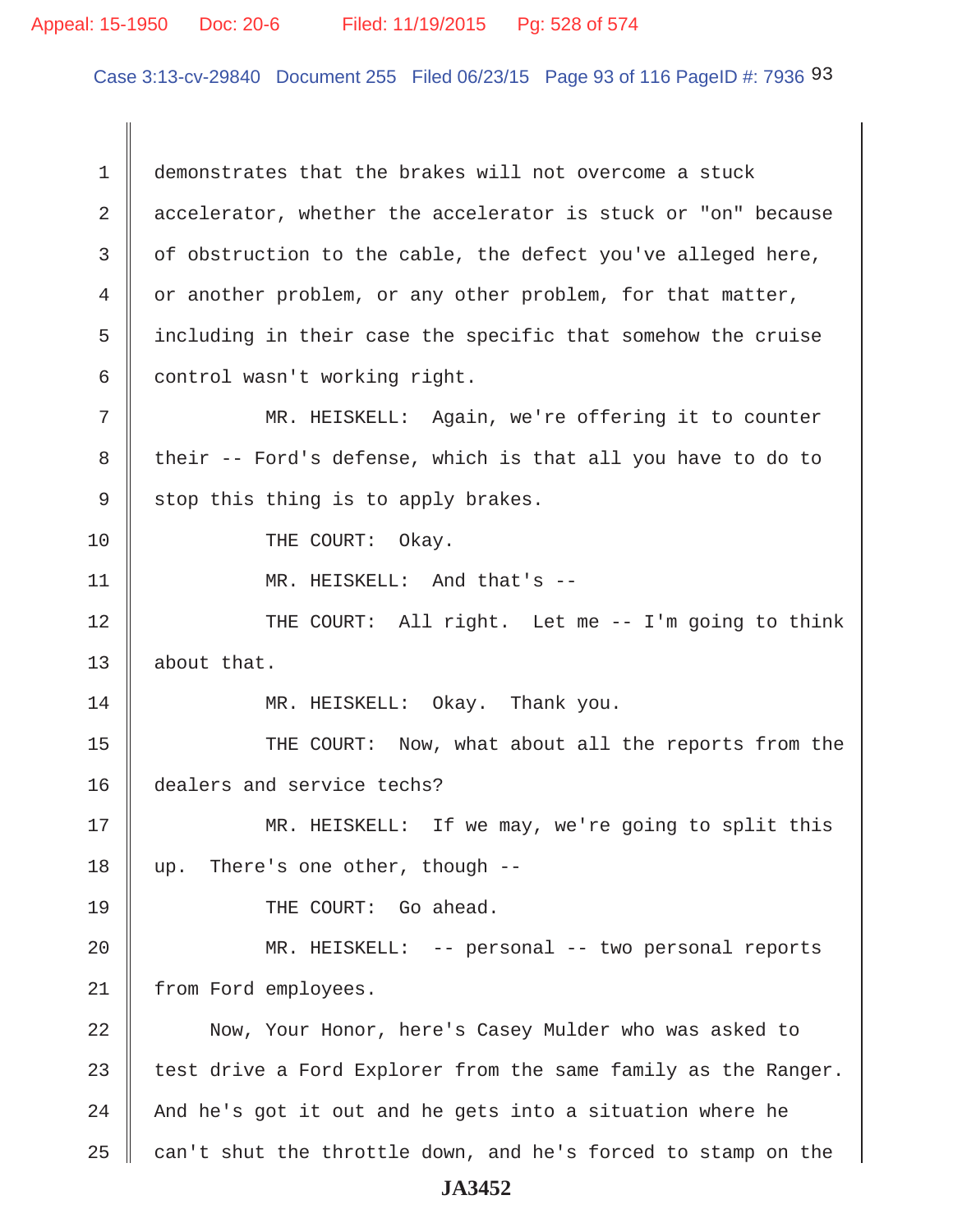## Appeal: 15-1950 Doc: 20-6 Filed: 11/19/2015 Pg: 528 of 574

Case 3:13-cv-29840 Document 255 Filed 06/23/15 Page 93 of 116 PageID #: 7936 93

 1 demonstrates that the brakes will not overcome a stuck 2 accelerator, whether the accelerator is stuck or "on" because  $3 \parallel$  of obstruction to the cable, the defect you've alleged here,  $4 \parallel$  or another problem, or any other problem, for that matter, 5 including in their case the specific that somehow the cruise 6 control wasn't working right. 7 || MR. HEISKELL: Again, we're offering it to counter  $8 \parallel$  their -- Ford's defense, which is that all you have to do to  $9 \parallel$  stop this thing is to apply brakes. 10 || THE COURT: Okay. 11 || MR. HEISKELL: And that's --12 THE COURT: All right. Let me -- I'm going to think 13 | about that. 14 || MR. HEISKELL: Okay. Thank you. 15 || THE COURT: Now, what about all the reports from the 16 dealers and service techs? 17 MR. HEISKELL: If we may, we're going to split this 18 up. There's one other, though --19 THE COURT: Go ahead. 20 MR. HEISKELL: -- personal -- two personal reports 21 | from Ford employees. 22 Now, Your Honor, here's Casey Mulder who was asked to 23  $\parallel$  test drive a Ford Explorer from the same family as the Ranger. 24  $\parallel$  And he's got it out and he gets into a situation where he 25  $\parallel$  can't shut the throttle down, and he's forced to stamp on the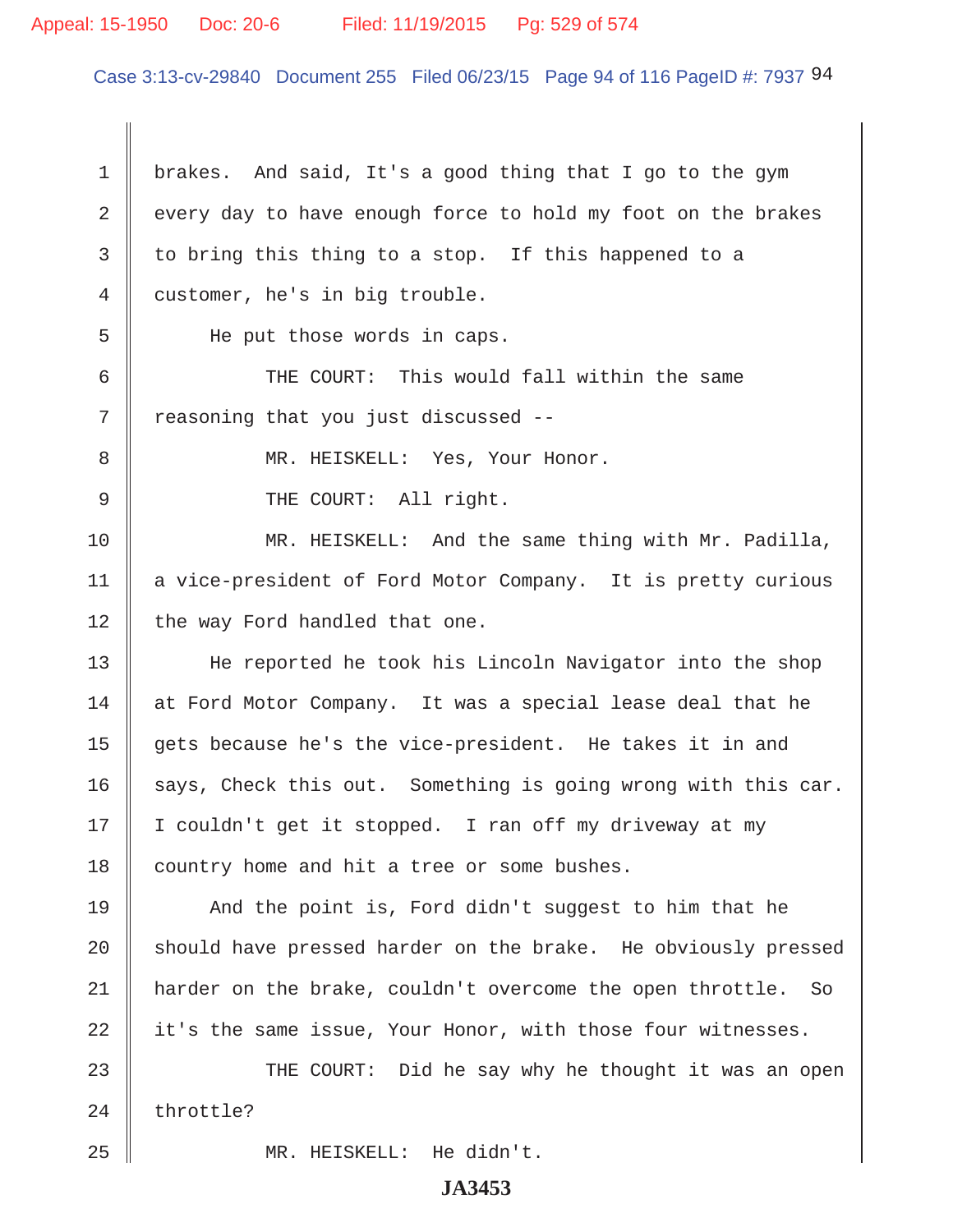## Appeal: 15-1950 Doc: 20-6 Filed: 11/19/2015 Pg: 529 of 574

Case 3:13-cv-29840 Document 255 Filed 06/23/15 Page 94 of 116 PageID #: 7937 94

1 | brakes. And said, It's a good thing that I go to the gym 2 every day to have enough force to hold my foot on the brakes  $3 \parallel$  to bring this thing to a stop. If this happened to a 4 customer, he's in big trouble. 5 | He put those words in caps. 6  $\parallel$  THE COURT: This would fall within the same 7 || reasoning that you just discussed --8 || MR. HEISKELL: Yes, Your Honor. 9 || THE COURT: All right. 10 MR. HEISKELL: And the same thing with Mr. Padilla, 11 | a vice-president of Ford Motor Company. It is pretty curious  $12$  | the way Ford handled that one. 13 || He reported he took his Lincoln Navigator into the shop 14 at Ford Motor Company. It was a special lease deal that he 15 gets because he's the vice-president. He takes it in and 16  $\parallel$  says, Check this out. Something is going wrong with this car. 17 I couldn't get it stopped. I ran off my driveway at my 18 country home and hit a tree or some bushes. 19 And the point is, Ford didn't suggest to him that he 20 Should have pressed harder on the brake. He obviously pressed 21 harder on the brake, couldn't overcome the open throttle. So  $22$  it's the same issue, Your Honor, with those four witnesses. 23 THE COURT: Did he say why he thought it was an open  $24$  throttle? 25 MR. HEISKELL: He didn't.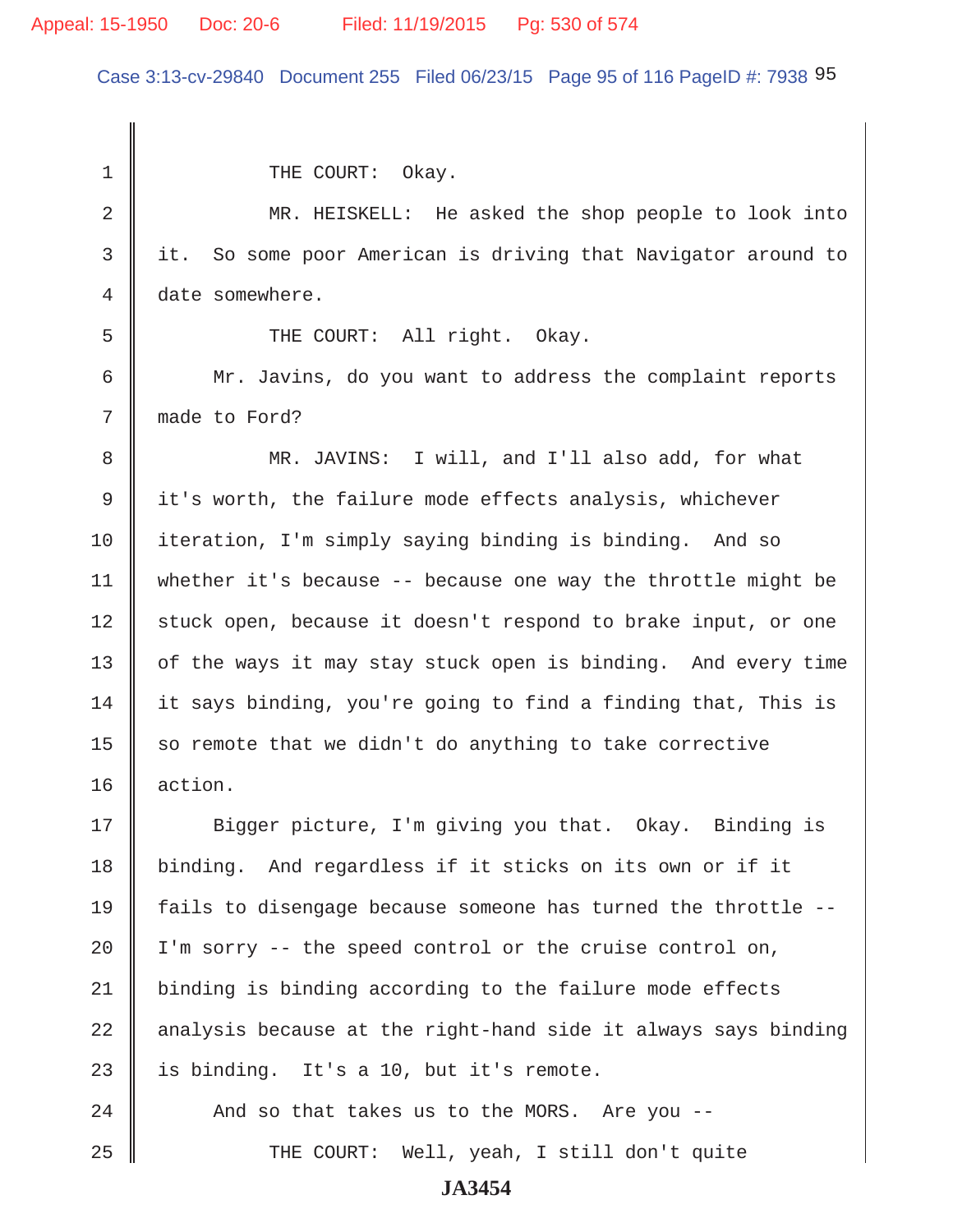Case 3:13-cv-29840 Document 255 Filed 06/23/15 Page 95 of 116 PageID #: 7938 95

1 || THE COURT: Okay. 2 || MR. HEISKELL: He asked the shop people to look into 3 it. So some poor American is driving that Navigator around to 4 date somewhere. 5 || THE COURT: All right. Okay. 6 | Mr. Javins, do you want to address the complaint reports 7 made to Ford? 8 || MR. JAVINS: I will, and I'll also add, for what 9 it's worth, the failure mode effects analysis, whichever 10 iteration, I'm simply saying binding is binding. And so 11 | whether it's because  $-$ - because one way the throttle might be 12 stuck open, because it doesn't respond to brake input, or one 13 | of the ways it may stay stuck open is binding. And every time  $14$  it says binding, you're going to find a finding that, This is 15  $\parallel$  so remote that we didn't do anything to take corrective 16 action. 17 Sigger picture, I'm giving you that. Okay. Binding is 18 binding. And regardless if it sticks on its own or if it 19 fails to disengage because someone has turned the throttle --  $20$  | I'm sorry -- the speed control or the cruise control on, 21 binding is binding according to the failure mode effects 22  $\parallel$  analysis because at the right-hand side it always says binding 23  $\parallel$  is binding. It's a 10, but it's remote. 24  $\parallel$  And so that takes us to the MORS. Are you --25 THE COURT: Well, yeah, I still don't quite **JA3454**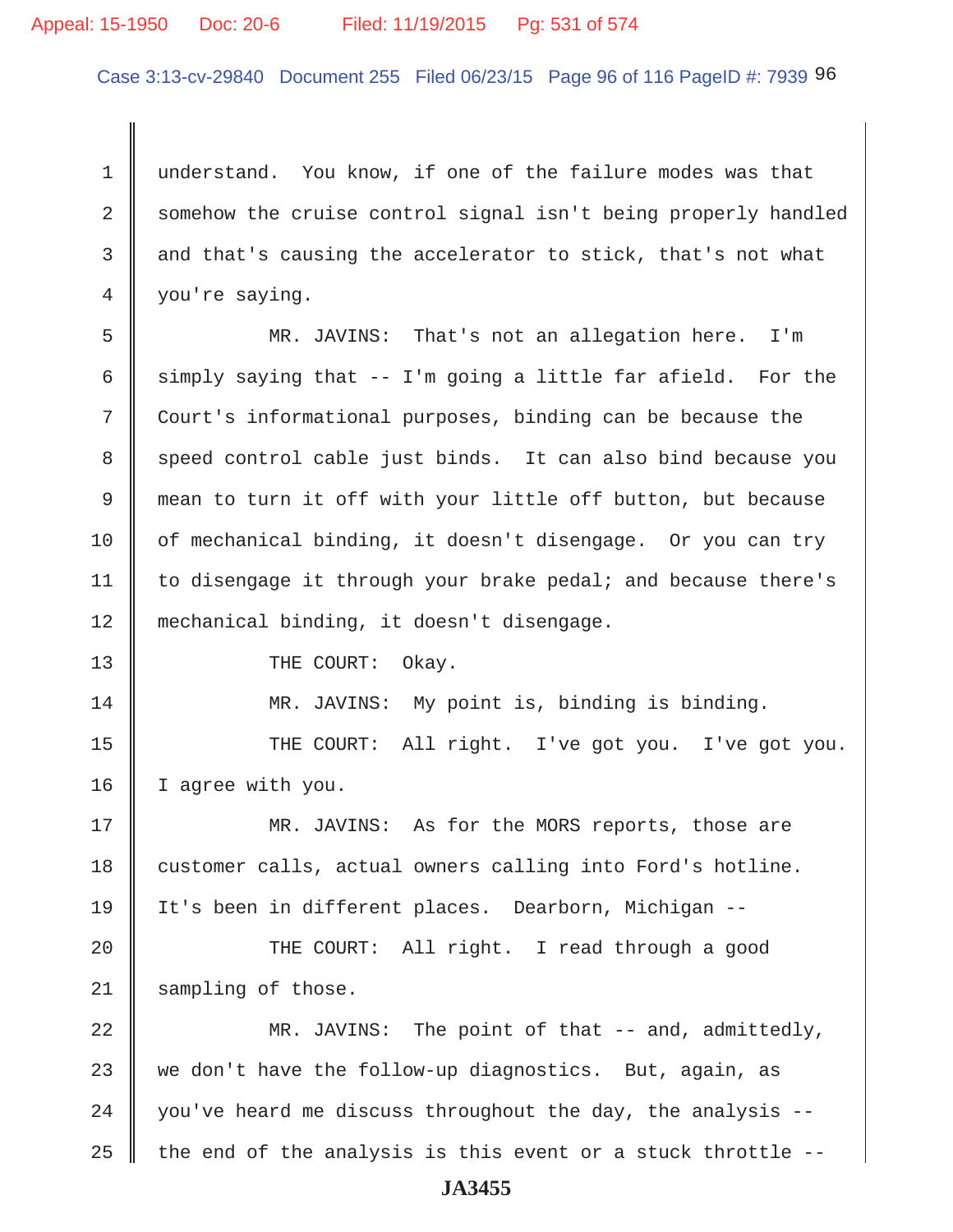### Appeal: 15-1950 Doc: 20-6 Filed: 11/19/2015 Pg: 531 of 574

Case 3:13-cv-29840 Document 255 Filed 06/23/15 Page 96 of 116 PageID #: 7939 96

1 understand. You know, if one of the failure modes was that 2 Somehow the cruise control signal isn't being properly handled 3 and that's causing the accelerator to stick, that's not what 4 | you're saying.

 5 MR. JAVINS: That's not an allegation here. I'm 6 simply saying that -- I'm going a little far afield. For the 7 Court's informational purposes, binding can be because the 8 speed control cable just binds. It can also bind because you 9 mean to turn it off with your little off button, but because 10  $\parallel$  of mechanical binding, it doesn't disengage. Or you can try 11 | to disengage it through your brake pedal; and because there's 12 mechanical binding, it doesn't disengage.

13 COURT: Okay.

14 MR. JAVINS: My point is, binding is binding.

15 || THE COURT: All right. I've got you. I've got you. 16 | I agree with you.

17 MR. JAVINS: As for the MORS reports, those are 18 customer calls, actual owners calling into Ford's hotline. 19 It's been in different places. Dearborn, Michigan --

20 || THE COURT: All right. I read through a good 21 | sampling of those.

22 MR. JAVINS: The point of that -- and, admittedly, 23 we don't have the follow-up diagnostics. But, again, as 24  $\parallel$  you've heard me discuss throughout the day, the analysis --25  $\parallel$  the end of the analysis is this event or a stuck throttle --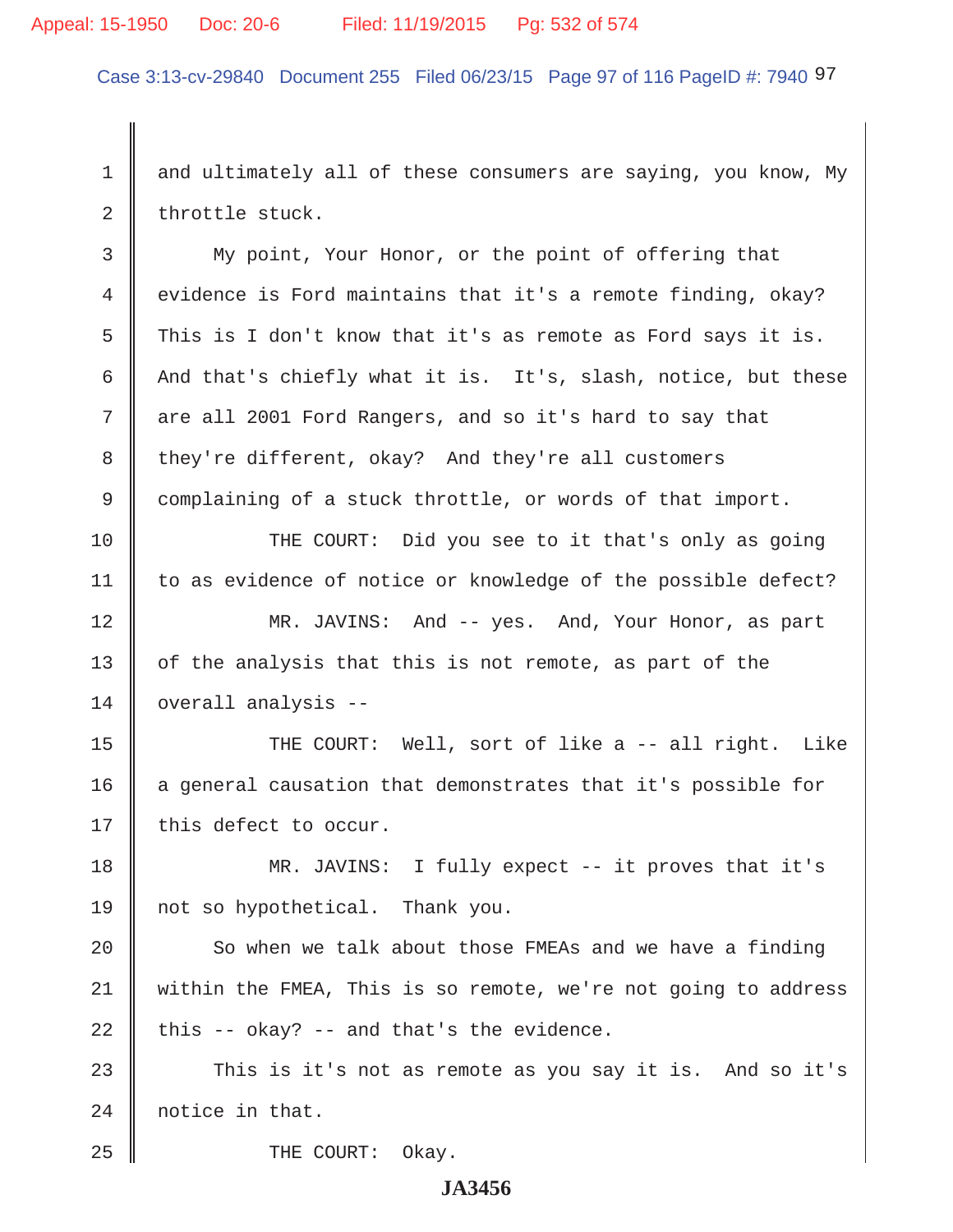## Appeal: 15-1950 Doc: 20-6 Filed: 11/19/2015 Pg: 532 of 574

Case 3:13-cv-29840 Document 255 Filed 06/23/15 Page 97 of 116 PageID #: 7940 97

1 and ultimately all of these consumers are saying, you know, My  $2 \parallel$  throttle stuck.

 3 My point, Your Honor, or the point of offering that 4 evidence is Ford maintains that it's a remote finding, okay? 5 This is I don't know that it's as remote as Ford says it is. 6 And that's chiefly what it is. It's, slash, notice, but these 7 are all 2001 Ford Rangers, and so it's hard to say that 8 they're different, okay? And they're all customers 9 complaining of a stuck throttle, or words of that import.

10 THE COURT: Did you see to it that's only as going 11 | to as evidence of notice or knowledge of the possible defect?

12 MR. JAVINS: And -- yes. And, Your Honor, as part  $13$  | of the analysis that this is not remote, as part of the 14 overall analysis --

15 || THE COURT: Well, sort of like a -- all right. Like  $16$  a general causation that demonstrates that it's possible for  $17$  | this defect to occur.

18 || MR. JAVINS: I fully expect -- it proves that it's 19 not so hypothetical. Thank you.

 $20$   $\parallel$  So when we talk about those FMEAs and we have a finding 21 within the FMEA, This is so remote, we're not going to address  $22$  | this -- okay? -- and that's the evidence.

23 This is it's not as remote as you say it is. And so it's 24 notice in that.

25 **COURT:** Okay.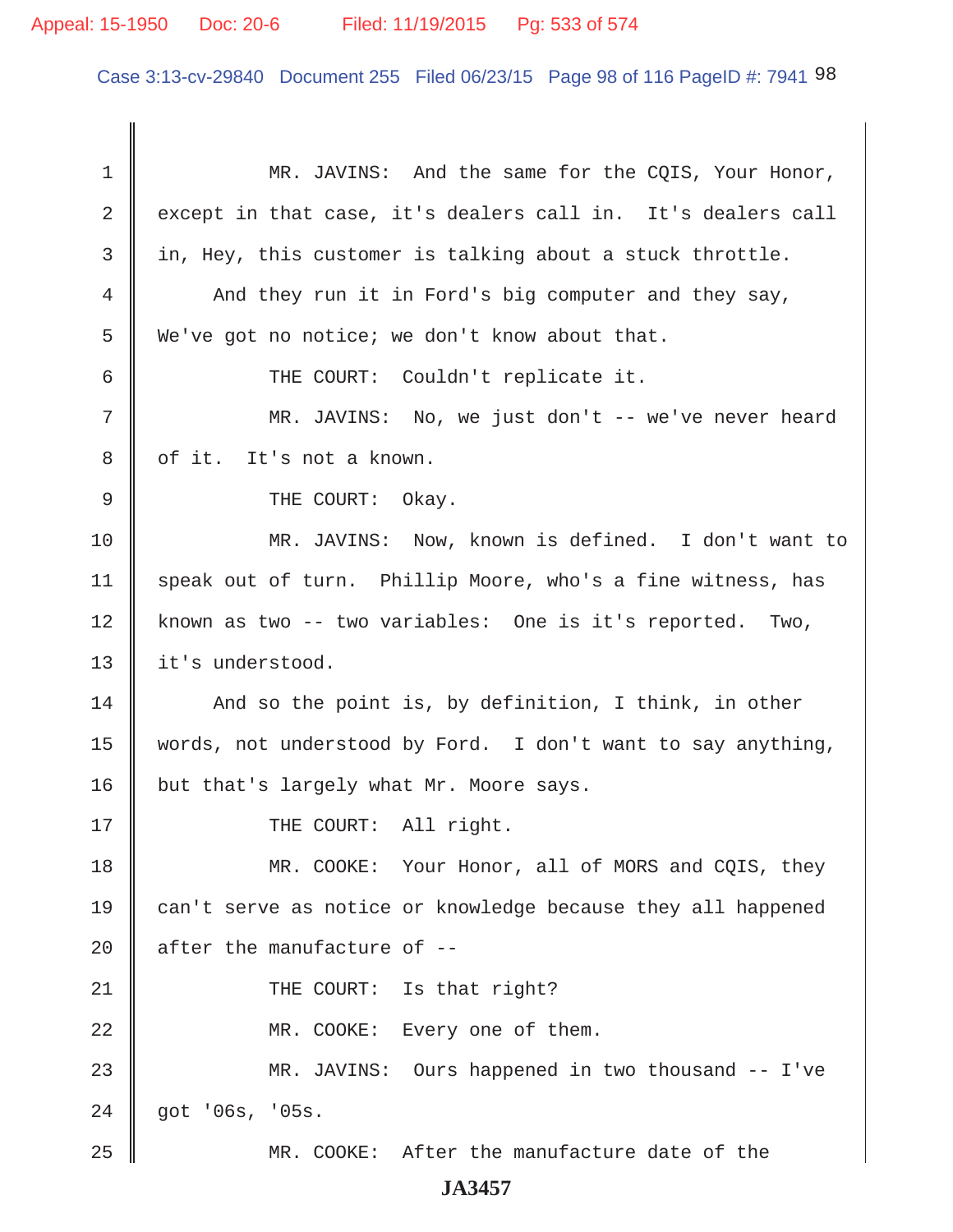## Appeal: 15-1950 Doc: 20-6 Filed: 11/19/2015 Pg: 533 of 574

Case 3:13-cv-29840 Document 255 Filed 06/23/15 Page 98 of 116 PageID #: 7941 98

1 MR. JAVINS: And the same for the COIS, Your Honor,  $2 \parallel$  except in that case, it's dealers call in. It's dealers call  $3$  in, Hey, this customer is talking about a stuck throttle. 4 And they run it in Ford's big computer and they say, 5 We've got no notice; we don't know about that. 6 || THE COURT: Couldn't replicate it. 7 MR. JAVINS: No, we just don't -- we've never heard 8 | of it. It's not a known. 9 CHE COURT: Okay. 10 MR. JAVINS: Now, known is defined. I don't want to 11 | speak out of turn. Phillip Moore, who's a fine witness, has 12 known as two -- two variables: One is it's reported. Two, 13 || it's understood.  $14$   $\parallel$  And so the point is, by definition, I think, in other 15 words, not understood by Ford. I don't want to say anything, 16 | but that's largely what Mr. Moore says. 17 || THE COURT: All right. 18 MR. COOKE: Your Honor, all of MORS and COIS, they 19 can't serve as notice or knowledge because they all happened 20  $\parallel$  after the manufacture of --21 || THE COURT: Is that right? 22 || MR. COOKE: Every one of them. 23 MR. JAVINS: Ours happened in two thousand -- I've 24 got '06s, '05s. 25 MR. COOKE: After the manufacture date of the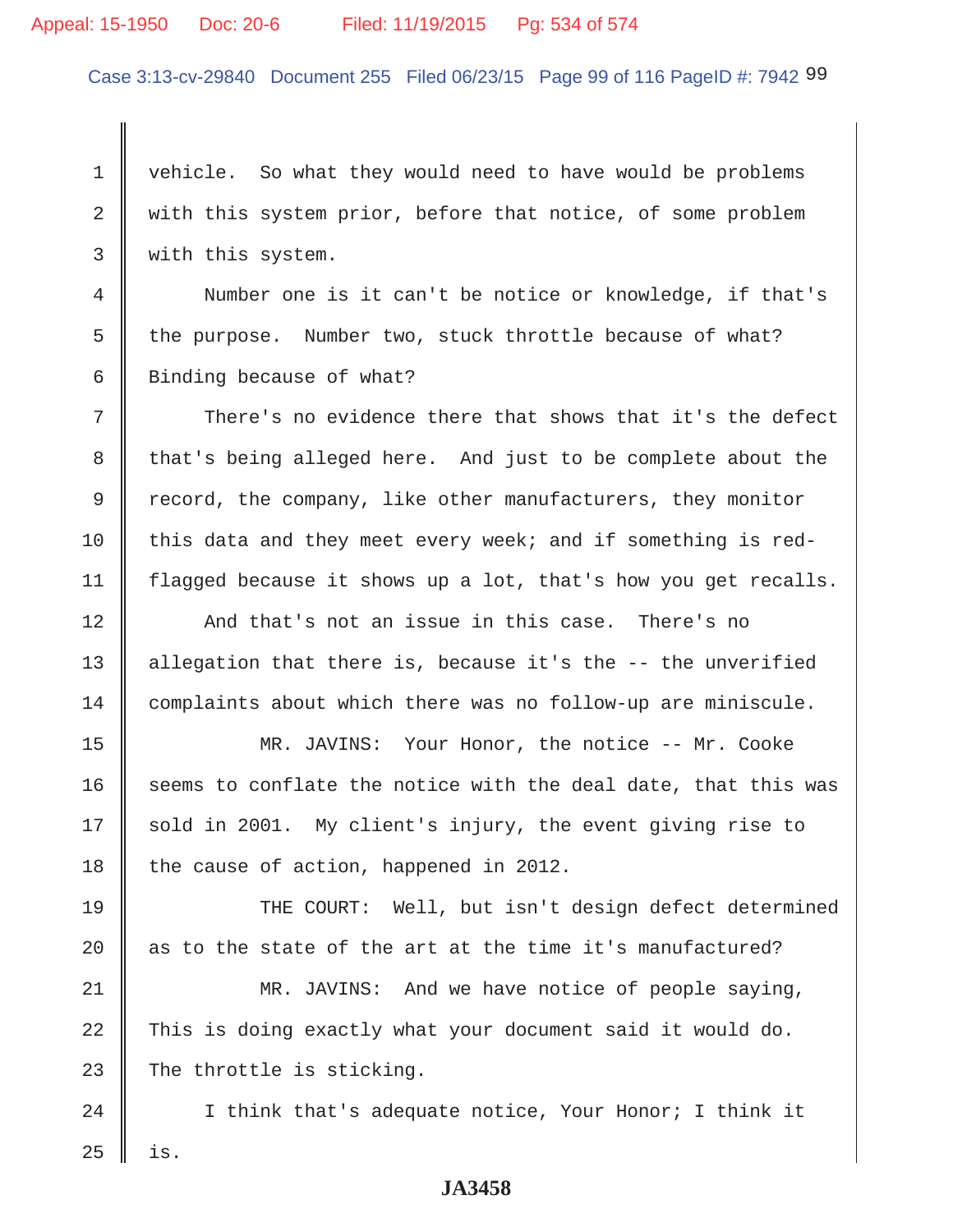### Appeal: 15-1950 Doc: 20-6 Filed: 11/19/2015 Pg: 534 of 574

Case 3:13-cv-29840 Document 255 Filed 06/23/15 Page 99 of 116 PageID #: 7942 99

1 vehicle. So what they would need to have would be problems 2 With this system prior, before that notice, of some problem 3 | with this system.

 4 Number one is it can't be notice or knowledge, if that's 5 the purpose. Number two, stuck throttle because of what? 6 Binding because of what?

7 There's no evidence there that shows that it's the defect 8 that's being alleged here. And just to be complete about the 9 Tecord, the company, like other manufacturers, they monitor 10  $\parallel$  this data and they meet every week; and if something is red-11 | flagged because it shows up a lot, that's how you get recalls.

12 And that's not an issue in this case. There's no 13  $\parallel$  allegation that there is, because it's the  $-$ - the unverified 14 complaints about which there was no follow-up are miniscule.

15 || MR. JAVINS: Your Honor, the notice -- Mr. Cooke 16  $\parallel$  seems to conflate the notice with the deal date, that this was  $17 \parallel$  sold in 2001. My client's injury, the event giving rise to 18 the cause of action, happened in 2012.

19 THE COURT: Well, but isn't design defect determined 20  $\parallel$  as to the state of the art at the time it's manufactured?

21 MR. JAVINS: And we have notice of people saying,  $22$   $\parallel$  This is doing exactly what your document said it would do. 23 The throttle is sticking.

24  $\parallel$  I think that's adequate notice, Your Honor; I think it  $25$  | is.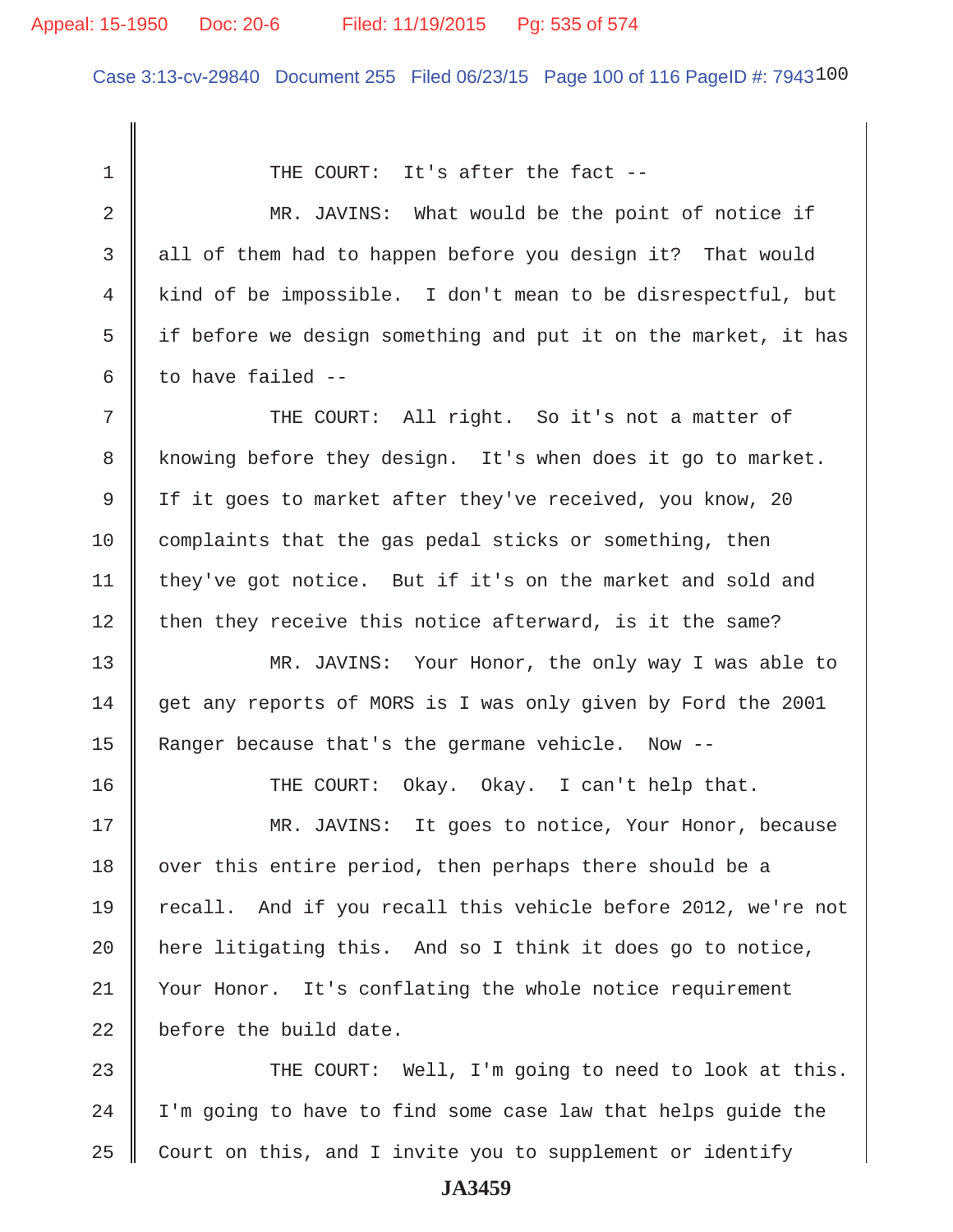## Appeal: 15-1950 Doc: 20-6 Filed: 11/19/2015 Pg: 535 of 574

Case 3:13-cv-29840 Document 255 Filed 06/23/15 Page 100 of 116 PageID #: 7943100

1 THE COURT: It's after the fact --2 MR. JAVINS: What would be the point of notice if 3 all of them had to happen before you design it? That would 4 kind of be impossible. I don't mean to be disrespectful, but 5  $\parallel$  if before we design something and put it on the market, it has 6 to have failed  $-$  7 THE COURT: All right. So it's not a matter of 8 Knowing before they design. It's when does it go to market. 9 If it goes to market after they've received, you know, 20  $10$  complaints that the gas pedal sticks or something, then 11 | they've got notice. But if it's on the market and sold and  $12$  then they receive this notice afterward, is it the same? 13 MR. JAVINS: Your Honor, the only way I was able to 14 get any reports of MORS is I was only given by Ford the 2001 15 | Ranger because that's the germane vehicle. Now --16 THE COURT: Okay. Okay. I can't help that. 17 || MR. JAVINS: It goes to notice, Your Honor, because 18 | over this entire period, then perhaps there should be a 19 || recall. And if you recall this vehicle before 2012, we're not 20  $\parallel$  here litigating this. And so I think it does go to notice, 21 | Your Honor. It's conflating the whole notice requirement  $22$   $\parallel$  before the build date. 23 THE COURT: Well, I'm going to need to look at this.  $24$  | I'm going to have to find some case law that helps guide the

**JA3459**

 $25$  Court on this, and I invite you to supplement or identify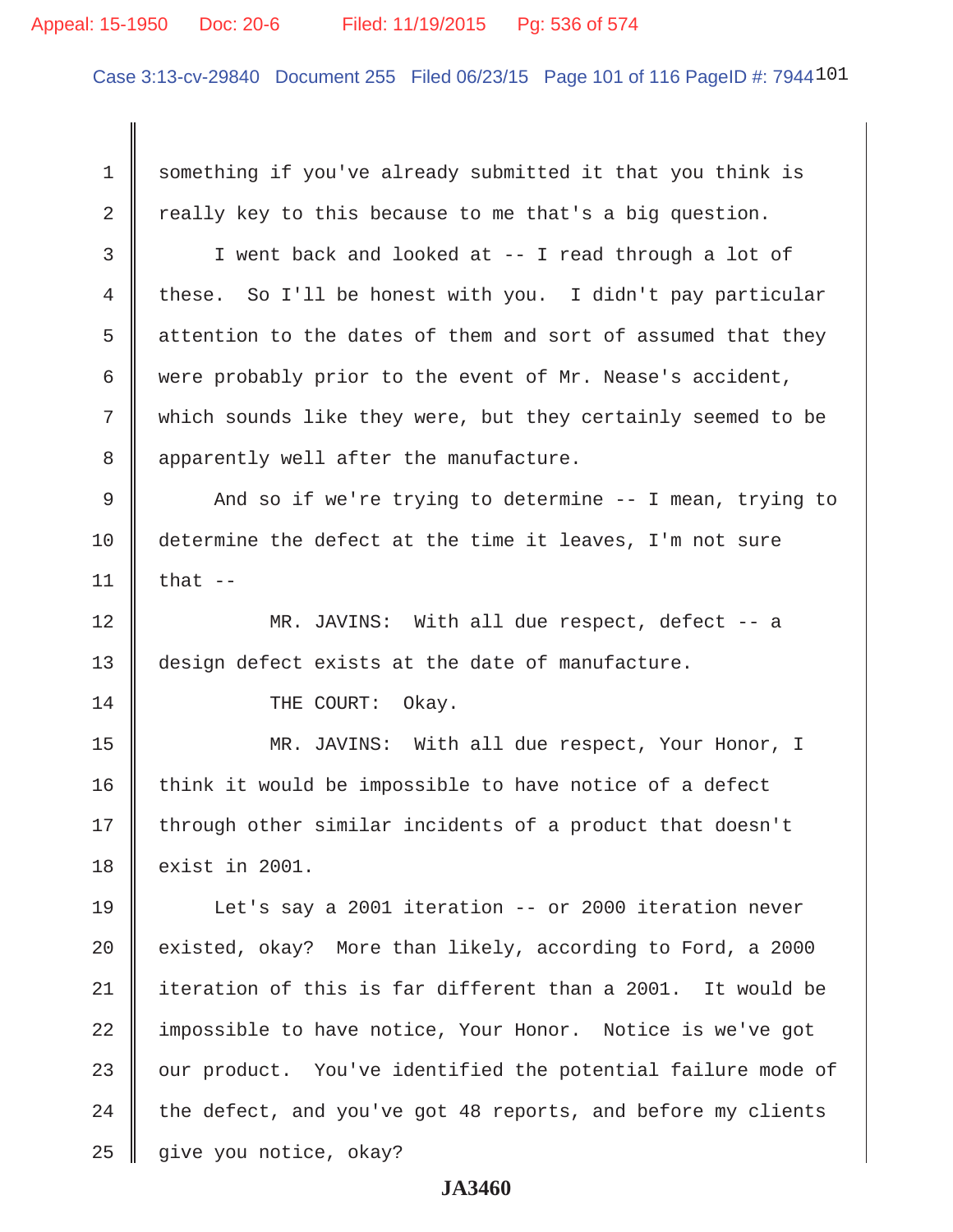#### Appeal: 15-1950 Doc: 20-6 Filed: 11/19/2015 Pg: 536 of 574

Case 3:13-cv-29840 Document 255 Filed 06/23/15 Page 101 of 116 PageID #: 7944101

1 something if you've already submitted it that you think is 2  $\parallel$  really key to this because to me that's a big question. 3 I went back and looked at -- I read through a lot of 4 these. So I'll be honest with you. I didn't pay particular 5  $\parallel$  attention to the dates of them and sort of assumed that they 6 were probably prior to the event of Mr. Nease's accident, 7 Which sounds like they were, but they certainly seemed to be 8 || apparently well after the manufacture. 9 || And so if we're trying to determine -- I mean, trying to 10 determine the defect at the time it leaves, I'm not sure 11  $\parallel$  that --12 MR. JAVINS: With all due respect, defect -- a 13 design defect exists at the date of manufacture. 14 || THE COURT: Okay. 15 || MR. JAVINS: With all due respect, Your Honor, I  $16$  think it would be impossible to have notice of a defect 17 || through other similar incidents of a product that doesn't 18 || exist in 2001. 19 Let's say a 2001 iteration -- or 2000 iteration never 20  $\parallel$  existed, okay? More than likely, according to Ford, a 2000 21 iteration of this is far different than a 2001. It would be 22 impossible to have notice, Your Honor. Notice is we've got  $23$   $\parallel$  our product. You've identified the potential failure mode of  $24$  the defect, and you've got 48 reports, and before my clients 25 give you notice, okay?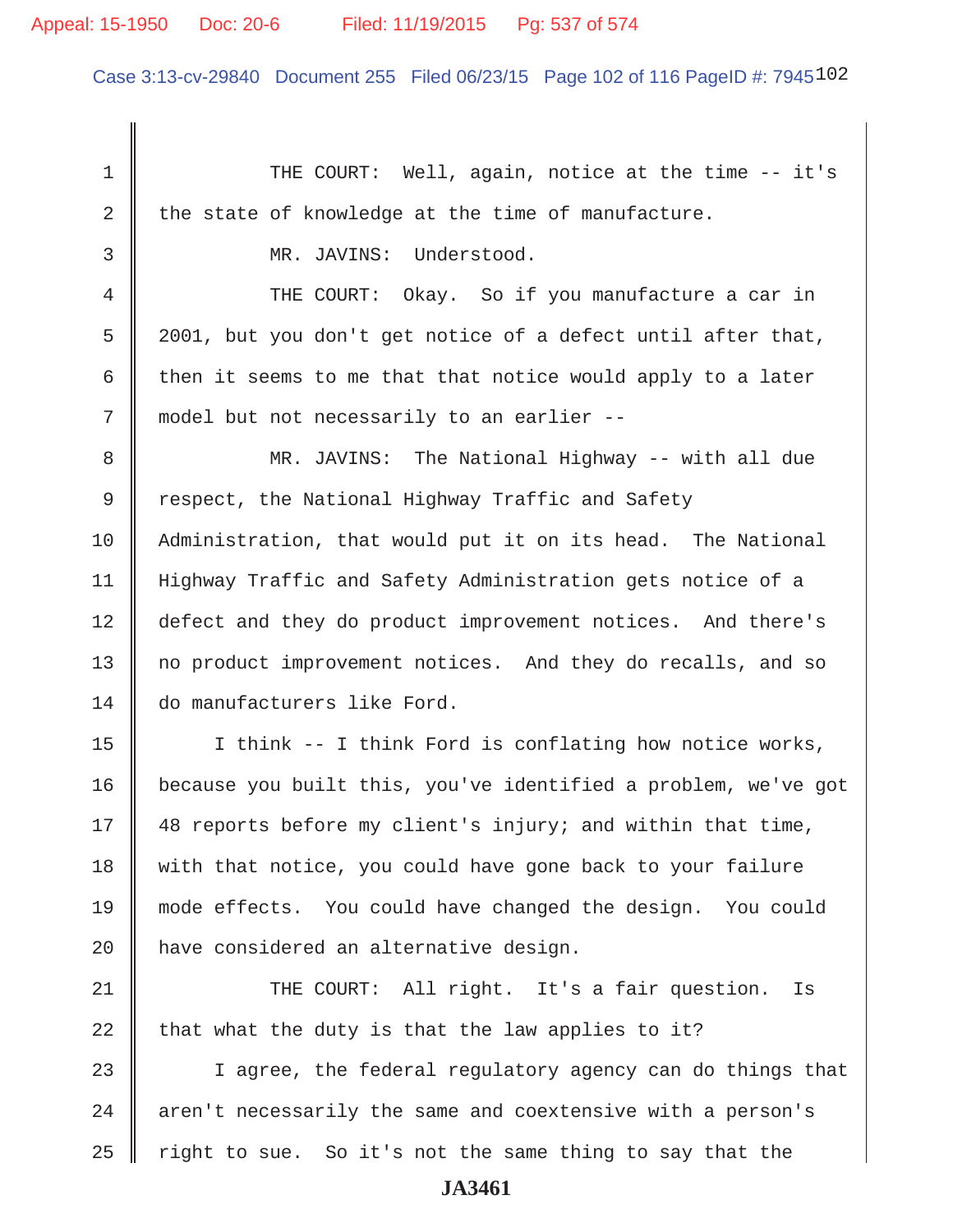Case 3:13-cv-29840 Document 255 Filed 06/23/15 Page 102 of 116 PageID #: 7945102

1 THE COURT: Well, again, notice at the time -- it's 2 the state of knowledge at the time of manufacture. 3 MR. JAVINS: Understood. 4 THE COURT: Okay. So if you manufacture a car in  $5 \parallel 2001$ , but you don't get notice of a defect until after that, 6 then it seems to me that that notice would apply to a later 7 || model but not necessarily to an earlier -- 8 MR. JAVINS: The National Highway -- with all due 9 Tespect, the National Highway Traffic and Safety 10 Administration, that would put it on its head. The National 11 Highway Traffic and Safety Administration gets notice of a 12 defect and they do product improvement notices. And there's 13 || no product improvement notices. And they do recalls, and so 14 do manufacturers like Ford. 15 || I think -- I think Ford is conflating how notice works, 16 because you built this, you've identified a problem, we've got 17 || 48 reports before my client's injury; and within that time, 18 || with that notice, you could have gone back to your failure 19 mode effects. You could have changed the design. You could  $20$  | have considered an alternative design. 21 || THE COURT: All right. It's a fair question. Is 22  $\parallel$  that what the duty is that the law applies to it? 23 || I agree, the federal regulatory agency can do things that  $24$  | aren't necessarily the same and coextensive with a person's  $25$  right to sue. So it's not the same thing to say that the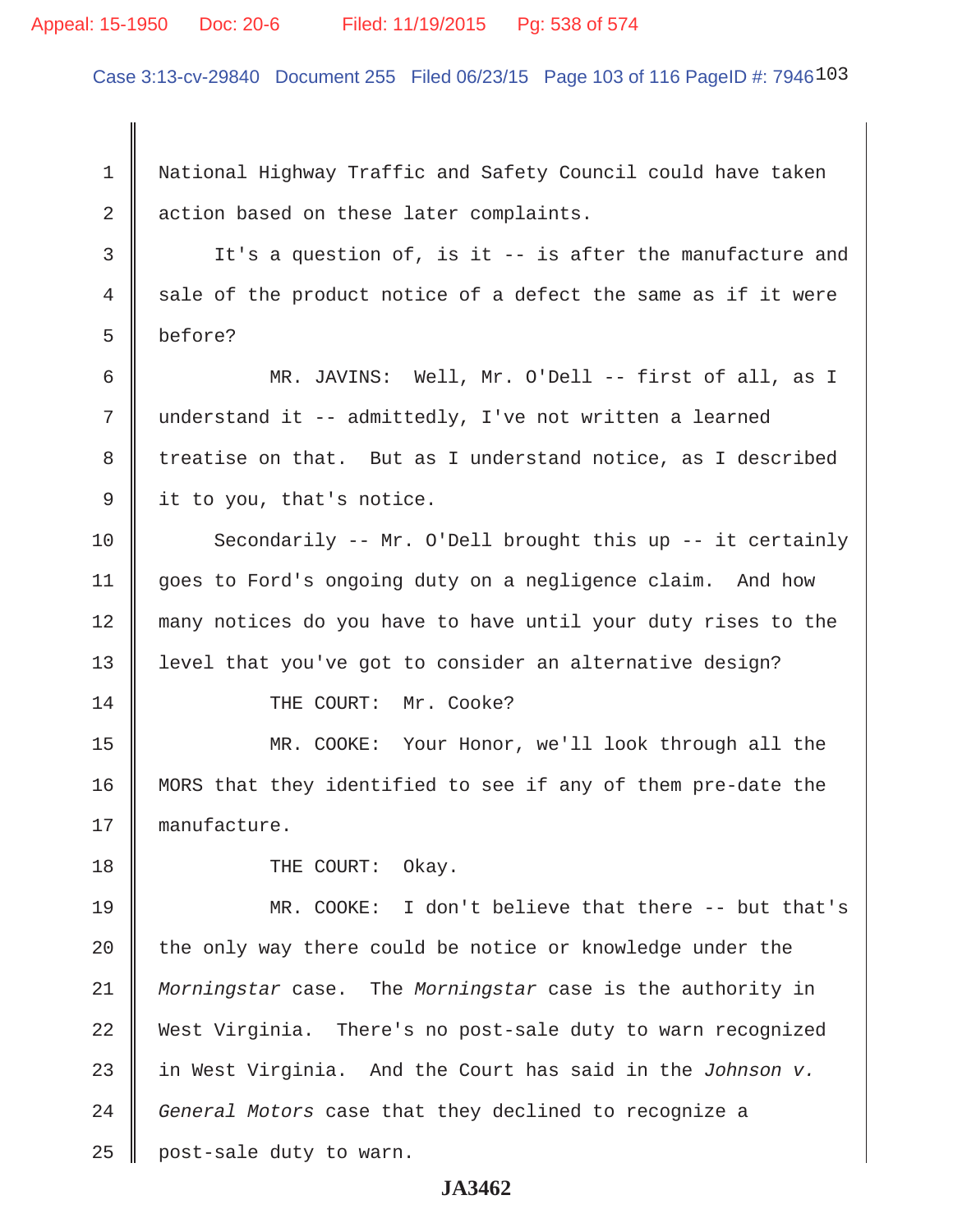#### Appeal: 15-1950 Doc: 20-6 Filed: 11/19/2015 Pg: 538 of 574

Case 3:13-cv-29840 Document 255 Filed 06/23/15 Page 103 of 116 PageID #: 7946103

 1 National Highway Traffic and Safety Council could have taken 2 action based on these later complaints.

3 It's a question of, is it -- is after the manufacture and  $4 \parallel$  sale of the product notice of a defect the same as if it were 5 before?

 6 MR. JAVINS: Well, Mr. O'Dell -- first of all, as I 7 || understand it -- admittedly, I've not written a learned 8 treatise on that. But as I understand notice, as I described 9 | it to you, that's notice.

10 Secondarily -- Mr. O'Dell brought this up -- it certainly 11 | goes to Ford's ongoing duty on a negligence claim. And how 12 many notices do you have to have until your duty rises to the 13 || level that you've got to consider an alternative design?

14 || THE COURT: Mr. Cooke?

15 MR. COOKE: Your Honor, we'll look through all the 16 MORS that they identified to see if any of them pre-date the 17 manufacture.

18 || THE COURT: Okay.

19 MR. COOKE: I don't believe that there -- but that's 20  $\parallel$  the only way there could be notice or knowledge under the 21 *Morningstar* case. The *Morningstar* case is the authority in 22 West Virginia. There's no post-sale duty to warn recognized 23 in West Virginia. And the Court has said in the *Johnson v.* 24 *General Motors* case that they declined to recognize a  $25$  | post-sale duty to warn.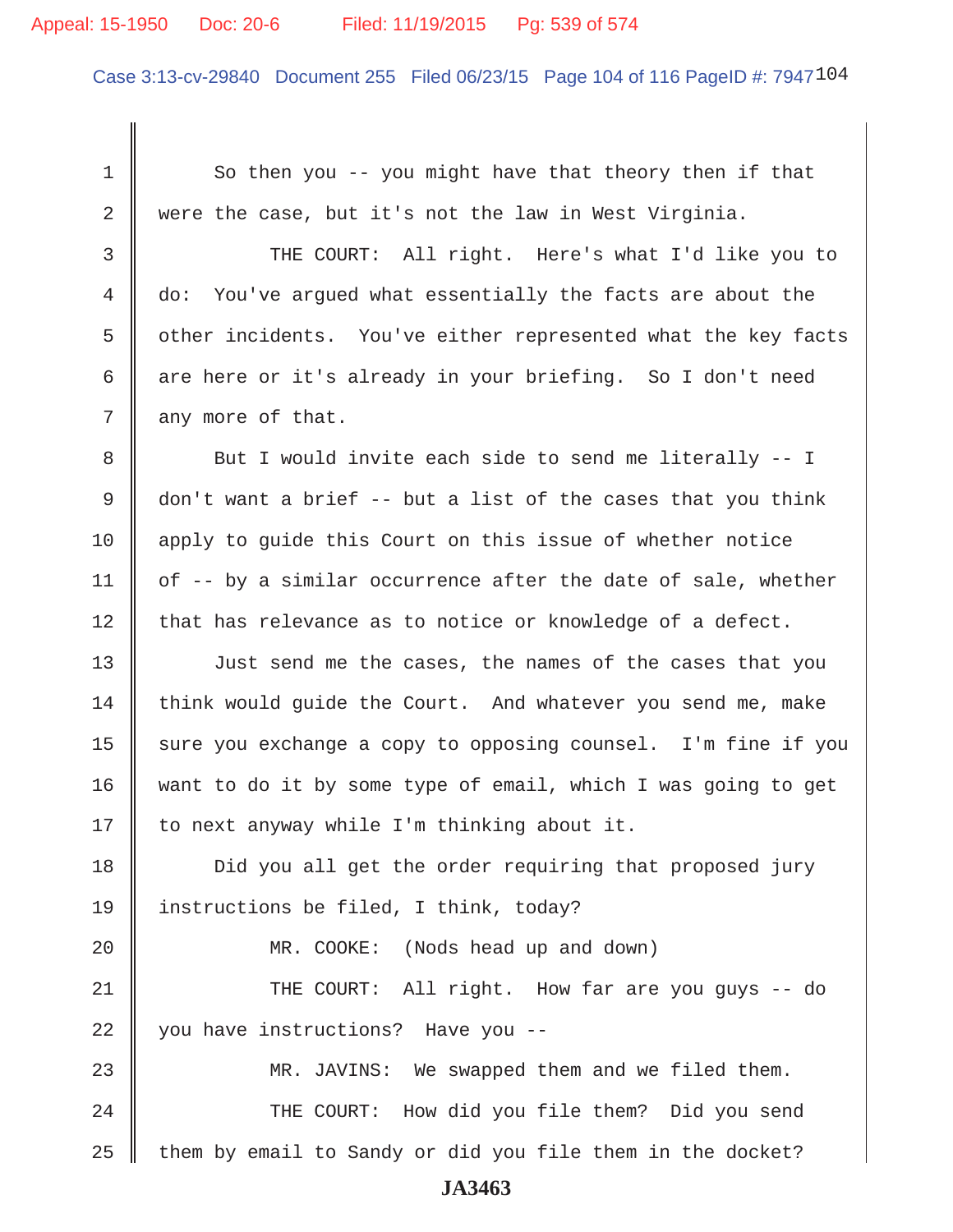#### Appeal: 15-1950 Doc: 20-6 Filed: 11/19/2015 Pg: 539 of 574

Case 3:13-cv-29840 Document 255 Filed 06/23/15 Page 104 of 116 PageID #: 7947104

1 So then you -- you might have that theory then if that 2 were the case, but it's not the law in West Virginia. 3 THE COURT: All right. Here's what I'd like you to 4 do: You've argued what essentially the facts are about the 5 | other incidents. You've either represented what the key facts 6 are here or it's already in your briefing. So I don't need  $7 \parallel$  any more of that. 8 But I would invite each side to send me literally -- I 9  $\parallel$  don't want a brief -- but a list of the cases that you think 10 apply to quide this Court on this issue of whether notice 11  $\parallel$  of -- by a similar occurrence after the date of sale, whether  $12$  | that has relevance as to notice or knowledge of a defect. 13 || Just send me the cases, the names of the cases that you 14 think would quide the Court. And whatever you send me, make 15 | sure you exchange a copy to opposing counsel. I'm fine if you 16 want to do it by some type of email, which I was going to get 17 | to next anyway while I'm thinking about it. 18 **Did** you all get the order requiring that proposed jury 19 instructions be filed, I think, today? 20 || MR. COOKE: (Nods head up and down) 21 THE COURT: All right. How far are you guys -- do 22 || you have instructions? Have you --23 MR. JAVINS: We swapped them and we filed them. 24 || THE COURT: How did you file them? Did you send  $25$  them by email to Sandy or did you file them in the docket?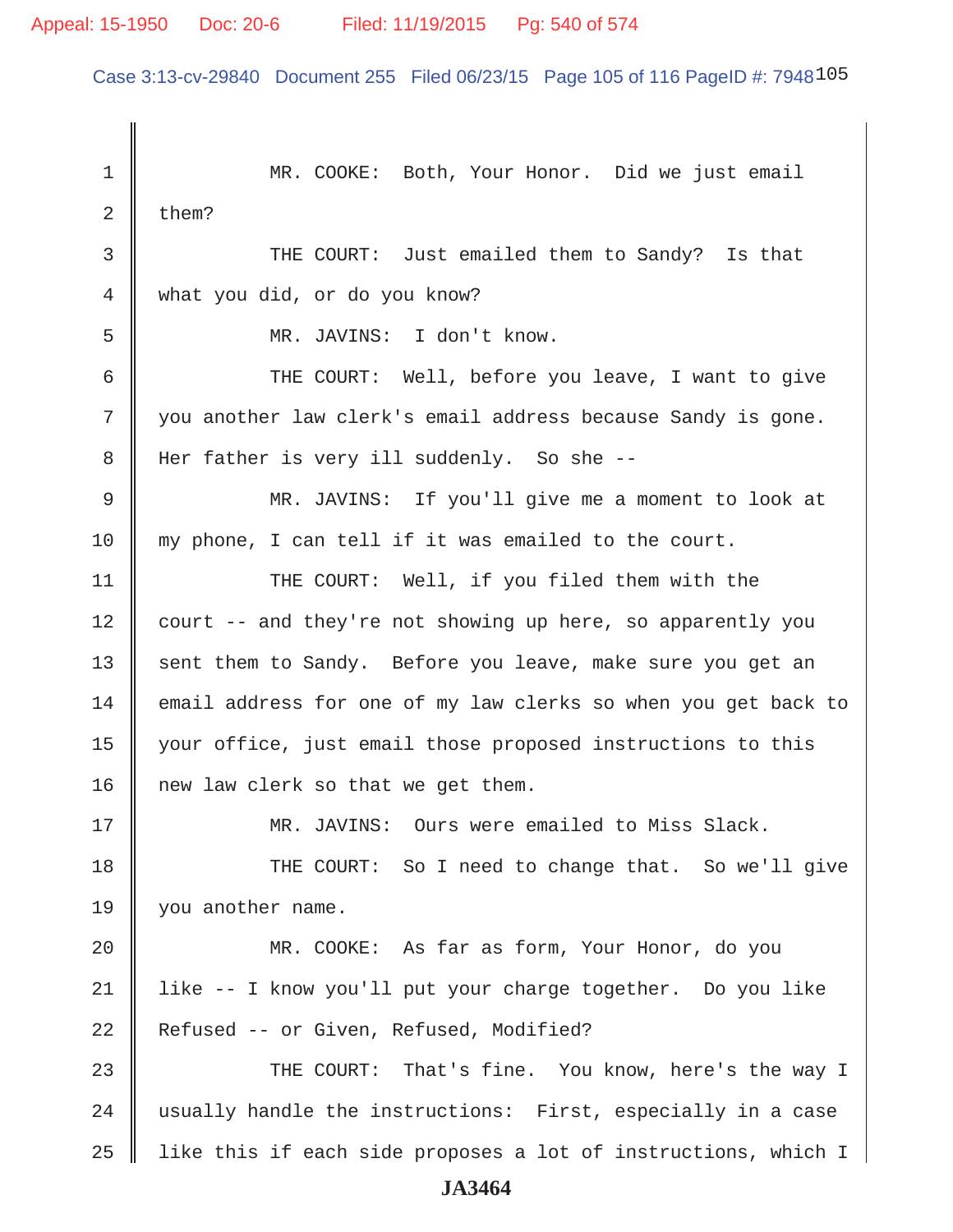Case 3:13-cv-29840 Document 255 Filed 06/23/15 Page 105 of 116 PageID #: 7948105

1 || MR. COOKE: Both, Your Honor. Did we just email 2  $\parallel$  them? 3 **THE COURT:** Just emailed them to Sandy? Is that 4 what you did, or do you know? 5 MR. JAVINS: I don't know. 6 THE COURT: Well, before you leave, I want to give 7 || you another law clerk's email address because Sandy is gone. 8 || Her father is very ill suddenly. So she -- 9 MR. JAVINS: If you'll give me a moment to look at 10 my phone, I can tell if it was emailed to the court. 11 || THE COURT: Well, if you filed them with the 12 court -- and they're not showing up here, so apparently you 13 sent them to Sandy. Before you leave, make sure you get an 14 email address for one of my law clerks so when you get back to 15 your office, just email those proposed instructions to this 16 | new law clerk so that we get them. 17 MR. JAVINS: Ours were emailed to Miss Slack. 18 THE COURT: So I need to change that. So we'll give 19 | you another name. 20 MR. COOKE: As far as form, Your Honor, do you 21 like -- I know you'll put your charge together. Do you like 22 Refused -- or Given, Refused, Modified? 23 THE COURT: That's fine. You know, here's the way I 24  $\parallel$  usually handle the instructions: First, especially in a case  $25$  || like this if each side proposes a lot of instructions, which I **JA3464**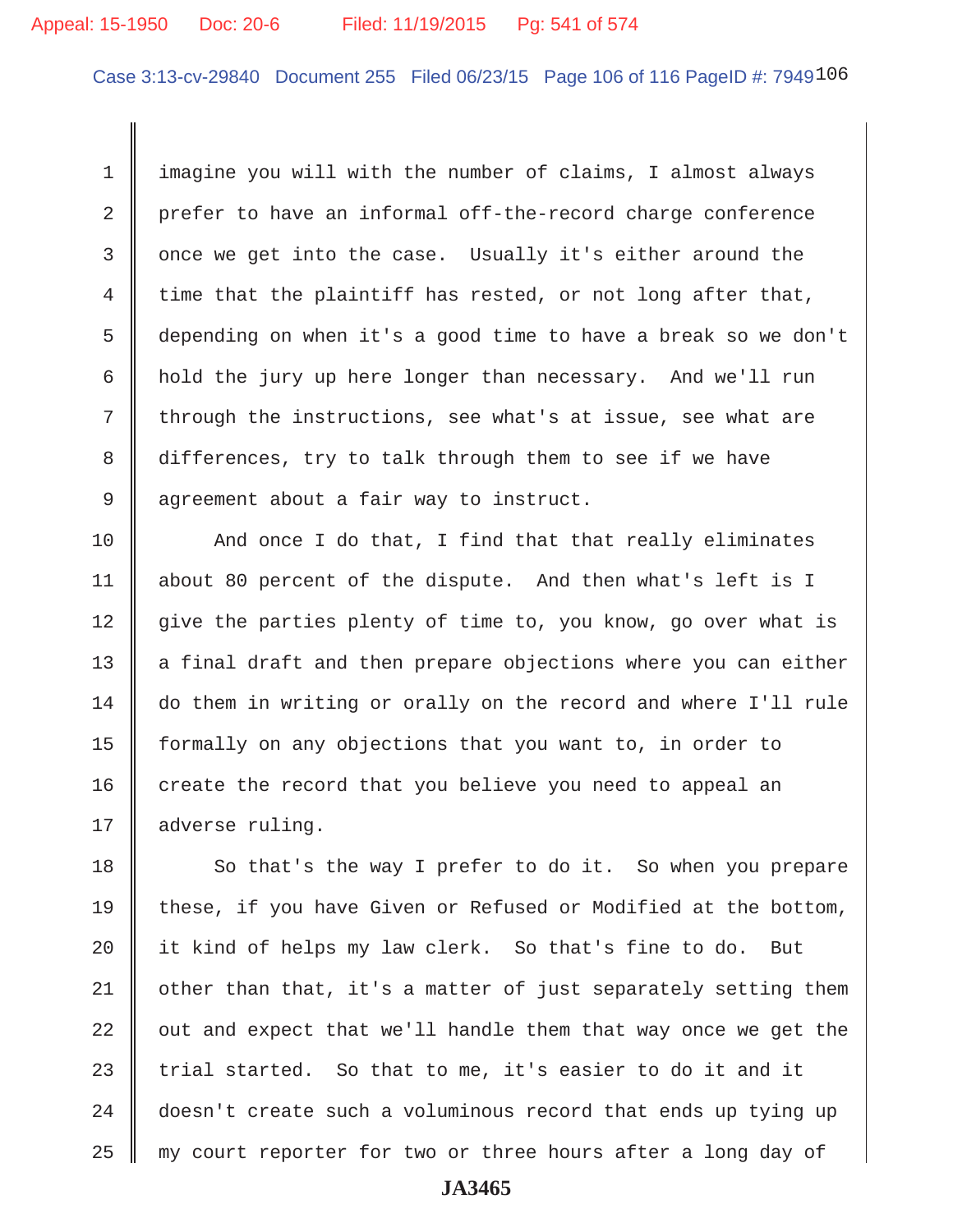#### Appeal: 15-1950 Doc: 20-6 Filed: 11/19/2015 Pg: 541 of 574

Case 3:13-cv-29840 Document 255 Filed 06/23/15 Page 106 of 116 PageID #: 7949106

 1 imagine you will with the number of claims, I almost always 2 prefer to have an informal off-the-record charge conference 3 || once we get into the case. Usually it's either around the 4 time that the plaintiff has rested, or not long after that, 5 depending on when it's a good time to have a break so we don't 6 hold the jury up here longer than necessary. And we'll run  $7$  through the instructions, see what's at issue, see what are 8 differences, try to talk through them to see if we have 9 | agreement about a fair way to instruct.

 $10$   $\parallel$  And once I do that, I find that that really eliminates 11 about 80 percent of the dispute. And then what's left is I 12 give the parties plenty of time to, you know, go over what is  $13$  | a final draft and then prepare objections where you can either 14 do them in writing or orally on the record and where I'll rule 15 formally on any objections that you want to, in order to  $16$  create the record that you believe you need to appeal an 17 | adverse ruling.

18 So that's the way I prefer to do it. So when you prepare 19 these, if you have Given or Refused or Modified at the bottom, 20 || it kind of helps my law clerk. So that's fine to do. But  $21$  | other than that, it's a matter of just separately setting them  $22$   $\parallel$  out and expect that we'll handle them that way once we get the 23 || trial started. So that to me, it's easier to do it and it 24 doesn't create such a voluminous record that ends up tying up  $25$   $\parallel$  my court reporter for two or three hours after a long day of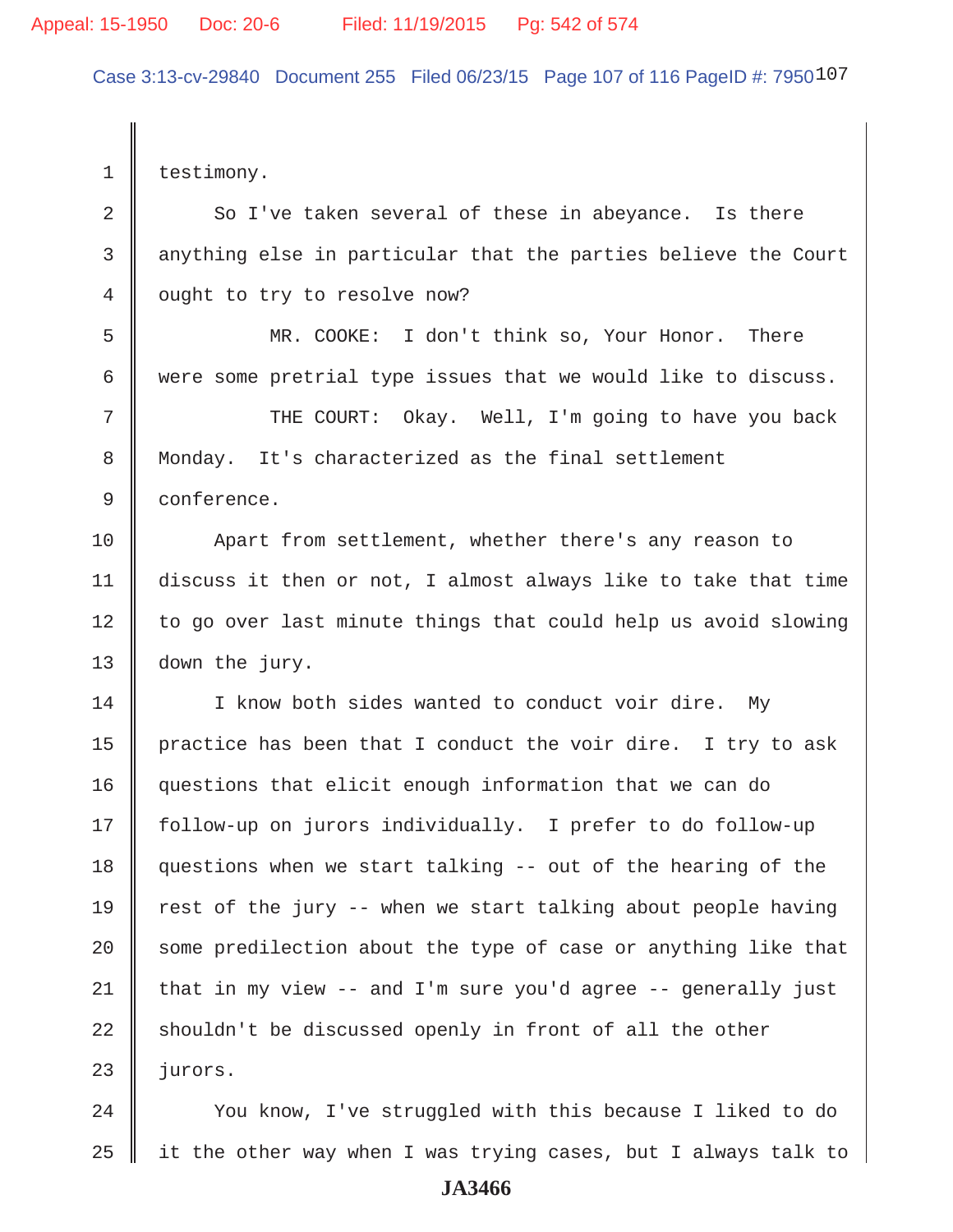Case 3:13-cv-29840 Document 255 Filed 06/23/15 Page 107 of 116 PageID #: 7950107

1 | testimony.  $2 \parallel$  So I've taken several of these in abeyance. Is there 3 anything else in particular that the parties believe the Court 4 | ought to try to resolve now? 5 MR. COOKE: I don't think so, Your Honor. There 6 were some pretrial type issues that we would like to discuss. 7 || THE COURT: Okay. Well, I'm going to have you back 8 Monday. It's characterized as the final settlement 9 conference. 10 Apart from settlement, whether there's any reason to 11 discuss it then or not, I almost always like to take that time  $12$  to go over last minute things that could help us avoid slowing 13 down the jury. 14 | I know both sides wanted to conduct voir dire. My 15 | practice has been that I conduct the voir dire. I try to ask 16 questions that elicit enough information that we can do 17 follow-up on jurors individually. I prefer to do follow-up 18 questions when we start talking -- out of the hearing of the 19  $\parallel$  rest of the jury -- when we start talking about people having  $20$   $\parallel$  some predilection about the type of case or anything like that  $21$  that in my view -- and I'm sure you'd agree -- generally just  $22$  shouldn't be discussed openly in front of all the other  $23$  || jurors.

24 | You know, I've struggled with this because I liked to do 25  $\parallel$  it the other way when I was trying cases, but I always talk to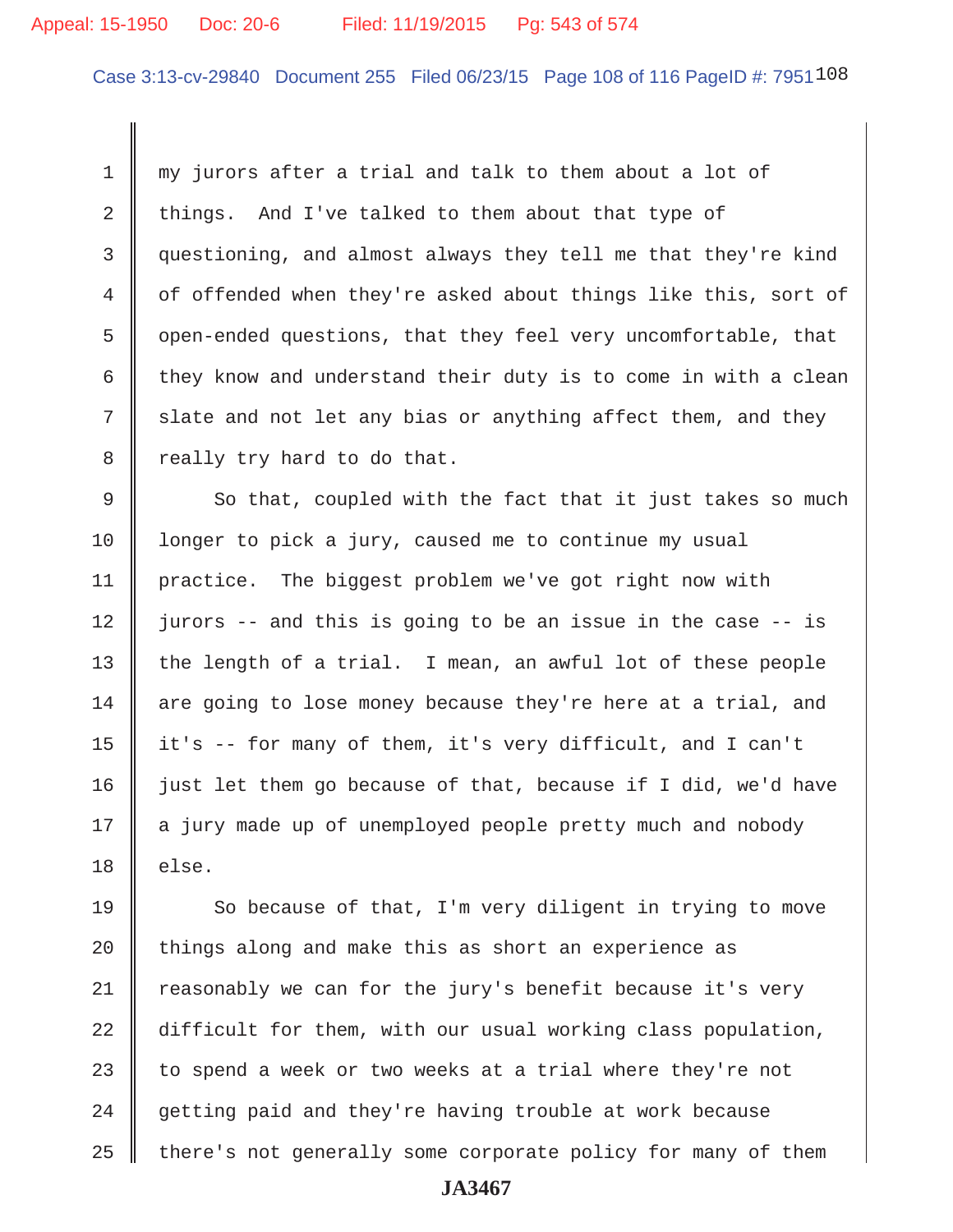#### Appeal: 15-1950 Doc: 20-6 Filed: 11/19/2015 Pg: 543 of 574

Case 3:13-cv-29840 Document 255 Filed 06/23/15 Page 108 of 116 PageID #: 7951108

 1 my jurors after a trial and talk to them about a lot of 2 things. And I've talked to them about that type of 3 questioning, and almost always they tell me that they're kind 4 of offended when they're asked about things like this, sort of 5 | open-ended questions, that they feel very uncomfortable, that 6 they know and understand their duty is to come in with a clean  $7 \parallel$  slate and not let any bias or anything affect them, and they  $8 \parallel$  really try hard to do that.

 $9 \parallel$  So that, coupled with the fact that it just takes so much 10 Ionger to pick a jury, caused me to continue my usual 11 | practice. The biggest problem we've got right now with  $12$  | jurors -- and this is going to be an issue in the case -- is 13 || the length of a trial. I mean, an awful lot of these people 14  $\parallel$  are going to lose money because they're here at a trial, and 15  $\parallel$  it's -- for many of them, it's very difficult, and I can't  $16$  just let them go because of that, because if I did, we'd have 17 || a jury made up of unemployed people pretty much and nobody  $18$  | else.

 $\parallel$  So because of that, I'm very diligent in trying to move | things along and make this as short an experience as reasonably we can for the jury's benefit because it's very 22 difficult for them, with our usual working class population,  $\parallel$  to spend a week or two weeks at a trial where they're not  $\parallel$  getting paid and they're having trouble at work because | there's not generally some corporate policy for many of them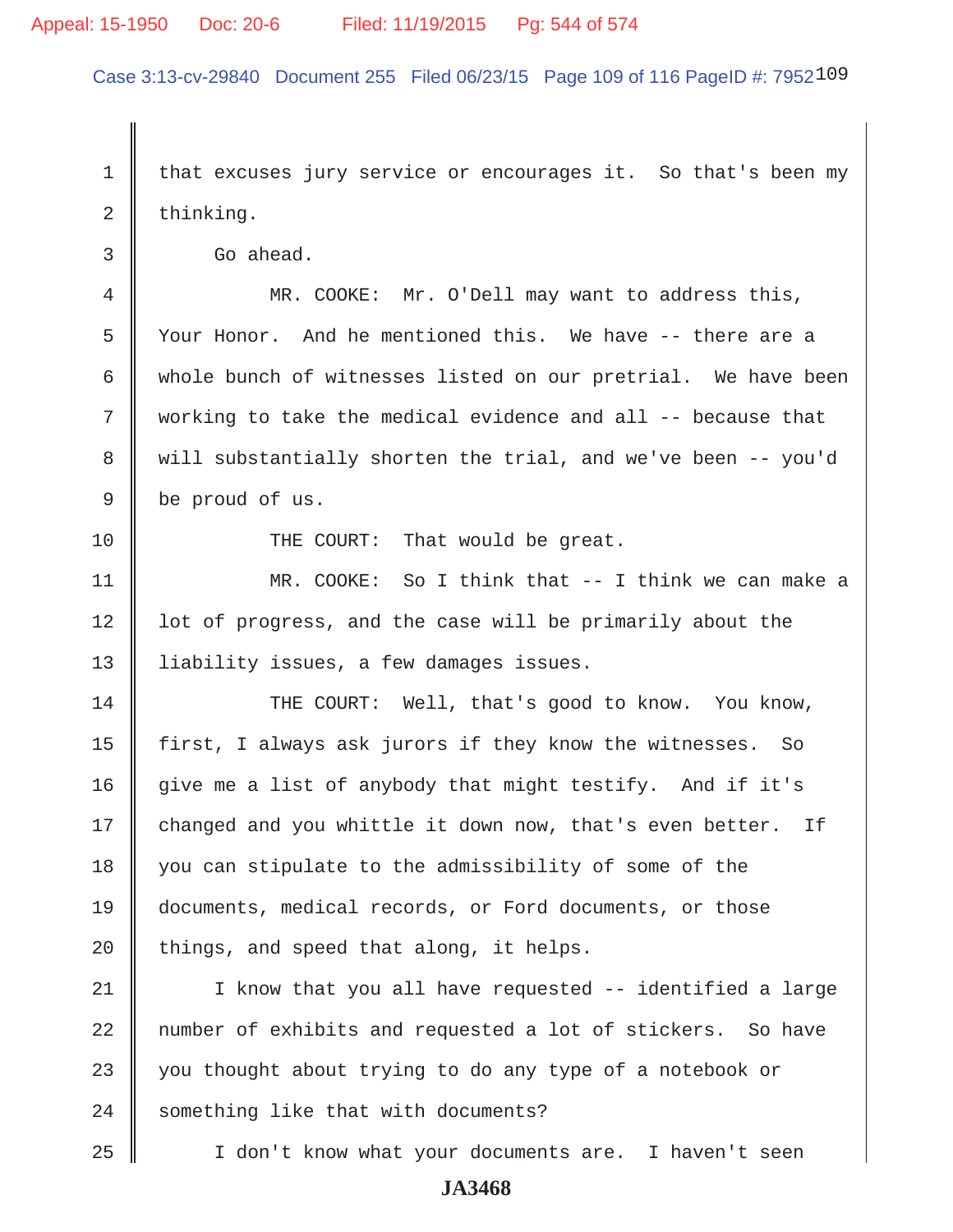#### Appeal: 15-1950 Doc: 20-6 Filed: 11/19/2015 Pg: 544 of 574

Case 3:13-cv-29840 Document 255 Filed 06/23/15 Page 109 of 116 PageID #: 7952109

1 | that excuses jury service or encourages it. So that's been my  $2 \parallel$  thinking.

3 Go ahead.

 4 MR. COOKE: Mr. O'Dell may want to address this, 5 || Your Honor. And he mentioned this. We have -- there are a 6 | whole bunch of witnesses listed on our pretrial. We have been 7 working to take the medical evidence and all -- because that 8 will substantially shorten the trial, and we've been -- you'd 9 be proud of us.

10 || THE COURT: That would be great.

11 MR. COOKE: So I think that -- I think we can make a 12 || lot of progress, and the case will be primarily about the 13 | liability issues, a few damages issues.

14 THE COURT: Well, that's good to know. You know, 15  $\parallel$  first, I always ask jurors if they know the witnesses. So 16 give me a list of anybody that might testify. And if it's 17 changed and you whittle it down now, that's even better. If 18 || you can stipulate to the admissibility of some of the 19 documents, medical records, or Ford documents, or those  $20$  | things, and speed that along, it helps.

21 I know that you all have requested -- identified a large 22 || number of exhibits and requested a lot of stickers. So have  $23$   $\parallel$  you thought about trying to do any type of a notebook or 24 something like that with documents?

25 I don't know what your documents are. I haven't seen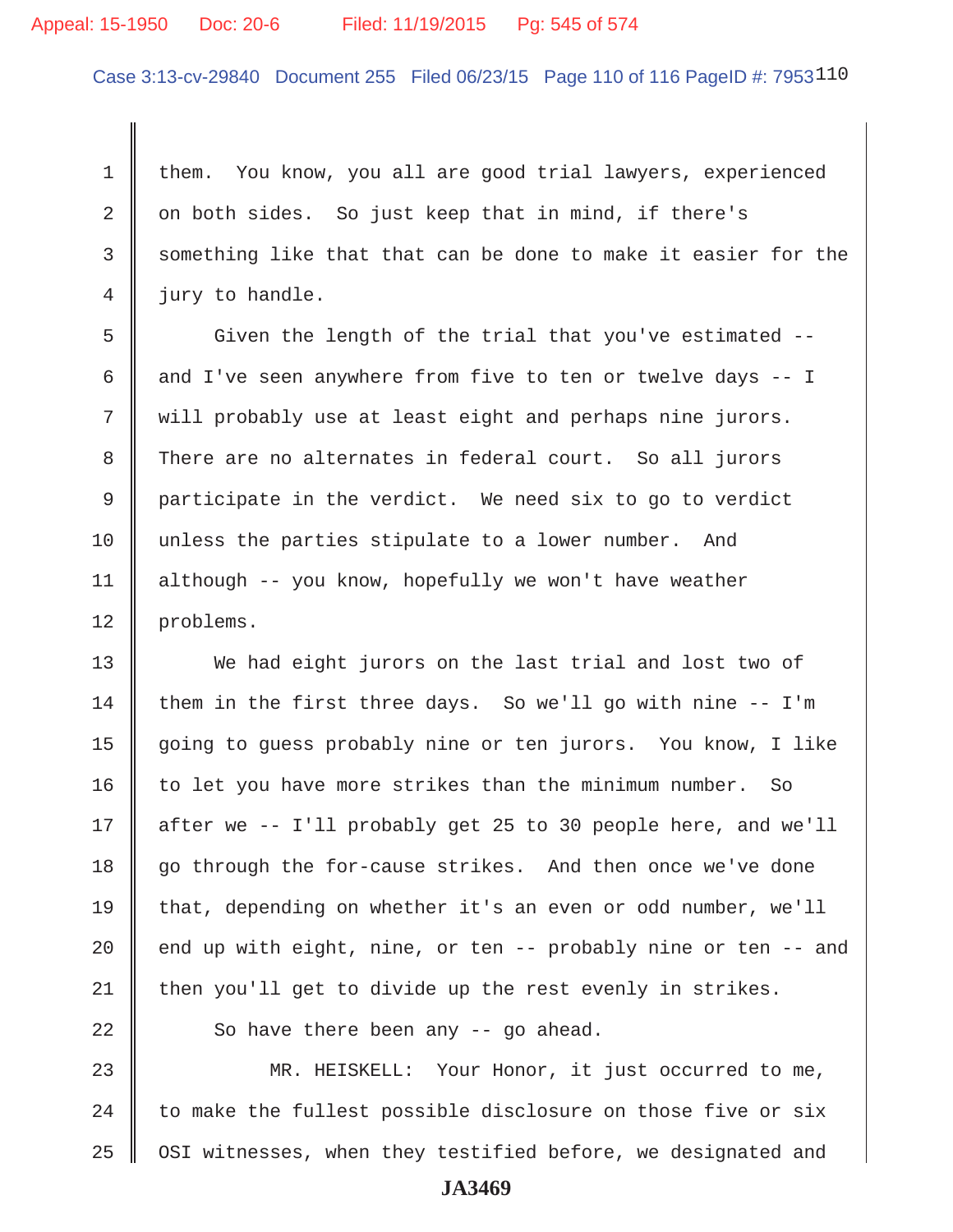#### Appeal: 15-1950 Doc: 20-6 Filed: 11/19/2015 Pg: 545 of 574

Case 3:13-cv-29840 Document 255 Filed 06/23/15 Page 110 of 116 PageID #: 7953110

1 them. You know, you all are good trial lawyers, experienced 2  $\parallel$  on both sides. So just keep that in mind, if there's  $3 \parallel$  something like that that can be done to make it easier for the 4 | jury to handle.

5 Given the length of the trial that you've estimated --6  $\parallel$  and I've seen anywhere from five to ten or twelve days -- I 7 || will probably use at least eight and perhaps nine jurors. 8 There are no alternates in federal court. So all jurors 9 participate in the verdict. We need six to go to verdict 10 unless the parties stipulate to a lower number. And 11 although -- you know, hopefully we won't have weather 12 problems.

13 We had eight jurors on the last trial and lost two of 14 them in the first three days. So we'll go with nine  $-$ - I'm 15 | going to guess probably nine or ten jurors. You know, I like  $16$  to let you have more strikes than the minimum number. So 17 after we -- I'll probably get 25 to 30 people here, and we'll 18 go through the for-cause strikes. And then once we've done 19 that, depending on whether it's an even or odd number, we'll 20  $\parallel$  end up with eight, nine, or ten -- probably nine or ten -- and  $21$  then you'll get to divide up the rest evenly in strikes.

 $22$  || So have there been any  $-$  qo ahead.

23 MR. HEISKELL: Your Honor, it just occurred to me, 24  $\parallel$  to make the fullest possible disclosure on those five or six 25 | OSI witnesses, when they testified before, we designated and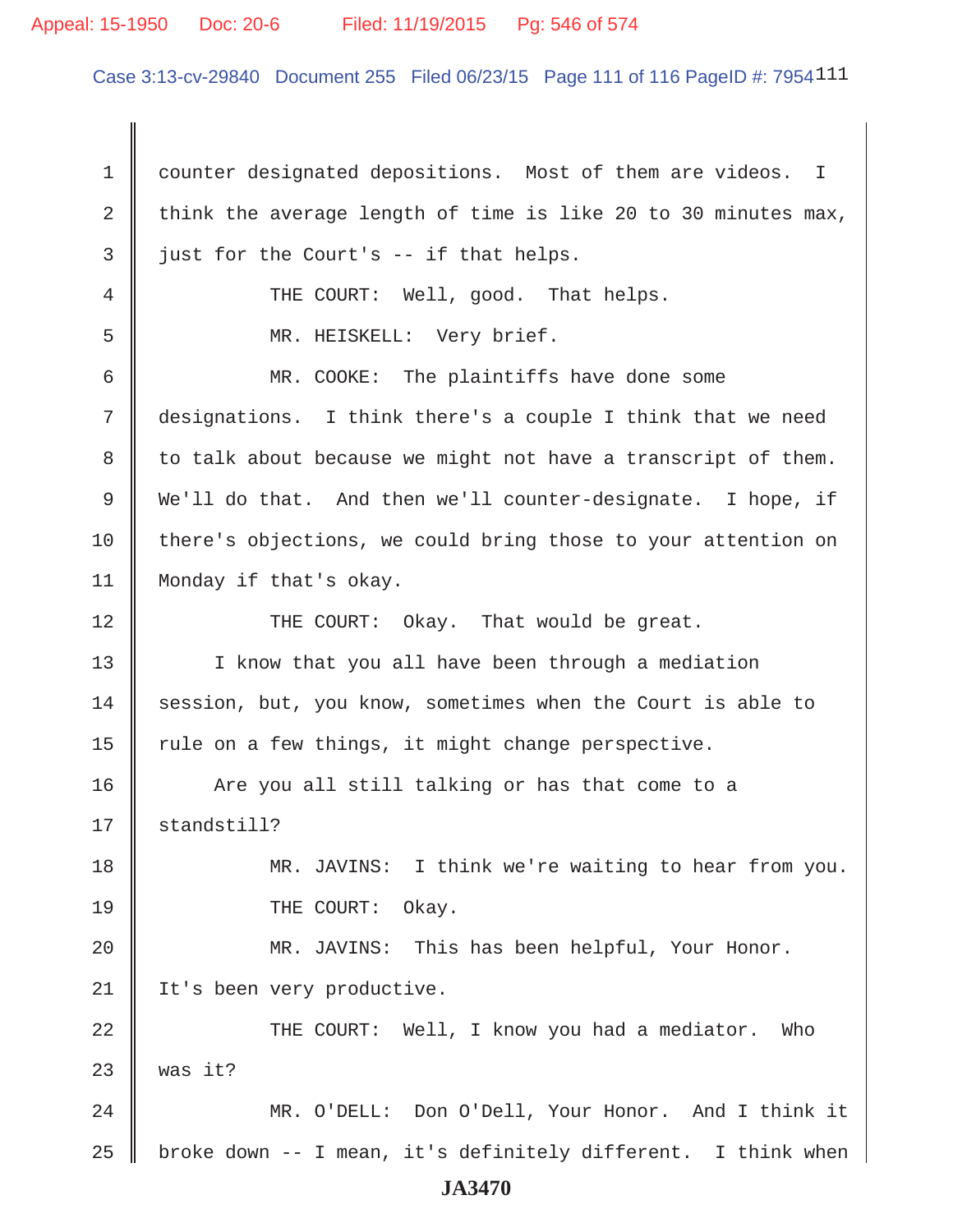#### Appeal: 15-1950 Doc: 20-6 Filed: 11/19/2015 Pg: 546 of 574

Case 3:13-cv-29840 Document 255 Filed 06/23/15 Page 111 of 116 PageID #: 7954111

1 | counter designated depositions. Most of them are videos. I 2 think the average length of time is like 20 to 30 minutes max,  $3 \parallel$  just for the Court's -- if that helps. 4 || THE COURT: Well, good. That helps. 5 MR. HEISKELL: Very brief. 6 MR. COOKE: The plaintiffs have done some 7 designations. I think there's a couple I think that we need  $8 \parallel$  to talk about because we might not have a transcript of them. 9 We'll do that. And then we'll counter-designate. I hope, if 10 | there's objections, we could bring those to your attention on 11 Monday if that's okay. 12 THE COURT: Okay. That would be great. 13 || I know that you all have been through a mediation 14 Session, but, you know, sometimes when the Court is able to 15  $\parallel$  rule on a few things, it might change perspective. 16 | Are you all still talking or has that come to a 17 || standstill? 18 MR. JAVINS: I think we're waiting to hear from you. 19 || THE COURT: Okay. 20 MR. JAVINS: This has been helpful, Your Honor. 21 | It's been very productive. 22 THE COURT: Well, I know you had a mediator. Who  $23$  | was it? 24 || MR. O'DELL: Don O'Dell, Your Honor. And I think it 25 | broke down  $-$  I mean, it's definitely different. I think when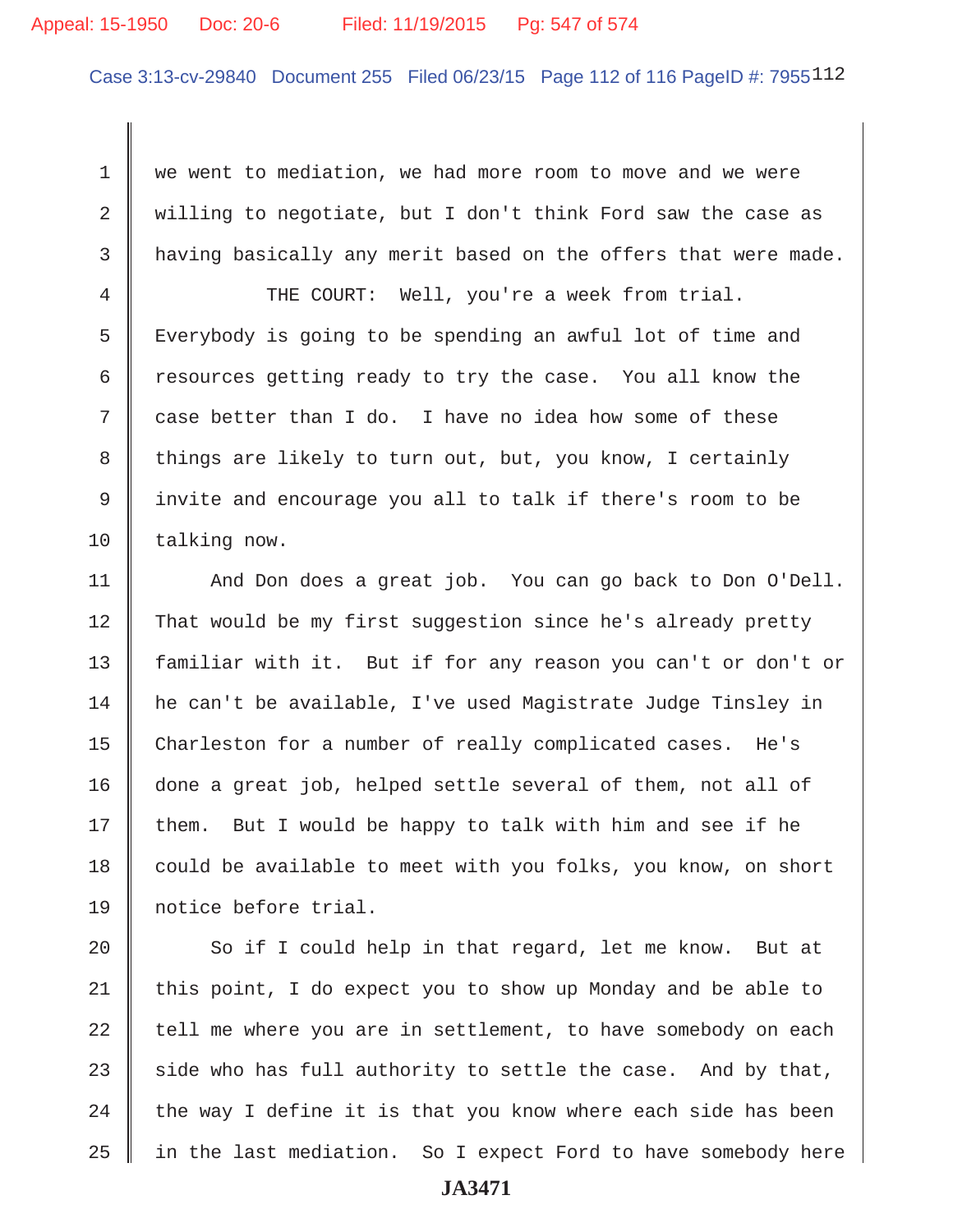#### Appeal: 15-1950 Doc: 20-6 Filed: 11/19/2015 Pg: 547 of 574

Case 3:13-cv-29840 Document 255 Filed 06/23/15 Page 112 of 116 PageID #: 7955112

1 we went to mediation, we had more room to move and we were 2 Willing to negotiate, but I don't think Ford saw the case as  $3$   $\parallel$  having basically any merit based on the offers that were made.

4 THE COURT: Well, you're a week from trial. 5 Feverybody is going to be spending an awful lot of time and 6  $\parallel$  resources getting ready to try the case. You all know the  $7 \parallel$  case better than I do. I have no idea how some of these 8 things are likely to turn out, but, you know, I certainly 9 invite and encourage you all to talk if there's room to be  $10$  | talking now.

11 || And Don does a great job. You can go back to Don O'Dell. 12 That would be my first suggestion since he's already pretty 13 familiar with it. But if for any reason you can't or don't or 14 he can't be available, I've used Magistrate Judge Tinsley in 15 Charleston for a number of really complicated cases. He's 16 done a great job, helped settle several of them, not all of  $17$  | them. But I would be happy to talk with him and see if he 18 could be available to meet with you folks, you know, on short 19 notice before trial.

20 So if I could help in that regard, let me know. But at 21 | this point, I do expect you to show up Monday and be able to  $22$  tell me where you are in settlement, to have somebody on each 23 side who has full authority to settle the case. And by that, 24  $\parallel$  the way I define it is that you know where each side has been 25 || in the last mediation. So I expect Ford to have somebody here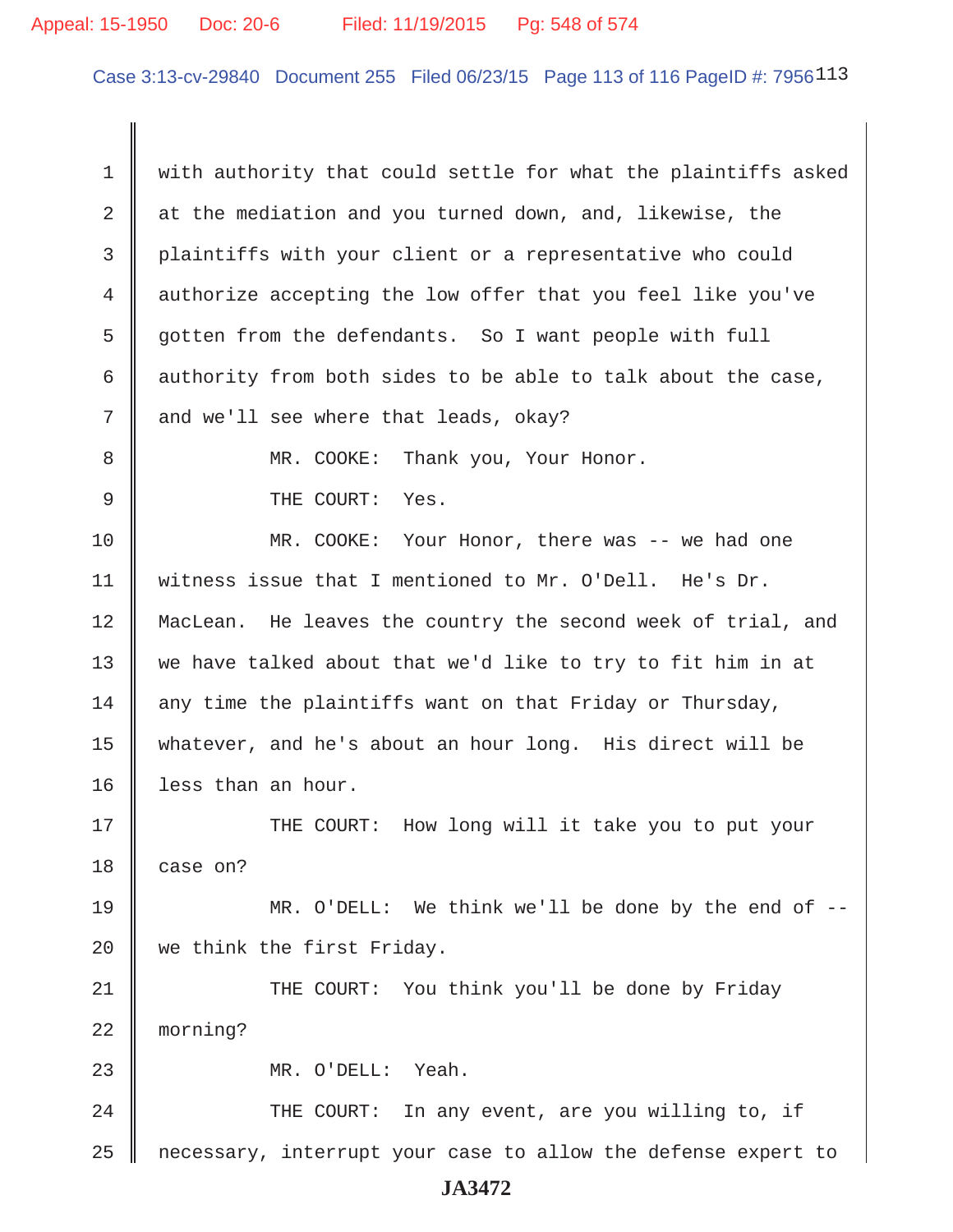#### Appeal: 15-1950 Doc: 20-6 Filed: 11/19/2015 Pg: 548 of 574

Case 3:13-cv-29840 Document 255 Filed 06/23/15 Page 113 of 116 PageID #: 7956113

1 with authority that could settle for what the plaintiffs asked  $2 \parallel$  at the mediation and you turned down, and, likewise, the 3 plaintiffs with your client or a representative who could 4 authorize accepting the low offer that you feel like you've 5 | gotten from the defendants. So I want people with full 6 authority from both sides to be able to talk about the case,  $7 \parallel$  and we'll see where that leads, okay? 8 MR. COOKE: Thank you, Your Honor. 9 || THE COURT: Yes. 10 MR. COOKE: Your Honor, there was -- we had one 11 witness issue that I mentioned to Mr. O'Dell. He's Dr. 12 MacLean. He leaves the country the second week of trial, and 13 we have talked about that we'd like to try to fit him in at  $14$  any time the plaintiffs want on that Friday or Thursday, 15 whatever, and he's about an hour long. His direct will be 16 | less than an hour. 17 THE COURT: How long will it take you to put your 18 case on? 19 MR. O'DELL: We think we'll be done by the end of -- 20 we think the first Friday. 21 THE COURT: You think you'll be done by Friday 22 morning? 23 || MR. O'DELL: Yeah. 24 THE COURT: In any event, are you willing to, if 25 necessary, interrupt your case to allow the defense expert to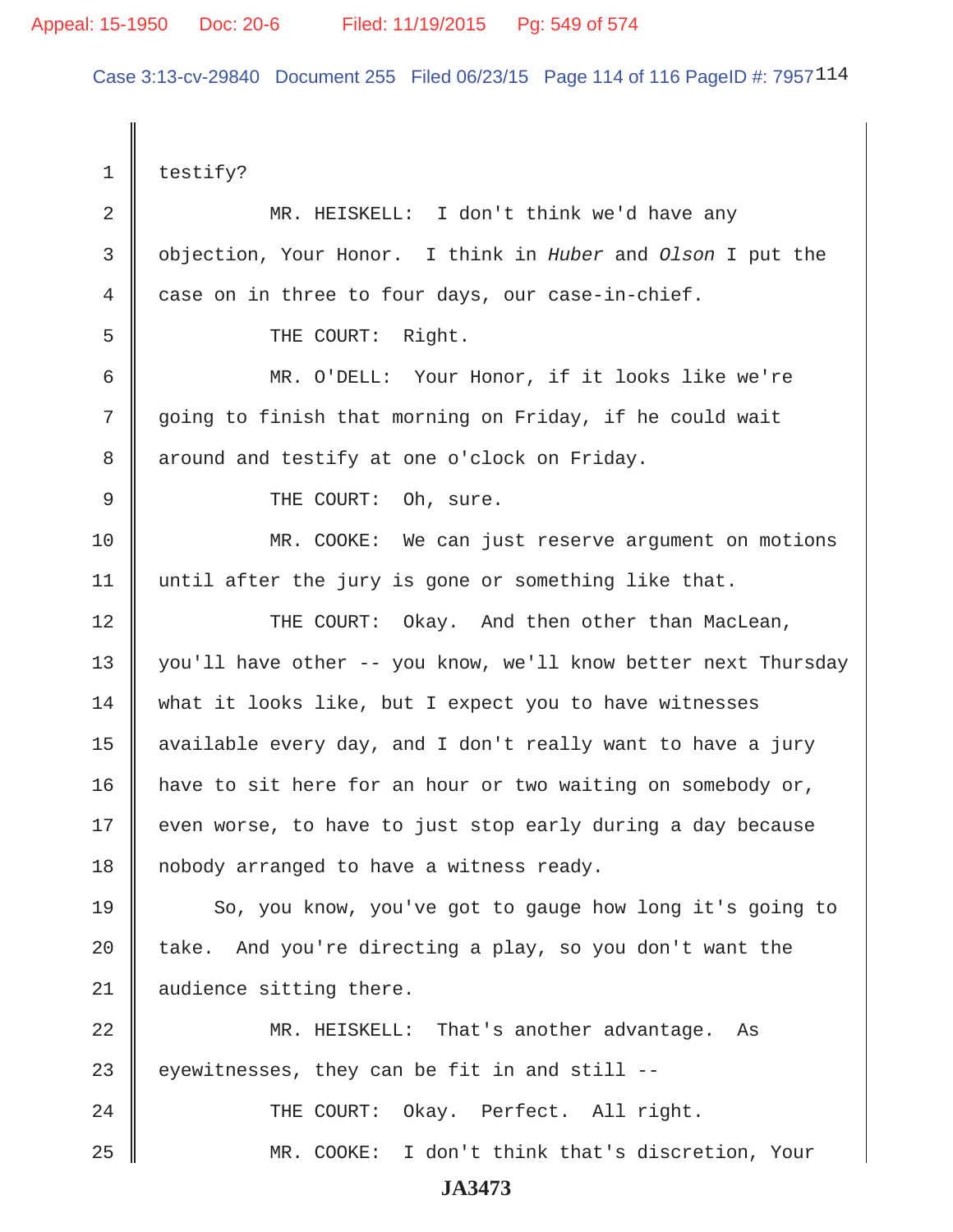Case 3:13-cv-29840 Document 255 Filed 06/23/15 Page 114 of 116 PageID #: 7957114

 $1 \parallel$  testify? 2 MR. HEISKELL: I don't think we'd have any 3 objection, Your Honor. I think in *Huber* and *Olson* I put the  $4 \parallel$  case on in three to four days, our case-in-chief. 5 || THE COURT: Right. 6 MR. O'DELL: Your Honor, if it looks like we're 7 going to finish that morning on Friday, if he could wait 8 | around and testify at one o'clock on Friday. 9 || THE COURT: Oh, sure. 10 MR. COOKE: We can just reserve argument on motions 11 || until after the jury is gone or something like that. 12 THE COURT: Okay. And then other than MacLean, 13 || you'll have other -- you know, we'll know better next Thursday 14 what it looks like, but I expect you to have witnesses 15  $\parallel$  available every day, and I don't really want to have a jury 16 | have to sit here for an hour or two waiting on somebody or,  $17$   $\parallel$  even worse, to have to just stop early during a day because 18 | nobody arranged to have a witness ready. 19 So, you know, you've got to gauge how long it's going to 20  $\parallel$  take. And you're directing a play, so you don't want the 21 | audience sitting there. 22 MR. HEISKELL: That's another advantage. As 23  $\parallel$  eyewitnesses, they can be fit in and still --24 || THE COURT: Okay. Perfect. All right. 25 MR. COOKE: I don't think that's discretion, Your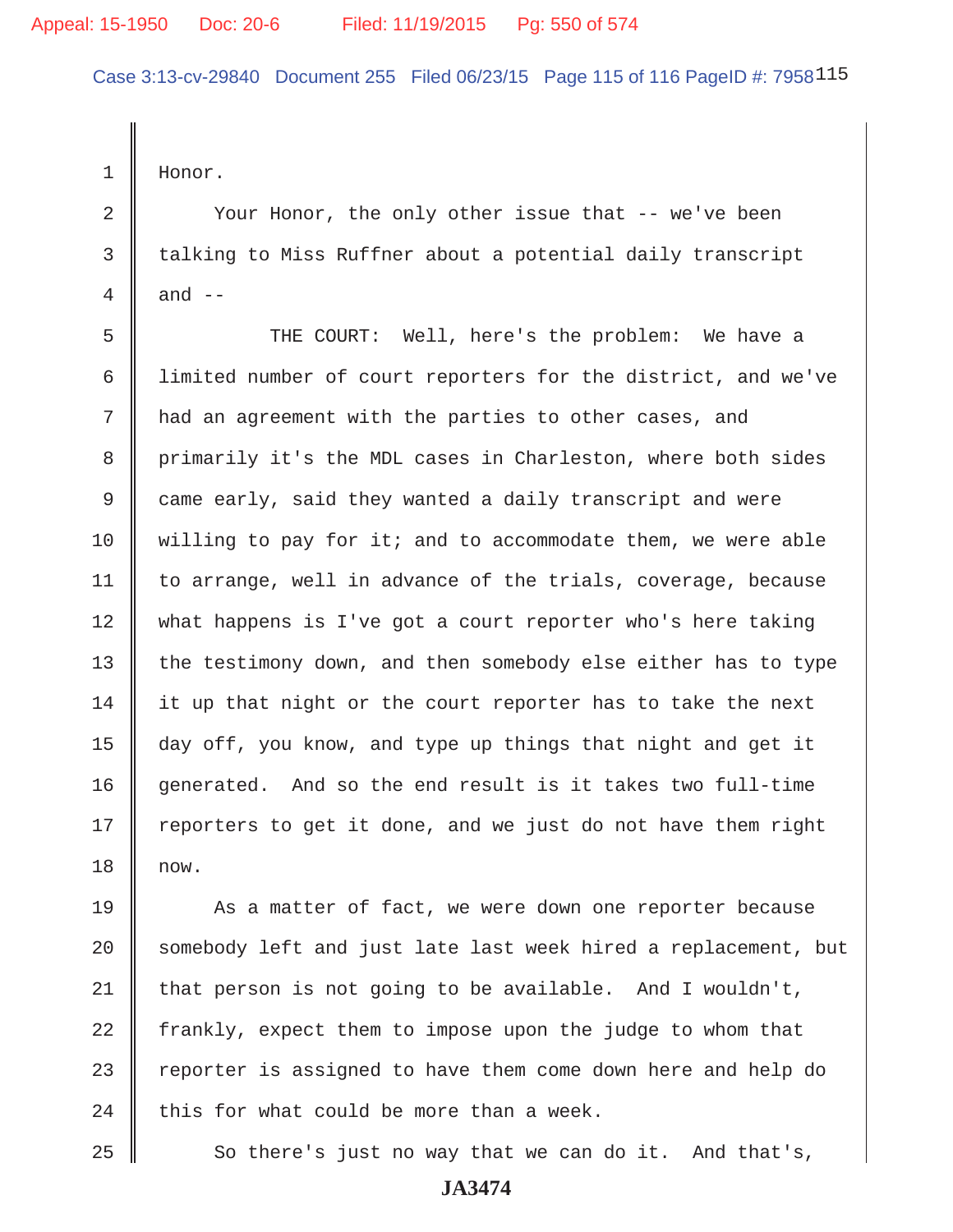Case 3:13-cv-29840 Document 255 Filed 06/23/15 Page 115 of 116 PageID #: 7958115

1 Honor.

2 | Your Honor, the only other issue that -- we've been 3 talking to Miss Ruffner about a potential daily transcript 4  $\parallel$  and  $\parallel$  -

 5 THE COURT: Well, here's the problem: We have a 6 limited number of court reporters for the district, and we've 7 || had an agreement with the parties to other cases, and 8 primarily it's the MDL cases in Charleston, where both sides 9 came early, said they wanted a daily transcript and were 10  $\parallel$  willing to pay for it; and to accommodate them, we were able  $11$  | to arrange, well in advance of the trials, coverage, because 12 what happens is I've got a court reporter who's here taking 13 | the testimony down, and then somebody else either has to type  $14$  it up that night or the court reporter has to take the next 15 day off, you know, and type up things that night and get it 16 generated. And so the end result is it takes two full-time  $17$  | reporters to get it done, and we just do not have them right 18 now.

19 As a matter of fact, we were down one reporter because 20 || somebody left and just late last week hired a replacement, but  $21$  | that person is not going to be available. And I wouldn't, 22 frankly, expect them to impose upon the judge to whom that 23 || reporter is assigned to have them come down here and help do  $24$  | this for what could be more than a week.

25  $\parallel$  So there's just no way that we can do it. And that's,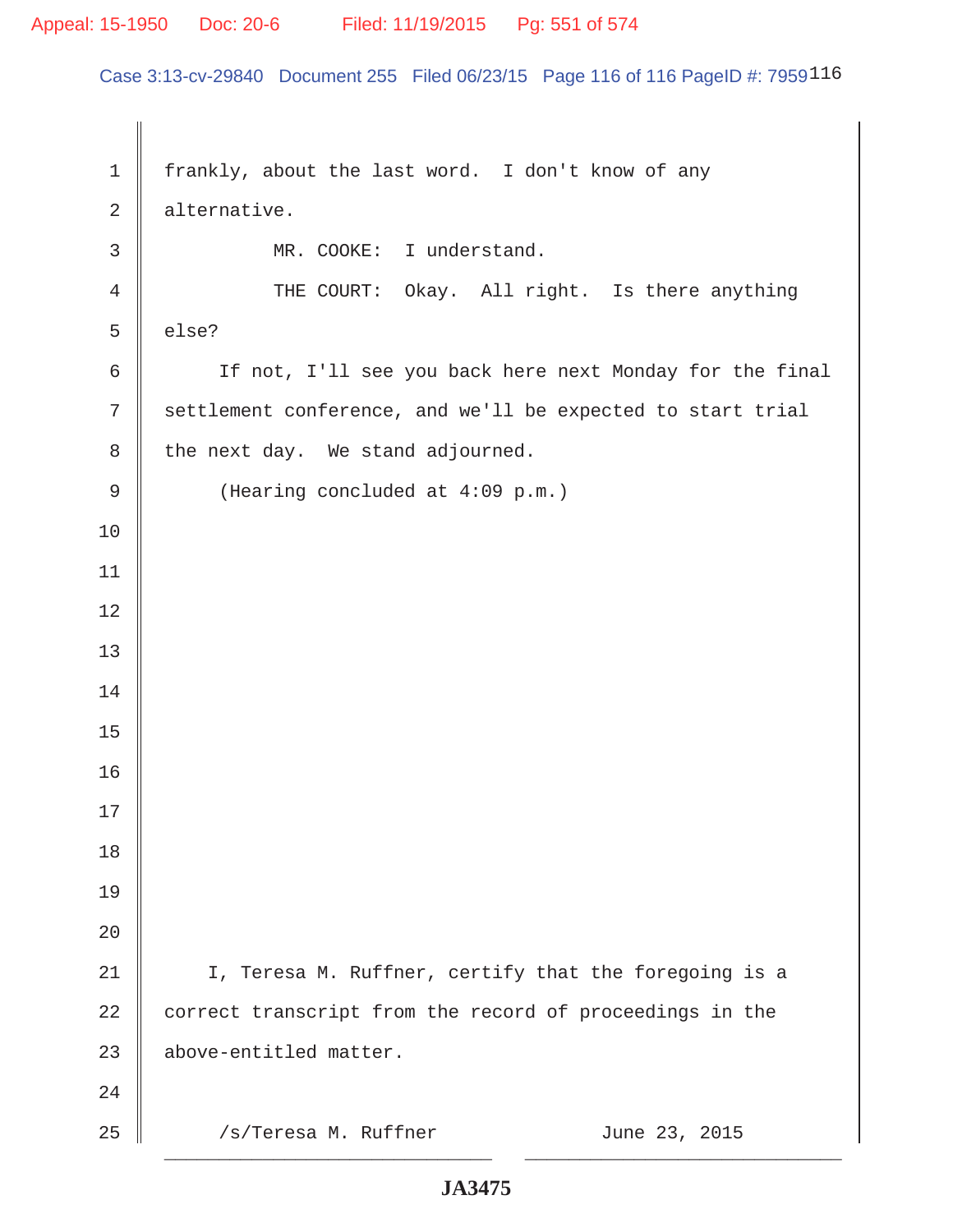#### Appeal: 15-1950 Doc: 20-6 Filed: 11/19/2015 Pg: 551 of 574

Case 3:13-cv-29840 Document 255 Filed 06/23/15 Page 116 of 116 PageID #: 7959116

1 | frankly, about the last word. I don't know of any 2 alternative. 3 MR. COOKE: I understand. 4 THE COURT: Okay. All right. Is there anything  $5 \parallel$  else? 6 | If not, I'll see you back here next Monday for the final 7 Settlement conference, and we'll be expected to start trial  $8 \parallel$  the next day. We stand adjourned. 9 | (Hearing concluded at 4:09 p.m.) 10 11 12 13 14 15 16 17 18 19 20 21 | I, Teresa M. Ruffner, certify that the foregoing is a 22 correct transcript from the record of proceedings in the 23 above-entitled matter. 24  $25$  /s/Teresa M. Ruffner June 23, 2015 \_\_\_\_\_\_\_\_\_\_\_\_\_\_\_\_\_\_\_\_\_\_\_\_\_\_\_\_\_\_ \_\_\_\_\_\_\_\_\_\_\_\_\_\_\_\_\_\_\_\_\_\_\_\_\_\_\_\_\_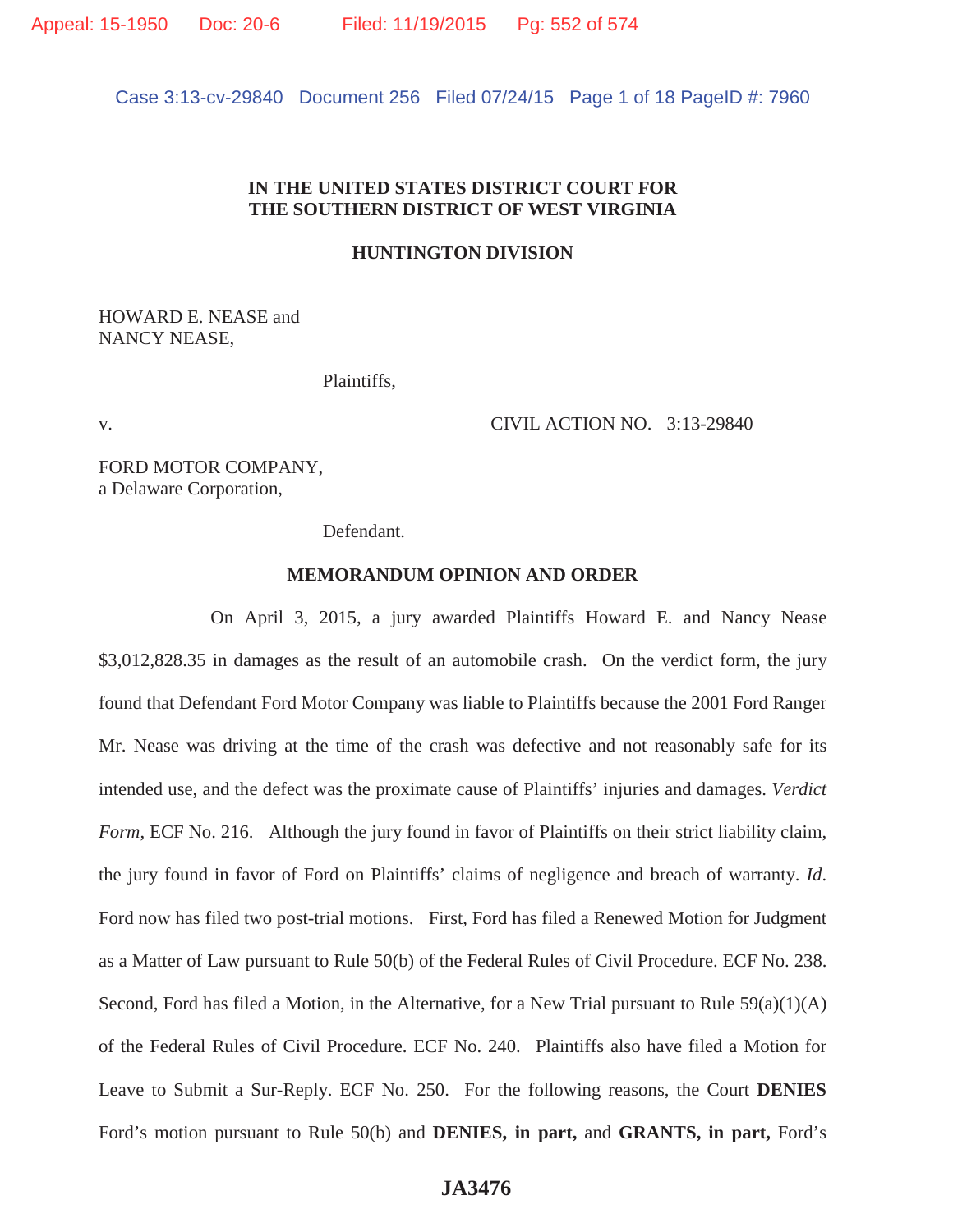Case 3:13-cv-29840 Document 256 Filed 07/24/15 Page 1 of 18 PageID #: 7960

# **IN THE UNITED STATES DISTRICT COURT FOR THE SOUTHERN DISTRICT OF WEST VIRGINIA**

#### **HUNTINGTON DIVISION**

HOWARD E. NEASE and NANCY NEASE,

Plaintiffs,

v. CIVIL ACTION NO. 3:13-29840

FORD MOTOR COMPANY, a Delaware Corporation,

Defendant.

#### **MEMORANDUM OPINION AND ORDER**

 On April 3, 2015, a jury awarded Plaintiffs Howard E. and Nancy Nease \$3,012,828.35 in damages as the result of an automobile crash. On the verdict form, the jury found that Defendant Ford Motor Company was liable to Plaintiffs because the 2001 Ford Ranger Mr. Nease was driving at the time of the crash was defective and not reasonably safe for its intended use, and the defect was the proximate cause of Plaintiffs' injuries and damages. *Verdict Form*, ECF No. 216. Although the jury found in favor of Plaintiffs on their strict liability claim, the jury found in favor of Ford on Plaintiffs' claims of negligence and breach of warranty. *Id*. Ford now has filed two post-trial motions. First, Ford has filed a Renewed Motion for Judgment as a Matter of Law pursuant to Rule 50(b) of the Federal Rules of Civil Procedure. ECF No. 238. Second, Ford has filed a Motion, in the Alternative, for a New Trial pursuant to Rule 59(a)(1)(A) of the Federal Rules of Civil Procedure. ECF No. 240. Plaintiffs also have filed a Motion for Leave to Submit a Sur-Reply. ECF No. 250. For the following reasons, the Court **DENIES** Ford's motion pursuant to Rule 50(b) and **DENIES, in part,** and **GRANTS, in part,** Ford's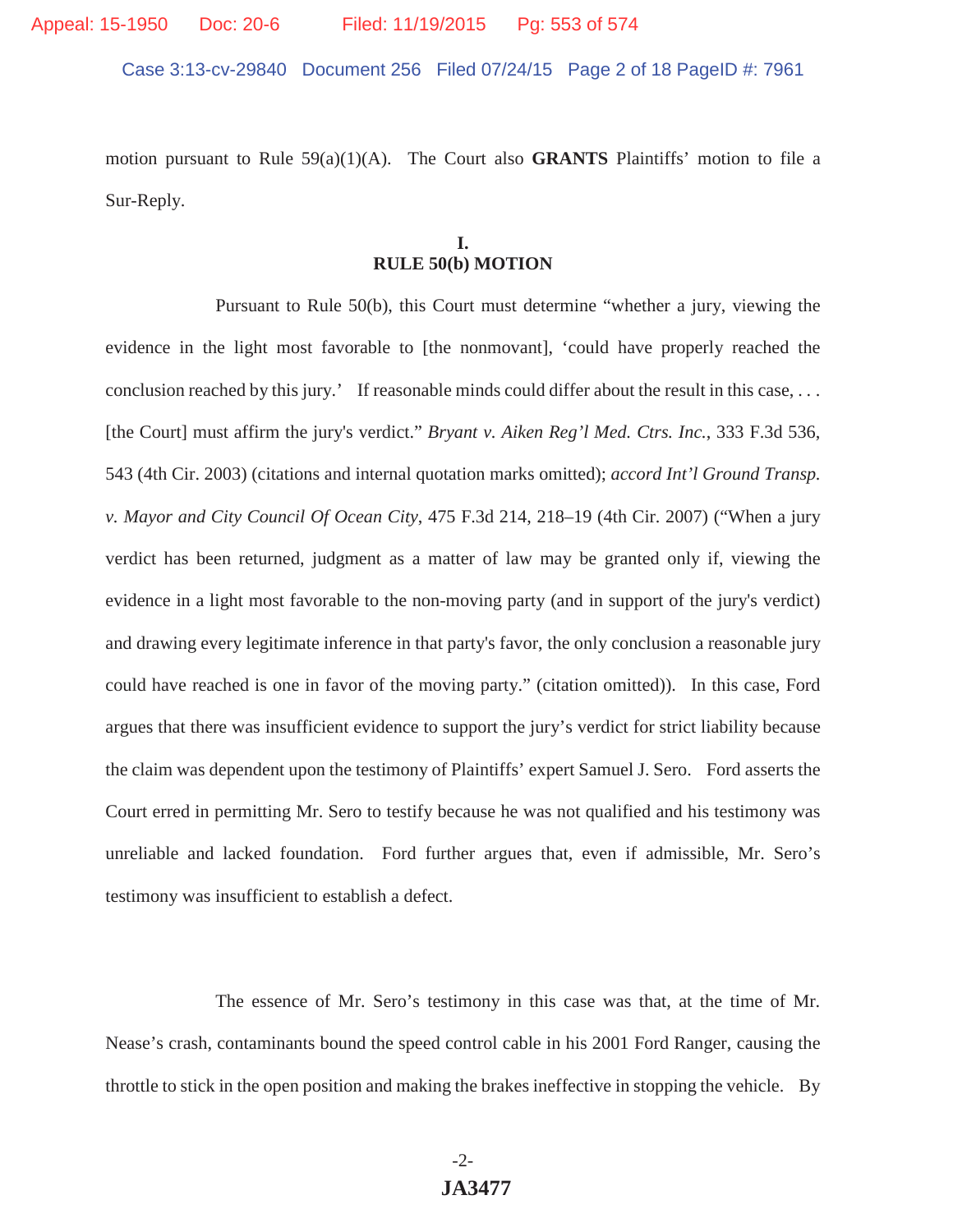Case 3:13-cv-29840 Document 256 Filed 07/24/15 Page 2 of 18 PageID #: 7961

motion pursuant to Rule 59(a)(1)(A). The Court also **GRANTS** Plaintiffs' motion to file a Sur-Reply.

#### **I. RULE 50(b) MOTION**

 Pursuant to Rule 50(b), this Court must determine "whether a jury, viewing the evidence in the light most favorable to [the nonmovant], 'could have properly reached the conclusion reached by this jury.' If reasonable minds could differ about the result in this case, . . . [the Court] must affirm the jury's verdict." *Bryant v. Aiken Reg'l Med. Ctrs. Inc.*, 333 F.3d 536, 543 (4th Cir. 2003) (citations and internal quotation marks omitted); *accord Int'l Ground Transp. v. Mayor and City Council Of Ocean City*, 475 F.3d 214, 218–19 (4th Cir. 2007) ("When a jury verdict has been returned, judgment as a matter of law may be granted only if, viewing the evidence in a light most favorable to the non-moving party (and in support of the jury's verdict) and drawing every legitimate inference in that party's favor, the only conclusion a reasonable jury could have reached is one in favor of the moving party." (citation omitted)). In this case, Ford argues that there was insufficient evidence to support the jury's verdict for strict liability because the claim was dependent upon the testimony of Plaintiffs' expert Samuel J. Sero. Ford asserts the Court erred in permitting Mr. Sero to testify because he was not qualified and his testimony was unreliable and lacked foundation. Ford further argues that, even if admissible, Mr. Sero's testimony was insufficient to establish a defect.

 The essence of Mr. Sero's testimony in this case was that, at the time of Mr. Nease's crash, contaminants bound the speed control cable in his 2001 Ford Ranger, causing the throttle to stick in the open position and making the brakes ineffective in stopping the vehicle. By

# -2- **JA3477**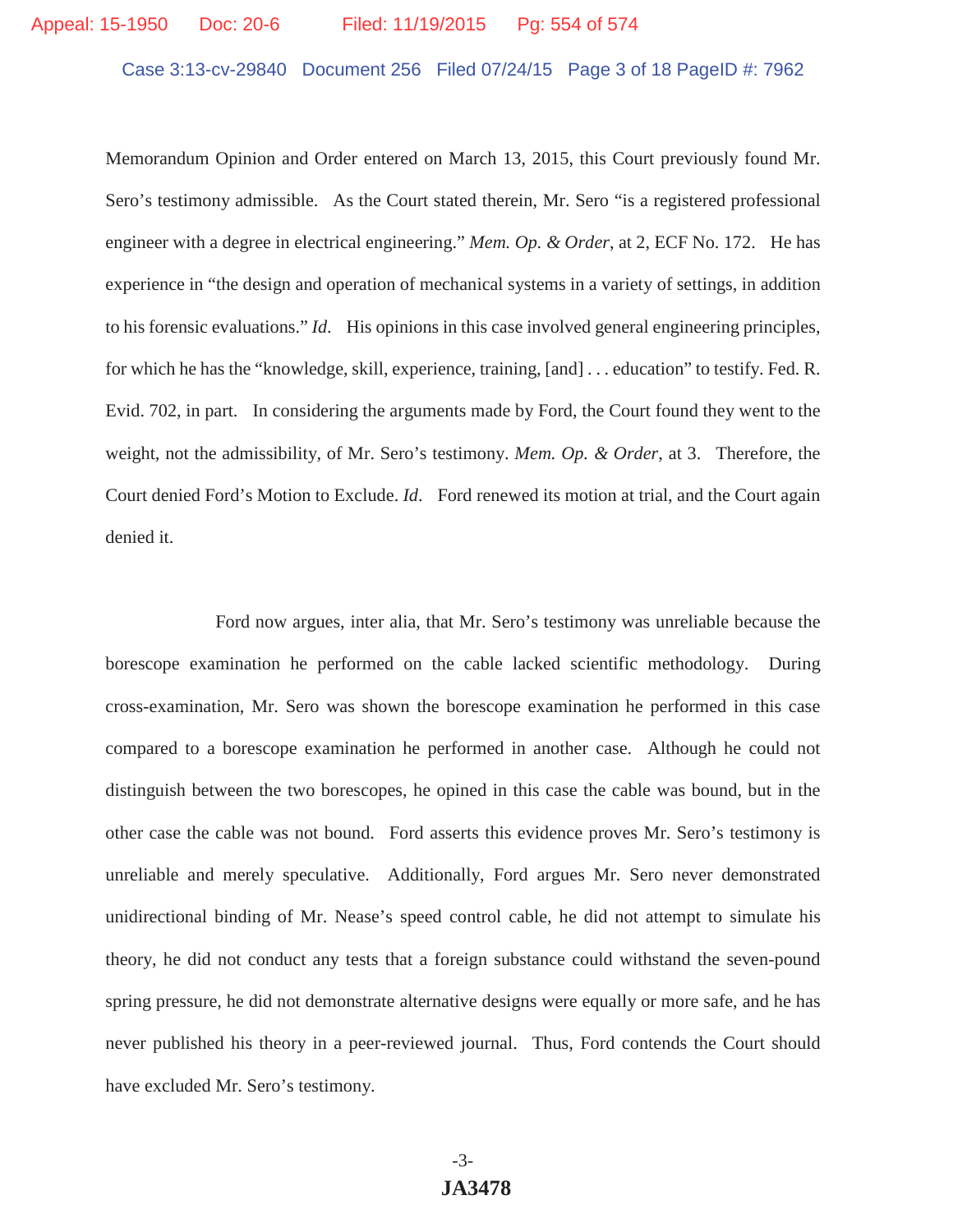Case 3:13-cv-29840 Document 256 Filed 07/24/15 Page 3 of 18 PageID #: 7962

Memorandum Opinion and Order entered on March 13, 2015, this Court previously found Mr. Sero's testimony admissible. As the Court stated therein, Mr. Sero "is a registered professional engineer with a degree in electrical engineering." *Mem. Op. & Order*, at 2, ECF No. 172. He has experience in "the design and operation of mechanical systems in a variety of settings, in addition to his forensic evaluations." *Id*. His opinions in this case involved general engineering principles, for which he has the "knowledge, skill, experience, training, [and] . . . education" to testify. Fed. R. Evid. 702, in part. In considering the arguments made by Ford, the Court found they went to the weight, not the admissibility, of Mr. Sero's testimony. *Mem. Op. & Order*, at 3. Therefore, the Court denied Ford's Motion to Exclude. *Id*. Ford renewed its motion at trial, and the Court again denied it.

 Ford now argues, inter alia, that Mr. Sero's testimony was unreliable because the borescope examination he performed on the cable lacked scientific methodology. During cross-examination, Mr. Sero was shown the borescope examination he performed in this case compared to a borescope examination he performed in another case. Although he could not distinguish between the two borescopes, he opined in this case the cable was bound, but in the other case the cable was not bound. Ford asserts this evidence proves Mr. Sero's testimony is unreliable and merely speculative. Additionally, Ford argues Mr. Sero never demonstrated unidirectional binding of Mr. Nease's speed control cable, he did not attempt to simulate his theory, he did not conduct any tests that a foreign substance could withstand the seven-pound spring pressure, he did not demonstrate alternative designs were equally or more safe, and he has never published his theory in a peer-reviewed journal. Thus, Ford contends the Court should have excluded Mr. Sero's testimony.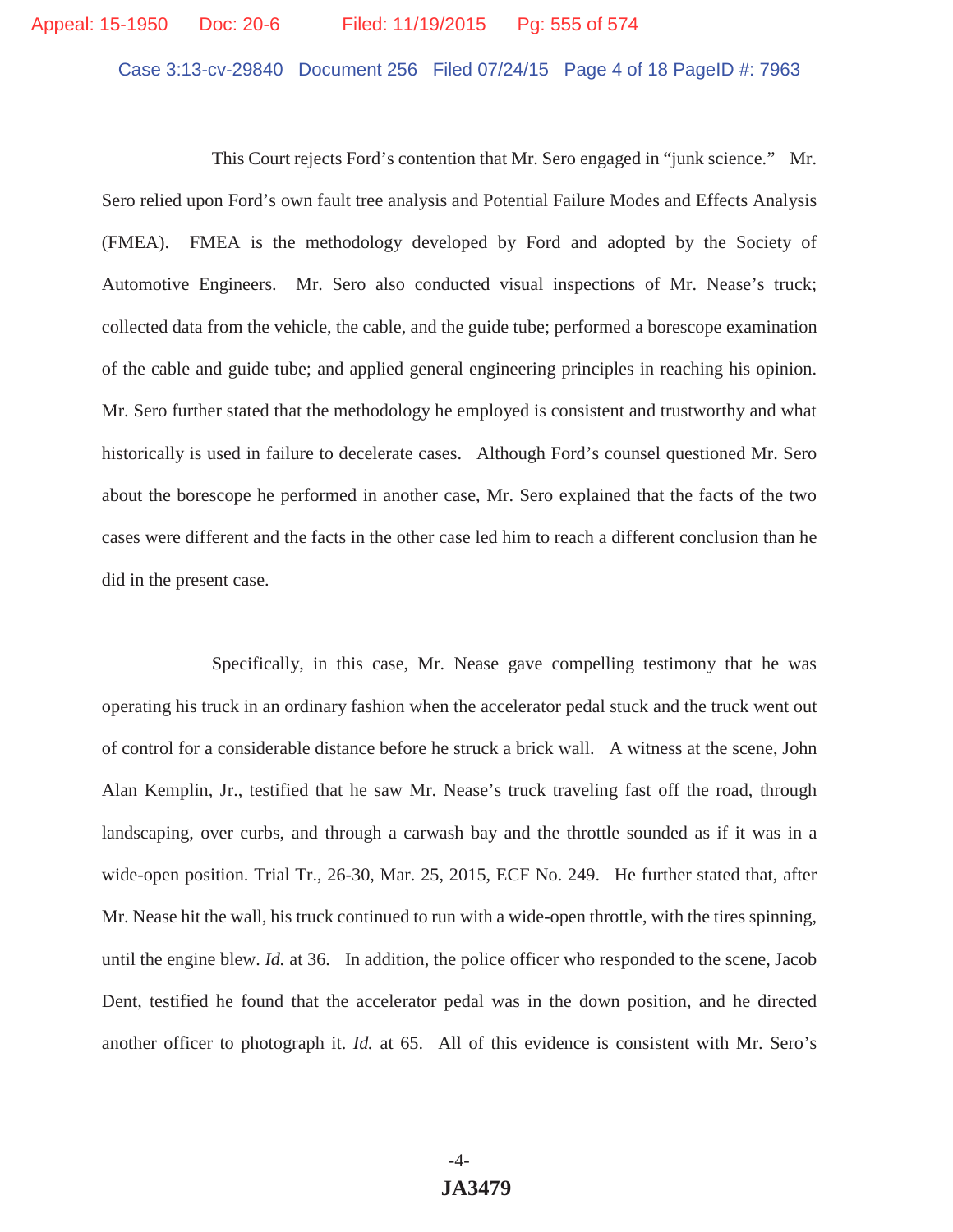# Appeal: 15-1950 Doc: 20-6 Filed: 11/19/2015 Pg: 555 of 574

Case 3:13-cv-29840 Document 256 Filed 07/24/15 Page 4 of 18 PageID #: 7963

 This Court rejects Ford's contention that Mr. Sero engaged in "junk science." Mr. Sero relied upon Ford's own fault tree analysis and Potential Failure Modes and Effects Analysis (FMEA). FMEA is the methodology developed by Ford and adopted by the Society of Automotive Engineers. Mr. Sero also conducted visual inspections of Mr. Nease's truck; collected data from the vehicle, the cable, and the guide tube; performed a borescope examination of the cable and guide tube; and applied general engineering principles in reaching his opinion. Mr. Sero further stated that the methodology he employed is consistent and trustworthy and what historically is used in failure to decelerate cases. Although Ford's counsel questioned Mr. Sero about the borescope he performed in another case, Mr. Sero explained that the facts of the two cases were different and the facts in the other case led him to reach a different conclusion than he did in the present case.

 Specifically, in this case, Mr. Nease gave compelling testimony that he was operating his truck in an ordinary fashion when the accelerator pedal stuck and the truck went out of control for a considerable distance before he struck a brick wall. A witness at the scene, John Alan Kemplin, Jr., testified that he saw Mr. Nease's truck traveling fast off the road, through landscaping, over curbs, and through a carwash bay and the throttle sounded as if it was in a wide-open position. Trial Tr., 26-30, Mar. 25, 2015, ECF No. 249. He further stated that, after Mr. Nease hit the wall, his truck continued to run with a wide-open throttle, with the tires spinning, until the engine blew. *Id.* at 36. In addition, the police officer who responded to the scene, Jacob Dent, testified he found that the accelerator pedal was in the down position, and he directed another officer to photograph it. *Id.* at 65. All of this evidence is consistent with Mr. Sero's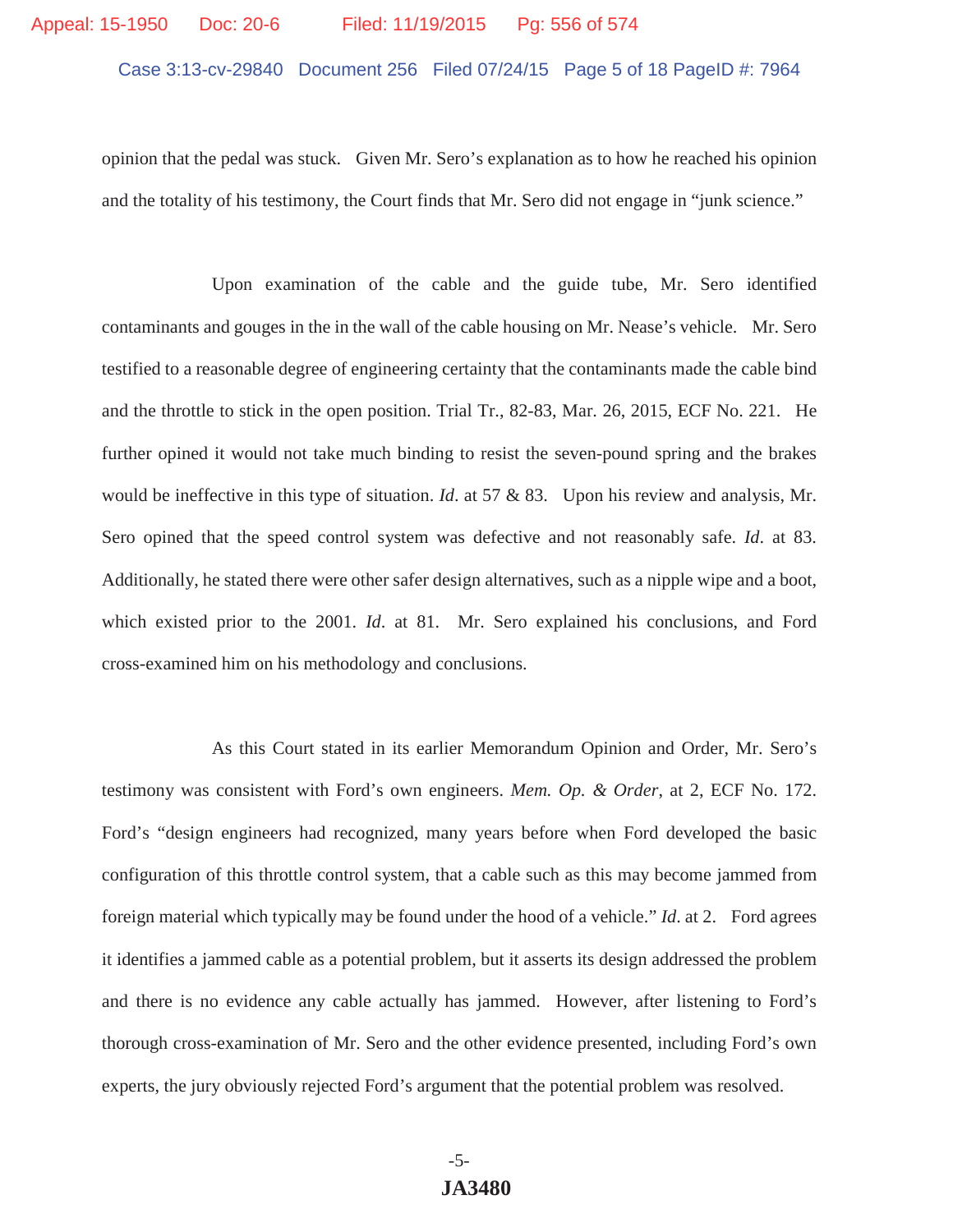# Case 3:13-cv-29840 Document 256 Filed 07/24/15 Page 5 of 18 PageID #: 7964 Appeal: 15-1950 Doc: 20-6 Filed: 11/19/2015 Pg: 556 of 574

opinion that the pedal was stuck. Given Mr. Sero's explanation as to how he reached his opinion and the totality of his testimony, the Court finds that Mr. Sero did not engage in "junk science."

 Upon examination of the cable and the guide tube, Mr. Sero identified contaminants and gouges in the in the wall of the cable housing on Mr. Nease's vehicle. Mr. Sero testified to a reasonable degree of engineering certainty that the contaminants made the cable bind and the throttle to stick in the open position. Trial Tr., 82-83, Mar. 26, 2015, ECF No. 221. He further opined it would not take much binding to resist the seven-pound spring and the brakes would be ineffective in this type of situation. *Id*. at 57 & 83. Upon his review and analysis, Mr. Sero opined that the speed control system was defective and not reasonably safe. *Id*. at 83. Additionally, he stated there were other safer design alternatives, such as a nipple wipe and a boot, which existed prior to the 2001. *Id*. at 81. Mr. Sero explained his conclusions, and Ford cross-examined him on his methodology and conclusions.

 As this Court stated in its earlier Memorandum Opinion and Order, Mr. Sero's testimony was consistent with Ford's own engineers. *Mem. Op. & Order*, at 2, ECF No. 172. Ford's "design engineers had recognized, many years before when Ford developed the basic configuration of this throttle control system, that a cable such as this may become jammed from foreign material which typically may be found under the hood of a vehicle." *Id*. at 2. Ford agrees it identifies a jammed cable as a potential problem, but it asserts its design addressed the problem and there is no evidence any cable actually has jammed. However, after listening to Ford's thorough cross-examination of Mr. Sero and the other evidence presented, including Ford's own experts, the jury obviously rejected Ford's argument that the potential problem was resolved.

> -5- **JA3480**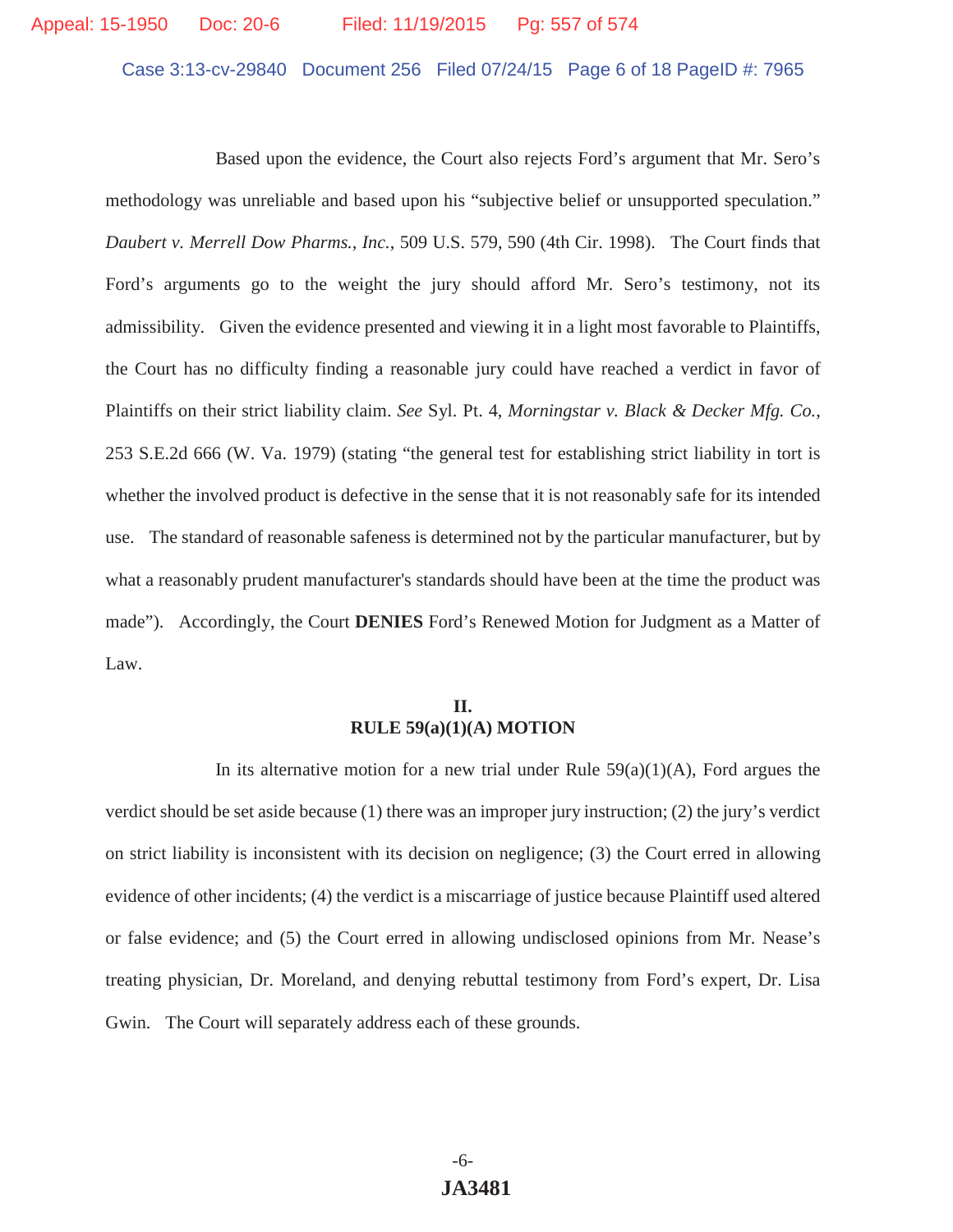Case 3:13-cv-29840 Document 256 Filed 07/24/15 Page 6 of 18 PageID #: 7965

 Based upon the evidence, the Court also rejects Ford's argument that Mr. Sero's methodology was unreliable and based upon his "subjective belief or unsupported speculation." *Daubert v. Merrell Dow Pharms., Inc.*, 509 U.S. 579, 590 (4th Cir. 1998). The Court finds that Ford's arguments go to the weight the jury should afford Mr. Sero's testimony, not its admissibility. Given the evidence presented and viewing it in a light most favorable to Plaintiffs, the Court has no difficulty finding a reasonable jury could have reached a verdict in favor of Plaintiffs on their strict liability claim. *See* Syl. Pt. 4, *Morningstar v. Black & Decker Mfg. Co.*, 253 S.E.2d 666 (W. Va. 1979) (stating "the general test for establishing strict liability in tort is whether the involved product is defective in the sense that it is not reasonably safe for its intended use. The standard of reasonable safeness is determined not by the particular manufacturer, but by what a reasonably prudent manufacturer's standards should have been at the time the product was made"). Accordingly, the Court **DENIES** Ford's Renewed Motion for Judgment as a Matter of Law.

#### **II. RULE 59(a)(1)(A) MOTION**

In its alternative motion for a new trial under Rule  $59(a)(1)(A)$ , Ford argues the verdict should be set aside because (1) there was an improper jury instruction; (2) the jury's verdict on strict liability is inconsistent with its decision on negligence; (3) the Court erred in allowing evidence of other incidents; (4) the verdict is a miscarriage of justice because Plaintiff used altered or false evidence; and (5) the Court erred in allowing undisclosed opinions from Mr. Nease's treating physician, Dr. Moreland, and denying rebuttal testimony from Ford's expert, Dr. Lisa Gwin. The Court will separately address each of these grounds.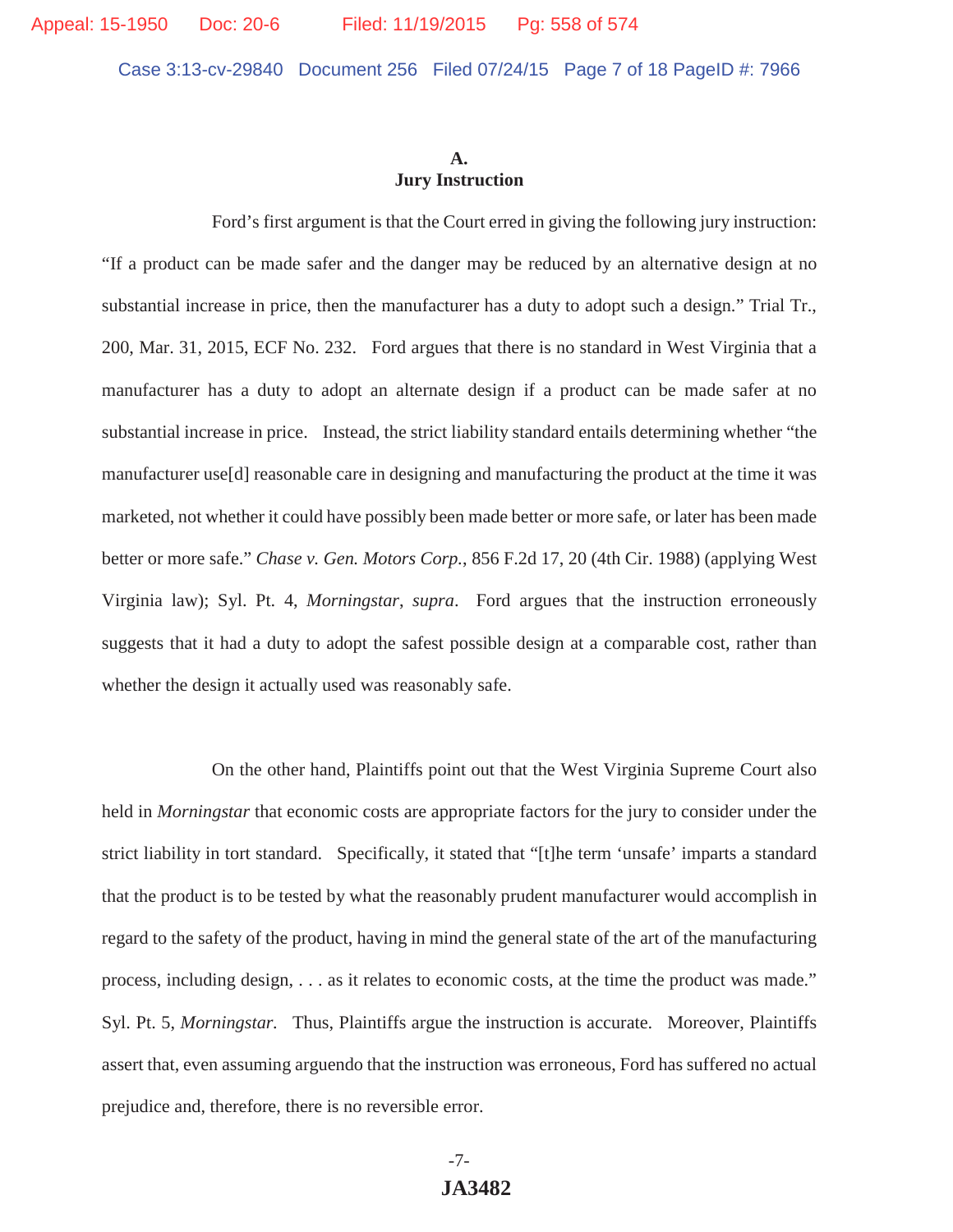#### **A. Jury Instruction**

 Ford's first argument is that the Court erred in giving the following jury instruction: "If a product can be made safer and the danger may be reduced by an alternative design at no substantial increase in price, then the manufacturer has a duty to adopt such a design." Trial Tr., 200, Mar. 31, 2015, ECF No. 232. Ford argues that there is no standard in West Virginia that a manufacturer has a duty to adopt an alternate design if a product can be made safer at no substantial increase in price. Instead, the strict liability standard entails determining whether "the manufacturer use[d] reasonable care in designing and manufacturing the product at the time it was marketed, not whether it could have possibly been made better or more safe, or later has been made better or more safe." *Chase v. Gen. Motors Corp.*, 856 F.2d 17, 20 (4th Cir. 1988) (applying West Virginia law); Syl. Pt. 4, *Morningstar*, *supra*. Ford argues that the instruction erroneously suggests that it had a duty to adopt the safest possible design at a comparable cost, rather than whether the design it actually used was reasonably safe.

 On the other hand, Plaintiffs point out that the West Virginia Supreme Court also held in *Morningstar* that economic costs are appropriate factors for the jury to consider under the strict liability in tort standard. Specifically, it stated that "[t]he term 'unsafe' imparts a standard that the product is to be tested by what the reasonably prudent manufacturer would accomplish in regard to the safety of the product, having in mind the general state of the art of the manufacturing process, including design, . . . as it relates to economic costs, at the time the product was made." Syl. Pt. 5, *Morningstar.* Thus, Plaintiffs argue the instruction is accurate. Moreover, Plaintiffs assert that, even assuming arguendo that the instruction was erroneous, Ford has suffered no actual prejudice and, therefore, there is no reversible error.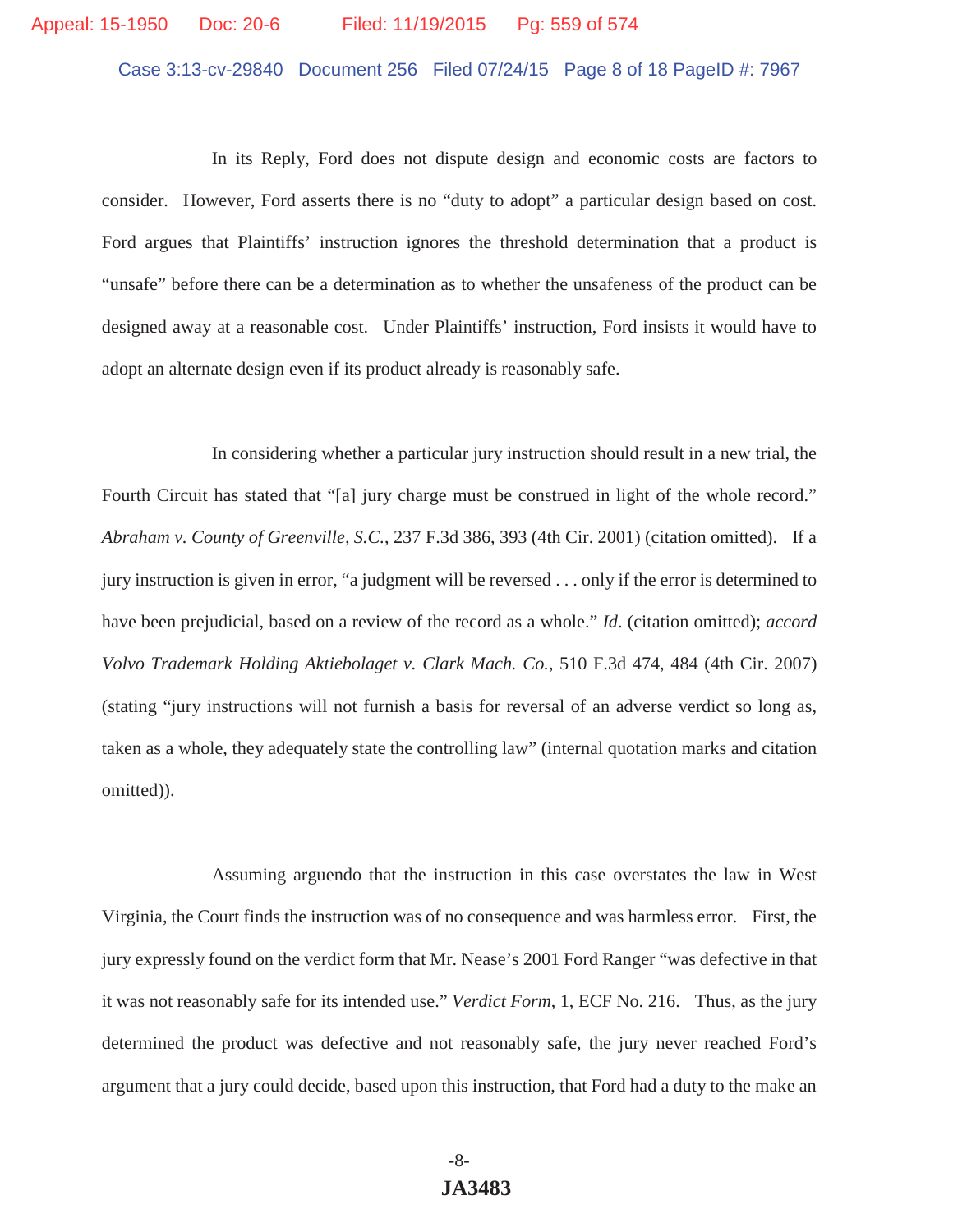# Appeal: 15-1950 Doc: 20-6 Filed: 11/19/2015 Pg: 559 of 574

Case 3:13-cv-29840 Document 256 Filed 07/24/15 Page 8 of 18 PageID #: 7967

 In its Reply, Ford does not dispute design and economic costs are factors to consider. However, Ford asserts there is no "duty to adopt" a particular design based on cost. Ford argues that Plaintiffs' instruction ignores the threshold determination that a product is "unsafe" before there can be a determination as to whether the unsafeness of the product can be designed away at a reasonable cost. Under Plaintiffs' instruction, Ford insists it would have to adopt an alternate design even if its product already is reasonably safe.

 In considering whether a particular jury instruction should result in a new trial, the Fourth Circuit has stated that "[a] jury charge must be construed in light of the whole record." *Abraham v. County of Greenville, S.C.*, 237 F.3d 386, 393 (4th Cir. 2001) (citation omitted). If a jury instruction is given in error, "a judgment will be reversed . . . only if the error is determined to have been prejudicial, based on a review of the record as a whole." *Id*. (citation omitted); *accord Volvo Trademark Holding Aktiebolaget v. Clark Mach. Co.*, 510 F.3d 474, 484 (4th Cir. 2007) (stating "jury instructions will not furnish a basis for reversal of an adverse verdict so long as, taken as a whole, they adequately state the controlling law" (internal quotation marks and citation omitted)).

 Assuming arguendo that the instruction in this case overstates the law in West Virginia, the Court finds the instruction was of no consequence and was harmless error. First, the jury expressly found on the verdict form that Mr. Nease's 2001 Ford Ranger "was defective in that it was not reasonably safe for its intended use." *Verdict Form*, 1, ECF No. 216. Thus, as the jury determined the product was defective and not reasonably safe, the jury never reached Ford's argument that a jury could decide, based upon this instruction, that Ford had a duty to the make an

> -8- **JA3483**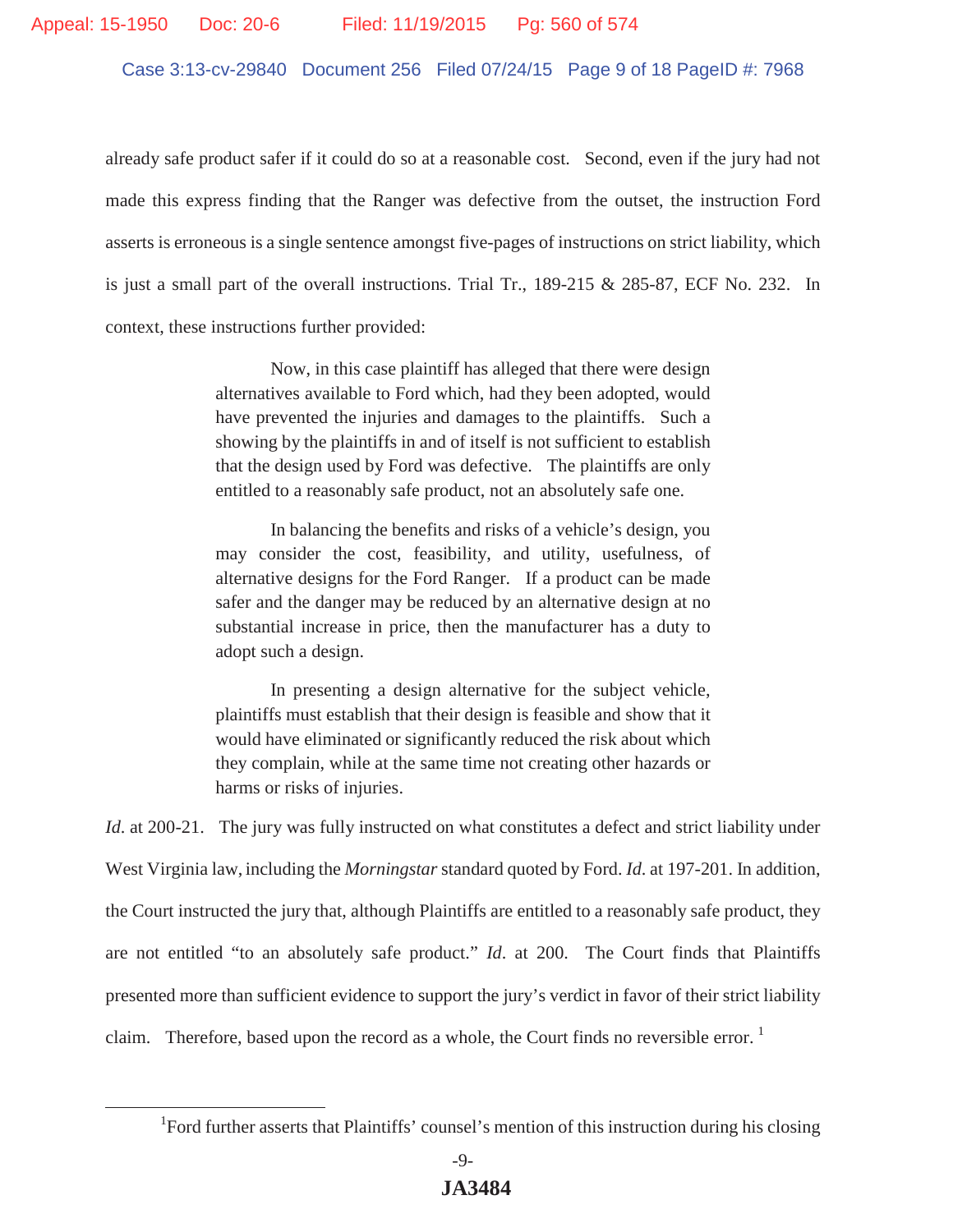Case 3:13-cv-29840 Document 256 Filed 07/24/15 Page 9 of 18 PageID #: 7968

already safe product safer if it could do so at a reasonable cost. Second, even if the jury had not made this express finding that the Ranger was defective from the outset, the instruction Ford asserts is erroneous is a single sentence amongst five-pages of instructions on strict liability, which is just a small part of the overall instructions. Trial Tr., 189-215 & 285-87, ECF No. 232. In context, these instructions further provided:

> Now, in this case plaintiff has alleged that there were design alternatives available to Ford which, had they been adopted, would have prevented the injuries and damages to the plaintiffs. Such a showing by the plaintiffs in and of itself is not sufficient to establish that the design used by Ford was defective. The plaintiffs are only entitled to a reasonably safe product, not an absolutely safe one.

> In balancing the benefits and risks of a vehicle's design, you may consider the cost, feasibility, and utility, usefulness, of alternative designs for the Ford Ranger. If a product can be made safer and the danger may be reduced by an alternative design at no substantial increase in price, then the manufacturer has a duty to adopt such a design.

> In presenting a design alternative for the subject vehicle, plaintiffs must establish that their design is feasible and show that it would have eliminated or significantly reduced the risk about which they complain, while at the same time not creating other hazards or harms or risks of injuries.

*Id.* at 200-21. The jury was fully instructed on what constitutes a defect and strict liability under West Virginia law, including the *Morningstar* standard quoted by Ford. *Id*. at 197-201. In addition, the Court instructed the jury that, although Plaintiffs are entitled to a reasonably safe product, they are not entitled "to an absolutely safe product." *Id*. at 200. The Court finds that Plaintiffs presented more than sufficient evidence to support the jury's verdict in favor of their strict liability claim. Therefore, based upon the record as a whole, the Court finds no reversible error.<sup>1</sup>

<sup>&</sup>lt;sup>1</sup>Ford further asserts that Plaintiffs' counsel's mention of this instruction during his closing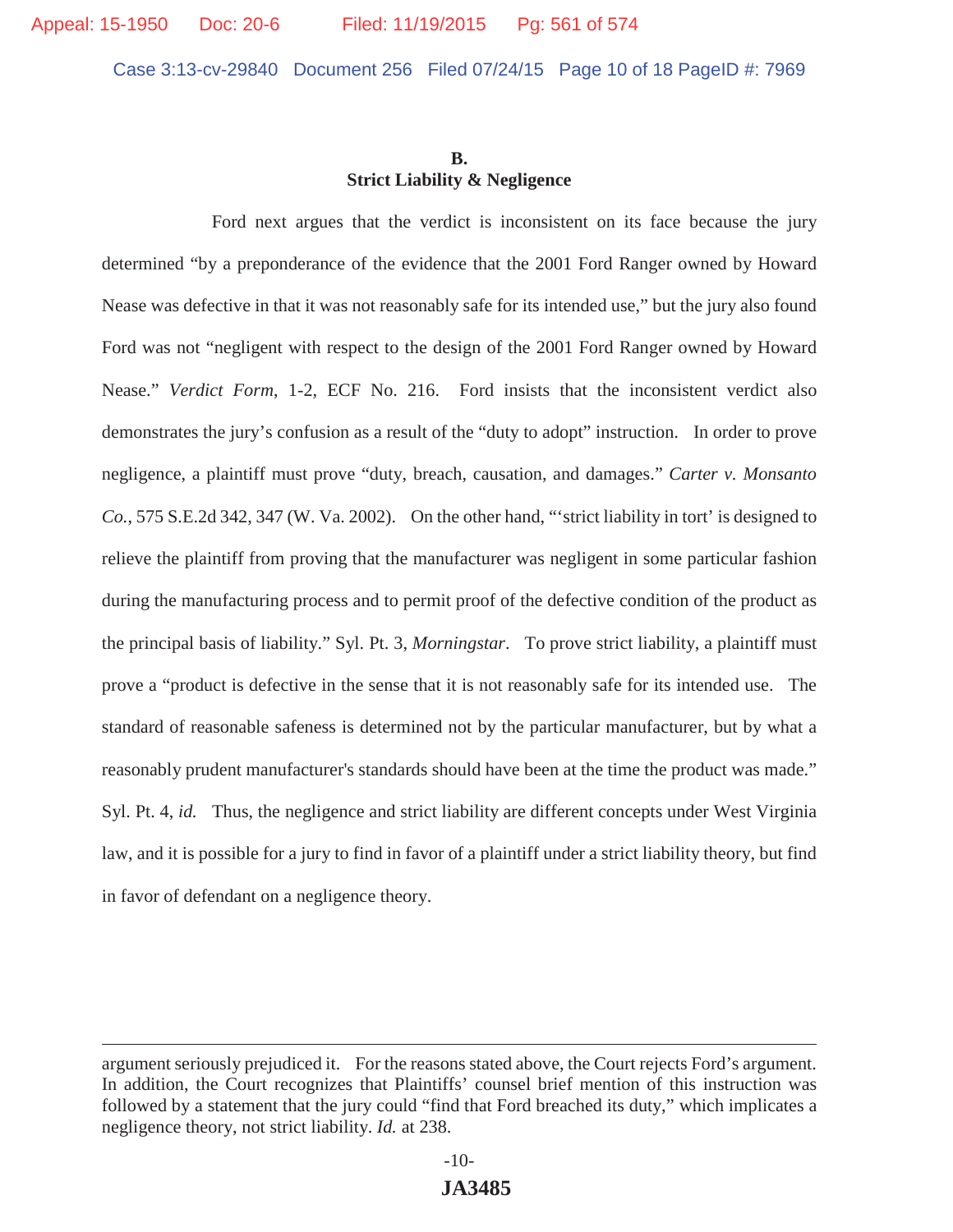#### **B. Strict Liability & Negligence**

 Ford next argues that the verdict is inconsistent on its face because the jury determined "by a preponderance of the evidence that the 2001 Ford Ranger owned by Howard Nease was defective in that it was not reasonably safe for its intended use," but the jury also found Ford was not "negligent with respect to the design of the 2001 Ford Ranger owned by Howard Nease." *Verdict Form*, 1-2, ECF No. 216. Ford insists that the inconsistent verdict also demonstrates the jury's confusion as a result of the "duty to adopt" instruction. In order to prove negligence, a plaintiff must prove "duty, breach, causation, and damages." *Carter v. Monsanto Co.*, 575 S.E.2d 342, 347 (W. Va. 2002). On the other hand, "'strict liability in tort' is designed to relieve the plaintiff from proving that the manufacturer was negligent in some particular fashion during the manufacturing process and to permit proof of the defective condition of the product as the principal basis of liability." Syl. Pt. 3, *Morningstar*. To prove strict liability, a plaintiff must prove a "product is defective in the sense that it is not reasonably safe for its intended use. The standard of reasonable safeness is determined not by the particular manufacturer, but by what a reasonably prudent manufacturer's standards should have been at the time the product was made." Syl. Pt. 4, *id.* Thus, the negligence and strict liability are different concepts under West Virginia law, and it is possible for a jury to find in favor of a plaintiff under a strict liability theory, but find in favor of defendant on a negligence theory.

argument seriously prejudiced it. For the reasons stated above, the Court rejects Ford's argument. In addition, the Court recognizes that Plaintiffs' counsel brief mention of this instruction was followed by a statement that the jury could "find that Ford breached its duty," which implicates a negligence theory, not strict liability. *Id.* at 238.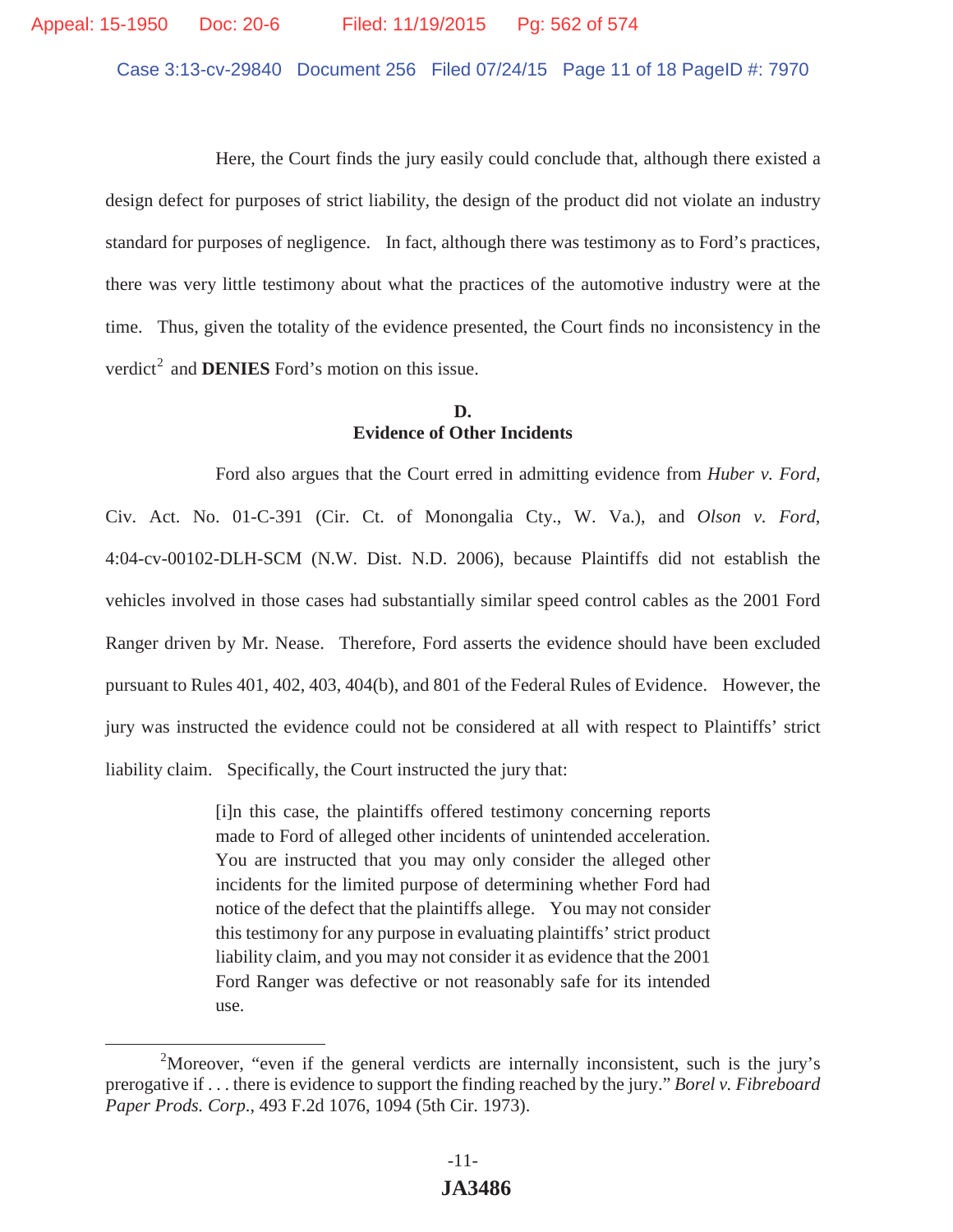Case 3:13-cv-29840 Document 256 Filed 07/24/15 Page 11 of 18 PageID #: 7970

 Here, the Court finds the jury easily could conclude that, although there existed a design defect for purposes of strict liability, the design of the product did not violate an industry standard for purposes of negligence. In fact, although there was testimony as to Ford's practices, there was very little testimony about what the practices of the automotive industry were at the time. Thus, given the totality of the evidence presented, the Court finds no inconsistency in the verdict<sup>2</sup> and **DENIES** Ford's motion on this issue.

# **D. Evidence of Other Incidents**

Ford also argues that the Court erred in admitting evidence from *Huber v. Ford*, Civ. Act. No. 01-C-391 (Cir. Ct. of Monongalia Cty., W. Va.), and *Olson v. Ford*, 4:04-cv-00102-DLH-SCM (N.W. Dist. N.D. 2006), because Plaintiffs did not establish the vehicles involved in those cases had substantially similar speed control cables as the 2001 Ford Ranger driven by Mr. Nease. Therefore, Ford asserts the evidence should have been excluded pursuant to Rules 401, 402, 403, 404(b), and 801 of the Federal Rules of Evidence. However, the jury was instructed the evidence could not be considered at all with respect to Plaintiffs' strict liability claim. Specifically, the Court instructed the jury that:

> [i]n this case, the plaintiffs offered testimony concerning reports made to Ford of alleged other incidents of unintended acceleration. You are instructed that you may only consider the alleged other incidents for the limited purpose of determining whether Ford had notice of the defect that the plaintiffs allege. You may not consider this testimony for any purpose in evaluating plaintiffs' strict product liability claim, and you may not consider it as evidence that the 2001 Ford Ranger was defective or not reasonably safe for its intended use.

<sup>&</sup>lt;sup>2</sup>Moreover, "even if the general verdicts are internally inconsistent, such is the jury's prerogative if . . . there is evidence to support the finding reached by the jury." *Borel v. Fibreboard Paper Prods. Corp*., 493 F.2d 1076, 1094 (5th Cir. 1973).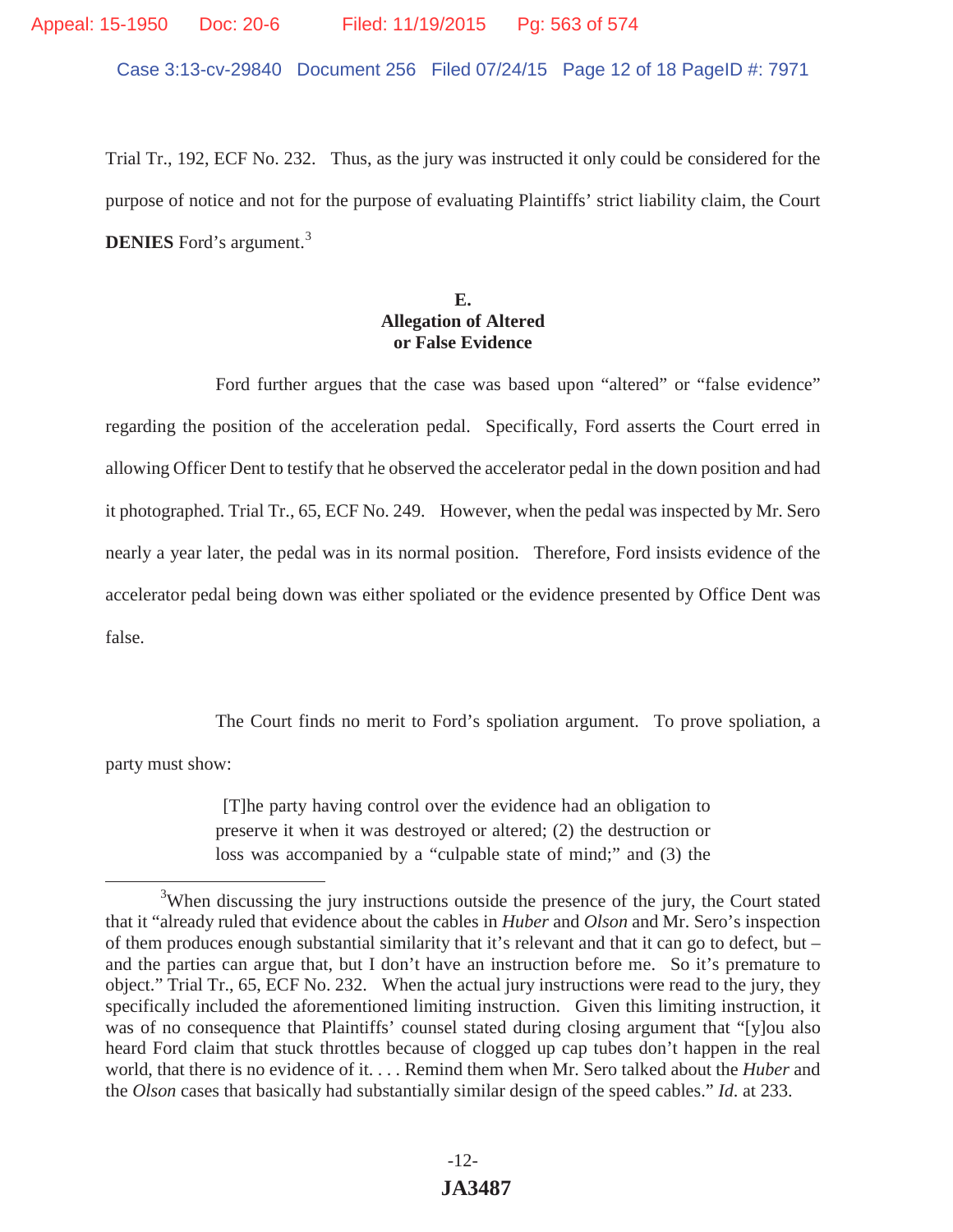# Appeal: 15-1950 Doc: 20-6 Filed: 11/19/2015 Pg: 563 of 574

Case 3:13-cv-29840 Document 256 Filed 07/24/15 Page 12 of 18 PageID #: 7971

Trial Tr., 192, ECF No. 232. Thus, as the jury was instructed it only could be considered for the purpose of notice and not for the purpose of evaluating Plaintiffs' strict liability claim, the Court **DENIES** Ford's argument.<sup>3</sup>

## **E. Allegation of Altered or False Evidence**

Ford further argues that the case was based upon "altered" or "false evidence" regarding the position of the acceleration pedal. Specifically, Ford asserts the Court erred in allowing Officer Dent to testify that he observed the accelerator pedal in the down position and had it photographed. Trial Tr., 65, ECF No. 249. However, when the pedal was inspected by Mr. Sero nearly a year later, the pedal was in its normal position. Therefore, Ford insists evidence of the accelerator pedal being down was either spoliated or the evidence presented by Office Dent was false.

The Court finds no merit to Ford's spoliation argument. To prove spoliation, a

party must show:

[T]he party having control over the evidence had an obligation to preserve it when it was destroyed or altered; (2) the destruction or loss was accompanied by a "culpable state of mind;" and (3) the

<sup>&</sup>lt;sup>3</sup>When discussing the jury instructions outside the presence of the jury, the Court stated that it "already ruled that evidence about the cables in *Huber* and *Olson* and Mr. Sero's inspection of them produces enough substantial similarity that it's relevant and that it can go to defect, but – and the parties can argue that, but I don't have an instruction before me. So it's premature to object." Trial Tr., 65, ECF No. 232. When the actual jury instructions were read to the jury, they specifically included the aforementioned limiting instruction. Given this limiting instruction, it was of no consequence that Plaintiffs' counsel stated during closing argument that "[y]ou also heard Ford claim that stuck throttles because of clogged up cap tubes don't happen in the real world, that there is no evidence of it. . . . Remind them when Mr. Sero talked about the *Huber* and the *Olson* cases that basically had substantially similar design of the speed cables." *Id*. at 233.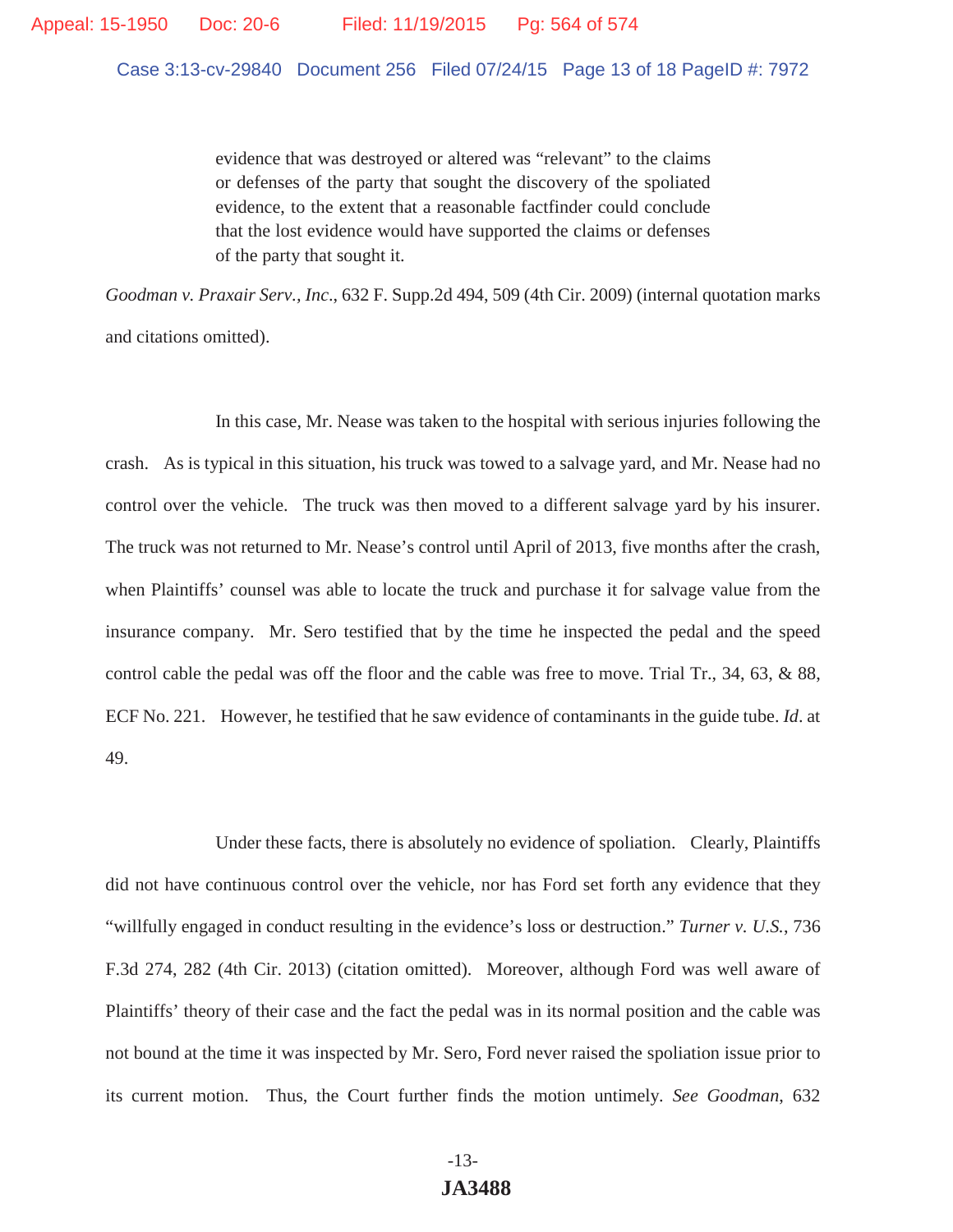Case 3:13-cv-29840 Document 256 Filed 07/24/15 Page 13 of 18 PageID #: 7972

evidence that was destroyed or altered was "relevant" to the claims or defenses of the party that sought the discovery of the spoliated evidence, to the extent that a reasonable factfinder could conclude that the lost evidence would have supported the claims or defenses of the party that sought it.

*Goodman v. Praxair Serv., Inc*., 632 F. Supp.2d 494, 509 (4th Cir. 2009) (internal quotation marks and citations omitted).

 In this case, Mr. Nease was taken to the hospital with serious injuries following the crash. As is typical in this situation, his truck was towed to a salvage yard, and Mr. Nease had no control over the vehicle. The truck was then moved to a different salvage yard by his insurer. The truck was not returned to Mr. Nease's control until April of 2013, five months after the crash, when Plaintiffs' counsel was able to locate the truck and purchase it for salvage value from the insurance company. Mr. Sero testified that by the time he inspected the pedal and the speed control cable the pedal was off the floor and the cable was free to move. Trial Tr., 34, 63, & 88, ECF No. 221. However, he testified that he saw evidence of contaminants in the guide tube. *Id*. at 49.

 Under these facts, there is absolutely no evidence of spoliation. Clearly, Plaintiffs did not have continuous control over the vehicle, nor has Ford set forth any evidence that they "willfully engaged in conduct resulting in the evidence's loss or destruction." *Turner v. U.S.*, 736 F.3d 274, 282 (4th Cir. 2013) (citation omitted). Moreover, although Ford was well aware of Plaintiffs' theory of their case and the fact the pedal was in its normal position and the cable was not bound at the time it was inspected by Mr. Sero, Ford never raised the spoliation issue prior to its current motion. Thus, the Court further finds the motion untimely. *See Goodman*, 632

# -13- **JA3488**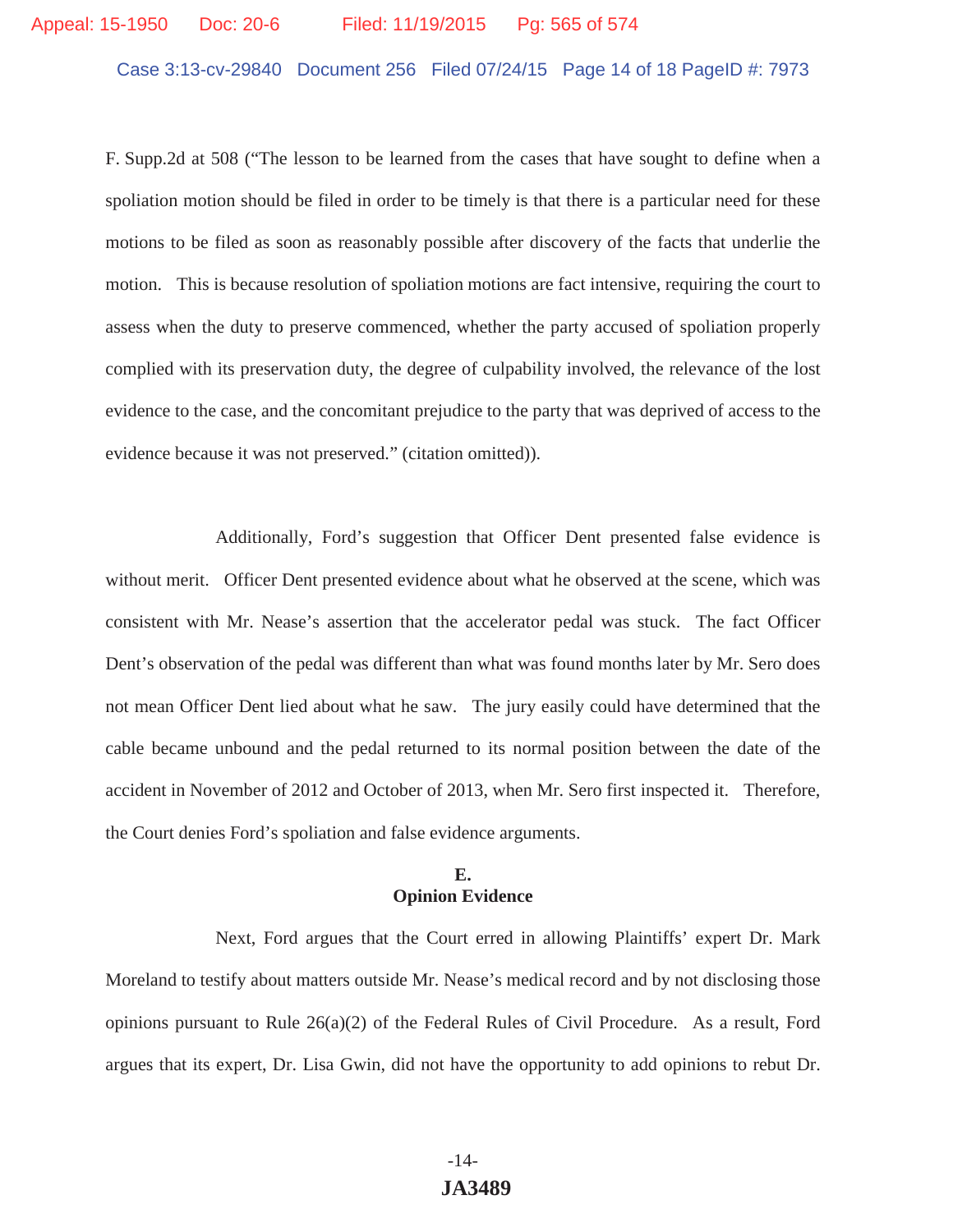#### Appeal: 15-1950 Doc: 20-6 Filed: 11/19/2015 Pg: 565 of 574

Case 3:13-cv-29840 Document 256 Filed 07/24/15 Page 14 of 18 PageID #: 7973

F. Supp.2d at 508 ("The lesson to be learned from the cases that have sought to define when a spoliation motion should be filed in order to be timely is that there is a particular need for these motions to be filed as soon as reasonably possible after discovery of the facts that underlie the motion. This is because resolution of spoliation motions are fact intensive, requiring the court to assess when the duty to preserve commenced, whether the party accused of spoliation properly complied with its preservation duty, the degree of culpability involved, the relevance of the lost evidence to the case, and the concomitant prejudice to the party that was deprived of access to the evidence because it was not preserved." (citation omitted)).

 Additionally, Ford's suggestion that Officer Dent presented false evidence is without merit. Officer Dent presented evidence about what he observed at the scene, which was consistent with Mr. Nease's assertion that the accelerator pedal was stuck. The fact Officer Dent's observation of the pedal was different than what was found months later by Mr. Sero does not mean Officer Dent lied about what he saw. The jury easily could have determined that the cable became unbound and the pedal returned to its normal position between the date of the accident in November of 2012 and October of 2013, when Mr. Sero first inspected it. Therefore, the Court denies Ford's spoliation and false evidence arguments.

#### **E. Opinion Evidence**

 Next, Ford argues that the Court erred in allowing Plaintiffs' expert Dr. Mark Moreland to testify about matters outside Mr. Nease's medical record and by not disclosing those opinions pursuant to Rule 26(a)(2) of the Federal Rules of Civil Procedure. As a result, Ford argues that its expert, Dr. Lisa Gwin, did not have the opportunity to add opinions to rebut Dr.

# -14- **JA3489**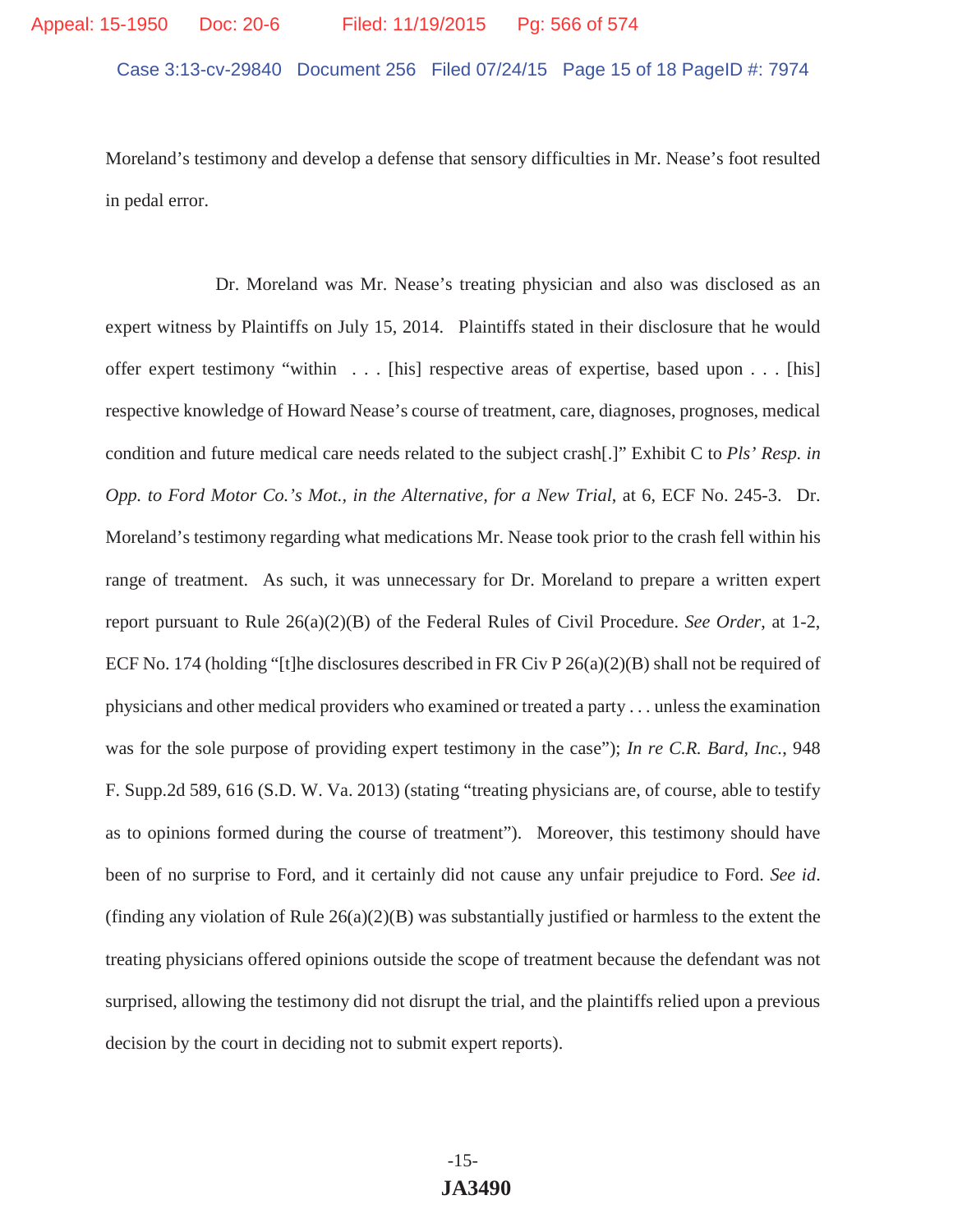Moreland's testimony and develop a defense that sensory difficulties in Mr. Nease's foot resulted in pedal error.

 Dr. Moreland was Mr. Nease's treating physician and also was disclosed as an expert witness by Plaintiffs on July 15, 2014. Plaintiffs stated in their disclosure that he would offer expert testimony "within . . . [his] respective areas of expertise, based upon . . . [his] respective knowledge of Howard Nease's course of treatment, care, diagnoses, prognoses, medical condition and future medical care needs related to the subject crash[.]" Exhibit C to *Pls' Resp. in Opp. to Ford Motor Co.'s Mot., in the Alternative, for a New Trial*, at 6, ECF No. 245-3. Dr. Moreland's testimony regarding what medications Mr. Nease took prior to the crash fell within his range of treatment. As such, it was unnecessary for Dr. Moreland to prepare a written expert report pursuant to Rule 26(a)(2)(B) of the Federal Rules of Civil Procedure. *See Order*, at 1-2, ECF No. 174 (holding "[t]he disclosures described in FR Civ P  $26(a)(2)(B)$  shall not be required of physicians and other medical providers who examined or treated a party . . . unless the examination was for the sole purpose of providing expert testimony in the case"); *In re C.R. Bard, Inc.*, 948 F. Supp.2d 589, 616 (S.D. W. Va. 2013) (stating "treating physicians are, of course, able to testify as to opinions formed during the course of treatment"). Moreover, this testimony should have been of no surprise to Ford, and it certainly did not cause any unfair prejudice to Ford. *See id*. (finding any violation of Rule  $26(a)(2)(B)$  was substantially justified or harmless to the extent the treating physicians offered opinions outside the scope of treatment because the defendant was not surprised, allowing the testimony did not disrupt the trial, and the plaintiffs relied upon a previous decision by the court in deciding not to submit expert reports).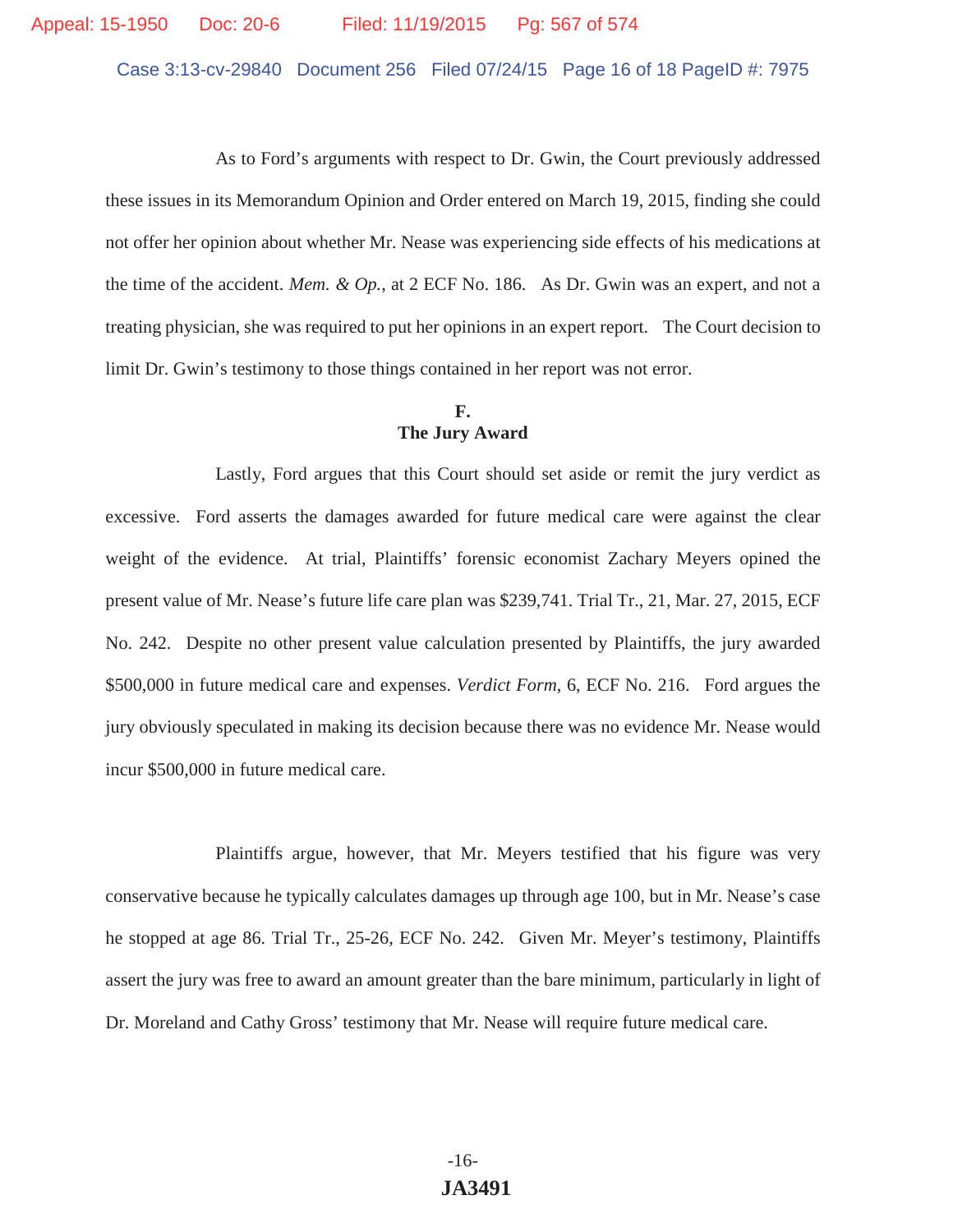Case 3:13-cv-29840 Document 256 Filed 07/24/15 Page 16 of 18 PageID #: 7975

 As to Ford's arguments with respect to Dr. Gwin, the Court previously addressed these issues in its Memorandum Opinion and Order entered on March 19, 2015, finding she could not offer her opinion about whether Mr. Nease was experiencing side effects of his medications at the time of the accident. *Mem. & Op.*, at 2 ECF No. 186. As Dr. Gwin was an expert, and not a treating physician, she was required to put her opinions in an expert report. The Court decision to limit Dr. Gwin's testimony to those things contained in her report was not error.

### **F. The Jury Award**

 Lastly, Ford argues that this Court should set aside or remit the jury verdict as excessive. Ford asserts the damages awarded for future medical care were against the clear weight of the evidence. At trial, Plaintiffs' forensic economist Zachary Meyers opined the present value of Mr. Nease's future life care plan was \$239,741. Trial Tr., 21, Mar. 27, 2015, ECF No. 242. Despite no other present value calculation presented by Plaintiffs, the jury awarded \$500,000 in future medical care and expenses. *Verdict Form*, 6, ECF No. 216. Ford argues the jury obviously speculated in making its decision because there was no evidence Mr. Nease would incur \$500,000 in future medical care.

 Plaintiffs argue, however, that Mr. Meyers testified that his figure was very conservative because he typically calculates damages up through age 100, but in Mr. Nease's case he stopped at age 86. Trial Tr., 25-26, ECF No. 242. Given Mr. Meyer's testimony, Plaintiffs assert the jury was free to award an amount greater than the bare minimum, particularly in light of Dr. Moreland and Cathy Gross' testimony that Mr. Nease will require future medical care.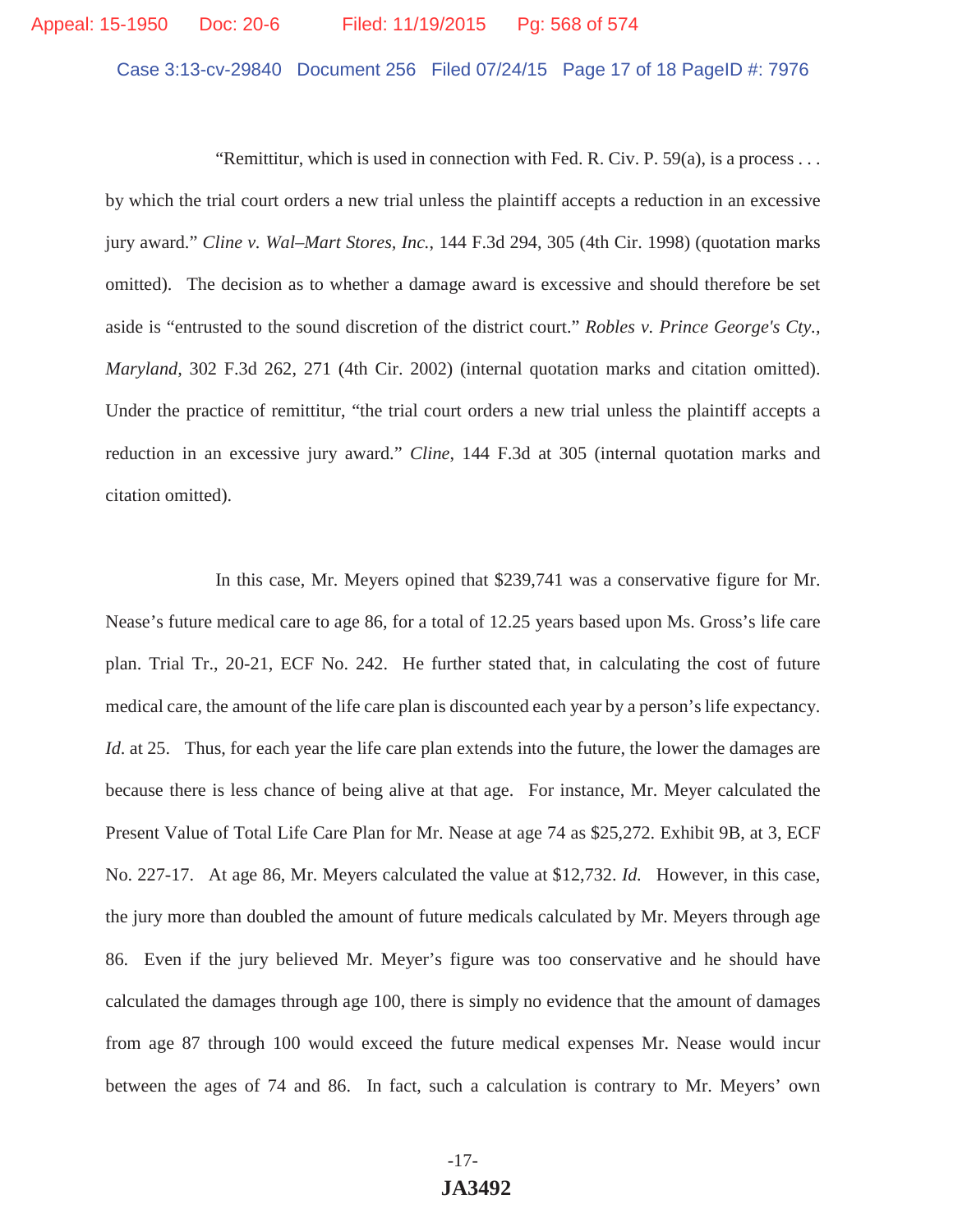Case 3:13-cv-29840 Document 256 Filed 07/24/15 Page 17 of 18 PageID #: 7976

"Remittitur, which is used in connection with Fed. R. Civ. P.  $59(a)$ , is a process ... by which the trial court orders a new trial unless the plaintiff accepts a reduction in an excessive jury award." *Cline v. Wal–Mart Stores, Inc.*, 144 F.3d 294, 305 (4th Cir. 1998) (quotation marks omitted). The decision as to whether a damage award is excessive and should therefore be set aside is "entrusted to the sound discretion of the district court." *Robles v. Prince George's Cty., Maryland,* 302 F.3d 262, 271 (4th Cir. 2002) (internal quotation marks and citation omitted). Under the practice of remittitur, "the trial court orders a new trial unless the plaintiff accepts a reduction in an excessive jury award." *Cline*, 144 F.3d at 305 (internal quotation marks and citation omitted).

 In this case, Mr. Meyers opined that \$239,741 was a conservative figure for Mr. Nease's future medical care to age 86, for a total of 12.25 years based upon Ms. Gross's life care plan. Trial Tr., 20-21, ECF No. 242. He further stated that, in calculating the cost of future medical care, the amount of the life care plan is discounted each year by a person's life expectancy. *Id*. at 25. Thus, for each year the life care plan extends into the future, the lower the damages are because there is less chance of being alive at that age. For instance, Mr. Meyer calculated the Present Value of Total Life Care Plan for Mr. Nease at age 74 as \$25,272. Exhibit 9B, at 3, ECF No. 227-17. At age 86, Mr. Meyers calculated the value at \$12,732. *Id.* However, in this case, the jury more than doubled the amount of future medicals calculated by Mr. Meyers through age 86. Even if the jury believed Mr. Meyer's figure was too conservative and he should have calculated the damages through age 100, there is simply no evidence that the amount of damages from age 87 through 100 would exceed the future medical expenses Mr. Nease would incur between the ages of 74 and 86. In fact, such a calculation is contrary to Mr. Meyers' own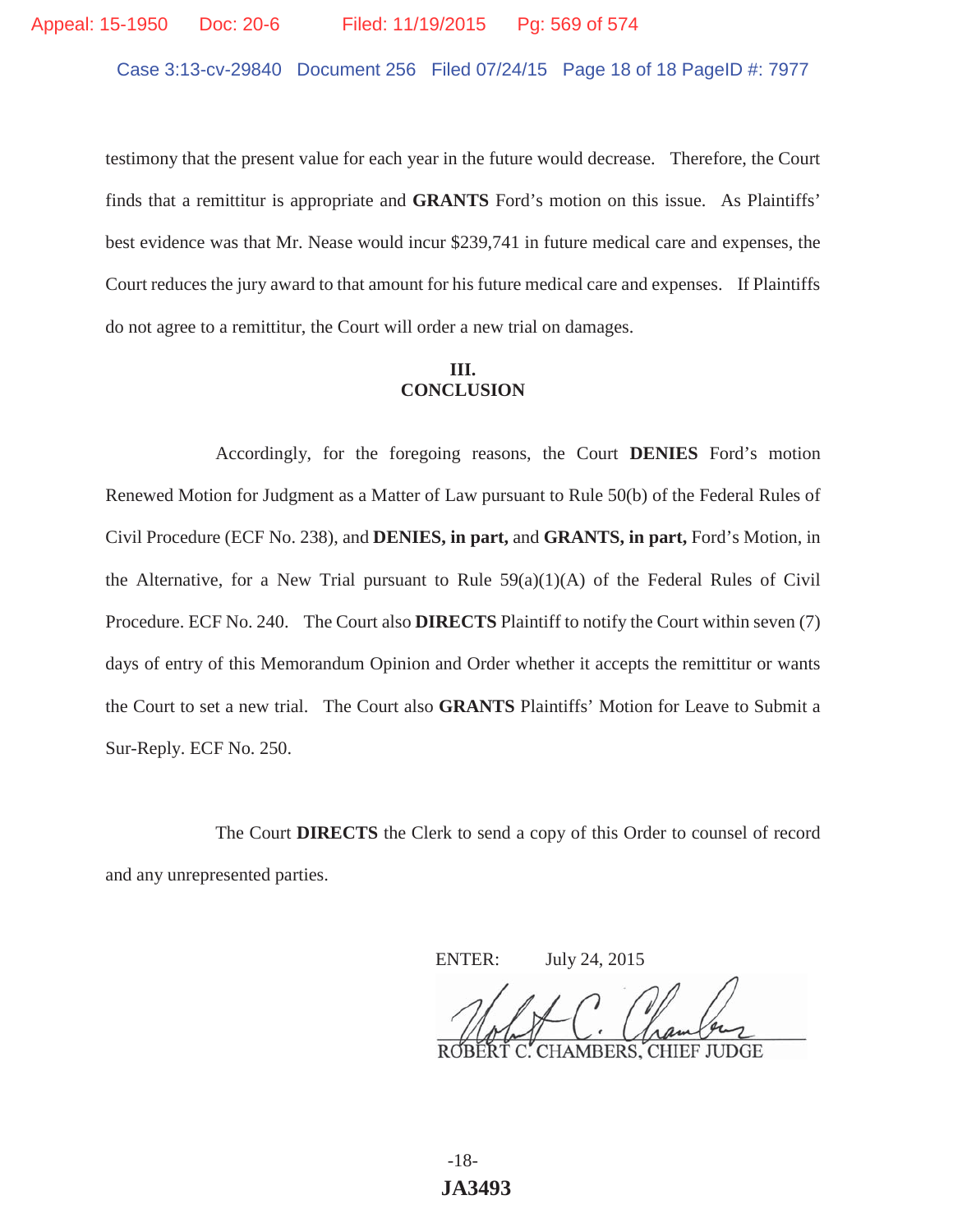Case 3:13-cv-29840 Document 256 Filed 07/24/15 Page 18 of 18 PageID #: 7977

testimony that the present value for each year in the future would decrease. Therefore, the Court finds that a remittitur is appropriate and **GRANTS** Ford's motion on this issue. As Plaintiffs' best evidence was that Mr. Nease would incur \$239,741 in future medical care and expenses, the Court reduces the jury award to that amount for his future medical care and expenses. If Plaintiffs do not agree to a remittitur, the Court will order a new trial on damages.

## **III. CONCLUSION**

 Accordingly, for the foregoing reasons, the Court **DENIES** Ford's motion Renewed Motion for Judgment as a Matter of Law pursuant to Rule 50(b) of the Federal Rules of Civil Procedure (ECF No. 238), and **DENIES, in part,** and **GRANTS, in part,** Ford's Motion, in the Alternative, for a New Trial pursuant to Rule  $59(a)(1)(A)$  of the Federal Rules of Civil Procedure. ECF No. 240. The Court also **DIRECTS** Plaintiff to notify the Court within seven (7) days of entry of this Memorandum Opinion and Order whether it accepts the remittitur or wants the Court to set a new trial. The Court also **GRANTS** Plaintiffs' Motion for Leave to Submit a Sur-Reply. ECF No. 250.

 The Court **DIRECTS** the Clerk to send a copy of this Order to counsel of record and any unrepresented parties.

ENTER: July 24, 2015

**CHAMBERS, CHIEF JUDGE** 

-18- **JA3493**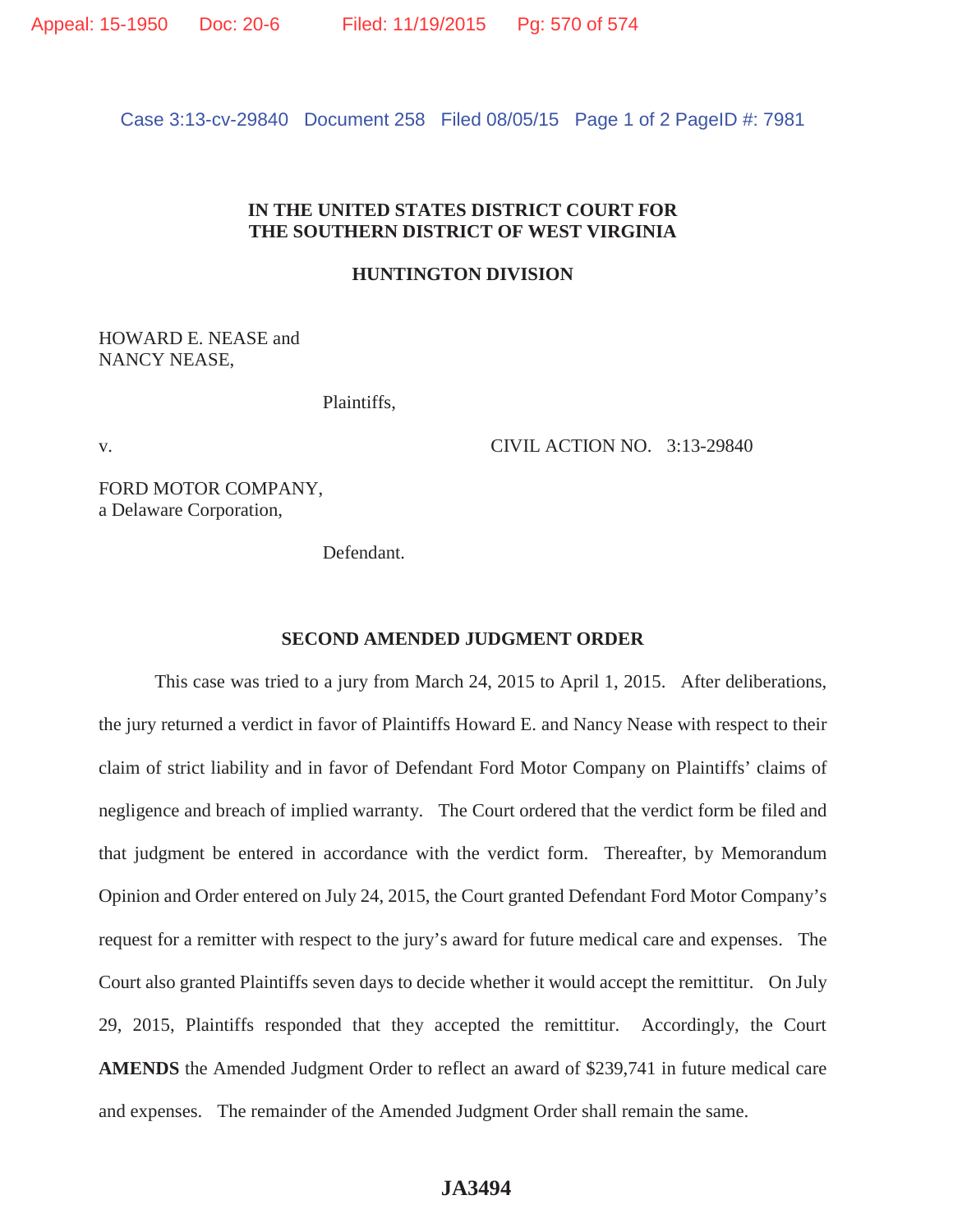Case 3:13-cv-29840 Document 258 Filed 08/05/15 Page 1 of 2 PageID #: 7981

## **IN THE UNITED STATES DISTRICT COURT FOR THE SOUTHERN DISTRICT OF WEST VIRGINIA**

### **HUNTINGTON DIVISION**

HOWARD E. NEASE and NANCY NEASE,

Plaintiffs,

v. CIVIL ACTION NO. 3:13-29840

FORD MOTOR COMPANY, a Delaware Corporation,

Defendant.

#### **SECOND AMENDED JUDGMENT ORDER**

This case was tried to a jury from March 24, 2015 to April 1, 2015. After deliberations, the jury returned a verdict in favor of Plaintiffs Howard E. and Nancy Nease with respect to their claim of strict liability and in favor of Defendant Ford Motor Company on Plaintiffs' claims of negligence and breach of implied warranty. The Court ordered that the verdict form be filed and that judgment be entered in accordance with the verdict form. Thereafter, by Memorandum Opinion and Order entered on July 24, 2015, the Court granted Defendant Ford Motor Company's request for a remitter with respect to the jury's award for future medical care and expenses. The Court also granted Plaintiffs seven days to decide whether it would accept the remittitur. On July 29, 2015, Plaintiffs responded that they accepted the remittitur. Accordingly, the Court **AMENDS** the Amended Judgment Order to reflect an award of \$239,741 in future medical care and expenses. The remainder of the Amended Judgment Order shall remain the same.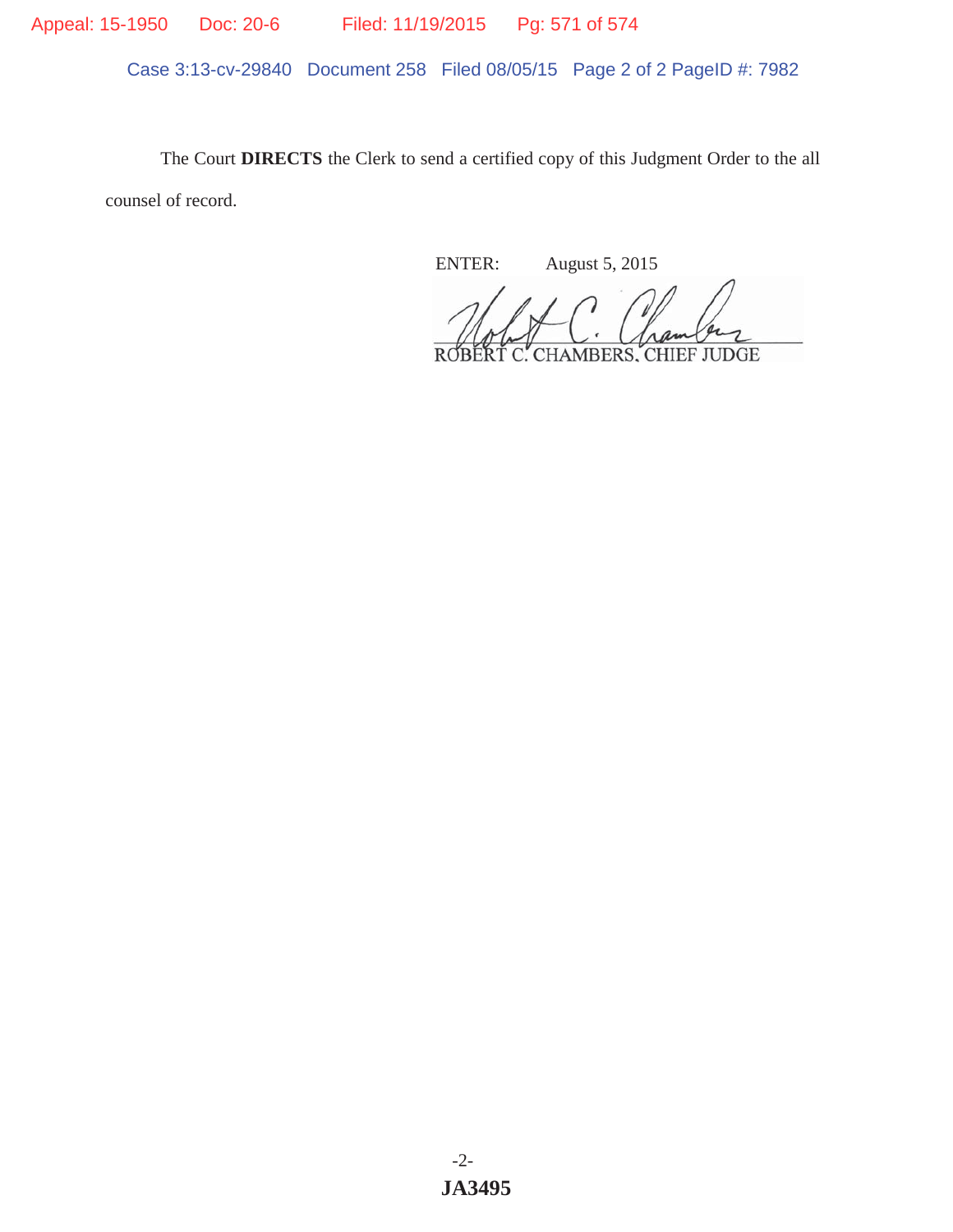Appeal: 15-1950 Doc: 20-6 Filed: 11/19/2015 Pg: 571 of 574

Case 3:13-cv-29840 Document 258 Filed 08/05/15 Page 2 of 2 PageID #: 7982

The Court **DIRECTS** the Clerk to send a certified copy of this Judgment Order to the all counsel of record.

ENTER: August 5, 2015

ROBERT C. CHAMBERS, CHIEF JUDGE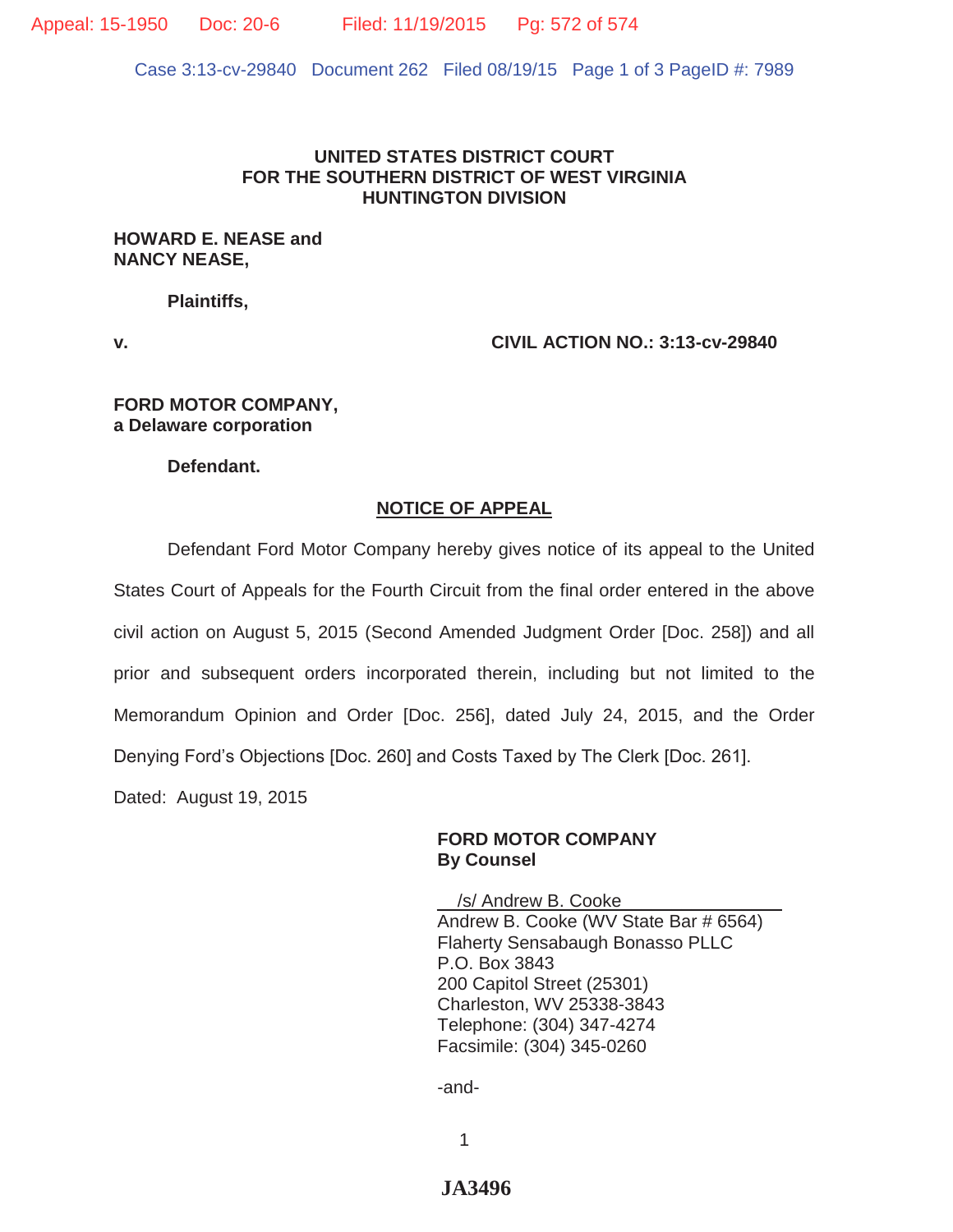Appeal: 15-1950 Doc: 20-6 Filed: 11/19/2015 Pg: 572 of 574

Case 3:13-cv-29840 Document 262 Filed 08/19/15 Page 1 of 3 PageID #: 7989

#### **UNITED STATES DISTRICT COURT FOR THE SOUTHERN DISTRICT OF WEST VIRGINIA HUNTINGTON DIVISION**

### **HOWARD E. NEASE and NANCY NEASE,**

 **Plaintiffs,** 

**v. CIVIL ACTION NO.: 3:13-cv-29840**

#### **FORD MOTOR COMPANY, a Delaware corporation**

**Defendant.** 

### **NOTICE OF APPEAL**

 Defendant Ford Motor Company hereby gives notice of its appeal to the United States Court of Appeals for the Fourth Circuit from the final order entered in the above civil action on August 5, 2015 (Second Amended Judgment Order [Doc. 258]) and all prior and subsequent orders incorporated therein, including but not limited to the Memorandum Opinion and Order [Doc. 256], dated July 24, 2015, and the Order Denying Ford's Objections [Doc. 260] and Costs Taxed by The Clerk [Doc. 261]. Dated: August 19, 2015

### **FORD MOTOR COMPANY By Counsel**

 \_\_/s/ Andrew B. Cooke\_\_\_\_\_\_\_\_\_\_\_\_\_\_\_\_ Andrew B. Cooke (WV State Bar # 6564) Flaherty Sensabaugh Bonasso PLLC P.O. Box 3843 200 Capitol Street (25301) Charleston, WV 25338-3843 Telephone: (304) 347-4274 Facsimile: (304) 345-0260

-and-

1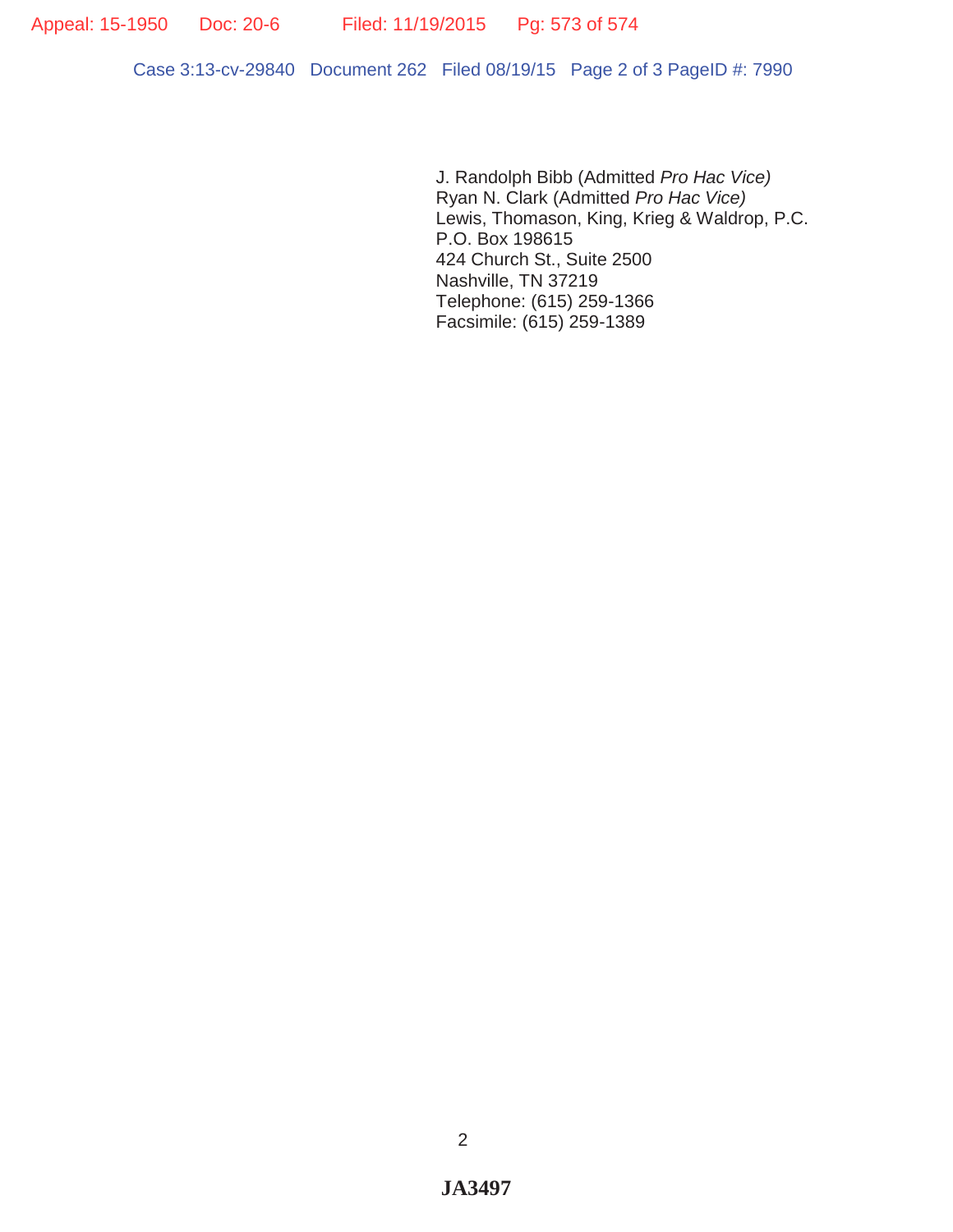Case 3:13-cv-29840 Document 262 Filed 08/19/15 Page 2 of 3 PageID #: 7990

J. Randolph Bibb (Admitted *Pro Hac Vice)*  Ryan N. Clark (Admitted *Pro Hac Vice)*  Lewis, Thomason, King, Krieg & Waldrop, P.C. P.O. Box 198615 424 Church St., Suite 2500 Nashville, TN 37219 Telephone: (615) 259-1366 Facsimile: (615) 259-1389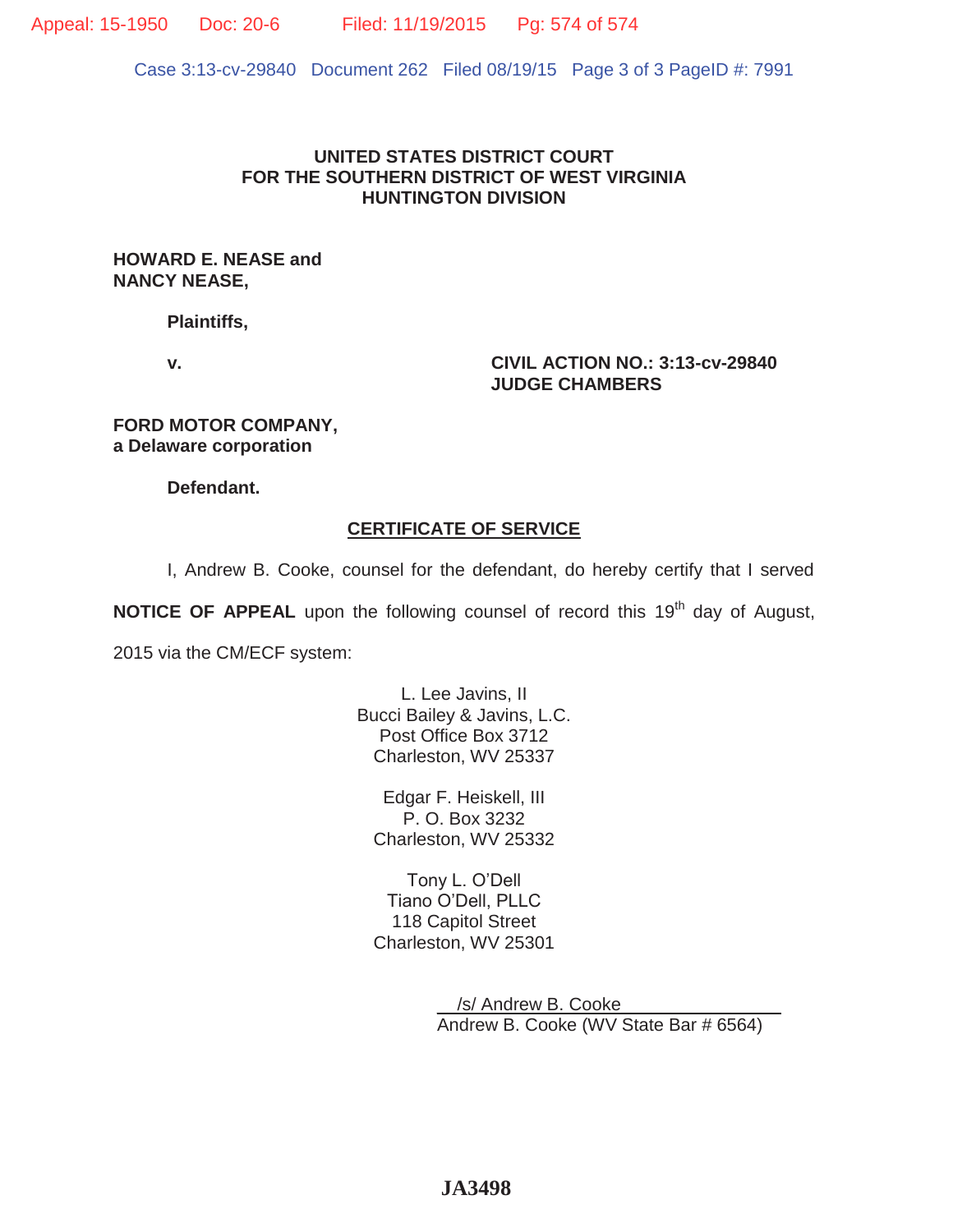Appeal: 15-1950 Doc: 20-6 Filed: 11/19/2015 Pg: 574 of 574

Case 3:13-cv-29840 Document 262 Filed 08/19/15 Page 3 of 3 PageID #: 7991

## **UNITED STATES DISTRICT COURT FOR THE SOUTHERN DISTRICT OF WEST VIRGINIA HUNTINGTON DIVISION**

### **HOWARD E. NEASE and NANCY NEASE,**

**Plaintiffs,** 

**v. CIVIL ACTION NO.: 3:13-cv-29840 JUDGE CHAMBERS** 

**FORD MOTOR COMPANY, a Delaware corporation** 

**Defendant.** 

# **CERTIFICATE OF SERVICE**

I, Andrew B. Cooke, counsel for the defendant, do hereby certify that I served

**NOTICE OF APPEAL** upon the following counsel of record this 19<sup>th</sup> day of August,

2015 via the CM/ECF system:

L. Lee Javins, II Bucci Bailey & Javins, L.C. Post Office Box 3712 Charleston, WV 25337

Edgar F. Heiskell, III P. O. Box 3232 Charleston, WV 25332

Tony L. O'Dell Tiano O'Dell, PLLC 118 Capitol Street Charleston, WV 25301

> \_\_/s/ Andrew B. Cooke\_\_\_\_\_\_\_\_\_\_\_\_\_\_\_\_ Andrew B. Cooke (WV State Bar # 6564)